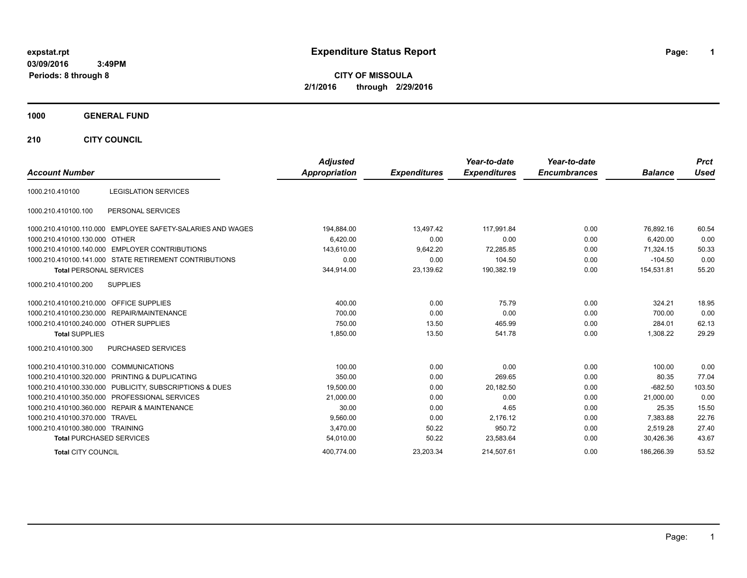# **expstat.rpt Expenditure Status Report Page:**

**1**

**CITY OF MISSOULA 2/1/2016 through 2/29/2016**

### **1000 GENERAL FUND**

**210 CITY COUNCIL**

| <b>Account Number</b>                   |                                                            | <b>Adjusted</b><br><b>Appropriation</b> | <b>Expenditures</b> | Year-to-date<br><b>Expenditures</b> | Year-to-date<br><b>Encumbrances</b> | <b>Balance</b> | <b>Prct</b><br><b>Used</b> |
|-----------------------------------------|------------------------------------------------------------|-----------------------------------------|---------------------|-------------------------------------|-------------------------------------|----------------|----------------------------|
|                                         |                                                            |                                         |                     |                                     |                                     |                |                            |
| 1000.210.410100                         | <b>LEGISLATION SERVICES</b>                                |                                         |                     |                                     |                                     |                |                            |
| 1000.210.410100.100                     | PERSONAL SERVICES                                          |                                         |                     |                                     |                                     |                |                            |
|                                         | 1000.210.410100.110.000 EMPLOYEE SAFETY-SALARIES AND WAGES | 194,884.00                              | 13,497.42           | 117.991.84                          | 0.00                                | 76.892.16      | 60.54                      |
| 1000.210.410100.130.000 OTHER           |                                                            | 6,420.00                                | 0.00                | 0.00                                | 0.00                                | 6,420.00       | 0.00                       |
|                                         | 1000.210.410100.140.000 EMPLOYER CONTRIBUTIONS             | 143,610.00                              | 9,642.20            | 72,285.85                           | 0.00                                | 71,324.15      | 50.33                      |
|                                         | 1000.210.410100.141.000 STATE RETIREMENT CONTRIBUTIONS     | 0.00                                    | 0.00                | 104.50                              | 0.00                                | $-104.50$      | 0.00                       |
| <b>Total PERSONAL SERVICES</b>          |                                                            | 344,914.00                              | 23,139.62           | 190,382.19                          | 0.00                                | 154,531.81     | 55.20                      |
| 1000.210.410100.200                     | <b>SUPPLIES</b>                                            |                                         |                     |                                     |                                     |                |                            |
| 1000.210.410100.210.000 OFFICE SUPPLIES |                                                            | 400.00                                  | 0.00                | 75.79                               | 0.00                                | 324.21         | 18.95                      |
|                                         | 1000.210.410100.230.000 REPAIR/MAINTENANCE                 | 700.00                                  | 0.00                | 0.00                                | 0.00                                | 700.00         | 0.00                       |
| 1000.210.410100.240.000 OTHER SUPPLIES  |                                                            | 750.00                                  | 13.50               | 465.99                              | 0.00                                | 284.01         | 62.13                      |
| <b>Total SUPPLIES</b>                   |                                                            | 1,850.00                                | 13.50               | 541.78                              | 0.00                                | 1,308.22       | 29.29                      |
| 1000.210.410100.300                     | <b>PURCHASED SERVICES</b>                                  |                                         |                     |                                     |                                     |                |                            |
| 1000.210.410100.310.000                 | <b>COMMUNICATIONS</b>                                      | 100.00                                  | 0.00                | 0.00                                | 0.00                                | 100.00         | 0.00                       |
|                                         | 1000.210.410100.320.000 PRINTING & DUPLICATING             | 350.00                                  | 0.00                | 269.65                              | 0.00                                | 80.35          | 77.04                      |
|                                         | 1000.210.410100.330.000 PUBLICITY, SUBSCRIPTIONS & DUES    | 19,500.00                               | 0.00                | 20,182.50                           | 0.00                                | $-682.50$      | 103.50                     |
|                                         | 1000.210.410100.350.000 PROFESSIONAL SERVICES              | 21,000.00                               | 0.00                | 0.00                                | 0.00                                | 21,000.00      | 0.00                       |
|                                         | 1000.210.410100.360.000 REPAIR & MAINTENANCE               | 30.00                                   | 0.00                | 4.65                                | 0.00                                | 25.35          | 15.50                      |
| 1000.210.410100.370.000 TRAVEL          |                                                            | 9,560.00                                | 0.00                | 2,176.12                            | 0.00                                | 7,383.88       | 22.76                      |
| 1000.210.410100.380.000 TRAINING        |                                                            | 3,470.00                                | 50.22               | 950.72                              | 0.00                                | 2,519.28       | 27.40                      |
| <b>Total PURCHASED SERVICES</b>         |                                                            | 54,010.00                               | 50.22               | 23,583.64                           | 0.00                                | 30,426.36      | 43.67                      |
| <b>Total CITY COUNCIL</b>               |                                                            | 400.774.00                              | 23.203.34           | 214.507.61                          | 0.00                                | 186.266.39     | 53.52                      |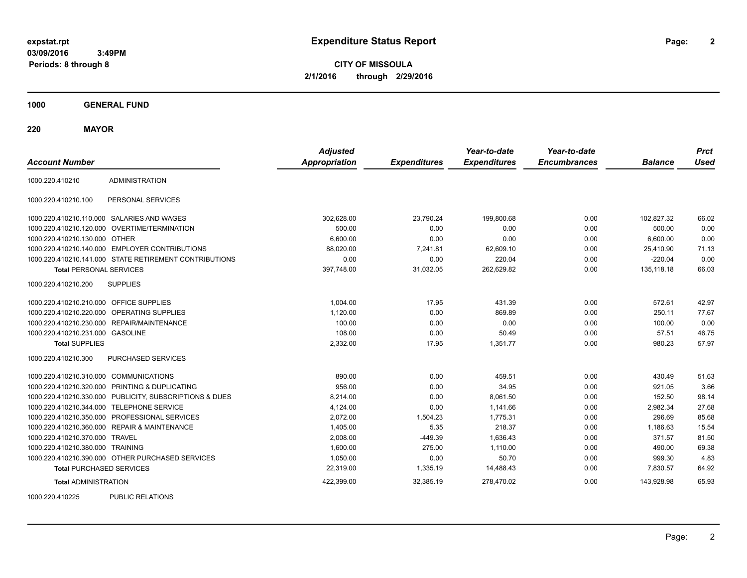**CITY OF MISSOULA 2/1/2016 through 2/29/2016**

**1000 GENERAL FUND**

**220 MAYOR**

| <b>Account Number</b>                   |                                                         | <b>Adjusted</b><br><b>Appropriation</b> | <b>Expenditures</b> | Year-to-date<br><b>Expenditures</b> | Year-to-date<br><b>Encumbrances</b> | <b>Balance</b> | <b>Prct</b><br><b>Used</b> |
|-----------------------------------------|---------------------------------------------------------|-----------------------------------------|---------------------|-------------------------------------|-------------------------------------|----------------|----------------------------|
| 1000.220.410210                         | <b>ADMINISTRATION</b>                                   |                                         |                     |                                     |                                     |                |                            |
| 1000.220.410210.100                     | PERSONAL SERVICES                                       |                                         |                     |                                     |                                     |                |                            |
|                                         | 1000.220.410210.110.000 SALARIES AND WAGES              | 302,628.00                              | 23,790.24           | 199,800.68                          | 0.00                                | 102,827.32     | 66.02                      |
| 1000.220.410210.120.000                 | OVERTIME/TERMINATION                                    | 500.00                                  | 0.00                | 0.00                                | 0.00                                | 500.00         | 0.00                       |
| 1000.220.410210.130.000 OTHER           |                                                         | 6,600.00                                | 0.00                | 0.00                                | 0.00                                | 6,600.00       | 0.00                       |
|                                         | 1000.220.410210.140.000 EMPLOYER CONTRIBUTIONS          | 88,020.00                               | 7,241.81            | 62,609.10                           | 0.00                                | 25,410.90      | 71.13                      |
|                                         | 1000.220.410210.141.000 STATE RETIREMENT CONTRIBUTIONS  | 0.00                                    | 0.00                | 220.04                              | 0.00                                | $-220.04$      | 0.00                       |
| <b>Total PERSONAL SERVICES</b>          |                                                         | 397,748.00                              | 31,032.05           | 262,629.82                          | 0.00                                | 135, 118.18    | 66.03                      |
| 1000.220.410210.200                     | <b>SUPPLIES</b>                                         |                                         |                     |                                     |                                     |                |                            |
| 1000.220.410210.210.000 OFFICE SUPPLIES |                                                         | 1,004.00                                | 17.95               | 431.39                              | 0.00                                | 572.61         | 42.97                      |
| 1000.220.410210.220.000                 | OPERATING SUPPLIES                                      | 1,120.00                                | 0.00                | 869.89                              | 0.00                                | 250.11         | 77.67                      |
| 1000.220.410210.230.000                 | REPAIR/MAINTENANCE                                      | 100.00                                  | 0.00                | 0.00                                | 0.00                                | 100.00         | 0.00                       |
| 1000.220.410210.231.000 GASOLINE        |                                                         | 108.00                                  | 0.00                | 50.49                               | 0.00                                | 57.51          | 46.75                      |
| <b>Total SUPPLIES</b>                   |                                                         | 2,332.00                                | 17.95               | 1,351.77                            | 0.00                                | 980.23         | 57.97                      |
| 1000.220.410210.300                     | PURCHASED SERVICES                                      |                                         |                     |                                     |                                     |                |                            |
| 1000.220.410210.310.000 COMMUNICATIONS  |                                                         | 890.00                                  | 0.00                | 459.51                              | 0.00                                | 430.49         | 51.63                      |
| 1000.220.410210.320.000                 | PRINTING & DUPLICATING                                  | 956.00                                  | 0.00                | 34.95                               | 0.00                                | 921.05         | 3.66                       |
|                                         | 1000.220.410210.330.000 PUBLICITY, SUBSCRIPTIONS & DUES | 8,214.00                                | 0.00                | 8,061.50                            | 0.00                                | 152.50         | 98.14                      |
| 1000.220.410210.344.000                 | <b>TELEPHONE SERVICE</b>                                | 4,124.00                                | 0.00                | 1,141.66                            | 0.00                                | 2,982.34       | 27.68                      |
| 1000.220.410210.350.000                 | PROFESSIONAL SERVICES                                   | 2,072.00                                | 1,504.23            | 1,775.31                            | 0.00                                | 296.69         | 85.68                      |
|                                         | 1000.220.410210.360.000 REPAIR & MAINTENANCE            | 1,405.00                                | 5.35                | 218.37                              | 0.00                                | 1,186.63       | 15.54                      |
| 1000.220.410210.370.000 TRAVEL          |                                                         | 2,008.00                                | $-449.39$           | 1,636.43                            | 0.00                                | 371.57         | 81.50                      |
| 1000.220.410210.380.000                 | <b>TRAINING</b>                                         | 1,600.00                                | 275.00              | 1.110.00                            | 0.00                                | 490.00         | 69.38                      |
|                                         | 1000.220.410210.390.000 OTHER PURCHASED SERVICES        | 1,050.00                                | 0.00                | 50.70                               | 0.00                                | 999.30         | 4.83                       |
| <b>Total PURCHASED SERVICES</b>         |                                                         | 22,319.00                               | 1,335.19            | 14,488.43                           | 0.00                                | 7,830.57       | 64.92                      |
| <b>Total ADMINISTRATION</b>             |                                                         | 422,399.00                              | 32,385.19           | 278,470.02                          | 0.00                                | 143,928.98     | 65.93                      |
| 1000000110005                           | DUDLIO DEL ATIONO                                       |                                         |                     |                                     |                                     |                |                            |

1000.220.410225 PUBLIC RELATIONS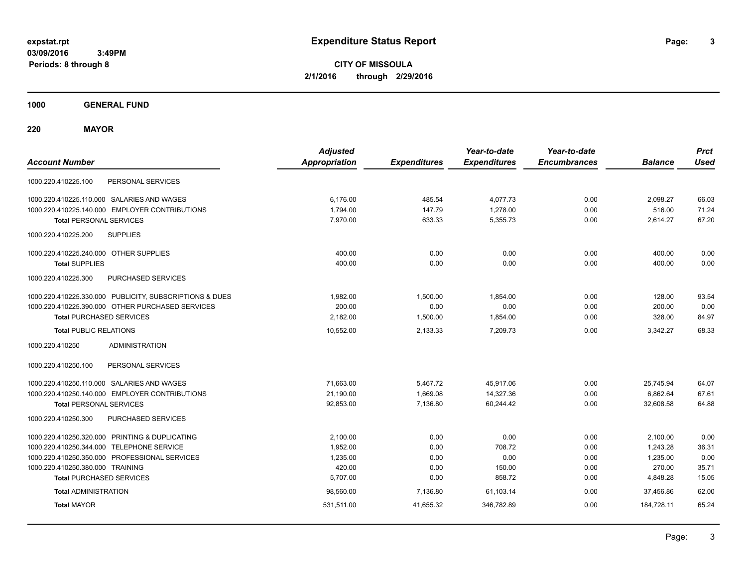**3**

**CITY OF MISSOULA 2/1/2016 through 2/29/2016**

**1000 GENERAL FUND**

**220 MAYOR**

| <b>Account Number</b>                                   | <b>Adjusted</b><br><b>Appropriation</b> | <b>Expenditures</b> | Year-to-date<br><b>Expenditures</b> | Year-to-date<br><b>Encumbrances</b> | <b>Balance</b> | <b>Prct</b><br><b>Used</b> |
|---------------------------------------------------------|-----------------------------------------|---------------------|-------------------------------------|-------------------------------------|----------------|----------------------------|
| PERSONAL SERVICES<br>1000.220.410225.100                |                                         |                     |                                     |                                     |                |                            |
| 1000.220.410225.110.000 SALARIES AND WAGES              | 6.176.00                                | 485.54              | 4.077.73                            | 0.00                                | 2,098.27       | 66.03                      |
| 1000.220.410225.140.000 EMPLOYER CONTRIBUTIONS          | 1,794.00                                | 147.79              | 1,278.00                            | 0.00                                | 516.00         | 71.24                      |
| <b>Total PERSONAL SERVICES</b>                          | 7,970.00                                | 633.33              | 5,355.73                            | 0.00                                | 2,614.27       | 67.20                      |
| 1000.220.410225.200<br><b>SUPPLIES</b>                  |                                         |                     |                                     |                                     |                |                            |
| 1000.220.410225.240.000 OTHER SUPPLIES                  | 400.00                                  | 0.00                | 0.00                                | 0.00                                | 400.00         | 0.00                       |
| <b>Total SUPPLIES</b>                                   | 400.00                                  | 0.00                | 0.00                                | 0.00                                | 400.00         | 0.00                       |
| PURCHASED SERVICES<br>1000.220.410225.300               |                                         |                     |                                     |                                     |                |                            |
| 1000.220.410225.330.000 PUBLICITY, SUBSCRIPTIONS & DUES | 1,982.00                                | 1,500.00            | 1,854.00                            | 0.00                                | 128.00         | 93.54                      |
| 1000.220.410225.390.000 OTHER PURCHASED SERVICES        | 200.00                                  | 0.00                | 0.00                                | 0.00                                | 200.00         | 0.00                       |
| <b>Total PURCHASED SERVICES</b>                         | 2,182.00                                | 1,500.00            | 1,854.00                            | 0.00                                | 328.00         | 84.97                      |
| <b>Total PUBLIC RELATIONS</b>                           | 10,552.00                               | 2,133.33            | 7.209.73                            | 0.00                                | 3,342.27       | 68.33                      |
| 1000.220.410250<br><b>ADMINISTRATION</b>                |                                         |                     |                                     |                                     |                |                            |
| 1000.220.410250.100<br>PERSONAL SERVICES                |                                         |                     |                                     |                                     |                |                            |
| 1000.220.410250.110.000 SALARIES AND WAGES              | 71,663.00                               | 5,467.72            | 45,917.06                           | 0.00                                | 25,745.94      | 64.07                      |
| 1000.220.410250.140.000 EMPLOYER CONTRIBUTIONS          | 21,190.00                               | 1,669.08            | 14,327.36                           | 0.00                                | 6,862.64       | 67.61                      |
| <b>Total PERSONAL SERVICES</b>                          | 92,853.00                               | 7,136.80            | 60,244.42                           | 0.00                                | 32,608.58      | 64.88                      |
| PURCHASED SERVICES<br>1000.220.410250.300               |                                         |                     |                                     |                                     |                |                            |
| 1000.220.410250.320.000 PRINTING & DUPLICATING          | 2,100.00                                | 0.00                | 0.00                                | 0.00                                | 2,100.00       | 0.00                       |
| 1000.220.410250.344.000 TELEPHONE SERVICE               | 1,952.00                                | 0.00                | 708.72                              | 0.00                                | 1,243.28       | 36.31                      |
| 1000.220.410250.350.000 PROFESSIONAL SERVICES           | 1,235.00                                | 0.00                | 0.00                                | 0.00                                | 1,235.00       | 0.00                       |
| 1000.220.410250.380.000 TRAINING                        | 420.00                                  | 0.00                | 150.00                              | 0.00                                | 270.00         | 35.71                      |
| <b>Total PURCHASED SERVICES</b>                         | 5,707.00                                | 0.00                | 858.72                              | 0.00                                | 4,848.28       | 15.05                      |
| <b>Total ADMINISTRATION</b>                             | 98,560.00                               | 7,136.80            | 61,103.14                           | 0.00                                | 37,456.86      | 62.00                      |
| <b>Total MAYOR</b>                                      | 531,511.00                              | 41,655.32           | 346,782.89                          | 0.00                                | 184,728.11     | 65.24                      |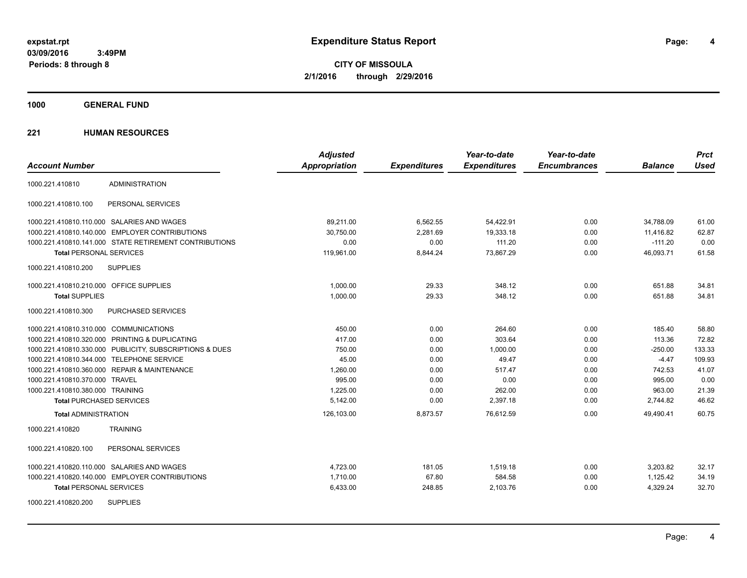**CITY OF MISSOULA 2/1/2016 through 2/29/2016**

**1000 GENERAL FUND**

| <b>Account Number</b>                   |                                                         | <b>Adjusted</b><br><b>Appropriation</b> | <b>Expenditures</b> | Year-to-date<br><b>Expenditures</b> | Year-to-date<br><b>Encumbrances</b> | <b>Balance</b> | <b>Prct</b><br><b>Used</b> |
|-----------------------------------------|---------------------------------------------------------|-----------------------------------------|---------------------|-------------------------------------|-------------------------------------|----------------|----------------------------|
| 1000.221.410810                         | <b>ADMINISTRATION</b>                                   |                                         |                     |                                     |                                     |                |                            |
| 1000.221.410810.100                     | PERSONAL SERVICES                                       |                                         |                     |                                     |                                     |                |                            |
|                                         | 1000.221.410810.110.000 SALARIES AND WAGES              | 89,211.00                               | 6,562.55            | 54,422.91                           | 0.00                                | 34,788.09      | 61.00                      |
|                                         | 1000.221.410810.140.000 EMPLOYER CONTRIBUTIONS          | 30,750.00                               | 2,281.69            | 19,333.18                           | 0.00                                | 11,416.82      | 62.87                      |
|                                         | 1000.221.410810.141.000 STATE RETIREMENT CONTRIBUTIONS  | 0.00                                    | 0.00                | 111.20                              | 0.00                                | $-111.20$      | 0.00                       |
| <b>Total PERSONAL SERVICES</b>          |                                                         | 119,961.00                              | 8,844.24            | 73,867.29                           | 0.00                                | 46.093.71      | 61.58                      |
| 1000.221.410810.200                     | <b>SUPPLIES</b>                                         |                                         |                     |                                     |                                     |                |                            |
| 1000.221.410810.210.000 OFFICE SUPPLIES |                                                         | 1,000.00                                | 29.33               | 348.12                              | 0.00                                | 651.88         | 34.81                      |
| <b>Total SUPPLIES</b>                   |                                                         | 1,000.00                                | 29.33               | 348.12                              | 0.00                                | 651.88         | 34.81                      |
| 1000.221.410810.300                     | PURCHASED SERVICES                                      |                                         |                     |                                     |                                     |                |                            |
| 1000.221.410810.310.000 COMMUNICATIONS  |                                                         | 450.00                                  | 0.00                | 264.60                              | 0.00                                | 185.40         | 58.80                      |
|                                         | 1000.221.410810.320.000 PRINTING & DUPLICATING          | 417.00                                  | 0.00                | 303.64                              | 0.00                                | 113.36         | 72.82                      |
|                                         | 1000.221.410810.330.000 PUBLICITY, SUBSCRIPTIONS & DUES | 750.00                                  | 0.00                | 1,000.00                            | 0.00                                | $-250.00$      | 133.33                     |
|                                         | 1000.221.410810.344.000 TELEPHONE SERVICE               | 45.00                                   | 0.00                | 49.47                               | 0.00                                | $-4.47$        | 109.93                     |
|                                         | 1000.221.410810.360.000 REPAIR & MAINTENANCE            | 1,260.00                                | 0.00                | 517.47                              | 0.00                                | 742.53         | 41.07                      |
| 1000.221.410810.370.000 TRAVEL          |                                                         | 995.00                                  | 0.00                | 0.00                                | 0.00                                | 995.00         | 0.00                       |
| 1000.221.410810.380.000 TRAINING        |                                                         | 1,225.00                                | 0.00                | 262.00                              | 0.00                                | 963.00         | 21.39                      |
| <b>Total PURCHASED SERVICES</b>         |                                                         | 5,142.00                                | 0.00                | 2,397.18                            | 0.00                                | 2,744.82       | 46.62                      |
| <b>Total ADMINISTRATION</b>             |                                                         | 126,103.00                              | 8,873.57            | 76,612.59                           | 0.00                                | 49,490.41      | 60.75                      |
| 1000.221.410820                         | <b>TRAINING</b>                                         |                                         |                     |                                     |                                     |                |                            |
| 1000.221.410820.100                     | PERSONAL SERVICES                                       |                                         |                     |                                     |                                     |                |                            |
|                                         | 1000.221.410820.110.000 SALARIES AND WAGES              | 4,723.00                                | 181.05              | 1,519.18                            | 0.00                                | 3,203.82       | 32.17                      |
|                                         | 1000.221.410820.140.000 EMPLOYER CONTRIBUTIONS          | 1,710.00                                | 67.80               | 584.58                              | 0.00                                | 1,125.42       | 34.19                      |
| <b>Total PERSONAL SERVICES</b>          |                                                         | 6,433.00                                | 248.85              | 2,103.76                            | 0.00                                | 4,329.24       | 32.70                      |
| 1000.221.410820.200                     | <b>SUPPLIES</b>                                         |                                         |                     |                                     |                                     |                |                            |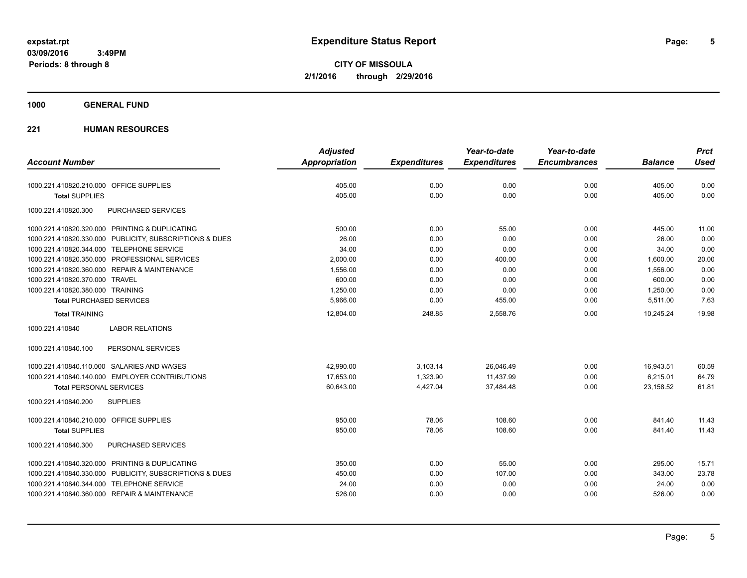**CITY OF MISSOULA 2/1/2016 through 2/29/2016**

### **1000 GENERAL FUND**

|                                                         | <b>Adjusted</b> |                     | Year-to-date        | Year-to-date        |                | <b>Prct</b> |
|---------------------------------------------------------|-----------------|---------------------|---------------------|---------------------|----------------|-------------|
| <b>Account Number</b>                                   | Appropriation   | <b>Expenditures</b> | <b>Expenditures</b> | <b>Encumbrances</b> | <b>Balance</b> | <b>Used</b> |
| 1000.221.410820.210.000 OFFICE SUPPLIES                 | 405.00          | 0.00                | 0.00                | 0.00                | 405.00         | 0.00        |
| <b>Total SUPPLIES</b>                                   | 405.00          | 0.00                | 0.00                | 0.00                | 405.00         | 0.00        |
| 1000.221.410820.300<br>PURCHASED SERVICES               |                 |                     |                     |                     |                |             |
| 1000.221.410820.320.000 PRINTING & DUPLICATING          | 500.00          | 0.00                | 55.00               | 0.00                | 445.00         | 11.00       |
| 1000.221.410820.330.000 PUBLICITY, SUBSCRIPTIONS & DUES | 26.00           | 0.00                | 0.00                | 0.00                | 26.00          | 0.00        |
| 1000.221.410820.344.000 TELEPHONE SERVICE               | 34.00           | 0.00                | 0.00                | 0.00                | 34.00          | 0.00        |
| 1000.221.410820.350.000 PROFESSIONAL SERVICES           | 2,000.00        | 0.00                | 400.00              | 0.00                | 1,600.00       | 20.00       |
| 1000.221.410820.360.000 REPAIR & MAINTENANCE            | 1,556.00        | 0.00                | 0.00                | 0.00                | 1,556.00       | 0.00        |
| 1000.221.410820.370.000 TRAVEL                          | 600.00          | 0.00                | 0.00                | 0.00                | 600.00         | 0.00        |
| 1000.221.410820.380.000 TRAINING                        | 1,250.00        | 0.00                | 0.00                | 0.00                | 1,250.00       | 0.00        |
| <b>Total PURCHASED SERVICES</b>                         | 5,966.00        | 0.00                | 455.00              | 0.00                | 5,511.00       | 7.63        |
| <b>Total TRAINING</b>                                   | 12,804.00       | 248.85              | 2,558.76            | 0.00                | 10,245.24      | 19.98       |
| <b>LABOR RELATIONS</b><br>1000.221.410840               |                 |                     |                     |                     |                |             |
| 1000.221.410840.100<br>PERSONAL SERVICES                |                 |                     |                     |                     |                |             |
| 1000.221.410840.110.000 SALARIES AND WAGES              | 42,990.00       | 3,103.14            | 26,046.49           | 0.00                | 16,943.51      | 60.59       |
| 1000.221.410840.140.000 EMPLOYER CONTRIBUTIONS          | 17,653.00       | 1,323.90            | 11,437.99           | 0.00                | 6,215.01       | 64.79       |
| <b>Total PERSONAL SERVICES</b>                          | 60,643.00       | 4,427.04            | 37,484.48           | 0.00                | 23,158.52      | 61.81       |
| 1000.221.410840.200<br><b>SUPPLIES</b>                  |                 |                     |                     |                     |                |             |
| 1000.221.410840.210.000 OFFICE SUPPLIES                 | 950.00          | 78.06               | 108.60              | 0.00                | 841.40         | 11.43       |
| <b>Total SUPPLIES</b>                                   | 950.00          | 78.06               | 108.60              | 0.00                | 841.40         | 11.43       |
| 1000.221.410840.300<br>PURCHASED SERVICES               |                 |                     |                     |                     |                |             |
| 1000.221.410840.320.000 PRINTING & DUPLICATING          | 350.00          | 0.00                | 55.00               | 0.00                | 295.00         | 15.71       |
| 1000.221.410840.330.000 PUBLICITY, SUBSCRIPTIONS & DUES | 450.00          | 0.00                | 107.00              | 0.00                | 343.00         | 23.78       |
| 1000.221.410840.344.000 TELEPHONE SERVICE               | 24.00           | 0.00                | 0.00                | 0.00                | 24.00          | 0.00        |
| 1000.221.410840.360.000 REPAIR & MAINTENANCE            | 526.00          | 0.00                | 0.00                | 0.00                | 526.00         | 0.00        |
|                                                         |                 |                     |                     |                     |                |             |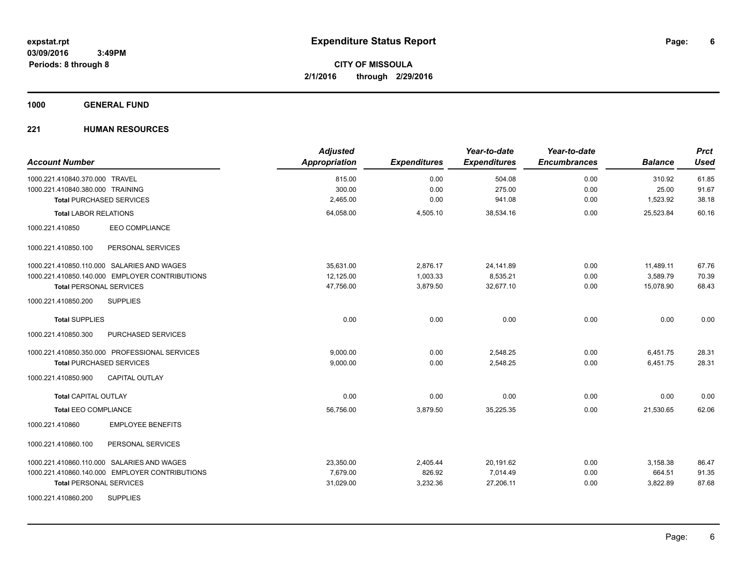### **1000 GENERAL FUND**

| <b>Account Number</b>                          | <b>Adjusted</b><br><b>Appropriation</b> | <b>Expenditures</b> | Year-to-date<br><b>Expenditures</b> | Year-to-date<br><b>Encumbrances</b> | <b>Balance</b> | <b>Prct</b><br><b>Used</b> |
|------------------------------------------------|-----------------------------------------|---------------------|-------------------------------------|-------------------------------------|----------------|----------------------------|
| 1000.221.410840.370.000 TRAVEL                 | 815.00                                  | 0.00                | 504.08                              | 0.00                                | 310.92         | 61.85                      |
| 1000.221.410840.380.000 TRAINING               | 300.00                                  | 0.00                | 275.00                              | 0.00                                | 25.00          | 91.67                      |
| <b>Total PURCHASED SERVICES</b>                | 2,465.00                                | 0.00                | 941.08                              | 0.00                                | 1,523.92       | 38.18                      |
| <b>Total LABOR RELATIONS</b>                   | 64,058.00                               | 4,505.10            | 38,534.16                           | 0.00                                | 25,523.84      | 60.16                      |
| EEO COMPLIANCE<br>1000.221.410850              |                                         |                     |                                     |                                     |                |                            |
| 1000.221.410850.100<br>PERSONAL SERVICES       |                                         |                     |                                     |                                     |                |                            |
| 1000.221.410850.110.000 SALARIES AND WAGES     | 35,631.00                               | 2,876.17            | 24,141.89                           | 0.00                                | 11,489.11      | 67.76                      |
| 1000.221.410850.140.000 EMPLOYER CONTRIBUTIONS | 12,125.00                               | 1,003.33            | 8,535.21                            | 0.00                                | 3,589.79       | 70.39                      |
| <b>Total PERSONAL SERVICES</b>                 | 47,756.00                               | 3,879.50            | 32,677.10                           | 0.00                                | 15,078.90      | 68.43                      |
| 1000.221.410850.200<br><b>SUPPLIES</b>         |                                         |                     |                                     |                                     |                |                            |
| <b>Total SUPPLIES</b>                          | 0.00                                    | 0.00                | 0.00                                | 0.00                                | 0.00           | 0.00                       |
| 1000.221.410850.300<br>PURCHASED SERVICES      |                                         |                     |                                     |                                     |                |                            |
| 1000.221.410850.350.000 PROFESSIONAL SERVICES  | 9.000.00                                | 0.00                | 2,548.25                            | 0.00                                | 6,451.75       | 28.31                      |
| <b>Total PURCHASED SERVICES</b>                | 9,000.00                                | 0.00                | 2,548.25                            | 0.00                                | 6,451.75       | 28.31                      |
| 1000.221.410850.900<br><b>CAPITAL OUTLAY</b>   |                                         |                     |                                     |                                     |                |                            |
| <b>Total CAPITAL OUTLAY</b>                    | 0.00                                    | 0.00                | 0.00                                | 0.00                                | 0.00           | 0.00                       |
| <b>Total EEO COMPLIANCE</b>                    | 56,756.00                               | 3,879.50            | 35,225.35                           | 0.00                                | 21,530.65      | 62.06                      |
| 1000.221.410860<br><b>EMPLOYEE BENEFITS</b>    |                                         |                     |                                     |                                     |                |                            |
| 1000.221.410860.100<br>PERSONAL SERVICES       |                                         |                     |                                     |                                     |                |                            |
| 1000.221.410860.110.000 SALARIES AND WAGES     | 23,350.00                               | 2,405.44            | 20,191.62                           | 0.00                                | 3,158.38       | 86.47                      |
| 1000.221.410860.140.000 EMPLOYER CONTRIBUTIONS | 7,679.00                                | 826.92              | 7,014.49                            | 0.00                                | 664.51         | 91.35                      |
| <b>Total PERSONAL SERVICES</b>                 | 31,029.00                               | 3,232.36            | 27,206.11                           | 0.00                                | 3,822.89       | 87.68                      |
| <b>SUPPLIES</b><br>1000.221.410860.200         |                                         |                     |                                     |                                     |                |                            |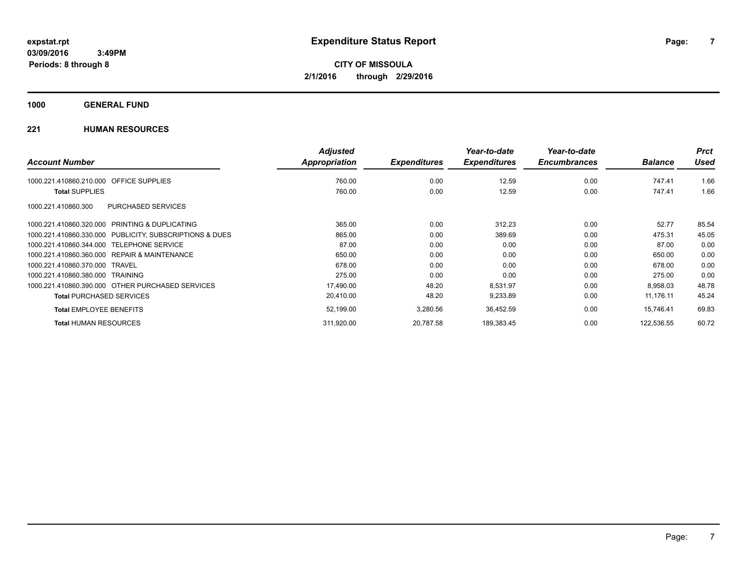**1000 GENERAL FUND**

|                                                              | <b>Adjusted</b> |                     | Year-to-date        | Year-to-date        |                | <b>Prct</b> |
|--------------------------------------------------------------|-----------------|---------------------|---------------------|---------------------|----------------|-------------|
| <b>Account Number</b>                                        | Appropriation   | <b>Expenditures</b> | <b>Expenditures</b> | <b>Encumbrances</b> | <b>Balance</b> | <b>Used</b> |
| <b>OFFICE SUPPLIES</b><br>1000.221.410860.210.000            | 760.00          | 0.00                | 12.59               | 0.00                | 747.41         | 1.66        |
| <b>Total SUPPLIES</b>                                        | 760.00          | 0.00                | 12.59               | 0.00                | 747.41         | 1.66        |
| PURCHASED SERVICES<br>1000.221.410860.300                    |                 |                     |                     |                     |                |             |
| <b>PRINTING &amp; DUPLICATING</b><br>1000.221.410860.320.000 | 365.00          | 0.00                | 312.23              | 0.00                | 52.77          | 85.54       |
| 1000.221.410860.330.000 PUBLICITY, SUBSCRIPTIONS & DUES      | 865.00          | 0.00                | 389.69              | 0.00                | 475.31         | 45.05       |
| 1000.221.410860.344.000<br><b>TELEPHONE SERVICE</b>          | 87.00           | 0.00                | 0.00                | 0.00                | 87.00          | 0.00        |
| REPAIR & MAINTENANCE<br>1000.221.410860.360.000              | 650.00          | 0.00                | 0.00                | 0.00                | 650.00         | 0.00        |
| 1000.221.410860.370.000<br>TRAVEL                            | 678.00          | 0.00                | 0.00                | 0.00                | 678.00         | 0.00        |
| 1000.221.410860.380.000 TRAINING                             | 275.00          | 0.00                | 0.00                | 0.00                | 275.00         | 0.00        |
| 1000.221.410860.390.000 OTHER PURCHASED SERVICES             | 17,490.00       | 48.20               | 8,531.97            | 0.00                | 8,958.03       | 48.78       |
| <b>Total PURCHASED SERVICES</b>                              | 20,410.00       | 48.20               | 9,233.89            | 0.00                | 11,176.11      | 45.24       |
| <b>Total EMPLOYEE BENEFITS</b>                               | 52,199.00       | 3,280.56            | 36,452.59           | 0.00                | 15,746.41      | 69.83       |
| <b>Total HUMAN RESOURCES</b>                                 | 311,920.00      | 20.787.58           | 189,383.45          | 0.00                | 122.536.55     | 60.72       |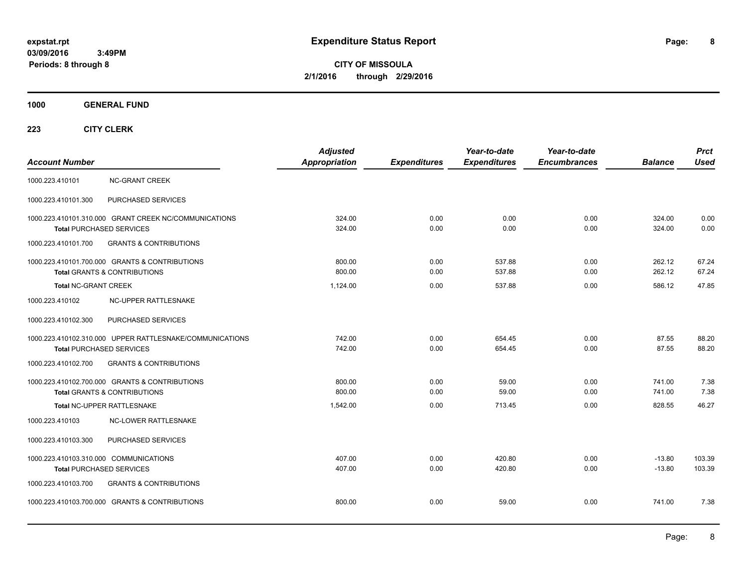**CITY OF MISSOULA 2/1/2016 through 2/29/2016**

**1000 GENERAL FUND**

| <b>Account Number</b>                  |                                                                                             | <b>Adjusted</b><br>Appropriation | <b>Expenditures</b> | Year-to-date<br><b>Expenditures</b> | Year-to-date<br><b>Encumbrances</b> | <b>Balance</b>       | <b>Prct</b><br><b>Used</b> |
|----------------------------------------|---------------------------------------------------------------------------------------------|----------------------------------|---------------------|-------------------------------------|-------------------------------------|----------------------|----------------------------|
| 1000.223.410101                        | <b>NC-GRANT CREEK</b>                                                                       |                                  |                     |                                     |                                     |                      |                            |
| 1000.223.410101.300                    | PURCHASED SERVICES                                                                          |                                  |                     |                                     |                                     |                      |                            |
|                                        | 1000.223.410101.310.000 GRANT CREEK NC/COMMUNICATIONS<br>Total PURCHASED SERVICES           | 324.00<br>324.00                 | 0.00<br>0.00        | 0.00<br>0.00                        | 0.00<br>0.00                        | 324.00<br>324.00     | 0.00<br>0.00               |
| 1000.223.410101.700                    | <b>GRANTS &amp; CONTRIBUTIONS</b>                                                           |                                  |                     |                                     |                                     |                      |                            |
|                                        | 1000.223.410101.700.000 GRANTS & CONTRIBUTIONS<br><b>Total GRANTS &amp; CONTRIBUTIONS</b>   | 800.00<br>800.00                 | 0.00<br>0.00        | 537.88<br>537.88                    | 0.00<br>0.00                        | 262.12<br>262.12     | 67.24<br>67.24             |
| <b>Total NC-GRANT CREEK</b>            |                                                                                             | 1.124.00                         | 0.00                | 537.88                              | 0.00                                | 586.12               | 47.85                      |
| 1000.223.410102                        | NC-UPPER RATTLESNAKE                                                                        |                                  |                     |                                     |                                     |                      |                            |
| 1000.223.410102.300                    | PURCHASED SERVICES                                                                          |                                  |                     |                                     |                                     |                      |                            |
|                                        | 1000.223.410102.310.000 UPPER RATTLESNAKE/COMMUNICATIONS<br><b>Total PURCHASED SERVICES</b> | 742.00<br>742.00                 | 0.00<br>0.00        | 654.45<br>654.45                    | 0.00<br>0.00                        | 87.55<br>87.55       | 88.20<br>88.20             |
| 1000.223.410102.700                    | <b>GRANTS &amp; CONTRIBUTIONS</b>                                                           |                                  |                     |                                     |                                     |                      |                            |
|                                        | 1000.223.410102.700.000 GRANTS & CONTRIBUTIONS<br><b>Total GRANTS &amp; CONTRIBUTIONS</b>   | 800.00<br>800.00                 | 0.00<br>0.00        | 59.00<br>59.00                      | 0.00<br>0.00                        | 741.00<br>741.00     | 7.38<br>7.38               |
|                                        | Total NC-UPPER RATTLESNAKE                                                                  | 1,542.00                         | 0.00                | 713.45                              | 0.00                                | 828.55               | 46.27                      |
| 1000.223.410103                        | <b>NC-LOWER RATTLESNAKE</b>                                                                 |                                  |                     |                                     |                                     |                      |                            |
| 1000.223.410103.300                    | PURCHASED SERVICES                                                                          |                                  |                     |                                     |                                     |                      |                            |
| 1000.223.410103.310.000 COMMUNICATIONS | Total PURCHASED SERVICES                                                                    | 407.00<br>407.00                 | 0.00<br>0.00        | 420.80<br>420.80                    | 0.00<br>0.00                        | $-13.80$<br>$-13.80$ | 103.39<br>103.39           |
| 1000.223.410103.700                    | <b>GRANTS &amp; CONTRIBUTIONS</b>                                                           |                                  |                     |                                     |                                     |                      |                            |
|                                        | 1000.223.410103.700.000 GRANTS & CONTRIBUTIONS                                              | 800.00                           | 0.00                | 59.00                               | 0.00                                | 741.00               | 7.38                       |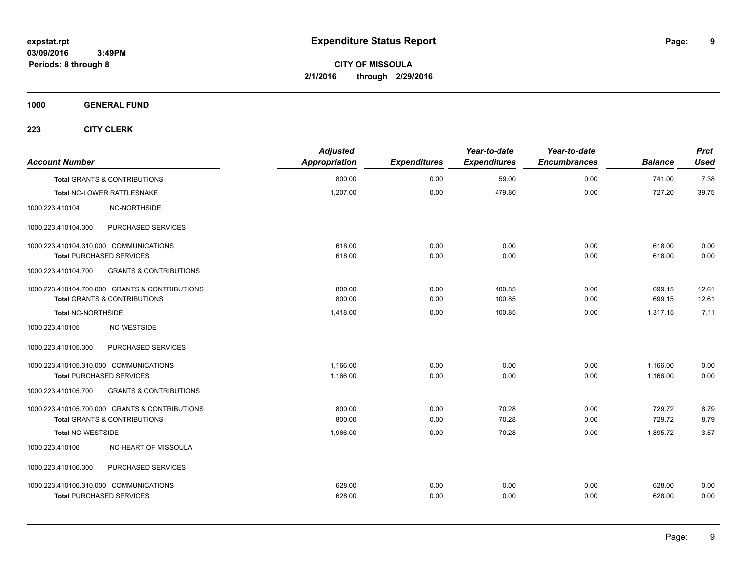**CITY OF MISSOULA 2/1/2016 through 2/29/2016**

**1000 GENERAL FUND**

| <b>Account Number</b>                   |                                                | <b>Adjusted</b><br>Appropriation | <b>Expenditures</b> | Year-to-date<br><b>Expenditures</b> | Year-to-date<br><b>Encumbrances</b> | <b>Balance</b> | <b>Prct</b><br><b>Used</b> |
|-----------------------------------------|------------------------------------------------|----------------------------------|---------------------|-------------------------------------|-------------------------------------|----------------|----------------------------|
| <b>Total GRANTS &amp; CONTRIBUTIONS</b> |                                                | 800.00                           | 0.00                | 59.00                               | 0.00                                | 741.00         | 7.38                       |
| Total NC-LOWER RATTLESNAKE              |                                                | 1,207.00                         | 0.00                | 479.80                              | 0.00                                | 727.20         | 39.75                      |
| 1000.223.410104                         | NC-NORTHSIDE                                   |                                  |                     |                                     |                                     |                |                            |
| 1000.223.410104.300                     | PURCHASED SERVICES                             |                                  |                     |                                     |                                     |                |                            |
| 1000.223.410104.310.000 COMMUNICATIONS  |                                                | 618.00                           | 0.00                | 0.00                                | 0.00                                | 618.00         | 0.00                       |
| <b>Total PURCHASED SERVICES</b>         |                                                | 618.00                           | 0.00                | 0.00                                | 0.00                                | 618.00         | 0.00                       |
| 1000.223.410104.700                     | <b>GRANTS &amp; CONTRIBUTIONS</b>              |                                  |                     |                                     |                                     |                |                            |
|                                         | 1000.223.410104.700.000 GRANTS & CONTRIBUTIONS | 800.00                           | 0.00                | 100.85                              | 0.00                                | 699.15         | 12.61                      |
| <b>Total GRANTS &amp; CONTRIBUTIONS</b> |                                                | 800.00                           | 0.00                | 100.85                              | 0.00                                | 699.15         | 12.61                      |
| <b>Total NC-NORTHSIDE</b>               |                                                | 1,418.00                         | 0.00                | 100.85                              | 0.00                                | 1,317.15       | 7.11                       |
| 1000.223.410105                         | NC-WESTSIDE                                    |                                  |                     |                                     |                                     |                |                            |
| 1000.223.410105.300                     | PURCHASED SERVICES                             |                                  |                     |                                     |                                     |                |                            |
| 1000.223.410105.310.000 COMMUNICATIONS  |                                                | 1,166.00                         | 0.00                | 0.00                                | 0.00                                | 1,166.00       | 0.00                       |
| <b>Total PURCHASED SERVICES</b>         |                                                | 1,166.00                         | 0.00                | 0.00                                | 0.00                                | 1,166.00       | 0.00                       |
| 1000.223.410105.700                     | <b>GRANTS &amp; CONTRIBUTIONS</b>              |                                  |                     |                                     |                                     |                |                            |
|                                         | 1000.223.410105.700.000 GRANTS & CONTRIBUTIONS | 800.00                           | 0.00                | 70.28                               | 0.00                                | 729.72         | 8.79                       |
| Total GRANTS & CONTRIBUTIONS            |                                                | 800.00                           | 0.00                | 70.28                               | 0.00                                | 729.72         | 8.79                       |
| <b>Total NC-WESTSIDE</b>                |                                                | 1,966.00                         | 0.00                | 70.28                               | 0.00                                | 1,895.72       | 3.57                       |
| 1000.223.410106                         | NC-HEART OF MISSOULA                           |                                  |                     |                                     |                                     |                |                            |
| 1000.223.410106.300                     | PURCHASED SERVICES                             |                                  |                     |                                     |                                     |                |                            |
| 1000.223.410106.310.000 COMMUNICATIONS  |                                                | 628.00                           | 0.00                | 0.00                                | 0.00                                | 628.00         | 0.00                       |
| <b>Total PURCHASED SERVICES</b>         |                                                | 628.00                           | 0.00                | 0.00                                | 0.00                                | 628.00         | 0.00                       |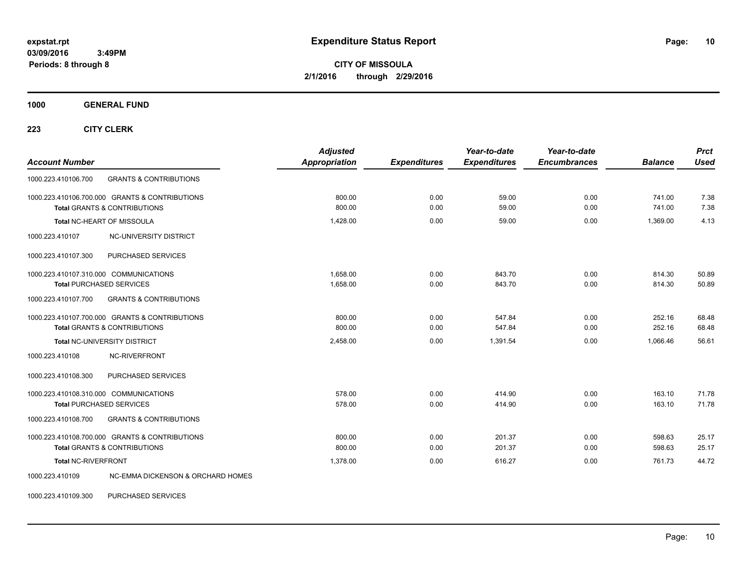**CITY OF MISSOULA 2/1/2016 through 2/29/2016**

**1000 GENERAL FUND**

**223 CITY CLERK**

| <b>Account Number</b>                                                                     | <b>Adjusted</b><br><b>Appropriation</b> | <b>Expenditures</b> | Year-to-date<br><b>Expenditures</b> | Year-to-date<br><b>Encumbrances</b> | <b>Balance</b>   | <b>Prct</b><br><b>Used</b> |
|-------------------------------------------------------------------------------------------|-----------------------------------------|---------------------|-------------------------------------|-------------------------------------|------------------|----------------------------|
| 1000.223.410106.700<br><b>GRANTS &amp; CONTRIBUTIONS</b>                                  |                                         |                     |                                     |                                     |                  |                            |
| 1000.223.410106.700.000 GRANTS & CONTRIBUTIONS<br><b>Total GRANTS &amp; CONTRIBUTIONS</b> | 800.00<br>800.00                        | 0.00<br>0.00        | 59.00<br>59.00                      | 0.00<br>0.00                        | 741.00<br>741.00 | 7.38<br>7.38               |
| Total NC-HEART OF MISSOULA                                                                | 1,428.00                                | 0.00                | 59.00                               | 0.00                                | 1,369.00         | 4.13                       |
| 1000.223.410107<br>NC-UNIVERSITY DISTRICT                                                 |                                         |                     |                                     |                                     |                  |                            |
| PURCHASED SERVICES<br>1000.223.410107.300                                                 |                                         |                     |                                     |                                     |                  |                            |
| 1000.223.410107.310.000 COMMUNICATIONS<br><b>Total PURCHASED SERVICES</b>                 | 1.658.00<br>1,658.00                    | 0.00<br>0.00        | 843.70<br>843.70                    | 0.00<br>0.00                        | 814.30<br>814.30 | 50.89<br>50.89             |
| 1000.223.410107.700<br><b>GRANTS &amp; CONTRIBUTIONS</b>                                  |                                         |                     |                                     |                                     |                  |                            |
| 1000.223.410107.700.000 GRANTS & CONTRIBUTIONS<br><b>Total GRANTS &amp; CONTRIBUTIONS</b> | 800.00<br>800.00                        | 0.00<br>0.00        | 547.84<br>547.84                    | 0.00<br>0.00                        | 252.16<br>252.16 | 68.48<br>68.48             |
| Total NC-UNIVERSITY DISTRICT                                                              | 2,458.00                                | 0.00                | 1,391.54                            | 0.00                                | 1,066.46         | 56.61                      |
| <b>NC-RIVERFRONT</b><br>1000.223.410108                                                   |                                         |                     |                                     |                                     |                  |                            |
| 1000.223.410108.300<br>PURCHASED SERVICES                                                 |                                         |                     |                                     |                                     |                  |                            |
| 1000.223.410108.310.000 COMMUNICATIONS<br><b>Total PURCHASED SERVICES</b>                 | 578.00<br>578.00                        | 0.00<br>0.00        | 414.90<br>414.90                    | 0.00<br>0.00                        | 163.10<br>163.10 | 71.78<br>71.78             |
| <b>GRANTS &amp; CONTRIBUTIONS</b><br>1000.223.410108.700                                  |                                         |                     |                                     |                                     |                  |                            |
| 1000.223.410108.700.000 GRANTS & CONTRIBUTIONS<br><b>Total GRANTS &amp; CONTRIBUTIONS</b> | 800.00<br>800.00                        | 0.00<br>0.00        | 201.37<br>201.37                    | 0.00<br>0.00                        | 598.63<br>598.63 | 25.17<br>25.17             |
| Total NC-RIVERFRONT                                                                       | 1.378.00                                | 0.00                | 616.27                              | 0.00                                | 761.73           | 44.72                      |
| <b>NC-EMMA DICKENSON &amp; ORCHARD HOMES</b><br>1000.223.410109                           |                                         |                     |                                     |                                     |                  |                            |

1000.223.410109.300 PURCHASED SERVICES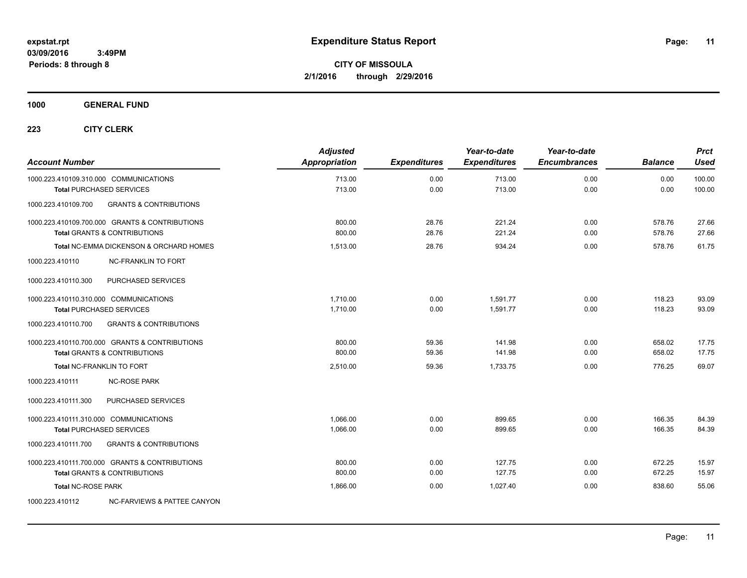**1000 GENERAL FUND**

| <b>Account Number</b>                                                     |                                                                                           | <b>Adjusted</b><br>Appropriation | <b>Expenditures</b> | Year-to-date<br><b>Expenditures</b> | Year-to-date<br><b>Encumbrances</b> | <b>Balance</b>   | <b>Prct</b><br><b>Used</b> |
|---------------------------------------------------------------------------|-------------------------------------------------------------------------------------------|----------------------------------|---------------------|-------------------------------------|-------------------------------------|------------------|----------------------------|
| 1000.223.410109.310.000 COMMUNICATIONS<br><b>Total PURCHASED SERVICES</b> |                                                                                           | 713.00<br>713.00                 | 0.00<br>0.00        | 713.00<br>713.00                    | 0.00<br>0.00                        | 0.00<br>0.00     | 100.00<br>100.00           |
| 1000.223.410109.700                                                       | <b>GRANTS &amp; CONTRIBUTIONS</b>                                                         |                                  |                     |                                     |                                     |                  |                            |
|                                                                           | 1000.223.410109.700.000 GRANTS & CONTRIBUTIONS<br><b>Total GRANTS &amp; CONTRIBUTIONS</b> | 800.00<br>800.00                 | 28.76<br>28.76      | 221.24<br>221.24                    | 0.00<br>0.00                        | 578.76<br>578.76 | 27.66<br>27.66             |
|                                                                           | <b>Total NC-EMMA DICKENSON &amp; ORCHARD HOMES</b>                                        | 1,513.00                         | 28.76               | 934.24                              | 0.00                                | 578.76           | 61.75                      |
| 1000.223.410110                                                           | <b>NC-FRANKLIN TO FORT</b>                                                                |                                  |                     |                                     |                                     |                  |                            |
| 1000.223.410110.300                                                       | PURCHASED SERVICES                                                                        |                                  |                     |                                     |                                     |                  |                            |
| 1000.223.410110.310.000 COMMUNICATIONS<br><b>Total PURCHASED SERVICES</b> |                                                                                           | 1,710.00<br>1,710.00             | 0.00<br>0.00        | 1.591.77<br>1,591.77                | 0.00<br>0.00                        | 118.23<br>118.23 | 93.09<br>93.09             |
| 1000.223.410110.700                                                       | <b>GRANTS &amp; CONTRIBUTIONS</b>                                                         |                                  |                     |                                     |                                     |                  |                            |
|                                                                           | 1000.223.410110.700.000 GRANTS & CONTRIBUTIONS<br><b>Total GRANTS &amp; CONTRIBUTIONS</b> | 800.00<br>800.00                 | 59.36<br>59.36      | 141.98<br>141.98                    | 0.00<br>0.00                        | 658.02<br>658.02 | 17.75<br>17.75             |
| <b>Total NC-FRANKLIN TO FORT</b>                                          |                                                                                           | 2,510.00                         | 59.36               | 1.733.75                            | 0.00                                | 776.25           | 69.07                      |
| 1000.223.410111                                                           | <b>NC-ROSE PARK</b>                                                                       |                                  |                     |                                     |                                     |                  |                            |
| 1000.223.410111.300                                                       | PURCHASED SERVICES                                                                        |                                  |                     |                                     |                                     |                  |                            |
| 1000.223.410111.310.000 COMMUNICATIONS<br><b>Total PURCHASED SERVICES</b> |                                                                                           | 1.066.00<br>1,066.00             | 0.00<br>0.00        | 899.65<br>899.65                    | 0.00<br>0.00                        | 166.35<br>166.35 | 84.39<br>84.39             |
| 1000.223.410111.700                                                       | <b>GRANTS &amp; CONTRIBUTIONS</b>                                                         |                                  |                     |                                     |                                     |                  |                            |
|                                                                           | 1000.223.410111.700.000 GRANTS & CONTRIBUTIONS<br><b>Total GRANTS &amp; CONTRIBUTIONS</b> | 800.00<br>800.00                 | 0.00<br>0.00        | 127.75<br>127.75                    | 0.00<br>0.00                        | 672.25<br>672.25 | 15.97<br>15.97             |
| <b>Total NC-ROSE PARK</b>                                                 |                                                                                           | 1,866.00                         | 0.00                | 1.027.40                            | 0.00                                | 838.60           | 55.06                      |
| 1000.223.410112                                                           | NC-FARVIEWS & PATTEE CANYON                                                               |                                  |                     |                                     |                                     |                  |                            |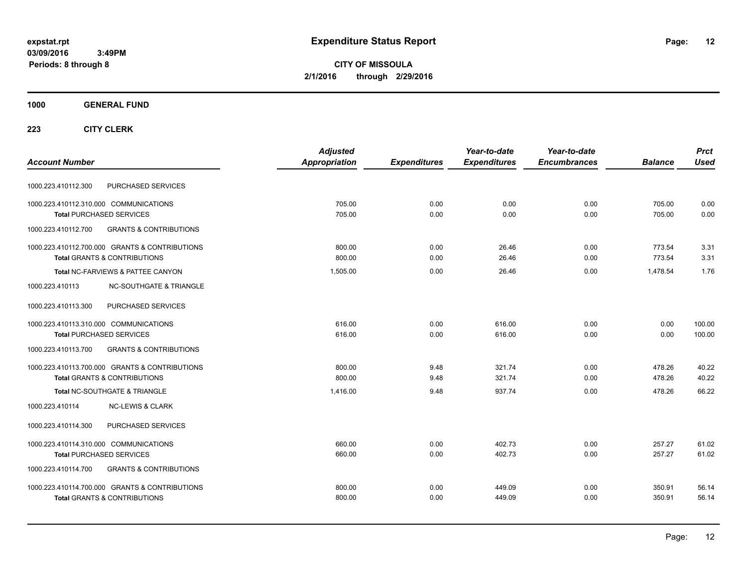**CITY OF MISSOULA 2/1/2016 through 2/29/2016**

### **1000 GENERAL FUND**

|                                                          | <b>Adjusted</b> |                     | Year-to-date        | Year-to-date        |                | <b>Prct</b> |
|----------------------------------------------------------|-----------------|---------------------|---------------------|---------------------|----------------|-------------|
| <b>Account Number</b>                                    | Appropriation   | <b>Expenditures</b> | <b>Expenditures</b> | <b>Encumbrances</b> | <b>Balance</b> | <b>Used</b> |
| PURCHASED SERVICES<br>1000.223.410112.300                |                 |                     |                     |                     |                |             |
| 1000.223.410112.310.000 COMMUNICATIONS                   | 705.00          | 0.00                | 0.00                | 0.00                | 705.00         | 0.00        |
| <b>Total PURCHASED SERVICES</b>                          | 705.00          | 0.00                | 0.00                | 0.00                | 705.00         | 0.00        |
| 1000.223.410112.700<br><b>GRANTS &amp; CONTRIBUTIONS</b> |                 |                     |                     |                     |                |             |
| 1000.223.410112.700.000 GRANTS & CONTRIBUTIONS           | 800.00          | 0.00                | 26.46               | 0.00                | 773.54         | 3.31        |
| <b>Total GRANTS &amp; CONTRIBUTIONS</b>                  | 800.00          | 0.00                | 26.46               | 0.00                | 773.54         | 3.31        |
| Total NC-FARVIEWS & PATTEE CANYON                        | 1,505.00        | 0.00                | 26.46               | 0.00                | 1.478.54       | 1.76        |
| <b>NC-SOUTHGATE &amp; TRIANGLE</b><br>1000.223.410113    |                 |                     |                     |                     |                |             |
| 1000.223.410113.300<br>PURCHASED SERVICES                |                 |                     |                     |                     |                |             |
| 1000.223.410113.310.000 COMMUNICATIONS                   | 616.00          | 0.00                | 616.00              | 0.00                | 0.00           | 100.00      |
| <b>Total PURCHASED SERVICES</b>                          | 616.00          | 0.00                | 616.00              | 0.00                | 0.00           | 100.00      |
| 1000.223.410113.700<br><b>GRANTS &amp; CONTRIBUTIONS</b> |                 |                     |                     |                     |                |             |
| 1000.223.410113.700.000 GRANTS & CONTRIBUTIONS           | 800.00          | 9.48                | 321.74              | 0.00                | 478.26         | 40.22       |
| <b>Total GRANTS &amp; CONTRIBUTIONS</b>                  | 800.00          | 9.48                | 321.74              | 0.00                | 478.26         | 40.22       |
| Total NC-SOUTHGATE & TRIANGLE                            | 1.416.00        | 9.48                | 937.74              | 0.00                | 478.26         | 66.22       |
| 1000.223.410114<br><b>NC-LEWIS &amp; CLARK</b>           |                 |                     |                     |                     |                |             |
| PURCHASED SERVICES<br>1000.223.410114.300                |                 |                     |                     |                     |                |             |
| 1000.223.410114.310.000 COMMUNICATIONS                   | 660.00          | 0.00                | 402.73              | 0.00                | 257.27         | 61.02       |
| <b>Total PURCHASED SERVICES</b>                          | 660.00          | 0.00                | 402.73              | 0.00                | 257.27         | 61.02       |
| <b>GRANTS &amp; CONTRIBUTIONS</b><br>1000.223.410114.700 |                 |                     |                     |                     |                |             |
| 1000.223.410114.700.000 GRANTS & CONTRIBUTIONS           | 800.00          | 0.00                | 449.09              | 0.00                | 350.91         | 56.14       |
| <b>Total GRANTS &amp; CONTRIBUTIONS</b>                  | 800.00          | 0.00                | 449.09              | 0.00                | 350.91         | 56.14       |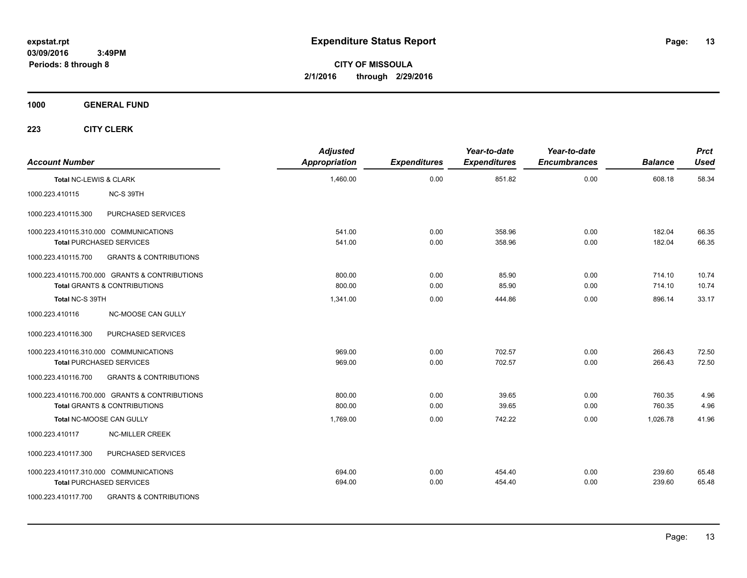**CITY OF MISSOULA 2/1/2016 through 2/29/2016**

**1000 GENERAL FUND**

| <b>Account Number</b>  |                                                | <b>Adjusted</b><br>Appropriation | <b>Expenditures</b> | Year-to-date<br><b>Expenditures</b> | Year-to-date<br><b>Encumbrances</b> | <b>Balance</b> | <b>Prct</b><br><b>Used</b> |
|------------------------|------------------------------------------------|----------------------------------|---------------------|-------------------------------------|-------------------------------------|----------------|----------------------------|
| Total NC-LEWIS & CLARK |                                                | 1,460.00                         | 0.00                | 851.82                              | 0.00                                | 608.18         | 58.34                      |
| 1000.223.410115        | NC-S 39TH                                      |                                  |                     |                                     |                                     |                |                            |
| 1000.223.410115.300    | PURCHASED SERVICES                             |                                  |                     |                                     |                                     |                |                            |
|                        | 1000.223.410115.310.000 COMMUNICATIONS         | 541.00                           | 0.00                | 358.96                              | 0.00                                | 182.04         | 66.35                      |
|                        | <b>Total PURCHASED SERVICES</b>                | 541.00                           | 0.00                | 358.96                              | 0.00                                | 182.04         | 66.35                      |
| 1000.223.410115.700    | <b>GRANTS &amp; CONTRIBUTIONS</b>              |                                  |                     |                                     |                                     |                |                            |
|                        | 1000.223.410115.700.000 GRANTS & CONTRIBUTIONS | 800.00                           | 0.00                | 85.90                               | 0.00                                | 714.10         | 10.74                      |
|                        | <b>Total GRANTS &amp; CONTRIBUTIONS</b>        | 800.00                           | 0.00                | 85.90                               | 0.00                                | 714.10         | 10.74                      |
| Total NC-S 39TH        |                                                | 1,341.00                         | 0.00                | 444.86                              | 0.00                                | 896.14         | 33.17                      |
| 1000.223.410116        | NC-MOOSE CAN GULLY                             |                                  |                     |                                     |                                     |                |                            |
| 1000.223.410116.300    | PURCHASED SERVICES                             |                                  |                     |                                     |                                     |                |                            |
|                        | 1000.223.410116.310.000 COMMUNICATIONS         | 969.00                           | 0.00                | 702.57                              | 0.00                                | 266.43         | 72.50                      |
|                        | <b>Total PURCHASED SERVICES</b>                | 969.00                           | 0.00                | 702.57                              | 0.00                                | 266.43         | 72.50                      |
| 1000.223.410116.700    | <b>GRANTS &amp; CONTRIBUTIONS</b>              |                                  |                     |                                     |                                     |                |                            |
|                        | 1000.223.410116.700.000 GRANTS & CONTRIBUTIONS | 800.00                           | 0.00                | 39.65                               | 0.00                                | 760.35         | 4.96                       |
|                        | <b>Total GRANTS &amp; CONTRIBUTIONS</b>        | 800.00                           | 0.00                | 39.65                               | 0.00                                | 760.35         | 4.96                       |
|                        | Total NC-MOOSE CAN GULLY                       | 1,769.00                         | 0.00                | 742.22                              | 0.00                                | 1,026.78       | 41.96                      |
| 1000.223.410117        | <b>NC-MILLER CREEK</b>                         |                                  |                     |                                     |                                     |                |                            |
| 1000.223.410117.300    | PURCHASED SERVICES                             |                                  |                     |                                     |                                     |                |                            |
|                        | 1000.223.410117.310.000 COMMUNICATIONS         | 694.00                           | 0.00                | 454.40                              | 0.00                                | 239.60         | 65.48                      |
|                        | <b>Total PURCHASED SERVICES</b>                | 694.00                           | 0.00                | 454.40                              | 0.00                                | 239.60         | 65.48                      |
| 1000.223.410117.700    | <b>GRANTS &amp; CONTRIBUTIONS</b>              |                                  |                     |                                     |                                     |                |                            |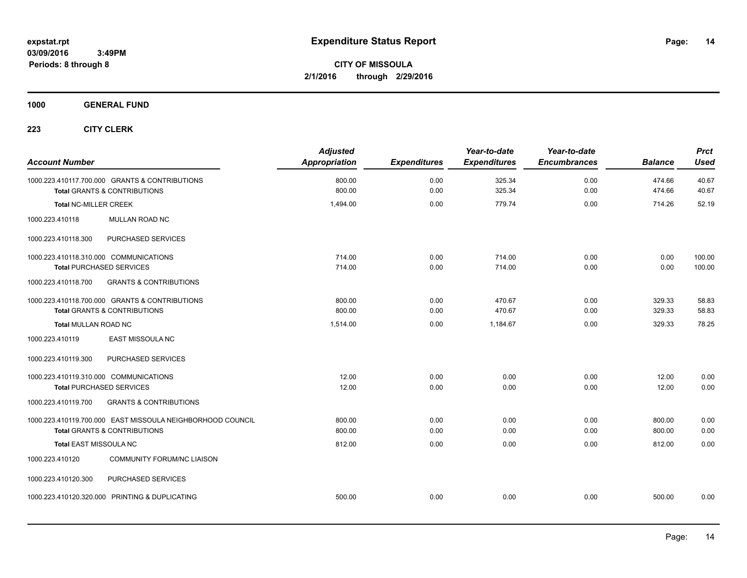**CITY OF MISSOULA 2/1/2016 through 2/29/2016**

**1000 GENERAL FUND**

| <b>Account Number</b>                                                                                 | <b>Adjusted</b><br><b>Appropriation</b> | <b>Expenditures</b> | Year-to-date<br><b>Expenditures</b> | Year-to-date<br><b>Encumbrances</b> | <b>Balance</b>   | <b>Prct</b><br><b>Used</b> |
|-------------------------------------------------------------------------------------------------------|-----------------------------------------|---------------------|-------------------------------------|-------------------------------------|------------------|----------------------------|
| 1000.223.410117.700.000 GRANTS & CONTRIBUTIONS<br><b>Total GRANTS &amp; CONTRIBUTIONS</b>             | 800.00<br>800.00                        | 0.00<br>0.00        | 325.34<br>325.34                    | 0.00<br>0.00                        | 474.66<br>474.66 | 40.67<br>40.67             |
| <b>Total NC-MILLER CREEK</b>                                                                          | 1,494.00                                | 0.00                | 779.74                              | 0.00                                | 714.26           | 52.19                      |
| 1000.223.410118<br>MULLAN ROAD NC                                                                     |                                         |                     |                                     |                                     |                  |                            |
| PURCHASED SERVICES<br>1000.223.410118.300                                                             |                                         |                     |                                     |                                     |                  |                            |
| 1000.223.410118.310.000 COMMUNICATIONS<br><b>Total PURCHASED SERVICES</b>                             | 714.00<br>714.00                        | 0.00<br>0.00        | 714.00<br>714.00                    | 0.00<br>0.00                        | 0.00<br>0.00     | 100.00<br>100.00           |
| <b>GRANTS &amp; CONTRIBUTIONS</b><br>1000.223.410118.700                                              |                                         |                     |                                     |                                     |                  |                            |
| 1000.223.410118.700.000 GRANTS & CONTRIBUTIONS<br>Total GRANTS & CONTRIBUTIONS                        | 800.00<br>800.00                        | 0.00<br>0.00        | 470.67<br>470.67                    | 0.00<br>0.00                        | 329.33<br>329.33 | 58.83<br>58.83             |
| <b>Total MULLAN ROAD NC</b>                                                                           | 1.514.00                                | 0.00                | 1,184.67                            | 0.00                                | 329.33           | 78.25                      |
| 1000.223.410119<br><b>EAST MISSOULA NC</b>                                                            |                                         |                     |                                     |                                     |                  |                            |
| PURCHASED SERVICES<br>1000.223.410119.300                                                             |                                         |                     |                                     |                                     |                  |                            |
| 1000.223.410119.310.000 COMMUNICATIONS<br><b>Total PURCHASED SERVICES</b>                             | 12.00<br>12.00                          | 0.00<br>0.00        | 0.00<br>0.00                        | 0.00<br>0.00                        | 12.00<br>12.00   | 0.00<br>0.00               |
| 1000.223.410119.700<br><b>GRANTS &amp; CONTRIBUTIONS</b>                                              |                                         |                     |                                     |                                     |                  |                            |
| 1000.223.410119.700.000 EAST MISSOULA NEIGHBORHOOD COUNCIL<br><b>Total GRANTS &amp; CONTRIBUTIONS</b> | 800.00<br>800.00                        | 0.00<br>0.00        | 0.00<br>0.00                        | 0.00<br>0.00                        | 800.00<br>800.00 | 0.00<br>0.00               |
| <b>Total EAST MISSOULA NC</b>                                                                         | 812.00                                  | 0.00                | 0.00                                | 0.00                                | 812.00           | 0.00                       |
| 1000.223.410120<br><b>COMMUNITY FORUM/NC LIAISON</b>                                                  |                                         |                     |                                     |                                     |                  |                            |
| PURCHASED SERVICES<br>1000.223.410120.300                                                             |                                         |                     |                                     |                                     |                  |                            |
| 1000.223.410120.320.000 PRINTING & DUPLICATING                                                        | 500.00                                  | 0.00                | 0.00                                | 0.00                                | 500.00           | 0.00                       |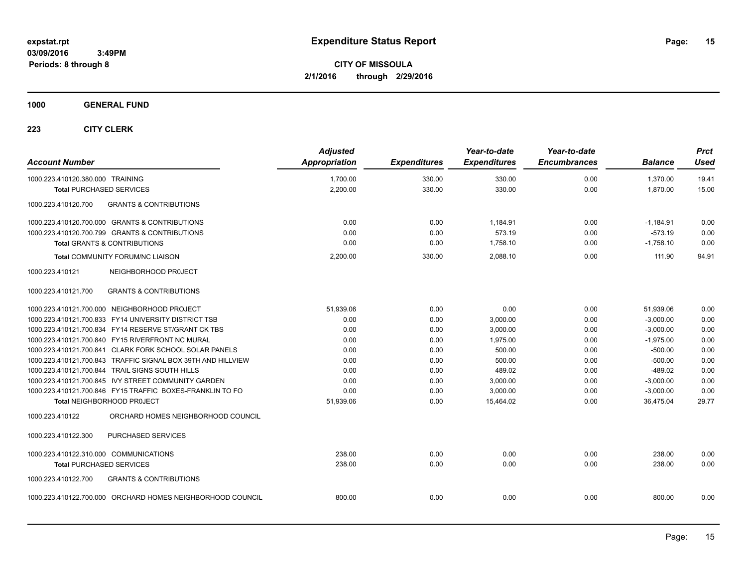**CITY OF MISSOULA 2/1/2016 through 2/29/2016**

### **1000 GENERAL FUND**

| <b>Account Number</b>                                        | <b>Adjusted</b><br><b>Appropriation</b> | <b>Expenditures</b> | Year-to-date<br><b>Expenditures</b> | Year-to-date<br><b>Encumbrances</b> | <b>Balance</b> | <b>Prct</b><br><b>Used</b> |
|--------------------------------------------------------------|-----------------------------------------|---------------------|-------------------------------------|-------------------------------------|----------------|----------------------------|
| 1000.223.410120.380.000 TRAINING                             | 1,700.00                                | 330.00              | 330.00                              | 0.00                                | 1,370.00       | 19.41                      |
| <b>Total PURCHASED SERVICES</b>                              | 2,200.00                                | 330.00              | 330.00                              | 0.00                                | 1,870.00       | 15.00                      |
| <b>GRANTS &amp; CONTRIBUTIONS</b><br>1000.223.410120.700     |                                         |                     |                                     |                                     |                |                            |
| 1000.223.410120.700.000 GRANTS & CONTRIBUTIONS               | 0.00                                    | 0.00                | 1,184.91                            | 0.00                                | $-1,184.91$    | 0.00                       |
| 1000.223.410120.700.799 GRANTS & CONTRIBUTIONS               | 0.00                                    | 0.00                | 573.19                              | 0.00                                | $-573.19$      | 0.00                       |
| <b>Total GRANTS &amp; CONTRIBUTIONS</b>                      | 0.00                                    | 0.00                | 1,758.10                            | 0.00                                | $-1,758.10$    | 0.00                       |
| Total COMMUNITY FORUM/NC LIAISON                             | 2,200.00                                | 330.00              | 2,088.10                            | 0.00                                | 111.90         | 94.91                      |
| NEIGHBORHOOD PROJECT<br>1000.223.410121                      |                                         |                     |                                     |                                     |                |                            |
| <b>GRANTS &amp; CONTRIBUTIONS</b><br>1000.223.410121.700     |                                         |                     |                                     |                                     |                |                            |
| 1000.223.410121.700.000 NEIGHBORHOOD PROJECT                 | 51,939.06                               | 0.00                | 0.00                                | 0.00                                | 51,939.06      | 0.00                       |
| 1000.223.410121.700.833 FY14 UNIVERSITY DISTRICT TSB         | 0.00                                    | 0.00                | 3,000.00                            | 0.00                                | $-3,000.00$    | 0.00                       |
| 1000.223.410121.700.834 FY14 RESERVE ST/GRANT CK TBS         | 0.00                                    | 0.00                | 3,000.00                            | 0.00                                | $-3,000.00$    | 0.00                       |
| 1000.223.410121.700.840 FY15 RIVERFRONT NC MURAL             | 0.00                                    | 0.00                | 1,975.00                            | 0.00                                | $-1,975.00$    | 0.00                       |
| 1000.223.410121.700.841 CLARK FORK SCHOOL SOLAR PANELS       | 0.00                                    | 0.00                | 500.00                              | 0.00                                | $-500.00$      | 0.00                       |
| 1000.223.410121.700.843 TRAFFIC SIGNAL BOX 39TH AND HILLVIEW | 0.00                                    | 0.00                | 500.00                              | 0.00                                | $-500.00$      | 0.00                       |
| 1000.223.410121.700.844 TRAIL SIGNS SOUTH HILLS              | 0.00                                    | 0.00                | 489.02                              | 0.00                                | $-489.02$      | 0.00                       |
| 1000.223.410121.700.845 IVY STREET COMMUNITY GARDEN          | 0.00                                    | 0.00                | 3,000.00                            | 0.00                                | $-3,000.00$    | 0.00                       |
| 1000.223.410121.700.846 FY15 TRAFFIC BOXES-FRANKLIN TO FO    | 0.00                                    | 0.00                | 3,000.00                            | 0.00                                | $-3,000.00$    | 0.00                       |
| Total NEIGHBORHOOD PROJECT                                   | 51,939.06                               | 0.00                | 15,464.02                           | 0.00                                | 36,475.04      | 29.77                      |
| ORCHARD HOMES NEIGHBORHOOD COUNCIL<br>1000.223.410122        |                                         |                     |                                     |                                     |                |                            |
| PURCHASED SERVICES<br>1000.223.410122.300                    |                                         |                     |                                     |                                     |                |                            |
| 1000.223.410122.310.000 COMMUNICATIONS                       | 238.00                                  | 0.00                | 0.00                                | 0.00                                | 238.00         | 0.00                       |
| <b>Total PURCHASED SERVICES</b>                              | 238.00                                  | 0.00                | 0.00                                | 0.00                                | 238.00         | 0.00                       |
| 1000.223.410122.700<br><b>GRANTS &amp; CONTRIBUTIONS</b>     |                                         |                     |                                     |                                     |                |                            |
| 1000.223.410122.700.000 ORCHARD HOMES NEIGHBORHOOD COUNCIL   | 800.00                                  | 0.00                | 0.00                                | 0.00                                | 800.00         | 0.00                       |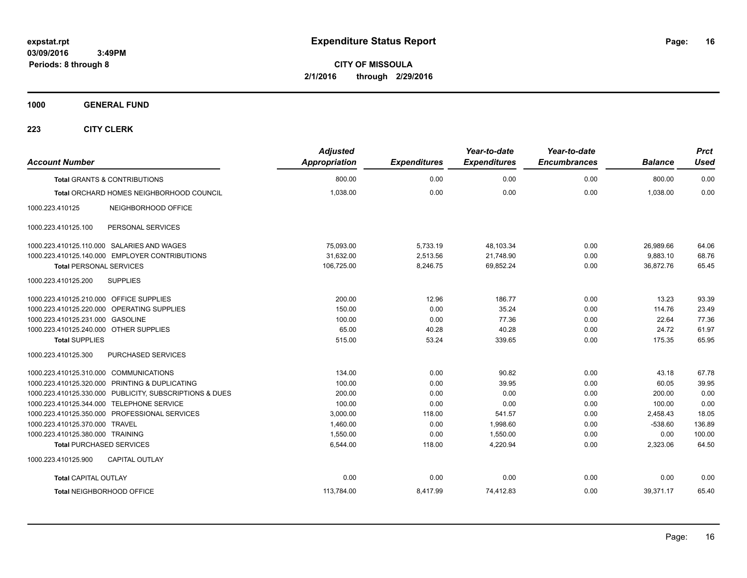**CITY OF MISSOULA 2/1/2016 through 2/29/2016**

**1000 GENERAL FUND**

| <b>Account Number</b>                                   | <b>Adjusted</b><br><b>Appropriation</b> | <b>Expenditures</b> | Year-to-date<br><b>Expenditures</b> | Year-to-date<br><b>Encumbrances</b> | <b>Balance</b> | <b>Prct</b><br><b>Used</b> |
|---------------------------------------------------------|-----------------------------------------|---------------------|-------------------------------------|-------------------------------------|----------------|----------------------------|
| <b>Total GRANTS &amp; CONTRIBUTIONS</b>                 | 800.00                                  | 0.00                | 0.00                                | 0.00                                | 800.00         | 0.00                       |
| Total ORCHARD HOMES NEIGHBORHOOD COUNCIL                | 1,038.00                                | 0.00                | 0.00                                | 0.00                                | 1,038.00       | 0.00                       |
| 1000.223.410125<br>NEIGHBORHOOD OFFICE                  |                                         |                     |                                     |                                     |                |                            |
| 1000.223.410125.100<br>PERSONAL SERVICES                |                                         |                     |                                     |                                     |                |                            |
| 1000.223.410125.110.000 SALARIES AND WAGES              | 75.093.00                               | 5,733.19            | 48,103.34                           | 0.00                                | 26,989.66      | 64.06                      |
| 1000.223.410125.140.000 EMPLOYER CONTRIBUTIONS          | 31.632.00                               | 2.513.56            | 21.748.90                           | 0.00                                | 9.883.10       | 68.76                      |
| <b>Total PERSONAL SERVICES</b>                          | 106,725.00                              | 8,246.75            | 69,852.24                           | 0.00                                | 36,872.76      | 65.45                      |
| 1000.223.410125.200<br><b>SUPPLIES</b>                  |                                         |                     |                                     |                                     |                |                            |
| 1000.223.410125.210.000 OFFICE SUPPLIES                 | 200.00                                  | 12.96               | 186.77                              | 0.00                                | 13.23          | 93.39                      |
| 1000.223.410125.220.000 OPERATING SUPPLIES              | 150.00                                  | 0.00                | 35.24                               | 0.00                                | 114.76         | 23.49                      |
| 1000.223.410125.231.000 GASOLINE                        | 100.00                                  | 0.00                | 77.36                               | 0.00                                | 22.64          | 77.36                      |
| 1000.223.410125.240.000 OTHER SUPPLIES                  | 65.00                                   | 40.28               | 40.28                               | 0.00                                | 24.72          | 61.97                      |
| <b>Total SUPPLIES</b>                                   | 515.00                                  | 53.24               | 339.65                              | 0.00                                | 175.35         | 65.95                      |
| 1000.223.410125.300<br>PURCHASED SERVICES               |                                         |                     |                                     |                                     |                |                            |
| 1000.223.410125.310.000 COMMUNICATIONS                  | 134.00                                  | 0.00                | 90.82                               | 0.00                                | 43.18          | 67.78                      |
| 1000.223.410125.320.000 PRINTING & DUPLICATING          | 100.00                                  | 0.00                | 39.95                               | 0.00                                | 60.05          | 39.95                      |
| 1000.223.410125.330.000 PUBLICITY, SUBSCRIPTIONS & DUES | 200.00                                  | 0.00                | 0.00                                | 0.00                                | 200.00         | 0.00                       |
| 1000.223.410125.344.000 TELEPHONE SERVICE               | 100.00                                  | 0.00                | 0.00                                | 0.00                                | 100.00         | 0.00                       |
| 1000.223.410125.350.000 PROFESSIONAL SERVICES           | 3,000.00                                | 118.00              | 541.57                              | 0.00                                | 2,458.43       | 18.05                      |
| 1000.223.410125.370.000 TRAVEL                          | 1,460.00                                | 0.00                | 1,998.60                            | 0.00                                | $-538.60$      | 136.89                     |
| 1000.223.410125.380.000 TRAINING                        | 1,550.00                                | 0.00                | 1,550.00                            | 0.00                                | 0.00           | 100.00                     |
| <b>Total PURCHASED SERVICES</b>                         | 6,544.00                                | 118.00              | 4,220.94                            | 0.00                                | 2,323.06       | 64.50                      |
| <b>CAPITAL OUTLAY</b><br>1000.223.410125.900            |                                         |                     |                                     |                                     |                |                            |
| <b>Total CAPITAL OUTLAY</b>                             | 0.00                                    | 0.00                | 0.00                                | 0.00                                | 0.00           | 0.00                       |
| Total NEIGHBORHOOD OFFICE                               | 113,784.00                              | 8,417.99            | 74,412.83                           | 0.00                                | 39,371.17      | 65.40                      |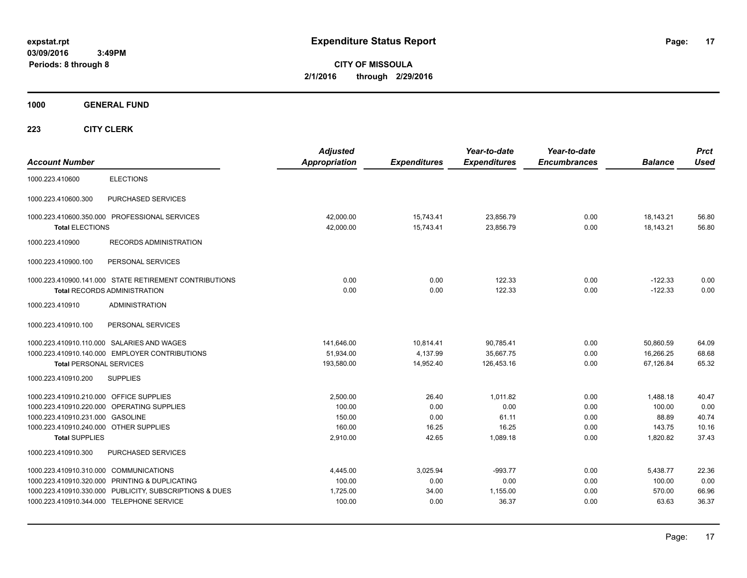**CITY OF MISSOULA 2/1/2016 through 2/29/2016**

**1000 GENERAL FUND**

| <b>Account Number</b>                                                                                                                          |                                                                                                                                                        | <b>Adjusted</b><br><b>Appropriation</b>            | <b>Expenditures</b>                     | Year-to-date<br><b>Expenditures</b>            | Year-to-date<br><b>Encumbrances</b>  | <b>Balance</b>                                    | <b>Prct</b><br><b>Used</b>               |
|------------------------------------------------------------------------------------------------------------------------------------------------|--------------------------------------------------------------------------------------------------------------------------------------------------------|----------------------------------------------------|-----------------------------------------|------------------------------------------------|--------------------------------------|---------------------------------------------------|------------------------------------------|
| 1000.223.410600                                                                                                                                | <b>ELECTIONS</b>                                                                                                                                       |                                                    |                                         |                                                |                                      |                                                   |                                          |
| 1000.223.410600.300                                                                                                                            | PURCHASED SERVICES                                                                                                                                     |                                                    |                                         |                                                |                                      |                                                   |                                          |
| <b>Total ELECTIONS</b>                                                                                                                         | 1000.223.410600.350.000 PROFESSIONAL SERVICES                                                                                                          | 42.000.00<br>42,000.00                             | 15,743.41<br>15,743.41                  | 23,856.79<br>23,856.79                         | 0.00<br>0.00                         | 18,143.21<br>18,143.21                            | 56.80<br>56.80                           |
| 1000.223.410900                                                                                                                                | <b>RECORDS ADMINISTRATION</b>                                                                                                                          |                                                    |                                         |                                                |                                      |                                                   |                                          |
| 1000.223.410900.100                                                                                                                            | PERSONAL SERVICES                                                                                                                                      |                                                    |                                         |                                                |                                      |                                                   |                                          |
|                                                                                                                                                | 1000.223.410900.141.000 STATE RETIREMENT CONTRIBUTIONS<br><b>Total RECORDS ADMINISTRATION</b>                                                          | 0.00<br>0.00                                       | 0.00<br>0.00                            | 122.33<br>122.33                               | 0.00<br>0.00                         | $-122.33$<br>$-122.33$                            | 0.00<br>0.00                             |
| 1000.223.410910                                                                                                                                | <b>ADMINISTRATION</b>                                                                                                                                  |                                                    |                                         |                                                |                                      |                                                   |                                          |
| 1000.223.410910.100                                                                                                                            | PERSONAL SERVICES                                                                                                                                      |                                                    |                                         |                                                |                                      |                                                   |                                          |
| <b>Total PERSONAL SERVICES</b>                                                                                                                 | 1000.223.410910.110.000 SALARIES AND WAGES<br>1000.223.410910.140.000 EMPLOYER CONTRIBUTIONS                                                           | 141,646.00<br>51,934.00<br>193,580.00              | 10,814.41<br>4,137.99<br>14,952.40      | 90,785.41<br>35,667.75<br>126,453.16           | 0.00<br>0.00<br>0.00                 | 50,860.59<br>16,266.25<br>67,126.84               | 64.09<br>68.68<br>65.32                  |
| 1000.223.410910.200                                                                                                                            | <b>SUPPLIES</b>                                                                                                                                        |                                                    |                                         |                                                |                                      |                                                   |                                          |
| 1000.223.410910.210.000 OFFICE SUPPLIES<br>1000.223.410910.231.000 GASOLINE<br>1000.223.410910.240.000 OTHER SUPPLIES<br><b>Total SUPPLIES</b> | 1000.223.410910.220.000 OPERATING SUPPLIES                                                                                                             | 2.500.00<br>100.00<br>150.00<br>160.00<br>2,910.00 | 26.40<br>0.00<br>0.00<br>16.25<br>42.65 | 1.011.82<br>0.00<br>61.11<br>16.25<br>1,089.18 | 0.00<br>0.00<br>0.00<br>0.00<br>0.00 | 1,488.18<br>100.00<br>88.89<br>143.75<br>1,820.82 | 40.47<br>0.00<br>40.74<br>10.16<br>37.43 |
| 1000.223.410910.300                                                                                                                            | PURCHASED SERVICES                                                                                                                                     |                                                    |                                         |                                                |                                      |                                                   |                                          |
| 1000.223.410910.310.000 COMMUNICATIONS                                                                                                         | 1000.223.410910.320.000 PRINTING & DUPLICATING<br>1000.223.410910.330.000 PUBLICITY, SUBSCRIPTIONS & DUES<br>1000.223.410910.344.000 TELEPHONE SERVICE | 4,445.00<br>100.00<br>1,725.00<br>100.00           | 3,025.94<br>0.00<br>34.00<br>0.00       | $-993.77$<br>0.00<br>1,155.00<br>36.37         | 0.00<br>0.00<br>0.00<br>0.00         | 5,438.77<br>100.00<br>570.00<br>63.63             | 22.36<br>0.00<br>66.96<br>36.37          |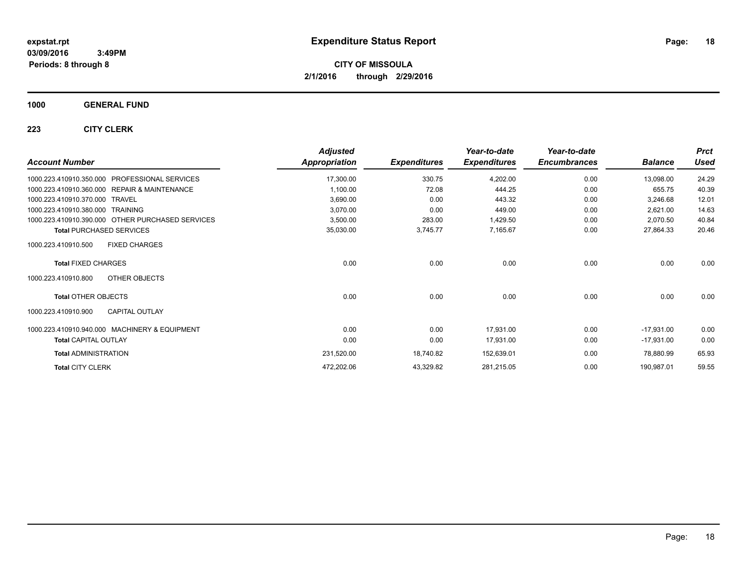**CITY OF MISSOULA 2/1/2016 through 2/29/2016**

### **1000 GENERAL FUND**

| <b>Account Number</b>                                   | <b>Adjusted</b><br><b>Appropriation</b> | <b>Expenditures</b> | Year-to-date<br><b>Expenditures</b> | Year-to-date<br><b>Encumbrances</b> | <b>Balance</b> | <b>Prct</b><br><b>Used</b> |
|---------------------------------------------------------|-----------------------------------------|---------------------|-------------------------------------|-------------------------------------|----------------|----------------------------|
| <b>PROFESSIONAL SERVICES</b><br>1000.223.410910.350.000 | 17,300.00                               | 330.75              | 4,202.00                            | 0.00                                | 13,098.00      | 24.29                      |
| 1000.223.410910.360.000 REPAIR & MAINTENANCE            | 1,100.00                                | 72.08               | 444.25                              | 0.00                                | 655.75         | 40.39                      |
| 1000.223.410910.370.000<br><b>TRAVEL</b>                | 3,690.00                                | 0.00                | 443.32                              | 0.00                                | 3,246.68       | 12.01                      |
| 1000.223.410910.380.000 TRAINING                        | 3,070.00                                | 0.00                | 449.00                              | 0.00                                | 2,621.00       | 14.63                      |
| 1000.223.410910.390.000 OTHER PURCHASED SERVICES        | 3,500.00                                | 283.00              | 1,429.50                            | 0.00                                | 2,070.50       | 40.84                      |
| <b>Total PURCHASED SERVICES</b>                         | 35,030.00                               | 3,745.77            | 7,165.67                            | 0.00                                | 27,864.33      | 20.46                      |
| <b>FIXED CHARGES</b><br>1000.223.410910.500             |                                         |                     |                                     |                                     |                |                            |
| <b>Total FIXED CHARGES</b>                              | 0.00                                    | 0.00                | 0.00                                | 0.00                                | 0.00           | 0.00                       |
| OTHER OBJECTS<br>1000.223.410910.800                    |                                         |                     |                                     |                                     |                |                            |
| <b>Total OTHER OBJECTS</b>                              | 0.00                                    | 0.00                | 0.00                                | 0.00                                | 0.00           | 0.00                       |
| <b>CAPITAL OUTLAY</b><br>1000.223.410910.900            |                                         |                     |                                     |                                     |                |                            |
| 1000.223.410910.940.000 MACHINERY & EQUIPMENT           | 0.00                                    | 0.00                | 17,931.00                           | 0.00                                | $-17,931.00$   | 0.00                       |
| <b>Total CAPITAL OUTLAY</b>                             | 0.00                                    | 0.00                | 17,931.00                           | 0.00                                | $-17,931.00$   | 0.00                       |
| <b>Total ADMINISTRATION</b>                             | 231,520.00                              | 18,740.82           | 152,639.01                          | 0.00                                | 78,880.99      | 65.93                      |
| <b>Total CITY CLERK</b>                                 | 472,202.06                              | 43,329.82           | 281,215.05                          | 0.00                                | 190,987.01     | 59.55                      |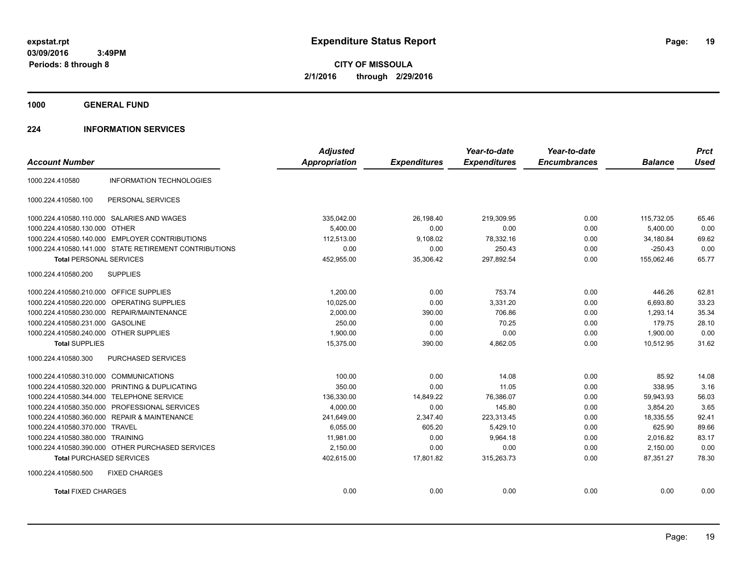**CITY OF MISSOULA 2/1/2016 through 2/29/2016**

**1000 GENERAL FUND**

### **224 INFORMATION SERVICES**

| <b>Account Number</b>                   |                                                        | <b>Adjusted</b><br>Appropriation | <b>Expenditures</b> | Year-to-date<br><b>Expenditures</b> | Year-to-date<br><b>Encumbrances</b> | <b>Balance</b> | <b>Prct</b><br><b>Used</b> |
|-----------------------------------------|--------------------------------------------------------|----------------------------------|---------------------|-------------------------------------|-------------------------------------|----------------|----------------------------|
| 1000.224.410580                         | <b>INFORMATION TECHNOLOGIES</b>                        |                                  |                     |                                     |                                     |                |                            |
|                                         |                                                        |                                  |                     |                                     |                                     |                |                            |
| 1000.224.410580.100                     | PERSONAL SERVICES                                      |                                  |                     |                                     |                                     |                |                            |
|                                         | 1000.224.410580.110.000 SALARIES AND WAGES             | 335,042.00                       | 26,198.40           | 219,309.95                          | 0.00                                | 115,732.05     | 65.46                      |
| 1000.224.410580.130.000 OTHER           |                                                        | 5.400.00                         | 0.00                | 0.00                                | 0.00                                | 5.400.00       | 0.00                       |
|                                         | 1000.224.410580.140.000 EMPLOYER CONTRIBUTIONS         | 112,513.00                       | 9,108.02            | 78,332.16                           | 0.00                                | 34,180.84      | 69.62                      |
|                                         | 1000.224.410580.141.000 STATE RETIREMENT CONTRIBUTIONS | 0.00                             | 0.00                | 250.43                              | 0.00                                | $-250.43$      | 0.00                       |
| <b>Total PERSONAL SERVICES</b>          |                                                        | 452,955.00                       | 35,306.42           | 297,892.54                          | 0.00                                | 155,062.46     | 65.77                      |
| 1000.224.410580.200                     | <b>SUPPLIES</b>                                        |                                  |                     |                                     |                                     |                |                            |
| 1000.224.410580.210.000 OFFICE SUPPLIES |                                                        | 1,200.00                         | 0.00                | 753.74                              | 0.00                                | 446.26         | 62.81                      |
| 1000.224.410580.220.000                 | OPERATING SUPPLIES                                     | 10,025.00                        | 0.00                | 3,331.20                            | 0.00                                | 6,693.80       | 33.23                      |
|                                         | 1000.224.410580.230.000 REPAIR/MAINTENANCE             | 2,000.00                         | 390.00              | 706.86                              | 0.00                                | 1,293.14       | 35.34                      |
| 1000.224.410580.231.000 GASOLINE        |                                                        | 250.00                           | 0.00                | 70.25                               | 0.00                                | 179.75         | 28.10                      |
| 1000.224.410580.240.000 OTHER SUPPLIES  |                                                        | 1,900.00                         | 0.00                | 0.00                                | 0.00                                | 1,900.00       | 0.00                       |
| <b>Total SUPPLIES</b>                   |                                                        | 15,375.00                        | 390.00              | 4,862.05                            | 0.00                                | 10.512.95      | 31.62                      |
| 1000.224.410580.300                     | PURCHASED SERVICES                                     |                                  |                     |                                     |                                     |                |                            |
| 1000.224.410580.310.000 COMMUNICATIONS  |                                                        | 100.00                           | 0.00                | 14.08                               | 0.00                                | 85.92          | 14.08                      |
| 1000.224.410580.320.000                 | PRINTING & DUPLICATING                                 | 350.00                           | 0.00                | 11.05                               | 0.00                                | 338.95         | 3.16                       |
| 1000.224.410580.344.000                 | <b>TELEPHONE SERVICE</b>                               | 136,330.00                       | 14,849.22           | 76,386.07                           | 0.00                                | 59,943.93      | 56.03                      |
|                                         | 1000.224.410580.350.000 PROFESSIONAL SERVICES          | 4,000.00                         | 0.00                | 145.80                              | 0.00                                | 3,854.20       | 3.65                       |
| 1000.224.410580.360.000                 | <b>REPAIR &amp; MAINTENANCE</b>                        | 241,649.00                       | 2,347.40            | 223,313.45                          | 0.00                                | 18,335.55      | 92.41                      |
| 1000.224.410580.370.000                 | TRAVEL                                                 | 6,055.00                         | 605.20              | 5,429.10                            | 0.00                                | 625.90         | 89.66                      |
| 1000.224.410580.380.000 TRAINING        |                                                        | 11,981.00                        | 0.00                | 9.964.18                            | 0.00                                | 2.016.82       | 83.17                      |
|                                         | 1000.224.410580.390.000 OTHER PURCHASED SERVICES       | 2,150.00                         | 0.00                | 0.00                                | 0.00                                | 2,150.00       | 0.00                       |
| <b>Total PURCHASED SERVICES</b>         |                                                        | 402,615.00                       | 17,801.82           | 315,263.73                          | 0.00                                | 87,351.27      | 78.30                      |
| 1000.224.410580.500                     | <b>FIXED CHARGES</b>                                   |                                  |                     |                                     |                                     |                |                            |
| <b>Total FIXED CHARGES</b>              |                                                        | 0.00                             | 0.00                | 0.00                                | 0.00                                | 0.00           | 0.00                       |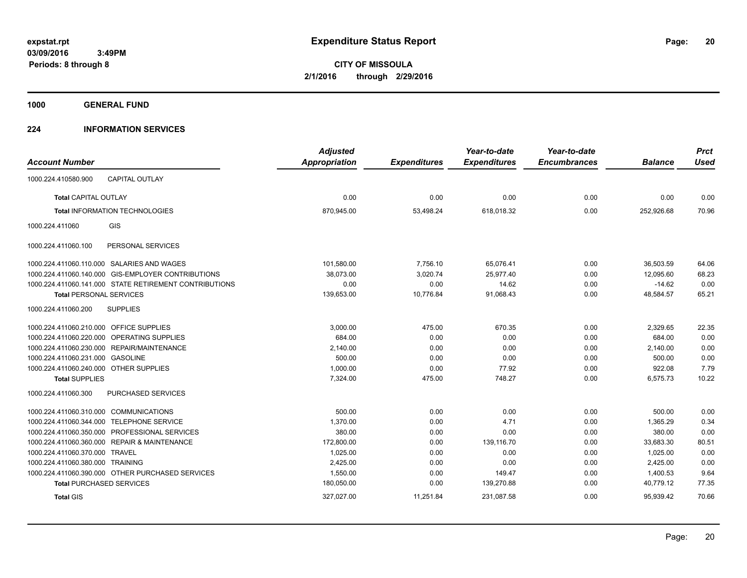**Periods: 8 through 8**

**CITY OF MISSOULA 2/1/2016 through 2/29/2016**

**1000 GENERAL FUND**

### **224 INFORMATION SERVICES**

|                                                        | <b>Adjusted</b> |                     | Year-to-date        | Year-to-date        |                | <b>Prct</b> |
|--------------------------------------------------------|-----------------|---------------------|---------------------|---------------------|----------------|-------------|
| <b>Account Number</b>                                  | Appropriation   | <b>Expenditures</b> | <b>Expenditures</b> | <b>Encumbrances</b> | <b>Balance</b> | <b>Used</b> |
| <b>CAPITAL OUTLAY</b><br>1000.224.410580.900           |                 |                     |                     |                     |                |             |
| <b>Total CAPITAL OUTLAY</b>                            | 0.00            | 0.00                | 0.00                | 0.00                | 0.00           | 0.00        |
| <b>Total INFORMATION TECHNOLOGIES</b>                  | 870,945.00      | 53,498.24           | 618,018.32          | 0.00                | 252,926.68     | 70.96       |
| <b>GIS</b><br>1000.224.411060                          |                 |                     |                     |                     |                |             |
| 1000.224.411060.100<br>PERSONAL SERVICES               |                 |                     |                     |                     |                |             |
| 1000.224.411060.110.000 SALARIES AND WAGES             | 101,580.00      | 7,756.10            | 65,076.41           | 0.00                | 36,503.59      | 64.06       |
| 1000.224.411060.140.000 GIS-EMPLOYER CONTRIBUTIONS     | 38,073.00       | 3,020.74            | 25,977.40           | 0.00                | 12,095.60      | 68.23       |
| 1000.224.411060.141.000 STATE RETIREMENT CONTRIBUTIONS | 0.00            | 0.00                | 14.62               | 0.00                | $-14.62$       | 0.00        |
| <b>Total PERSONAL SERVICES</b>                         | 139,653.00      | 10,776.84           | 91,068.43           | 0.00                | 48,584.57      | 65.21       |
| <b>SUPPLIES</b><br>1000.224.411060.200                 |                 |                     |                     |                     |                |             |
| 1000.224.411060.210.000 OFFICE SUPPLIES                | 3,000.00        | 475.00              | 670.35              | 0.00                | 2,329.65       | 22.35       |
| 1000.224.411060.220.000 OPERATING SUPPLIES             | 684.00          | 0.00                | 0.00                | 0.00                | 684.00         | 0.00        |
| 1000.224.411060.230.000 REPAIR/MAINTENANCE             | 2,140.00        | 0.00                | 0.00                | 0.00                | 2,140.00       | 0.00        |
| 1000.224.411060.231.000 GASOLINE                       | 500.00          | 0.00                | 0.00                | 0.00                | 500.00         | 0.00        |
| 1000.224.411060.240.000 OTHER SUPPLIES                 | 1,000.00        | 0.00                | 77.92               | 0.00                | 922.08         | 7.79        |
| <b>Total SUPPLIES</b>                                  | 7,324.00        | 475.00              | 748.27              | 0.00                | 6,575.73       | 10.22       |
| 1000.224.411060.300<br>PURCHASED SERVICES              |                 |                     |                     |                     |                |             |
| 1000.224.411060.310.000 COMMUNICATIONS                 | 500.00          | 0.00                | 0.00                | 0.00                | 500.00         | 0.00        |
| 1000.224.411060.344.000 TELEPHONE SERVICE              | 1.370.00        | 0.00                | 4.71                | 0.00                | 1,365.29       | 0.34        |
| 1000.224.411060.350.000 PROFESSIONAL SERVICES          | 380.00          | 0.00                | 0.00                | 0.00                | 380.00         | 0.00        |
| 1000.224.411060.360.000 REPAIR & MAINTENANCE           | 172,800.00      | 0.00                | 139,116.70          | 0.00                | 33,683.30      | 80.51       |
| 1000.224.411060.370.000 TRAVEL                         | 1,025.00        | 0.00                | 0.00                | 0.00                | 1,025.00       | 0.00        |
| 1000.224.411060.380.000 TRAINING                       | 2,425.00        | 0.00                | 0.00                | 0.00                | 2,425.00       | 0.00        |
| 1000.224.411060.390.000 OTHER PURCHASED SERVICES       | 1,550.00        | 0.00                | 149.47              | 0.00                | 1,400.53       | 9.64        |
| <b>Total PURCHASED SERVICES</b>                        | 180,050.00      | 0.00                | 139,270.88          | 0.00                | 40,779.12      | 77.35       |
| <b>Total GIS</b>                                       | 327,027.00      | 11,251.84           | 231,087.58          | 0.00                | 95,939.42      | 70.66       |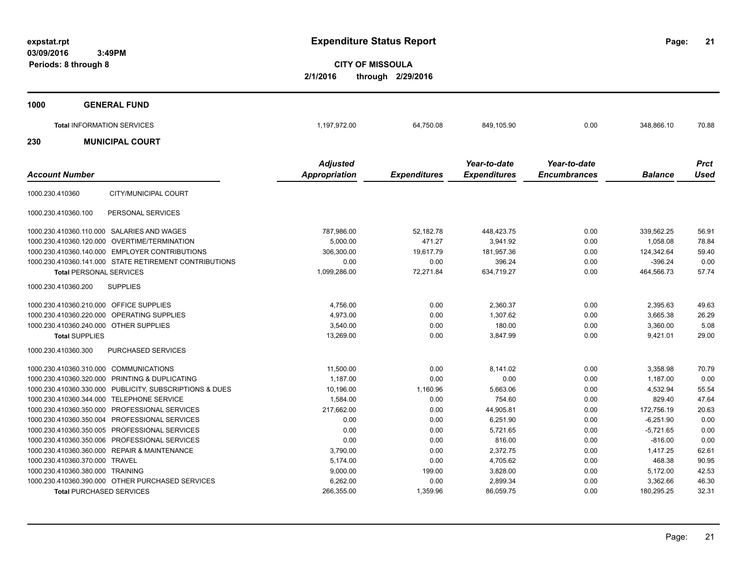**21**

**CITY OF MISSOULA 2/1/2016 through 2/29/2016**

| 1000                  | <b>GENERAL FUND</b>               |                                         |                     |                                     |                                     |                |                            |
|-----------------------|-----------------------------------|-----------------------------------------|---------------------|-------------------------------------|-------------------------------------|----------------|----------------------------|
|                       | <b>Total INFORMATION SERVICES</b> | 1,197,972.00                            | 64,750.08           | 849,105.90                          | 0.00                                | 348,866.10     | 70.88                      |
| 230                   | <b>MUNICIPAL COURT</b>            |                                         |                     |                                     |                                     |                |                            |
| <b>Account Number</b> |                                   | <b>Adjusted</b><br><b>Appropriation</b> | <b>Expenditures</b> | Year-to-date<br><b>Expenditures</b> | Year-to-date<br><b>Encumbrances</b> | <b>Balance</b> | <b>Prct</b><br><b>Used</b> |
| 1000.230.410360       | CITY/MUNICIPAL COURT              |                                         |                     |                                     |                                     |                |                            |

| PERSONAL SERVICES<br>1000.230.410360.100                |              |           |            |      |             |       |
|---------------------------------------------------------|--------------|-----------|------------|------|-------------|-------|
| 1000.230.410360.110.000 SALARIES AND WAGES              | 787,986.00   | 52,182.78 | 448,423.75 | 0.00 | 339.562.25  | 56.91 |
| 1000.230.410360.120.000 OVERTIME/TERMINATION            | 5.000.00     | 471.27    | 3,941.92   | 0.00 | 1,058.08    | 78.84 |
| 1000.230.410360.140.000 EMPLOYER CONTRIBUTIONS          | 306.300.00   | 19.617.79 | 181.957.36 | 0.00 | 124.342.64  | 59.40 |
| 1000.230.410360.141.000 STATE RETIREMENT CONTRIBUTIONS  | 0.00         | 0.00      | 396.24     | 0.00 | $-396.24$   | 0.00  |
| <b>Total PERSONAL SERVICES</b>                          | 1,099,286.00 | 72.271.84 | 634.719.27 | 0.00 | 464.566.73  | 57.74 |
| 1000.230.410360.200<br><b>SUPPLIES</b>                  |              |           |            |      |             |       |
| 1000.230.410360.210.000 OFFICE SUPPLIES                 | 4,756.00     | 0.00      | 2,360.37   | 0.00 | 2,395.63    | 49.63 |
| 1000.230.410360.220.000 OPERATING SUPPLIES              | 4,973.00     | 0.00      | 1.307.62   | 0.00 | 3,665.38    | 26.29 |
| 1000.230.410360.240.000 OTHER SUPPLIES                  | 3,540.00     | 0.00      | 180.00     | 0.00 | 3,360.00    | 5.08  |
| <b>Total SUPPLIES</b>                                   | 13,269.00    | 0.00      | 3,847.99   | 0.00 | 9,421.01    | 29.00 |
| 1000.230.410360.300<br><b>PURCHASED SERVICES</b>        |              |           |            |      |             |       |
| 1000.230.410360.310.000 COMMUNICATIONS                  | 11,500.00    | 0.00      | 8,141.02   | 0.00 | 3,358.98    | 70.79 |
| 1000.230.410360.320.000 PRINTING & DUPLICATING          | 1.187.00     | 0.00      | 0.00       | 0.00 | 1.187.00    | 0.00  |
| 1000.230.410360.330.000 PUBLICITY, SUBSCRIPTIONS & DUES | 10.196.00    | 1.160.96  | 5.663.06   | 0.00 | 4.532.94    | 55.54 |
| 1000.230.410360.344.000 TELEPHONE SERVICE               | 1,584.00     | 0.00      | 754.60     | 0.00 | 829.40      | 47.64 |
| 1000.230.410360.350.000 PROFESSIONAL SERVICES           | 217.662.00   | 0.00      | 44.905.81  | 0.00 | 172.756.19  | 20.63 |
| 1000.230.410360.350.004 PROFESSIONAL SERVICES           | 0.00         | 0.00      | 6.251.90   | 0.00 | $-6.251.90$ | 0.00  |
| 1000.230.410360.350.005 PROFESSIONAL SERVICES           | 0.00         | 0.00      | 5,721.65   | 0.00 | $-5,721.65$ | 0.00  |
| 1000.230.410360.350.006 PROFESSIONAL SERVICES           | 0.00         | 0.00      | 816.00     | 0.00 | $-816.00$   | 0.00  |
| 1000.230.410360.360.000 REPAIR & MAINTENANCE            | 3,790.00     | 0.00      | 2.372.75   | 0.00 | 1.417.25    | 62.61 |
| 1000.230.410360.370.000 TRAVEL                          | 5.174.00     | 0.00      | 4.705.62   | 0.00 | 468.38      | 90.95 |
| 1000.230.410360.380.000 TRAINING                        | 9,000.00     | 199.00    | 3,828.00   | 0.00 | 5,172.00    | 42.53 |
| 1000.230.410360.390.000 OTHER PURCHASED SERVICES        | 6,262.00     | 0.00      | 2,899.34   | 0.00 | 3,362.66    | 46.30 |
| <b>Total PURCHASED SERVICES</b>                         | 266.355.00   | 1.359.96  | 86.059.75  | 0.00 | 180.295.25  | 32.31 |
|                                                         |              |           |            |      |             |       |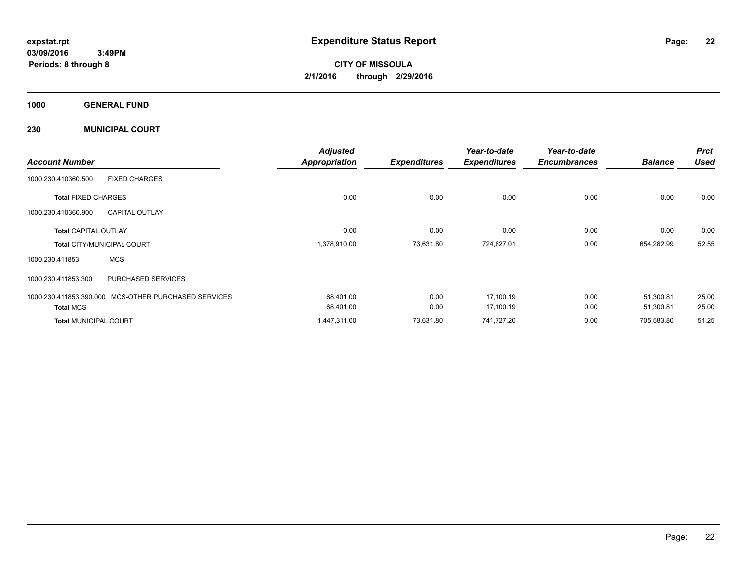**CITY OF MISSOULA 2/1/2016 through 2/29/2016**

**1000 GENERAL FUND**

**230 MUNICIPAL COURT**

| <b>Account Number</b>             |                                                      | <b>Adjusted</b><br><b>Appropriation</b> | <b>Expenditures</b> | Year-to-date<br><b>Expenditures</b> | Year-to-date<br><b>Encumbrances</b> | <b>Balance</b> | <b>Prct</b><br><b>Used</b> |
|-----------------------------------|------------------------------------------------------|-----------------------------------------|---------------------|-------------------------------------|-------------------------------------|----------------|----------------------------|
| 1000.230.410360.500               | <b>FIXED CHARGES</b>                                 |                                         |                     |                                     |                                     |                |                            |
| <b>Total FIXED CHARGES</b>        |                                                      | 0.00                                    | 0.00                | 0.00                                | 0.00                                | 0.00           | 0.00                       |
| 1000.230.410360.900               | <b>CAPITAL OUTLAY</b>                                |                                         |                     |                                     |                                     |                |                            |
| <b>Total CAPITAL OUTLAY</b>       |                                                      | 0.00                                    | 0.00                | 0.00                                | 0.00                                | 0.00           | 0.00                       |
| <b>Total CITY/MUNICIPAL COURT</b> |                                                      | 1,378,910.00                            | 73,631.80           | 724,627.01                          | 0.00                                | 654,282.99     | 52.55                      |
| 1000.230.411853                   | <b>MCS</b>                                           |                                         |                     |                                     |                                     |                |                            |
| 1000.230.411853.300               | PURCHASED SERVICES                                   |                                         |                     |                                     |                                     |                |                            |
|                                   | 1000.230.411853.390.000 MCS-OTHER PURCHASED SERVICES | 68,401.00                               | 0.00                | 17,100.19                           | 0.00                                | 51,300.81      | 25.00                      |
| <b>Total MCS</b>                  |                                                      | 68,401.00                               | 0.00                | 17,100.19                           | 0.00                                | 51,300.81      | 25.00                      |
| <b>Total MUNICIPAL COURT</b>      |                                                      | 1,447,311.00                            | 73,631.80           | 741,727.20                          | 0.00                                | 705,583.80     | 51.25                      |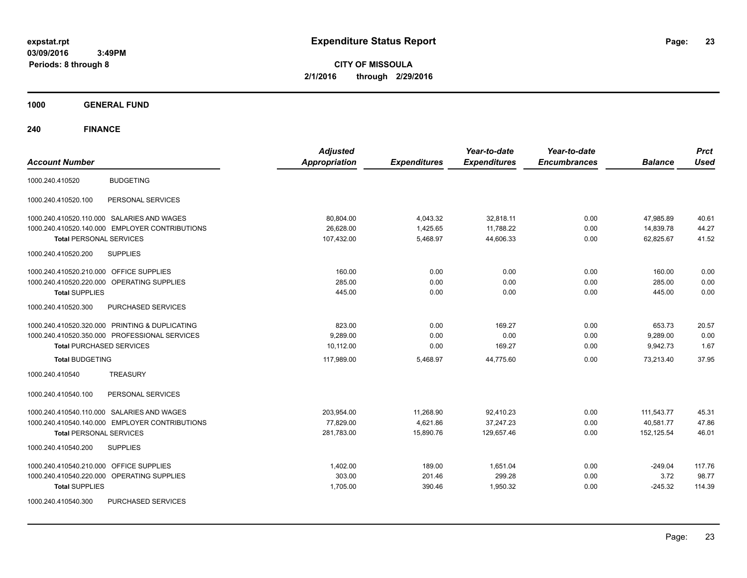**CITY OF MISSOULA 2/1/2016 through 2/29/2016**

**1000 GENERAL FUND**

| <b>Account Number</b>                                | <b>Adjusted</b><br><b>Appropriation</b> | <b>Expenditures</b> | Year-to-date<br><b>Expenditures</b> | Year-to-date<br><b>Encumbrances</b> | <b>Balance</b> | <b>Prct</b><br><b>Used</b> |
|------------------------------------------------------|-----------------------------------------|---------------------|-------------------------------------|-------------------------------------|----------------|----------------------------|
| <b>BUDGETING</b><br>1000.240.410520                  |                                         |                     |                                     |                                     |                |                            |
| PERSONAL SERVICES<br>1000.240.410520.100             |                                         |                     |                                     |                                     |                |                            |
| 1000.240.410520.110.000 SALARIES AND WAGES           | 80,804.00                               | 4,043.32            | 32,818.11                           | 0.00                                | 47,985.89      | 40.61                      |
| 1000.240.410520.140.000 EMPLOYER CONTRIBUTIONS       | 26,628.00                               | 1,425.65            | 11,788.22                           | 0.00                                | 14,839.78      | 44.27                      |
| <b>Total PERSONAL SERVICES</b>                       | 107,432.00                              | 5,468.97            | 44,606.33                           | 0.00                                | 62,825.67      | 41.52                      |
| <b>SUPPLIES</b><br>1000.240.410520.200               |                                         |                     |                                     |                                     |                |                            |
| 1000.240.410520.210.000 OFFICE SUPPLIES              | 160.00                                  | 0.00                | 0.00                                | 0.00                                | 160.00         | 0.00                       |
| 1000.240.410520.220.000 OPERATING SUPPLIES           | 285.00                                  | 0.00                | 0.00                                | 0.00                                | 285.00         | 0.00                       |
| <b>Total SUPPLIES</b>                                | 445.00                                  | 0.00                | 0.00                                | 0.00                                | 445.00         | 0.00                       |
| 1000.240.410520.300<br>PURCHASED SERVICES            |                                         |                     |                                     |                                     |                |                            |
| 1000.240.410520.320.000 PRINTING & DUPLICATING       | 823.00                                  | 0.00                | 169.27                              | 0.00                                | 653.73         | 20.57                      |
| 1000.240.410520.350.000 PROFESSIONAL SERVICES        | 9,289.00                                | 0.00                | 0.00                                | 0.00                                | 9,289.00       | 0.00                       |
| <b>Total PURCHASED SERVICES</b>                      | 10,112.00                               | 0.00                | 169.27                              | 0.00                                | 9,942.73       | 1.67                       |
| <b>Total BUDGETING</b>                               | 117,989.00                              | 5,468.97            | 44,775.60                           | 0.00                                | 73,213.40      | 37.95                      |
| <b>TREASURY</b><br>1000.240.410540                   |                                         |                     |                                     |                                     |                |                            |
| 1000.240.410540.100<br>PERSONAL SERVICES             |                                         |                     |                                     |                                     |                |                            |
| 1000.240.410540.110.000 SALARIES AND WAGES           | 203,954.00                              | 11,268.90           | 92,410.23                           | 0.00                                | 111,543.77     | 45.31                      |
| 1000.240.410540.140.000 EMPLOYER CONTRIBUTIONS       | 77,829.00                               | 4,621.86            | 37,247.23                           | 0.00                                | 40,581.77      | 47.86                      |
| <b>Total PERSONAL SERVICES</b>                       | 281,783.00                              | 15,890.76           | 129,657.46                          | 0.00                                | 152,125.54     | 46.01                      |
| 1000.240.410540.200<br><b>SUPPLIES</b>               |                                         |                     |                                     |                                     |                |                            |
| 1000.240.410540.210.000 OFFICE SUPPLIES              | 1,402.00                                | 189.00              | 1,651.04                            | 0.00                                | $-249.04$      | 117.76                     |
| 1000.240.410540.220.000<br><b>OPERATING SUPPLIES</b> | 303.00                                  | 201.46              | 299.28                              | 0.00                                | 3.72           | 98.77                      |
| <b>Total SUPPLIES</b>                                | 1,705.00                                | 390.46              | 1,950.32                            | 0.00                                | $-245.32$      | 114.39                     |
| 1000.240.410540.300<br>PURCHASED SERVICES            |                                         |                     |                                     |                                     |                |                            |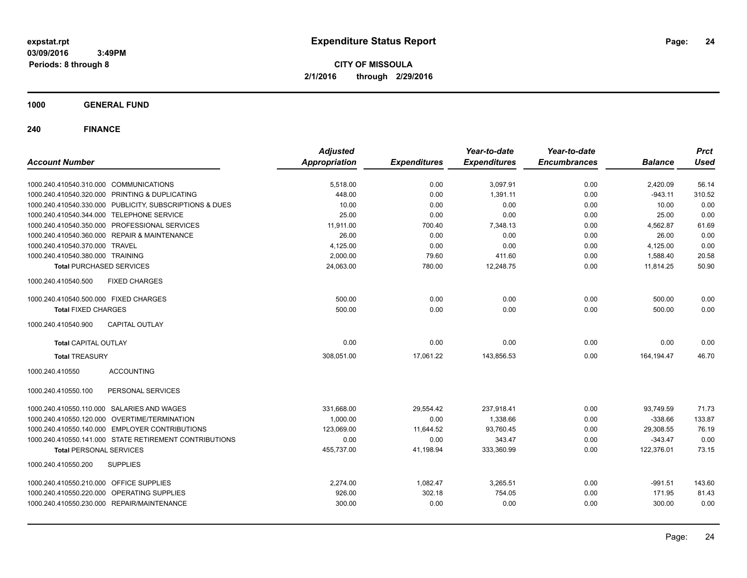**CITY OF MISSOULA 2/1/2016 through 2/29/2016**

**1000 GENERAL FUND**

| <b>Account Number</b>                                   | <b>Adjusted</b><br><b>Appropriation</b> | <b>Expenditures</b> | Year-to-date<br><b>Expenditures</b> | Year-to-date<br><b>Encumbrances</b> | <b>Balance</b> | <b>Prct</b><br><b>Used</b> |
|---------------------------------------------------------|-----------------------------------------|---------------------|-------------------------------------|-------------------------------------|----------------|----------------------------|
|                                                         |                                         |                     |                                     |                                     |                |                            |
| 1000.240.410540.310.000 COMMUNICATIONS                  | 5,518.00                                | 0.00                | 3,097.91                            | 0.00                                | 2,420.09       | 56.14                      |
| 1000.240.410540.320.000 PRINTING & DUPLICATING          | 448.00                                  | 0.00                | 1,391.11                            | 0.00                                | $-943.11$      | 310.52                     |
| 1000.240.410540.330.000 PUBLICITY, SUBSCRIPTIONS & DUES | 10.00                                   | 0.00                | 0.00                                | 0.00                                | 10.00          | 0.00                       |
| 1000.240.410540.344.000 TELEPHONE SERVICE               | 25.00                                   | 0.00                | 0.00                                | 0.00                                | 25.00          | 0.00                       |
| 1000.240.410540.350.000 PROFESSIONAL SERVICES           | 11.911.00                               | 700.40              | 7,348.13                            | 0.00                                | 4,562.87       | 61.69                      |
| 1000.240.410540.360.000 REPAIR & MAINTENANCE            | 26.00                                   | 0.00                | 0.00                                | 0.00                                | 26.00          | 0.00                       |
| 1000.240.410540.370.000 TRAVEL                          | 4,125.00                                | 0.00                | 0.00                                | 0.00                                | 4,125.00       | 0.00                       |
| 1000.240.410540.380.000 TRAINING                        | 2,000.00                                | 79.60               | 411.60                              | 0.00                                | 1,588.40       | 20.58                      |
| <b>Total PURCHASED SERVICES</b>                         | 24,063.00                               | 780.00              | 12,248.75                           | 0.00                                | 11,814.25      | 50.90                      |
| 1000.240.410540.500<br><b>FIXED CHARGES</b>             |                                         |                     |                                     |                                     |                |                            |
| 1000.240.410540.500.000 FIXED CHARGES                   | 500.00                                  | 0.00                | 0.00                                | 0.00                                | 500.00         | 0.00                       |
| <b>Total FIXED CHARGES</b>                              | 500.00                                  | 0.00                | 0.00                                | 0.00                                | 500.00         | 0.00                       |
| <b>CAPITAL OUTLAY</b><br>1000.240.410540.900            |                                         |                     |                                     |                                     |                |                            |
| <b>Total CAPITAL OUTLAY</b>                             | 0.00                                    | 0.00                | 0.00                                | 0.00                                | 0.00           | 0.00                       |
| <b>Total TREASURY</b>                                   | 308,051.00                              | 17,061.22           | 143,856.53                          | 0.00                                | 164, 194. 47   | 46.70                      |
| 1000.240.410550<br><b>ACCOUNTING</b>                    |                                         |                     |                                     |                                     |                |                            |
| 1000.240.410550.100<br>PERSONAL SERVICES                |                                         |                     |                                     |                                     |                |                            |
| 1000.240.410550.110.000 SALARIES AND WAGES              | 331,668.00                              | 29,554.42           | 237,918.41                          | 0.00                                | 93,749.59      | 71.73                      |
| 1000.240.410550.120.000 OVERTIME/TERMINATION            | 1,000.00                                | 0.00                | 1,338.66                            | 0.00                                | $-338.66$      | 133.87                     |
| 1000.240.410550.140.000 EMPLOYER CONTRIBUTIONS          | 123,069.00                              | 11,644.52           | 93,760.45                           | 0.00                                | 29,308.55      | 76.19                      |
| 1000.240.410550.141.000 STATE RETIREMENT CONTRIBUTIONS  | 0.00                                    | 0.00                | 343.47                              | 0.00                                | $-343.47$      | 0.00                       |
| <b>Total PERSONAL SERVICES</b>                          | 455,737.00                              | 41,198.94           | 333,360.99                          | 0.00                                | 122,376.01     | 73.15                      |
| 1000.240.410550.200<br><b>SUPPLIES</b>                  |                                         |                     |                                     |                                     |                |                            |
| 1000.240.410550.210.000<br><b>OFFICE SUPPLIES</b>       | 2,274.00                                | 1,082.47            | 3,265.51                            | 0.00                                | $-991.51$      | 143.60                     |
| 1000.240.410550.220.000 OPERATING SUPPLIES              | 926.00                                  | 302.18              | 754.05                              | 0.00                                | 171.95         | 81.43                      |
| 1000.240.410550.230.000 REPAIR/MAINTENANCE              | 300.00                                  | 0.00                | 0.00                                | 0.00                                | 300.00         | 0.00                       |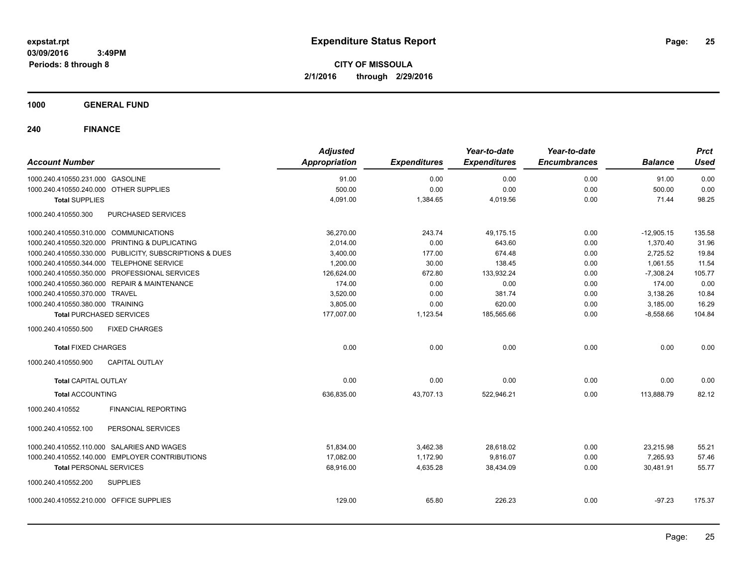**CITY OF MISSOULA 2/1/2016 through 2/29/2016**

### **1000 GENERAL FUND**

| <b>Account Number</b>                      |                                                         | <b>Adjusted</b><br><b>Appropriation</b> | <b>Expenditures</b> | Year-to-date<br><b>Expenditures</b> | Year-to-date<br><b>Encumbrances</b> | <b>Balance</b> | <b>Prct</b><br><b>Used</b> |
|--------------------------------------------|---------------------------------------------------------|-----------------------------------------|---------------------|-------------------------------------|-------------------------------------|----------------|----------------------------|
| 1000.240.410550.231.000 GASOLINE           |                                                         | 91.00                                   | 0.00                | 0.00                                | 0.00                                | 91.00          | 0.00                       |
| 1000.240.410550.240.000 OTHER SUPPLIES     |                                                         | 500.00                                  | 0.00                | 0.00                                | 0.00                                | 500.00         | 0.00                       |
| <b>Total SUPPLIES</b>                      |                                                         | 4,091.00                                | 1,384.65            | 4,019.56                            | 0.00                                | 71.44          | 98.25                      |
| 1000.240.410550.300                        | PURCHASED SERVICES                                      |                                         |                     |                                     |                                     |                |                            |
| 1000.240.410550.310.000 COMMUNICATIONS     |                                                         | 36,270.00                               | 243.74              | 49,175.15                           | 0.00                                | $-12,905.15$   | 135.58                     |
|                                            | 1000.240.410550.320.000 PRINTING & DUPLICATING          | 2,014.00                                | 0.00                | 643.60                              | 0.00                                | 1,370.40       | 31.96                      |
|                                            | 1000.240.410550.330.000 PUBLICITY, SUBSCRIPTIONS & DUES | 3,400.00                                | 177.00              | 674.48                              | 0.00                                | 2,725.52       | 19.84                      |
| 1000.240.410550.344.000 TELEPHONE SERVICE  |                                                         | 1,200.00                                | 30.00               | 138.45                              | 0.00                                | 1,061.55       | 11.54                      |
|                                            | 1000.240.410550.350.000 PROFESSIONAL SERVICES           | 126,624.00                              | 672.80              | 133,932.24                          | 0.00                                | $-7,308.24$    | 105.77                     |
|                                            | 1000.240.410550.360.000 REPAIR & MAINTENANCE            | 174.00                                  | 0.00                | 0.00                                | 0.00                                | 174.00         | 0.00                       |
| 1000.240.410550.370.000 TRAVEL             |                                                         | 3,520.00                                | 0.00                | 381.74                              | 0.00                                | 3,138.26       | 10.84                      |
| 1000.240.410550.380.000 TRAINING           |                                                         | 3,805.00                                | 0.00                | 620.00                              | 0.00                                | 3,185.00       | 16.29                      |
| <b>Total PURCHASED SERVICES</b>            |                                                         | 177,007.00                              | 1,123.54            | 185,565.66                          | 0.00                                | $-8,558.66$    | 104.84                     |
| 1000.240.410550.500                        | <b>FIXED CHARGES</b>                                    |                                         |                     |                                     |                                     |                |                            |
| <b>Total FIXED CHARGES</b>                 |                                                         | 0.00                                    | 0.00                | 0.00                                | 0.00                                | 0.00           | 0.00                       |
| 1000.240.410550.900                        | <b>CAPITAL OUTLAY</b>                                   |                                         |                     |                                     |                                     |                |                            |
| <b>Total CAPITAL OUTLAY</b>                |                                                         | 0.00                                    | 0.00                | 0.00                                | 0.00                                | 0.00           | 0.00                       |
| <b>Total ACCOUNTING</b>                    |                                                         | 636,835.00                              | 43,707.13           | 522,946.21                          | 0.00                                | 113,888.79     | 82.12                      |
| 1000.240.410552                            | <b>FINANCIAL REPORTING</b>                              |                                         |                     |                                     |                                     |                |                            |
| 1000.240.410552.100                        | PERSONAL SERVICES                                       |                                         |                     |                                     |                                     |                |                            |
| 1000.240.410552.110.000 SALARIES AND WAGES |                                                         | 51,834.00                               | 3,462.38            | 28,618.02                           | 0.00                                | 23,215.98      | 55.21                      |
|                                            | 1000.240.410552.140.000 EMPLOYER CONTRIBUTIONS          | 17,082.00                               | 1,172.90            | 9,816.07                            | 0.00                                | 7,265.93       | 57.46                      |
| <b>Total PERSONAL SERVICES</b>             |                                                         | 68,916.00                               | 4,635.28            | 38,434.09                           | 0.00                                | 30,481.91      | 55.77                      |
| 1000.240.410552.200                        | <b>SUPPLIES</b>                                         |                                         |                     |                                     |                                     |                |                            |
| 1000.240.410552.210.000 OFFICE SUPPLIES    |                                                         | 129.00                                  | 65.80               | 226.23                              | 0.00                                | $-97.23$       | 175.37                     |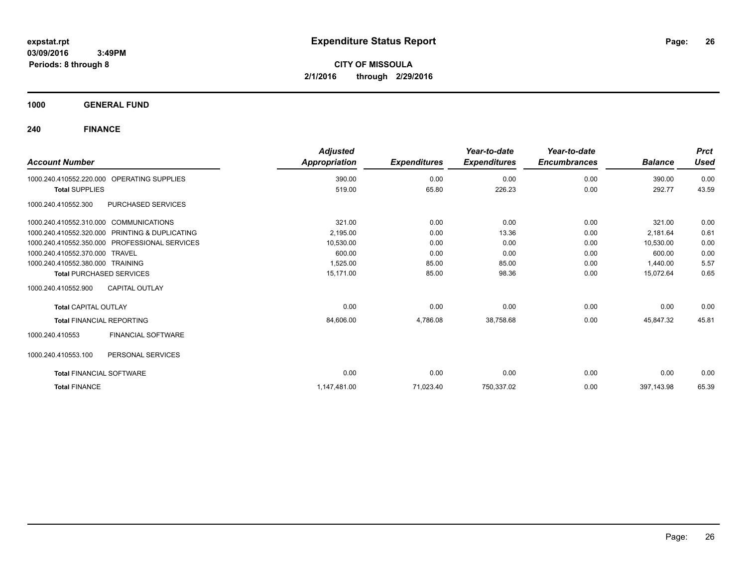**CITY OF MISSOULA 2/1/2016 through 2/29/2016**

**1000 GENERAL FUND**

| <b>Account Number</b>                  |                                               | <b>Adjusted</b><br><b>Appropriation</b> | <b>Expenditures</b> | Year-to-date<br><b>Expenditures</b> | Year-to-date<br><b>Encumbrances</b> | <b>Balance</b> | <b>Prct</b><br><b>Used</b> |
|----------------------------------------|-----------------------------------------------|-----------------------------------------|---------------------|-------------------------------------|-------------------------------------|----------------|----------------------------|
| 1000.240.410552.220.000                | OPERATING SUPPLIES                            | 390.00                                  | 0.00                | 0.00                                | 0.00                                | 390.00         | 0.00                       |
| <b>Total SUPPLIES</b>                  |                                               | 519.00                                  | 65.80               | 226.23                              | 0.00                                | 292.77         | 43.59                      |
| 1000.240.410552.300                    | PURCHASED SERVICES                            |                                         |                     |                                     |                                     |                |                            |
| 1000.240.410552.310.000 COMMUNICATIONS |                                               | 321.00                                  | 0.00                | 0.00                                | 0.00                                | 321.00         | 0.00                       |
| 1000.240.410552.320.000                | PRINTING & DUPLICATING                        | 2,195.00                                | 0.00                | 13.36                               | 0.00                                | 2,181.64       | 0.61                       |
|                                        | 1000.240.410552.350.000 PROFESSIONAL SERVICES | 10,530.00                               | 0.00                | 0.00                                | 0.00                                | 10,530.00      | 0.00                       |
| 1000.240.410552.370.000 TRAVEL         |                                               | 600.00                                  | 0.00                | 0.00                                | 0.00                                | 600.00         | 0.00                       |
| 1000.240.410552.380.000 TRAINING       |                                               | 1,525.00                                | 85.00               | 85.00                               | 0.00                                | 1,440.00       | 5.57                       |
| <b>Total PURCHASED SERVICES</b>        |                                               | 15.171.00                               | 85.00               | 98.36                               | 0.00                                | 15,072.64      | 0.65                       |
| 1000.240.410552.900                    | <b>CAPITAL OUTLAY</b>                         |                                         |                     |                                     |                                     |                |                            |
| <b>Total CAPITAL OUTLAY</b>            |                                               | 0.00                                    | 0.00                | 0.00                                | 0.00                                | 0.00           | 0.00                       |
| <b>Total FINANCIAL REPORTING</b>       |                                               | 84,606.00                               | 4,786.08            | 38,758.68                           | 0.00                                | 45,847.32      | 45.81                      |
| 1000.240.410553                        | <b>FINANCIAL SOFTWARE</b>                     |                                         |                     |                                     |                                     |                |                            |
| 1000.240.410553.100                    | PERSONAL SERVICES                             |                                         |                     |                                     |                                     |                |                            |
| <b>Total FINANCIAL SOFTWARE</b>        |                                               | 0.00                                    | 0.00                | 0.00                                | 0.00                                | 0.00           | 0.00                       |
| <b>Total FINANCE</b>                   |                                               | 1,147,481.00                            | 71,023.40           | 750,337.02                          | 0.00                                | 397,143.98     | 65.39                      |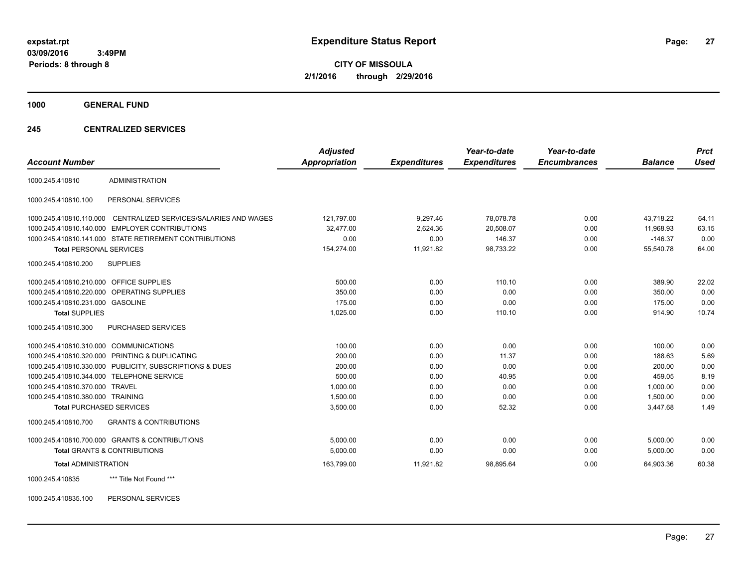**CITY OF MISSOULA 2/1/2016 through 2/29/2016**

**1000 GENERAL FUND**

### **245 CENTRALIZED SERVICES**

| <b>Account Number</b>                   |                                                         | <b>Adjusted</b><br>Appropriation | <b>Expenditures</b> | Year-to-date<br><b>Expenditures</b> | Year-to-date<br><b>Encumbrances</b> | <b>Balance</b> | <b>Prct</b><br><b>Used</b> |
|-----------------------------------------|---------------------------------------------------------|----------------------------------|---------------------|-------------------------------------|-------------------------------------|----------------|----------------------------|
| 1000.245.410810                         | <b>ADMINISTRATION</b>                                   |                                  |                     |                                     |                                     |                |                            |
| 1000.245.410810.100                     | PERSONAL SERVICES                                       |                                  |                     |                                     |                                     |                |                            |
| 1000.245.410810.110.000                 | CENTRALIZED SERVICES/SALARIES AND WAGES                 | 121,797.00                       | 9.297.46            | 78.078.78                           | 0.00                                | 43.718.22      | 64.11                      |
|                                         | 1000.245.410810.140.000 EMPLOYER CONTRIBUTIONS          | 32.477.00                        | 2,624.36            | 20,508.07                           | 0.00                                | 11.968.93      | 63.15                      |
|                                         | 1000.245.410810.141.000 STATE RETIREMENT CONTRIBUTIONS  | 0.00                             | 0.00                | 146.37                              | 0.00                                | $-146.37$      | 0.00                       |
| <b>Total PERSONAL SERVICES</b>          |                                                         | 154,274.00                       | 11,921.82           | 98,733.22                           | 0.00                                | 55,540.78      | 64.00                      |
| 1000.245.410810.200                     | <b>SUPPLIES</b>                                         |                                  |                     |                                     |                                     |                |                            |
| 1000.245.410810.210.000 OFFICE SUPPLIES |                                                         | 500.00                           | 0.00                | 110.10                              | 0.00                                | 389.90         | 22.02                      |
|                                         | 1000.245.410810.220.000 OPERATING SUPPLIES              | 350.00                           | 0.00                | 0.00                                | 0.00                                | 350.00         | 0.00                       |
| 1000.245.410810.231.000 GASOLINE        |                                                         | 175.00                           | 0.00                | 0.00                                | 0.00                                | 175.00         | 0.00                       |
| <b>Total SUPPLIES</b>                   |                                                         | 1,025.00                         | 0.00                | 110.10                              | 0.00                                | 914.90         | 10.74                      |
| 1000.245.410810.300                     | PURCHASED SERVICES                                      |                                  |                     |                                     |                                     |                |                            |
| 1000.245.410810.310.000 COMMUNICATIONS  |                                                         | 100.00                           | 0.00                | 0.00                                | 0.00                                | 100.00         | 0.00                       |
|                                         | 1000.245.410810.320.000 PRINTING & DUPLICATING          | 200.00                           | 0.00                | 11.37                               | 0.00                                | 188.63         | 5.69                       |
|                                         | 1000.245.410810.330.000 PUBLICITY, SUBSCRIPTIONS & DUES | 200.00                           | 0.00                | 0.00                                | 0.00                                | 200.00         | 0.00                       |
|                                         | 1000.245.410810.344.000 TELEPHONE SERVICE               | 500.00                           | 0.00                | 40.95                               | 0.00                                | 459.05         | 8.19                       |
| 1000.245.410810.370.000 TRAVEL          |                                                         | 1.000.00                         | 0.00                | 0.00                                | 0.00                                | 1.000.00       | 0.00                       |
| 1000.245.410810.380.000 TRAINING        |                                                         | 1,500.00                         | 0.00                | 0.00                                | 0.00                                | 1,500.00       | 0.00                       |
| <b>Total PURCHASED SERVICES</b>         |                                                         | 3,500.00                         | 0.00                | 52.32                               | 0.00                                | 3,447.68       | 1.49                       |
| 1000.245.410810.700                     | <b>GRANTS &amp; CONTRIBUTIONS</b>                       |                                  |                     |                                     |                                     |                |                            |
|                                         | 1000.245.410810.700.000 GRANTS & CONTRIBUTIONS          | 5,000.00                         | 0.00                | 0.00                                | 0.00                                | 5,000.00       | 0.00                       |
|                                         | <b>Total GRANTS &amp; CONTRIBUTIONS</b>                 | 5,000.00                         | 0.00                | 0.00                                | 0.00                                | 5,000.00       | 0.00                       |
| <b>Total ADMINISTRATION</b>             |                                                         | 163,799.00                       | 11,921.82           | 98,895.64                           | 0.00                                | 64,903.36      | 60.38                      |
| 1000.245.410835                         | *** Title Not Found ***                                 |                                  |                     |                                     |                                     |                |                            |

1000.245.410835.100 PERSONAL SERVICES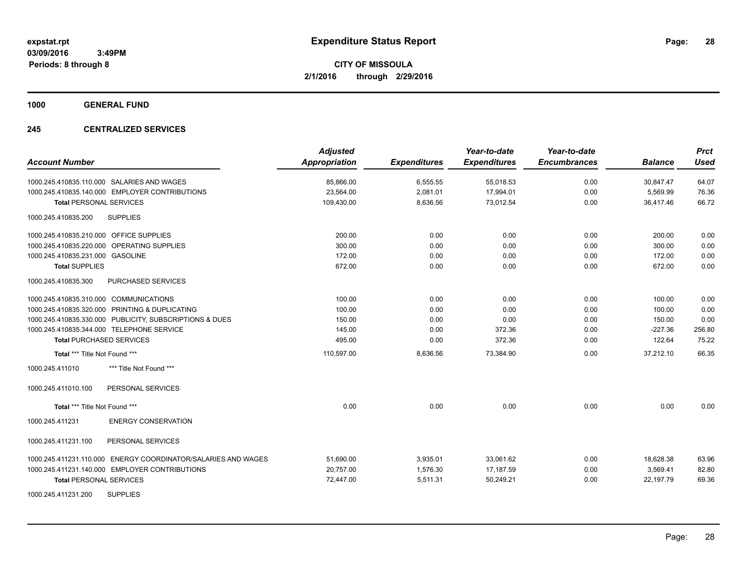**1000 GENERAL FUND**

### **245 CENTRALIZED SERVICES**

| <b>Account Number</b>                                         | <b>Adjusted</b><br><b>Appropriation</b> | <b>Expenditures</b> | Year-to-date<br><b>Expenditures</b> | Year-to-date<br><b>Encumbrances</b> | <b>Balance</b> | <b>Prct</b><br><b>Used</b> |
|---------------------------------------------------------------|-----------------------------------------|---------------------|-------------------------------------|-------------------------------------|----------------|----------------------------|
| 1000.245.410835.110.000 SALARIES AND WAGES                    | 85,866.00                               | 6,555.55            | 55,018.53                           | 0.00                                | 30,847.47      | 64.07                      |
| 1000.245.410835.140.000 EMPLOYER CONTRIBUTIONS                | 23,564.00                               | 2,081.01            | 17,994.01                           | 0.00                                | 5,569.99       | 76.36                      |
| <b>Total PERSONAL SERVICES</b>                                | 109,430.00                              | 8,636.56            | 73,012.54                           | 0.00                                | 36,417.46      | 66.72                      |
| <b>SUPPLIES</b><br>1000.245.410835.200                        |                                         |                     |                                     |                                     |                |                            |
| 1000.245.410835.210.000 OFFICE SUPPLIES                       | 200.00                                  | 0.00                | 0.00                                | 0.00                                | 200.00         | 0.00                       |
| 1000.245.410835.220.000 OPERATING SUPPLIES                    | 300.00                                  | 0.00                | 0.00                                | 0.00                                | 300.00         | 0.00                       |
| 1000.245.410835.231.000 GASOLINE                              | 172.00                                  | 0.00                | 0.00                                | 0.00                                | 172.00         | 0.00                       |
| <b>Total SUPPLIES</b>                                         | 672.00                                  | 0.00                | 0.00                                | 0.00                                | 672.00         | 0.00                       |
| 1000.245.410835.300<br>PURCHASED SERVICES                     |                                         |                     |                                     |                                     |                |                            |
| 1000.245.410835.310.000 COMMUNICATIONS                        | 100.00                                  | 0.00                | 0.00                                | 0.00                                | 100.00         | 0.00                       |
| 1000.245.410835.320.000 PRINTING & DUPLICATING                | 100.00                                  | 0.00                | 0.00                                | 0.00                                | 100.00         | 0.00                       |
| 1000.245.410835.330.000 PUBLICITY, SUBSCRIPTIONS & DUES       | 150.00                                  | 0.00                | 0.00                                | 0.00                                | 150.00         | 0.00                       |
| 1000.245.410835.344.000 TELEPHONE SERVICE                     | 145.00                                  | 0.00                | 372.36                              | 0.00                                | $-227.36$      | 256.80                     |
| <b>Total PURCHASED SERVICES</b>                               | 495.00                                  | 0.00                | 372.36                              | 0.00                                | 122.64         | 75.22                      |
| Total *** Title Not Found ***                                 | 110,597.00                              | 8,636.56            | 73,384.90                           | 0.00                                | 37,212.10      | 66.35                      |
| 1000.245.411010<br>*** Title Not Found ***                    |                                         |                     |                                     |                                     |                |                            |
| 1000.245.411010.100<br>PERSONAL SERVICES                      |                                         |                     |                                     |                                     |                |                            |
| Total *** Title Not Found ***                                 | 0.00                                    | 0.00                | 0.00                                | 0.00                                | 0.00           | 0.00                       |
| 1000.245.411231<br><b>ENERGY CONSERVATION</b>                 |                                         |                     |                                     |                                     |                |                            |
| 1000.245.411231.100<br>PERSONAL SERVICES                      |                                         |                     |                                     |                                     |                |                            |
| 1000.245.411231.110.000 ENERGY COORDINATOR/SALARIES AND WAGES | 51,690.00                               | 3,935.01            | 33,061.62                           | 0.00                                | 18,628.38      | 63.96                      |
| 1000.245.411231.140.000 EMPLOYER CONTRIBUTIONS                | 20,757.00                               | 1,576.30            | 17,187.59                           | 0.00                                | 3,569.41       | 82.80                      |
| <b>Total PERSONAL SERVICES</b>                                | 72,447.00                               | 5,511.31            | 50,249.21                           | 0.00                                | 22,197.79      | 69.36                      |
| <b>SUPPLIES</b><br>1000.245.411231.200                        |                                         |                     |                                     |                                     |                |                            |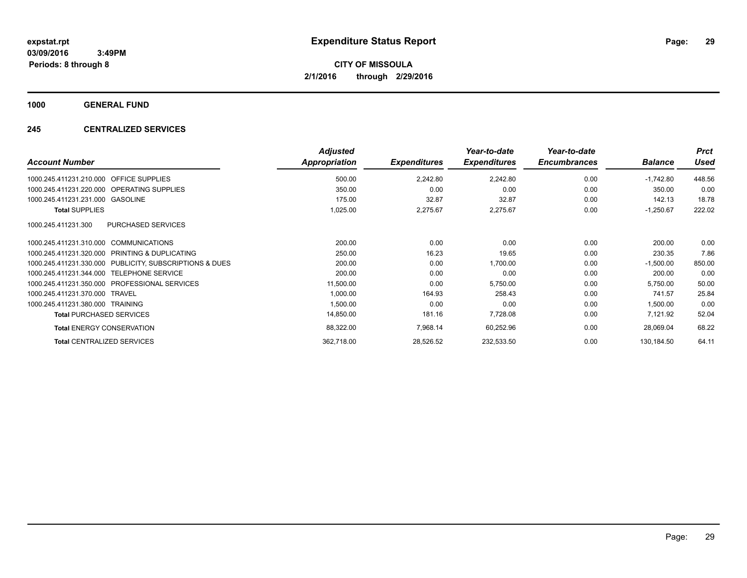**1000 GENERAL FUND**

### **245 CENTRALIZED SERVICES**

| <b>Account Number</b>                                      | <b>Adjusted</b><br>Appropriation | <b>Expenditures</b> | Year-to-date<br><b>Expenditures</b> | Year-to-date<br><b>Encumbrances</b> | <b>Balance</b> | <b>Prct</b><br><b>Used</b> |
|------------------------------------------------------------|----------------------------------|---------------------|-------------------------------------|-------------------------------------|----------------|----------------------------|
| <b>OFFICE SUPPLIES</b><br>1000.245.411231.210.000          | 500.00                           | 2,242.80            | 2,242.80                            | 0.00                                | $-1,742.80$    | 448.56                     |
| 1000.245.411231.220.000 OPERATING SUPPLIES                 | 350.00                           | 0.00                | 0.00                                | 0.00                                | 350.00         | 0.00                       |
| 1000.245.411231.231.000 GASOLINE                           | 175.00                           | 32.87               | 32.87                               | 0.00                                | 142.13         | 18.78                      |
| <b>Total SUPPLIES</b>                                      | 1,025.00                         | 2,275.67            | 2,275.67                            | 0.00                                | $-1,250.67$    | 222.02                     |
| 1000.245.411231.300<br><b>PURCHASED SERVICES</b>           |                                  |                     |                                     |                                     |                |                            |
| 1000.245.411231.310.000 COMMUNICATIONS                     | 200.00                           | 0.00                | 0.00                                | 0.00                                | 200.00         | 0.00                       |
| PRINTING & DUPLICATING<br>1000.245.411231.320.000          | 250.00                           | 16.23               | 19.65                               | 0.00                                | 230.35         | 7.86                       |
| PUBLICITY, SUBSCRIPTIONS & DUES<br>1000.245.411231.330.000 | 200.00                           | 0.00                | 1,700.00                            | 0.00                                | $-1,500.00$    | 850.00                     |
| 1000.245.411231.344.000 TELEPHONE SERVICE                  | 200.00                           | 0.00                | 0.00                                | 0.00                                | 200.00         | 0.00                       |
| 1000.245.411231.350.000 PROFESSIONAL SERVICES              | 11,500.00                        | 0.00                | 5,750.00                            | 0.00                                | 5,750.00       | 50.00                      |
| 1000.245.411231.370.000 TRAVEL                             | 1,000.00                         | 164.93              | 258.43                              | 0.00                                | 741.57         | 25.84                      |
| 1000.245.411231.380.000 TRAINING                           | 1,500.00                         | 0.00                | 0.00                                | 0.00                                | 1,500.00       | 0.00                       |
| <b>Total PURCHASED SERVICES</b>                            | 14,850.00                        | 181.16              | 7,728.08                            | 0.00                                | 7,121.92       | 52.04                      |
| <b>Total ENERGY CONSERVATION</b>                           | 88,322.00                        | 7,968.14            | 60,252.96                           | 0.00                                | 28,069.04      | 68.22                      |
| <b>Total CENTRALIZED SERVICES</b>                          | 362,718.00                       | 28,526.52           | 232,533.50                          | 0.00                                | 130,184.50     | 64.11                      |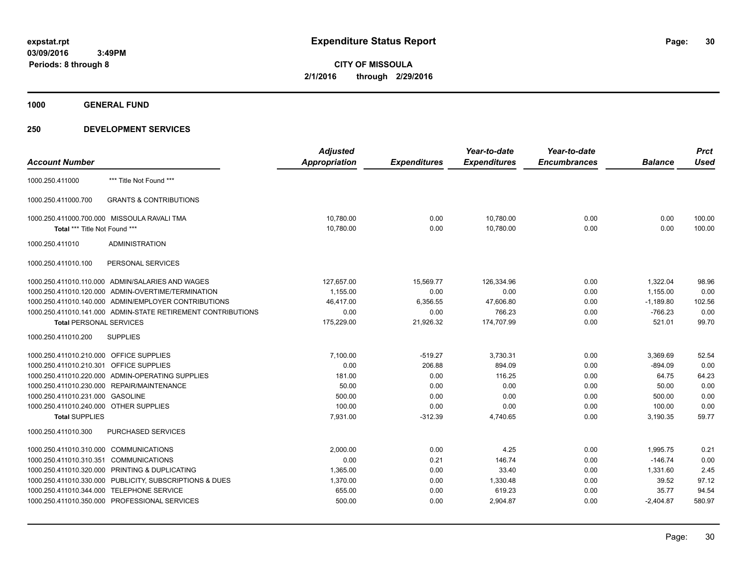**1000 GENERAL FUND**

|                                         |                                                              | <b>Adjusted</b>      |                     | Year-to-date        | Year-to-date        |                | <b>Prct</b> |
|-----------------------------------------|--------------------------------------------------------------|----------------------|---------------------|---------------------|---------------------|----------------|-------------|
| <b>Account Number</b>                   |                                                              | <b>Appropriation</b> | <b>Expenditures</b> | <b>Expenditures</b> | <b>Encumbrances</b> | <b>Balance</b> | <b>Used</b> |
| 1000.250.411000                         | *** Title Not Found ***                                      |                      |                     |                     |                     |                |             |
| 1000.250.411000.700                     | <b>GRANTS &amp; CONTRIBUTIONS</b>                            |                      |                     |                     |                     |                |             |
|                                         | 1000.250.411000.700.000 MISSOULA RAVALI TMA                  | 10,780.00            | 0.00                | 10,780.00           | 0.00                | 0.00           | 100.00      |
| Total *** Title Not Found ***           |                                                              | 10,780.00            | 0.00                | 10,780.00           | 0.00                | 0.00           | 100.00      |
| 1000.250.411010                         | <b>ADMINISTRATION</b>                                        |                      |                     |                     |                     |                |             |
| 1000.250.411010.100                     | PERSONAL SERVICES                                            |                      |                     |                     |                     |                |             |
|                                         | 1000.250.411010.110.000 ADMIN/SALARIES AND WAGES             | 127,657.00           | 15,569.77           | 126,334.96          | 0.00                | 1.322.04       | 98.96       |
|                                         | 1000.250.411010.120.000 ADMIN-OVERTIME/TERMINATION           | 1,155.00             | 0.00                | 0.00                | 0.00                | 1,155.00       | 0.00        |
|                                         | 1000.250.411010.140.000 ADMIN/EMPLOYER CONTRIBUTIONS         | 46,417.00            | 6,356.55            | 47,606.80           | 0.00                | $-1,189.80$    | 102.56      |
|                                         | 1000.250.411010.141.000 ADMIN-STATE RETIREMENT CONTRIBUTIONS | 0.00                 | 0.00                | 766.23              | 0.00                | $-766.23$      | 0.00        |
| <b>Total PERSONAL SERVICES</b>          |                                                              | 175,229.00           | 21,926.32           | 174,707.99          | 0.00                | 521.01         | 99.70       |
| 1000.250.411010.200                     | <b>SUPPLIES</b>                                              |                      |                     |                     |                     |                |             |
| 1000.250.411010.210.000 OFFICE SUPPLIES |                                                              | 7,100.00             | $-519.27$           | 3,730.31            | 0.00                | 3,369.69       | 52.54       |
| 1000.250.411010.210.301 OFFICE SUPPLIES |                                                              | 0.00                 | 206.88              | 894.09              | 0.00                | $-894.09$      | 0.00        |
|                                         | 1000.250.411010.220.000 ADMIN-OPERATING SUPPLIES             | 181.00               | 0.00                | 116.25              | 0.00                | 64.75          | 64.23       |
|                                         | 1000.250.411010.230.000 REPAIR/MAINTENANCE                   | 50.00                | 0.00                | 0.00                | 0.00                | 50.00          | 0.00        |
| 1000.250.411010.231.000 GASOLINE        |                                                              | 500.00               | 0.00                | 0.00                | 0.00                | 500.00         | 0.00        |
| 1000.250.411010.240.000 OTHER SUPPLIES  |                                                              | 100.00               | 0.00                | 0.00                | 0.00                | 100.00         | 0.00        |
| <b>Total SUPPLIES</b>                   |                                                              | 7,931.00             | $-312.39$           | 4,740.65            | 0.00                | 3,190.35       | 59.77       |
| 1000.250.411010.300                     | PURCHASED SERVICES                                           |                      |                     |                     |                     |                |             |
| 1000.250.411010.310.000 COMMUNICATIONS  |                                                              | 2.000.00             | 0.00                | 4.25                | 0.00                | 1.995.75       | 0.21        |
| 1000.250.411010.310.351                 | <b>COMMUNICATIONS</b>                                        | 0.00                 | 0.21                | 146.74              | 0.00                | $-146.74$      | 0.00        |
|                                         | 1000.250.411010.320.000 PRINTING & DUPLICATING               | 1,365.00             | 0.00                | 33.40               | 0.00                | 1,331.60       | 2.45        |
|                                         | 1000.250.411010.330.000 PUBLICITY, SUBSCRIPTIONS & DUES      | 1,370.00             | 0.00                | 1,330.48            | 0.00                | 39.52          | 97.12       |
|                                         | 1000.250.411010.344.000 TELEPHONE SERVICE                    | 655.00               | 0.00                | 619.23              | 0.00                | 35.77          | 94.54       |
|                                         | 1000.250.411010.350.000 PROFESSIONAL SERVICES                | 500.00               | 0.00                | 2,904.87            | 0.00                | $-2,404.87$    | 580.97      |
|                                         |                                                              |                      |                     |                     |                     |                |             |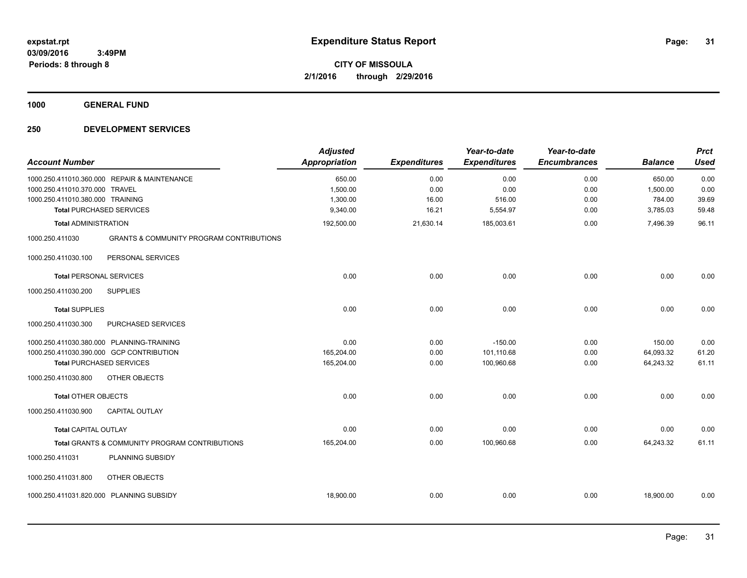**1000 GENERAL FUND**

| <b>Account Number</b>            |                                                     | <b>Adjusted</b><br><b>Appropriation</b> | <b>Expenditures</b> | Year-to-date<br><b>Expenditures</b> | Year-to-date<br><b>Encumbrances</b> | <b>Balance</b> | <b>Prct</b><br><b>Used</b> |
|----------------------------------|-----------------------------------------------------|-----------------------------------------|---------------------|-------------------------------------|-------------------------------------|----------------|----------------------------|
|                                  | 1000.250.411010.360.000 REPAIR & MAINTENANCE        | 650.00                                  | 0.00                | 0.00                                | 0.00                                | 650.00         | 0.00                       |
| 1000.250.411010.370.000 TRAVEL   |                                                     | 1,500.00                                | 0.00                | 0.00                                | 0.00                                | 1,500.00       | 0.00                       |
| 1000.250.411010.380.000 TRAINING |                                                     | 1,300.00                                | 16.00               | 516.00                              | 0.00                                | 784.00         | 39.69                      |
|                                  | <b>Total PURCHASED SERVICES</b>                     | 9,340.00                                | 16.21               | 5,554.97                            | 0.00                                | 3,785.03       | 59.48                      |
| <b>Total ADMINISTRATION</b>      |                                                     | 192,500.00                              | 21,630.14           | 185,003.61                          | 0.00                                | 7.496.39       | 96.11                      |
| 1000.250.411030                  | <b>GRANTS &amp; COMMUNITY PROGRAM CONTRIBUTIONS</b> |                                         |                     |                                     |                                     |                |                            |
| 1000.250.411030.100              | PERSONAL SERVICES                                   |                                         |                     |                                     |                                     |                |                            |
| <b>Total PERSONAL SERVICES</b>   |                                                     | 0.00                                    | 0.00                | 0.00                                | 0.00                                | 0.00           | 0.00                       |
| 1000.250.411030.200              | <b>SUPPLIES</b>                                     |                                         |                     |                                     |                                     |                |                            |
| <b>Total SUPPLIES</b>            |                                                     | 0.00                                    | 0.00                | 0.00                                | 0.00                                | 0.00           | 0.00                       |
| 1000.250.411030.300              | PURCHASED SERVICES                                  |                                         |                     |                                     |                                     |                |                            |
|                                  | 1000.250.411030.380.000 PLANNING-TRAINING           | 0.00                                    | 0.00                | $-150.00$                           | 0.00                                | 150.00         | 0.00                       |
|                                  | 1000.250.411030.390.000 GCP CONTRIBUTION            | 165,204.00                              | 0.00                | 101,110.68                          | 0.00                                | 64,093.32      | 61.20                      |
| <b>Total PURCHASED SERVICES</b>  |                                                     | 165,204.00                              | 0.00                | 100,960.68                          | 0.00                                | 64,243.32      | 61.11                      |
| 1000.250.411030.800              | OTHER OBJECTS                                       |                                         |                     |                                     |                                     |                |                            |
| <b>Total OTHER OBJECTS</b>       |                                                     | 0.00                                    | 0.00                | 0.00                                | 0.00                                | 0.00           | 0.00                       |
| 1000.250.411030.900              | <b>CAPITAL OUTLAY</b>                               |                                         |                     |                                     |                                     |                |                            |
| <b>Total CAPITAL OUTLAY</b>      |                                                     | 0.00                                    | 0.00                | 0.00                                | 0.00                                | 0.00           | 0.00                       |
|                                  | Total GRANTS & COMMUNITY PROGRAM CONTRIBUTIONS      | 165,204.00                              | 0.00                | 100,960.68                          | 0.00                                | 64,243.32      | 61.11                      |
| 1000.250.411031                  | PLANNING SUBSIDY                                    |                                         |                     |                                     |                                     |                |                            |
| 1000.250.411031.800              | OTHER OBJECTS                                       |                                         |                     |                                     |                                     |                |                            |
|                                  | 1000.250.411031.820.000 PLANNING SUBSIDY            | 18,900.00                               | 0.00                | 0.00                                | 0.00                                | 18,900.00      | 0.00                       |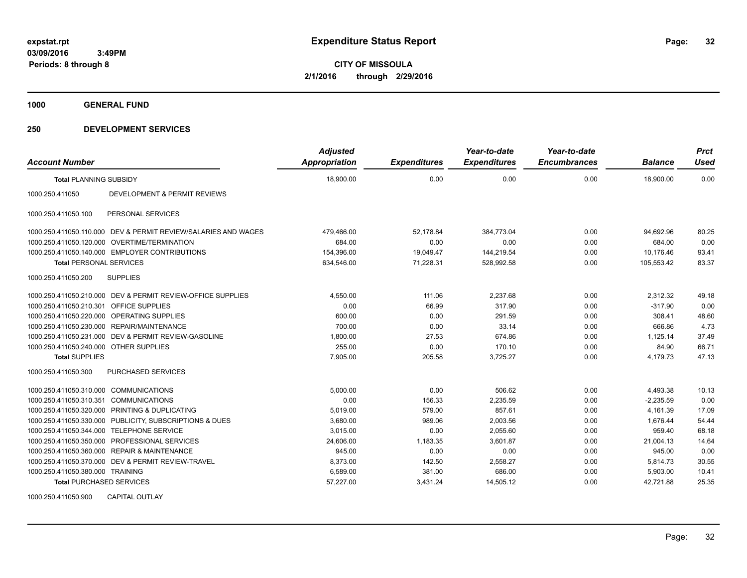**1000 GENERAL FUND**

### **250 DEVELOPMENT SERVICES**

| <b>Account Number</b>                   |                                                                | <b>Adjusted</b><br>Appropriation | <b>Expenditures</b> | Year-to-date<br><b>Expenditures</b> | Year-to-date<br><b>Encumbrances</b> | <b>Balance</b> | <b>Prct</b><br><b>Used</b> |
|-----------------------------------------|----------------------------------------------------------------|----------------------------------|---------------------|-------------------------------------|-------------------------------------|----------------|----------------------------|
| <b>Total PLANNING SUBSIDY</b>           |                                                                | 18,900.00                        | 0.00                | 0.00                                | 0.00                                | 18,900.00      | 0.00                       |
| 1000.250.411050                         | <b>DEVELOPMENT &amp; PERMIT REVIEWS</b>                        |                                  |                     |                                     |                                     |                |                            |
| 1000.250.411050.100                     | PERSONAL SERVICES                                              |                                  |                     |                                     |                                     |                |                            |
|                                         | 1000.250.411050.110.000 DEV & PERMIT REVIEW/SALARIES AND WAGES | 479,466.00                       | 52,178.84           | 384,773.04                          | 0.00                                | 94,692.96      | 80.25                      |
|                                         | 1000.250.411050.120.000 OVERTIME/TERMINATION                   | 684.00                           | 0.00                | 0.00                                | 0.00                                | 684.00         | 0.00                       |
|                                         | 1000.250.411050.140.000 EMPLOYER CONTRIBUTIONS                 | 154,396.00                       | 19.049.47           | 144,219.54                          | 0.00                                | 10.176.46      | 93.41                      |
| <b>Total PERSONAL SERVICES</b>          |                                                                | 634,546.00                       | 71,228.31           | 528,992.58                          | 0.00                                | 105,553.42     | 83.37                      |
| 1000.250.411050.200                     | <b>SUPPLIES</b>                                                |                                  |                     |                                     |                                     |                |                            |
|                                         | 1000.250.411050.210.000 DEV & PERMIT REVIEW-OFFICE SUPPLIES    | 4,550.00                         | 111.06              | 2,237.68                            | 0.00                                | 2,312.32       | 49.18                      |
| 1000.250.411050.210.301 OFFICE SUPPLIES |                                                                | 0.00                             | 66.99               | 317.90                              | 0.00                                | $-317.90$      | 0.00                       |
|                                         | 1000.250.411050.220.000 OPERATING SUPPLIES                     | 600.00                           | 0.00                | 291.59                              | 0.00                                | 308.41         | 48.60                      |
|                                         | 1000.250.411050.230.000 REPAIR/MAINTENANCE                     | 700.00                           | 0.00                | 33.14                               | 0.00                                | 666.86         | 4.73                       |
|                                         | 1000.250.411050.231.000 DEV & PERMIT REVIEW-GASOLINE           | 1,800.00                         | 27.53               | 674.86                              | 0.00                                | 1,125.14       | 37.49                      |
| 1000.250.411050.240.000 OTHER SUPPLIES  |                                                                | 255.00                           | 0.00                | 170.10                              | 0.00                                | 84.90          | 66.71                      |
| <b>Total SUPPLIES</b>                   |                                                                | 7.905.00                         | 205.58              | 3.725.27                            | 0.00                                | 4,179.73       | 47.13                      |
| 1000.250.411050.300                     | <b>PURCHASED SERVICES</b>                                      |                                  |                     |                                     |                                     |                |                            |
| 1000.250.411050.310.000 COMMUNICATIONS  |                                                                | 5.000.00                         | 0.00                | 506.62                              | 0.00                                | 4,493.38       | 10.13                      |
| 1000.250.411050.310.351 COMMUNICATIONS  |                                                                | 0.00                             | 156.33              | 2.235.59                            | 0.00                                | $-2.235.59$    | 0.00                       |
|                                         | 1000.250.411050.320.000 PRINTING & DUPLICATING                 | 5,019.00                         | 579.00              | 857.61                              | 0.00                                | 4,161.39       | 17.09                      |
|                                         | 1000.250.411050.330.000 PUBLICITY, SUBSCRIPTIONS & DUES        | 3,680.00                         | 989.06              | 2,003.56                            | 0.00                                | 1,676.44       | 54.44                      |
|                                         | 1000.250.411050.344.000 TELEPHONE SERVICE                      | 3.015.00                         | 0.00                | 2.055.60                            | 0.00                                | 959.40         | 68.18                      |
|                                         | 1000.250.411050.350.000 PROFESSIONAL SERVICES                  | 24,606.00                        | 1,183.35            | 3.601.87                            | 0.00                                | 21,004.13      | 14.64                      |
|                                         | 1000.250.411050.360.000 REPAIR & MAINTENANCE                   | 945.00                           | 0.00                | 0.00                                | 0.00                                | 945.00         | 0.00                       |
|                                         | 1000.250.411050.370.000 DEV & PERMIT REVIEW-TRAVEL             | 8,373.00                         | 142.50              | 2,558.27                            | 0.00                                | 5,814.73       | 30.55                      |
| 1000.250.411050.380.000 TRAINING        |                                                                | 6,589.00                         | 381.00              | 686.00                              | 0.00                                | 5,903.00       | 10.41                      |
| <b>Total PURCHASED SERVICES</b>         |                                                                | 57,227.00                        | 3,431.24            | 14,505.12                           | 0.00                                | 42,721.88      | 25.35                      |

1000.250.411050.900 CAPITAL OUTLAY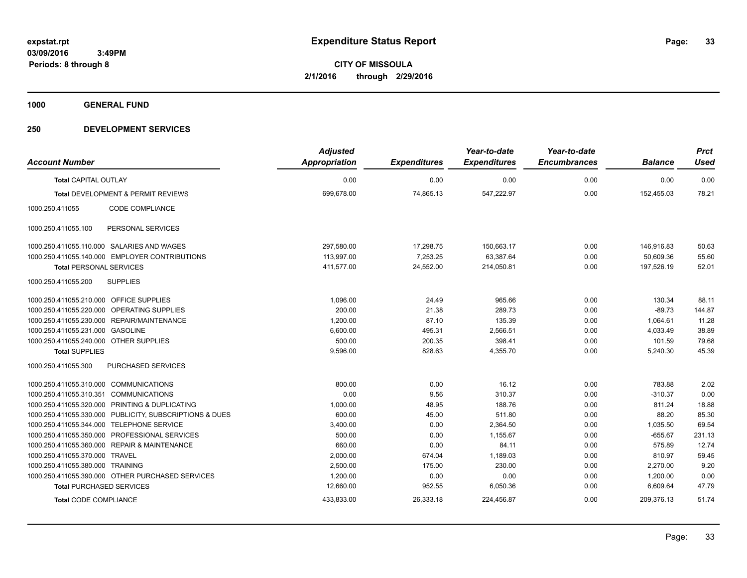**1000 GENERAL FUND**

|                                         |                                                         | <b>Adjusted</b>      |                     | Year-to-date        | Year-to-date        |                | <b>Prct</b> |
|-----------------------------------------|---------------------------------------------------------|----------------------|---------------------|---------------------|---------------------|----------------|-------------|
| <b>Account Number</b>                   |                                                         | <b>Appropriation</b> | <b>Expenditures</b> | <b>Expenditures</b> | <b>Encumbrances</b> | <b>Balance</b> | <b>Used</b> |
| <b>Total CAPITAL OUTLAY</b>             |                                                         | 0.00                 | 0.00                | 0.00                | 0.00                | 0.00           | 0.00        |
|                                         | <b>Total DEVELOPMENT &amp; PERMIT REVIEWS</b>           | 699,678.00           | 74,865.13           | 547,222.97          | 0.00                | 152.455.03     | 78.21       |
| 1000.250.411055                         | CODE COMPLIANCE                                         |                      |                     |                     |                     |                |             |
| 1000.250.411055.100                     | PERSONAL SERVICES                                       |                      |                     |                     |                     |                |             |
|                                         | 1000.250.411055.110.000 SALARIES AND WAGES              | 297,580.00           | 17,298.75           | 150,663.17          | 0.00                | 146,916.83     | 50.63       |
|                                         | 1000.250.411055.140.000 EMPLOYER CONTRIBUTIONS          | 113,997.00           | 7,253.25            | 63,387.64           | 0.00                | 50,609.36      | 55.60       |
| <b>Total PERSONAL SERVICES</b>          |                                                         | 411,577.00           | 24,552.00           | 214,050.81          | 0.00                | 197,526.19     | 52.01       |
| 1000.250.411055.200                     | <b>SUPPLIES</b>                                         |                      |                     |                     |                     |                |             |
| 1000.250.411055.210.000 OFFICE SUPPLIES |                                                         | 1.096.00             | 24.49               | 965.66              | 0.00                | 130.34         | 88.11       |
|                                         | 1000.250.411055.220.000 OPERATING SUPPLIES              | 200.00               | 21.38               | 289.73              | 0.00                | $-89.73$       | 144.87      |
|                                         | 1000.250.411055.230.000 REPAIR/MAINTENANCE              | 1,200.00             | 87.10               | 135.39              | 0.00                | 1,064.61       | 11.28       |
| 1000.250.411055.231.000 GASOLINE        |                                                         | 6,600.00             | 495.31              | 2,566.51            | 0.00                | 4,033.49       | 38.89       |
| 1000.250.411055.240.000 OTHER SUPPLIES  |                                                         | 500.00               | 200.35              | 398.41              | 0.00                | 101.59         | 79.68       |
| <b>Total SUPPLIES</b>                   |                                                         | 9,596.00             | 828.63              | 4,355.70            | 0.00                | 5,240.30       | 45.39       |
| 1000.250.411055.300                     | PURCHASED SERVICES                                      |                      |                     |                     |                     |                |             |
| 1000.250.411055.310.000 COMMUNICATIONS  |                                                         | 800.00               | 0.00                | 16.12               | 0.00                | 783.88         | 2.02        |
| 1000.250.411055.310.351 COMMUNICATIONS  |                                                         | 0.00                 | 9.56                | 310.37              | 0.00                | $-310.37$      | 0.00        |
|                                         | 1000.250.411055.320.000 PRINTING & DUPLICATING          | 1,000.00             | 48.95               | 188.76              | 0.00                | 811.24         | 18.88       |
|                                         | 1000.250.411055.330.000 PUBLICITY, SUBSCRIPTIONS & DUES | 600.00               | 45.00               | 511.80              | 0.00                | 88.20          | 85.30       |
| 1000.250.411055.344.000                 | <b>TELEPHONE SERVICE</b>                                | 3,400.00             | 0.00                | 2,364.50            | 0.00                | 1,035.50       | 69.54       |
| 1000.250.411055.350.000                 | PROFESSIONAL SERVICES                                   | 500.00               | 0.00                | 1.155.67            | 0.00                | $-655.67$      | 231.13      |
| 1000.250.411055.360.000                 | <b>REPAIR &amp; MAINTENANCE</b>                         | 660.00               | 0.00                | 84.11               | 0.00                | 575.89         | 12.74       |
| 1000.250.411055.370.000                 | <b>TRAVEL</b>                                           | 2,000.00             | 674.04              | 1,189.03            | 0.00                | 810.97         | 59.45       |
| 1000.250.411055.380.000 TRAINING        |                                                         | 2,500.00             | 175.00              | 230.00              | 0.00                | 2,270.00       | 9.20        |
|                                         | 1000.250.411055.390.000 OTHER PURCHASED SERVICES        | 1,200.00             | 0.00                | 0.00                | 0.00                | 1,200.00       | 0.00        |
| <b>Total PURCHASED SERVICES</b>         |                                                         | 12,660.00            | 952.55              | 6,050.36            | 0.00                | 6,609.64       | 47.79       |
| <b>Total CODE COMPLIANCE</b>            |                                                         | 433,833.00           | 26,333.18           | 224,456.87          | 0.00                | 209,376.13     | 51.74       |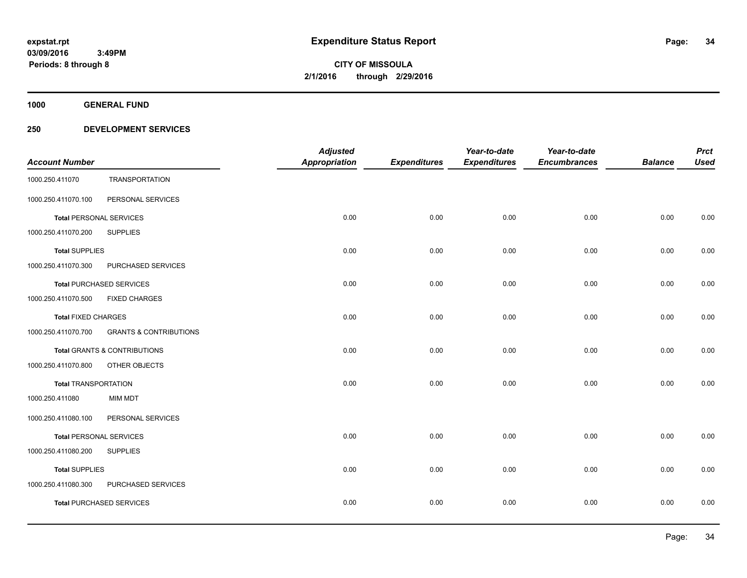**1000 GENERAL FUND**

| <b>Account Number</b>          |                                         | <b>Adjusted</b><br><b>Appropriation</b> | <b>Expenditures</b> | Year-to-date<br><b>Expenditures</b> | Year-to-date<br><b>Encumbrances</b> | <b>Balance</b> | <b>Prct</b><br><b>Used</b> |
|--------------------------------|-----------------------------------------|-----------------------------------------|---------------------|-------------------------------------|-------------------------------------|----------------|----------------------------|
| 1000.250.411070                | <b>TRANSPORTATION</b>                   |                                         |                     |                                     |                                     |                |                            |
| 1000.250.411070.100            | PERSONAL SERVICES                       |                                         |                     |                                     |                                     |                |                            |
| <b>Total PERSONAL SERVICES</b> |                                         | 0.00                                    | 0.00                | 0.00                                | 0.00                                | 0.00           | 0.00                       |
| 1000.250.411070.200            | <b>SUPPLIES</b>                         |                                         |                     |                                     |                                     |                |                            |
| <b>Total SUPPLIES</b>          |                                         | 0.00                                    | 0.00                | 0.00                                | 0.00                                | 0.00           | 0.00                       |
| 1000.250.411070.300            | PURCHASED SERVICES                      |                                         |                     |                                     |                                     |                |                            |
|                                | <b>Total PURCHASED SERVICES</b>         | 0.00                                    | 0.00                | 0.00                                | 0.00                                | 0.00           | 0.00                       |
| 1000.250.411070.500            | <b>FIXED CHARGES</b>                    |                                         |                     |                                     |                                     |                |                            |
| <b>Total FIXED CHARGES</b>     |                                         | 0.00                                    | 0.00                | 0.00                                | 0.00                                | 0.00           | 0.00                       |
| 1000.250.411070.700            | <b>GRANTS &amp; CONTRIBUTIONS</b>       |                                         |                     |                                     |                                     |                |                            |
|                                | <b>Total GRANTS &amp; CONTRIBUTIONS</b> | 0.00                                    | 0.00                | 0.00                                | 0.00                                | 0.00           | 0.00                       |
| 1000.250.411070.800            | OTHER OBJECTS                           |                                         |                     |                                     |                                     |                |                            |
| <b>Total TRANSPORTATION</b>    |                                         | 0.00                                    | 0.00                | 0.00                                | 0.00                                | 0.00           | 0.00                       |
| 1000.250.411080                | <b>MIM MDT</b>                          |                                         |                     |                                     |                                     |                |                            |
| 1000.250.411080.100            | PERSONAL SERVICES                       |                                         |                     |                                     |                                     |                |                            |
| <b>Total PERSONAL SERVICES</b> |                                         | 0.00                                    | 0.00                | 0.00                                | 0.00                                | 0.00           | 0.00                       |
| 1000.250.411080.200            | <b>SUPPLIES</b>                         |                                         |                     |                                     |                                     |                |                            |
| <b>Total SUPPLIES</b>          |                                         | 0.00                                    | 0.00                | 0.00                                | 0.00                                | 0.00           | 0.00                       |
| 1000.250.411080.300            | PURCHASED SERVICES                      |                                         |                     |                                     |                                     |                |                            |
|                                | <b>Total PURCHASED SERVICES</b>         | 0.00                                    | 0.00                | 0.00                                | 0.00                                | 0.00           | 0.00                       |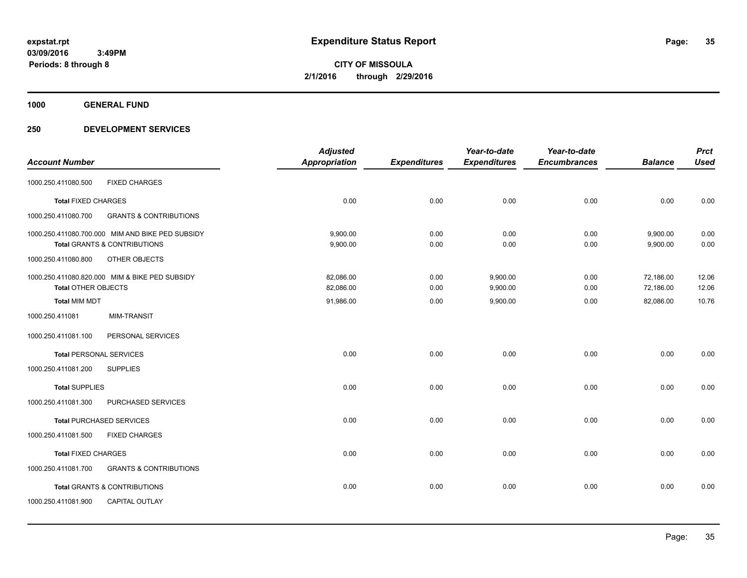**Periods: 8 through 8**

**CITY OF MISSOULA 2/1/2016 through 2/29/2016**

**1000 GENERAL FUND**

|                                |                                                  | <b>Adjusted</b>      |                     | Year-to-date        | Year-to-date        |                | <b>Prct</b> |
|--------------------------------|--------------------------------------------------|----------------------|---------------------|---------------------|---------------------|----------------|-------------|
| <b>Account Number</b>          |                                                  | <b>Appropriation</b> | <b>Expenditures</b> | <b>Expenditures</b> | <b>Encumbrances</b> | <b>Balance</b> | <b>Used</b> |
| 1000.250.411080.500            | <b>FIXED CHARGES</b>                             |                      |                     |                     |                     |                |             |
| <b>Total FIXED CHARGES</b>     |                                                  | 0.00                 | 0.00                | 0.00                | 0.00                | 0.00           | 0.00        |
| 1000.250.411080.700            | <b>GRANTS &amp; CONTRIBUTIONS</b>                |                      |                     |                     |                     |                |             |
|                                | 1000.250.411080.700.000 MIM AND BIKE PED SUBSIDY | 9,900.00             | 0.00                | 0.00                | 0.00                | 9,900.00       | 0.00        |
|                                | Total GRANTS & CONTRIBUTIONS                     | 9,900.00             | 0.00                | 0.00                | 0.00                | 9,900.00       | 0.00        |
| 1000.250.411080.800            | OTHER OBJECTS                                    |                      |                     |                     |                     |                |             |
|                                | 1000.250.411080.820.000 MIM & BIKE PED SUBSIDY   | 82,086.00            | 0.00                | 9,900.00            | 0.00                | 72,186.00      | 12.06       |
| <b>Total OTHER OBJECTS</b>     |                                                  | 82,086.00            | 0.00                | 9,900.00            | 0.00                | 72,186.00      | 12.06       |
| <b>Total MIM MDT</b>           |                                                  | 91,986.00            | 0.00                | 9,900.00            | 0.00                | 82,086.00      | 10.76       |
| 1000.250.411081                | <b>MIM-TRANSIT</b>                               |                      |                     |                     |                     |                |             |
| 1000.250.411081.100            | PERSONAL SERVICES                                |                      |                     |                     |                     |                |             |
| <b>Total PERSONAL SERVICES</b> |                                                  | 0.00                 | 0.00                | 0.00                | 0.00                | 0.00           | 0.00        |
| 1000.250.411081.200            | <b>SUPPLIES</b>                                  |                      |                     |                     |                     |                |             |
| <b>Total SUPPLIES</b>          |                                                  | 0.00                 | 0.00                | 0.00                | 0.00                | 0.00           | 0.00        |
| 1000.250.411081.300            | PURCHASED SERVICES                               |                      |                     |                     |                     |                |             |
|                                | <b>Total PURCHASED SERVICES</b>                  | 0.00                 | 0.00                | 0.00                | 0.00                | 0.00           | 0.00        |
| 1000.250.411081.500            | <b>FIXED CHARGES</b>                             |                      |                     |                     |                     |                |             |
| <b>Total FIXED CHARGES</b>     |                                                  | 0.00                 | 0.00                | 0.00                | 0.00                | 0.00           | 0.00        |
| 1000.250.411081.700            | <b>GRANTS &amp; CONTRIBUTIONS</b>                |                      |                     |                     |                     |                |             |
|                                | <b>Total GRANTS &amp; CONTRIBUTIONS</b>          | 0.00                 | 0.00                | 0.00                | 0.00                | 0.00           | 0.00        |
| 1000.250.411081.900            | <b>CAPITAL OUTLAY</b>                            |                      |                     |                     |                     |                |             |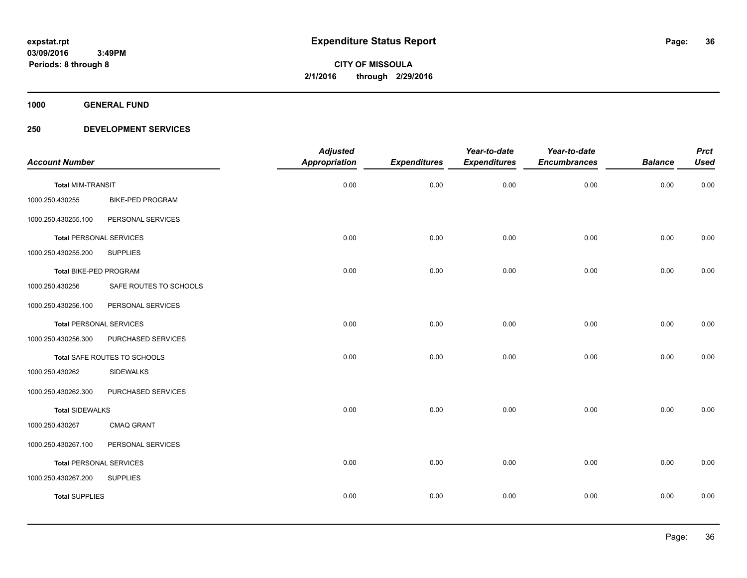**1000 GENERAL FUND**

|                                |                         | <b>Adjusted</b>      |                     | Year-to-date        | Year-to-date        |                | <b>Prct</b> |
|--------------------------------|-------------------------|----------------------|---------------------|---------------------|---------------------|----------------|-------------|
| <b>Account Number</b>          |                         | <b>Appropriation</b> | <b>Expenditures</b> | <b>Expenditures</b> | <b>Encumbrances</b> | <b>Balance</b> | <b>Used</b> |
| <b>Total MIM-TRANSIT</b>       |                         | 0.00                 | 0.00                | 0.00                | 0.00                | 0.00           | 0.00        |
| 1000.250.430255                | <b>BIKE-PED PROGRAM</b> |                      |                     |                     |                     |                |             |
| 1000.250.430255.100            | PERSONAL SERVICES       |                      |                     |                     |                     |                |             |
| <b>Total PERSONAL SERVICES</b> |                         | 0.00                 | 0.00                | 0.00                | 0.00                | 0.00           | 0.00        |
| 1000.250.430255.200            | <b>SUPPLIES</b>         |                      |                     |                     |                     |                |             |
| Total BIKE-PED PROGRAM         |                         | 0.00                 | 0.00                | 0.00                | 0.00                | 0.00           | 0.00        |
| 1000.250.430256                | SAFE ROUTES TO SCHOOLS  |                      |                     |                     |                     |                |             |
| 1000.250.430256.100            | PERSONAL SERVICES       |                      |                     |                     |                     |                |             |
| <b>Total PERSONAL SERVICES</b> |                         | 0.00                 | 0.00                | 0.00                | 0.00                | 0.00           | 0.00        |
| 1000.250.430256.300            | PURCHASED SERVICES      |                      |                     |                     |                     |                |             |
| Total SAFE ROUTES TO SCHOOLS   |                         | 0.00                 | 0.00                | 0.00                | 0.00                | 0.00           | 0.00        |
| 1000.250.430262                | <b>SIDEWALKS</b>        |                      |                     |                     |                     |                |             |
| 1000.250.430262.300            | PURCHASED SERVICES      |                      |                     |                     |                     |                |             |
| <b>Total SIDEWALKS</b>         |                         | 0.00                 | 0.00                | 0.00                | 0.00                | 0.00           | 0.00        |
| 1000.250.430267                | <b>CMAQ GRANT</b>       |                      |                     |                     |                     |                |             |
| 1000.250.430267.100            | PERSONAL SERVICES       |                      |                     |                     |                     |                |             |
| <b>Total PERSONAL SERVICES</b> |                         | 0.00                 | 0.00                | 0.00                | 0.00                | 0.00           | 0.00        |
| 1000.250.430267.200            | <b>SUPPLIES</b>         |                      |                     |                     |                     |                |             |
| <b>Total SUPPLIES</b>          |                         | 0.00                 | 0.00                | 0.00                | 0.00                | 0.00           | 0.00        |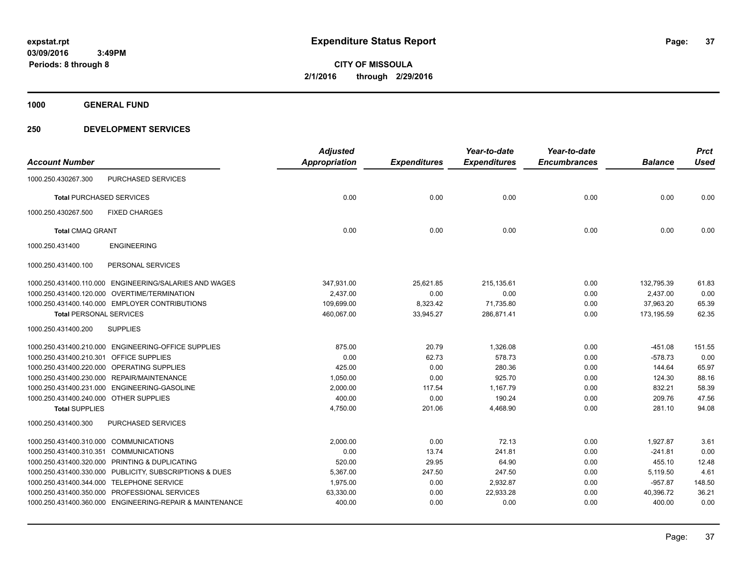**1000 GENERAL FUND**

# **250 DEVELOPMENT SERVICES**

|                                         |                                                          | <b>Adjusted</b>      |                     | Year-to-date        | Year-to-date        |                | <b>Prct</b> |
|-----------------------------------------|----------------------------------------------------------|----------------------|---------------------|---------------------|---------------------|----------------|-------------|
| <b>Account Number</b>                   |                                                          | <b>Appropriation</b> | <b>Expenditures</b> | <b>Expenditures</b> | <b>Encumbrances</b> | <b>Balance</b> | <b>Used</b> |
| 1000.250.430267.300                     | <b>PURCHASED SERVICES</b>                                |                      |                     |                     |                     |                |             |
| <b>Total PURCHASED SERVICES</b>         |                                                          | 0.00                 | 0.00                | 0.00                | 0.00                | 0.00           | 0.00        |
| 1000.250.430267.500                     | <b>FIXED CHARGES</b>                                     |                      |                     |                     |                     |                |             |
| <b>Total CMAQ GRANT</b>                 |                                                          | 0.00                 | 0.00                | 0.00                | 0.00                | 0.00           | 0.00        |
| 1000.250.431400                         | <b>ENGINEERING</b>                                       |                      |                     |                     |                     |                |             |
| 1000.250.431400.100                     | PERSONAL SERVICES                                        |                      |                     |                     |                     |                |             |
| 1000.250.431400.110.000                 | ENGINEERING/SALARIES AND WAGES                           | 347,931.00           | 25,621.85           | 215,135.61          | 0.00                | 132,795.39     | 61.83       |
|                                         | 1000.250.431400.120.000 OVERTIME/TERMINATION             | 2,437.00             | 0.00                | 0.00                | 0.00                | 2,437.00       | 0.00        |
|                                         | 1000.250.431400.140.000 EMPLOYER CONTRIBUTIONS           | 109,699.00           | 8,323.42            | 71,735.80           | 0.00                | 37,963.20      | 65.39       |
| <b>Total PERSONAL SERVICES</b>          |                                                          | 460,067.00           | 33,945.27           | 286,871.41          | 0.00                | 173,195.59     | 62.35       |
| 1000.250.431400.200                     | <b>SUPPLIES</b>                                          |                      |                     |                     |                     |                |             |
|                                         | 1000.250.431400.210.000 ENGINEERING-OFFICE SUPPLIES      | 875.00               | 20.79               | 1,326.08            | 0.00                | $-451.08$      | 151.55      |
| 1000.250.431400.210.301 OFFICE SUPPLIES |                                                          | 0.00                 | 62.73               | 578.73              | 0.00                | $-578.73$      | 0.00        |
|                                         | 1000.250.431400.220.000 OPERATING SUPPLIES               | 425.00               | 0.00                | 280.36              | 0.00                | 144.64         | 65.97       |
|                                         | 1000.250.431400.230.000 REPAIR/MAINTENANCE               | 1,050.00             | 0.00                | 925.70              | 0.00                | 124.30         | 88.16       |
|                                         | 1000.250.431400.231.000 ENGINEERING-GASOLINE             | 2,000.00             | 117.54              | 1,167.79            | 0.00                | 832.21         | 58.39       |
| 1000.250.431400.240.000 OTHER SUPPLIES  |                                                          | 400.00               | 0.00                | 190.24              | 0.00                | 209.76         | 47.56       |
| <b>Total SUPPLIES</b>                   |                                                          | 4,750.00             | 201.06              | 4,468.90            | 0.00                | 281.10         | 94.08       |
| 1000.250.431400.300                     | PURCHASED SERVICES                                       |                      |                     |                     |                     |                |             |
| 1000.250.431400.310.000 COMMUNICATIONS  |                                                          | 2,000.00             | 0.00                | 72.13               | 0.00                | 1,927.87       | 3.61        |
| 1000.250.431400.310.351 COMMUNICATIONS  |                                                          | 0.00                 | 13.74               | 241.81              | 0.00                | $-241.81$      | 0.00        |
|                                         | 1000.250.431400.320.000 PRINTING & DUPLICATING           | 520.00               | 29.95               | 64.90               | 0.00                | 455.10         | 12.48       |
|                                         | 1000.250.431400.330.000 PUBLICITY, SUBSCRIPTIONS & DUES  | 5,367.00             | 247.50              | 247.50              | 0.00                | 5,119.50       | 4.61        |
|                                         | 1000.250.431400.344.000 TELEPHONE SERVICE                | 1,975.00             | 0.00                | 2,932.87            | 0.00                | $-957.87$      | 148.50      |
|                                         | 1000.250.431400.350.000 PROFESSIONAL SERVICES            | 63,330.00            | 0.00                | 22,933.28           | 0.00                | 40,396.72      | 36.21       |
|                                         | 1000.250.431400.360.000 ENGINEERING-REPAIR & MAINTENANCE | 400.00               | 0.00                | 0.00                | 0.00                | 400.00         | 0.00        |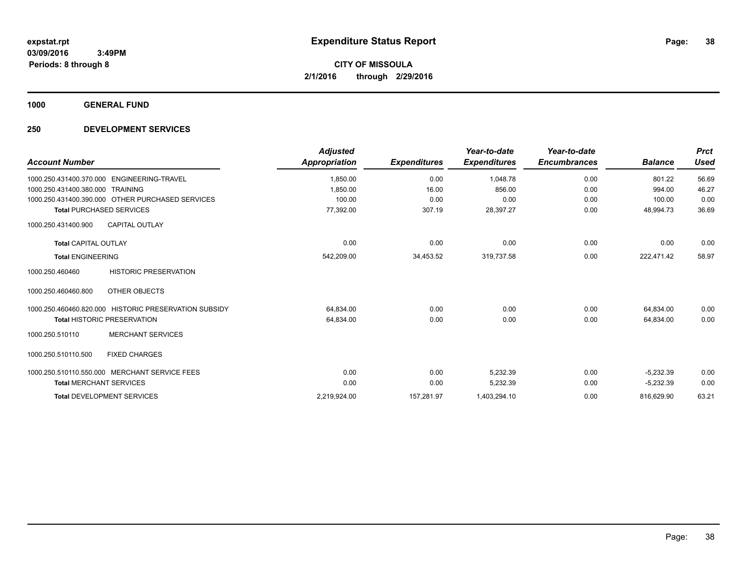**1000 GENERAL FUND**

# **250 DEVELOPMENT SERVICES**

| <b>Account Number</b>                                 | <b>Adjusted</b><br>Appropriation | <b>Expenditures</b> | Year-to-date<br><b>Expenditures</b> | Year-to-date<br><b>Encumbrances</b> | <b>Balance</b> | <b>Prct</b><br><b>Used</b> |
|-------------------------------------------------------|----------------------------------|---------------------|-------------------------------------|-------------------------------------|----------------|----------------------------|
| 1000.250.431400.370.000 ENGINEERING-TRAVEL            | 1,850.00                         | 0.00                | 1.048.78                            | 0.00                                | 801.22         | 56.69                      |
| 1000.250.431400.380.000 TRAINING                      | 1.850.00                         | 16.00               | 856.00                              | 0.00                                | 994.00         | 46.27                      |
| 1000.250.431400.390.000 OTHER PURCHASED SERVICES      | 100.00                           | 0.00                | 0.00                                | 0.00                                | 100.00         | 0.00                       |
| <b>Total PURCHASED SERVICES</b>                       | 77,392.00                        | 307.19              | 28,397.27                           | 0.00                                | 48,994.73      | 36.69                      |
| <b>CAPITAL OUTLAY</b><br>1000.250.431400.900          |                                  |                     |                                     |                                     |                |                            |
| <b>Total CAPITAL OUTLAY</b>                           | 0.00                             | 0.00                | 0.00                                | 0.00                                | 0.00           | 0.00                       |
| <b>Total ENGINEERING</b>                              | 542,209.00                       | 34,453.52           | 319,737.58                          | 0.00                                | 222,471.42     | 58.97                      |
| <b>HISTORIC PRESERVATION</b><br>1000.250.460460       |                                  |                     |                                     |                                     |                |                            |
| 1000.250.460460.800<br>OTHER OBJECTS                  |                                  |                     |                                     |                                     |                |                            |
| 1000.250.460460.820.000 HISTORIC PRESERVATION SUBSIDY | 64,834.00                        | 0.00                | 0.00                                | 0.00                                | 64,834.00      | 0.00                       |
| <b>Total HISTORIC PRESERVATION</b>                    | 64,834.00                        | 0.00                | 0.00                                | 0.00                                | 64.834.00      | 0.00                       |
| <b>MERCHANT SERVICES</b><br>1000.250.510110           |                                  |                     |                                     |                                     |                |                            |
| 1000.250.510110.500<br><b>FIXED CHARGES</b>           |                                  |                     |                                     |                                     |                |                            |
| 1000.250.510110.550.000 MERCHANT SERVICE FEES         | 0.00                             | 0.00                | 5.232.39                            | 0.00                                | $-5,232.39$    | 0.00                       |
| <b>Total MERCHANT SERVICES</b>                        | 0.00                             | 0.00                | 5,232.39                            | 0.00                                | $-5,232.39$    | 0.00                       |
| <b>Total DEVELOPMENT SERVICES</b>                     | 2,219,924.00                     | 157,281.97          | 1,403,294.10                        | 0.00                                | 816,629.90     | 63.21                      |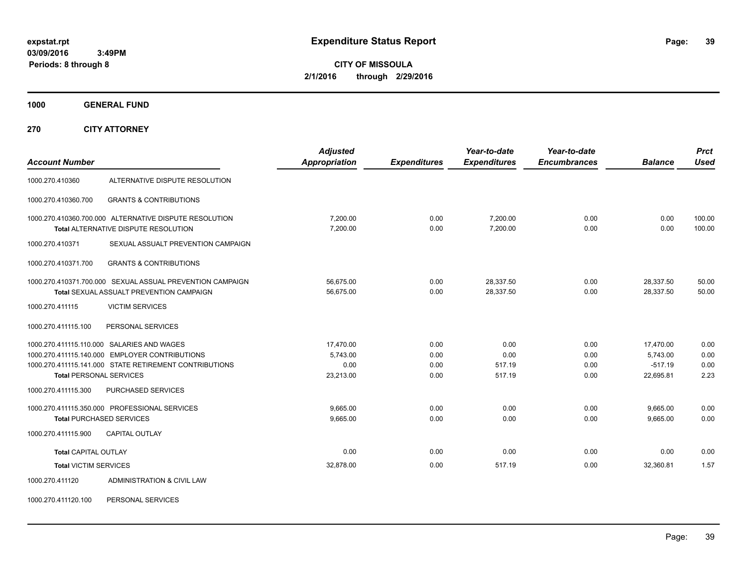**CITY OF MISSOULA 2/1/2016 through 2/29/2016**

**1000 GENERAL FUND**

**270 CITY ATTORNEY**

|                                |                                                           | <b>Adjusted</b>      |                     | Year-to-date        | Year-to-date        |                | <b>Prct</b> |
|--------------------------------|-----------------------------------------------------------|----------------------|---------------------|---------------------|---------------------|----------------|-------------|
| <b>Account Number</b>          |                                                           | <b>Appropriation</b> | <b>Expenditures</b> | <b>Expenditures</b> | <b>Encumbrances</b> | <b>Balance</b> | Used        |
| 1000.270.410360                | ALTERNATIVE DISPUTE RESOLUTION                            |                      |                     |                     |                     |                |             |
| 1000.270.410360.700            | <b>GRANTS &amp; CONTRIBUTIONS</b>                         |                      |                     |                     |                     |                |             |
|                                | 1000.270.410360.700.000 ALTERNATIVE DISPUTE RESOLUTION    | 7,200.00             | 0.00                | 7,200.00            | 0.00                | 0.00           | 100.00      |
|                                | Total ALTERNATIVE DISPUTE RESOLUTION                      | 7,200.00             | 0.00                | 7,200.00            | 0.00                | 0.00           | 100.00      |
| 1000.270.410371                | SEXUAL ASSUALT PREVENTION CAMPAIGN                        |                      |                     |                     |                     |                |             |
| 1000.270.410371.700            | <b>GRANTS &amp; CONTRIBUTIONS</b>                         |                      |                     |                     |                     |                |             |
|                                | 1000.270.410371.700.000 SEXUAL ASSUAL PREVENTION CAMPAIGN | 56,675.00            | 0.00                | 28,337.50           | 0.00                | 28,337.50      | 50.00       |
|                                | Total SEXUAL ASSUALT PREVENTION CAMPAIGN                  | 56.675.00            | 0.00                | 28,337.50           | 0.00                | 28,337.50      | 50.00       |
| 1000.270.411115                | <b>VICTIM SERVICES</b>                                    |                      |                     |                     |                     |                |             |
| 1000.270.411115.100            | PERSONAL SERVICES                                         |                      |                     |                     |                     |                |             |
|                                | 1000.270.411115.110.000 SALARIES AND WAGES                | 17,470.00            | 0.00                | 0.00                | 0.00                | 17,470.00      | 0.00        |
|                                | 1000.270.411115.140.000 EMPLOYER CONTRIBUTIONS            | 5,743.00             | 0.00                | 0.00                | 0.00                | 5,743.00       | 0.00        |
|                                | 1000.270.411115.141.000 STATE RETIREMENT CONTRIBUTIONS    | 0.00                 | 0.00                | 517.19              | 0.00                | $-517.19$      | 0.00        |
| <b>Total PERSONAL SERVICES</b> |                                                           | 23,213.00            | 0.00                | 517.19              | 0.00                | 22,695.81      | 2.23        |
| 1000.270.411115.300            | <b>PURCHASED SERVICES</b>                                 |                      |                     |                     |                     |                |             |
|                                | 1000.270.411115.350.000 PROFESSIONAL SERVICES             | 9.665.00             | 0.00                | 0.00                | 0.00                | 9,665.00       | 0.00        |
|                                | <b>Total PURCHASED SERVICES</b>                           | 9,665.00             | 0.00                | 0.00                | 0.00                | 9,665.00       | 0.00        |
| 1000.270.411115.900            | <b>CAPITAL OUTLAY</b>                                     |                      |                     |                     |                     |                |             |
| <b>Total CAPITAL OUTLAY</b>    |                                                           | 0.00                 | 0.00                | 0.00                | 0.00                | 0.00           | 0.00        |
| <b>Total VICTIM SERVICES</b>   |                                                           | 32,878.00            | 0.00                | 517.19              | 0.00                | 32,360.81      | 1.57        |
| 1000.270.411120                | ADMINISTRATION & CIVIL LAW                                |                      |                     |                     |                     |                |             |

1000.270.411120.100 PERSONAL SERVICES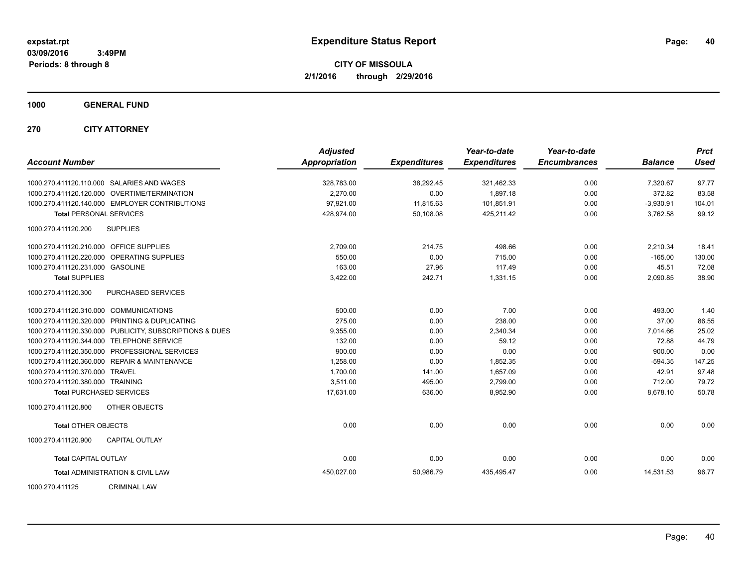**CITY OF MISSOULA 2/1/2016 through 2/29/2016**

**1000 GENERAL FUND**

**270 CITY ATTORNEY**

| <b>Account Number</b>                   |                                                         | <b>Adjusted</b><br><b>Appropriation</b> | <b>Expenditures</b> | Year-to-date<br><b>Expenditures</b> | Year-to-date<br><b>Encumbrances</b> | <b>Balance</b> | <b>Prct</b><br><b>Used</b> |
|-----------------------------------------|---------------------------------------------------------|-----------------------------------------|---------------------|-------------------------------------|-------------------------------------|----------------|----------------------------|
|                                         | 1000.270.411120.110.000 SALARIES AND WAGES              | 328,783.00                              | 38,292.45           | 321,462.33                          | 0.00                                | 7,320.67       | 97.77                      |
|                                         | 1000.270.411120.120.000 OVERTIME/TERMINATION            | 2.270.00                                | 0.00                | 1.897.18                            | 0.00                                | 372.82         | 83.58                      |
|                                         | 1000.270.411120.140.000 EMPLOYER CONTRIBUTIONS          | 97,921.00                               | 11,815.63           | 101,851.91                          | 0.00                                | $-3,930.91$    | 104.01                     |
| <b>Total PERSONAL SERVICES</b>          |                                                         | 428,974.00                              | 50,108.08           | 425,211.42                          | 0.00                                | 3,762.58       | 99.12                      |
| 1000.270.411120.200                     | <b>SUPPLIES</b>                                         |                                         |                     |                                     |                                     |                |                            |
| 1000.270.411120.210.000 OFFICE SUPPLIES |                                                         | 2,709.00                                | 214.75              | 498.66                              | 0.00                                | 2,210.34       | 18.41                      |
|                                         | 1000.270.411120.220.000 OPERATING SUPPLIES              | 550.00                                  | 0.00                | 715.00                              | 0.00                                | $-165.00$      | 130.00                     |
| 1000.270.411120.231.000 GASOLINE        |                                                         | 163.00                                  | 27.96               | 117.49                              | 0.00                                | 45.51          | 72.08                      |
| <b>Total SUPPLIES</b>                   |                                                         | 3,422.00                                | 242.71              | 1,331.15                            | 0.00                                | 2,090.85       | 38.90                      |
| 1000.270.411120.300                     | PURCHASED SERVICES                                      |                                         |                     |                                     |                                     |                |                            |
| 1000.270.411120.310.000 COMMUNICATIONS  |                                                         | 500.00                                  | 0.00                | 7.00                                | 0.00                                | 493.00         | 1.40                       |
|                                         | 1000.270.411120.320.000 PRINTING & DUPLICATING          | 275.00                                  | 0.00                | 238.00                              | 0.00                                | 37.00          | 86.55                      |
|                                         | 1000.270.411120.330.000 PUBLICITY, SUBSCRIPTIONS & DUES | 9,355.00                                | 0.00                | 2,340.34                            | 0.00                                | 7,014.66       | 25.02                      |
|                                         | 1000.270.411120.344.000 TELEPHONE SERVICE               | 132.00                                  | 0.00                | 59.12                               | 0.00                                | 72.88          | 44.79                      |
|                                         | 1000.270.411120.350.000 PROFESSIONAL SERVICES           | 900.00                                  | 0.00                | 0.00                                | 0.00                                | 900.00         | 0.00                       |
|                                         | 1000.270.411120.360.000 REPAIR & MAINTENANCE            | 1,258.00                                | 0.00                | 1,852.35                            | 0.00                                | $-594.35$      | 147.25                     |
| 1000.270.411120.370.000 TRAVEL          |                                                         | 1,700.00                                | 141.00              | 1,657.09                            | 0.00                                | 42.91          | 97.48                      |
| 1000.270.411120.380.000 TRAINING        |                                                         | 3,511.00                                | 495.00              | 2,799.00                            | 0.00                                | 712.00         | 79.72                      |
|                                         | <b>Total PURCHASED SERVICES</b>                         | 17,631.00                               | 636.00              | 8,952.90                            | 0.00                                | 8,678.10       | 50.78                      |
| 1000.270.411120.800                     | <b>OTHER OBJECTS</b>                                    |                                         |                     |                                     |                                     |                |                            |
| <b>Total OTHER OBJECTS</b>              |                                                         | 0.00                                    | 0.00                | 0.00                                | 0.00                                | 0.00           | 0.00                       |
| 1000.270.411120.900                     | <b>CAPITAL OUTLAY</b>                                   |                                         |                     |                                     |                                     |                |                            |
| <b>Total CAPITAL OUTLAY</b>             |                                                         | 0.00                                    | 0.00                | 0.00                                | 0.00                                | 0.00           | 0.00                       |
|                                         | <b>Total ADMINISTRATION &amp; CIVIL LAW</b>             | 450,027.00                              | 50,986.79           | 435,495.47                          | 0.00                                | 14,531.53      | 96.77                      |
| 1000.270.411125                         | <b>CRIMINAL LAW</b>                                     |                                         |                     |                                     |                                     |                |                            |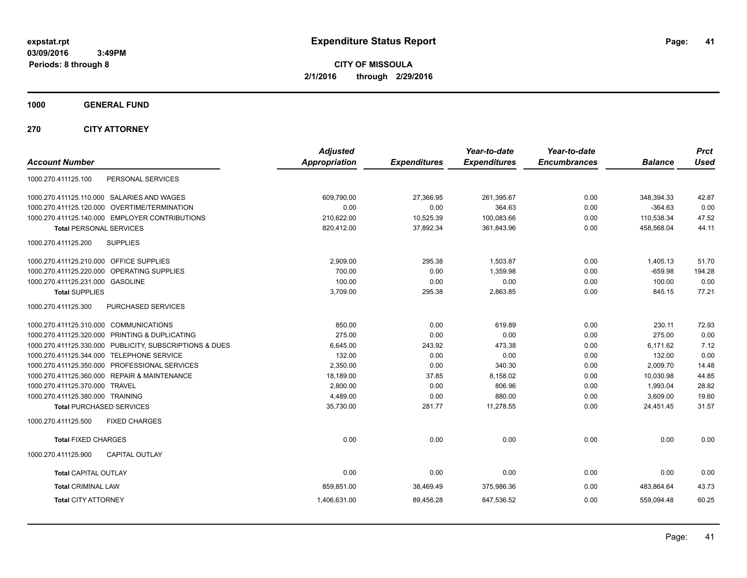**CITY OF MISSOULA 2/1/2016 through 2/29/2016**

**1000 GENERAL FUND**

**270 CITY ATTORNEY**

| <b>Account Number</b>                                   | <b>Adjusted</b><br><b>Appropriation</b> | <b>Expenditures</b> | Year-to-date<br><b>Expenditures</b> | Year-to-date<br><b>Encumbrances</b> | <b>Balance</b> | <b>Prct</b><br><b>Used</b> |
|---------------------------------------------------------|-----------------------------------------|---------------------|-------------------------------------|-------------------------------------|----------------|----------------------------|
| PERSONAL SERVICES<br>1000.270.411125.100                |                                         |                     |                                     |                                     |                |                            |
| 1000.270.411125.110.000 SALARIES AND WAGES              | 609,790.00                              | 27,366.95           | 261,395.67                          | 0.00                                | 348,394.33     | 42.87                      |
| 1000.270.411125.120.000 OVERTIME/TERMINATION            | 0.00                                    | 0.00                | 364.63                              | 0.00                                | $-364.63$      | 0.00                       |
| 1000.270.411125.140.000 EMPLOYER CONTRIBUTIONS          | 210,622.00                              | 10,525.39           | 100,083.66                          | 0.00                                | 110,538.34     | 47.52                      |
| <b>Total PERSONAL SERVICES</b>                          | 820,412.00                              | 37,892.34           | 361,843.96                          | 0.00                                | 458,568.04     | 44.11                      |
| 1000.270.411125.200<br><b>SUPPLIES</b>                  |                                         |                     |                                     |                                     |                |                            |
| 1000.270.411125.210.000 OFFICE SUPPLIES                 | 2,909.00                                | 295.38              | 1.503.87                            | 0.00                                | 1,405.13       | 51.70                      |
| OPERATING SUPPLIES<br>1000.270.411125.220.000           | 700.00                                  | 0.00                | 1,359.98                            | 0.00                                | $-659.98$      | 194.28                     |
| 1000.270.411125.231.000 GASOLINE                        | 100.00                                  | 0.00                | 0.00                                | 0.00                                | 100.00         | 0.00                       |
| <b>Total SUPPLIES</b>                                   | 3,709.00                                | 295.38              | 2,863.85                            | 0.00                                | 845.15         | 77.21                      |
| 1000.270.411125.300<br>PURCHASED SERVICES               |                                         |                     |                                     |                                     |                |                            |
| 1000.270.411125.310.000 COMMUNICATIONS                  | 850.00                                  | 0.00                | 619.89                              | 0.00                                | 230.11         | 72.93                      |
| 1000.270.411125.320.000 PRINTING & DUPLICATING          | 275.00                                  | 0.00                | 0.00                                | 0.00                                | 275.00         | 0.00                       |
| 1000.270.411125.330.000 PUBLICITY, SUBSCRIPTIONS & DUES | 6,645.00                                | 243.92              | 473.38                              | 0.00                                | 6.171.62       | 7.12                       |
| 1000.270.411125.344.000 TELEPHONE SERVICE               | 132.00                                  | 0.00                | 0.00                                | 0.00                                | 132.00         | 0.00                       |
| 1000.270.411125.350.000 PROFESSIONAL SERVICES           | 2,350.00                                | 0.00                | 340.30                              | 0.00                                | 2,009.70       | 14.48                      |
| 1000.270.411125.360.000 REPAIR & MAINTENANCE            | 18,189.00                               | 37.85               | 8,158.02                            | 0.00                                | 10,030.98      | 44.85                      |
| 1000.270.411125.370.000 TRAVEL                          | 2,800.00                                | 0.00                | 806.96                              | 0.00                                | 1,993.04       | 28.82                      |
| 1000.270.411125.380.000 TRAINING                        | 4.489.00                                | 0.00                | 880.00                              | 0.00                                | 3.609.00       | 19.60                      |
| <b>Total PURCHASED SERVICES</b>                         | 35,730.00                               | 281.77              | 11,278.55                           | 0.00                                | 24,451.45      | 31.57                      |
| 1000.270.411125.500<br><b>FIXED CHARGES</b>             |                                         |                     |                                     |                                     |                |                            |
| <b>Total FIXED CHARGES</b>                              | 0.00                                    | 0.00                | 0.00                                | 0.00                                | 0.00           | 0.00                       |
| 1000.270.411125.900<br><b>CAPITAL OUTLAY</b>            |                                         |                     |                                     |                                     |                |                            |
| <b>Total CAPITAL OUTLAY</b>                             | 0.00                                    | 0.00                | 0.00                                | 0.00                                | 0.00           | 0.00                       |
| <b>Total CRIMINAL LAW</b>                               | 859,851.00                              | 38,469.49           | 375,986.36                          | 0.00                                | 483,864.64     | 43.73                      |
| <b>Total CITY ATTORNEY</b>                              | 1,406,631.00                            | 89,456.28           | 847,536.52                          | 0.00                                | 559,094.48     | 60.25                      |
|                                                         |                                         |                     |                                     |                                     |                |                            |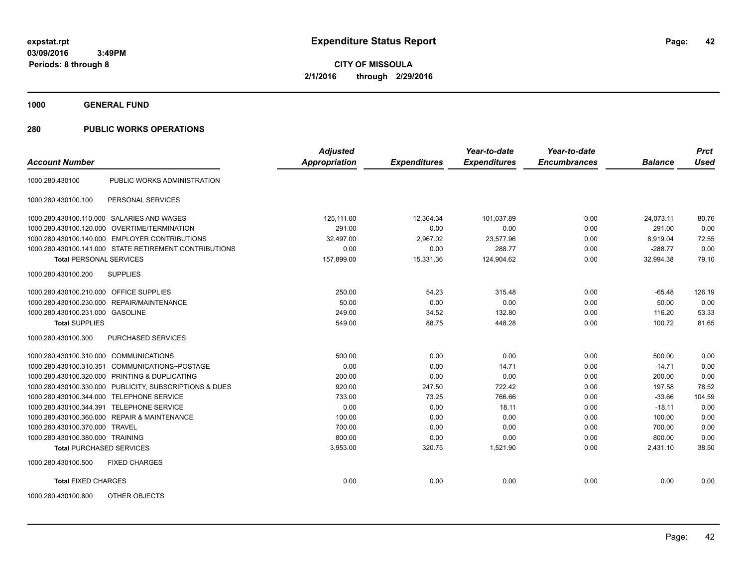**1000 GENERAL FUND**

# **280 PUBLIC WORKS OPERATIONS**

| <b>Account Number</b>                   |                                                         | <b>Adjusted</b><br><b>Appropriation</b> | <b>Expenditures</b> | Year-to-date<br><b>Expenditures</b> | Year-to-date<br><b>Encumbrances</b> | <b>Balance</b> | <b>Prct</b><br><b>Used</b> |
|-----------------------------------------|---------------------------------------------------------|-----------------------------------------|---------------------|-------------------------------------|-------------------------------------|----------------|----------------------------|
|                                         |                                                         |                                         |                     |                                     |                                     |                |                            |
| 1000.280.430100                         | PUBLIC WORKS ADMINISTRATION                             |                                         |                     |                                     |                                     |                |                            |
| 1000.280.430100.100                     | PERSONAL SERVICES                                       |                                         |                     |                                     |                                     |                |                            |
|                                         | 1000.280.430100.110.000 SALARIES AND WAGES              | 125.111.00                              | 12.364.34           | 101.037.89                          | 0.00                                | 24.073.11      | 80.76                      |
|                                         | 1000.280.430100.120.000 OVERTIME/TERMINATION            | 291.00                                  | 0.00                | 0.00                                | 0.00                                | 291.00         | 0.00                       |
|                                         | 1000.280.430100.140.000 EMPLOYER CONTRIBUTIONS          | 32,497.00                               | 2,967.02            | 23,577.96                           | 0.00                                | 8,919.04       | 72.55                      |
|                                         | 1000.280.430100.141.000 STATE RETIREMENT CONTRIBUTIONS  | 0.00                                    | 0.00                | 288.77                              | 0.00                                | $-288.77$      | 0.00                       |
| <b>Total PERSONAL SERVICES</b>          |                                                         | 157,899.00                              | 15,331.36           | 124,904.62                          | 0.00                                | 32.994.38      | 79.10                      |
| 1000.280.430100.200                     | <b>SUPPLIES</b>                                         |                                         |                     |                                     |                                     |                |                            |
| 1000.280.430100.210.000 OFFICE SUPPLIES |                                                         | 250.00                                  | 54.23               | 315.48                              | 0.00                                | $-65.48$       | 126.19                     |
|                                         | 1000.280.430100.230.000 REPAIR/MAINTENANCE              | 50.00                                   | 0.00                | 0.00                                | 0.00                                | 50.00          | 0.00                       |
| 1000.280.430100.231.000 GASOLINE        |                                                         | 249.00                                  | 34.52               | 132.80                              | 0.00                                | 116.20         | 53.33                      |
| <b>Total SUPPLIES</b>                   |                                                         | 549.00                                  | 88.75               | 448.28                              | 0.00                                | 100.72         | 81.65                      |
| 1000.280.430100.300                     | <b>PURCHASED SERVICES</b>                               |                                         |                     |                                     |                                     |                |                            |
| 1000.280.430100.310.000 COMMUNICATIONS  |                                                         | 500.00                                  | 0.00                | 0.00                                | 0.00                                | 500.00         | 0.00                       |
| 1000.280.430100.310.351                 | COMMUNICATIONS~POSTAGE                                  | 0.00                                    | 0.00                | 14.71                               | 0.00                                | $-14.71$       | 0.00                       |
|                                         | 1000.280.430100.320.000 PRINTING & DUPLICATING          | 200.00                                  | 0.00                | 0.00                                | 0.00                                | 200.00         | 0.00                       |
|                                         | 1000.280.430100.330.000 PUBLICITY, SUBSCRIPTIONS & DUES | 920.00                                  | 247.50              | 722.42                              | 0.00                                | 197.58         | 78.52                      |
| 1000.280.430100.344.000                 | <b>TELEPHONE SERVICE</b>                                | 733.00                                  | 73.25               | 766.66                              | 0.00                                | $-33.66$       | 104.59                     |
| 1000.280.430100.344.391                 | <b>TELEPHONE SERVICE</b>                                | 0.00                                    | 0.00                | 18.11                               | 0.00                                | $-18.11$       | 0.00                       |
|                                         | 1000.280.430100.360.000 REPAIR & MAINTENANCE            | 100.00                                  | 0.00                | 0.00                                | 0.00                                | 100.00         | 0.00                       |
| 1000.280.430100.370.000 TRAVEL          |                                                         | 700.00                                  | 0.00                | 0.00                                | 0.00                                | 700.00         | 0.00                       |
| 1000.280.430100.380.000 TRAINING        |                                                         | 800.00                                  | 0.00                | 0.00                                | 0.00                                | 800.00         | 0.00                       |
| <b>Total PURCHASED SERVICES</b>         |                                                         | 3,953.00                                | 320.75              | 1,521.90                            | 0.00                                | 2,431.10       | 38.50                      |
| 1000.280.430100.500                     | <b>FIXED CHARGES</b>                                    |                                         |                     |                                     |                                     |                |                            |
| <b>Total FIXED CHARGES</b>              |                                                         | 0.00                                    | 0.00                | 0.00                                | 0.00                                | 0.00           | 0.00                       |
| 1000.280.430100.800                     | OTHER OBJECTS                                           |                                         |                     |                                     |                                     |                |                            |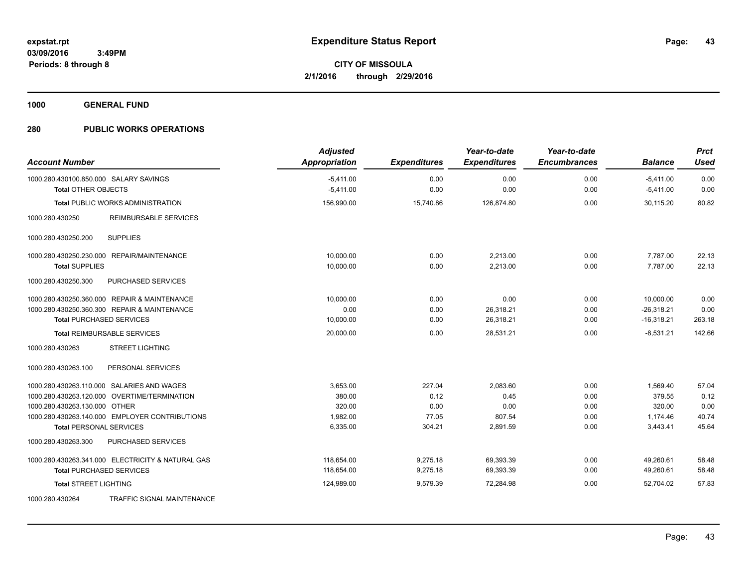**1000 GENERAL FUND**

# **280 PUBLIC WORKS OPERATIONS**

| <b>Account Number</b>                                                                                                                                                                                           | <b>Adjusted</b><br>Appropriation                     | <b>Expenditures</b>                       | Year-to-date<br><b>Expenditures</b>            | Year-to-date<br><b>Encumbrances</b>  | <b>Balance</b>                                       | <b>Prct</b><br><b>Used</b>              |
|-----------------------------------------------------------------------------------------------------------------------------------------------------------------------------------------------------------------|------------------------------------------------------|-------------------------------------------|------------------------------------------------|--------------------------------------|------------------------------------------------------|-----------------------------------------|
| 1000.280.430100.850.000 SALARY SAVINGS<br><b>Total OTHER OBJECTS</b>                                                                                                                                            | $-5,411.00$<br>$-5,411.00$                           | 0.00<br>0.00                              | 0.00<br>0.00                                   | 0.00<br>0.00                         | $-5,411.00$<br>$-5,411.00$                           | 0.00<br>0.00                            |
| <b>Total PUBLIC WORKS ADMINISTRATION</b>                                                                                                                                                                        | 156,990.00                                           | 15,740.86                                 | 126,874.80                                     | 0.00                                 | 30.115.20                                            | 80.82                                   |
| <b>REIMBURSABLE SERVICES</b><br>1000.280.430250                                                                                                                                                                 |                                                      |                                           |                                                |                                      |                                                      |                                         |
| <b>SUPPLIES</b><br>1000.280.430250.200                                                                                                                                                                          |                                                      |                                           |                                                |                                      |                                                      |                                         |
| 1000.280.430250.230.000 REPAIR/MAINTENANCE<br><b>Total SUPPLIES</b>                                                                                                                                             | 10.000.00<br>10,000.00                               | 0.00<br>0.00                              | 2.213.00<br>2,213.00                           | 0.00<br>0.00                         | 7.787.00<br>7.787.00                                 | 22.13<br>22.13                          |
| 1000.280.430250.300<br>PURCHASED SERVICES                                                                                                                                                                       |                                                      |                                           |                                                |                                      |                                                      |                                         |
| 1000.280.430250.360.000 REPAIR & MAINTENANCE<br>1000.280.430250.360.300 REPAIR & MAINTENANCE<br><b>Total PURCHASED SERVICES</b>                                                                                 | 10.000.00<br>0.00<br>10,000.00                       | 0.00<br>0.00<br>0.00                      | 0.00<br>26,318.21<br>26,318.21                 | 0.00<br>0.00<br>0.00                 | 10.000.00<br>$-26,318.21$<br>$-16,318.21$            | 0.00<br>0.00<br>263.18                  |
| <b>Total REIMBURSABLE SERVICES</b>                                                                                                                                                                              | 20,000.00                                            | 0.00                                      | 28.531.21                                      | 0.00                                 | $-8.531.21$                                          | 142.66                                  |
| <b>STREET LIGHTING</b><br>1000.280.430263                                                                                                                                                                       |                                                      |                                           |                                                |                                      |                                                      |                                         |
| PERSONAL SERVICES<br>1000.280.430263.100                                                                                                                                                                        |                                                      |                                           |                                                |                                      |                                                      |                                         |
| 1000.280.430263.110.000 SALARIES AND WAGES<br>1000.280.430263.120.000 OVERTIME/TERMINATION<br>1000.280.430263.130.000 OTHER<br>1000.280.430263.140.000 EMPLOYER CONTRIBUTIONS<br><b>Total PERSONAL SERVICES</b> | 3,653.00<br>380.00<br>320.00<br>1,982.00<br>6,335.00 | 227.04<br>0.12<br>0.00<br>77.05<br>304.21 | 2,083.60<br>0.45<br>0.00<br>807.54<br>2,891.59 | 0.00<br>0.00<br>0.00<br>0.00<br>0.00 | 1,569.40<br>379.55<br>320.00<br>1,174.46<br>3,443.41 | 57.04<br>0.12<br>0.00<br>40.74<br>45.64 |
| 1000.280.430263.300<br>PURCHASED SERVICES                                                                                                                                                                       |                                                      |                                           |                                                |                                      |                                                      |                                         |
| 1000.280.430263.341.000 ELECTRICITY & NATURAL GAS<br><b>Total PURCHASED SERVICES</b><br><b>Total STREET LIGHTING</b>                                                                                            | 118.654.00<br>118,654.00<br>124,989.00               | 9,275.18<br>9,275.18<br>9,579.39          | 69,393.39<br>69,393.39<br>72.284.98            | 0.00<br>0.00<br>0.00                 | 49,260.61<br>49,260.61<br>52.704.02                  | 58.48<br>58.48<br>57.83                 |
| TRAFFIC SIGNAL MAINTENANCE<br>1000.280.430264                                                                                                                                                                   |                                                      |                                           |                                                |                                      |                                                      |                                         |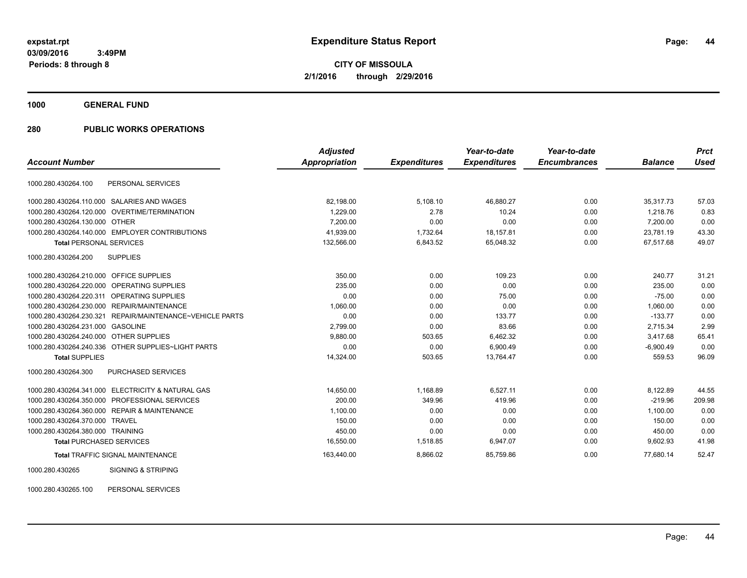**CITY OF MISSOULA 2/1/2016 through 2/29/2016**

**1000 GENERAL FUND**

# **280 PUBLIC WORKS OPERATIONS**

|                                                             | <b>Adjusted</b> |                     | Year-to-date        | Year-to-date        |                | <b>Prct</b> |
|-------------------------------------------------------------|-----------------|---------------------|---------------------|---------------------|----------------|-------------|
| <b>Account Number</b>                                       | Appropriation   | <b>Expenditures</b> | <b>Expenditures</b> | <b>Encumbrances</b> | <b>Balance</b> | <b>Used</b> |
| PERSONAL SERVICES<br>1000.280.430264.100                    |                 |                     |                     |                     |                |             |
| 1000.280.430264.110.000<br>SALARIES AND WAGES               | 82,198.00       | 5,108.10            | 46,880.27           | 0.00                | 35,317.73      | 57.03       |
| 1000.280.430264.120.000 OVERTIME/TERMINATION                | 1.229.00        | 2.78                | 10.24               | 0.00                | 1.218.76       | 0.83        |
| 1000.280.430264.130.000 OTHER                               | 7,200.00        | 0.00                | 0.00                | 0.00                | 7,200.00       | 0.00        |
| 1000.280.430264.140.000 EMPLOYER CONTRIBUTIONS              | 41,939.00       | 1,732.64            | 18,157.81           | 0.00                | 23,781.19      | 43.30       |
| <b>Total PERSONAL SERVICES</b>                              | 132,566.00      | 6,843.52            | 65,048.32           | 0.00                | 67,517.68      | 49.07       |
| 1000.280.430264.200<br><b>SUPPLIES</b>                      |                 |                     |                     |                     |                |             |
| 1000.280.430264.210.000 OFFICE SUPPLIES                     | 350.00          | 0.00                | 109.23              | 0.00                | 240.77         | 31.21       |
| 1000.280.430264.220.000<br><b>OPERATING SUPPLIES</b>        | 235.00          | 0.00                | 0.00                | 0.00                | 235.00         | 0.00        |
| 1000.280.430264.220.311<br>OPERATING SUPPLIES               | 0.00            | 0.00                | 75.00               | 0.00                | $-75.00$       | 0.00        |
| 1000.280.430264.230.000<br>REPAIR/MAINTENANCE               | 1,060.00        | 0.00                | 0.00                | 0.00                | 1,060.00       | 0.00        |
| REPAIR/MAINTENANCE~VEHICLE PARTS<br>1000.280.430264.230.321 | 0.00            | 0.00                | 133.77              | 0.00                | $-133.77$      | 0.00        |
| 1000.280.430264.231.000<br><b>GASOLINE</b>                  | 2,799.00        | 0.00                | 83.66               | 0.00                | 2,715.34       | 2.99        |
| 1000.280.430264.240.000 OTHER SUPPLIES                      | 9.880.00        | 503.65              | 6,462.32            | 0.00                | 3.417.68       | 65.41       |
| 1000.280.430264.240.336 OTHER SUPPLIES~LIGHT PARTS          | 0.00            | 0.00                | 6,900.49            | 0.00                | $-6,900.49$    | 0.00        |
| <b>Total SUPPLIES</b>                                       | 14,324.00       | 503.65              | 13,764.47           | 0.00                | 559.53         | 96.09       |
| 1000.280.430264.300<br>PURCHASED SERVICES                   |                 |                     |                     |                     |                |             |
| 1000.280.430264.341.000 ELECTRICITY & NATURAL GAS           | 14,650.00       | 1,168.89            | 6,527.11            | 0.00                | 8,122.89       | 44.55       |
| PROFESSIONAL SERVICES<br>1000.280.430264.350.000            | 200.00          | 349.96              | 419.96              | 0.00                | $-219.96$      | 209.98      |
| 1000.280.430264.360.000 REPAIR & MAINTENANCE                | 1,100.00        | 0.00                | 0.00                | 0.00                | 1,100.00       | 0.00        |
| 1000.280.430264.370.000<br><b>TRAVEL</b>                    | 150.00          | 0.00                | 0.00                | 0.00                | 150.00         | 0.00        |
| 1000.280.430264.380.000 TRAINING                            | 450.00          | 0.00                | 0.00                | 0.00                | 450.00         | 0.00        |
| <b>Total PURCHASED SERVICES</b>                             | 16,550.00       | 1,518.85            | 6,947.07            | 0.00                | 9,602.93       | 41.98       |
| <b>Total TRAFFIC SIGNAL MAINTENANCE</b>                     | 163,440.00      | 8,866.02            | 85,759.86           | 0.00                | 77.680.14      | 52.47       |
| <b>SIGNING &amp; STRIPING</b><br>1000.280.430265            |                 |                     |                     |                     |                |             |

1000.280.430265.100 PERSONAL SERVICES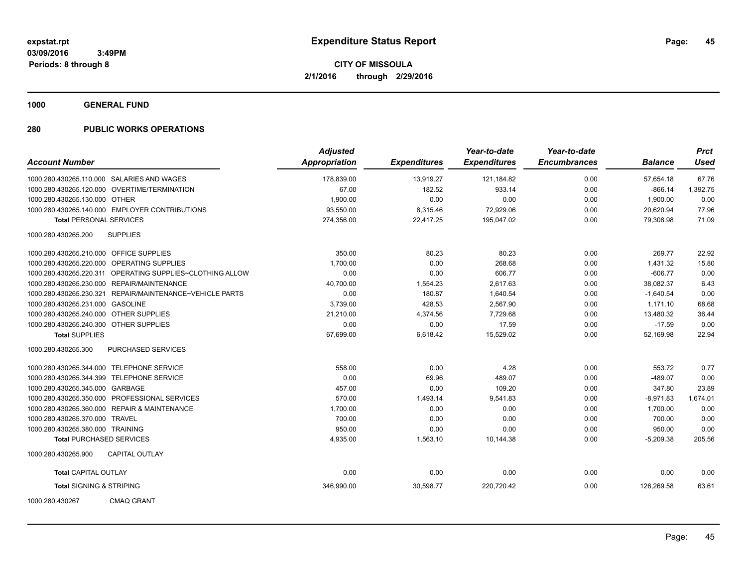**1000 GENERAL FUND**

# **280 PUBLIC WORKS OPERATIONS**

| <b>Account Number</b>                   |                                                | <b>Adjusted</b><br>Appropriation | <b>Expenditures</b> | Year-to-date<br><b>Expenditures</b> | Year-to-date<br><b>Encumbrances</b> | <b>Balance</b> | <b>Prct</b><br><b>Used</b> |
|-----------------------------------------|------------------------------------------------|----------------------------------|---------------------|-------------------------------------|-------------------------------------|----------------|----------------------------|
|                                         |                                                |                                  |                     |                                     |                                     |                |                            |
|                                         | 1000.280.430265.110.000 SALARIES AND WAGES     | 178,839.00                       | 13,919.27           | 121,184.82                          | 0.00                                | 57,654.18      | 67.76                      |
|                                         | 1000.280.430265.120.000 OVERTIME/TERMINATION   | 67.00                            | 182.52              | 933.14                              | 0.00                                | $-866.14$      | 1,392.75                   |
| 1000.280.430265.130.000 OTHER           |                                                | 1,900.00                         | 0.00                | 0.00                                | 0.00                                | 1,900.00       | 0.00                       |
|                                         | 1000.280.430265.140.000 EMPLOYER CONTRIBUTIONS | 93,550.00                        | 8,315.46            | 72,929.06                           | 0.00                                | 20,620.94      | 77.96                      |
| <b>Total PERSONAL SERVICES</b>          |                                                | 274,356.00                       | 22,417.25           | 195,047.02                          | 0.00                                | 79,308.98      | 71.09                      |
| 1000.280.430265.200                     | <b>SUPPLIES</b>                                |                                  |                     |                                     |                                     |                |                            |
| 1000.280.430265.210.000 OFFICE SUPPLIES |                                                | 350.00                           | 80.23               | 80.23                               | 0.00                                | 269.77         | 22.92                      |
|                                         | 1000.280.430265.220.000 OPERATING SUPPLIES     | 1,700.00                         | 0.00                | 268.68                              | 0.00                                | 1,431.32       | 15.80                      |
| 1000.280.430265.220.311                 | OPERATING SUPPLIES~CLOTHING ALLOW              | 0.00                             | 0.00                | 606.77                              | 0.00                                | $-606.77$      | 0.00                       |
| 1000.280.430265.230.000                 | REPAIR/MAINTENANCE                             | 40,700.00                        | 1,554.23            | 2,617.63                            | 0.00                                | 38,082.37      | 6.43                       |
| 1000.280.430265.230.321                 | REPAIR/MAINTENANCE~VEHICLE PARTS               | 0.00                             | 180.87              | 1,640.54                            | 0.00                                | $-1,640.54$    | 0.00                       |
| 1000.280.430265.231.000                 | <b>GASOLINE</b>                                | 3,739.00                         | 428.53              | 2,567.90                            | 0.00                                | 1,171.10       | 68.68                      |
| 1000.280.430265.240.000 OTHER SUPPLIES  |                                                | 21,210.00                        | 4,374.56            | 7,729.68                            | 0.00                                | 13,480.32      | 36.44                      |
| 1000.280.430265.240.300 OTHER SUPPLIES  |                                                | 0.00                             | 0.00                | 17.59                               | 0.00                                | $-17.59$       | 0.00                       |
| <b>Total SUPPLIES</b>                   |                                                | 67,699.00                        | 6,618.42            | 15,529.02                           | 0.00                                | 52,169.98      | 22.94                      |
| 1000.280.430265.300                     | <b>PURCHASED SERVICES</b>                      |                                  |                     |                                     |                                     |                |                            |
|                                         | 1000.280.430265.344.000 TELEPHONE SERVICE      | 558.00                           | 0.00                | 4.28                                | 0.00                                | 553.72         | 0.77                       |
|                                         | 1000.280.430265.344.399 TELEPHONE SERVICE      | 0.00                             | 69.96               | 489.07                              | 0.00                                | $-489.07$      | 0.00                       |
| 1000.280.430265.345.000 GARBAGE         |                                                | 457.00                           | 0.00                | 109.20                              | 0.00                                | 347.80         | 23.89                      |
|                                         | 1000.280.430265.350.000 PROFESSIONAL SERVICES  | 570.00                           | 1,493.14            | 9,541.83                            | 0.00                                | $-8,971.83$    | 1,674.01                   |
|                                         | 1000.280.430265.360.000 REPAIR & MAINTENANCE   | 1,700.00                         | 0.00                | 0.00                                | 0.00                                | 1,700.00       | 0.00                       |
| 1000.280.430265.370.000 TRAVEL          |                                                | 700.00                           | 0.00                | 0.00                                | 0.00                                | 700.00         | 0.00                       |
| 1000.280.430265.380.000 TRAINING        |                                                | 950.00                           | 0.00                | 0.00                                | 0.00                                | 950.00         | 0.00                       |
| <b>Total PURCHASED SERVICES</b>         |                                                | 4,935.00                         | 1,563.10            | 10,144.38                           | 0.00                                | $-5,209.38$    | 205.56                     |
| 1000.280.430265.900                     | <b>CAPITAL OUTLAY</b>                          |                                  |                     |                                     |                                     |                |                            |
| <b>Total CAPITAL OUTLAY</b>             |                                                | 0.00                             | 0.00                | 0.00                                | 0.00                                | 0.00           | 0.00                       |
| <b>Total SIGNING &amp; STRIPING</b>     |                                                | 346,990.00                       | 30,598.77           | 220,720.42                          | 0.00                                | 126,269.58     | 63.61                      |
| 1000.280.430267                         | <b>CMAQ GRANT</b>                              |                                  |                     |                                     |                                     |                |                            |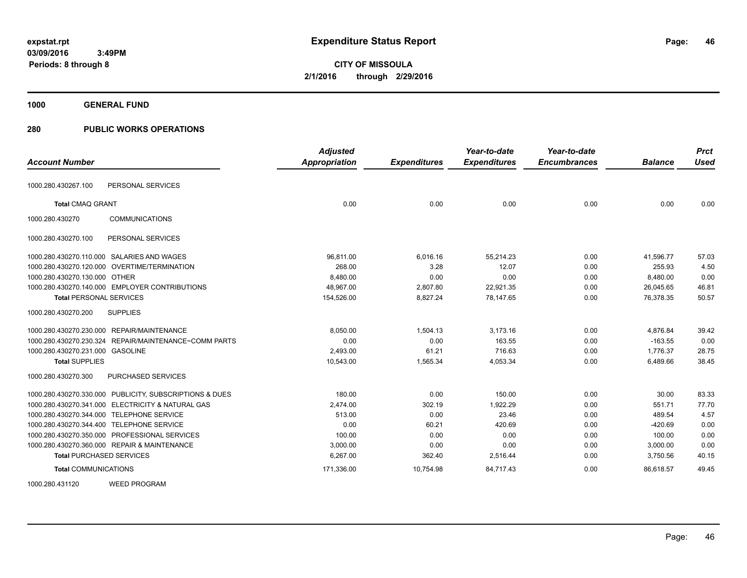**Periods: 8 through 8**

**CITY OF MISSOULA 2/1/2016 through 2/29/2016**

**1000 GENERAL FUND**

# **280 PUBLIC WORKS OPERATIONS**

 **3:49PM**

| <b>Account Number</b>                                   | <b>Adjusted</b><br>Appropriation | <b>Expenditures</b> | Year-to-date<br><b>Expenditures</b> | Year-to-date<br><b>Encumbrances</b> | <b>Balance</b> | <b>Prct</b><br><b>Used</b> |
|---------------------------------------------------------|----------------------------------|---------------------|-------------------------------------|-------------------------------------|----------------|----------------------------|
|                                                         |                                  |                     |                                     |                                     |                |                            |
| PERSONAL SERVICES<br>1000.280.430267.100                |                                  |                     |                                     |                                     |                |                            |
| <b>Total CMAQ GRANT</b>                                 | 0.00                             | 0.00                | 0.00                                | 0.00                                | 0.00           | 0.00                       |
| <b>COMMUNICATIONS</b><br>1000.280.430270                |                                  |                     |                                     |                                     |                |                            |
| PERSONAL SERVICES<br>1000.280.430270.100                |                                  |                     |                                     |                                     |                |                            |
| 1000.280.430270.110.000 SALARIES AND WAGES              | 96,811.00                        | 6,016.16            | 55,214.23                           | 0.00                                | 41,596.77      | 57.03                      |
| 1000.280.430270.120.000 OVERTIME/TERMINATION            | 268.00                           | 3.28                | 12.07                               | 0.00                                | 255.93         | 4.50                       |
| 1000.280.430270.130.000 OTHER                           | 8.480.00                         | 0.00                | 0.00                                | 0.00                                | 8,480.00       | 0.00                       |
| 1000.280.430270.140.000 EMPLOYER CONTRIBUTIONS          | 48,967.00                        | 2,807.80            | 22,921.35                           | 0.00                                | 26,045.65      | 46.81                      |
| <b>Total PERSONAL SERVICES</b>                          | 154,526.00                       | 8,827.24            | 78,147.65                           | 0.00                                | 76,378.35      | 50.57                      |
| 1000.280.430270.200<br><b>SUPPLIES</b>                  |                                  |                     |                                     |                                     |                |                            |
| 1000.280.430270.230.000 REPAIR/MAINTENANCE              | 8,050.00                         | 1,504.13            | 3,173.16                            | 0.00                                | 4,876.84       | 39.42                      |
| 1000.280.430270.230.324 REPAIR/MAINTENANCE~COMM PARTS   | 0.00                             | 0.00                | 163.55                              | 0.00                                | $-163.55$      | 0.00                       |
| 1000.280.430270.231.000 GASOLINE                        | 2,493.00                         | 61.21               | 716.63                              | 0.00                                | 1,776.37       | 28.75                      |
| <b>Total SUPPLIES</b>                                   | 10,543.00                        | 1.565.34            | 4,053.34                            | 0.00                                | 6,489.66       | 38.45                      |
| PURCHASED SERVICES<br>1000.280.430270.300               |                                  |                     |                                     |                                     |                |                            |
| 1000.280.430270.330.000 PUBLICITY, SUBSCRIPTIONS & DUES | 180.00                           | 0.00                | 150.00                              | 0.00                                | 30.00          | 83.33                      |
| 1000.280.430270.341.000 ELECTRICITY & NATURAL GAS       | 2,474.00                         | 302.19              | 1,922.29                            | 0.00                                | 551.71         | 77.70                      |
| 1000.280.430270.344.000 TELEPHONE SERVICE               | 513.00                           | 0.00                | 23.46                               | 0.00                                | 489.54         | 4.57                       |
| 1000.280.430270.344.400 TELEPHONE SERVICE               | 0.00                             | 60.21               | 420.69                              | 0.00                                | $-420.69$      | 0.00                       |
| 1000.280.430270.350.000 PROFESSIONAL SERVICES           | 100.00                           | 0.00                | 0.00                                | 0.00                                | 100.00         | 0.00                       |
| 1000.280.430270.360.000 REPAIR & MAINTENANCE            | 3,000.00                         | 0.00                | 0.00                                | 0.00                                | 3,000.00       | 0.00                       |
| <b>Total PURCHASED SERVICES</b>                         | 6,267.00                         | 362.40              | 2,516.44                            | 0.00                                | 3,750.56       | 40.15                      |
| <b>Total COMMUNICATIONS</b>                             | 171,336.00                       | 10,754.98           | 84,717.43                           | 0.00                                | 86,618.57      | 49.45                      |
| <b>WEED PROGRAM</b><br>1000.280.431120                  |                                  |                     |                                     |                                     |                |                            |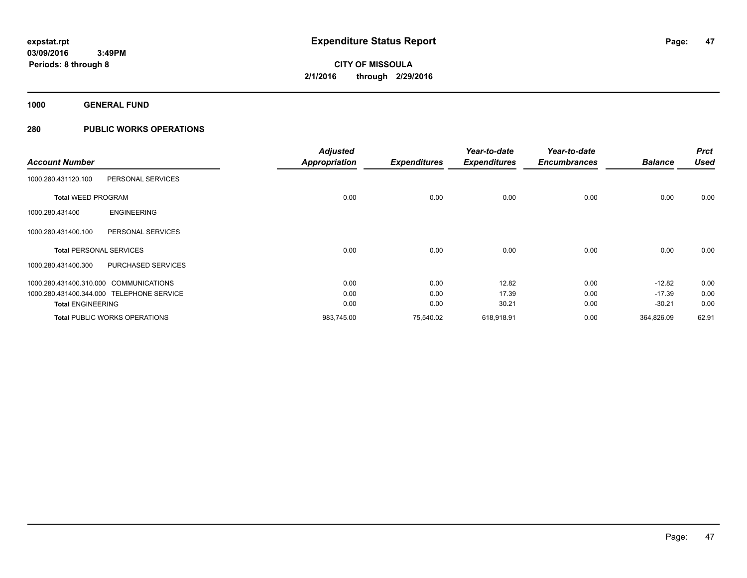**1000 GENERAL FUND**

# **280 PUBLIC WORKS OPERATIONS**

|                                           |                                      | <b>Adjusted</b>      |                     | Year-to-date        | Year-to-date        |                | <b>Prct</b> |
|-------------------------------------------|--------------------------------------|----------------------|---------------------|---------------------|---------------------|----------------|-------------|
| <b>Account Number</b>                     |                                      | <b>Appropriation</b> | <b>Expenditures</b> | <b>Expenditures</b> | <b>Encumbrances</b> | <b>Balance</b> | <b>Used</b> |
| 1000.280.431120.100                       | PERSONAL SERVICES                    |                      |                     |                     |                     |                |             |
| <b>Total WEED PROGRAM</b>                 |                                      | 0.00                 | 0.00                | 0.00                | 0.00                | 0.00           | 0.00        |
| 1000.280.431400                           | <b>ENGINEERING</b>                   |                      |                     |                     |                     |                |             |
| 1000.280.431400.100                       | PERSONAL SERVICES                    |                      |                     |                     |                     |                |             |
| <b>Total PERSONAL SERVICES</b>            |                                      | 0.00                 | 0.00                | 0.00                | 0.00                | 0.00           | 0.00        |
| 1000.280.431400.300                       | <b>PURCHASED SERVICES</b>            |                      |                     |                     |                     |                |             |
| 1000.280.431400.310.000 COMMUNICATIONS    |                                      | 0.00                 | 0.00                | 12.82               | 0.00                | $-12.82$       | 0.00        |
| 1000.280.431400.344.000 TELEPHONE SERVICE |                                      | 0.00                 | 0.00                | 17.39               | 0.00                | $-17.39$       | 0.00        |
| <b>Total ENGINEERING</b>                  |                                      | 0.00                 | 0.00                | 30.21               | 0.00                | $-30.21$       | 0.00        |
|                                           | <b>Total PUBLIC WORKS OPERATIONS</b> | 983,745.00           | 75,540.02           | 618,918.91          | 0.00                | 364,826.09     | 62.91       |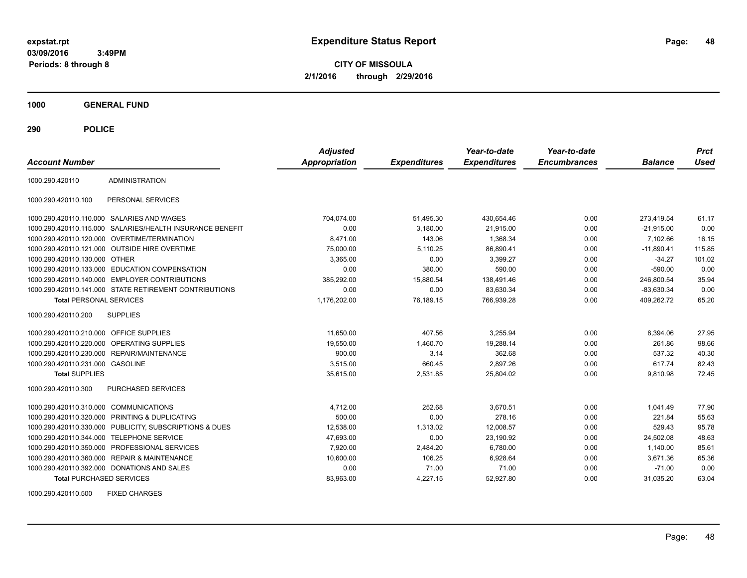**CITY OF MISSOULA 2/1/2016 through 2/29/2016**

**1000 GENERAL FUND**

**290 POLICE**

| <b>Account Number</b>                   |                                                        | <b>Adjusted</b><br><b>Appropriation</b> | <b>Expenditures</b> | Year-to-date<br><b>Expenditures</b> | Year-to-date<br><b>Encumbrances</b> | <b>Balance</b> | <b>Prct</b><br><b>Used</b> |
|-----------------------------------------|--------------------------------------------------------|-----------------------------------------|---------------------|-------------------------------------|-------------------------------------|----------------|----------------------------|
| 1000.290.420110                         | <b>ADMINISTRATION</b>                                  |                                         |                     |                                     |                                     |                |                            |
| 1000.290.420110.100                     | PERSONAL SERVICES                                      |                                         |                     |                                     |                                     |                |                            |
| 1000.290.420110.110.000                 | SALARIES AND WAGES                                     | 704,074.00                              | 51,495.30           | 430,654.46                          | 0.00                                | 273.419.54     | 61.17                      |
| 1000.290.420110.115.000                 | SALARIES/HEALTH INSURANCE BENEFIT                      | 0.00                                    | 3,180.00            | 21,915.00                           | 0.00                                | $-21,915.00$   | 0.00                       |
| 1000.290.420110.120.000                 | OVERTIME/TERMINATION                                   | 8,471.00                                | 143.06              | 1.368.34                            | 0.00                                | 7,102.66       | 16.15                      |
|                                         | 1000.290.420110.121.000 OUTSIDE HIRE OVERTIME          | 75,000.00                               | 5,110.25            | 86,890.41                           | 0.00                                | $-11,890.41$   | 115.85                     |
| 1000.290.420110.130.000 OTHER           |                                                        | 3,365.00                                | 0.00                | 3,399.27                            | 0.00                                | $-34.27$       | 101.02                     |
|                                         | 1000.290.420110.133.000 EDUCATION COMPENSATION         | 0.00                                    | 380.00              | 590.00                              | 0.00                                | $-590.00$      | 0.00                       |
| 1000.290.420110.140.000                 | <b>EMPLOYER CONTRIBUTIONS</b>                          | 385,292.00                              | 15,880.54           | 138,491.46                          | 0.00                                | 246,800.54     | 35.94                      |
|                                         | 1000.290.420110.141.000 STATE RETIREMENT CONTRIBUTIONS | 0.00                                    | 0.00                | 83,630.34                           | 0.00                                | $-83.630.34$   | 0.00                       |
| <b>Total PERSONAL SERVICES</b>          |                                                        | 1,176,202.00                            | 76,189.15           | 766,939.28                          | 0.00                                | 409,262.72     | 65.20                      |
| 1000.290.420110.200                     | <b>SUPPLIES</b>                                        |                                         |                     |                                     |                                     |                |                            |
| 1000.290.420110.210.000 OFFICE SUPPLIES |                                                        | 11,650.00                               | 407.56              | 3,255.94                            | 0.00                                | 8,394.06       | 27.95                      |
|                                         | 1000.290.420110.220.000 OPERATING SUPPLIES             | 19,550.00                               | 1,460.70            | 19,288.14                           | 0.00                                | 261.86         | 98.66                      |
| 1000.290.420110.230.000                 | <b>REPAIR/MAINTENANCE</b>                              | 900.00                                  | 3.14                | 362.68                              | 0.00                                | 537.32         | 40.30                      |
| 1000.290.420110.231.000 GASOLINE        |                                                        | 3,515.00                                | 660.45              | 2,897.26                            | 0.00                                | 617.74         | 82.43                      |
| <b>Total SUPPLIES</b>                   |                                                        | 35,615.00                               | 2,531.85            | 25,804.02                           | 0.00                                | 9,810.98       | 72.45                      |
| 1000.290.420110.300                     | <b>PURCHASED SERVICES</b>                              |                                         |                     |                                     |                                     |                |                            |
| 1000.290.420110.310.000 COMMUNICATIONS  |                                                        | 4.712.00                                | 252.68              | 3.670.51                            | 0.00                                | 1.041.49       | 77.90                      |
| 1000.290.420110.320.000                 | PRINTING & DUPLICATING                                 | 500.00                                  | 0.00                | 278.16                              | 0.00                                | 221.84         | 55.63                      |
| 1000.290.420110.330.000                 | PUBLICITY, SUBSCRIPTIONS & DUES                        | 12,538.00                               | 1,313.02            | 12,008.57                           | 0.00                                | 529.43         | 95.78                      |
| 1000.290.420110.344.000                 | <b>TELEPHONE SERVICE</b>                               | 47,693.00                               | 0.00                | 23,190.92                           | 0.00                                | 24,502.08      | 48.63                      |
|                                         | 1000.290.420110.350.000 PROFESSIONAL SERVICES          | 7,920.00                                | 2,484.20            | 6,780.00                            | 0.00                                | 1,140.00       | 85.61                      |
|                                         | 1000.290.420110.360.000 REPAIR & MAINTENANCE           | 10,600.00                               | 106.25              | 6,928.64                            | 0.00                                | 3.671.36       | 65.36                      |
|                                         | 1000.290.420110.392.000 DONATIONS AND SALES            | 0.00                                    | 71.00               | 71.00                               | 0.00                                | $-71.00$       | 0.00                       |
| <b>Total PURCHASED SERVICES</b>         |                                                        | 83,963.00                               | 4,227.15            | 52,927.80                           | 0.00                                | 31,035.20      | 63.04                      |

1000.290.420110.500 FIXED CHARGES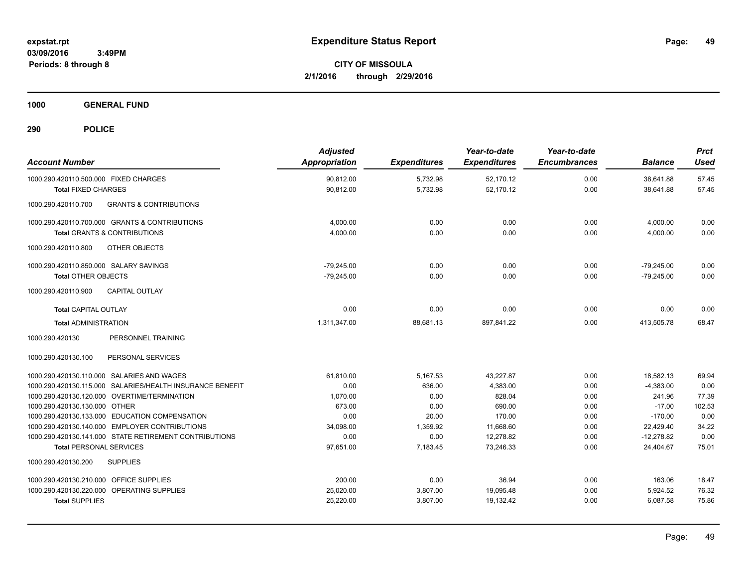**CITY OF MISSOULA 2/1/2016 through 2/29/2016**

**1000 GENERAL FUND**

| <b>Account Number</b>                                                                            | <b>Adjusted</b><br>Appropriation | <b>Expenditures</b> | Year-to-date<br><b>Expenditures</b> | Year-to-date<br><b>Encumbrances</b> | <b>Balance</b>         | <b>Prct</b><br><b>Used</b> |
|--------------------------------------------------------------------------------------------------|----------------------------------|---------------------|-------------------------------------|-------------------------------------|------------------------|----------------------------|
| 1000.290.420110.500.000 FIXED CHARGES                                                            | 90,812.00                        | 5,732.98            | 52,170.12                           | 0.00                                | 38,641.88              | 57.45                      |
| <b>Total FIXED CHARGES</b>                                                                       | 90,812.00                        | 5,732.98            | 52,170.12                           | 0.00                                | 38,641.88              | 57.45                      |
| <b>GRANTS &amp; CONTRIBUTIONS</b><br>1000.290.420110.700                                         |                                  |                     |                                     |                                     |                        |                            |
| 1000.290.420110.700.000 GRANTS & CONTRIBUTIONS                                                   | 4,000.00                         | 0.00                | 0.00                                | 0.00                                | 4,000.00               | 0.00                       |
| <b>Total GRANTS &amp; CONTRIBUTIONS</b>                                                          | 4,000.00                         | 0.00                | 0.00                                | 0.00                                | 4,000.00               | 0.00                       |
| OTHER OBJECTS<br>1000.290.420110.800                                                             |                                  |                     |                                     |                                     |                        |                            |
| 1000.290.420110.850.000 SALARY SAVINGS                                                           | $-79.245.00$                     | 0.00                | 0.00                                | 0.00                                | $-79.245.00$           | 0.00                       |
| <b>Total OTHER OBJECTS</b>                                                                       | $-79,245.00$                     | 0.00                | 0.00                                | 0.00                                | $-79,245.00$           | 0.00                       |
| 1000.290.420110.900<br><b>CAPITAL OUTLAY</b>                                                     |                                  |                     |                                     |                                     |                        |                            |
| <b>Total CAPITAL OUTLAY</b>                                                                      | 0.00                             | 0.00                | 0.00                                | 0.00                                | 0.00                   | 0.00                       |
| <b>Total ADMINISTRATION</b>                                                                      | 1,311,347.00                     | 88,681.13           | 897,841.22                          | 0.00                                | 413,505.78             | 68.47                      |
| PERSONNEL TRAINING<br>1000.290.420130                                                            |                                  |                     |                                     |                                     |                        |                            |
| 1000.290.420130.100<br>PERSONAL SERVICES                                                         |                                  |                     |                                     |                                     |                        |                            |
| 1000.290.420130.110.000 SALARIES AND WAGES                                                       | 61,810.00                        | 5,167.53            | 43,227.87                           | 0.00                                | 18,582.13              | 69.94                      |
| 1000.290.420130.115.000 SALARIES/HEALTH INSURANCE BENEFIT                                        | 0.00                             | 636.00              | 4,383.00                            | 0.00                                | $-4,383.00$            | 0.00                       |
| 1000.290.420130.120.000 OVERTIME/TERMINATION                                                     | 1,070.00                         | 0.00                | 828.04                              | 0.00                                | 241.96                 | 77.39                      |
| 1000.290.420130.130.000 OTHER                                                                    | 673.00                           | 0.00                | 690.00                              | 0.00                                | $-17.00$               | 102.53                     |
| 1000.290.420130.133.000 EDUCATION COMPENSATION<br>1000.290.420130.140.000 EMPLOYER CONTRIBUTIONS | 0.00<br>34,098.00                | 20.00<br>1.359.92   | 170.00<br>11,668.60                 | 0.00                                | $-170.00$<br>22.429.40 | 0.00<br>34.22              |
| 1000.290.420130.141.000 STATE RETIREMENT CONTRIBUTIONS                                           | 0.00                             | 0.00                | 12,278.82                           | 0.00<br>0.00                        | $-12,278.82$           | 0.00                       |
| <b>Total PERSONAL SERVICES</b>                                                                   | 97,651.00                        | 7,183.45            | 73.246.33                           | 0.00                                | 24,404.67              | 75.01                      |
| 1000.290.420130.200<br><b>SUPPLIES</b>                                                           |                                  |                     |                                     |                                     |                        |                            |
| 1000.290.420130.210.000 OFFICE SUPPLIES                                                          | 200.00                           | 0.00                | 36.94                               | 0.00                                | 163.06                 | 18.47                      |
| 1000.290.420130.220.000 OPERATING SUPPLIES                                                       | 25,020.00                        | 3,807.00            | 19,095.48                           | 0.00                                | 5,924.52               | 76.32                      |
| <b>Total SUPPLIES</b>                                                                            | 25,220.00                        | 3,807.00            | 19,132.42                           | 0.00                                | 6,087.58               | 75.86                      |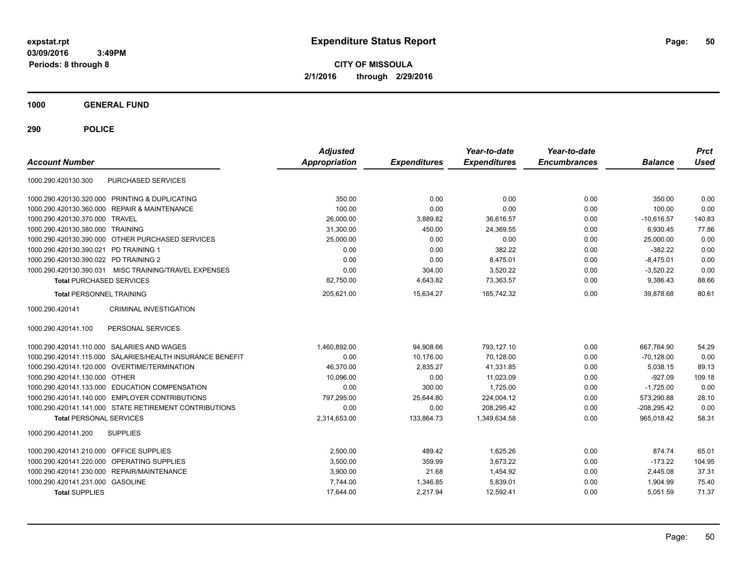**CITY OF MISSOULA 2/1/2016 through 2/29/2016**

**1000 GENERAL FUND**

| <b>Account Number</b>                                     | <b>Adjusted</b><br>Appropriation | <b>Expenditures</b> | Year-to-date<br><b>Expenditures</b> | Year-to-date<br><b>Encumbrances</b> | <b>Balance</b> | <b>Prct</b><br><b>Used</b> |
|-----------------------------------------------------------|----------------------------------|---------------------|-------------------------------------|-------------------------------------|----------------|----------------------------|
| PURCHASED SERVICES<br>1000.290.420130.300                 |                                  |                     |                                     |                                     |                |                            |
| 1000.290.420130.320.000 PRINTING & DUPLICATING            | 350.00                           | 0.00                | 0.00                                | 0.00                                | 350.00         | 0.00                       |
| 1000.290.420130.360.000 REPAIR & MAINTENANCE              | 100.00                           | 0.00                | 0.00                                | 0.00                                | 100.00         | 0.00                       |
| 1000.290.420130.370.000 TRAVEL                            | 26,000.00                        | 3,889.82            | 36,616.57                           | 0.00                                | $-10.616.57$   | 140.83                     |
| 1000.290.420130.380.000 TRAINING                          | 31,300.00                        | 450.00              | 24,369.55                           | 0.00                                | 6,930.45       | 77.86                      |
| 1000.290.420130.390.000 OTHER PURCHASED SERVICES          | 25,000.00                        | 0.00                | 0.00                                | 0.00                                | 25,000.00      | 0.00                       |
| 1000.290.420130.390.021 PD TRAINING 1                     | 0.00                             | 0.00                | 382.22                              | 0.00                                | $-382.22$      | 0.00                       |
| 1000.290.420130.390.022 PD TRAINING 2                     | 0.00                             | 0.00                | 8,475.01                            | 0.00                                | $-8,475.01$    | 0.00                       |
| 1000.290.420130.390.031 MISC TRAINING/TRAVEL EXPENSES     | 0.00                             | 304.00              | 3,520.22                            | 0.00                                | $-3,520.22$    | 0.00                       |
| <b>Total PURCHASED SERVICES</b>                           | 82,750.00                        | 4,643.82            | 73,363.57                           | 0.00                                | 9,386.43       | 88.66                      |
| <b>Total PERSONNEL TRAINING</b>                           | 205,621.00                       | 15,634.27           | 165,742.32                          | 0.00                                | 39,878.68      | 80.61                      |
| <b>CRIMINAL INVESTIGATION</b><br>1000.290.420141          |                                  |                     |                                     |                                     |                |                            |
| PERSONAL SERVICES<br>1000.290.420141.100                  |                                  |                     |                                     |                                     |                |                            |
| 1000.290.420141.110.000 SALARIES AND WAGES                | 1,460,892.00                     | 94,908.66           | 793,127.10                          | 0.00                                | 667,764.90     | 54.29                      |
| 1000.290.420141.115.000 SALARIES/HEALTH INSURANCE BENEFIT | 0.00                             | 10.176.00           | 70.128.00                           | 0.00                                | $-70.128.00$   | 0.00                       |
| 1000.290.420141.120.000 OVERTIME/TERMINATION              | 46,370.00                        | 2,835.27            | 41,331.85                           | 0.00                                | 5,038.15       | 89.13                      |
| 1000.290.420141.130.000 OTHER                             | 10,096.00                        | 0.00                | 11,023.09                           | 0.00                                | $-927.09$      | 109.18                     |
| 1000.290.420141.133.000 EDUCATION COMPENSATION            | 0.00                             | 300.00              | 1.725.00                            | 0.00                                | $-1.725.00$    | 0.00                       |
| 1000.290.420141.140.000 EMPLOYER CONTRIBUTIONS            | 797,295.00                       | 25,644.80           | 224,004.12                          | 0.00                                | 573,290.88     | 28.10                      |
| 1000.290.420141.141.000 STATE RETIREMENT CONTRIBUTIONS    | 0.00                             | 0.00                | 208.295.42                          | 0.00                                | $-208,295.42$  | 0.00                       |
| <b>Total PERSONAL SERVICES</b>                            | 2,314,653.00                     | 133.864.73          | 1.349.634.58                        | 0.00                                | 965.018.42     | 58.31                      |
| 1000.290.420141.200<br><b>SUPPLIES</b>                    |                                  |                     |                                     |                                     |                |                            |
| 1000.290.420141.210.000 OFFICE SUPPLIES                   | 2.500.00                         | 489.42              | 1.625.26                            | 0.00                                | 874.74         | 65.01                      |
| <b>OPERATING SUPPLIES</b><br>1000.290.420141.220.000      | 3,500.00                         | 359.99              | 3,673.22                            | 0.00                                | $-173.22$      | 104.95                     |
| 1000.290.420141.230.000 REPAIR/MAINTENANCE                | 3,900.00                         | 21.68               | 1,454.92                            | 0.00                                | 2,445.08       | 37.31                      |
| 1000.290.420141.231.000 GASOLINE                          | 7,744.00                         | 1,346.85            | 5,839.01                            | 0.00                                | 1.904.99       | 75.40                      |
| <b>Total SUPPLIES</b>                                     | 17,644.00                        | 2,217.94            | 12,592.41                           | 0.00                                | 5,051.59       | 71.37                      |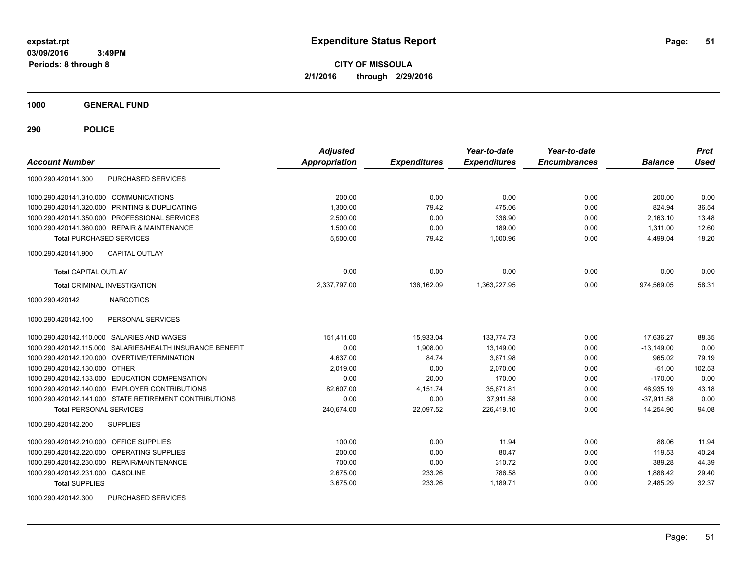**CITY OF MISSOULA 2/1/2016 through 2/29/2016**

**1000 GENERAL FUND**

**290 POLICE**

| <b>Account Number</b>                                     | <b>Adjusted</b><br>Appropriation | <b>Expenditures</b> | Year-to-date<br><b>Expenditures</b> | Year-to-date<br><b>Encumbrances</b> | <b>Balance</b> | <b>Prct</b><br><b>Used</b> |
|-----------------------------------------------------------|----------------------------------|---------------------|-------------------------------------|-------------------------------------|----------------|----------------------------|
| <b>PURCHASED SERVICES</b><br>1000.290.420141.300          |                                  |                     |                                     |                                     |                |                            |
| 1000.290.420141.310.000 COMMUNICATIONS                    | 200.00                           | 0.00                | 0.00                                | 0.00                                | 200.00         | 0.00                       |
| 1000.290.420141.320.000 PRINTING & DUPLICATING            | 1.300.00                         | 79.42               | 475.06                              | 0.00                                | 824.94         | 36.54                      |
| 1000.290.420141.350.000 PROFESSIONAL SERVICES             | 2,500.00                         | 0.00                | 336.90                              | 0.00                                | 2,163.10       | 13.48                      |
| 1000.290.420141.360.000 REPAIR & MAINTENANCE              | 1,500.00                         | 0.00                | 189.00                              | 0.00                                | 1,311.00       | 12.60                      |
| <b>Total PURCHASED SERVICES</b>                           | 5,500.00                         | 79.42               | 1.000.96                            | 0.00                                | 4,499.04       | 18.20                      |
| CAPITAL OUTLAY<br>1000.290.420141.900                     |                                  |                     |                                     |                                     |                |                            |
| <b>Total CAPITAL OUTLAY</b>                               | 0.00                             | 0.00                | 0.00                                | 0.00                                | 0.00           | 0.00                       |
| <b>Total CRIMINAL INVESTIGATION</b>                       | 2,337,797.00                     | 136,162.09          | 1,363,227.95                        | 0.00                                | 974,569.05     | 58.31                      |
| <b>NARCOTICS</b><br>1000.290.420142                       |                                  |                     |                                     |                                     |                |                            |
| PERSONAL SERVICES<br>1000.290.420142.100                  |                                  |                     |                                     |                                     |                |                            |
| 1000.290.420142.110.000 SALARIES AND WAGES                | 151,411.00                       | 15,933.04           | 133,774.73                          | 0.00                                | 17,636.27      | 88.35                      |
| 1000.290.420142.115.000 SALARIES/HEALTH INSURANCE BENEFIT | 0.00                             | 1.908.00            | 13.149.00                           | 0.00                                | $-13.149.00$   | 0.00                       |
| 1000.290.420142.120.000 OVERTIME/TERMINATION              | 4.637.00                         | 84.74               | 3,671.98                            | 0.00                                | 965.02         | 79.19                      |
| 1000.290.420142.130.000 OTHER                             | 2,019.00                         | 0.00                | 2.070.00                            | 0.00                                | $-51.00$       | 102.53                     |
| 1000.290.420142.133.000 EDUCATION COMPENSATION            | 0.00                             | 20.00               | 170.00                              | 0.00                                | $-170.00$      | 0.00                       |
| 1000.290.420142.140.000 EMPLOYER CONTRIBUTIONS            | 82,607.00                        | 4,151.74            | 35,671.81                           | 0.00                                | 46,935.19      | 43.18                      |
| 1000.290.420142.141.000 STATE RETIREMENT CONTRIBUTIONS    | 0.00                             | 0.00                | 37,911.58                           | 0.00                                | $-37.911.58$   | 0.00                       |
| <b>Total PERSONAL SERVICES</b>                            | 240,674.00                       | 22,097.52           | 226,419.10                          | 0.00                                | 14,254.90      | 94.08                      |
| 1000.290.420142.200<br><b>SUPPLIES</b>                    |                                  |                     |                                     |                                     |                |                            |
| 1000.290.420142.210.000 OFFICE SUPPLIES                   | 100.00                           | 0.00                | 11.94                               | 0.00                                | 88.06          | 11.94                      |
| 1000.290.420142.220.000 OPERATING SUPPLIES                | 200.00                           | 0.00                | 80.47                               | 0.00                                | 119.53         | 40.24                      |
| 1000.290.420142.230.000 REPAIR/MAINTENANCE                | 700.00                           | 0.00                | 310.72                              | 0.00                                | 389.28         | 44.39                      |
| 1000.290.420142.231.000 GASOLINE                          | 2,675.00                         | 233.26              | 786.58                              | 0.00                                | 1,888.42       | 29.40                      |
| <b>Total SUPPLIES</b>                                     | 3,675.00                         | 233.26              | 1,189.71                            | 0.00                                | 2,485.29       | 32.37                      |
| 1000.290.420142.300<br>PURCHASED SERVICES                 |                                  |                     |                                     |                                     |                |                            |

Page: 51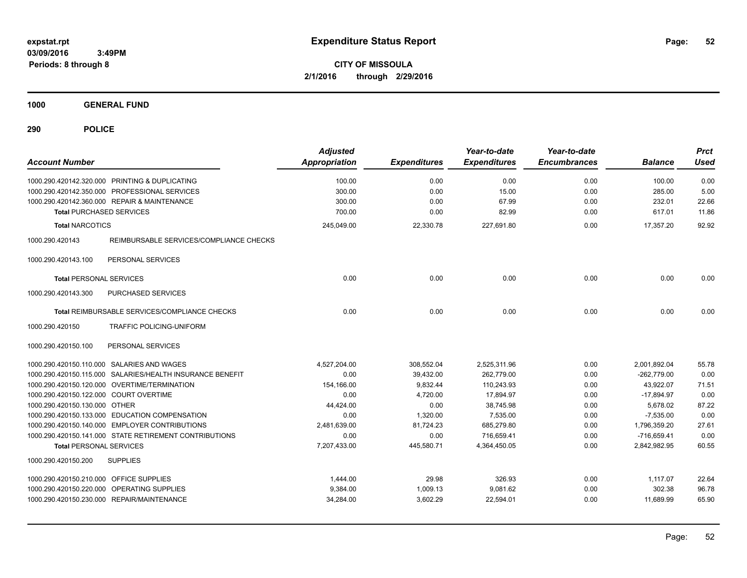**CITY OF MISSOULA 2/1/2016 through 2/29/2016**

**1000 GENERAL FUND**

| <b>Account Number</b>                                      | <b>Adjusted</b><br>Appropriation | <b>Expenditures</b> | Year-to-date<br><b>Expenditures</b> | Year-to-date<br><b>Encumbrances</b> | <b>Balance</b> | <b>Prct</b><br><b>Used</b> |
|------------------------------------------------------------|----------------------------------|---------------------|-------------------------------------|-------------------------------------|----------------|----------------------------|
| 1000.290.420142.320.000 PRINTING & DUPLICATING             | 100.00                           | 0.00                | 0.00                                | 0.00                                | 100.00         | 0.00                       |
| 1000.290.420142.350.000 PROFESSIONAL SERVICES              | 300.00                           | 0.00                | 15.00                               | 0.00                                | 285.00         | 5.00                       |
| 1000.290.420142.360.000 REPAIR & MAINTENANCE               | 300.00                           | 0.00                | 67.99                               | 0.00                                | 232.01         | 22.66                      |
| <b>Total PURCHASED SERVICES</b>                            | 700.00                           | 0.00                | 82.99                               | 0.00                                | 617.01         | 11.86                      |
| <b>Total NARCOTICS</b>                                     | 245,049.00                       | 22,330.78           | 227,691.80                          | 0.00                                | 17,357.20      | 92.92                      |
| REIMBURSABLE SERVICES/COMPLIANCE CHECKS<br>1000.290.420143 |                                  |                     |                                     |                                     |                |                            |
| PERSONAL SERVICES<br>1000.290.420143.100                   |                                  |                     |                                     |                                     |                |                            |
| <b>Total PERSONAL SERVICES</b>                             | 0.00                             | 0.00                | 0.00                                | 0.00                                | 0.00           | 0.00                       |
| 1000.290.420143.300<br>PURCHASED SERVICES                  |                                  |                     |                                     |                                     |                |                            |
| Total REIMBURSABLE SERVICES/COMPLIANCE CHECKS              | 0.00                             | 0.00                | 0.00                                | 0.00                                | 0.00           | 0.00                       |
| 1000.290.420150<br><b>TRAFFIC POLICING-UNIFORM</b>         |                                  |                     |                                     |                                     |                |                            |
| PERSONAL SERVICES<br>1000.290.420150.100                   |                                  |                     |                                     |                                     |                |                            |
| 1000.290.420150.110.000 SALARIES AND WAGES                 | 4,527,204.00                     | 308,552.04          | 2,525,311.96                        | 0.00                                | 2,001,892.04   | 55.78                      |
| 1000.290.420150.115.000 SALARIES/HEALTH INSURANCE BENEFIT  | 0.00                             | 39,432.00           | 262,779.00                          | 0.00                                | $-262,779.00$  | 0.00                       |
| 1000.290.420150.120.000 OVERTIME/TERMINATION               | 154,166.00                       | 9,832.44            | 110,243.93                          | 0.00                                | 43,922.07      | 71.51                      |
| 1000.290.420150.122.000 COURT OVERTIME                     | 0.00                             | 4,720.00            | 17,894.97                           | 0.00                                | $-17,894.97$   | 0.00                       |
| 1000.290.420150.130.000 OTHER                              | 44,424.00                        | 0.00                | 38.745.98                           | 0.00                                | 5,678.02       | 87.22                      |
| 1000.290.420150.133.000 EDUCATION COMPENSATION             | 0.00                             | 1,320.00            | 7.535.00                            | 0.00                                | $-7.535.00$    | 0.00                       |
| 1000.290.420150.140.000 EMPLOYER CONTRIBUTIONS             | 2,481,639.00                     | 81,724.23           | 685,279.80                          | 0.00                                | 1,796,359.20   | 27.61                      |
| 1000.290.420150.141.000 STATE RETIREMENT CONTRIBUTIONS     | 0.00                             | 0.00                | 716,659.41                          | 0.00                                | $-716,659.41$  | 0.00                       |
| <b>Total PERSONAL SERVICES</b>                             | 7,207,433.00                     | 445,580.71          | 4.364.450.05                        | 0.00                                | 2,842,982.95   | 60.55                      |
| 1000.290.420150.200<br><b>SUPPLIES</b>                     |                                  |                     |                                     |                                     |                |                            |
| 1000.290.420150.210.000 OFFICE SUPPLIES                    | 1,444.00                         | 29.98               | 326.93                              | 0.00                                | 1,117.07       | 22.64                      |
| 1000.290.420150.220.000 OPERATING SUPPLIES                 | 9,384.00                         | 1,009.13            | 9,081.62                            | 0.00                                | 302.38         | 96.78                      |
| 1000.290.420150.230.000 REPAIR/MAINTENANCE                 | 34,284.00                        | 3,602.29            | 22,594.01                           | 0.00                                | 11,689.99      | 65.90                      |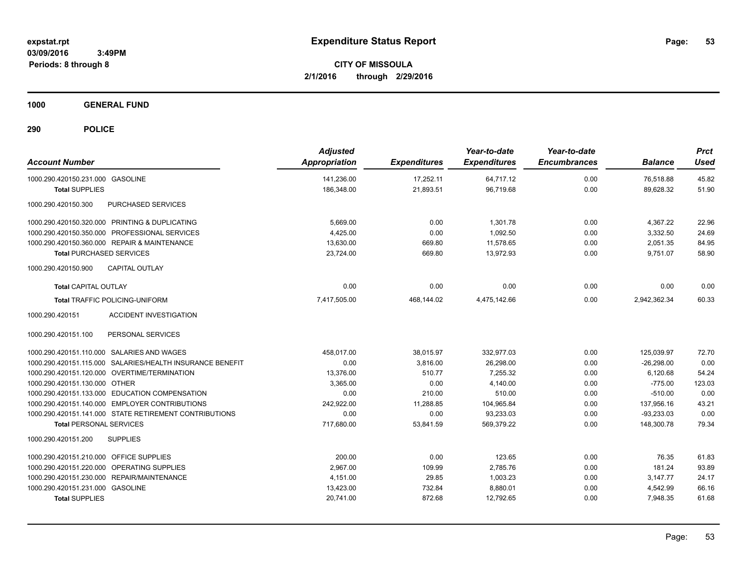**CITY OF MISSOULA 2/1/2016 through 2/29/2016**

**1000 GENERAL FUND**

| <b>Account Number</b>                                     | <b>Adjusted</b><br>Appropriation | <b>Expenditures</b> | Year-to-date<br><b>Expenditures</b> | Year-to-date<br><b>Encumbrances</b> | <b>Balance</b> | <b>Prct</b><br><b>Used</b> |
|-----------------------------------------------------------|----------------------------------|---------------------|-------------------------------------|-------------------------------------|----------------|----------------------------|
| 1000.290.420150.231.000 GASOLINE                          | 141.236.00                       | 17.252.11           | 64.717.12                           | 0.00                                | 76.518.88      | 45.82                      |
| <b>Total SUPPLIES</b>                                     | 186,348.00                       | 21,893.51           | 96,719.68                           | 0.00                                | 89,628.32      | 51.90                      |
| PURCHASED SERVICES<br>1000.290.420150.300                 |                                  |                     |                                     |                                     |                |                            |
| 1000.290.420150.320.000 PRINTING & DUPLICATING            | 5,669.00                         | 0.00                | 1,301.78                            | 0.00                                | 4,367.22       | 22.96                      |
| 1000.290.420150.350.000 PROFESSIONAL SERVICES             | 4,425.00                         | 0.00                | 1,092.50                            | 0.00                                | 3,332.50       | 24.69                      |
| 1000.290.420150.360.000 REPAIR & MAINTENANCE              | 13,630.00                        | 669.80              | 11,578.65                           | 0.00                                | 2,051.35       | 84.95                      |
| <b>Total PURCHASED SERVICES</b>                           | 23,724.00                        | 669.80              | 13,972.93                           | 0.00                                | 9,751.07       | 58.90                      |
| <b>CAPITAL OUTLAY</b><br>1000.290.420150.900              |                                  |                     |                                     |                                     |                |                            |
| <b>Total CAPITAL OUTLAY</b>                               | 0.00                             | 0.00                | 0.00                                | 0.00                                | 0.00           | 0.00                       |
| <b>Total TRAFFIC POLICING-UNIFORM</b>                     | 7,417,505.00                     | 468.144.02          | 4,475,142.66                        | 0.00                                | 2,942,362.34   | 60.33                      |
| <b>ACCIDENT INVESTIGATION</b><br>1000.290.420151          |                                  |                     |                                     |                                     |                |                            |
| PERSONAL SERVICES<br>1000.290.420151.100                  |                                  |                     |                                     |                                     |                |                            |
| 1000.290.420151.110.000 SALARIES AND WAGES                | 458,017.00                       | 38,015.97           | 332,977.03                          | 0.00                                | 125,039.97     | 72.70                      |
| 1000.290.420151.115.000 SALARIES/HEALTH INSURANCE BENEFIT | 0.00                             | 3,816.00            | 26,298.00                           | 0.00                                | $-26,298.00$   | 0.00                       |
| 1000.290.420151.120.000 OVERTIME/TERMINATION              | 13,376.00                        | 510.77              | 7,255.32                            | 0.00                                | 6,120.68       | 54.24                      |
| 1000.290.420151.130.000 OTHER                             | 3.365.00                         | 0.00                | 4.140.00                            | 0.00                                | $-775.00$      | 123.03                     |
| 1000.290.420151.133.000 EDUCATION COMPENSATION            | 0.00                             | 210.00              | 510.00                              | 0.00                                | $-510.00$      | 0.00                       |
| 1000.290.420151.140.000 EMPLOYER CONTRIBUTIONS            | 242,922.00                       | 11,288.85           | 104,965.84                          | 0.00                                | 137,956.16     | 43.21                      |
| 1000.290.420151.141.000 STATE RETIREMENT CONTRIBUTIONS    | 0.00                             | 0.00                | 93,233.03                           | 0.00                                | $-93,233.03$   | 0.00                       |
| <b>Total PERSONAL SERVICES</b>                            | 717,680.00                       | 53,841.59           | 569,379.22                          | 0.00                                | 148,300.78     | 79.34                      |
| 1000.290.420151.200<br><b>SUPPLIES</b>                    |                                  |                     |                                     |                                     |                |                            |
| 1000.290.420151.210.000 OFFICE SUPPLIES                   | 200.00                           | 0.00                | 123.65                              | 0.00                                | 76.35          | 61.83                      |
| 1000.290.420151.220.000 OPERATING SUPPLIES                | 2.967.00                         | 109.99              | 2,785.76                            | 0.00                                | 181.24         | 93.89                      |
| 1000.290.420151.230.000 REPAIR/MAINTENANCE                | 4.151.00                         | 29.85               | 1.003.23                            | 0.00                                | 3,147.77       | 24.17                      |
| 1000.290.420151.231.000 GASOLINE                          | 13,423.00                        | 732.84              | 8,880.01                            | 0.00                                | 4,542.99       | 66.16                      |
| <b>Total SUPPLIES</b>                                     | 20,741.00                        | 872.68              | 12,792.65                           | 0.00                                | 7,948.35       | 61.68                      |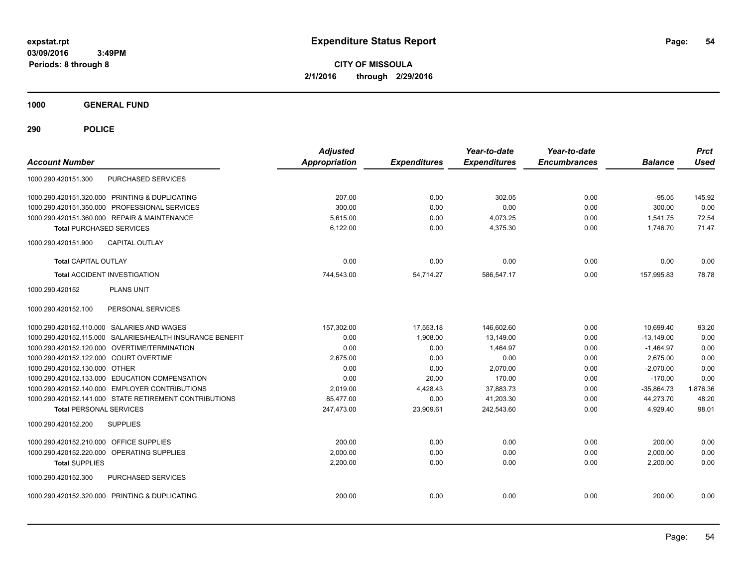**CITY OF MISSOULA 2/1/2016 through 2/29/2016**

**1000 GENERAL FUND**

| <b>Account Number</b>                  |                                                           | <b>Adjusted</b><br><b>Appropriation</b> | <b>Expenditures</b> | Year-to-date<br><b>Expenditures</b> | Year-to-date<br><b>Encumbrances</b> | <b>Balance</b> | <b>Prct</b><br><b>Used</b> |
|----------------------------------------|-----------------------------------------------------------|-----------------------------------------|---------------------|-------------------------------------|-------------------------------------|----------------|----------------------------|
| 1000.290.420151.300                    | <b>PURCHASED SERVICES</b>                                 |                                         |                     |                                     |                                     |                |                            |
|                                        | 1000.290.420151.320.000 PRINTING & DUPLICATING            | 207.00                                  | 0.00                | 302.05                              | 0.00                                | $-95.05$       | 145.92                     |
|                                        | 1000.290.420151.350.000 PROFESSIONAL SERVICES             | 300.00                                  | 0.00                | 0.00                                | 0.00                                | 300.00         | 0.00                       |
|                                        | 1000.290.420151.360.000 REPAIR & MAINTENANCE              | 5.615.00                                | 0.00                | 4,073.25                            | 0.00                                | 1,541.75       | 72.54                      |
| <b>Total PURCHASED SERVICES</b>        |                                                           | 6,122.00                                | 0.00                | 4,375.30                            | 0.00                                | 1.746.70       | 71.47                      |
| 1000.290.420151.900                    | <b>CAPITAL OUTLAY</b>                                     |                                         |                     |                                     |                                     |                |                            |
| <b>Total CAPITAL OUTLAY</b>            |                                                           | 0.00                                    | 0.00                | 0.00                                | 0.00                                | 0.00           | 0.00                       |
|                                        | <b>Total ACCIDENT INVESTIGATION</b>                       | 744,543.00                              | 54.714.27           | 586.547.17                          | 0.00                                | 157.995.83     | 78.78                      |
| 1000.290.420152                        | <b>PLANS UNIT</b>                                         |                                         |                     |                                     |                                     |                |                            |
| 1000.290.420152.100                    | PERSONAL SERVICES                                         |                                         |                     |                                     |                                     |                |                            |
|                                        | 1000.290.420152.110.000 SALARIES AND WAGES                | 157,302.00                              | 17,553.18           | 146,602.60                          | 0.00                                | 10.699.40      | 93.20                      |
|                                        | 1000.290.420152.115.000 SALARIES/HEALTH INSURANCE BENEFIT | 0.00                                    | 1,908.00            | 13,149.00                           | 0.00                                | $-13.149.00$   | 0.00                       |
|                                        | 1000.290.420152.120.000 OVERTIME/TERMINATION              | 0.00                                    | 0.00                | 1,464.97                            | 0.00                                | $-1,464.97$    | 0.00                       |
| 1000.290.420152.122.000 COURT OVERTIME |                                                           | 2.675.00                                | 0.00                | 0.00                                | 0.00                                | 2.675.00       | 0.00                       |
| 1000.290.420152.130.000 OTHER          |                                                           | 0.00                                    | 0.00                | 2.070.00                            | 0.00                                | $-2.070.00$    | 0.00                       |
|                                        | 1000.290.420152.133.000 EDUCATION COMPENSATION            | 0.00                                    | 20.00               | 170.00                              | 0.00                                | $-170.00$      | 0.00                       |
|                                        | 1000.290.420152.140.000 EMPLOYER CONTRIBUTIONS            | 2.019.00                                | 4,428.43            | 37.883.73                           | 0.00                                | $-35,864.73$   | 1,876.36                   |
|                                        | 1000.290.420152.141.000 STATE RETIREMENT CONTRIBUTIONS    | 85,477.00                               | 0.00                | 41,203.30                           | 0.00                                | 44,273.70      | 48.20                      |
| <b>Total PERSONAL SERVICES</b>         |                                                           | 247,473.00                              | 23,909.61           | 242,543.60                          | 0.00                                | 4,929.40       | 98.01                      |
| 1000.290.420152.200                    | <b>SUPPLIES</b>                                           |                                         |                     |                                     |                                     |                |                            |
| 1000.290.420152.210.000                | OFFICE SUPPLIES                                           | 200.00                                  | 0.00                | 0.00                                | 0.00                                | 200.00         | 0.00                       |
| 1000.290.420152.220.000                | <b>OPERATING SUPPLIES</b>                                 | 2.000.00                                | 0.00                | 0.00                                | 0.00                                | 2.000.00       | 0.00                       |
| <b>Total SUPPLIES</b>                  |                                                           | 2,200.00                                | 0.00                | 0.00                                | 0.00                                | 2,200.00       | 0.00                       |
| 1000.290.420152.300                    | PURCHASED SERVICES                                        |                                         |                     |                                     |                                     |                |                            |
|                                        | 1000.290.420152.320.000 PRINTING & DUPLICATING            | 200.00                                  | 0.00                | 0.00                                | 0.00                                | 200.00         | 0.00                       |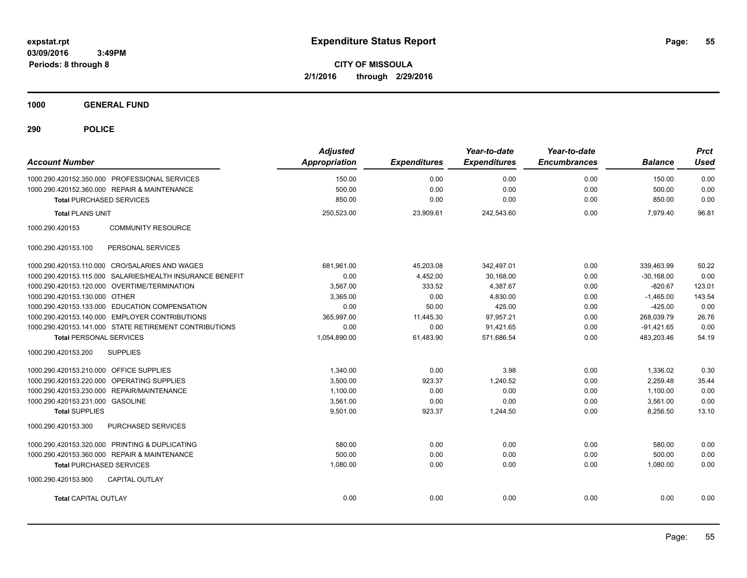**CITY OF MISSOULA 2/1/2016 through 2/29/2016**

**1000 GENERAL FUND**

| <b>Account Number</b>                                     | <b>Adjusted</b><br><b>Appropriation</b> | <b>Expenditures</b> | Year-to-date<br><b>Expenditures</b> | Year-to-date<br><b>Encumbrances</b> | <b>Balance</b> | <b>Prct</b><br><b>Used</b> |
|-----------------------------------------------------------|-----------------------------------------|---------------------|-------------------------------------|-------------------------------------|----------------|----------------------------|
| 1000.290.420152.350.000 PROFESSIONAL SERVICES             | 150.00                                  | 0.00                | 0.00                                | 0.00                                | 150.00         | 0.00                       |
| 1000.290.420152.360.000 REPAIR & MAINTENANCE              | 500.00                                  | 0.00                | 0.00                                | 0.00                                | 500.00         | 0.00                       |
| <b>Total PURCHASED SERVICES</b>                           | 850.00                                  | 0.00                | 0.00                                | 0.00                                | 850.00         | 0.00                       |
| <b>Total PLANS UNIT</b>                                   | 250,523.00                              | 23,909.61           | 242,543.60                          | 0.00                                | 7,979.40       | 96.81                      |
| 1000.290.420153<br><b>COMMUNITY RESOURCE</b>              |                                         |                     |                                     |                                     |                |                            |
| PERSONAL SERVICES<br>1000.290.420153.100                  |                                         |                     |                                     |                                     |                |                            |
| 1000.290.420153.110.000 CRO/SALARIES AND WAGES            | 681,961.00                              | 45,203.08           | 342,497.01                          | 0.00                                | 339,463.99     | 50.22                      |
| 1000.290.420153.115.000 SALARIES/HEALTH INSURANCE BENEFIT | 0.00                                    | 4,452.00            | 30,168.00                           | 0.00                                | $-30,168.00$   | 0.00                       |
| 1000.290.420153.120.000 OVERTIME/TERMINATION              | 3,567.00                                | 333.52              | 4,387.67                            | 0.00                                | $-820.67$      | 123.01                     |
| 1000.290.420153.130.000 OTHER                             | 3,365.00                                | 0.00                | 4,830.00                            | 0.00                                | $-1,465.00$    | 143.54                     |
| 1000.290.420153.133.000 EDUCATION COMPENSATION            | 0.00                                    | 50.00               | 425.00                              | 0.00                                | $-425.00$      | 0.00                       |
| 1000.290.420153.140.000 EMPLOYER CONTRIBUTIONS            | 365,997.00                              | 11,445.30           | 97,957.21                           | 0.00                                | 268,039.79     | 26.76                      |
| 1000.290.420153.141.000 STATE RETIREMENT CONTRIBUTIONS    | 0.00                                    | 0.00                | 91,421.65                           | 0.00                                | $-91,421.65$   | 0.00                       |
| <b>Total PERSONAL SERVICES</b>                            | 1,054,890.00                            | 61,483.90           | 571,686.54                          | 0.00                                | 483,203.46     | 54.19                      |
| 1000.290.420153.200<br><b>SUPPLIES</b>                    |                                         |                     |                                     |                                     |                |                            |
| 1000.290.420153.210.000 OFFICE SUPPLIES                   | 1,340.00                                | 0.00                | 3.98                                | 0.00                                | 1,336.02       | 0.30                       |
| 1000.290.420153.220.000 OPERATING SUPPLIES                | 3,500.00                                | 923.37              | 1,240.52                            | 0.00                                | 2,259.48       | 35.44                      |
| 1000.290.420153.230.000 REPAIR/MAINTENANCE                | 1,100.00                                | 0.00                | 0.00                                | 0.00                                | 1,100.00       | 0.00                       |
| 1000.290.420153.231.000 GASOLINE                          | 3,561.00                                | 0.00                | 0.00                                | 0.00                                | 3,561.00       | 0.00                       |
| <b>Total SUPPLIES</b>                                     | 9,501.00                                | 923.37              | 1,244.50                            | 0.00                                | 8,256.50       | 13.10                      |
| 1000.290.420153.300<br>PURCHASED SERVICES                 |                                         |                     |                                     |                                     |                |                            |
| 1000.290.420153.320.000 PRINTING & DUPLICATING            | 580.00                                  | 0.00                | 0.00                                | 0.00                                | 580.00         | 0.00                       |
| 1000.290.420153.360.000 REPAIR & MAINTENANCE              | 500.00                                  | 0.00                | 0.00                                | 0.00                                | 500.00         | 0.00                       |
| <b>Total PURCHASED SERVICES</b>                           | 1,080.00                                | 0.00                | 0.00                                | 0.00                                | 1,080.00       | 0.00                       |
| CAPITAL OUTLAY<br>1000.290.420153.900                     |                                         |                     |                                     |                                     |                |                            |
| <b>Total CAPITAL OUTLAY</b>                               | 0.00                                    | 0.00                | 0.00                                | 0.00                                | 0.00           | 0.00                       |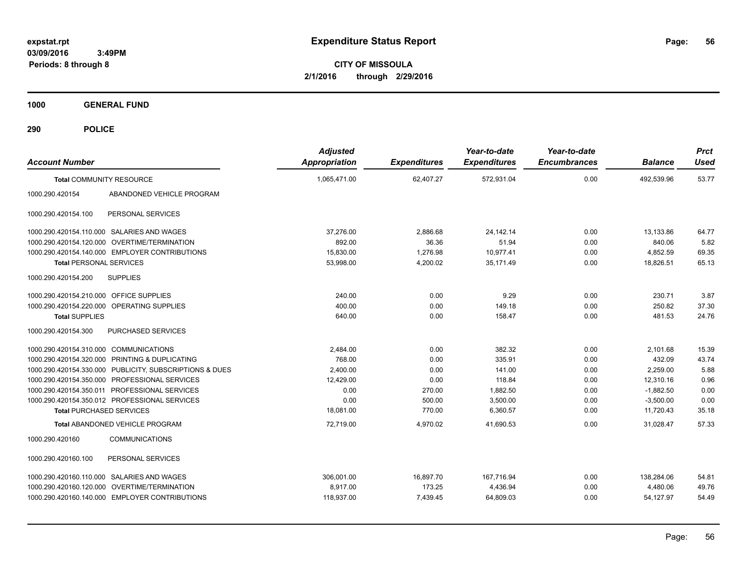**CITY OF MISSOULA 2/1/2016 through 2/29/2016**

**1000 GENERAL FUND**

| <b>Account Number</b>                   |                                                         | <b>Adjusted</b><br><b>Appropriation</b> | <b>Expenditures</b> | Year-to-date<br><b>Expenditures</b> | Year-to-date<br><b>Encumbrances</b> | <b>Balance</b> | <b>Prct</b><br><b>Used</b> |
|-----------------------------------------|---------------------------------------------------------|-----------------------------------------|---------------------|-------------------------------------|-------------------------------------|----------------|----------------------------|
|                                         | <b>Total COMMUNITY RESOURCE</b>                         | 1,065,471.00                            | 62,407.27           | 572,931.04                          | 0.00                                | 492,539.96     | 53.77                      |
| 1000.290.420154                         | ABANDONED VEHICLE PROGRAM                               |                                         |                     |                                     |                                     |                |                            |
| 1000.290.420154.100                     | PERSONAL SERVICES                                       |                                         |                     |                                     |                                     |                |                            |
|                                         | 1000.290.420154.110.000 SALARIES AND WAGES              | 37,276.00                               | 2,886.68            | 24,142.14                           | 0.00                                | 13,133.86      | 64.77                      |
|                                         | 1000.290.420154.120.000 OVERTIME/TERMINATION            | 892.00                                  | 36.36               | 51.94                               | 0.00                                | 840.06         | 5.82                       |
|                                         | 1000.290.420154.140.000 EMPLOYER CONTRIBUTIONS          | 15,830.00                               | 1,276.98            | 10,977.41                           | 0.00                                | 4,852.59       | 69.35                      |
| <b>Total PERSONAL SERVICES</b>          |                                                         | 53,998.00                               | 4,200.02            | 35,171.49                           | 0.00                                | 18,826.51      | 65.13                      |
| 1000.290.420154.200                     | <b>SUPPLIES</b>                                         |                                         |                     |                                     |                                     |                |                            |
| 1000.290.420154.210.000 OFFICE SUPPLIES |                                                         | 240.00                                  | 0.00                | 9.29                                | 0.00                                | 230.71         | 3.87                       |
|                                         | 1000.290.420154.220.000 OPERATING SUPPLIES              | 400.00                                  | 0.00                | 149.18                              | 0.00                                | 250.82         | 37.30                      |
| <b>Total SUPPLIES</b>                   |                                                         | 640.00                                  | 0.00                | 158.47                              | 0.00                                | 481.53         | 24.76                      |
| 1000.290.420154.300                     | <b>PURCHASED SERVICES</b>                               |                                         |                     |                                     |                                     |                |                            |
| 1000.290.420154.310.000 COMMUNICATIONS  |                                                         | 2,484.00                                | 0.00                | 382.32                              | 0.00                                | 2,101.68       | 15.39                      |
|                                         | 1000.290.420154.320.000 PRINTING & DUPLICATING          | 768.00                                  | 0.00                | 335.91                              | 0.00                                | 432.09         | 43.74                      |
|                                         | 1000.290.420154.330.000 PUBLICITY, SUBSCRIPTIONS & DUES | 2,400.00                                | 0.00                | 141.00                              | 0.00                                | 2,259.00       | 5.88                       |
|                                         | 1000.290.420154.350.000 PROFESSIONAL SERVICES           | 12,429.00                               | 0.00                | 118.84                              | 0.00                                | 12,310.16      | 0.96                       |
|                                         | 1000.290.420154.350.011 PROFESSIONAL SERVICES           | 0.00                                    | 270.00              | 1,882.50                            | 0.00                                | $-1,882.50$    | 0.00                       |
|                                         | 1000.290.420154.350.012 PROFESSIONAL SERVICES           | 0.00                                    | 500.00              | 3,500.00                            | 0.00                                | $-3,500.00$    | 0.00                       |
| <b>Total PURCHASED SERVICES</b>         |                                                         | 18,081.00                               | 770.00              | 6,360.57                            | 0.00                                | 11,720.43      | 35.18                      |
|                                         | <b>Total ABANDONED VEHICLE PROGRAM</b>                  | 72,719.00                               | 4,970.02            | 41,690.53                           | 0.00                                | 31,028.47      | 57.33                      |
| 1000.290.420160                         | <b>COMMUNICATIONS</b>                                   |                                         |                     |                                     |                                     |                |                            |
| 1000.290.420160.100                     | PERSONAL SERVICES                                       |                                         |                     |                                     |                                     |                |                            |
|                                         | 1000.290.420160.110.000 SALARIES AND WAGES              | 306.001.00                              | 16,897.70           | 167,716.94                          | 0.00                                | 138.284.06     | 54.81                      |
|                                         | 1000.290.420160.120.000 OVERTIME/TERMINATION            | 8.917.00                                | 173.25              | 4,436.94                            | 0.00                                | 4,480.06       | 49.76                      |
|                                         | 1000.290.420160.140.000 EMPLOYER CONTRIBUTIONS          | 118,937.00                              | 7,439.45            | 64,809.03                           | 0.00                                | 54,127.97      | 54.49                      |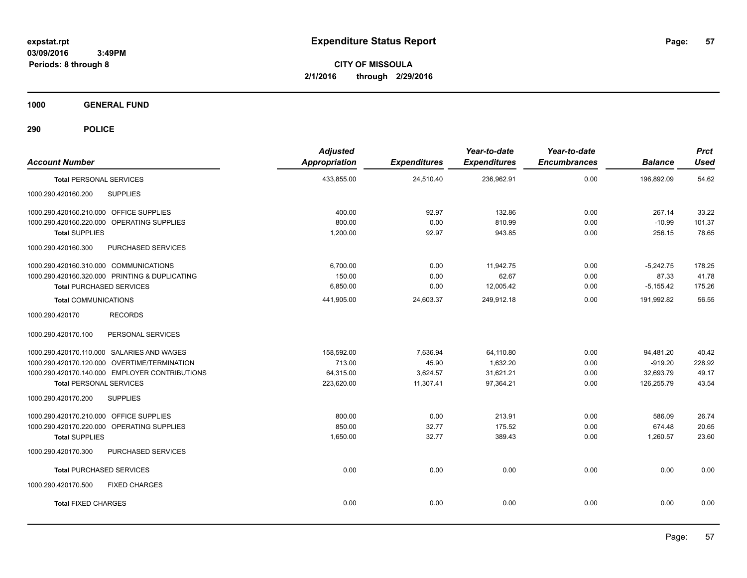**CITY OF MISSOULA 2/1/2016 through 2/29/2016**

**1000 GENERAL FUND**

| <b>Account Number</b>                          | <b>Adjusted</b><br><b>Appropriation</b> | <b>Expenditures</b> | Year-to-date<br><b>Expenditures</b> | Year-to-date<br><b>Encumbrances</b> | <b>Balance</b> | <b>Prct</b><br><b>Used</b> |
|------------------------------------------------|-----------------------------------------|---------------------|-------------------------------------|-------------------------------------|----------------|----------------------------|
| <b>Total PERSONAL SERVICES</b>                 | 433,855.00                              | 24,510.40           | 236,962.91                          | 0.00                                | 196,892.09     | 54.62                      |
| 1000.290.420160.200<br><b>SUPPLIES</b>         |                                         |                     |                                     |                                     |                |                            |
| 1000.290.420160.210.000 OFFICE SUPPLIES        | 400.00                                  | 92.97               | 132.86                              | 0.00                                | 267.14         | 33.22                      |
| 1000.290.420160.220.000 OPERATING SUPPLIES     | 800.00                                  | 0.00                | 810.99                              | 0.00                                | $-10.99$       | 101.37                     |
| <b>Total SUPPLIES</b>                          | 1,200.00                                | 92.97               | 943.85                              | 0.00                                | 256.15         | 78.65                      |
| 1000.290.420160.300<br>PURCHASED SERVICES      |                                         |                     |                                     |                                     |                |                            |
| 1000.290.420160.310.000 COMMUNICATIONS         | 6,700.00                                | 0.00                | 11,942.75                           | 0.00                                | $-5,242.75$    | 178.25                     |
| 1000.290.420160.320.000 PRINTING & DUPLICATING | 150.00                                  | 0.00                | 62.67                               | 0.00                                | 87.33          | 41.78                      |
| <b>Total PURCHASED SERVICES</b>                | 6,850.00                                | 0.00                | 12,005.42                           | 0.00                                | $-5,155.42$    | 175.26                     |
| <b>Total COMMUNICATIONS</b>                    | 441,905.00                              | 24,603.37           | 249,912.18                          | 0.00                                | 191,992.82     | 56.55                      |
| <b>RECORDS</b><br>1000.290.420170              |                                         |                     |                                     |                                     |                |                            |
| 1000.290.420170.100<br>PERSONAL SERVICES       |                                         |                     |                                     |                                     |                |                            |
| 1000.290.420170.110.000 SALARIES AND WAGES     | 158,592.00                              | 7,636.94            | 64,110.80                           | 0.00                                | 94,481.20      | 40.42                      |
| 1000.290.420170.120.000 OVERTIME/TERMINATION   | 713.00                                  | 45.90               | 1,632.20                            | 0.00                                | $-919.20$      | 228.92                     |
| 1000.290.420170.140.000 EMPLOYER CONTRIBUTIONS | 64,315.00                               | 3,624.57            | 31,621.21                           | 0.00                                | 32,693.79      | 49.17                      |
| <b>Total PERSONAL SERVICES</b>                 | 223,620.00                              | 11,307.41           | 97,364.21                           | 0.00                                | 126,255.79     | 43.54                      |
| 1000.290.420170.200<br><b>SUPPLIES</b>         |                                         |                     |                                     |                                     |                |                            |
| 1000.290.420170.210.000 OFFICE SUPPLIES        | 800.00                                  | 0.00                | 213.91                              | 0.00                                | 586.09         | 26.74                      |
| 1000.290.420170.220.000 OPERATING SUPPLIES     | 850.00                                  | 32.77               | 175.52                              | 0.00                                | 674.48         | 20.65                      |
| <b>Total SUPPLIES</b>                          | 1,650.00                                | 32.77               | 389.43                              | 0.00                                | 1,260.57       | 23.60                      |
| 1000.290.420170.300<br>PURCHASED SERVICES      |                                         |                     |                                     |                                     |                |                            |
| <b>Total PURCHASED SERVICES</b>                | 0.00                                    | 0.00                | 0.00                                | 0.00                                | 0.00           | 0.00                       |
| 1000.290.420170.500<br><b>FIXED CHARGES</b>    |                                         |                     |                                     |                                     |                |                            |
| <b>Total FIXED CHARGES</b>                     | 0.00                                    | 0.00                | 0.00                                | 0.00                                | 0.00           | 0.00                       |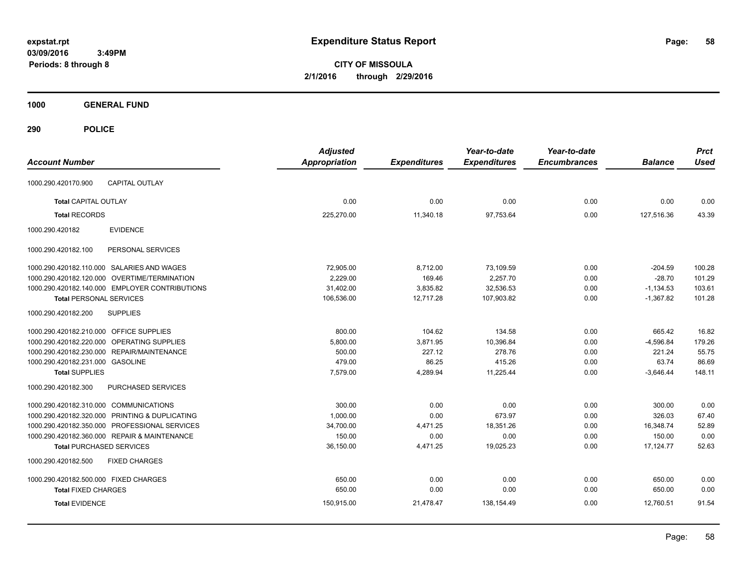**CITY OF MISSOULA 2/1/2016 through 2/29/2016**

**1000 GENERAL FUND**

| <b>Account Number</b>                            | <b>Adjusted</b><br><b>Appropriation</b> | <b>Expenditures</b> | Year-to-date<br><b>Expenditures</b> | Year-to-date<br><b>Encumbrances</b> | <b>Balance</b> | <b>Prct</b><br><b>Used</b> |
|--------------------------------------------------|-----------------------------------------|---------------------|-------------------------------------|-------------------------------------|----------------|----------------------------|
| <b>CAPITAL OUTLAY</b><br>1000.290.420170.900     |                                         |                     |                                     |                                     |                |                            |
| <b>Total CAPITAL OUTLAY</b>                      | 0.00                                    | 0.00                | 0.00                                | 0.00                                | 0.00           | 0.00                       |
| <b>Total RECORDS</b>                             | 225,270.00                              | 11,340.18           | 97,753.64                           | 0.00                                | 127,516.36     | 43.39                      |
| <b>EVIDENCE</b><br>1000.290.420182               |                                         |                     |                                     |                                     |                |                            |
| PERSONAL SERVICES<br>1000.290.420182.100         |                                         |                     |                                     |                                     |                |                            |
| 1000.290.420182.110.000 SALARIES AND WAGES       | 72,905.00                               | 8,712.00            | 73,109.59                           | 0.00                                | $-204.59$      | 100.28                     |
| 1000.290.420182.120.000 OVERTIME/TERMINATION     | 2,229.00                                | 169.46              | 2,257.70                            | 0.00                                | $-28.70$       | 101.29                     |
| 1000.290.420182.140.000 EMPLOYER CONTRIBUTIONS   | 31,402.00                               | 3,835.82            | 32,536.53                           | 0.00                                | $-1,134.53$    | 103.61                     |
| <b>Total PERSONAL SERVICES</b>                   | 106,536.00                              | 12,717.28           | 107,903.82                          | 0.00                                | $-1,367.82$    | 101.28                     |
| <b>SUPPLIES</b><br>1000.290.420182.200           |                                         |                     |                                     |                                     |                |                            |
| 1000.290.420182.210.000 OFFICE SUPPLIES          | 800.00                                  | 104.62              | 134.58                              | 0.00                                | 665.42         | 16.82                      |
| OPERATING SUPPLIES<br>1000.290.420182.220.000    | 5,800.00                                | 3,871.95            | 10,396.84                           | 0.00                                | $-4,596.84$    | 179.26                     |
| 1000.290.420182.230.000 REPAIR/MAINTENANCE       | 500.00                                  | 227.12              | 278.76                              | 0.00                                | 221.24         | 55.75                      |
| 1000.290.420182.231.000 GASOLINE                 | 479.00                                  | 86.25               | 415.26                              | 0.00                                | 63.74          | 86.69                      |
| <b>Total SUPPLIES</b>                            | 7,579.00                                | 4,289.94            | 11,225.44                           | 0.00                                | $-3,646.44$    | 148.11                     |
| 1000.290.420182.300<br><b>PURCHASED SERVICES</b> |                                         |                     |                                     |                                     |                |                            |
| 1000.290.420182.310.000 COMMUNICATIONS           | 300.00                                  | 0.00                | 0.00                                | 0.00                                | 300.00         | 0.00                       |
| 1000.290.420182.320.000 PRINTING & DUPLICATING   | 1.000.00                                | 0.00                | 673.97                              | 0.00                                | 326.03         | 67.40                      |
| 1000.290.420182.350.000 PROFESSIONAL SERVICES    | 34,700.00                               | 4,471.25            | 18,351.26                           | 0.00                                | 16,348.74      | 52.89                      |
| 1000.290.420182.360.000 REPAIR & MAINTENANCE     | 150.00                                  | 0.00                | 0.00                                | 0.00                                | 150.00         | 0.00                       |
| <b>Total PURCHASED SERVICES</b>                  | 36,150.00                               | 4,471.25            | 19,025.23                           | 0.00                                | 17,124.77      | 52.63                      |
| 1000.290.420182.500<br><b>FIXED CHARGES</b>      |                                         |                     |                                     |                                     |                |                            |
| 1000.290.420182.500.000 FIXED CHARGES            | 650.00                                  | 0.00                | 0.00                                | 0.00                                | 650.00         | 0.00                       |
| <b>Total FIXED CHARGES</b>                       | 650.00                                  | 0.00                | 0.00                                | 0.00                                | 650.00         | 0.00                       |
| <b>Total EVIDENCE</b>                            | 150,915.00                              | 21,478.47           | 138,154.49                          | 0.00                                | 12,760.51      | 91.54                      |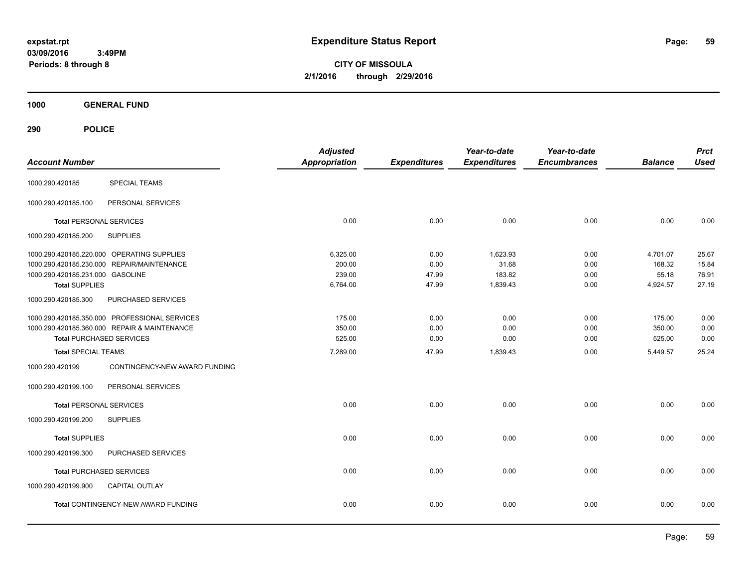**CITY OF MISSOULA 2/1/2016 through 2/29/2016**

**1000 GENERAL FUND**

| <b>Account Number</b>                         | <b>Adjusted</b><br><b>Appropriation</b> | <b>Expenditures</b> | Year-to-date<br><b>Expenditures</b> | Year-to-date<br><b>Encumbrances</b> | <b>Balance</b> | <b>Prct</b><br><b>Used</b> |
|-----------------------------------------------|-----------------------------------------|---------------------|-------------------------------------|-------------------------------------|----------------|----------------------------|
| <b>SPECIAL TEAMS</b><br>1000.290.420185       |                                         |                     |                                     |                                     |                |                            |
| 1000.290.420185.100<br>PERSONAL SERVICES      |                                         |                     |                                     |                                     |                |                            |
| <b>Total PERSONAL SERVICES</b>                | 0.00                                    | 0.00                | 0.00                                | 0.00                                | 0.00           | 0.00                       |
| 1000.290.420185.200<br><b>SUPPLIES</b>        |                                         |                     |                                     |                                     |                |                            |
| 1000.290.420185.220.000 OPERATING SUPPLIES    | 6,325.00                                | 0.00                | 1,623.93                            | 0.00                                | 4,701.07       | 25.67                      |
| 1000.290.420185.230.000 REPAIR/MAINTENANCE    | 200.00                                  | 0.00                | 31.68                               | 0.00                                | 168.32         | 15.84                      |
| 1000.290.420185.231.000 GASOLINE              | 239.00                                  | 47.99               | 183.82                              | 0.00                                | 55.18          | 76.91                      |
| <b>Total SUPPLIES</b>                         | 6,764.00                                | 47.99               | 1,839.43                            | 0.00                                | 4,924.57       | 27.19                      |
| PURCHASED SERVICES<br>1000.290.420185.300     |                                         |                     |                                     |                                     |                |                            |
| 1000.290.420185.350.000 PROFESSIONAL SERVICES | 175.00                                  | 0.00                | 0.00                                | 0.00                                | 175.00         | 0.00                       |
| 1000.290.420185.360.000 REPAIR & MAINTENANCE  | 350.00                                  | 0.00                | 0.00                                | 0.00                                | 350.00         | 0.00                       |
| <b>Total PURCHASED SERVICES</b>               | 525.00                                  | 0.00                | 0.00                                | 0.00                                | 525.00         | 0.00                       |
| <b>Total SPECIAL TEAMS</b>                    | 7,289.00                                | 47.99               | 1,839.43                            | 0.00                                | 5,449.57       | 25.24                      |
| 1000.290.420199                               | CONTINGENCY-NEW AWARD FUNDING           |                     |                                     |                                     |                |                            |
| PERSONAL SERVICES<br>1000.290.420199.100      |                                         |                     |                                     |                                     |                |                            |
| <b>Total PERSONAL SERVICES</b>                | 0.00                                    | 0.00                | 0.00                                | 0.00                                | 0.00           | 0.00                       |
| <b>SUPPLIES</b><br>1000.290.420199.200        |                                         |                     |                                     |                                     |                |                            |
| <b>Total SUPPLIES</b>                         | 0.00                                    | 0.00                | 0.00                                | 0.00                                | 0.00           | 0.00                       |
| PURCHASED SERVICES<br>1000.290.420199.300     |                                         |                     |                                     |                                     |                |                            |
| <b>Total PURCHASED SERVICES</b>               | 0.00                                    | 0.00                | 0.00                                | 0.00                                | 0.00           | 0.00                       |
| 1000.290.420199.900<br><b>CAPITAL OUTLAY</b>  |                                         |                     |                                     |                                     |                |                            |
| Total CONTINGENCY-NEW AWARD FUNDING           | 0.00                                    | 0.00                | 0.00                                | 0.00                                | 0.00           | 0.00                       |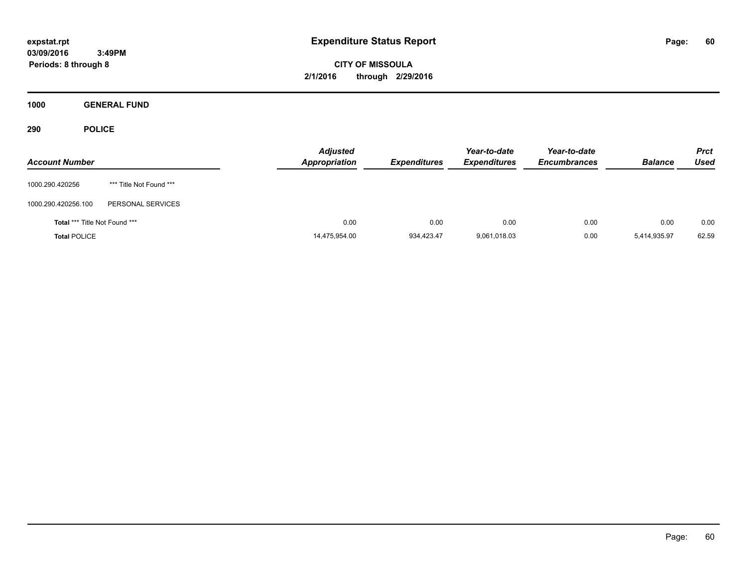**CITY OF MISSOULA 2/1/2016 through 2/29/2016**

**1000 GENERAL FUND**

| <b>Account Number</b>         |                         | <b>Adjusted</b><br><b>Appropriation</b> | <b>Expenditures</b> | Year-to-date<br><b>Expenditures</b> | Year-to-date<br><b>Encumbrances</b> | <b>Balance</b> | <b>Prct</b><br><b>Used</b> |
|-------------------------------|-------------------------|-----------------------------------------|---------------------|-------------------------------------|-------------------------------------|----------------|----------------------------|
| 1000.290.420256               | *** Title Not Found *** |                                         |                     |                                     |                                     |                |                            |
| 1000.290.420256.100           | PERSONAL SERVICES       |                                         |                     |                                     |                                     |                |                            |
| Total *** Title Not Found *** |                         | 0.00                                    | 0.00                | 0.00                                | 0.00                                | 0.00           | 0.00                       |
| <b>Total POLICE</b>           |                         | 14,475,954.00                           | 934,423.47          | 9,061,018.03                        | 0.00                                | 5,414,935.97   | 62.59                      |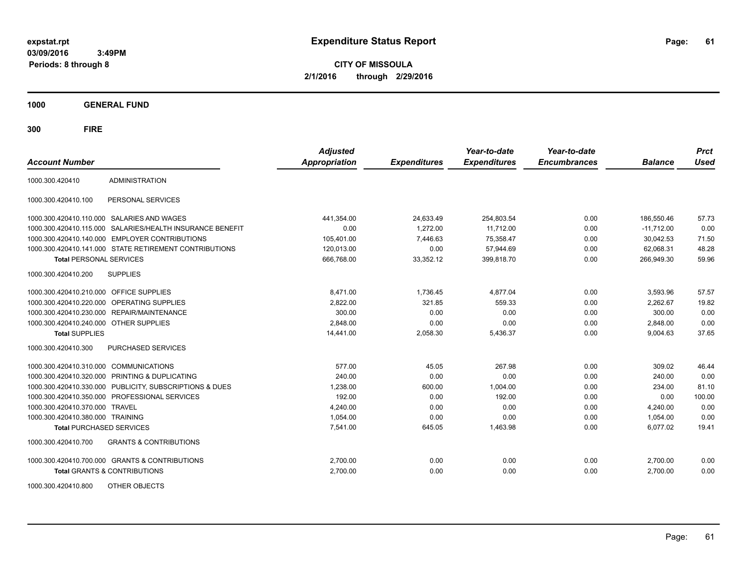**CITY OF MISSOULA 2/1/2016 through 2/29/2016**

**1000 GENERAL FUND**

| <b>Account Number</b>                   |                                                        | <b>Adjusted</b><br><b>Appropriation</b> | <b>Expenditures</b> | Year-to-date<br><b>Expenditures</b> | Year-to-date<br><b>Encumbrances</b> | <b>Balance</b> | <b>Prct</b><br><b>Used</b> |
|-----------------------------------------|--------------------------------------------------------|-----------------------------------------|---------------------|-------------------------------------|-------------------------------------|----------------|----------------------------|
| 1000.300.420410                         | <b>ADMINISTRATION</b>                                  |                                         |                     |                                     |                                     |                |                            |
| 1000.300.420410.100                     | PERSONAL SERVICES                                      |                                         |                     |                                     |                                     |                |                            |
|                                         | 1000.300.420410.110.000 SALARIES AND WAGES             | 441,354.00                              | 24,633.49           | 254,803.54                          | 0.00                                | 186,550.46     | 57.73                      |
| 1000.300.420410.115.000                 | SALARIES/HEALTH INSURANCE BENEFIT                      | 0.00                                    | 1,272.00            | 11,712.00                           | 0.00                                | $-11,712.00$   | 0.00                       |
|                                         | 1000.300.420410.140.000 EMPLOYER CONTRIBUTIONS         | 105,401.00                              | 7,446.63            | 75,358.47                           | 0.00                                | 30.042.53      | 71.50                      |
|                                         | 1000.300.420410.141.000 STATE RETIREMENT CONTRIBUTIONS | 120,013.00                              | 0.00                | 57,944.69                           | 0.00                                | 62,068.31      | 48.28                      |
| <b>Total PERSONAL SERVICES</b>          |                                                        | 666,768.00                              | 33,352.12           | 399,818.70                          | 0.00                                | 266,949.30     | 59.96                      |
| 1000.300.420410.200                     | <b>SUPPLIES</b>                                        |                                         |                     |                                     |                                     |                |                            |
| 1000.300.420410.210.000 OFFICE SUPPLIES |                                                        | 8.471.00                                | 1,736.45            | 4,877.04                            | 0.00                                | 3.593.96       | 57.57                      |
| 1000.300.420410.220.000                 | OPERATING SUPPLIES                                     | 2,822.00                                | 321.85              | 559.33                              | 0.00                                | 2,262.67       | 19.82                      |
|                                         | 1000.300.420410.230.000 REPAIR/MAINTENANCE             | 300.00                                  | 0.00                | 0.00                                | 0.00                                | 300.00         | 0.00                       |
| 1000.300.420410.240.000 OTHER SUPPLIES  |                                                        | 2.848.00                                | 0.00                | 0.00                                | 0.00                                | 2.848.00       | 0.00                       |
| <b>Total SUPPLIES</b>                   |                                                        | 14,441.00                               | 2,058.30            | 5,436.37                            | 0.00                                | 9,004.63       | 37.65                      |
| 1000.300.420410.300                     | PURCHASED SERVICES                                     |                                         |                     |                                     |                                     |                |                            |
| 1000.300.420410.310.000                 | <b>COMMUNICATIONS</b>                                  | 577.00                                  | 45.05               | 267.98                              | 0.00                                | 309.02         | 46.44                      |
|                                         | 1000.300.420410.320.000 PRINTING & DUPLICATING         | 240.00                                  | 0.00                | 0.00                                | 0.00                                | 240.00         | 0.00                       |
| 1000.300.420410.330.000                 | PUBLICITY, SUBSCRIPTIONS & DUES                        | 1,238.00                                | 600.00              | 1,004.00                            | 0.00                                | 234.00         | 81.10                      |
| 1000.300.420410.350.000                 | PROFESSIONAL SERVICES                                  | 192.00                                  | 0.00                | 192.00                              | 0.00                                | 0.00           | 100.00                     |
| 1000.300.420410.370.000                 | <b>TRAVEL</b>                                          | 4,240.00                                | 0.00                | 0.00                                | 0.00                                | 4,240.00       | 0.00                       |
| 1000.300.420410.380.000 TRAINING        |                                                        | 1,054.00                                | 0.00                | 0.00                                | 0.00                                | 1,054.00       | 0.00                       |
| <b>Total PURCHASED SERVICES</b>         |                                                        | 7,541.00                                | 645.05              | 1,463.98                            | 0.00                                | 6,077.02       | 19.41                      |
| 1000.300.420410.700                     | <b>GRANTS &amp; CONTRIBUTIONS</b>                      |                                         |                     |                                     |                                     |                |                            |
|                                         | 1000.300.420410.700.000 GRANTS & CONTRIBUTIONS         | 2,700.00                                | 0.00                | 0.00                                | 0.00                                | 2,700.00       | 0.00                       |
|                                         | Total GRANTS & CONTRIBUTIONS                           | 2,700.00                                | 0.00                | 0.00                                | 0.00                                | 2,700.00       | 0.00                       |
| 1000.300.420410.800                     | OTHER OBJECTS                                          |                                         |                     |                                     |                                     |                |                            |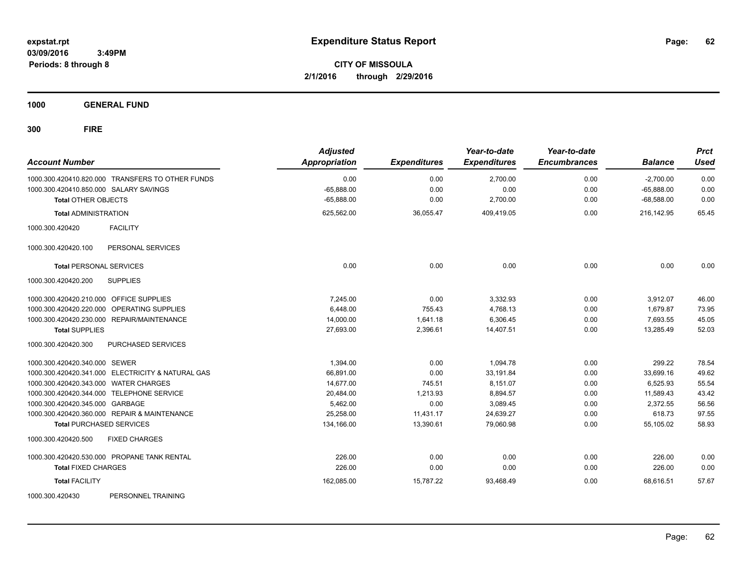**CITY OF MISSOULA 2/1/2016 through 2/29/2016**

**1000 GENERAL FUND**

| <b>Account Number</b>                             | <b>Adjusted</b><br><b>Appropriation</b> | <b>Expenditures</b> | Year-to-date<br><b>Expenditures</b> | Year-to-date<br><b>Encumbrances</b> | <b>Balance</b> | <b>Prct</b><br><b>Used</b> |
|---------------------------------------------------|-----------------------------------------|---------------------|-------------------------------------|-------------------------------------|----------------|----------------------------|
| 1000.300.420410.820.000 TRANSFERS TO OTHER FUNDS  | 0.00                                    | 0.00                | 2,700.00                            | 0.00                                | $-2,700.00$    | 0.00                       |
| 1000.300.420410.850.000 SALARY SAVINGS            | $-65,888.00$                            | 0.00                | 0.00                                | 0.00                                | $-65,888.00$   | 0.00                       |
| <b>Total OTHER OBJECTS</b>                        | $-65,888.00$                            | 0.00                | 2,700.00                            | 0.00                                | $-68,588.00$   | 0.00                       |
| <b>Total ADMINISTRATION</b>                       | 625,562.00                              | 36,055.47           | 409,419.05                          | 0.00                                | 216,142.95     | 65.45                      |
| <b>FACILITY</b><br>1000.300.420420                |                                         |                     |                                     |                                     |                |                            |
| 1000.300.420420.100<br>PERSONAL SERVICES          |                                         |                     |                                     |                                     |                |                            |
| <b>Total PERSONAL SERVICES</b>                    | 0.00                                    | 0.00                | 0.00                                | 0.00                                | 0.00           | 0.00                       |
| <b>SUPPLIES</b><br>1000.300.420420.200            |                                         |                     |                                     |                                     |                |                            |
| 1000.300.420420.210.000 OFFICE SUPPLIES           | 7.245.00                                | 0.00                | 3,332.93                            | 0.00                                | 3,912.07       | 46.00                      |
| 1000.300.420420.220.000<br>OPERATING SUPPLIES     | 6,448.00                                | 755.43              | 4,768.13                            | 0.00                                | 1,679.87       | 73.95                      |
| 1000.300.420420.230.000 REPAIR/MAINTENANCE        | 14,000.00                               | 1,641.18            | 6,306.45                            | 0.00                                | 7,693.55       | 45.05                      |
| <b>Total SUPPLIES</b>                             | 27,693.00                               | 2,396.61            | 14,407.51                           | 0.00                                | 13,285.49      | 52.03                      |
| 1000.300.420420.300<br><b>PURCHASED SERVICES</b>  |                                         |                     |                                     |                                     |                |                            |
| 1000.300.420420.340.000 SEWER                     | 1,394.00                                | 0.00                | 1,094.78                            | 0.00                                | 299.22         | 78.54                      |
| 1000.300.420420.341.000 ELECTRICITY & NATURAL GAS | 66,891.00                               | 0.00                | 33,191.84                           | 0.00                                | 33,699.16      | 49.62                      |
| 1000.300.420420.343.000 WATER CHARGES             | 14,677.00                               | 745.51              | 8,151.07                            | 0.00                                | 6,525.93       | 55.54                      |
| 1000.300.420420.344.000 TELEPHONE SERVICE         | 20,484.00                               | 1,213.93            | 8,894.57                            | 0.00                                | 11,589.43      | 43.42                      |
| 1000.300.420420.345.000 GARBAGE                   | 5,462.00                                | 0.00                | 3,089.45                            | 0.00                                | 2,372.55       | 56.56                      |
| 1000.300.420420.360.000 REPAIR & MAINTENANCE      | 25,258.00                               | 11,431.17           | 24,639.27                           | 0.00                                | 618.73         | 97.55                      |
| <b>Total PURCHASED SERVICES</b>                   | 134,166.00                              | 13,390.61           | 79,060.98                           | 0.00                                | 55,105.02      | 58.93                      |
| <b>FIXED CHARGES</b><br>1000.300.420420.500       |                                         |                     |                                     |                                     |                |                            |
| 1000.300.420420.530.000 PROPANE TANK RENTAL       | 226.00                                  | 0.00                | 0.00                                | 0.00                                | 226.00         | 0.00                       |
| <b>Total FIXED CHARGES</b>                        | 226.00                                  | 0.00                | 0.00                                | 0.00                                | 226.00         | 0.00                       |
| <b>Total FACILITY</b>                             | 162,085.00                              | 15,787.22           | 93,468.49                           | 0.00                                | 68,616.51      | 57.67                      |
| 1000.300.420430<br>PERSONNEL TRAINING             |                                         |                     |                                     |                                     |                |                            |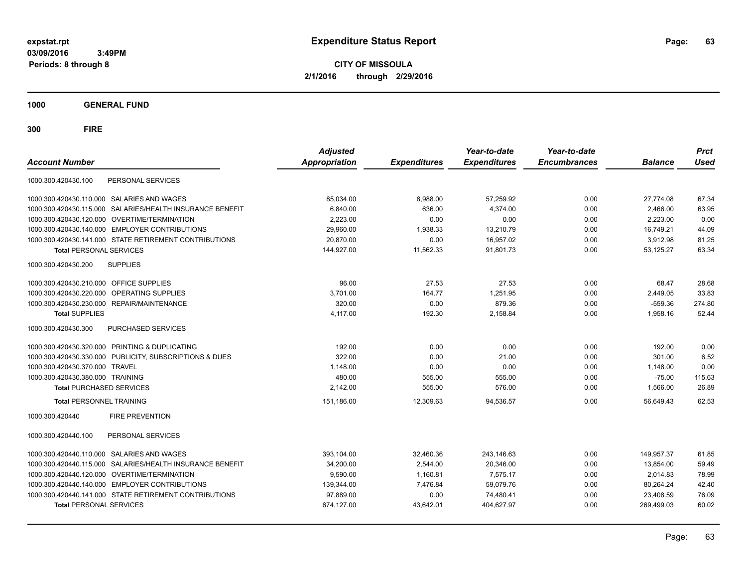**CITY OF MISSOULA 2/1/2016 through 2/29/2016**

**1000 GENERAL FUND**

| <b>Account Number</b>                                   |                                   | <b>Adjusted</b><br>Appropriation | <b>Expenditures</b> | Year-to-date<br><b>Expenditures</b> | Year-to-date<br><b>Encumbrances</b> | <b>Balance</b> | <b>Prct</b><br><b>Used</b> |
|---------------------------------------------------------|-----------------------------------|----------------------------------|---------------------|-------------------------------------|-------------------------------------|----------------|----------------------------|
| PERSONAL SERVICES<br>1000.300.420430.100                |                                   |                                  |                     |                                     |                                     |                |                            |
| 1000.300.420430.110.000 SALARIES AND WAGES              |                                   | 85,034.00                        | 8.988.00            | 57,259.92                           | 0.00                                | 27.774.08      | 67.34                      |
| 1000.300.420430.115.000                                 | SALARIES/HEALTH INSURANCE BENEFIT | 6.840.00                         | 636.00              | 4.374.00                            | 0.00                                | 2.466.00       | 63.95                      |
| 1000.300.420430.120.000<br>OVERTIME/TERMINATION         |                                   | 2,223.00                         | 0.00                | 0.00                                | 0.00                                | 2,223.00       | 0.00                       |
| 1000.300.420430.140.000 EMPLOYER CONTRIBUTIONS          |                                   | 29,960.00                        | 1,938.33            | 13,210.79                           | 0.00                                | 16,749.21      | 44.09                      |
| 1000.300.420430.141.000 STATE RETIREMENT CONTRIBUTIONS  |                                   | 20,870.00                        | 0.00                | 16,957.02                           | 0.00                                | 3,912.98       | 81.25                      |
| <b>Total PERSONAL SERVICES</b>                          |                                   | 144.927.00                       | 11,562.33           | 91.801.73                           | 0.00                                | 53.125.27      | 63.34                      |
| 1000.300.420430.200<br><b>SUPPLIES</b>                  |                                   |                                  |                     |                                     |                                     |                |                            |
| 1000.300.420430.210.000 OFFICE SUPPLIES                 |                                   | 96.00                            | 27.53               | 27.53                               | 0.00                                | 68.47          | 28.68                      |
| 1000.300.420430.220.000<br><b>OPERATING SUPPLIES</b>    |                                   | 3.701.00                         | 164.77              | 1.251.95                            | 0.00                                | 2,449.05       | 33.83                      |
| 1000.300.420430.230.000 REPAIR/MAINTENANCE              |                                   | 320.00                           | 0.00                | 879.36                              | 0.00                                | $-559.36$      | 274.80                     |
| <b>Total SUPPLIES</b>                                   |                                   | 4,117.00                         | 192.30              | 2,158.84                            | 0.00                                | 1,958.16       | 52.44                      |
| <b>PURCHASED SERVICES</b><br>1000.300.420430.300        |                                   |                                  |                     |                                     |                                     |                |                            |
| 1000.300.420430.320.000 PRINTING & DUPLICATING          |                                   | 192.00                           | 0.00                | 0.00                                | 0.00                                | 192.00         | 0.00                       |
| 1000.300.420430.330.000 PUBLICITY, SUBSCRIPTIONS & DUES |                                   | 322.00                           | 0.00                | 21.00                               | 0.00                                | 301.00         | 6.52                       |
| 1000.300.420430.370.000 TRAVEL                          |                                   | 1,148.00                         | 0.00                | 0.00                                | 0.00                                | 1,148.00       | 0.00                       |
| 1000.300.420430.380.000 TRAINING                        |                                   | 480.00                           | 555.00              | 555.00                              | 0.00                                | $-75.00$       | 115.63                     |
| <b>Total PURCHASED SERVICES</b>                         |                                   | 2,142.00                         | 555.00              | 576.00                              | 0.00                                | 1,566.00       | 26.89                      |
| <b>Total PERSONNEL TRAINING</b>                         |                                   | 151,186.00                       | 12,309.63           | 94,536.57                           | 0.00                                | 56,649.43      | 62.53                      |
| 1000.300.420440<br><b>FIRE PREVENTION</b>               |                                   |                                  |                     |                                     |                                     |                |                            |
| PERSONAL SERVICES<br>1000.300.420440.100                |                                   |                                  |                     |                                     |                                     |                |                            |
| 1000.300.420440.110.000 SALARIES AND WAGES              |                                   | 393,104.00                       | 32,460.36           | 243,146.63                          | 0.00                                | 149,957.37     | 61.85                      |
| 1000.300.420440.115.000                                 | SALARIES/HEALTH INSURANCE BENEFIT | 34,200.00                        | 2,544.00            | 20,346.00                           | 0.00                                | 13,854.00      | 59.49                      |
| 1000.300.420440.120.000 OVERTIME/TERMINATION            |                                   | 9,590.00                         | 1,160.81            | 7,575.17                            | 0.00                                | 2,014.83       | 78.99                      |
| 1000.300.420440.140.000 EMPLOYER CONTRIBUTIONS          |                                   | 139,344.00                       | 7,476.84            | 59,079.76                           | 0.00                                | 80,264.24      | 42.40                      |
| 1000.300.420440.141.000 STATE RETIREMENT CONTRIBUTIONS  |                                   | 97,889.00                        | 0.00                | 74,480.41                           | 0.00                                | 23,408.59      | 76.09                      |
| <b>Total PERSONAL SERVICES</b>                          |                                   | 674,127.00                       | 43,642.01           | 404,627.97                          | 0.00                                | 269,499.03     | 60.02                      |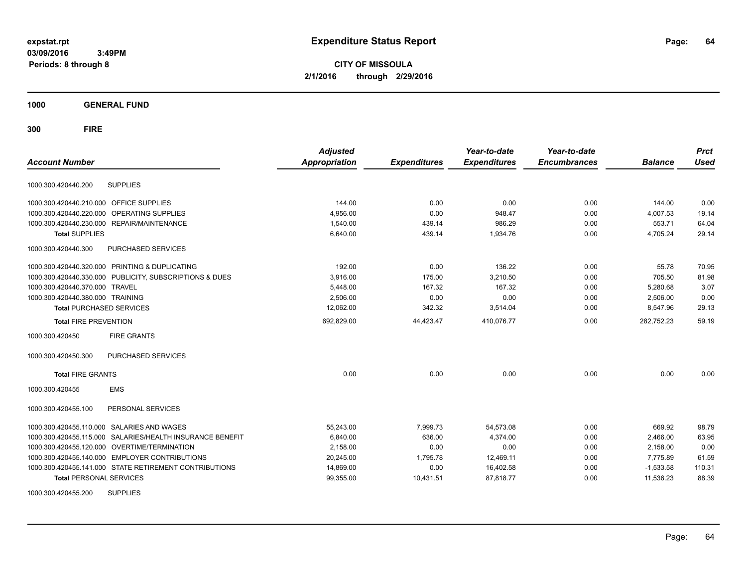**CITY OF MISSOULA 2/1/2016 through 2/29/2016**

**1000 GENERAL FUND**

**300 FIRE**

| <b>Account Number</b>                                        | <b>Adjusted</b><br>Appropriation | <b>Expenditures</b> | Year-to-date<br><b>Expenditures</b> | Year-to-date<br><b>Encumbrances</b> | <b>Balance</b> | <b>Prct</b><br><b>Used</b> |
|--------------------------------------------------------------|----------------------------------|---------------------|-------------------------------------|-------------------------------------|----------------|----------------------------|
|                                                              |                                  |                     |                                     |                                     |                |                            |
| 1000.300.420440.200<br><b>SUPPLIES</b>                       |                                  |                     |                                     |                                     |                |                            |
| 1000.300.420440.210.000 OFFICE SUPPLIES                      | 144.00                           | 0.00                | 0.00                                | 0.00                                | 144.00         | 0.00                       |
| OPERATING SUPPLIES<br>1000.300.420440.220.000                | 4,956.00                         | 0.00                | 948.47                              | 0.00                                | 4,007.53       | 19.14                      |
| 1000.300.420440.230.000 REPAIR/MAINTENANCE                   | 1,540.00                         | 439.14              | 986.29                              | 0.00                                | 553.71         | 64.04                      |
| <b>Total SUPPLIES</b>                                        | 6,640.00                         | 439.14              | 1,934.76                            | 0.00                                | 4,705.24       | 29.14                      |
| 1000.300.420440.300<br>PURCHASED SERVICES                    |                                  |                     |                                     |                                     |                |                            |
| 1000.300.420440.320.000 PRINTING & DUPLICATING               | 192.00                           | 0.00                | 136.22                              | 0.00                                | 55.78          | 70.95                      |
| 1000.300.420440.330.000 PUBLICITY, SUBSCRIPTIONS & DUES      | 3,916.00                         | 175.00              | 3,210.50                            | 0.00                                | 705.50         | 81.98                      |
| 1000.300.420440.370.000<br><b>TRAVEL</b>                     | 5,448.00                         | 167.32              | 167.32                              | 0.00                                | 5,280.68       | 3.07                       |
| 1000.300.420440.380.000 TRAINING                             | 2,506.00                         | 0.00                | 0.00                                | 0.00                                | 2,506.00       | 0.00                       |
| <b>Total PURCHASED SERVICES</b>                              | 12,062.00                        | 342.32              | 3,514.04                            | 0.00                                | 8,547.96       | 29.13                      |
| <b>Total FIRE PREVENTION</b>                                 | 692,829.00                       | 44,423.47           | 410,076.77                          | 0.00                                | 282,752.23     | 59.19                      |
| 1000.300.420450<br><b>FIRE GRANTS</b>                        |                                  |                     |                                     |                                     |                |                            |
| 1000.300.420450.300<br>PURCHASED SERVICES                    |                                  |                     |                                     |                                     |                |                            |
| <b>Total FIRE GRANTS</b>                                     | 0.00                             | 0.00                | 0.00                                | 0.00                                | 0.00           | 0.00                       |
| <b>EMS</b><br>1000.300.420455                                |                                  |                     |                                     |                                     |                |                            |
| PERSONAL SERVICES<br>1000.300.420455.100                     |                                  |                     |                                     |                                     |                |                            |
| 1000.300.420455.110.000 SALARIES AND WAGES                   | 55,243.00                        | 7,999.73            | 54,573.08                           | 0.00                                | 669.92         | 98.79                      |
| SALARIES/HEALTH INSURANCE BENEFIT<br>1000.300.420455.115.000 | 6,840.00                         | 636.00              | 4,374.00                            | 0.00                                | 2,466.00       | 63.95                      |
| 1000.300.420455.120.000 OVERTIME/TERMINATION                 | 2,158.00                         | 0.00                | 0.00                                | 0.00                                | 2,158.00       | 0.00                       |
| 1000.300.420455.140.000 EMPLOYER CONTRIBUTIONS               | 20,245.00                        | 1.795.78            | 12,469.11                           | 0.00                                | 7.775.89       | 61.59                      |
| 1000.300.420455.141.000 STATE RETIREMENT CONTRIBUTIONS       | 14,869.00                        | 0.00                | 16,402.58                           | 0.00                                | $-1,533.58$    | 110.31                     |
| <b>Total PERSONAL SERVICES</b>                               | 99,355.00                        | 10,431.51           | 87,818.77                           | 0.00                                | 11,536.23      | 88.39                      |
| 1000000010015500<br>0.1001100                                |                                  |                     |                                     |                                     |                |                            |

1000.300.420455.200 SUPPLIES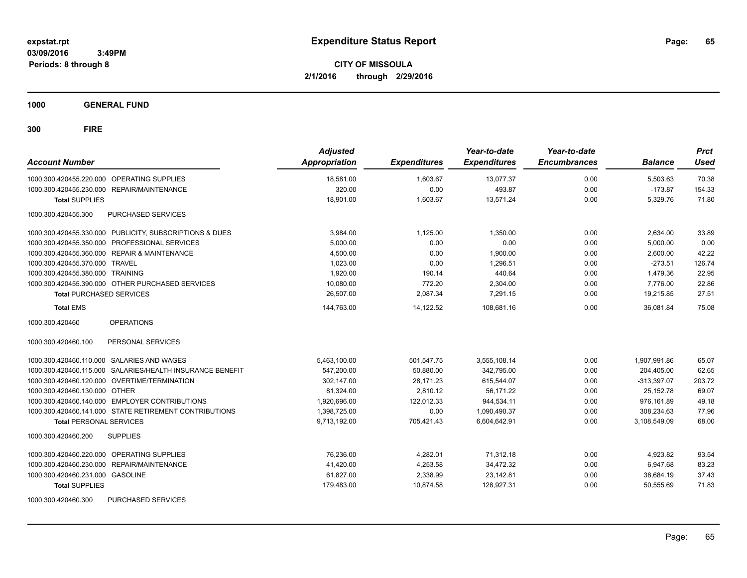**CITY OF MISSOULA 2/1/2016 through 2/29/2016**

**1000 GENERAL FUND**

| <b>Account Number</b>                                     | <b>Adjusted</b><br>Appropriation | <b>Expenditures</b> | Year-to-date<br><b>Expenditures</b> | Year-to-date<br><b>Encumbrances</b> | <b>Balance</b> | <b>Prct</b><br><b>Used</b> |
|-----------------------------------------------------------|----------------------------------|---------------------|-------------------------------------|-------------------------------------|----------------|----------------------------|
| 1000.300.420455.220.000 OPERATING SUPPLIES                | 18.581.00                        | 1,603.67            | 13.077.37                           | 0.00                                | 5,503.63       | 70.38                      |
| 1000.300.420455.230.000 REPAIR/MAINTENANCE                | 320.00                           | 0.00                | 493.87                              | 0.00                                | $-173.87$      | 154.33                     |
| <b>Total SUPPLIES</b>                                     | 18.901.00                        | 1,603.67            | 13.571.24                           | 0.00                                | 5,329.76       | 71.80                      |
| PURCHASED SERVICES<br>1000.300.420455.300                 |                                  |                     |                                     |                                     |                |                            |
| 1000.300.420455.330.000 PUBLICITY, SUBSCRIPTIONS & DUES   | 3.984.00                         | 1,125.00            | 1.350.00                            | 0.00                                | 2,634.00       | 33.89                      |
| 1000.300.420455.350.000 PROFESSIONAL SERVICES             | 5,000.00                         | 0.00                | 0.00                                | 0.00                                | 5,000.00       | 0.00                       |
| 1000.300.420455.360.000 REPAIR & MAINTENANCE              | 4,500.00                         | 0.00                | 1,900.00                            | 0.00                                | 2,600.00       | 42.22                      |
| 1000.300.420455.370.000 TRAVEL                            | 1,023.00                         | 0.00                | 1.296.51                            | 0.00                                | $-273.51$      | 126.74                     |
| 1000.300.420455.380.000 TRAINING                          | 1,920.00                         | 190.14              | 440.64                              | 0.00                                | 1,479.36       | 22.95                      |
| 1000.300.420455.390.000 OTHER PURCHASED SERVICES          | 10,080.00                        | 772.20              | 2,304.00                            | 0.00                                | 7,776.00       | 22.86                      |
| <b>Total PURCHASED SERVICES</b>                           | 26,507.00                        | 2,087.34            | 7,291.15                            | 0.00                                | 19,215.85      | 27.51                      |
| <b>Total EMS</b>                                          | 144,763.00                       | 14,122.52           | 108,681.16                          | 0.00                                | 36.081.84      | 75.08                      |
| <b>OPERATIONS</b><br>1000.300.420460                      |                                  |                     |                                     |                                     |                |                            |
| 1000.300.420460.100<br>PERSONAL SERVICES                  |                                  |                     |                                     |                                     |                |                            |
| 1000.300.420460.110.000 SALARIES AND WAGES                | 5,463,100.00                     | 501,547.75          | 3,555,108.14                        | 0.00                                | 1,907,991.86   | 65.07                      |
| 1000.300.420460.115.000 SALARIES/HEALTH INSURANCE BENEFIT | 547,200.00                       | 50,880.00           | 342,795.00                          | 0.00                                | 204,405.00     | 62.65                      |
| 1000.300.420460.120.000 OVERTIME/TERMINATION              | 302,147.00                       | 28,171.23           | 615,544.07                          | 0.00                                | $-313,397.07$  | 203.72                     |
| 1000.300.420460.130.000 OTHER                             | 81,324.00                        | 2,810.12            | 56.171.22                           | 0.00                                | 25,152.78      | 69.07                      |
| 1000.300.420460.140.000 EMPLOYER CONTRIBUTIONS            | 1,920,696.00                     | 122,012.33          | 944,534.11                          | 0.00                                | 976,161.89     | 49.18                      |
| 1000.300.420460.141.000 STATE RETIREMENT CONTRIBUTIONS    | 1,398,725.00                     | 0.00                | 1,090,490.37                        | 0.00                                | 308,234.63     | 77.96                      |
| <b>Total PERSONAL SERVICES</b>                            | 9,713,192.00                     | 705,421.43          | 6,604,642.91                        | 0.00                                | 3,108,549.09   | 68.00                      |
| 1000.300.420460.200<br><b>SUPPLIES</b>                    |                                  |                     |                                     |                                     |                |                            |
| 1000.300.420460.220.000 OPERATING SUPPLIES                | 76,236.00                        | 4,282.01            | 71,312.18                           | 0.00                                | 4,923.82       | 93.54                      |
| <b>REPAIR/MAINTENANCE</b><br>1000.300.420460.230.000      | 41,420.00                        | 4,253.58            | 34,472.32                           | 0.00                                | 6,947.68       | 83.23                      |
| 1000.300.420460.231.000 GASOLINE                          | 61,827.00                        | 2,338.99            | 23,142.81                           | 0.00                                | 38,684.19      | 37.43                      |
| <b>Total SUPPLIES</b>                                     | 179,483.00                       | 10,874.58           | 128,927.31                          | 0.00                                | 50,555.69      | 71.83                      |
| 1000.300.420460.300<br>PURCHASED SERVICES                 |                                  |                     |                                     |                                     |                |                            |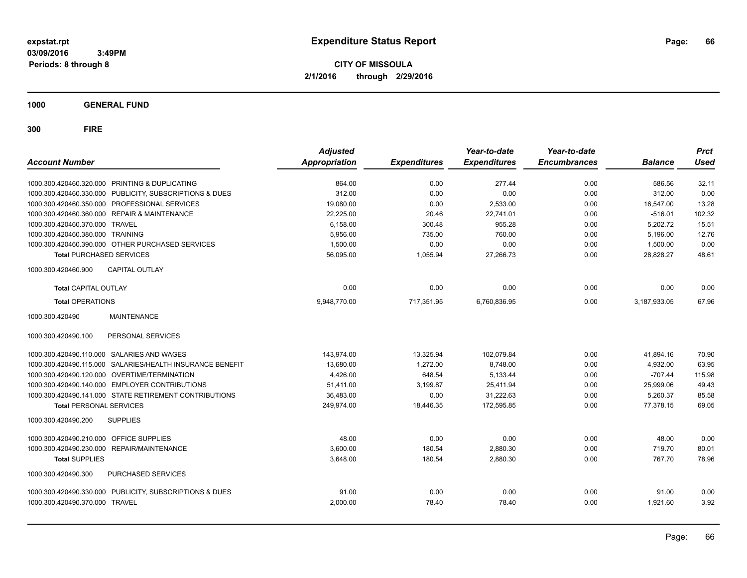**CITY OF MISSOULA 2/1/2016 through 2/29/2016**

**1000 GENERAL FUND**

| <b>Account Number</b>                                        | <b>Adjusted</b><br><b>Appropriation</b> | <b>Expenditures</b> | Year-to-date<br><b>Expenditures</b> | Year-to-date<br><b>Encumbrances</b> | <b>Balance</b> | <b>Prct</b><br><b>Used</b> |
|--------------------------------------------------------------|-----------------------------------------|---------------------|-------------------------------------|-------------------------------------|----------------|----------------------------|
| 1000.300.420460.320.000 PRINTING & DUPLICATING               | 864.00                                  | 0.00                | 277.44                              | 0.00                                | 586.56         | 32.11                      |
| 1000.300.420460.330.000 PUBLICITY, SUBSCRIPTIONS & DUES      | 312.00                                  | 0.00                | 0.00                                | 0.00                                | 312.00         | 0.00                       |
| 1000.300.420460.350.000 PROFESSIONAL SERVICES                | 19,080.00                               | 0.00                | 2,533.00                            | 0.00                                | 16,547.00      | 13.28                      |
| 1000.300.420460.360.000 REPAIR & MAINTENANCE                 | 22,225.00                               | 20.46               | 22,741.01                           | 0.00                                | $-516.01$      | 102.32                     |
| 1000.300.420460.370.000 TRAVEL                               | 6,158.00                                | 300.48              | 955.28                              | 0.00                                | 5.202.72       | 15.51                      |
| 1000.300.420460.380.000 TRAINING                             | 5,956.00                                | 735.00              | 760.00                              | 0.00                                | 5,196.00       | 12.76                      |
| 1000.300.420460.390.000 OTHER PURCHASED SERVICES             | 1,500.00                                | 0.00                | 0.00                                | 0.00                                | 1,500.00       | 0.00                       |
| <b>Total PURCHASED SERVICES</b>                              | 56,095.00                               | 1,055.94            | 27,266.73                           | 0.00                                | 28.828.27      | 48.61                      |
| 1000.300.420460.900<br><b>CAPITAL OUTLAY</b>                 |                                         |                     |                                     |                                     |                |                            |
| <b>Total CAPITAL OUTLAY</b>                                  | 0.00                                    | 0.00                | 0.00                                | 0.00                                | 0.00           | 0.00                       |
| <b>Total OPERATIONS</b>                                      | 9,948,770.00                            | 717,351.95          | 6,760,836.95                        | 0.00                                | 3,187,933.05   | 67.96                      |
| 1000.300.420490<br><b>MAINTENANCE</b>                        |                                         |                     |                                     |                                     |                |                            |
| PERSONAL SERVICES<br>1000.300.420490.100                     |                                         |                     |                                     |                                     |                |                            |
| 1000.300.420490.110.000 SALARIES AND WAGES                   | 143.974.00                              | 13,325.94           | 102.079.84                          | 0.00                                | 41,894.16      | 70.90                      |
| SALARIES/HEALTH INSURANCE BENEFIT<br>1000.300.420490.115.000 | 13,680.00                               | 1,272.00            | 8,748.00                            | 0.00                                | 4,932.00       | 63.95                      |
| 1000.300.420490.120.000 OVERTIME/TERMINATION                 | 4,426.00                                | 648.54              | 5,133.44                            | 0.00                                | $-707.44$      | 115.98                     |
| 1000.300.420490.140.000 EMPLOYER CONTRIBUTIONS               | 51,411.00                               | 3,199.87            | 25,411.94                           | 0.00                                | 25,999.06      | 49.43                      |
| 1000.300.420490.141.000 STATE RETIREMENT CONTRIBUTIONS       | 36,483.00                               | 0.00                | 31,222.63                           | 0.00                                | 5,260.37       | 85.58                      |
| <b>Total PERSONAL SERVICES</b>                               | 249,974.00                              | 18,446.35           | 172,595.85                          | 0.00                                | 77,378.15      | 69.05                      |
| 1000.300.420490.200<br><b>SUPPLIES</b>                       |                                         |                     |                                     |                                     |                |                            |
| OFFICE SUPPLIES<br>1000.300.420490.210.000                   | 48.00                                   | 0.00                | 0.00                                | 0.00                                | 48.00          | 0.00                       |
| 1000.300.420490.230.000 REPAIR/MAINTENANCE                   | 3,600.00                                | 180.54              | 2,880.30                            | 0.00                                | 719.70         | 80.01                      |
| <b>Total SUPPLIES</b>                                        | 3,648.00                                | 180.54              | 2,880.30                            | 0.00                                | 767.70         | 78.96                      |
| 1000.300.420490.300<br>PURCHASED SERVICES                    |                                         |                     |                                     |                                     |                |                            |
| 1000.300.420490.330.000 PUBLICITY, SUBSCRIPTIONS & DUES      | 91.00                                   | 0.00                | 0.00                                | 0.00                                | 91.00          | 0.00                       |
| 1000.300.420490.370.000 TRAVEL                               | 2,000.00                                | 78.40               | 78.40                               | 0.00                                | 1,921.60       | 3.92                       |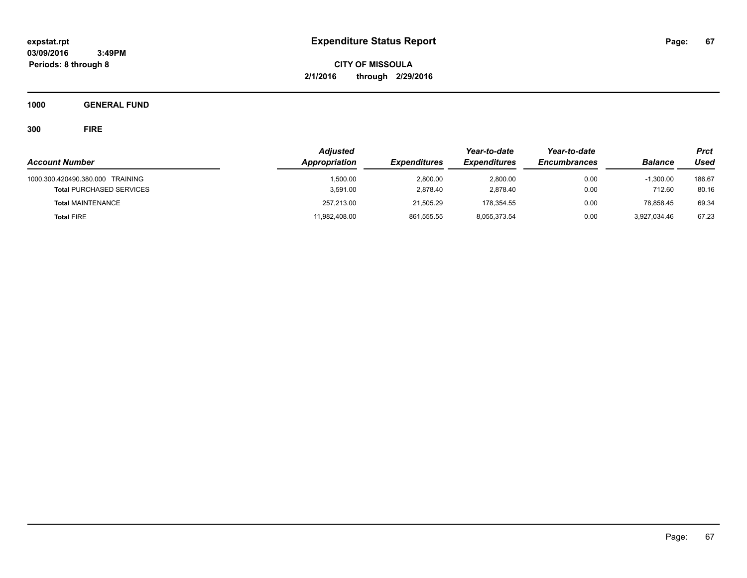**CITY OF MISSOULA 2/1/2016 through 2/29/2016**

**1000 GENERAL FUND**

|                                  | <b>Adjusted</b> |                     | Year-to-date        | Year-to-date        |                | Prct   |
|----------------------------------|-----------------|---------------------|---------------------|---------------------|----------------|--------|
| <b>Account Number</b>            | Appropriation   | <b>Expenditures</b> | <b>Expenditures</b> | <b>Encumbrances</b> | <b>Balance</b> | Used   |
| 1000.300.420490.380.000 TRAINING | 1.500.00        | 2,800.00            | 2.800.00            | 0.00                | $-1.300.00$    | 186.67 |
| <b>Total PURCHASED SERVICES</b>  | 3,591.00        | 2.878.40            | 2.878.40            | 0.00                | 712.60         | 80.16  |
| <b>Total MAINTENANCE</b>         | 257,213.00      | 21.505.29           | 178.354.55          | 0.00                | 78.858.45      | 69.34  |
| <b>Total FIRE</b>                | 11,982,408.00   | 861,555.55          | 8,055,373.54        | 0.00                | 3.927.034.46   | 67.23  |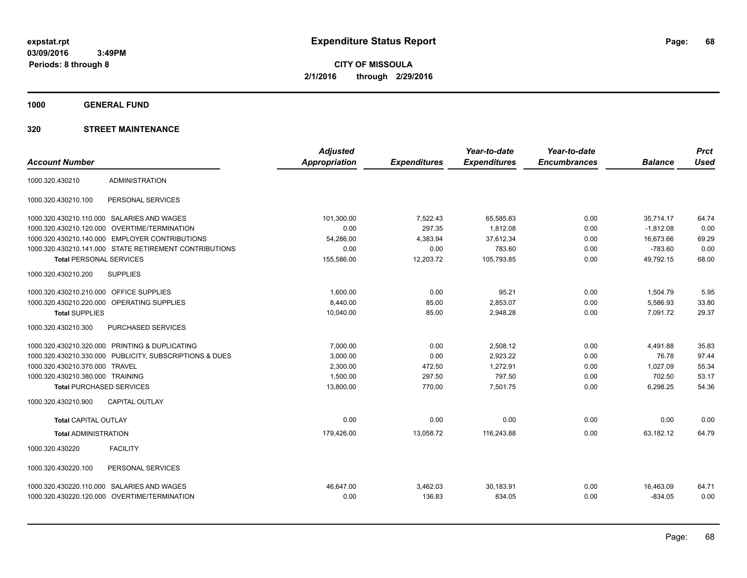**CITY OF MISSOULA 2/1/2016 through 2/29/2016**

**1000 GENERAL FUND**

|                                         |                                                         | <b>Adjusted</b>      |                     | Year-to-date        | Year-to-date        |                | <b>Prct</b> |
|-----------------------------------------|---------------------------------------------------------|----------------------|---------------------|---------------------|---------------------|----------------|-------------|
| <b>Account Number</b>                   |                                                         | <b>Appropriation</b> | <b>Expenditures</b> | <b>Expenditures</b> | <b>Encumbrances</b> | <b>Balance</b> | <b>Used</b> |
| 1000.320.430210                         | <b>ADMINISTRATION</b>                                   |                      |                     |                     |                     |                |             |
| 1000.320.430210.100                     | PERSONAL SERVICES                                       |                      |                     |                     |                     |                |             |
|                                         | 1000.320.430210.110.000 SALARIES AND WAGES              | 101,300.00           | 7.522.43            | 65,585.83           | 0.00                | 35.714.17      | 64.74       |
| 1000.320.430210.120.000                 | <b>OVERTIME/TERMINATION</b>                             | 0.00                 | 297.35              | 1,812.08            | 0.00                | $-1,812.08$    | 0.00        |
|                                         | 1000.320.430210.140.000 EMPLOYER CONTRIBUTIONS          | 54,286.00            | 4,383.94            | 37,612.34           | 0.00                | 16,673.66      | 69.29       |
|                                         | 1000.320.430210.141.000 STATE RETIREMENT CONTRIBUTIONS  | 0.00                 | 0.00                | 783.60              | 0.00                | $-783.60$      | 0.00        |
| <b>Total PERSONAL SERVICES</b>          |                                                         | 155.586.00           | 12.203.72           | 105.793.85          | 0.00                | 49.792.15      | 68.00       |
| 1000.320.430210.200                     | <b>SUPPLIES</b>                                         |                      |                     |                     |                     |                |             |
| 1000.320.430210.210.000 OFFICE SUPPLIES |                                                         | 1,600.00             | 0.00                | 95.21               | 0.00                | 1,504.79       | 5.95        |
| 1000.320.430210.220.000                 | OPERATING SUPPLIES                                      | 8,440.00             | 85.00               | 2,853.07            | 0.00                | 5,586.93       | 33.80       |
| <b>Total SUPPLIES</b>                   |                                                         | 10,040.00            | 85.00               | 2,948.28            | 0.00                | 7,091.72       | 29.37       |
| 1000.320.430210.300                     | PURCHASED SERVICES                                      |                      |                     |                     |                     |                |             |
|                                         | 1000.320.430210.320.000 PRINTING & DUPLICATING          | 7.000.00             | 0.00                | 2,508.12            | 0.00                | 4.491.88       | 35.83       |
|                                         | 1000.320.430210.330.000 PUBLICITY, SUBSCRIPTIONS & DUES | 3,000.00             | 0.00                | 2,923.22            | 0.00                | 76.78          | 97.44       |
| 1000.320.430210.370.000 TRAVEL          |                                                         | 2,300.00             | 472.50              | 1,272.91            | 0.00                | 1,027.09       | 55.34       |
| 1000.320.430210.380.000 TRAINING        |                                                         | 1,500.00             | 297.50              | 797.50              | 0.00                | 702.50         | 53.17       |
| <b>Total PURCHASED SERVICES</b>         |                                                         | 13,800.00            | 770.00              | 7,501.75            | 0.00                | 6,298.25       | 54.36       |
| 1000.320.430210.900                     | <b>CAPITAL OUTLAY</b>                                   |                      |                     |                     |                     |                |             |
| <b>Total CAPITAL OUTLAY</b>             |                                                         | 0.00                 | 0.00                | 0.00                | 0.00                | 0.00           | 0.00        |
| <b>Total ADMINISTRATION</b>             |                                                         | 179,426.00           | 13,058.72           | 116,243.88          | 0.00                | 63.182.12      | 64.79       |
| 1000.320.430220                         | <b>FACILITY</b>                                         |                      |                     |                     |                     |                |             |
| 1000.320.430220.100                     | PERSONAL SERVICES                                       |                      |                     |                     |                     |                |             |
|                                         | 1000.320.430220.110.000 SALARIES AND WAGES              | 46.647.00            | 3,462.03            | 30,183.91           | 0.00                | 16,463.09      | 64.71       |
|                                         | 1000.320.430220.120.000 OVERTIME/TERMINATION            | 0.00                 | 136.83              | 834.05              | 0.00                | $-834.05$      | 0.00        |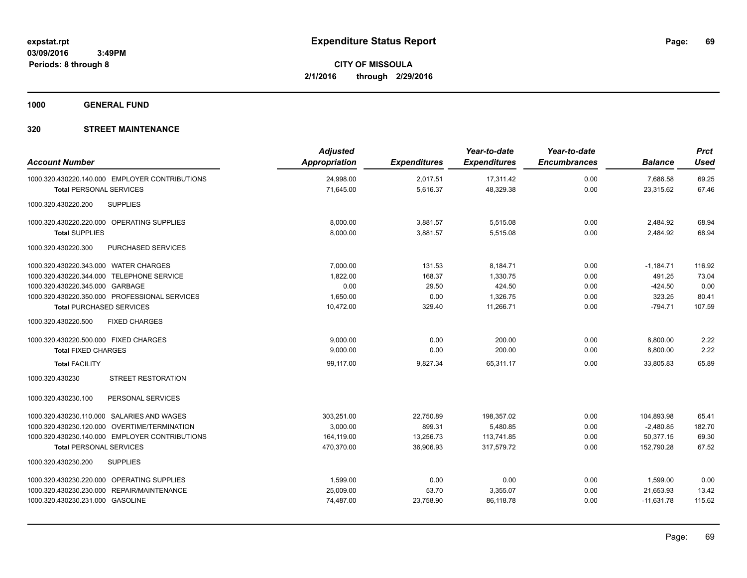**1000 GENERAL FUND**

| <b>Account Number</b>                          | <b>Adjusted</b><br><b>Appropriation</b> | <b>Expenditures</b> | Year-to-date<br><b>Expenditures</b> | Year-to-date<br><b>Encumbrances</b> | <b>Balance</b> | <b>Prct</b><br><b>Used</b> |
|------------------------------------------------|-----------------------------------------|---------------------|-------------------------------------|-------------------------------------|----------------|----------------------------|
| 1000.320.430220.140.000 EMPLOYER CONTRIBUTIONS | 24,998.00                               | 2,017.51            | 17,311.42                           | 0.00                                | 7,686.58       | 69.25                      |
| <b>Total PERSONAL SERVICES</b>                 | 71,645.00                               | 5,616.37            | 48,329.38                           | 0.00                                | 23,315.62      | 67.46                      |
| <b>SUPPLIES</b><br>1000.320.430220.200         |                                         |                     |                                     |                                     |                |                            |
| 1000.320.430220.220.000 OPERATING SUPPLIES     | 8,000.00                                | 3,881.57            | 5,515.08                            | 0.00                                | 2,484.92       | 68.94                      |
| <b>Total SUPPLIES</b>                          | 8,000.00                                | 3,881.57            | 5,515.08                            | 0.00                                | 2,484.92       | 68.94                      |
| 1000.320.430220.300<br>PURCHASED SERVICES      |                                         |                     |                                     |                                     |                |                            |
| 1000.320.430220.343.000 WATER CHARGES          | 7,000.00                                | 131.53              | 8,184.71                            | 0.00                                | $-1,184.71$    | 116.92                     |
| 1000.320.430220.344.000 TELEPHONE SERVICE      | 1,822.00                                | 168.37              | 1.330.75                            | 0.00                                | 491.25         | 73.04                      |
| 1000.320.430220.345.000 GARBAGE                | 0.00                                    | 29.50               | 424.50                              | 0.00                                | $-424.50$      | 0.00                       |
| 1000.320.430220.350.000 PROFESSIONAL SERVICES  | 1,650.00                                | 0.00                | 1,326.75                            | 0.00                                | 323.25         | 80.41                      |
| <b>Total PURCHASED SERVICES</b>                | 10,472.00                               | 329.40              | 11,266.71                           | 0.00                                | $-794.71$      | 107.59                     |
| <b>FIXED CHARGES</b><br>1000.320.430220.500    |                                         |                     |                                     |                                     |                |                            |
| 1000.320.430220.500.000 FIXED CHARGES          | 9.000.00                                | 0.00                | 200.00                              | 0.00                                | 8,800.00       | 2.22                       |
| <b>Total FIXED CHARGES</b>                     | 9,000.00                                | 0.00                | 200.00                              | 0.00                                | 8,800.00       | 2.22                       |
| <b>Total FACILITY</b>                          | 99,117.00                               | 9,827.34            | 65,311.17                           | 0.00                                | 33,805.83      | 65.89                      |
| <b>STREET RESTORATION</b><br>1000.320.430230   |                                         |                     |                                     |                                     |                |                            |
| PERSONAL SERVICES<br>1000.320.430230.100       |                                         |                     |                                     |                                     |                |                            |
| 1000.320.430230.110.000 SALARIES AND WAGES     | 303.251.00                              | 22.750.89           | 198.357.02                          | 0.00                                | 104.893.98     | 65.41                      |
| 1000.320.430230.120.000 OVERTIME/TERMINATION   | 3,000.00                                | 899.31              | 5,480.85                            | 0.00                                | $-2,480.85$    | 182.70                     |
| 1000.320.430230.140.000 EMPLOYER CONTRIBUTIONS | 164,119.00                              | 13,256.73           | 113,741.85                          | 0.00                                | 50,377.15      | 69.30                      |
| <b>Total PERSONAL SERVICES</b>                 | 470,370.00                              | 36,906.93           | 317,579.72                          | 0.00                                | 152,790.28     | 67.52                      |
| 1000.320.430230.200<br><b>SUPPLIES</b>         |                                         |                     |                                     |                                     |                |                            |
| 1000.320.430230.220.000 OPERATING SUPPLIES     | 1,599.00                                | 0.00                | 0.00                                | 0.00                                | 1,599.00       | 0.00                       |
| 1000.320.430230.230.000 REPAIR/MAINTENANCE     | 25,009.00                               | 53.70               | 3,355.07                            | 0.00                                | 21,653.93      | 13.42                      |
| 1000.320.430230.231.000 GASOLINE               | 74,487.00                               | 23,758.90           | 86,118.78                           | 0.00                                | $-11,631.78$   | 115.62                     |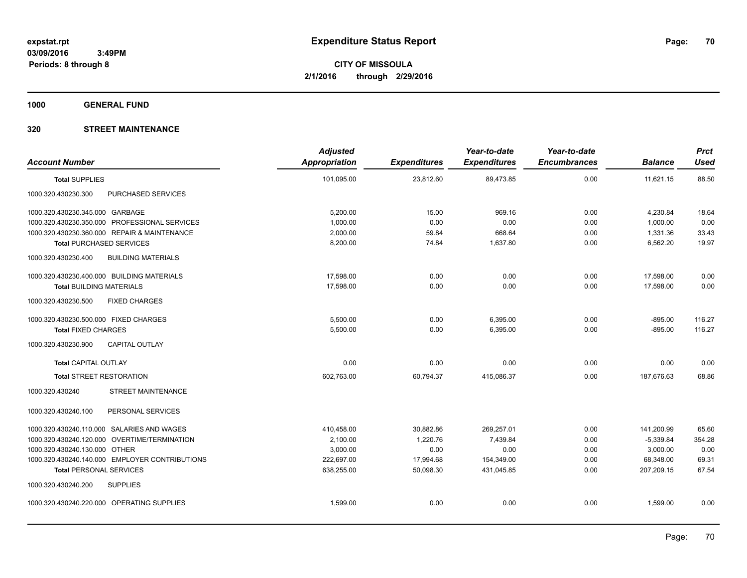**1000 GENERAL FUND**

| <b>Account Number</b>                            | <b>Adjusted</b><br><b>Appropriation</b> | <b>Expenditures</b> | Year-to-date<br><b>Expenditures</b> | Year-to-date<br><b>Encumbrances</b> | <b>Balance</b> | <b>Prct</b><br><b>Used</b> |
|--------------------------------------------------|-----------------------------------------|---------------------|-------------------------------------|-------------------------------------|----------------|----------------------------|
| <b>Total SUPPLIES</b>                            | 101,095.00                              | 23,812.60           | 89,473.85                           | 0.00                                | 11,621.15      | 88.50                      |
| 1000.320.430230.300<br>PURCHASED SERVICES        |                                         |                     |                                     |                                     |                |                            |
| 1000.320.430230.345.000 GARBAGE                  | 5,200.00                                | 15.00               | 969.16                              | 0.00                                | 4,230.84       | 18.64                      |
| 1000.320.430230.350.000 PROFESSIONAL SERVICES    | 1,000.00                                | 0.00                | 0.00                                | 0.00                                | 1,000.00       | 0.00                       |
| 1000.320.430230.360.000 REPAIR & MAINTENANCE     | 2,000.00                                | 59.84               | 668.64                              | 0.00                                | 1,331.36       | 33.43                      |
| <b>Total PURCHASED SERVICES</b>                  | 8,200.00                                | 74.84               | 1,637.80                            | 0.00                                | 6,562.20       | 19.97                      |
| 1000.320.430230.400<br><b>BUILDING MATERIALS</b> |                                         |                     |                                     |                                     |                |                            |
| 1000.320.430230.400.000 BUILDING MATERIALS       | 17,598.00                               | 0.00                | 0.00                                | 0.00                                | 17,598.00      | 0.00                       |
| <b>Total BUILDING MATERIALS</b>                  | 17,598.00                               | 0.00                | 0.00                                | 0.00                                | 17,598.00      | 0.00                       |
| 1000.320.430230.500<br><b>FIXED CHARGES</b>      |                                         |                     |                                     |                                     |                |                            |
| 1000.320.430230.500.000 FIXED CHARGES            | 5,500.00                                | 0.00                | 6,395.00                            | 0.00                                | $-895.00$      | 116.27                     |
| <b>Total FIXED CHARGES</b>                       | 5,500.00                                | 0.00                | 6,395.00                            | 0.00                                | $-895.00$      | 116.27                     |
| CAPITAL OUTLAY<br>1000.320.430230.900            |                                         |                     |                                     |                                     |                |                            |
| <b>Total CAPITAL OUTLAY</b>                      | 0.00                                    | 0.00                | 0.00                                | 0.00                                | 0.00           | 0.00                       |
| <b>Total STREET RESTORATION</b>                  | 602,763.00                              | 60,794.37           | 415,086.37                          | 0.00                                | 187,676.63     | 68.86                      |
| 1000.320.430240<br><b>STREET MAINTENANCE</b>     |                                         |                     |                                     |                                     |                |                            |
| 1000.320.430240.100<br>PERSONAL SERVICES         |                                         |                     |                                     |                                     |                |                            |
| 1000.320.430240.110.000 SALARIES AND WAGES       | 410,458.00                              | 30,882.86           | 269,257.01                          | 0.00                                | 141,200.99     | 65.60                      |
| 1000.320.430240.120.000 OVERTIME/TERMINATION     | 2,100.00                                | 1,220.76            | 7,439.84                            | 0.00                                | $-5,339.84$    | 354.28                     |
| 1000.320.430240.130.000 OTHER                    | 3,000.00                                | 0.00                | 0.00                                | 0.00                                | 3,000.00       | 0.00                       |
| 1000.320.430240.140.000 EMPLOYER CONTRIBUTIONS   | 222,697.00                              | 17,994.68           | 154,349.00                          | 0.00                                | 68,348.00      | 69.31                      |
| <b>Total PERSONAL SERVICES</b>                   | 638,255.00                              | 50,098.30           | 431,045.85                          | 0.00                                | 207,209.15     | 67.54                      |
| 1000.320.430240.200<br><b>SUPPLIES</b>           |                                         |                     |                                     |                                     |                |                            |
| 1000.320.430240.220.000 OPERATING SUPPLIES       | 1,599.00                                | 0.00                | 0.00                                | 0.00                                | 1,599.00       | 0.00                       |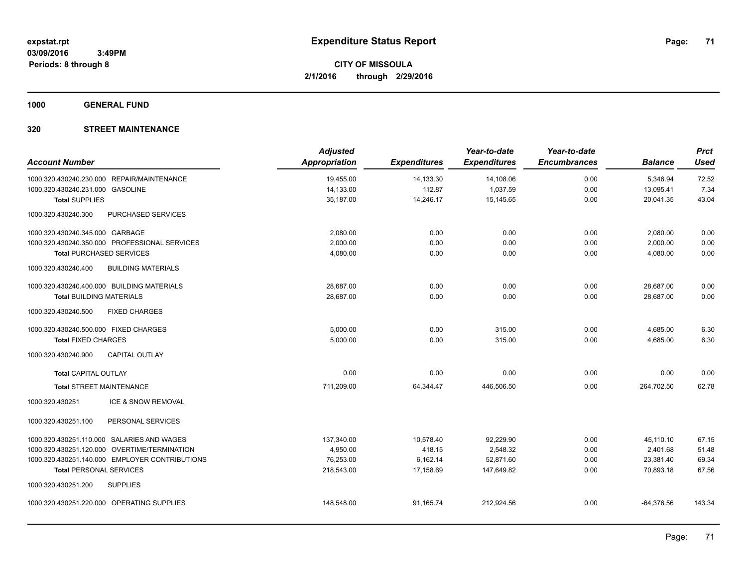**1000 GENERAL FUND**

| <b>Account Number</b>                 |                                                | <b>Adjusted</b><br><b>Appropriation</b> | <b>Expenditures</b> | Year-to-date<br><b>Expenditures</b> | Year-to-date<br><b>Encumbrances</b> | <b>Balance</b> | <b>Prct</b><br><b>Used</b> |
|---------------------------------------|------------------------------------------------|-----------------------------------------|---------------------|-------------------------------------|-------------------------------------|----------------|----------------------------|
|                                       | 1000.320.430240.230.000 REPAIR/MAINTENANCE     | 19,455.00                               | 14,133.30           | 14,108.06                           | 0.00                                | 5,346.94       | 72.52                      |
| 1000.320.430240.231.000 GASOLINE      |                                                | 14,133.00                               | 112.87              | 1,037.59                            | 0.00                                | 13,095.41      | 7.34                       |
| <b>Total SUPPLIES</b>                 |                                                | 35,187.00                               | 14,246.17           | 15,145.65                           | 0.00                                | 20,041.35      | 43.04                      |
| 1000.320.430240.300                   | <b>PURCHASED SERVICES</b>                      |                                         |                     |                                     |                                     |                |                            |
| 1000.320.430240.345.000 GARBAGE       |                                                | 2,080.00                                | 0.00                | 0.00                                | 0.00                                | 2,080.00       | 0.00                       |
|                                       | 1000.320.430240.350.000 PROFESSIONAL SERVICES  | 2,000.00                                | 0.00                | 0.00                                | 0.00                                | 2,000.00       | 0.00                       |
| <b>Total PURCHASED SERVICES</b>       |                                                | 4,080.00                                | 0.00                | 0.00                                | 0.00                                | 4,080.00       | 0.00                       |
| 1000.320.430240.400                   | <b>BUILDING MATERIALS</b>                      |                                         |                     |                                     |                                     |                |                            |
|                                       | 1000.320.430240.400.000 BUILDING MATERIALS     | 28,687.00                               | 0.00                | 0.00                                | 0.00                                | 28,687.00      | 0.00                       |
| <b>Total BUILDING MATERIALS</b>       |                                                | 28,687.00                               | 0.00                | 0.00                                | 0.00                                | 28,687.00      | 0.00                       |
| 1000.320.430240.500                   | <b>FIXED CHARGES</b>                           |                                         |                     |                                     |                                     |                |                            |
| 1000.320.430240.500.000 FIXED CHARGES |                                                | 5,000.00                                | 0.00                | 315.00                              | 0.00                                | 4,685.00       | 6.30                       |
| <b>Total FIXED CHARGES</b>            |                                                | 5,000.00                                | 0.00                | 315.00                              | 0.00                                | 4,685.00       | 6.30                       |
| 1000.320.430240.900                   | <b>CAPITAL OUTLAY</b>                          |                                         |                     |                                     |                                     |                |                            |
| <b>Total CAPITAL OUTLAY</b>           |                                                | 0.00                                    | 0.00                | 0.00                                | 0.00                                | 0.00           | 0.00                       |
| <b>Total STREET MAINTENANCE</b>       |                                                | 711,209.00                              | 64,344.47           | 446,506.50                          | 0.00                                | 264,702.50     | 62.78                      |
| 1000.320.430251                       | ICE & SNOW REMOVAL                             |                                         |                     |                                     |                                     |                |                            |
| 1000.320.430251.100                   | PERSONAL SERVICES                              |                                         |                     |                                     |                                     |                |                            |
|                                       | 1000.320.430251.110.000 SALARIES AND WAGES     | 137,340.00                              | 10,578.40           | 92,229.90                           | 0.00                                | 45,110.10      | 67.15                      |
|                                       | 1000.320.430251.120.000 OVERTIME/TERMINATION   | 4,950.00                                | 418.15              | 2,548.32                            | 0.00                                | 2,401.68       | 51.48                      |
|                                       | 1000.320.430251.140.000 EMPLOYER CONTRIBUTIONS | 76,253.00                               | 6,162.14            | 52,871.60                           | 0.00                                | 23,381.40      | 69.34                      |
| <b>Total PERSONAL SERVICES</b>        |                                                | 218,543.00                              | 17,158.69           | 147,649.82                          | 0.00                                | 70,893.18      | 67.56                      |
| 1000.320.430251.200                   | <b>SUPPLIES</b>                                |                                         |                     |                                     |                                     |                |                            |
|                                       | 1000.320.430251.220.000 OPERATING SUPPLIES     | 148,548.00                              | 91,165.74           | 212,924.56                          | 0.00                                | $-64,376.56$   | 143.34                     |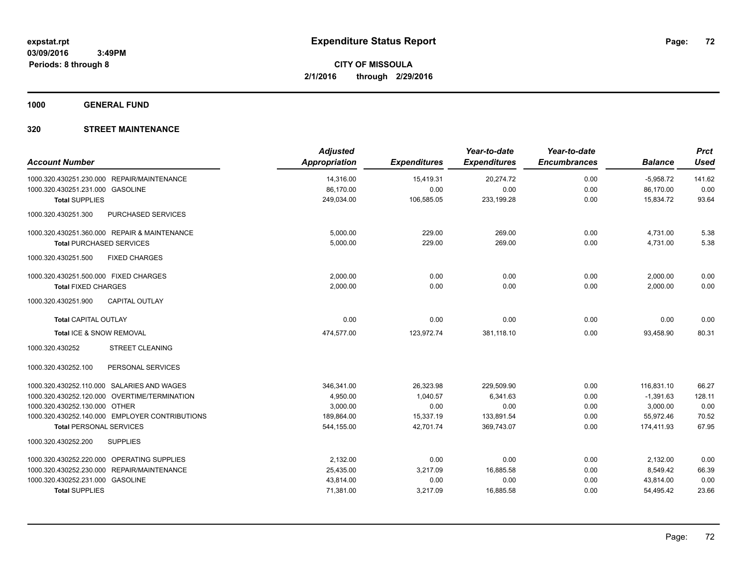**1000 GENERAL FUND**

| <b>Account Number</b>                                | <b>Adjusted</b><br><b>Appropriation</b> | <b>Expenditures</b> | Year-to-date<br><b>Expenditures</b> | Year-to-date<br><b>Encumbrances</b> | <b>Balance</b> | <b>Prct</b><br><b>Used</b> |
|------------------------------------------------------|-----------------------------------------|---------------------|-------------------------------------|-------------------------------------|----------------|----------------------------|
|                                                      |                                         |                     |                                     |                                     |                |                            |
| 1000.320.430251.230.000 REPAIR/MAINTENANCE           | 14,316.00                               | 15,419.31           | 20,274.72                           | 0.00                                | $-5,958.72$    | 141.62                     |
| 1000.320.430251.231.000 GASOLINE                     | 86,170.00                               | 0.00                | 0.00                                | 0.00                                | 86,170.00      | 0.00                       |
| <b>Total SUPPLIES</b>                                | 249,034.00                              | 106,585.05          | 233,199.28                          | 0.00                                | 15,834.72      | 93.64                      |
| PURCHASED SERVICES<br>1000.320.430251.300            |                                         |                     |                                     |                                     |                |                            |
| 1000.320.430251.360.000 REPAIR & MAINTENANCE         | 5,000.00                                | 229.00              | 269.00                              | 0.00                                | 4,731.00       | 5.38                       |
| <b>Total PURCHASED SERVICES</b>                      | 5.000.00                                | 229.00              | 269.00                              | 0.00                                | 4,731.00       | 5.38                       |
| 1000.320.430251.500<br><b>FIXED CHARGES</b>          |                                         |                     |                                     |                                     |                |                            |
| 1000.320.430251.500.000 FIXED CHARGES                | 2,000.00                                | 0.00                | 0.00                                | 0.00                                | 2,000.00       | 0.00                       |
| <b>Total FIXED CHARGES</b>                           | 2,000.00                                | 0.00                | 0.00                                | 0.00                                | 2,000.00       | 0.00                       |
| <b>CAPITAL OUTLAY</b><br>1000.320.430251.900         |                                         |                     |                                     |                                     |                |                            |
| <b>Total CAPITAL OUTLAY</b>                          | 0.00                                    | 0.00                | 0.00                                | 0.00                                | 0.00           | 0.00                       |
| Total ICE & SNOW REMOVAL                             | 474,577.00                              | 123,972.74          | 381,118.10                          | 0.00                                | 93,458.90      | 80.31                      |
| <b>STREET CLEANING</b><br>1000.320.430252            |                                         |                     |                                     |                                     |                |                            |
| PERSONAL SERVICES<br>1000.320.430252.100             |                                         |                     |                                     |                                     |                |                            |
| 1000.320.430252.110.000 SALARIES AND WAGES           | 346,341.00                              | 26,323.98           | 229,509.90                          | 0.00                                | 116,831.10     | 66.27                      |
| 1000.320.430252.120.000<br>OVERTIME/TERMINATION      | 4,950.00                                | 1,040.57            | 6,341.63                            | 0.00                                | $-1,391.63$    | 128.11                     |
| 1000.320.430252.130.000 OTHER                        | 3,000.00                                | 0.00                | 0.00                                | 0.00                                | 3,000.00       | 0.00                       |
| 1000.320.430252.140.000 EMPLOYER CONTRIBUTIONS       | 189,864.00                              | 15,337.19           | 133,891.54                          | 0.00                                | 55,972.46      | 70.52                      |
| <b>Total PERSONAL SERVICES</b>                       | 544,155.00                              | 42,701.74           | 369,743.07                          | 0.00                                | 174,411.93     | 67.95                      |
| 1000.320.430252.200<br><b>SUPPLIES</b>               |                                         |                     |                                     |                                     |                |                            |
| 1000.320.430252.220.000<br><b>OPERATING SUPPLIES</b> | 2,132.00                                | 0.00                | 0.00                                | 0.00                                | 2,132.00       | 0.00                       |
| REPAIR/MAINTENANCE<br>1000.320.430252.230.000        | 25,435.00                               | 3,217.09            | 16,885.58                           | 0.00                                | 8,549.42       | 66.39                      |
| 1000.320.430252.231.000 GASOLINE                     | 43,814.00                               | 0.00                | 0.00                                | 0.00                                | 43,814.00      | 0.00                       |
| <b>Total SUPPLIES</b>                                | 71,381.00                               | 3,217.09            | 16,885.58                           | 0.00                                | 54,495.42      | 23.66                      |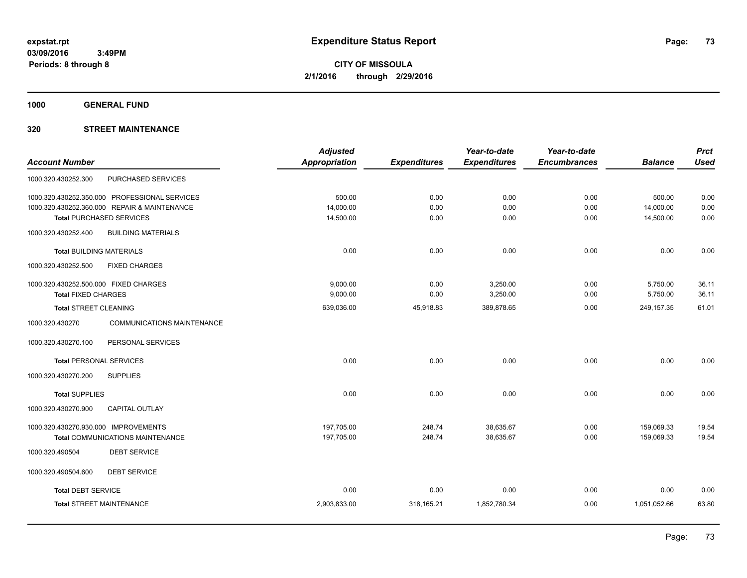**1000 GENERAL FUND**

### **320 STREET MAINTENANCE**

|                                                      | <b>Adjusted</b> |                     | Year-to-date        | Year-to-date        |                | <b>Prct</b> |
|------------------------------------------------------|-----------------|---------------------|---------------------|---------------------|----------------|-------------|
| <b>Account Number</b>                                | Appropriation   | <b>Expenditures</b> | <b>Expenditures</b> | <b>Encumbrances</b> | <b>Balance</b> | <b>Used</b> |
| PURCHASED SERVICES<br>1000.320.430252.300            |                 |                     |                     |                     |                |             |
| 1000.320.430252.350.000 PROFESSIONAL SERVICES        | 500.00          | 0.00                | 0.00                | 0.00                | 500.00         | 0.00        |
| 1000.320.430252.360.000 REPAIR & MAINTENANCE         | 14,000.00       | 0.00                | 0.00                | 0.00                | 14,000.00      | 0.00        |
| <b>Total PURCHASED SERVICES</b>                      | 14,500.00       | 0.00                | 0.00                | 0.00                | 14,500.00      | 0.00        |
| 1000.320.430252.400<br><b>BUILDING MATERIALS</b>     |                 |                     |                     |                     |                |             |
| <b>Total BUILDING MATERIALS</b>                      | 0.00            | 0.00                | 0.00                | 0.00                | 0.00           | 0.00        |
| 1000.320.430252.500<br><b>FIXED CHARGES</b>          |                 |                     |                     |                     |                |             |
| 1000.320.430252.500.000 FIXED CHARGES                | 9,000.00        | 0.00                | 3,250.00            | 0.00                | 5,750.00       | 36.11       |
| <b>Total FIXED CHARGES</b>                           | 9,000.00        | 0.00                | 3,250.00            | 0.00                | 5,750.00       | 36.11       |
| <b>Total STREET CLEANING</b>                         | 639,036.00      | 45,918.83           | 389,878.65          | 0.00                | 249, 157.35    | 61.01       |
| 1000.320.430270<br><b>COMMUNICATIONS MAINTENANCE</b> |                 |                     |                     |                     |                |             |
| 1000.320.430270.100<br>PERSONAL SERVICES             |                 |                     |                     |                     |                |             |
| <b>Total PERSONAL SERVICES</b>                       | 0.00            | 0.00                | 0.00                | 0.00                | 0.00           | 0.00        |
| 1000.320.430270.200<br><b>SUPPLIES</b>               |                 |                     |                     |                     |                |             |
| <b>Total SUPPLIES</b>                                | 0.00            | 0.00                | 0.00                | 0.00                | 0.00           | 0.00        |
| 1000.320.430270.900<br><b>CAPITAL OUTLAY</b>         |                 |                     |                     |                     |                |             |
| 1000.320.430270.930.000 IMPROVEMENTS                 | 197,705.00      | 248.74              | 38,635.67           | 0.00                | 159,069.33     | 19.54       |
| Total COMMUNICATIONS MAINTENANCE                     | 197,705.00      | 248.74              | 38,635.67           | 0.00                | 159,069.33     | 19.54       |
| <b>DEBT SERVICE</b><br>1000.320.490504               |                 |                     |                     |                     |                |             |
| 1000.320.490504.600<br><b>DEBT SERVICE</b>           |                 |                     |                     |                     |                |             |
| <b>Total DEBT SERVICE</b>                            | 0.00            | 0.00                | 0.00                | 0.00                | 0.00           | 0.00        |
| <b>Total STREET MAINTENANCE</b>                      | 2,903,833.00    | 318,165.21          | 1,852,780.34        | 0.00                | 1,051,052.66   | 63.80       |
|                                                      |                 |                     |                     |                     |                |             |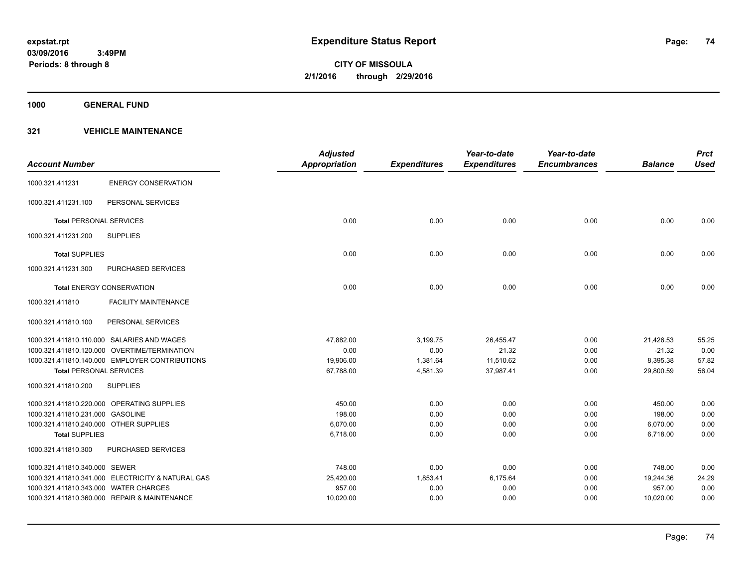**1000 GENERAL FUND**

| <b>Account Number</b>                  |                                                   | <b>Adjusted</b><br><b>Appropriation</b> | <b>Expenditures</b> | Year-to-date<br><b>Expenditures</b> | Year-to-date<br><b>Encumbrances</b> | <b>Balance</b> | <b>Prct</b><br><b>Used</b> |
|----------------------------------------|---------------------------------------------------|-----------------------------------------|---------------------|-------------------------------------|-------------------------------------|----------------|----------------------------|
| 1000.321.411231                        | <b>ENERGY CONSERVATION</b>                        |                                         |                     |                                     |                                     |                |                            |
| 1000.321.411231.100                    | PERSONAL SERVICES                                 |                                         |                     |                                     |                                     |                |                            |
| <b>Total PERSONAL SERVICES</b>         |                                                   | 0.00                                    | 0.00                | 0.00                                | 0.00                                | 0.00           | 0.00                       |
| 1000.321.411231.200                    | <b>SUPPLIES</b>                                   |                                         |                     |                                     |                                     |                |                            |
| <b>Total SUPPLIES</b>                  |                                                   | 0.00                                    | 0.00                | 0.00                                | 0.00                                | 0.00           | 0.00                       |
| 1000.321.411231.300                    | PURCHASED SERVICES                                |                                         |                     |                                     |                                     |                |                            |
|                                        | <b>Total ENERGY CONSERVATION</b>                  | 0.00                                    | 0.00                | 0.00                                | 0.00                                | 0.00           | 0.00                       |
| 1000.321.411810                        | <b>FACILITY MAINTENANCE</b>                       |                                         |                     |                                     |                                     |                |                            |
| 1000.321.411810.100                    | PERSONAL SERVICES                                 |                                         |                     |                                     |                                     |                |                            |
|                                        | 1000.321.411810.110.000 SALARIES AND WAGES        | 47,882.00                               | 3,199.75            | 26,455.47                           | 0.00                                | 21,426.53      | 55.25                      |
|                                        | 1000.321.411810.120.000 OVERTIME/TERMINATION      | 0.00                                    | 0.00                | 21.32                               | 0.00                                | $-21.32$       | 0.00                       |
|                                        | 1000.321.411810.140.000 EMPLOYER CONTRIBUTIONS    | 19,906.00                               | 1,381.64            | 11,510.62                           | 0.00                                | 8,395.38       | 57.82                      |
| <b>Total PERSONAL SERVICES</b>         |                                                   | 67,788.00                               | 4,581.39            | 37,987.41                           | 0.00                                | 29,800.59      | 56.04                      |
| 1000.321.411810.200                    | <b>SUPPLIES</b>                                   |                                         |                     |                                     |                                     |                |                            |
|                                        | 1000.321.411810.220.000 OPERATING SUPPLIES        | 450.00                                  | 0.00                | 0.00                                | 0.00                                | 450.00         | 0.00                       |
| 1000.321.411810.231.000 GASOLINE       |                                                   | 198.00                                  | 0.00                | 0.00                                | 0.00                                | 198.00         | 0.00                       |
| 1000.321.411810.240.000 OTHER SUPPLIES |                                                   | 6,070.00                                | 0.00                | 0.00                                | 0.00                                | 6,070.00       | 0.00                       |
| <b>Total SUPPLIES</b>                  |                                                   | 6,718.00                                | 0.00                | 0.00                                | 0.00                                | 6,718.00       | 0.00                       |
| 1000.321.411810.300                    | PURCHASED SERVICES                                |                                         |                     |                                     |                                     |                |                            |
| 1000.321.411810.340.000 SEWER          |                                                   | 748.00                                  | 0.00                | 0.00                                | 0.00                                | 748.00         | 0.00                       |
|                                        | 1000.321.411810.341.000 ELECTRICITY & NATURAL GAS | 25,420.00                               | 1,853.41            | 6,175.64                            | 0.00                                | 19,244.36      | 24.29                      |
| 1000.321.411810.343.000 WATER CHARGES  |                                                   | 957.00                                  | 0.00                | 0.00                                | 0.00                                | 957.00         | 0.00                       |
|                                        | 1000.321.411810.360.000 REPAIR & MAINTENANCE      | 10,020.00                               | 0.00                | 0.00                                | 0.00                                | 10,020.00      | 0.00                       |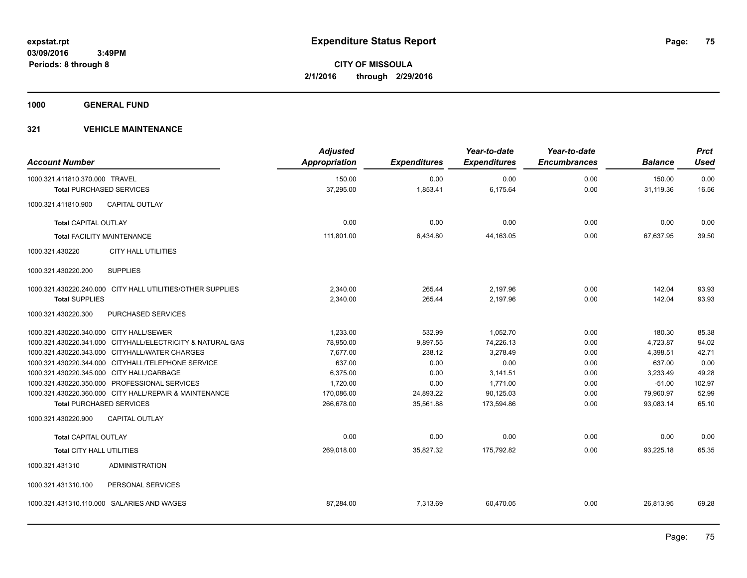**1000 GENERAL FUND**

| <b>Account Number</b>                   |                                                            | <b>Adjusted</b><br>Appropriation | <b>Expenditures</b> | Year-to-date<br><b>Expenditures</b> | Year-to-date<br><b>Encumbrances</b> | <b>Balance</b> | <b>Prct</b><br><b>Used</b> |
|-----------------------------------------|------------------------------------------------------------|----------------------------------|---------------------|-------------------------------------|-------------------------------------|----------------|----------------------------|
| 1000.321.411810.370.000 TRAVEL          |                                                            | 150.00                           | 0.00                | 0.00                                | 0.00                                | 150.00         | 0.00                       |
| <b>Total PURCHASED SERVICES</b>         |                                                            | 37,295.00                        | 1,853.41            | 6,175.64                            | 0.00                                | 31,119.36      | 16.56                      |
| 1000.321.411810.900                     | <b>CAPITAL OUTLAY</b>                                      |                                  |                     |                                     |                                     |                |                            |
| Total CAPITAL OUTLAY                    |                                                            | 0.00                             | 0.00                | 0.00                                | 0.00                                | 0.00           | 0.00                       |
| <b>Total FACILITY MAINTENANCE</b>       |                                                            | 111,801.00                       | 6,434.80            | 44,163.05                           | 0.00                                | 67,637.95      | 39.50                      |
| 1000.321.430220                         | <b>CITY HALL UTILITIES</b>                                 |                                  |                     |                                     |                                     |                |                            |
| 1000.321.430220.200                     | <b>SUPPLIES</b>                                            |                                  |                     |                                     |                                     |                |                            |
|                                         | 1000.321.430220.240.000 CITY HALL UTILITIES/OTHER SUPPLIES | 2,340.00                         | 265.44              | 2,197.96                            | 0.00                                | 142.04         | 93.93                      |
| <b>Total SUPPLIES</b>                   |                                                            | 2,340.00                         | 265.44              | 2,197.96                            | 0.00                                | 142.04         | 93.93                      |
| 1000.321.430220.300                     | PURCHASED SERVICES                                         |                                  |                     |                                     |                                     |                |                            |
| 1000.321.430220.340.000 CITY HALL/SEWER |                                                            | 1,233.00                         | 532.99              | 1,052.70                            | 0.00                                | 180.30         | 85.38                      |
|                                         | 1000.321.430220.341.000 CITYHALL/ELECTRICITY & NATURAL GAS | 78,950.00                        | 9,897.55            | 74,226.13                           | 0.00                                | 4,723.87       | 94.02                      |
|                                         | 1000.321.430220.343.000 CITYHALL/WATER CHARGES             | 7.677.00                         | 238.12              | 3.278.49                            | 0.00                                | 4.398.51       | 42.71                      |
|                                         | 1000.321.430220.344.000 CITYHALL/TELEPHONE SERVICE         | 637.00                           | 0.00                | 0.00                                | 0.00                                | 637.00         | 0.00                       |
|                                         | 1000.321.430220.345.000 CITY HALL/GARBAGE                  | 6,375.00                         | 0.00                | 3,141.51                            | 0.00                                | 3,233.49       | 49.28                      |
|                                         | 1000.321.430220.350.000 PROFESSIONAL SERVICES              | 1,720.00                         | 0.00                | 1,771.00                            | 0.00                                | $-51.00$       | 102.97                     |
|                                         | 1000.321.430220.360.000 CITY HALL/REPAIR & MAINTENANCE     | 170,086.00                       | 24,893.22           | 90,125.03                           | 0.00                                | 79,960.97      | 52.99                      |
| <b>Total PURCHASED SERVICES</b>         |                                                            | 266,678.00                       | 35,561.88           | 173,594.86                          | 0.00                                | 93,083.14      | 65.10                      |
| 1000.321.430220.900                     | <b>CAPITAL OUTLAY</b>                                      |                                  |                     |                                     |                                     |                |                            |
| <b>Total CAPITAL OUTLAY</b>             |                                                            | 0.00                             | 0.00                | 0.00                                | 0.00                                | 0.00           | 0.00                       |
| Total CITY HALL UTILITIES               |                                                            | 269.018.00                       | 35.827.32           | 175.792.82                          | 0.00                                | 93.225.18      | 65.35                      |
| 1000.321.431310                         | <b>ADMINISTRATION</b>                                      |                                  |                     |                                     |                                     |                |                            |
| 1000.321.431310.100                     | PERSONAL SERVICES                                          |                                  |                     |                                     |                                     |                |                            |
|                                         | 1000.321.431310.110.000 SALARIES AND WAGES                 | 87,284.00                        | 7,313.69            | 60,470.05                           | 0.00                                | 26,813.95      | 69.28                      |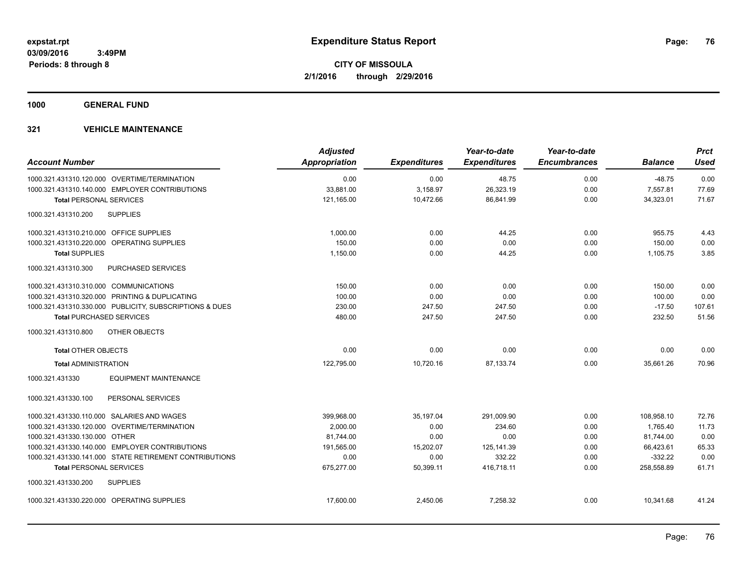**1000 GENERAL FUND**

| <b>Account Number</b>                                   | <b>Adjusted</b><br><b>Appropriation</b> | <b>Expenditures</b> | Year-to-date<br><b>Expenditures</b> | Year-to-date<br><b>Encumbrances</b> | <b>Balance</b> | <b>Prct</b><br><b>Used</b> |
|---------------------------------------------------------|-----------------------------------------|---------------------|-------------------------------------|-------------------------------------|----------------|----------------------------|
| 1000.321.431310.120.000 OVERTIME/TERMINATION            | 0.00                                    | 0.00                | 48.75                               | 0.00                                | $-48.75$       | 0.00                       |
| 1000.321.431310.140.000 EMPLOYER CONTRIBUTIONS          | 33,881.00                               | 3,158.97            | 26,323.19                           | 0.00                                | 7,557.81       | 77.69                      |
| <b>Total PERSONAL SERVICES</b>                          | 121,165.00                              | 10,472.66           | 86,841.99                           | 0.00                                | 34,323.01      | 71.67                      |
| 1000.321.431310.200<br><b>SUPPLIES</b>                  |                                         |                     |                                     |                                     |                |                            |
| 1000.321.431310.210.000 OFFICE SUPPLIES                 | 1.000.00                                | 0.00                | 44.25                               | 0.00                                | 955.75         | 4.43                       |
| 1000.321.431310.220.000 OPERATING SUPPLIES              | 150.00                                  | 0.00                | 0.00                                | 0.00                                | 150.00         | 0.00                       |
| <b>Total SUPPLIES</b>                                   | 1,150.00                                | 0.00                | 44.25                               | 0.00                                | 1,105.75       | 3.85                       |
| <b>PURCHASED SERVICES</b><br>1000.321.431310.300        |                                         |                     |                                     |                                     |                |                            |
| 1000.321.431310.310.000 COMMUNICATIONS                  | 150.00                                  | 0.00                | 0.00                                | 0.00                                | 150.00         | 0.00                       |
| 1000.321.431310.320.000 PRINTING & DUPLICATING          | 100.00                                  | 0.00                | 0.00                                | 0.00                                | 100.00         | 0.00                       |
| 1000.321.431310.330.000 PUBLICITY, SUBSCRIPTIONS & DUES | 230.00                                  | 247.50              | 247.50                              | 0.00                                | $-17.50$       | 107.61                     |
| <b>Total PURCHASED SERVICES</b>                         | 480.00                                  | 247.50              | 247.50                              | 0.00                                | 232.50         | 51.56                      |
| 1000.321.431310.800<br>OTHER OBJECTS                    |                                         |                     |                                     |                                     |                |                            |
| <b>Total OTHER OBJECTS</b>                              | 0.00                                    | 0.00                | 0.00                                | 0.00                                | 0.00           | 0.00                       |
| <b>Total ADMINISTRATION</b>                             | 122.795.00                              | 10,720.16           | 87.133.74                           | 0.00                                | 35.661.26      | 70.96                      |
| 1000.321.431330<br><b>EQUIPMENT MAINTENANCE</b>         |                                         |                     |                                     |                                     |                |                            |
| PERSONAL SERVICES<br>1000.321.431330.100                |                                         |                     |                                     |                                     |                |                            |
| 1000.321.431330.110.000 SALARIES AND WAGES              | 399,968.00                              | 35.197.04           | 291,009.90                          | 0.00                                | 108,958.10     | 72.76                      |
| 1000.321.431330.120.000 OVERTIME/TERMINATION            | 2,000.00                                | 0.00                | 234.60                              | 0.00                                | 1,765.40       | 11.73                      |
| 1000.321.431330.130.000 OTHER                           | 81.744.00                               | 0.00                | 0.00                                | 0.00                                | 81,744.00      | 0.00                       |
| 1000.321.431330.140.000 EMPLOYER CONTRIBUTIONS          | 191,565.00                              | 15,202.07           | 125,141.39                          | 0.00                                | 66,423.61      | 65.33                      |
| 1000.321.431330.141.000 STATE RETIREMENT CONTRIBUTIONS  | 0.00                                    | 0.00                | 332.22                              | 0.00                                | $-332.22$      | 0.00                       |
| <b>Total PERSONAL SERVICES</b>                          | 675,277.00                              | 50,399.11           | 416.718.11                          | 0.00                                | 258,558.89     | 61.71                      |
| 1000.321.431330.200<br><b>SUPPLIES</b>                  |                                         |                     |                                     |                                     |                |                            |
| 1000.321.431330.220.000 OPERATING SUPPLIES              | 17.600.00                               | 2.450.06            | 7.258.32                            | 0.00                                | 10.341.68      | 41.24                      |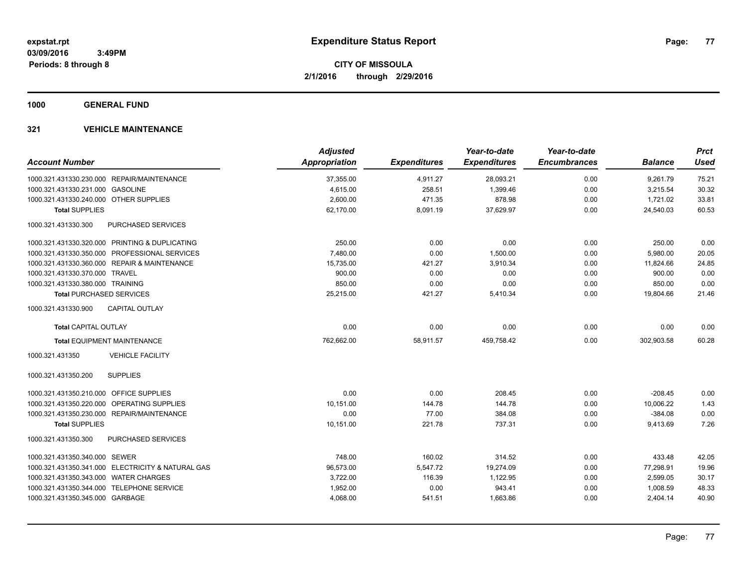**1000 GENERAL FUND**

|                                                   | <b>Adjusted</b>      |                     | Year-to-date        | Year-to-date        |                | <b>Prct</b> |
|---------------------------------------------------|----------------------|---------------------|---------------------|---------------------|----------------|-------------|
| <b>Account Number</b>                             | <b>Appropriation</b> | <b>Expenditures</b> | <b>Expenditures</b> | <b>Encumbrances</b> | <b>Balance</b> | <b>Used</b> |
| 1000.321.431330.230.000 REPAIR/MAINTENANCE        | 37,355.00            | 4,911.27            | 28,093.21           | 0.00                | 9,261.79       | 75.21       |
| 1000.321.431330.231.000 GASOLINE                  | 4,615.00             | 258.51              | 1,399.46            | 0.00                | 3,215.54       | 30.32       |
| 1000.321.431330.240.000 OTHER SUPPLIES            | 2,600.00             | 471.35              | 878.98              | 0.00                | 1,721.02       | 33.81       |
| <b>Total SUPPLIES</b>                             | 62,170.00            | 8,091.19            | 37,629.97           | 0.00                | 24,540.03      | 60.53       |
| 1000.321.431330.300<br><b>PURCHASED SERVICES</b>  |                      |                     |                     |                     |                |             |
| 1000.321.431330.320.000 PRINTING & DUPLICATING    | 250.00               | 0.00                | 0.00                | 0.00                | 250.00         | 0.00        |
| 1000.321.431330.350.000 PROFESSIONAL SERVICES     | 7,480.00             | 0.00                | 1,500.00            | 0.00                | 5,980.00       | 20.05       |
| 1000.321.431330.360.000 REPAIR & MAINTENANCE      | 15,735.00            | 421.27              | 3,910.34            | 0.00                | 11,824.66      | 24.85       |
| 1000.321.431330.370.000 TRAVEL                    | 900.00               | 0.00                | 0.00                | 0.00                | 900.00         | 0.00        |
| 1000.321.431330.380.000 TRAINING                  | 850.00               | 0.00                | 0.00                | 0.00                | 850.00         | 0.00        |
| <b>Total PURCHASED SERVICES</b>                   | 25,215.00            | 421.27              | 5,410.34            | 0.00                | 19,804.66      | 21.46       |
| <b>CAPITAL OUTLAY</b><br>1000.321.431330.900      |                      |                     |                     |                     |                |             |
| <b>Total CAPITAL OUTLAY</b>                       | 0.00                 | 0.00                | 0.00                | 0.00                | 0.00           | 0.00        |
| <b>Total EQUIPMENT MAINTENANCE</b>                | 762,662.00           | 58,911.57           | 459,758.42          | 0.00                | 302,903.58     | 60.28       |
| 1000.321.431350<br><b>VEHICLE FACILITY</b>        |                      |                     |                     |                     |                |             |
| <b>SUPPLIES</b><br>1000.321.431350.200            |                      |                     |                     |                     |                |             |
| 1000.321.431350.210.000 OFFICE SUPPLIES           | 0.00                 | 0.00                | 208.45              | 0.00                | $-208.45$      | 0.00        |
| 1000.321.431350.220.000 OPERATING SUPPLIES        | 10.151.00            | 144.78              | 144.78              | 0.00                | 10.006.22      | 1.43        |
| 1000.321.431350.230.000 REPAIR/MAINTENANCE        | 0.00                 | 77.00               | 384.08              | 0.00                | $-384.08$      | 0.00        |
| <b>Total SUPPLIES</b>                             | 10,151.00            | 221.78              | 737.31              | 0.00                | 9,413.69       | 7.26        |
| <b>PURCHASED SERVICES</b><br>1000.321.431350.300  |                      |                     |                     |                     |                |             |
| 1000.321.431350.340.000 SEWER                     | 748.00               | 160.02              | 314.52              | 0.00                | 433.48         | 42.05       |
| 1000.321.431350.341.000 ELECTRICITY & NATURAL GAS | 96,573.00            | 5,547.72            | 19,274.09           | 0.00                | 77,298.91      | 19.96       |
| 1000.321.431350.343.000 WATER CHARGES             | 3,722.00             | 116.39              | 1,122.95            | 0.00                | 2,599.05       | 30.17       |
| 1000.321.431350.344.000 TELEPHONE SERVICE         | 1,952.00             | 0.00                | 943.41              | 0.00                | 1,008.59       | 48.33       |
| 1000.321.431350.345.000 GARBAGE                   | 4,068.00             | 541.51              | 1,663.86            | 0.00                | 2,404.14       | 40.90       |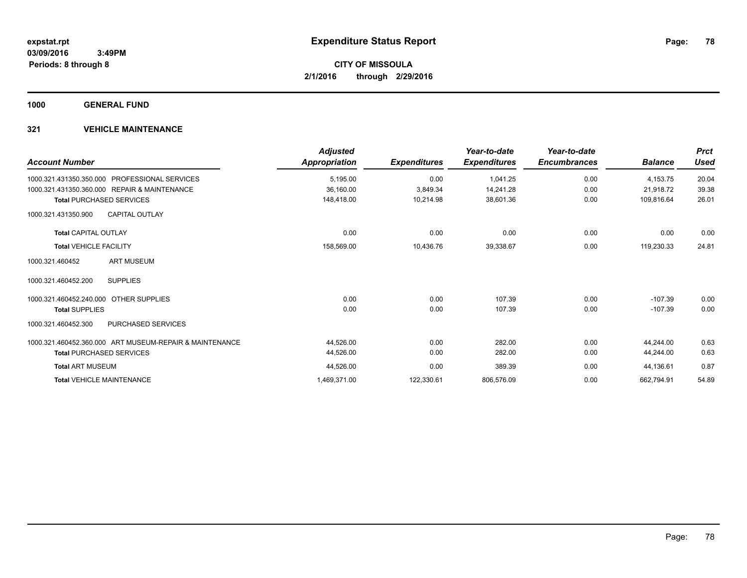**1000 GENERAL FUND**

| <b>Account Number</b>                                   | <b>Adjusted</b><br>Appropriation | <b>Expenditures</b> | Year-to-date<br><b>Expenditures</b> | Year-to-date<br><b>Encumbrances</b> | <b>Balance</b> | <b>Prct</b><br><b>Used</b> |
|---------------------------------------------------------|----------------------------------|---------------------|-------------------------------------|-------------------------------------|----------------|----------------------------|
| PROFESSIONAL SERVICES<br>1000.321.431350.350.000        | 5,195.00                         | 0.00                | 1,041.25                            | 0.00                                | 4,153.75       | 20.04                      |
| 1000.321.431350.360.000 REPAIR & MAINTENANCE            | 36,160.00                        | 3,849.34            | 14,241.28                           | 0.00                                | 21,918.72      | 39.38                      |
| <b>Total PURCHASED SERVICES</b>                         | 148.418.00                       | 10,214.98           | 38,601.36                           | 0.00                                | 109.816.64     | 26.01                      |
| <b>CAPITAL OUTLAY</b><br>1000.321.431350.900            |                                  |                     |                                     |                                     |                |                            |
| <b>Total CAPITAL OUTLAY</b>                             | 0.00                             | 0.00                | 0.00                                | 0.00                                | 0.00           | 0.00                       |
| <b>Total VEHICLE FACILITY</b>                           | 158,569.00                       | 10,436.76           | 39,338.67                           | 0.00                                | 119,230.33     | 24.81                      |
| <b>ART MUSEUM</b><br>1000.321.460452                    |                                  |                     |                                     |                                     |                |                            |
| <b>SUPPLIES</b><br>1000.321.460452.200                  |                                  |                     |                                     |                                     |                |                            |
| 1000.321.460452.240.000<br><b>OTHER SUPPLIES</b>        | 0.00                             | 0.00                | 107.39                              | 0.00                                | $-107.39$      | 0.00                       |
| <b>Total SUPPLIES</b>                                   | 0.00                             | 0.00                | 107.39                              | 0.00                                | $-107.39$      | 0.00                       |
| PURCHASED SERVICES<br>1000.321.460452.300               |                                  |                     |                                     |                                     |                |                            |
| 1000.321.460452.360.000 ART MUSEUM-REPAIR & MAINTENANCE | 44,526.00                        | 0.00                | 282.00                              | 0.00                                | 44.244.00      | 0.63                       |
| <b>Total PURCHASED SERVICES</b>                         | 44,526.00                        | 0.00                | 282.00                              | 0.00                                | 44,244.00      | 0.63                       |
| <b>Total ART MUSEUM</b>                                 | 44,526.00                        | 0.00                | 389.39                              | 0.00                                | 44,136.61      | 0.87                       |
| <b>Total VEHICLE MAINTENANCE</b>                        | 1,469,371.00                     | 122,330.61          | 806,576.09                          | 0.00                                | 662,794.91     | 54.89                      |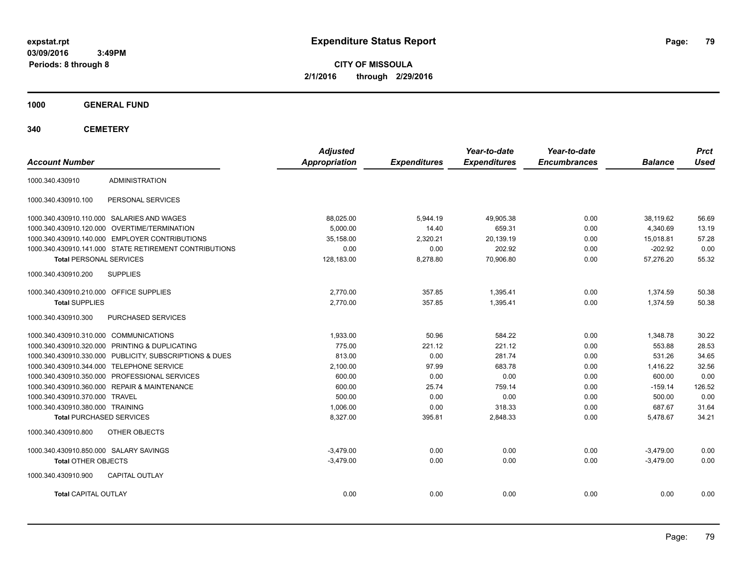**CITY OF MISSOULA 2/1/2016 through 2/29/2016**

**1000 GENERAL FUND**

| <b>Account Number</b>                                   | <b>Adjusted</b><br><b>Appropriation</b> | <b>Expenditures</b> | Year-to-date<br><b>Expenditures</b> | Year-to-date<br><b>Encumbrances</b> | <b>Balance</b> | <b>Prct</b><br><b>Used</b> |
|---------------------------------------------------------|-----------------------------------------|---------------------|-------------------------------------|-------------------------------------|----------------|----------------------------|
| <b>ADMINISTRATION</b><br>1000.340.430910                |                                         |                     |                                     |                                     |                |                            |
| 1000.340.430910.100<br>PERSONAL SERVICES                |                                         |                     |                                     |                                     |                |                            |
| 1000.340.430910.110.000 SALARIES AND WAGES              | 88,025.00                               | 5,944.19            | 49.905.38                           | 0.00                                | 38.119.62      | 56.69                      |
| 1000.340.430910.120.000 OVERTIME/TERMINATION            | 5.000.00                                | 14.40               | 659.31                              | 0.00                                | 4,340.69       | 13.19                      |
| 1000.340.430910.140.000 EMPLOYER CONTRIBUTIONS          | 35,158.00                               | 2,320.21            | 20,139.19                           | 0.00                                | 15,018.81      | 57.28                      |
| 1000.340.430910.141.000 STATE RETIREMENT CONTRIBUTIONS  | 0.00                                    | 0.00                | 202.92                              | 0.00                                | $-202.92$      | 0.00                       |
| <b>Total PERSONAL SERVICES</b>                          | 128,183.00                              | 8,278.80            | 70,906.80                           | 0.00                                | 57,276.20      | 55.32                      |
| <b>SUPPLIES</b><br>1000.340.430910.200                  |                                         |                     |                                     |                                     |                |                            |
| 1000.340.430910.210.000 OFFICE SUPPLIES                 | 2,770.00                                | 357.85              | 1,395.41                            | 0.00                                | 1,374.59       | 50.38                      |
| <b>Total SUPPLIES</b>                                   | 2.770.00                                | 357.85              | 1.395.41                            | 0.00                                | 1,374.59       | 50.38                      |
| 1000.340.430910.300<br>PURCHASED SERVICES               |                                         |                     |                                     |                                     |                |                            |
| 1000.340.430910.310.000 COMMUNICATIONS                  | 1,933.00                                | 50.96               | 584.22                              | 0.00                                | 1,348.78       | 30.22                      |
| 1000.340.430910.320.000 PRINTING & DUPLICATING          | 775.00                                  | 221.12              | 221.12                              | 0.00                                | 553.88         | 28.53                      |
| 1000.340.430910.330.000 PUBLICITY, SUBSCRIPTIONS & DUES | 813.00                                  | 0.00                | 281.74                              | 0.00                                | 531.26         | 34.65                      |
| 1000.340.430910.344.000 TELEPHONE SERVICE               | 2,100.00                                | 97.99               | 683.78                              | 0.00                                | 1,416.22       | 32.56                      |
| 1000.340.430910.350.000 PROFESSIONAL SERVICES           | 600.00                                  | 0.00                | 0.00                                | 0.00                                | 600.00         | 0.00                       |
| 1000.340.430910.360.000 REPAIR & MAINTENANCE            | 600.00                                  | 25.74               | 759.14                              | 0.00                                | $-159.14$      | 126.52                     |
| 1000.340.430910.370.000 TRAVEL                          | 500.00                                  | 0.00                | 0.00                                | 0.00                                | 500.00         | 0.00                       |
| 1000.340.430910.380.000 TRAINING                        | 1.006.00                                | 0.00                | 318.33                              | 0.00                                | 687.67         | 31.64                      |
| <b>Total PURCHASED SERVICES</b>                         | 8,327.00                                | 395.81              | 2,848.33                            | 0.00                                | 5,478.67       | 34.21                      |
| OTHER OBJECTS<br>1000.340.430910.800                    |                                         |                     |                                     |                                     |                |                            |
| 1000.340.430910.850.000 SALARY SAVINGS                  | $-3.479.00$                             | 0.00                | 0.00                                | 0.00                                | $-3.479.00$    | 0.00                       |
| <b>Total OTHER OBJECTS</b>                              | $-3,479.00$                             | 0.00                | 0.00                                | 0.00                                | $-3,479.00$    | 0.00                       |
| 1000.340.430910.900<br><b>CAPITAL OUTLAY</b>            |                                         |                     |                                     |                                     |                |                            |
| <b>Total CAPITAL OUTLAY</b>                             | 0.00                                    | 0.00                | 0.00                                | 0.00                                | 0.00           | 0.00                       |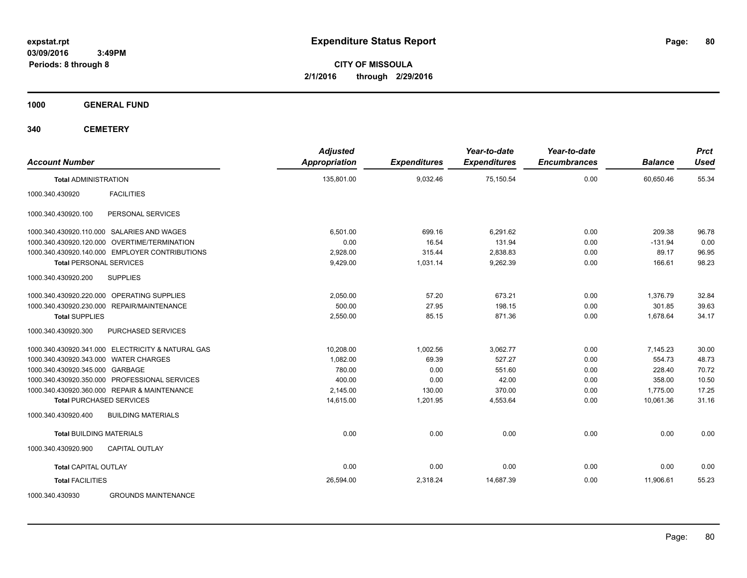**CITY OF MISSOULA 2/1/2016 through 2/29/2016**

**1000 GENERAL FUND**

| <b>Account Number</b>                                  | <b>Adjusted</b><br><b>Appropriation</b> | <b>Expenditures</b> | Year-to-date<br><b>Expenditures</b> | Year-to-date<br><b>Encumbrances</b> | <b>Balance</b> | <b>Prct</b><br><b>Used</b> |
|--------------------------------------------------------|-----------------------------------------|---------------------|-------------------------------------|-------------------------------------|----------------|----------------------------|
| <b>Total ADMINISTRATION</b>                            | 135,801.00                              | 9,032.46            | 75.150.54                           | 0.00                                | 60.650.46      | 55.34                      |
| <b>FACILITIES</b><br>1000.340.430920                   |                                         |                     |                                     |                                     |                |                            |
| PERSONAL SERVICES<br>1000.340.430920.100               |                                         |                     |                                     |                                     |                |                            |
| 1000.340.430920.110.000 SALARIES AND WAGES             | 6,501.00                                | 699.16              | 6.291.62                            | 0.00                                | 209.38         | 96.78                      |
| 1000.340.430920.120.000<br><b>OVERTIME/TERMINATION</b> | 0.00                                    | 16.54               | 131.94                              | 0.00                                | $-131.94$      | 0.00                       |
| 1000.340.430920.140.000 EMPLOYER CONTRIBUTIONS         | 2,928.00                                | 315.44              | 2,838.83                            | 0.00                                | 89.17          | 96.95                      |
| <b>Total PERSONAL SERVICES</b>                         | 9,429.00                                | 1,031.14            | 9,262.39                            | 0.00                                | 166.61         | 98.23                      |
| 1000.340.430920.200<br><b>SUPPLIES</b>                 |                                         |                     |                                     |                                     |                |                            |
| 1000.340.430920.220.000 OPERATING SUPPLIES             | 2,050.00                                | 57.20               | 673.21                              | 0.00                                | 1,376.79       | 32.84                      |
| 1000.340.430920.230.000 REPAIR/MAINTENANCE             | 500.00                                  | 27.95               | 198.15                              | 0.00                                | 301.85         | 39.63                      |
| <b>Total SUPPLIES</b>                                  | 2,550.00                                | 85.15               | 871.36                              | 0.00                                | 1,678.64       | 34.17                      |
| PURCHASED SERVICES<br>1000.340.430920.300              |                                         |                     |                                     |                                     |                |                            |
| 1000.340.430920.341.000 ELECTRICITY & NATURAL GAS      | 10,208.00                               | 1,002.56            | 3,062.77                            | 0.00                                | 7,145.23       | 30.00                      |
| 1000.340.430920.343.000 WATER CHARGES                  | 1.082.00                                | 69.39               | 527.27                              | 0.00                                | 554.73         | 48.73                      |
| 1000.340.430920.345.000 GARBAGE                        | 780.00                                  | 0.00                | 551.60                              | 0.00                                | 228.40         | 70.72                      |
| 1000.340.430920.350.000 PROFESSIONAL SERVICES          | 400.00                                  | 0.00                | 42.00                               | 0.00                                | 358.00         | 10.50                      |
| 1000.340.430920.360.000 REPAIR & MAINTENANCE           | 2.145.00                                | 130.00              | 370.00                              | 0.00                                | 1.775.00       | 17.25                      |
| <b>Total PURCHASED SERVICES</b>                        | 14,615.00                               | 1,201.95            | 4,553.64                            | 0.00                                | 10,061.36      | 31.16                      |
| <b>BUILDING MATERIALS</b><br>1000.340.430920.400       |                                         |                     |                                     |                                     |                |                            |
| <b>Total BUILDING MATERIALS</b>                        | 0.00                                    | 0.00                | 0.00                                | 0.00                                | 0.00           | 0.00                       |
| 1000.340.430920.900<br><b>CAPITAL OUTLAY</b>           |                                         |                     |                                     |                                     |                |                            |
| <b>Total CAPITAL OUTLAY</b>                            | 0.00                                    | 0.00                | 0.00                                | 0.00                                | 0.00           | 0.00                       |
| <b>Total FACILITIES</b>                                | 26,594.00                               | 2,318.24            | 14,687.39                           | 0.00                                | 11.906.61      | 55.23                      |
| 1000.340.430930<br><b>GROUNDS MAINTENANCE</b>          |                                         |                     |                                     |                                     |                |                            |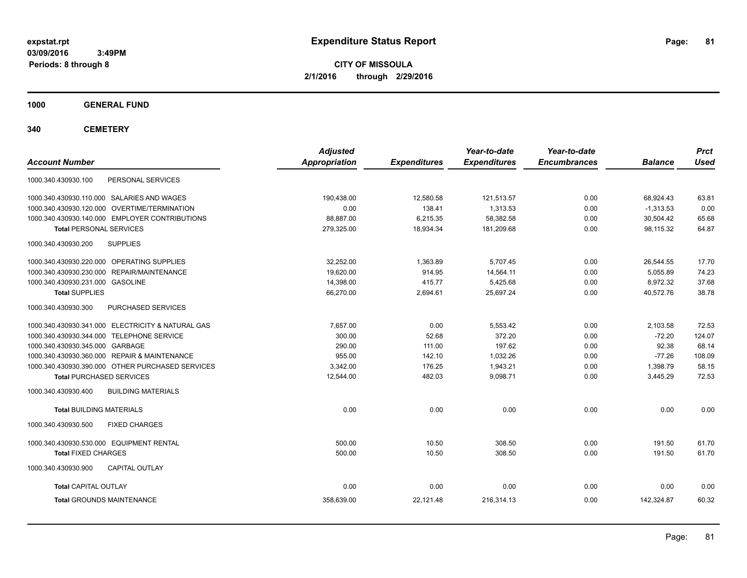**CITY OF MISSOULA 2/1/2016 through 2/29/2016**

**1000 GENERAL FUND**

| <b>Account Number</b>                             | <b>Adjusted</b><br><b>Appropriation</b> | <b>Expenditures</b> | Year-to-date<br><b>Expenditures</b> | Year-to-date<br><b>Encumbrances</b> | <b>Balance</b> | <b>Prct</b><br><b>Used</b> |
|---------------------------------------------------|-----------------------------------------|---------------------|-------------------------------------|-------------------------------------|----------------|----------------------------|
| PERSONAL SERVICES<br>1000.340.430930.100          |                                         |                     |                                     |                                     |                |                            |
| 1000.340.430930.110.000 SALARIES AND WAGES        | 190,438.00                              | 12,580.58           | 121,513.57                          | 0.00                                | 68,924.43      | 63.81                      |
| 1000.340.430930.120.000 OVERTIME/TERMINATION      | 0.00                                    | 138.41              | 1,313.53                            | 0.00                                | $-1,313.53$    | 0.00                       |
| 1000.340.430930.140.000 EMPLOYER CONTRIBUTIONS    | 88,887.00                               | 6,215.35            | 58,382.58                           | 0.00                                | 30,504.42      | 65.68                      |
| <b>Total PERSONAL SERVICES</b>                    | 279,325.00                              | 18,934.34           | 181,209.68                          | 0.00                                | 98.115.32      | 64.87                      |
| 1000.340.430930.200<br><b>SUPPLIES</b>            |                                         |                     |                                     |                                     |                |                            |
| 1000.340.430930.220.000 OPERATING SUPPLIES        | 32,252.00                               | 1,363.89            | 5,707.45                            | 0.00                                | 26,544.55      | 17.70                      |
| 1000.340.430930.230.000 REPAIR/MAINTENANCE        | 19,620.00                               | 914.95              | 14,564.11                           | 0.00                                | 5,055.89       | 74.23                      |
| 1000.340.430930.231.000 GASOLINE                  | 14,398.00                               | 415.77              | 5,425.68                            | 0.00                                | 8,972.32       | 37.68                      |
| <b>Total SUPPLIES</b>                             | 66,270.00                               | 2,694.61            | 25,697.24                           | 0.00                                | 40,572.76      | 38.78                      |
| 1000.340.430930.300<br>PURCHASED SERVICES         |                                         |                     |                                     |                                     |                |                            |
| 1000.340.430930.341.000 ELECTRICITY & NATURAL GAS | 7,657.00                                | 0.00                | 5,553.42                            | 0.00                                | 2,103.58       | 72.53                      |
| 1000.340.430930.344.000 TELEPHONE SERVICE         | 300.00                                  | 52.68               | 372.20                              | 0.00                                | $-72.20$       | 124.07                     |
| 1000.340.430930.345.000 GARBAGE                   | 290.00                                  | 111.00              | 197.62                              | 0.00                                | 92.38          | 68.14                      |
| 1000.340.430930.360.000 REPAIR & MAINTENANCE      | 955.00                                  | 142.10              | 1,032.26                            | 0.00                                | $-77.26$       | 108.09                     |
| 1000.340.430930.390.000 OTHER PURCHASED SERVICES  | 3,342.00                                | 176.25              | 1,943.21                            | 0.00                                | 1,398.79       | 58.15                      |
| <b>Total PURCHASED SERVICES</b>                   | 12,544.00                               | 482.03              | 9,098.71                            | 0.00                                | 3,445.29       | 72.53                      |
| 1000.340.430930.400<br><b>BUILDING MATERIALS</b>  |                                         |                     |                                     |                                     |                |                            |
| <b>Total BUILDING MATERIALS</b>                   | 0.00                                    | 0.00                | 0.00                                | 0.00                                | 0.00           | 0.00                       |
| 1000.340.430930.500<br><b>FIXED CHARGES</b>       |                                         |                     |                                     |                                     |                |                            |
| 1000.340.430930.530.000 EQUIPMENT RENTAL          | 500.00                                  | 10.50               | 308.50                              | 0.00                                | 191.50         | 61.70                      |
| <b>Total FIXED CHARGES</b>                        | 500.00                                  | 10.50               | 308.50                              | 0.00                                | 191.50         | 61.70                      |
| 1000.340.430930.900<br><b>CAPITAL OUTLAY</b>      |                                         |                     |                                     |                                     |                |                            |
| <b>Total CAPITAL OUTLAY</b>                       | 0.00                                    | 0.00                | 0.00                                | 0.00                                | 0.00           | 0.00                       |
| <b>Total GROUNDS MAINTENANCE</b>                  | 358,639.00                              | 22,121.48           | 216,314.13                          | 0.00                                | 142,324.87     | 60.32                      |
|                                                   |                                         |                     |                                     |                                     |                |                            |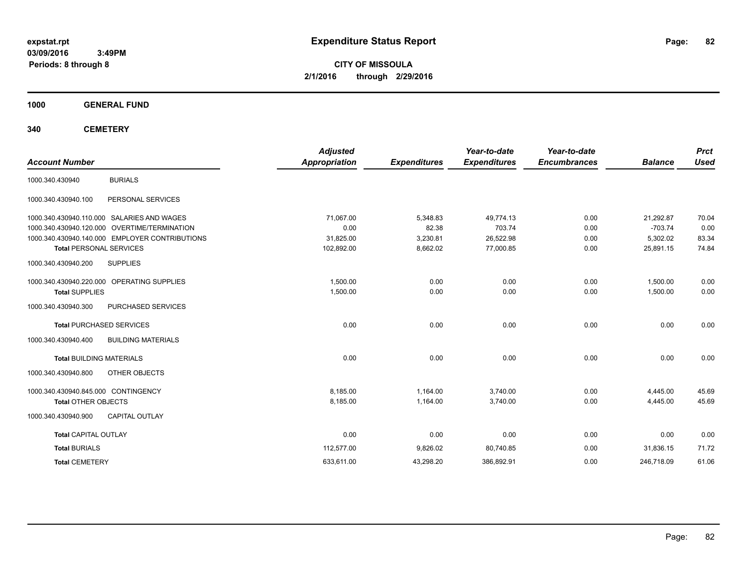**CITY OF MISSOULA 2/1/2016 through 2/29/2016**

**1000 GENERAL FUND**

| <b>Account Number</b>               |                                                | <b>Adjusted</b><br><b>Appropriation</b> | <b>Expenditures</b> | Year-to-date<br><b>Expenditures</b> | Year-to-date<br><b>Encumbrances</b> | <b>Balance</b> | <b>Prct</b><br><b>Used</b> |
|-------------------------------------|------------------------------------------------|-----------------------------------------|---------------------|-------------------------------------|-------------------------------------|----------------|----------------------------|
| 1000.340.430940                     | <b>BURIALS</b>                                 |                                         |                     |                                     |                                     |                |                            |
| 1000.340.430940.100                 | PERSONAL SERVICES                              |                                         |                     |                                     |                                     |                |                            |
|                                     | 1000.340.430940.110.000 SALARIES AND WAGES     | 71,067.00                               | 5,348.83            | 49,774.13                           | 0.00                                | 21,292.87      | 70.04                      |
|                                     | 1000.340.430940.120.000 OVERTIME/TERMINATION   | 0.00                                    | 82.38               | 703.74                              | 0.00                                | $-703.74$      | 0.00                       |
|                                     | 1000.340.430940.140.000 EMPLOYER CONTRIBUTIONS | 31,825.00                               | 3,230.81            | 26,522.98                           | 0.00                                | 5,302.02       | 83.34                      |
| <b>Total PERSONAL SERVICES</b>      |                                                | 102,892.00                              | 8,662.02            | 77,000.85                           | 0.00                                | 25,891.15      | 74.84                      |
| 1000.340.430940.200                 | <b>SUPPLIES</b>                                |                                         |                     |                                     |                                     |                |                            |
|                                     | 1000.340.430940.220.000 OPERATING SUPPLIES     | 1,500.00                                | 0.00                | 0.00                                | 0.00                                | 1,500.00       | 0.00                       |
| <b>Total SUPPLIES</b>               |                                                | 1,500.00                                | 0.00                | 0.00                                | 0.00                                | 1,500.00       | 0.00                       |
| 1000.340.430940.300                 | PURCHASED SERVICES                             |                                         |                     |                                     |                                     |                |                            |
|                                     | <b>Total PURCHASED SERVICES</b>                | 0.00                                    | 0.00                | 0.00                                | 0.00                                | 0.00           | 0.00                       |
| 1000.340.430940.400                 | <b>BUILDING MATERIALS</b>                      |                                         |                     |                                     |                                     |                |                            |
| <b>Total BUILDING MATERIALS</b>     |                                                | 0.00                                    | 0.00                | 0.00                                | 0.00                                | 0.00           | 0.00                       |
| 1000.340.430940.800                 | OTHER OBJECTS                                  |                                         |                     |                                     |                                     |                |                            |
| 1000.340.430940.845.000 CONTINGENCY |                                                | 8,185.00                                | 1,164.00            | 3,740.00                            | 0.00                                | 4,445.00       | 45.69                      |
| <b>Total OTHER OBJECTS</b>          |                                                | 8,185.00                                | 1,164.00            | 3,740.00                            | 0.00                                | 4,445.00       | 45.69                      |
| 1000.340.430940.900                 | <b>CAPITAL OUTLAY</b>                          |                                         |                     |                                     |                                     |                |                            |
| <b>Total CAPITAL OUTLAY</b>         |                                                | 0.00                                    | 0.00                | 0.00                                | 0.00                                | 0.00           | 0.00                       |
| <b>Total BURIALS</b>                |                                                | 112,577.00                              | 9,826.02            | 80,740.85                           | 0.00                                | 31,836.15      | 71.72                      |
| <b>Total CEMETERY</b>               |                                                | 633,611.00                              | 43,298.20           | 386,892.91                          | 0.00                                | 246,718.09     | 61.06                      |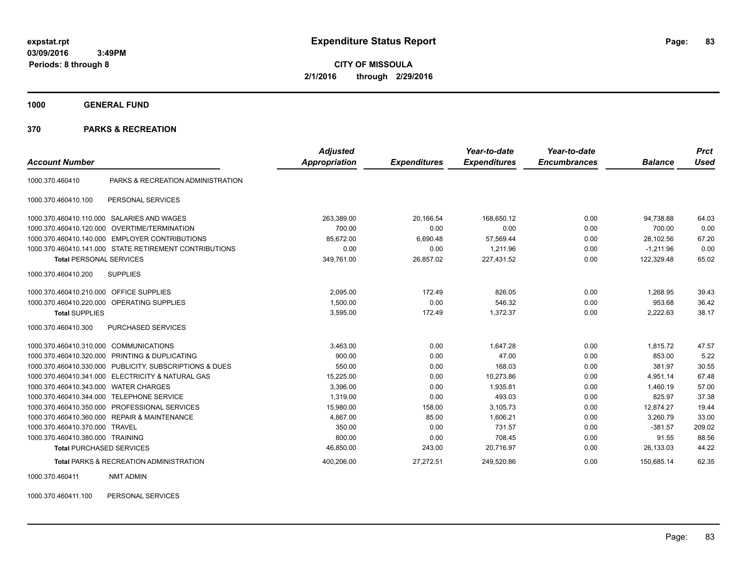**CITY OF MISSOULA 2/1/2016 through 2/29/2016**

**1000 GENERAL FUND**

#### **370 PARKS & RECREATION**

|                                            |                                                         | <b>Adjusted</b> |                     | Year-to-date        | Year-to-date        |                | <b>Prct</b> |
|--------------------------------------------|---------------------------------------------------------|-----------------|---------------------|---------------------|---------------------|----------------|-------------|
| <b>Account Number</b>                      |                                                         | Appropriation   | <b>Expenditures</b> | <b>Expenditures</b> | <b>Encumbrances</b> | <b>Balance</b> | <b>Used</b> |
| 1000.370.460410                            | PARKS & RECREATION ADMINISTRATION                       |                 |                     |                     |                     |                |             |
| 1000.370.460410.100                        | PERSONAL SERVICES                                       |                 |                     |                     |                     |                |             |
| 1000.370.460410.110.000                    | SALARIES AND WAGES                                      | 263,389.00      | 20,166.54           | 168,650.12          | 0.00                | 94,738.88      | 64.03       |
|                                            | 1000.370.460410.120.000 OVERTIME/TERMINATION            | 700.00          | 0.00                | 0.00                | 0.00                | 700.00         | 0.00        |
|                                            | 1000.370.460410.140.000 EMPLOYER CONTRIBUTIONS          | 85.672.00       | 6.690.48            | 57.569.44           | 0.00                | 28.102.56      | 67.20       |
|                                            | 1000.370.460410.141.000 STATE RETIREMENT CONTRIBUTIONS  | 0.00            | 0.00                | 1,211.96            | 0.00                | $-1,211.96$    | 0.00        |
| <b>Total PERSONAL SERVICES</b>             |                                                         | 349,761.00      | 26,857.02           | 227,431.52          | 0.00                | 122,329.48     | 65.02       |
| 1000.370.460410.200                        | <b>SUPPLIES</b>                                         |                 |                     |                     |                     |                |             |
| 1000.370.460410.210.000 OFFICE SUPPLIES    |                                                         | 2,095.00        | 172.49              | 826.05              | 0.00                | 1,268.95       | 39.43       |
| 1000.370.460410.220.000 OPERATING SUPPLIES |                                                         | 1,500.00        | 0.00                | 546.32              | 0.00                | 953.68         | 36.42       |
| <b>Total SUPPLIES</b>                      |                                                         | 3,595.00        | 172.49              | 1,372.37            | 0.00                | 2,222.63       | 38.17       |
| 1000.370.460410.300                        | <b>PURCHASED SERVICES</b>                               |                 |                     |                     |                     |                |             |
| 1000.370.460410.310.000 COMMUNICATIONS     |                                                         | 3,463.00        | 0.00                | 1.647.28            | 0.00                | 1.815.72       | 47.57       |
|                                            | 1000.370.460410.320.000 PRINTING & DUPLICATING          | 900.00          | 0.00                | 47.00               | 0.00                | 853.00         | 5.22        |
|                                            | 1000.370.460410.330.000 PUBLICITY, SUBSCRIPTIONS & DUES | 550.00          | 0.00                | 168.03              | 0.00                | 381.97         | 30.55       |
|                                            | 1000.370.460410.341.000 ELECTRICITY & NATURAL GAS       | 15,225.00       | 0.00                | 10,273.86           | 0.00                | 4,951.14       | 67.48       |
| 1000.370.460410.343.000 WATER CHARGES      |                                                         | 3,396.00        | 0.00                | 1,935.81            | 0.00                | 1,460.19       | 57.00       |
| 1000.370.460410.344.000 TELEPHONE SERVICE  |                                                         | 1.319.00        | 0.00                | 493.03              | 0.00                | 825.97         | 37.38       |
|                                            | 1000.370.460410.350.000 PROFESSIONAL SERVICES           | 15,980.00       | 158.00              | 3,105.73            | 0.00                | 12,874.27      | 19.44       |
|                                            | 1000.370.460410.360.000 REPAIR & MAINTENANCE            | 4,867.00        | 85.00               | 1,606.21            | 0.00                | 3,260.79       | 33.00       |
| 1000.370.460410.370.000 TRAVEL             |                                                         | 350.00          | 0.00                | 731.57              | 0.00                | $-381.57$      | 209.02      |
| 1000.370.460410.380.000 TRAINING           |                                                         | 800.00          | 0.00                | 708.45              | 0.00                | 91.55          | 88.56       |
| <b>Total PURCHASED SERVICES</b>            |                                                         | 46,850.00       | 243.00              | 20,716.97           | 0.00                | 26.133.03      | 44.22       |
|                                            | Total PARKS & RECREATION ADMINISTRATION                 | 400,206.00      | 27,272.51           | 249,520.86          | 0.00                | 150,685.14     | 62.35       |

1000.370.460411 NMT ADMIN

1000.370.460411.100 PERSONAL SERVICES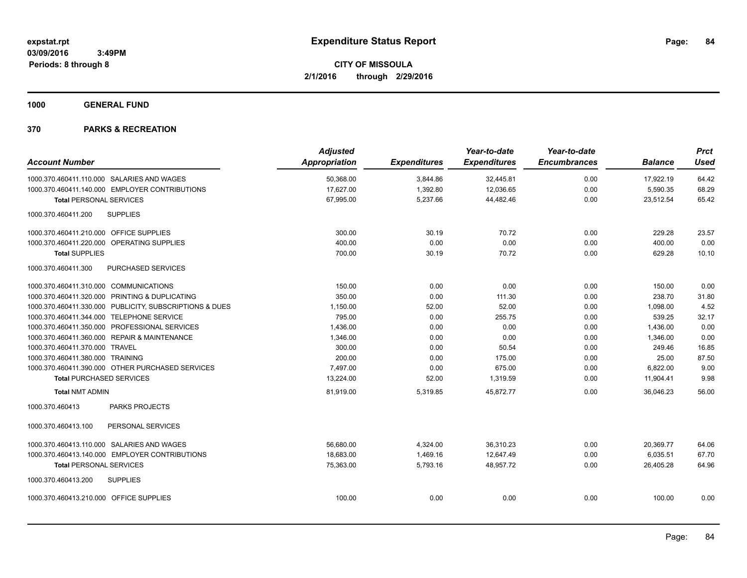**1000 GENERAL FUND**

|                                         |                                                         | <b>Adjusted</b>      |                     | Year-to-date        | Year-to-date        |                | <b>Prct</b> |
|-----------------------------------------|---------------------------------------------------------|----------------------|---------------------|---------------------|---------------------|----------------|-------------|
| <b>Account Number</b>                   |                                                         | <b>Appropriation</b> | <b>Expenditures</b> | <b>Expenditures</b> | <b>Encumbrances</b> | <b>Balance</b> | <b>Used</b> |
|                                         | 1000.370.460411.110.000 SALARIES AND WAGES              | 50,368.00            | 3,844.86            | 32,445.81           | 0.00                | 17,922.19      | 64.42       |
|                                         | 1000.370.460411.140.000 EMPLOYER CONTRIBUTIONS          | 17,627.00            | 1,392.80            | 12,036.65           | 0.00                | 5,590.35       | 68.29       |
| <b>Total PERSONAL SERVICES</b>          |                                                         | 67,995.00            | 5,237.66            | 44,482.46           | 0.00                | 23,512.54      | 65.42       |
| 1000.370.460411.200                     | <b>SUPPLIES</b>                                         |                      |                     |                     |                     |                |             |
| 1000.370.460411.210.000 OFFICE SUPPLIES |                                                         | 300.00               | 30.19               | 70.72               | 0.00                | 229.28         | 23.57       |
|                                         | 1000.370.460411.220.000 OPERATING SUPPLIES              | 400.00               | 0.00                | 0.00                | 0.00                | 400.00         | 0.00        |
| <b>Total SUPPLIES</b>                   |                                                         | 700.00               | 30.19               | 70.72               | 0.00                | 629.28         | 10.10       |
| 1000.370.460411.300                     | PURCHASED SERVICES                                      |                      |                     |                     |                     |                |             |
| 1000.370.460411.310.000 COMMUNICATIONS  |                                                         | 150.00               | 0.00                | 0.00                | 0.00                | 150.00         | 0.00        |
|                                         | 1000.370.460411.320.000 PRINTING & DUPLICATING          | 350.00               | 0.00                | 111.30              | 0.00                | 238.70         | 31.80       |
|                                         | 1000.370.460411.330.000 PUBLICITY, SUBSCRIPTIONS & DUES | 1,150.00             | 52.00               | 52.00               | 0.00                | 1,098.00       | 4.52        |
|                                         | 1000.370.460411.344.000 TELEPHONE SERVICE               | 795.00               | 0.00                | 255.75              | 0.00                | 539.25         | 32.17       |
|                                         | 1000.370.460411.350.000 PROFESSIONAL SERVICES           | 1,436.00             | 0.00                | 0.00                | 0.00                | 1,436.00       | 0.00        |
|                                         | 1000.370.460411.360.000 REPAIR & MAINTENANCE            | 1,346.00             | 0.00                | 0.00                | 0.00                | 1,346.00       | 0.00        |
| 1000.370.460411.370.000 TRAVEL          |                                                         | 300.00               | 0.00                | 50.54               | 0.00                | 249.46         | 16.85       |
| 1000.370.460411.380.000 TRAINING        |                                                         | 200.00               | 0.00                | 175.00              | 0.00                | 25.00          | 87.50       |
|                                         | 1000.370.460411.390.000 OTHER PURCHASED SERVICES        | 7,497.00             | 0.00                | 675.00              | 0.00                | 6,822.00       | 9.00        |
| <b>Total PURCHASED SERVICES</b>         |                                                         | 13,224.00            | 52.00               | 1,319.59            | 0.00                | 11,904.41      | 9.98        |
| <b>Total NMT ADMIN</b>                  |                                                         | 81,919.00            | 5,319.85            | 45,872.77           | 0.00                | 36,046.23      | 56.00       |
| 1000.370.460413                         | <b>PARKS PROJECTS</b>                                   |                      |                     |                     |                     |                |             |
| 1000.370.460413.100                     | PERSONAL SERVICES                                       |                      |                     |                     |                     |                |             |
|                                         | 1000.370.460413.110.000 SALARIES AND WAGES              | 56,680.00            | 4,324.00            | 36,310.23           | 0.00                | 20,369.77      | 64.06       |
|                                         | 1000.370.460413.140.000 EMPLOYER CONTRIBUTIONS          | 18.683.00            | 1,469.16            | 12.647.49           | 0.00                | 6,035.51       | 67.70       |
| <b>Total PERSONAL SERVICES</b>          |                                                         | 75,363.00            | 5,793.16            | 48,957.72           | 0.00                | 26,405.28      | 64.96       |
| 1000.370.460413.200                     | <b>SUPPLIES</b>                                         |                      |                     |                     |                     |                |             |
| 1000.370.460413.210.000 OFFICE SUPPLIES |                                                         | 100.00               | 0.00                | 0.00                | 0.00                | 100.00         | 0.00        |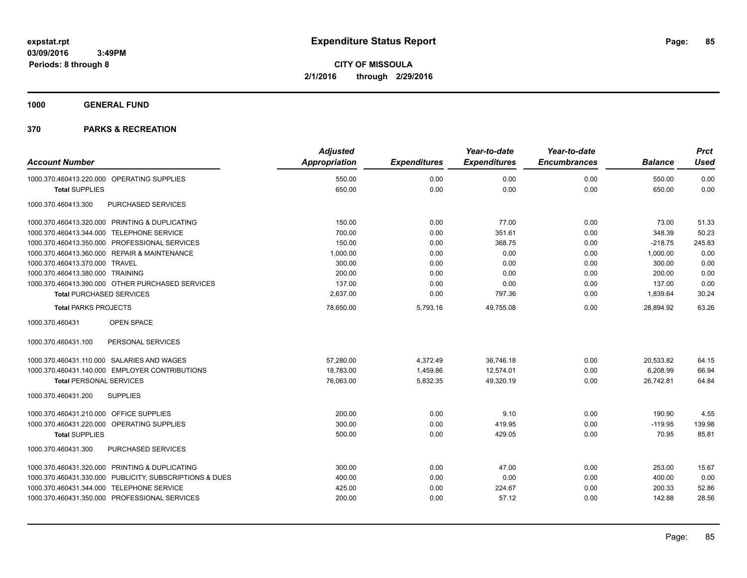**1000 GENERAL FUND**

|                                                         | <b>Adjusted</b>      |                     | Year-to-date        | Year-to-date        |                | <b>Prct</b> |
|---------------------------------------------------------|----------------------|---------------------|---------------------|---------------------|----------------|-------------|
| <b>Account Number</b>                                   | <b>Appropriation</b> | <b>Expenditures</b> | <b>Expenditures</b> | <b>Encumbrances</b> | <b>Balance</b> | <b>Used</b> |
| 1000.370.460413.220.000 OPERATING SUPPLIES              | 550.00               | 0.00                | 0.00                | 0.00                | 550.00         | 0.00        |
| <b>Total SUPPLIES</b>                                   | 650.00               | 0.00                | 0.00                | 0.00                | 650.00         | 0.00        |
| 1000.370.460413.300<br>PURCHASED SERVICES               |                      |                     |                     |                     |                |             |
| 1000.370.460413.320.000 PRINTING & DUPLICATING          | 150.00               | 0.00                | 77.00               | 0.00                | 73.00          | 51.33       |
| 1000.370.460413.344.000 TELEPHONE SERVICE               | 700.00               | 0.00                | 351.61              | 0.00                | 348.39         | 50.23       |
| 1000.370.460413.350.000 PROFESSIONAL SERVICES           | 150.00               | 0.00                | 368.75              | 0.00                | $-218.75$      | 245.83      |
| 1000.370.460413.360.000 REPAIR & MAINTENANCE            | 1,000.00             | 0.00                | 0.00                | 0.00                | 1,000.00       | 0.00        |
| 1000.370.460413.370.000 TRAVEL                          | 300.00               | 0.00                | 0.00                | 0.00                | 300.00         | 0.00        |
| 1000.370.460413.380.000 TRAINING                        | 200.00               | 0.00                | 0.00                | 0.00                | 200.00         | 0.00        |
| 1000.370.460413.390.000 OTHER PURCHASED SERVICES        | 137.00               | 0.00                | 0.00                | 0.00                | 137.00         | 0.00        |
| <b>Total PURCHASED SERVICES</b>                         | 2,637.00             | 0.00                | 797.36              | 0.00                | 1,839.64       | 30.24       |
| <b>Total PARKS PROJECTS</b>                             | 78,650.00            | 5,793.16            | 49,755.08           | 0.00                | 28,894.92      | 63.26       |
| <b>OPEN SPACE</b><br>1000.370.460431                    |                      |                     |                     |                     |                |             |
| PERSONAL SERVICES<br>1000.370.460431.100                |                      |                     |                     |                     |                |             |
| 1000.370.460431.110.000 SALARIES AND WAGES              | 57.280.00            | 4,372.49            | 36.746.18           | 0.00                | 20.533.82      | 64.15       |
| 1000.370.460431.140.000 EMPLOYER CONTRIBUTIONS          | 18,783.00            | 1.459.86            | 12,574.01           | 0.00                | 6,208.99       | 66.94       |
| <b>Total PERSONAL SERVICES</b>                          | 76,063.00            | 5,832.35            | 49,320.19           | 0.00                | 26,742.81      | 64.84       |
| <b>SUPPLIES</b><br>1000.370.460431.200                  |                      |                     |                     |                     |                |             |
| 1000.370.460431.210.000 OFFICE SUPPLIES                 | 200.00               | 0.00                | 9.10                | 0.00                | 190.90         | 4.55        |
| 1000.370.460431.220.000 OPERATING SUPPLIES              | 300.00               | 0.00                | 419.95              | 0.00                | $-119.95$      | 139.98      |
| <b>Total SUPPLIES</b>                                   | 500.00               | 0.00                | 429.05              | 0.00                | 70.95          | 85.81       |
| PURCHASED SERVICES<br>1000.370.460431.300               |                      |                     |                     |                     |                |             |
| 1000.370.460431.320.000 PRINTING & DUPLICATING          | 300.00               | 0.00                | 47.00               | 0.00                | 253.00         | 15.67       |
| 1000.370.460431.330.000 PUBLICITY, SUBSCRIPTIONS & DUES | 400.00               | 0.00                | 0.00                | 0.00                | 400.00         | 0.00        |
| 1000.370.460431.344.000 TELEPHONE SERVICE               | 425.00               | 0.00                | 224.67              | 0.00                | 200.33         | 52.86       |
| 1000.370.460431.350.000 PROFESSIONAL SERVICES           | 200.00               | 0.00                | 57.12               | 0.00                | 142.88         | 28.56       |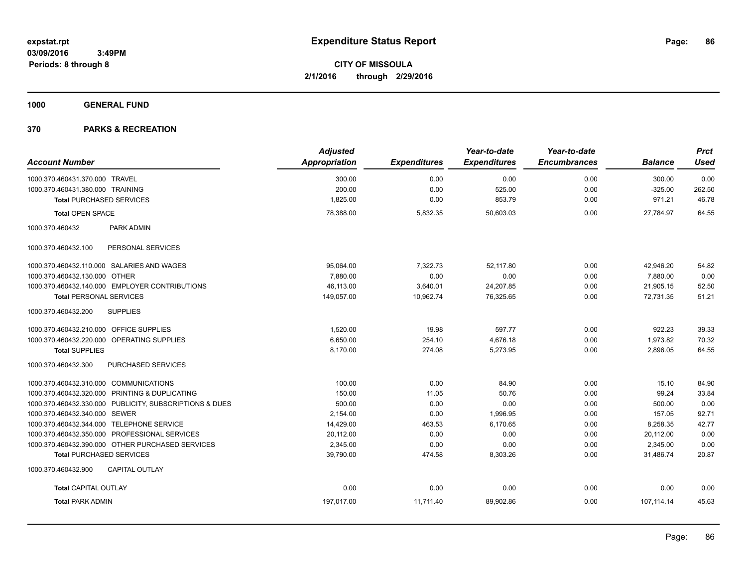**1000 GENERAL FUND**

|                                                         | <b>Adjusted</b>      |                     | Year-to-date        | Year-to-date        |                | <b>Prct</b> |
|---------------------------------------------------------|----------------------|---------------------|---------------------|---------------------|----------------|-------------|
| <b>Account Number</b>                                   | <b>Appropriation</b> | <b>Expenditures</b> | <b>Expenditures</b> | <b>Encumbrances</b> | <b>Balance</b> | <b>Used</b> |
| 1000.370.460431.370.000 TRAVEL                          | 300.00               | 0.00                | 0.00                | 0.00                | 300.00         | 0.00        |
| 1000.370.460431.380.000 TRAINING                        | 200.00               | 0.00                | 525.00              | 0.00                | $-325.00$      | 262.50      |
| <b>Total PURCHASED SERVICES</b>                         | 1,825.00             | 0.00                | 853.79              | 0.00                | 971.21         | 46.78       |
| <b>Total OPEN SPACE</b>                                 | 78.388.00            | 5,832.35            | 50.603.03           | 0.00                | 27.784.97      | 64.55       |
| 1000.370.460432<br>PARK ADMIN                           |                      |                     |                     |                     |                |             |
| 1000.370.460432.100<br>PERSONAL SERVICES                |                      |                     |                     |                     |                |             |
| 1000.370.460432.110.000 SALARIES AND WAGES              | 95,064.00            | 7,322.73            | 52,117.80           | 0.00                | 42,946.20      | 54.82       |
| 1000.370.460432.130.000 OTHER                           | 7,880.00             | 0.00                | 0.00                | 0.00                | 7,880.00       | 0.00        |
| 1000.370.460432.140.000 EMPLOYER CONTRIBUTIONS          | 46,113.00            | 3,640.01            | 24,207.85           | 0.00                | 21,905.15      | 52.50       |
| <b>Total PERSONAL SERVICES</b>                          | 149,057.00           | 10,962.74           | 76,325.65           | 0.00                | 72,731.35      | 51.21       |
| 1000.370.460432.200<br><b>SUPPLIES</b>                  |                      |                     |                     |                     |                |             |
| 1000.370.460432.210.000 OFFICE SUPPLIES                 | 1,520.00             | 19.98               | 597.77              | 0.00                | 922.23         | 39.33       |
| 1000.370.460432.220.000 OPERATING SUPPLIES              | 6.650.00             | 254.10              | 4,676.18            | 0.00                | 1.973.82       | 70.32       |
| <b>Total SUPPLIES</b>                                   | 8,170.00             | 274.08              | 5,273.95            | 0.00                | 2,896.05       | 64.55       |
| PURCHASED SERVICES<br>1000.370.460432.300               |                      |                     |                     |                     |                |             |
| 1000.370.460432.310.000 COMMUNICATIONS                  | 100.00               | 0.00                | 84.90               | 0.00                | 15.10          | 84.90       |
| 1000.370.460432.320.000 PRINTING & DUPLICATING          | 150.00               | 11.05               | 50.76               | 0.00                | 99.24          | 33.84       |
| 1000.370.460432.330.000 PUBLICITY, SUBSCRIPTIONS & DUES | 500.00               | 0.00                | 0.00                | 0.00                | 500.00         | 0.00        |
| 1000.370.460432.340.000 SEWER                           | 2,154.00             | 0.00                | 1,996.95            | 0.00                | 157.05         | 92.71       |
| 1000.370.460432.344.000 TELEPHONE SERVICE               | 14,429.00            | 463.53              | 6,170.65            | 0.00                | 8,258.35       | 42.77       |
| 1000.370.460432.350.000 PROFESSIONAL SERVICES           | 20,112.00            | 0.00                | 0.00                | 0.00                | 20,112.00      | 0.00        |
| 1000.370.460432.390.000 OTHER PURCHASED SERVICES        | 2,345.00             | 0.00                | 0.00                | 0.00                | 2,345.00       | 0.00        |
| <b>Total PURCHASED SERVICES</b>                         | 39,790.00            | 474.58              | 8,303.26            | 0.00                | 31,486.74      | 20.87       |
| 1000.370.460432.900<br><b>CAPITAL OUTLAY</b>            |                      |                     |                     |                     |                |             |
| <b>Total CAPITAL OUTLAY</b>                             | 0.00                 | 0.00                | 0.00                | 0.00                | 0.00           | 0.00        |
| <b>Total PARK ADMIN</b>                                 | 197,017.00           | 11,711.40           | 89,902.86           | 0.00                | 107,114.14     | 45.63       |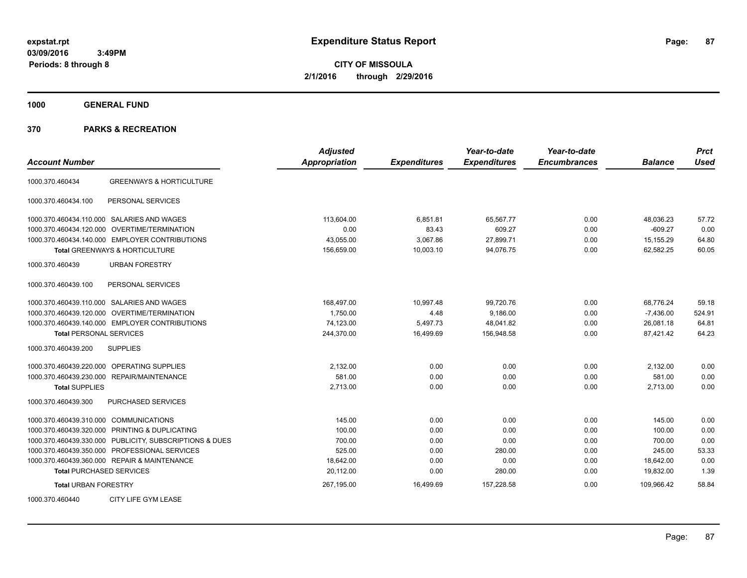**CITY OF MISSOULA 2/1/2016 through 2/29/2016**

**1000 GENERAL FUND**

|                                        |                                                         | <b>Adjusted</b> |                     | Year-to-date        | Year-to-date        |                | <b>Prct</b> |
|----------------------------------------|---------------------------------------------------------|-----------------|---------------------|---------------------|---------------------|----------------|-------------|
| <b>Account Number</b>                  |                                                         | Appropriation   | <b>Expenditures</b> | <b>Expenditures</b> | <b>Encumbrances</b> | <b>Balance</b> | <b>Used</b> |
| 1000.370.460434                        | <b>GREENWAYS &amp; HORTICULTURE</b>                     |                 |                     |                     |                     |                |             |
| 1000.370.460434.100                    | PERSONAL SERVICES                                       |                 |                     |                     |                     |                |             |
|                                        | 1000.370.460434.110.000 SALARIES AND WAGES              | 113,604.00      | 6,851.81            | 65,567.77           | 0.00                | 48,036.23      | 57.72       |
|                                        | 1000.370.460434.120.000 OVERTIME/TERMINATION            | 0.00            | 83.43               | 609.27              | 0.00                | $-609.27$      | 0.00        |
|                                        | 1000.370.460434.140.000 EMPLOYER CONTRIBUTIONS          | 43,055.00       | 3,067.86            | 27,899.71           | 0.00                | 15,155.29      | 64.80       |
|                                        | <b>Total GREENWAYS &amp; HORTICULTURE</b>               | 156,659.00      | 10,003.10           | 94,076.75           | 0.00                | 62.582.25      | 60.05       |
| 1000.370.460439                        | <b>URBAN FORESTRY</b>                                   |                 |                     |                     |                     |                |             |
| 1000.370.460439.100                    | PERSONAL SERVICES                                       |                 |                     |                     |                     |                |             |
|                                        | 1000.370.460439.110.000 SALARIES AND WAGES              | 168,497.00      | 10,997.48           | 99,720.76           | 0.00                | 68,776.24      | 59.18       |
|                                        | 1000.370.460439.120.000 OVERTIME/TERMINATION            | 1,750.00        | 4.48                | 9,186.00            | 0.00                | $-7,436.00$    | 524.91      |
|                                        | 1000.370.460439.140.000 EMPLOYER CONTRIBUTIONS          | 74,123.00       | 5,497.73            | 48,041.82           | 0.00                | 26,081.18      | 64.81       |
| <b>Total PERSONAL SERVICES</b>         |                                                         | 244,370.00      | 16,499.69           | 156,948.58          | 0.00                | 87,421.42      | 64.23       |
| 1000.370.460439.200                    | <b>SUPPLIES</b>                                         |                 |                     |                     |                     |                |             |
|                                        | 1000.370.460439.220.000 OPERATING SUPPLIES              | 2,132.00        | 0.00                | 0.00                | 0.00                | 2,132.00       | 0.00        |
|                                        | 1000.370.460439.230.000 REPAIR/MAINTENANCE              | 581.00          | 0.00                | 0.00                | 0.00                | 581.00         | 0.00        |
| <b>Total SUPPLIES</b>                  |                                                         | 2,713.00        | 0.00                | 0.00                | 0.00                | 2,713.00       | 0.00        |
| 1000.370.460439.300                    | <b>PURCHASED SERVICES</b>                               |                 |                     |                     |                     |                |             |
| 1000.370.460439.310.000 COMMUNICATIONS |                                                         | 145.00          | 0.00                | 0.00                | 0.00                | 145.00         | 0.00        |
|                                        | 1000.370.460439.320.000 PRINTING & DUPLICATING          | 100.00          | 0.00                | 0.00                | 0.00                | 100.00         | 0.00        |
|                                        | 1000.370.460439.330.000 PUBLICITY, SUBSCRIPTIONS & DUES | 700.00          | 0.00                | 0.00                | 0.00                | 700.00         | 0.00        |
|                                        | 1000.370.460439.350.000 PROFESSIONAL SERVICES           | 525.00          | 0.00                | 280.00              | 0.00                | 245.00         | 53.33       |
|                                        | 1000.370.460439.360.000 REPAIR & MAINTENANCE            | 18,642.00       | 0.00                | 0.00                | 0.00                | 18,642.00      | 0.00        |
| <b>Total PURCHASED SERVICES</b>        |                                                         | 20,112.00       | 0.00                | 280.00              | 0.00                | 19,832.00      | 1.39        |
| <b>Total URBAN FORESTRY</b>            |                                                         | 267,195.00      | 16,499.69           | 157,228.58          | 0.00                | 109.966.42     | 58.84       |
| 1000.370.460440                        | CITY LIFE GYM LEASE                                     |                 |                     |                     |                     |                |             |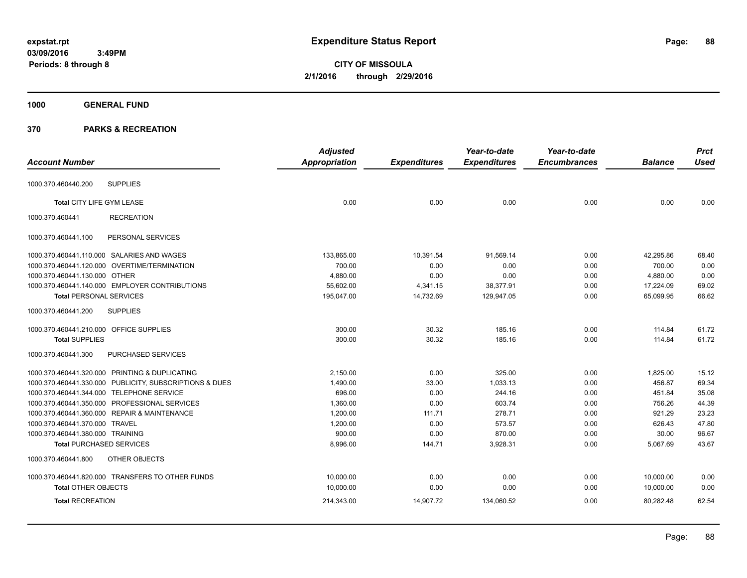**CITY OF MISSOULA 2/1/2016 through 2/29/2016**

### **1000 GENERAL FUND**

|                                         |                                                         | <b>Adjusted</b> |                     | Year-to-date        | Year-to-date        |                | <b>Prct</b> |
|-----------------------------------------|---------------------------------------------------------|-----------------|---------------------|---------------------|---------------------|----------------|-------------|
| <b>Account Number</b>                   |                                                         | Appropriation   | <b>Expenditures</b> | <b>Expenditures</b> | <b>Encumbrances</b> | <b>Balance</b> | <b>Used</b> |
|                                         | <b>SUPPLIES</b>                                         |                 |                     |                     |                     |                |             |
| 1000.370.460440.200                     |                                                         |                 |                     |                     |                     |                |             |
| Total CITY LIFE GYM LEASE               |                                                         | 0.00            | 0.00                | 0.00                | 0.00                | 0.00           | 0.00        |
| 1000.370.460441                         | <b>RECREATION</b>                                       |                 |                     |                     |                     |                |             |
| 1000.370.460441.100                     | PERSONAL SERVICES                                       |                 |                     |                     |                     |                |             |
|                                         | 1000.370.460441.110.000 SALARIES AND WAGES              | 133,865.00      | 10,391.54           | 91,569.14           | 0.00                | 42,295.86      | 68.40       |
|                                         | 1000.370.460441.120.000 OVERTIME/TERMINATION            | 700.00          | 0.00                | 0.00                | 0.00                | 700.00         | 0.00        |
| 1000.370.460441.130.000 OTHER           |                                                         | 4.880.00        | 0.00                | 0.00                | 0.00                | 4.880.00       | 0.00        |
|                                         | 1000.370.460441.140.000 EMPLOYER CONTRIBUTIONS          | 55,602.00       | 4,341.15            | 38,377.91           | 0.00                | 17,224.09      | 69.02       |
| <b>Total PERSONAL SERVICES</b>          |                                                         | 195,047.00      | 14,732.69           | 129,947.05          | 0.00                | 65,099.95      | 66.62       |
| 1000.370.460441.200                     | <b>SUPPLIES</b>                                         |                 |                     |                     |                     |                |             |
| 1000.370.460441.210.000 OFFICE SUPPLIES |                                                         | 300.00          | 30.32               | 185.16              | 0.00                | 114.84         | 61.72       |
| <b>Total SUPPLIES</b>                   |                                                         | 300.00          | 30.32               | 185.16              | 0.00                | 114.84         | 61.72       |
| 1000.370.460441.300                     | PURCHASED SERVICES                                      |                 |                     |                     |                     |                |             |
|                                         | 1000.370.460441.320.000 PRINTING & DUPLICATING          | 2,150.00        | 0.00                | 325.00              | 0.00                | 1,825.00       | 15.12       |
|                                         | 1000.370.460441.330.000 PUBLICITY, SUBSCRIPTIONS & DUES | 1,490.00        | 33.00               | 1.033.13            | 0.00                | 456.87         | 69.34       |
|                                         | 1000.370.460441.344.000 TELEPHONE SERVICE               | 696.00          | 0.00                | 244.16              | 0.00                | 451.84         | 35.08       |
|                                         | 1000.370.460441.350.000 PROFESSIONAL SERVICES           | 1,360.00        | 0.00                | 603.74              | 0.00                | 756.26         | 44.39       |
|                                         | 1000.370.460441.360.000 REPAIR & MAINTENANCE            | 1,200.00        | 111.71              | 278.71              | 0.00                | 921.29         | 23.23       |
| 1000.370.460441.370.000 TRAVEL          |                                                         | 1,200.00        | 0.00                | 573.57              | 0.00                | 626.43         | 47.80       |
| 1000.370.460441.380.000 TRAINING        |                                                         | 900.00          | 0.00                | 870.00              | 0.00                | 30.00          | 96.67       |
| <b>Total PURCHASED SERVICES</b>         |                                                         | 8,996.00        | 144.71              | 3,928.31            | 0.00                | 5,067.69       | 43.67       |
| 1000.370.460441.800                     | OTHER OBJECTS                                           |                 |                     |                     |                     |                |             |
|                                         | 1000.370.460441.820.000 TRANSFERS TO OTHER FUNDS        | 10,000.00       | 0.00                | 0.00                | 0.00                | 10,000.00      | 0.00        |
| <b>Total OTHER OBJECTS</b>              |                                                         | 10,000.00       | 0.00                | 0.00                | 0.00                | 10,000.00      | 0.00        |
| <b>Total RECREATION</b>                 |                                                         | 214,343.00      | 14,907.72           | 134,060.52          | 0.00                | 80,282.48      | 62.54       |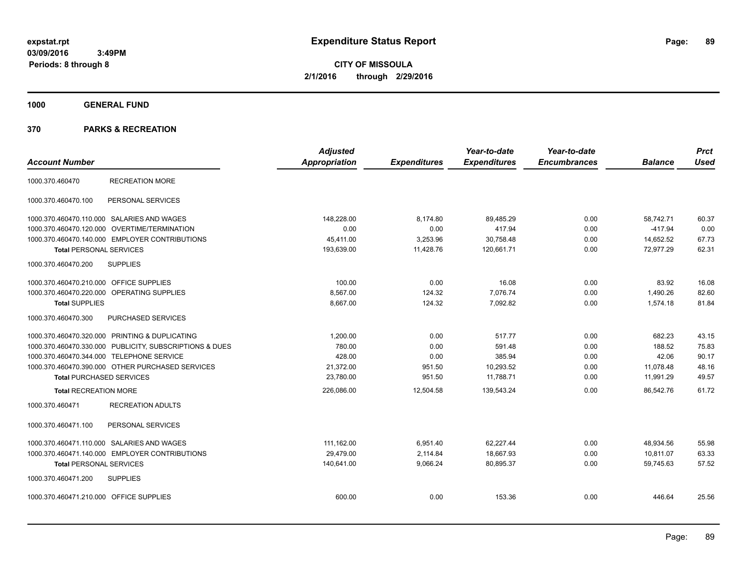**CITY OF MISSOULA 2/1/2016 through 2/29/2016**

**1000 GENERAL FUND**

| <b>Account Number</b>                                   | <b>Adjusted</b><br><b>Appropriation</b> | <b>Expenditures</b> | Year-to-date<br><b>Expenditures</b> | Year-to-date<br><b>Encumbrances</b> | <b>Balance</b> | <b>Prct</b><br><b>Used</b> |
|---------------------------------------------------------|-----------------------------------------|---------------------|-------------------------------------|-------------------------------------|----------------|----------------------------|
| <b>RECREATION MORE</b><br>1000.370.460470               |                                         |                     |                                     |                                     |                |                            |
| 1000.370.460470.100<br>PERSONAL SERVICES                |                                         |                     |                                     |                                     |                |                            |
| 1000.370.460470.110.000 SALARIES AND WAGES              | 148.228.00                              | 8,174.80            | 89,485.29                           | 0.00                                | 58,742.71      | 60.37                      |
| 1000.370.460470.120.000 OVERTIME/TERMINATION            | 0.00                                    | 0.00                | 417.94                              | 0.00                                | $-417.94$      | 0.00                       |
| 1000.370.460470.140.000 EMPLOYER CONTRIBUTIONS          | 45,411.00                               | 3,253.96            | 30,758.48                           | 0.00                                | 14,652.52      | 67.73                      |
| <b>Total PERSONAL SERVICES</b>                          | 193,639.00                              | 11,428.76           | 120,661.71                          | 0.00                                | 72,977.29      | 62.31                      |
| <b>SUPPLIES</b><br>1000.370.460470.200                  |                                         |                     |                                     |                                     |                |                            |
| 1000.370.460470.210.000 OFFICE SUPPLIES                 | 100.00                                  | 0.00                | 16.08                               | 0.00                                | 83.92          | 16.08                      |
| 1000.370.460470.220.000 OPERATING SUPPLIES              | 8,567.00                                | 124.32              | 7,076.74                            | 0.00                                | 1,490.26       | 82.60                      |
| <b>Total SUPPLIES</b>                                   | 8,667.00                                | 124.32              | 7,092.82                            | 0.00                                | 1,574.18       | 81.84                      |
| 1000.370.460470.300<br><b>PURCHASED SERVICES</b>        |                                         |                     |                                     |                                     |                |                            |
| 1000.370.460470.320.000 PRINTING & DUPLICATING          | 1,200.00                                | 0.00                | 517.77                              | 0.00                                | 682.23         | 43.15                      |
| 1000.370.460470.330.000 PUBLICITY, SUBSCRIPTIONS & DUES | 780.00                                  | 0.00                | 591.48                              | 0.00                                | 188.52         | 75.83                      |
| 1000.370.460470.344.000 TELEPHONE SERVICE               | 428.00                                  | 0.00                | 385.94                              | 0.00                                | 42.06          | 90.17                      |
| 1000.370.460470.390.000 OTHER PURCHASED SERVICES        | 21,372.00                               | 951.50              | 10.293.52                           | 0.00                                | 11,078.48      | 48.16                      |
| <b>Total PURCHASED SERVICES</b>                         | 23,780.00                               | 951.50              | 11,788.71                           | 0.00                                | 11,991.29      | 49.57                      |
| <b>Total RECREATION MORE</b>                            | 226,086.00                              | 12,504.58           | 139,543.24                          | 0.00                                | 86,542.76      | 61.72                      |
| 1000.370.460471<br><b>RECREATION ADULTS</b>             |                                         |                     |                                     |                                     |                |                            |
| PERSONAL SERVICES<br>1000.370.460471.100                |                                         |                     |                                     |                                     |                |                            |
| 1000.370.460471.110.000 SALARIES AND WAGES              | 111,162.00                              | 6,951.40            | 62,227.44                           | 0.00                                | 48,934.56      | 55.98                      |
| 1000.370.460471.140.000 EMPLOYER CONTRIBUTIONS          | 29.479.00                               | 2,114.84            | 18.667.93                           | 0.00                                | 10.811.07      | 63.33                      |
| <b>Total PERSONAL SERVICES</b>                          | 140,641.00                              | 9,066.24            | 80,895.37                           | 0.00                                | 59.745.63      | 57.52                      |
| 1000.370.460471.200<br><b>SUPPLIES</b>                  |                                         |                     |                                     |                                     |                |                            |
| 1000.370.460471.210.000 OFFICE SUPPLIES                 | 600.00                                  | 0.00                | 153.36                              | 0.00                                | 446.64         | 25.56                      |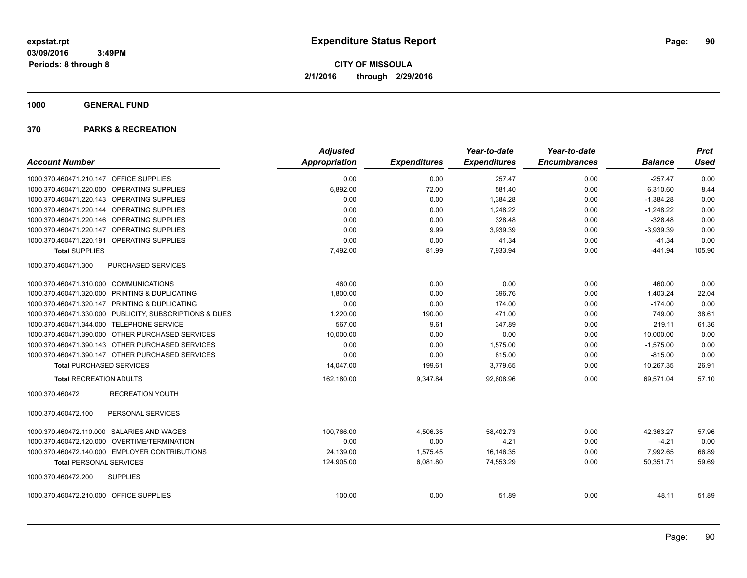**1000 GENERAL FUND**

|                                                         | <b>Adjusted</b>      |                     | Year-to-date        | Year-to-date        |                | <b>Prct</b> |
|---------------------------------------------------------|----------------------|---------------------|---------------------|---------------------|----------------|-------------|
| <b>Account Number</b>                                   | <b>Appropriation</b> | <b>Expenditures</b> | <b>Expenditures</b> | <b>Encumbrances</b> | <b>Balance</b> | <b>Used</b> |
| 1000.370.460471.210.147 OFFICE SUPPLIES                 | 0.00                 | 0.00                | 257.47              | 0.00                | $-257.47$      | 0.00        |
| 1000.370.460471.220.000 OPERATING SUPPLIES              | 6,892.00             | 72.00               | 581.40              | 0.00                | 6,310.60       | 8.44        |
| 1000.370.460471.220.143 OPERATING SUPPLIES              | 0.00                 | 0.00                | 1,384.28            | 0.00                | $-1,384.28$    | 0.00        |
| 1000.370.460471.220.144 OPERATING SUPPLIES              | 0.00                 | 0.00                | 1,248.22            | 0.00                | $-1,248.22$    | 0.00        |
| 1000.370.460471.220.146 OPERATING SUPPLIES              | 0.00                 | 0.00                | 328.48              | 0.00                | $-328.48$      | 0.00        |
| 1000.370.460471.220.147 OPERATING SUPPLIES              | 0.00                 | 9.99                | 3,939.39            | 0.00                | $-3,939.39$    | 0.00        |
| 1000.370.460471.220.191 OPERATING SUPPLIES              | 0.00                 | 0.00                | 41.34               | 0.00                | $-41.34$       | 0.00        |
| <b>Total SUPPLIES</b>                                   | 7,492.00             | 81.99               | 7,933.94            | 0.00                | $-441.94$      | 105.90      |
| PURCHASED SERVICES<br>1000.370.460471.300               |                      |                     |                     |                     |                |             |
| 1000.370.460471.310.000 COMMUNICATIONS                  | 460.00               | 0.00                | 0.00                | 0.00                | 460.00         | 0.00        |
| 1000.370.460471.320.000 PRINTING & DUPLICATING          | 1,800.00             | 0.00                | 396.76              | 0.00                | 1.403.24       | 22.04       |
| 1000.370.460471.320.147 PRINTING & DUPLICATING          | 0.00                 | 0.00                | 174.00              | 0.00                | $-174.00$      | 0.00        |
| 1000.370.460471.330.000 PUBLICITY, SUBSCRIPTIONS & DUES | 1,220.00             | 190.00              | 471.00              | 0.00                | 749.00         | 38.61       |
| 1000.370.460471.344.000 TELEPHONE SERVICE               | 567.00               | 9.61                | 347.89              | 0.00                | 219.11         | 61.36       |
| 1000.370.460471.390.000 OTHER PURCHASED SERVICES        | 10,000.00            | 0.00                | 0.00                | 0.00                | 10,000.00      | 0.00        |
| 1000.370.460471.390.143 OTHER PURCHASED SERVICES        | 0.00                 | 0.00                | 1,575.00            | 0.00                | $-1,575.00$    | 0.00        |
| 1000.370.460471.390.147 OTHER PURCHASED SERVICES        | 0.00                 | 0.00                | 815.00              | 0.00                | $-815.00$      | 0.00        |
| <b>Total PURCHASED SERVICES</b>                         | 14,047.00            | 199.61              | 3,779.65            | 0.00                | 10,267.35      | 26.91       |
| <b>Total RECREATION ADULTS</b>                          | 162,180.00           | 9,347.84            | 92,608.96           | 0.00                | 69,571.04      | 57.10       |
| <b>RECREATION YOUTH</b><br>1000.370.460472              |                      |                     |                     |                     |                |             |
| 1000.370.460472.100<br>PERSONAL SERVICES                |                      |                     |                     |                     |                |             |
| 1000.370.460472.110.000 SALARIES AND WAGES              | 100,766.00           | 4,506.35            | 58,402.73           | 0.00                | 42,363.27      | 57.96       |
| 1000.370.460472.120.000 OVERTIME/TERMINATION            | 0.00                 | 0.00                | 4.21                | 0.00                | $-4.21$        | 0.00        |
| 1000.370.460472.140.000 EMPLOYER CONTRIBUTIONS          | 24.139.00            | 1,575.45            | 16,146.35           | 0.00                | 7,992.65       | 66.89       |
| <b>Total PERSONAL SERVICES</b>                          | 124,905.00           | 6,081.80            | 74,553.29           | 0.00                | 50,351.71      | 59.69       |
| 1000.370.460472.200<br><b>SUPPLIES</b>                  |                      |                     |                     |                     |                |             |
| 1000.370.460472.210.000 OFFICE SUPPLIES                 | 100.00               | 0.00                | 51.89               | 0.00                | 48.11          | 51.89       |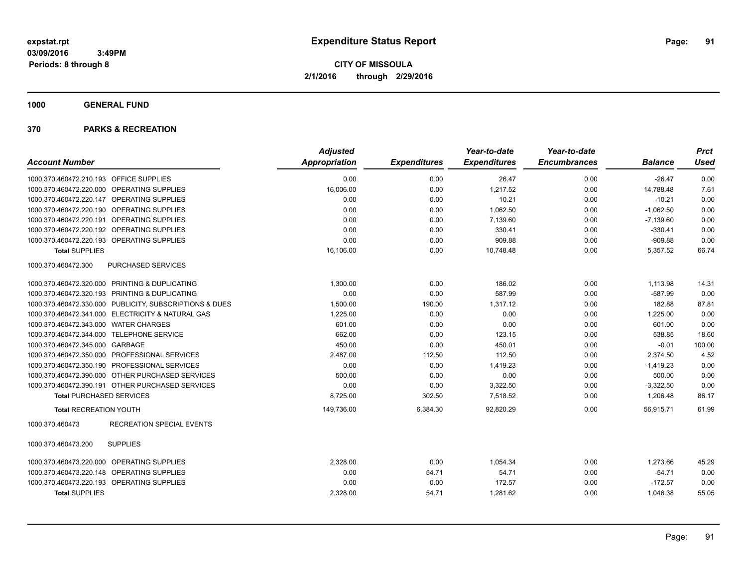**1000 GENERAL FUND**

|                                                         | <b>Adjusted</b> |                     | Year-to-date        | Year-to-date        |                | <b>Prct</b> |
|---------------------------------------------------------|-----------------|---------------------|---------------------|---------------------|----------------|-------------|
| <b>Account Number</b>                                   | Appropriation   | <b>Expenditures</b> | <b>Expenditures</b> | <b>Encumbrances</b> | <b>Balance</b> | <b>Used</b> |
| 1000.370.460472.210.193 OFFICE SUPPLIES                 | 0.00            | 0.00                | 26.47               | 0.00                | $-26.47$       | 0.00        |
| 1000.370.460472.220.000 OPERATING SUPPLIES              | 16,006.00       | 0.00                | 1,217.52            | 0.00                | 14,788.48      | 7.61        |
| 1000.370.460472.220.147 OPERATING SUPPLIES              | 0.00            | 0.00                | 10.21               | 0.00                | $-10.21$       | 0.00        |
| 1000.370.460472.220.190 OPERATING SUPPLIES              | 0.00            | 0.00                | 1,062.50            | 0.00                | $-1,062.50$    | 0.00        |
| 1000.370.460472.220.191 OPERATING SUPPLIES              | 0.00            | 0.00                | 7.139.60            | 0.00                | $-7,139.60$    | 0.00        |
| 1000.370.460472.220.192 OPERATING SUPPLIES              | 0.00            | 0.00                | 330.41              | 0.00                | $-330.41$      | 0.00        |
| 1000.370.460472.220.193 OPERATING SUPPLIES              | 0.00            | 0.00                | 909.88              | 0.00                | $-909.88$      | 0.00        |
| <b>Total SUPPLIES</b>                                   | 16,106.00       | 0.00                | 10,748.48           | 0.00                | 5,357.52       | 66.74       |
| PURCHASED SERVICES<br>1000.370.460472.300               |                 |                     |                     |                     |                |             |
| 1000.370.460472.320.000 PRINTING & DUPLICATING          | 1,300.00        | 0.00                | 186.02              | 0.00                | 1,113.98       | 14.31       |
| 1000.370.460472.320.193 PRINTING & DUPLICATING          | 0.00            | 0.00                | 587.99              | 0.00                | $-587.99$      | 0.00        |
| 1000.370.460472.330.000 PUBLICITY, SUBSCRIPTIONS & DUES | 1,500.00        | 190.00              | 1,317.12            | 0.00                | 182.88         | 87.81       |
| 1000.370.460472.341.000 ELECTRICITY & NATURAL GAS       | 1,225.00        | 0.00                | 0.00                | 0.00                | 1,225.00       | 0.00        |
| 1000.370.460472.343.000 WATER CHARGES                   | 601.00          | 0.00                | 0.00                | 0.00                | 601.00         | 0.00        |
| 1000.370.460472.344.000 TELEPHONE SERVICE               | 662.00          | 0.00                | 123.15              | 0.00                | 538.85         | 18.60       |
| 1000.370.460472.345.000 GARBAGE                         | 450.00          | 0.00                | 450.01              | 0.00                | $-0.01$        | 100.00      |
| 1000.370.460472.350.000 PROFESSIONAL SERVICES           | 2,487.00        | 112.50              | 112.50              | 0.00                | 2,374.50       | 4.52        |
| 1000.370.460472.350.190 PROFESSIONAL SERVICES           | 0.00            | 0.00                | 1,419.23            | 0.00                | $-1,419.23$    | 0.00        |
| 1000.370.460472.390.000 OTHER PURCHASED SERVICES        | 500.00          | 0.00                | 0.00                | 0.00                | 500.00         | 0.00        |
| 1000.370.460472.390.191 OTHER PURCHASED SERVICES        | 0.00            | 0.00                | 3,322.50            | 0.00                | $-3,322.50$    | 0.00        |
| <b>Total PURCHASED SERVICES</b>                         | 8,725.00        | 302.50              | 7,518.52            | 0.00                | 1,206.48       | 86.17       |
| <b>Total RECREATION YOUTH</b>                           | 149,736.00      | 6,384.30            | 92,820.29           | 0.00                | 56,915.71      | 61.99       |
| <b>RECREATION SPECIAL EVENTS</b><br>1000.370.460473     |                 |                     |                     |                     |                |             |
| <b>SUPPLIES</b><br>1000.370.460473.200                  |                 |                     |                     |                     |                |             |
| 1000.370.460473.220.000 OPERATING SUPPLIES              | 2,328.00        | 0.00                | 1.054.34            | 0.00                | 1,273.66       | 45.29       |
| 1000.370.460473.220.148 OPERATING SUPPLIES              | 0.00            | 54.71               | 54.71               | 0.00                | $-54.71$       | 0.00        |
| 1000.370.460473.220.193 OPERATING SUPPLIES              | 0.00            | 0.00                | 172.57              | 0.00                | $-172.57$      | 0.00        |
| <b>Total SUPPLIES</b>                                   | 2.328.00        | 54.71               | 1.281.62            | 0.00                | 1.046.38       | 55.05       |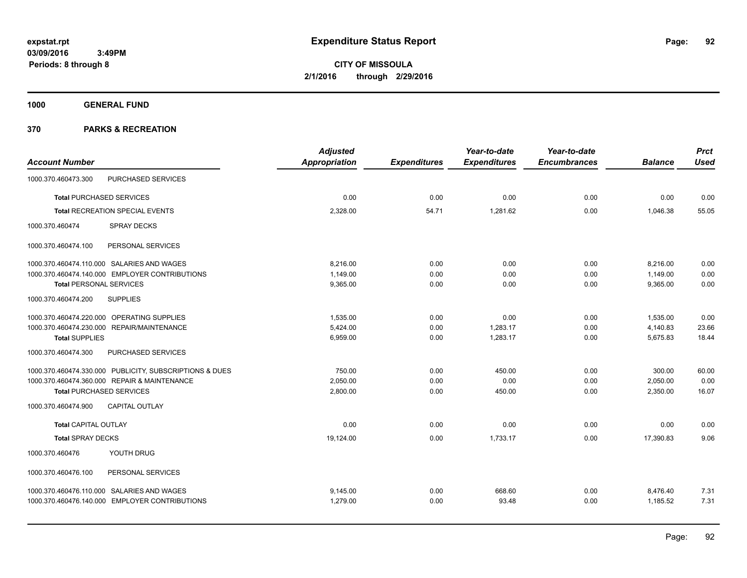**CITY OF MISSOULA 2/1/2016 through 2/29/2016**

**1000 GENERAL FUND**

| <b>Account Number</b>                                   | <b>Adjusted</b><br><b>Appropriation</b> | <b>Expenditures</b> | Year-to-date<br><b>Expenditures</b> | Year-to-date<br><b>Encumbrances</b> | <b>Balance</b> | <b>Prct</b><br><b>Used</b> |
|---------------------------------------------------------|-----------------------------------------|---------------------|-------------------------------------|-------------------------------------|----------------|----------------------------|
| PURCHASED SERVICES<br>1000.370.460473.300               |                                         |                     |                                     |                                     |                |                            |
| <b>Total PURCHASED SERVICES</b>                         | 0.00                                    | 0.00                | 0.00                                | 0.00                                | 0.00           | 0.00                       |
|                                                         |                                         |                     |                                     |                                     |                |                            |
| Total RECREATION SPECIAL EVENTS                         | 2,328.00                                | 54.71               | 1,281.62                            | 0.00                                | 1,046.38       | 55.05                      |
| SPRAY DECKS<br>1000.370.460474                          |                                         |                     |                                     |                                     |                |                            |
| 1000.370.460474.100<br>PERSONAL SERVICES                |                                         |                     |                                     |                                     |                |                            |
| 1000.370.460474.110.000 SALARIES AND WAGES              | 8.216.00                                | 0.00                | 0.00                                | 0.00                                | 8,216.00       | 0.00                       |
| 1000.370.460474.140.000 EMPLOYER CONTRIBUTIONS          | 1,149.00                                | 0.00                | 0.00                                | 0.00                                | 1,149.00       | 0.00                       |
| <b>Total PERSONAL SERVICES</b>                          | 9,365.00                                | 0.00                | 0.00                                | 0.00                                | 9,365.00       | 0.00                       |
| <b>SUPPLIES</b><br>1000.370.460474.200                  |                                         |                     |                                     |                                     |                |                            |
| 1000.370.460474.220.000 OPERATING SUPPLIES              | 1,535.00                                | 0.00                | 0.00                                | 0.00                                | 1,535.00       | 0.00                       |
| 1000.370.460474.230.000 REPAIR/MAINTENANCE              | 5,424.00                                | 0.00                | 1,283.17                            | 0.00                                | 4,140.83       | 23.66                      |
| <b>Total SUPPLIES</b>                                   | 6,959.00                                | 0.00                | 1,283.17                            | 0.00                                | 5,675.83       | 18.44                      |
| 1000.370.460474.300<br>PURCHASED SERVICES               |                                         |                     |                                     |                                     |                |                            |
| 1000.370.460474.330.000 PUBLICITY, SUBSCRIPTIONS & DUES | 750.00                                  | 0.00                | 450.00                              | 0.00                                | 300.00         | 60.00                      |
| 1000.370.460474.360.000 REPAIR & MAINTENANCE            | 2,050.00                                | 0.00                | 0.00                                | 0.00                                | 2,050.00       | 0.00                       |
| <b>Total PURCHASED SERVICES</b>                         | 2,800.00                                | 0.00                | 450.00                              | 0.00                                | 2,350.00       | 16.07                      |
| 1000.370.460474.900<br><b>CAPITAL OUTLAY</b>            |                                         |                     |                                     |                                     |                |                            |
| <b>Total CAPITAL OUTLAY</b>                             | 0.00                                    | 0.00                | 0.00                                | 0.00                                | 0.00           | 0.00                       |
| <b>Total SPRAY DECKS</b>                                | 19,124.00                               | 0.00                | 1,733.17                            | 0.00                                | 17,390.83      | 9.06                       |
| YOUTH DRUG<br>1000.370.460476                           |                                         |                     |                                     |                                     |                |                            |
| 1000.370.460476.100<br>PERSONAL SERVICES                |                                         |                     |                                     |                                     |                |                            |
| 1000.370.460476.110.000 SALARIES AND WAGES              | 9,145.00                                | 0.00                | 668.60                              | 0.00                                | 8,476.40       | 7.31                       |
| 1000.370.460476.140.000 EMPLOYER CONTRIBUTIONS          | 1.279.00                                | 0.00                | 93.48                               | 0.00                                | 1.185.52       | 7.31                       |
|                                                         |                                         |                     |                                     |                                     |                |                            |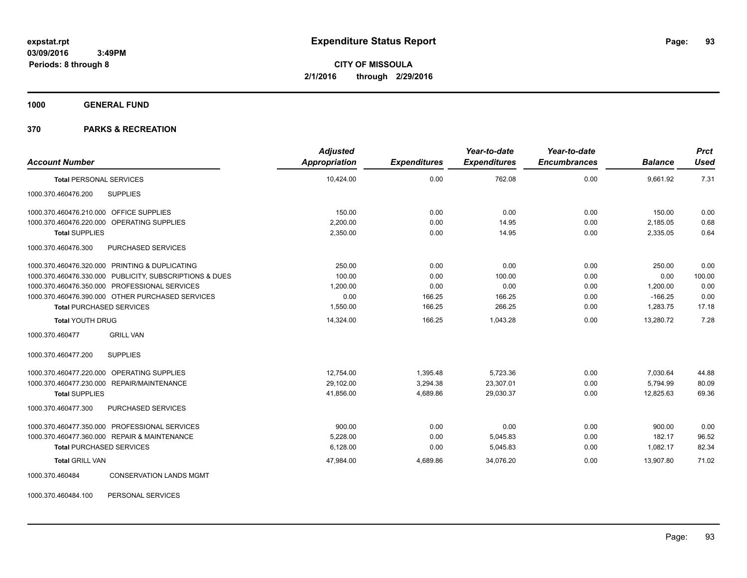**1000 GENERAL FUND**

### **370 PARKS & RECREATION**

| <b>Account Number</b>                                   | <b>Adjusted</b><br>Appropriation | <b>Expenditures</b> | Year-to-date<br><b>Expenditures</b> | Year-to-date<br><b>Encumbrances</b> | <b>Balance</b> | <b>Prct</b><br><b>Used</b> |
|---------------------------------------------------------|----------------------------------|---------------------|-------------------------------------|-------------------------------------|----------------|----------------------------|
| <b>Total PERSONAL SERVICES</b>                          | 10,424.00                        | 0.00                | 762.08                              | 0.00                                | 9,661.92       | 7.31                       |
| 1000.370.460476.200<br><b>SUPPLIES</b>                  |                                  |                     |                                     |                                     |                |                            |
| 1000.370.460476.210.000 OFFICE SUPPLIES                 | 150.00                           | 0.00                | 0.00                                | 0.00                                | 150.00         | 0.00                       |
| 1000.370.460476.220.000 OPERATING SUPPLIES              | 2,200.00                         | 0.00                | 14.95                               | 0.00                                | 2,185.05       | 0.68                       |
| <b>Total SUPPLIES</b>                                   | 2,350.00                         | 0.00                | 14.95                               | 0.00                                | 2,335.05       | 0.64                       |
| 1000.370.460476.300<br>PURCHASED SERVICES               |                                  |                     |                                     |                                     |                |                            |
| 1000.370.460476.320.000 PRINTING & DUPLICATING          | 250.00                           | 0.00                | 0.00                                | 0.00                                | 250.00         | 0.00                       |
| 1000.370.460476.330.000 PUBLICITY, SUBSCRIPTIONS & DUES | 100.00                           | 0.00                | 100.00                              | 0.00                                | 0.00           | 100.00                     |
| 1000.370.460476.350.000 PROFESSIONAL SERVICES           | 1,200.00                         | 0.00                | 0.00                                | 0.00                                | 1,200.00       | 0.00                       |
| 1000.370.460476.390.000 OTHER PURCHASED SERVICES        | 0.00                             | 166.25              | 166.25                              | 0.00                                | $-166.25$      | 0.00                       |
| <b>Total PURCHASED SERVICES</b>                         | 1,550.00                         | 166.25              | 266.25                              | 0.00                                | 1,283.75       | 17.18                      |
| <b>Total YOUTH DRUG</b>                                 | 14,324.00                        | 166.25              | 1,043.28                            | 0.00                                | 13,280.72      | 7.28                       |
| <b>GRILL VAN</b><br>1000.370.460477                     |                                  |                     |                                     |                                     |                |                            |
| <b>SUPPLIES</b><br>1000.370.460477.200                  |                                  |                     |                                     |                                     |                |                            |
| 1000.370.460477.220.000 OPERATING SUPPLIES              | 12,754.00                        | 1,395.48            | 5,723.36                            | 0.00                                | 7,030.64       | 44.88                      |
| 1000.370.460477.230.000 REPAIR/MAINTENANCE              | 29,102.00                        | 3,294.38            | 23,307.01                           | 0.00                                | 5,794.99       | 80.09                      |
| <b>Total SUPPLIES</b>                                   | 41,856.00                        | 4,689.86            | 29.030.37                           | 0.00                                | 12,825.63      | 69.36                      |
| 1000.370.460477.300<br>PURCHASED SERVICES               |                                  |                     |                                     |                                     |                |                            |
| 1000.370.460477.350.000 PROFESSIONAL SERVICES           | 900.00                           | 0.00                | 0.00                                | 0.00                                | 900.00         | 0.00                       |
| 1000.370.460477.360.000 REPAIR & MAINTENANCE            | 5,228.00                         | 0.00                | 5,045.83                            | 0.00                                | 182.17         | 96.52                      |
| <b>Total PURCHASED SERVICES</b>                         | 6,128.00                         | 0.00                | 5,045.83                            | 0.00                                | 1,082.17       | 82.34                      |
| <b>Total GRILL VAN</b>                                  | 47,984.00                        | 4,689.86            | 34,076.20                           | 0.00                                | 13,907.80      | 71.02                      |
| <b>CONSERVATION LANDS MGMT</b><br>1000.370.460484       |                                  |                     |                                     |                                     |                |                            |
| 1000.370.460484.100<br>PERSONAL SERVICES                |                                  |                     |                                     |                                     |                |                            |

Page: 93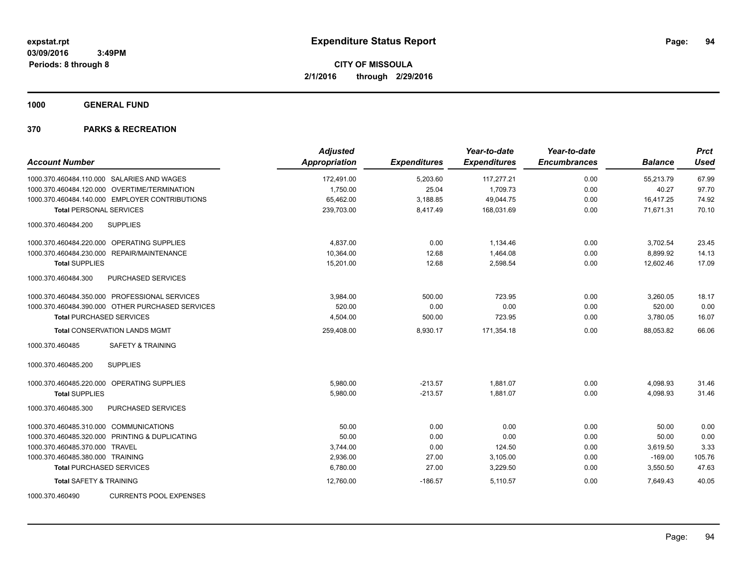**1000 GENERAL FUND**

| <b>Account Number</b>                            | <b>Adjusted</b><br>Appropriation | <b>Expenditures</b> | Year-to-date<br><b>Expenditures</b> | Year-to-date<br><b>Encumbrances</b> | <b>Balance</b> | <b>Prct</b><br><b>Used</b> |
|--------------------------------------------------|----------------------------------|---------------------|-------------------------------------|-------------------------------------|----------------|----------------------------|
| 1000.370.460484.110.000 SALARIES AND WAGES       | 172,491.00                       | 5,203.60            | 117,277.21                          | 0.00                                | 55,213.79      | 67.99                      |
| 1000.370.460484.120.000 OVERTIME/TERMINATION     | 1,750.00                         | 25.04               | 1,709.73                            | 0.00                                | 40.27          | 97.70                      |
| 1000.370.460484.140.000 EMPLOYER CONTRIBUTIONS   | 65,462.00                        | 3,188.85            | 49,044.75                           | 0.00                                | 16,417.25      | 74.92                      |
| <b>Total PERSONAL SERVICES</b>                   | 239,703.00                       | 8,417.49            | 168,031.69                          | 0.00                                | 71,671.31      | 70.10                      |
| <b>SUPPLIES</b><br>1000.370.460484.200           |                                  |                     |                                     |                                     |                |                            |
| 1000.370.460484.220.000 OPERATING SUPPLIES       | 4,837.00                         | 0.00                | 1,134.46                            | 0.00                                | 3,702.54       | 23.45                      |
| 1000.370.460484.230.000 REPAIR/MAINTENANCE       | 10,364.00                        | 12.68               | 1,464.08                            | 0.00                                | 8,899.92       | 14.13                      |
| <b>Total SUPPLIES</b>                            | 15,201.00                        | 12.68               | 2,598.54                            | 0.00                                | 12,602.46      | 17.09                      |
| 1000.370.460484.300<br><b>PURCHASED SERVICES</b> |                                  |                     |                                     |                                     |                |                            |
| 1000.370.460484.350.000 PROFESSIONAL SERVICES    | 3,984.00                         | 500.00              | 723.95                              | 0.00                                | 3,260.05       | 18.17                      |
| 1000.370.460484.390.000 OTHER PURCHASED SERVICES | 520.00                           | 0.00                | 0.00                                | 0.00                                | 520.00         | 0.00                       |
| <b>Total PURCHASED SERVICES</b>                  | 4,504.00                         | 500.00              | 723.95                              | 0.00                                | 3,780.05       | 16.07                      |
| <b>Total CONSERVATION LANDS MGMT</b>             | 259,408.00                       | 8,930.17            | 171,354.18                          | 0.00                                | 88,053.82      | 66.06                      |
| <b>SAFETY &amp; TRAINING</b><br>1000.370.460485  |                                  |                     |                                     |                                     |                |                            |
| <b>SUPPLIES</b><br>1000.370.460485.200           |                                  |                     |                                     |                                     |                |                            |
| 1000.370.460485.220.000<br>OPERATING SUPPLIES    | 5,980.00                         | $-213.57$           | 1,881.07                            | 0.00                                | 4,098.93       | 31.46                      |
| <b>Total SUPPLIES</b>                            | 5,980.00                         | $-213.57$           | 1,881.07                            | 0.00                                | 4,098.93       | 31.46                      |
| 1000.370.460485.300<br>PURCHASED SERVICES        |                                  |                     |                                     |                                     |                |                            |
| 1000.370.460485.310.000 COMMUNICATIONS           | 50.00                            | 0.00                | 0.00                                | 0.00                                | 50.00          | 0.00                       |
| 1000.370.460485.320.000 PRINTING & DUPLICATING   | 50.00                            | 0.00                | 0.00                                | 0.00                                | 50.00          | 0.00                       |
| 1000.370.460485.370.000 TRAVEL                   | 3,744.00                         | 0.00                | 124.50                              | 0.00                                | 3,619.50       | 3.33                       |
| 1000.370.460485.380.000 TRAINING                 | 2,936.00                         | 27.00               | 3,105.00                            | 0.00                                | $-169.00$      | 105.76                     |
| <b>Total PURCHASED SERVICES</b>                  | 6,780.00                         | 27.00               | 3,229.50                            | 0.00                                | 3,550.50       | 47.63                      |
| <b>Total SAFETY &amp; TRAINING</b>               | 12,760.00                        | $-186.57$           | 5,110.57                            | 0.00                                | 7,649.43       | 40.05                      |
| <b>CURRENTS POOL EXPENSES</b><br>1000.370.460490 |                                  |                     |                                     |                                     |                |                            |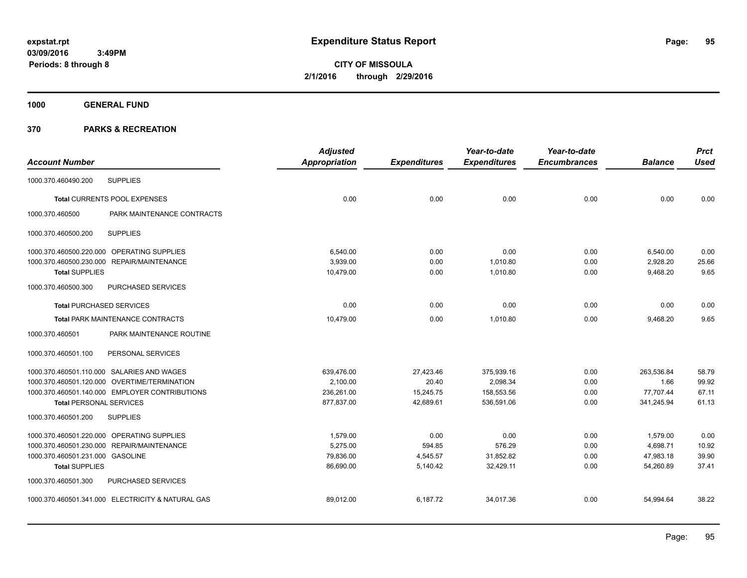**CITY OF MISSOULA 2/1/2016 through 2/29/2016**

**1000 GENERAL FUND**

|                                                   |                            | <b>Adjusted</b>      |                     | Year-to-date        | Year-to-date        |                | <b>Prct</b> |
|---------------------------------------------------|----------------------------|----------------------|---------------------|---------------------|---------------------|----------------|-------------|
| <b>Account Number</b>                             |                            | <b>Appropriation</b> | <b>Expenditures</b> | <b>Expenditures</b> | <b>Encumbrances</b> | <b>Balance</b> | <b>Used</b> |
| <b>SUPPLIES</b><br>1000.370.460490.200            |                            |                      |                     |                     |                     |                |             |
| <b>Total CURRENTS POOL EXPENSES</b>               |                            | 0.00                 | 0.00                | 0.00                | 0.00                | 0.00           | 0.00        |
| 1000.370.460500                                   | PARK MAINTENANCE CONTRACTS |                      |                     |                     |                     |                |             |
| <b>SUPPLIES</b><br>1000.370.460500.200            |                            |                      |                     |                     |                     |                |             |
| 1000.370.460500.220.000 OPERATING SUPPLIES        |                            | 6.540.00             | 0.00                | 0.00                | 0.00                | 6,540.00       | 0.00        |
| 1000.370.460500.230.000 REPAIR/MAINTENANCE        |                            | 3,939.00             | 0.00                | 1,010.80            | 0.00                | 2,928.20       | 25.66       |
| <b>Total SUPPLIES</b>                             |                            | 10,479.00            | 0.00                | 1,010.80            | 0.00                | 9,468.20       | 9.65        |
| 1000.370.460500.300                               | PURCHASED SERVICES         |                      |                     |                     |                     |                |             |
| <b>Total PURCHASED SERVICES</b>                   |                            | 0.00                 | 0.00                | 0.00                | 0.00                | 0.00           | 0.00        |
| Total PARK MAINTENANCE CONTRACTS                  |                            | 10,479.00            | 0.00                | 1,010.80            | 0.00                | 9,468.20       | 9.65        |
| 1000.370.460501                                   | PARK MAINTENANCE ROUTINE   |                      |                     |                     |                     |                |             |
| 1000.370.460501.100                               | PERSONAL SERVICES          |                      |                     |                     |                     |                |             |
| 1000.370.460501.110.000 SALARIES AND WAGES        |                            | 639,476.00           | 27,423.46           | 375,939.16          | 0.00                | 263,536.84     | 58.79       |
| 1000.370.460501.120.000 OVERTIME/TERMINATION      |                            | 2.100.00             | 20.40               | 2.098.34            | 0.00                | 1.66           | 99.92       |
| 1000.370.460501.140.000 EMPLOYER CONTRIBUTIONS    |                            | 236,261.00           | 15,245.75           | 158,553.56          | 0.00                | 77,707.44      | 67.11       |
| <b>Total PERSONAL SERVICES</b>                    |                            | 877,837.00           | 42,689.61           | 536,591.06          | 0.00                | 341,245.94     | 61.13       |
| 1000.370.460501.200<br><b>SUPPLIES</b>            |                            |                      |                     |                     |                     |                |             |
| 1000.370.460501.220.000 OPERATING SUPPLIES        |                            | 1.579.00             | 0.00                | 0.00                | 0.00                | 1,579.00       | 0.00        |
| 1000.370.460501.230.000 REPAIR/MAINTENANCE        |                            | 5.275.00             | 594.85              | 576.29              | 0.00                | 4,698.71       | 10.92       |
| 1000.370.460501.231.000 GASOLINE                  |                            | 79,836.00            | 4,545.57            | 31,852.82           | 0.00                | 47,983.18      | 39.90       |
| <b>Total SUPPLIES</b>                             |                            | 86,690.00            | 5,140.42            | 32,429.11           | 0.00                | 54,260.89      | 37.41       |
| 1000.370.460501.300                               | PURCHASED SERVICES         |                      |                     |                     |                     |                |             |
| 1000.370.460501.341.000 ELECTRICITY & NATURAL GAS |                            | 89,012.00            | 6,187.72            | 34,017.36           | 0.00                | 54,994.64      | 38.22       |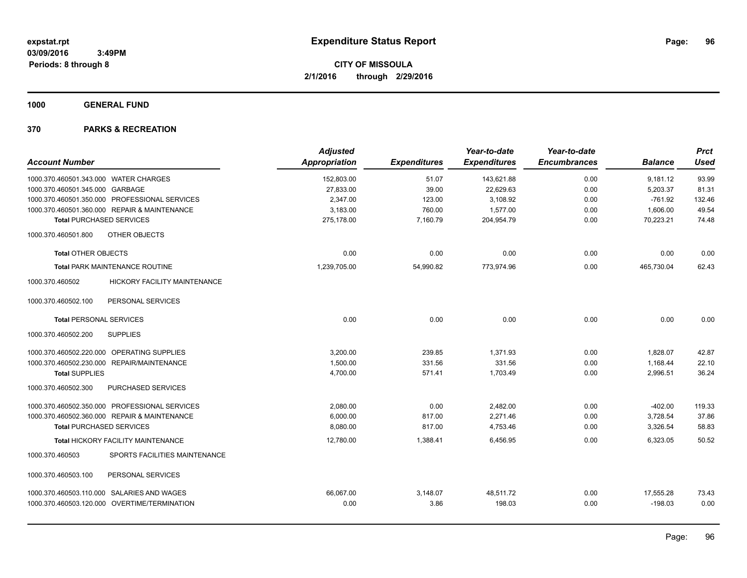**1000 GENERAL FUND**

| <b>Account Number</b>                      |                                               | <b>Adjusted</b><br>Appropriation | <b>Expenditures</b> | Year-to-date<br><b>Expenditures</b> | Year-to-date<br><b>Encumbrances</b> | <b>Balance</b> | <b>Prct</b><br><b>Used</b> |
|--------------------------------------------|-----------------------------------------------|----------------------------------|---------------------|-------------------------------------|-------------------------------------|----------------|----------------------------|
| 1000.370.460501.343.000 WATER CHARGES      |                                               | 152,803.00                       | 51.07               | 143,621.88                          | 0.00                                | 9,181.12       | 93.99                      |
| 1000.370.460501.345.000 GARBAGE            |                                               | 27,833.00                        | 39.00               | 22,629.63                           | 0.00                                | 5,203.37       | 81.31                      |
|                                            | 1000.370.460501.350.000 PROFESSIONAL SERVICES | 2,347.00                         | 123.00              | 3,108.92                            | 0.00                                | $-761.92$      | 132.46                     |
|                                            | 1000.370.460501.360.000 REPAIR & MAINTENANCE  | 3,183.00                         | 760.00              | 1.577.00                            | 0.00                                | 1,606.00       | 49.54                      |
| <b>Total PURCHASED SERVICES</b>            |                                               | 275,178.00                       | 7,160.79            | 204,954.79                          | 0.00                                | 70,223.21      | 74.48                      |
| 1000.370.460501.800                        | OTHER OBJECTS                                 |                                  |                     |                                     |                                     |                |                            |
| <b>Total OTHER OBJECTS</b>                 |                                               | 0.00                             | 0.00                | 0.00                                | 0.00                                | 0.00           | 0.00                       |
|                                            | <b>Total PARK MAINTENANCE ROUTINE</b>         | 1,239,705.00                     | 54,990.82           | 773,974.96                          | 0.00                                | 465,730.04     | 62.43                      |
| 1000.370.460502                            | <b>HICKORY FACILITY MAINTENANCE</b>           |                                  |                     |                                     |                                     |                |                            |
| 1000.370.460502.100                        | PERSONAL SERVICES                             |                                  |                     |                                     |                                     |                |                            |
| <b>Total PERSONAL SERVICES</b>             |                                               | 0.00                             | 0.00                | 0.00                                | 0.00                                | 0.00           | 0.00                       |
| 1000.370.460502.200                        | <b>SUPPLIES</b>                               |                                  |                     |                                     |                                     |                |                            |
| 1000.370.460502.220.000 OPERATING SUPPLIES |                                               | 3,200.00                         | 239.85              | 1,371.93                            | 0.00                                | 1,828.07       | 42.87                      |
|                                            | 1000.370.460502.230.000 REPAIR/MAINTENANCE    | 1,500.00                         | 331.56              | 331.56                              | 0.00                                | 1,168.44       | 22.10                      |
| <b>Total SUPPLIES</b>                      |                                               | 4,700.00                         | 571.41              | 1,703.49                            | 0.00                                | 2,996.51       | 36.24                      |
| 1000.370.460502.300                        | <b>PURCHASED SERVICES</b>                     |                                  |                     |                                     |                                     |                |                            |
|                                            | 1000.370.460502.350.000 PROFESSIONAL SERVICES | 2,080.00                         | 0.00                | 2,482.00                            | 0.00                                | $-402.00$      | 119.33                     |
|                                            | 1000.370.460502.360.000 REPAIR & MAINTENANCE  | 6.000.00                         | 817.00              | 2.271.46                            | 0.00                                | 3,728.54       | 37.86                      |
| <b>Total PURCHASED SERVICES</b>            |                                               | 8,080.00                         | 817.00              | 4,753.46                            | 0.00                                | 3,326.54       | 58.83                      |
|                                            | Total HICKORY FACILITY MAINTENANCE            | 12,780.00                        | 1.388.41            | 6,456.95                            | 0.00                                | 6,323.05       | 50.52                      |
| 1000.370.460503                            | SPORTS FACILITIES MAINTENANCE                 |                                  |                     |                                     |                                     |                |                            |
| 1000.370.460503.100                        | PERSONAL SERVICES                             |                                  |                     |                                     |                                     |                |                            |
|                                            | 1000.370.460503.110.000 SALARIES AND WAGES    | 66,067.00                        | 3,148.07            | 48,511.72                           | 0.00                                | 17,555.28      | 73.43                      |
|                                            | 1000.370.460503.120.000 OVERTIME/TERMINATION  | 0.00                             | 3.86                | 198.03                              | 0.00                                | $-198.03$      | 0.00                       |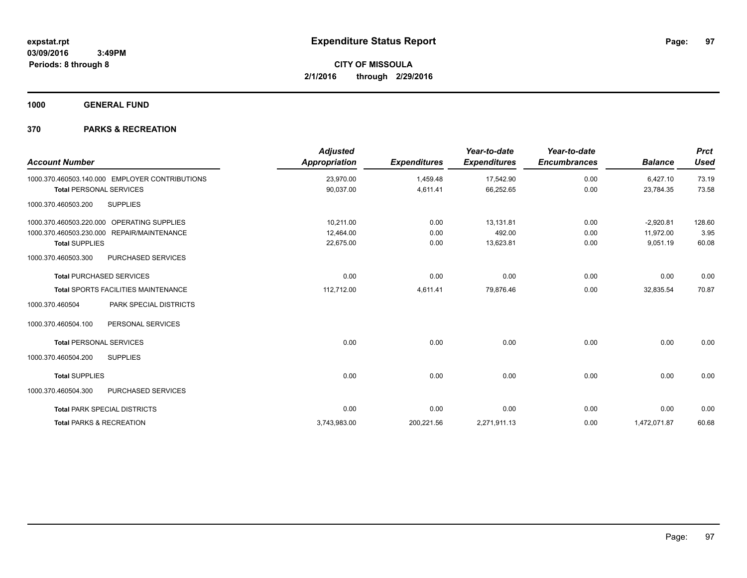**1000 GENERAL FUND**

| <b>Account Number</b>                                | <b>Adjusted</b><br><b>Appropriation</b> | <b>Expenditures</b> | Year-to-date<br><b>Expenditures</b> | Year-to-date<br><b>Encumbrances</b> | <b>Balance</b> | <b>Prct</b><br><b>Used</b> |
|------------------------------------------------------|-----------------------------------------|---------------------|-------------------------------------|-------------------------------------|----------------|----------------------------|
| 1000.370.460503.140.000 EMPLOYER CONTRIBUTIONS       | 23,970.00                               | 1,459.48            | 17,542.90                           | 0.00                                | 6,427.10       | 73.19                      |
| <b>Total PERSONAL SERVICES</b>                       | 90,037.00                               | 4,611.41            | 66,252.65                           | 0.00                                | 23,784.35      | 73.58                      |
| <b>SUPPLIES</b><br>1000.370.460503.200               |                                         |                     |                                     |                                     |                |                            |
| 1000.370.460503.220.000<br>OPERATING SUPPLIES        | 10.211.00                               | 0.00                | 13.131.81                           | 0.00                                | $-2,920.81$    | 128.60                     |
| <b>REPAIR/MAINTENANCE</b><br>1000.370.460503.230.000 | 12,464.00                               | 0.00                | 492.00                              | 0.00                                | 11,972.00      | 3.95                       |
| <b>Total SUPPLIES</b>                                | 22,675.00                               | 0.00                | 13,623.81                           | 0.00                                | 9,051.19       | 60.08                      |
| PURCHASED SERVICES<br>1000.370.460503.300            |                                         |                     |                                     |                                     |                |                            |
| <b>Total PURCHASED SERVICES</b>                      | 0.00                                    | 0.00                | 0.00                                | 0.00                                | 0.00           | 0.00                       |
| <b>Total SPORTS FACILITIES MAINTENANCE</b>           | 112,712.00                              | 4,611.41            | 79,876.46                           | 0.00                                | 32,835.54      | 70.87                      |
| PARK SPECIAL DISTRICTS<br>1000.370.460504            |                                         |                     |                                     |                                     |                |                            |
| 1000.370.460504.100<br>PERSONAL SERVICES             |                                         |                     |                                     |                                     |                |                            |
| <b>Total PERSONAL SERVICES</b>                       | 0.00                                    | 0.00                | 0.00                                | 0.00                                | 0.00           | 0.00                       |
| 1000.370.460504.200<br><b>SUPPLIES</b>               |                                         |                     |                                     |                                     |                |                            |
| <b>Total SUPPLIES</b>                                | 0.00                                    | 0.00                | 0.00                                | 0.00                                | 0.00           | 0.00                       |
| 1000.370.460504.300<br>PURCHASED SERVICES            |                                         |                     |                                     |                                     |                |                            |
| <b>Total PARK SPECIAL DISTRICTS</b>                  | 0.00                                    | 0.00                | 0.00                                | 0.00                                | 0.00           | 0.00                       |
| <b>Total PARKS &amp; RECREATION</b>                  | 3,743,983.00                            | 200,221.56          | 2,271,911.13                        | 0.00                                | 1,472,071.87   | 60.68                      |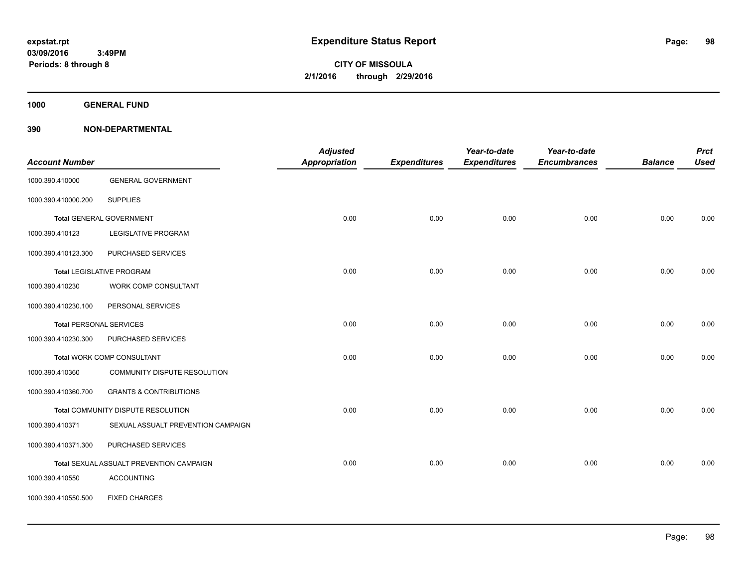**1000 GENERAL FUND**

| <b>Account Number</b>          |                                          | <b>Adjusted</b><br><b>Appropriation</b> | <b>Expenditures</b> | Year-to-date<br><b>Expenditures</b> | Year-to-date<br><b>Encumbrances</b> | <b>Balance</b> | <b>Prct</b><br><b>Used</b> |
|--------------------------------|------------------------------------------|-----------------------------------------|---------------------|-------------------------------------|-------------------------------------|----------------|----------------------------|
| 1000.390.410000                | <b>GENERAL GOVERNMENT</b>                |                                         |                     |                                     |                                     |                |                            |
| 1000.390.410000.200            | <b>SUPPLIES</b>                          |                                         |                     |                                     |                                     |                |                            |
|                                | <b>Total GENERAL GOVERNMENT</b>          | 0.00                                    | 0.00                | 0.00                                | 0.00                                | 0.00           | 0.00                       |
| 1000.390.410123                | LEGISLATIVE PROGRAM                      |                                         |                     |                                     |                                     |                |                            |
| 1000.390.410123.300            | PURCHASED SERVICES                       |                                         |                     |                                     |                                     |                |                            |
|                                | <b>Total LEGISLATIVE PROGRAM</b>         | 0.00                                    | 0.00                | 0.00                                | 0.00                                | 0.00           | 0.00                       |
| 1000.390.410230                | <b>WORK COMP CONSULTANT</b>              |                                         |                     |                                     |                                     |                |                            |
| 1000.390.410230.100            | PERSONAL SERVICES                        |                                         |                     |                                     |                                     |                |                            |
| <b>Total PERSONAL SERVICES</b> |                                          | 0.00                                    | 0.00                | 0.00                                | 0.00                                | 0.00           | 0.00                       |
| 1000.390.410230.300            | PURCHASED SERVICES                       |                                         |                     |                                     |                                     |                |                            |
|                                | <b>Total WORK COMP CONSULTANT</b>        | 0.00                                    | 0.00                | 0.00                                | 0.00                                | 0.00           | 0.00                       |
| 1000.390.410360                | COMMUNITY DISPUTE RESOLUTION             |                                         |                     |                                     |                                     |                |                            |
| 1000.390.410360.700            | <b>GRANTS &amp; CONTRIBUTIONS</b>        |                                         |                     |                                     |                                     |                |                            |
|                                | Total COMMUNITY DISPUTE RESOLUTION       | 0.00                                    | 0.00                | 0.00                                | 0.00                                | 0.00           | 0.00                       |
| 1000.390.410371                | SEXUAL ASSUALT PREVENTION CAMPAIGN       |                                         |                     |                                     |                                     |                |                            |
| 1000.390.410371.300            | PURCHASED SERVICES                       |                                         |                     |                                     |                                     |                |                            |
|                                | Total SEXUAL ASSUALT PREVENTION CAMPAIGN | 0.00                                    | 0.00                | 0.00                                | 0.00                                | 0.00           | 0.00                       |
| 1000.390.410550                | <b>ACCOUNTING</b>                        |                                         |                     |                                     |                                     |                |                            |
| 1000.390.410550.500            | <b>FIXED CHARGES</b>                     |                                         |                     |                                     |                                     |                |                            |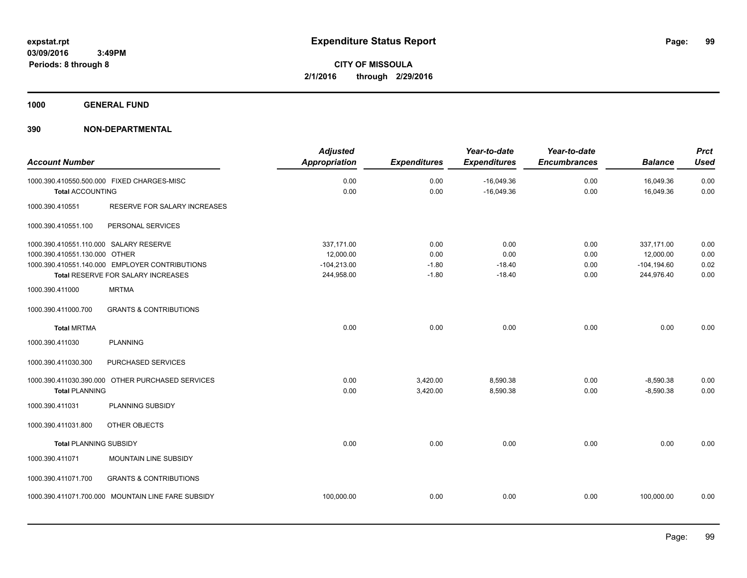**1000 GENERAL FUND**

|                                        |                                                    | <b>Adjusted</b>      |                     | Year-to-date        | Year-to-date        |                | <b>Prct</b> |
|----------------------------------------|----------------------------------------------------|----------------------|---------------------|---------------------|---------------------|----------------|-------------|
| <b>Account Number</b>                  |                                                    | <b>Appropriation</b> | <b>Expenditures</b> | <b>Expenditures</b> | <b>Encumbrances</b> | <b>Balance</b> | <b>Used</b> |
|                                        | 1000.390.410550.500.000 FIXED CHARGES-MISC         | 0.00                 | 0.00                | $-16,049.36$        | 0.00                | 16,049.36      | 0.00        |
| <b>Total ACCOUNTING</b>                |                                                    | 0.00                 | 0.00                | $-16,049.36$        | 0.00                | 16,049.36      | 0.00        |
| 1000.390.410551                        | RESERVE FOR SALARY INCREASES                       |                      |                     |                     |                     |                |             |
| 1000.390.410551.100                    | PERSONAL SERVICES                                  |                      |                     |                     |                     |                |             |
| 1000.390.410551.110.000 SALARY RESERVE |                                                    | 337,171.00           | 0.00                | 0.00                | 0.00                | 337,171.00     | 0.00        |
| 1000.390.410551.130.000 OTHER          |                                                    | 12,000.00            | 0.00                | 0.00                | 0.00                | 12,000.00      | 0.00        |
|                                        | 1000.390.410551.140.000 EMPLOYER CONTRIBUTIONS     | $-104,213.00$        | $-1.80$             | $-18.40$            | 0.00                | $-104, 194.60$ | 0.02        |
|                                        | Total RESERVE FOR SALARY INCREASES                 | 244,958.00           | $-1.80$             | $-18.40$            | 0.00                | 244,976.40     | 0.00        |
| 1000.390.411000                        | <b>MRTMA</b>                                       |                      |                     |                     |                     |                |             |
| 1000.390.411000.700                    | <b>GRANTS &amp; CONTRIBUTIONS</b>                  |                      |                     |                     |                     |                |             |
| <b>Total MRTMA</b>                     |                                                    | 0.00                 | 0.00                | 0.00                | 0.00                | 0.00           | 0.00        |
| 1000.390.411030                        | <b>PLANNING</b>                                    |                      |                     |                     |                     |                |             |
| 1000.390.411030.300                    | PURCHASED SERVICES                                 |                      |                     |                     |                     |                |             |
|                                        | 1000.390.411030.390.000 OTHER PURCHASED SERVICES   | 0.00                 | 3,420.00            | 8,590.38            | 0.00                | $-8,590.38$    | 0.00        |
| <b>Total PLANNING</b>                  |                                                    | 0.00                 | 3,420.00            | 8,590.38            | 0.00                | $-8,590.38$    | 0.00        |
| 1000.390.411031                        | PLANNING SUBSIDY                                   |                      |                     |                     |                     |                |             |
| 1000.390.411031.800                    | OTHER OBJECTS                                      |                      |                     |                     |                     |                |             |
| <b>Total PLANNING SUBSIDY</b>          |                                                    | 0.00                 | 0.00                | 0.00                | 0.00                | 0.00           | 0.00        |
| 1000.390.411071                        | MOUNTAIN LINE SUBSIDY                              |                      |                     |                     |                     |                |             |
| 1000.390.411071.700                    | <b>GRANTS &amp; CONTRIBUTIONS</b>                  |                      |                     |                     |                     |                |             |
|                                        | 1000.390.411071.700.000 MOUNTAIN LINE FARE SUBSIDY | 100,000.00           | 0.00                | 0.00                | 0.00                | 100,000.00     | 0.00        |
|                                        |                                                    |                      |                     |                     |                     |                |             |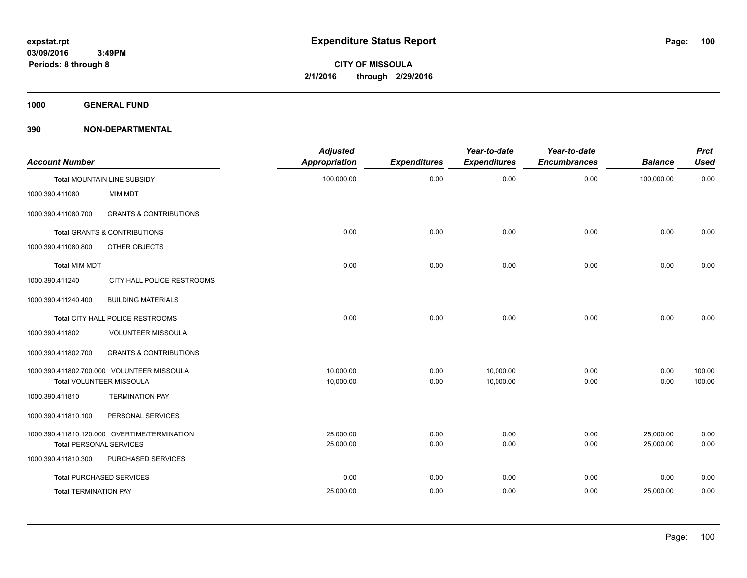**1000 GENERAL FUND**

| <b>Account Number</b>          |                                              | <b>Adjusted</b><br>Appropriation | <b>Expenditures</b> | Year-to-date<br><b>Expenditures</b> | Year-to-date<br><b>Encumbrances</b> | <b>Balance</b> | <b>Prct</b><br>Used |
|--------------------------------|----------------------------------------------|----------------------------------|---------------------|-------------------------------------|-------------------------------------|----------------|---------------------|
|                                | Total MOUNTAIN LINE SUBSIDY                  | 100,000.00                       | 0.00                | 0.00                                | 0.00                                | 100,000.00     | 0.00                |
| 1000.390.411080                | <b>MIM MDT</b>                               |                                  |                     |                                     |                                     |                |                     |
| 1000.390.411080.700            | <b>GRANTS &amp; CONTRIBUTIONS</b>            |                                  |                     |                                     |                                     |                |                     |
|                                | <b>Total GRANTS &amp; CONTRIBUTIONS</b>      | 0.00                             | 0.00                | 0.00                                | 0.00                                | 0.00           | 0.00                |
| 1000.390.411080.800            | OTHER OBJECTS                                |                                  |                     |                                     |                                     |                |                     |
| <b>Total MIM MDT</b>           |                                              | 0.00                             | 0.00                | 0.00                                | 0.00                                | 0.00           | 0.00                |
| 1000.390.411240                | CITY HALL POLICE RESTROOMS                   |                                  |                     |                                     |                                     |                |                     |
| 1000.390.411240.400            | <b>BUILDING MATERIALS</b>                    |                                  |                     |                                     |                                     |                |                     |
|                                | Total CITY HALL POLICE RESTROOMS             | 0.00                             | 0.00                | 0.00                                | 0.00                                | 0.00           | 0.00                |
| 1000.390.411802                | <b>VOLUNTEER MISSOULA</b>                    |                                  |                     |                                     |                                     |                |                     |
| 1000.390.411802.700            | <b>GRANTS &amp; CONTRIBUTIONS</b>            |                                  |                     |                                     |                                     |                |                     |
|                                | 1000.390.411802.700.000 VOLUNTEER MISSOULA   | 10.000.00                        | 0.00                | 10,000.00                           | 0.00                                | 0.00           | 100.00              |
|                                | Total VOLUNTEER MISSOULA                     | 10,000.00                        | 0.00                | 10,000.00                           | 0.00                                | 0.00           | 100.00              |
| 1000.390.411810                | <b>TERMINATION PAY</b>                       |                                  |                     |                                     |                                     |                |                     |
| 1000.390.411810.100            | PERSONAL SERVICES                            |                                  |                     |                                     |                                     |                |                     |
|                                | 1000.390.411810.120.000 OVERTIME/TERMINATION | 25,000.00                        | 0.00                | 0.00                                | 0.00                                | 25,000.00      | 0.00                |
| <b>Total PERSONAL SERVICES</b> |                                              | 25,000.00                        | 0.00                | 0.00                                | 0.00                                | 25,000.00      | 0.00                |
| 1000.390.411810.300            | PURCHASED SERVICES                           |                                  |                     |                                     |                                     |                |                     |
|                                | <b>Total PURCHASED SERVICES</b>              | 0.00                             | 0.00                | 0.00                                | 0.00                                | 0.00           | 0.00                |
| <b>Total TERMINATION PAY</b>   |                                              | 25,000.00                        | 0.00                | 0.00                                | 0.00                                | 25,000.00      | 0.00                |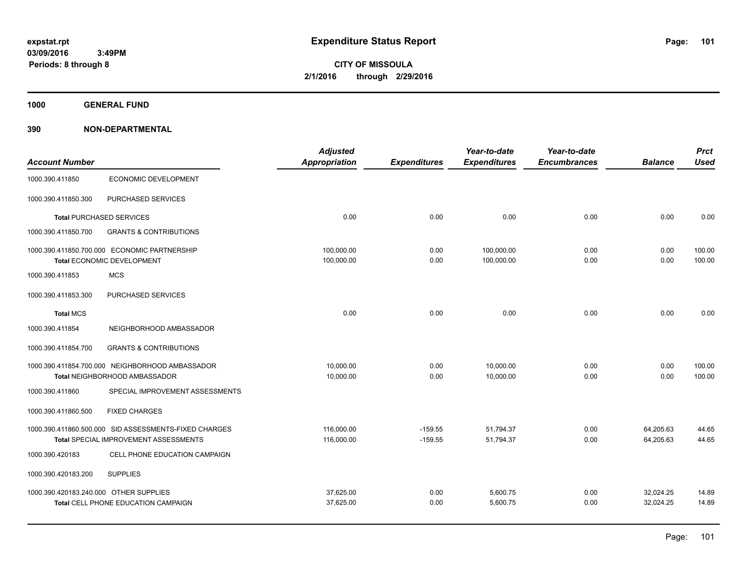**Periods: 8 through 8**

**CITY OF MISSOULA 2/1/2016 through 2/29/2016**

**1000 GENERAL FUND**

|                                        |                                                                            | <b>Adjusted</b>          |                     | Year-to-date             | Year-to-date        |                | <b>Prct</b>      |
|----------------------------------------|----------------------------------------------------------------------------|--------------------------|---------------------|--------------------------|---------------------|----------------|------------------|
| <b>Account Number</b>                  |                                                                            | <b>Appropriation</b>     | <b>Expenditures</b> | <b>Expenditures</b>      | <b>Encumbrances</b> | <b>Balance</b> | <b>Used</b>      |
| 1000.390.411850                        | ECONOMIC DEVELOPMENT                                                       |                          |                     |                          |                     |                |                  |
| 1000.390.411850.300                    | PURCHASED SERVICES                                                         |                          |                     |                          |                     |                |                  |
|                                        | <b>Total PURCHASED SERVICES</b>                                            | 0.00                     | 0.00                | 0.00                     | 0.00                | 0.00           | 0.00             |
| 1000.390.411850.700                    | <b>GRANTS &amp; CONTRIBUTIONS</b>                                          |                          |                     |                          |                     |                |                  |
|                                        | 1000.390.411850.700.000 ECONOMIC PARTNERSHIP<br>Total ECONOMIC DEVELOPMENT | 100,000.00<br>100,000.00 | 0.00<br>0.00        | 100,000.00<br>100,000.00 | 0.00<br>0.00        | 0.00<br>0.00   | 100.00<br>100.00 |
|                                        |                                                                            |                          |                     |                          |                     |                |                  |
| 1000.390.411853                        | <b>MCS</b>                                                                 |                          |                     |                          |                     |                |                  |
| 1000.390.411853.300                    | PURCHASED SERVICES                                                         |                          |                     |                          |                     |                |                  |
| <b>Total MCS</b>                       |                                                                            | 0.00                     | 0.00                | 0.00                     | 0.00                | 0.00           | 0.00             |
| 1000.390.411854                        | NEIGHBORHOOD AMBASSADOR                                                    |                          |                     |                          |                     |                |                  |
| 1000.390.411854.700                    | <b>GRANTS &amp; CONTRIBUTIONS</b>                                          |                          |                     |                          |                     |                |                  |
|                                        | 1000.390.411854.700.000 NEIGHBORHOOD AMBASSADOR                            | 10.000.00                | 0.00                | 10.000.00                | 0.00                | 0.00           | 100.00           |
|                                        | Total NEIGHBORHOOD AMBASSADOR                                              | 10,000.00                | 0.00                | 10,000.00                | 0.00                | 0.00           | 100.00           |
| 1000.390.411860                        | SPECIAL IMPROVEMENT ASSESSMENTS                                            |                          |                     |                          |                     |                |                  |
| 1000.390.411860.500                    | <b>FIXED CHARGES</b>                                                       |                          |                     |                          |                     |                |                  |
|                                        | 1000.390.411860.500.000 SID ASSESSMENTS-FIXED CHARGES                      | 116,000.00               | $-159.55$           | 51,794.37                | 0.00                | 64,205.63      | 44.65            |
|                                        | <b>Total SPECIAL IMPROVEMENT ASSESSMENTS</b>                               | 116,000.00               | $-159.55$           | 51,794.37                | 0.00                | 64,205.63      | 44.65            |
| 1000.390.420183                        | CELL PHONE EDUCATION CAMPAIGN                                              |                          |                     |                          |                     |                |                  |
| 1000.390.420183.200                    | <b>SUPPLIES</b>                                                            |                          |                     |                          |                     |                |                  |
| 1000.390.420183.240.000 OTHER SUPPLIES |                                                                            | 37,625.00                | 0.00                | 5,600.75                 | 0.00                | 32,024.25      | 14.89            |
|                                        | Total CELL PHONE EDUCATION CAMPAIGN                                        | 37,625.00                | 0.00                | 5,600.75                 | 0.00                | 32,024.25      | 14.89            |
|                                        |                                                                            |                          |                     |                          |                     |                |                  |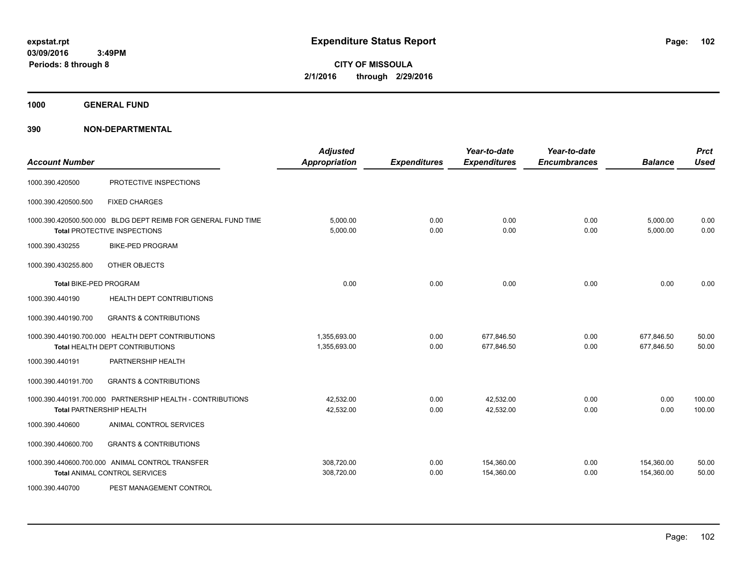**CITY OF MISSOULA 2/1/2016 through 2/29/2016**

**1000 GENERAL FUND**

| <b>Account Number</b>         |                                                                                               | <b>Adjusted</b><br><b>Appropriation</b> | <b>Expenditures</b> | Year-to-date<br><b>Expenditures</b> | Year-to-date<br><b>Encumbrances</b> | <b>Balance</b>           | <b>Prct</b><br><b>Used</b> |
|-------------------------------|-----------------------------------------------------------------------------------------------|-----------------------------------------|---------------------|-------------------------------------|-------------------------------------|--------------------------|----------------------------|
| 1000.390.420500               | PROTECTIVE INSPECTIONS                                                                        |                                         |                     |                                     |                                     |                          |                            |
| 1000.390.420500.500           | <b>FIXED CHARGES</b>                                                                          |                                         |                     |                                     |                                     |                          |                            |
|                               | 1000.390.420500.500.000 BLDG DEPT REIMB FOR GENERAL FUND TIME<br>Total PROTECTIVE INSPECTIONS | 5,000.00<br>5,000.00                    | 0.00<br>0.00        | 0.00<br>0.00                        | 0.00<br>0.00                        | 5,000.00<br>5,000.00     | 0.00<br>0.00               |
| 1000.390.430255               | <b>BIKE-PED PROGRAM</b>                                                                       |                                         |                     |                                     |                                     |                          |                            |
| 1000.390.430255.800           | OTHER OBJECTS                                                                                 |                                         |                     |                                     |                                     |                          |                            |
| <b>Total BIKE-PED PROGRAM</b> |                                                                                               | 0.00                                    | 0.00                | 0.00                                | 0.00                                | 0.00                     | 0.00                       |
| 1000.390.440190               | HEALTH DEPT CONTRIBUTIONS                                                                     |                                         |                     |                                     |                                     |                          |                            |
| 1000.390.440190.700           | <b>GRANTS &amp; CONTRIBUTIONS</b>                                                             |                                         |                     |                                     |                                     |                          |                            |
|                               | 1000.390.440190.700.000 HEALTH DEPT CONTRIBUTIONS<br>Total HEALTH DEPT CONTRIBUTIONS          | 1,355,693.00<br>1,355,693.00            | 0.00<br>0.00        | 677,846.50<br>677,846.50            | 0.00<br>0.00                        | 677,846.50<br>677,846.50 | 50.00<br>50.00             |
| 1000.390.440191               | PARTNERSHIP HEALTH                                                                            |                                         |                     |                                     |                                     |                          |                            |
| 1000.390.440191.700           | <b>GRANTS &amp; CONTRIBUTIONS</b>                                                             |                                         |                     |                                     |                                     |                          |                            |
|                               | 1000.390.440191.700.000 PARTNERSHIP HEALTH - CONTRIBUTIONS<br><b>Total PARTNERSHIP HEALTH</b> | 42,532.00<br>42,532.00                  | 0.00<br>0.00        | 42,532.00<br>42,532.00              | 0.00<br>0.00                        | 0.00<br>0.00             | 100.00<br>100.00           |
| 1000.390.440600               | ANIMAL CONTROL SERVICES                                                                       |                                         |                     |                                     |                                     |                          |                            |
| 1000.390.440600.700           | <b>GRANTS &amp; CONTRIBUTIONS</b>                                                             |                                         |                     |                                     |                                     |                          |                            |
|                               | 1000.390.440600.700.000 ANIMAL CONTROL TRANSFER<br><b>Total ANIMAL CONTROL SERVICES</b>       | 308,720.00<br>308,720.00                | 0.00<br>0.00        | 154,360.00<br>154,360.00            | 0.00<br>0.00                        | 154,360.00<br>154,360.00 | 50.00<br>50.00             |
| 1000.390.440700               | PEST MANAGEMENT CONTROL                                                                       |                                         |                     |                                     |                                     |                          |                            |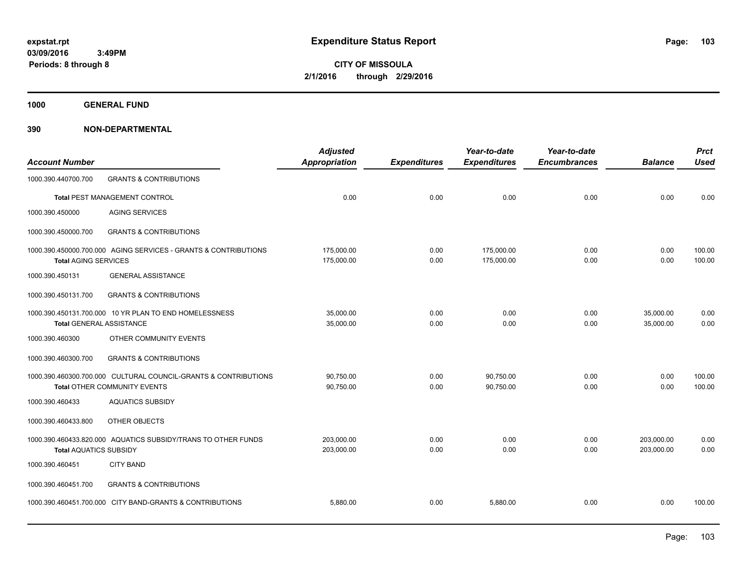**CITY OF MISSOULA 2/1/2016 through 2/29/2016**

**1000 GENERAL FUND**

| <b>Account Number</b>           |                                                                                                 | <b>Adjusted</b><br><b>Appropriation</b> | <b>Expenditures</b> | Year-to-date<br><b>Expenditures</b> | Year-to-date<br><b>Encumbrances</b> | <b>Balance</b>           | <b>Prct</b><br><b>Used</b> |
|---------------------------------|-------------------------------------------------------------------------------------------------|-----------------------------------------|---------------------|-------------------------------------|-------------------------------------|--------------------------|----------------------------|
| 1000.390.440700.700             | <b>GRANTS &amp; CONTRIBUTIONS</b>                                                               |                                         |                     |                                     |                                     |                          |                            |
|                                 | Total PEST MANAGEMENT CONTROL                                                                   | 0.00                                    | 0.00                | 0.00                                | 0.00                                | 0.00                     | 0.00                       |
| 1000.390.450000                 | <b>AGING SERVICES</b>                                                                           |                                         |                     |                                     |                                     |                          |                            |
| 1000.390.450000.700             | <b>GRANTS &amp; CONTRIBUTIONS</b>                                                               |                                         |                     |                                     |                                     |                          |                            |
| <b>Total AGING SERVICES</b>     | 1000.390.450000.700.000 AGING SERVICES - GRANTS & CONTRIBUTIONS                                 | 175,000.00<br>175,000.00                | 0.00<br>0.00        | 175,000.00<br>175,000.00            | 0.00<br>0.00                        | 0.00<br>0.00             | 100.00<br>100.00           |
| 1000.390.450131                 | <b>GENERAL ASSISTANCE</b>                                                                       |                                         |                     |                                     |                                     |                          |                            |
| 1000.390.450131.700             | <b>GRANTS &amp; CONTRIBUTIONS</b>                                                               |                                         |                     |                                     |                                     |                          |                            |
| <b>Total GENERAL ASSISTANCE</b> | 1000.390.450131.700.000 10 YR PLAN TO END HOMELESSNESS                                          | 35,000.00<br>35,000.00                  | 0.00<br>0.00        | 0.00<br>0.00                        | 0.00<br>0.00                        | 35,000.00<br>35,000.00   | 0.00<br>0.00               |
| 1000.390.460300                 | OTHER COMMUNITY EVENTS                                                                          |                                         |                     |                                     |                                     |                          |                            |
| 1000.390.460300.700             | <b>GRANTS &amp; CONTRIBUTIONS</b>                                                               |                                         |                     |                                     |                                     |                          |                            |
|                                 | 1000.390.460300.700.000 CULTURAL COUNCIL-GRANTS & CONTRIBUTIONS<br>Total OTHER COMMUNITY EVENTS | 90,750.00<br>90,750.00                  | 0.00<br>0.00        | 90,750.00<br>90,750.00              | 0.00<br>0.00                        | 0.00<br>0.00             | 100.00<br>100.00           |
| 1000.390.460433                 | <b>AQUATICS SUBSIDY</b>                                                                         |                                         |                     |                                     |                                     |                          |                            |
| 1000.390.460433.800             | OTHER OBJECTS                                                                                   |                                         |                     |                                     |                                     |                          |                            |
| <b>Total AQUATICS SUBSIDY</b>   | 1000.390.460433.820.000 AQUATICS SUBSIDY/TRANS TO OTHER FUNDS                                   | 203.000.00<br>203,000.00                | 0.00<br>0.00        | 0.00<br>0.00                        | 0.00<br>0.00                        | 203,000.00<br>203,000.00 | 0.00<br>0.00               |
| 1000.390.460451                 | <b>CITY BAND</b>                                                                                |                                         |                     |                                     |                                     |                          |                            |
| 1000.390.460451.700             | <b>GRANTS &amp; CONTRIBUTIONS</b>                                                               |                                         |                     |                                     |                                     |                          |                            |
|                                 | 1000.390.460451.700.000 CITY BAND-GRANTS & CONTRIBUTIONS                                        | 5,880.00                                | 0.00                | 5,880.00                            | 0.00                                | 0.00                     | 100.00                     |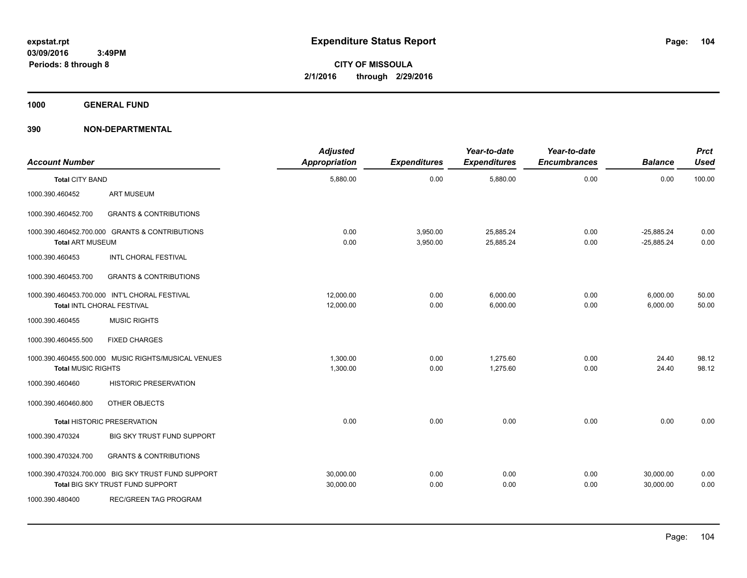**1000 GENERAL FUND**

| <b>Account Number</b>     |                                                                                        | <b>Adjusted</b><br><b>Appropriation</b> | <b>Expenditures</b>  | Year-to-date<br><b>Expenditures</b> | Year-to-date<br><b>Encumbrances</b> | <b>Balance</b>               | <b>Prct</b><br><b>Used</b> |
|---------------------------|----------------------------------------------------------------------------------------|-----------------------------------------|----------------------|-------------------------------------|-------------------------------------|------------------------------|----------------------------|
| <b>Total CITY BAND</b>    |                                                                                        | 5,880.00                                | 0.00                 | 5,880.00                            | 0.00                                | 0.00                         | 100.00                     |
| 1000.390.460452           | <b>ART MUSEUM</b>                                                                      |                                         |                      |                                     |                                     |                              |                            |
| 1000.390.460452.700       | <b>GRANTS &amp; CONTRIBUTIONS</b>                                                      |                                         |                      |                                     |                                     |                              |                            |
| <b>Total ART MUSEUM</b>   | 1000.390.460452.700.000 GRANTS & CONTRIBUTIONS                                         | 0.00<br>0.00                            | 3,950.00<br>3,950.00 | 25,885.24<br>25,885.24              | 0.00<br>0.00                        | $-25,885.24$<br>$-25.885.24$ | 0.00<br>0.00               |
| 1000.390.460453           | INTL CHORAL FESTIVAL                                                                   |                                         |                      |                                     |                                     |                              |                            |
| 1000.390.460453.700       | <b>GRANTS &amp; CONTRIBUTIONS</b>                                                      |                                         |                      |                                     |                                     |                              |                            |
|                           | 1000.390.460453.700.000 INT'L CHORAL FESTIVAL<br>Total INTL CHORAL FESTIVAL            | 12.000.00<br>12,000.00                  | 0.00<br>0.00         | 6,000.00<br>6,000.00                | 0.00<br>0.00                        | 6,000.00<br>6,000.00         | 50.00<br>50.00             |
| 1000.390.460455           | <b>MUSIC RIGHTS</b>                                                                    |                                         |                      |                                     |                                     |                              |                            |
| 1000.390.460455.500       | <b>FIXED CHARGES</b>                                                                   |                                         |                      |                                     |                                     |                              |                            |
| <b>Total MUSIC RIGHTS</b> | 1000.390.460455.500.000 MUSIC RIGHTS/MUSICAL VENUES                                    | 1,300.00<br>1,300.00                    | 0.00<br>0.00         | 1,275.60<br>1,275.60                | 0.00<br>0.00                        | 24.40<br>24.40               | 98.12<br>98.12             |
| 1000.390.460460           | HISTORIC PRESERVATION                                                                  |                                         |                      |                                     |                                     |                              |                            |
| 1000.390.460460.800       | OTHER OBJECTS                                                                          |                                         |                      |                                     |                                     |                              |                            |
|                           | <b>Total HISTORIC PRESERVATION</b>                                                     | 0.00                                    | 0.00                 | 0.00                                | 0.00                                | 0.00                         | 0.00                       |
| 1000.390.470324           | BIG SKY TRUST FUND SUPPORT                                                             |                                         |                      |                                     |                                     |                              |                            |
| 1000.390.470324.700       | <b>GRANTS &amp; CONTRIBUTIONS</b>                                                      |                                         |                      |                                     |                                     |                              |                            |
|                           | 1000.390.470324.700.000 BIG SKY TRUST FUND SUPPORT<br>Total BIG SKY TRUST FUND SUPPORT | 30,000.00<br>30,000.00                  | 0.00<br>0.00         | 0.00<br>0.00                        | 0.00<br>0.00                        | 30,000.00<br>30,000.00       | 0.00<br>0.00               |
| 1000.390.480400           | REC/GREEN TAG PROGRAM                                                                  |                                         |                      |                                     |                                     |                              |                            |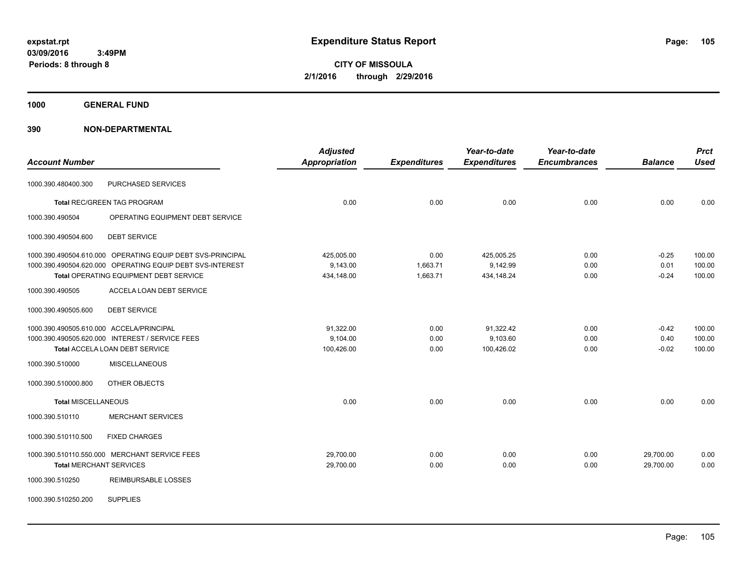**CITY OF MISSOULA 2/1/2016 through 2/29/2016**

**1000 GENERAL FUND**

|                                          |                                                            | <b>Adjusted</b>      |                     | Year-to-date        | Year-to-date        |                | <b>Prct</b> |
|------------------------------------------|------------------------------------------------------------|----------------------|---------------------|---------------------|---------------------|----------------|-------------|
| <b>Account Number</b>                    |                                                            | <b>Appropriation</b> | <b>Expenditures</b> | <b>Expenditures</b> | <b>Encumbrances</b> | <b>Balance</b> | <b>Used</b> |
| 1000.390.480400.300                      | PURCHASED SERVICES                                         |                      |                     |                     |                     |                |             |
|                                          | Total REC/GREEN TAG PROGRAM                                | 0.00                 | 0.00                | 0.00                | 0.00                | 0.00           | 0.00        |
| 1000.390.490504                          | OPERATING EQUIPMENT DEBT SERVICE                           |                      |                     |                     |                     |                |             |
| 1000.390.490504.600                      | <b>DEBT SERVICE</b>                                        |                      |                     |                     |                     |                |             |
|                                          | 1000.390.490504.610.000 OPERATING EQUIP DEBT SVS-PRINCIPAL | 425,005.00           | 0.00                | 425,005.25          | 0.00                | $-0.25$        | 100.00      |
|                                          | 1000.390.490504.620.000 OPERATING EQUIP DEBT SVS-INTEREST  | 9,143.00             | 1,663.71            | 9,142.99            | 0.00                | 0.01           | 100.00      |
|                                          | Total OPERATING EQUIPMENT DEBT SERVICE                     | 434,148.00           | 1,663.71            | 434,148.24          | 0.00                | $-0.24$        | 100.00      |
| 1000.390.490505                          | ACCELA LOAN DEBT SERVICE                                   |                      |                     |                     |                     |                |             |
| 1000.390.490505.600                      | <b>DEBT SERVICE</b>                                        |                      |                     |                     |                     |                |             |
| 1000.390.490505.610.000 ACCELA/PRINCIPAL |                                                            | 91,322.00            | 0.00                | 91,322.42           | 0.00                | $-0.42$        | 100.00      |
|                                          | 1000.390.490505.620.000 INTEREST / SERVICE FEES            | 9,104.00             | 0.00                | 9,103.60            | 0.00                | 0.40           | 100.00      |
|                                          | <b>Total ACCELA LOAN DEBT SERVICE</b>                      | 100,426.00           | 0.00                | 100,426.02          | 0.00                | $-0.02$        | 100.00      |
| 1000.390.510000                          | <b>MISCELLANEOUS</b>                                       |                      |                     |                     |                     |                |             |
| 1000.390.510000.800                      | OTHER OBJECTS                                              |                      |                     |                     |                     |                |             |
| <b>Total MISCELLANEOUS</b>               |                                                            | 0.00                 | 0.00                | 0.00                | 0.00                | 0.00           | 0.00        |
| 1000.390.510110                          | <b>MERCHANT SERVICES</b>                                   |                      |                     |                     |                     |                |             |
| 1000.390.510110.500                      | <b>FIXED CHARGES</b>                                       |                      |                     |                     |                     |                |             |
|                                          | 1000.390.510110.550.000 MERCHANT SERVICE FEES              | 29,700.00            | 0.00                | 0.00                | 0.00                | 29,700.00      | 0.00        |
| <b>Total MERCHANT SERVICES</b>           |                                                            | 29,700.00            | 0.00                | 0.00                | 0.00                | 29,700.00      | 0.00        |
| 1000.390.510250                          | <b>REIMBURSABLE LOSSES</b>                                 |                      |                     |                     |                     |                |             |
| 1000.390.510250.200                      | <b>SUPPLIES</b>                                            |                      |                     |                     |                     |                |             |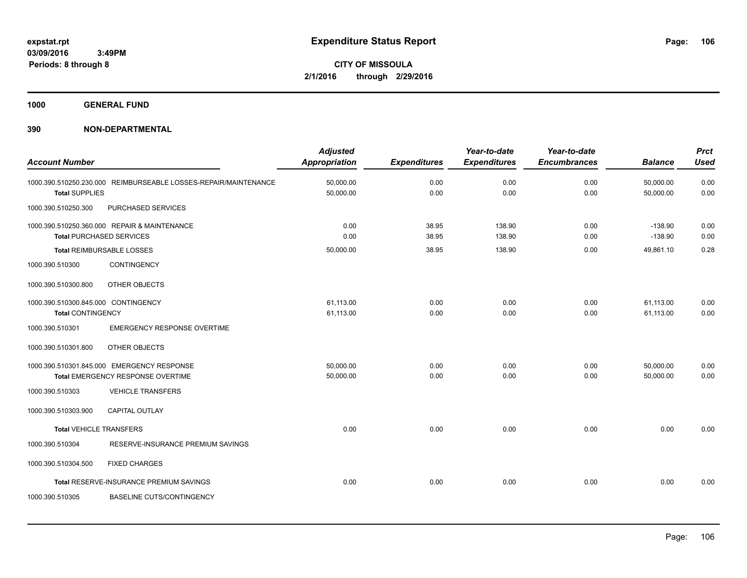**1000 GENERAL FUND**

| <b>Account Number</b>               |                                                                                 | <b>Adjusted</b><br><b>Appropriation</b> | <b>Expenditures</b> | Year-to-date<br><b>Expenditures</b> | Year-to-date<br><b>Encumbrances</b> | <b>Balance</b>         | <b>Prct</b><br><b>Used</b> |
|-------------------------------------|---------------------------------------------------------------------------------|-----------------------------------------|---------------------|-------------------------------------|-------------------------------------|------------------------|----------------------------|
| <b>Total SUPPLIES</b>               | 1000.390.510250.230.000 REIMBURSEABLE LOSSES-REPAIR/MAINTENANCE                 | 50,000.00<br>50,000.00                  | 0.00<br>0.00        | 0.00<br>0.00                        | 0.00<br>0.00                        | 50,000.00<br>50,000.00 | 0.00<br>0.00               |
| 1000.390.510250.300                 | PURCHASED SERVICES                                                              |                                         |                     |                                     |                                     |                        |                            |
|                                     | 1000.390.510250.360.000 REPAIR & MAINTENANCE<br><b>Total PURCHASED SERVICES</b> | 0.00<br>0.00                            | 38.95<br>38.95      | 138.90<br>138.90                    | 0.00<br>0.00                        | $-138.90$<br>$-138.90$ | 0.00<br>0.00               |
|                                     | <b>Total REIMBURSABLE LOSSES</b>                                                | 50,000.00                               | 38.95               | 138.90                              | 0.00                                | 49,861.10              | 0.28                       |
| 1000.390.510300                     | <b>CONTINGENCY</b>                                                              |                                         |                     |                                     |                                     |                        |                            |
| 1000.390.510300.800                 | OTHER OBJECTS                                                                   |                                         |                     |                                     |                                     |                        |                            |
| 1000.390.510300.845.000 CONTINGENCY |                                                                                 | 61,113.00                               | 0.00                | 0.00                                | 0.00                                | 61,113.00              | 0.00                       |
| <b>Total CONTINGENCY</b>            |                                                                                 | 61,113.00                               | 0.00                | 0.00                                | 0.00                                | 61,113.00              | 0.00                       |
| 1000.390.510301                     | <b>EMERGENCY RESPONSE OVERTIME</b>                                              |                                         |                     |                                     |                                     |                        |                            |
| 1000.390.510301.800                 | OTHER OBJECTS                                                                   |                                         |                     |                                     |                                     |                        |                            |
|                                     | 1000.390.510301.845.000 EMERGENCY RESPONSE                                      | 50,000.00                               | 0.00                | 0.00                                | 0.00                                | 50,000.00              | 0.00                       |
|                                     | Total EMERGENCY RESPONSE OVERTIME                                               | 50,000.00                               | 0.00                | 0.00                                | 0.00                                | 50.000.00              | 0.00                       |
| 1000.390.510303                     | <b>VEHICLE TRANSFERS</b>                                                        |                                         |                     |                                     |                                     |                        |                            |
| 1000.390.510303.900                 | <b>CAPITAL OUTLAY</b>                                                           |                                         |                     |                                     |                                     |                        |                            |
| <b>Total VEHICLE TRANSFERS</b>      |                                                                                 | 0.00                                    | 0.00                | 0.00                                | 0.00                                | 0.00                   | 0.00                       |
| 1000.390.510304                     | RESERVE-INSURANCE PREMIUM SAVINGS                                               |                                         |                     |                                     |                                     |                        |                            |
| 1000.390.510304.500                 | <b>FIXED CHARGES</b>                                                            |                                         |                     |                                     |                                     |                        |                            |
|                                     | Total RESERVE-INSURANCE PREMIUM SAVINGS                                         | 0.00                                    | 0.00                | 0.00                                | 0.00                                | 0.00                   | 0.00                       |
| 1000.390.510305                     | <b>BASELINE CUTS/CONTINGENCY</b>                                                |                                         |                     |                                     |                                     |                        |                            |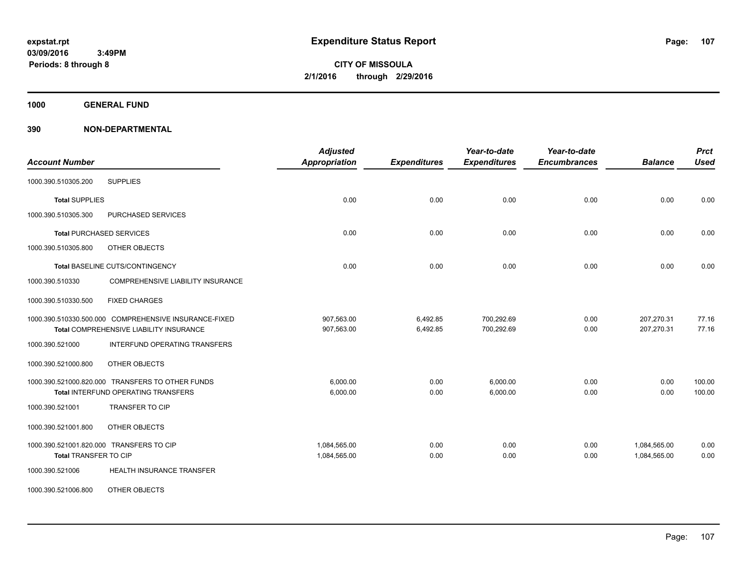**Periods: 8 through 8**

**CITY OF MISSOULA 2/1/2016 through 2/29/2016**

**1000 GENERAL FUND**

| <b>Account Number</b>                                       | <b>Adjusted</b><br><b>Appropriation</b> | <b>Expenditures</b> | Year-to-date<br><b>Expenditures</b> | Year-to-date<br><b>Encumbrances</b> | <b>Balance</b> | <b>Prct</b><br><b>Used</b> |
|-------------------------------------------------------------|-----------------------------------------|---------------------|-------------------------------------|-------------------------------------|----------------|----------------------------|
| <b>SUPPLIES</b><br>1000.390.510305.200                      |                                         |                     |                                     |                                     |                |                            |
| <b>Total SUPPLIES</b>                                       | 0.00                                    | 0.00                | 0.00                                | 0.00                                | 0.00           | 0.00                       |
| 1000.390.510305.300<br>PURCHASED SERVICES                   |                                         |                     |                                     |                                     |                |                            |
| <b>Total PURCHASED SERVICES</b>                             | 0.00                                    | 0.00                | 0.00                                | 0.00                                | 0.00           | 0.00                       |
| 1000.390.510305.800<br>OTHER OBJECTS                        |                                         |                     |                                     |                                     |                |                            |
| Total BASELINE CUTS/CONTINGENCY                             | 0.00                                    | 0.00                | 0.00                                | 0.00                                | 0.00           | 0.00                       |
| <b>COMPREHENSIVE LIABILITY INSURANCE</b><br>1000.390.510330 |                                         |                     |                                     |                                     |                |                            |
| <b>FIXED CHARGES</b><br>1000.390.510330.500                 |                                         |                     |                                     |                                     |                |                            |
| 1000.390.510330.500.000 COMPREHENSIVE INSURANCE-FIXED       | 907,563.00                              | 6,492.85            | 700,292.69                          | 0.00                                | 207,270.31     | 77.16                      |
| Total COMPREHENSIVE LIABILITY INSURANCE                     | 907,563.00                              | 6,492.85            | 700,292.69                          | 0.00                                | 207,270.31     | 77.16                      |
| 1000.390.521000<br>INTERFUND OPERATING TRANSFERS            |                                         |                     |                                     |                                     |                |                            |
| OTHER OBJECTS<br>1000.390.521000.800                        |                                         |                     |                                     |                                     |                |                            |
| 1000.390.521000.820.000 TRANSFERS TO OTHER FUNDS            | 6.000.00                                | 0.00                | 6.000.00                            | 0.00                                | 0.00           | 100.00                     |
| Total INTERFUND OPERATING TRANSFERS                         | 6,000.00                                | 0.00                | 6,000.00                            | 0.00                                | 0.00           | 100.00                     |
| <b>TRANSFER TO CIP</b><br>1000.390.521001                   |                                         |                     |                                     |                                     |                |                            |
| 1000.390.521001.800<br>OTHER OBJECTS                        |                                         |                     |                                     |                                     |                |                            |
| 1000.390.521001.820.000 TRANSFERS TO CIP                    | 1,084,565.00                            | 0.00                | 0.00                                | 0.00                                | 1,084,565.00   | 0.00                       |
| Total TRANSFER TO CIP                                       | 1,084,565.00                            | 0.00                | 0.00                                | 0.00                                | 1,084,565.00   | 0.00                       |
| HEALTH INSURANCE TRANSFER<br>1000.390.521006                |                                         |                     |                                     |                                     |                |                            |
| 1000.390.521006.800<br>OTHER OBJECTS                        |                                         |                     |                                     |                                     |                |                            |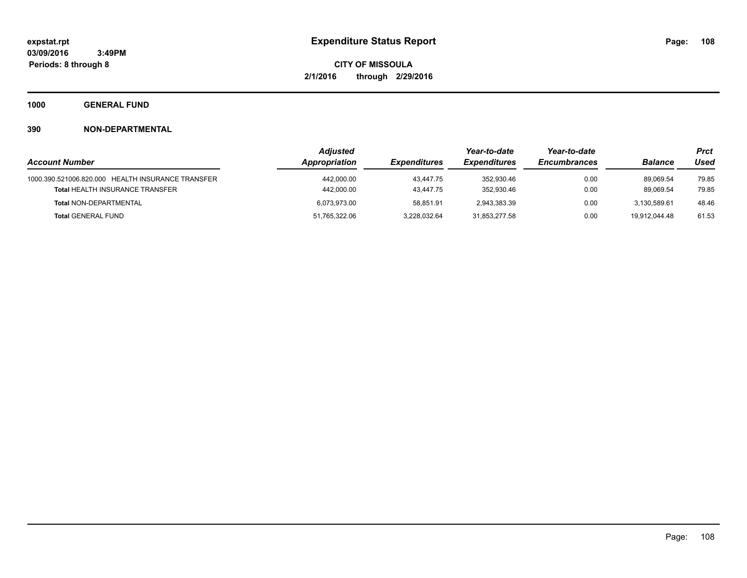**1000 GENERAL FUND**

|                                                   | <b>Adjusted</b> |                     | Year-to-date               | Year-to-date        |                | Prct  |
|---------------------------------------------------|-----------------|---------------------|----------------------------|---------------------|----------------|-------|
| <b>Account Number</b>                             | Appropriation   | <b>Expenditures</b> | <i><b>Expenditures</b></i> | <b>Encumbrances</b> | <b>Balance</b> | Used  |
| 1000.390.521006.820.000 HEALTH INSURANCE TRANSFER | 442,000.00      | 43.447.75           | 352,930.46                 | 0.00                | 89.069.54      | 79.85 |
| <b>Total HEALTH INSURANCE TRANSFER</b>            | 442,000.00      | 43.447.75           | 352.930.46                 | 0.00                | 89.069.54      | 79.85 |
| <b>Total NON-DEPARTMENTAL</b>                     | 6.073.973.00    | 58.851.91           | 2,943,383.39               | 0.00                | 3.130.589.61   | 48.46 |
| <b>Total GENERAL FUND</b>                         | 51,765,322.06   | 3,228,032.64        | 31,853,277.58              | 0.00                | 19.912.044.48  | 61.53 |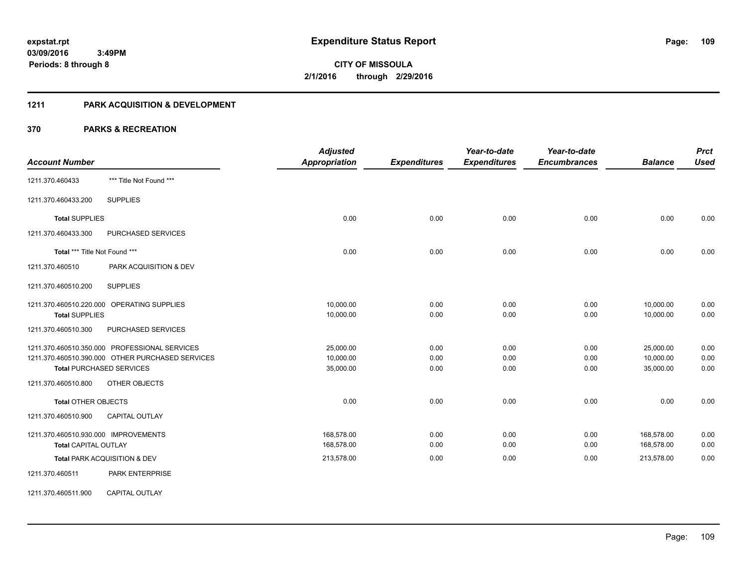# **1211 PARK ACQUISITION & DEVELOPMENT**

|                                                  | <b>Adjusted</b>      |                     | Year-to-date        | Year-to-date        |                | <b>Prct</b> |
|--------------------------------------------------|----------------------|---------------------|---------------------|---------------------|----------------|-------------|
| <b>Account Number</b>                            | <b>Appropriation</b> | <b>Expenditures</b> | <b>Expenditures</b> | <b>Encumbrances</b> | <b>Balance</b> | <b>Used</b> |
| *** Title Not Found ***<br>1211.370.460433       |                      |                     |                     |                     |                |             |
| <b>SUPPLIES</b><br>1211.370.460433.200           |                      |                     |                     |                     |                |             |
| <b>Total SUPPLIES</b>                            | 0.00                 | 0.00                | 0.00                | 0.00                | 0.00           | 0.00        |
| 1211.370.460433.300<br>PURCHASED SERVICES        |                      |                     |                     |                     |                |             |
| Total *** Title Not Found ***                    | 0.00                 | 0.00                | 0.00                | 0.00                | 0.00           | 0.00        |
| 1211.370.460510<br>PARK ACQUISITION & DEV        |                      |                     |                     |                     |                |             |
| <b>SUPPLIES</b><br>1211.370.460510.200           |                      |                     |                     |                     |                |             |
| 1211.370.460510.220.000 OPERATING SUPPLIES       | 10,000.00            | 0.00                | 0.00                | 0.00                | 10,000.00      | 0.00        |
| <b>Total SUPPLIES</b>                            | 10,000.00            | 0.00                | 0.00                | 0.00                | 10,000.00      | 0.00        |
| PURCHASED SERVICES<br>1211.370.460510.300        |                      |                     |                     |                     |                |             |
| 1211.370.460510.350.000 PROFESSIONAL SERVICES    | 25,000.00            | 0.00                | 0.00                | 0.00                | 25,000.00      | 0.00        |
| 1211.370.460510.390.000 OTHER PURCHASED SERVICES | 10,000.00            | 0.00                | 0.00                | 0.00                | 10,000.00      | 0.00        |
| <b>Total PURCHASED SERVICES</b>                  | 35,000.00            | 0.00                | 0.00                | 0.00                | 35,000.00      | 0.00        |
| OTHER OBJECTS<br>1211.370.460510.800             |                      |                     |                     |                     |                |             |
| <b>Total OTHER OBJECTS</b>                       | 0.00                 | 0.00                | 0.00                | 0.00                | 0.00           | 0.00        |
| 1211.370.460510.900<br><b>CAPITAL OUTLAY</b>     |                      |                     |                     |                     |                |             |
| 1211.370.460510.930.000 IMPROVEMENTS             | 168,578.00           | 0.00                | 0.00                | 0.00                | 168,578.00     | 0.00        |
| <b>Total CAPITAL OUTLAY</b>                      | 168,578.00           | 0.00                | 0.00                | 0.00                | 168,578.00     | 0.00        |
| Total PARK ACQUISITION & DEV                     | 213,578.00           | 0.00                | 0.00                | 0.00                | 213,578.00     | 0.00        |
| PARK ENTERPRISE<br>1211.370.460511               |                      |                     |                     |                     |                |             |
| 1211.370.460511.900<br><b>CAPITAL OUTLAY</b>     |                      |                     |                     |                     |                |             |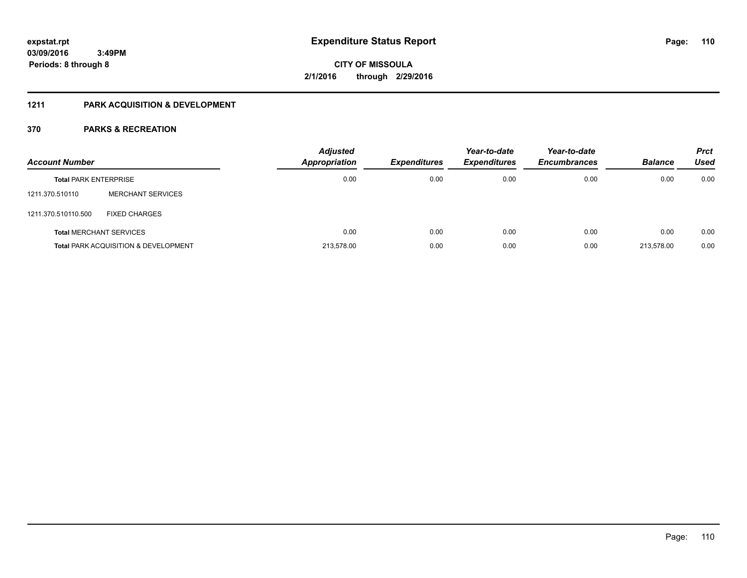# **1211 PARK ACQUISITION & DEVELOPMENT**

| <b>Account Number</b>        |                                                 | <b>Adjusted</b><br>Appropriation | <b>Expenditures</b> | Year-to-date<br><b>Expenditures</b> | Year-to-date<br><b>Encumbrances</b> | <b>Balance</b> | <b>Prct</b><br>Used |
|------------------------------|-------------------------------------------------|----------------------------------|---------------------|-------------------------------------|-------------------------------------|----------------|---------------------|
| <b>Total PARK ENTERPRISE</b> |                                                 | 0.00                             | 0.00                | 0.00                                | 0.00                                | 0.00           | 0.00                |
| 1211.370.510110              | <b>MERCHANT SERVICES</b>                        |                                  |                     |                                     |                                     |                |                     |
| 1211.370.510110.500          | <b>FIXED CHARGES</b>                            |                                  |                     |                                     |                                     |                |                     |
|                              | <b>Total MERCHANT SERVICES</b>                  | 0.00                             | 0.00                | 0.00                                | 0.00                                | 0.00           | 0.00                |
|                              | <b>Total PARK ACQUISITION &amp; DEVELOPMENT</b> | 213.578.00                       | 0.00                | 0.00                                | 0.00                                | 213.578.00     | 0.00                |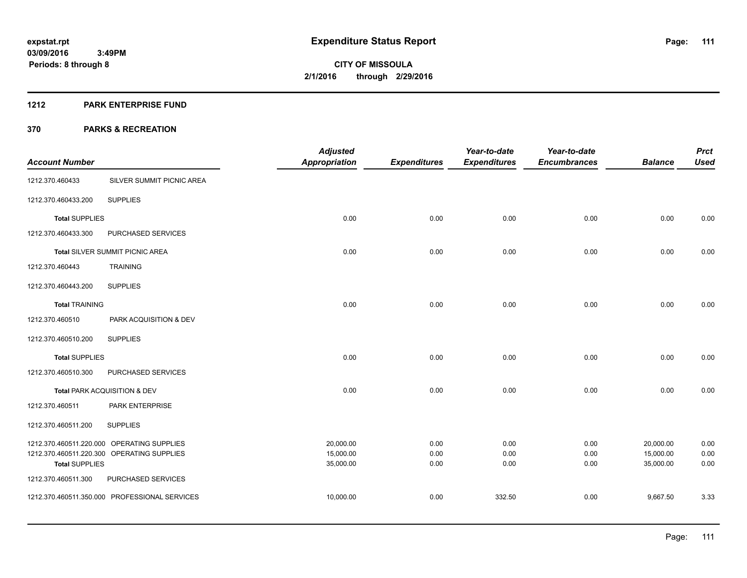#### **1212 PARK ENTERPRISE FUND**

|                       |                                               | <b>Adjusted</b>        |                     | Year-to-date        | Year-to-date        |                        | <b>Prct</b>  |
|-----------------------|-----------------------------------------------|------------------------|---------------------|---------------------|---------------------|------------------------|--------------|
| <b>Account Number</b> |                                               | <b>Appropriation</b>   | <b>Expenditures</b> | <b>Expenditures</b> | <b>Encumbrances</b> | <b>Balance</b>         | <b>Used</b>  |
| 1212.370.460433       | SILVER SUMMIT PICNIC AREA                     |                        |                     |                     |                     |                        |              |
| 1212.370.460433.200   | <b>SUPPLIES</b>                               |                        |                     |                     |                     |                        |              |
| <b>Total SUPPLIES</b> |                                               | 0.00                   | 0.00                | 0.00                | 0.00                | 0.00                   | 0.00         |
| 1212.370.460433.300   | PURCHASED SERVICES                            |                        |                     |                     |                     |                        |              |
|                       | Total SILVER SUMMIT PICNIC AREA               | 0.00                   | 0.00                | 0.00                | 0.00                | 0.00                   | 0.00         |
| 1212.370.460443       | <b>TRAINING</b>                               |                        |                     |                     |                     |                        |              |
| 1212.370.460443.200   | <b>SUPPLIES</b>                               |                        |                     |                     |                     |                        |              |
| <b>Total TRAINING</b> |                                               | 0.00                   | 0.00                | 0.00                | 0.00                | 0.00                   | 0.00         |
| 1212.370.460510       | PARK ACQUISITION & DEV                        |                        |                     |                     |                     |                        |              |
| 1212.370.460510.200   | <b>SUPPLIES</b>                               |                        |                     |                     |                     |                        |              |
| <b>Total SUPPLIES</b> |                                               | 0.00                   | 0.00                | 0.00                | 0.00                | 0.00                   | 0.00         |
| 1212.370.460510.300   | PURCHASED SERVICES                            |                        |                     |                     |                     |                        |              |
|                       | Total PARK ACQUISITION & DEV                  | 0.00                   | 0.00                | 0.00                | 0.00                | 0.00                   | 0.00         |
| 1212.370.460511       | <b>PARK ENTERPRISE</b>                        |                        |                     |                     |                     |                        |              |
| 1212.370.460511.200   | <b>SUPPLIES</b>                               |                        |                     |                     |                     |                        |              |
|                       | 1212.370.460511.220.000 OPERATING SUPPLIES    | 20,000.00              | 0.00                | 0.00                | 0.00                | 20,000.00              | 0.00         |
| <b>Total SUPPLIES</b> | 1212.370.460511.220.300 OPERATING SUPPLIES    | 15,000.00<br>35,000.00 | 0.00<br>0.00        | 0.00<br>0.00        | 0.00<br>0.00        | 15,000.00<br>35,000.00 | 0.00<br>0.00 |
| 1212.370.460511.300   | PURCHASED SERVICES                            |                        |                     |                     |                     |                        |              |
|                       | 1212.370.460511.350.000 PROFESSIONAL SERVICES | 10,000.00              | 0.00                | 332.50              | 0.00                | 9,667.50               | 3.33         |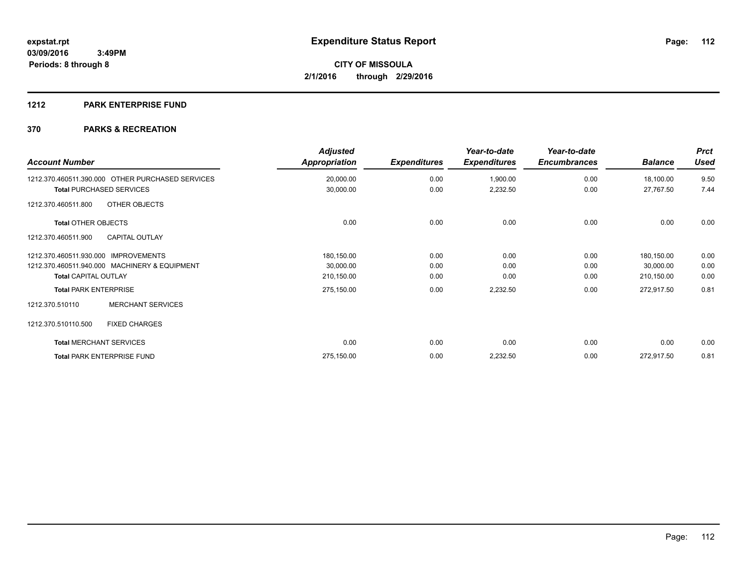# **1212 PARK ENTERPRISE FUND**

| <b>Account Number</b>                            | <b>Adjusted</b><br>Appropriation | <b>Expenditures</b> | Year-to-date<br><b>Expenditures</b> | Year-to-date<br><b>Encumbrances</b> | <b>Balance</b> | <b>Prct</b><br><b>Used</b> |
|--------------------------------------------------|----------------------------------|---------------------|-------------------------------------|-------------------------------------|----------------|----------------------------|
| 1212.370.460511.390.000 OTHER PURCHASED SERVICES | 20,000.00                        | 0.00                | 1,900.00                            | 0.00                                | 18,100.00      | 9.50                       |
| <b>Total PURCHASED SERVICES</b>                  | 30,000.00                        | 0.00                | 2,232.50                            | 0.00                                | 27,767.50      | 7.44                       |
| OTHER OBJECTS<br>1212.370.460511.800             |                                  |                     |                                     |                                     |                |                            |
| <b>Total OTHER OBJECTS</b>                       | 0.00                             | 0.00                | 0.00                                | 0.00                                | 0.00           | 0.00                       |
| <b>CAPITAL OUTLAY</b><br>1212.370.460511.900     |                                  |                     |                                     |                                     |                |                            |
| 1212.370.460511.930.000 IMPROVEMENTS             | 180,150.00                       | 0.00                | 0.00                                | 0.00                                | 180,150.00     | 0.00                       |
| 1212.370.460511.940.000 MACHINERY & EQUIPMENT    | 30,000.00                        | 0.00                | 0.00                                | 0.00                                | 30,000.00      | 0.00                       |
| <b>Total CAPITAL OUTLAY</b>                      | 210,150.00                       | 0.00                | 0.00                                | 0.00                                | 210,150.00     | 0.00                       |
| <b>Total PARK ENTERPRISE</b>                     | 275,150.00                       | 0.00                | 2,232.50                            | 0.00                                | 272,917.50     | 0.81                       |
| <b>MERCHANT SERVICES</b><br>1212.370.510110      |                                  |                     |                                     |                                     |                |                            |
| 1212.370.510110.500<br><b>FIXED CHARGES</b>      |                                  |                     |                                     |                                     |                |                            |
| <b>Total MERCHANT SERVICES</b>                   | 0.00                             | 0.00                | 0.00                                | 0.00                                | 0.00           | 0.00                       |
| <b>Total PARK ENTERPRISE FUND</b>                | 275,150.00                       | 0.00                | 2,232.50                            | 0.00                                | 272,917.50     | 0.81                       |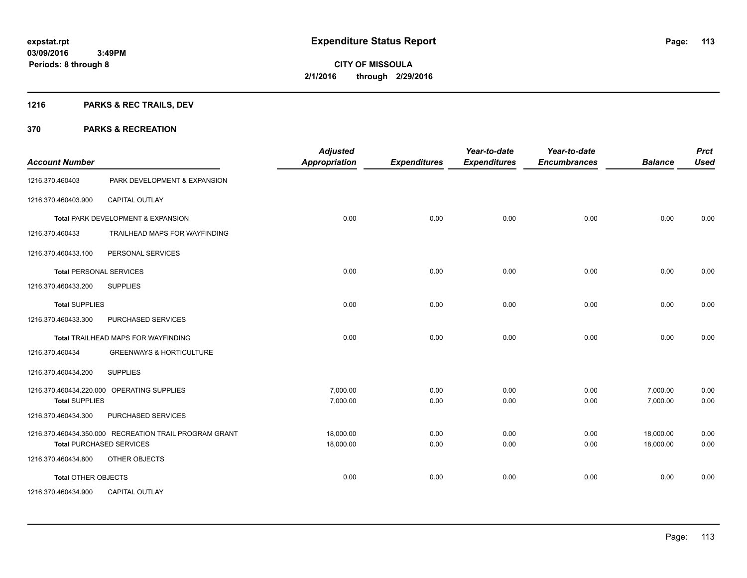# **1216 PARKS & REC TRAILS, DEV**

| <b>Account Number</b>          |                                                        | <b>Adjusted</b><br>Appropriation | <b>Expenditures</b> | Year-to-date<br><b>Expenditures</b> | Year-to-date<br><b>Encumbrances</b> | <b>Balance</b> | <b>Prct</b><br><b>Used</b> |
|--------------------------------|--------------------------------------------------------|----------------------------------|---------------------|-------------------------------------|-------------------------------------|----------------|----------------------------|
| 1216.370.460403                | PARK DEVELOPMENT & EXPANSION                           |                                  |                     |                                     |                                     |                |                            |
| 1216.370.460403.900            | <b>CAPITAL OUTLAY</b>                                  |                                  |                     |                                     |                                     |                |                            |
|                                | Total PARK DEVELOPMENT & EXPANSION                     | 0.00                             | 0.00                | 0.00                                | 0.00                                | 0.00           | 0.00                       |
| 1216.370.460433                | TRAILHEAD MAPS FOR WAYFINDING                          |                                  |                     |                                     |                                     |                |                            |
| 1216.370.460433.100            | PERSONAL SERVICES                                      |                                  |                     |                                     |                                     |                |                            |
| <b>Total PERSONAL SERVICES</b> |                                                        | 0.00                             | 0.00                | 0.00                                | 0.00                                | 0.00           | 0.00                       |
| 1216.370.460433.200            | <b>SUPPLIES</b>                                        |                                  |                     |                                     |                                     |                |                            |
| <b>Total SUPPLIES</b>          |                                                        | 0.00                             | 0.00                | 0.00                                | 0.00                                | 0.00           | 0.00                       |
| 1216.370.460433.300            | PURCHASED SERVICES                                     |                                  |                     |                                     |                                     |                |                            |
|                                | Total TRAILHEAD MAPS FOR WAYFINDING                    | 0.00                             | 0.00                | 0.00                                | 0.00                                | 0.00           | 0.00                       |
| 1216.370.460434                | <b>GREENWAYS &amp; HORTICULTURE</b>                    |                                  |                     |                                     |                                     |                |                            |
| 1216.370.460434.200            | <b>SUPPLIES</b>                                        |                                  |                     |                                     |                                     |                |                            |
|                                | 1216.370.460434.220.000 OPERATING SUPPLIES             | 7,000.00                         | 0.00                | 0.00                                | 0.00                                | 7,000.00       | 0.00                       |
| <b>Total SUPPLIES</b>          |                                                        | 7,000.00                         | 0.00                | 0.00                                | 0.00                                | 7,000.00       | 0.00                       |
| 1216.370.460434.300            | PURCHASED SERVICES                                     |                                  |                     |                                     |                                     |                |                            |
|                                | 1216.370.460434.350.000 RECREATION TRAIL PROGRAM GRANT | 18,000.00                        | 0.00                | 0.00                                | 0.00                                | 18,000.00      | 0.00                       |
|                                | <b>Total PURCHASED SERVICES</b>                        | 18,000.00                        | 0.00                | 0.00                                | 0.00                                | 18,000.00      | 0.00                       |
| 1216.370.460434.800            | OTHER OBJECTS                                          |                                  |                     |                                     |                                     |                |                            |
| Total OTHER OBJECTS            |                                                        | 0.00                             | 0.00                | 0.00                                | 0.00                                | 0.00           | 0.00                       |
| 1216.370.460434.900            | <b>CAPITAL OUTLAY</b>                                  |                                  |                     |                                     |                                     |                |                            |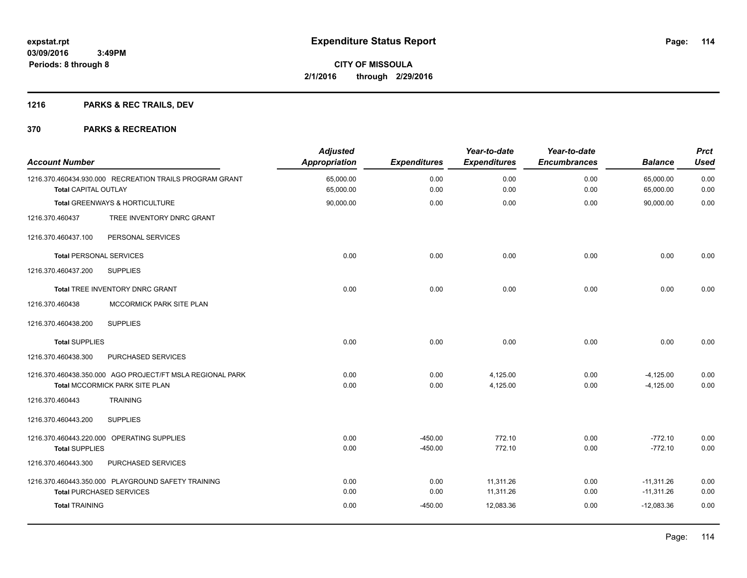# **1216 PARKS & REC TRAILS, DEV**

| <b>Account Number</b>          |                                                           | <b>Adjusted</b><br><b>Appropriation</b> | <b>Expenditures</b> | Year-to-date<br><b>Expenditures</b> | Year-to-date<br><b>Encumbrances</b> | <b>Balance</b>         | <b>Prct</b><br><b>Used</b> |
|--------------------------------|-----------------------------------------------------------|-----------------------------------------|---------------------|-------------------------------------|-------------------------------------|------------------------|----------------------------|
| <b>Total CAPITAL OUTLAY</b>    | 1216.370.460434.930.000 RECREATION TRAILS PROGRAM GRANT   | 65,000.00<br>65,000.00                  | 0.00<br>0.00        | 0.00<br>0.00                        | 0.00<br>0.00                        | 65,000.00<br>65,000.00 | 0.00<br>0.00               |
|                                | Total GREENWAYS & HORTICULTURE                            | 90,000.00                               | 0.00                | 0.00                                | 0.00                                | 90,000.00              | 0.00                       |
| 1216.370.460437                | TREE INVENTORY DNRC GRANT                                 |                                         |                     |                                     |                                     |                        |                            |
| 1216.370.460437.100            | PERSONAL SERVICES                                         |                                         |                     |                                     |                                     |                        |                            |
| <b>Total PERSONAL SERVICES</b> |                                                           | 0.00                                    | 0.00                | 0.00                                | 0.00                                | 0.00                   | 0.00                       |
| 1216.370.460437.200            | <b>SUPPLIES</b>                                           |                                         |                     |                                     |                                     |                        |                            |
|                                | Total TREE INVENTORY DNRC GRANT                           | 0.00                                    | 0.00                | 0.00                                | 0.00                                | 0.00                   | 0.00                       |
| 1216.370.460438                | MCCORMICK PARK SITE PLAN                                  |                                         |                     |                                     |                                     |                        |                            |
| 1216.370.460438.200            | <b>SUPPLIES</b>                                           |                                         |                     |                                     |                                     |                        |                            |
| <b>Total SUPPLIES</b>          |                                                           | 0.00                                    | 0.00                | 0.00                                | 0.00                                | 0.00                   | 0.00                       |
| 1216.370.460438.300            | PURCHASED SERVICES                                        |                                         |                     |                                     |                                     |                        |                            |
|                                | 1216.370.460438.350.000 AGO PROJECT/FT MSLA REGIONAL PARK | 0.00                                    | 0.00                | 4,125.00                            | 0.00                                | $-4,125.00$            | 0.00                       |
|                                | Total MCCORMICK PARK SITE PLAN                            | 0.00                                    | 0.00                | 4,125.00                            | 0.00                                | $-4.125.00$            | 0.00                       |
| 1216.370.460443                | <b>TRAINING</b>                                           |                                         |                     |                                     |                                     |                        |                            |
| 1216.370.460443.200            | <b>SUPPLIES</b>                                           |                                         |                     |                                     |                                     |                        |                            |
|                                | 1216.370.460443.220.000 OPERATING SUPPLIES                | 0.00                                    | $-450.00$           | 772.10                              | 0.00                                | $-772.10$              | 0.00                       |
| <b>Total SUPPLIES</b>          |                                                           | 0.00                                    | $-450.00$           | 772.10                              | 0.00                                | $-772.10$              | 0.00                       |
| 1216.370.460443.300            | PURCHASED SERVICES                                        |                                         |                     |                                     |                                     |                        |                            |
|                                | 1216.370.460443.350.000 PLAYGROUND SAFETY TRAINING        | 0.00                                    | 0.00                | 11,311.26                           | 0.00                                | $-11,311.26$           | 0.00                       |
|                                | <b>Total PURCHASED SERVICES</b>                           | 0.00                                    | 0.00                | 11,311.26                           | 0.00                                | $-11,311.26$           | 0.00                       |
| <b>Total TRAINING</b>          |                                                           | 0.00                                    | $-450.00$           | 12,083.36                           | 0.00                                | $-12,083.36$           | 0.00                       |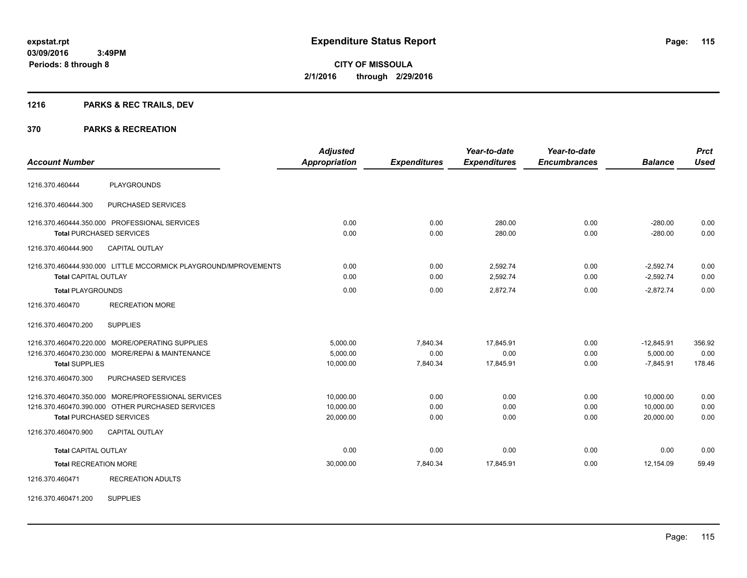# **1216 PARKS & REC TRAILS, DEV**

#### **370 PARKS & RECREATION**

| <b>Account Number</b>        |                                                                                                                                           | <b>Adjusted</b><br><b>Appropriation</b> | <b>Expenditures</b>          | Year-to-date<br><b>Expenditures</b> | Year-to-date<br><b>Encumbrances</b> | <b>Balance</b>                          | <b>Prct</b><br><b>Used</b> |
|------------------------------|-------------------------------------------------------------------------------------------------------------------------------------------|-----------------------------------------|------------------------------|-------------------------------------|-------------------------------------|-----------------------------------------|----------------------------|
| 1216.370.460444              | <b>PLAYGROUNDS</b>                                                                                                                        |                                         |                              |                                     |                                     |                                         |                            |
| 1216.370.460444.300          | PURCHASED SERVICES                                                                                                                        |                                         |                              |                                     |                                     |                                         |                            |
|                              | 1216.370.460444.350.000 PROFESSIONAL SERVICES<br><b>Total PURCHASED SERVICES</b>                                                          | 0.00<br>0.00                            | 0.00<br>0.00                 | 280.00<br>280.00                    | 0.00<br>0.00                        | $-280.00$<br>$-280.00$                  | 0.00<br>0.00               |
| 1216.370.460444.900          | <b>CAPITAL OUTLAY</b>                                                                                                                     |                                         |                              |                                     |                                     |                                         |                            |
| <b>Total CAPITAL OUTLAY</b>  | 1216.370.460444.930.000 LITTLE MCCORMICK PLAYGROUND/MPROVEMENTS                                                                           | 0.00<br>0.00                            | 0.00<br>0.00                 | 2,592.74<br>2,592.74                | 0.00<br>0.00                        | $-2,592.74$<br>$-2,592.74$              | 0.00<br>0.00               |
| <b>Total PLAYGROUNDS</b>     |                                                                                                                                           | 0.00                                    | 0.00                         | 2.872.74                            | 0.00                                | $-2.872.74$                             | 0.00                       |
| 1216.370.460470              | <b>RECREATION MORE</b>                                                                                                                    |                                         |                              |                                     |                                     |                                         |                            |
| 1216.370.460470.200          | <b>SUPPLIES</b>                                                                                                                           |                                         |                              |                                     |                                     |                                         |                            |
| <b>Total SUPPLIES</b>        | 1216.370.460470.220.000 MORE/OPERATING SUPPLIES<br>1216.370.460470.230.000 MORE/REPAI & MAINTENANCE                                       | 5,000.00<br>5,000.00<br>10,000.00       | 7,840.34<br>0.00<br>7,840.34 | 17,845.91<br>0.00<br>17,845.91      | 0.00<br>0.00<br>0.00                | $-12,845.91$<br>5,000.00<br>$-7,845.91$ | 356.92<br>0.00<br>178.46   |
| 1216.370.460470.300          | PURCHASED SERVICES                                                                                                                        |                                         |                              |                                     |                                     |                                         |                            |
|                              | 1216.370.460470.350.000 MORE/PROFESSIONAL SERVICES<br>1216.370.460470.390.000 OTHER PURCHASED SERVICES<br><b>Total PURCHASED SERVICES</b> | 10.000.00<br>10.000.00<br>20,000.00     | 0.00<br>0.00<br>0.00         | 0.00<br>0.00<br>0.00                | 0.00<br>0.00<br>0.00                | 10,000.00<br>10,000.00<br>20,000.00     | 0.00<br>0.00<br>0.00       |
| 1216.370.460470.900          | <b>CAPITAL OUTLAY</b>                                                                                                                     |                                         |                              |                                     |                                     |                                         |                            |
| <b>Total CAPITAL OUTLAY</b>  |                                                                                                                                           | 0.00                                    | 0.00                         | 0.00                                | 0.00                                | 0.00                                    | 0.00                       |
| <b>Total RECREATION MORE</b> |                                                                                                                                           | 30,000.00                               | 7,840.34                     | 17,845.91                           | 0.00                                | 12,154.09                               | 59.49                      |
| 1216.370.460471              | <b>RECREATION ADULTS</b>                                                                                                                  |                                         |                              |                                     |                                     |                                         |                            |

1216.370.460471.200 SUPPLIES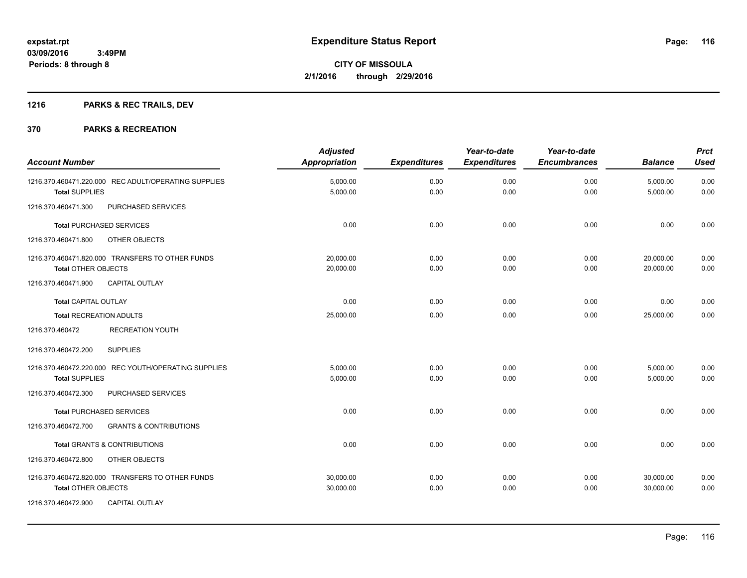# **1216 PARKS & REC TRAILS, DEV**

|                                                          | <b>Adjusted</b>      |                     | Year-to-date        | Year-to-date        |                | <b>Prct</b> |
|----------------------------------------------------------|----------------------|---------------------|---------------------|---------------------|----------------|-------------|
| <b>Account Number</b>                                    | <b>Appropriation</b> | <b>Expenditures</b> | <b>Expenditures</b> | <b>Encumbrances</b> | <b>Balance</b> | <b>Used</b> |
| 1216.370.460471.220.000 REC ADULT/OPERATING SUPPLIES     | 5,000.00             | 0.00                | 0.00                | 0.00                | 5,000.00       | 0.00        |
| <b>Total SUPPLIES</b>                                    | 5,000.00             | 0.00                | 0.00                | 0.00                | 5,000.00       | 0.00        |
| PURCHASED SERVICES<br>1216.370.460471.300                |                      |                     |                     |                     |                |             |
| <b>Total PURCHASED SERVICES</b>                          | 0.00                 | 0.00                | 0.00                | 0.00                | 0.00           | 0.00        |
| OTHER OBJECTS<br>1216.370.460471.800                     |                      |                     |                     |                     |                |             |
| 1216.370.460471.820.000 TRANSFERS TO OTHER FUNDS         | 20,000.00            | 0.00                | 0.00                | 0.00                | 20,000.00      | 0.00        |
| Total OTHER OBJECTS                                      | 20,000.00            | 0.00                | 0.00                | 0.00                | 20,000.00      | 0.00        |
| 1216.370.460471.900<br><b>CAPITAL OUTLAY</b>             |                      |                     |                     |                     |                |             |
| <b>Total CAPITAL OUTLAY</b>                              | 0.00                 | 0.00                | 0.00                | 0.00                | 0.00           | 0.00        |
| <b>Total RECREATION ADULTS</b>                           | 25,000.00            | 0.00                | 0.00                | 0.00                | 25.000.00      | 0.00        |
| <b>RECREATION YOUTH</b><br>1216.370.460472               |                      |                     |                     |                     |                |             |
| <b>SUPPLIES</b><br>1216.370.460472.200                   |                      |                     |                     |                     |                |             |
| 1216.370.460472.220.000 REC YOUTH/OPERATING SUPPLIES     | 5,000.00             | 0.00                | 0.00                | 0.00                | 5,000.00       | 0.00        |
| <b>Total SUPPLIES</b>                                    | 5,000.00             | 0.00                | 0.00                | 0.00                | 5,000.00       | 0.00        |
| 1216.370.460472.300<br>PURCHASED SERVICES                |                      |                     |                     |                     |                |             |
| <b>Total PURCHASED SERVICES</b>                          | 0.00                 | 0.00                | 0.00                | 0.00                | 0.00           | 0.00        |
| 1216.370.460472.700<br><b>GRANTS &amp; CONTRIBUTIONS</b> |                      |                     |                     |                     |                |             |
| Total GRANTS & CONTRIBUTIONS                             | 0.00                 | 0.00                | 0.00                | 0.00                | 0.00           | 0.00        |
| 1216.370.460472.800<br>OTHER OBJECTS                     |                      |                     |                     |                     |                |             |
| 1216.370.460472.820.000 TRANSFERS TO OTHER FUNDS         | 30,000.00            | 0.00                | 0.00                | 0.00                | 30,000.00      | 0.00        |
| <b>Total OTHER OBJECTS</b>                               | 30,000.00            | 0.00                | 0.00                | 0.00                | 30,000.00      | 0.00        |
| 1216.370.460472.900<br><b>CAPITAL OUTLAY</b>             |                      |                     |                     |                     |                |             |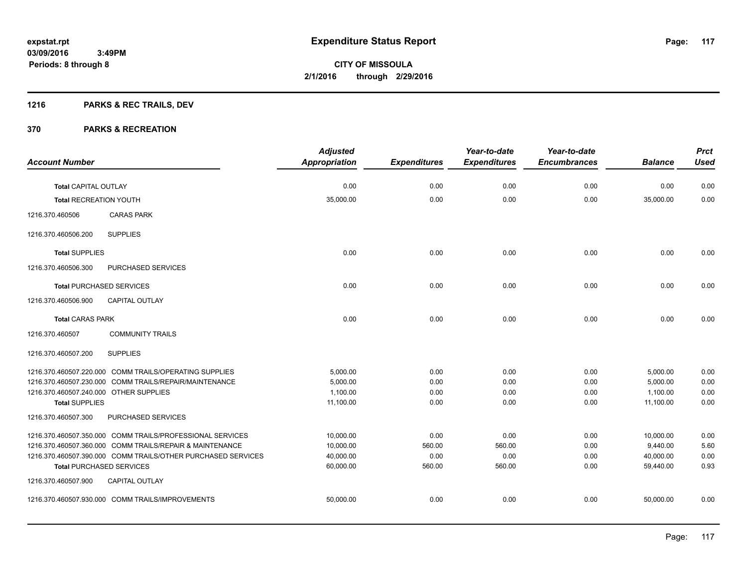# **1216 PARKS & REC TRAILS, DEV**

|                                        |                                                              | <b>Adjusted</b>      |                     | Year-to-date        | Year-to-date        |                | <b>Prct</b> |
|----------------------------------------|--------------------------------------------------------------|----------------------|---------------------|---------------------|---------------------|----------------|-------------|
| <b>Account Number</b>                  |                                                              | <b>Appropriation</b> | <b>Expenditures</b> | <b>Expenditures</b> | <b>Encumbrances</b> | <b>Balance</b> | <b>Used</b> |
| Total CAPITAL OUTLAY                   |                                                              | 0.00                 | 0.00                | 0.00                | 0.00                | 0.00           | 0.00        |
| <b>Total RECREATION YOUTH</b>          |                                                              | 35,000.00            | 0.00                | 0.00                | 0.00                | 35,000.00      | 0.00        |
|                                        |                                                              |                      |                     |                     |                     |                |             |
| 1216.370.460506                        | <b>CARAS PARK</b>                                            |                      |                     |                     |                     |                |             |
| 1216.370.460506.200                    | <b>SUPPLIES</b>                                              |                      |                     |                     |                     |                |             |
| <b>Total SUPPLIES</b>                  |                                                              | 0.00                 | 0.00                | 0.00                | 0.00                | 0.00           | 0.00        |
| 1216.370.460506.300                    | PURCHASED SERVICES                                           |                      |                     |                     |                     |                |             |
| <b>Total PURCHASED SERVICES</b>        |                                                              | 0.00                 | 0.00                | 0.00                | 0.00                | 0.00           | 0.00        |
| 1216.370.460506.900                    | <b>CAPITAL OUTLAY</b>                                        |                      |                     |                     |                     |                |             |
| <b>Total CARAS PARK</b>                |                                                              | 0.00                 | 0.00                | 0.00                | 0.00                | 0.00           | 0.00        |
| 1216.370.460507                        | <b>COMMUNITY TRAILS</b>                                      |                      |                     |                     |                     |                |             |
| 1216.370.460507.200                    | <b>SUPPLIES</b>                                              |                      |                     |                     |                     |                |             |
|                                        | 1216.370.460507.220.000 COMM TRAILS/OPERATING SUPPLIES       | 5,000.00             | 0.00                | 0.00                | 0.00                | 5,000.00       | 0.00        |
|                                        | 1216.370.460507.230.000 COMM TRAILS/REPAIR/MAINTENANCE       | 5,000.00             | 0.00                | 0.00                | 0.00                | 5,000.00       | 0.00        |
| 1216.370.460507.240.000 OTHER SUPPLIES |                                                              | 1,100.00             | 0.00                | 0.00                | 0.00                | 1,100.00       | 0.00        |
| <b>Total SUPPLIES</b>                  |                                                              | 11,100.00            | 0.00                | 0.00                | 0.00                | 11,100.00      | 0.00        |
| 1216.370.460507.300                    | PURCHASED SERVICES                                           |                      |                     |                     |                     |                |             |
|                                        | 1216.370.460507.350.000 COMM TRAILS/PROFESSIONAL SERVICES    | 10,000.00            | 0.00                | 0.00                | 0.00                | 10,000.00      | 0.00        |
|                                        | 1216.370.460507.360.000 COMM TRAILS/REPAIR & MAINTENANCE     | 10,000.00            | 560.00              | 560.00              | 0.00                | 9,440.00       | 5.60        |
|                                        | 1216.370.460507.390.000 COMM TRAILS/OTHER PURCHASED SERVICES | 40,000.00            | 0.00                | 0.00                | 0.00                | 40.000.00      | 0.00        |
| <b>Total PURCHASED SERVICES</b>        |                                                              | 60,000.00            | 560.00              | 560.00              | 0.00                | 59,440.00      | 0.93        |
| 1216.370.460507.900                    | <b>CAPITAL OUTLAY</b>                                        |                      |                     |                     |                     |                |             |
|                                        | 1216.370.460507.930.000 COMM TRAILS/IMPROVEMENTS             | 50,000.00            | 0.00                | 0.00                | 0.00                | 50,000.00      | 0.00        |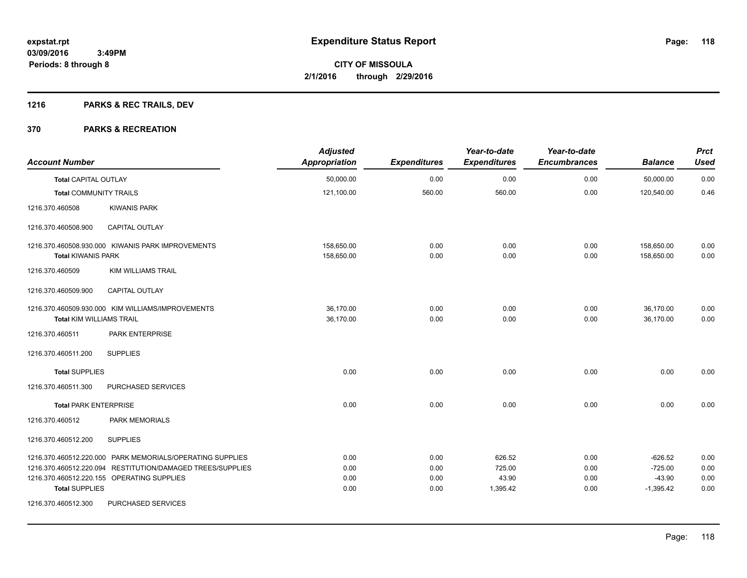# **1216 PARKS & REC TRAILS, DEV**

| <b>Account Number</b>           |                                                                                                                                                                       | <b>Adjusted</b><br><b>Appropriation</b> | <b>Expenditures</b>          | Year-to-date<br><b>Expenditures</b>   | Year-to-date<br><b>Encumbrances</b> | <b>Balance</b>                                    | <b>Prct</b><br><b>Used</b>   |
|---------------------------------|-----------------------------------------------------------------------------------------------------------------------------------------------------------------------|-----------------------------------------|------------------------------|---------------------------------------|-------------------------------------|---------------------------------------------------|------------------------------|
| <b>Total CAPITAL OUTLAY</b>     |                                                                                                                                                                       | 50,000.00                               | 0.00                         | 0.00                                  | 0.00                                | 50,000.00                                         | 0.00                         |
| <b>Total COMMUNITY TRAILS</b>   |                                                                                                                                                                       | 121,100.00                              | 560.00                       | 560.00                                | 0.00                                | 120,540.00                                        | 0.46                         |
| 1216.370.460508                 | <b>KIWANIS PARK</b>                                                                                                                                                   |                                         |                              |                                       |                                     |                                                   |                              |
| 1216.370.460508.900             | <b>CAPITAL OUTLAY</b>                                                                                                                                                 |                                         |                              |                                       |                                     |                                                   |                              |
| <b>Total KIWANIS PARK</b>       | 1216.370.460508.930.000 KIWANIS PARK IMPROVEMENTS                                                                                                                     | 158,650.00<br>158,650.00                | 0.00<br>0.00                 | 0.00<br>0.00                          | 0.00<br>0.00                        | 158,650.00<br>158,650.00                          | 0.00<br>0.00                 |
| 1216.370.460509                 | <b>KIM WILLIAMS TRAIL</b>                                                                                                                                             |                                         |                              |                                       |                                     |                                                   |                              |
| 1216.370.460509.900             | <b>CAPITAL OUTLAY</b>                                                                                                                                                 |                                         |                              |                                       |                                     |                                                   |                              |
| <b>Total KIM WILLIAMS TRAIL</b> | 1216.370.460509.930.000 KIM WILLIAMS/IMPROVEMENTS                                                                                                                     | 36,170.00<br>36,170.00                  | 0.00<br>0.00                 | 0.00<br>0.00                          | 0.00<br>0.00                        | 36,170.00<br>36,170.00                            | 0.00<br>0.00                 |
| 1216.370.460511                 | PARK ENTERPRISE                                                                                                                                                       |                                         |                              |                                       |                                     |                                                   |                              |
| 1216.370.460511.200             | <b>SUPPLIES</b>                                                                                                                                                       |                                         |                              |                                       |                                     |                                                   |                              |
| <b>Total SUPPLIES</b>           |                                                                                                                                                                       | 0.00                                    | 0.00                         | 0.00                                  | 0.00                                | 0.00                                              | 0.00                         |
| 1216.370.460511.300             | PURCHASED SERVICES                                                                                                                                                    |                                         |                              |                                       |                                     |                                                   |                              |
| <b>Total PARK ENTERPRISE</b>    |                                                                                                                                                                       | 0.00                                    | 0.00                         | 0.00                                  | 0.00                                | 0.00                                              | 0.00                         |
| 1216.370.460512                 | PARK MEMORIALS                                                                                                                                                        |                                         |                              |                                       |                                     |                                                   |                              |
| 1216.370.460512.200             | <b>SUPPLIES</b>                                                                                                                                                       |                                         |                              |                                       |                                     |                                                   |                              |
| <b>Total SUPPLIES</b>           | 1216.370.460512.220.000 PARK MEMORIALS/OPERATING SUPPLIES<br>1216.370.460512.220.094 RESTITUTION/DAMAGED TREES/SUPPLIES<br>1216.370.460512.220.155 OPERATING SUPPLIES | 0.00<br>0.00<br>0.00<br>0.00            | 0.00<br>0.00<br>0.00<br>0.00 | 626.52<br>725.00<br>43.90<br>1,395.42 | 0.00<br>0.00<br>0.00<br>0.00        | $-626.52$<br>$-725.00$<br>$-43.90$<br>$-1,395.42$ | 0.00<br>0.00<br>0.00<br>0.00 |
| 1216.370.460512.300             | PURCHASED SERVICES                                                                                                                                                    |                                         |                              |                                       |                                     |                                                   |                              |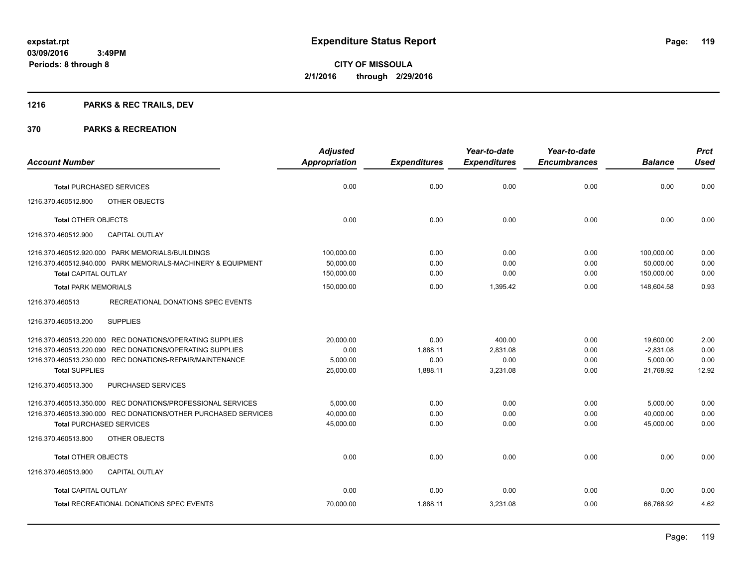# **1216 PARKS & REC TRAILS, DEV**

|                                                                | <b>Adjusted</b>      |                     | Year-to-date        | Year-to-date        |                | <b>Prct</b> |
|----------------------------------------------------------------|----------------------|---------------------|---------------------|---------------------|----------------|-------------|
| <b>Account Number</b>                                          | <b>Appropriation</b> | <b>Expenditures</b> | <b>Expenditures</b> | <b>Encumbrances</b> | <b>Balance</b> | <b>Used</b> |
| <b>Total PURCHASED SERVICES</b>                                | 0.00                 | 0.00                | 0.00                | 0.00                | 0.00           | 0.00        |
| 1216.370.460512.800<br>OTHER OBJECTS                           |                      |                     |                     |                     |                |             |
| <b>Total OTHER OBJECTS</b>                                     | 0.00                 | 0.00                | 0.00                | 0.00                | 0.00           | 0.00        |
| 1216.370.460512.900<br><b>CAPITAL OUTLAY</b>                   |                      |                     |                     |                     |                |             |
| 1216.370.460512.920.000 PARK MEMORIALS/BUILDINGS               | 100.000.00           | 0.00                | 0.00                | 0.00                | 100.000.00     | 0.00        |
| 1216.370.460512.940.000 PARK MEMORIALS-MACHINERY & EQUIPMENT   | 50,000.00            | 0.00                | 0.00                | 0.00                | 50,000.00      | 0.00        |
| <b>Total CAPITAL OUTLAY</b>                                    | 150,000.00           | 0.00                | 0.00                | 0.00                | 150,000.00     | 0.00        |
| <b>Total PARK MEMORIALS</b>                                    | 150,000.00           | 0.00                | 1,395.42            | 0.00                | 148,604.58     | 0.93        |
| 1216.370.460513<br>RECREATIONAL DONATIONS SPEC EVENTS          |                      |                     |                     |                     |                |             |
| <b>SUPPLIES</b><br>1216.370.460513.200                         |                      |                     |                     |                     |                |             |
| 1216.370.460513.220.000 REC DONATIONS/OPERATING SUPPLIES       | 20,000.00            | 0.00                | 400.00              | 0.00                | 19,600.00      | 2.00        |
| 1216.370.460513.220.090 REC DONATIONS/OPERATING SUPPLIES       | 0.00                 | 1,888.11            | 2,831.08            | 0.00                | $-2,831.08$    | 0.00        |
| 1216.370.460513.230.000 REC DONATIONS-REPAIR/MAINTENANCE       | 5,000.00             | 0.00                | 0.00                | 0.00                | 5,000.00       | 0.00        |
| <b>Total SUPPLIES</b>                                          | 25,000.00            | 1,888.11            | 3,231.08            | 0.00                | 21,768.92      | 12.92       |
| 1216.370.460513.300<br><b>PURCHASED SERVICES</b>               |                      |                     |                     |                     |                |             |
| 1216.370.460513.350.000 REC DONATIONS/PROFESSIONAL SERVICES    | 5,000.00             | 0.00                | 0.00                | 0.00                | 5,000.00       | 0.00        |
| 1216.370.460513.390.000 REC DONATIONS/OTHER PURCHASED SERVICES | 40,000.00            | 0.00                | 0.00                | 0.00                | 40,000.00      | 0.00        |
| <b>Total PURCHASED SERVICES</b>                                | 45,000.00            | 0.00                | 0.00                | 0.00                | 45,000.00      | 0.00        |
| 1216.370.460513.800<br>OTHER OBJECTS                           |                      |                     |                     |                     |                |             |
| <b>Total OTHER OBJECTS</b>                                     | 0.00                 | 0.00                | 0.00                | 0.00                | 0.00           | 0.00        |
| 1216.370.460513.900<br><b>CAPITAL OUTLAY</b>                   |                      |                     |                     |                     |                |             |
| <b>Total CAPITAL OUTLAY</b>                                    | 0.00                 | 0.00                | 0.00                | 0.00                | 0.00           | 0.00        |
| <b>Total RECREATIONAL DONATIONS SPEC EVENTS</b>                | 70,000.00            | 1,888.11            | 3,231.08            | 0.00                | 66.768.92      | 4.62        |
|                                                                |                      |                     |                     |                     |                |             |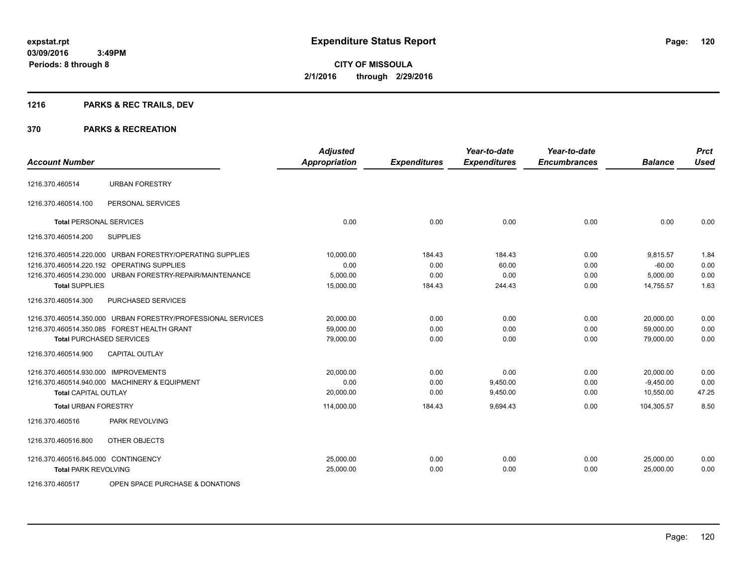# **1216 PARKS & REC TRAILS, DEV**

#### **370 PARKS & RECREATION**

| <b>Account Number</b>                |                                                              | <b>Adjusted</b><br><b>Appropriation</b> | <b>Expenditures</b> | Year-to-date<br><b>Expenditures</b> | Year-to-date<br><b>Encumbrances</b> | <b>Balance</b> | <b>Prct</b><br>Used |
|--------------------------------------|--------------------------------------------------------------|-----------------------------------------|---------------------|-------------------------------------|-------------------------------------|----------------|---------------------|
|                                      |                                                              |                                         |                     |                                     |                                     |                |                     |
| 1216.370.460514                      | <b>URBAN FORESTRY</b>                                        |                                         |                     |                                     |                                     |                |                     |
| 1216.370.460514.100                  | PERSONAL SERVICES                                            |                                         |                     |                                     |                                     |                |                     |
| <b>Total PERSONAL SERVICES</b>       |                                                              | 0.00                                    | 0.00                | 0.00                                | 0.00                                | 0.00           | 0.00                |
| 1216.370.460514.200                  | <b>SUPPLIES</b>                                              |                                         |                     |                                     |                                     |                |                     |
|                                      | 1216.370.460514.220.000 URBAN FORESTRY/OPERATING SUPPLIES    | 10,000.00                               | 184.43              | 184.43                              | 0.00                                | 9,815.57       | 1.84                |
|                                      | 1216.370.460514.220.192 OPERATING SUPPLIES                   | 0.00                                    | 0.00                | 60.00                               | 0.00                                | $-60.00$       | 0.00                |
|                                      | 1216.370.460514.230.000 URBAN FORESTRY-REPAIR/MAINTENANCE    | 5,000.00                                | 0.00                | 0.00                                | 0.00                                | 5,000.00       | 0.00                |
| <b>Total SUPPLIES</b>                |                                                              | 15,000.00                               | 184.43              | 244.43                              | 0.00                                | 14,755.57      | 1.63                |
| 1216.370.460514.300                  | <b>PURCHASED SERVICES</b>                                    |                                         |                     |                                     |                                     |                |                     |
|                                      | 1216.370.460514.350.000 URBAN FORESTRY/PROFESSIONAL SERVICES | 20,000.00                               | 0.00                | 0.00                                | 0.00                                | 20,000.00      | 0.00                |
|                                      | 1216.370.460514.350.085 FOREST HEALTH GRANT                  | 59,000.00                               | 0.00                | 0.00                                | 0.00                                | 59,000.00      | 0.00                |
| <b>Total PURCHASED SERVICES</b>      |                                                              | 79,000.00                               | 0.00                | 0.00                                | 0.00                                | 79,000.00      | 0.00                |
| 1216.370.460514.900                  | CAPITAL OUTLAY                                               |                                         |                     |                                     |                                     |                |                     |
| 1216.370.460514.930.000 IMPROVEMENTS |                                                              | 20,000.00                               | 0.00                | 0.00                                | 0.00                                | 20,000.00      | 0.00                |
|                                      | 1216.370.460514.940.000 MACHINERY & EQUIPMENT                | 0.00                                    | 0.00                | 9,450.00                            | 0.00                                | $-9,450.00$    | 0.00                |
| <b>Total CAPITAL OUTLAY</b>          |                                                              | 20,000.00                               | 0.00                | 9,450.00                            | 0.00                                | 10,550.00      | 47.25               |
| <b>Total URBAN FORESTRY</b>          |                                                              | 114,000.00                              | 184.43              | 9,694.43                            | 0.00                                | 104,305.57     | 8.50                |
| 1216.370.460516                      | PARK REVOLVING                                               |                                         |                     |                                     |                                     |                |                     |
| 1216.370.460516.800                  | OTHER OBJECTS                                                |                                         |                     |                                     |                                     |                |                     |
| 1216.370.460516.845.000 CONTINGENCY  |                                                              | 25.000.00                               | 0.00                | 0.00                                | 0.00                                | 25.000.00      | 0.00                |
| <b>Total PARK REVOLVING</b>          |                                                              | 25,000.00                               | 0.00                | 0.00                                | 0.00                                | 25,000.00      | 0.00                |
| 1010070100777                        | $QDEU QDEU QE BUBQU QE QE QEQU1 HU1 QUQ$                     |                                         |                     |                                     |                                     |                |                     |

1216.370.460517 OPEN SPACE PURCHASE & DONATIONS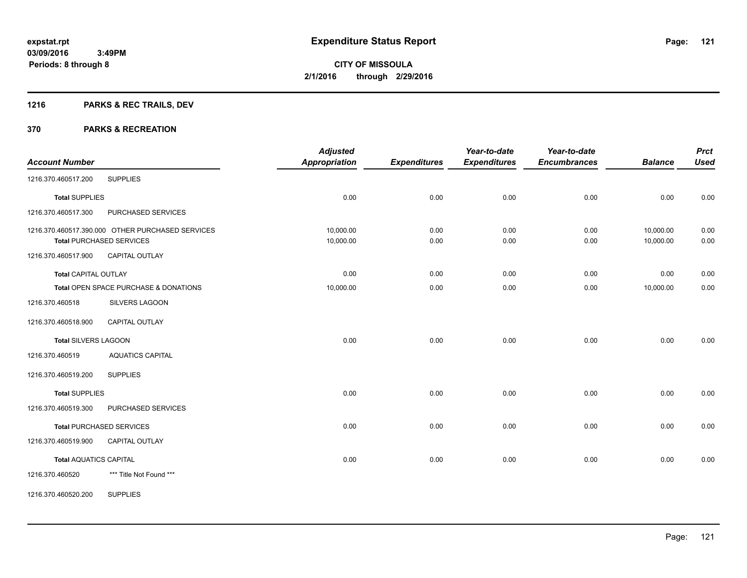# **1216 PARKS & REC TRAILS, DEV**

| <b>Account Number</b>         |                                                  | <b>Adjusted</b><br><b>Appropriation</b> | <b>Expenditures</b> | Year-to-date<br><b>Expenditures</b> | Year-to-date<br><b>Encumbrances</b> | <b>Balance</b> | <b>Prct</b><br><b>Used</b> |
|-------------------------------|--------------------------------------------------|-----------------------------------------|---------------------|-------------------------------------|-------------------------------------|----------------|----------------------------|
| 1216.370.460517.200           | <b>SUPPLIES</b>                                  |                                         |                     |                                     |                                     |                |                            |
|                               |                                                  |                                         |                     |                                     |                                     |                |                            |
| <b>Total SUPPLIES</b>         |                                                  | 0.00                                    | 0.00                | 0.00                                | 0.00                                | 0.00           | 0.00                       |
| 1216.370.460517.300           | PURCHASED SERVICES                               |                                         |                     |                                     |                                     |                |                            |
|                               | 1216.370.460517.390.000 OTHER PURCHASED SERVICES | 10,000.00                               | 0.00                | 0.00                                | 0.00                                | 10,000.00      | 0.00                       |
|                               | <b>Total PURCHASED SERVICES</b>                  | 10,000.00                               | 0.00                | 0.00                                | 0.00                                | 10,000.00      | 0.00                       |
| 1216.370.460517.900           | CAPITAL OUTLAY                                   |                                         |                     |                                     |                                     |                |                            |
| <b>Total CAPITAL OUTLAY</b>   |                                                  | 0.00                                    | 0.00                | 0.00                                | 0.00                                | 0.00           | 0.00                       |
|                               | Total OPEN SPACE PURCHASE & DONATIONS            | 10,000.00                               | 0.00                | 0.00                                | 0.00                                | 10,000.00      | 0.00                       |
| 1216.370.460518               | <b>SILVERS LAGOON</b>                            |                                         |                     |                                     |                                     |                |                            |
| 1216.370.460518.900           | <b>CAPITAL OUTLAY</b>                            |                                         |                     |                                     |                                     |                |                            |
| <b>Total SILVERS LAGOON</b>   |                                                  | 0.00                                    | 0.00                | 0.00                                | 0.00                                | 0.00           | 0.00                       |
| 1216.370.460519               | <b>AQUATICS CAPITAL</b>                          |                                         |                     |                                     |                                     |                |                            |
| 1216.370.460519.200           | <b>SUPPLIES</b>                                  |                                         |                     |                                     |                                     |                |                            |
| <b>Total SUPPLIES</b>         |                                                  | 0.00                                    | 0.00                | 0.00                                | 0.00                                | 0.00           | 0.00                       |
| 1216.370.460519.300           | PURCHASED SERVICES                               |                                         |                     |                                     |                                     |                |                            |
|                               | <b>Total PURCHASED SERVICES</b>                  | 0.00                                    | 0.00                | 0.00                                | 0.00                                | 0.00           | 0.00                       |
| 1216.370.460519.900           | <b>CAPITAL OUTLAY</b>                            |                                         |                     |                                     |                                     |                |                            |
| <b>Total AQUATICS CAPITAL</b> |                                                  | 0.00                                    | 0.00                | 0.00                                | 0.00                                | 0.00           | 0.00                       |
| 1216.370.460520               | *** Title Not Found ***                          |                                         |                     |                                     |                                     |                |                            |
| 1216.370.460520.200           | <b>SUPPLIES</b>                                  |                                         |                     |                                     |                                     |                |                            |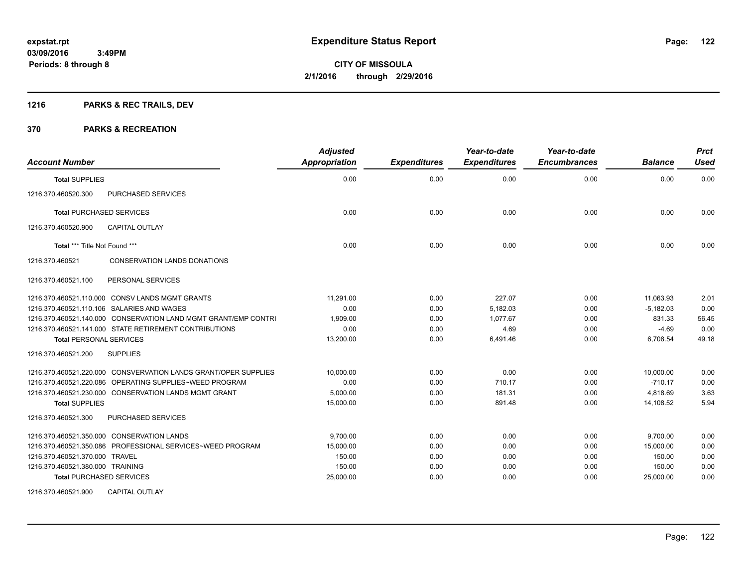# **1216 PARKS & REC TRAILS, DEV**

| <b>Account Number</b>            |                                                                 | <b>Adjusted</b><br><b>Appropriation</b> | <b>Expenditures</b> | Year-to-date<br><b>Expenditures</b> | Year-to-date<br><b>Encumbrances</b> | <b>Balance</b> | <b>Prct</b><br><b>Used</b> |
|----------------------------------|-----------------------------------------------------------------|-----------------------------------------|---------------------|-------------------------------------|-------------------------------------|----------------|----------------------------|
| <b>Total SUPPLIES</b>            |                                                                 | 0.00                                    | 0.00                | 0.00                                | 0.00                                | 0.00           | 0.00                       |
| 1216.370.460520.300              | PURCHASED SERVICES                                              |                                         |                     |                                     |                                     |                |                            |
| <b>Total PURCHASED SERVICES</b>  |                                                                 | 0.00                                    | 0.00                | 0.00                                | 0.00                                | 0.00           | 0.00                       |
| 1216.370.460520.900              | <b>CAPITAL OUTLAY</b>                                           |                                         |                     |                                     |                                     |                |                            |
| Total *** Title Not Found ***    |                                                                 | 0.00                                    | 0.00                | 0.00                                | 0.00                                | 0.00           | 0.00                       |
| 1216.370.460521                  | <b>CONSERVATION LANDS DONATIONS</b>                             |                                         |                     |                                     |                                     |                |                            |
| 1216.370.460521.100              | PERSONAL SERVICES                                               |                                         |                     |                                     |                                     |                |                            |
|                                  | 1216.370.460521.110.000 CONSV LANDS MGMT GRANTS                 | 11,291.00                               | 0.00                | 227.07                              | 0.00                                | 11,063.93      | 2.01                       |
|                                  | 1216.370.460521.110.106 SALARIES AND WAGES                      | 0.00                                    | 0.00                | 5,182.03                            | 0.00                                | $-5,182.03$    | 0.00                       |
|                                  | 1216.370.460521.140.000 CONSERVATION LAND MGMT GRANT/EMP CONTRI | 1,909.00                                | 0.00                | 1.077.67                            | 0.00                                | 831.33         | 56.45                      |
|                                  | 1216.370.460521.141.000 STATE RETIREMENT CONTRIBUTIONS          | 0.00                                    | 0.00                | 4.69                                | 0.00                                | $-4.69$        | 0.00                       |
| <b>Total PERSONAL SERVICES</b>   |                                                                 | 13,200.00                               | 0.00                | 6,491.46                            | 0.00                                | 6,708.54       | 49.18                      |
| 1216.370.460521.200              | <b>SUPPLIES</b>                                                 |                                         |                     |                                     |                                     |                |                            |
|                                  | 1216.370.460521.220.000 CONSVERVATION LANDS GRANT/OPER SUPPLIES | 10,000.00                               | 0.00                | 0.00                                | 0.00                                | 10.000.00      | 0.00                       |
|                                  | 1216.370.460521.220.086 OPERATING SUPPLIES~WEED PROGRAM         | 0.00                                    | 0.00                | 710.17                              | 0.00                                | $-710.17$      | 0.00                       |
|                                  | 1216.370.460521.230.000 CONSERVATION LANDS MGMT GRANT           | 5,000.00                                | 0.00                | 181.31                              | 0.00                                | 4,818.69       | 3.63                       |
| <b>Total SUPPLIES</b>            |                                                                 | 15,000.00                               | 0.00                | 891.48                              | 0.00                                | 14,108.52      | 5.94                       |
| 1216.370.460521.300              | PURCHASED SERVICES                                              |                                         |                     |                                     |                                     |                |                            |
|                                  | 1216.370.460521.350.000 CONSERVATION LANDS                      | 9,700.00                                | 0.00                | 0.00                                | 0.00                                | 9,700.00       | 0.00                       |
|                                  | 1216.370.460521.350.086 PROFESSIONAL SERVICES~WEED PROGRAM      | 15,000.00                               | 0.00                | 0.00                                | 0.00                                | 15,000.00      | 0.00                       |
| 1216.370.460521.370.000 TRAVEL   |                                                                 | 150.00                                  | 0.00                | 0.00                                | 0.00                                | 150.00         | 0.00                       |
| 1216.370.460521.380.000 TRAINING |                                                                 | 150.00                                  | 0.00                | 0.00                                | 0.00                                | 150.00         | 0.00                       |
| <b>Total PURCHASED SERVICES</b>  |                                                                 | 25,000.00                               | 0.00                | 0.00                                | 0.00                                | 25,000.00      | 0.00                       |
| 1216.370.460521.900              | <b>CAPITAL OUTLAY</b>                                           |                                         |                     |                                     |                                     |                |                            |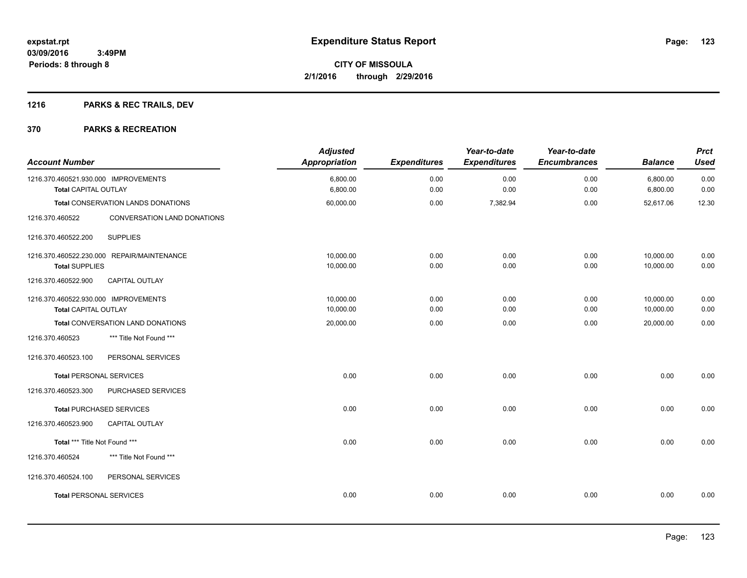# **1216 PARKS & REC TRAILS, DEV**

| <b>Account Number</b>                                        |                                            | <b>Adjusted</b><br><b>Appropriation</b> | <b>Expenditures</b> | Year-to-date<br><b>Expenditures</b> | Year-to-date<br><b>Encumbrances</b> | <b>Balance</b>       | <b>Prct</b><br><b>Used</b> |
|--------------------------------------------------------------|--------------------------------------------|-----------------------------------------|---------------------|-------------------------------------|-------------------------------------|----------------------|----------------------------|
| 1216.370.460521.930.000 IMPROVEMENTS<br>Total CAPITAL OUTLAY |                                            | 6,800.00<br>6,800.00                    | 0.00<br>0.00        | 0.00<br>0.00                        | 0.00<br>0.00                        | 6,800.00<br>6,800.00 | 0.00<br>0.00               |
|                                                              |                                            |                                         |                     |                                     |                                     |                      |                            |
|                                                              | Total CONSERVATION LANDS DONATIONS         | 60,000.00                               | 0.00                | 7,382.94                            | 0.00                                | 52,617.06            | 12.30                      |
| 1216.370.460522                                              | CONVERSATION LAND DONATIONS                |                                         |                     |                                     |                                     |                      |                            |
| 1216.370.460522.200                                          | <b>SUPPLIES</b>                            |                                         |                     |                                     |                                     |                      |                            |
|                                                              | 1216.370.460522.230.000 REPAIR/MAINTENANCE | 10.000.00                               | 0.00                | 0.00                                | 0.00                                | 10.000.00            | 0.00                       |
| <b>Total SUPPLIES</b>                                        |                                            | 10,000.00                               | 0.00                | 0.00                                | 0.00                                | 10,000.00            | 0.00                       |
| 1216.370.460522.900                                          | CAPITAL OUTLAY                             |                                         |                     |                                     |                                     |                      |                            |
| 1216.370.460522.930.000 IMPROVEMENTS                         |                                            | 10,000.00                               | 0.00                | 0.00                                | 0.00                                | 10,000.00            | 0.00                       |
| Total CAPITAL OUTLAY                                         |                                            | 10,000.00                               | 0.00                | 0.00                                | 0.00                                | 10,000.00            | 0.00                       |
|                                                              | Total CONVERSATION LAND DONATIONS          | 20,000.00                               | 0.00                | 0.00                                | 0.00                                | 20,000.00            | 0.00                       |
| 1216.370.460523                                              | *** Title Not Found ***                    |                                         |                     |                                     |                                     |                      |                            |
| 1216.370.460523.100                                          | PERSONAL SERVICES                          |                                         |                     |                                     |                                     |                      |                            |
| <b>Total PERSONAL SERVICES</b>                               |                                            | 0.00                                    | 0.00                | 0.00                                | 0.00                                | 0.00                 | 0.00                       |
| 1216.370.460523.300                                          | PURCHASED SERVICES                         |                                         |                     |                                     |                                     |                      |                            |
| <b>Total PURCHASED SERVICES</b>                              |                                            | 0.00                                    | 0.00                | 0.00                                | 0.00                                | 0.00                 | 0.00                       |
| 1216.370.460523.900                                          | <b>CAPITAL OUTLAY</b>                      |                                         |                     |                                     |                                     |                      |                            |
| Total *** Title Not Found ***                                |                                            | 0.00                                    | 0.00                | 0.00                                | 0.00                                | 0.00                 | 0.00                       |
| 1216.370.460524                                              | *** Title Not Found ***                    |                                         |                     |                                     |                                     |                      |                            |
| 1216.370.460524.100                                          | PERSONAL SERVICES                          |                                         |                     |                                     |                                     |                      |                            |
| <b>Total PERSONAL SERVICES</b>                               |                                            | 0.00                                    | 0.00                | 0.00                                | 0.00                                | 0.00                 | 0.00                       |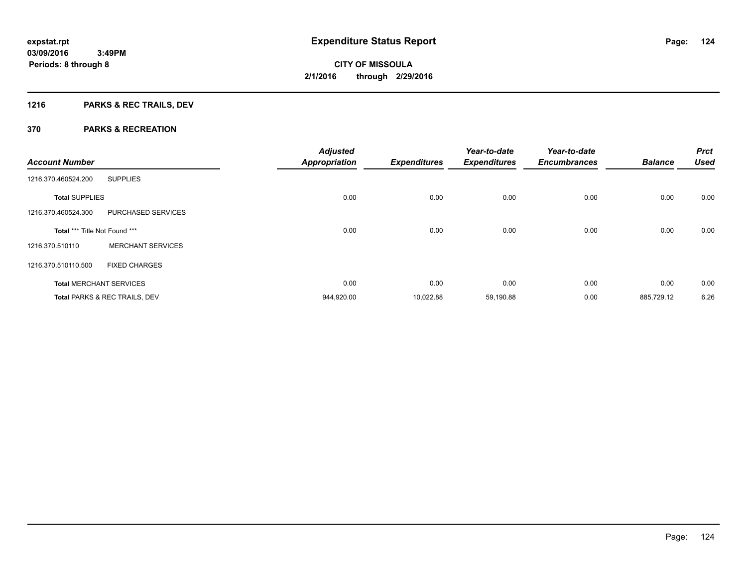# **1216 PARKS & REC TRAILS, DEV**

| <b>Account Number</b>         |                                | <b>Adjusted</b><br><b>Appropriation</b> | <b>Expenditures</b> | Year-to-date<br><b>Expenditures</b> | Year-to-date<br><b>Encumbrances</b> | <b>Balance</b> | <b>Prct</b><br><b>Used</b> |
|-------------------------------|--------------------------------|-----------------------------------------|---------------------|-------------------------------------|-------------------------------------|----------------|----------------------------|
| 1216.370.460524.200           | <b>SUPPLIES</b>                |                                         |                     |                                     |                                     |                |                            |
| <b>Total SUPPLIES</b>         |                                | 0.00                                    | 0.00                | 0.00                                | 0.00                                | 0.00           | 0.00                       |
| 1216.370.460524.300           | PURCHASED SERVICES             |                                         |                     |                                     |                                     |                |                            |
| Total *** Title Not Found *** |                                | 0.00                                    | 0.00                | 0.00                                | 0.00                                | 0.00           | 0.00                       |
| 1216.370.510110               | <b>MERCHANT SERVICES</b>       |                                         |                     |                                     |                                     |                |                            |
| 1216.370.510110.500           | <b>FIXED CHARGES</b>           |                                         |                     |                                     |                                     |                |                            |
|                               | <b>Total MERCHANT SERVICES</b> | 0.00                                    | 0.00                | 0.00                                | 0.00                                | 0.00           | 0.00                       |
|                               | Total PARKS & REC TRAILS, DEV  | 944,920.00                              | 10,022.88           | 59,190.88                           | 0.00                                | 885,729.12     | 6.26                       |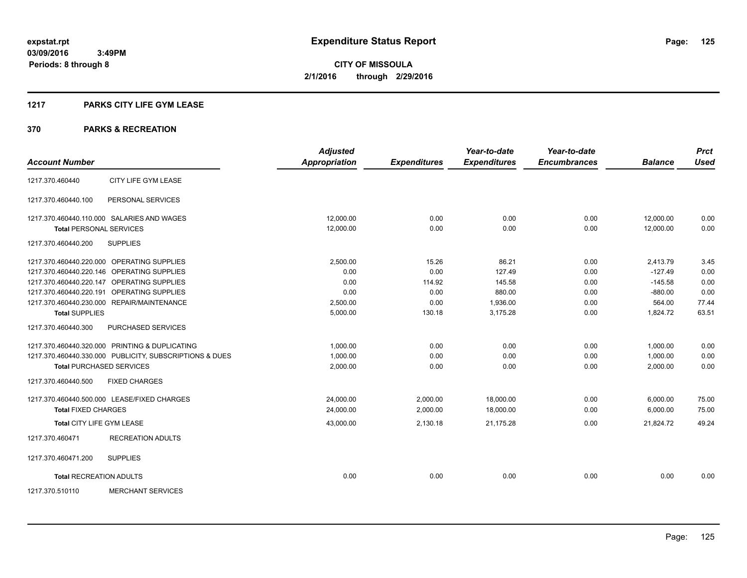# **1217 PARKS CITY LIFE GYM LEASE**

|                                |                                                         | <b>Adjusted</b>      |                     | Year-to-date        | Year-to-date        |                | <b>Prct</b> |
|--------------------------------|---------------------------------------------------------|----------------------|---------------------|---------------------|---------------------|----------------|-------------|
| <b>Account Number</b>          |                                                         | <b>Appropriation</b> | <b>Expenditures</b> | <b>Expenditures</b> | <b>Encumbrances</b> | <b>Balance</b> | <b>Used</b> |
| 1217.370.460440                | CITY LIFE GYM LEASE                                     |                      |                     |                     |                     |                |             |
| 1217.370.460440.100            | PERSONAL SERVICES                                       |                      |                     |                     |                     |                |             |
|                                | 1217.370.460440.110.000 SALARIES AND WAGES              | 12.000.00            | 0.00                | 0.00                | 0.00                | 12,000.00      | 0.00        |
| <b>Total PERSONAL SERVICES</b> |                                                         | 12,000.00            | 0.00                | 0.00                | 0.00                | 12.000.00      | 0.00        |
| 1217.370.460440.200            | <b>SUPPLIES</b>                                         |                      |                     |                     |                     |                |             |
|                                | 1217.370.460440.220.000 OPERATING SUPPLIES              | 2,500.00             | 15.26               | 86.21               | 0.00                | 2,413.79       | 3.45        |
|                                | 1217.370.460440.220.146 OPERATING SUPPLIES              | 0.00                 | 0.00                | 127.49              | 0.00                | $-127.49$      | 0.00        |
|                                | 1217.370.460440.220.147 OPERATING SUPPLIES              | 0.00                 | 114.92              | 145.58              | 0.00                | $-145.58$      | 0.00        |
|                                | 1217.370.460440.220.191 OPERATING SUPPLIES              | 0.00                 | 0.00                | 880.00              | 0.00                | $-880.00$      | 0.00        |
|                                | 1217.370.460440.230.000 REPAIR/MAINTENANCE              | 2.500.00             | 0.00                | 1.936.00            | 0.00                | 564.00         | 77.44       |
| <b>Total SUPPLIES</b>          |                                                         | 5,000.00             | 130.18              | 3,175.28            | 0.00                | 1,824.72       | 63.51       |
| 1217.370.460440.300            | PURCHASED SERVICES                                      |                      |                     |                     |                     |                |             |
|                                | 1217.370.460440.320.000 PRINTING & DUPLICATING          | 1,000.00             | 0.00                | 0.00                | 0.00                | 1,000.00       | 0.00        |
|                                | 1217.370.460440.330.000 PUBLICITY, SUBSCRIPTIONS & DUES | 1,000.00             | 0.00                | 0.00                | 0.00                | 1,000.00       | 0.00        |
|                                | <b>Total PURCHASED SERVICES</b>                         | 2,000.00             | 0.00                | 0.00                | 0.00                | 2,000.00       | 0.00        |
| 1217.370.460440.500            | <b>FIXED CHARGES</b>                                    |                      |                     |                     |                     |                |             |
|                                | 1217.370.460440.500.000 LEASE/FIXED CHARGES             | 24,000.00            | 2,000.00            | 18,000.00           | 0.00                | 6,000.00       | 75.00       |
| <b>Total FIXED CHARGES</b>     |                                                         | 24,000.00            | 2,000.00            | 18.000.00           | 0.00                | 6,000.00       | 75.00       |
| Total CITY LIFE GYM LEASE      |                                                         | 43,000.00            | 2,130.18            | 21,175.28           | 0.00                | 21,824.72      | 49.24       |
| 1217.370.460471                | <b>RECREATION ADULTS</b>                                |                      |                     |                     |                     |                |             |
| 1217.370.460471.200            | <b>SUPPLIES</b>                                         |                      |                     |                     |                     |                |             |
| <b>Total RECREATION ADULTS</b> |                                                         | 0.00                 | 0.00                | 0.00                | 0.00                | 0.00           | 0.00        |
| 1217.370.510110                | <b>MERCHANT SERVICES</b>                                |                      |                     |                     |                     |                |             |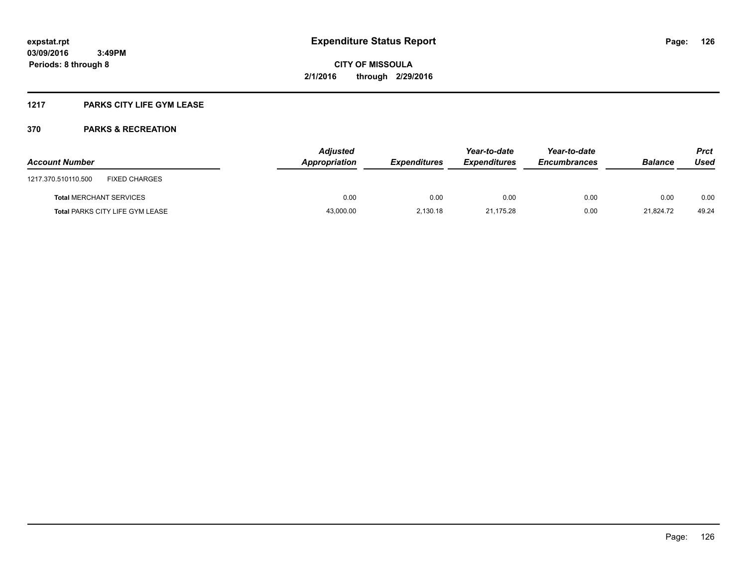# **1217 PARKS CITY LIFE GYM LEASE**

| <b>Account Number</b>                       | <b>Adjusted</b><br>Appropriation | <b>Expenditures</b> | Year-to-date<br><b>Expenditures</b> | Year-to-date<br><b>Encumbrances</b> | <b>Balance</b> | Prct<br>Used |
|---------------------------------------------|----------------------------------|---------------------|-------------------------------------|-------------------------------------|----------------|--------------|
| <b>FIXED CHARGES</b><br>1217.370.510110.500 |                                  |                     |                                     |                                     |                |              |
| <b>Total MERCHANT SERVICES</b>              | 0.00                             | 0.00                | 0.00                                | 0.00                                | 0.00           | 0.00         |
| <b>Total PARKS CITY LIFE GYM LEASE</b>      | 43,000.00                        | 2.130.18            | 21.175.28                           | 0.00                                | 21.824.72      | 49.24        |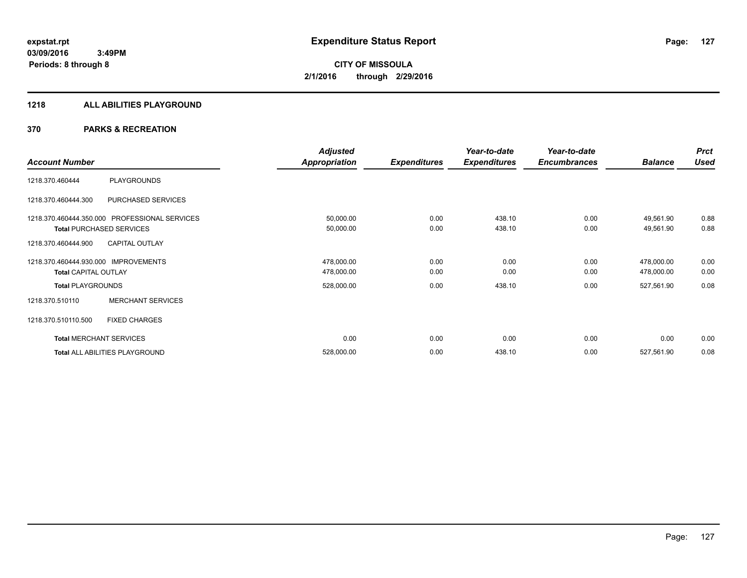#### **1218 ALL ABILITIES PLAYGROUND**

|                             |                                               | <b>Adjusted</b> |                     | Year-to-date        | Year-to-date        |                | <b>Prct</b> |
|-----------------------------|-----------------------------------------------|-----------------|---------------------|---------------------|---------------------|----------------|-------------|
| <b>Account Number</b>       |                                               | Appropriation   | <b>Expenditures</b> | <b>Expenditures</b> | <b>Encumbrances</b> | <b>Balance</b> | <b>Used</b> |
| 1218.370.460444             | PLAYGROUNDS                                   |                 |                     |                     |                     |                |             |
| 1218.370.460444.300         | PURCHASED SERVICES                            |                 |                     |                     |                     |                |             |
|                             | 1218.370.460444.350.000 PROFESSIONAL SERVICES | 50,000.00       | 0.00                | 438.10              | 0.00                | 49,561.90      | 0.88        |
|                             | <b>Total PURCHASED SERVICES</b>               | 50,000.00       | 0.00                | 438.10              | 0.00                | 49,561.90      | 0.88        |
| 1218.370.460444.900         | <b>CAPITAL OUTLAY</b>                         |                 |                     |                     |                     |                |             |
| 1218.370.460444.930.000     | <b>IMPROVEMENTS</b>                           | 478,000.00      | 0.00                | 0.00                | 0.00                | 478,000.00     | 0.00        |
| <b>Total CAPITAL OUTLAY</b> |                                               | 478,000.00      | 0.00                | 0.00                | 0.00                | 478,000.00     | 0.00        |
| <b>Total PLAYGROUNDS</b>    |                                               | 528,000.00      | 0.00                | 438.10              | 0.00                | 527,561.90     | 0.08        |
| 1218.370.510110             | <b>MERCHANT SERVICES</b>                      |                 |                     |                     |                     |                |             |
| 1218.370.510110.500         | <b>FIXED CHARGES</b>                          |                 |                     |                     |                     |                |             |
|                             | <b>Total MERCHANT SERVICES</b>                | 0.00            | 0.00                | 0.00                | 0.00                | 0.00           | 0.00        |
|                             | Total ALL ABILITIES PLAYGROUND                | 528,000.00      | 0.00                | 438.10              | 0.00                | 527,561.90     | 0.08        |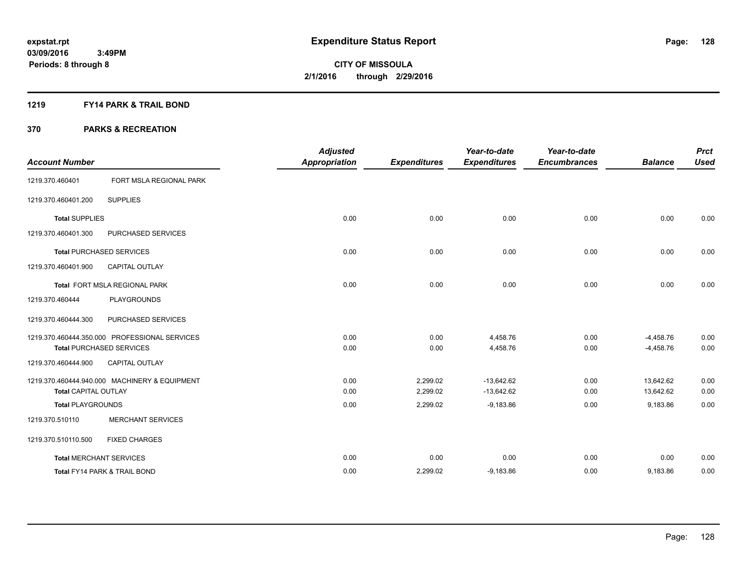# **1219 FY14 PARK & TRAIL BOND**

|                                 |                                               | <b>Adjusted</b>      |                     | Year-to-date        | Year-to-date        |                | <b>Prct</b> |
|---------------------------------|-----------------------------------------------|----------------------|---------------------|---------------------|---------------------|----------------|-------------|
| <b>Account Number</b>           |                                               | <b>Appropriation</b> | <b>Expenditures</b> | <b>Expenditures</b> | <b>Encumbrances</b> | <b>Balance</b> | <b>Used</b> |
| 1219.370.460401                 | FORT MSLA REGIONAL PARK                       |                      |                     |                     |                     |                |             |
| 1219.370.460401.200             | <b>SUPPLIES</b>                               |                      |                     |                     |                     |                |             |
| <b>Total SUPPLIES</b>           |                                               | 0.00                 | 0.00                | 0.00                | 0.00                | 0.00           | 0.00        |
| 1219.370.460401.300             | PURCHASED SERVICES                            |                      |                     |                     |                     |                |             |
| <b>Total PURCHASED SERVICES</b> |                                               | 0.00                 | 0.00                | 0.00                | 0.00                | 0.00           | 0.00        |
| 1219.370.460401.900             | <b>CAPITAL OUTLAY</b>                         |                      |                     |                     |                     |                |             |
|                                 | <b>Total FORT MSLA REGIONAL PARK</b>          | 0.00                 | 0.00                | 0.00                | 0.00                | 0.00           | 0.00        |
| 1219.370.460444                 | PLAYGROUNDS                                   |                      |                     |                     |                     |                |             |
| 1219.370.460444.300             | PURCHASED SERVICES                            |                      |                     |                     |                     |                |             |
|                                 | 1219.370.460444.350.000 PROFESSIONAL SERVICES | 0.00                 | 0.00                | 4,458.76            | 0.00                | $-4,458.76$    | 0.00        |
| <b>Total PURCHASED SERVICES</b> |                                               | 0.00                 | 0.00                | 4,458.76            | 0.00                | $-4,458.76$    | 0.00        |
| 1219.370.460444.900             | <b>CAPITAL OUTLAY</b>                         |                      |                     |                     |                     |                |             |
|                                 | 1219.370.460444.940.000 MACHINERY & EQUIPMENT | 0.00                 | 2,299.02            | $-13,642.62$        | 0.00                | 13,642.62      | 0.00        |
| <b>Total CAPITAL OUTLAY</b>     |                                               | 0.00                 | 2,299.02            | $-13,642.62$        | 0.00                | 13,642.62      | 0.00        |
| <b>Total PLAYGROUNDS</b>        |                                               | 0.00                 | 2,299.02            | $-9,183.86$         | 0.00                | 9,183.86       | 0.00        |
| 1219.370.510110                 | <b>MERCHANT SERVICES</b>                      |                      |                     |                     |                     |                |             |
| 1219.370.510110.500             | <b>FIXED CHARGES</b>                          |                      |                     |                     |                     |                |             |
| <b>Total MERCHANT SERVICES</b>  |                                               | 0.00                 | 0.00                | 0.00                | 0.00                | 0.00           | 0.00        |
| Total FY14 PARK & TRAIL BOND    |                                               | 0.00                 | 2,299.02            | $-9,183.86$         | 0.00                | 9,183.86       | 0.00        |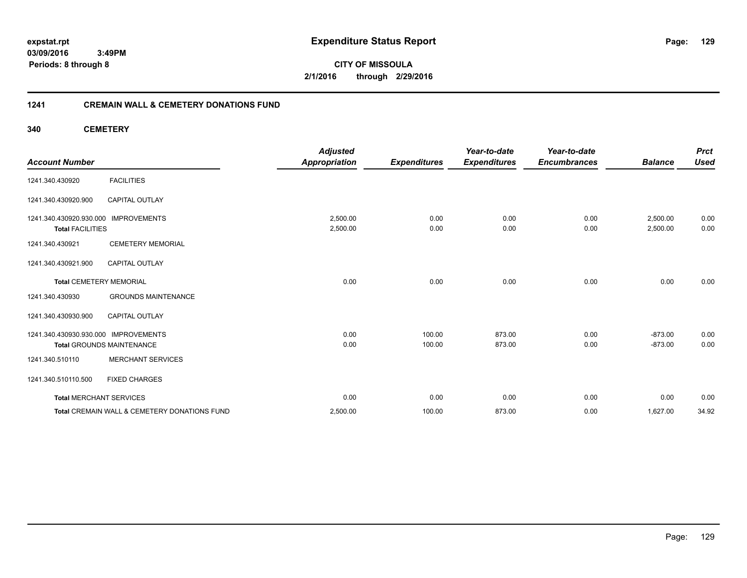**03/09/2016 3:49PM Periods: 8 through 8**

**CITY OF MISSOULA 2/1/2016 through 2/29/2016**

# **1241 CREMAIN WALL & CEMETERY DONATIONS FUND**

**340 CEMETERY**

| <b>Account Number</b>                                           |                                              | <b>Adjusted</b><br><b>Appropriation</b> | <b>Expenditures</b> | Year-to-date<br><b>Expenditures</b> | Year-to-date<br><b>Encumbrances</b> | <b>Balance</b>       | <b>Prct</b><br><b>Used</b> |
|-----------------------------------------------------------------|----------------------------------------------|-----------------------------------------|---------------------|-------------------------------------|-------------------------------------|----------------------|----------------------------|
| 1241.340.430920                                                 | <b>FACILITIES</b>                            |                                         |                     |                                     |                                     |                      |                            |
| 1241.340.430920.900                                             | <b>CAPITAL OUTLAY</b>                        |                                         |                     |                                     |                                     |                      |                            |
| 1241.340.430920.930.000 IMPROVEMENTS<br><b>Total FACILITIES</b> |                                              | 2,500.00<br>2,500.00                    | 0.00<br>0.00        | 0.00<br>0.00                        | 0.00<br>0.00                        | 2,500.00<br>2,500.00 | 0.00<br>0.00               |
| 1241.340.430921                                                 | <b>CEMETERY MEMORIAL</b>                     |                                         |                     |                                     |                                     |                      |                            |
| 1241.340.430921.900                                             | <b>CAPITAL OUTLAY</b>                        |                                         |                     |                                     |                                     |                      |                            |
| <b>Total CEMETERY MEMORIAL</b>                                  |                                              | 0.00                                    | 0.00                | 0.00                                | 0.00                                | 0.00                 | 0.00                       |
| 1241.340.430930                                                 | <b>GROUNDS MAINTENANCE</b>                   |                                         |                     |                                     |                                     |                      |                            |
| 1241.340.430930.900                                             | <b>CAPITAL OUTLAY</b>                        |                                         |                     |                                     |                                     |                      |                            |
| 1241.340.430930.930.000 IMPROVEMENTS                            |                                              | 0.00                                    | 100.00              | 873.00                              | 0.00                                | $-873.00$            | 0.00                       |
|                                                                 | <b>Total GROUNDS MAINTENANCE</b>             | 0.00                                    | 100.00              | 873.00                              | 0.00                                | $-873.00$            | 0.00                       |
| 1241.340.510110                                                 | <b>MERCHANT SERVICES</b>                     |                                         |                     |                                     |                                     |                      |                            |
| 1241.340.510110.500                                             | <b>FIXED CHARGES</b>                         |                                         |                     |                                     |                                     |                      |                            |
| <b>Total MERCHANT SERVICES</b>                                  |                                              | 0.00                                    | 0.00                | 0.00                                | 0.00                                | 0.00                 | 0.00                       |
|                                                                 | Total CREMAIN WALL & CEMETERY DONATIONS FUND | 2,500.00                                | 100.00              | 873.00                              | 0.00                                | 1,627.00             | 34.92                      |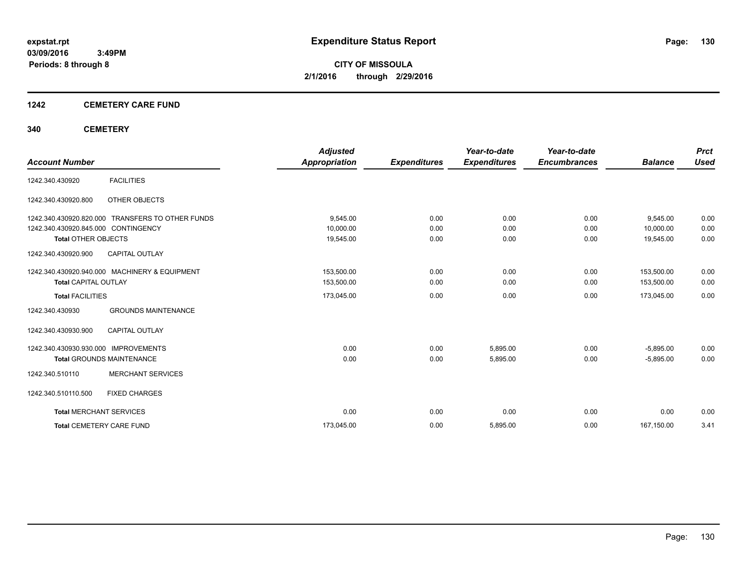# **1242 CEMETERY CARE FUND**

# **340 CEMETERY**

|                                     |                                               | <b>Adjusted</b>      |                     | Year-to-date        | Year-to-date        |                | <b>Prct</b> |
|-------------------------------------|-----------------------------------------------|----------------------|---------------------|---------------------|---------------------|----------------|-------------|
| <b>Account Number</b>               |                                               | <b>Appropriation</b> | <b>Expenditures</b> | <b>Expenditures</b> | <b>Encumbrances</b> | <b>Balance</b> | <b>Used</b> |
| 1242.340.430920                     | <b>FACILITIES</b>                             |                      |                     |                     |                     |                |             |
| 1242.340.430920.800                 | OTHER OBJECTS                                 |                      |                     |                     |                     |                |             |
| 1242.340.430920.820.000             | <b>TRANSFERS TO OTHER FUNDS</b>               | 9,545.00             | 0.00                | 0.00                | 0.00                | 9,545.00       | 0.00        |
| 1242.340.430920.845.000 CONTINGENCY |                                               | 10,000.00            | 0.00                | 0.00                | 0.00                | 10,000.00      | 0.00        |
| <b>Total OTHER OBJECTS</b>          |                                               | 19,545.00            | 0.00                | 0.00                | 0.00                | 19,545.00      | 0.00        |
| 1242.340.430920.900                 | <b>CAPITAL OUTLAY</b>                         |                      |                     |                     |                     |                |             |
|                                     | 1242.340.430920.940.000 MACHINERY & EQUIPMENT | 153,500.00           | 0.00                | 0.00                | 0.00                | 153,500.00     | 0.00        |
| <b>Total CAPITAL OUTLAY</b>         |                                               | 153,500.00           | 0.00                | 0.00                | 0.00                | 153,500.00     | 0.00        |
| <b>Total FACILITIES</b>             |                                               | 173,045.00           | 0.00                | 0.00                | 0.00                | 173,045.00     | 0.00        |
| 1242.340.430930                     | <b>GROUNDS MAINTENANCE</b>                    |                      |                     |                     |                     |                |             |
| 1242.340.430930.900                 | <b>CAPITAL OUTLAY</b>                         |                      |                     |                     |                     |                |             |
| 1242.340.430930.930.000             | <b>IMPROVEMENTS</b>                           | 0.00                 | 0.00                | 5,895.00            | 0.00                | $-5,895.00$    | 0.00        |
|                                     | <b>Total GROUNDS MAINTENANCE</b>              | 0.00                 | 0.00                | 5,895.00            | 0.00                | $-5.895.00$    | 0.00        |
| 1242.340.510110                     | <b>MERCHANT SERVICES</b>                      |                      |                     |                     |                     |                |             |
| 1242.340.510110.500                 | <b>FIXED CHARGES</b>                          |                      |                     |                     |                     |                |             |
| <b>Total MERCHANT SERVICES</b>      |                                               | 0.00                 | 0.00                | 0.00                | 0.00                | 0.00           | 0.00        |
|                                     | <b>Total CEMETERY CARE FUND</b>               | 173,045.00           | 0.00                | 5,895.00            | 0.00                | 167,150.00     | 3.41        |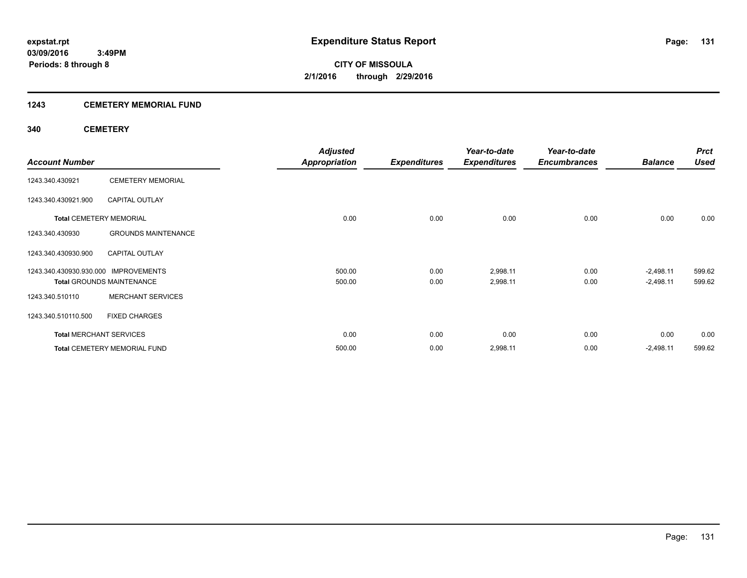# **1243 CEMETERY MEMORIAL FUND**

# **340 CEMETERY**

|                                      |                                     | <b>Adjusted</b>      |                     | Year-to-date        | Year-to-date        |                | <b>Prct</b> |
|--------------------------------------|-------------------------------------|----------------------|---------------------|---------------------|---------------------|----------------|-------------|
| <b>Account Number</b>                |                                     | <b>Appropriation</b> | <b>Expenditures</b> | <b>Expenditures</b> | <b>Encumbrances</b> | <b>Balance</b> | <b>Used</b> |
| 1243.340.430921                      | <b>CEMETERY MEMORIAL</b>            |                      |                     |                     |                     |                |             |
| 1243.340.430921.900                  | <b>CAPITAL OUTLAY</b>               |                      |                     |                     |                     |                |             |
| <b>Total CEMETERY MEMORIAL</b>       |                                     | 0.00                 | 0.00                | 0.00                | 0.00                | 0.00           | 0.00        |
| 1243.340.430930                      | <b>GROUNDS MAINTENANCE</b>          |                      |                     |                     |                     |                |             |
| 1243.340.430930.900                  | <b>CAPITAL OUTLAY</b>               |                      |                     |                     |                     |                |             |
| 1243.340.430930.930.000 IMPROVEMENTS |                                     | 500.00               | 0.00                | 2,998.11            | 0.00                | $-2,498.11$    | 599.62      |
|                                      | <b>Total GROUNDS MAINTENANCE</b>    | 500.00               | 0.00                | 2,998.11            | 0.00                | $-2,498.11$    | 599.62      |
| 1243.340.510110                      | <b>MERCHANT SERVICES</b>            |                      |                     |                     |                     |                |             |
| 1243.340.510110.500                  | <b>FIXED CHARGES</b>                |                      |                     |                     |                     |                |             |
| <b>Total MERCHANT SERVICES</b>       |                                     | 0.00                 | 0.00                | 0.00                | 0.00                | 0.00           | 0.00        |
|                                      | <b>Total CEMETERY MEMORIAL FUND</b> | 500.00               | 0.00                | 2,998.11            | 0.00                | $-2,498.11$    | 599.62      |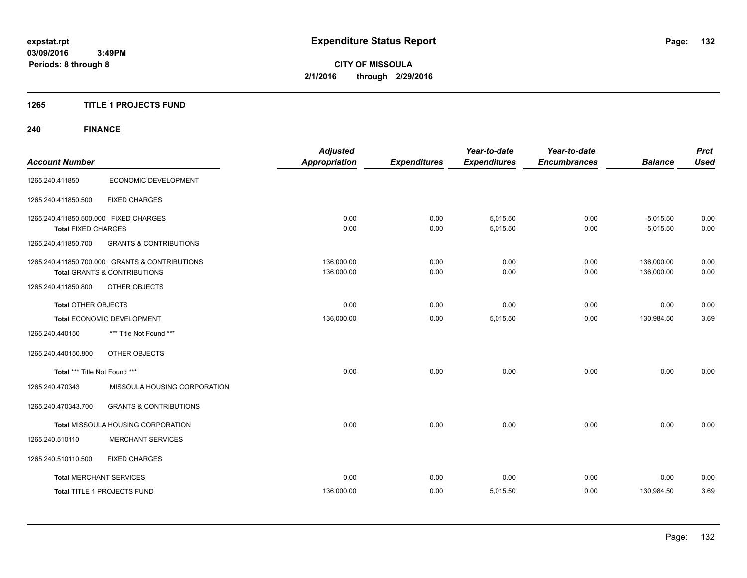# **1265 TITLE 1 PROJECTS FUND**

# **240 FINANCE**

| <b>Account Number</b>                                               |                                                                                           | <b>Adjusted</b><br><b>Appropriation</b> | <b>Expenditures</b> | Year-to-date<br><b>Expenditures</b> | Year-to-date<br><b>Encumbrances</b> | <b>Balance</b>             | <b>Prct</b><br><b>Used</b> |
|---------------------------------------------------------------------|-------------------------------------------------------------------------------------------|-----------------------------------------|---------------------|-------------------------------------|-------------------------------------|----------------------------|----------------------------|
| 1265.240.411850                                                     | ECONOMIC DEVELOPMENT                                                                      |                                         |                     |                                     |                                     |                            |                            |
| 1265.240.411850.500                                                 | <b>FIXED CHARGES</b>                                                                      |                                         |                     |                                     |                                     |                            |                            |
| 1265.240.411850.500.000 FIXED CHARGES<br><b>Total FIXED CHARGES</b> |                                                                                           | 0.00<br>0.00                            | 0.00<br>0.00        | 5,015.50<br>5,015.50                | 0.00<br>0.00                        | $-5,015.50$<br>$-5,015.50$ | 0.00<br>0.00               |
| 1265.240.411850.700                                                 | <b>GRANTS &amp; CONTRIBUTIONS</b>                                                         |                                         |                     |                                     |                                     |                            |                            |
|                                                                     | 1265.240.411850.700.000 GRANTS & CONTRIBUTIONS<br><b>Total GRANTS &amp; CONTRIBUTIONS</b> | 136,000.00<br>136,000.00                | 0.00<br>0.00        | 0.00<br>0.00                        | 0.00<br>0.00                        | 136,000.00<br>136,000.00   | 0.00<br>0.00               |
| 1265.240.411850.800                                                 | OTHER OBJECTS                                                                             |                                         |                     |                                     |                                     |                            |                            |
| <b>Total OTHER OBJECTS</b>                                          |                                                                                           | 0.00                                    | 0.00                | 0.00                                | 0.00                                | 0.00                       | 0.00                       |
|                                                                     | Total ECONOMIC DEVELOPMENT                                                                | 136,000.00                              | 0.00                | 5,015.50                            | 0.00                                | 130,984.50                 | 3.69                       |
| 1265.240.440150                                                     | *** Title Not Found ***                                                                   |                                         |                     |                                     |                                     |                            |                            |
| 1265.240.440150.800                                                 | OTHER OBJECTS                                                                             |                                         |                     |                                     |                                     |                            |                            |
| Total *** Title Not Found ***                                       |                                                                                           | 0.00                                    | 0.00                | 0.00                                | 0.00                                | 0.00                       | 0.00                       |
| 1265.240.470343                                                     | MISSOULA HOUSING CORPORATION                                                              |                                         |                     |                                     |                                     |                            |                            |
| 1265.240.470343.700                                                 | <b>GRANTS &amp; CONTRIBUTIONS</b>                                                         |                                         |                     |                                     |                                     |                            |                            |
|                                                                     | Total MISSOULA HOUSING CORPORATION                                                        | 0.00                                    | 0.00                | 0.00                                | 0.00                                | 0.00                       | 0.00                       |
| 1265.240.510110                                                     | <b>MERCHANT SERVICES</b>                                                                  |                                         |                     |                                     |                                     |                            |                            |
| 1265.240.510110.500                                                 | <b>FIXED CHARGES</b>                                                                      |                                         |                     |                                     |                                     |                            |                            |
| <b>Total MERCHANT SERVICES</b>                                      |                                                                                           | 0.00                                    | 0.00                | 0.00                                | 0.00                                | 0.00                       | 0.00                       |
|                                                                     | Total TITLE 1 PROJECTS FUND                                                               | 136,000.00                              | 0.00                | 5,015.50                            | 0.00                                | 130,984.50                 | 3.69                       |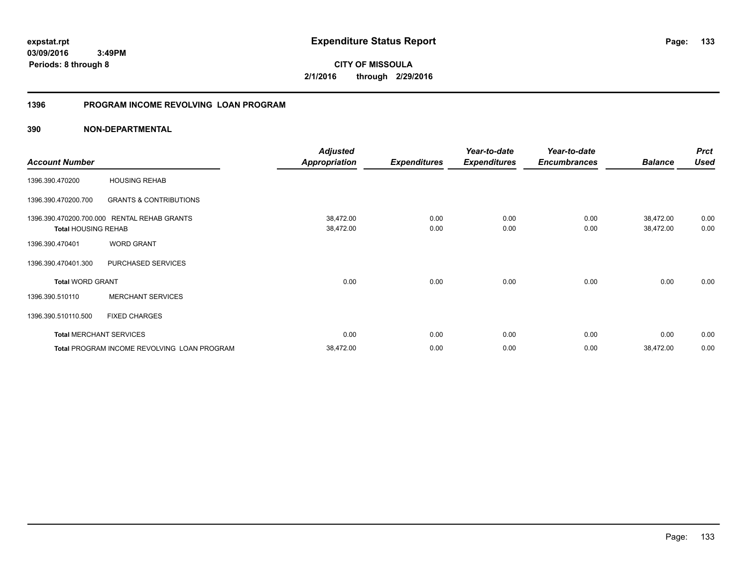**03/09/2016 3:49PM**

**Periods: 8 through 8**

**133**

**CITY OF MISSOULA 2/1/2016 through 2/29/2016**

# **1396 PROGRAM INCOME REVOLVING LOAN PROGRAM**

|                            |                                             | <b>Adjusted</b>      |                     | Year-to-date        | Year-to-date        |                | <b>Prct</b> |
|----------------------------|---------------------------------------------|----------------------|---------------------|---------------------|---------------------|----------------|-------------|
| <b>Account Number</b>      |                                             | <b>Appropriation</b> | <b>Expenditures</b> | <b>Expenditures</b> | <b>Encumbrances</b> | <b>Balance</b> | <b>Used</b> |
| 1396.390.470200            | <b>HOUSING REHAB</b>                        |                      |                     |                     |                     |                |             |
| 1396.390.470200.700        | <b>GRANTS &amp; CONTRIBUTIONS</b>           |                      |                     |                     |                     |                |             |
| 1396.390.470200.700.000    | <b>RENTAL REHAB GRANTS</b>                  | 38,472.00            | 0.00                | 0.00                | 0.00                | 38,472.00      | 0.00        |
| <b>Total HOUSING REHAB</b> |                                             | 38,472.00            | 0.00                | 0.00                | 0.00                | 38,472.00      | 0.00        |
| 1396.390.470401            | <b>WORD GRANT</b>                           |                      |                     |                     |                     |                |             |
| 1396.390.470401.300        | PURCHASED SERVICES                          |                      |                     |                     |                     |                |             |
| <b>Total WORD GRANT</b>    |                                             | 0.00                 | 0.00                | 0.00                | 0.00                | 0.00           | 0.00        |
| 1396.390.510110            | <b>MERCHANT SERVICES</b>                    |                      |                     |                     |                     |                |             |
| 1396.390.510110.500        | <b>FIXED CHARGES</b>                        |                      |                     |                     |                     |                |             |
|                            | <b>Total MERCHANT SERVICES</b>              | 0.00                 | 0.00                | 0.00                | 0.00                | 0.00           | 0.00        |
|                            | Total PROGRAM INCOME REVOLVING LOAN PROGRAM | 38,472.00            | 0.00                | 0.00                | 0.00                | 38,472.00      | 0.00        |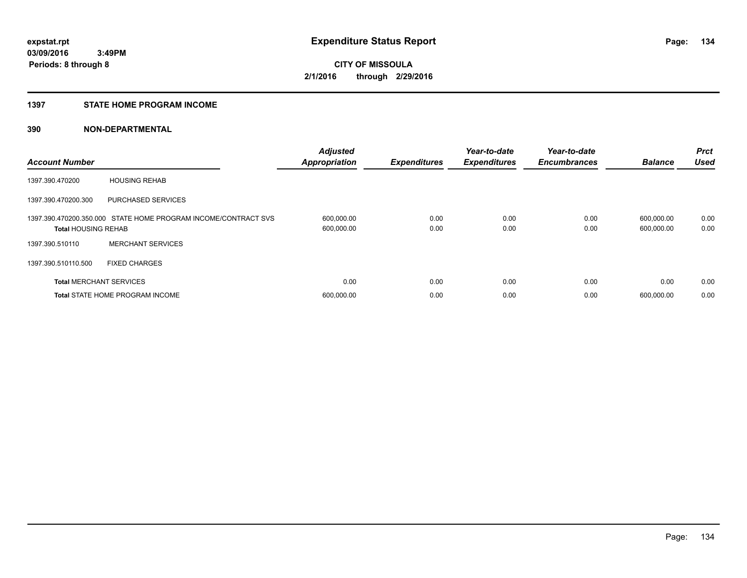# **1397 STATE HOME PROGRAM INCOME**

| <b>Account Number</b>          |                                                                | <b>Adjusted</b><br><b>Appropriation</b> | <b>Expenditures</b> | Year-to-date<br><b>Expenditures</b> | Year-to-date<br><b>Encumbrances</b> | <b>Balance</b>           | <b>Prct</b><br><b>Used</b> |
|--------------------------------|----------------------------------------------------------------|-----------------------------------------|---------------------|-------------------------------------|-------------------------------------|--------------------------|----------------------------|
| 1397.390.470200                | <b>HOUSING REHAB</b>                                           |                                         |                     |                                     |                                     |                          |                            |
| 1397.390.470200.300            | <b>PURCHASED SERVICES</b>                                      |                                         |                     |                                     |                                     |                          |                            |
| <b>Total HOUSING REHAB</b>     | 1397.390.470200.350.000 STATE HOME PROGRAM INCOME/CONTRACT SVS | 600,000.00<br>600,000.00                | 0.00<br>0.00        | 0.00<br>0.00                        | 0.00<br>0.00                        | 600,000.00<br>600,000.00 | 0.00<br>0.00               |
| 1397.390.510110                | <b>MERCHANT SERVICES</b>                                       |                                         |                     |                                     |                                     |                          |                            |
| 1397.390.510110.500            | <b>FIXED CHARGES</b>                                           |                                         |                     |                                     |                                     |                          |                            |
| <b>Total MERCHANT SERVICES</b> |                                                                | 0.00                                    | 0.00                | 0.00                                | 0.00                                | 0.00                     | 0.00                       |
|                                | <b>Total STATE HOME PROGRAM INCOME</b>                         | 600,000.00                              | 0.00                | 0.00                                | 0.00                                | 600.000.00               | 0.00                       |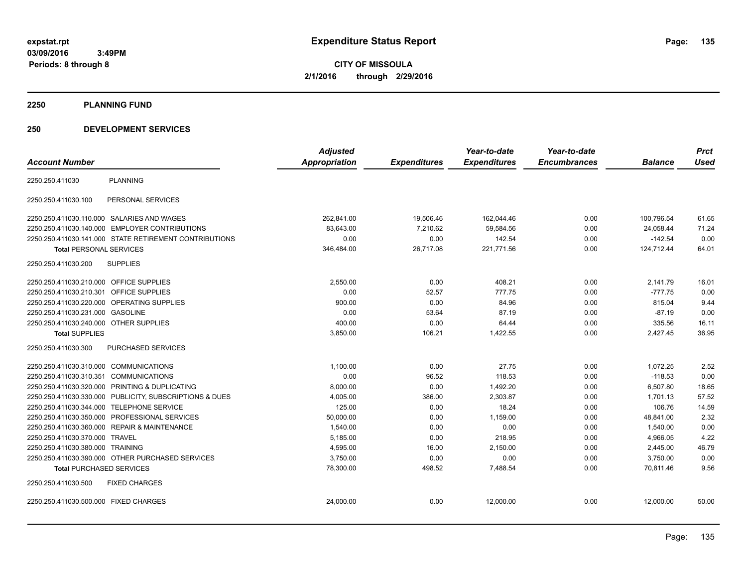**03/09/2016 3:49PM Periods: 8 through 8**

**CITY OF MISSOULA 2/1/2016 through 2/29/2016**

#### **2250 PLANNING FUND**

# **250 DEVELOPMENT SERVICES**

|                                                            | <b>Adjusted</b> |                     | Year-to-date        | Year-to-date        |                | <b>Prct</b> |
|------------------------------------------------------------|-----------------|---------------------|---------------------|---------------------|----------------|-------------|
| <b>Account Number</b>                                      | Appropriation   | <b>Expenditures</b> | <b>Expenditures</b> | <b>Encumbrances</b> | <b>Balance</b> | <b>Used</b> |
| <b>PLANNING</b><br>2250.250.411030                         |                 |                     |                     |                     |                |             |
| PERSONAL SERVICES<br>2250.250.411030.100                   |                 |                     |                     |                     |                |             |
| 2250.250.411030.110.000 SALARIES AND WAGES                 | 262.841.00      | 19,506.46           | 162.044.46          | 0.00                | 100.796.54     | 61.65       |
| 2250.250.411030.140.000 EMPLOYER CONTRIBUTIONS             | 83,643.00       | 7,210.62            | 59,584.56           | 0.00                | 24,058.44      | 71.24       |
| 2250.250.411030.141.000 STATE RETIREMENT CONTRIBUTIONS     | 0.00            | 0.00                | 142.54              | 0.00                | $-142.54$      | 0.00        |
| <b>Total PERSONAL SERVICES</b>                             | 346,484.00      | 26,717.08           | 221,771.56          | 0.00                | 124,712.44     | 64.01       |
| <b>SUPPLIES</b><br>2250.250.411030.200                     |                 |                     |                     |                     |                |             |
| 2250.250.411030.210.000 OFFICE SUPPLIES                    | 2,550.00        | 0.00                | 408.21              | 0.00                | 2,141.79       | 16.01       |
| 2250.250.411030.210.301 OFFICE SUPPLIES                    | 0.00            | 52.57               | 777.75              | 0.00                | $-777.75$      | 0.00        |
| OPERATING SUPPLIES<br>2250.250.411030.220.000              | 900.00          | 0.00                | 84.96               | 0.00                | 815.04         | 9.44        |
| 2250.250.411030.231.000<br><b>GASOLINE</b>                 | 0.00            | 53.64               | 87.19               | 0.00                | $-87.19$       | 0.00        |
| 2250.250.411030.240.000 OTHER SUPPLIES                     | 400.00          | 0.00                | 64.44               | 0.00                | 335.56         | 16.11       |
| <b>Total SUPPLIES</b>                                      | 3,850.00        | 106.21              | 1,422.55            | 0.00                | 2,427.45       | 36.95       |
| PURCHASED SERVICES<br>2250.250.411030.300                  |                 |                     |                     |                     |                |             |
| 2250.250.411030.310.000 COMMUNICATIONS                     | 1,100.00        | 0.00                | 27.75               | 0.00                | 1,072.25       | 2.52        |
| 2250.250.411030.310.351 COMMUNICATIONS                     | 0.00            | 96.52               | 118.53              | 0.00                | $-118.53$      | 0.00        |
| 2250.250.411030.320.000 PRINTING & DUPLICATING             | 8,000.00        | 0.00                | 1,492.20            | 0.00                | 6,507.80       | 18.65       |
| 2250.250.411030.330.000 PUBLICITY, SUBSCRIPTIONS & DUES    | 4,005.00        | 386.00              | 2,303.87            | 0.00                | 1,701.13       | 57.52       |
| 2250.250.411030.344.000 TELEPHONE SERVICE                  | 125.00          | 0.00                | 18.24               | 0.00                | 106.76         | 14.59       |
| 2250.250.411030.350.000 PROFESSIONAL SERVICES              | 50,000.00       | 0.00                | 1,159.00            | 0.00                | 48,841.00      | 2.32        |
| 2250.250.411030.360.000<br><b>REPAIR &amp; MAINTENANCE</b> | 1,540.00        | 0.00                | 0.00                | 0.00                | 1,540.00       | 0.00        |
| 2250.250.411030.370.000 TRAVEL                             | 5,185.00        | 0.00                | 218.95              | 0.00                | 4,966.05       | 4.22        |
| 2250.250.411030.380.000 TRAINING                           | 4,595.00        | 16.00               | 2,150.00            | 0.00                | 2,445.00       | 46.79       |
| 2250.250.411030.390.000 OTHER PURCHASED SERVICES           | 3,750.00        | 0.00                | 0.00                | 0.00                | 3,750.00       | 0.00        |
| <b>Total PURCHASED SERVICES</b>                            | 78,300.00       | 498.52              | 7,488.54            | 0.00                | 70,811.46      | 9.56        |
| 2250.250.411030.500<br><b>FIXED CHARGES</b>                |                 |                     |                     |                     |                |             |
| 2250.250.411030.500.000 FIXED CHARGES                      | 24,000.00       | 0.00                | 12,000.00           | 0.00                | 12,000.00      | 50.00       |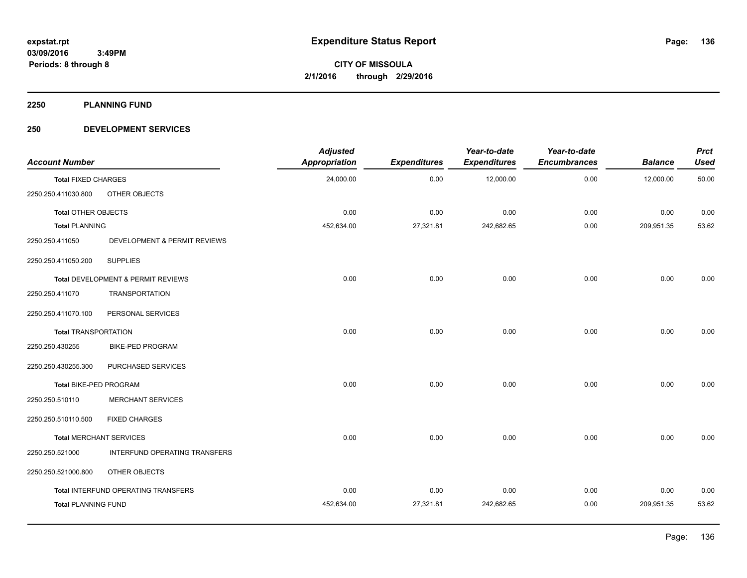**2250 PLANNING FUND**

# **250 DEVELOPMENT SERVICES**

| <b>Account Number</b>       |                                     | <b>Adjusted</b><br><b>Appropriation</b> | <b>Expenditures</b> | Year-to-date<br><b>Expenditures</b> | Year-to-date<br><b>Encumbrances</b> | <b>Balance</b> | <b>Prct</b><br><b>Used</b> |
|-----------------------------|-------------------------------------|-----------------------------------------|---------------------|-------------------------------------|-------------------------------------|----------------|----------------------------|
| <b>Total FIXED CHARGES</b>  |                                     | 24,000.00                               | 0.00                | 12,000.00                           | 0.00                                | 12,000.00      | 50.00                      |
| 2250.250.411030.800         | OTHER OBJECTS                       |                                         |                     |                                     |                                     |                |                            |
| <b>Total OTHER OBJECTS</b>  |                                     | 0.00                                    | 0.00                | 0.00                                | 0.00                                | 0.00           | 0.00                       |
| <b>Total PLANNING</b>       |                                     | 452,634.00                              | 27,321.81           | 242,682.65                          | 0.00                                | 209,951.35     | 53.62                      |
| 2250.250.411050             | DEVELOPMENT & PERMIT REVIEWS        |                                         |                     |                                     |                                     |                |                            |
| 2250.250.411050.200         | <b>SUPPLIES</b>                     |                                         |                     |                                     |                                     |                |                            |
|                             | Total DEVELOPMENT & PERMIT REVIEWS  | 0.00                                    | 0.00                | 0.00                                | 0.00                                | 0.00           | 0.00                       |
| 2250.250.411070             | <b>TRANSPORTATION</b>               |                                         |                     |                                     |                                     |                |                            |
| 2250.250.411070.100         | PERSONAL SERVICES                   |                                         |                     |                                     |                                     |                |                            |
| <b>Total TRANSPORTATION</b> |                                     | 0.00                                    | 0.00                | 0.00                                | 0.00                                | 0.00           | 0.00                       |
| 2250.250.430255             | <b>BIKE-PED PROGRAM</b>             |                                         |                     |                                     |                                     |                |                            |
| 2250.250.430255.300         | PURCHASED SERVICES                  |                                         |                     |                                     |                                     |                |                            |
| Total BIKE-PED PROGRAM      |                                     | 0.00                                    | 0.00                | 0.00                                | 0.00                                | 0.00           | 0.00                       |
| 2250.250.510110             | <b>MERCHANT SERVICES</b>            |                                         |                     |                                     |                                     |                |                            |
| 2250.250.510110.500         | <b>FIXED CHARGES</b>                |                                         |                     |                                     |                                     |                |                            |
|                             | <b>Total MERCHANT SERVICES</b>      | 0.00                                    | 0.00                | 0.00                                | 0.00                                | 0.00           | 0.00                       |
| 2250.250.521000             | INTERFUND OPERATING TRANSFERS       |                                         |                     |                                     |                                     |                |                            |
| 2250.250.521000.800         | OTHER OBJECTS                       |                                         |                     |                                     |                                     |                |                            |
|                             | Total INTERFUND OPERATING TRANSFERS | 0.00                                    | 0.00                | 0.00                                | 0.00                                | 0.00           | 0.00                       |
| <b>Total PLANNING FUND</b>  |                                     | 452,634.00                              | 27,321.81           | 242,682.65                          | 0.00                                | 209,951.35     | 53.62                      |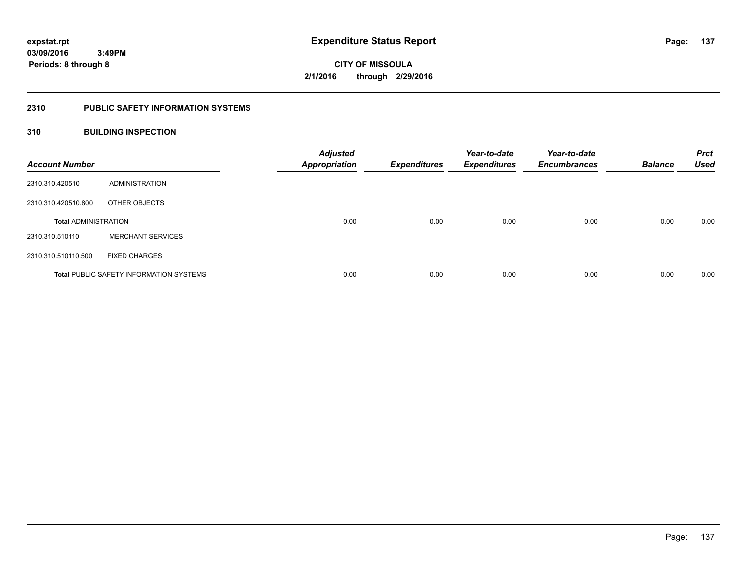# **2310 PUBLIC SAFETY INFORMATION SYSTEMS**

# **310 BUILDING INSPECTION**

| <b>Account Number</b>       |                                                | <b>Adjusted</b><br><b>Appropriation</b> | <b>Expenditures</b> | Year-to-date<br><b>Expenditures</b> | Year-to-date<br><b>Encumbrances</b> | <b>Balance</b> | <b>Prct</b><br><b>Used</b> |
|-----------------------------|------------------------------------------------|-----------------------------------------|---------------------|-------------------------------------|-------------------------------------|----------------|----------------------------|
| 2310.310.420510             | ADMINISTRATION                                 |                                         |                     |                                     |                                     |                |                            |
| 2310.310.420510.800         | OTHER OBJECTS                                  |                                         |                     |                                     |                                     |                |                            |
| <b>Total ADMINISTRATION</b> |                                                | 0.00                                    | 0.00                | 0.00                                | 0.00                                | 0.00           | 0.00                       |
| 2310.310.510110             | <b>MERCHANT SERVICES</b>                       |                                         |                     |                                     |                                     |                |                            |
| 2310.310.510110.500         | <b>FIXED CHARGES</b>                           |                                         |                     |                                     |                                     |                |                            |
|                             | <b>Total PUBLIC SAFETY INFORMATION SYSTEMS</b> | 0.00                                    | 0.00                | 0.00                                | 0.00                                | 0.00           | 0.00                       |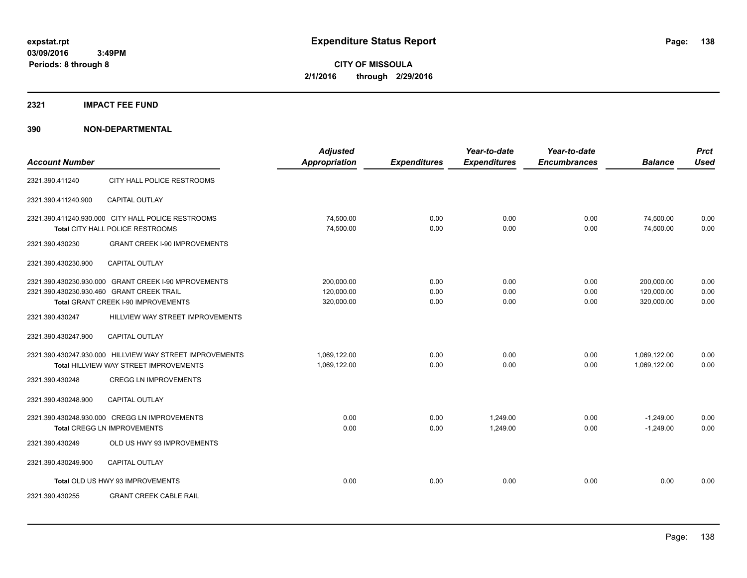# **2321 IMPACT FEE FUND**

|                                                          | <b>Adjusted</b>                                                                                                             |                                       | Year-to-date         | Year-to-date         |                      | <b>Prct</b>                           |
|----------------------------------------------------------|-----------------------------------------------------------------------------------------------------------------------------|---------------------------------------|----------------------|----------------------|----------------------|---------------------------------------|
|                                                          | <b>Appropriation</b>                                                                                                        | <b>Expenditures</b>                   | <b>Expenditures</b>  | <b>Encumbrances</b>  | <b>Balance</b>       | <b>Used</b>                           |
| CITY HALL POLICE RESTROOMS                               |                                                                                                                             |                                       |                      |                      |                      |                                       |
| <b>CAPITAL OUTLAY</b>                                    |                                                                                                                             |                                       |                      |                      |                      |                                       |
| 2321.390.411240.930.000 CITY HALL POLICE RESTROOMS       | 74,500.00                                                                                                                   | 0.00                                  | 0.00                 | 0.00                 | 74,500.00            | 0.00                                  |
|                                                          |                                                                                                                             |                                       |                      |                      |                      | 0.00                                  |
| <b>GRANT CREEK I-90 IMPROVEMENTS</b>                     |                                                                                                                             |                                       |                      |                      |                      |                                       |
| <b>CAPITAL OUTLAY</b>                                    |                                                                                                                             |                                       |                      |                      |                      |                                       |
| 2321.390.430230.930.000 GRANT CREEK I-90 MPROVEMENTS     | 200,000.00                                                                                                                  | 0.00                                  | 0.00                 | 0.00                 | 200,000.00           | 0.00                                  |
|                                                          |                                                                                                                             |                                       |                      |                      |                      | 0.00                                  |
|                                                          |                                                                                                                             |                                       |                      |                      |                      | 0.00                                  |
| HILLVIEW WAY STREET IMPROVEMENTS                         |                                                                                                                             |                                       |                      |                      |                      |                                       |
| <b>CAPITAL OUTLAY</b>                                    |                                                                                                                             |                                       |                      |                      |                      |                                       |
| 2321.390.430247.930.000 HILLVIEW WAY STREET IMPROVEMENTS | 1,069,122.00                                                                                                                | 0.00                                  | 0.00                 | 0.00                 | 1,069,122.00         | 0.00                                  |
| Total HILLVIEW WAY STREET IMPROVEMENTS                   | 1,069,122.00                                                                                                                | 0.00                                  | 0.00                 | 0.00                 | 1,069,122.00         | 0.00                                  |
| <b>CREGG LN IMPROVEMENTS</b>                             |                                                                                                                             |                                       |                      |                      |                      |                                       |
| <b>CAPITAL OUTLAY</b>                                    |                                                                                                                             |                                       |                      |                      |                      |                                       |
| 2321.390.430248.930.000 CREGG LN IMPROVEMENTS            | 0.00                                                                                                                        | 0.00                                  | 1.249.00             | 0.00                 | $-1,249.00$          | 0.00                                  |
| <b>Total CREGG LN IMPROVEMENTS</b>                       | 0.00                                                                                                                        | 0.00                                  | 1,249.00             | 0.00                 | $-1,249.00$          | 0.00                                  |
| OLD US HWY 93 IMPROVEMENTS                               |                                                                                                                             |                                       |                      |                      |                      |                                       |
| <b>CAPITAL OUTLAY</b>                                    |                                                                                                                             |                                       |                      |                      |                      |                                       |
| Total OLD US HWY 93 IMPROVEMENTS                         | 0.00                                                                                                                        | 0.00                                  | 0.00                 | 0.00                 | 0.00                 | 0.00                                  |
| <b>GRANT CREEK CABLE RAIL</b>                            |                                                                                                                             |                                       |                      |                      |                      |                                       |
|                                                          | <b>Total CITY HALL POLICE RESTROOMS</b><br>2321.390.430230.930.460 GRANT CREEK TRAIL<br>Total GRANT CREEK I-90 IMPROVEMENTS | 74,500.00<br>120,000.00<br>320,000.00 | 0.00<br>0.00<br>0.00 | 0.00<br>0.00<br>0.00 | 0.00<br>0.00<br>0.00 | 74,500.00<br>120,000.00<br>320,000.00 |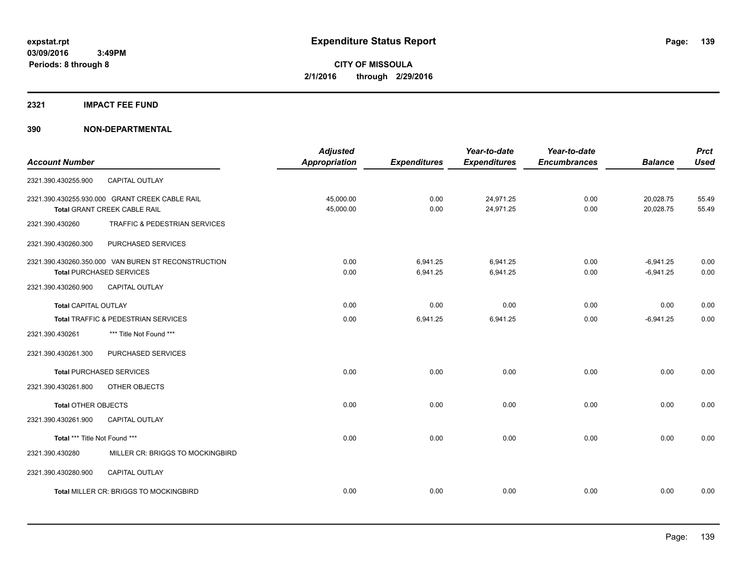# **2321 IMPACT FEE FUND**

| <b>Account Number</b>         |                                                     | <b>Adjusted</b><br><b>Appropriation</b> | <b>Expenditures</b> | Year-to-date<br><b>Expenditures</b> | Year-to-date<br><b>Encumbrances</b> | <b>Balance</b> | <b>Prct</b><br><b>Used</b> |
|-------------------------------|-----------------------------------------------------|-----------------------------------------|---------------------|-------------------------------------|-------------------------------------|----------------|----------------------------|
|                               |                                                     |                                         |                     |                                     |                                     |                |                            |
| 2321.390.430255.900           | <b>CAPITAL OUTLAY</b>                               |                                         |                     |                                     |                                     |                |                            |
|                               | 2321.390.430255.930.000 GRANT CREEK CABLE RAIL      | 45,000.00                               | 0.00                | 24,971.25                           | 0.00                                | 20,028.75      | 55.49                      |
|                               | Total GRANT CREEK CABLE RAIL                        | 45,000.00                               | 0.00                | 24,971.25                           | 0.00                                | 20,028.75      | 55.49                      |
| 2321.390.430260               | TRAFFIC & PEDESTRIAN SERVICES                       |                                         |                     |                                     |                                     |                |                            |
| 2321.390.430260.300           | PURCHASED SERVICES                                  |                                         |                     |                                     |                                     |                |                            |
|                               | 2321.390.430260.350.000 VAN BUREN ST RECONSTRUCTION | 0.00                                    | 6,941.25            | 6,941.25                            | 0.00                                | $-6.941.25$    | 0.00                       |
|                               | <b>Total PURCHASED SERVICES</b>                     | 0.00                                    | 6,941.25            | 6,941.25                            | 0.00                                | $-6,941.25$    | 0.00                       |
| 2321.390.430260.900           | CAPITAL OUTLAY                                      |                                         |                     |                                     |                                     |                |                            |
| <b>Total CAPITAL OUTLAY</b>   |                                                     | 0.00                                    | 0.00                | 0.00                                | 0.00                                | 0.00           | 0.00                       |
|                               | <b>Total TRAFFIC &amp; PEDESTRIAN SERVICES</b>      | 0.00                                    | 6,941.25            | 6,941.25                            | 0.00                                | $-6,941.25$    | 0.00                       |
| 2321.390.430261               | *** Title Not Found ***                             |                                         |                     |                                     |                                     |                |                            |
| 2321.390.430261.300           | PURCHASED SERVICES                                  |                                         |                     |                                     |                                     |                |                            |
|                               | <b>Total PURCHASED SERVICES</b>                     | 0.00                                    | 0.00                | 0.00                                | 0.00                                | 0.00           | 0.00                       |
| 2321.390.430261.800           | OTHER OBJECTS                                       |                                         |                     |                                     |                                     |                |                            |
| <b>Total OTHER OBJECTS</b>    |                                                     | 0.00                                    | 0.00                | 0.00                                | 0.00                                | 0.00           | 0.00                       |
| 2321.390.430261.900           | CAPITAL OUTLAY                                      |                                         |                     |                                     |                                     |                |                            |
| Total *** Title Not Found *** |                                                     | 0.00                                    | 0.00                | 0.00                                | 0.00                                | 0.00           | 0.00                       |
| 2321.390.430280               | MILLER CR: BRIGGS TO MOCKINGBIRD                    |                                         |                     |                                     |                                     |                |                            |
| 2321.390.430280.900           | <b>CAPITAL OUTLAY</b>                               |                                         |                     |                                     |                                     |                |                            |
|                               | Total MILLER CR: BRIGGS TO MOCKINGBIRD              | 0.00                                    | 0.00                | 0.00                                | 0.00                                | 0.00           | 0.00                       |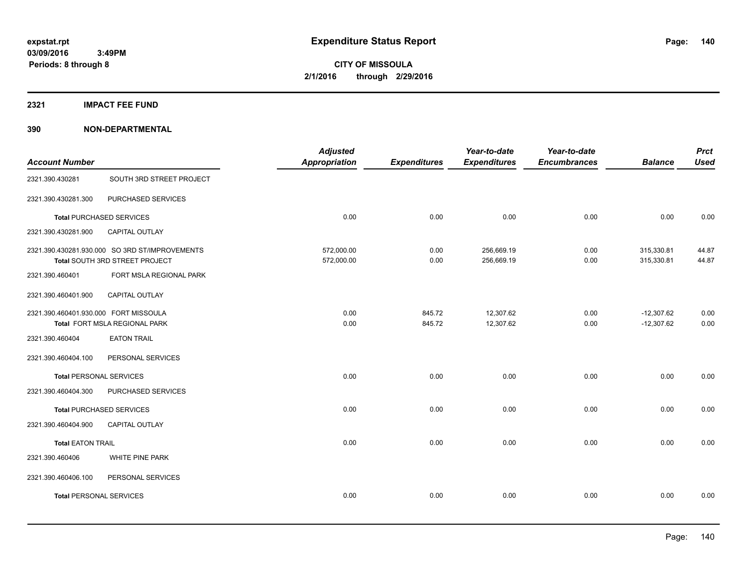**2321 IMPACT FEE FUND**

| <b>Account Number</b>                 |                                                                                  | <b>Adjusted</b><br><b>Appropriation</b> | <b>Expenditures</b> | Year-to-date<br><b>Expenditures</b> | Year-to-date<br><b>Encumbrances</b> | <b>Balance</b>               | <b>Prct</b><br><b>Used</b> |
|---------------------------------------|----------------------------------------------------------------------------------|-----------------------------------------|---------------------|-------------------------------------|-------------------------------------|------------------------------|----------------------------|
| 2321.390.430281                       | SOUTH 3RD STREET PROJECT                                                         |                                         |                     |                                     |                                     |                              |                            |
| 2321.390.430281.300                   | PURCHASED SERVICES                                                               |                                         |                     |                                     |                                     |                              |                            |
|                                       | <b>Total PURCHASED SERVICES</b>                                                  | 0.00                                    | 0.00                | 0.00                                | 0.00                                | 0.00                         | 0.00                       |
| 2321.390.430281.900                   | CAPITAL OUTLAY                                                                   |                                         |                     |                                     |                                     |                              |                            |
|                                       | 2321.390.430281.930.000 SO 3RD ST/IMPROVEMENTS<br>Total SOUTH 3RD STREET PROJECT | 572,000.00<br>572,000.00                | 0.00<br>0.00        | 256,669.19<br>256,669.19            | 0.00<br>0.00                        | 315,330.81<br>315,330.81     | 44.87<br>44.87             |
| 2321.390.460401                       | FORT MSLA REGIONAL PARK                                                          |                                         |                     |                                     |                                     |                              |                            |
| 2321.390.460401.900                   | CAPITAL OUTLAY                                                                   |                                         |                     |                                     |                                     |                              |                            |
| 2321.390.460401.930.000 FORT MISSOULA | Total FORT MSLA REGIONAL PARK                                                    | 0.00<br>0.00                            | 845.72<br>845.72    | 12,307.62<br>12,307.62              | 0.00<br>0.00                        | $-12,307.62$<br>$-12,307.62$ | 0.00<br>0.00               |
| 2321.390.460404                       | <b>EATON TRAIL</b>                                                               |                                         |                     |                                     |                                     |                              |                            |
| 2321.390.460404.100                   | PERSONAL SERVICES                                                                |                                         |                     |                                     |                                     |                              |                            |
| <b>Total PERSONAL SERVICES</b>        |                                                                                  | 0.00                                    | 0.00                | 0.00                                | 0.00                                | 0.00                         | 0.00                       |
| 2321.390.460404.300                   | PURCHASED SERVICES                                                               |                                         |                     |                                     |                                     |                              |                            |
|                                       | <b>Total PURCHASED SERVICES</b>                                                  | 0.00                                    | 0.00                | 0.00                                | 0.00                                | 0.00                         | 0.00                       |
| 2321.390.460404.900                   | <b>CAPITAL OUTLAY</b>                                                            |                                         |                     |                                     |                                     |                              |                            |
| <b>Total EATON TRAIL</b>              |                                                                                  | 0.00                                    | 0.00                | 0.00                                | 0.00                                | 0.00                         | 0.00                       |
| 2321.390.460406                       | WHITE PINE PARK                                                                  |                                         |                     |                                     |                                     |                              |                            |
| 2321.390.460406.100                   | PERSONAL SERVICES                                                                |                                         |                     |                                     |                                     |                              |                            |
| <b>Total PERSONAL SERVICES</b>        |                                                                                  | 0.00                                    | 0.00                | 0.00                                | 0.00                                | 0.00                         | 0.00                       |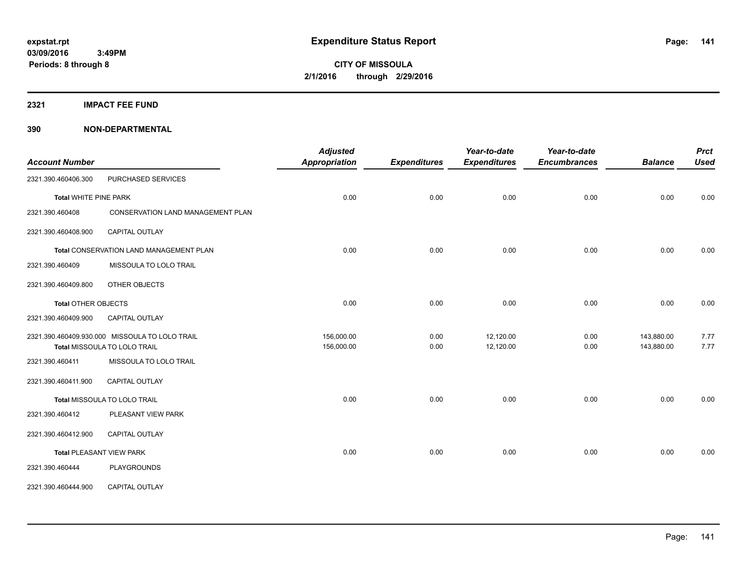**2321 IMPACT FEE FUND**

|                              |                                                | <b>Adjusted</b>      |                     | Year-to-date        | Year-to-date        |                | <b>Prct</b> |
|------------------------------|------------------------------------------------|----------------------|---------------------|---------------------|---------------------|----------------|-------------|
| <b>Account Number</b>        |                                                | <b>Appropriation</b> | <b>Expenditures</b> | <b>Expenditures</b> | <b>Encumbrances</b> | <b>Balance</b> | <b>Used</b> |
| 2321.390.460406.300          | PURCHASED SERVICES                             |                      |                     |                     |                     |                |             |
| <b>Total WHITE PINE PARK</b> |                                                | 0.00                 | 0.00                | 0.00                | 0.00                | 0.00           | 0.00        |
| 2321.390.460408              | CONSERVATION LAND MANAGEMENT PLAN              |                      |                     |                     |                     |                |             |
| 2321.390.460408.900          | <b>CAPITAL OUTLAY</b>                          |                      |                     |                     |                     |                |             |
|                              | Total CONSERVATION LAND MANAGEMENT PLAN        | 0.00                 | 0.00                | 0.00                | 0.00                | 0.00           | 0.00        |
| 2321.390.460409              | MISSOULA TO LOLO TRAIL                         |                      |                     |                     |                     |                |             |
| 2321.390.460409.800          | OTHER OBJECTS                                  |                      |                     |                     |                     |                |             |
| <b>Total OTHER OBJECTS</b>   |                                                | 0.00                 | 0.00                | 0.00                | 0.00                | 0.00           | 0.00        |
| 2321.390.460409.900          | <b>CAPITAL OUTLAY</b>                          |                      |                     |                     |                     |                |             |
|                              | 2321.390.460409.930.000 MISSOULA TO LOLO TRAIL | 156,000.00           | 0.00                | 12,120.00           | 0.00                | 143,880.00     | 7.77        |
|                              | Total MISSOULA TO LOLO TRAIL                   | 156,000.00           | 0.00                | 12,120.00           | 0.00                | 143,880.00     | 7.77        |
| 2321.390.460411              | MISSOULA TO LOLO TRAIL                         |                      |                     |                     |                     |                |             |
| 2321.390.460411.900          | CAPITAL OUTLAY                                 |                      |                     |                     |                     |                |             |
|                              | Total MISSOULA TO LOLO TRAIL                   | 0.00                 | 0.00                | 0.00                | 0.00                | 0.00           | 0.00        |
| 2321.390.460412              | PLEASANT VIEW PARK                             |                      |                     |                     |                     |                |             |
| 2321.390.460412.900          | <b>CAPITAL OUTLAY</b>                          |                      |                     |                     |                     |                |             |
|                              | <b>Total PLEASANT VIEW PARK</b>                | 0.00                 | 0.00                | 0.00                | 0.00                | 0.00           | 0.00        |
| 2321.390.460444              | PLAYGROUNDS                                    |                      |                     |                     |                     |                |             |
| 2321.390.460444.900          | CAPITAL OUTLAY                                 |                      |                     |                     |                     |                |             |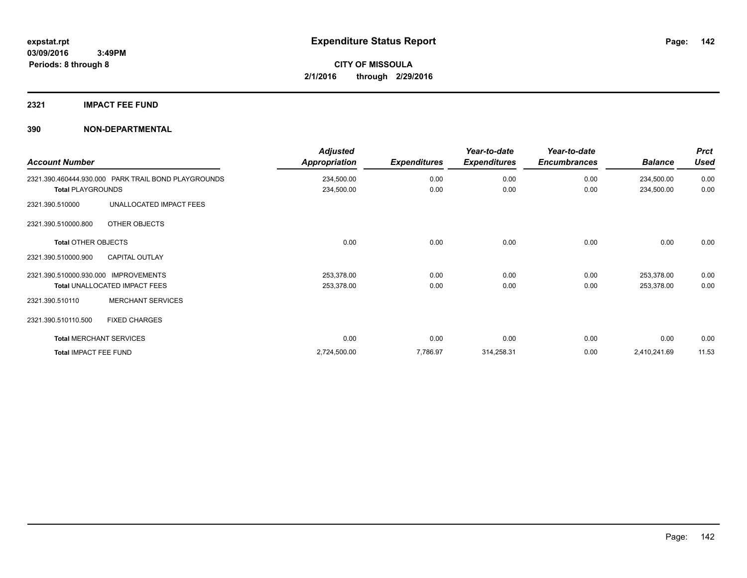# **2321 IMPACT FEE FUND**

| <b>Account Number</b>                               | <b>Adjusted</b><br>Appropriation | <b>Expenditures</b> | Year-to-date<br><b>Expenditures</b> | Year-to-date<br><b>Encumbrances</b> | <b>Balance</b> | <b>Prct</b><br><b>Used</b> |
|-----------------------------------------------------|----------------------------------|---------------------|-------------------------------------|-------------------------------------|----------------|----------------------------|
| 2321.390.460444.930.000 PARK TRAIL BOND PLAYGROUNDS | 234,500.00                       | 0.00                | 0.00                                | 0.00                                | 234,500.00     | 0.00                       |
| <b>Total PLAYGROUNDS</b>                            | 234,500.00                       | 0.00                | 0.00                                | 0.00                                | 234,500.00     | 0.00                       |
| UNALLOCATED IMPACT FEES<br>2321.390.510000          |                                  |                     |                                     |                                     |                |                            |
| 2321.390.510000.800<br>OTHER OBJECTS                |                                  |                     |                                     |                                     |                |                            |
| <b>Total OTHER OBJECTS</b>                          | 0.00                             | 0.00                | 0.00                                | 0.00                                | 0.00           | 0.00                       |
| 2321.390.510000.900<br><b>CAPITAL OUTLAY</b>        |                                  |                     |                                     |                                     |                |                            |
| 2321.390.510000.930.000 IMPROVEMENTS                | 253,378.00                       | 0.00                | 0.00                                | 0.00                                | 253.378.00     | 0.00                       |
| Total UNALLOCATED IMPACT FEES                       | 253,378.00                       | 0.00                | 0.00                                | 0.00                                | 253,378.00     | 0.00                       |
| <b>MERCHANT SERVICES</b><br>2321.390.510110         |                                  |                     |                                     |                                     |                |                            |
| 2321.390.510110.500<br><b>FIXED CHARGES</b>         |                                  |                     |                                     |                                     |                |                            |
| <b>Total MERCHANT SERVICES</b>                      | 0.00                             | 0.00                | 0.00                                | 0.00                                | 0.00           | 0.00                       |
| <b>Total IMPACT FEE FUND</b>                        | 2,724,500.00                     | 7,786.97            | 314,258.31                          | 0.00                                | 2,410,241.69   | 11.53                      |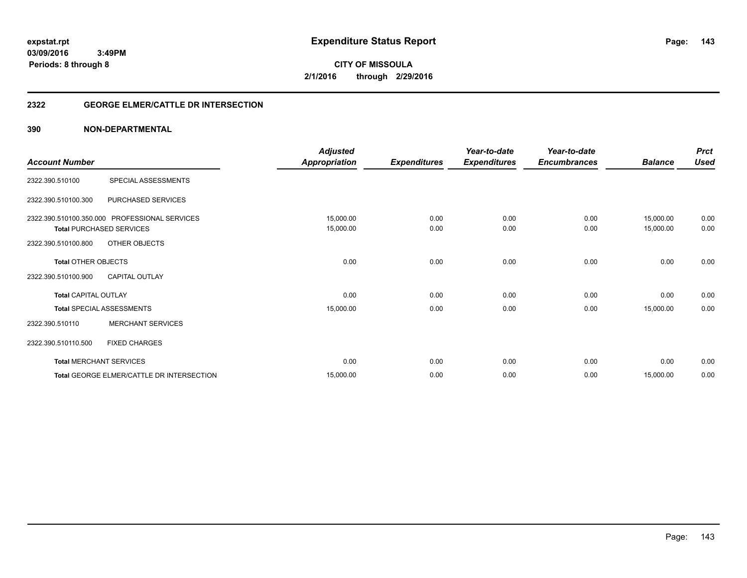**03/09/2016 3:49PM Periods: 8 through 8**

**CITY OF MISSOULA 2/1/2016 through 2/29/2016**

# **2322 GEORGE ELMER/CATTLE DR INTERSECTION**

| <b>Account Number</b>                             |                                                                                                   | <b>Adjusted</b><br><b>Appropriation</b> | <b>Expenditures</b> | Year-to-date<br><b>Expenditures</b> | Year-to-date<br><b>Encumbrances</b> | <b>Balance</b>         | <b>Prct</b><br><b>Used</b> |
|---------------------------------------------------|---------------------------------------------------------------------------------------------------|-----------------------------------------|---------------------|-------------------------------------|-------------------------------------|------------------------|----------------------------|
| 2322.390.510100                                   | SPECIAL ASSESSMENTS                                                                               |                                         |                     |                                     |                                     |                        |                            |
| 2322.390.510100.300                               | PURCHASED SERVICES                                                                                |                                         |                     |                                     |                                     |                        |                            |
| 2322.390.510100.800                               | 2322.390.510100.350.000 PROFESSIONAL SERVICES<br><b>Total PURCHASED SERVICES</b><br>OTHER OBJECTS | 15,000.00<br>15,000.00                  | 0.00<br>0.00        | 0.00<br>0.00                        | 0.00<br>0.00                        | 15,000.00<br>15,000.00 | 0.00<br>0.00               |
| <b>Total OTHER OBJECTS</b><br>2322.390.510100.900 | <b>CAPITAL OUTLAY</b>                                                                             | 0.00                                    | 0.00                | 0.00                                | 0.00                                | 0.00                   | 0.00                       |
| <b>Total CAPITAL OUTLAY</b>                       |                                                                                                   | 0.00                                    | 0.00                | 0.00                                | 0.00                                | 0.00                   | 0.00                       |
| 2322.390.510110                                   | <b>Total SPECIAL ASSESSMENTS</b><br><b>MERCHANT SERVICES</b>                                      | 15,000.00                               | 0.00                | 0.00                                | 0.00                                | 15,000.00              | 0.00                       |
| 2322.390.510110.500                               | <b>FIXED CHARGES</b>                                                                              |                                         |                     |                                     |                                     |                        |                            |
|                                                   | <b>Total MERCHANT SERVICES</b>                                                                    | 0.00                                    | 0.00                | 0.00                                | 0.00                                | 0.00                   | 0.00                       |
|                                                   | Total GEORGE ELMER/CATTLE DR INTERSECTION                                                         | 15,000.00                               | 0.00                | 0.00                                | 0.00                                | 15,000.00              | 0.00                       |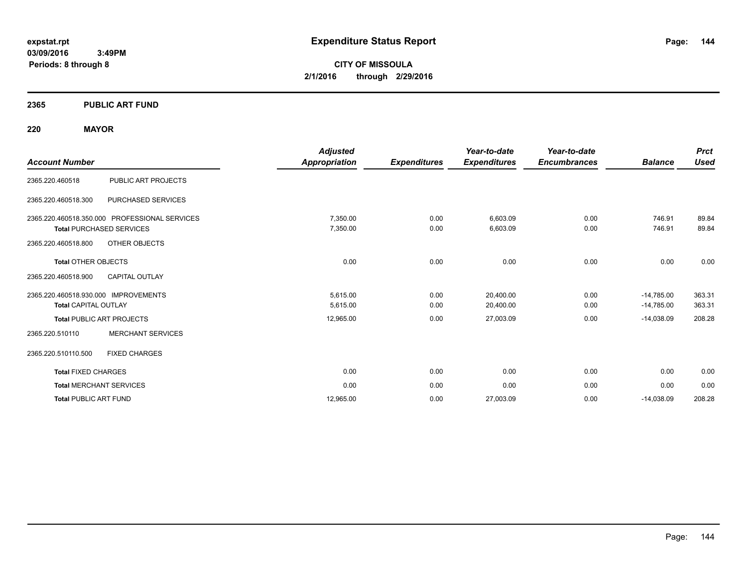**03/09/2016 3:49PM Periods: 8 through 8**

**CITY OF MISSOULA 2/1/2016 through 2/29/2016**

# **2365 PUBLIC ART FUND**

# **220 MAYOR**

| <b>Account Number</b>                                                                                   |                          | <b>Adjusted</b><br>Appropriation | <b>Expenditures</b> | Year-to-date<br><b>Expenditures</b> | Year-to-date<br><b>Encumbrances</b> | <b>Balance</b>               | <b>Prct</b><br><b>Used</b> |
|---------------------------------------------------------------------------------------------------------|--------------------------|----------------------------------|---------------------|-------------------------------------|-------------------------------------|------------------------------|----------------------------|
| 2365.220.460518                                                                                         | PUBLIC ART PROJECTS      |                                  |                     |                                     |                                     |                              |                            |
| 2365.220.460518.300                                                                                     | PURCHASED SERVICES       |                                  |                     |                                     |                                     |                              |                            |
| 2365.220.460518.350.000 PROFESSIONAL SERVICES<br><b>Total PURCHASED SERVICES</b><br>2365.220.460518.800 | OTHER OBJECTS            | 7,350.00<br>7,350.00             | 0.00<br>0.00        | 6,603.09<br>6,603.09                | 0.00<br>0.00                        | 746.91<br>746.91             | 89.84<br>89.84             |
| <b>Total OTHER OBJECTS</b><br>2365.220.460518.900                                                       | <b>CAPITAL OUTLAY</b>    | 0.00                             | 0.00                | 0.00                                | 0.00                                | 0.00                         | 0.00                       |
| 2365.220.460518.930.000 IMPROVEMENTS<br><b>Total CAPITAL OUTLAY</b>                                     |                          | 5,615.00<br>5,615.00             | 0.00<br>0.00        | 20,400.00<br>20,400.00              | 0.00<br>0.00                        | $-14,785.00$<br>$-14,785.00$ | 363.31<br>363.31           |
| <b>Total PUBLIC ART PROJECTS</b>                                                                        |                          | 12,965.00                        | 0.00                | 27,003.09                           | 0.00                                | $-14,038.09$                 | 208.28                     |
| 2365.220.510110                                                                                         | <b>MERCHANT SERVICES</b> |                                  |                     |                                     |                                     |                              |                            |
| 2365.220.510110.500                                                                                     | <b>FIXED CHARGES</b>     |                                  |                     |                                     |                                     |                              |                            |
| <b>Total FIXED CHARGES</b>                                                                              |                          | 0.00                             | 0.00                | 0.00                                | 0.00                                | 0.00                         | 0.00                       |
| <b>Total MERCHANT SERVICES</b>                                                                          |                          | 0.00                             | 0.00                | 0.00                                | 0.00                                | 0.00                         | 0.00                       |
| <b>Total PUBLIC ART FUND</b>                                                                            |                          | 12.965.00                        | 0.00                | 27,003.09                           | 0.00                                | $-14,038.09$                 | 208.28                     |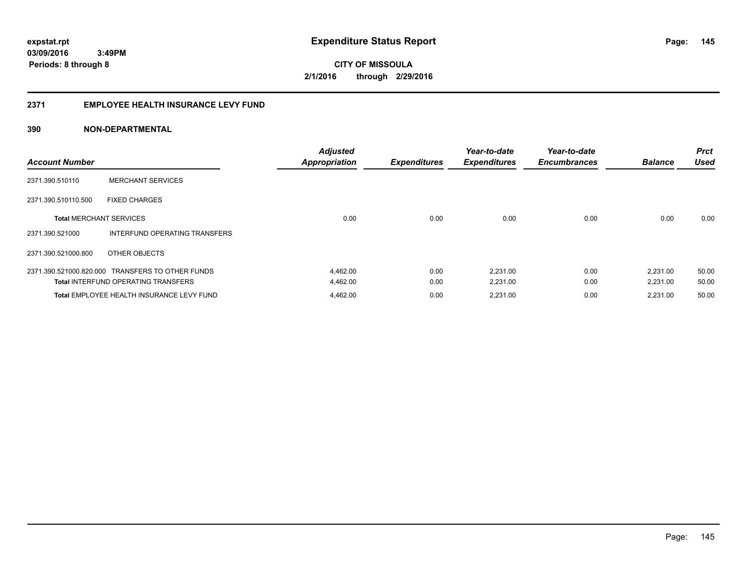**145**

**CITY OF MISSOULA 2/1/2016 through 2/29/2016**

### **2371 EMPLOYEE HEALTH INSURANCE LEVY FUND**

| <b>Account Number</b>          |                                                  | <b>Adjusted</b><br><b>Appropriation</b> | <b>Expenditures</b> | Year-to-date<br><b>Expenditures</b> | Year-to-date<br><b>Encumbrances</b> | <b>Balance</b> | <b>Prct</b><br>Used |
|--------------------------------|--------------------------------------------------|-----------------------------------------|---------------------|-------------------------------------|-------------------------------------|----------------|---------------------|
| 2371.390.510110                | <b>MERCHANT SERVICES</b>                         |                                         |                     |                                     |                                     |                |                     |
| 2371.390.510110.500            | <b>FIXED CHARGES</b>                             |                                         |                     |                                     |                                     |                |                     |
| <b>Total MERCHANT SERVICES</b> |                                                  | 0.00                                    | 0.00                | 0.00                                | 0.00                                | 0.00           | 0.00                |
| 2371.390.521000                | INTERFUND OPERATING TRANSFERS                    |                                         |                     |                                     |                                     |                |                     |
| 2371.390.521000.800            | OTHER OBJECTS                                    |                                         |                     |                                     |                                     |                |                     |
|                                | 2371.390.521000.820.000 TRANSFERS TO OTHER FUNDS | 4,462.00                                | 0.00                | 2,231.00                            | 0.00                                | 2,231.00       | 50.00               |
|                                | <b>Total INTERFUND OPERATING TRANSFERS</b>       | 4,462.00                                | 0.00                | 2,231.00                            | 0.00                                | 2,231.00       | 50.00               |
|                                | Total EMPLOYEE HEALTH INSURANCE LEVY FUND        | 4,462.00                                | 0.00                | 2,231.00                            | 0.00                                | 2,231.00       | 50.00               |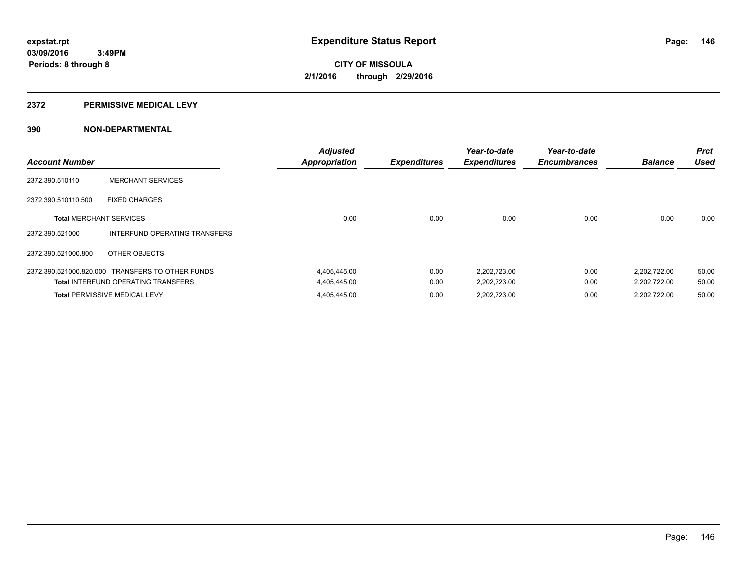### **2372 PERMISSIVE MEDICAL LEVY**

| <b>Account Number</b>          |                                                  | <b>Adjusted</b><br><b>Appropriation</b> | <b>Expenditures</b> | Year-to-date<br><b>Expenditures</b> | Year-to-date<br><b>Encumbrances</b> | <b>Balance</b> | <b>Prct</b><br><b>Used</b> |
|--------------------------------|--------------------------------------------------|-----------------------------------------|---------------------|-------------------------------------|-------------------------------------|----------------|----------------------------|
| 2372.390.510110                | <b>MERCHANT SERVICES</b>                         |                                         |                     |                                     |                                     |                |                            |
| 2372.390.510110.500            | <b>FIXED CHARGES</b>                             |                                         |                     |                                     |                                     |                |                            |
| <b>Total MERCHANT SERVICES</b> |                                                  | 0.00                                    | 0.00                | 0.00                                | 0.00                                | 0.00           | 0.00                       |
| 2372.390.521000                | INTERFUND OPERATING TRANSFERS                    |                                         |                     |                                     |                                     |                |                            |
| 2372.390.521000.800            | OTHER OBJECTS                                    |                                         |                     |                                     |                                     |                |                            |
|                                | 2372.390.521000.820.000 TRANSFERS TO OTHER FUNDS | 4,405,445.00                            | 0.00                | 2,202,723.00                        | 0.00                                | 2,202,722.00   | 50.00                      |
|                                | <b>Total INTERFUND OPERATING TRANSFERS</b>       | 4,405,445.00                            | 0.00                | 2,202,723.00                        | 0.00                                | 2,202,722.00   | 50.00                      |
|                                | <b>Total PERMISSIVE MEDICAL LEVY</b>             | 4,405,445.00                            | 0.00                | 2,202,723.00                        | 0.00                                | 2.202.722.00   | 50.00                      |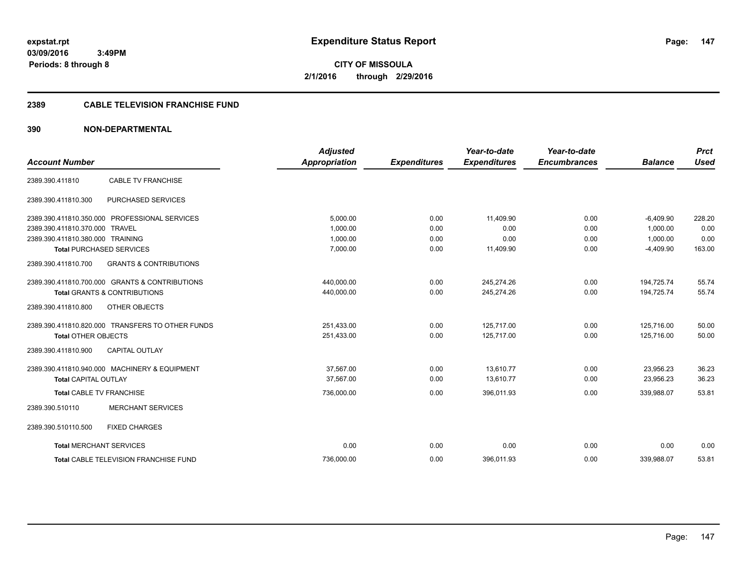**CITY OF MISSOULA 2/1/2016 through 2/29/2016**

# **2389 CABLE TELEVISION FRANCHISE FUND**

|                                  |                                                  | <b>Adjusted</b>      |                     | Year-to-date        | Year-to-date        |                | <b>Prct</b> |
|----------------------------------|--------------------------------------------------|----------------------|---------------------|---------------------|---------------------|----------------|-------------|
| <b>Account Number</b>            |                                                  | <b>Appropriation</b> | <b>Expenditures</b> | <b>Expenditures</b> | <b>Encumbrances</b> | <b>Balance</b> | <b>Used</b> |
| 2389.390.411810                  | <b>CABLE TV FRANCHISE</b>                        |                      |                     |                     |                     |                |             |
| 2389.390.411810.300              | <b>PURCHASED SERVICES</b>                        |                      |                     |                     |                     |                |             |
|                                  | 2389.390.411810.350.000 PROFESSIONAL SERVICES    | 5.000.00             | 0.00                | 11.409.90           | 0.00                | $-6.409.90$    | 228.20      |
| 2389.390.411810.370.000 TRAVEL   |                                                  | 1.000.00             | 0.00                | 0.00                | 0.00                | 1.000.00       | 0.00        |
| 2389.390.411810.380.000 TRAINING |                                                  | 1.000.00             | 0.00                | 0.00                | 0.00                | 1.000.00       | 0.00        |
|                                  | <b>Total PURCHASED SERVICES</b>                  | 7,000.00             | 0.00                | 11,409.90           | 0.00                | $-4,409.90$    | 163.00      |
| 2389.390.411810.700              | <b>GRANTS &amp; CONTRIBUTIONS</b>                |                      |                     |                     |                     |                |             |
|                                  | 2389.390.411810.700.000 GRANTS & CONTRIBUTIONS   | 440,000.00           | 0.00                | 245,274.26          | 0.00                | 194,725.74     | 55.74       |
|                                  | <b>Total GRANTS &amp; CONTRIBUTIONS</b>          | 440,000.00           | 0.00                | 245,274.26          | 0.00                | 194,725.74     | 55.74       |
| 2389.390.411810.800              | OTHER OBJECTS                                    |                      |                     |                     |                     |                |             |
|                                  | 2389.390.411810.820.000 TRANSFERS TO OTHER FUNDS | 251,433.00           | 0.00                | 125,717.00          | 0.00                | 125,716.00     | 50.00       |
| <b>Total OTHER OBJECTS</b>       |                                                  | 251,433.00           | 0.00                | 125,717.00          | 0.00                | 125,716.00     | 50.00       |
| 2389.390.411810.900              | <b>CAPITAL OUTLAY</b>                            |                      |                     |                     |                     |                |             |
|                                  | 2389.390.411810.940.000 MACHINERY & EQUIPMENT    | 37.567.00            | 0.00                | 13,610.77           | 0.00                | 23,956.23      | 36.23       |
| <b>Total CAPITAL OUTLAY</b>      |                                                  | 37,567.00            | 0.00                | 13,610.77           | 0.00                | 23,956.23      | 36.23       |
| Total CABLE TV FRANCHISE         |                                                  | 736,000.00           | 0.00                | 396,011.93          | 0.00                | 339,988.07     | 53.81       |
| 2389.390.510110                  | <b>MERCHANT SERVICES</b>                         |                      |                     |                     |                     |                |             |
| 2389.390.510110.500              | <b>FIXED CHARGES</b>                             |                      |                     |                     |                     |                |             |
| <b>Total MERCHANT SERVICES</b>   |                                                  | 0.00                 | 0.00                | 0.00                | 0.00                | 0.00           | 0.00        |
|                                  | <b>Total CABLE TELEVISION FRANCHISE FUND</b>     | 736.000.00           | 0.00                | 396,011.93          | 0.00                | 339.988.07     | 53.81       |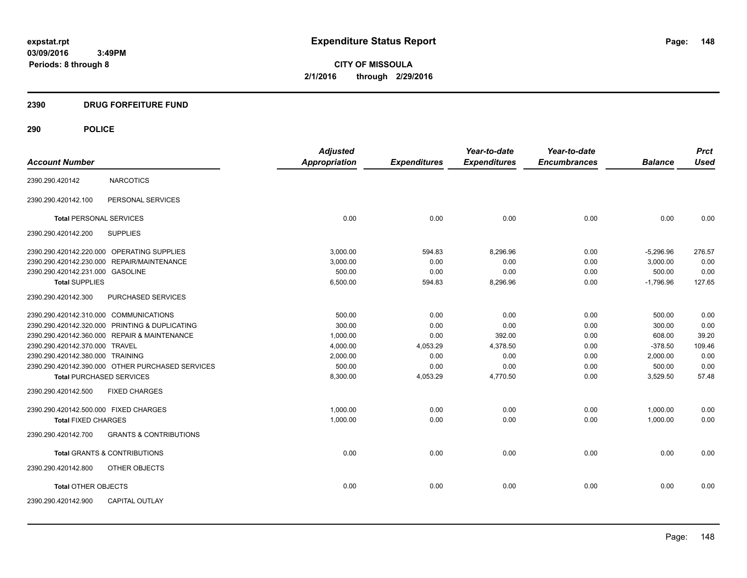**CITY OF MISSOULA 2/1/2016 through 2/29/2016**

# **2390 DRUG FORFEITURE FUND**

|                                            |                                                  | <b>Adjusted</b>      |                     | Year-to-date        | Year-to-date        |                | <b>Prct</b> |
|--------------------------------------------|--------------------------------------------------|----------------------|---------------------|---------------------|---------------------|----------------|-------------|
| <b>Account Number</b>                      |                                                  | <b>Appropriation</b> | <b>Expenditures</b> | <b>Expenditures</b> | <b>Encumbrances</b> | <b>Balance</b> | <b>Used</b> |
| 2390.290.420142                            | <b>NARCOTICS</b>                                 |                      |                     |                     |                     |                |             |
| 2390.290.420142.100                        | PERSONAL SERVICES                                |                      |                     |                     |                     |                |             |
| <b>Total PERSONAL SERVICES</b>             |                                                  | 0.00                 | 0.00                | 0.00                | 0.00                | 0.00           | 0.00        |
| 2390.290.420142.200                        | <b>SUPPLIES</b>                                  |                      |                     |                     |                     |                |             |
| 2390.290.420142.220.000 OPERATING SUPPLIES |                                                  | 3,000.00             | 594.83              | 8,296.96            | 0.00                | $-5,296.96$    | 276.57      |
| 2390.290.420142.230.000 REPAIR/MAINTENANCE |                                                  | 3,000.00             | 0.00                | 0.00                | 0.00                | 3,000.00       | 0.00        |
| 2390.290.420142.231.000 GASOLINE           |                                                  | 500.00               | 0.00                | 0.00                | 0.00                | 500.00         | 0.00        |
| <b>Total SUPPLIES</b>                      |                                                  | 6,500.00             | 594.83              | 8,296.96            | 0.00                | $-1,796.96$    | 127.65      |
| 2390.290.420142.300                        | PURCHASED SERVICES                               |                      |                     |                     |                     |                |             |
| 2390.290.420142.310.000 COMMUNICATIONS     |                                                  | 500.00               | 0.00                | 0.00                | 0.00                | 500.00         | 0.00        |
|                                            | 2390.290.420142.320.000 PRINTING & DUPLICATING   | 300.00               | 0.00                | 0.00                | 0.00                | 300.00         | 0.00        |
|                                            | 2390.290.420142.360.000 REPAIR & MAINTENANCE     | 1,000.00             | 0.00                | 392.00              | 0.00                | 608.00         | 39.20       |
| 2390.290.420142.370.000 TRAVEL             |                                                  | 4,000.00             | 4,053.29            | 4,378.50            | 0.00                | $-378.50$      | 109.46      |
| 2390.290.420142.380.000 TRAINING           |                                                  | 2,000.00             | 0.00                | 0.00                | 0.00                | 2,000.00       | 0.00        |
|                                            | 2390.290.420142.390.000 OTHER PURCHASED SERVICES | 500.00               | 0.00                | 0.00                | 0.00                | 500.00         | 0.00        |
| <b>Total PURCHASED SERVICES</b>            |                                                  | 8,300.00             | 4,053.29            | 4,770.50            | 0.00                | 3,529.50       | 57.48       |
| 2390.290.420142.500                        | <b>FIXED CHARGES</b>                             |                      |                     |                     |                     |                |             |
| 2390.290.420142.500.000 FIXED CHARGES      |                                                  | 1,000.00             | 0.00                | 0.00                | 0.00                | 1,000.00       | 0.00        |
| <b>Total FIXED CHARGES</b>                 |                                                  | 1,000.00             | 0.00                | 0.00                | 0.00                | 1,000.00       | 0.00        |
| 2390.290.420142.700                        | <b>GRANTS &amp; CONTRIBUTIONS</b>                |                      |                     |                     |                     |                |             |
|                                            | <b>Total GRANTS &amp; CONTRIBUTIONS</b>          | 0.00                 | 0.00                | 0.00                | 0.00                | 0.00           | 0.00        |
| 2390.290.420142.800                        | OTHER OBJECTS                                    |                      |                     |                     |                     |                |             |
| <b>Total OTHER OBJECTS</b>                 |                                                  | 0.00                 | 0.00                | 0.00                | 0.00                | 0.00           | 0.00        |
| 2390.290.420142.900                        | <b>CAPITAL OUTLAY</b>                            |                      |                     |                     |                     |                |             |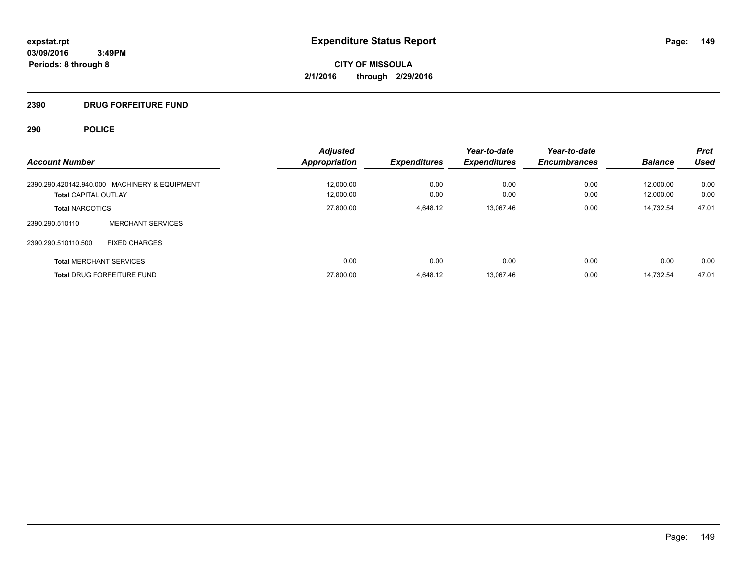**CITY OF MISSOULA 2/1/2016 through 2/29/2016**

# **2390 DRUG FORFEITURE FUND**

| <b>Account Number</b>                         | <b>Adjusted</b><br><b>Appropriation</b> | <b>Expenditures</b> | Year-to-date<br><b>Expenditures</b> | Year-to-date<br><b>Encumbrances</b> | <b>Balance</b> | <b>Prct</b><br><b>Used</b> |
|-----------------------------------------------|-----------------------------------------|---------------------|-------------------------------------|-------------------------------------|----------------|----------------------------|
| 2390.290.420142.940.000 MACHINERY & EQUIPMENT | 12.000.00                               | 0.00                | 0.00                                | 0.00                                | 12.000.00      | 0.00                       |
| <b>Total CAPITAL OUTLAY</b>                   | 12,000.00                               | 0.00                | 0.00                                | 0.00                                | 12.000.00      | 0.00                       |
| <b>Total NARCOTICS</b>                        | 27,800.00                               | 4.648.12            | 13,067.46                           | 0.00                                | 14.732.54      | 47.01                      |
| <b>MERCHANT SERVICES</b><br>2390.290.510110   |                                         |                     |                                     |                                     |                |                            |
| 2390.290.510110.500<br><b>FIXED CHARGES</b>   |                                         |                     |                                     |                                     |                |                            |
| <b>Total MERCHANT SERVICES</b>                | 0.00                                    | 0.00                | 0.00                                | 0.00                                | 0.00           | 0.00                       |
| <b>Total DRUG FORFEITURE FUND</b>             | 27,800.00                               | 4.648.12            | 13.067.46                           | 0.00                                | 14.732.54      | 47.01                      |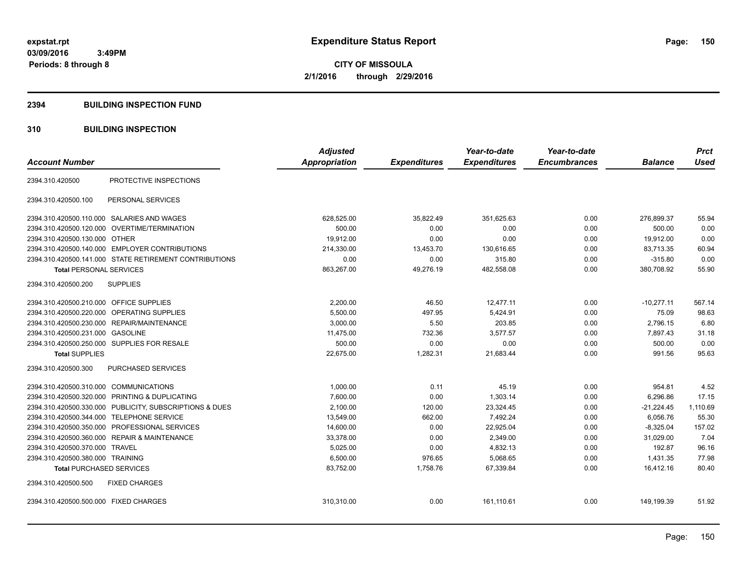**CITY OF MISSOULA 2/1/2016 through 2/29/2016**

### **2394 BUILDING INSPECTION FUND**

# **310 BUILDING INSPECTION**

| <b>Account Number</b>                                        | <b>Adjusted</b><br><b>Appropriation</b> | <b>Expenditures</b> | Year-to-date<br><b>Expenditures</b> | Year-to-date<br><b>Encumbrances</b> | <b>Balance</b> | <b>Prct</b><br><b>Used</b> |
|--------------------------------------------------------------|-----------------------------------------|---------------------|-------------------------------------|-------------------------------------|----------------|----------------------------|
|                                                              |                                         |                     |                                     |                                     |                |                            |
| PROTECTIVE INSPECTIONS<br>2394.310.420500                    |                                         |                     |                                     |                                     |                |                            |
| 2394.310.420500.100<br>PERSONAL SERVICES                     |                                         |                     |                                     |                                     |                |                            |
| 2394.310.420500.110.000 SALARIES AND WAGES                   | 628,525.00                              | 35,822.49           | 351,625.63                          | 0.00                                | 276,899.37     | 55.94                      |
| OVERTIME/TERMINATION<br>2394.310.420500.120.000              | 500.00                                  | 0.00                | 0.00                                | 0.00                                | 500.00         | 0.00                       |
| 2394.310.420500.130.000 OTHER                                | 19,912.00                               | 0.00                | 0.00                                | 0.00                                | 19,912.00      | 0.00                       |
| 2394.310.420500.140.000 EMPLOYER CONTRIBUTIONS               | 214,330.00                              | 13,453.70           | 130,616.65                          | 0.00                                | 83,713.35      | 60.94                      |
| 2394.310.420500.141.000 STATE RETIREMENT CONTRIBUTIONS       | 0.00                                    | 0.00                | 315.80                              | 0.00                                | $-315.80$      | 0.00                       |
| <b>Total PERSONAL SERVICES</b>                               | 863,267.00                              | 49,276.19           | 482,558.08                          | 0.00                                | 380,708.92     | 55.90                      |
| <b>SUPPLIES</b><br>2394.310.420500.200                       |                                         |                     |                                     |                                     |                |                            |
| 2394.310.420500.210.000 OFFICE SUPPLIES                      | 2,200.00                                | 46.50               | 12,477.11                           | 0.00                                | $-10,277.11$   | 567.14                     |
| 2394.310.420500.220.000 OPERATING SUPPLIES                   | 5,500.00                                | 497.95              | 5,424.91                            | 0.00                                | 75.09          | 98.63                      |
| 2394.310.420500.230.000 REPAIR/MAINTENANCE                   | 3,000.00                                | 5.50                | 203.85                              | 0.00                                | 2,796.15       | 6.80                       |
| 2394.310.420500.231.000 GASOLINE                             | 11,475.00                               | 732.36              | 3,577.57                            | 0.00                                | 7,897.43       | 31.18                      |
| 2394.310.420500.250.000 SUPPLIES FOR RESALE                  | 500.00                                  | 0.00                | 0.00                                | 0.00                                | 500.00         | 0.00                       |
| <b>Total SUPPLIES</b>                                        | 22,675.00                               | 1,282.31            | 21,683.44                           | 0.00                                | 991.56         | 95.63                      |
| PURCHASED SERVICES<br>2394.310.420500.300                    |                                         |                     |                                     |                                     |                |                            |
| 2394.310.420500.310.000 COMMUNICATIONS                       | 1,000.00                                | 0.11                | 45.19                               | 0.00                                | 954.81         | 4.52                       |
| 2394.310.420500.320.000<br><b>PRINTING &amp; DUPLICATING</b> | 7,600.00                                | 0.00                | 1,303.14                            | 0.00                                | 6,296.86       | 17.15                      |
| 2394.310.420500.330.000 PUBLICITY, SUBSCRIPTIONS & DUES      | 2,100.00                                | 120.00              | 23,324.45                           | 0.00                                | $-21,224.45$   | 1,110.69                   |
| 2394.310.420500.344.000<br><b>TELEPHONE SERVICE</b>          | 13,549.00                               | 662.00              | 7,492.24                            | 0.00                                | 6,056.76       | 55.30                      |
| PROFESSIONAL SERVICES<br>2394.310.420500.350.000             | 14,600.00                               | 0.00                | 22,925.04                           | 0.00                                | $-8,325.04$    | 157.02                     |
| <b>REPAIR &amp; MAINTENANCE</b><br>2394.310.420500.360.000   | 33,378.00                               | 0.00                | 2,349.00                            | 0.00                                | 31,029.00      | 7.04                       |
| 2394.310.420500.370.000<br><b>TRAVEL</b>                     | 5,025.00                                | 0.00                | 4,832.13                            | 0.00                                | 192.87         | 96.16                      |
| 2394.310.420500.380.000 TRAINING                             | 6,500.00                                | 976.65              | 5,068.65                            | 0.00                                | 1,431.35       | 77.98                      |
| <b>Total PURCHASED SERVICES</b>                              | 83,752.00                               | 1,758.76            | 67,339.84                           | 0.00                                | 16,412.16      | 80.40                      |
| 2394.310.420500.500<br><b>FIXED CHARGES</b>                  |                                         |                     |                                     |                                     |                |                            |
| 2394.310.420500.500.000 FIXED CHARGES                        | 310,310.00                              | 0.00                | 161,110.61                          | 0.00                                | 149,199.39     | 51.92                      |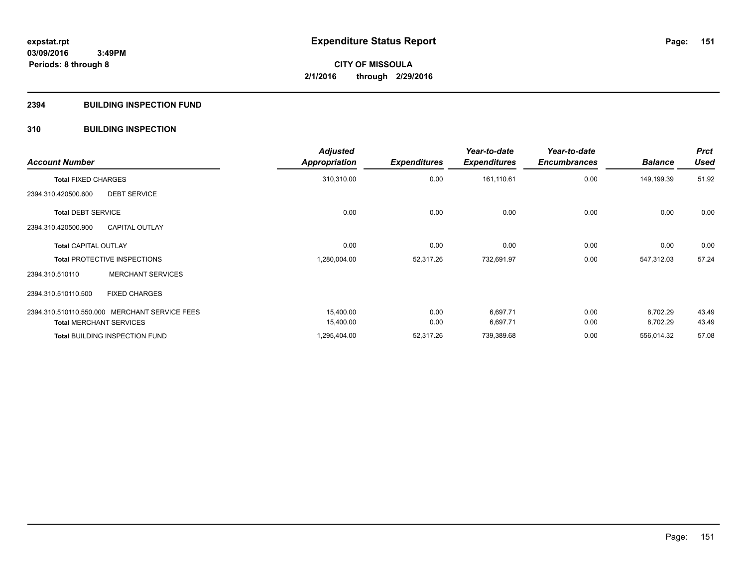# **2394 BUILDING INSPECTION FUND**

# **310 BUILDING INSPECTION**

| <b>Account Number</b>               |                                               | <b>Adjusted</b><br><b>Appropriation</b> | <b>Expenditures</b> | Year-to-date<br><b>Expenditures</b> | Year-to-date<br><b>Encumbrances</b> | <b>Balance</b> | <b>Prct</b><br><b>Used</b> |
|-------------------------------------|-----------------------------------------------|-----------------------------------------|---------------------|-------------------------------------|-------------------------------------|----------------|----------------------------|
| <b>Total FIXED CHARGES</b>          |                                               | 310,310.00                              | 0.00                | 161,110.61                          | 0.00                                | 149,199.39     | 51.92                      |
| 2394.310.420500.600                 | <b>DEBT SERVICE</b>                           |                                         |                     |                                     |                                     |                |                            |
| <b>Total DEBT SERVICE</b>           |                                               | 0.00                                    | 0.00                | 0.00                                | 0.00                                | 0.00           | 0.00                       |
| 2394.310.420500.900                 | <b>CAPITAL OUTLAY</b>                         |                                         |                     |                                     |                                     |                |                            |
| <b>Total CAPITAL OUTLAY</b>         |                                               | 0.00                                    | 0.00                | 0.00                                | 0.00                                | 0.00           | 0.00                       |
| <b>Total PROTECTIVE INSPECTIONS</b> |                                               | 1,280,004.00                            | 52,317.26           | 732,691.97                          | 0.00                                | 547,312.03     | 57.24                      |
| 2394.310.510110                     | <b>MERCHANT SERVICES</b>                      |                                         |                     |                                     |                                     |                |                            |
| 2394.310.510110.500                 | <b>FIXED CHARGES</b>                          |                                         |                     |                                     |                                     |                |                            |
|                                     | 2394.310.510110.550.000 MERCHANT SERVICE FEES | 15,400.00                               | 0.00                | 6,697.71                            | 0.00                                | 8,702.29       | 43.49                      |
| <b>Total MERCHANT SERVICES</b>      |                                               | 15,400.00                               | 0.00                | 6,697.71                            | 0.00                                | 8,702.29       | 43.49                      |
|                                     | <b>Total BUILDING INSPECTION FUND</b>         | 1,295,404.00                            | 52,317.26           | 739,389.68                          | 0.00                                | 556,014.32     | 57.08                      |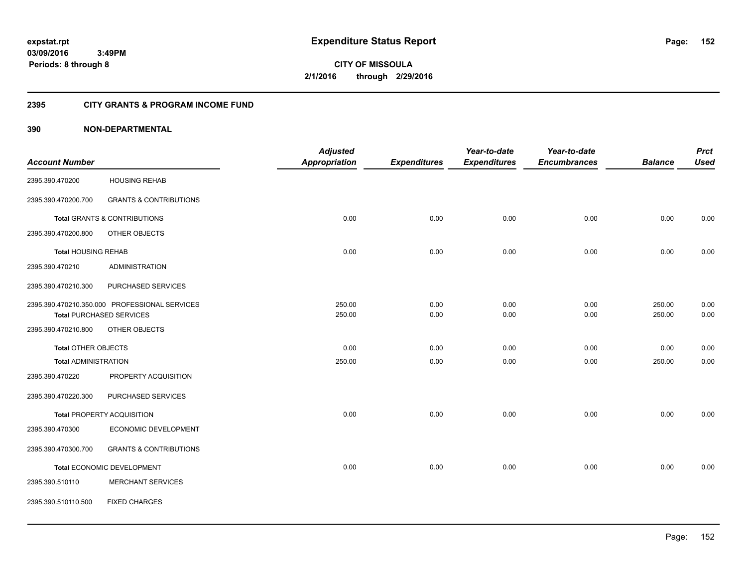**CITY OF MISSOULA 2/1/2016 through 2/29/2016**

# **2395 CITY GRANTS & PROGRAM INCOME FUND**

|                             |                                               | <b>Adjusted</b>      |                     | Year-to-date        | Year-to-date        |                | <b>Prct</b> |
|-----------------------------|-----------------------------------------------|----------------------|---------------------|---------------------|---------------------|----------------|-------------|
| <b>Account Number</b>       |                                               | <b>Appropriation</b> | <b>Expenditures</b> | <b>Expenditures</b> | <b>Encumbrances</b> | <b>Balance</b> | <b>Used</b> |
| 2395.390.470200             | <b>HOUSING REHAB</b>                          |                      |                     |                     |                     |                |             |
| 2395.390.470200.700         | <b>GRANTS &amp; CONTRIBUTIONS</b>             |                      |                     |                     |                     |                |             |
|                             | <b>Total GRANTS &amp; CONTRIBUTIONS</b>       | 0.00                 | 0.00                | 0.00                | 0.00                | 0.00           | 0.00        |
| 2395.390.470200.800         | OTHER OBJECTS                                 |                      |                     |                     |                     |                |             |
| <b>Total HOUSING REHAB</b>  |                                               | 0.00                 | 0.00                | 0.00                | 0.00                | 0.00           | 0.00        |
| 2395.390.470210             | <b>ADMINISTRATION</b>                         |                      |                     |                     |                     |                |             |
| 2395.390.470210.300         | PURCHASED SERVICES                            |                      |                     |                     |                     |                |             |
|                             | 2395.390.470210.350.000 PROFESSIONAL SERVICES | 250.00               | 0.00                | 0.00                | 0.00                | 250.00         | 0.00        |
|                             | <b>Total PURCHASED SERVICES</b>               | 250.00               | 0.00                | 0.00                | 0.00                | 250.00         | 0.00        |
| 2395.390.470210.800         | OTHER OBJECTS                                 |                      |                     |                     |                     |                |             |
| Total OTHER OBJECTS         |                                               | 0.00                 | 0.00                | 0.00                | 0.00                | 0.00           | 0.00        |
| <b>Total ADMINISTRATION</b> |                                               | 250.00               | 0.00                | 0.00                | 0.00                | 250.00         | 0.00        |
| 2395.390.470220             | PROPERTY ACQUISITION                          |                      |                     |                     |                     |                |             |
| 2395.390.470220.300         | PURCHASED SERVICES                            |                      |                     |                     |                     |                |             |
|                             | <b>Total PROPERTY ACQUISITION</b>             | 0.00                 | 0.00                | 0.00                | 0.00                | 0.00           | 0.00        |
| 2395.390.470300             | ECONOMIC DEVELOPMENT                          |                      |                     |                     |                     |                |             |
| 2395.390.470300.700         | <b>GRANTS &amp; CONTRIBUTIONS</b>             |                      |                     |                     |                     |                |             |
|                             | Total ECONOMIC DEVELOPMENT                    | 0.00                 | 0.00                | 0.00                | 0.00                | 0.00           | 0.00        |
| 2395.390.510110             | <b>MERCHANT SERVICES</b>                      |                      |                     |                     |                     |                |             |
| 2395.390.510110.500         | <b>FIXED CHARGES</b>                          |                      |                     |                     |                     |                |             |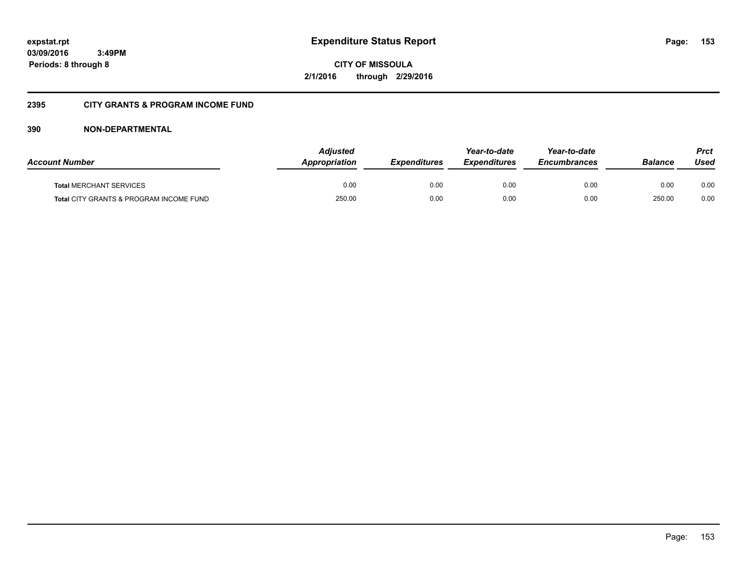**CITY OF MISSOULA 2/1/2016 through 2/29/2016**

# **2395 CITY GRANTS & PROGRAM INCOME FUND**

| <b>Account Number</b>                   | <b>Adjusted</b><br><b>Appropriation</b> | <b>Expenditures</b> | Year-to-date<br><b>Expenditures</b> | Year-to-date<br><b>Encumbrances</b> | <b>Balance</b> | <b>Prct</b><br>Used |
|-----------------------------------------|-----------------------------------------|---------------------|-------------------------------------|-------------------------------------|----------------|---------------------|
| <b>Total MERCHANT SERVICES</b>          | 0.00                                    | 0.00                | 0.00                                | 0.00                                | 0.00           | 0.00                |
| Total CITY GRANTS & PROGRAM INCOME FUND | 250.00                                  | 0.00                | 0.00                                | 0.00                                | 250.00         | 0.00                |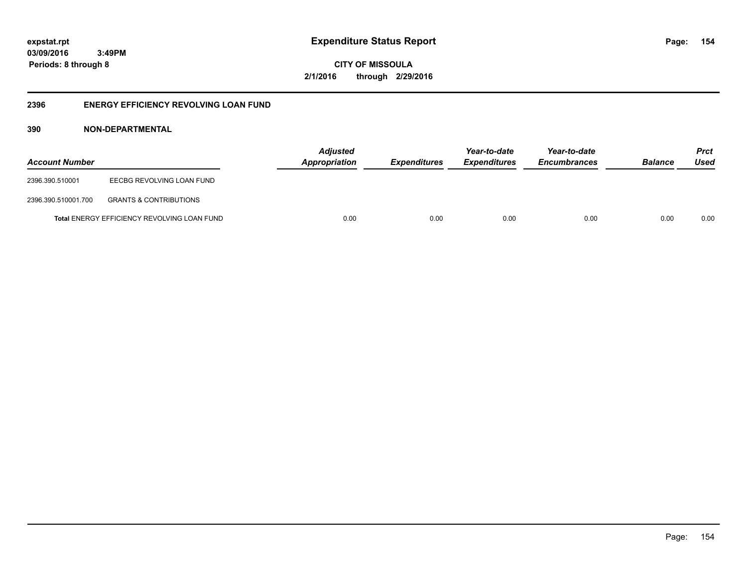**CITY OF MISSOULA 2/1/2016 through 2/29/2016**

# **2396 ENERGY EFFICIENCY REVOLVING LOAN FUND**

| <b>Account Number</b> |                                                    | <b>Adjusted</b><br>Appropriation | <b>Expenditures</b> | Year-to-date<br><i><b>Expenditures</b></i> | Year-to-date<br><b>Encumbrances</b> | <b>Balance</b> | <b>Prct</b><br>Used |
|-----------------------|----------------------------------------------------|----------------------------------|---------------------|--------------------------------------------|-------------------------------------|----------------|---------------------|
| 2396.390.510001       | EECBG REVOLVING LOAN FUND                          |                                  |                     |                                            |                                     |                |                     |
| 2396.390.510001.700   | <b>GRANTS &amp; CONTRIBUTIONS</b>                  |                                  |                     |                                            |                                     |                |                     |
|                       | <b>Total ENERGY EFFICIENCY REVOLVING LOAN FUND</b> | 0.00                             | 0.00                | 0.00                                       | 0.00                                | 0.00           | 0.00                |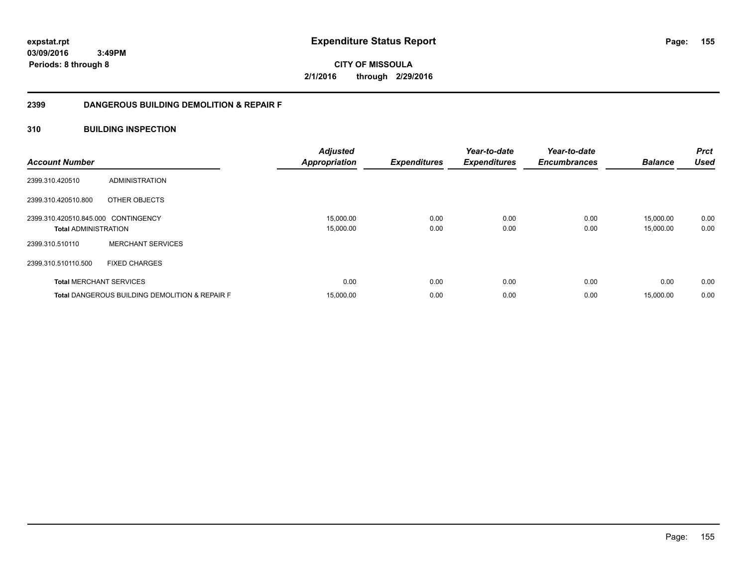**CITY OF MISSOULA 2/1/2016 through 2/29/2016**

# **2399 DANGEROUS BUILDING DEMOLITION & REPAIR F**

# **310 BUILDING INSPECTION**

| <b>Account Number</b>                                              |                                                           | <b>Adjusted</b><br><b>Appropriation</b> | <b>Expenditures</b> | Year-to-date<br><b>Expenditures</b> | Year-to-date<br><b>Encumbrances</b> | <b>Balance</b>         | <b>Prct</b><br><b>Used</b> |
|--------------------------------------------------------------------|-----------------------------------------------------------|-----------------------------------------|---------------------|-------------------------------------|-------------------------------------|------------------------|----------------------------|
| 2399.310.420510                                                    | ADMINISTRATION                                            |                                         |                     |                                     |                                     |                        |                            |
| 2399.310.420510.800                                                | OTHER OBJECTS                                             |                                         |                     |                                     |                                     |                        |                            |
| 2399.310.420510.845.000 CONTINGENCY<br><b>Total ADMINISTRATION</b> |                                                           | 15,000.00<br>15,000.00                  | 0.00<br>0.00        | 0.00<br>0.00                        | 0.00<br>0.00                        | 15,000.00<br>15,000.00 | 0.00<br>0.00               |
| 2399.310.510110                                                    | <b>MERCHANT SERVICES</b>                                  |                                         |                     |                                     |                                     |                        |                            |
| 2399.310.510110.500                                                | <b>FIXED CHARGES</b>                                      |                                         |                     |                                     |                                     |                        |                            |
| <b>Total MERCHANT SERVICES</b>                                     |                                                           | 0.00                                    | 0.00                | 0.00                                | 0.00                                | 0.00                   | 0.00                       |
|                                                                    | <b>Total DANGEROUS BUILDING DEMOLITION &amp; REPAIR F</b> | 15,000.00                               | 0.00                | 0.00                                | 0.00                                | 15,000.00              | 0.00                       |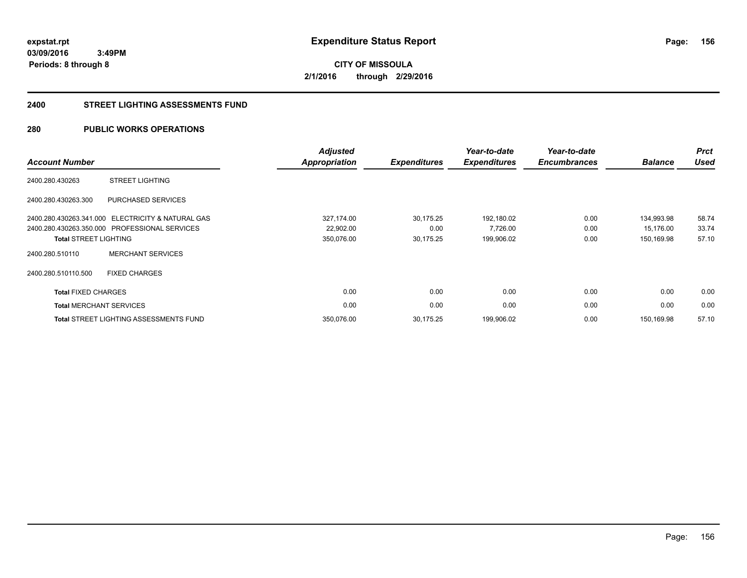**CITY OF MISSOULA 2/1/2016 through 2/29/2016**

### **2400 STREET LIGHTING ASSESSMENTS FUND**

# **280 PUBLIC WORKS OPERATIONS**

| <b>Account Number</b>          |                                                   | <b>Adjusted</b><br><b>Appropriation</b> | <b>Expenditures</b> | Year-to-date<br><b>Expenditures</b> | Year-to-date<br><b>Encumbrances</b> | <b>Balance</b> | <b>Prct</b><br><b>Used</b> |
|--------------------------------|---------------------------------------------------|-----------------------------------------|---------------------|-------------------------------------|-------------------------------------|----------------|----------------------------|
| 2400.280.430263                | <b>STREET LIGHTING</b>                            |                                         |                     |                                     |                                     |                |                            |
| 2400.280.430263.300            | PURCHASED SERVICES                                |                                         |                     |                                     |                                     |                |                            |
|                                | 2400.280.430263.341.000 ELECTRICITY & NATURAL GAS | 327,174.00                              | 30,175.25           | 192,180.02                          | 0.00                                | 134,993.98     | 58.74                      |
|                                | 2400.280.430263.350.000 PROFESSIONAL SERVICES     | 22,902.00                               | 0.00                | 7,726.00                            | 0.00                                | 15,176.00      | 33.74                      |
| <b>Total STREET LIGHTING</b>   |                                                   | 350,076.00                              | 30,175.25           | 199,906.02                          | 0.00                                | 150,169.98     | 57.10                      |
| 2400.280.510110                | <b>MERCHANT SERVICES</b>                          |                                         |                     |                                     |                                     |                |                            |
| 2400.280.510110.500            | <b>FIXED CHARGES</b>                              |                                         |                     |                                     |                                     |                |                            |
| <b>Total FIXED CHARGES</b>     |                                                   | 0.00                                    | 0.00                | 0.00                                | 0.00                                | 0.00           | 0.00                       |
| <b>Total MERCHANT SERVICES</b> |                                                   | 0.00                                    | 0.00                | 0.00                                | 0.00                                | 0.00           | 0.00                       |
|                                | <b>Total STREET LIGHTING ASSESSMENTS FUND</b>     | 350,076.00                              | 30,175.25           | 199,906.02                          | 0.00                                | 150.169.98     | 57.10                      |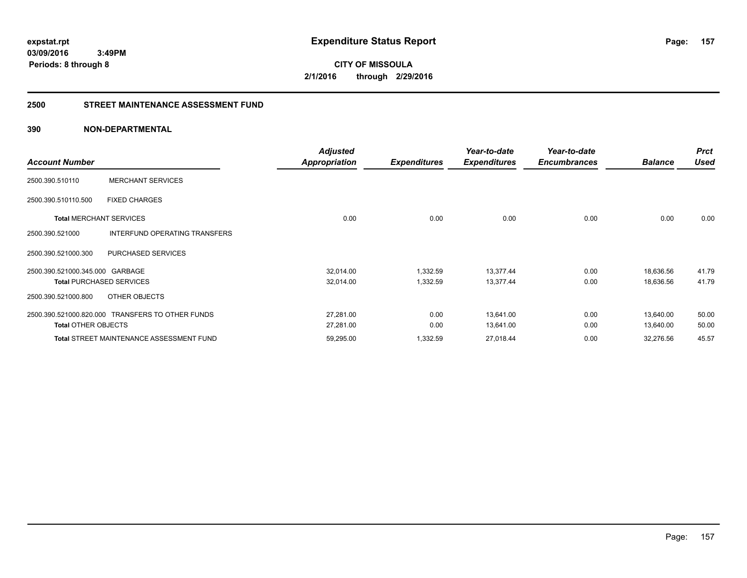**CITY OF MISSOULA 2/1/2016 through 2/29/2016**

## **2500 STREET MAINTENANCE ASSESSMENT FUND**

|                                 |                                                  | <b>Adjusted</b>      |                     | Year-to-date        | Year-to-date        |                | <b>Prct</b> |
|---------------------------------|--------------------------------------------------|----------------------|---------------------|---------------------|---------------------|----------------|-------------|
| <b>Account Number</b>           |                                                  | <b>Appropriation</b> | <b>Expenditures</b> | <b>Expenditures</b> | <b>Encumbrances</b> | <b>Balance</b> | <b>Used</b> |
| 2500.390.510110                 | <b>MERCHANT SERVICES</b>                         |                      |                     |                     |                     |                |             |
| 2500.390.510110.500             | <b>FIXED CHARGES</b>                             |                      |                     |                     |                     |                |             |
| <b>Total MERCHANT SERVICES</b>  |                                                  | 0.00                 | 0.00                | 0.00                | 0.00                | 0.00           | 0.00        |
| 2500.390.521000                 | <b>INTERFUND OPERATING TRANSFERS</b>             |                      |                     |                     |                     |                |             |
| 2500.390.521000.300             | PURCHASED SERVICES                               |                      |                     |                     |                     |                |             |
| 2500.390.521000.345.000 GARBAGE |                                                  | 32,014.00            | 1,332.59            | 13,377.44           | 0.00                | 18,636.56      | 41.79       |
|                                 | <b>Total PURCHASED SERVICES</b>                  | 32,014.00            | 1,332.59            | 13,377.44           | 0.00                | 18,636.56      | 41.79       |
| 2500.390.521000.800             | OTHER OBJECTS                                    |                      |                     |                     |                     |                |             |
|                                 | 2500.390.521000.820.000 TRANSFERS TO OTHER FUNDS | 27,281.00            | 0.00                | 13,641.00           | 0.00                | 13,640.00      | 50.00       |
| <b>Total OTHER OBJECTS</b>      |                                                  | 27,281.00            | 0.00                | 13,641.00           | 0.00                | 13,640.00      | 50.00       |
|                                 | <b>Total STREET MAINTENANCE ASSESSMENT FUND</b>  | 59,295.00            | 1,332.59            | 27,018.44           | 0.00                | 32,276.56      | 45.57       |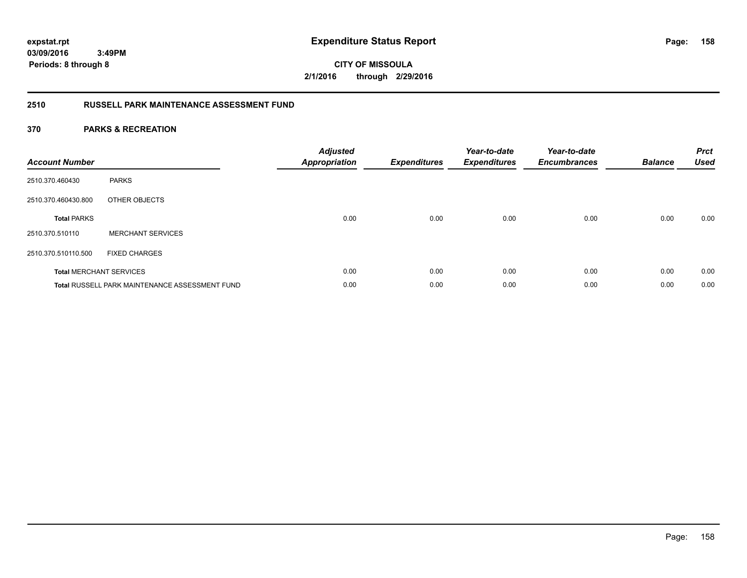**CITY OF MISSOULA 2/1/2016 through 2/29/2016**

# **2510 RUSSELL PARK MAINTENANCE ASSESSMENT FUND**

| <b>Account Number</b> |                                                       | <b>Adjusted</b><br><b>Appropriation</b> | <b>Expenditures</b> | Year-to-date<br><b>Expenditures</b> | Year-to-date<br><b>Encumbrances</b> | <b>Balance</b> | <b>Prct</b><br><b>Used</b> |
|-----------------------|-------------------------------------------------------|-----------------------------------------|---------------------|-------------------------------------|-------------------------------------|----------------|----------------------------|
| 2510.370.460430       | <b>PARKS</b>                                          |                                         |                     |                                     |                                     |                |                            |
| 2510.370.460430.800   | OTHER OBJECTS                                         |                                         |                     |                                     |                                     |                |                            |
| <b>Total PARKS</b>    |                                                       | 0.00                                    | 0.00                | 0.00                                | 0.00                                | 0.00           | 0.00                       |
| 2510.370.510110       | <b>MERCHANT SERVICES</b>                              |                                         |                     |                                     |                                     |                |                            |
| 2510.370.510110.500   | <b>FIXED CHARGES</b>                                  |                                         |                     |                                     |                                     |                |                            |
|                       | <b>Total MERCHANT SERVICES</b>                        | 0.00                                    | 0.00                | 0.00                                | 0.00                                | 0.00           | 0.00                       |
|                       | <b>Total RUSSELL PARK MAINTENANCE ASSESSMENT FUND</b> | 0.00                                    | 0.00                | 0.00                                | 0.00                                | 0.00           | 0.00                       |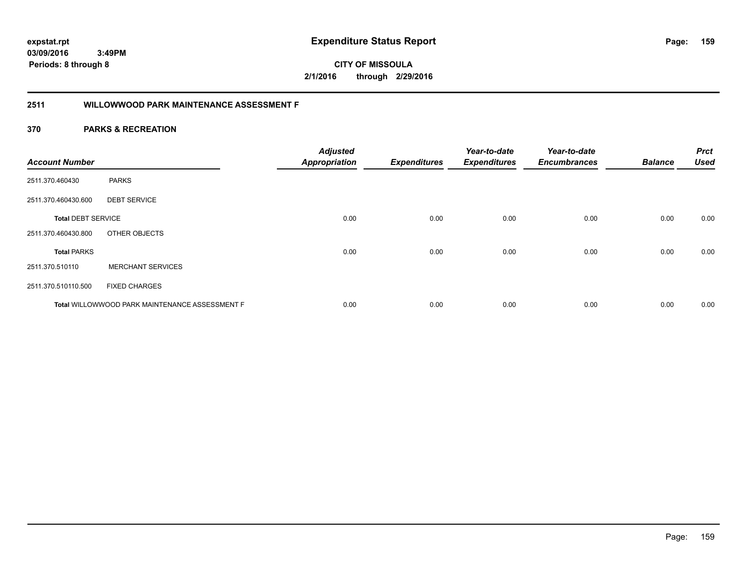**03/09/2016 3:49PM**

**Periods: 8 through 8**

**159**

**CITY OF MISSOULA 2/1/2016 through 2/29/2016**

# **2511 WILLOWWOOD PARK MAINTENANCE ASSESSMENT F**

| <b>Account Number</b>     |                                                | <b>Adjusted</b><br><b>Appropriation</b> | <b>Expenditures</b> | Year-to-date<br><b>Expenditures</b> | Year-to-date<br><b>Encumbrances</b> | <b>Balance</b> | <b>Prct</b><br><b>Used</b> |
|---------------------------|------------------------------------------------|-----------------------------------------|---------------------|-------------------------------------|-------------------------------------|----------------|----------------------------|
| 2511.370.460430           | <b>PARKS</b>                                   |                                         |                     |                                     |                                     |                |                            |
| 2511.370.460430.600       | <b>DEBT SERVICE</b>                            |                                         |                     |                                     |                                     |                |                            |
| <b>Total DEBT SERVICE</b> |                                                | 0.00                                    | 0.00                | 0.00                                | 0.00                                | 0.00           | 0.00                       |
| 2511.370.460430.800       | OTHER OBJECTS                                  |                                         |                     |                                     |                                     |                |                            |
| <b>Total PARKS</b>        |                                                | 0.00                                    | 0.00                | 0.00                                | 0.00                                | 0.00           | 0.00                       |
| 2511.370.510110           | <b>MERCHANT SERVICES</b>                       |                                         |                     |                                     |                                     |                |                            |
| 2511.370.510110.500       | <b>FIXED CHARGES</b>                           |                                         |                     |                                     |                                     |                |                            |
|                           | Total WILLOWWOOD PARK MAINTENANCE ASSESSMENT F | 0.00                                    | 0.00                | 0.00                                | 0.00                                | 0.00           | 0.00                       |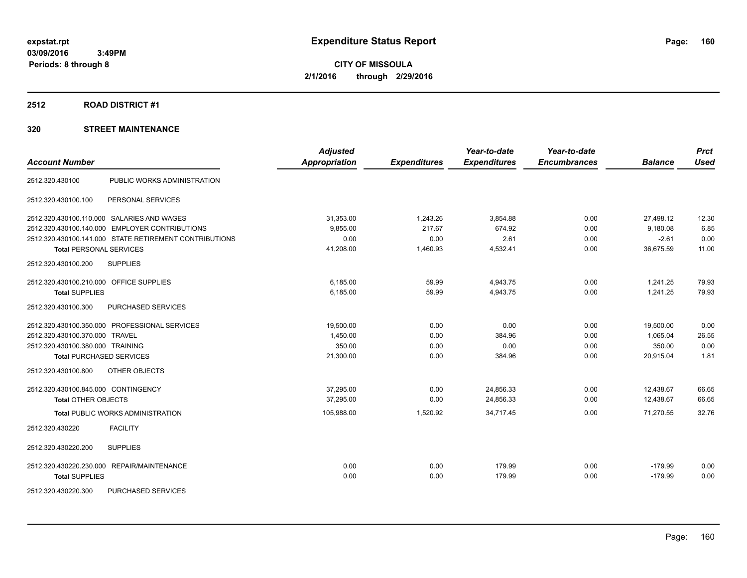### **2512 ROAD DISTRICT #1**

| <b>Account Number</b>                   |                                                        | <b>Adjusted</b><br><b>Appropriation</b> | <b>Expenditures</b> | Year-to-date<br><b>Expenditures</b> | Year-to-date<br><b>Encumbrances</b> | <b>Balance</b> | <b>Prct</b><br><b>Used</b> |
|-----------------------------------------|--------------------------------------------------------|-----------------------------------------|---------------------|-------------------------------------|-------------------------------------|----------------|----------------------------|
|                                         |                                                        |                                         |                     |                                     |                                     |                |                            |
| 2512.320.430100                         | PUBLIC WORKS ADMINISTRATION                            |                                         |                     |                                     |                                     |                |                            |
| 2512.320.430100.100                     | PERSONAL SERVICES                                      |                                         |                     |                                     |                                     |                |                            |
|                                         | 2512.320.430100.110.000 SALARIES AND WAGES             | 31,353.00                               | 1,243.26            | 3,854.88                            | 0.00                                | 27,498.12      | 12.30                      |
| 2512.320.430100.140.000                 | <b>EMPLOYER CONTRIBUTIONS</b>                          | 9,855.00                                | 217.67              | 674.92                              | 0.00                                | 9,180.08       | 6.85                       |
|                                         | 2512.320.430100.141.000 STATE RETIREMENT CONTRIBUTIONS | 0.00                                    | 0.00                | 2.61                                | 0.00                                | $-2.61$        | 0.00                       |
| <b>Total PERSONAL SERVICES</b>          |                                                        | 41,208.00                               | 1,460.93            | 4,532.41                            | 0.00                                | 36,675.59      | 11.00                      |
| 2512.320.430100.200                     | <b>SUPPLIES</b>                                        |                                         |                     |                                     |                                     |                |                            |
| 2512.320.430100.210.000 OFFICE SUPPLIES |                                                        | 6,185.00                                | 59.99               | 4,943.75                            | 0.00                                | 1,241.25       | 79.93                      |
| <b>Total SUPPLIES</b>                   |                                                        | 6,185.00                                | 59.99               | 4,943.75                            | 0.00                                | 1,241.25       | 79.93                      |
| 2512.320.430100.300                     | <b>PURCHASED SERVICES</b>                              |                                         |                     |                                     |                                     |                |                            |
|                                         | 2512.320.430100.350.000 PROFESSIONAL SERVICES          | 19,500.00                               | 0.00                | 0.00                                | 0.00                                | 19,500.00      | 0.00                       |
| 2512.320.430100.370.000 TRAVEL          |                                                        | 1,450.00                                | 0.00                | 384.96                              | 0.00                                | 1,065.04       | 26.55                      |
| 2512.320.430100.380.000 TRAINING        |                                                        | 350.00                                  | 0.00                | 0.00                                | 0.00                                | 350.00         | 0.00                       |
| <b>Total PURCHASED SERVICES</b>         |                                                        | 21,300.00                               | 0.00                | 384.96                              | 0.00                                | 20,915.04      | 1.81                       |
| 2512.320.430100.800                     | OTHER OBJECTS                                          |                                         |                     |                                     |                                     |                |                            |
| 2512.320.430100.845.000 CONTINGENCY     |                                                        | 37,295.00                               | 0.00                | 24,856.33                           | 0.00                                | 12,438.67      | 66.65                      |
| <b>Total OTHER OBJECTS</b>              |                                                        | 37.295.00                               | 0.00                | 24,856.33                           | 0.00                                | 12.438.67      | 66.65                      |
|                                         | <b>Total PUBLIC WORKS ADMINISTRATION</b>               | 105,988.00                              | 1,520.92            | 34,717.45                           | 0.00                                | 71,270.55      | 32.76                      |
| 2512.320.430220                         | <b>FACILITY</b>                                        |                                         |                     |                                     |                                     |                |                            |
| 2512.320.430220.200                     | <b>SUPPLIES</b>                                        |                                         |                     |                                     |                                     |                |                            |
|                                         | 2512.320.430220.230.000 REPAIR/MAINTENANCE             | 0.00                                    | 0.00                | 179.99                              | 0.00                                | $-179.99$      | 0.00                       |
| <b>Total SUPPLIES</b>                   |                                                        | 0.00                                    | 0.00                | 179.99                              | 0.00                                | $-179.99$      | 0.00                       |
| 2512.320.430220.300                     | <b>PURCHASED SERVICES</b>                              |                                         |                     |                                     |                                     |                |                            |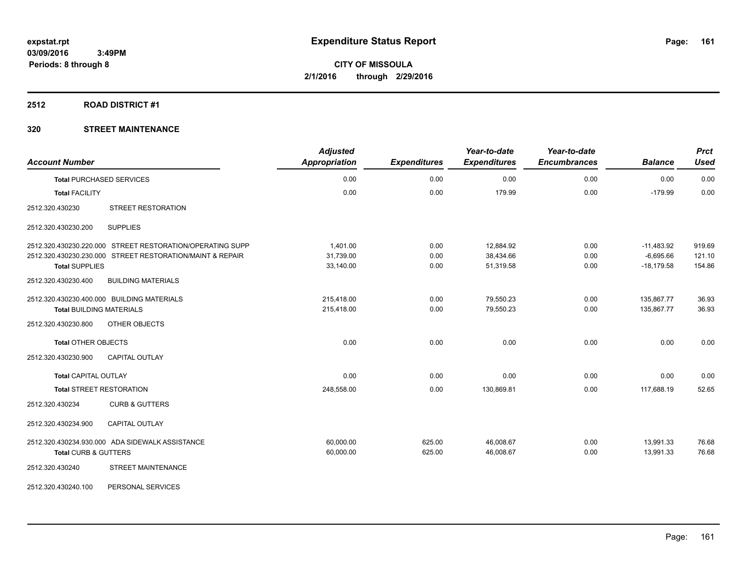### **2512 ROAD DISTRICT #1**

| <b>Account Number</b>                                     | <b>Adjusted</b><br><b>Appropriation</b> | <b>Expenditures</b> | Year-to-date<br><b>Expenditures</b> | Year-to-date<br><b>Encumbrances</b> | <b>Balance</b> | <b>Prct</b><br><b>Used</b> |
|-----------------------------------------------------------|-----------------------------------------|---------------------|-------------------------------------|-------------------------------------|----------------|----------------------------|
| <b>Total PURCHASED SERVICES</b>                           | 0.00                                    | 0.00                | 0.00                                | 0.00                                | 0.00           | 0.00                       |
| <b>Total FACILITY</b>                                     | 0.00                                    | 0.00                | 179.99                              | 0.00                                | $-179.99$      | 0.00                       |
| STREET RESTORATION<br>2512.320.430230                     |                                         |                     |                                     |                                     |                |                            |
| <b>SUPPLIES</b><br>2512.320.430230.200                    |                                         |                     |                                     |                                     |                |                            |
| 2512.320.430230.220.000 STREET RESTORATION/OPERATING SUPP | 1,401.00                                | 0.00                | 12,884.92                           | 0.00                                | $-11,483.92$   | 919.69                     |
| 2512.320.430230.230.000 STREET RESTORATION/MAINT & REPAIR | 31,739.00                               | 0.00                | 38,434.66                           | 0.00                                | $-6,695.66$    | 121.10                     |
| <b>Total SUPPLIES</b>                                     | 33,140.00                               | 0.00                | 51,319.58                           | 0.00                                | $-18,179.58$   | 154.86                     |
| 2512.320.430230.400<br><b>BUILDING MATERIALS</b>          |                                         |                     |                                     |                                     |                |                            |
| 2512.320.430230.400.000 BUILDING MATERIALS                | 215,418.00                              | 0.00                | 79,550.23                           | 0.00                                | 135,867.77     | 36.93                      |
| <b>Total BUILDING MATERIALS</b>                           | 215,418.00                              | 0.00                | 79,550.23                           | 0.00                                | 135,867.77     | 36.93                      |
| 2512.320.430230.800<br>OTHER OBJECTS                      |                                         |                     |                                     |                                     |                |                            |
| <b>Total OTHER OBJECTS</b>                                | 0.00                                    | 0.00                | 0.00                                | 0.00                                | 0.00           | 0.00                       |
| 2512.320.430230.900<br><b>CAPITAL OUTLAY</b>              |                                         |                     |                                     |                                     |                |                            |
| <b>Total CAPITAL OUTLAY</b>                               | 0.00                                    | 0.00                | 0.00                                | 0.00                                | 0.00           | 0.00                       |
| <b>Total STREET RESTORATION</b>                           | 248,558.00                              | 0.00                | 130,869.81                          | 0.00                                | 117,688.19     | 52.65                      |
| 2512.320.430234<br><b>CURB &amp; GUTTERS</b>              |                                         |                     |                                     |                                     |                |                            |
| 2512.320.430234.900<br><b>CAPITAL OUTLAY</b>              |                                         |                     |                                     |                                     |                |                            |
| 2512.320.430234.930.000 ADA SIDEWALK ASSISTANCE           | 60,000.00                               | 625.00              | 46,008.67                           | 0.00                                | 13,991.33      | 76.68                      |
| <b>Total CURB &amp; GUTTERS</b>                           | 60,000.00                               | 625.00              | 46,008.67                           | 0.00                                | 13.991.33      | 76.68                      |
| STREET MAINTENANCE<br>2512.320.430240                     |                                         |                     |                                     |                                     |                |                            |
| 2512.320.430240.100<br>PERSONAL SERVICES                  |                                         |                     |                                     |                                     |                |                            |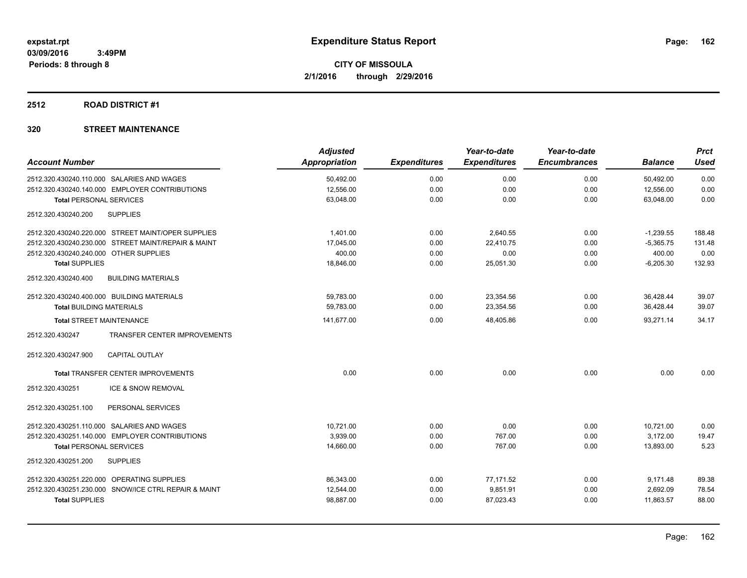# **2512 ROAD DISTRICT #1**

|                                                        | <b>Adjusted</b> |                     | Year-to-date        | Year-to-date        |                | <b>Prct</b> |
|--------------------------------------------------------|-----------------|---------------------|---------------------|---------------------|----------------|-------------|
| <b>Account Number</b>                                  | Appropriation   | <b>Expenditures</b> | <b>Expenditures</b> | <b>Encumbrances</b> | <b>Balance</b> | Used        |
| 2512.320.430240.110.000 SALARIES AND WAGES             | 50,492.00       | 0.00                | 0.00                | 0.00                | 50,492.00      | 0.00        |
| 2512.320.430240.140.000 EMPLOYER CONTRIBUTIONS         | 12,556.00       | 0.00                | 0.00                | 0.00                | 12,556.00      | 0.00        |
| <b>Total PERSONAL SERVICES</b>                         | 63,048.00       | 0.00                | 0.00                | 0.00                | 63,048.00      | 0.00        |
| 2512.320.430240.200<br><b>SUPPLIES</b>                 |                 |                     |                     |                     |                |             |
| 2512.320.430240.220.000 STREET MAINT/OPER SUPPLIES     | 1.401.00        | 0.00                | 2,640.55            | 0.00                | $-1,239.55$    | 188.48      |
| 2512.320.430240.230.000 STREET MAINT/REPAIR & MAINT    | 17,045.00       | 0.00                | 22.410.75           | 0.00                | $-5,365.75$    | 131.48      |
| 2512.320.430240.240.000 OTHER SUPPLIES                 | 400.00          | 0.00                | 0.00                | 0.00                | 400.00         | 0.00        |
| <b>Total SUPPLIES</b>                                  | 18,846.00       | 0.00                | 25,051.30           | 0.00                | $-6,205.30$    | 132.93      |
| 2512.320.430240.400<br><b>BUILDING MATERIALS</b>       |                 |                     |                     |                     |                |             |
| 2512.320.430240.400.000 BUILDING MATERIALS             | 59,783.00       | 0.00                | 23,354.56           | 0.00                | 36,428.44      | 39.07       |
| <b>Total BUILDING MATERIALS</b>                        | 59,783.00       | 0.00                | 23,354.56           | 0.00                | 36,428.44      | 39.07       |
| <b>Total STREET MAINTENANCE</b>                        | 141,677.00      | 0.00                | 48,405.86           | 0.00                | 93,271.14      | 34.17       |
| <b>TRANSFER CENTER IMPROVEMENTS</b><br>2512.320.430247 |                 |                     |                     |                     |                |             |
| 2512.320.430247.900<br><b>CAPITAL OUTLAY</b>           |                 |                     |                     |                     |                |             |
| Total TRANSFER CENTER IMPROVEMENTS                     | 0.00            | 0.00                | 0.00                | 0.00                | 0.00           | 0.00        |
| ICE & SNOW REMOVAL<br>2512.320.430251                  |                 |                     |                     |                     |                |             |
| 2512.320.430251.100<br>PERSONAL SERVICES               |                 |                     |                     |                     |                |             |
| 2512.320.430251.110.000 SALARIES AND WAGES             | 10,721.00       | 0.00                | 0.00                | 0.00                | 10,721.00      | 0.00        |
| 2512.320.430251.140.000 EMPLOYER CONTRIBUTIONS         | 3,939.00        | 0.00                | 767.00              | 0.00                | 3,172.00       | 19.47       |
| <b>Total PERSONAL SERVICES</b>                         | 14,660.00       | 0.00                | 767.00              | 0.00                | 13,893.00      | 5.23        |
| 2512.320.430251.200<br><b>SUPPLIES</b>                 |                 |                     |                     |                     |                |             |
| 2512.320.430251.220.000 OPERATING SUPPLIES             | 86,343.00       | 0.00                | 77,171.52           | 0.00                | 9,171.48       | 89.38       |
| 2512.320.430251.230.000 SNOW/ICE CTRL REPAIR & MAINT   | 12,544.00       | 0.00                | 9,851.91            | 0.00                | 2,692.09       | 78.54       |
| <b>Total SUPPLIES</b>                                  | 98,887.00       | 0.00                | 87,023.43           | 0.00                | 11,863.57      | 88.00       |
|                                                        |                 |                     |                     |                     |                |             |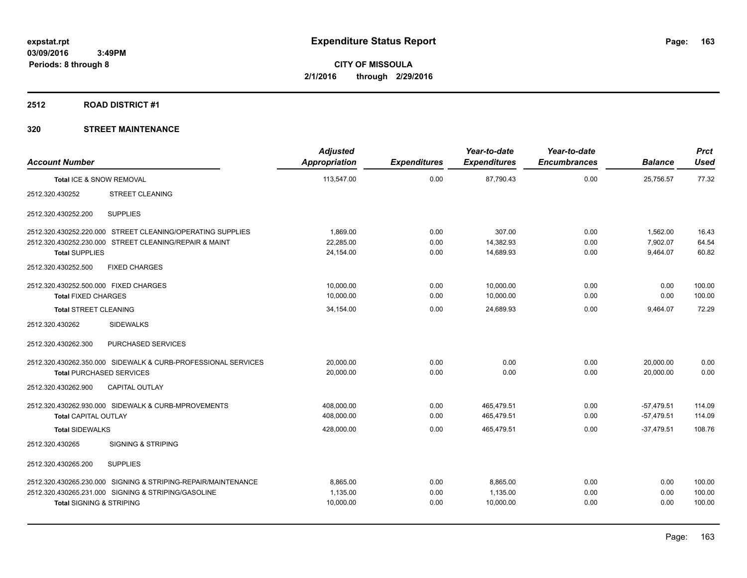### **2512 ROAD DISTRICT #1**

| <b>Account Number</b>                 |                                                               | <b>Adjusted</b><br><b>Appropriation</b> | <b>Expenditures</b> | Year-to-date<br><b>Expenditures</b> | Year-to-date<br><b>Encumbrances</b> | <b>Balance</b> | <b>Prct</b><br><b>Used</b> |
|---------------------------------------|---------------------------------------------------------------|-----------------------------------------|---------------------|-------------------------------------|-------------------------------------|----------------|----------------------------|
| Total ICE & SNOW REMOVAL              |                                                               | 113,547.00                              | 0.00                | 87,790.43                           | 0.00                                | 25,756.57      | 77.32                      |
| 2512.320.430252                       | <b>STREET CLEANING</b>                                        |                                         |                     |                                     |                                     |                |                            |
| 2512.320.430252.200                   | <b>SUPPLIES</b>                                               |                                         |                     |                                     |                                     |                |                            |
|                                       | 2512.320.430252.220.000 STREET CLEANING/OPERATING SUPPLIES    | 1,869.00                                | 0.00                | 307.00                              | 0.00                                | 1,562.00       | 16.43                      |
|                                       | 2512.320.430252.230.000 STREET CLEANING/REPAIR & MAINT        | 22,285.00                               | 0.00                | 14,382.93                           | 0.00                                | 7,902.07       | 64.54                      |
| <b>Total SUPPLIES</b>                 |                                                               | 24,154.00                               | 0.00                | 14,689.93                           | 0.00                                | 9,464.07       | 60.82                      |
| 2512.320.430252.500                   | <b>FIXED CHARGES</b>                                          |                                         |                     |                                     |                                     |                |                            |
| 2512.320.430252.500.000 FIXED CHARGES |                                                               | 10,000.00                               | 0.00                | 10,000.00                           | 0.00                                | 0.00           | 100.00                     |
| <b>Total FIXED CHARGES</b>            |                                                               | 10,000.00                               | 0.00                | 10,000.00                           | 0.00                                | 0.00           | 100.00                     |
| <b>Total STREET CLEANING</b>          |                                                               | 34,154.00                               | 0.00                | 24.689.93                           | 0.00                                | 9,464.07       | 72.29                      |
| 2512.320.430262                       | <b>SIDEWALKS</b>                                              |                                         |                     |                                     |                                     |                |                            |
| 2512.320.430262.300                   | PURCHASED SERVICES                                            |                                         |                     |                                     |                                     |                |                            |
|                                       | 2512.320.430262.350.000 SIDEWALK & CURB-PROFESSIONAL SERVICES | 20,000.00                               | 0.00                | 0.00                                | 0.00                                | 20,000.00      | 0.00                       |
| <b>Total PURCHASED SERVICES</b>       |                                                               | 20.000.00                               | 0.00                | 0.00                                | 0.00                                | 20.000.00      | 0.00                       |
| 2512.320.430262.900                   | <b>CAPITAL OUTLAY</b>                                         |                                         |                     |                                     |                                     |                |                            |
|                                       | 2512.320.430262.930.000 SIDEWALK & CURB-MPROVEMENTS           | 408,000.00                              | 0.00                | 465,479.51                          | 0.00                                | $-57,479.51$   | 114.09                     |
| <b>Total CAPITAL OUTLAY</b>           |                                                               | 408,000.00                              | 0.00                | 465,479.51                          | 0.00                                | $-57,479.51$   | 114.09                     |
| <b>Total SIDEWALKS</b>                |                                                               | 428,000.00                              | 0.00                | 465,479.51                          | 0.00                                | $-37.479.51$   | 108.76                     |
| 2512.320.430265                       | <b>SIGNING &amp; STRIPING</b>                                 |                                         |                     |                                     |                                     |                |                            |
| 2512.320.430265.200                   | <b>SUPPLIES</b>                                               |                                         |                     |                                     |                                     |                |                            |
|                                       | 2512.320.430265.230.000 SIGNING & STRIPING-REPAIR/MAINTENANCE | 8.865.00                                | 0.00                | 8,865.00                            | 0.00                                | 0.00           | 100.00                     |
|                                       | 2512.320.430265.231.000 SIGNING & STRIPING/GASOLINE           | 1,135.00                                | 0.00                | 1,135.00                            | 0.00                                | 0.00           | 100.00                     |
| <b>Total SIGNING &amp; STRIPING</b>   |                                                               | 10,000.00                               | 0.00                | 10,000.00                           | 0.00                                | 0.00           | 100.00                     |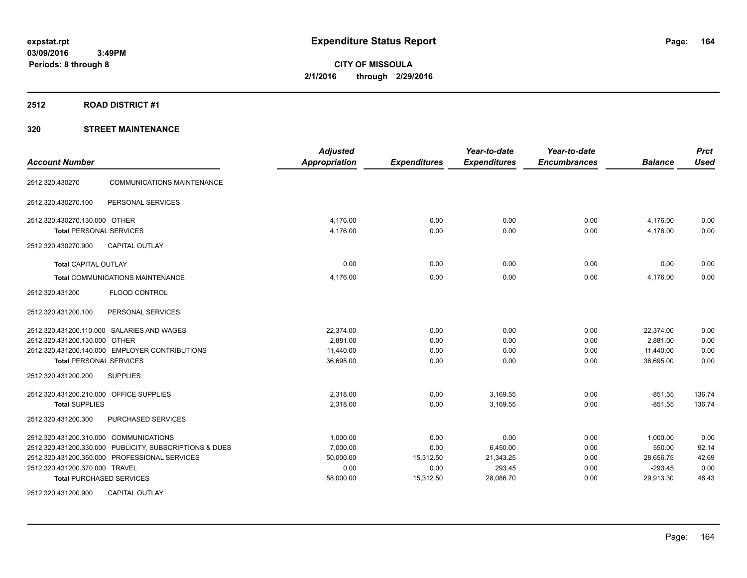### **2512 ROAD DISTRICT #1**

# **320 STREET MAINTENANCE**

| <b>Account Number</b>                                                           | <b>Adjusted</b><br><b>Appropriation</b> | <b>Expenditures</b> | Year-to-date<br><b>Expenditures</b> | Year-to-date<br><b>Encumbrances</b> | <b>Balance</b>        | <b>Prct</b><br><b>Used</b> |
|---------------------------------------------------------------------------------|-----------------------------------------|---------------------|-------------------------------------|-------------------------------------|-----------------------|----------------------------|
| <b>COMMUNICATIONS MAINTENANCE</b><br>2512.320.430270                            |                                         |                     |                                     |                                     |                       |                            |
| PERSONAL SERVICES<br>2512.320.430270.100                                        |                                         |                     |                                     |                                     |                       |                            |
| 2512.320.430270.130.000 OTHER<br><b>Total PERSONAL SERVICES</b>                 | 4,176.00<br>4,176.00                    | 0.00<br>0.00        | 0.00<br>0.00                        | 0.00<br>0.00                        | 4,176.00<br>4,176.00  | 0.00<br>0.00               |
| 2512.320.430270.900<br><b>CAPITAL OUTLAY</b>                                    |                                         |                     |                                     |                                     |                       |                            |
| <b>Total CAPITAL OUTLAY</b>                                                     | 0.00                                    | 0.00                | 0.00                                | 0.00                                | 0.00                  | 0.00                       |
| Total COMMUNICATIONS MAINTENANCE                                                | 4,176.00                                | 0.00                | 0.00                                | 0.00                                | 4,176.00              | 0.00                       |
| 2512.320.431200<br>FLOOD CONTROL                                                |                                         |                     |                                     |                                     |                       |                            |
| 2512.320.431200.100<br>PERSONAL SERVICES                                        |                                         |                     |                                     |                                     |                       |                            |
| 2512.320.431200.110.000 SALARIES AND WAGES                                      | 22.374.00                               | 0.00                | 0.00                                | 0.00                                | 22,374.00             | 0.00                       |
| 2512.320.431200.130.000 OTHER<br>2512.320.431200.140.000 EMPLOYER CONTRIBUTIONS | 2,881.00<br>11,440.00                   | 0.00<br>0.00        | 0.00<br>0.00                        | 0.00<br>0.00                        | 2,881.00<br>11,440.00 | 0.00<br>0.00               |
| <b>Total PERSONAL SERVICES</b>                                                  | 36,695.00                               | 0.00                | 0.00                                | 0.00                                | 36,695.00             | 0.00                       |
| 2512.320.431200.200<br><b>SUPPLIES</b>                                          |                                         |                     |                                     |                                     |                       |                            |
| 2512.320.431200.210.000 OFFICE SUPPLIES                                         | 2,318.00                                | 0.00                | 3,169.55                            | 0.00                                | $-851.55$             | 136.74                     |
| <b>Total SUPPLIES</b>                                                           | 2,318.00                                | 0.00                | 3,169.55                            | 0.00                                | $-851.55$             | 136.74                     |
| 2512.320.431200.300<br>PURCHASED SERVICES                                       |                                         |                     |                                     |                                     |                       |                            |
| 2512.320.431200.310.000 COMMUNICATIONS                                          | 1,000.00                                | 0.00                | 0.00                                | 0.00                                | 1,000.00              | 0.00                       |
| 2512.320.431200.330.000 PUBLICITY, SUBSCRIPTIONS & DUES                         | 7,000.00                                | 0.00                | 6,450.00                            | 0.00                                | 550.00                | 92.14                      |
| 2512.320.431200.350.000 PROFESSIONAL SERVICES                                   | 50,000.00                               | 15,312.50           | 21,343.25                           | 0.00                                | 28,656.75             | 42.69                      |
| 2512.320.431200.370.000 TRAVEL                                                  | 0.00                                    | 0.00                | 293.45                              | 0.00                                | $-293.45$             | 0.00                       |
| <b>Total PURCHASED SERVICES</b>                                                 | 58,000.00                               | 15,312.50           | 28,086.70                           | 0.00                                | 29,913.30             | 48.43                      |
| 2512.320.431200.900<br><b>CAPITAL OUTLAY</b>                                    |                                         |                     |                                     |                                     |                       |                            |

Page: 164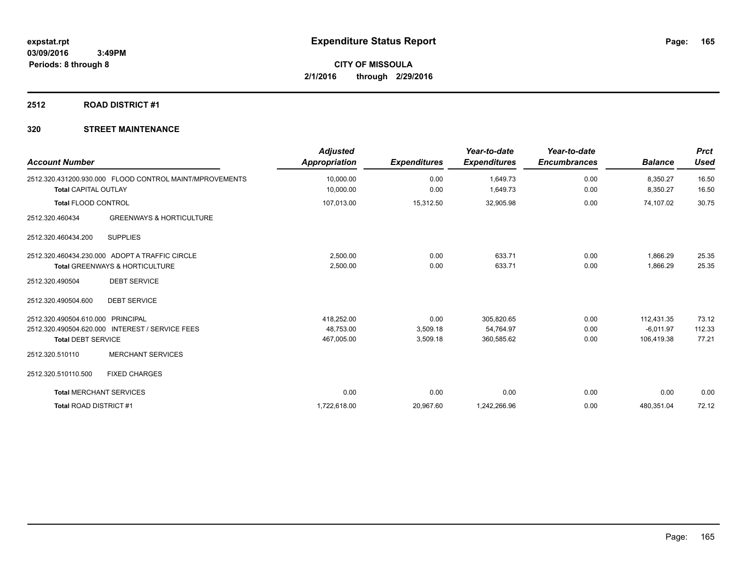# **2512 ROAD DISTRICT #1**

| <b>Account Number</b>          |                                                         | <b>Adjusted</b><br><b>Appropriation</b> | <b>Expenditures</b> | Year-to-date<br><b>Expenditures</b> | Year-to-date<br><b>Encumbrances</b> | <b>Balance</b> | <b>Prct</b><br><b>Used</b> |
|--------------------------------|---------------------------------------------------------|-----------------------------------------|---------------------|-------------------------------------|-------------------------------------|----------------|----------------------------|
|                                | 2512.320.431200.930.000 FLOOD CONTROL MAINT/MPROVEMENTS | 10,000.00                               | 0.00                | 1,649.73                            | 0.00                                | 8,350.27       | 16.50                      |
| <b>Total CAPITAL OUTLAY</b>    |                                                         | 10,000.00                               | 0.00                | 1,649.73                            | 0.00                                | 8,350.27       | 16.50                      |
| <b>Total FLOOD CONTROL</b>     |                                                         | 107,013.00                              | 15,312.50           | 32,905.98                           | 0.00                                | 74,107.02      | 30.75                      |
| 2512.320.460434                | <b>GREENWAYS &amp; HORTICULTURE</b>                     |                                         |                     |                                     |                                     |                |                            |
| 2512.320.460434.200            | <b>SUPPLIES</b>                                         |                                         |                     |                                     |                                     |                |                            |
|                                | 2512.320.460434.230.000 ADOPT A TRAFFIC CIRCLE          | 2,500.00                                | 0.00                | 633.71                              | 0.00                                | 1,866.29       | 25.35                      |
|                                | <b>Total GREENWAYS &amp; HORTICULTURE</b>               | 2,500.00                                | 0.00                | 633.71                              | 0.00                                | 1,866.29       | 25.35                      |
| 2512.320.490504                | <b>DEBT SERVICE</b>                                     |                                         |                     |                                     |                                     |                |                            |
| 2512.320.490504.600            | <b>DEBT SERVICE</b>                                     |                                         |                     |                                     |                                     |                |                            |
| 2512.320.490504.610.000        | PRINCIPAL                                               | 418,252.00                              | 0.00                | 305,820.65                          | 0.00                                | 112,431.35     | 73.12                      |
|                                | 2512.320.490504.620.000 INTEREST / SERVICE FEES         | 48,753.00                               | 3,509.18            | 54,764.97                           | 0.00                                | $-6.011.97$    | 112.33                     |
| <b>Total DEBT SERVICE</b>      |                                                         | 467,005.00                              | 3,509.18            | 360,585.62                          | 0.00                                | 106,419.38     | 77.21                      |
| 2512.320.510110                | <b>MERCHANT SERVICES</b>                                |                                         |                     |                                     |                                     |                |                            |
| 2512.320.510110.500            | <b>FIXED CHARGES</b>                                    |                                         |                     |                                     |                                     |                |                            |
| <b>Total MERCHANT SERVICES</b> |                                                         | 0.00                                    | 0.00                | 0.00                                | 0.00                                | 0.00           | 0.00                       |
| <b>Total ROAD DISTRICT #1</b>  |                                                         | 1,722,618.00                            | 20,967.60           | 1,242,266.96                        | 0.00                                | 480,351.04     | 72.12                      |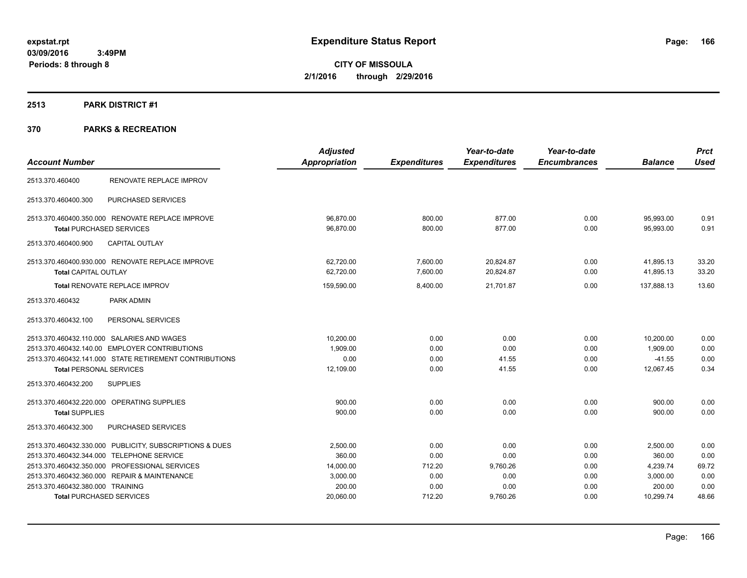# **2513 PARK DISTRICT #1**

|                                                         | <b>Adjusted</b>      |                     | Year-to-date        | Year-to-date        |                | <b>Prct</b> |
|---------------------------------------------------------|----------------------|---------------------|---------------------|---------------------|----------------|-------------|
| <b>Account Number</b>                                   | <b>Appropriation</b> | <b>Expenditures</b> | <b>Expenditures</b> | <b>Encumbrances</b> | <b>Balance</b> | <b>Used</b> |
| RENOVATE REPLACE IMPROV<br>2513.370.460400              |                      |                     |                     |                     |                |             |
| PURCHASED SERVICES<br>2513.370.460400.300               |                      |                     |                     |                     |                |             |
| 2513.370.460400.350.000 RENOVATE REPLACE IMPROVE        | 96,870.00            | 800.00              | 877.00              | 0.00                | 95,993.00      | 0.91        |
| <b>Total PURCHASED SERVICES</b>                         | 96,870.00            | 800.00              | 877.00              | 0.00                | 95,993.00      | 0.91        |
| <b>CAPITAL OUTLAY</b><br>2513.370.460400.900            |                      |                     |                     |                     |                |             |
| 2513.370.460400.930.000 RENOVATE REPLACE IMPROVE        | 62,720.00            | 7,600.00            | 20,824.87           | 0.00                | 41.895.13      | 33.20       |
| Total CAPITAL OUTLAY                                    | 62,720.00            | 7,600.00            | 20,824.87           | 0.00                | 41,895.13      | 33.20       |
| Total RENOVATE REPLACE IMPROV                           | 159,590.00           | 8,400.00            | 21.701.87           | 0.00                | 137.888.13     | 13.60       |
| 2513.370.460432<br>PARK ADMIN                           |                      |                     |                     |                     |                |             |
| PERSONAL SERVICES<br>2513.370.460432.100                |                      |                     |                     |                     |                |             |
| 2513.370.460432.110.000 SALARIES AND WAGES              | 10,200.00            | 0.00                | 0.00                | 0.00                | 10.200.00      | 0.00        |
| 2513.370.460432.140.00 EMPLOYER CONTRIBUTIONS           | 1,909.00             | 0.00                | 0.00                | 0.00                | 1,909.00       | 0.00        |
| 2513.370.460432.141.000 STATE RETIREMENT CONTRIBUTIONS  | 0.00                 | 0.00                | 41.55               | 0.00                | $-41.55$       | 0.00        |
| <b>Total PERSONAL SERVICES</b>                          | 12,109.00            | 0.00                | 41.55               | 0.00                | 12,067.45      | 0.34        |
| <b>SUPPLIES</b><br>2513.370.460432.200                  |                      |                     |                     |                     |                |             |
| 2513.370.460432.220.000 OPERATING SUPPLIES              | 900.00               | 0.00                | 0.00                | 0.00                | 900.00         | 0.00        |
| <b>Total SUPPLIES</b>                                   | 900.00               | 0.00                | 0.00                | 0.00                | 900.00         | 0.00        |
| PURCHASED SERVICES<br>2513.370.460432.300               |                      |                     |                     |                     |                |             |
| 2513.370.460432.330.000 PUBLICITY, SUBSCRIPTIONS & DUES | 2,500.00             | 0.00                | 0.00                | 0.00                | 2,500.00       | 0.00        |
| 2513.370.460432.344.000 TELEPHONE SERVICE               | 360.00               | 0.00                | 0.00                | 0.00                | 360.00         | 0.00        |
| 2513.370.460432.350.000 PROFESSIONAL SERVICES           | 14,000.00            | 712.20              | 9,760.26            | 0.00                | 4,239.74       | 69.72       |
| 2513.370.460432.360.000 REPAIR & MAINTENANCE            | 3,000.00             | 0.00                | 0.00                | 0.00                | 3,000.00       | 0.00        |
| 2513.370.460432.380.000 TRAINING                        | 200.00               | 0.00                | 0.00                | 0.00                | 200.00         | 0.00        |
| <b>Total PURCHASED SERVICES</b>                         | 20,060.00            | 712.20              | 9,760.26            | 0.00                | 10,299.74      | 48.66       |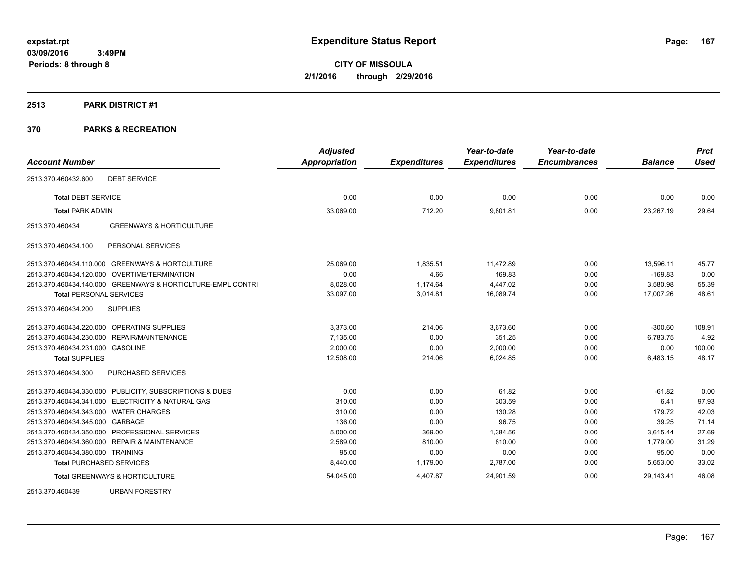### **2513 PARK DISTRICT #1**

| <b>Account Number</b>                                       | <b>Adjusted</b><br><b>Appropriation</b> | <b>Expenditures</b> | Year-to-date<br><b>Expenditures</b> | Year-to-date<br><b>Encumbrances</b> | <b>Balance</b> | <b>Prct</b><br><b>Used</b> |
|-------------------------------------------------------------|-----------------------------------------|---------------------|-------------------------------------|-------------------------------------|----------------|----------------------------|
|                                                             |                                         |                     |                                     |                                     |                |                            |
| <b>DEBT SERVICE</b><br>2513.370.460432.600                  |                                         |                     |                                     |                                     |                |                            |
| <b>Total DEBT SERVICE</b>                                   | 0.00                                    | 0.00                | 0.00                                | 0.00                                | 0.00           | 0.00                       |
| <b>Total PARK ADMIN</b>                                     | 33,069.00                               | 712.20              | 9,801.81                            | 0.00                                | 23,267.19      | 29.64                      |
| <b>GREENWAYS &amp; HORTICULTURE</b><br>2513.370.460434      |                                         |                     |                                     |                                     |                |                            |
| PERSONAL SERVICES<br>2513.370.460434.100                    |                                         |                     |                                     |                                     |                |                            |
| 2513.370.460434.110.000 GREENWAYS & HORTCULTURE             | 25,069.00                               | 1,835.51            | 11,472.89                           | 0.00                                | 13,596.11      | 45.77                      |
| 2513.370.460434.120.000 OVERTIME/TERMINATION                | 0.00                                    | 4.66                | 169.83                              | 0.00                                | $-169.83$      | 0.00                       |
| 2513.370.460434.140.000 GREENWAYS & HORTICLTURE-EMPL CONTRI | 8,028.00                                | 1,174.64            | 4,447.02                            | 0.00                                | 3,580.98       | 55.39                      |
| <b>Total PERSONAL SERVICES</b>                              | 33,097.00                               | 3,014.81            | 16.089.74                           | 0.00                                | 17.007.26      | 48.61                      |
| <b>SUPPLIES</b><br>2513.370.460434.200                      |                                         |                     |                                     |                                     |                |                            |
| 2513.370.460434.220.000 OPERATING SUPPLIES                  | 3,373.00                                | 214.06              | 3,673.60                            | 0.00                                | $-300.60$      | 108.91                     |
| 2513.370.460434.230.000 REPAIR/MAINTENANCE                  | 7,135.00                                | 0.00                | 351.25                              | 0.00                                | 6,783.75       | 4.92                       |
| 2513.370.460434.231.000 GASOLINE                            | 2,000.00                                | 0.00                | 2,000.00                            | 0.00                                | 0.00           | 100.00                     |
| <b>Total SUPPLIES</b>                                       | 12,508.00                               | 214.06              | 6,024.85                            | 0.00                                | 6,483.15       | 48.17                      |
| 2513.370.460434.300<br>PURCHASED SERVICES                   |                                         |                     |                                     |                                     |                |                            |
| 2513.370.460434.330.000 PUBLICITY, SUBSCRIPTIONS & DUES     | 0.00                                    | 0.00                | 61.82                               | 0.00                                | $-61.82$       | 0.00                       |
| 2513.370.460434.341.000 ELECTRICITY & NATURAL GAS           | 310.00                                  | 0.00                | 303.59                              | 0.00                                | 6.41           | 97.93                      |
| 2513.370.460434.343.000 WATER CHARGES                       | 310.00                                  | 0.00                | 130.28                              | 0.00                                | 179.72         | 42.03                      |
| 2513.370.460434.345.000 GARBAGE                             | 136.00                                  | 0.00                | 96.75                               | 0.00                                | 39.25          | 71.14                      |
| 2513.370.460434.350.000 PROFESSIONAL SERVICES               | 5,000.00                                | 369.00              | 1,384.56                            | 0.00                                | 3.615.44       | 27.69                      |
| 2513.370.460434.360.000 REPAIR & MAINTENANCE                | 2.589.00                                | 810.00              | 810.00                              | 0.00                                | 1.779.00       | 31.29                      |
| 2513.370.460434.380.000 TRAINING                            | 95.00                                   | 0.00                | 0.00                                | 0.00                                | 95.00          | 0.00                       |
| <b>Total PURCHASED SERVICES</b>                             | 8,440.00                                | 1,179.00            | 2,787.00                            | 0.00                                | 5,653.00       | 33.02                      |
| <b>Total GREENWAYS &amp; HORTICULTURE</b>                   | 54,045.00                               | 4,407.87            | 24,901.59                           | 0.00                                | 29.143.41      | 46.08                      |
| 2513.370.460439<br><b>URBAN FORESTRY</b>                    |                                         |                     |                                     |                                     |                |                            |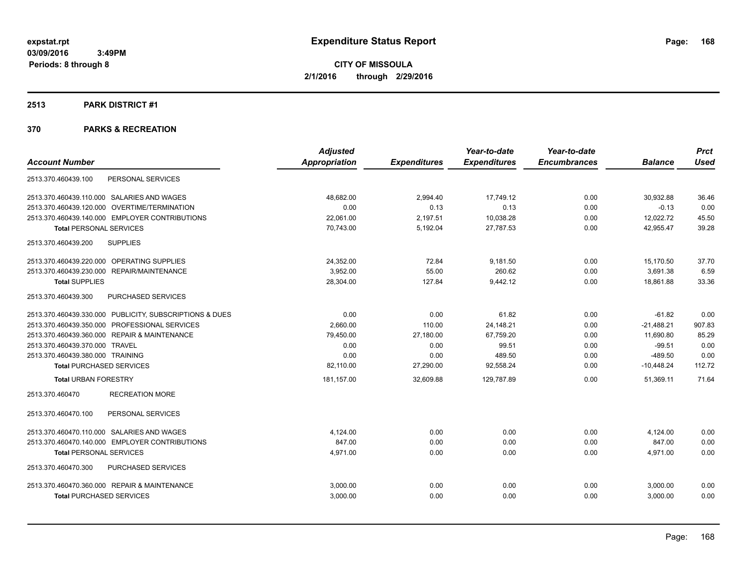### **2513 PARK DISTRICT #1**

|                                                         | <b>Adjusted</b>      |                     | Year-to-date        | Year-to-date        |                | <b>Prct</b> |
|---------------------------------------------------------|----------------------|---------------------|---------------------|---------------------|----------------|-------------|
| <b>Account Number</b>                                   | <b>Appropriation</b> | <b>Expenditures</b> | <b>Expenditures</b> | <b>Encumbrances</b> | <b>Balance</b> | <b>Used</b> |
| PERSONAL SERVICES<br>2513.370.460439.100                |                      |                     |                     |                     |                |             |
| 2513.370.460439.110.000 SALARIES AND WAGES              | 48.682.00            | 2,994.40            | 17,749.12           | 0.00                | 30.932.88      | 36.46       |
| 2513.370.460439.120.000 OVERTIME/TERMINATION            | 0.00                 | 0.13                | 0.13                | 0.00                | $-0.13$        | 0.00        |
| 2513.370.460439.140.000 EMPLOYER CONTRIBUTIONS          | 22,061.00            | 2,197.51            | 10,038.28           | 0.00                | 12,022.72      | 45.50       |
| <b>Total PERSONAL SERVICES</b>                          | 70,743.00            | 5,192.04            | 27,787.53           | 0.00                | 42,955.47      | 39.28       |
| <b>SUPPLIES</b><br>2513.370.460439.200                  |                      |                     |                     |                     |                |             |
| 2513.370.460439.220.000 OPERATING SUPPLIES              | 24,352.00            | 72.84               | 9,181.50            | 0.00                | 15,170.50      | 37.70       |
| 2513.370.460439.230.000 REPAIR/MAINTENANCE              | 3,952.00             | 55.00               | 260.62              | 0.00                | 3,691.38       | 6.59        |
| <b>Total SUPPLIES</b>                                   | 28,304.00            | 127.84              | 9,442.12            | 0.00                | 18,861.88      | 33.36       |
| PURCHASED SERVICES<br>2513.370.460439.300               |                      |                     |                     |                     |                |             |
| 2513.370.460439.330.000 PUBLICITY, SUBSCRIPTIONS & DUES | 0.00                 | 0.00                | 61.82               | 0.00                | $-61.82$       | 0.00        |
| 2513.370.460439.350.000 PROFESSIONAL SERVICES           | 2,660.00             | 110.00              | 24,148.21           | 0.00                | $-21,488.21$   | 907.83      |
| 2513.370.460439.360.000 REPAIR & MAINTENANCE            | 79,450.00            | 27,180.00           | 67,759.20           | 0.00                | 11,690.80      | 85.29       |
| 2513.370.460439.370.000 TRAVEL                          | 0.00                 | 0.00                | 99.51               | 0.00                | $-99.51$       | 0.00        |
| 2513.370.460439.380.000 TRAINING                        | 0.00                 | 0.00                | 489.50              | 0.00                | $-489.50$      | 0.00        |
| <b>Total PURCHASED SERVICES</b>                         | 82,110.00            | 27,290.00           | 92,558.24           | 0.00                | $-10,448.24$   | 112.72      |
| <b>Total URBAN FORESTRY</b>                             | 181,157.00           | 32,609.88           | 129.787.89          | 0.00                | 51,369.11      | 71.64       |
| <b>RECREATION MORE</b><br>2513.370.460470               |                      |                     |                     |                     |                |             |
| PERSONAL SERVICES<br>2513.370.460470.100                |                      |                     |                     |                     |                |             |
| 2513.370.460470.110.000 SALARIES AND WAGES              | 4,124.00             | 0.00                | 0.00                | 0.00                | 4,124.00       | 0.00        |
| 2513.370.460470.140.000 EMPLOYER CONTRIBUTIONS          | 847.00               | 0.00                | 0.00                | 0.00                | 847.00         | 0.00        |
| <b>Total PERSONAL SERVICES</b>                          | 4.971.00             | 0.00                | 0.00                | 0.00                | 4,971.00       | 0.00        |
| PURCHASED SERVICES<br>2513.370.460470.300               |                      |                     |                     |                     |                |             |
| 2513.370.460470.360.000 REPAIR & MAINTENANCE            | 3,000.00             | 0.00                | 0.00                | 0.00                | 3,000.00       | 0.00        |
| <b>Total PURCHASED SERVICES</b>                         | 3,000.00             | 0.00                | 0.00                | 0.00                | 3,000.00       | 0.00        |
|                                                         |                      |                     |                     |                     |                |             |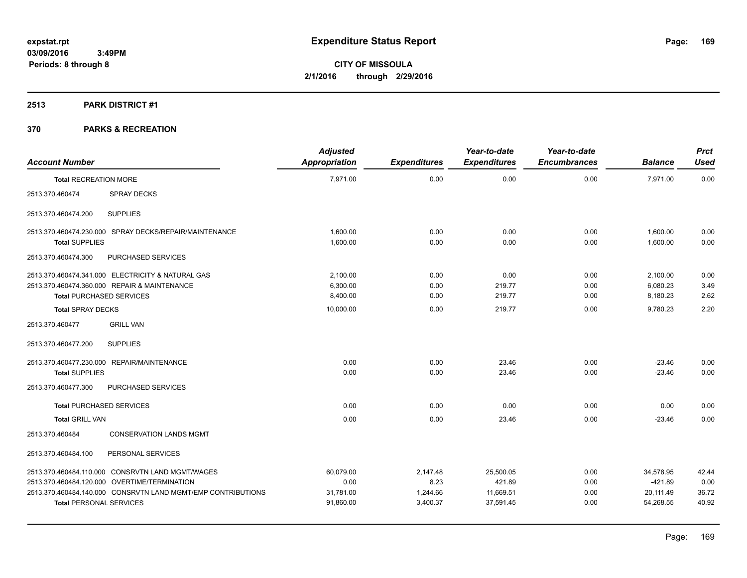# **2513 PARK DISTRICT #1**

| <b>Account Number</b>           |                                                              | <b>Adjusted</b><br>Appropriation | <b>Expenditures</b> | Year-to-date<br><b>Expenditures</b> | Year-to-date<br><b>Encumbrances</b> | <b>Balance</b> | <b>Prct</b><br><b>Used</b> |
|---------------------------------|--------------------------------------------------------------|----------------------------------|---------------------|-------------------------------------|-------------------------------------|----------------|----------------------------|
| <b>Total RECREATION MORE</b>    |                                                              | 7,971.00                         | 0.00                | 0.00                                | 0.00                                | 7,971.00       | 0.00                       |
| 2513.370.460474                 | <b>SPRAY DECKS</b>                                           |                                  |                     |                                     |                                     |                |                            |
| 2513.370.460474.200             | <b>SUPPLIES</b>                                              |                                  |                     |                                     |                                     |                |                            |
|                                 | 2513.370.460474.230.000 SPRAY DECKS/REPAIR/MAINTENANCE       | 1.600.00                         | 0.00                | 0.00                                | 0.00                                | 1,600.00       | 0.00                       |
| <b>Total SUPPLIES</b>           |                                                              | 1,600.00                         | 0.00                | 0.00                                | 0.00                                | 1.600.00       | 0.00                       |
| 2513.370.460474.300             | PURCHASED SERVICES                                           |                                  |                     |                                     |                                     |                |                            |
|                                 | 2513.370.460474.341.000 ELECTRICITY & NATURAL GAS            | 2,100.00                         | 0.00                | 0.00                                | 0.00                                | 2,100.00       | 0.00                       |
|                                 | 2513.370.460474.360.000 REPAIR & MAINTENANCE                 | 6,300.00                         | 0.00                | 219.77                              | 0.00                                | 6,080.23       | 3.49                       |
| <b>Total PURCHASED SERVICES</b> |                                                              | 8,400.00                         | 0.00                | 219.77                              | 0.00                                | 8,180.23       | 2.62                       |
| <b>Total SPRAY DECKS</b>        |                                                              | 10,000.00                        | 0.00                | 219.77                              | 0.00                                | 9,780.23       | 2.20                       |
| 2513.370.460477                 | <b>GRILL VAN</b>                                             |                                  |                     |                                     |                                     |                |                            |
| 2513.370.460477.200             | <b>SUPPLIES</b>                                              |                                  |                     |                                     |                                     |                |                            |
|                                 | 2513.370.460477.230.000 REPAIR/MAINTENANCE                   | 0.00                             | 0.00                | 23.46                               | 0.00                                | $-23.46$       | 0.00                       |
| <b>Total SUPPLIES</b>           |                                                              | 0.00                             | 0.00                | 23.46                               | 0.00                                | $-23.46$       | 0.00                       |
| 2513.370.460477.300             | PURCHASED SERVICES                                           |                                  |                     |                                     |                                     |                |                            |
| <b>Total PURCHASED SERVICES</b> |                                                              | 0.00                             | 0.00                | 0.00                                | 0.00                                | 0.00           | 0.00                       |
| <b>Total GRILL VAN</b>          |                                                              | 0.00                             | 0.00                | 23.46                               | 0.00                                | $-23.46$       | 0.00                       |
| 2513.370.460484                 | <b>CONSERVATION LANDS MGMT</b>                               |                                  |                     |                                     |                                     |                |                            |
| 2513.370.460484.100             | PERSONAL SERVICES                                            |                                  |                     |                                     |                                     |                |                            |
|                                 | 2513.370.460484.110.000 CONSRVTN LAND MGMT/WAGES             | 60.079.00                        | 2,147.48            | 25,500.05                           | 0.00                                | 34,578.95      | 42.44                      |
|                                 | 2513.370.460484.120.000 OVERTIME/TERMINATION                 | 0.00                             | 8.23                | 421.89                              | 0.00                                | $-421.89$      | 0.00                       |
|                                 | 2513.370.460484.140.000 CONSRVTN LAND MGMT/EMP CONTRIBUTIONS | 31,781.00                        | 1,244.66            | 11,669.51                           | 0.00                                | 20,111.49      | 36.72                      |
| <b>Total PERSONAL SERVICES</b>  |                                                              | 91,860.00                        | 3,400.37            | 37,591.45                           | 0.00                                | 54,268.55      | 40.92                      |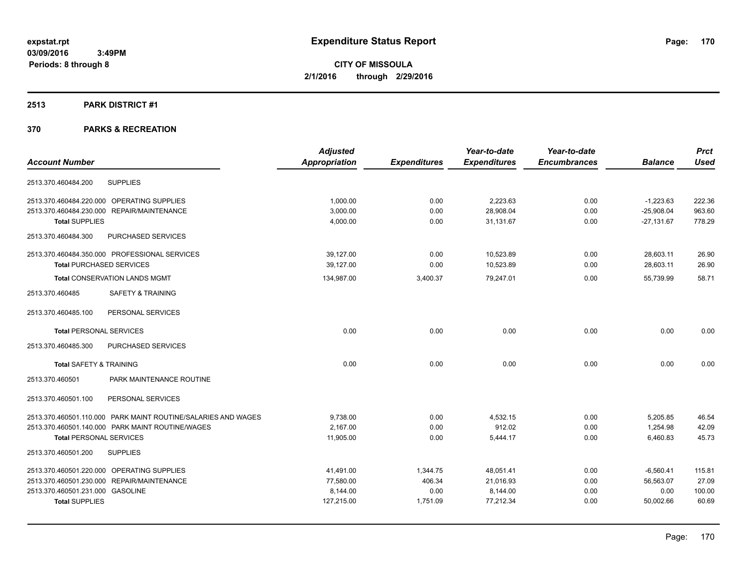### **2513 PARK DISTRICT #1**

|                                                  |                                                               | <b>Adjusted</b> |                     | Year-to-date        | Year-to-date        |                | <b>Prct</b> |
|--------------------------------------------------|---------------------------------------------------------------|-----------------|---------------------|---------------------|---------------------|----------------|-------------|
| <b>Account Number</b>                            |                                                               | Appropriation   | <b>Expenditures</b> | <b>Expenditures</b> | <b>Encumbrances</b> | <b>Balance</b> | <b>Used</b> |
| 2513.370.460484.200<br><b>SUPPLIES</b>           |                                                               |                 |                     |                     |                     |                |             |
| 2513.370.460484.220.000 OPERATING SUPPLIES       |                                                               | 1,000.00        | 0.00                | 2,223.63            | 0.00                | $-1,223.63$    | 222.36      |
| 2513.370.460484.230.000 REPAIR/MAINTENANCE       |                                                               | 3,000.00        | 0.00                | 28,908.04           | 0.00                | $-25,908.04$   | 963.60      |
| <b>Total SUPPLIES</b>                            |                                                               | 4,000.00        | 0.00                | 31,131.67           | 0.00                | $-27,131.67$   | 778.29      |
| 2513.370.460484.300                              | PURCHASED SERVICES                                            |                 |                     |                     |                     |                |             |
| 2513.370.460484.350.000 PROFESSIONAL SERVICES    |                                                               | 39,127.00       | 0.00                | 10,523.89           | 0.00                | 28,603.11      | 26.90       |
| <b>Total PURCHASED SERVICES</b>                  |                                                               | 39,127.00       | 0.00                | 10,523.89           | 0.00                | 28,603.11      | 26.90       |
| <b>Total CONSERVATION LANDS MGMT</b>             |                                                               | 134,987.00      | 3,400.37            | 79,247.01           | 0.00                | 55,739.99      | 58.71       |
| 2513.370.460485                                  | <b>SAFETY &amp; TRAINING</b>                                  |                 |                     |                     |                     |                |             |
| 2513.370.460485.100                              | PERSONAL SERVICES                                             |                 |                     |                     |                     |                |             |
| <b>Total PERSONAL SERVICES</b>                   |                                                               | 0.00            | 0.00                | 0.00                | 0.00                | 0.00           | 0.00        |
| 2513.370.460485.300                              | PURCHASED SERVICES                                            |                 |                     |                     |                     |                |             |
| <b>Total SAFETY &amp; TRAINING</b>               |                                                               | 0.00            | 0.00                | 0.00                | 0.00                | 0.00           | 0.00        |
| 2513.370.460501                                  | PARK MAINTENANCE ROUTINE                                      |                 |                     |                     |                     |                |             |
| 2513.370.460501.100                              | PERSONAL SERVICES                                             |                 |                     |                     |                     |                |             |
|                                                  | 2513.370.460501.110.000 PARK MAINT ROUTINE/SALARIES AND WAGES | 9,738.00        | 0.00                | 4,532.15            | 0.00                | 5,205.85       | 46.54       |
| 2513.370.460501.140.000 PARK MAINT ROUTINE/WAGES |                                                               | 2,167.00        | 0.00                | 912.02              | 0.00                | 1,254.98       | 42.09       |
| <b>Total PERSONAL SERVICES</b>                   |                                                               | 11,905.00       | 0.00                | 5,444.17            | 0.00                | 6,460.83       | 45.73       |
| 2513.370.460501.200<br><b>SUPPLIES</b>           |                                                               |                 |                     |                     |                     |                |             |
| 2513.370.460501.220.000 OPERATING SUPPLIES       |                                                               | 41,491.00       | 1,344.75            | 48,051.41           | 0.00                | $-6,560.41$    | 115.81      |
| 2513.370.460501.230.000 REPAIR/MAINTENANCE       |                                                               | 77,580.00       | 406.34              | 21,016.93           | 0.00                | 56,563.07      | 27.09       |
| 2513.370.460501.231.000 GASOLINE                 |                                                               | 8,144.00        | 0.00                | 8,144.00            | 0.00                | 0.00           | 100.00      |
| <b>Total SUPPLIES</b>                            |                                                               | 127,215.00      | 1,751.09            | 77.212.34           | 0.00                | 50.002.66      | 60.69       |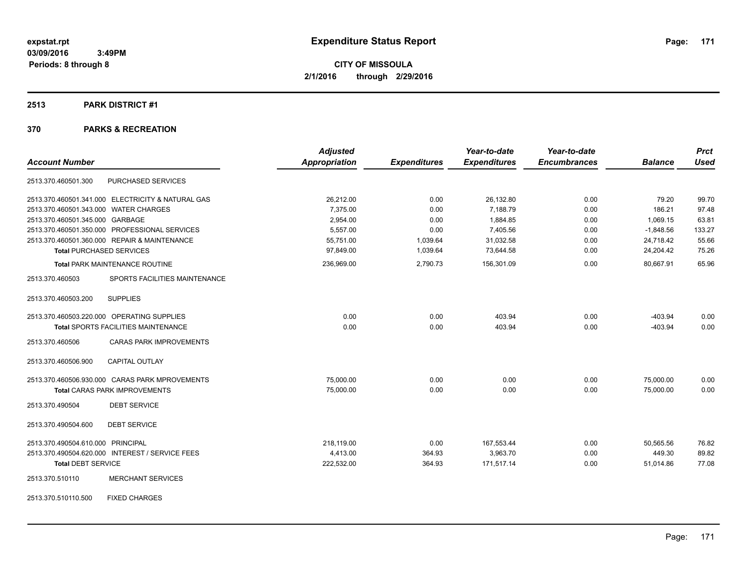# **2513 PARK DISTRICT #1**

|                                                   | <b>Adjusted</b>      |                     | Year-to-date        | Year-to-date        |                | <b>Prct</b> |
|---------------------------------------------------|----------------------|---------------------|---------------------|---------------------|----------------|-------------|
| <b>Account Number</b>                             | <b>Appropriation</b> | <b>Expenditures</b> | <b>Expenditures</b> | <b>Encumbrances</b> | <b>Balance</b> | <b>Used</b> |
| PURCHASED SERVICES<br>2513.370.460501.300         |                      |                     |                     |                     |                |             |
| 2513.370.460501.341.000 ELECTRICITY & NATURAL GAS | 26,212.00            | 0.00                | 26,132.80           | 0.00                | 79.20          | 99.70       |
| 2513.370.460501.343.000 WATER CHARGES             | 7,375.00             | 0.00                | 7.188.79            | 0.00                | 186.21         | 97.48       |
| 2513.370.460501.345.000 GARBAGE                   | 2,954.00             | 0.00                | 1,884.85            | 0.00                | 1,069.15       | 63.81       |
| 2513.370.460501.350.000 PROFESSIONAL SERVICES     | 5,557.00             | 0.00                | 7,405.56            | 0.00                | $-1,848.56$    | 133.27      |
| 2513.370.460501.360.000 REPAIR & MAINTENANCE      | 55,751.00            | 1,039.64            | 31,032.58           | 0.00                | 24,718.42      | 55.66       |
| <b>Total PURCHASED SERVICES</b>                   | 97,849.00            | 1,039.64            | 73,644.58           | 0.00                | 24,204.42      | 75.26       |
| Total PARK MAINTENANCE ROUTINE                    | 236,969.00           | 2,790.73            | 156,301.09          | 0.00                | 80,667.91      | 65.96       |
| SPORTS FACILITIES MAINTENANCE<br>2513.370.460503  |                      |                     |                     |                     |                |             |
| 2513.370.460503.200<br><b>SUPPLIES</b>            |                      |                     |                     |                     |                |             |
| 2513.370.460503.220.000 OPERATING SUPPLIES        | 0.00                 | 0.00                | 403.94              | 0.00                | $-403.94$      | 0.00        |
| <b>Total SPORTS FACILITIES MAINTENANCE</b>        | 0.00                 | 0.00                | 403.94              | 0.00                | $-403.94$      | 0.00        |
| 2513.370.460506<br><b>CARAS PARK IMPROVEMENTS</b> |                      |                     |                     |                     |                |             |
| <b>CAPITAL OUTLAY</b><br>2513.370.460506.900      |                      |                     |                     |                     |                |             |
| 2513.370.460506.930.000 CARAS PARK MPROVEMENTS    | 75,000.00            | 0.00                | 0.00                | 0.00                | 75,000.00      | 0.00        |
| <b>Total CARAS PARK IMPROVEMENTS</b>              | 75,000.00            | 0.00                | 0.00                | 0.00                | 75,000.00      | 0.00        |
| 2513.370.490504<br><b>DEBT SERVICE</b>            |                      |                     |                     |                     |                |             |
| <b>DEBT SERVICE</b><br>2513.370.490504.600        |                      |                     |                     |                     |                |             |
| 2513.370.490504.610.000 PRINCIPAL                 | 218.119.00           | 0.00                | 167,553.44          | 0.00                | 50,565.56      | 76.82       |
| 2513.370.490504.620.000 INTEREST / SERVICE FEES   | 4,413.00             | 364.93              | 3,963.70            | 0.00                | 449.30         | 89.82       |
| <b>Total DEBT SERVICE</b>                         | 222,532.00           | 364.93              | 171,517.14          | 0.00                | 51,014.86      | 77.08       |
| <b>MERCHANT SERVICES</b><br>2513.370.510110       |                      |                     |                     |                     |                |             |
| 2513.370.510110.500<br><b>FIXED CHARGES</b>       |                      |                     |                     |                     |                |             |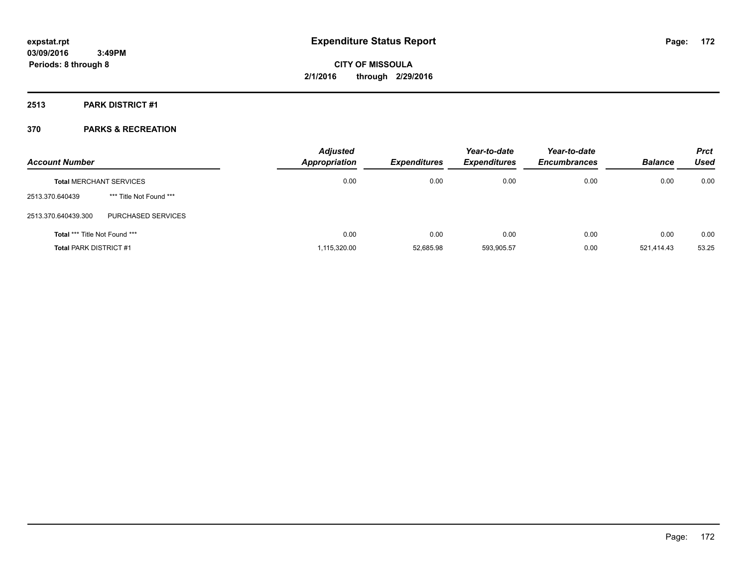**2513 PARK DISTRICT #1**

| <b>Account Number</b>                |                                | <b>Adjusted</b><br>Appropriation | <b>Expenditures</b> | Year-to-date<br><b>Expenditures</b> | Year-to-date<br><b>Encumbrances</b> | <b>Balance</b> | <b>Prct</b><br>Used |
|--------------------------------------|--------------------------------|----------------------------------|---------------------|-------------------------------------|-------------------------------------|----------------|---------------------|
|                                      | <b>Total MERCHANT SERVICES</b> | 0.00                             | 0.00                | 0.00                                | 0.00                                | 0.00           | 0.00                |
| 2513.370.640439                      | *** Title Not Found ***        |                                  |                     |                                     |                                     |                |                     |
| 2513.370.640439.300                  | PURCHASED SERVICES             |                                  |                     |                                     |                                     |                |                     |
| <b>Total *** Title Not Found ***</b> |                                | 0.00                             | 0.00                | 0.00                                | 0.00                                | 0.00           | 0.00                |
| <b>Total PARK DISTRICT #1</b>        |                                | 1,115,320.00                     | 52,685.98           | 593,905.57                          | 0.00                                | 521.414.43     | 53.25               |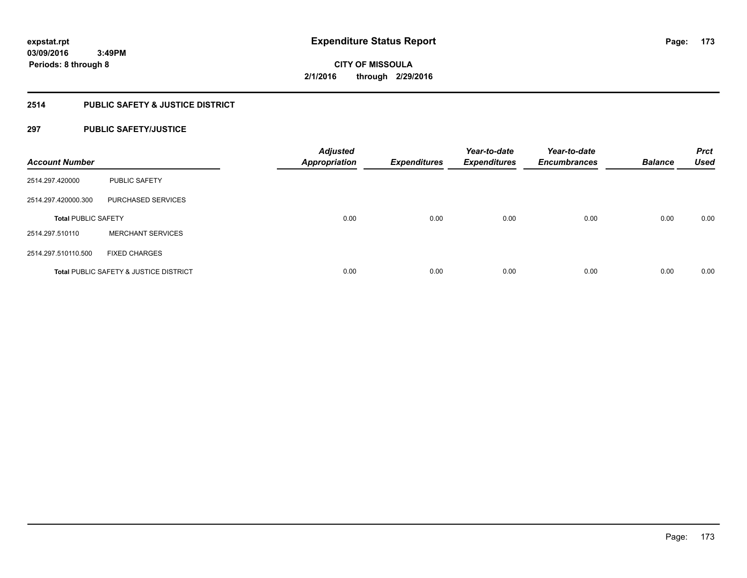# **2514 PUBLIC SAFETY & JUSTICE DISTRICT**

# **297 PUBLIC SAFETY/JUSTICE**

| <b>Account Number</b>      |                                                   | <b>Adjusted</b><br><b>Appropriation</b> | <b>Expenditures</b> | Year-to-date<br><b>Expenditures</b> | Year-to-date<br><b>Encumbrances</b> | <b>Balance</b> | <b>Prct</b><br><b>Used</b> |
|----------------------------|---------------------------------------------------|-----------------------------------------|---------------------|-------------------------------------|-------------------------------------|----------------|----------------------------|
| 2514.297.420000            | <b>PUBLIC SAFETY</b>                              |                                         |                     |                                     |                                     |                |                            |
| 2514.297.420000.300        | PURCHASED SERVICES                                |                                         |                     |                                     |                                     |                |                            |
| <b>Total PUBLIC SAFETY</b> |                                                   | 0.00                                    | 0.00                | 0.00                                | 0.00                                | 0.00           | 0.00                       |
| 2514.297.510110            | <b>MERCHANT SERVICES</b>                          |                                         |                     |                                     |                                     |                |                            |
| 2514.297.510110.500        | <b>FIXED CHARGES</b>                              |                                         |                     |                                     |                                     |                |                            |
|                            | <b>Total PUBLIC SAFETY &amp; JUSTICE DISTRICT</b> | 0.00                                    | 0.00                | 0.00                                | 0.00                                | 0.00           | 0.00                       |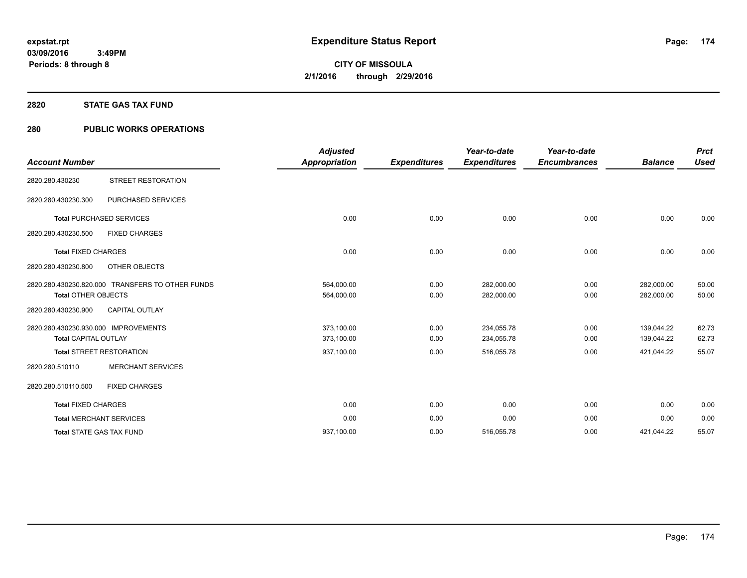## **2820 STATE GAS TAX FUND**

# **280 PUBLIC WORKS OPERATIONS**

| <b>Account Number</b>                                               |                                                  | <b>Adjusted</b><br><b>Appropriation</b> | <b>Expenditures</b> | Year-to-date<br><b>Expenditures</b> | Year-to-date<br><b>Encumbrances</b> | <b>Balance</b>           | <b>Prct</b><br><b>Used</b> |
|---------------------------------------------------------------------|--------------------------------------------------|-----------------------------------------|---------------------|-------------------------------------|-------------------------------------|--------------------------|----------------------------|
| 2820.280.430230                                                     | STREET RESTORATION                               |                                         |                     |                                     |                                     |                          |                            |
| 2820.280.430230.300                                                 | PURCHASED SERVICES                               |                                         |                     |                                     |                                     |                          |                            |
| <b>Total PURCHASED SERVICES</b>                                     |                                                  | 0.00                                    | 0.00                | 0.00                                | 0.00                                | 0.00                     | 0.00                       |
| 2820.280.430230.500                                                 | <b>FIXED CHARGES</b>                             |                                         |                     |                                     |                                     |                          |                            |
| <b>Total FIXED CHARGES</b>                                          |                                                  | 0.00                                    | 0.00                | 0.00                                | 0.00                                | 0.00                     | 0.00                       |
| 2820.280.430230.800                                                 | OTHER OBJECTS                                    |                                         |                     |                                     |                                     |                          |                            |
| <b>Total OTHER OBJECTS</b>                                          | 2820.280.430230.820.000 TRANSFERS TO OTHER FUNDS | 564,000.00<br>564,000.00                | 0.00<br>0.00        | 282,000.00<br>282,000.00            | 0.00<br>0.00                        | 282,000.00<br>282,000.00 | 50.00<br>50.00             |
| 2820.280.430230.900                                                 | <b>CAPITAL OUTLAY</b>                            |                                         |                     |                                     |                                     |                          |                            |
| 2820.280.430230.930.000 IMPROVEMENTS<br><b>Total CAPITAL OUTLAY</b> |                                                  | 373,100.00<br>373,100.00                | 0.00<br>0.00        | 234,055.78<br>234,055.78            | 0.00<br>0.00                        | 139,044.22<br>139,044.22 | 62.73<br>62.73             |
| <b>Total STREET RESTORATION</b>                                     |                                                  | 937,100.00                              | 0.00                | 516,055.78                          | 0.00                                | 421,044.22               | 55.07                      |
| 2820.280.510110                                                     | <b>MERCHANT SERVICES</b>                         |                                         |                     |                                     |                                     |                          |                            |
| 2820.280.510110.500                                                 | <b>FIXED CHARGES</b>                             |                                         |                     |                                     |                                     |                          |                            |
| <b>Total FIXED CHARGES</b>                                          |                                                  | 0.00                                    | 0.00                | 0.00                                | 0.00                                | 0.00                     | 0.00                       |
| <b>Total MERCHANT SERVICES</b>                                      |                                                  | 0.00                                    | 0.00                | 0.00                                | 0.00                                | 0.00                     | 0.00                       |
| <b>Total STATE GAS TAX FUND</b>                                     |                                                  | 937,100.00                              | 0.00                | 516,055.78                          | 0.00                                | 421,044.22               | 55.07                      |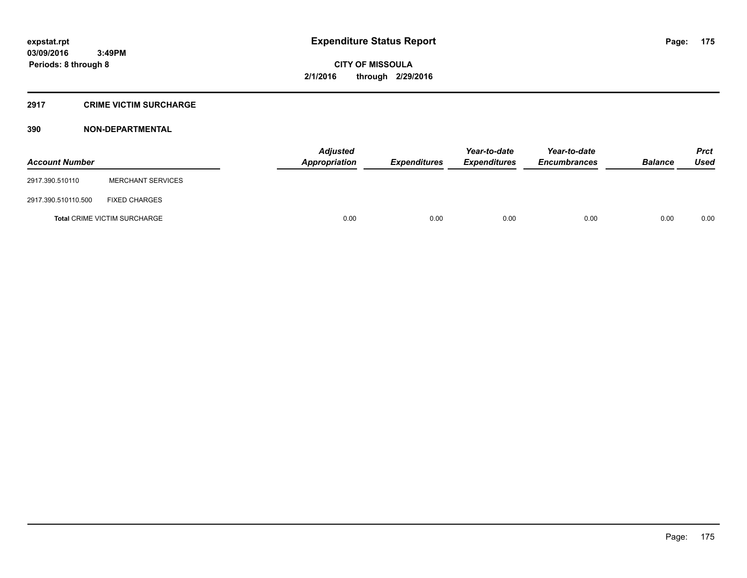## **2917 CRIME VICTIM SURCHARGE**

| <b>Account Number</b> |                                     | Adjusted<br><b>Appropriation</b> | <b>Expenditures</b> | Year-to-date<br><b>Expenditures</b> | Year-to-date<br><b>Encumbrances</b> | <b>Balance</b> | <b>Prct</b><br><b>Used</b> |
|-----------------------|-------------------------------------|----------------------------------|---------------------|-------------------------------------|-------------------------------------|----------------|----------------------------|
| 2917.390.510110       | <b>MERCHANT SERVICES</b>            |                                  |                     |                                     |                                     |                |                            |
| 2917.390.510110.500   | <b>FIXED CHARGES</b>                |                                  |                     |                                     |                                     |                |                            |
|                       | <b>Total CRIME VICTIM SURCHARGE</b> | 0.00                             | 0.00                | 0.00                                | 0.00                                | 0.00           | 0.00                       |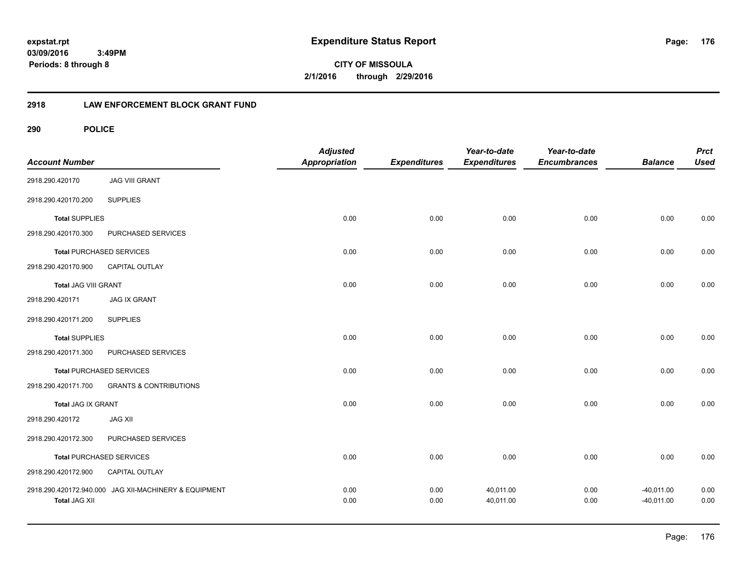**CITY OF MISSOULA 2/1/2016 through 2/29/2016**

# **2918 LAW ENFORCEMENT BLOCK GRANT FUND**

| <b>Account Number</b>     |                                                       | <b>Adjusted</b><br>Appropriation | <b>Expenditures</b> | Year-to-date<br><b>Expenditures</b> | Year-to-date<br><b>Encumbrances</b> | <b>Balance</b>               | <b>Prct</b><br><b>Used</b> |
|---------------------------|-------------------------------------------------------|----------------------------------|---------------------|-------------------------------------|-------------------------------------|------------------------------|----------------------------|
| 2918.290.420170           | <b>JAG VIII GRANT</b>                                 |                                  |                     |                                     |                                     |                              |                            |
| 2918.290.420170.200       | <b>SUPPLIES</b>                                       |                                  |                     |                                     |                                     |                              |                            |
| <b>Total SUPPLIES</b>     |                                                       | 0.00                             | 0.00                | 0.00                                | 0.00                                | 0.00                         | 0.00                       |
| 2918.290.420170.300       | PURCHASED SERVICES                                    |                                  |                     |                                     |                                     |                              |                            |
|                           | <b>Total PURCHASED SERVICES</b>                       | 0.00                             | 0.00                | 0.00                                | 0.00                                | 0.00                         | 0.00                       |
| 2918.290.420170.900       | CAPITAL OUTLAY                                        |                                  |                     |                                     |                                     |                              |                            |
| Total JAG VIII GRANT      |                                                       | 0.00                             | 0.00                | 0.00                                | 0.00                                | 0.00                         | 0.00                       |
| 2918.290.420171           | <b>JAG IX GRANT</b>                                   |                                  |                     |                                     |                                     |                              |                            |
| 2918.290.420171.200       | <b>SUPPLIES</b>                                       |                                  |                     |                                     |                                     |                              |                            |
| <b>Total SUPPLIES</b>     |                                                       | 0.00                             | 0.00                | 0.00                                | 0.00                                | 0.00                         | 0.00                       |
| 2918.290.420171.300       | PURCHASED SERVICES                                    |                                  |                     |                                     |                                     |                              |                            |
|                           | <b>Total PURCHASED SERVICES</b>                       | 0.00                             | 0.00                | 0.00                                | 0.00                                | 0.00                         | 0.00                       |
| 2918.290.420171.700       | <b>GRANTS &amp; CONTRIBUTIONS</b>                     |                                  |                     |                                     |                                     |                              |                            |
| <b>Total JAG IX GRANT</b> |                                                       | 0.00                             | 0.00                | 0.00                                | 0.00                                | 0.00                         | 0.00                       |
| 2918.290.420172           | <b>JAG XII</b>                                        |                                  |                     |                                     |                                     |                              |                            |
| 2918.290.420172.300       | PURCHASED SERVICES                                    |                                  |                     |                                     |                                     |                              |                            |
|                           | <b>Total PURCHASED SERVICES</b>                       | 0.00                             | 0.00                | 0.00                                | 0.00                                | 0.00                         | 0.00                       |
| 2918.290.420172.900       | CAPITAL OUTLAY                                        |                                  |                     |                                     |                                     |                              |                            |
| <b>Total JAG XII</b>      | 2918.290.420172.940.000 JAG XII-MACHINERY & EQUIPMENT | 0.00<br>0.00                     | 0.00<br>0.00        | 40,011.00<br>40,011.00              | 0.00<br>0.00                        | $-40,011.00$<br>$-40,011.00$ | 0.00<br>0.00               |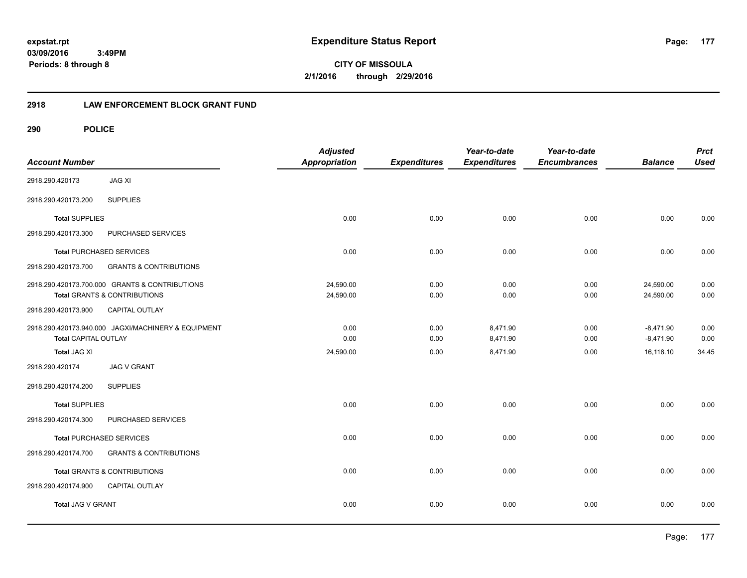**CITY OF MISSOULA 2/1/2016 through 2/29/2016**

# **2918 LAW ENFORCEMENT BLOCK GRANT FUND**

| <b>Account Number</b>       |                                                                                | <b>Adjusted</b><br><b>Appropriation</b> | <b>Expenditures</b> | Year-to-date<br><b>Expenditures</b> | Year-to-date<br><b>Encumbrances</b> | <b>Balance</b>             | <b>Prct</b><br><b>Used</b> |
|-----------------------------|--------------------------------------------------------------------------------|-----------------------------------------|---------------------|-------------------------------------|-------------------------------------|----------------------------|----------------------------|
| 2918.290.420173             | <b>JAG XI</b>                                                                  |                                         |                     |                                     |                                     |                            |                            |
| 2918.290.420173.200         | <b>SUPPLIES</b>                                                                |                                         |                     |                                     |                                     |                            |                            |
| <b>Total SUPPLIES</b>       |                                                                                | 0.00                                    | 0.00                | 0.00                                | 0.00                                | 0.00                       | 0.00                       |
| 2918.290.420173.300         | PURCHASED SERVICES                                                             |                                         |                     |                                     |                                     |                            |                            |
|                             | <b>Total PURCHASED SERVICES</b>                                                | 0.00                                    | 0.00                | 0.00                                | 0.00                                | 0.00                       | 0.00                       |
| 2918.290.420173.700         | <b>GRANTS &amp; CONTRIBUTIONS</b>                                              |                                         |                     |                                     |                                     |                            |                            |
|                             | 2918.290.420173.700.000 GRANTS & CONTRIBUTIONS<br>Total GRANTS & CONTRIBUTIONS | 24,590.00<br>24,590.00                  | 0.00<br>0.00        | 0.00<br>0.00                        | 0.00<br>0.00                        | 24,590.00<br>24,590.00     | 0.00<br>0.00               |
| 2918.290.420173.900         | <b>CAPITAL OUTLAY</b>                                                          |                                         |                     |                                     |                                     |                            |                            |
| <b>Total CAPITAL OUTLAY</b> | 2918.290.420173.940.000 JAGXI/MACHINERY & EQUIPMENT                            | 0.00<br>0.00                            | 0.00<br>0.00        | 8,471.90<br>8,471.90                | 0.00<br>0.00                        | $-8,471.90$<br>$-8,471.90$ | 0.00<br>0.00               |
| Total JAG XI                |                                                                                | 24,590.00                               | 0.00                | 8,471.90                            | 0.00                                | 16,118.10                  | 34.45                      |
| 2918.290.420174             | <b>JAG V GRANT</b>                                                             |                                         |                     |                                     |                                     |                            |                            |
| 2918.290.420174.200         | <b>SUPPLIES</b>                                                                |                                         |                     |                                     |                                     |                            |                            |
| <b>Total SUPPLIES</b>       |                                                                                | 0.00                                    | 0.00                | 0.00                                | 0.00                                | 0.00                       | 0.00                       |
| 2918.290.420174.300         | PURCHASED SERVICES                                                             |                                         |                     |                                     |                                     |                            |                            |
|                             | <b>Total PURCHASED SERVICES</b>                                                | 0.00                                    | 0.00                | 0.00                                | 0.00                                | 0.00                       | 0.00                       |
| 2918.290.420174.700         | <b>GRANTS &amp; CONTRIBUTIONS</b>                                              |                                         |                     |                                     |                                     |                            |                            |
|                             | Total GRANTS & CONTRIBUTIONS                                                   | 0.00                                    | 0.00                | 0.00                                | 0.00                                | 0.00                       | 0.00                       |
| 2918.290.420174.900         | <b>CAPITAL OUTLAY</b>                                                          |                                         |                     |                                     |                                     |                            |                            |
| Total JAG V GRANT           |                                                                                | 0.00                                    | 0.00                | 0.00                                | 0.00                                | 0.00                       | 0.00                       |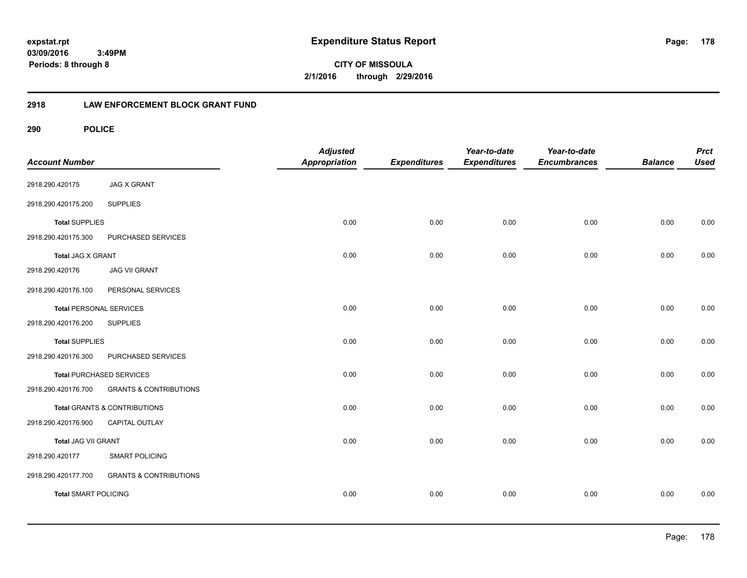**CITY OF MISSOULA 2/1/2016 through 2/29/2016**

# **2918 LAW ENFORCEMENT BLOCK GRANT FUND**

| <b>Account Number</b>          |                                         | <b>Adjusted</b><br><b>Appropriation</b> | <b>Expenditures</b> | Year-to-date<br><b>Expenditures</b> | Year-to-date<br><b>Encumbrances</b> | <b>Balance</b> | <b>Prct</b><br><b>Used</b> |
|--------------------------------|-----------------------------------------|-----------------------------------------|---------------------|-------------------------------------|-------------------------------------|----------------|----------------------------|
| 2918.290.420175                | <b>JAG X GRANT</b>                      |                                         |                     |                                     |                                     |                |                            |
| 2918.290.420175.200            | <b>SUPPLIES</b>                         |                                         |                     |                                     |                                     |                |                            |
| <b>Total SUPPLIES</b>          |                                         | 0.00                                    | 0.00                | 0.00                                | 0.00                                | 0.00           | 0.00                       |
| 2918.290.420175.300            | PURCHASED SERVICES                      |                                         |                     |                                     |                                     |                |                            |
| Total JAG X GRANT              |                                         | 0.00                                    | 0.00                | 0.00                                | 0.00                                | 0.00           | 0.00                       |
| 2918.290.420176                | <b>JAG VII GRANT</b>                    |                                         |                     |                                     |                                     |                |                            |
| 2918.290.420176.100            | PERSONAL SERVICES                       |                                         |                     |                                     |                                     |                |                            |
| <b>Total PERSONAL SERVICES</b> |                                         | 0.00                                    | 0.00                | 0.00                                | 0.00                                | 0.00           | 0.00                       |
| 2918.290.420176.200            | <b>SUPPLIES</b>                         |                                         |                     |                                     |                                     |                |                            |
| <b>Total SUPPLIES</b>          |                                         | 0.00                                    | 0.00                | 0.00                                | 0.00                                | 0.00           | 0.00                       |
| 2918.290.420176.300            | PURCHASED SERVICES                      |                                         |                     |                                     |                                     |                |                            |
|                                | <b>Total PURCHASED SERVICES</b>         | 0.00                                    | 0.00                | 0.00                                | 0.00                                | 0.00           | 0.00                       |
| 2918.290.420176.700            | <b>GRANTS &amp; CONTRIBUTIONS</b>       |                                         |                     |                                     |                                     |                |                            |
|                                | <b>Total GRANTS &amp; CONTRIBUTIONS</b> | 0.00                                    | 0.00                | 0.00                                | 0.00                                | 0.00           | 0.00                       |
| 2918.290.420176.900            | CAPITAL OUTLAY                          |                                         |                     |                                     |                                     |                |                            |
| <b>Total JAG VII GRANT</b>     |                                         | 0.00                                    | 0.00                | 0.00                                | 0.00                                | 0.00           | 0.00                       |
| 2918.290.420177                | <b>SMART POLICING</b>                   |                                         |                     |                                     |                                     |                |                            |
| 2918.290.420177.700            | <b>GRANTS &amp; CONTRIBUTIONS</b>       |                                         |                     |                                     |                                     |                |                            |
| <b>Total SMART POLICING</b>    |                                         | 0.00                                    | 0.00                | 0.00                                | 0.00                                | 0.00           | 0.00                       |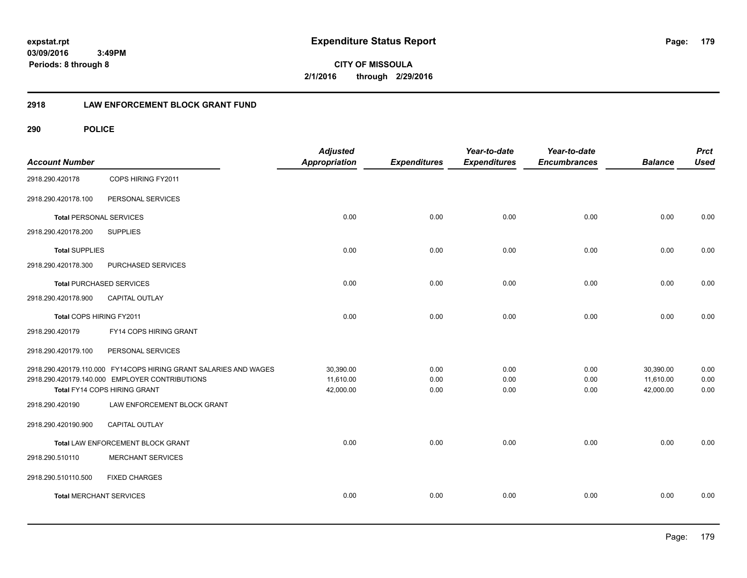**CITY OF MISSOULA 2/1/2016 through 2/29/2016**

# **2918 LAW ENFORCEMENT BLOCK GRANT FUND**

| <b>Account Number</b>          |                                                                  | <b>Adjusted</b><br><b>Appropriation</b> | <b>Expenditures</b> | Year-to-date<br><b>Expenditures</b> | Year-to-date<br><b>Encumbrances</b> | <b>Balance</b> | <b>Prct</b><br><b>Used</b> |
|--------------------------------|------------------------------------------------------------------|-----------------------------------------|---------------------|-------------------------------------|-------------------------------------|----------------|----------------------------|
| 2918.290.420178                | COPS HIRING FY2011                                               |                                         |                     |                                     |                                     |                |                            |
| 2918.290.420178.100            | PERSONAL SERVICES                                                |                                         |                     |                                     |                                     |                |                            |
| <b>Total PERSONAL SERVICES</b> |                                                                  | 0.00                                    | 0.00                | 0.00                                | 0.00                                | 0.00           | 0.00                       |
| 2918.290.420178.200            | <b>SUPPLIES</b>                                                  |                                         |                     |                                     |                                     |                |                            |
| <b>Total SUPPLIES</b>          |                                                                  | 0.00                                    | 0.00                | 0.00                                | 0.00                                | 0.00           | 0.00                       |
| 2918.290.420178.300            | PURCHASED SERVICES                                               |                                         |                     |                                     |                                     |                |                            |
|                                | <b>Total PURCHASED SERVICES</b>                                  | 0.00                                    | 0.00                | 0.00                                | 0.00                                | 0.00           | 0.00                       |
| 2918.290.420178.900            | <b>CAPITAL OUTLAY</b>                                            |                                         |                     |                                     |                                     |                |                            |
| Total COPS HIRING FY2011       |                                                                  | 0.00                                    | 0.00                | 0.00                                | 0.00                                | 0.00           | 0.00                       |
| 2918.290.420179                | FY14 COPS HIRING GRANT                                           |                                         |                     |                                     |                                     |                |                            |
| 2918.290.420179.100            | PERSONAL SERVICES                                                |                                         |                     |                                     |                                     |                |                            |
|                                | 2918.290.420179.110.000 FY14COPS HIRING GRANT SALARIES AND WAGES | 30,390.00                               | 0.00                | 0.00                                | 0.00                                | 30,390.00      | 0.00                       |
|                                | 2918.290.420179.140.000 EMPLOYER CONTRIBUTIONS                   | 11,610.00                               | 0.00                | 0.00                                | 0.00                                | 11,610.00      | 0.00                       |
|                                | Total FY14 COPS HIRING GRANT                                     | 42,000.00                               | 0.00                | 0.00                                | 0.00                                | 42,000.00      | 0.00                       |
| 2918.290.420190                | LAW ENFORCEMENT BLOCK GRANT                                      |                                         |                     |                                     |                                     |                |                            |
| 2918.290.420190.900            | CAPITAL OUTLAY                                                   |                                         |                     |                                     |                                     |                |                            |
|                                | Total LAW ENFORCEMENT BLOCK GRANT                                | 0.00                                    | 0.00                | 0.00                                | 0.00                                | 0.00           | 0.00                       |
| 2918.290.510110                | <b>MERCHANT SERVICES</b>                                         |                                         |                     |                                     |                                     |                |                            |
| 2918.290.510110.500            | <b>FIXED CHARGES</b>                                             |                                         |                     |                                     |                                     |                |                            |
| <b>Total MERCHANT SERVICES</b> |                                                                  | 0.00                                    | 0.00                | 0.00                                | 0.00                                | 0.00           | 0.00                       |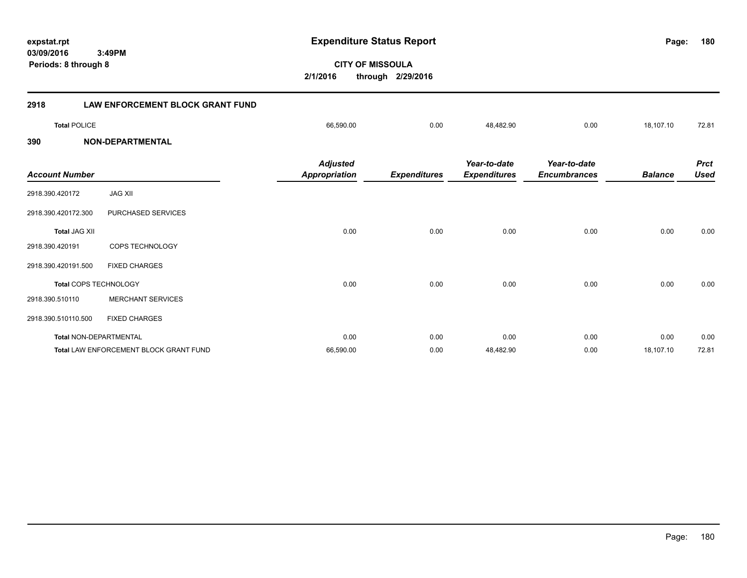**CITY OF MISSOULA 2/1/2016 through 2/29/2016 Periods: 8 through 8 2918 LAW ENFORCEMENT BLOCK GRANT FUND Total** POLICE 66,590.00 0.00 48,482.90 0.00 18,107.10 72.81 **390 NON-DEPARTMENTAL** *Prct Balance Used Year-to-date Encumbrances Year-to-date Expenditures Expenditures Adjusted Account Number Appropriation* 2918.390.420172 JAG XII 2918.390.420172.300 PURCHASED SERVICES **Total** JAG XII 0.00 0.00 0.00 0.00 0.00 0.00 2918.390.420191 COPS TECHNOLOGY 2918.390.420191.500 FIXED CHARGES **Total** COPS TECHNOLOGY 0.00 0.00 0.00 0.00 0.00 0.00 2918.390.510110 MERCHANT SERVICES 2918.390.510110.500 FIXED CHARGES **Total** NON-DEPARTMENTAL 0.00 0.00 0.00 0.00 0.00 0.00 Total LAW ENFORCEMENT BLOCK GRANT FUND **66,590.00** 66,590.00 66,590.00 66,590.00 48,482.90 0.00 18,107.10 72.81

**expstat.rpt Expenditure Status Report Page:**

**180**

**03/09/2016 3:49PM**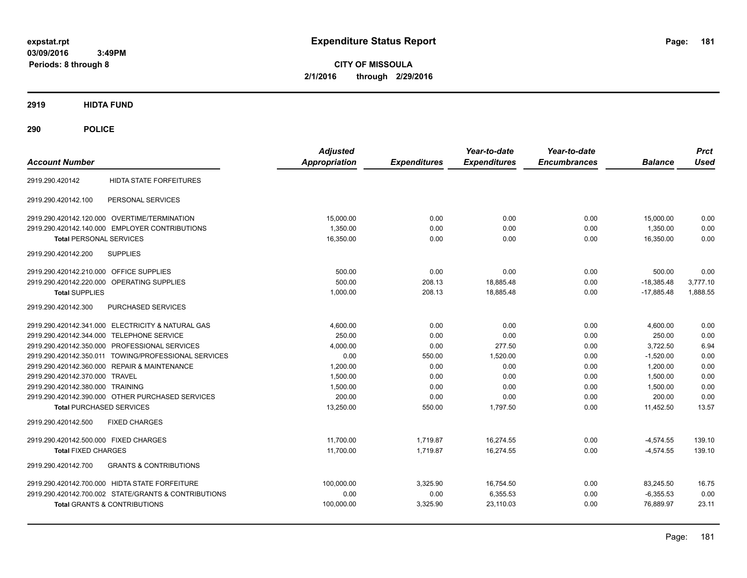**CITY OF MISSOULA 2/1/2016 through 2/29/2016**

# **2919 HIDTA FUND**

# **290 POLICE**

|                                                          | <b>Adjusted</b> |                     | Year-to-date        | Year-to-date        |                | <b>Prct</b> |
|----------------------------------------------------------|-----------------|---------------------|---------------------|---------------------|----------------|-------------|
| <b>Account Number</b>                                    | Appropriation   | <b>Expenditures</b> | <b>Expenditures</b> | <b>Encumbrances</b> | <b>Balance</b> | <b>Used</b> |
| <b>HIDTA STATE FORFEITURES</b><br>2919.290.420142        |                 |                     |                     |                     |                |             |
| PERSONAL SERVICES<br>2919.290.420142.100                 |                 |                     |                     |                     |                |             |
| 2919.290.420142.120.000 OVERTIME/TERMINATION             | 15,000.00       | 0.00                | 0.00                | 0.00                | 15,000.00      | 0.00        |
| 2919.290.420142.140.000 EMPLOYER CONTRIBUTIONS           | 1,350.00        | 0.00                | 0.00                | 0.00                | 1,350.00       | 0.00        |
| <b>Total PERSONAL SERVICES</b>                           | 16,350.00       | 0.00                | 0.00                | 0.00                | 16,350.00      | 0.00        |
| 2919.290.420142.200<br><b>SUPPLIES</b>                   |                 |                     |                     |                     |                |             |
| 2919.290.420142.210.000 OFFICE SUPPLIES                  | 500.00          | 0.00                | 0.00                | 0.00                | 500.00         | 0.00        |
| 2919.290.420142.220.000 OPERATING SUPPLIES               | 500.00          | 208.13              | 18,885.48           | 0.00                | $-18,385.48$   | 3,777.10    |
| <b>Total SUPPLIES</b>                                    | 1,000.00        | 208.13              | 18,885.48           | 0.00                | $-17,885.48$   | 1,888.55    |
| 2919.290.420142.300<br>PURCHASED SERVICES                |                 |                     |                     |                     |                |             |
| 2919.290.420142.341.000 ELECTRICITY & NATURAL GAS        | 4,600.00        | 0.00                | 0.00                | 0.00                | 4,600.00       | 0.00        |
| 2919.290.420142.344.000 TELEPHONE SERVICE                | 250.00          | 0.00                | 0.00                | 0.00                | 250.00         | 0.00        |
| 2919.290.420142.350.000 PROFESSIONAL SERVICES            | 4,000.00        | 0.00                | 277.50              | 0.00                | 3,722.50       | 6.94        |
| 2919.290.420142.350.011 TOWING/PROFESSIONAL SERVICES     | 0.00            | 550.00              | 1,520.00            | 0.00                | $-1,520.00$    | 0.00        |
| 2919.290.420142.360.000 REPAIR & MAINTENANCE             | 1,200.00        | 0.00                | 0.00                | 0.00                | 1,200.00       | 0.00        |
| 2919.290.420142.370.000 TRAVEL                           | 1,500.00        | 0.00                | 0.00                | 0.00                | 1,500.00       | 0.00        |
| 2919.290.420142.380.000 TRAINING                         | 1,500.00        | 0.00                | 0.00                | 0.00                | 1,500.00       | 0.00        |
| 2919.290.420142.390.000 OTHER PURCHASED SERVICES         | 200.00          | 0.00                | 0.00                | 0.00                | 200.00         | 0.00        |
| <b>Total PURCHASED SERVICES</b>                          | 13,250.00       | 550.00              | 1,797.50            | 0.00                | 11,452.50      | 13.57       |
| 2919.290.420142.500<br><b>FIXED CHARGES</b>              |                 |                     |                     |                     |                |             |
| 2919.290.420142.500.000 FIXED CHARGES                    | 11,700.00       | 1,719.87            | 16,274.55           | 0.00                | $-4,574.55$    | 139.10      |
| <b>Total FIXED CHARGES</b>                               | 11,700.00       | 1.719.87            | 16.274.55           | 0.00                | $-4.574.55$    | 139.10      |
| <b>GRANTS &amp; CONTRIBUTIONS</b><br>2919.290.420142.700 |                 |                     |                     |                     |                |             |
| 2919.290.420142.700.000 HIDTA STATE FORFEITURE           | 100,000.00      | 3,325.90            | 16,754.50           | 0.00                | 83,245.50      | 16.75       |
| 2919.290.420142.700.002 STATE/GRANTS & CONTRIBUTIONS     | 0.00            | 0.00                | 6,355.53            | 0.00                | $-6,355.53$    | 0.00        |
| <b>Total GRANTS &amp; CONTRIBUTIONS</b>                  | 100,000.00      | 3,325.90            | 23,110.03           | 0.00                | 76,889.97      | 23.11       |
|                                                          |                 |                     |                     |                     |                |             |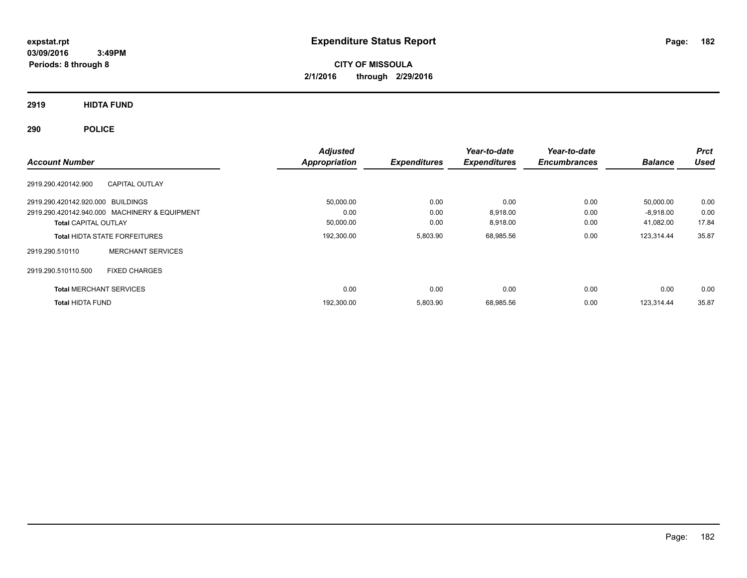**CITY OF MISSOULA 2/1/2016 through 2/29/2016**

**2919 HIDTA FUND**

**290 POLICE**

| <b>Account Number</b>                         | <b>Adjusted</b><br>Appropriation | <b>Expenditures</b> | Year-to-date<br><b>Expenditures</b> | Year-to-date<br><b>Encumbrances</b> | <b>Balance</b> | <b>Prct</b><br><b>Used</b> |
|-----------------------------------------------|----------------------------------|---------------------|-------------------------------------|-------------------------------------|----------------|----------------------------|
| <b>CAPITAL OUTLAY</b><br>2919.290.420142.900  |                                  |                     |                                     |                                     |                |                            |
| 2919.290.420142.920.000 BUILDINGS             | 50,000.00                        | 0.00                | 0.00                                | 0.00                                | 50,000.00      | 0.00                       |
| 2919.290.420142.940.000 MACHINERY & EQUIPMENT | 0.00                             | 0.00                | 8.918.00                            | 0.00                                | $-8,918.00$    | 0.00                       |
| <b>Total CAPITAL OUTLAY</b>                   | 50,000.00                        | 0.00                | 8,918.00                            | 0.00                                | 41,082.00      | 17.84                      |
| <b>Total HIDTA STATE FORFEITURES</b>          | 192,300.00                       | 5,803.90            | 68,985.56                           | 0.00                                | 123,314.44     | 35.87                      |
| <b>MERCHANT SERVICES</b><br>2919.290.510110   |                                  |                     |                                     |                                     |                |                            |
| <b>FIXED CHARGES</b><br>2919.290.510110.500   |                                  |                     |                                     |                                     |                |                            |
| <b>Total MERCHANT SERVICES</b>                | 0.00                             | 0.00                | 0.00                                | 0.00                                | 0.00           | 0.00                       |
| <b>Total HIDTA FUND</b>                       | 192,300.00                       | 5,803.90            | 68,985.56                           | 0.00                                | 123.314.44     | 35.87                      |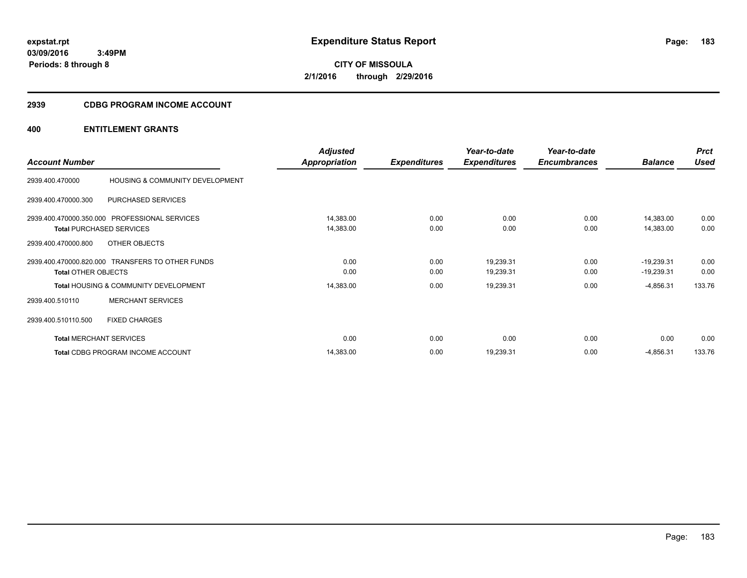**CITY OF MISSOULA 2/1/2016 through 2/29/2016**

# **2939 CDBG PROGRAM INCOME ACCOUNT**

|                            |                                                  | <b>Adjusted</b> |                     | Year-to-date        | Year-to-date        |                | <b>Prct</b> |
|----------------------------|--------------------------------------------------|-----------------|---------------------|---------------------|---------------------|----------------|-------------|
| <b>Account Number</b>      |                                                  | Appropriation   | <b>Expenditures</b> | <b>Expenditures</b> | <b>Encumbrances</b> | <b>Balance</b> | <b>Used</b> |
| 2939.400.470000            | HOUSING & COMMUNITY DEVELOPMENT                  |                 |                     |                     |                     |                |             |
| 2939.400.470000.300        | PURCHASED SERVICES                               |                 |                     |                     |                     |                |             |
|                            | 2939.400.470000.350.000 PROFESSIONAL SERVICES    | 14,383.00       | 0.00                | 0.00                | 0.00                | 14,383.00      | 0.00        |
|                            | <b>Total PURCHASED SERVICES</b>                  | 14,383.00       | 0.00                | 0.00                | 0.00                | 14,383.00      | 0.00        |
| 2939.400.470000.800        | OTHER OBJECTS                                    |                 |                     |                     |                     |                |             |
|                            | 2939.400.470000.820.000 TRANSFERS TO OTHER FUNDS | 0.00            | 0.00                | 19,239.31           | 0.00                | $-19,239.31$   | 0.00        |
| <b>Total OTHER OBJECTS</b> |                                                  | 0.00            | 0.00                | 19,239.31           | 0.00                | $-19,239.31$   | 0.00        |
|                            | <b>Total HOUSING &amp; COMMUNITY DEVELOPMENT</b> | 14,383.00       | 0.00                | 19,239.31           | 0.00                | $-4,856.31$    | 133.76      |
| 2939.400.510110            | <b>MERCHANT SERVICES</b>                         |                 |                     |                     |                     |                |             |
| 2939.400.510110.500        | <b>FIXED CHARGES</b>                             |                 |                     |                     |                     |                |             |
|                            | <b>Total MERCHANT SERVICES</b>                   | 0.00            | 0.00                | 0.00                | 0.00                | 0.00           | 0.00        |
|                            | Total CDBG PROGRAM INCOME ACCOUNT                | 14,383.00       | 0.00                | 19,239.31           | 0.00                | $-4,856.31$    | 133.76      |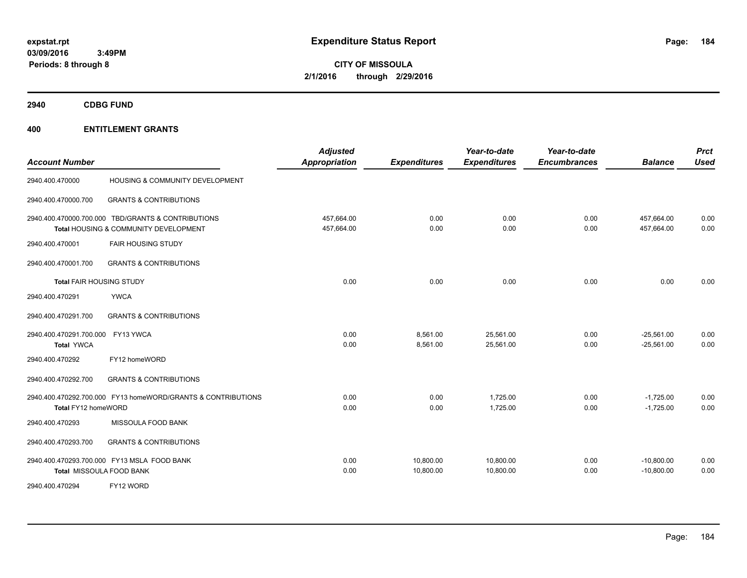**CITY OF MISSOULA 2/1/2016 through 2/29/2016**

**2940 CDBG FUND**

| <b>Account Number</b>                                                   |                                                                                             | <b>Adjusted</b><br>Appropriation | <b>Expenditures</b>    | Year-to-date<br><b>Expenditures</b> | Year-to-date<br><b>Encumbrances</b> | <b>Balance</b>               | <b>Prct</b><br><b>Used</b> |
|-------------------------------------------------------------------------|---------------------------------------------------------------------------------------------|----------------------------------|------------------------|-------------------------------------|-------------------------------------|------------------------------|----------------------------|
| 2940.400.470000                                                         | HOUSING & COMMUNITY DEVELOPMENT                                                             |                                  |                        |                                     |                                     |                              |                            |
| 2940.400.470000.700                                                     | <b>GRANTS &amp; CONTRIBUTIONS</b>                                                           |                                  |                        |                                     |                                     |                              |                            |
|                                                                         | 2940.400.470000.700.000 TBD/GRANTS & CONTRIBUTIONS<br>Total HOUSING & COMMUNITY DEVELOPMENT | 457,664.00<br>457,664.00         | 0.00<br>0.00           | 0.00<br>0.00                        | 0.00<br>0.00                        | 457,664.00<br>457,664.00     | 0.00<br>0.00               |
| 2940.400.470001                                                         | <b>FAIR HOUSING STUDY</b>                                                                   |                                  |                        |                                     |                                     |                              |                            |
| 2940.400.470001.700                                                     | <b>GRANTS &amp; CONTRIBUTIONS</b>                                                           |                                  |                        |                                     |                                     |                              |                            |
| <b>Total FAIR HOUSING STUDY</b>                                         |                                                                                             | 0.00                             | 0.00                   | 0.00                                | 0.00                                | 0.00                         | 0.00                       |
| 2940.400.470291                                                         | <b>YWCA</b>                                                                                 |                                  |                        |                                     |                                     |                              |                            |
| 2940.400.470291.700                                                     | <b>GRANTS &amp; CONTRIBUTIONS</b>                                                           |                                  |                        |                                     |                                     |                              |                            |
| 2940.400.470291.700.000 FY13 YWCA<br><b>Total YWCA</b>                  |                                                                                             | 0.00<br>0.00                     | 8,561.00<br>8,561.00   | 25,561.00<br>25,561.00              | 0.00<br>0.00                        | $-25,561.00$<br>$-25,561.00$ | 0.00<br>0.00               |
| 2940.400.470292                                                         | FY12 homeWORD                                                                               |                                  |                        |                                     |                                     |                              |                            |
| 2940.400.470292.700                                                     | <b>GRANTS &amp; CONTRIBUTIONS</b>                                                           |                                  |                        |                                     |                                     |                              |                            |
| Total FY12 homeWORD                                                     | 2940.400.470292.700.000 FY13 homeWORD/GRANTS & CONTRIBUTIONS                                | 0.00<br>0.00                     | 0.00<br>0.00           | 1,725.00<br>1,725.00                | 0.00<br>0.00                        | $-1,725.00$<br>$-1,725.00$   | 0.00<br>0.00               |
| 2940.400.470293                                                         | MISSOULA FOOD BANK                                                                          |                                  |                        |                                     |                                     |                              |                            |
| 2940.400.470293.700                                                     | <b>GRANTS &amp; CONTRIBUTIONS</b>                                                           |                                  |                        |                                     |                                     |                              |                            |
| 2940.400.470293.700.000 FY13 MSLA FOOD BANK<br>Total MISSOULA FOOD BANK |                                                                                             | 0.00<br>0.00                     | 10,800.00<br>10,800.00 | 10,800.00<br>10,800.00              | 0.00<br>0.00                        | $-10,800.00$<br>$-10,800.00$ | 0.00<br>0.00               |
| 2940.400.470294                                                         | FY12 WORD                                                                                   |                                  |                        |                                     |                                     |                              |                            |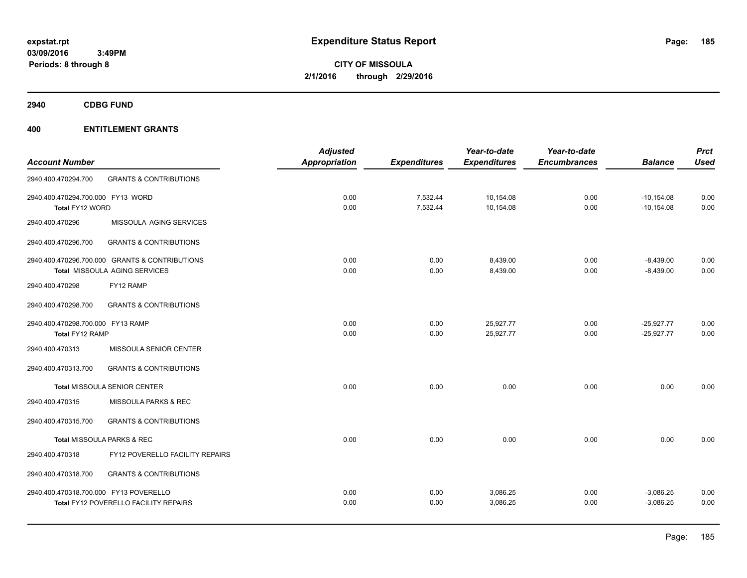**CITY OF MISSOULA 2/1/2016 through 2/29/2016**

**2940 CDBG FUND**

|                                                | <b>Adjusted</b>                        |                       | Year-to-date        | Year-to-date        |                | <b>Prct</b>  |
|------------------------------------------------|----------------------------------------|-----------------------|---------------------|---------------------|----------------|--------------|
|                                                |                                        | <b>Expenditures</b>   | <b>Expenditures</b> | <b>Encumbrances</b> | <b>Balance</b> | <b>Used</b>  |
| <b>GRANTS &amp; CONTRIBUTIONS</b>              |                                        |                       |                     |                     |                |              |
| 2940.400.470294.700.000 FY13 WORD              | 0.00                                   | 7,532.44              | 10,154.08           | 0.00                | $-10, 154.08$  | 0.00         |
| Total FY12 WORD                                |                                        |                       |                     |                     |                | 0.00         |
| MISSOULA AGING SERVICES                        |                                        |                       |                     |                     |                |              |
| <b>GRANTS &amp; CONTRIBUTIONS</b>              |                                        |                       |                     |                     |                |              |
| 2940.400.470296.700.000 GRANTS & CONTRIBUTIONS | 0.00                                   | 0.00                  | 8,439.00            | 0.00                | $-8,439.00$    | 0.00         |
| Total MISSOULA AGING SERVICES                  | 0.00                                   | 0.00                  | 8,439.00            | 0.00                | $-8,439.00$    | 0.00         |
| FY12 RAMP                                      |                                        |                       |                     |                     |                |              |
| <b>GRANTS &amp; CONTRIBUTIONS</b>              |                                        |                       |                     |                     |                |              |
| 2940.400.470298.700.000 FY13 RAMP              | 0.00                                   | 0.00                  | 25,927.77           | 0.00                | $-25,927.77$   | 0.00         |
| Total FY12 RAMP                                | 0.00                                   | 0.00                  | 25,927.77           | 0.00                | $-25,927.77$   | 0.00         |
| MISSOULA SENIOR CENTER                         |                                        |                       |                     |                     |                |              |
| <b>GRANTS &amp; CONTRIBUTIONS</b>              |                                        |                       |                     |                     |                |              |
| <b>Total MISSOULA SENIOR CENTER</b>            | 0.00                                   | 0.00                  | 0.00                | 0.00                | 0.00           | 0.00         |
| <b>MISSOULA PARKS &amp; REC</b>                |                                        |                       |                     |                     |                |              |
| <b>GRANTS &amp; CONTRIBUTIONS</b>              |                                        |                       |                     |                     |                |              |
| Total MISSOULA PARKS & REC                     | 0.00                                   | 0.00                  | 0.00                | 0.00                | 0.00           | 0.00         |
| FY12 POVERELLO FACILITY REPAIRS                |                                        |                       |                     |                     |                |              |
| <b>GRANTS &amp; CONTRIBUTIONS</b>              |                                        |                       |                     |                     |                |              |
|                                                | 0.00                                   | 0.00                  | 3,086.25            | 0.00                | $-3,086.25$    | 0.00         |
| <b>Total FY12 POVERELLO FACILITY REPAIRS</b>   | 0.00                                   | 0.00                  | 3,086.25            | 0.00                | $-3,086.25$    | 0.00         |
|                                                | 2940.400.470318.700.000 FY13 POVERELLO | Appropriation<br>0.00 | 7,532.44            | 10,154.08           | 0.00           | $-10,154.08$ |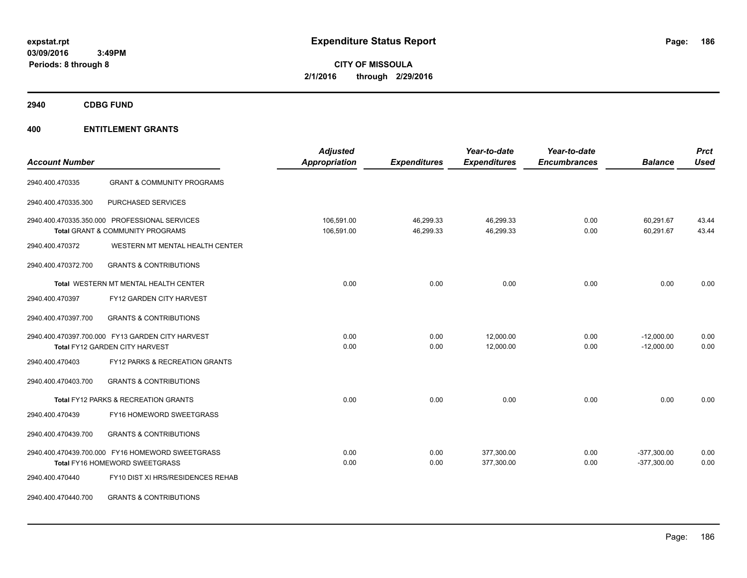**CITY OF MISSOULA 2/1/2016 through 2/29/2016**

**2940 CDBG FUND**

| <b>Account Number</b> |                                                                                              | <b>Adjusted</b><br><b>Appropriation</b> | <b>Expenditures</b>    | Year-to-date<br><b>Expenditures</b> | Year-to-date<br><b>Encumbrances</b> | <b>Balance</b>                 | <b>Prct</b><br><b>Used</b> |
|-----------------------|----------------------------------------------------------------------------------------------|-----------------------------------------|------------------------|-------------------------------------|-------------------------------------|--------------------------------|----------------------------|
| 2940.400.470335       | <b>GRANT &amp; COMMUNITY PROGRAMS</b>                                                        |                                         |                        |                                     |                                     |                                |                            |
| 2940.400.470335.300   | PURCHASED SERVICES                                                                           |                                         |                        |                                     |                                     |                                |                            |
|                       | 2940.400.470335.350.000 PROFESSIONAL SERVICES<br><b>Total GRANT &amp; COMMUNITY PROGRAMS</b> | 106,591.00<br>106,591.00                | 46,299.33<br>46,299.33 | 46,299.33<br>46,299.33              | 0.00<br>0.00                        | 60,291.67<br>60,291.67         | 43.44<br>43.44             |
| 2940.400.470372       | WESTERN MT MENTAL HEALTH CENTER                                                              |                                         |                        |                                     |                                     |                                |                            |
| 2940.400.470372.700   | <b>GRANTS &amp; CONTRIBUTIONS</b>                                                            |                                         |                        |                                     |                                     |                                |                            |
|                       | Total WESTERN MT MENTAL HEALTH CENTER                                                        | 0.00                                    | 0.00                   | 0.00                                | 0.00                                | 0.00                           | 0.00                       |
| 2940.400.470397       | FY12 GARDEN CITY HARVEST                                                                     |                                         |                        |                                     |                                     |                                |                            |
| 2940.400.470397.700   | <b>GRANTS &amp; CONTRIBUTIONS</b>                                                            |                                         |                        |                                     |                                     |                                |                            |
|                       | 2940.400.470397.700.000 FY13 GARDEN CITY HARVEST<br><b>Total FY12 GARDEN CITY HARVEST</b>    | 0.00<br>0.00                            | 0.00<br>0.00           | 12,000.00<br>12,000.00              | 0.00<br>0.00                        | $-12,000.00$<br>$-12,000.00$   | 0.00<br>0.00               |
| 2940.400.470403       | <b>FY12 PARKS &amp; RECREATION GRANTS</b>                                                    |                                         |                        |                                     |                                     |                                |                            |
| 2940.400.470403.700   | <b>GRANTS &amp; CONTRIBUTIONS</b>                                                            |                                         |                        |                                     |                                     |                                |                            |
|                       | Total FY12 PARKS & RECREATION GRANTS                                                         | 0.00                                    | 0.00                   | 0.00                                | 0.00                                | 0.00                           | 0.00                       |
| 2940.400.470439       | FY16 HOMEWORD SWEETGRASS                                                                     |                                         |                        |                                     |                                     |                                |                            |
| 2940.400.470439.700   | <b>GRANTS &amp; CONTRIBUTIONS</b>                                                            |                                         |                        |                                     |                                     |                                |                            |
|                       | 2940.400.470439.700.000 FY16 HOMEWORD SWEETGRASS<br>Total FY16 HOMEWORD SWEETGRASS           | 0.00<br>0.00                            | 0.00<br>0.00           | 377,300.00<br>377,300.00            | 0.00<br>0.00                        | $-377,300.00$<br>$-377,300.00$ | 0.00<br>0.00               |
| 2940.400.470440       | FY10 DIST XI HRS/RESIDENCES REHAB                                                            |                                         |                        |                                     |                                     |                                |                            |
| 2940.400.470440.700   | <b>GRANTS &amp; CONTRIBUTIONS</b>                                                            |                                         |                        |                                     |                                     |                                |                            |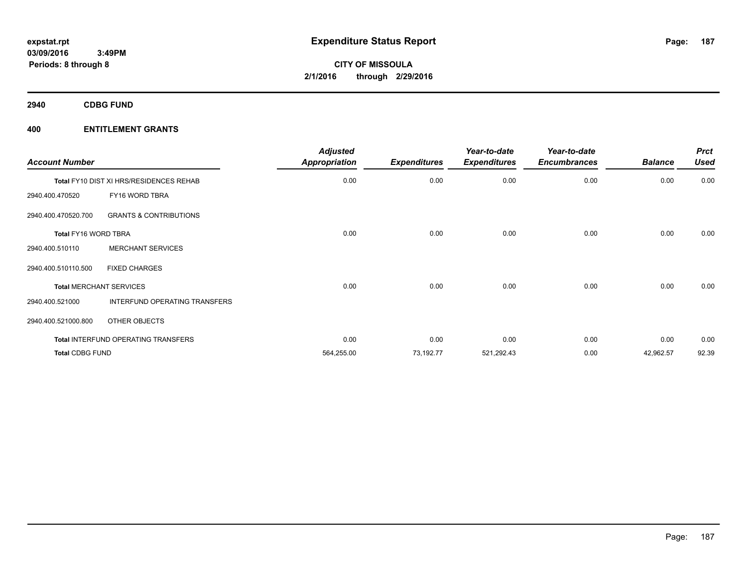**2940 CDBG FUND**

| <b>Account Number</b>  |                                         | <b>Adjusted</b><br><b>Appropriation</b> | <b>Expenditures</b> | Year-to-date<br><b>Expenditures</b> | Year-to-date<br><b>Encumbrances</b> | <b>Balance</b> | <b>Prct</b><br><b>Used</b> |
|------------------------|-----------------------------------------|-----------------------------------------|---------------------|-------------------------------------|-------------------------------------|----------------|----------------------------|
|                        | Total FY10 DIST XI HRS/RESIDENCES REHAB | 0.00                                    | 0.00                | 0.00                                | 0.00                                | 0.00           | 0.00                       |
| 2940.400.470520        | FY16 WORD TBRA                          |                                         |                     |                                     |                                     |                |                            |
| 2940.400.470520.700    | <b>GRANTS &amp; CONTRIBUTIONS</b>       |                                         |                     |                                     |                                     |                |                            |
| Total FY16 WORD TBRA   |                                         | 0.00                                    | 0.00                | 0.00                                | 0.00                                | 0.00           | 0.00                       |
| 2940.400.510110        | <b>MERCHANT SERVICES</b>                |                                         |                     |                                     |                                     |                |                            |
| 2940.400.510110.500    | <b>FIXED CHARGES</b>                    |                                         |                     |                                     |                                     |                |                            |
|                        | <b>Total MERCHANT SERVICES</b>          | 0.00                                    | 0.00                | 0.00                                | 0.00                                | 0.00           | 0.00                       |
| 2940.400.521000        | INTERFUND OPERATING TRANSFERS           |                                         |                     |                                     |                                     |                |                            |
| 2940.400.521000.800    | OTHER OBJECTS                           |                                         |                     |                                     |                                     |                |                            |
|                        | Total INTERFUND OPERATING TRANSFERS     | 0.00                                    | 0.00                | 0.00                                | 0.00                                | 0.00           | 0.00                       |
| <b>Total CDBG FUND</b> |                                         | 564,255.00                              | 73,192.77           | 521,292.43                          | 0.00                                | 42,962.57      | 92.39                      |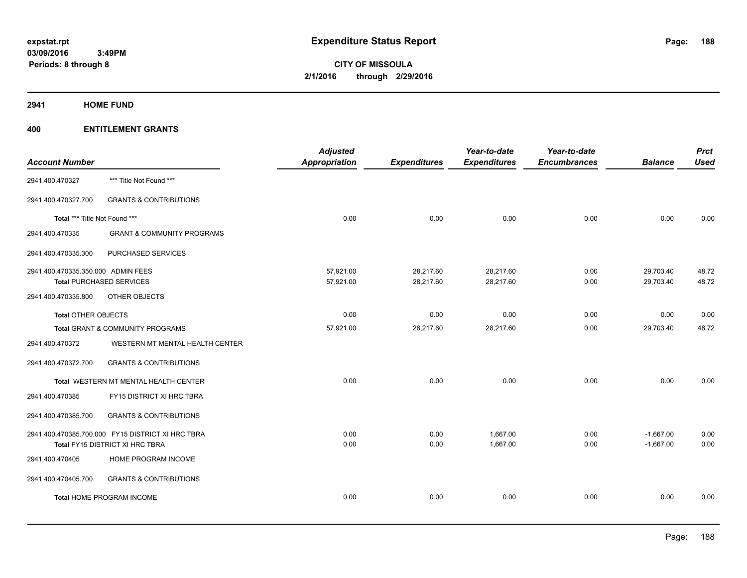**2941 HOME FUND**

|                                    |                                                   | <b>Adjusted</b>      |                     | Year-to-date        | Year-to-date        |                | <b>Prct</b> |
|------------------------------------|---------------------------------------------------|----------------------|---------------------|---------------------|---------------------|----------------|-------------|
| <b>Account Number</b>              |                                                   | <b>Appropriation</b> | <b>Expenditures</b> | <b>Expenditures</b> | <b>Encumbrances</b> | <b>Balance</b> | <b>Used</b> |
| 2941.400.470327                    | *** Title Not Found ***                           |                      |                     |                     |                     |                |             |
| 2941.400.470327.700                | <b>GRANTS &amp; CONTRIBUTIONS</b>                 |                      |                     |                     |                     |                |             |
| Total *** Title Not Found ***      |                                                   | 0.00                 | 0.00                | 0.00                | 0.00                | 0.00           | 0.00        |
| 2941.400.470335                    | <b>GRANT &amp; COMMUNITY PROGRAMS</b>             |                      |                     |                     |                     |                |             |
| 2941.400.470335.300                | PURCHASED SERVICES                                |                      |                     |                     |                     |                |             |
| 2941.400.470335.350.000 ADMIN FEES |                                                   | 57,921.00            | 28,217.60           | 28,217.60           | 0.00                | 29,703.40      | 48.72       |
|                                    | <b>Total PURCHASED SERVICES</b>                   | 57,921.00            | 28,217.60           | 28,217.60           | 0.00                | 29,703.40      | 48.72       |
| 2941.400.470335.800                | OTHER OBJECTS                                     |                      |                     |                     |                     |                |             |
| <b>Total OTHER OBJECTS</b>         |                                                   | 0.00                 | 0.00                | 0.00                | 0.00                | 0.00           | 0.00        |
|                                    | Total GRANT & COMMUNITY PROGRAMS                  | 57,921.00            | 28,217.60           | 28,217.60           | 0.00                | 29,703.40      | 48.72       |
| 2941.400.470372                    | WESTERN MT MENTAL HEALTH CENTER                   |                      |                     |                     |                     |                |             |
| 2941.400.470372.700                | <b>GRANTS &amp; CONTRIBUTIONS</b>                 |                      |                     |                     |                     |                |             |
|                                    | Total WESTERN MT MENTAL HEALTH CENTER             | 0.00                 | 0.00                | 0.00                | 0.00                | 0.00           | 0.00        |
| 2941.400.470385                    | FY15 DISTRICT XI HRC TBRA                         |                      |                     |                     |                     |                |             |
| 2941.400.470385.700                | <b>GRANTS &amp; CONTRIBUTIONS</b>                 |                      |                     |                     |                     |                |             |
|                                    | 2941.400.470385.700.000 FY15 DISTRICT XI HRC TBRA | 0.00                 | 0.00                | 1,667.00            | 0.00                | $-1,667.00$    | 0.00        |
|                                    | Total FY15 DISTRICT XI HRC TBRA                   | 0.00                 | 0.00                | 1,667.00            | 0.00                | $-1,667.00$    | 0.00        |
| 2941.400.470405                    | HOME PROGRAM INCOME                               |                      |                     |                     |                     |                |             |
| 2941.400.470405.700                | <b>GRANTS &amp; CONTRIBUTIONS</b>                 |                      |                     |                     |                     |                |             |
|                                    | <b>Total HOME PROGRAM INCOME</b>                  | 0.00                 | 0.00                | 0.00                | 0.00                | 0.00           | 0.00        |
|                                    |                                                   |                      |                     |                     |                     |                |             |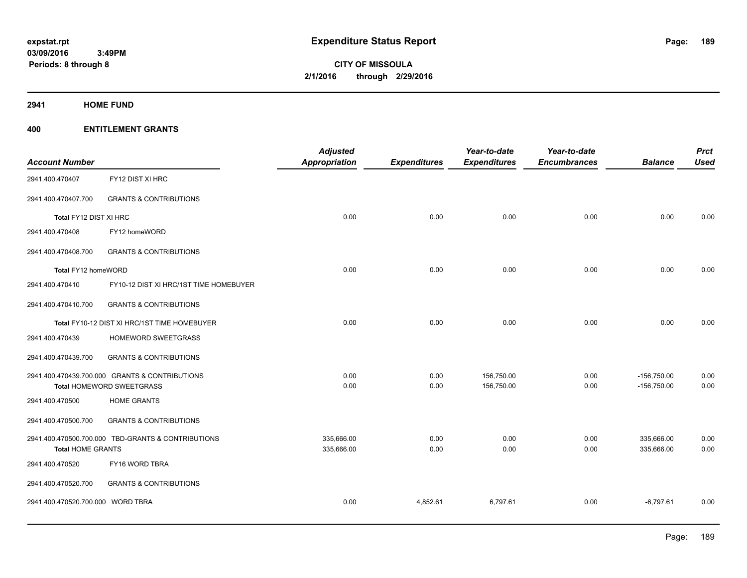**Periods: 8 through 8**

**CITY OF MISSOULA 2/1/2016 through 2/29/2016**

**2941 HOME FUND**

| <b>Account Number</b>             |                                                    | <b>Adjusted</b><br><b>Appropriation</b> | <b>Expenditures</b> | Year-to-date<br><b>Expenditures</b> | Year-to-date<br><b>Encumbrances</b> | <b>Balance</b> | <b>Prct</b><br><b>Used</b> |
|-----------------------------------|----------------------------------------------------|-----------------------------------------|---------------------|-------------------------------------|-------------------------------------|----------------|----------------------------|
| 2941.400.470407                   | FY12 DIST XI HRC                                   |                                         |                     |                                     |                                     |                |                            |
| 2941.400.470407.700               | <b>GRANTS &amp; CONTRIBUTIONS</b>                  |                                         |                     |                                     |                                     |                |                            |
| Total FY12 DIST XI HRC            |                                                    | 0.00                                    | 0.00                | 0.00                                | 0.00                                | 0.00           | 0.00                       |
| 2941.400.470408                   | FY12 homeWORD                                      |                                         |                     |                                     |                                     |                |                            |
| 2941.400.470408.700               | <b>GRANTS &amp; CONTRIBUTIONS</b>                  |                                         |                     |                                     |                                     |                |                            |
| Total FY12 homeWORD               |                                                    | 0.00                                    | 0.00                | 0.00                                | 0.00                                | 0.00           | 0.00                       |
| 2941.400.470410                   | FY10-12 DIST XI HRC/1ST TIME HOMEBUYER             |                                         |                     |                                     |                                     |                |                            |
| 2941.400.470410.700               | <b>GRANTS &amp; CONTRIBUTIONS</b>                  |                                         |                     |                                     |                                     |                |                            |
|                                   | Total FY10-12 DIST XI HRC/1ST TIME HOMEBUYER       | 0.00                                    | 0.00                | 0.00                                | 0.00                                | 0.00           | 0.00                       |
| 2941.400.470439                   | HOMEWORD SWEETGRASS                                |                                         |                     |                                     |                                     |                |                            |
| 2941.400.470439.700               | <b>GRANTS &amp; CONTRIBUTIONS</b>                  |                                         |                     |                                     |                                     |                |                            |
|                                   | 2941.400.470439.700.000 GRANTS & CONTRIBUTIONS     | 0.00                                    | 0.00                | 156,750.00                          | 0.00                                | $-156,750.00$  | 0.00                       |
|                                   | Total HOMEWORD SWEETGRASS                          | 0.00                                    | 0.00                | 156,750.00                          | 0.00                                | $-156,750.00$  | 0.00                       |
| 2941.400.470500                   | <b>HOME GRANTS</b>                                 |                                         |                     |                                     |                                     |                |                            |
| 2941.400.470500.700               | <b>GRANTS &amp; CONTRIBUTIONS</b>                  |                                         |                     |                                     |                                     |                |                            |
|                                   | 2941.400.470500.700.000 TBD-GRANTS & CONTRIBUTIONS | 335,666.00                              | 0.00                | 0.00                                | 0.00                                | 335,666.00     | 0.00                       |
| <b>Total HOME GRANTS</b>          |                                                    | 335,666.00                              | 0.00                | 0.00                                | 0.00                                | 335,666.00     | 0.00                       |
| 2941.400.470520                   | FY16 WORD TBRA                                     |                                         |                     |                                     |                                     |                |                            |
| 2941.400.470520.700               | <b>GRANTS &amp; CONTRIBUTIONS</b>                  |                                         |                     |                                     |                                     |                |                            |
| 2941.400.470520.700.000 WORD TBRA |                                                    | 0.00                                    | 4,852.61            | 6,797.61                            | 0.00                                | $-6,797.61$    | 0.00                       |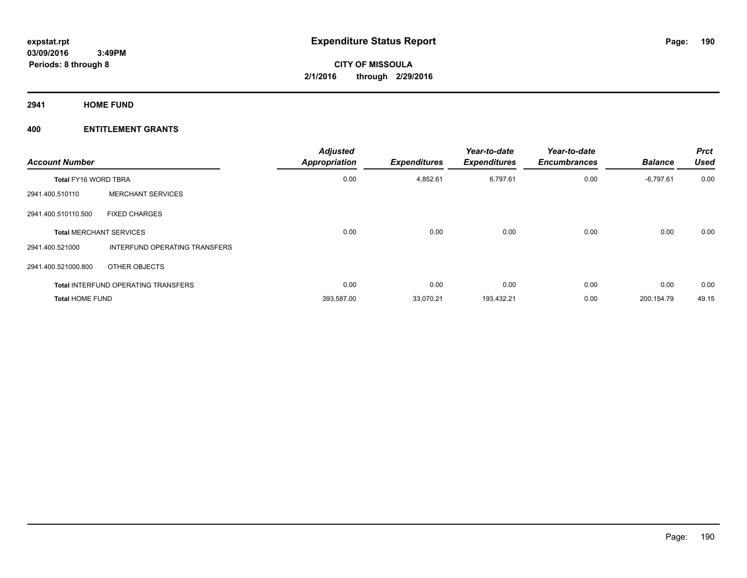**2941 HOME FUND**

| <b>Account Number</b>       |                                            | <b>Adjusted</b><br><b>Appropriation</b> | <b>Expenditures</b> | Year-to-date<br><b>Expenditures</b> | Year-to-date<br><b>Encumbrances</b> | <b>Balance</b> | <b>Prct</b><br><b>Used</b> |
|-----------------------------|--------------------------------------------|-----------------------------------------|---------------------|-------------------------------------|-------------------------------------|----------------|----------------------------|
| <b>Total FY16 WORD TBRA</b> |                                            | 0.00                                    | 4,852.61            | 6,797.61                            | 0.00                                | $-6,797.61$    | 0.00                       |
| 2941.400.510110             | <b>MERCHANT SERVICES</b>                   |                                         |                     |                                     |                                     |                |                            |
| 2941.400.510110.500         | <b>FIXED CHARGES</b>                       |                                         |                     |                                     |                                     |                |                            |
|                             | <b>Total MERCHANT SERVICES</b>             | 0.00                                    | 0.00                | 0.00                                | 0.00                                | 0.00           | 0.00                       |
| 2941.400.521000             | INTERFUND OPERATING TRANSFERS              |                                         |                     |                                     |                                     |                |                            |
| 2941.400.521000.800         | OTHER OBJECTS                              |                                         |                     |                                     |                                     |                |                            |
|                             | <b>Total INTERFUND OPERATING TRANSFERS</b> | 0.00                                    | 0.00                | 0.00                                | 0.00                                | 0.00           | 0.00                       |
| <b>Total HOME FUND</b>      |                                            | 393,587.00                              | 33,070.21           | 193,432.21                          | 0.00                                | 200,154.79     | 49.15                      |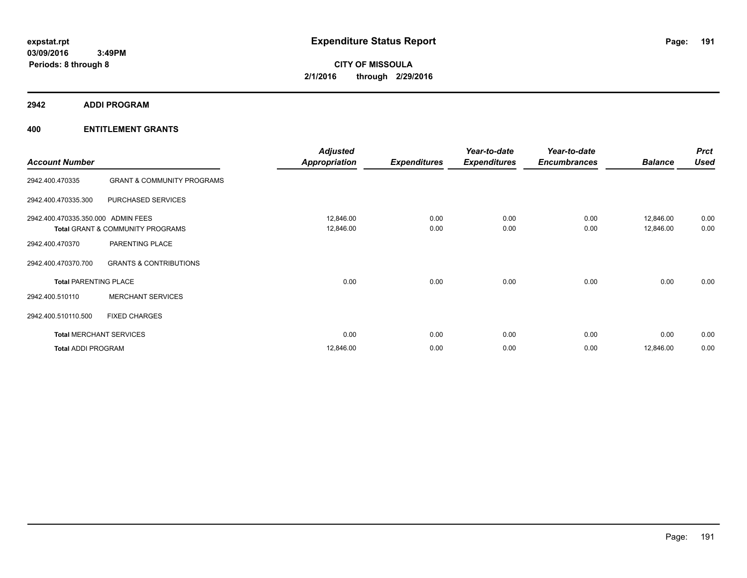**2942 ADDI PROGRAM**

| <b>Account Number</b>              |                                       | <b>Adjusted</b><br><b>Appropriation</b> | <b>Expenditures</b> | Year-to-date<br><b>Expenditures</b> | Year-to-date<br><b>Encumbrances</b> | <b>Balance</b>         | <b>Prct</b><br><b>Used</b> |
|------------------------------------|---------------------------------------|-----------------------------------------|---------------------|-------------------------------------|-------------------------------------|------------------------|----------------------------|
| 2942.400.470335                    | <b>GRANT &amp; COMMUNITY PROGRAMS</b> |                                         |                     |                                     |                                     |                        |                            |
| 2942.400.470335.300                | PURCHASED SERVICES                    |                                         |                     |                                     |                                     |                        |                            |
| 2942.400.470335.350.000 ADMIN FEES | Total GRANT & COMMUNITY PROGRAMS      | 12,846.00<br>12,846.00                  | 0.00<br>0.00        | 0.00<br>0.00                        | 0.00<br>0.00                        | 12,846.00<br>12,846.00 | 0.00<br>0.00               |
| 2942.400.470370                    | PARENTING PLACE                       |                                         |                     |                                     |                                     |                        |                            |
| 2942.400.470370.700                | <b>GRANTS &amp; CONTRIBUTIONS</b>     |                                         |                     |                                     |                                     |                        |                            |
| <b>Total PARENTING PLACE</b>       |                                       | 0.00                                    | 0.00                | 0.00                                | 0.00                                | 0.00                   | 0.00                       |
| 2942.400.510110                    | <b>MERCHANT SERVICES</b>              |                                         |                     |                                     |                                     |                        |                            |
| 2942.400.510110.500                | <b>FIXED CHARGES</b>                  |                                         |                     |                                     |                                     |                        |                            |
|                                    | <b>Total MERCHANT SERVICES</b>        | 0.00                                    | 0.00                | 0.00                                | 0.00                                | 0.00                   | 0.00                       |
| <b>Total ADDI PROGRAM</b>          |                                       | 12,846.00                               | 0.00                | 0.00                                | 0.00                                | 12,846.00              | 0.00                       |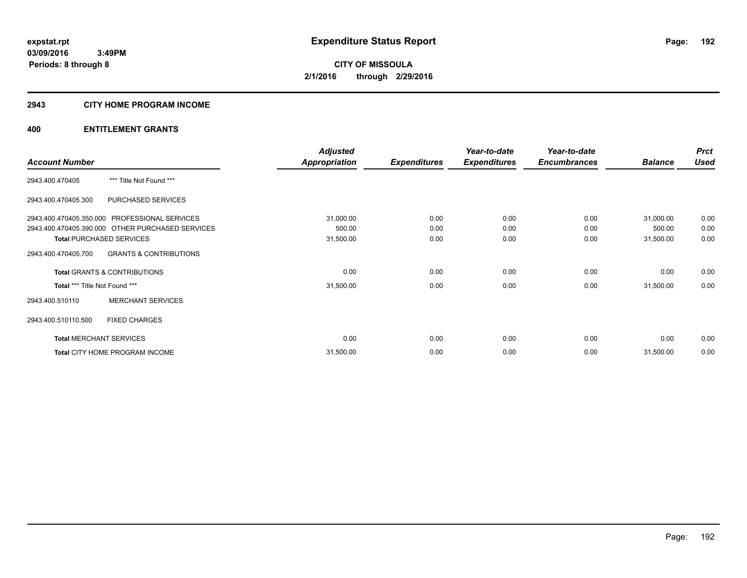#### **2943 CITY HOME PROGRAM INCOME**

|                               |                                                  | <b>Adjusted</b>      |                     | Year-to-date        | Year-to-date        |                | <b>Prct</b> |
|-------------------------------|--------------------------------------------------|----------------------|---------------------|---------------------|---------------------|----------------|-------------|
| <b>Account Number</b>         |                                                  | <b>Appropriation</b> | <b>Expenditures</b> | <b>Expenditures</b> | <b>Encumbrances</b> | <b>Balance</b> | <b>Used</b> |
| 2943.400.470405               | *** Title Not Found ***                          |                      |                     |                     |                     |                |             |
| 2943.400.470405.300           | PURCHASED SERVICES                               |                      |                     |                     |                     |                |             |
|                               | 2943.400.470405.350.000 PROFESSIONAL SERVICES    | 31,000.00            | 0.00                | 0.00                | 0.00                | 31,000.00      | 0.00        |
|                               | 2943.400.470405.390.000 OTHER PURCHASED SERVICES | 500.00               | 0.00                | 0.00                | 0.00                | 500.00         | 0.00        |
|                               | <b>Total PURCHASED SERVICES</b>                  | 31,500.00            | 0.00                | 0.00                | 0.00                | 31,500.00      | 0.00        |
| 2943.400.470405.700           | <b>GRANTS &amp; CONTRIBUTIONS</b>                |                      |                     |                     |                     |                |             |
|                               | <b>Total GRANTS &amp; CONTRIBUTIONS</b>          | 0.00                 | 0.00                | 0.00                | 0.00                | 0.00           | 0.00        |
| Total *** Title Not Found *** |                                                  | 31,500.00            | 0.00                | 0.00                | 0.00                | 31,500.00      | 0.00        |
| 2943.400.510110               | <b>MERCHANT SERVICES</b>                         |                      |                     |                     |                     |                |             |
| 2943.400.510110.500           | <b>FIXED CHARGES</b>                             |                      |                     |                     |                     |                |             |
|                               | <b>Total MERCHANT SERVICES</b>                   | 0.00                 | 0.00                | 0.00                | 0.00                | 0.00           | 0.00        |
|                               | Total CITY HOME PROGRAM INCOME                   | 31,500.00            | 0.00                | 0.00                | 0.00                | 31,500.00      | 0.00        |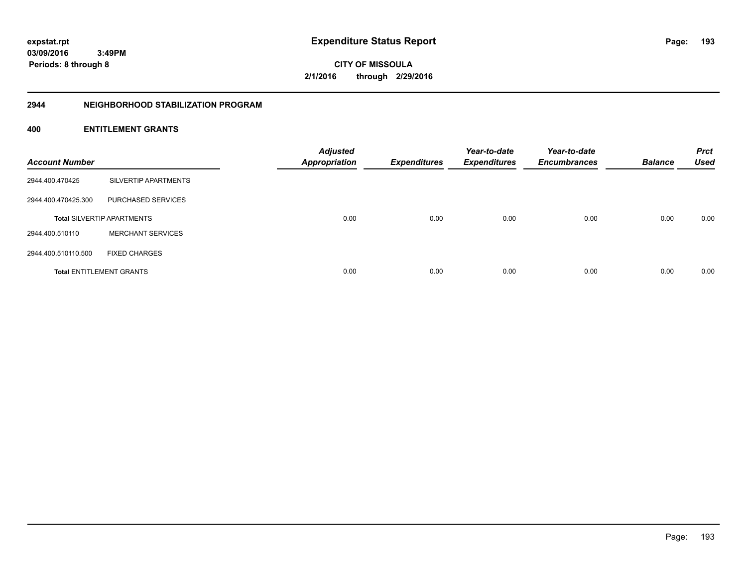**193**

**CITY OF MISSOULA 2/1/2016 through 2/29/2016**

#### **2944 NEIGHBORHOOD STABILIZATION PROGRAM**

| <b>Account Number</b> |                                   | <b>Adjusted</b><br><b>Appropriation</b> | <b>Expenditures</b> | Year-to-date<br><b>Expenditures</b> | Year-to-date<br><b>Encumbrances</b> | <b>Balance</b> | <b>Prct</b><br><b>Used</b> |
|-----------------------|-----------------------------------|-----------------------------------------|---------------------|-------------------------------------|-------------------------------------|----------------|----------------------------|
| 2944.400.470425       | SILVERTIP APARTMENTS              |                                         |                     |                                     |                                     |                |                            |
| 2944.400.470425.300   | PURCHASED SERVICES                |                                         |                     |                                     |                                     |                |                            |
|                       | <b>Total SILVERTIP APARTMENTS</b> | 0.00                                    | 0.00                | 0.00                                | 0.00                                | 0.00           | 0.00                       |
| 2944.400.510110       | <b>MERCHANT SERVICES</b>          |                                         |                     |                                     |                                     |                |                            |
| 2944.400.510110.500   | <b>FIXED CHARGES</b>              |                                         |                     |                                     |                                     |                |                            |
|                       | <b>Total ENTITLEMENT GRANTS</b>   | 0.00                                    | 0.00                | 0.00                                | 0.00                                | 0.00           | 0.00                       |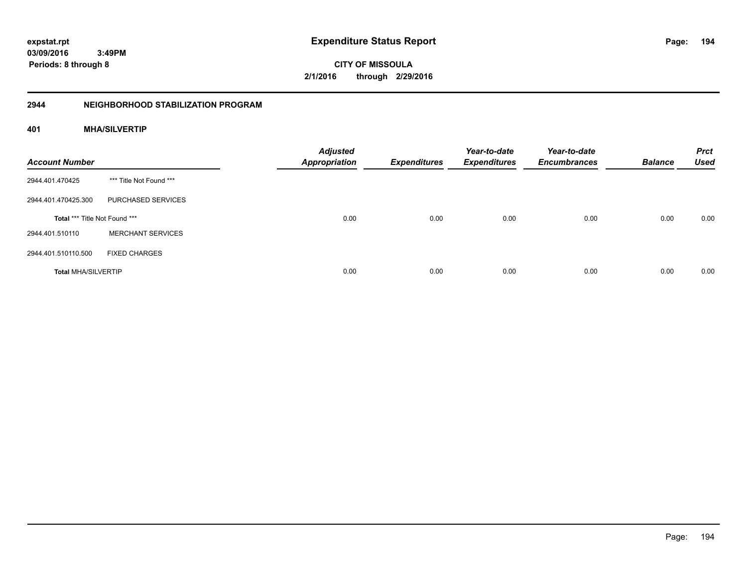**194**

**CITY OF MISSOULA 2/1/2016 through 2/29/2016**

# **2944 NEIGHBORHOOD STABILIZATION PROGRAM**

# **401 MHA/SILVERTIP**

| <b>Account Number</b>         |                          | <b>Adjusted</b><br><b>Appropriation</b> | <b>Expenditures</b> | Year-to-date<br><b>Expenditures</b> | Year-to-date<br><b>Encumbrances</b> | <b>Balance</b> | <b>Prct</b><br><b>Used</b> |
|-------------------------------|--------------------------|-----------------------------------------|---------------------|-------------------------------------|-------------------------------------|----------------|----------------------------|
| 2944.401.470425               | *** Title Not Found ***  |                                         |                     |                                     |                                     |                |                            |
| 2944.401.470425.300           | PURCHASED SERVICES       |                                         |                     |                                     |                                     |                |                            |
| Total *** Title Not Found *** |                          | 0.00                                    | 0.00                | 0.00                                | 0.00                                | 0.00           | 0.00                       |
| 2944.401.510110               | <b>MERCHANT SERVICES</b> |                                         |                     |                                     |                                     |                |                            |
| 2944.401.510110.500           | <b>FIXED CHARGES</b>     |                                         |                     |                                     |                                     |                |                            |
| <b>Total MHA/SILVERTIP</b>    |                          | 0.00                                    | 0.00                | 0.00                                | 0.00                                | 0.00           | 0.00                       |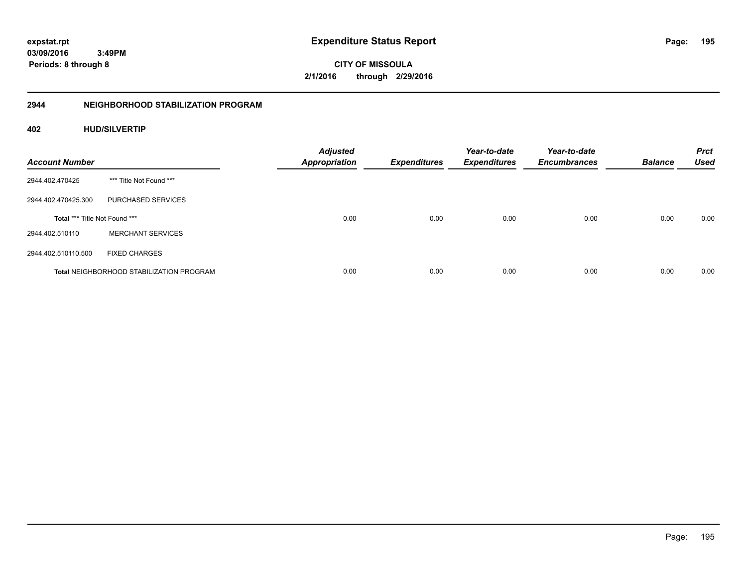**195**

**03/09/2016 3:49PM Periods: 8 through 8**

**CITY OF MISSOULA 2/1/2016 through 2/29/2016**

# **2944 NEIGHBORHOOD STABILIZATION PROGRAM**

# **402 HUD/SILVERTIP**

| <b>Account Number</b>         |                                                 | <b>Adjusted</b><br><b>Appropriation</b> | <b>Expenditures</b> | Year-to-date<br><b>Expenditures</b> | Year-to-date<br><b>Encumbrances</b> | <b>Balance</b> | <b>Prct</b><br><b>Used</b> |
|-------------------------------|-------------------------------------------------|-----------------------------------------|---------------------|-------------------------------------|-------------------------------------|----------------|----------------------------|
| 2944.402.470425               | *** Title Not Found ***                         |                                         |                     |                                     |                                     |                |                            |
| 2944.402.470425.300           | PURCHASED SERVICES                              |                                         |                     |                                     |                                     |                |                            |
| Total *** Title Not Found *** |                                                 | 0.00                                    | 0.00                | 0.00                                | 0.00                                | 0.00           | 0.00                       |
| 2944.402.510110               | <b>MERCHANT SERVICES</b>                        |                                         |                     |                                     |                                     |                |                            |
| 2944.402.510110.500           | <b>FIXED CHARGES</b>                            |                                         |                     |                                     |                                     |                |                            |
|                               | <b>Total NEIGHBORHOOD STABILIZATION PROGRAM</b> | 0.00                                    | 0.00                | 0.00                                | 0.00                                | 0.00           | 0.00                       |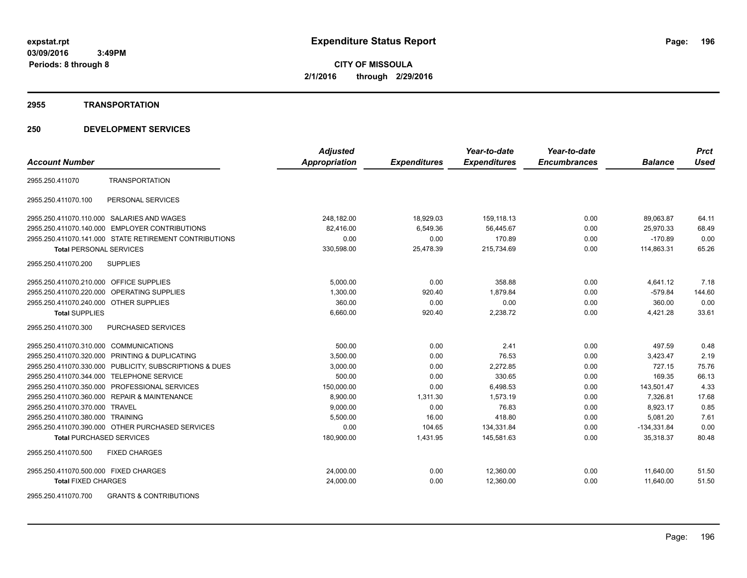#### **2955 TRANSPORTATION**

# **250 DEVELOPMENT SERVICES**

|                                                          | <b>Adjusted</b> |                     | Year-to-date        | Year-to-date        |                | <b>Prct</b> |
|----------------------------------------------------------|-----------------|---------------------|---------------------|---------------------|----------------|-------------|
| <b>Account Number</b>                                    | Appropriation   | <b>Expenditures</b> | <b>Expenditures</b> | <b>Encumbrances</b> | <b>Balance</b> | <b>Used</b> |
| <b>TRANSPORTATION</b><br>2955.250.411070                 |                 |                     |                     |                     |                |             |
| PERSONAL SERVICES<br>2955.250.411070.100                 |                 |                     |                     |                     |                |             |
| 2955.250.411070.110.000 SALARIES AND WAGES               | 248,182.00      | 18,929.03           | 159,118.13          | 0.00                | 89,063.87      | 64.11       |
| 2955.250.411070.140.000 EMPLOYER CONTRIBUTIONS           | 82,416.00       | 6,549.36            | 56,445.67           | 0.00                | 25,970.33      | 68.49       |
| 2955.250.411070.141.000 STATE RETIREMENT CONTRIBUTIONS   | 0.00            | 0.00                | 170.89              | 0.00                | $-170.89$      | 0.00        |
| <b>Total PERSONAL SERVICES</b>                           | 330,598.00      | 25,478.39           | 215,734.69          | 0.00                | 114,863.31     | 65.26       |
| 2955.250.411070.200<br><b>SUPPLIES</b>                   |                 |                     |                     |                     |                |             |
| 2955.250.411070.210.000 OFFICE SUPPLIES                  | 5.000.00        | 0.00                | 358.88              | 0.00                | 4,641.12       | 7.18        |
| 2955.250.411070.220.000 OPERATING SUPPLIES               | 1,300.00        | 920.40              | 1,879.84            | 0.00                | $-579.84$      | 144.60      |
| 2955.250.411070.240.000 OTHER SUPPLIES                   | 360.00          | 0.00                | 0.00                | 0.00                | 360.00         | 0.00        |
| <b>Total SUPPLIES</b>                                    | 6,660.00        | 920.40              | 2,238.72            | 0.00                | 4,421.28       | 33.61       |
| 2955.250.411070.300<br><b>PURCHASED SERVICES</b>         |                 |                     |                     |                     |                |             |
| 2955.250.411070.310.000 COMMUNICATIONS                   | 500.00          | 0.00                | 2.41                | 0.00                | 497.59         | 0.48        |
| 2955.250.411070.320.000 PRINTING & DUPLICATING           | 3,500.00        | 0.00                | 76.53               | 0.00                | 3,423.47       | 2.19        |
| 2955.250.411070.330.000 PUBLICITY, SUBSCRIPTIONS & DUES  | 3,000.00        | 0.00                | 2,272.85            | 0.00                | 727.15         | 75.76       |
| 2955.250.411070.344.000 TELEPHONE SERVICE                | 500.00          | 0.00                | 330.65              | 0.00                | 169.35         | 66.13       |
| 2955.250.411070.350.000 PROFESSIONAL SERVICES            | 150,000.00      | 0.00                | 6,498.53            | 0.00                | 143,501.47     | 4.33        |
| 2955.250.411070.360.000 REPAIR & MAINTENANCE             | 8,900.00        | 1,311.30            | 1,573.19            | 0.00                | 7,326.81       | 17.68       |
| 2955.250.411070.370.000 TRAVEL                           | 9,000.00        | 0.00                | 76.83               | 0.00                | 8,923.17       | 0.85        |
| 2955.250.411070.380.000 TRAINING                         | 5,500.00        | 16.00               | 418.80              | 0.00                | 5,081.20       | 7.61        |
| 2955.250.411070.390.000 OTHER PURCHASED SERVICES         | 0.00            | 104.65              | 134,331.84          | 0.00                | $-134,331.84$  | 0.00        |
| <b>Total PURCHASED SERVICES</b>                          | 180,900.00      | 1,431.95            | 145,581.63          | 0.00                | 35,318.37      | 80.48       |
| <b>FIXED CHARGES</b><br>2955.250.411070.500              |                 |                     |                     |                     |                |             |
| 2955.250.411070.500.000 FIXED CHARGES                    | 24,000.00       | 0.00                | 12,360.00           | 0.00                | 11,640.00      | 51.50       |
| <b>Total FIXED CHARGES</b>                               | 24,000.00       | 0.00                | 12,360.00           | 0.00                | 11,640.00      | 51.50       |
| 2955.250.411070.700<br><b>GRANTS &amp; CONTRIBUTIONS</b> |                 |                     |                     |                     |                |             |

Page: 196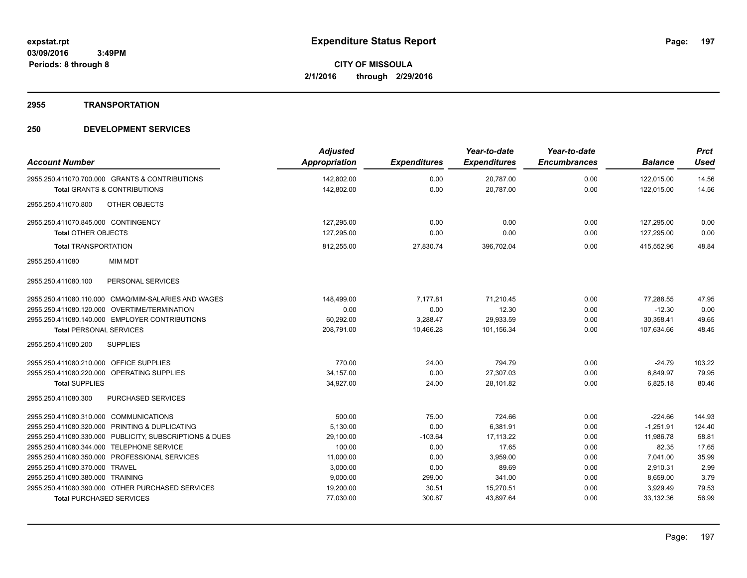# **2955 TRANSPORTATION**

| <b>Account Number</b>                                   | <b>Adjusted</b><br>Appropriation | <b>Expenditures</b> | Year-to-date<br><b>Expenditures</b> | Year-to-date<br><b>Encumbrances</b> | <b>Balance</b> | <b>Prct</b><br><b>Used</b> |
|---------------------------------------------------------|----------------------------------|---------------------|-------------------------------------|-------------------------------------|----------------|----------------------------|
| 2955.250.411070.700.000 GRANTS & CONTRIBUTIONS          | 142,802.00                       | 0.00                | 20,787.00                           | 0.00                                | 122,015.00     | 14.56                      |
| <b>Total GRANTS &amp; CONTRIBUTIONS</b>                 | 142,802.00                       | 0.00                | 20,787.00                           | 0.00                                | 122,015.00     | 14.56                      |
| OTHER OBJECTS<br>2955.250.411070.800                    |                                  |                     |                                     |                                     |                |                            |
|                                                         |                                  |                     |                                     |                                     |                |                            |
| 2955.250.411070.845.000 CONTINGENCY                     | 127,295.00                       | 0.00                | 0.00                                | 0.00                                | 127,295.00     | 0.00                       |
| Total OTHER OBJECTS                                     | 127,295.00                       | 0.00                | 0.00                                | 0.00                                | 127,295.00     | 0.00                       |
| <b>Total TRANSPORTATION</b>                             | 812,255.00                       | 27,830.74           | 396,702.04                          | 0.00                                | 415,552.96     | 48.84                      |
| <b>MIM MDT</b><br>2955.250.411080                       |                                  |                     |                                     |                                     |                |                            |
| 2955.250.411080.100<br>PERSONAL SERVICES                |                                  |                     |                                     |                                     |                |                            |
| 2955.250.411080.110.000 CMAQ/MIM-SALARIES AND WAGES     | 148,499.00                       | 7,177.81            | 71.210.45                           | 0.00                                | 77.288.55      | 47.95                      |
| 2955.250.411080.120.000 OVERTIME/TERMINATION            | 0.00                             | 0.00                | 12.30                               | 0.00                                | $-12.30$       | 0.00                       |
| 2955.250.411080.140.000 EMPLOYER CONTRIBUTIONS          | 60,292.00                        | 3,288.47            | 29,933.59                           | 0.00                                | 30,358.41      | 49.65                      |
| <b>Total PERSONAL SERVICES</b>                          | 208,791.00                       | 10,466.28           | 101,156.34                          | 0.00                                | 107,634.66     | 48.45                      |
| 2955.250.411080.200<br><b>SUPPLIES</b>                  |                                  |                     |                                     |                                     |                |                            |
| 2955.250.411080.210.000 OFFICE SUPPLIES                 | 770.00                           | 24.00               | 794.79                              | 0.00                                | $-24.79$       | 103.22                     |
| 2955.250.411080.220.000 OPERATING SUPPLIES              | 34,157.00                        | 0.00                | 27,307.03                           | 0.00                                | 6,849.97       | 79.95                      |
| <b>Total SUPPLIES</b>                                   | 34,927.00                        | 24.00               | 28,101.82                           | 0.00                                | 6,825.18       | 80.46                      |
| 2955.250.411080.300<br><b>PURCHASED SERVICES</b>        |                                  |                     |                                     |                                     |                |                            |
| 2955.250.411080.310.000 COMMUNICATIONS                  | 500.00                           | 75.00               | 724.66                              | 0.00                                | $-224.66$      | 144.93                     |
| 2955.250.411080.320.000 PRINTING & DUPLICATING          | 5.130.00                         | 0.00                | 6.381.91                            | 0.00                                | $-1.251.91$    | 124.40                     |
| 2955.250.411080.330.000 PUBLICITY, SUBSCRIPTIONS & DUES | 29,100.00                        | $-103.64$           | 17, 113.22                          | 0.00                                | 11,986.78      | 58.81                      |
| 2955.250.411080.344.000 TELEPHONE SERVICE               | 100.00                           | 0.00                | 17.65                               | 0.00                                | 82.35          | 17.65                      |
| 2955.250.411080.350.000 PROFESSIONAL SERVICES           | 11,000.00                        | 0.00                | 3,959.00                            | 0.00                                | 7,041.00       | 35.99                      |
| 2955.250.411080.370.000 TRAVEL                          | 3,000.00                         | 0.00                | 89.69                               | 0.00                                | 2,910.31       | 2.99                       |
| 2955.250.411080.380.000 TRAINING                        | 9,000.00                         | 299.00              | 341.00                              | 0.00                                | 8,659.00       | 3.79                       |
| 2955.250.411080.390.000 OTHER PURCHASED SERVICES        | 19,200.00                        | 30.51               | 15,270.51                           | 0.00                                | 3,929.49       | 79.53                      |
| <b>Total PURCHASED SERVICES</b>                         | 77,030.00                        | 300.87              | 43,897.64                           | 0.00                                | 33,132.36      | 56.99                      |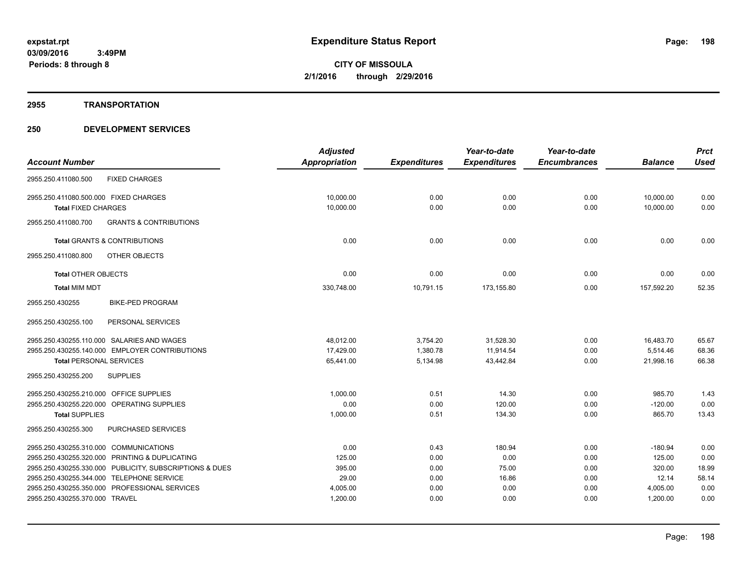**2955 TRANSPORTATION**

|                                                          | <b>Adjusted</b>      |                     | Year-to-date        | Year-to-date        |                | <b>Prct</b> |
|----------------------------------------------------------|----------------------|---------------------|---------------------|---------------------|----------------|-------------|
| <b>Account Number</b>                                    | <b>Appropriation</b> | <b>Expenditures</b> | <b>Expenditures</b> | <b>Encumbrances</b> | <b>Balance</b> | <b>Used</b> |
| 2955.250.411080.500<br><b>FIXED CHARGES</b>              |                      |                     |                     |                     |                |             |
| 2955.250.411080.500.000 FIXED CHARGES                    | 10,000.00            | 0.00                | 0.00                | 0.00                | 10,000.00      | 0.00        |
| <b>Total FIXED CHARGES</b>                               | 10,000.00            | 0.00                | 0.00                | 0.00                | 10,000.00      | 0.00        |
| 2955.250.411080.700<br><b>GRANTS &amp; CONTRIBUTIONS</b> |                      |                     |                     |                     |                |             |
| <b>Total GRANTS &amp; CONTRIBUTIONS</b>                  | 0.00                 | 0.00                | 0.00                | 0.00                | 0.00           | 0.00        |
| OTHER OBJECTS<br>2955.250.411080.800                     |                      |                     |                     |                     |                |             |
| <b>Total OTHER OBJECTS</b>                               | 0.00                 | 0.00                | 0.00                | 0.00                | 0.00           | 0.00        |
| <b>Total MIM MDT</b>                                     | 330,748.00           | 10,791.15           | 173,155.80          | 0.00                | 157,592.20     | 52.35       |
| 2955.250.430255<br><b>BIKE-PED PROGRAM</b>               |                      |                     |                     |                     |                |             |
| PERSONAL SERVICES<br>2955.250.430255.100                 |                      |                     |                     |                     |                |             |
| 2955.250.430255.110.000 SALARIES AND WAGES               | 48.012.00            | 3,754.20            | 31,528.30           | 0.00                | 16,483.70      | 65.67       |
| 2955.250.430255.140.000 EMPLOYER CONTRIBUTIONS           | 17,429.00            | 1,380.78            | 11,914.54           | 0.00                | 5,514.46       | 68.36       |
| <b>Total PERSONAL SERVICES</b>                           | 65,441.00            | 5,134.98            | 43.442.84           | 0.00                | 21,998.16      | 66.38       |
| 2955.250.430255.200<br><b>SUPPLIES</b>                   |                      |                     |                     |                     |                |             |
| 2955.250.430255.210.000 OFFICE SUPPLIES                  | 1,000.00             | 0.51                | 14.30               | 0.00                | 985.70         | 1.43        |
| 2955.250.430255.220.000 OPERATING SUPPLIES               | 0.00                 | 0.00                | 120.00              | 0.00                | $-120.00$      | 0.00        |
| <b>Total SUPPLIES</b>                                    | 1,000.00             | 0.51                | 134.30              | 0.00                | 865.70         | 13.43       |
| 2955.250.430255.300<br>PURCHASED SERVICES                |                      |                     |                     |                     |                |             |
| 2955.250.430255.310.000 COMMUNICATIONS                   | 0.00                 | 0.43                | 180.94              | 0.00                | $-180.94$      | 0.00        |
| 2955.250.430255.320.000 PRINTING & DUPLICATING           | 125.00               | 0.00                | 0.00                | 0.00                | 125.00         | 0.00        |
| 2955.250.430255.330.000 PUBLICITY, SUBSCRIPTIONS & DUES  | 395.00               | 0.00                | 75.00               | 0.00                | 320.00         | 18.99       |
| 2955.250.430255.344.000 TELEPHONE SERVICE                | 29.00                | 0.00                | 16.86               | 0.00                | 12.14          | 58.14       |
| 2955.250.430255.350.000 PROFESSIONAL SERVICES            | 4,005.00             | 0.00                | 0.00                | 0.00                | 4,005.00       | 0.00        |
| 2955.250.430255.370.000 TRAVEL                           | 1,200.00             | 0.00                | 0.00                | 0.00                | 1,200.00       | 0.00        |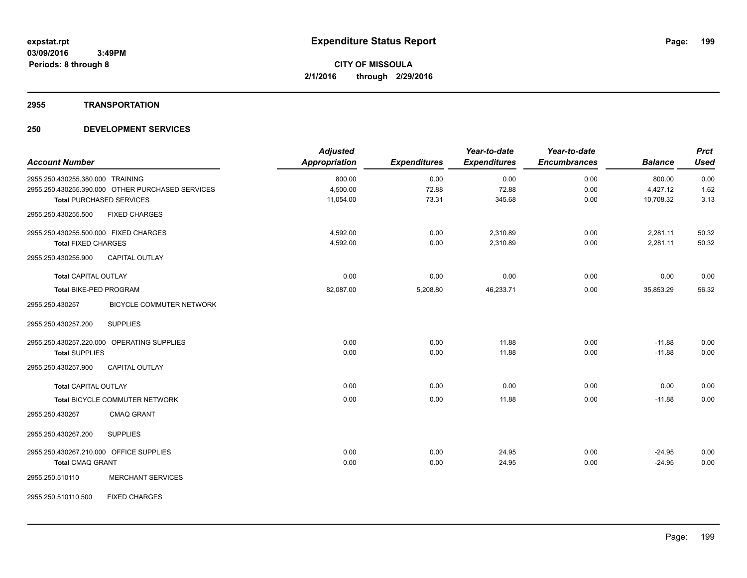#### **2955 TRANSPORTATION**

| <b>Account Number</b>                   |                                                  | <b>Adjusted</b><br><b>Appropriation</b> | <b>Expenditures</b> | Year-to-date<br><b>Expenditures</b> | Year-to-date<br><b>Encumbrances</b> | <b>Balance</b> | <b>Prct</b><br><b>Used</b> |
|-----------------------------------------|--------------------------------------------------|-----------------------------------------|---------------------|-------------------------------------|-------------------------------------|----------------|----------------------------|
| 2955.250.430255.380.000 TRAINING        |                                                  | 800.00                                  | 0.00                | 0.00                                | 0.00                                | 800.00         | 0.00                       |
|                                         | 2955.250.430255.390.000 OTHER PURCHASED SERVICES | 4,500.00                                | 72.88               | 72.88                               | 0.00                                | 4,427.12       | 1.62                       |
|                                         | <b>Total PURCHASED SERVICES</b>                  | 11,054.00                               | 73.31               | 345.68                              | 0.00                                | 10,708.32      | 3.13                       |
| 2955.250.430255.500                     | <b>FIXED CHARGES</b>                             |                                         |                     |                                     |                                     |                |                            |
| 2955.250.430255.500.000 FIXED CHARGES   |                                                  | 4,592.00                                | 0.00                | 2,310.89                            | 0.00                                | 2,281.11       | 50.32                      |
| <b>Total FIXED CHARGES</b>              |                                                  | 4,592.00                                | 0.00                | 2,310.89                            | 0.00                                | 2,281.11       | 50.32                      |
| 2955.250.430255.900                     | <b>CAPITAL OUTLAY</b>                            |                                         |                     |                                     |                                     |                |                            |
| <b>Total CAPITAL OUTLAY</b>             |                                                  | 0.00                                    | 0.00                | 0.00                                | 0.00                                | 0.00           | 0.00                       |
| <b>Total BIKE-PED PROGRAM</b>           |                                                  | 82,087.00                               | 5,208.80            | 46,233.71                           | 0.00                                | 35,853.29      | 56.32                      |
| 2955.250.430257                         | <b>BICYCLE COMMUTER NETWORK</b>                  |                                         |                     |                                     |                                     |                |                            |
| 2955.250.430257.200                     | <b>SUPPLIES</b>                                  |                                         |                     |                                     |                                     |                |                            |
|                                         | 2955.250.430257.220.000 OPERATING SUPPLIES       | 0.00                                    | 0.00                | 11.88                               | 0.00                                | $-11.88$       | 0.00                       |
| <b>Total SUPPLIES</b>                   |                                                  | 0.00                                    | 0.00                | 11.88                               | 0.00                                | $-11.88$       | 0.00                       |
| 2955.250.430257.900                     | <b>CAPITAL OUTLAY</b>                            |                                         |                     |                                     |                                     |                |                            |
| <b>Total CAPITAL OUTLAY</b>             |                                                  | 0.00                                    | 0.00                | 0.00                                | 0.00                                | 0.00           | 0.00                       |
|                                         | Total BICYCLE COMMUTER NETWORK                   | 0.00                                    | 0.00                | 11.88                               | 0.00                                | $-11.88$       | 0.00                       |
| 2955.250.430267                         | <b>CMAQ GRANT</b>                                |                                         |                     |                                     |                                     |                |                            |
| 2955.250.430267.200                     | <b>SUPPLIES</b>                                  |                                         |                     |                                     |                                     |                |                            |
| 2955.250.430267.210.000 OFFICE SUPPLIES |                                                  | 0.00                                    | 0.00                | 24.95                               | 0.00                                | $-24.95$       | 0.00                       |
| <b>Total CMAQ GRANT</b>                 |                                                  | 0.00                                    | 0.00                | 24.95                               | 0.00                                | $-24.95$       | 0.00                       |
| 2955.250.510110                         | <b>MERCHANT SERVICES</b>                         |                                         |                     |                                     |                                     |                |                            |
| 2955.250.510110.500                     | <b>FIXED CHARGES</b>                             |                                         |                     |                                     |                                     |                |                            |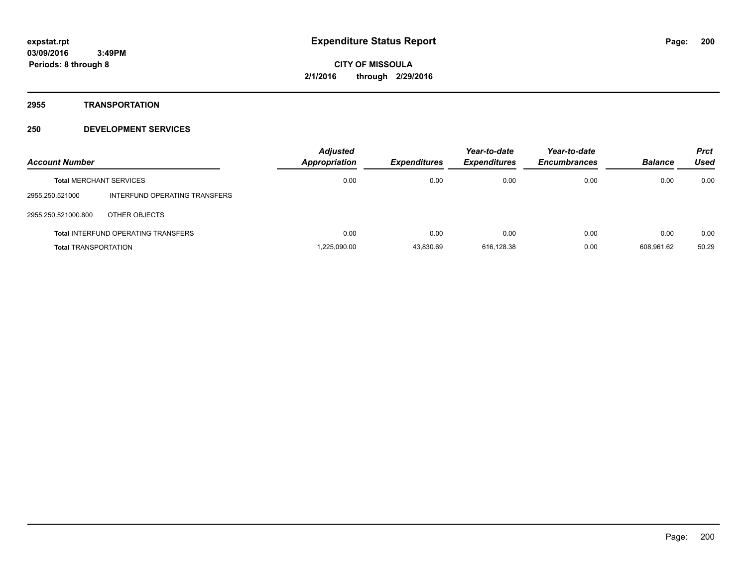**2955 TRANSPORTATION**

| <b>Account Number</b>       |                                            | <b>Adjusted</b><br>Appropriation | <b>Expenditures</b> | Year-to-date<br><b>Expenditures</b> | Year-to-date<br><b>Encumbrances</b> | <b>Balance</b> | <b>Prct</b><br>Used |
|-----------------------------|--------------------------------------------|----------------------------------|---------------------|-------------------------------------|-------------------------------------|----------------|---------------------|
|                             | <b>Total MERCHANT SERVICES</b>             | 0.00                             | 0.00                | 0.00                                | 0.00                                | 0.00           | 0.00                |
| 2955.250.521000             | INTERFUND OPERATING TRANSFERS              |                                  |                     |                                     |                                     |                |                     |
| 2955.250.521000.800         | OTHER OBJECTS                              |                                  |                     |                                     |                                     |                |                     |
|                             | <b>Total INTERFUND OPERATING TRANSFERS</b> | 0.00                             | 0.00                | 0.00                                | 0.00                                | 0.00           | 0.00                |
| <b>Total TRANSPORTATION</b> |                                            | 1.225.090.00                     | 43.830.69           | 616.128.38                          | 0.00                                | 608.961.62     | 50.29               |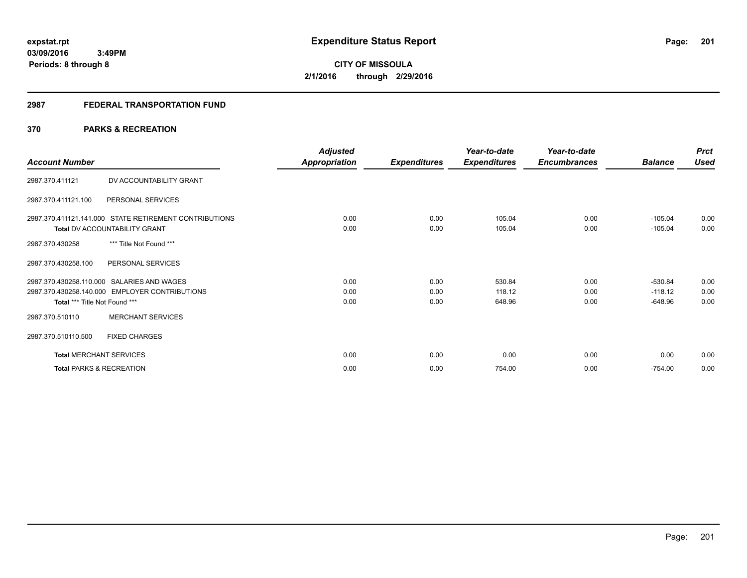#### **2987 FEDERAL TRANSPORTATION FUND**

# **370 PARKS & RECREATION**

|                                     |                                                        | <b>Adjusted</b> |                     | Year-to-date        | Year-to-date        |                | <b>Prct</b> |
|-------------------------------------|--------------------------------------------------------|-----------------|---------------------|---------------------|---------------------|----------------|-------------|
| <b>Account Number</b>               |                                                        | Appropriation   | <b>Expenditures</b> | <b>Expenditures</b> | <b>Encumbrances</b> | <b>Balance</b> | <b>Used</b> |
| 2987.370.411121                     | DV ACCOUNTABILITY GRANT                                |                 |                     |                     |                     |                |             |
| 2987.370.411121.100                 | PERSONAL SERVICES                                      |                 |                     |                     |                     |                |             |
|                                     | 2987.370.411121.141.000 STATE RETIREMENT CONTRIBUTIONS | 0.00            | 0.00                | 105.04              | 0.00                | $-105.04$      | 0.00        |
|                                     | Total DV ACCOUNTABILITY GRANT                          | 0.00            | 0.00                | 105.04              | 0.00                | $-105.04$      | 0.00        |
| 2987.370.430258                     | *** Title Not Found ***                                |                 |                     |                     |                     |                |             |
| 2987.370.430258.100                 | PERSONAL SERVICES                                      |                 |                     |                     |                     |                |             |
|                                     | 2987.370.430258.110.000 SALARIES AND WAGES             | 0.00            | 0.00                | 530.84              | 0.00                | $-530.84$      | 0.00        |
|                                     | 2987.370.430258.140.000 EMPLOYER CONTRIBUTIONS         | 0.00            | 0.00                | 118.12              | 0.00                | $-118.12$      | 0.00        |
| Total *** Title Not Found ***       |                                                        | 0.00            | 0.00                | 648.96              | 0.00                | $-648.96$      | 0.00        |
| 2987.370.510110                     | <b>MERCHANT SERVICES</b>                               |                 |                     |                     |                     |                |             |
| 2987.370.510110.500                 | <b>FIXED CHARGES</b>                                   |                 |                     |                     |                     |                |             |
| <b>Total MERCHANT SERVICES</b>      |                                                        | 0.00            | 0.00                | 0.00                | 0.00                | 0.00           | 0.00        |
| <b>Total PARKS &amp; RECREATION</b> |                                                        | 0.00            | 0.00                | 754.00              | 0.00                | $-754.00$      | 0.00        |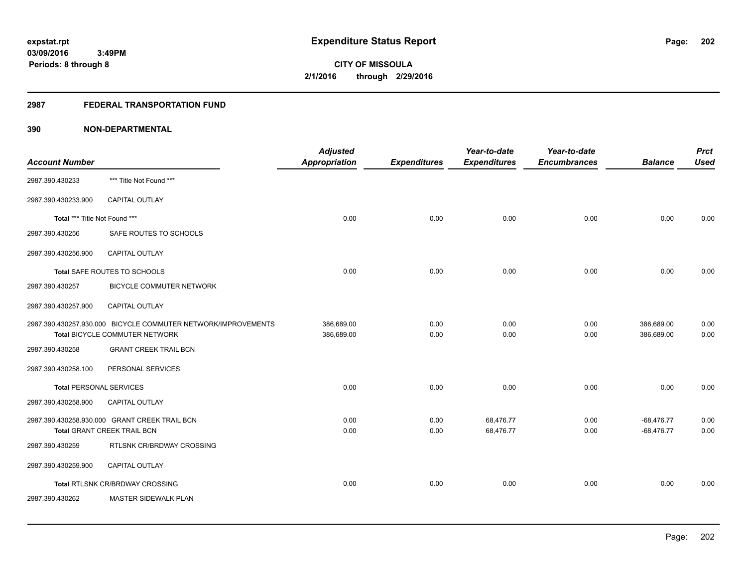# **2987 FEDERAL TRANSPORTATION FUND**

| <b>Account Number</b>          |                                                                                                 | <b>Adjusted</b><br><b>Appropriation</b> | <b>Expenditures</b> | Year-to-date<br><b>Expenditures</b> | Year-to-date<br><b>Encumbrances</b> | <b>Balance</b>               | <b>Prct</b><br><b>Used</b> |
|--------------------------------|-------------------------------------------------------------------------------------------------|-----------------------------------------|---------------------|-------------------------------------|-------------------------------------|------------------------------|----------------------------|
| 2987.390.430233                | *** Title Not Found ***                                                                         |                                         |                     |                                     |                                     |                              |                            |
| 2987.390.430233.900            | CAPITAL OUTLAY                                                                                  |                                         |                     |                                     |                                     |                              |                            |
| Total *** Title Not Found ***  |                                                                                                 | 0.00                                    | 0.00                | 0.00                                | 0.00                                | 0.00                         | 0.00                       |
| 2987.390.430256                | SAFE ROUTES TO SCHOOLS                                                                          |                                         |                     |                                     |                                     |                              |                            |
| 2987.390.430256.900            | <b>CAPITAL OUTLAY</b>                                                                           |                                         |                     |                                     |                                     |                              |                            |
|                                | Total SAFE ROUTES TO SCHOOLS                                                                    | 0.00                                    | 0.00                | 0.00                                | 0.00                                | 0.00                         | 0.00                       |
| 2987.390.430257                | <b>BICYCLE COMMUTER NETWORK</b>                                                                 |                                         |                     |                                     |                                     |                              |                            |
| 2987.390.430257.900            | CAPITAL OUTLAY                                                                                  |                                         |                     |                                     |                                     |                              |                            |
|                                | 2987.390.430257.930.000 BICYCLE COMMUTER NETWORK/IMPROVEMENTS<br>Total BICYCLE COMMUTER NETWORK | 386,689.00<br>386,689.00                | 0.00<br>0.00        | 0.00<br>0.00                        | 0.00<br>0.00                        | 386,689.00<br>386,689.00     | 0.00<br>0.00               |
| 2987.390.430258                | <b>GRANT CREEK TRAIL BCN</b>                                                                    |                                         |                     |                                     |                                     |                              |                            |
| 2987.390.430258.100            | PERSONAL SERVICES                                                                               |                                         |                     |                                     |                                     |                              |                            |
| <b>Total PERSONAL SERVICES</b> |                                                                                                 | 0.00                                    | 0.00                | 0.00                                | 0.00                                | 0.00                         | 0.00                       |
| 2987.390.430258.900            | CAPITAL OUTLAY                                                                                  |                                         |                     |                                     |                                     |                              |                            |
|                                | 2987.390.430258.930.000 GRANT CREEK TRAIL BCN<br><b>Total GRANT CREEK TRAIL BCN</b>             | 0.00<br>0.00                            | 0.00<br>0.00        | 68,476.77<br>68,476.77              | 0.00<br>0.00                        | $-68,476.77$<br>$-68,476.77$ | 0.00<br>0.00               |
| 2987.390.430259                | RTLSNK CR/BRDWAY CROSSING                                                                       |                                         |                     |                                     |                                     |                              |                            |
| 2987.390.430259.900            | <b>CAPITAL OUTLAY</b>                                                                           |                                         |                     |                                     |                                     |                              |                            |
|                                | Total RTLSNK CR/BRDWAY CROSSING                                                                 | 0.00                                    | 0.00                | 0.00                                | 0.00                                | 0.00                         | 0.00                       |
| 2987.390.430262                | MASTER SIDEWALK PLAN                                                                            |                                         |                     |                                     |                                     |                              |                            |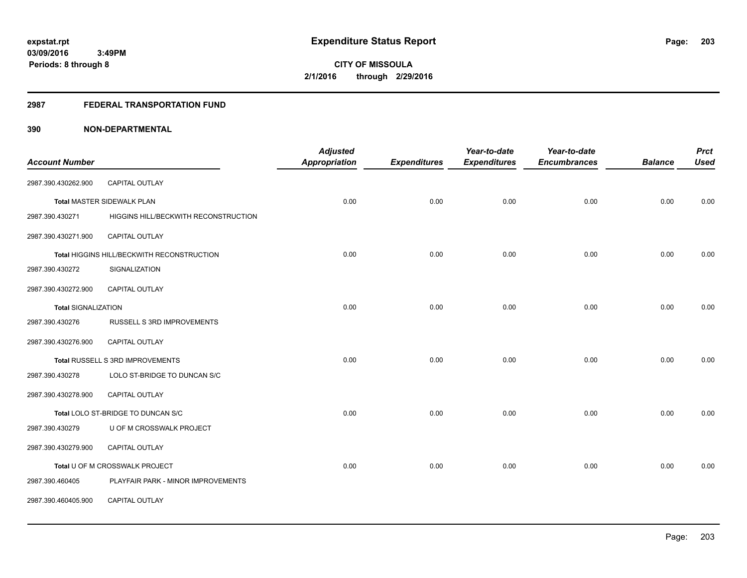#### **2987 FEDERAL TRANSPORTATION FUND**

| <b>Account Number</b>      |                                            | <b>Adjusted</b><br><b>Appropriation</b> | <b>Expenditures</b> | Year-to-date<br><b>Expenditures</b> | Year-to-date<br><b>Encumbrances</b> | <b>Balance</b> | <b>Prct</b><br><b>Used</b> |
|----------------------------|--------------------------------------------|-----------------------------------------|---------------------|-------------------------------------|-------------------------------------|----------------|----------------------------|
|                            |                                            |                                         |                     |                                     |                                     |                |                            |
| 2987.390.430262.900        | CAPITAL OUTLAY                             |                                         |                     |                                     |                                     |                |                            |
|                            | <b>Total MASTER SIDEWALK PLAN</b>          | 0.00                                    | 0.00                | 0.00                                | 0.00                                | 0.00           | 0.00                       |
| 2987.390.430271            | HIGGINS HILL/BECKWITH RECONSTRUCTION       |                                         |                     |                                     |                                     |                |                            |
| 2987.390.430271.900        | <b>CAPITAL OUTLAY</b>                      |                                         |                     |                                     |                                     |                |                            |
|                            | Total HIGGINS HILL/BECKWITH RECONSTRUCTION | 0.00                                    | 0.00                | 0.00                                | 0.00                                | 0.00           | 0.00                       |
| 2987.390.430272            | SIGNALIZATION                              |                                         |                     |                                     |                                     |                |                            |
| 2987.390.430272.900        | <b>CAPITAL OUTLAY</b>                      |                                         |                     |                                     |                                     |                |                            |
| <b>Total SIGNALIZATION</b> |                                            | 0.00                                    | 0.00                | 0.00                                | 0.00                                | 0.00           | 0.00                       |
| 2987.390.430276            | RUSSELL S 3RD IMPROVEMENTS                 |                                         |                     |                                     |                                     |                |                            |
| 2987.390.430276.900        | <b>CAPITAL OUTLAY</b>                      |                                         |                     |                                     |                                     |                |                            |
|                            | Total RUSSELL S 3RD IMPROVEMENTS           | 0.00                                    | 0.00                | 0.00                                | 0.00                                | 0.00           | 0.00                       |
| 2987.390.430278            | LOLO ST-BRIDGE TO DUNCAN S/C               |                                         |                     |                                     |                                     |                |                            |
| 2987.390.430278.900        | CAPITAL OUTLAY                             |                                         |                     |                                     |                                     |                |                            |
|                            | Total LOLO ST-BRIDGE TO DUNCAN S/C         | 0.00                                    | 0.00                | 0.00                                | 0.00                                | 0.00           | 0.00                       |
| 2987.390.430279            | U OF M CROSSWALK PROJECT                   |                                         |                     |                                     |                                     |                |                            |
| 2987.390.430279.900        | CAPITAL OUTLAY                             |                                         |                     |                                     |                                     |                |                            |
|                            | Total U OF M CROSSWALK PROJECT             | 0.00                                    | 0.00                | 0.00                                | 0.00                                | 0.00           | 0.00                       |
| 2987.390.460405            | PLAYFAIR PARK - MINOR IMPROVEMENTS         |                                         |                     |                                     |                                     |                |                            |
| 2987.390.460405.900        | CAPITAL OUTLAY                             |                                         |                     |                                     |                                     |                |                            |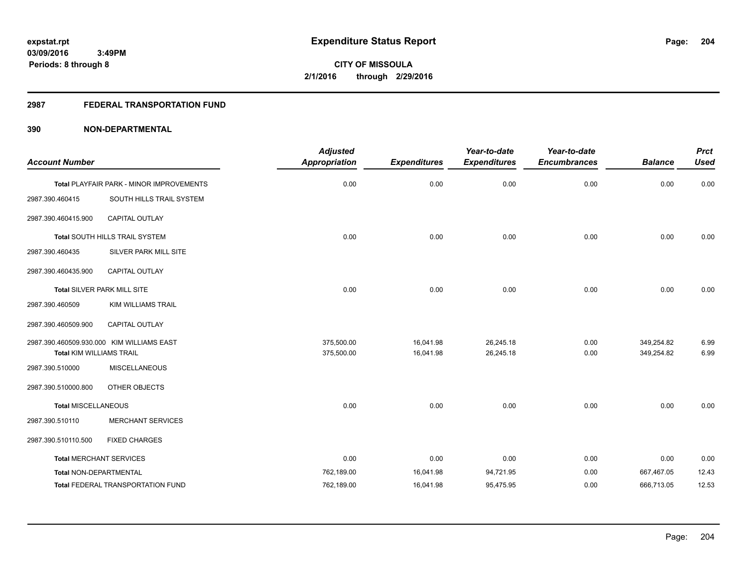# **2987 FEDERAL TRANSPORTATION FUND**

| <b>Account Number</b>           |                                           | <b>Adjusted</b><br><b>Appropriation</b> | <b>Expenditures</b> | Year-to-date<br><b>Expenditures</b> | Year-to-date<br><b>Encumbrances</b> | <b>Balance</b> | <b>Prct</b><br><b>Used</b> |
|---------------------------------|-------------------------------------------|-----------------------------------------|---------------------|-------------------------------------|-------------------------------------|----------------|----------------------------|
|                                 |                                           |                                         |                     |                                     |                                     |                |                            |
|                                 | Total PLAYFAIR PARK - MINOR IMPROVEMENTS  | 0.00                                    | 0.00                | 0.00                                | 0.00                                | 0.00           | 0.00                       |
| 2987.390.460415                 | SOUTH HILLS TRAIL SYSTEM                  |                                         |                     |                                     |                                     |                |                            |
| 2987.390.460415.900             | <b>CAPITAL OUTLAY</b>                     |                                         |                     |                                     |                                     |                |                            |
|                                 | Total SOUTH HILLS TRAIL SYSTEM            | 0.00                                    | 0.00                | 0.00                                | 0.00                                | 0.00           | 0.00                       |
| 2987.390.460435                 | SILVER PARK MILL SITE                     |                                         |                     |                                     |                                     |                |                            |
| 2987.390.460435.900             | CAPITAL OUTLAY                            |                                         |                     |                                     |                                     |                |                            |
|                                 | Total SILVER PARK MILL SITE               | 0.00                                    | 0.00                | 0.00                                | 0.00                                | 0.00           | 0.00                       |
| 2987.390.460509                 | <b>KIM WILLIAMS TRAIL</b>                 |                                         |                     |                                     |                                     |                |                            |
| 2987.390.460509.900             | <b>CAPITAL OUTLAY</b>                     |                                         |                     |                                     |                                     |                |                            |
|                                 | 2987.390.460509.930.000 KIM WILLIAMS EAST | 375,500.00                              | 16,041.98           | 26,245.18                           | 0.00                                | 349,254.82     | 6.99                       |
| <b>Total KIM WILLIAMS TRAIL</b> |                                           | 375,500.00                              | 16,041.98           | 26,245.18                           | 0.00                                | 349,254.82     | 6.99                       |
| 2987.390.510000                 | <b>MISCELLANEOUS</b>                      |                                         |                     |                                     |                                     |                |                            |
| 2987.390.510000.800             | OTHER OBJECTS                             |                                         |                     |                                     |                                     |                |                            |
| <b>Total MISCELLANEOUS</b>      |                                           | 0.00                                    | 0.00                | 0.00                                | 0.00                                | 0.00           | 0.00                       |
| 2987.390.510110                 | <b>MERCHANT SERVICES</b>                  |                                         |                     |                                     |                                     |                |                            |
| 2987.390.510110.500             | <b>FIXED CHARGES</b>                      |                                         |                     |                                     |                                     |                |                            |
| <b>Total MERCHANT SERVICES</b>  |                                           | 0.00                                    | 0.00                | 0.00                                | 0.00                                | 0.00           | 0.00                       |
| Total NON-DEPARTMENTAL          |                                           | 762,189.00                              | 16,041.98           | 94,721.95                           | 0.00                                | 667,467.05     | 12.43                      |
|                                 | <b>Total FEDERAL TRANSPORTATION FUND</b>  | 762,189.00                              | 16,041.98           | 95,475.95                           | 0.00                                | 666,713.05     | 12.53                      |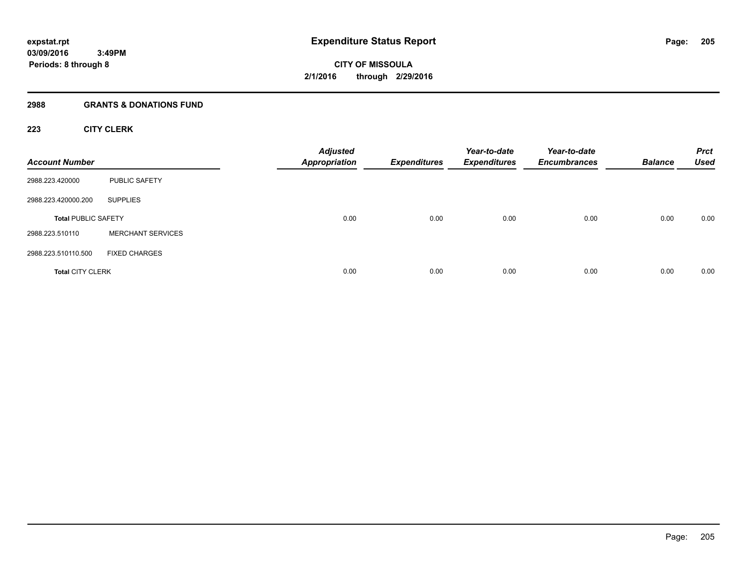#### **2988 GRANTS & DONATIONS FUND**

# **223 CITY CLERK**

| <b>Account Number</b>      |                          | <b>Adjusted</b><br><b>Appropriation</b> | <b>Expenditures</b> | Year-to-date<br><b>Expenditures</b> | Year-to-date<br><b>Encumbrances</b> | <b>Balance</b> | <b>Prct</b><br><b>Used</b> |
|----------------------------|--------------------------|-----------------------------------------|---------------------|-------------------------------------|-------------------------------------|----------------|----------------------------|
| 2988.223.420000            | <b>PUBLIC SAFETY</b>     |                                         |                     |                                     |                                     |                |                            |
| 2988.223.420000.200        | <b>SUPPLIES</b>          |                                         |                     |                                     |                                     |                |                            |
| <b>Total PUBLIC SAFETY</b> |                          | 0.00                                    | 0.00                | 0.00                                | 0.00                                | 0.00           | 0.00                       |
| 2988.223.510110            | <b>MERCHANT SERVICES</b> |                                         |                     |                                     |                                     |                |                            |
| 2988.223.510110.500        | <b>FIXED CHARGES</b>     |                                         |                     |                                     |                                     |                |                            |
| <b>Total CITY CLERK</b>    |                          | 0.00                                    | 0.00                | 0.00                                | 0.00                                | 0.00           | 0.00                       |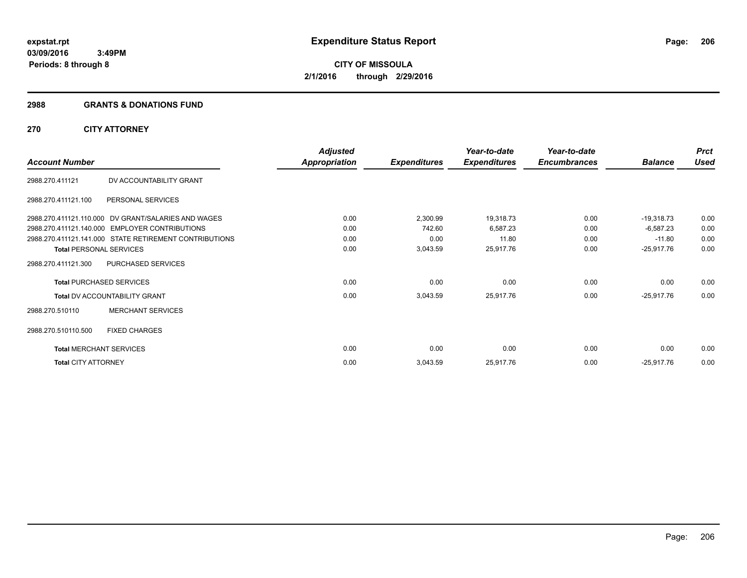#### **2988 GRANTS & DONATIONS FUND**

# **270 CITY ATTORNEY**

|                                |                                                        | <b>Adjusted</b>      |                     | Year-to-date        | Year-to-date        |                | <b>Prct</b> |
|--------------------------------|--------------------------------------------------------|----------------------|---------------------|---------------------|---------------------|----------------|-------------|
| <b>Account Number</b>          |                                                        | <b>Appropriation</b> | <b>Expenditures</b> | <b>Expenditures</b> | <b>Encumbrances</b> | <b>Balance</b> | <b>Used</b> |
| 2988.270.411121                | DV ACCOUNTABILITY GRANT                                |                      |                     |                     |                     |                |             |
| 2988.270.411121.100            | PERSONAL SERVICES                                      |                      |                     |                     |                     |                |             |
|                                | 2988.270.411121.110.000 DV GRANT/SALARIES AND WAGES    | 0.00                 | 2,300.99            | 19,318.73           | 0.00                | $-19,318.73$   | 0.00        |
|                                | 2988.270.411121.140.000 EMPLOYER CONTRIBUTIONS         | 0.00                 | 742.60              | 6,587.23            | 0.00                | $-6,587.23$    | 0.00        |
|                                | 2988.270.411121.141.000 STATE RETIREMENT CONTRIBUTIONS | 0.00                 | 0.00                | 11.80               | 0.00                | $-11.80$       | 0.00        |
| <b>Total PERSONAL SERVICES</b> |                                                        | 0.00                 | 3,043.59            | 25,917.76           | 0.00                | $-25,917.76$   | 0.00        |
| 2988.270.411121.300            | PURCHASED SERVICES                                     |                      |                     |                     |                     |                |             |
|                                | <b>Total PURCHASED SERVICES</b>                        | 0.00                 | 0.00                | 0.00                | 0.00                | 0.00           | 0.00        |
|                                | <b>Total DV ACCOUNTABILITY GRANT</b>                   | 0.00                 | 3,043.59            | 25,917.76           | 0.00                | $-25,917.76$   | 0.00        |
| 2988.270.510110                | <b>MERCHANT SERVICES</b>                               |                      |                     |                     |                     |                |             |
| 2988.270.510110.500            | <b>FIXED CHARGES</b>                                   |                      |                     |                     |                     |                |             |
| <b>Total MERCHANT SERVICES</b> |                                                        | 0.00                 | 0.00                | 0.00                | 0.00                | 0.00           | 0.00        |
| <b>Total CITY ATTORNEY</b>     |                                                        | 0.00                 | 3,043.59            | 25,917.76           | 0.00                | $-25,917.76$   | 0.00        |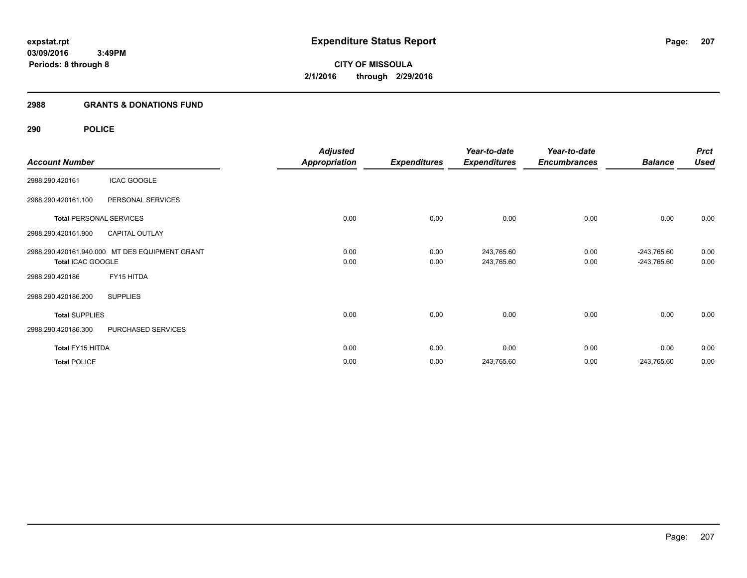# **2988 GRANTS & DONATIONS FUND**

# **290 POLICE**

|                       |                                                | <b>Adjusted</b>      |                     | Year-to-date        | Year-to-date        |                | <b>Prct</b> |
|-----------------------|------------------------------------------------|----------------------|---------------------|---------------------|---------------------|----------------|-------------|
| <b>Account Number</b> |                                                | <b>Appropriation</b> | <b>Expenditures</b> | <b>Expenditures</b> | <b>Encumbrances</b> | <b>Balance</b> | <b>Used</b> |
| 2988.290.420161       | <b>ICAC GOOGLE</b>                             |                      |                     |                     |                     |                |             |
| 2988.290.420161.100   | PERSONAL SERVICES                              |                      |                     |                     |                     |                |             |
|                       | <b>Total PERSONAL SERVICES</b>                 | 0.00                 | 0.00                | 0.00                | 0.00                | 0.00           | 0.00        |
| 2988.290.420161.900   | <b>CAPITAL OUTLAY</b>                          |                      |                     |                     |                     |                |             |
|                       | 2988.290.420161.940.000 MT DES EQUIPMENT GRANT | 0.00                 | 0.00                | 243,765.60          | 0.00                | $-243,765.60$  | 0.00        |
| Total ICAC GOOGLE     |                                                | 0.00                 | 0.00                | 243,765.60          | 0.00                | -243,765.60    | 0.00        |
| 2988.290.420186       | FY15 HITDA                                     |                      |                     |                     |                     |                |             |
| 2988.290.420186.200   | <b>SUPPLIES</b>                                |                      |                     |                     |                     |                |             |
| <b>Total SUPPLIES</b> |                                                | 0.00                 | 0.00                | 0.00                | 0.00                | 0.00           | 0.00        |
| 2988.290.420186.300   | PURCHASED SERVICES                             |                      |                     |                     |                     |                |             |
| Total FY15 HITDA      |                                                | 0.00                 | 0.00                | 0.00                | 0.00                | 0.00           | 0.00        |
| <b>Total POLICE</b>   |                                                | 0.00                 | 0.00                | 243,765.60          | 0.00                | $-243,765.60$  | 0.00        |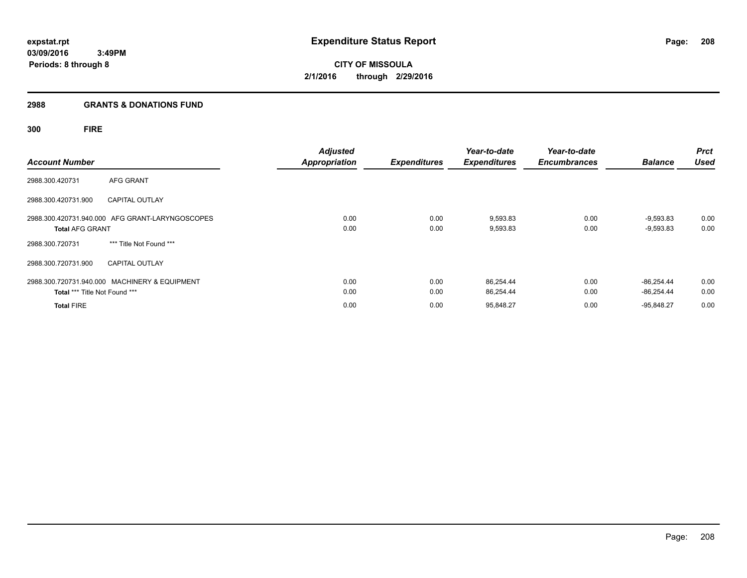#### **2988 GRANTS & DONATIONS FUND**

# **300 FIRE**

| <b>Account Number</b>         |                                                 | <b>Adjusted</b><br><b>Appropriation</b> | <b>Expenditures</b> | Year-to-date<br><b>Expenditures</b> | Year-to-date<br><b>Encumbrances</b> | <b>Balance</b>               | <b>Prct</b><br><b>Used</b> |
|-------------------------------|-------------------------------------------------|-----------------------------------------|---------------------|-------------------------------------|-------------------------------------|------------------------------|----------------------------|
| 2988.300.420731               | AFG GRANT                                       |                                         |                     |                                     |                                     |                              |                            |
| 2988.300.420731.900           | <b>CAPITAL OUTLAY</b>                           |                                         |                     |                                     |                                     |                              |                            |
| <b>Total AFG GRANT</b>        | 2988.300.420731.940.000 AFG GRANT-LARYNGOSCOPES | 0.00<br>0.00                            | 0.00<br>0.00        | 9,593.83<br>9,593.83                | 0.00<br>0.00                        | $-9,593.83$<br>$-9,593.83$   | 0.00<br>0.00               |
| 2988.300.720731               | *** Title Not Found ***                         |                                         |                     |                                     |                                     |                              |                            |
| 2988.300.720731.900           | <b>CAPITAL OUTLAY</b>                           |                                         |                     |                                     |                                     |                              |                            |
| Total *** Title Not Found *** | 2988.300.720731.940.000 MACHINERY & EQUIPMENT   | 0.00<br>0.00                            | 0.00<br>0.00        | 86,254.44<br>86,254.44              | 0.00<br>0.00                        | $-86.254.44$<br>$-86,254.44$ | 0.00<br>0.00               |
| <b>Total FIRE</b>             |                                                 | 0.00                                    | 0.00                | 95,848.27                           | 0.00                                | $-95,848.27$                 | 0.00                       |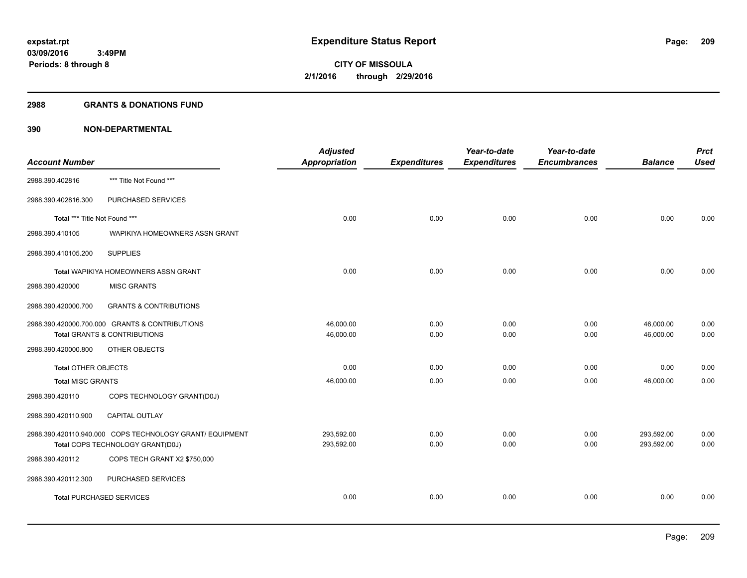#### **2988 GRANTS & DONATIONS FUND**

| <b>Account Number</b>           |                                                          | <b>Adjusted</b><br>Appropriation | <b>Expenditures</b> | Year-to-date<br><b>Expenditures</b> | Year-to-date<br><b>Encumbrances</b> | <b>Balance</b> | <b>Prct</b><br><b>Used</b> |
|---------------------------------|----------------------------------------------------------|----------------------------------|---------------------|-------------------------------------|-------------------------------------|----------------|----------------------------|
|                                 |                                                          |                                  |                     |                                     |                                     |                |                            |
| 2988.390.402816                 | *** Title Not Found ***                                  |                                  |                     |                                     |                                     |                |                            |
| 2988.390.402816.300             | PURCHASED SERVICES                                       |                                  |                     |                                     |                                     |                |                            |
| Total *** Title Not Found ***   |                                                          | 0.00                             | 0.00                | 0.00                                | 0.00                                | 0.00           | 0.00                       |
| 2988.390.410105                 | WAPIKIYA HOMEOWNERS ASSN GRANT                           |                                  |                     |                                     |                                     |                |                            |
| 2988.390.410105.200             | <b>SUPPLIES</b>                                          |                                  |                     |                                     |                                     |                |                            |
|                                 | <b>Total WAPIKIYA HOMEOWNERS ASSN GRANT</b>              | 0.00                             | 0.00                | 0.00                                | 0.00                                | 0.00           | 0.00                       |
| 2988.390.420000                 | <b>MISC GRANTS</b>                                       |                                  |                     |                                     |                                     |                |                            |
| 2988.390.420000.700             | <b>GRANTS &amp; CONTRIBUTIONS</b>                        |                                  |                     |                                     |                                     |                |                            |
|                                 | 2988.390.420000.700.000 GRANTS & CONTRIBUTIONS           | 46,000.00                        | 0.00                | 0.00                                | 0.00                                | 46,000.00      | 0.00                       |
|                                 | <b>Total GRANTS &amp; CONTRIBUTIONS</b>                  | 46,000.00                        | 0.00                | 0.00                                | 0.00                                | 46,000.00      | 0.00                       |
| 2988.390.420000.800             | OTHER OBJECTS                                            |                                  |                     |                                     |                                     |                |                            |
| <b>Total OTHER OBJECTS</b>      |                                                          | 0.00                             | 0.00                | 0.00                                | 0.00                                | 0.00           | 0.00                       |
| <b>Total MISC GRANTS</b>        |                                                          | 46,000.00                        | 0.00                | 0.00                                | 0.00                                | 46,000.00      | 0.00                       |
| 2988.390.420110                 | COPS TECHNOLOGY GRANT(D0J)                               |                                  |                     |                                     |                                     |                |                            |
| 2988.390.420110.900             | CAPITAL OUTLAY                                           |                                  |                     |                                     |                                     |                |                            |
|                                 | 2988.390.420110.940.000 COPS TECHNOLOGY GRANT/ EQUIPMENT | 293,592.00                       | 0.00                | 0.00                                | 0.00                                | 293,592.00     | 0.00                       |
|                                 | Total COPS TECHNOLOGY GRANT(D0J)                         | 293,592.00                       | 0.00                | 0.00                                | 0.00                                | 293,592.00     | 0.00                       |
| 2988.390.420112                 | COPS TECH GRANT X2 \$750,000                             |                                  |                     |                                     |                                     |                |                            |
| 2988.390.420112.300             | PURCHASED SERVICES                                       |                                  |                     |                                     |                                     |                |                            |
| <b>Total PURCHASED SERVICES</b> |                                                          | 0.00                             | 0.00                | 0.00                                | 0.00                                | 0.00           | 0.00                       |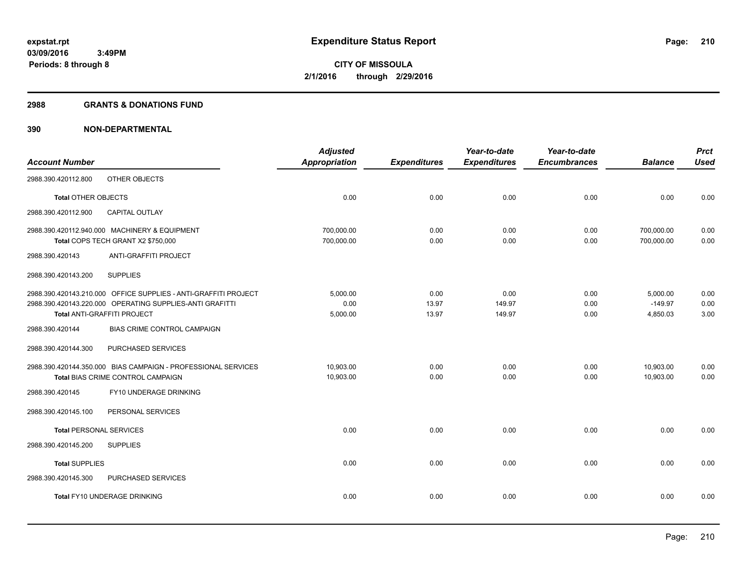#### **2988 GRANTS & DONATIONS FUND**

| <b>Account Number</b>          |                                                                                                                                                            | <b>Adjusted</b><br><b>Appropriation</b> | <b>Expenditures</b>    | Year-to-date<br><b>Expenditures</b> | Year-to-date<br><b>Encumbrances</b> | <b>Balance</b>                    | <b>Prct</b><br><b>Used</b> |
|--------------------------------|------------------------------------------------------------------------------------------------------------------------------------------------------------|-----------------------------------------|------------------------|-------------------------------------|-------------------------------------|-----------------------------------|----------------------------|
| 2988.390.420112.800            | OTHER OBJECTS                                                                                                                                              |                                         |                        |                                     |                                     |                                   |                            |
| <b>Total OTHER OBJECTS</b>     |                                                                                                                                                            | 0.00                                    | 0.00                   | 0.00                                | 0.00                                | 0.00                              | 0.00                       |
| 2988.390.420112.900            | <b>CAPITAL OUTLAY</b>                                                                                                                                      |                                         |                        |                                     |                                     |                                   |                            |
|                                | 2988.390.420112.940.000 MACHINERY & EQUIPMENT<br>Total COPS TECH GRANT X2 \$750,000                                                                        | 700,000.00<br>700,000.00                | 0.00<br>0.00           | 0.00<br>0.00                        | 0.00<br>0.00                        | 700,000.00<br>700,000.00          | 0.00<br>0.00               |
| 2988.390.420143                | <b>ANTI-GRAFFITI PROJECT</b>                                                                                                                               |                                         |                        |                                     |                                     |                                   |                            |
| 2988.390.420143.200            | <b>SUPPLIES</b>                                                                                                                                            |                                         |                        |                                     |                                     |                                   |                            |
|                                | 2988.390.420143.210.000 OFFICE SUPPLIES - ANTI-GRAFFITI PROJECT<br>2988.390.420143.220.000 OPERATING SUPPLIES-ANTI GRAFITTI<br>Total ANTI-GRAFFITI PROJECT | 5,000.00<br>0.00<br>5,000.00            | 0.00<br>13.97<br>13.97 | 0.00<br>149.97<br>149.97            | 0.00<br>0.00<br>0.00                | 5,000.00<br>$-149.97$<br>4,850.03 | 0.00<br>0.00<br>3.00       |
| 2988.390.420144                | <b>BIAS CRIME CONTROL CAMPAIGN</b>                                                                                                                         |                                         |                        |                                     |                                     |                                   |                            |
| 2988.390.420144.300            | PURCHASED SERVICES                                                                                                                                         |                                         |                        |                                     |                                     |                                   |                            |
|                                | 2988.390.420144.350.000 BIAS CAMPAIGN - PROFESSIONAL SERVICES<br>Total BIAS CRIME CONTROL CAMPAIGN                                                         | 10,903.00<br>10,903.00                  | 0.00<br>0.00           | 0.00<br>0.00                        | 0.00<br>0.00                        | 10,903.00<br>10.903.00            | 0.00<br>0.00               |
| 2988.390.420145                | FY10 UNDERAGE DRINKING                                                                                                                                     |                                         |                        |                                     |                                     |                                   |                            |
| 2988.390.420145.100            | PERSONAL SERVICES                                                                                                                                          |                                         |                        |                                     |                                     |                                   |                            |
| <b>Total PERSONAL SERVICES</b> |                                                                                                                                                            | 0.00                                    | 0.00                   | 0.00                                | 0.00                                | 0.00                              | 0.00                       |
| 2988.390.420145.200            | <b>SUPPLIES</b>                                                                                                                                            |                                         |                        |                                     |                                     |                                   |                            |
| <b>Total SUPPLIES</b>          |                                                                                                                                                            | 0.00                                    | 0.00                   | 0.00                                | 0.00                                | 0.00                              | 0.00                       |
| 2988.390.420145.300            | PURCHASED SERVICES                                                                                                                                         |                                         |                        |                                     |                                     |                                   |                            |
|                                | Total FY10 UNDERAGE DRINKING                                                                                                                               | 0.00                                    | 0.00                   | 0.00                                | 0.00                                | 0.00                              | 0.00                       |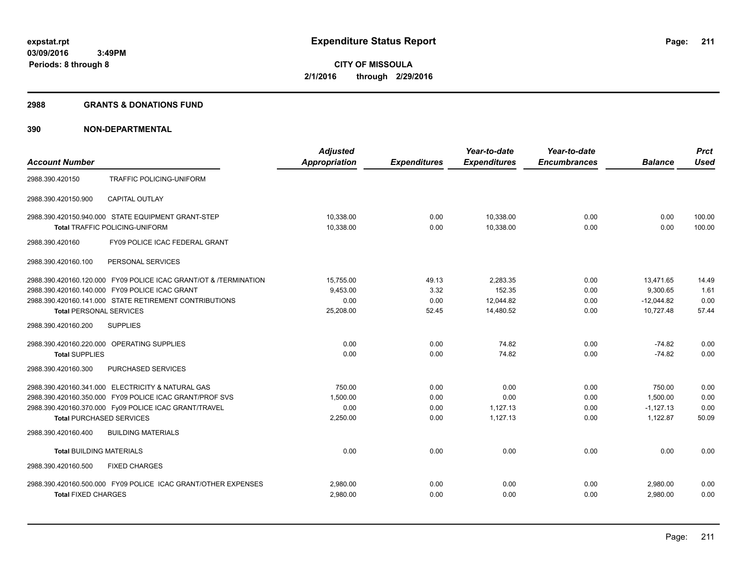#### **2988 GRANTS & DONATIONS FUND**

|                                            |                                                                  | <b>Adjusted</b>      |                     | Year-to-date        | Year-to-date        |                | <b>Prct</b> |
|--------------------------------------------|------------------------------------------------------------------|----------------------|---------------------|---------------------|---------------------|----------------|-------------|
| <b>Account Number</b>                      |                                                                  | <b>Appropriation</b> | <b>Expenditures</b> | <b>Expenditures</b> | <b>Encumbrances</b> | <b>Balance</b> | <b>Used</b> |
| 2988.390.420150                            | TRAFFIC POLICING-UNIFORM                                         |                      |                     |                     |                     |                |             |
| 2988.390.420150.900                        | <b>CAPITAL OUTLAY</b>                                            |                      |                     |                     |                     |                |             |
|                                            | 2988.390.420150.940.000 STATE EQUIPMENT GRANT-STEP               | 10.338.00            | 0.00                | 10,338.00           | 0.00                | 0.00           | 100.00      |
|                                            | Total TRAFFIC POLICING-UNIFORM                                   | 10,338.00            | 0.00                | 10,338.00           | 0.00                | 0.00           | 100.00      |
| 2988.390.420160                            | FY09 POLICE ICAC FEDERAL GRANT                                   |                      |                     |                     |                     |                |             |
| 2988.390.420160.100                        | PERSONAL SERVICES                                                |                      |                     |                     |                     |                |             |
|                                            | 2988.390.420160.120.000 FY09 POLICE ICAC GRANT/OT & /TERMINATION | 15,755.00            | 49.13               | 2,283.35            | 0.00                | 13.471.65      | 14.49       |
|                                            | 2988.390.420160.140.000 FY09 POLICE ICAC GRANT                   | 9,453.00             | 3.32                | 152.35              | 0.00                | 9,300.65       | 1.61        |
|                                            | 2988.390.420160.141.000 STATE RETIREMENT CONTRIBUTIONS           | 0.00                 | 0.00                | 12,044.82           | 0.00                | $-12,044.82$   | 0.00        |
| <b>Total PERSONAL SERVICES</b>             |                                                                  | 25,208.00            | 52.45               | 14,480.52           | 0.00                | 10,727.48      | 57.44       |
| 2988.390.420160.200                        | <b>SUPPLIES</b>                                                  |                      |                     |                     |                     |                |             |
| 2988.390.420160.220.000 OPERATING SUPPLIES |                                                                  | 0.00                 | 0.00                | 74.82               | 0.00                | $-74.82$       | 0.00        |
| <b>Total SUPPLIES</b>                      |                                                                  | 0.00                 | 0.00                | 74.82               | 0.00                | $-74.82$       | 0.00        |
| 2988.390.420160.300                        | PURCHASED SERVICES                                               |                      |                     |                     |                     |                |             |
|                                            | 2988.390.420160.341.000 ELECTRICITY & NATURAL GAS                | 750.00               | 0.00                | 0.00                | 0.00                | 750.00         | 0.00        |
|                                            | 2988.390.420160.350.000 FY09 POLICE ICAC GRANT/PROF SVS          | 1,500.00             | 0.00                | 0.00                | 0.00                | 1,500.00       | 0.00        |
|                                            | 2988.390.420160.370.000 Fy09 POLICE ICAC GRANT/TRAVEL            | 0.00                 | 0.00                | 1,127.13            | 0.00                | $-1.127.13$    | 0.00        |
| <b>Total PURCHASED SERVICES</b>            |                                                                  | 2,250.00             | 0.00                | 1,127.13            | 0.00                | 1,122.87       | 50.09       |
| 2988.390.420160.400                        | <b>BUILDING MATERIALS</b>                                        |                      |                     |                     |                     |                |             |
| <b>Total BUILDING MATERIALS</b>            |                                                                  | 0.00                 | 0.00                | 0.00                | 0.00                | 0.00           | 0.00        |
| 2988.390.420160.500                        | <b>FIXED CHARGES</b>                                             |                      |                     |                     |                     |                |             |
|                                            | 2988.390.420160.500.000 FY09 POLICE ICAC GRANT/OTHER EXPENSES    | 2,980.00             | 0.00                | 0.00                | 0.00                | 2,980.00       | 0.00        |
| <b>Total FIXED CHARGES</b>                 |                                                                  | 2,980.00             | 0.00                | 0.00                | 0.00                | 2.980.00       | 0.00        |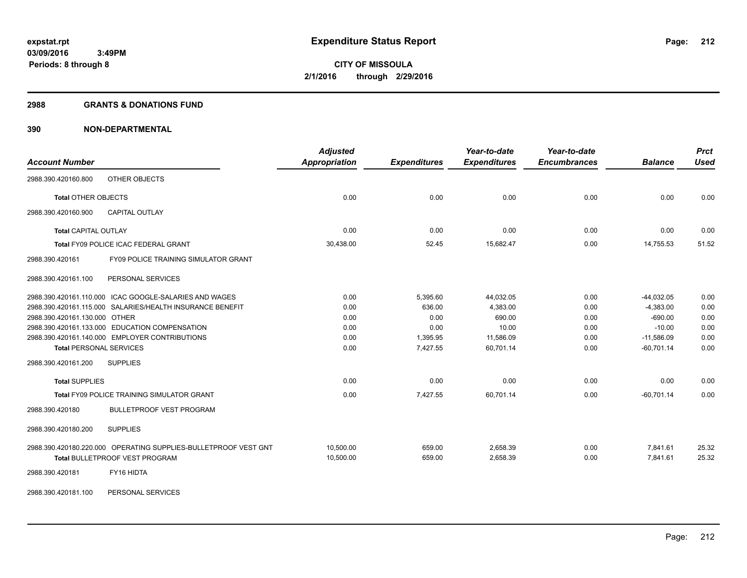#### **2988 GRANTS & DONATIONS FUND**

| <b>Account Number</b>                                           | <b>Adjusted</b><br><b>Appropriation</b> | <b>Expenditures</b> | Year-to-date<br><b>Expenditures</b> | Year-to-date<br><b>Encumbrances</b> | <b>Balance</b> | <b>Prct</b><br><b>Used</b> |
|-----------------------------------------------------------------|-----------------------------------------|---------------------|-------------------------------------|-------------------------------------|----------------|----------------------------|
| OTHER OBJECTS<br>2988.390.420160.800                            |                                         |                     |                                     |                                     |                |                            |
| <b>Total OTHER OBJECTS</b>                                      | 0.00                                    | 0.00                | 0.00                                | 0.00                                | 0.00           | 0.00                       |
| 2988.390.420160.900<br><b>CAPITAL OUTLAY</b>                    |                                         |                     |                                     |                                     |                |                            |
| <b>Total CAPITAL OUTLAY</b>                                     | 0.00                                    | 0.00                | 0.00                                | 0.00                                | 0.00           | 0.00                       |
| <b>Total FY09 POLICE ICAC FEDERAL GRANT</b>                     | 30,438.00                               | 52.45               | 15,682.47                           | 0.00                                | 14,755.53      | 51.52                      |
| <b>FY09 POLICE TRAINING SIMULATOR GRANT</b><br>2988.390.420161  |                                         |                     |                                     |                                     |                |                            |
| PERSONAL SERVICES<br>2988.390.420161.100                        |                                         |                     |                                     |                                     |                |                            |
| 2988.390.420161.110.000 ICAC GOOGLE-SALARIES AND WAGES          | 0.00                                    | 5,395.60            | 44,032.05                           | 0.00                                | $-44,032.05$   | 0.00                       |
| 2988.390.420161.115.000 SALARIES/HEALTH INSURANCE BENEFIT       | 0.00                                    | 636.00              | 4,383.00                            | 0.00                                | $-4,383.00$    | 0.00                       |
| 2988.390.420161.130.000 OTHER                                   | 0.00                                    | 0.00                | 690.00                              | 0.00                                | $-690.00$      | 0.00                       |
| 2988.390.420161.133.000 EDUCATION COMPENSATION                  | 0.00                                    | 0.00                | 10.00                               | 0.00                                | $-10.00$       | 0.00                       |
| 2988.390.420161.140.000 EMPLOYER CONTRIBUTIONS                  | 0.00                                    | 1,395.95            | 11,586.09                           | 0.00                                | $-11,586.09$   | 0.00                       |
| <b>Total PERSONAL SERVICES</b>                                  | 0.00                                    | 7,427.55            | 60,701.14                           | 0.00                                | $-60,701.14$   | 0.00                       |
| 2988.390.420161.200<br><b>SUPPLIES</b>                          |                                         |                     |                                     |                                     |                |                            |
| <b>Total SUPPLIES</b>                                           | 0.00                                    | 0.00                | 0.00                                | 0.00                                | 0.00           | 0.00                       |
| Total FY09 POLICE TRAINING SIMULATOR GRANT                      | 0.00                                    | 7,427.55            | 60,701.14                           | 0.00                                | $-60,701.14$   | 0.00                       |
| 2988.390.420180<br><b>BULLETPROOF VEST PROGRAM</b>              |                                         |                     |                                     |                                     |                |                            |
| <b>SUPPLIES</b><br>2988.390.420180.200                          |                                         |                     |                                     |                                     |                |                            |
| 2988.390.420180.220.000 OPERATING SUPPLIES-BULLETPROOF VEST GNT | 10.500.00                               | 659.00              | 2.658.39                            | 0.00                                | 7,841.61       | 25.32                      |
| <b>Total BULLETPROOF VEST PROGRAM</b>                           | 10,500.00                               | 659.00              | 2,658.39                            | 0.00                                | 7,841.61       | 25.32                      |
| FY16 HIDTA<br>2988.390.420181                                   |                                         |                     |                                     |                                     |                |                            |
| PERSONAL SERVICES<br>2988.390.420181.100                        |                                         |                     |                                     |                                     |                |                            |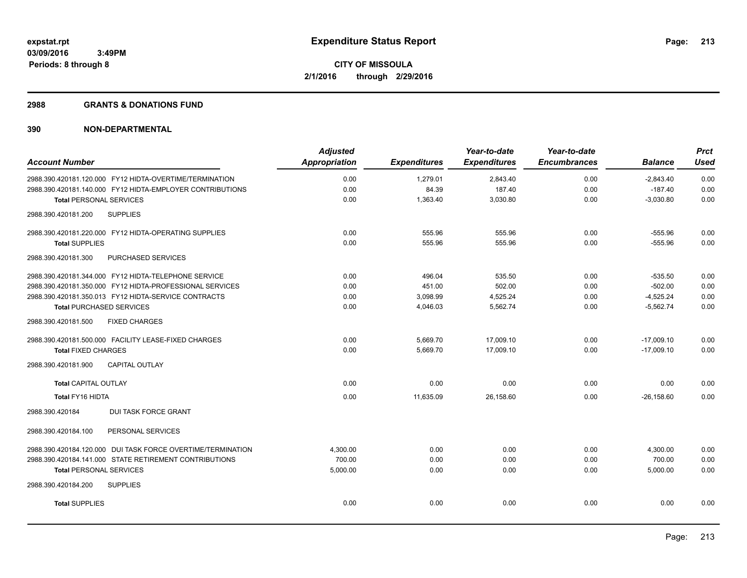#### **2988 GRANTS & DONATIONS FUND**

| <b>Account Number</b>                                       | <b>Adjusted</b><br>Appropriation | <b>Expenditures</b> | Year-to-date<br><b>Expenditures</b> | Year-to-date<br><b>Encumbrances</b> | <b>Balance</b> | <b>Prct</b><br>Used |
|-------------------------------------------------------------|----------------------------------|---------------------|-------------------------------------|-------------------------------------|----------------|---------------------|
|                                                             |                                  |                     |                                     |                                     |                |                     |
| 2988.390.420181.120.000 FY12 HIDTA-OVERTIME/TERMINATION     | 0.00                             | 1,279.01            | 2,843.40                            | 0.00                                | $-2,843.40$    | 0.00                |
| 2988.390.420181.140.000 FY12 HIDTA-EMPLOYER CONTRIBUTIONS   | 0.00                             | 84.39               | 187.40                              | 0.00                                | $-187.40$      | 0.00                |
| <b>Total PERSONAL SERVICES</b>                              | 0.00                             | 1,363.40            | 3,030.80                            | 0.00                                | $-3,030.80$    | 0.00                |
| <b>SUPPLIES</b><br>2988.390.420181.200                      |                                  |                     |                                     |                                     |                |                     |
| 2988.390.420181.220.000 FY12 HIDTA-OPERATING SUPPLIES       | 0.00                             | 555.96              | 555.96                              | 0.00                                | $-555.96$      | 0.00                |
| <b>Total SUPPLIES</b>                                       | 0.00                             | 555.96              | 555.96                              | 0.00                                | $-555.96$      | 0.00                |
| 2988.390.420181.300<br>PURCHASED SERVICES                   |                                  |                     |                                     |                                     |                |                     |
| 2988.390.420181.344.000 FY12 HIDTA-TELEPHONE SERVICE        | 0.00                             | 496.04              | 535.50                              | 0.00                                | $-535.50$      | 0.00                |
| 2988.390.420181.350.000 FY12 HIDTA-PROFESSIONAL SERVICES    | 0.00                             | 451.00              | 502.00                              | 0.00                                | $-502.00$      | 0.00                |
| 2988.390.420181.350.013 FY12 HIDTA-SERVICE CONTRACTS        | 0.00                             | 3,098.99            | 4,525.24                            | 0.00                                | $-4,525.24$    | 0.00                |
| <b>Total PURCHASED SERVICES</b>                             | 0.00                             | 4,046.03            | 5,562.74                            | 0.00                                | $-5,562.74$    | 0.00                |
| 2988.390.420181.500<br><b>FIXED CHARGES</b>                 |                                  |                     |                                     |                                     |                |                     |
| 2988.390.420181.500.000 FACILITY LEASE-FIXED CHARGES        | 0.00                             | 5,669.70            | 17,009.10                           | 0.00                                | $-17,009.10$   | 0.00                |
| <b>Total FIXED CHARGES</b>                                  | 0.00                             | 5,669.70            | 17,009.10                           | 0.00                                | $-17,009.10$   | 0.00                |
| 2988.390.420181.900<br><b>CAPITAL OUTLAY</b>                |                                  |                     |                                     |                                     |                |                     |
| <b>Total CAPITAL OUTLAY</b>                                 | 0.00                             | 0.00                | 0.00                                | 0.00                                | 0.00           | 0.00                |
| <b>Total FY16 HIDTA</b>                                     | 0.00                             | 11,635.09           | 26,158.60                           | 0.00                                | $-26,158.60$   | 0.00                |
| <b>DUI TASK FORCE GRANT</b><br>2988.390.420184              |                                  |                     |                                     |                                     |                |                     |
| 2988.390.420184.100<br>PERSONAL SERVICES                    |                                  |                     |                                     |                                     |                |                     |
| 2988.390.420184.120.000 DUI TASK FORCE OVERTIME/TERMINATION | 4,300.00                         | 0.00                | 0.00                                | 0.00                                | 4,300.00       | 0.00                |
| 2988.390.420184.141.000 STATE RETIREMENT CONTRIBUTIONS      | 700.00                           | 0.00                | 0.00                                | 0.00                                | 700.00         | 0.00                |
| <b>Total PERSONAL SERVICES</b>                              | 5,000.00                         | 0.00                | 0.00                                | 0.00                                | 5,000.00       | 0.00                |
| <b>SUPPLIES</b><br>2988.390.420184.200                      |                                  |                     |                                     |                                     |                |                     |
| <b>Total SUPPLIES</b>                                       | 0.00                             | 0.00                | 0.00                                | 0.00                                | 0.00           | 0.00                |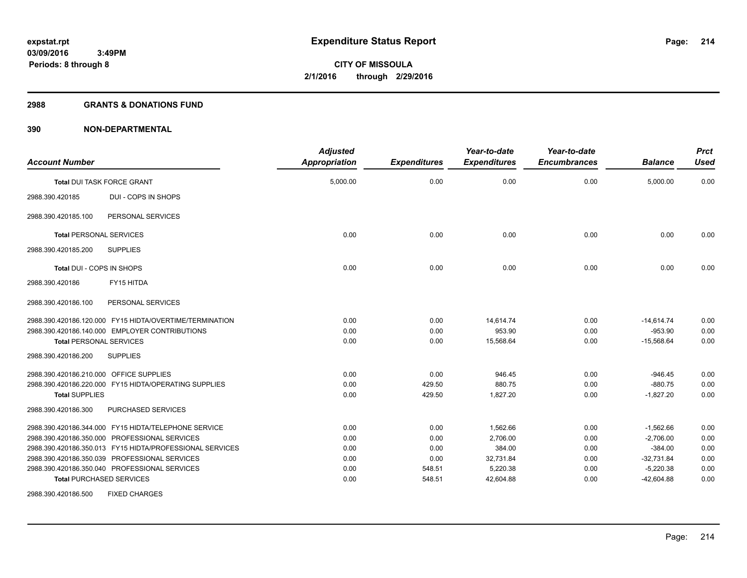#### **2988 GRANTS & DONATIONS FUND**

| <b>Account Number</b>                                                            | <b>Adjusted</b><br><b>Appropriation</b> | <b>Expenditures</b> | Year-to-date<br><b>Expenditures</b> | Year-to-date<br><b>Encumbrances</b> | <b>Balance</b>            | <b>Prct</b><br><b>Used</b> |
|----------------------------------------------------------------------------------|-----------------------------------------|---------------------|-------------------------------------|-------------------------------------|---------------------------|----------------------------|
| <b>Total DUI TASK FORCE GRANT</b>                                                | 5,000.00                                | 0.00                | 0.00                                | 0.00                                | 5,000.00                  | 0.00                       |
| DUI - COPS IN SHOPS<br>2988.390.420185                                           |                                         |                     |                                     |                                     |                           |                            |
| PERSONAL SERVICES<br>2988.390.420185.100                                         |                                         |                     |                                     |                                     |                           |                            |
| <b>Total PERSONAL SERVICES</b>                                                   | 0.00                                    | 0.00                | 0.00                                | 0.00                                | 0.00                      | 0.00                       |
| <b>SUPPLIES</b><br>2988.390.420185.200                                           |                                         |                     |                                     |                                     |                           |                            |
| Total DUI - COPS IN SHOPS                                                        | 0.00                                    | 0.00                | 0.00                                | 0.00                                | 0.00                      | 0.00                       |
| FY15 HITDA<br>2988.390.420186                                                    |                                         |                     |                                     |                                     |                           |                            |
| 2988.390.420186.100<br>PERSONAL SERVICES                                         |                                         |                     |                                     |                                     |                           |                            |
| 2988.390.420186.120.000 FY15 HIDTA/OVERTIME/TERMINATION                          | 0.00                                    | 0.00                | 14,614.74                           | 0.00                                | $-14,614.74$              | 0.00                       |
| 2988.390.420186.140.000 EMPLOYER CONTRIBUTIONS<br><b>Total PERSONAL SERVICES</b> | 0.00<br>0.00                            | 0.00<br>0.00        | 953.90<br>15,568.64                 | 0.00<br>0.00                        | $-953.90$<br>$-15,568.64$ | 0.00<br>0.00               |
| 2988.390.420186.200<br><b>SUPPLIES</b>                                           |                                         |                     |                                     |                                     |                           |                            |
| 2988.390.420186.210.000 OFFICE SUPPLIES                                          | 0.00                                    | 0.00                | 946.45                              | 0.00                                | $-946.45$                 | 0.00                       |
| 2988.390.420186.220.000 FY15 HIDTA/OPERATING SUPPLIES                            | 0.00                                    | 429.50              | 880.75                              | 0.00                                | $-880.75$                 | 0.00                       |
| <b>Total SUPPLIES</b>                                                            | 0.00                                    | 429.50              | 1,827.20                            | 0.00                                | $-1,827.20$               | 0.00                       |
| PURCHASED SERVICES<br>2988.390.420186.300                                        |                                         |                     |                                     |                                     |                           |                            |
| 2988.390.420186.344.000 FY15 HIDTA/TELEPHONE SERVICE                             | 0.00                                    | 0.00                | 1,562.66                            | 0.00                                | $-1,562.66$               | 0.00                       |
| 2988.390.420186.350.000 PROFESSIONAL SERVICES                                    | 0.00                                    | 0.00                | 2,706.00                            | 0.00                                | $-2,706.00$               | 0.00                       |
| 2988.390.420186.350.013 FY15 HIDTA/PROFESSIONAL SERVICES                         | 0.00                                    | 0.00                | 384.00                              | 0.00                                | $-384.00$                 | 0.00                       |
| 2988.390.420186.350.039 PROFESSIONAL SERVICES                                    | 0.00                                    | 0.00                | 32,731.84                           | 0.00                                | $-32,731.84$              | 0.00                       |
| 2988.390.420186.350.040 PROFESSIONAL SERVICES                                    | 0.00                                    | 548.51              | 5,220.38                            | 0.00                                | $-5,220.38$               | 0.00                       |
| <b>Total PURCHASED SERVICES</b>                                                  | 0.00                                    | 548.51              | 42,604.88                           | 0.00                                | $-42,604.88$              | 0.00                       |
| <b>FIXED CHARGES</b><br>2988.390.420186.500                                      |                                         |                     |                                     |                                     |                           |                            |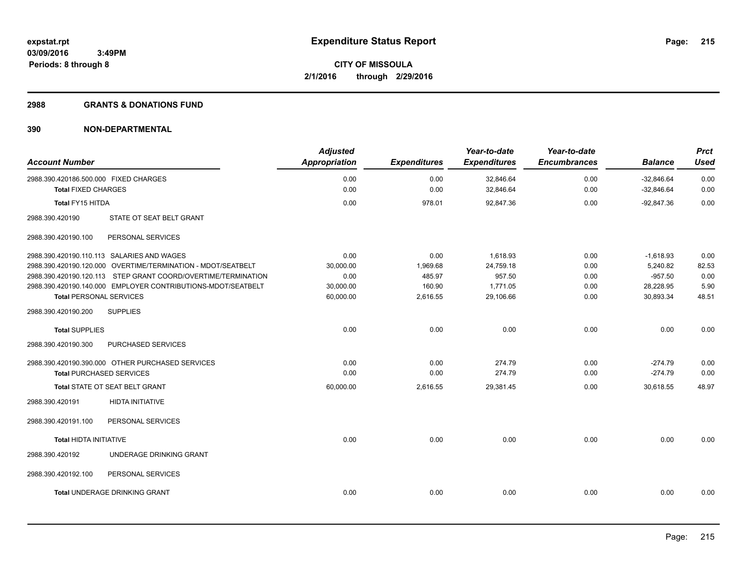# **2988 GRANTS & DONATIONS FUND**

| <b>Account Number</b>                                         | <b>Adjusted</b><br>Appropriation | <b>Expenditures</b> | Year-to-date<br><b>Expenditures</b> | Year-to-date<br><b>Encumbrances</b> | <b>Balance</b> | <b>Prct</b><br><b>Used</b> |
|---------------------------------------------------------------|----------------------------------|---------------------|-------------------------------------|-------------------------------------|----------------|----------------------------|
| 2988.390.420186.500.000 FIXED CHARGES                         | 0.00                             | 0.00                | 32,846.64                           | 0.00                                | $-32.846.64$   | 0.00                       |
| <b>Total FIXED CHARGES</b>                                    | 0.00                             | 0.00                | 32,846.64                           | 0.00                                | $-32,846.64$   | 0.00                       |
| <b>Total FY15 HITDA</b>                                       | 0.00                             | 978.01              | 92,847.36                           | 0.00                                | $-92,847.36$   | 0.00                       |
| 2988.390.420190<br>STATE OT SEAT BELT GRANT                   |                                  |                     |                                     |                                     |                |                            |
| 2988.390.420190.100<br>PERSONAL SERVICES                      |                                  |                     |                                     |                                     |                |                            |
| 2988.390.420190.110.113 SALARIES AND WAGES                    | 0.00                             | 0.00                | 1,618.93                            | 0.00                                | $-1,618.93$    | 0.00                       |
| 2988.390.420190.120.000 OVERTIME/TERMINATION - MDOT/SEATBELT  | 30,000.00                        | 1,969.68            | 24,759.18                           | 0.00                                | 5,240.82       | 82.53                      |
| 2988.390.420190.120.113 STEP GRANT COORD/OVERTIME/TERMINATION | 0.00                             | 485.97              | 957.50                              | 0.00                                | $-957.50$      | 0.00                       |
| 2988.390.420190.140.000 EMPLOYER CONTRIBUTIONS-MDOT/SEATBELT  | 30,000.00                        | 160.90              | 1,771.05                            | 0.00                                | 28,228.95      | 5.90                       |
| <b>Total PERSONAL SERVICES</b>                                | 60,000.00                        | 2,616.55            | 29,106.66                           | 0.00                                | 30,893.34      | 48.51                      |
| 2988.390.420190.200<br><b>SUPPLIES</b>                        |                                  |                     |                                     |                                     |                |                            |
| <b>Total SUPPLIES</b>                                         | 0.00                             | 0.00                | 0.00                                | 0.00                                | 0.00           | 0.00                       |
| 2988.390.420190.300<br>PURCHASED SERVICES                     |                                  |                     |                                     |                                     |                |                            |
| 2988.390.420190.390.000 OTHER PURCHASED SERVICES              | 0.00                             | 0.00                | 274.79                              | 0.00                                | $-274.79$      | 0.00                       |
| <b>Total PURCHASED SERVICES</b>                               | 0.00                             | 0.00                | 274.79                              | 0.00                                | $-274.79$      | 0.00                       |
| Total STATE OT SEAT BELT GRANT                                | 60,000.00                        | 2,616.55            | 29,381.45                           | 0.00                                | 30,618.55      | 48.97                      |
| <b>HIDTA INITIATIVE</b><br>2988.390.420191                    |                                  |                     |                                     |                                     |                |                            |
| 2988.390.420191.100<br>PERSONAL SERVICES                      |                                  |                     |                                     |                                     |                |                            |
| <b>Total HIDTA INITIATIVE</b>                                 | 0.00                             | 0.00                | 0.00                                | 0.00                                | 0.00           | 0.00                       |
| UNDERAGE DRINKING GRANT<br>2988.390.420192                    |                                  |                     |                                     |                                     |                |                            |
| 2988.390.420192.100<br>PERSONAL SERVICES                      |                                  |                     |                                     |                                     |                |                            |
| Total UNDERAGE DRINKING GRANT                                 | 0.00                             | 0.00                | 0.00                                | 0.00                                | 0.00           | 0.00                       |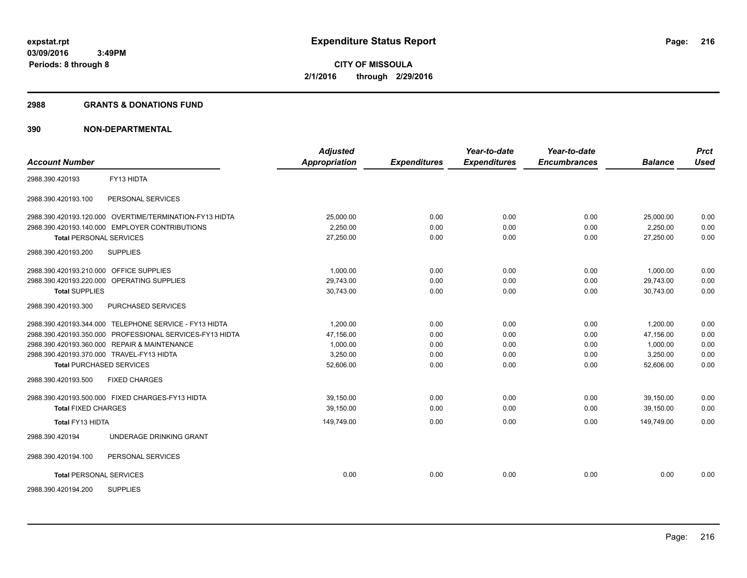#### **2988 GRANTS & DONATIONS FUND**

| <b>Account Number</b>                                    | <b>Adjusted</b><br><b>Appropriation</b> | <b>Expenditures</b> | Year-to-date<br><b>Expenditures</b> | Year-to-date<br><b>Encumbrances</b> | <b>Balance</b> | <b>Prct</b><br><b>Used</b> |
|----------------------------------------------------------|-----------------------------------------|---------------------|-------------------------------------|-------------------------------------|----------------|----------------------------|
|                                                          |                                         |                     |                                     |                                     |                |                            |
| FY13 HIDTA<br>2988.390.420193                            |                                         |                     |                                     |                                     |                |                            |
| 2988.390.420193.100<br>PERSONAL SERVICES                 |                                         |                     |                                     |                                     |                |                            |
| 2988.390.420193.120.000 OVERTIME/TERMINATION-FY13 HIDTA  | 25,000.00                               | 0.00                | 0.00                                | 0.00                                | 25,000.00      | 0.00                       |
| 2988.390.420193.140.000 EMPLOYER CONTRIBUTIONS           | 2,250.00                                | 0.00                | 0.00                                | 0.00                                | 2,250.00       | 0.00                       |
| <b>Total PERSONAL SERVICES</b>                           | 27,250.00                               | 0.00                | 0.00                                | 0.00                                | 27.250.00      | 0.00                       |
| <b>SUPPLIES</b><br>2988.390.420193.200                   |                                         |                     |                                     |                                     |                |                            |
| 2988.390.420193.210.000 OFFICE SUPPLIES                  | 1.000.00                                | 0.00                | 0.00                                | 0.00                                | 1.000.00       | 0.00                       |
| 2988.390.420193.220.000 OPERATING SUPPLIES               | 29,743.00                               | 0.00                | 0.00                                | 0.00                                | 29,743.00      | 0.00                       |
| <b>Total SUPPLIES</b>                                    | 30,743.00                               | 0.00                | 0.00                                | 0.00                                | 30,743.00      | 0.00                       |
| PURCHASED SERVICES<br>2988.390.420193.300                |                                         |                     |                                     |                                     |                |                            |
| 2988.390.420193.344.000 TELEPHONE SERVICE - FY13 HIDTA   | 1,200.00                                | 0.00                | 0.00                                | 0.00                                | 1,200.00       | 0.00                       |
| 2988.390.420193.350.000 PROFESSIONAL SERVICES-FY13 HIDTA | 47.156.00                               | 0.00                | 0.00                                | 0.00                                | 47.156.00      | 0.00                       |
| 2988.390.420193.360.000 REPAIR & MAINTENANCE             | 1,000.00                                | 0.00                | 0.00                                | 0.00                                | 1,000.00       | 0.00                       |
| 2988.390.420193.370.000 TRAVEL-FY13 HIDTA                | 3,250.00                                | 0.00                | 0.00                                | 0.00                                | 3,250.00       | 0.00                       |
| <b>Total PURCHASED SERVICES</b>                          | 52,606.00                               | 0.00                | 0.00                                | 0.00                                | 52,606.00      | 0.00                       |
| 2988.390.420193.500<br><b>FIXED CHARGES</b>              |                                         |                     |                                     |                                     |                |                            |
| 2988.390.420193.500.000 FIXED CHARGES-FY13 HIDTA         | 39.150.00                               | 0.00                | 0.00                                | 0.00                                | 39.150.00      | 0.00                       |
| <b>Total FIXED CHARGES</b>                               | 39,150.00                               | 0.00                | 0.00                                | 0.00                                | 39.150.00      | 0.00                       |
| Total FY13 HIDTA                                         | 149,749.00                              | 0.00                | 0.00                                | 0.00                                | 149,749.00     | 0.00                       |
| UNDERAGE DRINKING GRANT<br>2988.390.420194               |                                         |                     |                                     |                                     |                |                            |
| PERSONAL SERVICES<br>2988.390.420194.100                 |                                         |                     |                                     |                                     |                |                            |
| <b>Total PERSONAL SERVICES</b>                           | 0.00                                    | 0.00                | 0.00                                | 0.00                                | 0.00           | 0.00                       |
| <b>SUPPLIES</b><br>2988.390.420194.200                   |                                         |                     |                                     |                                     |                |                            |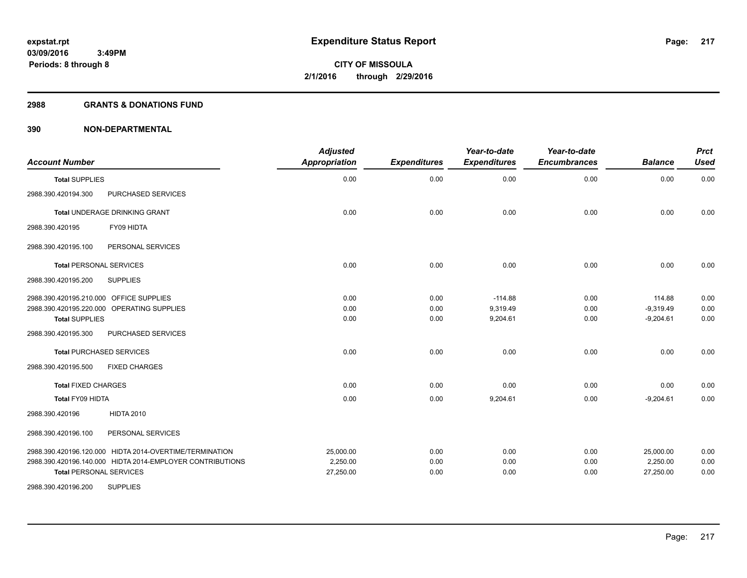# **2988 GRANTS & DONATIONS FUND**

| <b>Account Number</b>                                                                                                                                                                                                                                                                                  | <b>Adjusted</b><br><b>Appropriation</b>      | <b>Expenditures</b>                          | Year-to-date<br><b>Expenditures</b>                           | Year-to-date<br><b>Encumbrances</b>          | <b>Balance</b>                                                      | <b>Prct</b><br><b>Used</b>                   |
|--------------------------------------------------------------------------------------------------------------------------------------------------------------------------------------------------------------------------------------------------------------------------------------------------------|----------------------------------------------|----------------------------------------------|---------------------------------------------------------------|----------------------------------------------|---------------------------------------------------------------------|----------------------------------------------|
| <b>Total SUPPLIES</b>                                                                                                                                                                                                                                                                                  | 0.00                                         | 0.00                                         | 0.00                                                          | 0.00                                         | 0.00                                                                | 0.00                                         |
| PURCHASED SERVICES<br>2988.390.420194.300                                                                                                                                                                                                                                                              |                                              |                                              |                                                               |                                              |                                                                     |                                              |
| <b>Total UNDERAGE DRINKING GRANT</b>                                                                                                                                                                                                                                                                   | 0.00                                         | 0.00                                         | 0.00                                                          | 0.00                                         | 0.00                                                                | 0.00                                         |
| FY09 HIDTA<br>2988.390.420195                                                                                                                                                                                                                                                                          |                                              |                                              |                                                               |                                              |                                                                     |                                              |
| 2988.390.420195.100<br>PERSONAL SERVICES                                                                                                                                                                                                                                                               |                                              |                                              |                                                               |                                              |                                                                     |                                              |
| <b>Total PERSONAL SERVICES</b>                                                                                                                                                                                                                                                                         | 0.00                                         | 0.00                                         | 0.00                                                          | 0.00                                         | 0.00                                                                | 0.00                                         |
| <b>SUPPLIES</b><br>2988.390.420195.200                                                                                                                                                                                                                                                                 |                                              |                                              |                                                               |                                              |                                                                     |                                              |
| 2988.390.420195.210.000 OFFICE SUPPLIES<br>2988.390.420195.220.000 OPERATING SUPPLIES<br><b>Total SUPPLIES</b><br>2988.390.420195.300<br>PURCHASED SERVICES<br><b>Total PURCHASED SERVICES</b><br><b>FIXED CHARGES</b><br>2988.390.420195.500<br><b>Total FIXED CHARGES</b><br><b>Total FY09 HIDTA</b> | 0.00<br>0.00<br>0.00<br>0.00<br>0.00<br>0.00 | 0.00<br>0.00<br>0.00<br>0.00<br>0.00<br>0.00 | $-114.88$<br>9,319.49<br>9,204.61<br>0.00<br>0.00<br>9,204.61 | 0.00<br>0.00<br>0.00<br>0.00<br>0.00<br>0.00 | 114.88<br>$-9,319.49$<br>$-9,204.61$<br>0.00<br>0.00<br>$-9,204.61$ | 0.00<br>0.00<br>0.00<br>0.00<br>0.00<br>0.00 |
| <b>HIDTA 2010</b><br>2988.390.420196                                                                                                                                                                                                                                                                   |                                              |                                              |                                                               |                                              |                                                                     |                                              |
| 2988.390.420196.100<br>PERSONAL SERVICES                                                                                                                                                                                                                                                               |                                              |                                              |                                                               |                                              |                                                                     |                                              |
| 2988.390.420196.120.000 HIDTA 2014-OVERTIME/TERMINATION<br>2988.390.420196.140.000 HIDTA 2014-EMPLOYER CONTRIBUTIONS<br><b>Total PERSONAL SERVICES</b>                                                                                                                                                 | 25,000.00<br>2,250.00<br>27,250.00           | 0.00<br>0.00<br>0.00                         | 0.00<br>0.00<br>0.00                                          | 0.00<br>0.00<br>0.00                         | 25,000.00<br>2,250.00<br>27,250.00                                  | 0.00<br>0.00<br>0.00                         |
| <b>SUPPLIES</b><br>2988.390.420196.200                                                                                                                                                                                                                                                                 |                                              |                                              |                                                               |                                              |                                                                     |                                              |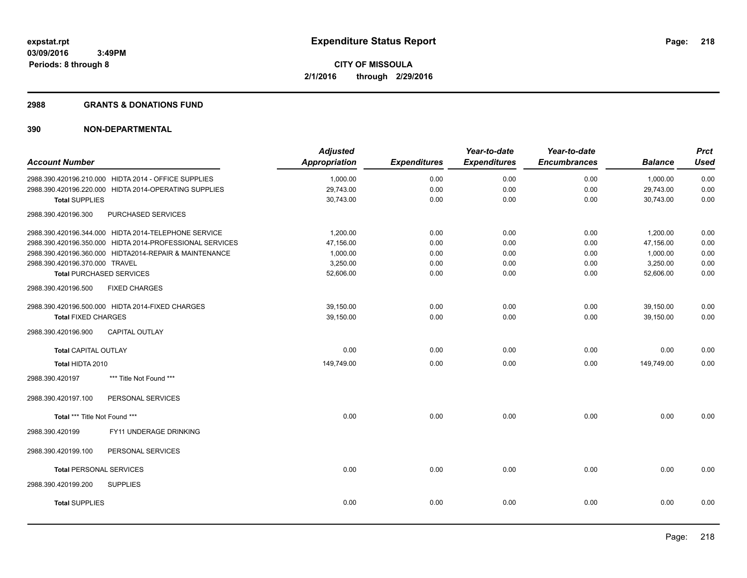### **2988 GRANTS & DONATIONS FUND**

| <b>Account Number</b>          |                                                          | <b>Adjusted</b><br><b>Appropriation</b> | <b>Expenditures</b> | Year-to-date<br><b>Expenditures</b> | Year-to-date<br><b>Encumbrances</b> | <b>Balance</b> | <b>Prct</b><br><b>Used</b> |
|--------------------------------|----------------------------------------------------------|-----------------------------------------|---------------------|-------------------------------------|-------------------------------------|----------------|----------------------------|
|                                | 2988.390.420196.210.000 HIDTA 2014 - OFFICE SUPPLIES     | 1,000.00                                | 0.00                | 0.00                                | 0.00                                | 1,000.00       | 0.00                       |
|                                | 2988.390.420196.220.000 HIDTA 2014-OPERATING SUPPLIES    | 29,743.00                               | 0.00                | 0.00                                | 0.00                                | 29,743.00      | 0.00                       |
| <b>Total SUPPLIES</b>          |                                                          | 30,743.00                               | 0.00                | 0.00                                | 0.00                                | 30,743.00      | 0.00                       |
| 2988.390.420196.300            | PURCHASED SERVICES                                       |                                         |                     |                                     |                                     |                |                            |
|                                | 2988.390.420196.344.000 HIDTA 2014-TELEPHONE SERVICE     | 1,200.00                                | 0.00                | 0.00                                | 0.00                                | 1,200.00       | 0.00                       |
|                                | 2988.390.420196.350.000 HIDTA 2014-PROFESSIONAL SERVICES | 47,156.00                               | 0.00                | 0.00                                | 0.00                                | 47,156.00      | 0.00                       |
|                                | 2988.390.420196.360.000 HIDTA2014-REPAIR & MAINTENANCE   | 1,000.00                                | 0.00                | 0.00                                | 0.00                                | 1,000.00       | 0.00                       |
| 2988.390.420196.370.000 TRAVEL |                                                          | 3,250.00                                | 0.00                | 0.00                                | 0.00                                | 3,250.00       | 0.00                       |
|                                | <b>Total PURCHASED SERVICES</b>                          | 52,606.00                               | 0.00                | 0.00                                | 0.00                                | 52,606.00      | 0.00                       |
| 2988.390.420196.500            | <b>FIXED CHARGES</b>                                     |                                         |                     |                                     |                                     |                |                            |
|                                | 2988.390.420196.500.000 HIDTA 2014-FIXED CHARGES         | 39,150.00                               | 0.00                | 0.00                                | 0.00                                | 39,150.00      | 0.00                       |
| <b>Total FIXED CHARGES</b>     |                                                          | 39,150.00                               | 0.00                | 0.00                                | 0.00                                | 39,150.00      | 0.00                       |
| 2988.390.420196.900            | CAPITAL OUTLAY                                           |                                         |                     |                                     |                                     |                |                            |
| <b>Total CAPITAL OUTLAY</b>    |                                                          | 0.00                                    | 0.00                | 0.00                                | 0.00                                | 0.00           | 0.00                       |
| Total HIDTA 2010               |                                                          | 149,749.00                              | 0.00                | 0.00                                | 0.00                                | 149,749.00     | 0.00                       |
| 2988.390.420197                | *** Title Not Found ***                                  |                                         |                     |                                     |                                     |                |                            |
| 2988.390.420197.100            | PERSONAL SERVICES                                        |                                         |                     |                                     |                                     |                |                            |
| Total *** Title Not Found ***  |                                                          | 0.00                                    | 0.00                | 0.00                                | 0.00                                | 0.00           | 0.00                       |
| 2988.390.420199                | FY11 UNDERAGE DRINKING                                   |                                         |                     |                                     |                                     |                |                            |
| 2988.390.420199.100            | PERSONAL SERVICES                                        |                                         |                     |                                     |                                     |                |                            |
| <b>Total PERSONAL SERVICES</b> |                                                          | 0.00                                    | 0.00                | 0.00                                | 0.00                                | 0.00           | 0.00                       |
| 2988.390.420199.200            | <b>SUPPLIES</b>                                          |                                         |                     |                                     |                                     |                |                            |
| <b>Total SUPPLIES</b>          |                                                          | 0.00                                    | 0.00                | 0.00                                | 0.00                                | 0.00           | 0.00                       |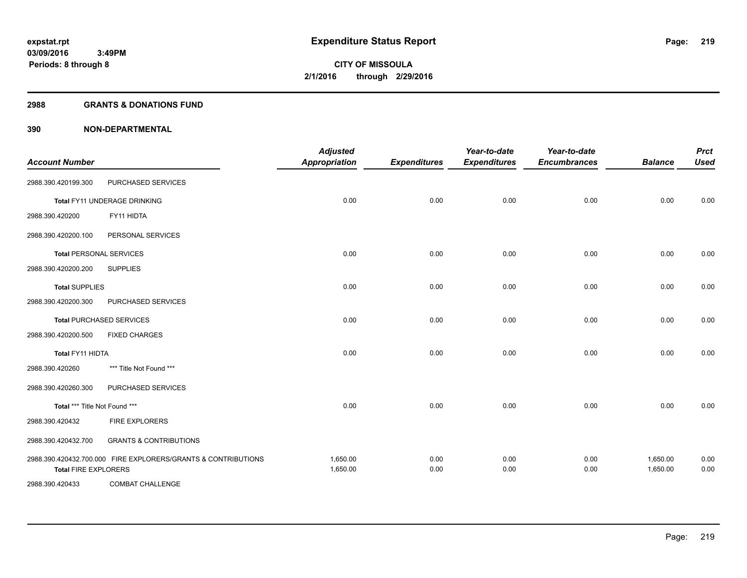## **2988 GRANTS & DONATIONS FUND**

| <b>Account Number</b>          |                                                               | <b>Adjusted</b><br><b>Appropriation</b> | <b>Expenditures</b> | Year-to-date<br><b>Expenditures</b> | Year-to-date<br><b>Encumbrances</b> | <b>Balance</b>       | <b>Prct</b><br><b>Used</b> |
|--------------------------------|---------------------------------------------------------------|-----------------------------------------|---------------------|-------------------------------------|-------------------------------------|----------------------|----------------------------|
| 2988.390.420199.300            | PURCHASED SERVICES                                            |                                         |                     |                                     |                                     |                      |                            |
|                                | Total FY11 UNDERAGE DRINKING                                  | 0.00                                    | 0.00                | 0.00                                | 0.00                                | 0.00                 | 0.00                       |
| 2988.390.420200                | FY11 HIDTA                                                    |                                         |                     |                                     |                                     |                      |                            |
| 2988.390.420200.100            | PERSONAL SERVICES                                             |                                         |                     |                                     |                                     |                      |                            |
| <b>Total PERSONAL SERVICES</b> |                                                               | 0.00                                    | 0.00                | 0.00                                | 0.00                                | 0.00                 | 0.00                       |
| 2988.390.420200.200            | <b>SUPPLIES</b>                                               |                                         |                     |                                     |                                     |                      |                            |
| <b>Total SUPPLIES</b>          |                                                               | 0.00                                    | 0.00                | 0.00                                | 0.00                                | 0.00                 | 0.00                       |
| 2988.390.420200.300            | PURCHASED SERVICES                                            |                                         |                     |                                     |                                     |                      |                            |
|                                | <b>Total PURCHASED SERVICES</b>                               | 0.00                                    | 0.00                | 0.00                                | 0.00                                | 0.00                 | 0.00                       |
| 2988.390.420200.500            | <b>FIXED CHARGES</b>                                          |                                         |                     |                                     |                                     |                      |                            |
| <b>Total FY11 HIDTA</b>        |                                                               | 0.00                                    | 0.00                | 0.00                                | 0.00                                | 0.00                 | 0.00                       |
| 2988.390.420260                | *** Title Not Found ***                                       |                                         |                     |                                     |                                     |                      |                            |
| 2988.390.420260.300            | PURCHASED SERVICES                                            |                                         |                     |                                     |                                     |                      |                            |
| Total *** Title Not Found ***  |                                                               | 0.00                                    | 0.00                | 0.00                                | 0.00                                | 0.00                 | 0.00                       |
| 2988.390.420432                | <b>FIRE EXPLORERS</b>                                         |                                         |                     |                                     |                                     |                      |                            |
| 2988.390.420432.700            | <b>GRANTS &amp; CONTRIBUTIONS</b>                             |                                         |                     |                                     |                                     |                      |                            |
| <b>Total FIRE EXPLORERS</b>    | 2988.390.420432.700.000 FIRE EXPLORERS/GRANTS & CONTRIBUTIONS | 1,650.00<br>1,650.00                    | 0.00<br>0.00        | 0.00<br>0.00                        | 0.00<br>0.00                        | 1,650.00<br>1,650.00 | 0.00<br>0.00               |
| 2988.390.420433                | <b>COMBAT CHALLENGE</b>                                       |                                         |                     |                                     |                                     |                      |                            |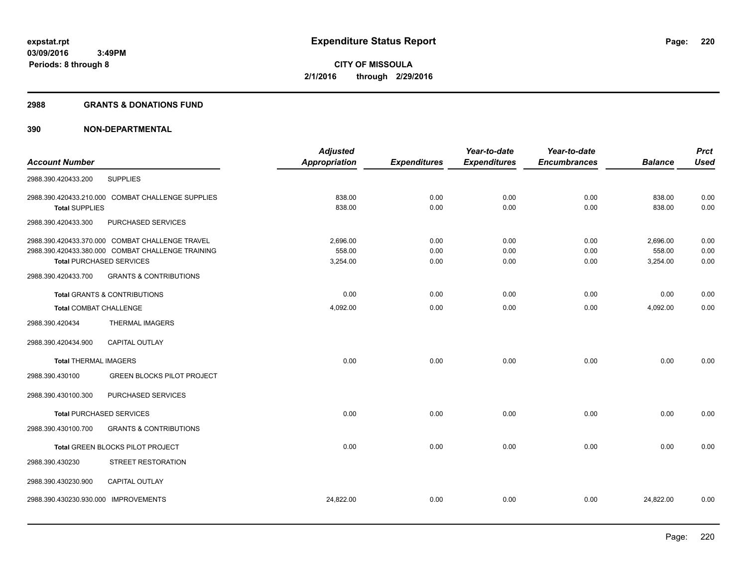### **2988 GRANTS & DONATIONS FUND**

|                                 |                                                   | <b>Adjusted</b> |                     | Year-to-date        | Year-to-date        |                | <b>Prct</b> |
|---------------------------------|---------------------------------------------------|-----------------|---------------------|---------------------|---------------------|----------------|-------------|
| <b>Account Number</b>           |                                                   | Appropriation   | <b>Expenditures</b> | <b>Expenditures</b> | <b>Encumbrances</b> | <b>Balance</b> | <b>Used</b> |
| 2988.390.420433.200             | <b>SUPPLIES</b>                                   |                 |                     |                     |                     |                |             |
|                                 | 2988.390.420433.210.000 COMBAT CHALLENGE SUPPLIES | 838.00          | 0.00                | 0.00                | 0.00                | 838.00         | 0.00        |
| <b>Total SUPPLIES</b>           |                                                   | 838.00          | 0.00                | 0.00                | 0.00                | 838.00         | 0.00        |
| 2988.390.420433.300             | PURCHASED SERVICES                                |                 |                     |                     |                     |                |             |
|                                 | 2988.390.420433.370.000 COMBAT CHALLENGE TRAVEL   | 2,696.00        | 0.00                | 0.00                | 0.00                | 2,696.00       | 0.00        |
|                                 | 2988.390.420433.380.000 COMBAT CHALLENGE TRAINING | 558.00          | 0.00                | 0.00                | 0.00                | 558.00         | 0.00        |
| <b>Total PURCHASED SERVICES</b> |                                                   | 3,254.00        | 0.00                | 0.00                | 0.00                | 3,254.00       | 0.00        |
| 2988.390.420433.700             | <b>GRANTS &amp; CONTRIBUTIONS</b>                 |                 |                     |                     |                     |                |             |
|                                 | <b>Total GRANTS &amp; CONTRIBUTIONS</b>           | 0.00            | 0.00                | 0.00                | 0.00                | 0.00           | 0.00        |
| <b>Total COMBAT CHALLENGE</b>   |                                                   | 4,092.00        | 0.00                | 0.00                | 0.00                | 4,092.00       | 0.00        |
| 2988.390.420434                 | <b>THERMAL IMAGERS</b>                            |                 |                     |                     |                     |                |             |
| 2988.390.420434.900             | <b>CAPITAL OUTLAY</b>                             |                 |                     |                     |                     |                |             |
| <b>Total THERMAL IMAGERS</b>    |                                                   | 0.00            | 0.00                | 0.00                | 0.00                | 0.00           | 0.00        |
| 2988.390.430100                 | <b>GREEN BLOCKS PILOT PROJECT</b>                 |                 |                     |                     |                     |                |             |
| 2988.390.430100.300             | PURCHASED SERVICES                                |                 |                     |                     |                     |                |             |
| <b>Total PURCHASED SERVICES</b> |                                                   | 0.00            | 0.00                | 0.00                | 0.00                | 0.00           | 0.00        |
| 2988.390.430100.700             | <b>GRANTS &amp; CONTRIBUTIONS</b>                 |                 |                     |                     |                     |                |             |
|                                 | Total GREEN BLOCKS PILOT PROJECT                  | 0.00            | 0.00                | 0.00                | 0.00                | 0.00           | 0.00        |
| 2988.390.430230                 | STREET RESTORATION                                |                 |                     |                     |                     |                |             |
| 2988.390.430230.900             | <b>CAPITAL OUTLAY</b>                             |                 |                     |                     |                     |                |             |
| 2988.390.430230.930.000         | <b>IMPROVEMENTS</b>                               | 24,822.00       | 0.00                | 0.00                | 0.00                | 24,822.00      | 0.00        |
|                                 |                                                   |                 |                     |                     |                     |                |             |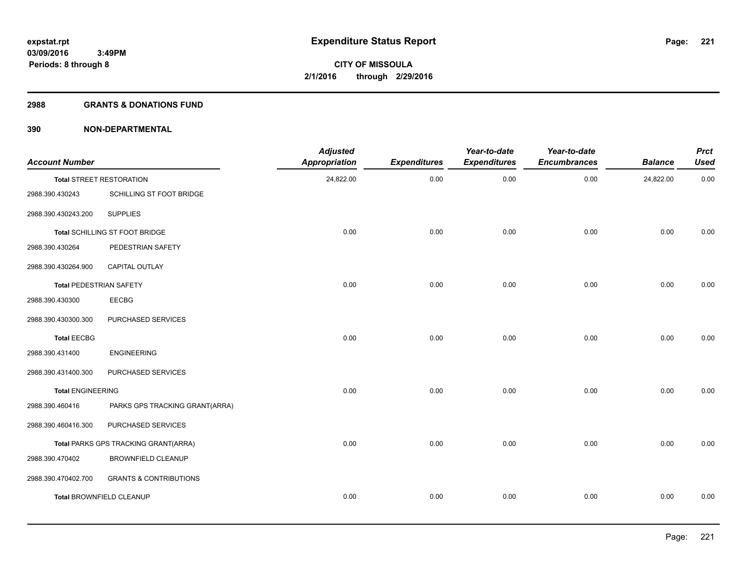### **2988 GRANTS & DONATIONS FUND**

| <b>Account Number</b>          |                                      | <b>Adjusted</b><br>Appropriation | <b>Expenditures</b> | Year-to-date<br><b>Expenditures</b> | Year-to-date<br><b>Encumbrances</b> | <b>Balance</b> | <b>Prct</b><br><b>Used</b> |
|--------------------------------|--------------------------------------|----------------------------------|---------------------|-------------------------------------|-------------------------------------|----------------|----------------------------|
|                                | <b>Total STREET RESTORATION</b>      | 24,822.00                        | 0.00                | 0.00                                | 0.00                                | 24,822.00      | 0.00                       |
| 2988.390.430243                | SCHILLING ST FOOT BRIDGE             |                                  |                     |                                     |                                     |                |                            |
| 2988.390.430243.200            | <b>SUPPLIES</b>                      |                                  |                     |                                     |                                     |                |                            |
|                                | Total SCHILLING ST FOOT BRIDGE       | 0.00                             | 0.00                | 0.00                                | 0.00                                | 0.00           | 0.00                       |
| 2988.390.430264                | PEDESTRIAN SAFETY                    |                                  |                     |                                     |                                     |                |                            |
| 2988.390.430264.900            | CAPITAL OUTLAY                       |                                  |                     |                                     |                                     |                |                            |
| <b>Total PEDESTRIAN SAFETY</b> |                                      | 0.00                             | 0.00                | 0.00                                | 0.00                                | 0.00           | 0.00                       |
| 2988.390.430300                | <b>EECBG</b>                         |                                  |                     |                                     |                                     |                |                            |
| 2988.390.430300.300            | PURCHASED SERVICES                   |                                  |                     |                                     |                                     |                |                            |
| <b>Total EECBG</b>             |                                      | 0.00                             | 0.00                | 0.00                                | 0.00                                | 0.00           | 0.00                       |
| 2988.390.431400                | <b>ENGINEERING</b>                   |                                  |                     |                                     |                                     |                |                            |
| 2988.390.431400.300            | PURCHASED SERVICES                   |                                  |                     |                                     |                                     |                |                            |
| <b>Total ENGINEERING</b>       |                                      | 0.00                             | 0.00                | 0.00                                | 0.00                                | 0.00           | 0.00                       |
| 2988.390.460416                | PARKS GPS TRACKING GRANT(ARRA)       |                                  |                     |                                     |                                     |                |                            |
| 2988.390.460416.300            | PURCHASED SERVICES                   |                                  |                     |                                     |                                     |                |                            |
|                                | Total PARKS GPS TRACKING GRANT(ARRA) | 0.00                             | 0.00                | 0.00                                | 0.00                                | 0.00           | 0.00                       |
| 2988.390.470402                | <b>BROWNFIELD CLEANUP</b>            |                                  |                     |                                     |                                     |                |                            |
| 2988.390.470402.700            | <b>GRANTS &amp; CONTRIBUTIONS</b>    |                                  |                     |                                     |                                     |                |                            |
|                                | Total BROWNFIELD CLEANUP             | 0.00                             | 0.00                | 0.00                                | 0.00                                | 0.00           | 0.00                       |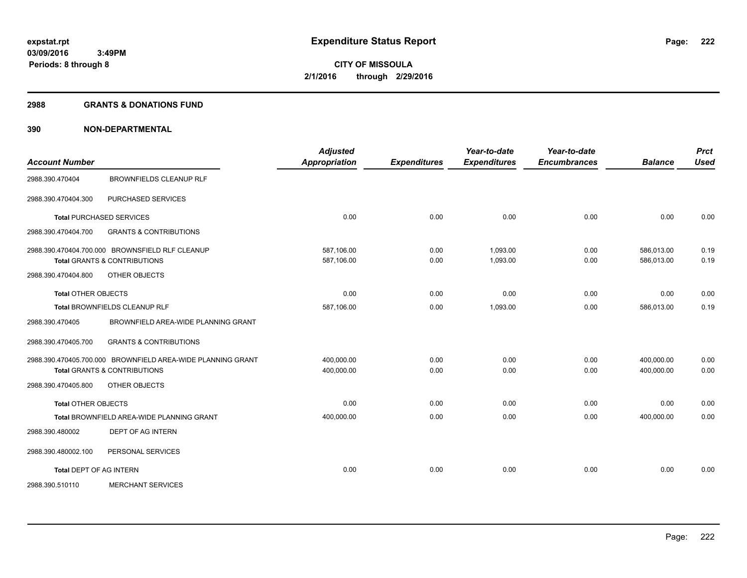### **2988 GRANTS & DONATIONS FUND**

| <b>Account Number</b>          |                                                             | <b>Adjusted</b><br><b>Appropriation</b> | <b>Expenditures</b> | Year-to-date<br><b>Expenditures</b> | Year-to-date<br><b>Encumbrances</b> | <b>Balance</b> | <b>Prct</b><br><b>Used</b> |
|--------------------------------|-------------------------------------------------------------|-----------------------------------------|---------------------|-------------------------------------|-------------------------------------|----------------|----------------------------|
|                                |                                                             |                                         |                     |                                     |                                     |                |                            |
| 2988.390.470404                | <b>BROWNFIELDS CLEANUP RLF</b>                              |                                         |                     |                                     |                                     |                |                            |
| 2988.390.470404.300            | PURCHASED SERVICES                                          |                                         |                     |                                     |                                     |                |                            |
|                                | <b>Total PURCHASED SERVICES</b>                             | 0.00                                    | 0.00                | 0.00                                | 0.00                                | 0.00           | 0.00                       |
| 2988.390.470404.700            | <b>GRANTS &amp; CONTRIBUTIONS</b>                           |                                         |                     |                                     |                                     |                |                            |
|                                | 2988.390.470404.700.000 BROWNSFIELD RLF CLEANUP             | 587.106.00                              | 0.00                | 1.093.00                            | 0.00                                | 586.013.00     | 0.19                       |
|                                | <b>Total GRANTS &amp; CONTRIBUTIONS</b>                     | 587,106.00                              | 0.00                | 1,093.00                            | 0.00                                | 586,013.00     | 0.19                       |
| 2988.390.470404.800            | OTHER OBJECTS                                               |                                         |                     |                                     |                                     |                |                            |
| <b>Total OTHER OBJECTS</b>     |                                                             | 0.00                                    | 0.00                | 0.00                                | 0.00                                | 0.00           | 0.00                       |
|                                | Total BROWNFIELDS CLEANUP RLF                               | 587,106.00                              | 0.00                | 1,093.00                            | 0.00                                | 586,013.00     | 0.19                       |
| 2988.390.470405                | BROWNFIELD AREA-WIDE PLANNING GRANT                         |                                         |                     |                                     |                                     |                |                            |
| 2988.390.470405.700            | <b>GRANTS &amp; CONTRIBUTIONS</b>                           |                                         |                     |                                     |                                     |                |                            |
|                                | 2988.390.470405.700.000 BROWNFIELD AREA-WIDE PLANNING GRANT | 400.000.00                              | 0.00                | 0.00                                | 0.00                                | 400.000.00     | 0.00                       |
|                                | <b>Total GRANTS &amp; CONTRIBUTIONS</b>                     | 400,000.00                              | 0.00                | 0.00                                | 0.00                                | 400.000.00     | 0.00                       |
| 2988.390.470405.800            | OTHER OBJECTS                                               |                                         |                     |                                     |                                     |                |                            |
| <b>Total OTHER OBJECTS</b>     |                                                             | 0.00                                    | 0.00                | 0.00                                | 0.00                                | 0.00           | 0.00                       |
|                                | <b>Total BROWNFIELD AREA-WIDE PLANNING GRANT</b>            | 400,000.00                              | 0.00                | 0.00                                | 0.00                                | 400,000.00     | 0.00                       |
| 2988.390.480002                | DEPT OF AG INTERN                                           |                                         |                     |                                     |                                     |                |                            |
| 2988.390.480002.100            | PERSONAL SERVICES                                           |                                         |                     |                                     |                                     |                |                            |
| <b>Total DEPT OF AG INTERN</b> |                                                             | 0.00                                    | 0.00                | 0.00                                | 0.00                                | 0.00           | 0.00                       |
| 2988.390.510110                | <b>MERCHANT SERVICES</b>                                    |                                         |                     |                                     |                                     |                |                            |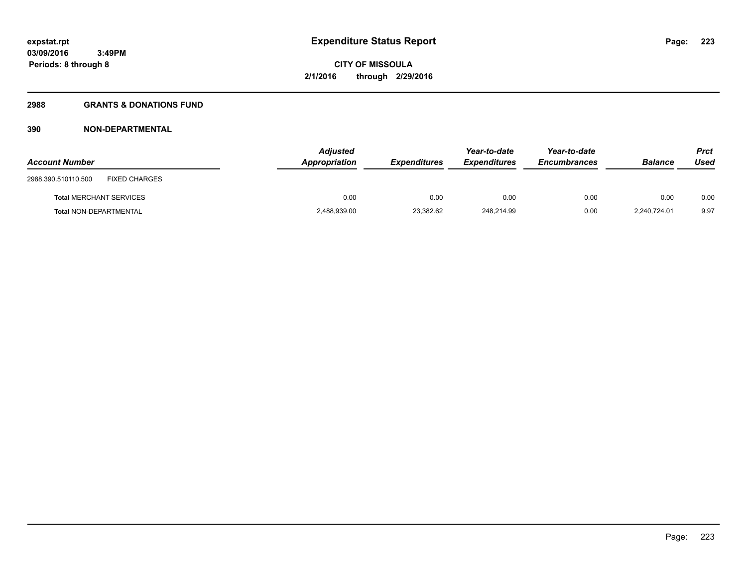# **2988 GRANTS & DONATIONS FUND**

| <b>Account Number</b>                       | <b>Adjusted</b><br>Appropriation | <b>Expenditures</b> | Year-to-date<br><b>Expenditures</b> | Year-to-date<br><b>Encumbrances</b> | <b>Balance</b> | Prct<br>Used |
|---------------------------------------------|----------------------------------|---------------------|-------------------------------------|-------------------------------------|----------------|--------------|
| <b>FIXED CHARGES</b><br>2988.390.510110.500 |                                  |                     |                                     |                                     |                |              |
| <b>Total MERCHANT SERVICES</b>              | 0.00                             | 0.00                | 0.00                                | 0.00                                | 0.00           | 0.00         |
| Total NON-DEPARTMENTAL                      | 2,488,939.00                     | 23,382.62           | 248.214.99                          | 0.00                                | 2.240.724.01   | 9.97         |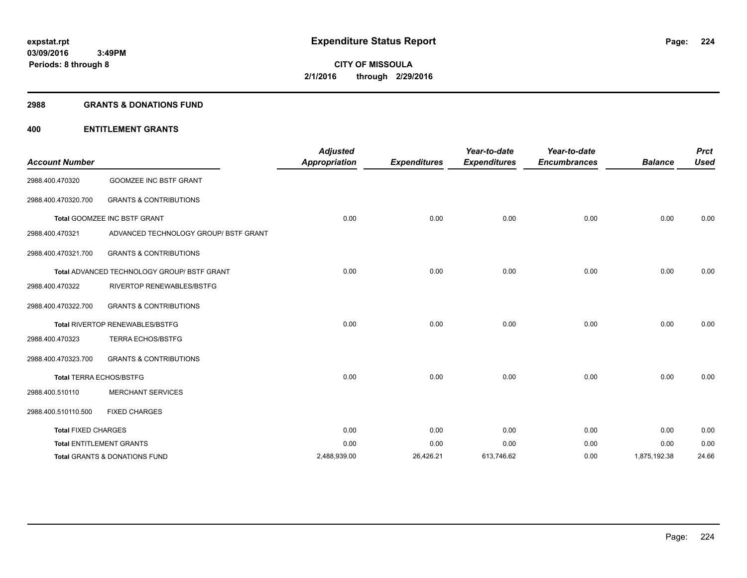### **2988 GRANTS & DONATIONS FUND**

# **400 ENTITLEMENT GRANTS**

| <b>Account Number</b>      |                                                    | <b>Adjusted</b><br><b>Appropriation</b> | <b>Expenditures</b> | Year-to-date<br><b>Expenditures</b> | Year-to-date<br><b>Encumbrances</b> | <b>Balance</b> | <b>Prct</b><br><b>Used</b> |
|----------------------------|----------------------------------------------------|-----------------------------------------|---------------------|-------------------------------------|-------------------------------------|----------------|----------------------------|
| 2988.400.470320            | <b>GOOMZEE INC BSTF GRANT</b>                      |                                         |                     |                                     |                                     |                |                            |
| 2988.400.470320.700        | <b>GRANTS &amp; CONTRIBUTIONS</b>                  |                                         |                     |                                     |                                     |                |                            |
|                            | Total GOOMZEE INC BSTF GRANT                       | 0.00                                    | 0.00                | 0.00                                | 0.00                                | 0.00           | 0.00                       |
| 2988.400.470321            | ADVANCED TECHNOLOGY GROUP/ BSTF GRANT              |                                         |                     |                                     |                                     |                |                            |
| 2988.400.470321.700        | <b>GRANTS &amp; CONTRIBUTIONS</b>                  |                                         |                     |                                     |                                     |                |                            |
|                            | <b>Total ADVANCED TECHNOLOGY GROUP/ BSTF GRANT</b> | 0.00                                    | 0.00                | 0.00                                | 0.00                                | 0.00           | 0.00                       |
| 2988.400.470322            | <b>RIVERTOP RENEWABLES/BSTFG</b>                   |                                         |                     |                                     |                                     |                |                            |
| 2988.400.470322.700        | <b>GRANTS &amp; CONTRIBUTIONS</b>                  |                                         |                     |                                     |                                     |                |                            |
|                            | Total RIVERTOP RENEWABLES/BSTFG                    | 0.00                                    | 0.00                | 0.00                                | 0.00                                | 0.00           | 0.00                       |
| 2988.400.470323            | <b>TERRA ECHOS/BSTFG</b>                           |                                         |                     |                                     |                                     |                |                            |
| 2988.400.470323.700        | <b>GRANTS &amp; CONTRIBUTIONS</b>                  |                                         |                     |                                     |                                     |                |                            |
|                            | <b>Total TERRA ECHOS/BSTFG</b>                     | 0.00                                    | 0.00                | 0.00                                | 0.00                                | 0.00           | 0.00                       |
| 2988.400.510110            | <b>MERCHANT SERVICES</b>                           |                                         |                     |                                     |                                     |                |                            |
| 2988.400.510110.500        | <b>FIXED CHARGES</b>                               |                                         |                     |                                     |                                     |                |                            |
| <b>Total FIXED CHARGES</b> |                                                    | 0.00                                    | 0.00                | 0.00                                | 0.00                                | 0.00           | 0.00                       |
|                            | <b>Total ENTITLEMENT GRANTS</b>                    | 0.00                                    | 0.00                | 0.00                                | 0.00                                | 0.00           | 0.00                       |
|                            | <b>Total GRANTS &amp; DONATIONS FUND</b>           | 2,488,939.00                            | 26,426.21           | 613,746.62                          | 0.00                                | 1,875,192.38   | 24.66                      |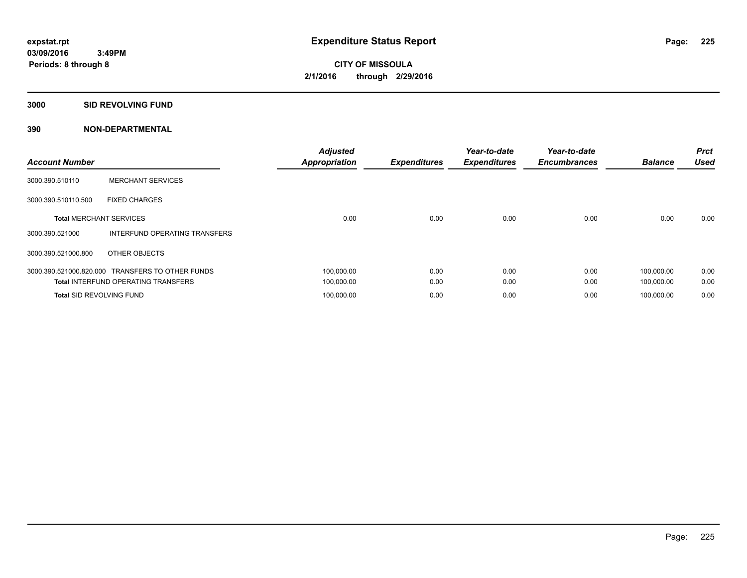**3000 SID REVOLVING FUND**

| <b>Account Number</b>           |                                            | <b>Adjusted</b><br><b>Appropriation</b> | <b>Expenditures</b> | Year-to-date<br><b>Expenditures</b> | Year-to-date<br><b>Encumbrances</b> | <b>Balance</b> | <b>Prct</b><br><b>Used</b> |
|---------------------------------|--------------------------------------------|-----------------------------------------|---------------------|-------------------------------------|-------------------------------------|----------------|----------------------------|
| 3000.390.510110                 | <b>MERCHANT SERVICES</b>                   |                                         |                     |                                     |                                     |                |                            |
| 3000.390.510110.500             | <b>FIXED CHARGES</b>                       |                                         |                     |                                     |                                     |                |                            |
| <b>Total MERCHANT SERVICES</b>  |                                            | 0.00                                    | 0.00                | 0.00                                | 0.00                                | 0.00           | 0.00                       |
| 3000.390.521000                 | INTERFUND OPERATING TRANSFERS              |                                         |                     |                                     |                                     |                |                            |
| 3000.390.521000.800             | OTHER OBJECTS                              |                                         |                     |                                     |                                     |                |                            |
| 3000.390.521000.820.000         | <b>TRANSFERS TO OTHER FUNDS</b>            | 100,000.00                              | 0.00                | 0.00                                | 0.00                                | 100.000.00     | 0.00                       |
|                                 | <b>Total INTERFUND OPERATING TRANSFERS</b> | 100,000.00                              | 0.00                | 0.00                                | 0.00                                | 100,000.00     | 0.00                       |
| <b>Total SID REVOLVING FUND</b> |                                            | 100,000.00                              | 0.00                | 0.00                                | 0.00                                | 100.000.00     | 0.00                       |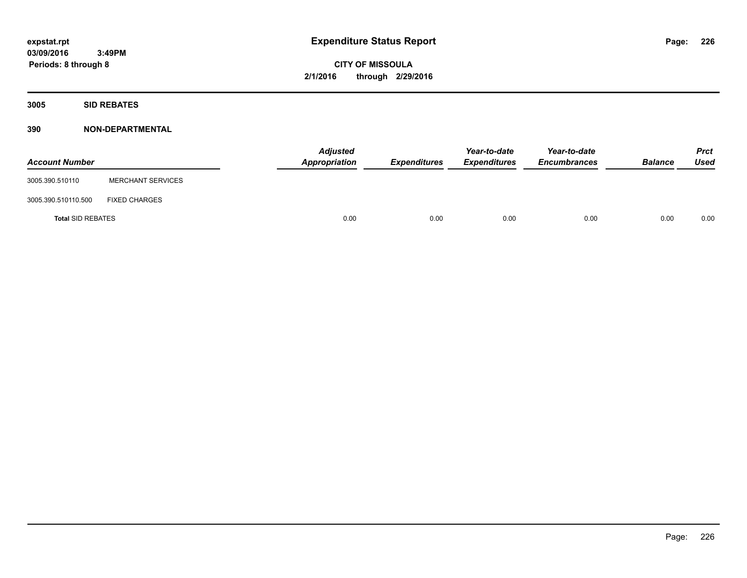**CITY OF MISSOULA 2/1/2016 through 2/29/2016**

**3005 SID REBATES**

| <b>Account Number</b>    |                          | <b>Adjusted</b><br>Appropriation | Expenditures | Year-to-date<br><b>Expenditures</b> | Year-to-date<br><b>Encumbrances</b> | <b>Balance</b> | <b>Prct</b><br>Used |
|--------------------------|--------------------------|----------------------------------|--------------|-------------------------------------|-------------------------------------|----------------|---------------------|
| 3005.390.510110          | <b>MERCHANT SERVICES</b> |                                  |              |                                     |                                     |                |                     |
| 3005.390.510110.500      | <b>FIXED CHARGES</b>     |                                  |              |                                     |                                     |                |                     |
| <b>Total SID REBATES</b> |                          | 0.00                             | 0.00         | 0.00                                | 0.00                                | 0.00           | 0.00                |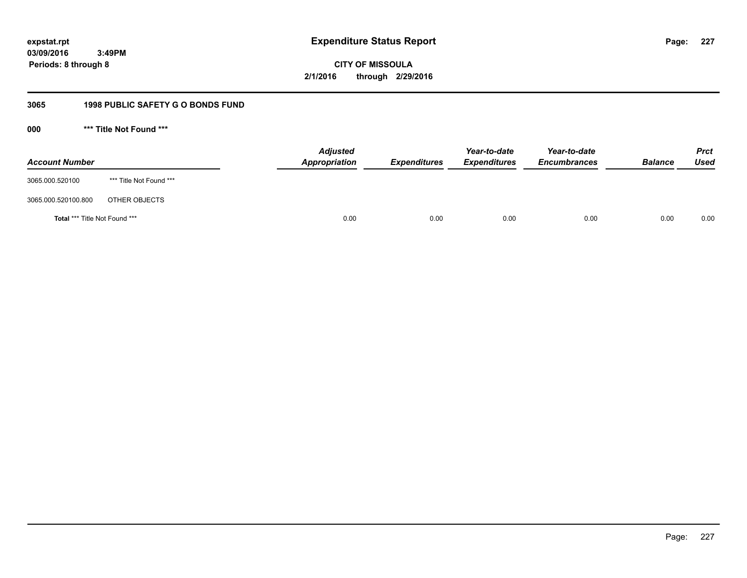**227**

**03/09/2016 3:49PM Periods: 8 through 8**

**CITY OF MISSOULA 2/1/2016 through 2/29/2016**

# **3065 1998 PUBLIC SAFETY G O BONDS FUND**

**000 \*\*\* Title Not Found \*\*\***

| <b>Account Number</b>         |                         | <b>Adjusted</b><br>Appropriation | <b>Expenditures</b> | Year-to-date<br><b>Expenditures</b> | Year-to-date<br><b>Encumbrances</b> | <b>Balance</b> | <b>Prct</b><br>Used |
|-------------------------------|-------------------------|----------------------------------|---------------------|-------------------------------------|-------------------------------------|----------------|---------------------|
| 3065.000.520100               | *** Title Not Found *** |                                  |                     |                                     |                                     |                |                     |
| 3065.000.520100.800           | OTHER OBJECTS           |                                  |                     |                                     |                                     |                |                     |
| Total *** Title Not Found *** |                         | 0.00                             | 0.00                | 0.00                                | 0.00                                | 0.00           | 0.00                |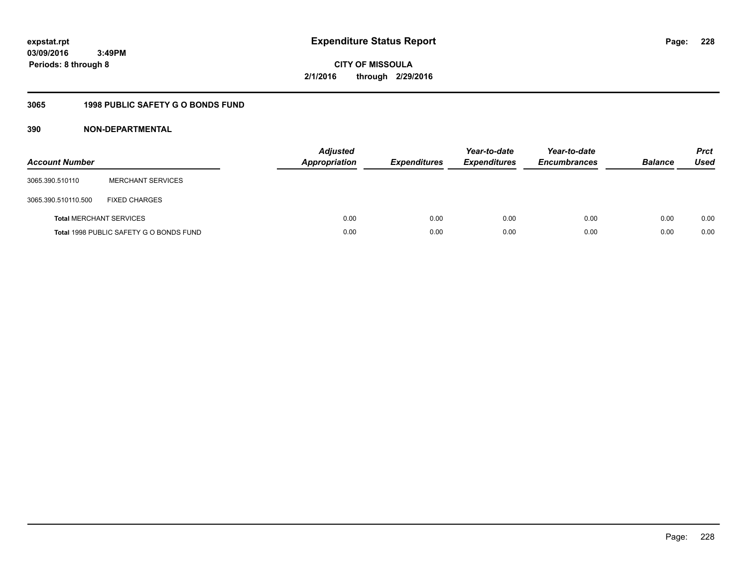**228**

**03/09/2016 3:49PM Periods: 8 through 8**

**CITY OF MISSOULA 2/1/2016 through 2/29/2016**

# **3065 1998 PUBLIC SAFETY G O BONDS FUND**

| <b>Account Number</b>          |                                         | <b>Adjusted</b><br><b>Appropriation</b> | <b>Expenditures</b> | Year-to-date<br><b>Expenditures</b> | Year-to-date<br><b>Encumbrances</b> | <b>Balance</b> | <b>Prct</b><br><b>Used</b> |
|--------------------------------|-----------------------------------------|-----------------------------------------|---------------------|-------------------------------------|-------------------------------------|----------------|----------------------------|
| 3065.390.510110                | <b>MERCHANT SERVICES</b>                |                                         |                     |                                     |                                     |                |                            |
| 3065.390.510110.500            | <b>FIXED CHARGES</b>                    |                                         |                     |                                     |                                     |                |                            |
| <b>Total MERCHANT SERVICES</b> |                                         | 0.00                                    | 0.00                | 0.00                                | 0.00                                | 0.00           | 0.00                       |
|                                | Total 1998 PUBLIC SAFETY G O BONDS FUND | 0.00                                    | 0.00                | 0.00                                | 0.00                                | 0.00           | 0.00                       |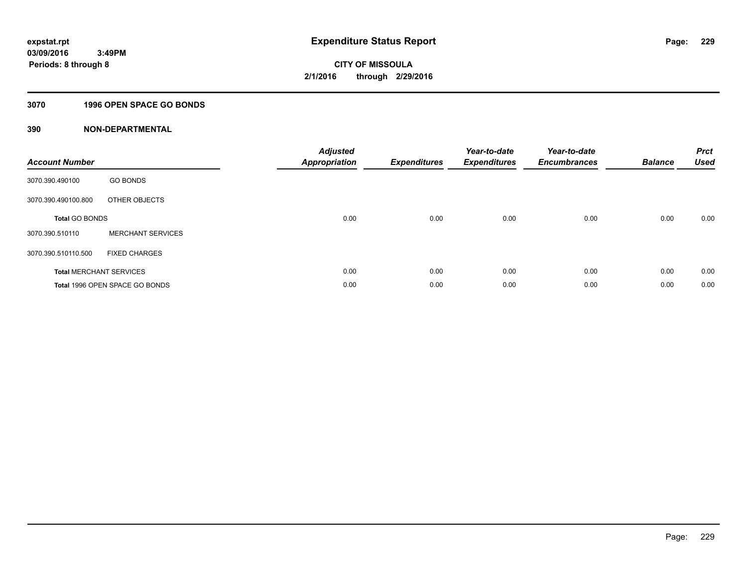# **3070 1996 OPEN SPACE GO BONDS**

| <b>Account Number</b> |                                | <b>Adjusted</b><br>Appropriation | <b>Expenditures</b> | Year-to-date<br><b>Expenditures</b> | Year-to-date<br><b>Encumbrances</b> | <b>Balance</b> | <b>Prct</b><br><b>Used</b> |
|-----------------------|--------------------------------|----------------------------------|---------------------|-------------------------------------|-------------------------------------|----------------|----------------------------|
| 3070.390.490100       | <b>GO BONDS</b>                |                                  |                     |                                     |                                     |                |                            |
| 3070.390.490100.800   | OTHER OBJECTS                  |                                  |                     |                                     |                                     |                |                            |
| <b>Total GO BONDS</b> |                                | 0.00                             | 0.00                | 0.00                                | 0.00                                | 0.00           | 0.00                       |
| 3070.390.510110       | <b>MERCHANT SERVICES</b>       |                                  |                     |                                     |                                     |                |                            |
| 3070.390.510110.500   | <b>FIXED CHARGES</b>           |                                  |                     |                                     |                                     |                |                            |
|                       | <b>Total MERCHANT SERVICES</b> | 0.00                             | 0.00                | 0.00                                | 0.00                                | 0.00           | 0.00                       |
|                       | Total 1996 OPEN SPACE GO BONDS | 0.00                             | 0.00                | 0.00                                | 0.00                                | 0.00           | 0.00                       |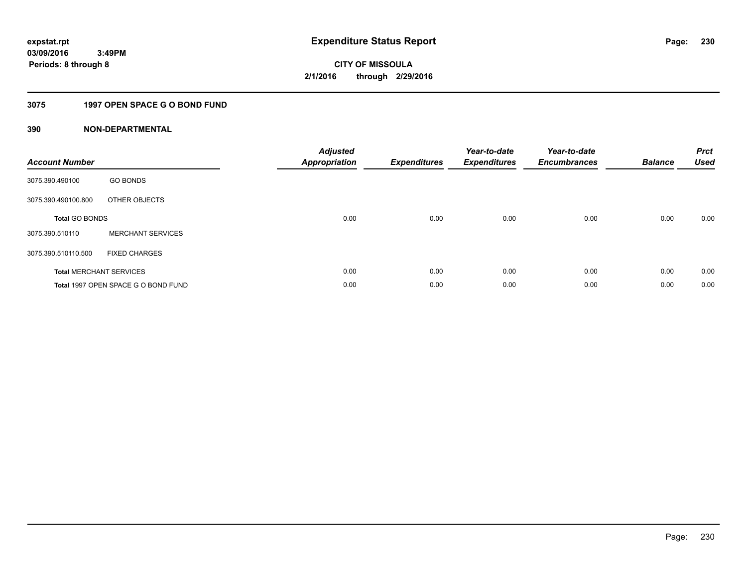# **3075 1997 OPEN SPACE G O BOND FUND**

| <b>Account Number</b> |                                     | <b>Adjusted</b><br>Appropriation | <b>Expenditures</b> | Year-to-date<br><b>Expenditures</b> | Year-to-date<br><b>Encumbrances</b> | <b>Balance</b> | <b>Prct</b><br><b>Used</b> |
|-----------------------|-------------------------------------|----------------------------------|---------------------|-------------------------------------|-------------------------------------|----------------|----------------------------|
| 3075.390.490100       | <b>GO BONDS</b>                     |                                  |                     |                                     |                                     |                |                            |
| 3075.390.490100.800   | OTHER OBJECTS                       |                                  |                     |                                     |                                     |                |                            |
| <b>Total GO BONDS</b> |                                     | 0.00                             | 0.00                | 0.00                                | 0.00                                | 0.00           | 0.00                       |
| 3075.390.510110       | <b>MERCHANT SERVICES</b>            |                                  |                     |                                     |                                     |                |                            |
| 3075.390.510110.500   | <b>FIXED CHARGES</b>                |                                  |                     |                                     |                                     |                |                            |
|                       | <b>Total MERCHANT SERVICES</b>      | 0.00                             | 0.00                | 0.00                                | 0.00                                | 0.00           | 0.00                       |
|                       | Total 1997 OPEN SPACE G O BOND FUND | 0.00                             | 0.00                | 0.00                                | 0.00                                | 0.00           | 0.00                       |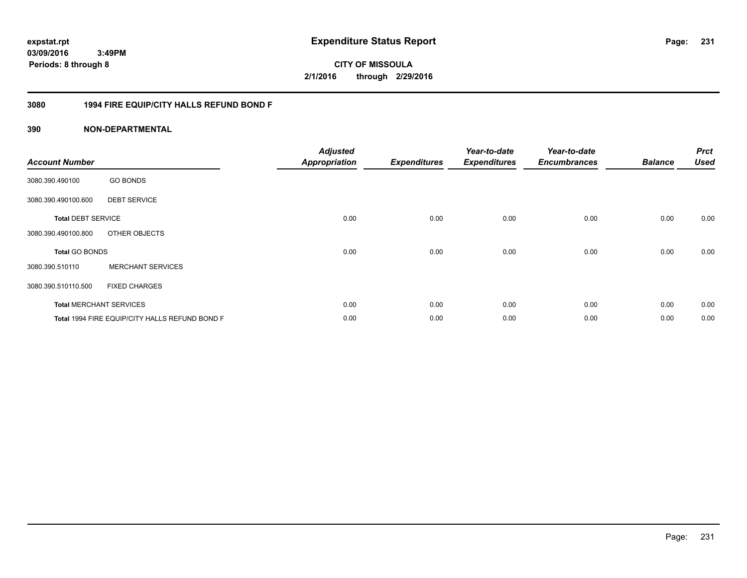**231**

**03/09/2016 3:49PM Periods: 8 through 8**

**CITY OF MISSOULA 2/1/2016 through 2/29/2016**

# **3080 1994 FIRE EQUIP/CITY HALLS REFUND BOND F**

| <b>Account Number</b>     |                                                | <b>Adjusted</b><br><b>Appropriation</b> | <b>Expenditures</b> | Year-to-date<br><b>Expenditures</b> | Year-to-date<br><b>Encumbrances</b> | <b>Balance</b> | <b>Prct</b><br><b>Used</b> |
|---------------------------|------------------------------------------------|-----------------------------------------|---------------------|-------------------------------------|-------------------------------------|----------------|----------------------------|
| 3080.390.490100           | <b>GO BONDS</b>                                |                                         |                     |                                     |                                     |                |                            |
| 3080.390.490100.600       | <b>DEBT SERVICE</b>                            |                                         |                     |                                     |                                     |                |                            |
| <b>Total DEBT SERVICE</b> |                                                | 0.00                                    | 0.00                | 0.00                                | 0.00                                | 0.00           | 0.00                       |
| 3080.390.490100.800       | OTHER OBJECTS                                  |                                         |                     |                                     |                                     |                |                            |
| <b>Total GO BONDS</b>     |                                                | 0.00                                    | 0.00                | 0.00                                | 0.00                                | 0.00           | 0.00                       |
| 3080.390.510110           | <b>MERCHANT SERVICES</b>                       |                                         |                     |                                     |                                     |                |                            |
| 3080.390.510110.500       | <b>FIXED CHARGES</b>                           |                                         |                     |                                     |                                     |                |                            |
|                           | <b>Total MERCHANT SERVICES</b>                 | 0.00                                    | 0.00                | 0.00                                | 0.00                                | 0.00           | 0.00                       |
|                           | Total 1994 FIRE EQUIP/CITY HALLS REFUND BOND F | 0.00                                    | 0.00                | 0.00                                | 0.00                                | 0.00           | 0.00                       |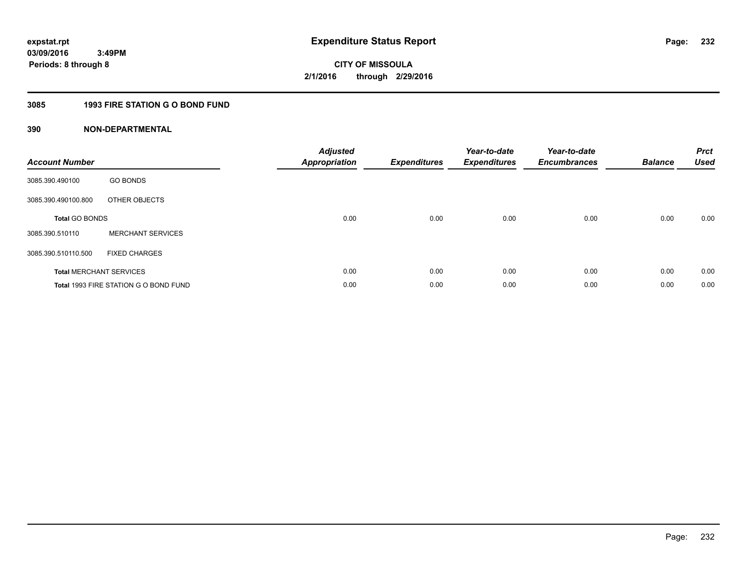# **3085 1993 FIRE STATION G O BOND FUND**

| <b>Account Number</b> |                                       | <b>Adjusted</b><br>Appropriation | <b>Expenditures</b> | Year-to-date<br><b>Expenditures</b> | Year-to-date<br><b>Encumbrances</b> | <b>Balance</b> | <b>Prct</b><br><b>Used</b> |
|-----------------------|---------------------------------------|----------------------------------|---------------------|-------------------------------------|-------------------------------------|----------------|----------------------------|
| 3085.390.490100       | <b>GO BONDS</b>                       |                                  |                     |                                     |                                     |                |                            |
| 3085.390.490100.800   | OTHER OBJECTS                         |                                  |                     |                                     |                                     |                |                            |
| <b>Total GO BONDS</b> |                                       | 0.00                             | 0.00                | 0.00                                | 0.00                                | 0.00           | 0.00                       |
| 3085.390.510110       | <b>MERCHANT SERVICES</b>              |                                  |                     |                                     |                                     |                |                            |
| 3085.390.510110.500   | <b>FIXED CHARGES</b>                  |                                  |                     |                                     |                                     |                |                            |
|                       | <b>Total MERCHANT SERVICES</b>        | 0.00                             | 0.00                | 0.00                                | 0.00                                | 0.00           | 0.00                       |
|                       | Total 1993 FIRE STATION G O BOND FUND | 0.00                             | 0.00                | 0.00                                | 0.00                                | 0.00           | 0.00                       |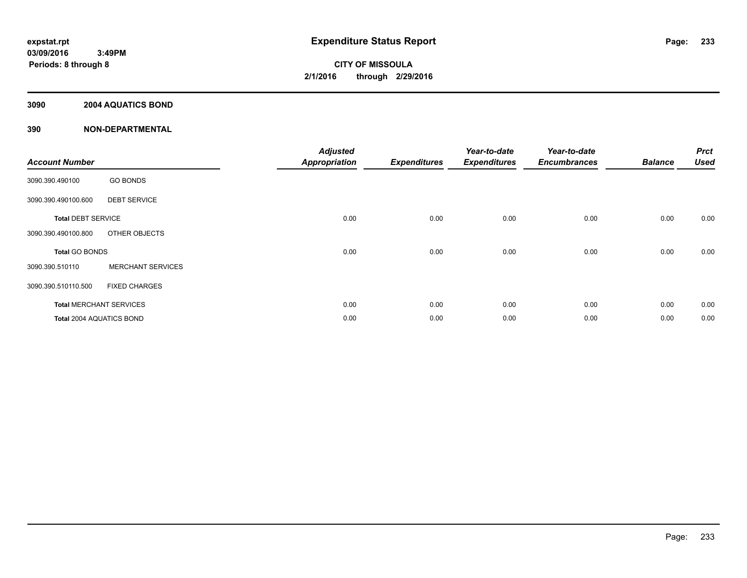# **3090 2004 AQUATICS BOND**

|                           |                                | <b>Adjusted</b>      |                     | Year-to-date        | Year-to-date        |                | <b>Prct</b> |
|---------------------------|--------------------------------|----------------------|---------------------|---------------------|---------------------|----------------|-------------|
| <b>Account Number</b>     |                                | <b>Appropriation</b> | <b>Expenditures</b> | <b>Expenditures</b> | <b>Encumbrances</b> | <b>Balance</b> | <b>Used</b> |
| 3090.390.490100           | <b>GO BONDS</b>                |                      |                     |                     |                     |                |             |
| 3090.390.490100.600       | <b>DEBT SERVICE</b>            |                      |                     |                     |                     |                |             |
| <b>Total DEBT SERVICE</b> |                                | 0.00                 | 0.00                | 0.00                | 0.00                | 0.00           | 0.00        |
| 3090.390.490100.800       | OTHER OBJECTS                  |                      |                     |                     |                     |                |             |
| <b>Total GO BONDS</b>     |                                | 0.00                 | 0.00                | 0.00                | 0.00                | 0.00           | 0.00        |
| 3090.390.510110           | <b>MERCHANT SERVICES</b>       |                      |                     |                     |                     |                |             |
| 3090.390.510110.500       | <b>FIXED CHARGES</b>           |                      |                     |                     |                     |                |             |
|                           | <b>Total MERCHANT SERVICES</b> | 0.00                 | 0.00                | 0.00                | 0.00                | 0.00           | 0.00        |
| Total 2004 AQUATICS BOND  |                                | 0.00                 | 0.00                | 0.00                | 0.00                | 0.00           | 0.00        |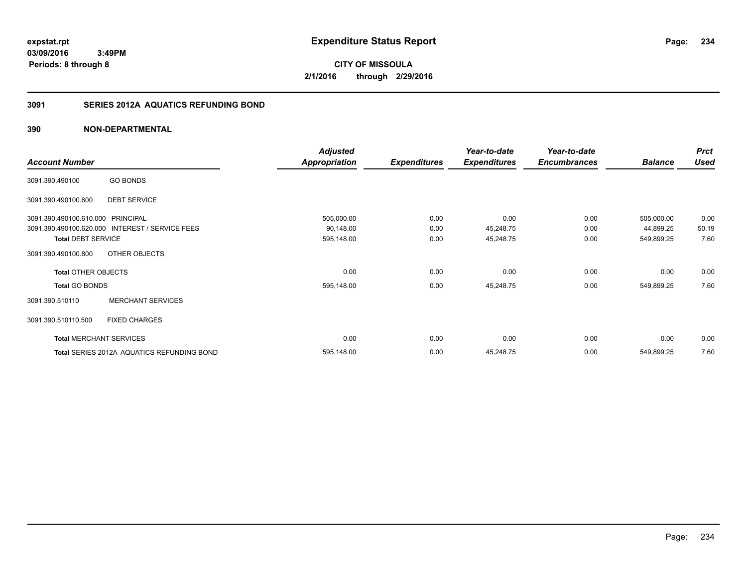**CITY OF MISSOULA 2/1/2016 through 2/29/2016**

# **3091 SERIES 2012A AQUATICS REFUNDING BOND**

|                                   |                                                 | <b>Adjusted</b>      |                     | Year-to-date        | Year-to-date        |                | <b>Prct</b> |
|-----------------------------------|-------------------------------------------------|----------------------|---------------------|---------------------|---------------------|----------------|-------------|
| <b>Account Number</b>             |                                                 | <b>Appropriation</b> | <b>Expenditures</b> | <b>Expenditures</b> | <b>Encumbrances</b> | <b>Balance</b> | <b>Used</b> |
| 3091.390.490100                   | <b>GO BONDS</b>                                 |                      |                     |                     |                     |                |             |
| 3091.390.490100.600               | <b>DEBT SERVICE</b>                             |                      |                     |                     |                     |                |             |
| 3091.390.490100.610.000 PRINCIPAL |                                                 | 505,000.00           | 0.00                | 0.00                | 0.00                | 505,000.00     | 0.00        |
|                                   | 3091.390.490100.620.000 INTEREST / SERVICE FEES | 90,148.00            | 0.00                | 45,248.75           | 0.00                | 44,899.25      | 50.19       |
| <b>Total DEBT SERVICE</b>         |                                                 | 595,148.00           | 0.00                | 45,248.75           | 0.00                | 549,899.25     | 7.60        |
| 3091.390.490100.800               | OTHER OBJECTS                                   |                      |                     |                     |                     |                |             |
| <b>Total OTHER OBJECTS</b>        |                                                 | 0.00                 | 0.00                | 0.00                | 0.00                | 0.00           | 0.00        |
| <b>Total GO BONDS</b>             |                                                 | 595,148.00           | 0.00                | 45,248.75           | 0.00                | 549,899.25     | 7.60        |
| 3091.390.510110                   | <b>MERCHANT SERVICES</b>                        |                      |                     |                     |                     |                |             |
| 3091.390.510110.500               | <b>FIXED CHARGES</b>                            |                      |                     |                     |                     |                |             |
|                                   | <b>Total MERCHANT SERVICES</b>                  | 0.00                 | 0.00                | 0.00                | 0.00                | 0.00           | 0.00        |
|                                   | Total SERIES 2012A AQUATICS REFUNDING BOND      | 595,148.00           | 0.00                | 45,248.75           | 0.00                | 549,899.25     | 7.60        |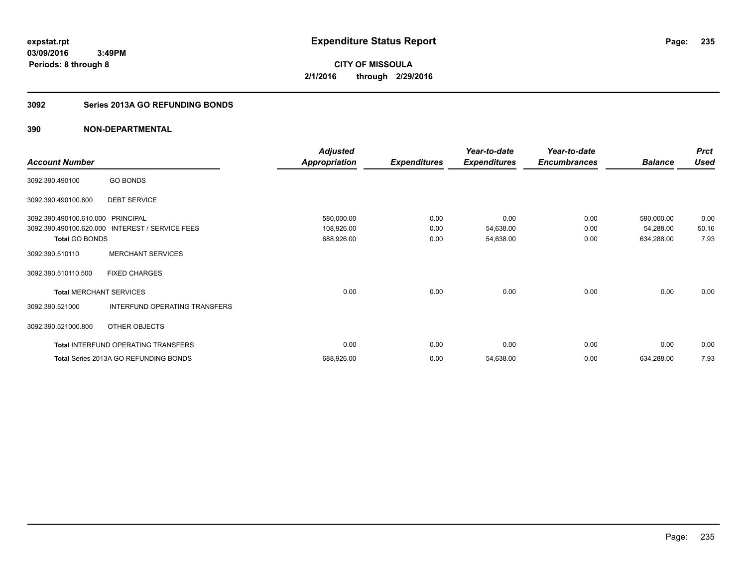**235**

**03/09/2016 3:49PM Periods: 8 through 8**

**CITY OF MISSOULA 2/1/2016 through 2/29/2016**

# **3092 Series 2013A GO REFUNDING BONDS**

|                                   |                                       | <b>Adjusted</b>      |                     | Year-to-date        | Year-to-date        |                | <b>Prct</b> |
|-----------------------------------|---------------------------------------|----------------------|---------------------|---------------------|---------------------|----------------|-------------|
| <b>Account Number</b>             |                                       | <b>Appropriation</b> | <b>Expenditures</b> | <b>Expenditures</b> | <b>Encumbrances</b> | <b>Balance</b> | <b>Used</b> |
| 3092.390.490100                   | <b>GO BONDS</b>                       |                      |                     |                     |                     |                |             |
| 3092.390.490100.600               | <b>DEBT SERVICE</b>                   |                      |                     |                     |                     |                |             |
| 3092.390.490100.610.000 PRINCIPAL |                                       | 580,000.00           | 0.00                | 0.00                | 0.00                | 580,000.00     | 0.00        |
| 3092.390.490100.620.000           | INTEREST / SERVICE FEES               | 108,926.00           | 0.00                | 54,638.00           | 0.00                | 54,288.00      | 50.16       |
| <b>Total GO BONDS</b>             |                                       | 688,926.00           | 0.00                | 54,638.00           | 0.00                | 634,288.00     | 7.93        |
| 3092.390.510110                   | <b>MERCHANT SERVICES</b>              |                      |                     |                     |                     |                |             |
| 3092.390.510110.500               | <b>FIXED CHARGES</b>                  |                      |                     |                     |                     |                |             |
| <b>Total MERCHANT SERVICES</b>    |                                       | 0.00                 | 0.00                | 0.00                | 0.00                | 0.00           | 0.00        |
| 3092.390.521000                   | INTERFUND OPERATING TRANSFERS         |                      |                     |                     |                     |                |             |
| 3092.390.521000.800               | OTHER OBJECTS                         |                      |                     |                     |                     |                |             |
|                                   | Total INTERFUND OPERATING TRANSFERS   | 0.00                 | 0.00                | 0.00                | 0.00                | 0.00           | 0.00        |
|                                   | Total Series 2013A GO REFUNDING BONDS | 688,926.00           | 0.00                | 54,638.00           | 0.00                | 634,288.00     | 7.93        |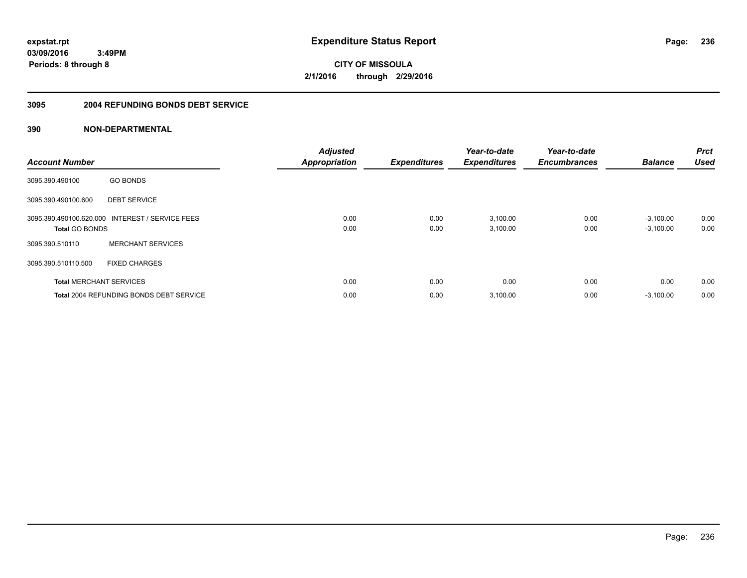**236**

**03/09/2016 3:49PM Periods: 8 through 8**

**CITY OF MISSOULA 2/1/2016 through 2/29/2016**

### **3095 2004 REFUNDING BONDS DEBT SERVICE**

| <b>Account Number</b>          |                                                 | <b>Adjusted</b><br><b>Appropriation</b> | <b>Expenditures</b> | Year-to-date<br><b>Expenditures</b> | Year-to-date<br><b>Encumbrances</b> | <b>Balance</b> | <b>Prct</b><br><b>Used</b> |
|--------------------------------|-------------------------------------------------|-----------------------------------------|---------------------|-------------------------------------|-------------------------------------|----------------|----------------------------|
| 3095.390.490100                | <b>GO BONDS</b>                                 |                                         |                     |                                     |                                     |                |                            |
| 3095.390.490100.600            | <b>DEBT SERVICE</b>                             |                                         |                     |                                     |                                     |                |                            |
|                                | 3095.390.490100.620.000 INTEREST / SERVICE FEES | 0.00                                    | 0.00                | 3,100.00                            | 0.00                                | $-3,100.00$    | 0.00                       |
| <b>Total GO BONDS</b>          |                                                 | 0.00                                    | 0.00                | 3,100.00                            | 0.00                                | $-3,100.00$    | 0.00                       |
| 3095.390.510110                | <b>MERCHANT SERVICES</b>                        |                                         |                     |                                     |                                     |                |                            |
| 3095.390.510110.500            | <b>FIXED CHARGES</b>                            |                                         |                     |                                     |                                     |                |                            |
| <b>Total MERCHANT SERVICES</b> |                                                 | 0.00                                    | 0.00                | 0.00                                | 0.00                                | 0.00           | 0.00                       |
|                                | <b>Total 2004 REFUNDING BONDS DEBT SERVICE</b>  | 0.00                                    | 0.00                | 3,100.00                            | 0.00                                | $-3,100.00$    | 0.00                       |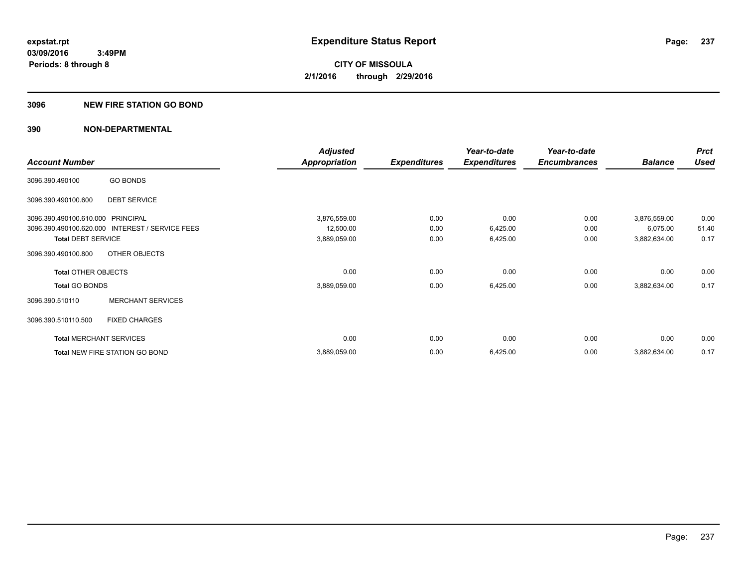## **3096 NEW FIRE STATION GO BOND**

|                                   |                                                 | <b>Adjusted</b>      |                     | Year-to-date        | Year-to-date        |                | <b>Prct</b> |
|-----------------------------------|-------------------------------------------------|----------------------|---------------------|---------------------|---------------------|----------------|-------------|
| <b>Account Number</b>             |                                                 | <b>Appropriation</b> | <b>Expenditures</b> | <b>Expenditures</b> | <b>Encumbrances</b> | <b>Balance</b> | <b>Used</b> |
| 3096.390.490100                   | <b>GO BONDS</b>                                 |                      |                     |                     |                     |                |             |
| 3096.390.490100.600               | <b>DEBT SERVICE</b>                             |                      |                     |                     |                     |                |             |
| 3096.390.490100.610.000 PRINCIPAL |                                                 | 3,876,559.00         | 0.00                | 0.00                | 0.00                | 3,876,559.00   | 0.00        |
|                                   | 3096.390.490100.620.000 INTEREST / SERVICE FEES | 12,500.00            | 0.00                | 6,425.00            | 0.00                | 6,075.00       | 51.40       |
| <b>Total DEBT SERVICE</b>         |                                                 | 3,889,059.00         | 0.00                | 6,425.00            | 0.00                | 3,882,634.00   | 0.17        |
| 3096.390.490100.800               | OTHER OBJECTS                                   |                      |                     |                     |                     |                |             |
| <b>Total OTHER OBJECTS</b>        |                                                 | 0.00                 | 0.00                | 0.00                | 0.00                | 0.00           | 0.00        |
| <b>Total GO BONDS</b>             |                                                 | 3,889,059.00         | 0.00                | 6,425.00            | 0.00                | 3,882,634.00   | 0.17        |
| 3096.390.510110                   | <b>MERCHANT SERVICES</b>                        |                      |                     |                     |                     |                |             |
| 3096.390.510110.500               | <b>FIXED CHARGES</b>                            |                      |                     |                     |                     |                |             |
|                                   | <b>Total MERCHANT SERVICES</b>                  | 0.00                 | 0.00                | 0.00                | 0.00                | 0.00           | 0.00        |
|                                   | Total NEW FIRE STATION GO BOND                  | 3,889,059.00         | 0.00                | 6,425.00            | 0.00                | 3,882,634.00   | 0.17        |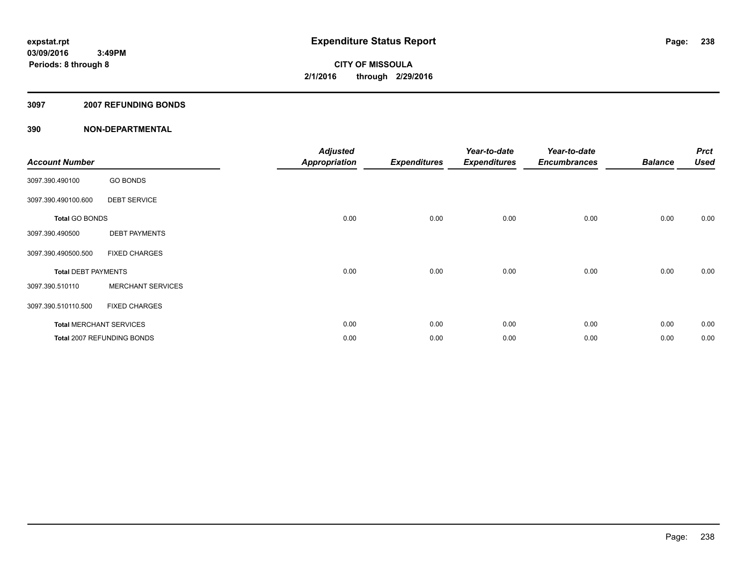## **3097 2007 REFUNDING BONDS**

| <b>Account Number</b>      |                                | <b>Adjusted</b><br><b>Appropriation</b> | <b>Expenditures</b> | Year-to-date<br><b>Expenditures</b> | Year-to-date<br><b>Encumbrances</b> | <b>Balance</b> | <b>Prct</b><br><b>Used</b> |
|----------------------------|--------------------------------|-----------------------------------------|---------------------|-------------------------------------|-------------------------------------|----------------|----------------------------|
| 3097.390.490100            | <b>GO BONDS</b>                |                                         |                     |                                     |                                     |                |                            |
| 3097.390.490100.600        | <b>DEBT SERVICE</b>            |                                         |                     |                                     |                                     |                |                            |
| <b>Total GO BONDS</b>      |                                | 0.00                                    | 0.00                | 0.00                                | 0.00                                | 0.00           | 0.00                       |
| 3097.390.490500            | <b>DEBT PAYMENTS</b>           |                                         |                     |                                     |                                     |                |                            |
| 3097.390.490500.500        | <b>FIXED CHARGES</b>           |                                         |                     |                                     |                                     |                |                            |
| <b>Total DEBT PAYMENTS</b> |                                | 0.00                                    | 0.00                | 0.00                                | 0.00                                | 0.00           | 0.00                       |
| 3097.390.510110            | <b>MERCHANT SERVICES</b>       |                                         |                     |                                     |                                     |                |                            |
| 3097.390.510110.500        | <b>FIXED CHARGES</b>           |                                         |                     |                                     |                                     |                |                            |
|                            | <b>Total MERCHANT SERVICES</b> | 0.00                                    | 0.00                | 0.00                                | 0.00                                | 0.00           | 0.00                       |
|                            | Total 2007 REFUNDING BONDS     | 0.00                                    | 0.00                | 0.00                                | 0.00                                | 0.00           | 0.00                       |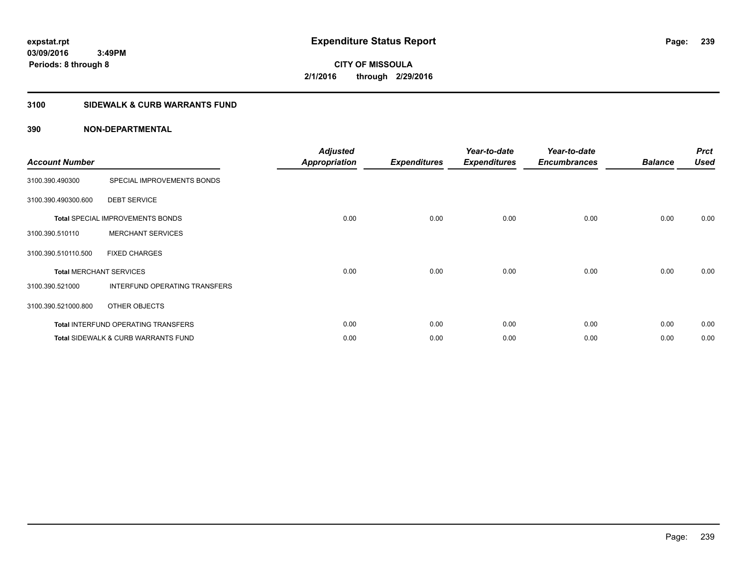**239**

**CITY OF MISSOULA 2/1/2016 through 2/29/2016**

# **3100 SIDEWALK & CURB WARRANTS FUND**

| <b>Account Number</b>          |                                                | <b>Adjusted</b><br><b>Appropriation</b> | <b>Expenditures</b> | Year-to-date<br><b>Expenditures</b> | Year-to-date<br><b>Encumbrances</b> | <b>Balance</b> | <b>Prct</b><br><b>Used</b> |
|--------------------------------|------------------------------------------------|-----------------------------------------|---------------------|-------------------------------------|-------------------------------------|----------------|----------------------------|
| 3100.390.490300                | SPECIAL IMPROVEMENTS BONDS                     |                                         |                     |                                     |                                     |                |                            |
| 3100.390.490300.600            | <b>DEBT SERVICE</b>                            |                                         |                     |                                     |                                     |                |                            |
|                                | <b>Total SPECIAL IMPROVEMENTS BONDS</b>        | 0.00                                    | 0.00                | 0.00                                | 0.00                                | 0.00           | 0.00                       |
| 3100.390.510110                | <b>MERCHANT SERVICES</b>                       |                                         |                     |                                     |                                     |                |                            |
| 3100.390.510110.500            | <b>FIXED CHARGES</b>                           |                                         |                     |                                     |                                     |                |                            |
| <b>Total MERCHANT SERVICES</b> |                                                | 0.00                                    | 0.00                | 0.00                                | 0.00                                | 0.00           | 0.00                       |
| 3100.390.521000                | INTERFUND OPERATING TRANSFERS                  |                                         |                     |                                     |                                     |                |                            |
| 3100.390.521000.800            | OTHER OBJECTS                                  |                                         |                     |                                     |                                     |                |                            |
|                                | Total INTERFUND OPERATING TRANSFERS            | 0.00                                    | 0.00                | 0.00                                | 0.00                                | 0.00           | 0.00                       |
|                                | <b>Total SIDEWALK &amp; CURB WARRANTS FUND</b> | 0.00                                    | 0.00                | 0.00                                | 0.00                                | 0.00           | 0.00                       |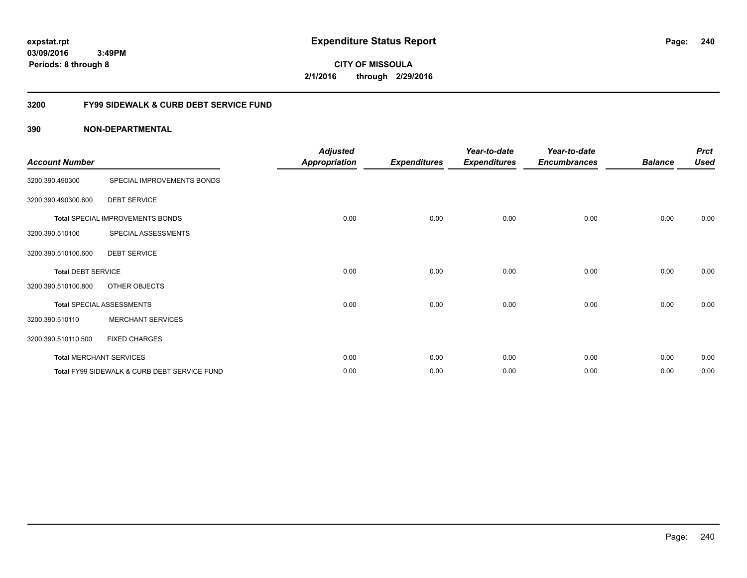**CITY OF MISSOULA 2/1/2016 through 2/29/2016**

# **3200 FY99 SIDEWALK & CURB DEBT SERVICE FUND**

| <b>Account Number</b>     |                                              | <b>Adjusted</b><br>Appropriation | <b>Expenditures</b> | Year-to-date<br><b>Expenditures</b> | Year-to-date<br><b>Encumbrances</b> | <b>Balance</b> | <b>Prct</b><br><b>Used</b> |
|---------------------------|----------------------------------------------|----------------------------------|---------------------|-------------------------------------|-------------------------------------|----------------|----------------------------|
| 3200.390.490300           | SPECIAL IMPROVEMENTS BONDS                   |                                  |                     |                                     |                                     |                |                            |
| 3200.390.490300.600       | <b>DEBT SERVICE</b>                          |                                  |                     |                                     |                                     |                |                            |
|                           | <b>Total SPECIAL IMPROVEMENTS BONDS</b>      | 0.00                             | 0.00                | 0.00                                | 0.00                                | 0.00           | 0.00                       |
| 3200.390.510100           | SPECIAL ASSESSMENTS                          |                                  |                     |                                     |                                     |                |                            |
| 3200.390.510100.600       | <b>DEBT SERVICE</b>                          |                                  |                     |                                     |                                     |                |                            |
| <b>Total DEBT SERVICE</b> |                                              | 0.00                             | 0.00                | 0.00                                | 0.00                                | 0.00           | 0.00                       |
| 3200.390.510100.800       | OTHER OBJECTS                                |                                  |                     |                                     |                                     |                |                            |
|                           | <b>Total SPECIAL ASSESSMENTS</b>             | 0.00                             | 0.00                | 0.00                                | 0.00                                | 0.00           | 0.00                       |
| 3200.390.510110           | <b>MERCHANT SERVICES</b>                     |                                  |                     |                                     |                                     |                |                            |
| 3200.390.510110.500       | <b>FIXED CHARGES</b>                         |                                  |                     |                                     |                                     |                |                            |
|                           | <b>Total MERCHANT SERVICES</b>               | 0.00                             | 0.00                | 0.00                                | 0.00                                | 0.00           | 0.00                       |
|                           | Total FY99 SIDEWALK & CURB DEBT SERVICE FUND | 0.00                             | 0.00                | 0.00                                | 0.00                                | 0.00           | 0.00                       |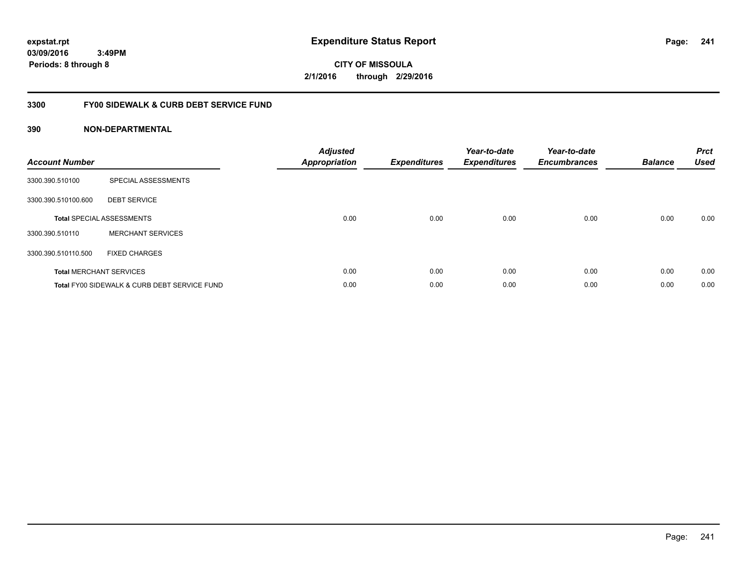**CITY OF MISSOULA 2/1/2016 through 2/29/2016**

# **3300 FY00 SIDEWALK & CURB DEBT SERVICE FUND**

| <b>Account Number</b> |                                              | <b>Adjusted</b><br>Appropriation | <b>Expenditures</b> | Year-to-date<br><b>Expenditures</b> | Year-to-date<br><b>Encumbrances</b> | <b>Balance</b> | <b>Prct</b><br><b>Used</b> |
|-----------------------|----------------------------------------------|----------------------------------|---------------------|-------------------------------------|-------------------------------------|----------------|----------------------------|
| 3300.390.510100       | SPECIAL ASSESSMENTS                          |                                  |                     |                                     |                                     |                |                            |
| 3300.390.510100.600   | <b>DEBT SERVICE</b>                          |                                  |                     |                                     |                                     |                |                            |
|                       | <b>Total SPECIAL ASSESSMENTS</b>             | 0.00                             | 0.00                | 0.00                                | 0.00                                | 0.00           | 0.00                       |
| 3300.390.510110       | <b>MERCHANT SERVICES</b>                     |                                  |                     |                                     |                                     |                |                            |
| 3300.390.510110.500   | <b>FIXED CHARGES</b>                         |                                  |                     |                                     |                                     |                |                            |
|                       | <b>Total MERCHANT SERVICES</b>               | 0.00                             | 0.00                | 0.00                                | 0.00                                | 0.00           | 0.00                       |
|                       | Total FY00 SIDEWALK & CURB DEBT SERVICE FUND | 0.00                             | 0.00                | 0.00                                | 0.00                                | 0.00           | 0.00                       |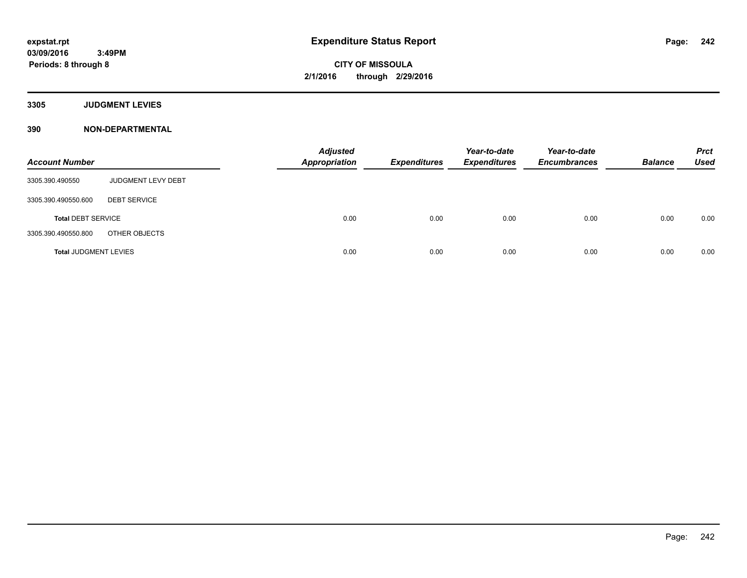**Periods: 8 through 8**

**CITY OF MISSOULA 2/1/2016 through 2/29/2016**

**3305 JUDGMENT LEVIES**

**390 NON-DEPARTMENTAL**

 **3:49PM**

| <b>Account Number</b>        |                     | <b>Adjusted</b><br><b>Appropriation</b> | <b>Expenditures</b> | Year-to-date<br><b>Expenditures</b> | Year-to-date<br><b>Encumbrances</b> | <b>Balance</b> | <b>Prct</b><br><b>Used</b> |
|------------------------------|---------------------|-----------------------------------------|---------------------|-------------------------------------|-------------------------------------|----------------|----------------------------|
| 3305.390.490550              | JUDGMENT LEVY DEBT  |                                         |                     |                                     |                                     |                |                            |
| 3305.390.490550.600          | <b>DEBT SERVICE</b> |                                         |                     |                                     |                                     |                |                            |
| <b>Total DEBT SERVICE</b>    |                     | 0.00                                    | 0.00                | 0.00                                | 0.00                                | 0.00           | 0.00                       |
| 3305.390.490550.800          | OTHER OBJECTS       |                                         |                     |                                     |                                     |                |                            |
| <b>Total JUDGMENT LEVIES</b> |                     | 0.00                                    | 0.00                | 0.00                                | 0.00                                | 0.00           | 0.00                       |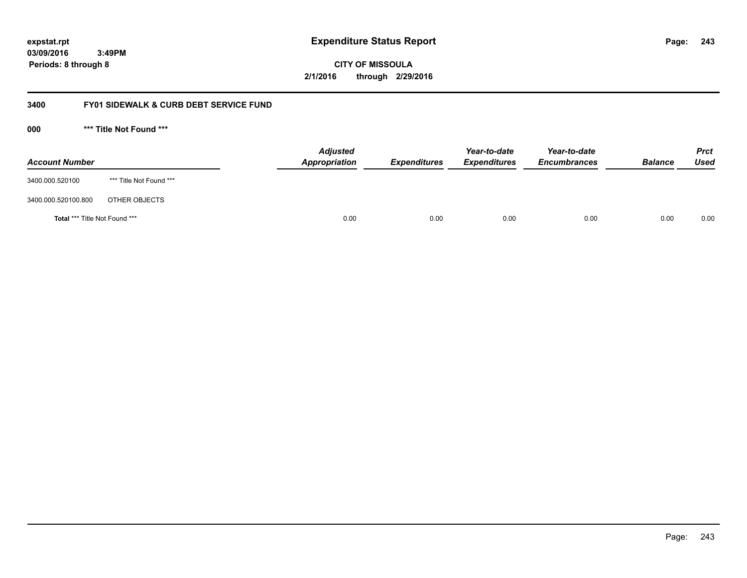**243**

**03/09/2016 3:49PM Periods: 8 through 8**

# **CITY OF MISSOULA 2/1/2016 through 2/29/2016**

# **3400 FY01 SIDEWALK & CURB DEBT SERVICE FUND**

**000 \*\*\* Title Not Found \*\*\***

| <b>Account Number</b>         |                         | <b>Adjusted</b><br>Appropriation | <b>Expenditures</b> | Year-to-date<br><b>Expenditures</b> | Year-to-date<br><b>Encumbrances</b> | <b>Balance</b> | <b>Prct</b><br>Used |
|-------------------------------|-------------------------|----------------------------------|---------------------|-------------------------------------|-------------------------------------|----------------|---------------------|
| 3400.000.520100               | *** Title Not Found *** |                                  |                     |                                     |                                     |                |                     |
| 3400.000.520100.800           | OTHER OBJECTS           |                                  |                     |                                     |                                     |                |                     |
| Total *** Title Not Found *** |                         | 0.00                             | 0.00                | 0.00                                | 0.00                                | 0.00           | 0.00                |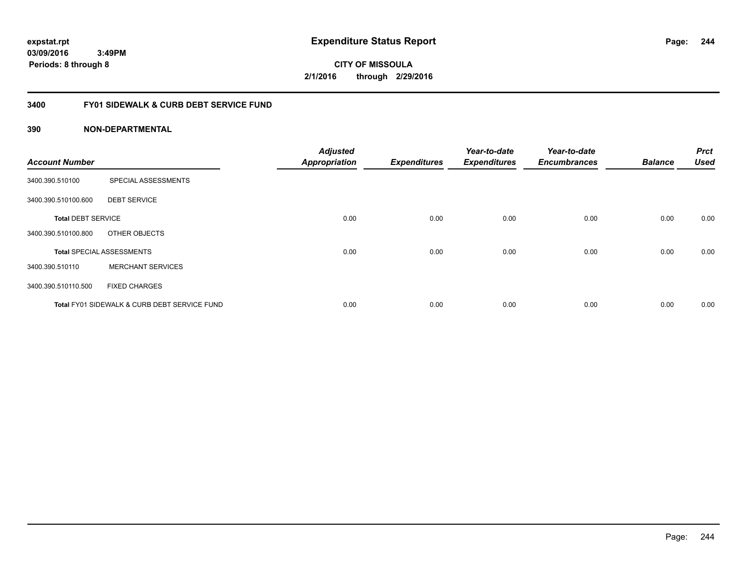**CITY OF MISSOULA 2/1/2016 through 2/29/2016**

# **3400 FY01 SIDEWALK & CURB DEBT SERVICE FUND**

| <b>Account Number</b>     |                                              | <b>Adjusted</b><br><b>Appropriation</b> | <b>Expenditures</b> | Year-to-date<br><b>Expenditures</b> | Year-to-date<br><b>Encumbrances</b> | <b>Balance</b> | <b>Prct</b><br><b>Used</b> |
|---------------------------|----------------------------------------------|-----------------------------------------|---------------------|-------------------------------------|-------------------------------------|----------------|----------------------------|
| 3400.390.510100           | SPECIAL ASSESSMENTS                          |                                         |                     |                                     |                                     |                |                            |
| 3400.390.510100.600       | <b>DEBT SERVICE</b>                          |                                         |                     |                                     |                                     |                |                            |
| <b>Total DEBT SERVICE</b> |                                              | 0.00                                    | 0.00                | 0.00                                | 0.00                                | 0.00           | 0.00                       |
| 3400.390.510100.800       | OTHER OBJECTS                                |                                         |                     |                                     |                                     |                |                            |
|                           | <b>Total SPECIAL ASSESSMENTS</b>             | 0.00                                    | 0.00                | 0.00                                | 0.00                                | 0.00           | 0.00                       |
| 3400.390.510110           | <b>MERCHANT SERVICES</b>                     |                                         |                     |                                     |                                     |                |                            |
| 3400.390.510110.500       | <b>FIXED CHARGES</b>                         |                                         |                     |                                     |                                     |                |                            |
|                           | Total FY01 SIDEWALK & CURB DEBT SERVICE FUND | 0.00                                    | 0.00                | 0.00                                | 0.00                                | 0.00           | 0.00                       |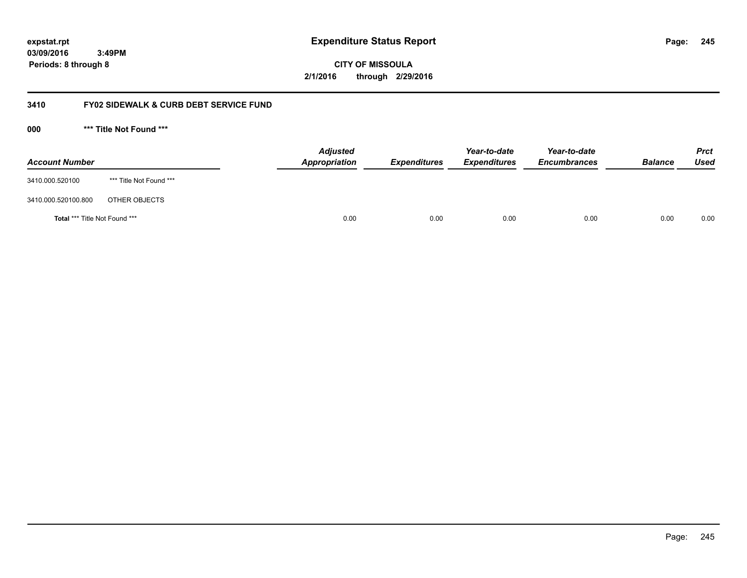**245**

**03/09/2016 3:49PM Periods: 8 through 8**

# **CITY OF MISSOULA 2/1/2016 through 2/29/2016**

# **3410 FY02 SIDEWALK & CURB DEBT SERVICE FUND**

**000 \*\*\* Title Not Found \*\*\***

| <b>Account Number</b>         |                         | <b>Adjusted</b><br>Appropriation | <b>Expenditures</b> | Year-to-date<br><b>Expenditures</b> | Year-to-date<br><b>Encumbrances</b> | <b>Balance</b> | <b>Prct</b><br>Used |
|-------------------------------|-------------------------|----------------------------------|---------------------|-------------------------------------|-------------------------------------|----------------|---------------------|
| 3410.000.520100               | *** Title Not Found *** |                                  |                     |                                     |                                     |                |                     |
| 3410.000.520100.800           | OTHER OBJECTS           |                                  |                     |                                     |                                     |                |                     |
| Total *** Title Not Found *** |                         | 0.00                             | 0.00                | 0.00                                | 0.00                                | 0.00           | 0.00                |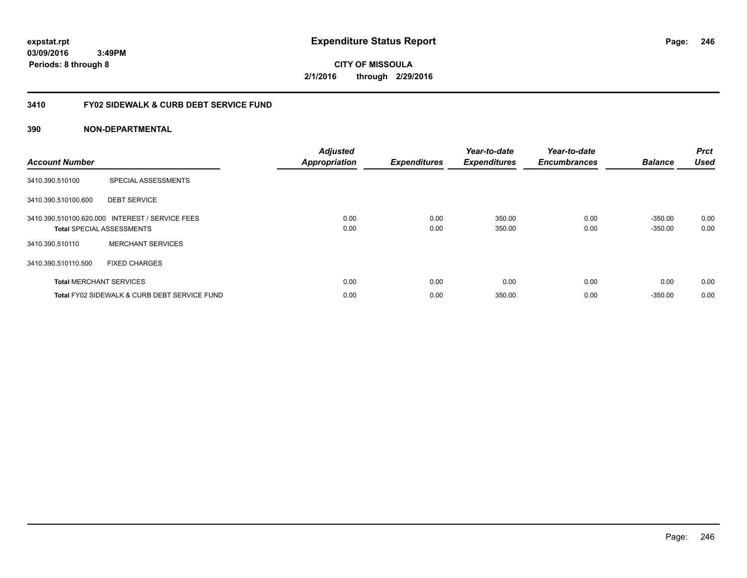**CITY OF MISSOULA 2/1/2016 through 2/29/2016**

# **3410 FY02 SIDEWALK & CURB DEBT SERVICE FUND**

| <b>Account Number</b> |                                                 | <b>Adjusted</b><br><b>Appropriation</b> | <b>Expenditures</b> | Year-to-date<br><b>Expenditures</b> | Year-to-date<br><b>Encumbrances</b> | <b>Balance</b> | <b>Prct</b><br><b>Used</b> |
|-----------------------|-------------------------------------------------|-----------------------------------------|---------------------|-------------------------------------|-------------------------------------|----------------|----------------------------|
| 3410.390.510100       | SPECIAL ASSESSMENTS                             |                                         |                     |                                     |                                     |                |                            |
| 3410.390.510100.600   | <b>DEBT SERVICE</b>                             |                                         |                     |                                     |                                     |                |                            |
|                       | 3410.390.510100.620.000 INTEREST / SERVICE FEES | 0.00                                    | 0.00                | 350.00                              | 0.00                                | $-350.00$      | 0.00                       |
|                       | <b>Total SPECIAL ASSESSMENTS</b>                | 0.00                                    | 0.00                | 350.00                              | 0.00                                | $-350.00$      | 0.00                       |
| 3410.390.510110       | <b>MERCHANT SERVICES</b>                        |                                         |                     |                                     |                                     |                |                            |
| 3410.390.510110.500   | <b>FIXED CHARGES</b>                            |                                         |                     |                                     |                                     |                |                            |
|                       | <b>Total MERCHANT SERVICES</b>                  | 0.00                                    | 0.00                | 0.00                                | 0.00                                | 0.00           | 0.00                       |
|                       | Total FY02 SIDEWALK & CURB DEBT SERVICE FUND    | 0.00                                    | 0.00                | 350.00                              | 0.00                                | $-350.00$      | 0.00                       |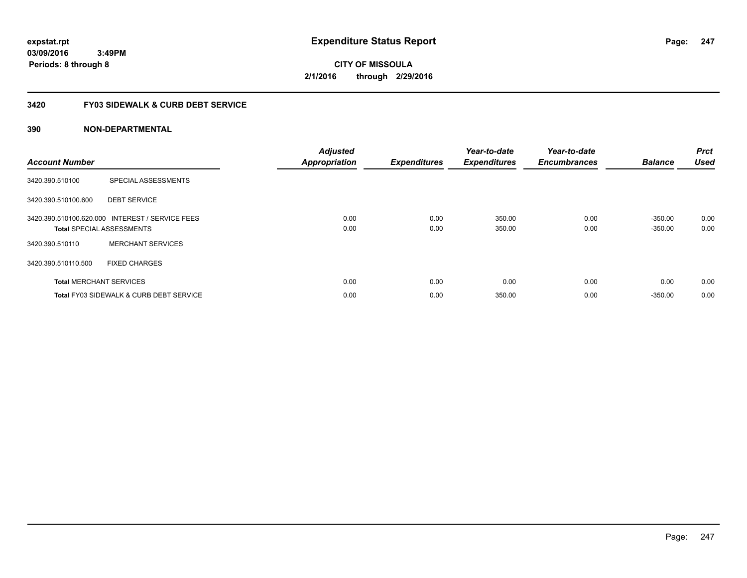**CITY OF MISSOULA 2/1/2016 through 2/29/2016**

# **3420 FY03 SIDEWALK & CURB DEBT SERVICE**

| <b>Account Number</b> |                                                                                     | <b>Adjusted</b><br><b>Appropriation</b> | <b>Expenditures</b> | Year-to-date<br><b>Expenditures</b> | Year-to-date<br><b>Encumbrances</b> | <b>Balance</b>         | <b>Prct</b><br><b>Used</b> |
|-----------------------|-------------------------------------------------------------------------------------|-----------------------------------------|---------------------|-------------------------------------|-------------------------------------|------------------------|----------------------------|
| 3420.390.510100       | SPECIAL ASSESSMENTS                                                                 |                                         |                     |                                     |                                     |                        |                            |
| 3420.390.510100.600   | <b>DEBT SERVICE</b>                                                                 |                                         |                     |                                     |                                     |                        |                            |
|                       | 3420.390.510100.620.000 INTEREST / SERVICE FEES<br><b>Total SPECIAL ASSESSMENTS</b> | 0.00<br>0.00                            | 0.00<br>0.00        | 350.00<br>350.00                    | 0.00<br>0.00                        | $-350.00$<br>$-350.00$ | 0.00<br>0.00               |
| 3420.390.510110       | <b>MERCHANT SERVICES</b>                                                            |                                         |                     |                                     |                                     |                        |                            |
| 3420.390.510110.500   | <b>FIXED CHARGES</b>                                                                |                                         |                     |                                     |                                     |                        |                            |
|                       | <b>Total MERCHANT SERVICES</b>                                                      | 0.00                                    | 0.00                | 0.00                                | 0.00                                | 0.00                   | 0.00                       |
|                       | <b>Total FY03 SIDEWALK &amp; CURB DEBT SERVICE</b>                                  | 0.00                                    | 0.00                | 350.00                              | 0.00                                | $-350.00$              | 0.00                       |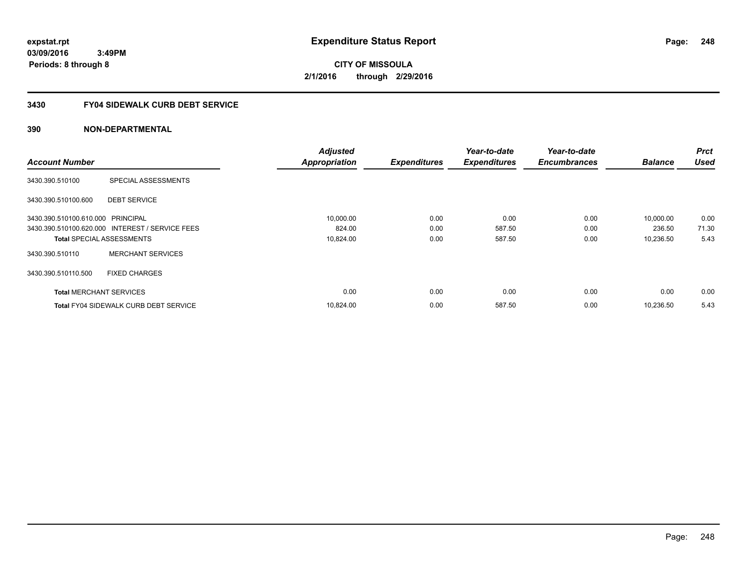# **CITY OF MISSOULA 2/1/2016 through 2/29/2016**

# **3430 FY04 SIDEWALK CURB DEBT SERVICE**

|                                   |                                                 | <b>Adjusted</b>      |                     | Year-to-date        | Year-to-date        |                | <b>Prct</b> |
|-----------------------------------|-------------------------------------------------|----------------------|---------------------|---------------------|---------------------|----------------|-------------|
| <b>Account Number</b>             |                                                 | <b>Appropriation</b> | <b>Expenditures</b> | <b>Expenditures</b> | <b>Encumbrances</b> | <b>Balance</b> | <b>Used</b> |
| 3430.390.510100                   | SPECIAL ASSESSMENTS                             |                      |                     |                     |                     |                |             |
| 3430.390.510100.600               | <b>DEBT SERVICE</b>                             |                      |                     |                     |                     |                |             |
| 3430.390.510100.610.000 PRINCIPAL |                                                 | 10,000.00            | 0.00                | 0.00                | 0.00                | 10,000.00      | 0.00        |
|                                   | 3430.390.510100.620.000 INTEREST / SERVICE FEES | 824.00               | 0.00                | 587.50              | 0.00                | 236.50         | 71.30       |
| <b>Total SPECIAL ASSESSMENTS</b>  |                                                 | 10,824.00            | 0.00                | 587.50              | 0.00                | 10,236.50      | 5.43        |
| 3430.390.510110                   | <b>MERCHANT SERVICES</b>                        |                      |                     |                     |                     |                |             |
| 3430.390.510110.500               | <b>FIXED CHARGES</b>                            |                      |                     |                     |                     |                |             |
| <b>Total MERCHANT SERVICES</b>    |                                                 | 0.00                 | 0.00                | 0.00                | 0.00                | 0.00           | 0.00        |
|                                   | <b>Total FY04 SIDEWALK CURB DEBT SERVICE</b>    | 10,824.00            | 0.00                | 587.50              | 0.00                | 10,236.50      | 5.43        |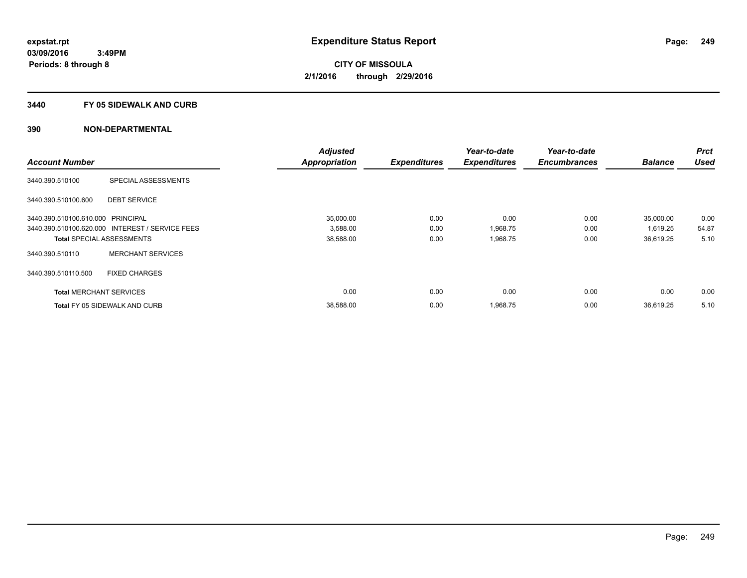### **3440 FY 05 SIDEWALK AND CURB**

|                                   |                                                 | <b>Adjusted</b> |                     | Year-to-date        | Year-to-date        |                | <b>Prct</b> |
|-----------------------------------|-------------------------------------------------|-----------------|---------------------|---------------------|---------------------|----------------|-------------|
| <b>Account Number</b>             |                                                 | Appropriation   | <b>Expenditures</b> | <b>Expenditures</b> | <b>Encumbrances</b> | <b>Balance</b> | <b>Used</b> |
| 3440.390.510100                   | SPECIAL ASSESSMENTS                             |                 |                     |                     |                     |                |             |
| 3440.390.510100.600               | <b>DEBT SERVICE</b>                             |                 |                     |                     |                     |                |             |
| 3440.390.510100.610.000 PRINCIPAL |                                                 | 35,000.00       | 0.00                | 0.00                | 0.00                | 35,000.00      | 0.00        |
|                                   | 3440.390.510100.620.000 INTEREST / SERVICE FEES | 3,588.00        | 0.00                | 1,968.75            | 0.00                | 1.619.25       | 54.87       |
|                                   | <b>Total SPECIAL ASSESSMENTS</b>                | 38,588.00       | 0.00                | 1,968.75            | 0.00                | 36,619.25      | 5.10        |
| 3440.390.510110                   | <b>MERCHANT SERVICES</b>                        |                 |                     |                     |                     |                |             |
| 3440.390.510110.500               | <b>FIXED CHARGES</b>                            |                 |                     |                     |                     |                |             |
| <b>Total MERCHANT SERVICES</b>    |                                                 | 0.00            | 0.00                | 0.00                | 0.00                | 0.00           | 0.00        |
|                                   | <b>Total FY 05 SIDEWALK AND CURB</b>            | 38,588.00       | 0.00                | 1,968.75            | 0.00                | 36.619.25      | 5.10        |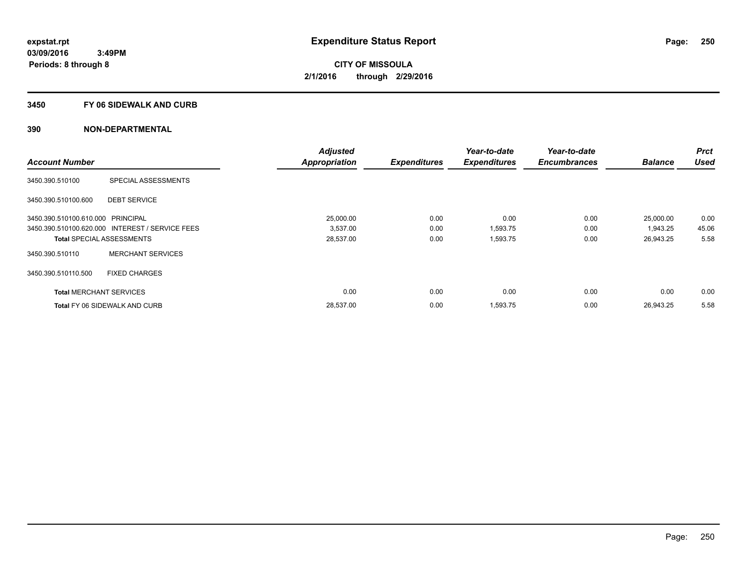## **3450 FY 06 SIDEWALK AND CURB**

|                                   |                                                 | <b>Adjusted</b>      |                     | Year-to-date        | Year-to-date        |                | Prct        |
|-----------------------------------|-------------------------------------------------|----------------------|---------------------|---------------------|---------------------|----------------|-------------|
| <b>Account Number</b>             |                                                 | <b>Appropriation</b> | <b>Expenditures</b> | <b>Expenditures</b> | <b>Encumbrances</b> | <b>Balance</b> | <b>Used</b> |
| 3450.390.510100                   | SPECIAL ASSESSMENTS                             |                      |                     |                     |                     |                |             |
| 3450.390.510100.600               | <b>DEBT SERVICE</b>                             |                      |                     |                     |                     |                |             |
| 3450.390.510100.610.000 PRINCIPAL |                                                 | 25.000.00            | 0.00                | 0.00                | 0.00                | 25,000.00      | 0.00        |
|                                   | 3450.390.510100.620.000 INTEREST / SERVICE FEES | 3,537.00             | 0.00                | 1,593.75            | 0.00                | 1,943.25       | 45.06       |
|                                   | <b>Total SPECIAL ASSESSMENTS</b>                | 28,537.00            | 0.00                | 1,593.75            | 0.00                | 26,943.25      | 5.58        |
| 3450.390.510110                   | <b>MERCHANT SERVICES</b>                        |                      |                     |                     |                     |                |             |
| 3450.390.510110.500               | <b>FIXED CHARGES</b>                            |                      |                     |                     |                     |                |             |
| <b>Total MERCHANT SERVICES</b>    |                                                 | 0.00                 | 0.00                | 0.00                | 0.00                | 0.00           | 0.00        |
|                                   | <b>Total FY 06 SIDEWALK AND CURB</b>            | 28,537.00            | 0.00                | 1,593.75            | 0.00                | 26.943.25      | 5.58        |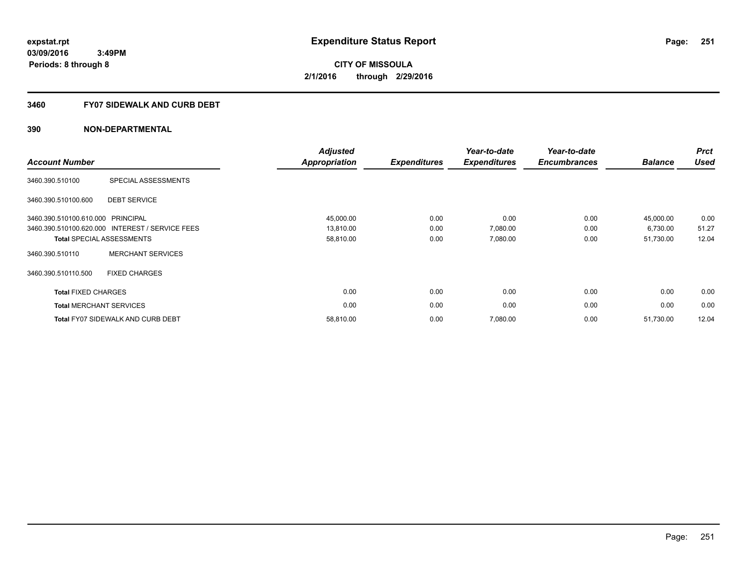# **3460 FY07 SIDEWALK AND CURB DEBT**

| <b>Account Number</b>             |                                                 | <b>Adjusted</b><br><b>Appropriation</b> | <b>Expenditures</b> | Year-to-date<br><b>Expenditures</b> | Year-to-date<br><b>Encumbrances</b> | <b>Balance</b> | <b>Prct</b><br><b>Used</b> |
|-----------------------------------|-------------------------------------------------|-----------------------------------------|---------------------|-------------------------------------|-------------------------------------|----------------|----------------------------|
| 3460.390.510100                   | SPECIAL ASSESSMENTS                             |                                         |                     |                                     |                                     |                |                            |
| 3460.390.510100.600               | <b>DEBT SERVICE</b>                             |                                         |                     |                                     |                                     |                |                            |
| 3460.390.510100.610.000 PRINCIPAL |                                                 | 45,000.00                               | 0.00                | 0.00                                | 0.00                                | 45,000.00      | 0.00                       |
|                                   | 3460.390.510100.620.000 INTEREST / SERVICE FEES | 13,810.00                               | 0.00                | 7,080.00                            | 0.00                                | 6,730.00       | 51.27                      |
|                                   | <b>Total SPECIAL ASSESSMENTS</b>                | 58,810.00                               | 0.00                | 7,080.00                            | 0.00                                | 51,730.00      | 12.04                      |
| 3460.390.510110                   | <b>MERCHANT SERVICES</b>                        |                                         |                     |                                     |                                     |                |                            |
| 3460.390.510110.500               | <b>FIXED CHARGES</b>                            |                                         |                     |                                     |                                     |                |                            |
| <b>Total FIXED CHARGES</b>        |                                                 | 0.00                                    | 0.00                | 0.00                                | 0.00                                | 0.00           | 0.00                       |
| <b>Total MERCHANT SERVICES</b>    |                                                 | 0.00                                    | 0.00                | 0.00                                | 0.00                                | 0.00           | 0.00                       |
|                                   | <b>Total FY07 SIDEWALK AND CURB DEBT</b>        | 58,810.00                               | 0.00                | 7,080.00                            | 0.00                                | 51,730.00      | 12.04                      |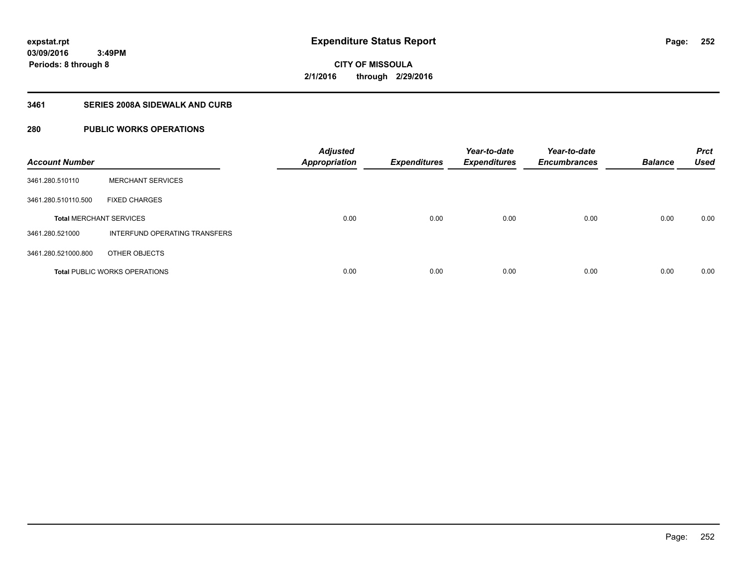# **CITY OF MISSOULA 2/1/2016 through 2/29/2016**

# **3461 SERIES 2008A SIDEWALK AND CURB**

# **280 PUBLIC WORKS OPERATIONS**

| <b>Account Number</b>          |                                      | <b>Adjusted</b><br><b>Appropriation</b> | <b>Expenditures</b> | Year-to-date<br><b>Expenditures</b> | Year-to-date<br><b>Encumbrances</b> | <b>Balance</b> | <b>Prct</b><br><b>Used</b> |
|--------------------------------|--------------------------------------|-----------------------------------------|---------------------|-------------------------------------|-------------------------------------|----------------|----------------------------|
| 3461.280.510110                | <b>MERCHANT SERVICES</b>             |                                         |                     |                                     |                                     |                |                            |
| 3461.280.510110.500            | <b>FIXED CHARGES</b>                 |                                         |                     |                                     |                                     |                |                            |
| <b>Total MERCHANT SERVICES</b> |                                      | 0.00                                    | 0.00                | 0.00                                | 0.00                                | 0.00           | 0.00                       |
| 3461.280.521000                | INTERFUND OPERATING TRANSFERS        |                                         |                     |                                     |                                     |                |                            |
| 3461.280.521000.800            | OTHER OBJECTS                        |                                         |                     |                                     |                                     |                |                            |
|                                | <b>Total PUBLIC WORKS OPERATIONS</b> | 0.00                                    | 0.00                | 0.00                                | 0.00                                | 0.00           | 0.00                       |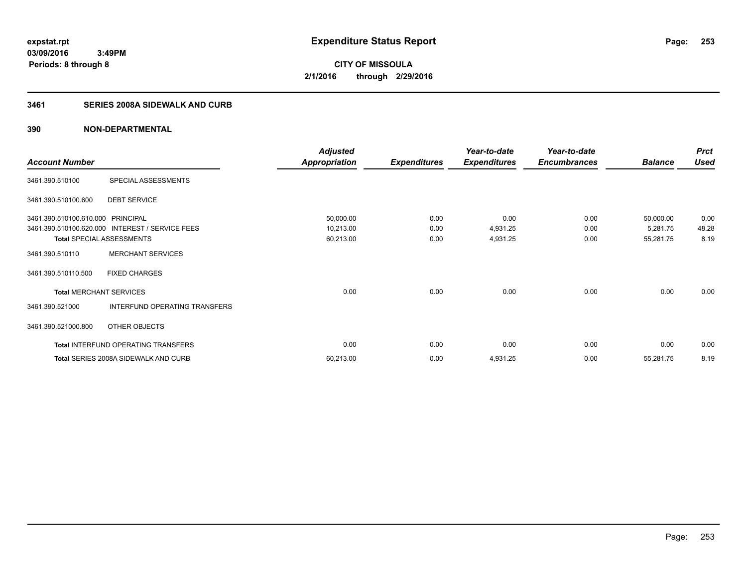**03/09/2016 3:49PM Periods: 8 through 8**

# **CITY OF MISSOULA 2/1/2016 through 2/29/2016**

# **3461 SERIES 2008A SIDEWALK AND CURB**

|                                   |                                                 | <b>Adjusted</b>      |                     | Year-to-date        | Year-to-date        |                | <b>Prct</b> |
|-----------------------------------|-------------------------------------------------|----------------------|---------------------|---------------------|---------------------|----------------|-------------|
| <b>Account Number</b>             |                                                 | <b>Appropriation</b> | <b>Expenditures</b> | <b>Expenditures</b> | <b>Encumbrances</b> | <b>Balance</b> | <b>Used</b> |
| 3461.390.510100                   | SPECIAL ASSESSMENTS                             |                      |                     |                     |                     |                |             |
| 3461.390.510100.600               | <b>DEBT SERVICE</b>                             |                      |                     |                     |                     |                |             |
| 3461.390.510100.610.000 PRINCIPAL |                                                 | 50,000.00            | 0.00                | 0.00                | 0.00                | 50,000.00      | 0.00        |
|                                   | 3461.390.510100.620.000 INTEREST / SERVICE FEES | 10,213.00            | 0.00                | 4,931.25            | 0.00                | 5,281.75       | 48.28       |
| <b>Total SPECIAL ASSESSMENTS</b>  |                                                 | 60,213.00            | 0.00                | 4,931.25            | 0.00                | 55,281.75      | 8.19        |
| 3461.390.510110                   | <b>MERCHANT SERVICES</b>                        |                      |                     |                     |                     |                |             |
| 3461.390.510110.500               | <b>FIXED CHARGES</b>                            |                      |                     |                     |                     |                |             |
| <b>Total MERCHANT SERVICES</b>    |                                                 | 0.00                 | 0.00                | 0.00                | 0.00                | 0.00           | 0.00        |
| 3461.390.521000                   | INTERFUND OPERATING TRANSFERS                   |                      |                     |                     |                     |                |             |
| 3461.390.521000.800               | OTHER OBJECTS                                   |                      |                     |                     |                     |                |             |
|                                   | Total INTERFUND OPERATING TRANSFERS             | 0.00                 | 0.00                | 0.00                | 0.00                | 0.00           | 0.00        |
|                                   | Total SERIES 2008A SIDEWALK AND CURB            | 60,213.00            | 0.00                | 4,931.25            | 0.00                | 55,281.75      | 8.19        |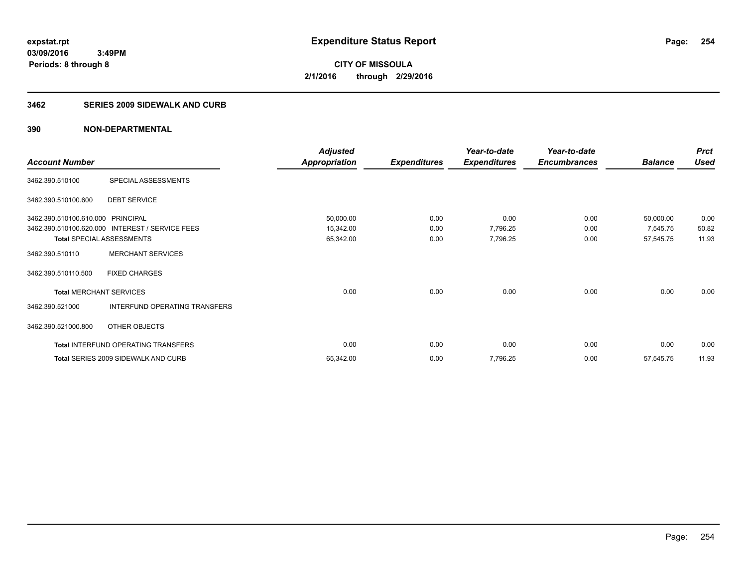#### **3462 SERIES 2009 SIDEWALK AND CURB**

|                                   |                                                 | <b>Adjusted</b>      |                     | Year-to-date        | Year-to-date        |                | <b>Prct</b> |
|-----------------------------------|-------------------------------------------------|----------------------|---------------------|---------------------|---------------------|----------------|-------------|
| <b>Account Number</b>             |                                                 | <b>Appropriation</b> | <b>Expenditures</b> | <b>Expenditures</b> | <b>Encumbrances</b> | <b>Balance</b> | <b>Used</b> |
| 3462.390.510100                   | SPECIAL ASSESSMENTS                             |                      |                     |                     |                     |                |             |
| 3462.390.510100.600               | <b>DEBT SERVICE</b>                             |                      |                     |                     |                     |                |             |
| 3462.390.510100.610.000 PRINCIPAL |                                                 | 50,000.00            | 0.00                | 0.00                | 0.00                | 50,000.00      | 0.00        |
|                                   | 3462.390.510100.620.000 INTEREST / SERVICE FEES | 15,342.00            | 0.00                | 7,796.25            | 0.00                | 7,545.75       | 50.82       |
| <b>Total SPECIAL ASSESSMENTS</b>  |                                                 | 65,342.00            | 0.00                | 7,796.25            | 0.00                | 57,545.75      | 11.93       |
| 3462.390.510110                   | <b>MERCHANT SERVICES</b>                        |                      |                     |                     |                     |                |             |
| 3462.390.510110.500               | <b>FIXED CHARGES</b>                            |                      |                     |                     |                     |                |             |
| <b>Total MERCHANT SERVICES</b>    |                                                 | 0.00                 | 0.00                | 0.00                | 0.00                | 0.00           | 0.00        |
| 3462.390.521000                   | INTERFUND OPERATING TRANSFERS                   |                      |                     |                     |                     |                |             |
| 3462.390.521000.800               | OTHER OBJECTS                                   |                      |                     |                     |                     |                |             |
|                                   | Total INTERFUND OPERATING TRANSFERS             | 0.00                 | 0.00                | 0.00                | 0.00                | 0.00           | 0.00        |
|                                   | <b>Total SERIES 2009 SIDEWALK AND CURB</b>      | 65,342.00            | 0.00                | 7,796.25            | 0.00                | 57,545.75      | 11.93       |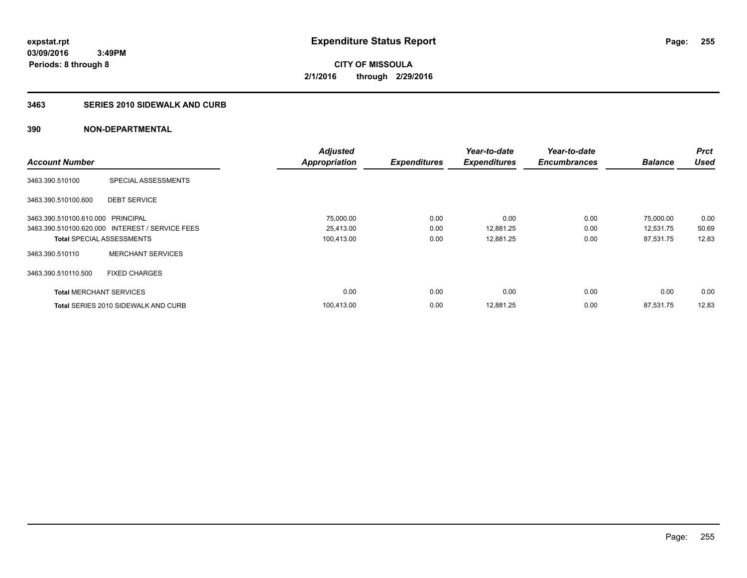# **3463 SERIES 2010 SIDEWALK AND CURB**

|                                   |                                                 | <b>Adjusted</b>      |                     | Year-to-date        | Year-to-date        |                | <b>Prct</b> |
|-----------------------------------|-------------------------------------------------|----------------------|---------------------|---------------------|---------------------|----------------|-------------|
| <b>Account Number</b>             |                                                 | <b>Appropriation</b> | <b>Expenditures</b> | <b>Expenditures</b> | <b>Encumbrances</b> | <b>Balance</b> | <b>Used</b> |
| 3463.390.510100                   | SPECIAL ASSESSMENTS                             |                      |                     |                     |                     |                |             |
| 3463.390.510100.600               | <b>DEBT SERVICE</b>                             |                      |                     |                     |                     |                |             |
| 3463.390.510100.610.000 PRINCIPAL |                                                 | 75,000.00            | 0.00                | 0.00                | 0.00                | 75,000.00      | 0.00        |
|                                   | 3463.390.510100.620.000 INTEREST / SERVICE FEES | 25,413.00            | 0.00                | 12,881.25           | 0.00                | 12,531.75      | 50.69       |
| <b>Total SPECIAL ASSESSMENTS</b>  |                                                 | 100,413.00           | 0.00                | 12,881.25           | 0.00                | 87,531.75      | 12.83       |
| 3463.390.510110                   | <b>MERCHANT SERVICES</b>                        |                      |                     |                     |                     |                |             |
| 3463.390.510110.500               | <b>FIXED CHARGES</b>                            |                      |                     |                     |                     |                |             |
| <b>Total MERCHANT SERVICES</b>    |                                                 | 0.00                 | 0.00                | 0.00                | 0.00                | 0.00           | 0.00        |
|                                   | <b>Total SERIES 2010 SIDEWALK AND CURB</b>      | 100.413.00           | 0.00                | 12.881.25           | 0.00                | 87.531.75      | 12.83       |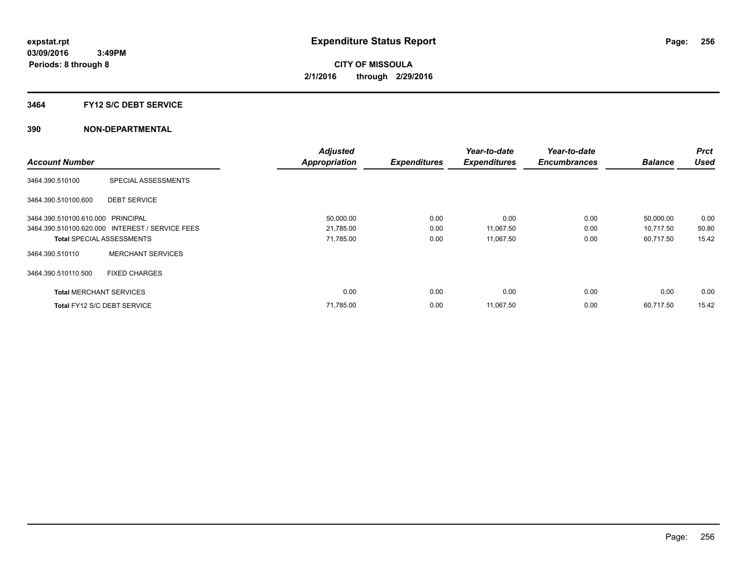### **3464 FY12 S/C DEBT SERVICE**

|                                   |                                                 | <b>Adjusted</b>      |                     | Year-to-date        | Year-to-date        |                | <b>Prct</b> |
|-----------------------------------|-------------------------------------------------|----------------------|---------------------|---------------------|---------------------|----------------|-------------|
| <b>Account Number</b>             |                                                 | <b>Appropriation</b> | <b>Expenditures</b> | <b>Expenditures</b> | <b>Encumbrances</b> | <b>Balance</b> | <b>Used</b> |
| 3464.390.510100                   | SPECIAL ASSESSMENTS                             |                      |                     |                     |                     |                |             |
| 3464.390.510100.600               | <b>DEBT SERVICE</b>                             |                      |                     |                     |                     |                |             |
| 3464.390.510100.610.000 PRINCIPAL |                                                 | 50,000.00            | 0.00                | 0.00                | 0.00                | 50,000.00      | 0.00        |
|                                   | 3464.390.510100.620.000 INTEREST / SERVICE FEES | 21,785.00            | 0.00                | 11,067.50           | 0.00                | 10,717.50      | 50.80       |
| <b>Total SPECIAL ASSESSMENTS</b>  |                                                 | 71,785.00            | 0.00                | 11,067.50           | 0.00                | 60,717.50      | 15.42       |
| 3464.390.510110                   | <b>MERCHANT SERVICES</b>                        |                      |                     |                     |                     |                |             |
| 3464.390.510110.500               | <b>FIXED CHARGES</b>                            |                      |                     |                     |                     |                |             |
| <b>Total MERCHANT SERVICES</b>    |                                                 | 0.00                 | 0.00                | 0.00                | 0.00                | 0.00           | 0.00        |
| Total FY12 S/C DEBT SERVICE       |                                                 | 71,785.00            | 0.00                | 11,067.50           | 0.00                | 60.717.50      | 15.42       |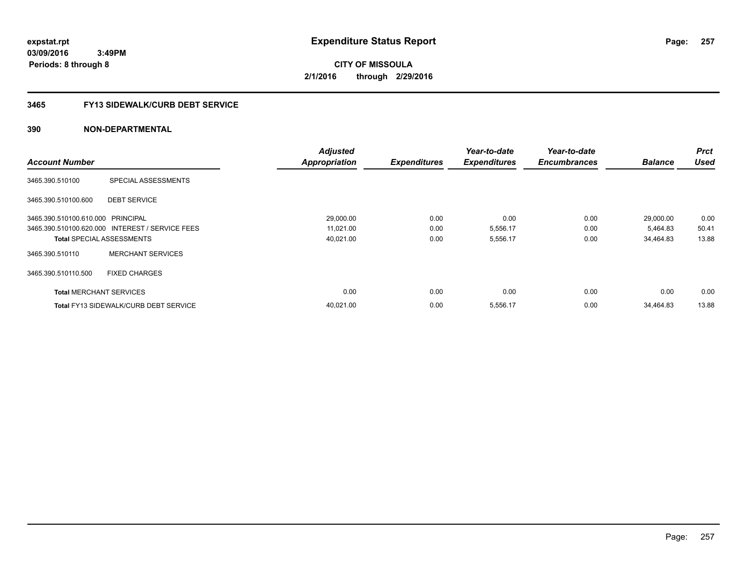**03/09/2016 3:49PM Periods: 8 through 8**

# **CITY OF MISSOULA 2/1/2016 through 2/29/2016**

# **3465 FY13 SIDEWALK/CURB DEBT SERVICE**

|                                   |                                                 | <b>Adjusted</b>      |                     | Year-to-date        | Year-to-date        |                | <b>Prct</b> |
|-----------------------------------|-------------------------------------------------|----------------------|---------------------|---------------------|---------------------|----------------|-------------|
| <b>Account Number</b>             |                                                 | <b>Appropriation</b> | <b>Expenditures</b> | <b>Expenditures</b> | <b>Encumbrances</b> | <b>Balance</b> | <b>Used</b> |
| 3465.390.510100                   | SPECIAL ASSESSMENTS                             |                      |                     |                     |                     |                |             |
| 3465.390.510100.600               | <b>DEBT SERVICE</b>                             |                      |                     |                     |                     |                |             |
| 3465.390.510100.610.000 PRINCIPAL |                                                 | 29,000.00            | 0.00                | 0.00                | 0.00                | 29,000.00      | 0.00        |
|                                   | 3465.390.510100.620.000 INTEREST / SERVICE FEES | 11,021.00            | 0.00                | 5,556.17            | 0.00                | 5,464.83       | 50.41       |
|                                   | <b>Total SPECIAL ASSESSMENTS</b>                | 40,021.00            | 0.00                | 5,556.17            | 0.00                | 34,464.83      | 13.88       |
| 3465.390.510110                   | <b>MERCHANT SERVICES</b>                        |                      |                     |                     |                     |                |             |
| 3465.390.510110.500               | <b>FIXED CHARGES</b>                            |                      |                     |                     |                     |                |             |
| <b>Total MERCHANT SERVICES</b>    |                                                 | 0.00                 | 0.00                | 0.00                | 0.00                | 0.00           | 0.00        |
|                                   | <b>Total FY13 SIDEWALK/CURB DEBT SERVICE</b>    | 40.021.00            | 0.00                | 5,556.17            | 0.00                | 34.464.83      | 13.88       |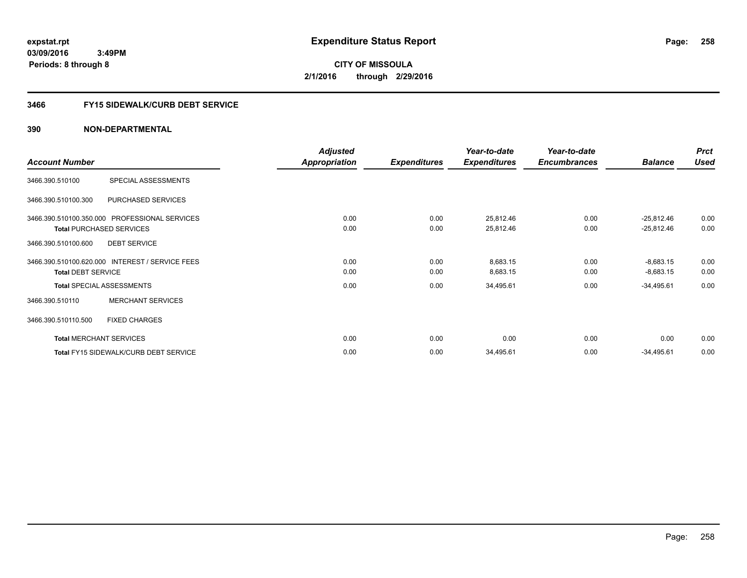**03/09/2016 3:49PM Periods: 8 through 8**

**CITY OF MISSOULA 2/1/2016 through 2/29/2016**

# **3466 FY15 SIDEWALK/CURB DEBT SERVICE**

|                                 |                                                 | <b>Adjusted</b> |                     | Year-to-date        | Year-to-date        |                | <b>Prct</b> |
|---------------------------------|-------------------------------------------------|-----------------|---------------------|---------------------|---------------------|----------------|-------------|
| <b>Account Number</b>           |                                                 | Appropriation   | <b>Expenditures</b> | <b>Expenditures</b> | <b>Encumbrances</b> | <b>Balance</b> | <b>Used</b> |
| 3466.390.510100                 | SPECIAL ASSESSMENTS                             |                 |                     |                     |                     |                |             |
| 3466.390.510100.300             | PURCHASED SERVICES                              |                 |                     |                     |                     |                |             |
|                                 | 3466.390.510100.350.000 PROFESSIONAL SERVICES   | 0.00            | 0.00                | 25,812.46           | 0.00                | $-25,812.46$   | 0.00        |
| <b>Total PURCHASED SERVICES</b> |                                                 | 0.00            | 0.00                | 25,812.46           | 0.00                | $-25,812.46$   | 0.00        |
| 3466.390.510100.600             | <b>DEBT SERVICE</b>                             |                 |                     |                     |                     |                |             |
|                                 | 3466.390.510100.620.000 INTEREST / SERVICE FEES | 0.00            | 0.00                | 8,683.15            | 0.00                | $-8,683.15$    | 0.00        |
| <b>Total DEBT SERVICE</b>       |                                                 | 0.00            | 0.00                | 8,683.15            | 0.00                | $-8,683.15$    | 0.00        |
|                                 | <b>Total SPECIAL ASSESSMENTS</b>                | 0.00            | 0.00                | 34,495.61           | 0.00                | $-34,495.61$   | 0.00        |
| 3466.390.510110                 | <b>MERCHANT SERVICES</b>                        |                 |                     |                     |                     |                |             |
| 3466.390.510110.500             | <b>FIXED CHARGES</b>                            |                 |                     |                     |                     |                |             |
| <b>Total MERCHANT SERVICES</b>  |                                                 | 0.00            | 0.00                | 0.00                | 0.00                | 0.00           | 0.00        |
|                                 | Total FY15 SIDEWALK/CURB DEBT SERVICE           | 0.00            | 0.00                | 34,495.61           | 0.00                | $-34,495.61$   | 0.00        |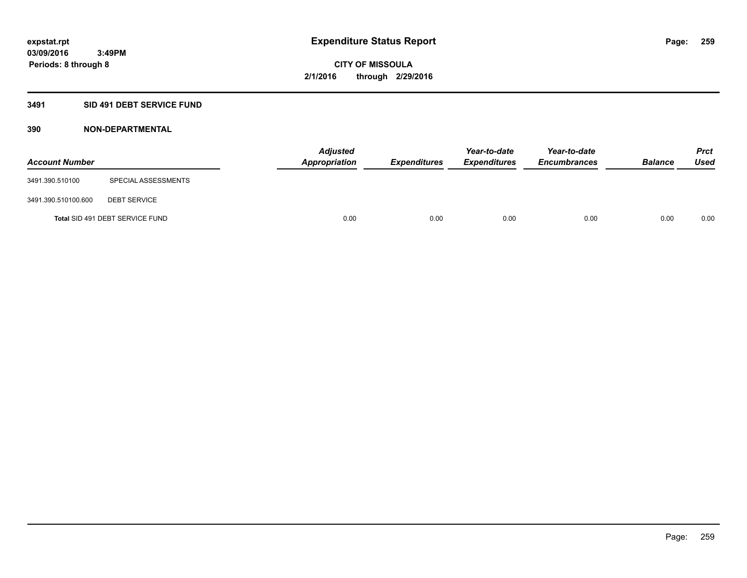# **3491 SID 491 DEBT SERVICE FUND**

| <b>Account Number</b> |                                 | <b>Adjusted</b><br>Appropriation | <b>Expenditures</b> | Year-to-date<br><b>Expenditures</b> | Year-to-date<br><b>Encumbrances</b> | <b>Balance</b> | <b>Prct</b><br><b>Used</b> |
|-----------------------|---------------------------------|----------------------------------|---------------------|-------------------------------------|-------------------------------------|----------------|----------------------------|
| 3491.390.510100       | SPECIAL ASSESSMENTS             |                                  |                     |                                     |                                     |                |                            |
| 3491.390.510100.600   | <b>DEBT SERVICE</b>             |                                  |                     |                                     |                                     |                |                            |
|                       | Total SID 491 DEBT SERVICE FUND | 0.00                             | 0.00                | 0.00                                | 0.00                                | 0.00           | 0.00                       |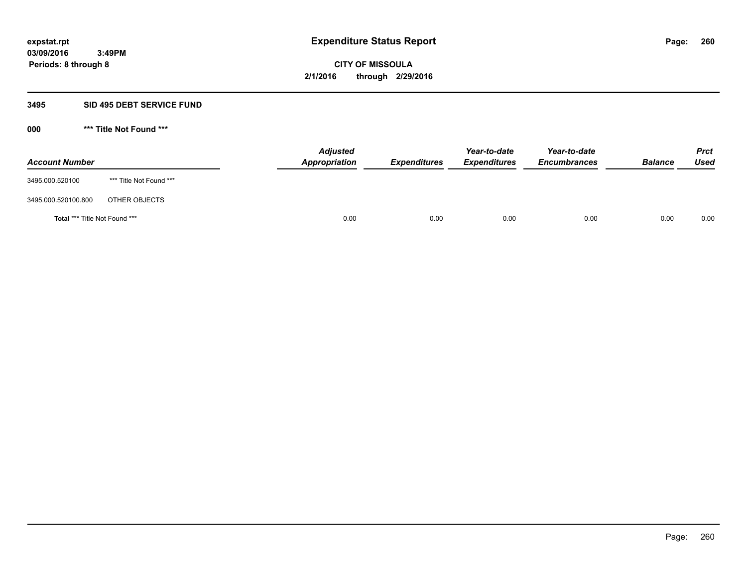### **3495 SID 495 DEBT SERVICE FUND**

| <b>Account Number</b>                |                         | <b>Adjusted</b><br><b>Appropriation</b> | <b>Expenditures</b> | Year-to-date<br><b>Expenditures</b> | Year-to-date<br><b>Encumbrances</b> | <b>Balance</b> | <b>Prct</b><br><b>Used</b> |
|--------------------------------------|-------------------------|-----------------------------------------|---------------------|-------------------------------------|-------------------------------------|----------------|----------------------------|
| 3495.000.520100                      | *** Title Not Found *** |                                         |                     |                                     |                                     |                |                            |
| 3495.000.520100.800                  | OTHER OBJECTS           |                                         |                     |                                     |                                     |                |                            |
| <b>Total *** Title Not Found ***</b> |                         | 0.00                                    | 0.00                | 0.00                                | 0.00                                | 0.00           | 0.00                       |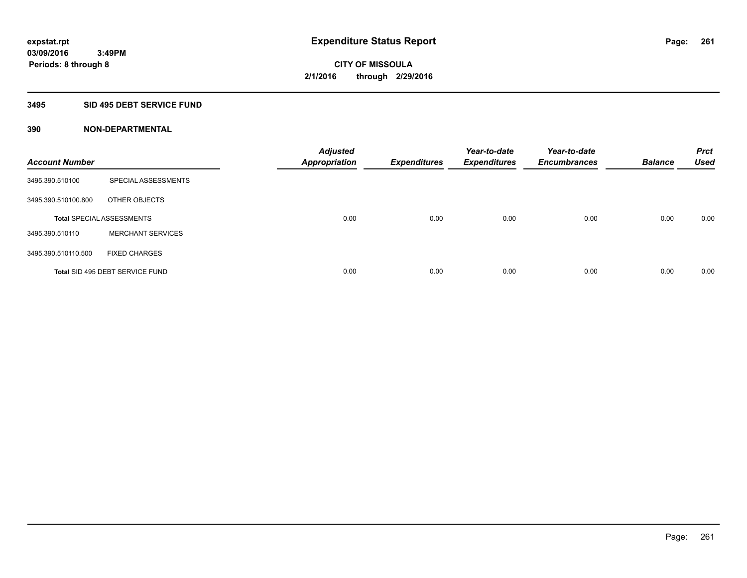# **3495 SID 495 DEBT SERVICE FUND**

| <b>Account Number</b> |                                  | <b>Adjusted</b><br><b>Appropriation</b> | <b>Expenditures</b> | Year-to-date<br><b>Expenditures</b> | Year-to-date<br><b>Encumbrances</b> | <b>Balance</b> | <b>Prct</b><br><b>Used</b> |
|-----------------------|----------------------------------|-----------------------------------------|---------------------|-------------------------------------|-------------------------------------|----------------|----------------------------|
| 3495.390.510100       | SPECIAL ASSESSMENTS              |                                         |                     |                                     |                                     |                |                            |
| 3495.390.510100.800   | OTHER OBJECTS                    |                                         |                     |                                     |                                     |                |                            |
|                       | <b>Total SPECIAL ASSESSMENTS</b> | 0.00                                    | 0.00                | 0.00                                | 0.00                                | 0.00           | 0.00                       |
| 3495.390.510110       | <b>MERCHANT SERVICES</b>         |                                         |                     |                                     |                                     |                |                            |
| 3495.390.510110.500   | <b>FIXED CHARGES</b>             |                                         |                     |                                     |                                     |                |                            |
|                       | Total SID 495 DEBT SERVICE FUND  | 0.00                                    | 0.00                | 0.00                                | 0.00                                | 0.00           | 0.00                       |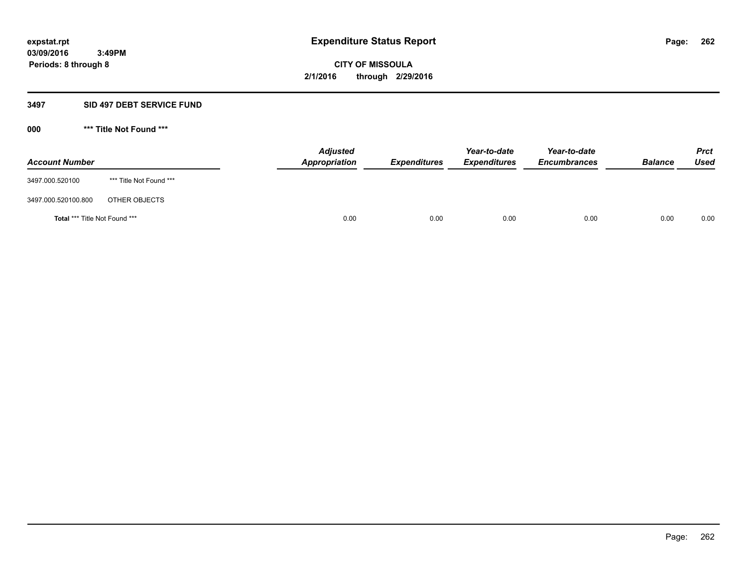### **3497 SID 497 DEBT SERVICE FUND**

| <b>Account Number</b>         |                         | <b>Adjusted</b><br>Appropriation | <b>Expenditures</b> | Year-to-date<br><b>Expenditures</b> | Year-to-date<br><b>Encumbrances</b> | <b>Balance</b> | <b>Prct</b><br>Used |
|-------------------------------|-------------------------|----------------------------------|---------------------|-------------------------------------|-------------------------------------|----------------|---------------------|
| 3497.000.520100               | *** Title Not Found *** |                                  |                     |                                     |                                     |                |                     |
| 3497.000.520100.800           | OTHER OBJECTS           |                                  |                     |                                     |                                     |                |                     |
| Total *** Title Not Found *** |                         | 0.00                             | 0.00                | 0.00                                | 0.00                                | 0.00           | 0.00                |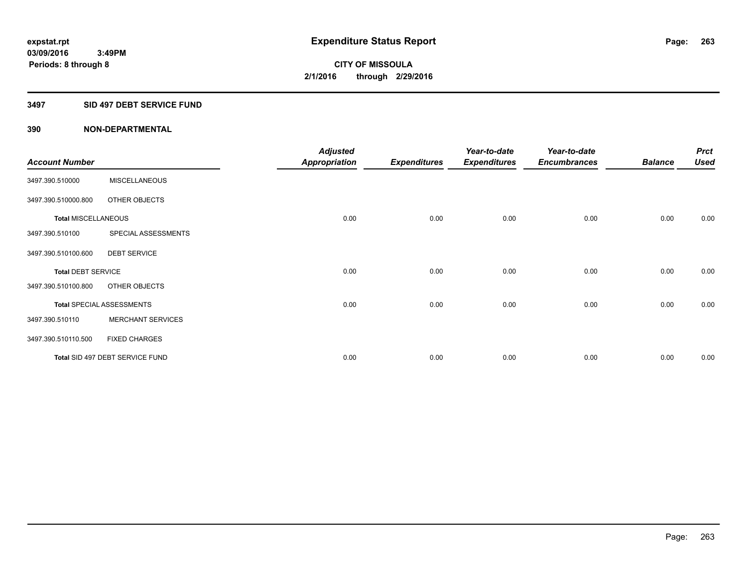### **3497 SID 497 DEBT SERVICE FUND**

|                            |                                  | <b>Adjusted</b> |                     | Year-to-date        | Year-to-date        |                | <b>Prct</b> |
|----------------------------|----------------------------------|-----------------|---------------------|---------------------|---------------------|----------------|-------------|
| <b>Account Number</b>      |                                  | Appropriation   | <b>Expenditures</b> | <b>Expenditures</b> | <b>Encumbrances</b> | <b>Balance</b> | <b>Used</b> |
| 3497.390.510000            | <b>MISCELLANEOUS</b>             |                 |                     |                     |                     |                |             |
| 3497.390.510000.800        | OTHER OBJECTS                    |                 |                     |                     |                     |                |             |
| <b>Total MISCELLANEOUS</b> |                                  | 0.00            | 0.00                | 0.00                | 0.00                | 0.00           | 0.00        |
| 3497.390.510100            | SPECIAL ASSESSMENTS              |                 |                     |                     |                     |                |             |
| 3497.390.510100.600        | <b>DEBT SERVICE</b>              |                 |                     |                     |                     |                |             |
| <b>Total DEBT SERVICE</b>  |                                  | 0.00            | 0.00                | 0.00                | 0.00                | 0.00           | 0.00        |
| 3497.390.510100.800        | OTHER OBJECTS                    |                 |                     |                     |                     |                |             |
|                            | <b>Total SPECIAL ASSESSMENTS</b> | 0.00            | 0.00                | 0.00                | 0.00                | 0.00           | 0.00        |
| 3497.390.510110            | <b>MERCHANT SERVICES</b>         |                 |                     |                     |                     |                |             |
| 3497.390.510110.500        | <b>FIXED CHARGES</b>             |                 |                     |                     |                     |                |             |
|                            | Total SID 497 DEBT SERVICE FUND  | 0.00            | 0.00                | 0.00                | 0.00                | 0.00           | 0.00        |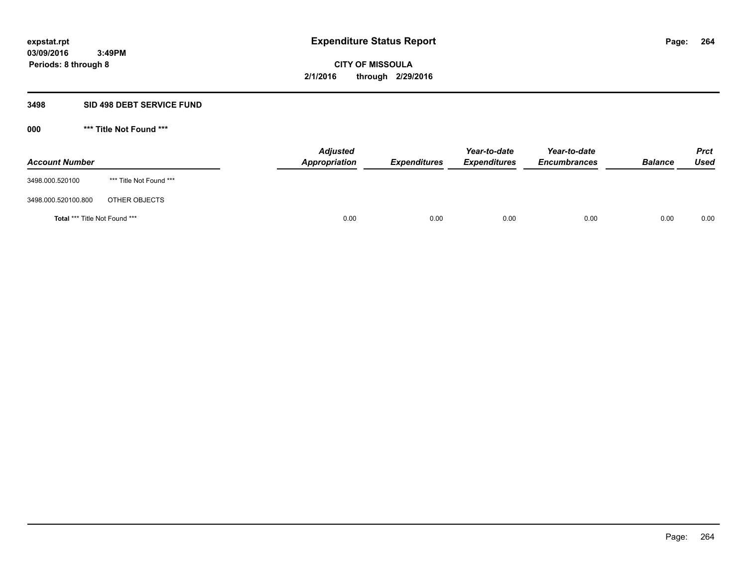# **3498 SID 498 DEBT SERVICE FUND**

| <b>Account Number</b>                |                         | <b>Adjusted</b><br>Appropriation | <b>Expenditures</b> | Year-to-date<br><b>Expenditures</b> | Year-to-date<br><b>Encumbrances</b> | <b>Balance</b> | <b>Prct</b><br>Used |
|--------------------------------------|-------------------------|----------------------------------|---------------------|-------------------------------------|-------------------------------------|----------------|---------------------|
| 3498.000.520100                      | *** Title Not Found *** |                                  |                     |                                     |                                     |                |                     |
| 3498.000.520100.800                  | OTHER OBJECTS           |                                  |                     |                                     |                                     |                |                     |
| <b>Total *** Title Not Found ***</b> |                         | 0.00                             | 0.00                | 0.00                                | 0.00                                | 0.00           | 0.00                |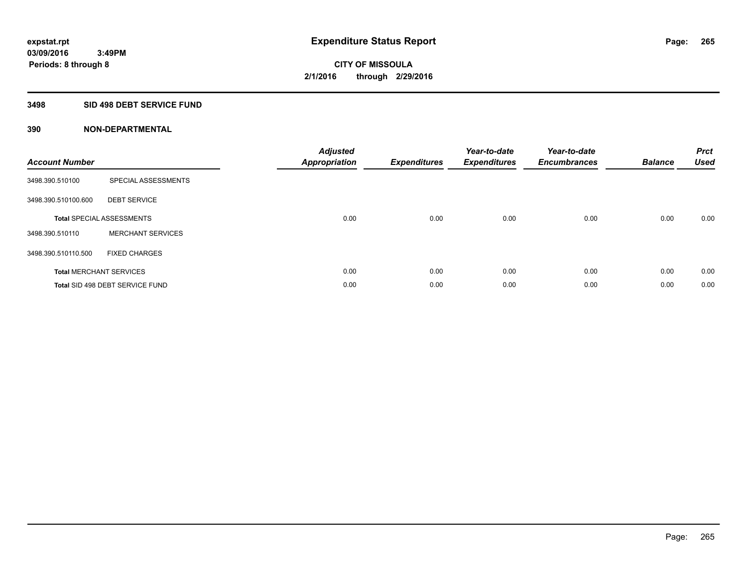# **3498 SID 498 DEBT SERVICE FUND**

| <b>Account Number</b> |                                  | <b>Adjusted</b><br>Appropriation | <b>Expenditures</b> | Year-to-date<br><b>Expenditures</b> | Year-to-date<br><b>Encumbrances</b> | <b>Balance</b> | <b>Prct</b><br><b>Used</b> |
|-----------------------|----------------------------------|----------------------------------|---------------------|-------------------------------------|-------------------------------------|----------------|----------------------------|
| 3498.390.510100       | SPECIAL ASSESSMENTS              |                                  |                     |                                     |                                     |                |                            |
| 3498.390.510100.600   | <b>DEBT SERVICE</b>              |                                  |                     |                                     |                                     |                |                            |
|                       | <b>Total SPECIAL ASSESSMENTS</b> | 0.00                             | 0.00                | 0.00                                | 0.00                                | 0.00           | 0.00                       |
| 3498.390.510110       | <b>MERCHANT SERVICES</b>         |                                  |                     |                                     |                                     |                |                            |
| 3498.390.510110.500   | <b>FIXED CHARGES</b>             |                                  |                     |                                     |                                     |                |                            |
|                       | <b>Total MERCHANT SERVICES</b>   | 0.00                             | 0.00                | 0.00                                | 0.00                                | 0.00           | 0.00                       |
|                       | Total SID 498 DEBT SERVICE FUND  | 0.00                             | 0.00                | 0.00                                | 0.00                                | 0.00           | 0.00                       |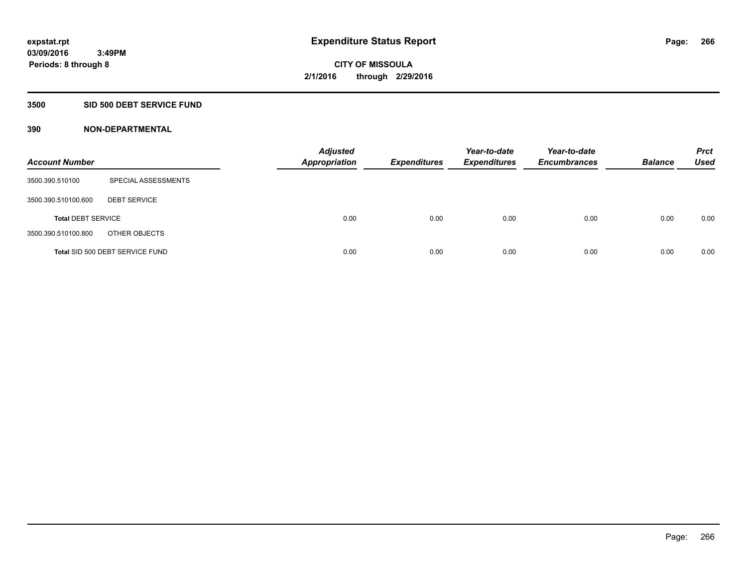# **3500 SID 500 DEBT SERVICE FUND**

| <b>Account Number</b>     |                                 | <b>Adjusted</b><br><b>Appropriation</b> | <b>Expenditures</b> | Year-to-date<br><b>Expenditures</b> | Year-to-date<br><b>Encumbrances</b> | <b>Balance</b> | <b>Prct</b><br>Used |
|---------------------------|---------------------------------|-----------------------------------------|---------------------|-------------------------------------|-------------------------------------|----------------|---------------------|
| 3500.390.510100           | SPECIAL ASSESSMENTS             |                                         |                     |                                     |                                     |                |                     |
| 3500.390.510100.600       | <b>DEBT SERVICE</b>             |                                         |                     |                                     |                                     |                |                     |
| <b>Total DEBT SERVICE</b> |                                 | 0.00                                    | 0.00                | 0.00                                | 0.00                                | 0.00           | 0.00                |
| 3500.390.510100.800       | OTHER OBJECTS                   |                                         |                     |                                     |                                     |                |                     |
|                           | Total SID 500 DEBT SERVICE FUND | 0.00                                    | 0.00                | 0.00                                | 0.00                                | 0.00           | 0.00                |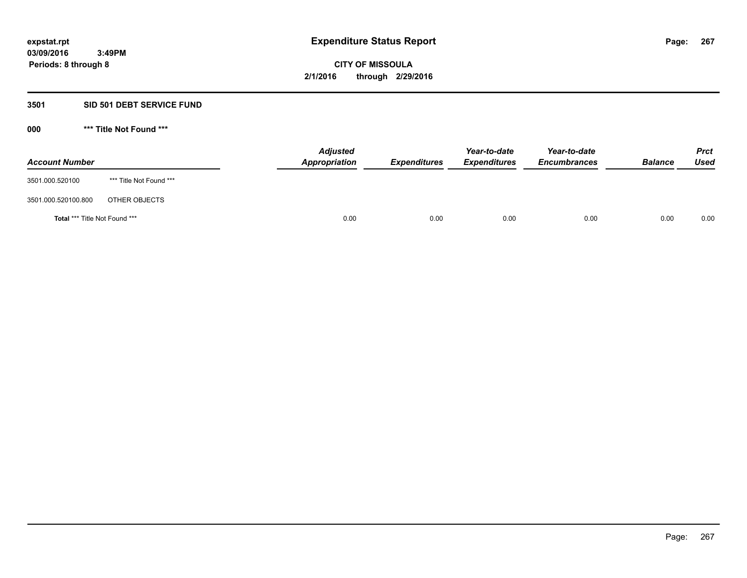# **3501 SID 501 DEBT SERVICE FUND**

| <b>Account Number</b>         |                         | <b>Adjusted</b><br>Appropriation | <b>Expenditures</b> | Year-to-date<br><b>Expenditures</b> | Year-to-date<br><b>Encumbrances</b> | <b>Balance</b> | <b>Prct</b><br>Used |
|-------------------------------|-------------------------|----------------------------------|---------------------|-------------------------------------|-------------------------------------|----------------|---------------------|
| 3501.000.520100               | *** Title Not Found *** |                                  |                     |                                     |                                     |                |                     |
| 3501.000.520100.800           | OTHER OBJECTS           |                                  |                     |                                     |                                     |                |                     |
| Total *** Title Not Found *** |                         | 0.00                             | 0.00                | 0.00                                | 0.00                                | 0.00           | 0.00                |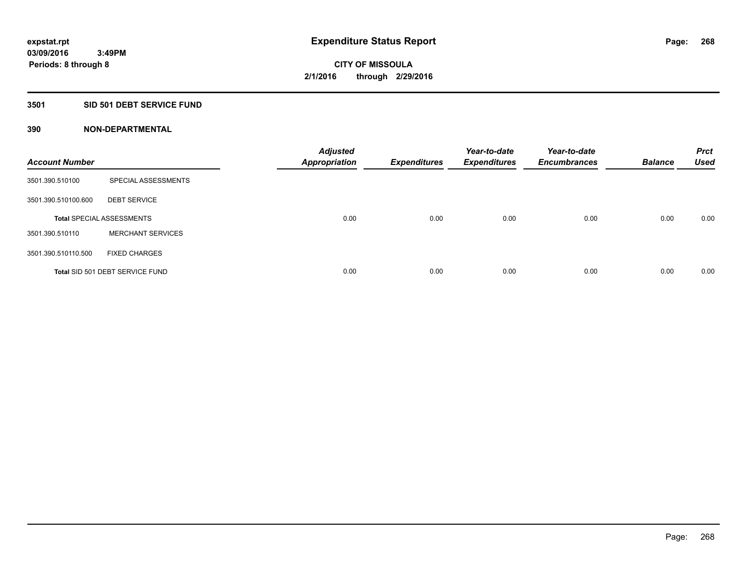# **3501 SID 501 DEBT SERVICE FUND**

| <b>Account Number</b> |                                  | <b>Adjusted</b><br><b>Appropriation</b> | <b>Expenditures</b> | Year-to-date<br><b>Expenditures</b> | Year-to-date<br><b>Encumbrances</b> | <b>Balance</b> | <b>Prct</b><br><b>Used</b> |
|-----------------------|----------------------------------|-----------------------------------------|---------------------|-------------------------------------|-------------------------------------|----------------|----------------------------|
| 3501.390.510100       | SPECIAL ASSESSMENTS              |                                         |                     |                                     |                                     |                |                            |
| 3501.390.510100.600   | <b>DEBT SERVICE</b>              |                                         |                     |                                     |                                     |                |                            |
|                       | <b>Total SPECIAL ASSESSMENTS</b> | 0.00                                    | 0.00                | 0.00                                | 0.00                                | 0.00           | 0.00                       |
| 3501.390.510110       | <b>MERCHANT SERVICES</b>         |                                         |                     |                                     |                                     |                |                            |
| 3501.390.510110.500   | <b>FIXED CHARGES</b>             |                                         |                     |                                     |                                     |                |                            |
|                       | Total SID 501 DEBT SERVICE FUND  | 0.00                                    | 0.00                | 0.00                                | 0.00                                | 0.00           | 0.00                       |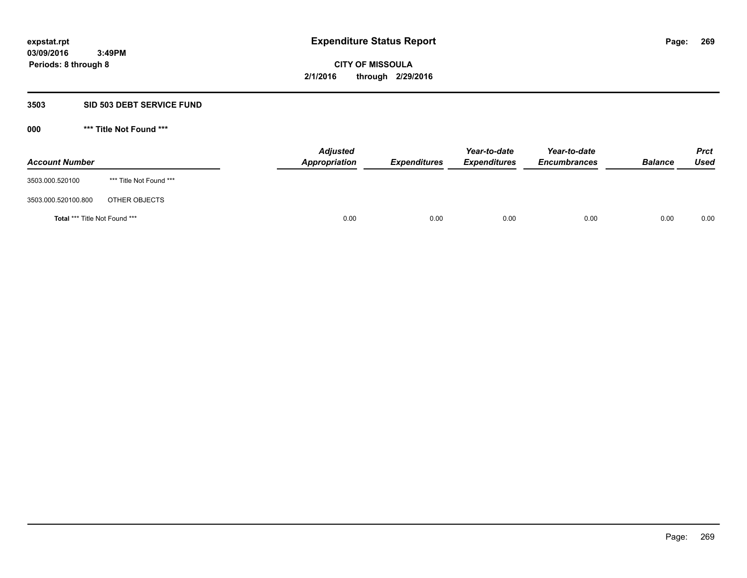### **3503 SID 503 DEBT SERVICE FUND**

| <b>Account Number</b>         |                         | <b>Adjusted</b><br>Appropriation | <b>Expenditures</b> | Year-to-date<br><b>Expenditures</b> | Year-to-date<br><b>Encumbrances</b> | <b>Balance</b> | <b>Prct</b><br>Used |
|-------------------------------|-------------------------|----------------------------------|---------------------|-------------------------------------|-------------------------------------|----------------|---------------------|
| 3503.000.520100               | *** Title Not Found *** |                                  |                     |                                     |                                     |                |                     |
| 3503.000.520100.800           | OTHER OBJECTS           |                                  |                     |                                     |                                     |                |                     |
| Total *** Title Not Found *** |                         | 0.00                             | 0.00                | 0.00                                | 0.00                                | 0.00           | 0.00                |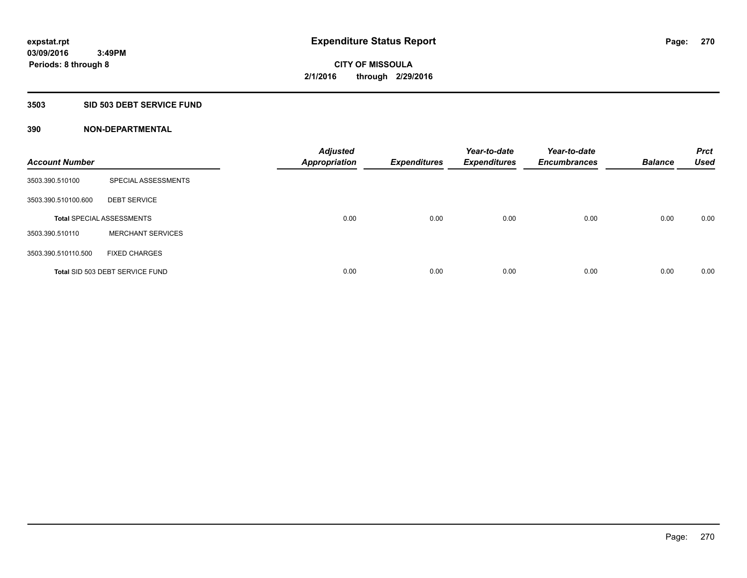### **3503 SID 503 DEBT SERVICE FUND**

| <b>Account Number</b> |                                  | <b>Adjusted</b><br><b>Appropriation</b> | <b>Expenditures</b> | Year-to-date<br><b>Expenditures</b> | Year-to-date<br><b>Encumbrances</b> | <b>Balance</b> | <b>Prct</b><br><b>Used</b> |
|-----------------------|----------------------------------|-----------------------------------------|---------------------|-------------------------------------|-------------------------------------|----------------|----------------------------|
| 3503.390.510100       | SPECIAL ASSESSMENTS              |                                         |                     |                                     |                                     |                |                            |
| 3503.390.510100.600   | <b>DEBT SERVICE</b>              |                                         |                     |                                     |                                     |                |                            |
|                       | <b>Total SPECIAL ASSESSMENTS</b> | 0.00                                    | 0.00                | 0.00                                | 0.00                                | 0.00           | 0.00                       |
| 3503.390.510110       | <b>MERCHANT SERVICES</b>         |                                         |                     |                                     |                                     |                |                            |
| 3503.390.510110.500   | <b>FIXED CHARGES</b>             |                                         |                     |                                     |                                     |                |                            |
|                       | Total SID 503 DEBT SERVICE FUND  | 0.00                                    | 0.00                | 0.00                                | 0.00                                | 0.00           | 0.00                       |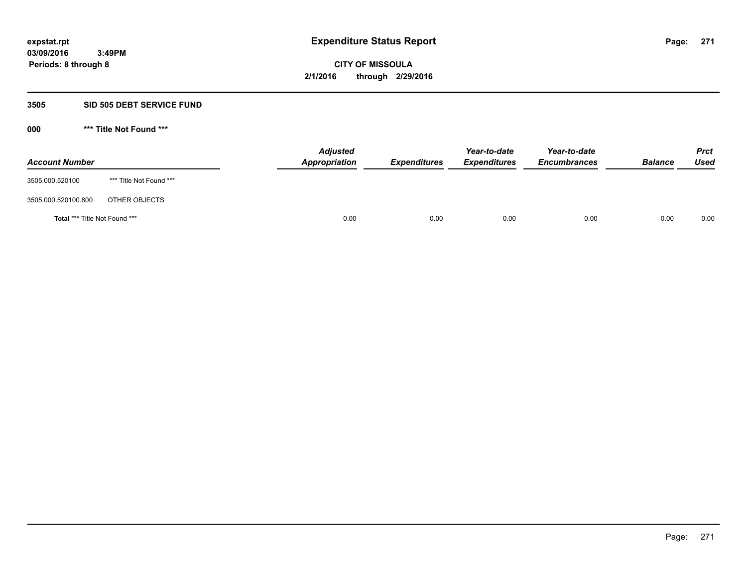# **3505 SID 505 DEBT SERVICE FUND**

| <b>Account Number</b>                |                         | <b>Adjusted</b><br>Appropriation | <b>Expenditures</b> | Year-to-date<br><b>Expenditures</b> | Year-to-date<br><b>Encumbrances</b> | <b>Balance</b> | <b>Prct</b><br><b>Used</b> |
|--------------------------------------|-------------------------|----------------------------------|---------------------|-------------------------------------|-------------------------------------|----------------|----------------------------|
| 3505.000.520100                      | *** Title Not Found *** |                                  |                     |                                     |                                     |                |                            |
| 3505.000.520100.800                  | OTHER OBJECTS           |                                  |                     |                                     |                                     |                |                            |
| <b>Total *** Title Not Found ***</b> |                         | 0.00                             | 0.00                | 0.00                                | 0.00                                | 0.00           | 0.00                       |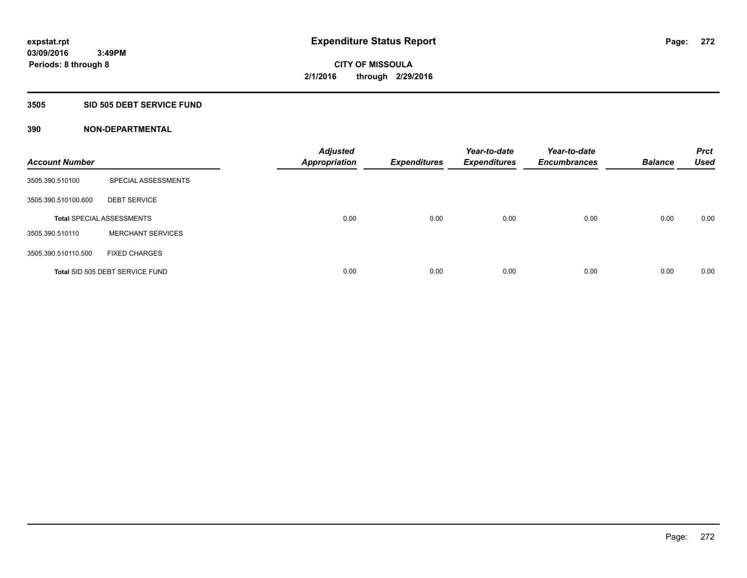### **3505 SID 505 DEBT SERVICE FUND**

| <b>Account Number</b> |                                  | <b>Adjusted</b><br><b>Appropriation</b> | <b>Expenditures</b> | Year-to-date<br><b>Expenditures</b> | Year-to-date<br><b>Encumbrances</b> | <b>Balance</b> | <b>Prct</b><br><b>Used</b> |
|-----------------------|----------------------------------|-----------------------------------------|---------------------|-------------------------------------|-------------------------------------|----------------|----------------------------|
| 3505.390.510100       | SPECIAL ASSESSMENTS              |                                         |                     |                                     |                                     |                |                            |
| 3505.390.510100.600   | <b>DEBT SERVICE</b>              |                                         |                     |                                     |                                     |                |                            |
|                       | <b>Total SPECIAL ASSESSMENTS</b> | 0.00                                    | 0.00                | 0.00                                | 0.00                                | 0.00           | 0.00                       |
| 3505.390.510110       | <b>MERCHANT SERVICES</b>         |                                         |                     |                                     |                                     |                |                            |
| 3505.390.510110.500   | <b>FIXED CHARGES</b>             |                                         |                     |                                     |                                     |                |                            |
|                       | Total SID 505 DEBT SERVICE FUND  | 0.00                                    | 0.00                | 0.00                                | 0.00                                | 0.00           | 0.00                       |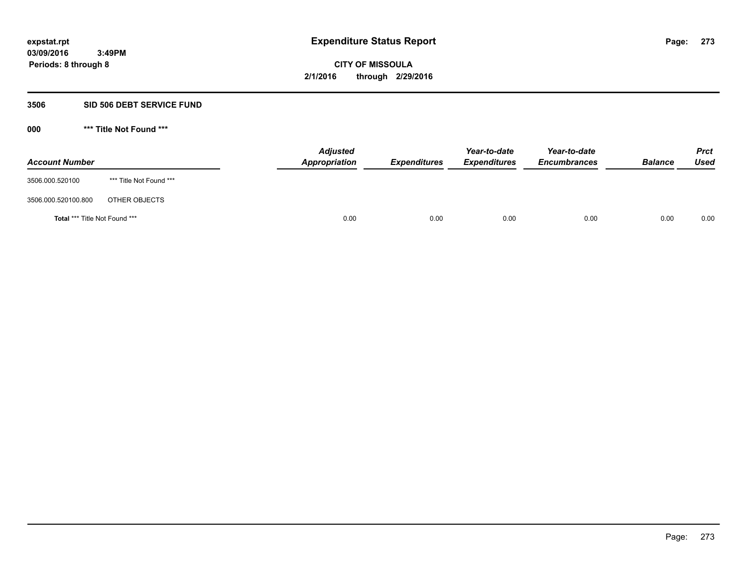# **3506 SID 506 DEBT SERVICE FUND**

| <b>Account Number</b>                |                         | <b>Adjusted</b><br>Appropriation | <b>Expenditures</b> | Year-to-date<br><b>Expenditures</b> | Year-to-date<br><b>Encumbrances</b> | <b>Balance</b> | <b>Prct</b><br><b>Used</b> |
|--------------------------------------|-------------------------|----------------------------------|---------------------|-------------------------------------|-------------------------------------|----------------|----------------------------|
| 3506.000.520100                      | *** Title Not Found *** |                                  |                     |                                     |                                     |                |                            |
| 3506.000.520100.800                  | OTHER OBJECTS           |                                  |                     |                                     |                                     |                |                            |
| <b>Total *** Title Not Found ***</b> |                         | 0.00                             | 0.00                | 0.00                                | 0.00                                | 0.00           | 0.00                       |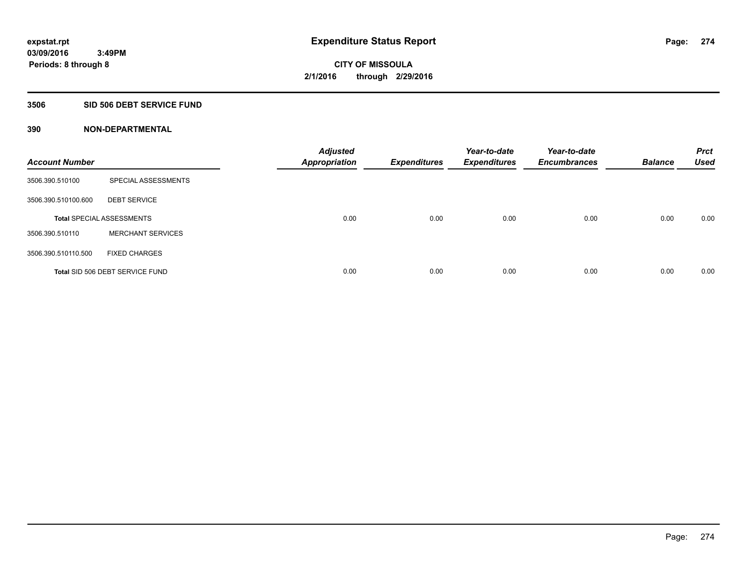### **3506 SID 506 DEBT SERVICE FUND**

| <b>Account Number</b> |                                  | <b>Adjusted</b><br><b>Appropriation</b> | <b>Expenditures</b> | Year-to-date<br><b>Expenditures</b> | Year-to-date<br><b>Encumbrances</b> | <b>Balance</b> | <b>Prct</b><br><b>Used</b> |
|-----------------------|----------------------------------|-----------------------------------------|---------------------|-------------------------------------|-------------------------------------|----------------|----------------------------|
| 3506.390.510100       | SPECIAL ASSESSMENTS              |                                         |                     |                                     |                                     |                |                            |
| 3506.390.510100.600   | <b>DEBT SERVICE</b>              |                                         |                     |                                     |                                     |                |                            |
|                       | <b>Total SPECIAL ASSESSMENTS</b> | 0.00                                    | 0.00                | 0.00                                | 0.00                                | 0.00           | 0.00                       |
| 3506.390.510110       | <b>MERCHANT SERVICES</b>         |                                         |                     |                                     |                                     |                |                            |
| 3506.390.510110.500   | <b>FIXED CHARGES</b>             |                                         |                     |                                     |                                     |                |                            |
|                       | Total SID 506 DEBT SERVICE FUND  | 0.00                                    | 0.00                | 0.00                                | 0.00                                | 0.00           | 0.00                       |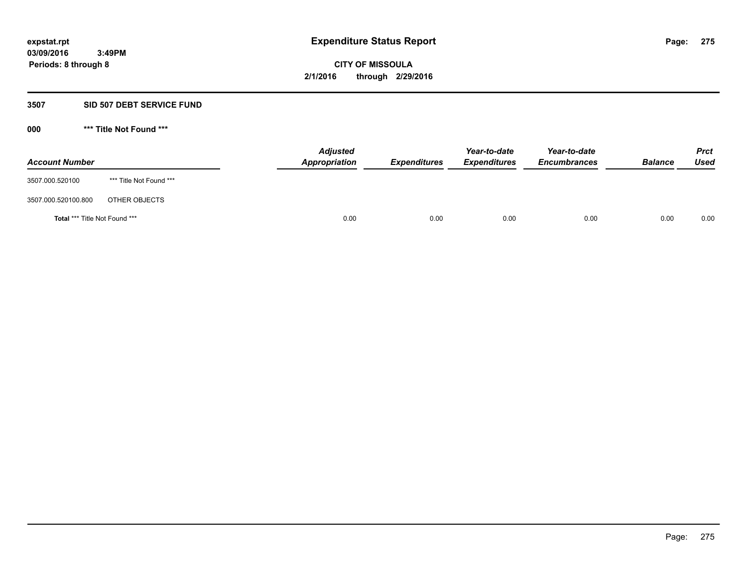### **3507 SID 507 DEBT SERVICE FUND**

| <b>Account Number</b>                |                         | <b>Adjusted</b><br><b>Appropriation</b> | <b>Expenditures</b> | Year-to-date<br><b>Expenditures</b> | Year-to-date<br><b>Encumbrances</b> | <b>Balance</b> | <b>Prct</b><br><b>Used</b> |
|--------------------------------------|-------------------------|-----------------------------------------|---------------------|-------------------------------------|-------------------------------------|----------------|----------------------------|
| 3507.000.520100                      | *** Title Not Found *** |                                         |                     |                                     |                                     |                |                            |
| 3507.000.520100.800                  | OTHER OBJECTS           |                                         |                     |                                     |                                     |                |                            |
| <b>Total *** Title Not Found ***</b> |                         | 0.00                                    | 0.00                | 0.00                                | 0.00                                | 0.00           | 0.00                       |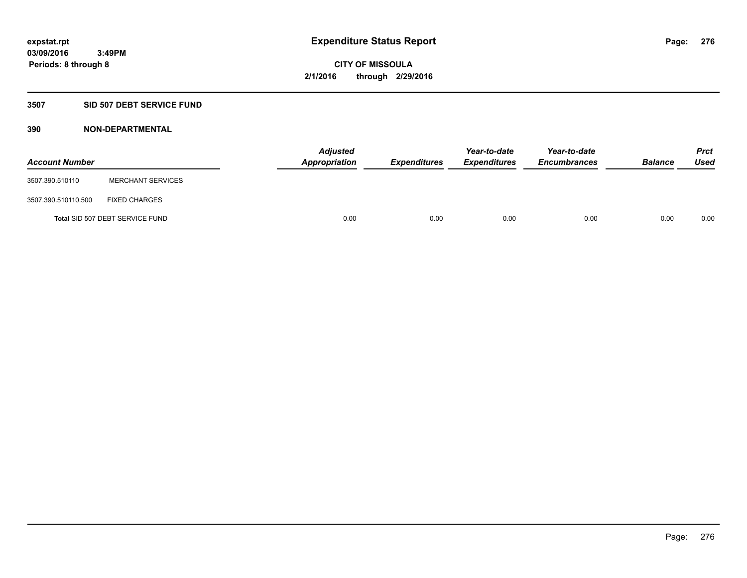# **3507 SID 507 DEBT SERVICE FUND**

| <b>Account Number</b> |                                 | <b>Adjusted</b><br>Appropriation | <b>Expenditures</b> | Year-to-date<br><b>Expenditures</b> | Year-to-date<br><b>Encumbrances</b> | <b>Balance</b> | <b>Prct</b><br><b>Used</b> |
|-----------------------|---------------------------------|----------------------------------|---------------------|-------------------------------------|-------------------------------------|----------------|----------------------------|
| 3507.390.510110       | <b>MERCHANT SERVICES</b>        |                                  |                     |                                     |                                     |                |                            |
| 3507.390.510110.500   | <b>FIXED CHARGES</b>            |                                  |                     |                                     |                                     |                |                            |
|                       | Total SID 507 DEBT SERVICE FUND | 0.00                             | 0.00                | 0.00                                | 0.00                                | 0.00           | 0.00                       |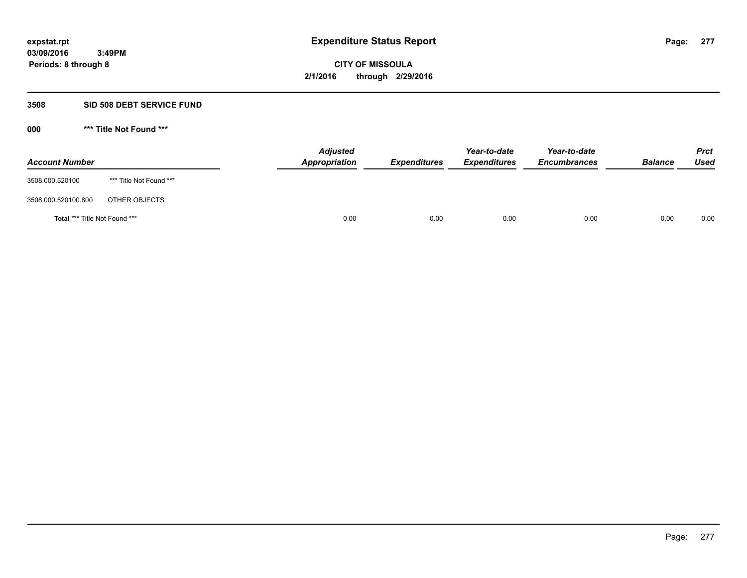### **3508 SID 508 DEBT SERVICE FUND**

| <b>Account Number</b>                |                         | Appropriation | <b>Adjusted</b><br><b>Expenditures</b> | Year-to-date<br><b>Expenditures</b> | Year-to-date<br><b>Encumbrances</b> | <b>Balance</b> | <b>Prct</b><br>Used |
|--------------------------------------|-------------------------|---------------|----------------------------------------|-------------------------------------|-------------------------------------|----------------|---------------------|
| 3508.000.520100                      | *** Title Not Found *** |               |                                        |                                     |                                     |                |                     |
| 3508.000.520100.800                  | OTHER OBJECTS           |               |                                        |                                     |                                     |                |                     |
| <b>Total *** Title Not Found ***</b> |                         |               | 0.00<br>0.00                           | 0.00                                | 0.00                                | 0.00           | 0.00                |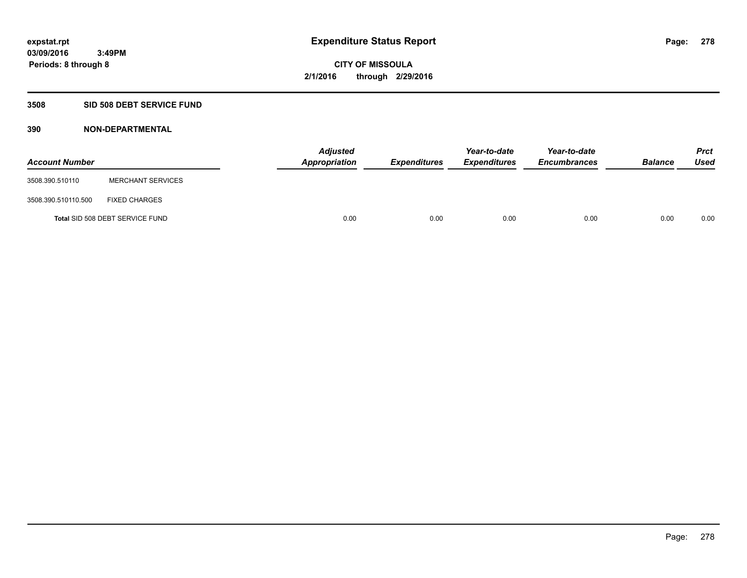# **3508 SID 508 DEBT SERVICE FUND**

| <b>Account Number</b> |                                 | <b>Adjusted</b><br>Appropriation | <b>Expenditures</b> | Year-to-date<br><b>Expenditures</b> | Year-to-date<br><b>Encumbrances</b> | <b>Balance</b> | <b>Prct</b><br><b>Used</b> |
|-----------------------|---------------------------------|----------------------------------|---------------------|-------------------------------------|-------------------------------------|----------------|----------------------------|
| 3508.390.510110       | <b>MERCHANT SERVICES</b>        |                                  |                     |                                     |                                     |                |                            |
| 3508.390.510110.500   | <b>FIXED CHARGES</b>            |                                  |                     |                                     |                                     |                |                            |
|                       | Total SID 508 DEBT SERVICE FUND | 0.00                             | 0.00                | 0.00                                | 0.00                                | 0.00           | 0.00                       |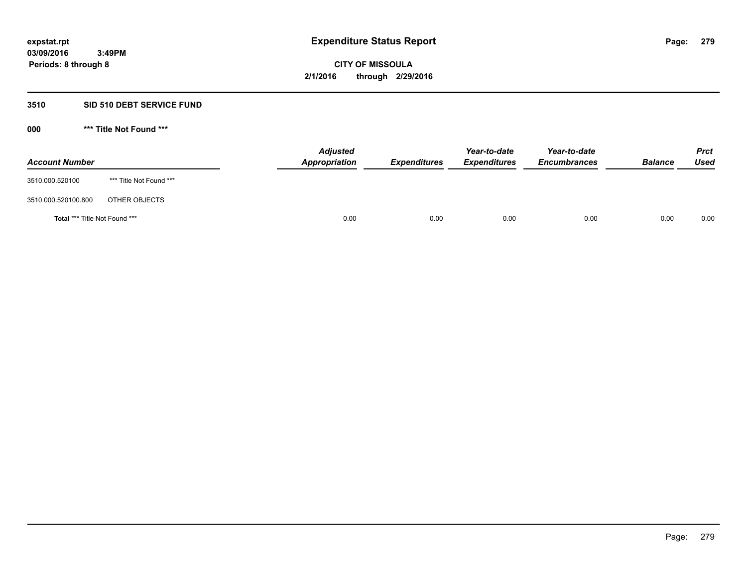# **3510 SID 510 DEBT SERVICE FUND**

| <b>Account Number</b>         |                         | <b>Adjusted</b><br>Appropriation | <b>Expenditures</b> | Year-to-date<br><b>Expenditures</b> | Year-to-date<br><b>Encumbrances</b> | <b>Balance</b> | <b>Prct</b><br>Used |
|-------------------------------|-------------------------|----------------------------------|---------------------|-------------------------------------|-------------------------------------|----------------|---------------------|
| 3510.000.520100               | *** Title Not Found *** |                                  |                     |                                     |                                     |                |                     |
| 3510.000.520100.800           | OTHER OBJECTS           |                                  |                     |                                     |                                     |                |                     |
| Total *** Title Not Found *** |                         | 0.00                             | 0.00                | 0.00                                | 0.00                                | 0.00           | 0.00                |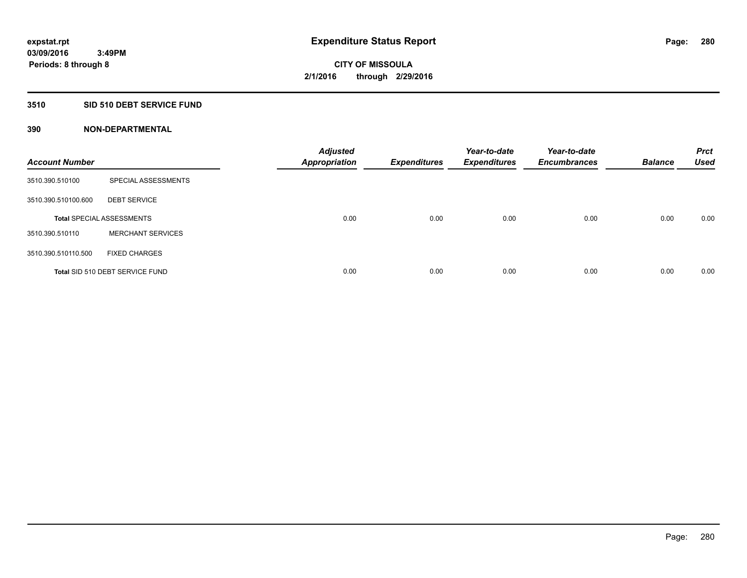# **3510 SID 510 DEBT SERVICE FUND**

| <b>Account Number</b> |                                  | <b>Adjusted</b><br><b>Appropriation</b> | <b>Expenditures</b> | Year-to-date<br><b>Expenditures</b> | Year-to-date<br><b>Encumbrances</b> | <b>Balance</b> | <b>Prct</b><br><b>Used</b> |
|-----------------------|----------------------------------|-----------------------------------------|---------------------|-------------------------------------|-------------------------------------|----------------|----------------------------|
| 3510.390.510100       | SPECIAL ASSESSMENTS              |                                         |                     |                                     |                                     |                |                            |
| 3510.390.510100.600   | <b>DEBT SERVICE</b>              |                                         |                     |                                     |                                     |                |                            |
|                       | <b>Total SPECIAL ASSESSMENTS</b> | 0.00                                    | 0.00                | 0.00                                | 0.00                                | 0.00           | 0.00                       |
| 3510.390.510110       | <b>MERCHANT SERVICES</b>         |                                         |                     |                                     |                                     |                |                            |
| 3510.390.510110.500   | <b>FIXED CHARGES</b>             |                                         |                     |                                     |                                     |                |                            |
|                       | Total SID 510 DEBT SERVICE FUND  | 0.00                                    | 0.00                | 0.00                                | 0.00                                | 0.00           | 0.00                       |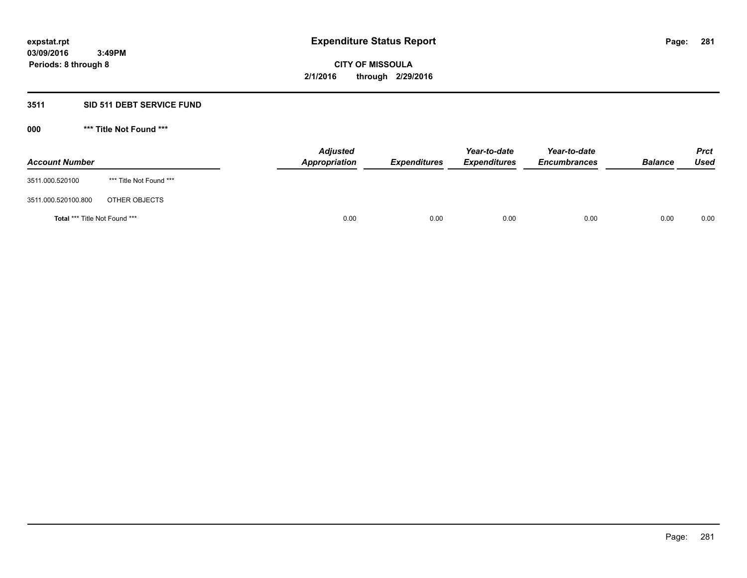# **3511 SID 511 DEBT SERVICE FUND**

| <b>Account Number</b>                |                         | <b>Adjusted</b><br>Appropriation | <b>Expenditures</b> | Year-to-date<br><b>Expenditures</b> | Year-to-date<br><b>Encumbrances</b> | <b>Balance</b> | <b>Prct</b><br><b>Used</b> |
|--------------------------------------|-------------------------|----------------------------------|---------------------|-------------------------------------|-------------------------------------|----------------|----------------------------|
| 3511.000.520100                      | *** Title Not Found *** |                                  |                     |                                     |                                     |                |                            |
| 3511.000.520100.800                  | OTHER OBJECTS           |                                  |                     |                                     |                                     |                |                            |
| <b>Total *** Title Not Found ***</b> |                         | 0.00                             | 0.00                | 0.00                                | 0.00                                | 0.00           | 0.00                       |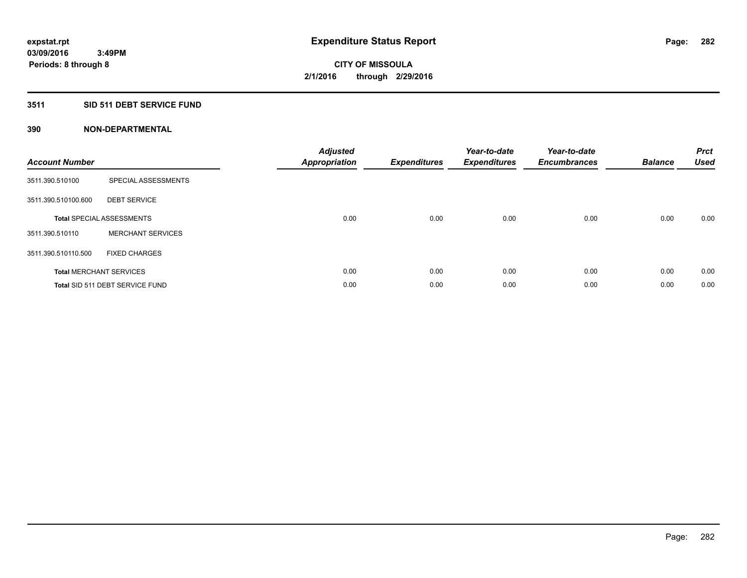# **3511 SID 511 DEBT SERVICE FUND**

| <b>Account Number</b> |                                  | <b>Adjusted</b><br>Appropriation | <b>Expenditures</b> | Year-to-date<br><b>Expenditures</b> | Year-to-date<br><b>Encumbrances</b> | <b>Balance</b> | <b>Prct</b><br><b>Used</b> |
|-----------------------|----------------------------------|----------------------------------|---------------------|-------------------------------------|-------------------------------------|----------------|----------------------------|
| 3511.390.510100       | SPECIAL ASSESSMENTS              |                                  |                     |                                     |                                     |                |                            |
| 3511.390.510100.600   | <b>DEBT SERVICE</b>              |                                  |                     |                                     |                                     |                |                            |
|                       | <b>Total SPECIAL ASSESSMENTS</b> | 0.00                             | 0.00                | 0.00                                | 0.00                                | 0.00           | 0.00                       |
| 3511.390.510110       | <b>MERCHANT SERVICES</b>         |                                  |                     |                                     |                                     |                |                            |
| 3511.390.510110.500   | <b>FIXED CHARGES</b>             |                                  |                     |                                     |                                     |                |                            |
|                       | <b>Total MERCHANT SERVICES</b>   | 0.00                             | 0.00                | 0.00                                | 0.00                                | 0.00           | 0.00                       |
|                       | Total SID 511 DEBT SERVICE FUND  | 0.00                             | 0.00                | 0.00                                | 0.00                                | 0.00           | 0.00                       |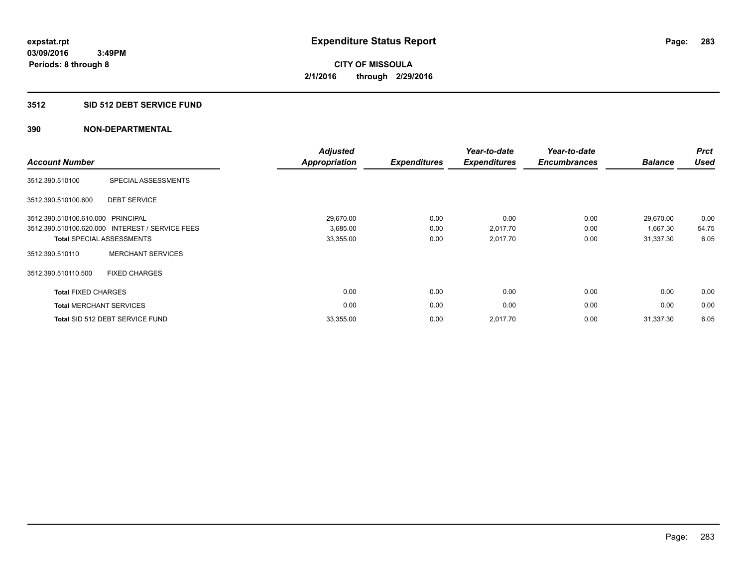# **3512 SID 512 DEBT SERVICE FUND**

| <b>Account Number</b>             |                                                 | <b>Adjusted</b><br><b>Appropriation</b> | <b>Expenditures</b> | Year-to-date<br><b>Expenditures</b> | Year-to-date<br><b>Encumbrances</b> | <b>Balance</b> | <b>Prct</b><br><b>Used</b> |
|-----------------------------------|-------------------------------------------------|-----------------------------------------|---------------------|-------------------------------------|-------------------------------------|----------------|----------------------------|
| 3512.390.510100                   | SPECIAL ASSESSMENTS                             |                                         |                     |                                     |                                     |                |                            |
| 3512.390.510100.600               | <b>DEBT SERVICE</b>                             |                                         |                     |                                     |                                     |                |                            |
| 3512.390.510100.610.000 PRINCIPAL |                                                 | 29,670.00                               | 0.00                | 0.00                                | 0.00                                | 29,670.00      | 0.00                       |
|                                   | 3512.390.510100.620.000 INTEREST / SERVICE FEES | 3,685.00                                | 0.00                | 2,017.70                            | 0.00                                | 1,667.30       | 54.75                      |
|                                   | <b>Total SPECIAL ASSESSMENTS</b>                | 33,355.00                               | 0.00                | 2,017.70                            | 0.00                                | 31,337.30      | 6.05                       |
| 3512.390.510110                   | <b>MERCHANT SERVICES</b>                        |                                         |                     |                                     |                                     |                |                            |
| 3512.390.510110.500               | <b>FIXED CHARGES</b>                            |                                         |                     |                                     |                                     |                |                            |
| <b>Total FIXED CHARGES</b>        |                                                 | 0.00                                    | 0.00                | 0.00                                | 0.00                                | 0.00           | 0.00                       |
| <b>Total MERCHANT SERVICES</b>    |                                                 | 0.00                                    | 0.00                | 0.00                                | 0.00                                | 0.00           | 0.00                       |
|                                   | Total SID 512 DEBT SERVICE FUND                 | 33,355.00                               | 0.00                | 2,017.70                            | 0.00                                | 31,337.30      | 6.05                       |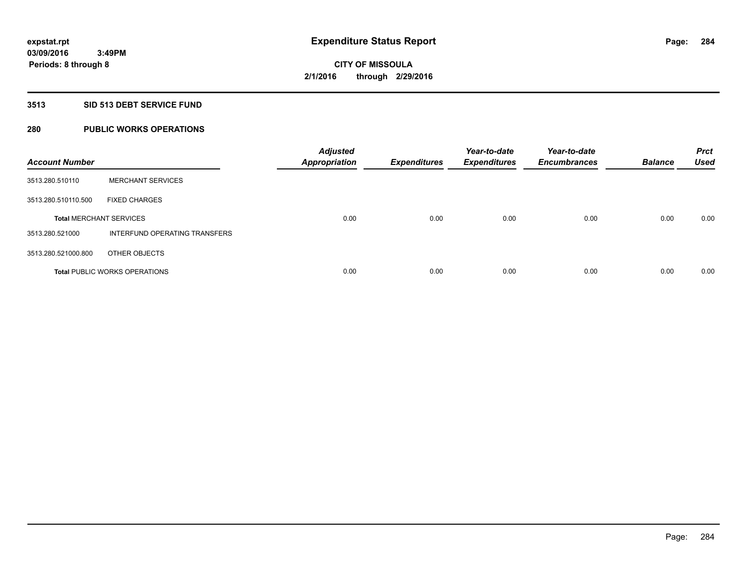# **3513 SID 513 DEBT SERVICE FUND**

# **280 PUBLIC WORKS OPERATIONS**

| <b>Account Number</b>          |                                      | <b>Adjusted</b><br><b>Appropriation</b> | <b>Expenditures</b> | Year-to-date<br><b>Expenditures</b> | Year-to-date<br><b>Encumbrances</b> | <b>Balance</b> | <b>Prct</b><br><b>Used</b> |
|--------------------------------|--------------------------------------|-----------------------------------------|---------------------|-------------------------------------|-------------------------------------|----------------|----------------------------|
| 3513.280.510110                | <b>MERCHANT SERVICES</b>             |                                         |                     |                                     |                                     |                |                            |
| 3513.280.510110.500            | <b>FIXED CHARGES</b>                 |                                         |                     |                                     |                                     |                |                            |
| <b>Total MERCHANT SERVICES</b> |                                      | 0.00                                    | 0.00                | 0.00                                | 0.00                                | 0.00           | 0.00                       |
| 3513.280.521000                | INTERFUND OPERATING TRANSFERS        |                                         |                     |                                     |                                     |                |                            |
| 3513.280.521000.800            | OTHER OBJECTS                        |                                         |                     |                                     |                                     |                |                            |
|                                | <b>Total PUBLIC WORKS OPERATIONS</b> | 0.00                                    | 0.00                | 0.00                                | 0.00                                | 0.00           | 0.00                       |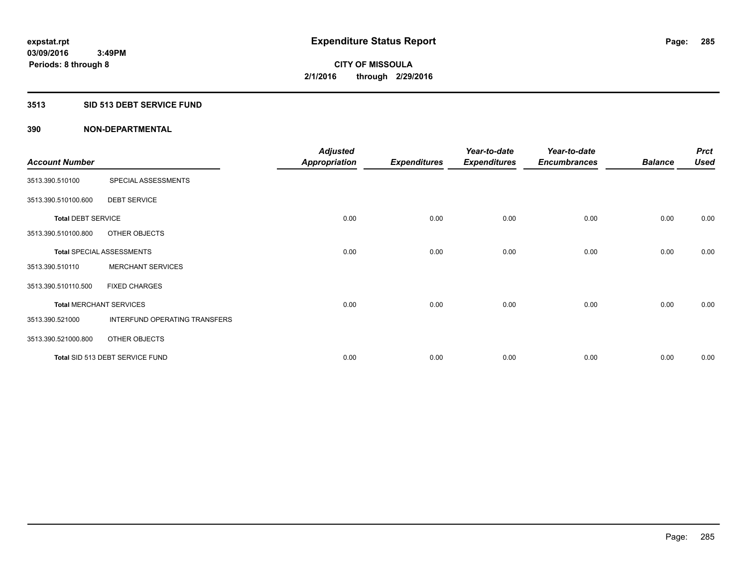### **3513 SID 513 DEBT SERVICE FUND**

|                                |                                  | <b>Adjusted</b>      |                     | Year-to-date        | Year-to-date        |                | <b>Prct</b> |
|--------------------------------|----------------------------------|----------------------|---------------------|---------------------|---------------------|----------------|-------------|
| <b>Account Number</b>          |                                  | <b>Appropriation</b> | <b>Expenditures</b> | <b>Expenditures</b> | <b>Encumbrances</b> | <b>Balance</b> | <b>Used</b> |
| 3513.390.510100                | SPECIAL ASSESSMENTS              |                      |                     |                     |                     |                |             |
| 3513.390.510100.600            | <b>DEBT SERVICE</b>              |                      |                     |                     |                     |                |             |
| <b>Total DEBT SERVICE</b>      |                                  | 0.00                 | 0.00                | 0.00                | 0.00                | 0.00           | 0.00        |
| 3513.390.510100.800            | OTHER OBJECTS                    |                      |                     |                     |                     |                |             |
|                                | <b>Total SPECIAL ASSESSMENTS</b> | 0.00                 | 0.00                | 0.00                | 0.00                | 0.00           | 0.00        |
| 3513.390.510110                | <b>MERCHANT SERVICES</b>         |                      |                     |                     |                     |                |             |
| 3513.390.510110.500            | <b>FIXED CHARGES</b>             |                      |                     |                     |                     |                |             |
| <b>Total MERCHANT SERVICES</b> |                                  | 0.00                 | 0.00                | 0.00                | 0.00                | 0.00           | 0.00        |
| 3513.390.521000                | INTERFUND OPERATING TRANSFERS    |                      |                     |                     |                     |                |             |
| 3513.390.521000.800            | OTHER OBJECTS                    |                      |                     |                     |                     |                |             |
|                                | Total SID 513 DEBT SERVICE FUND  | 0.00                 | 0.00                | 0.00                | 0.00                | 0.00           | 0.00        |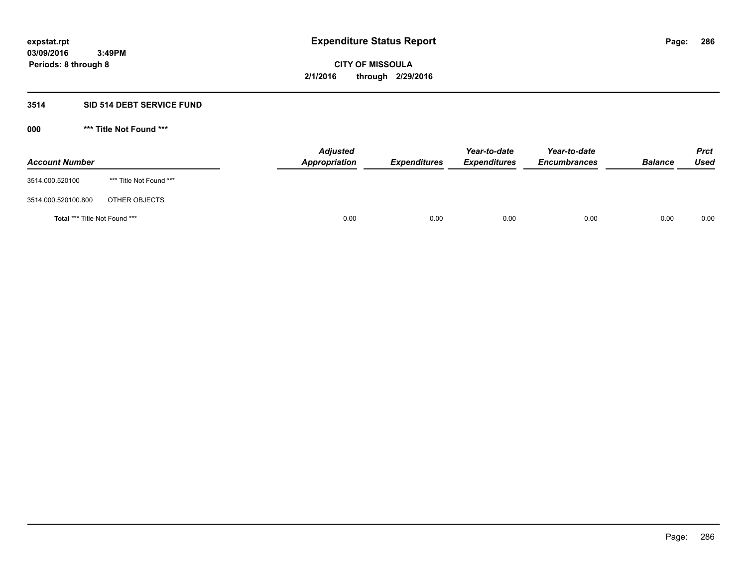# **3514 SID 514 DEBT SERVICE FUND**

| <b>Account Number</b>                |                         | <b>Adjusted</b><br>Appropriation | <b>Expenditures</b> | Year-to-date<br><b>Expenditures</b> | Year-to-date<br><b>Encumbrances</b> | <b>Balance</b> | <b>Prct</b><br>Used |
|--------------------------------------|-------------------------|----------------------------------|---------------------|-------------------------------------|-------------------------------------|----------------|---------------------|
| 3514.000.520100                      | *** Title Not Found *** |                                  |                     |                                     |                                     |                |                     |
| 3514.000.520100.800                  | OTHER OBJECTS           |                                  |                     |                                     |                                     |                |                     |
| <b>Total *** Title Not Found ***</b> |                         | 0.00                             | 0.00                | 0.00                                | 0.00                                | 0.00           | 0.00                |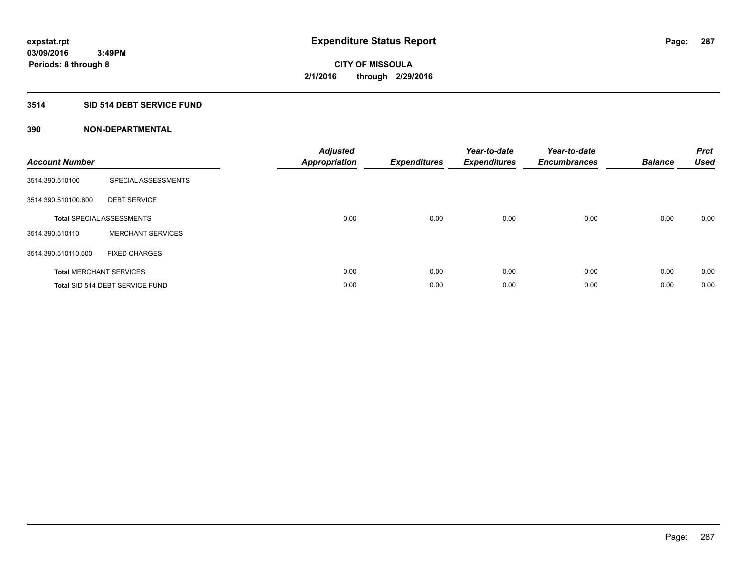# **3514 SID 514 DEBT SERVICE FUND**

| <b>Account Number</b> |                                  | <b>Adjusted</b><br>Appropriation | <b>Expenditures</b> | Year-to-date<br><b>Expenditures</b> | Year-to-date<br><b>Encumbrances</b> | <b>Balance</b> | <b>Prct</b><br><b>Used</b> |
|-----------------------|----------------------------------|----------------------------------|---------------------|-------------------------------------|-------------------------------------|----------------|----------------------------|
| 3514.390.510100       | SPECIAL ASSESSMENTS              |                                  |                     |                                     |                                     |                |                            |
| 3514.390.510100.600   | <b>DEBT SERVICE</b>              |                                  |                     |                                     |                                     |                |                            |
|                       | <b>Total SPECIAL ASSESSMENTS</b> | 0.00                             | 0.00                | 0.00                                | 0.00                                | 0.00           | 0.00                       |
| 3514.390.510110       | <b>MERCHANT SERVICES</b>         |                                  |                     |                                     |                                     |                |                            |
| 3514.390.510110.500   | <b>FIXED CHARGES</b>             |                                  |                     |                                     |                                     |                |                            |
|                       | <b>Total MERCHANT SERVICES</b>   | 0.00                             | 0.00                | 0.00                                | 0.00                                | 0.00           | 0.00                       |
|                       | Total SID 514 DEBT SERVICE FUND  | 0.00                             | 0.00                | 0.00                                | 0.00                                | 0.00           | 0.00                       |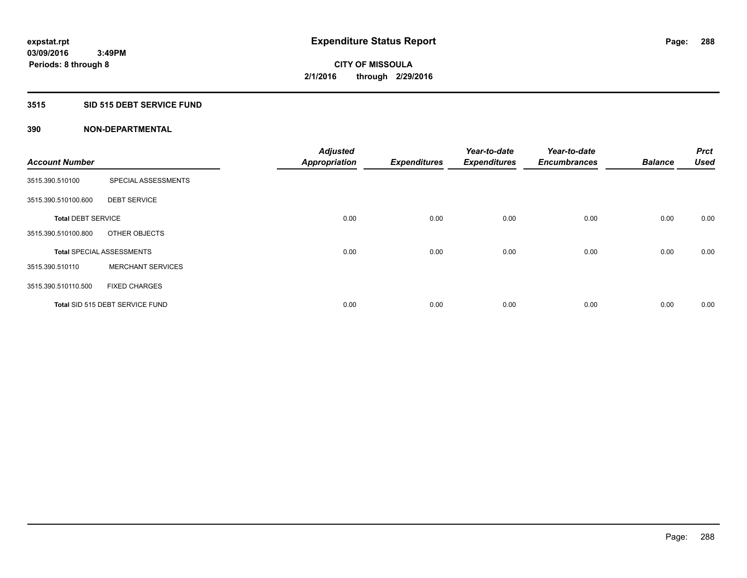# **3515 SID 515 DEBT SERVICE FUND**

|                           |                                  | <b>Adjusted</b>      |                     | Year-to-date        | Year-to-date        |                | <b>Prct</b> |
|---------------------------|----------------------------------|----------------------|---------------------|---------------------|---------------------|----------------|-------------|
| <b>Account Number</b>     |                                  | <b>Appropriation</b> | <b>Expenditures</b> | <b>Expenditures</b> | <b>Encumbrances</b> | <b>Balance</b> | <b>Used</b> |
| 3515.390.510100           | SPECIAL ASSESSMENTS              |                      |                     |                     |                     |                |             |
| 3515.390.510100.600       | <b>DEBT SERVICE</b>              |                      |                     |                     |                     |                |             |
| <b>Total DEBT SERVICE</b> |                                  | 0.00                 | 0.00                | 0.00                | 0.00                | 0.00           | 0.00        |
| 3515.390.510100.800       | OTHER OBJECTS                    |                      |                     |                     |                     |                |             |
|                           | <b>Total SPECIAL ASSESSMENTS</b> | 0.00                 | 0.00                | 0.00                | 0.00                | 0.00           | 0.00        |
| 3515.390.510110           | <b>MERCHANT SERVICES</b>         |                      |                     |                     |                     |                |             |
| 3515.390.510110.500       | <b>FIXED CHARGES</b>             |                      |                     |                     |                     |                |             |
|                           | Total SID 515 DEBT SERVICE FUND  | 0.00                 | 0.00                | 0.00                | 0.00                | 0.00           | 0.00        |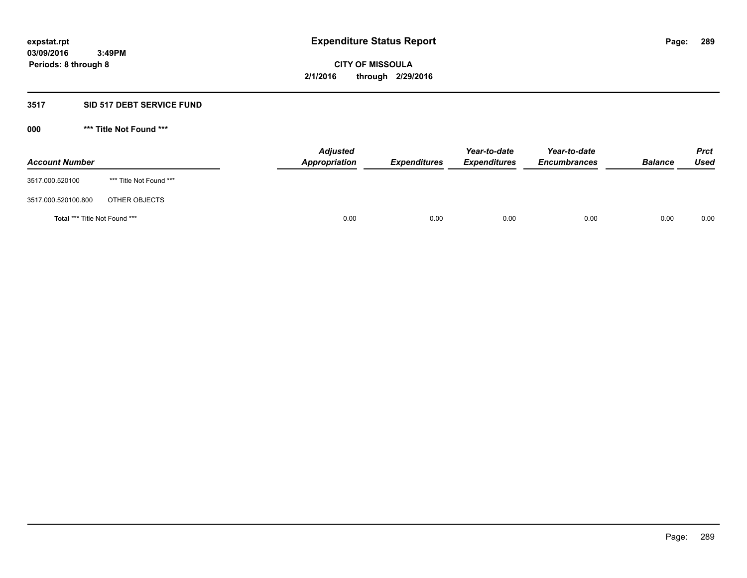#### **3517 SID 517 DEBT SERVICE FUND**

**000 \*\*\* Title Not Found \*\*\***

| <b>Account Number</b>                |                         | <b>Adjusted</b><br>Appropriation | <b>Expenditures</b> | Year-to-date<br><b>Expenditures</b> | Year-to-date<br><b>Encumbrances</b> | <b>Balance</b> | <b>Prct</b><br>Used |
|--------------------------------------|-------------------------|----------------------------------|---------------------|-------------------------------------|-------------------------------------|----------------|---------------------|
| 3517.000.520100                      | *** Title Not Found *** |                                  |                     |                                     |                                     |                |                     |
| 3517.000.520100.800                  | OTHER OBJECTS           |                                  |                     |                                     |                                     |                |                     |
| <b>Total *** Title Not Found ***</b> |                         | 0.00                             | 0.00                | 0.00                                | 0.00                                | 0.00           | 0.00                |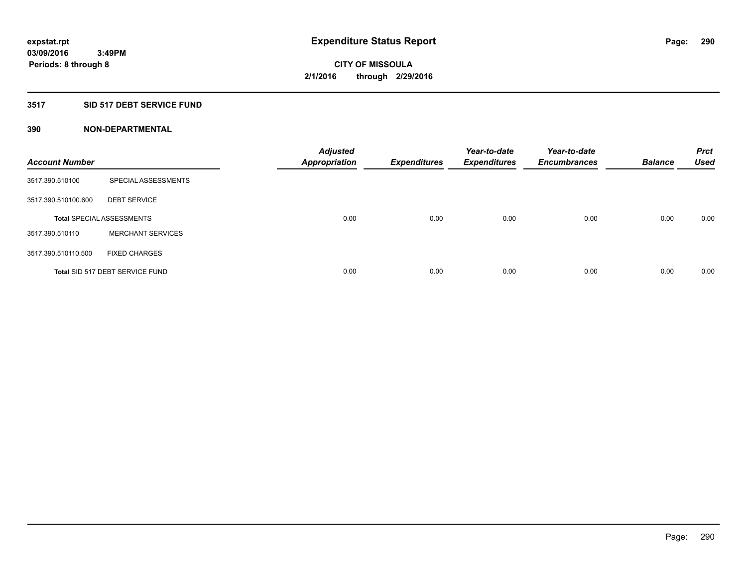## **3517 SID 517 DEBT SERVICE FUND**

| <b>Account Number</b> |                                  | <b>Adjusted</b><br><b>Appropriation</b> | <b>Expenditures</b> | Year-to-date<br><b>Expenditures</b> | Year-to-date<br><b>Encumbrances</b> | <b>Balance</b> | <b>Prct</b><br>Used |
|-----------------------|----------------------------------|-----------------------------------------|---------------------|-------------------------------------|-------------------------------------|----------------|---------------------|
| 3517.390.510100       | SPECIAL ASSESSMENTS              |                                         |                     |                                     |                                     |                |                     |
| 3517.390.510100.600   | <b>DEBT SERVICE</b>              |                                         |                     |                                     |                                     |                |                     |
|                       | <b>Total SPECIAL ASSESSMENTS</b> | 0.00                                    | 0.00                | 0.00                                | 0.00                                | 0.00           | 0.00                |
| 3517.390.510110       | <b>MERCHANT SERVICES</b>         |                                         |                     |                                     |                                     |                |                     |
| 3517.390.510110.500   | <b>FIXED CHARGES</b>             |                                         |                     |                                     |                                     |                |                     |
|                       | Total SID 517 DEBT SERVICE FUND  | 0.00                                    | 0.00                | 0.00                                | 0.00                                | 0.00           | 0.00                |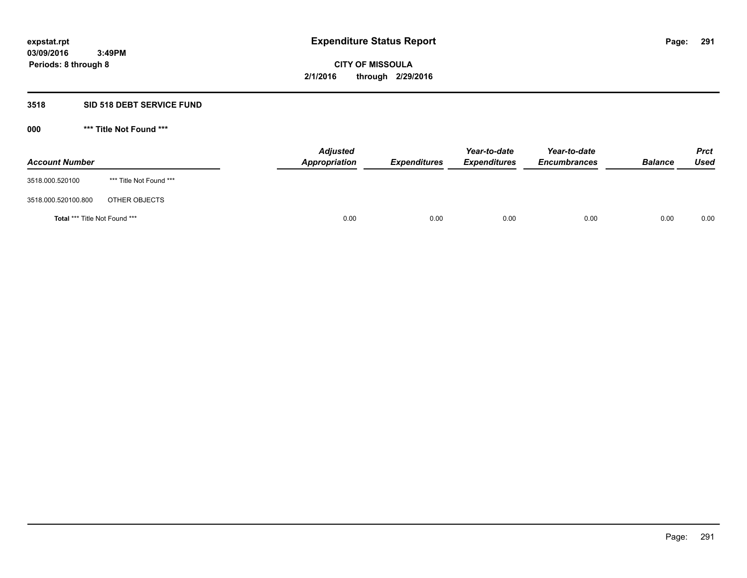## **3518 SID 518 DEBT SERVICE FUND**

**000 \*\*\* Title Not Found \*\*\***

| <b>Account Number</b>         |                         | <b>Adjusted</b><br>Appropriation | <b>Expenditures</b> | Year-to-date<br><b>Expenditures</b> | Year-to-date<br><b>Encumbrances</b> | <b>Balance</b> | <b>Prct</b><br>Used |
|-------------------------------|-------------------------|----------------------------------|---------------------|-------------------------------------|-------------------------------------|----------------|---------------------|
| 3518.000.520100               | *** Title Not Found *** |                                  |                     |                                     |                                     |                |                     |
| 3518.000.520100.800           | OTHER OBJECTS           |                                  |                     |                                     |                                     |                |                     |
| Total *** Title Not Found *** |                         | 0.00                             | 0.00                | 0.00                                | 0.00                                | 0.00           | 0.00                |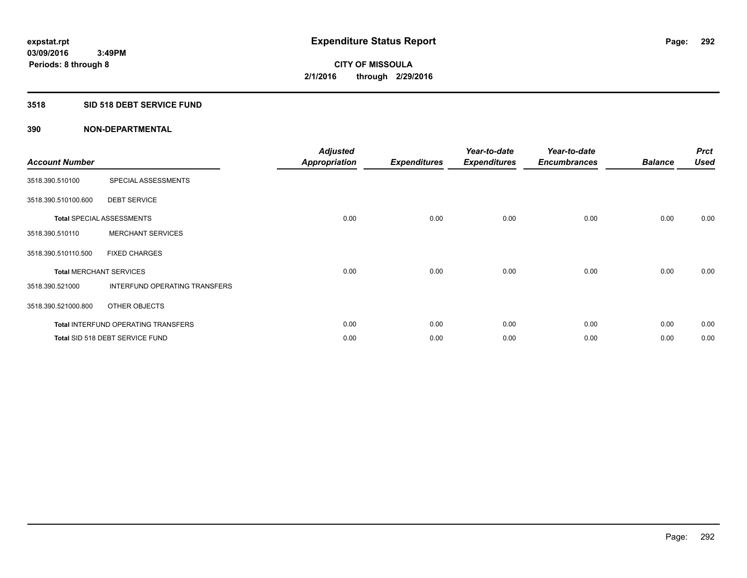## **3518 SID 518 DEBT SERVICE FUND**

| <b>Account Number</b> |                                            | <b>Adjusted</b><br><b>Appropriation</b> | <b>Expenditures</b> | Year-to-date<br><b>Expenditures</b> | Year-to-date<br><b>Encumbrances</b> | <b>Balance</b> | <b>Prct</b><br><b>Used</b> |
|-----------------------|--------------------------------------------|-----------------------------------------|---------------------|-------------------------------------|-------------------------------------|----------------|----------------------------|
| 3518.390.510100       | SPECIAL ASSESSMENTS                        |                                         |                     |                                     |                                     |                |                            |
| 3518.390.510100.600   | <b>DEBT SERVICE</b>                        |                                         |                     |                                     |                                     |                |                            |
|                       | <b>Total SPECIAL ASSESSMENTS</b>           | 0.00                                    | 0.00                | 0.00                                | 0.00                                | 0.00           | 0.00                       |
| 3518.390.510110       | <b>MERCHANT SERVICES</b>                   |                                         |                     |                                     |                                     |                |                            |
| 3518.390.510110.500   | <b>FIXED CHARGES</b>                       |                                         |                     |                                     |                                     |                |                            |
|                       | <b>Total MERCHANT SERVICES</b>             | 0.00                                    | 0.00                | 0.00                                | 0.00                                | 0.00           | 0.00                       |
| 3518.390.521000       | <b>INTERFUND OPERATING TRANSFERS</b>       |                                         |                     |                                     |                                     |                |                            |
| 3518.390.521000.800   | OTHER OBJECTS                              |                                         |                     |                                     |                                     |                |                            |
|                       | <b>Total INTERFUND OPERATING TRANSFERS</b> | 0.00                                    | 0.00                | 0.00                                | 0.00                                | 0.00           | 0.00                       |
|                       | Total SID 518 DEBT SERVICE FUND            | 0.00                                    | 0.00                | 0.00                                | 0.00                                | 0.00           | 0.00                       |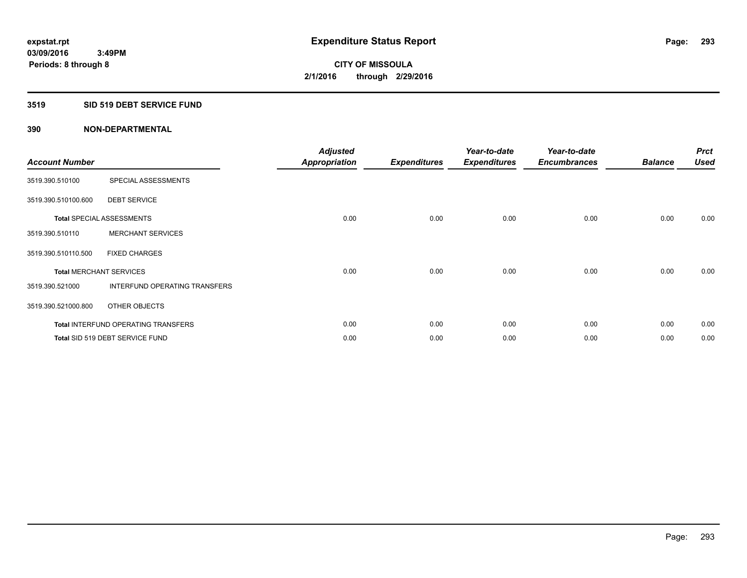## **3519 SID 519 DEBT SERVICE FUND**

| <b>Account Number</b> |                                            | <b>Adjusted</b><br><b>Appropriation</b> | <b>Expenditures</b> | Year-to-date<br><b>Expenditures</b> | Year-to-date<br><b>Encumbrances</b> | <b>Balance</b> | <b>Prct</b><br><b>Used</b> |
|-----------------------|--------------------------------------------|-----------------------------------------|---------------------|-------------------------------------|-------------------------------------|----------------|----------------------------|
| 3519.390.510100       | SPECIAL ASSESSMENTS                        |                                         |                     |                                     |                                     |                |                            |
| 3519.390.510100.600   | <b>DEBT SERVICE</b>                        |                                         |                     |                                     |                                     |                |                            |
|                       | <b>Total SPECIAL ASSESSMENTS</b>           | 0.00                                    | 0.00                | 0.00                                | 0.00                                | 0.00           | 0.00                       |
| 3519.390.510110       | <b>MERCHANT SERVICES</b>                   |                                         |                     |                                     |                                     |                |                            |
| 3519.390.510110.500   | <b>FIXED CHARGES</b>                       |                                         |                     |                                     |                                     |                |                            |
|                       | <b>Total MERCHANT SERVICES</b>             | 0.00                                    | 0.00                | 0.00                                | 0.00                                | 0.00           | 0.00                       |
| 3519.390.521000       | INTERFUND OPERATING TRANSFERS              |                                         |                     |                                     |                                     |                |                            |
| 3519.390.521000.800   | OTHER OBJECTS                              |                                         |                     |                                     |                                     |                |                            |
|                       | <b>Total INTERFUND OPERATING TRANSFERS</b> | 0.00                                    | 0.00                | 0.00                                | 0.00                                | 0.00           | 0.00                       |
|                       | Total SID 519 DEBT SERVICE FUND            | 0.00                                    | 0.00                | 0.00                                | 0.00                                | 0.00           | 0.00                       |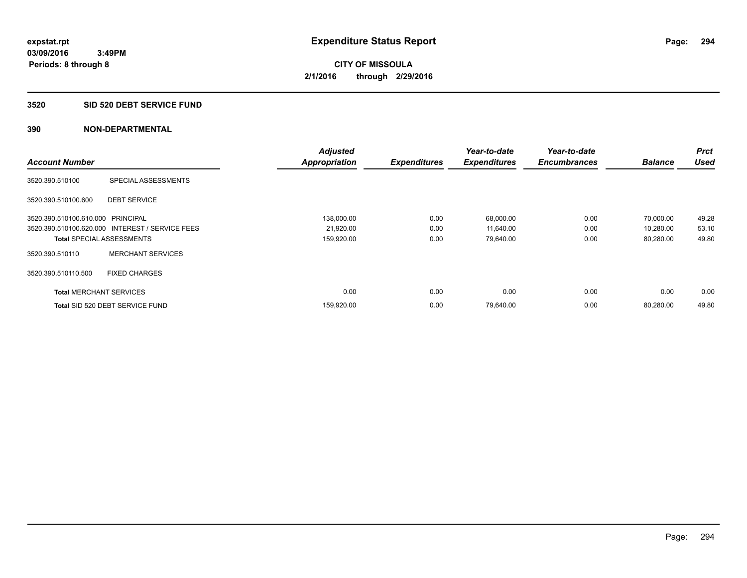#### **3520 SID 520 DEBT SERVICE FUND**

|                                   |                                                 | <b>Adjusted</b>      |                     | Year-to-date        | Year-to-date        |                | Prct        |
|-----------------------------------|-------------------------------------------------|----------------------|---------------------|---------------------|---------------------|----------------|-------------|
| <b>Account Number</b>             |                                                 | <b>Appropriation</b> | <b>Expenditures</b> | <b>Expenditures</b> | <b>Encumbrances</b> | <b>Balance</b> | <b>Used</b> |
| 3520.390.510100                   | SPECIAL ASSESSMENTS                             |                      |                     |                     |                     |                |             |
| 3520.390.510100.600               | <b>DEBT SERVICE</b>                             |                      |                     |                     |                     |                |             |
| 3520.390.510100.610.000 PRINCIPAL |                                                 | 138,000.00           | 0.00                | 68,000.00           | 0.00                | 70.000.00      | 49.28       |
|                                   | 3520.390.510100.620.000 INTEREST / SERVICE FEES | 21,920.00            | 0.00                | 11,640.00           | 0.00                | 10,280.00      | 53.10       |
| <b>Total SPECIAL ASSESSMENTS</b>  |                                                 | 159,920.00           | 0.00                | 79,640.00           | 0.00                | 80,280.00      | 49.80       |
| 3520.390.510110                   | <b>MERCHANT SERVICES</b>                        |                      |                     |                     |                     |                |             |
| 3520.390.510110.500               | <b>FIXED CHARGES</b>                            |                      |                     |                     |                     |                |             |
| <b>Total MERCHANT SERVICES</b>    |                                                 | 0.00                 | 0.00                | 0.00                | 0.00                | 0.00           | 0.00        |
|                                   | Total SID 520 DEBT SERVICE FUND                 | 159,920.00           | 0.00                | 79,640.00           | 0.00                | 80.280.00      | 49.80       |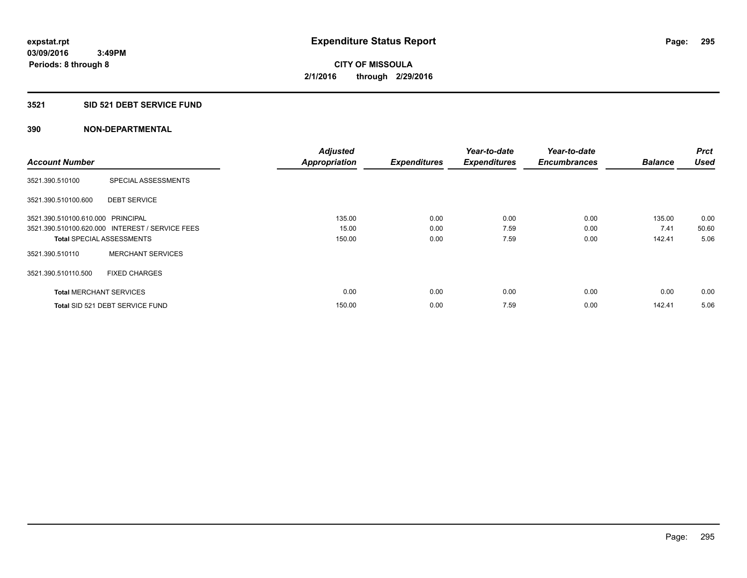## **3521 SID 521 DEBT SERVICE FUND**

|                                   |                                                 | <b>Adjusted</b>      |                     | Year-to-date        | Year-to-date        |                | <b>Prct</b> |
|-----------------------------------|-------------------------------------------------|----------------------|---------------------|---------------------|---------------------|----------------|-------------|
| <b>Account Number</b>             |                                                 | <b>Appropriation</b> | <b>Expenditures</b> | <b>Expenditures</b> | <b>Encumbrances</b> | <b>Balance</b> | <b>Used</b> |
| 3521.390.510100                   | SPECIAL ASSESSMENTS                             |                      |                     |                     |                     |                |             |
| 3521.390.510100.600               | <b>DEBT SERVICE</b>                             |                      |                     |                     |                     |                |             |
| 3521.390.510100.610.000 PRINCIPAL |                                                 | 135.00               | 0.00                | 0.00                | 0.00                | 135.00         | 0.00        |
|                                   | 3521.390.510100.620.000 INTEREST / SERVICE FEES | 15.00                | 0.00                | 7.59                | 0.00                | 7.41           | 50.60       |
| <b>Total SPECIAL ASSESSMENTS</b>  |                                                 | 150.00               | 0.00                | 7.59                | 0.00                | 142.41         | 5.06        |
| 3521.390.510110                   | <b>MERCHANT SERVICES</b>                        |                      |                     |                     |                     |                |             |
| 3521.390.510110.500               | <b>FIXED CHARGES</b>                            |                      |                     |                     |                     |                |             |
| <b>Total MERCHANT SERVICES</b>    |                                                 | 0.00                 | 0.00                | 0.00                | 0.00                | 0.00           | 0.00        |
|                                   | Total SID 521 DEBT SERVICE FUND                 | 150.00               | 0.00                | 7.59                | 0.00                | 142.41         | 5.06        |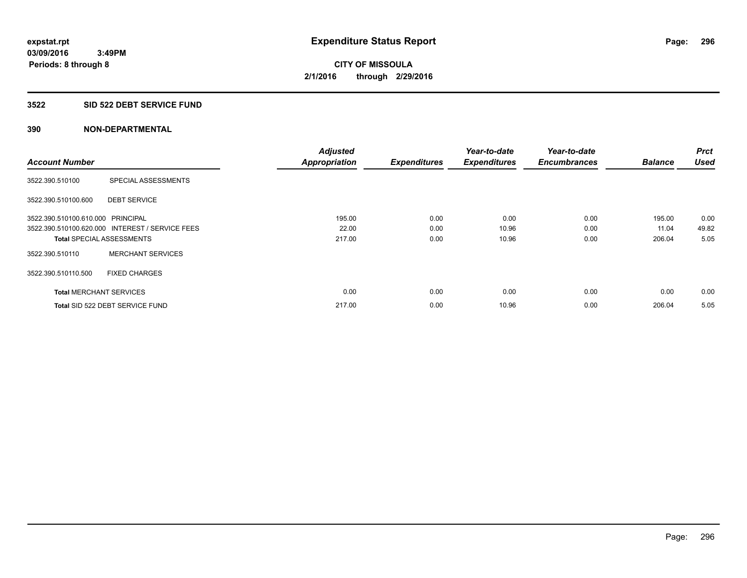#### **3522 SID 522 DEBT SERVICE FUND**

|                                   |                                                 | <b>Adjusted</b>      |                     | Year-to-date        | Year-to-date        |                | <b>Prct</b> |
|-----------------------------------|-------------------------------------------------|----------------------|---------------------|---------------------|---------------------|----------------|-------------|
| <b>Account Number</b>             |                                                 | <b>Appropriation</b> | <b>Expenditures</b> | <b>Expenditures</b> | <b>Encumbrances</b> | <b>Balance</b> | <b>Used</b> |
| 3522.390.510100                   | SPECIAL ASSESSMENTS                             |                      |                     |                     |                     |                |             |
| 3522.390.510100.600               | <b>DEBT SERVICE</b>                             |                      |                     |                     |                     |                |             |
| 3522.390.510100.610.000 PRINCIPAL |                                                 | 195.00               | 0.00                | 0.00                | 0.00                | 195.00         | 0.00        |
|                                   | 3522.390.510100.620.000 INTEREST / SERVICE FEES | 22.00                | 0.00                | 10.96               | 0.00                | 11.04          | 49.82       |
| <b>Total SPECIAL ASSESSMENTS</b>  |                                                 | 217.00               | 0.00                | 10.96               | 0.00                | 206.04         | 5.05        |
| 3522.390.510110                   | <b>MERCHANT SERVICES</b>                        |                      |                     |                     |                     |                |             |
| 3522.390.510110.500               | <b>FIXED CHARGES</b>                            |                      |                     |                     |                     |                |             |
| <b>Total MERCHANT SERVICES</b>    |                                                 | 0.00                 | 0.00                | 0.00                | 0.00                | 0.00           | 0.00        |
|                                   | Total SID 522 DEBT SERVICE FUND                 | 217.00               | 0.00                | 10.96               | 0.00                | 206.04         | 5.05        |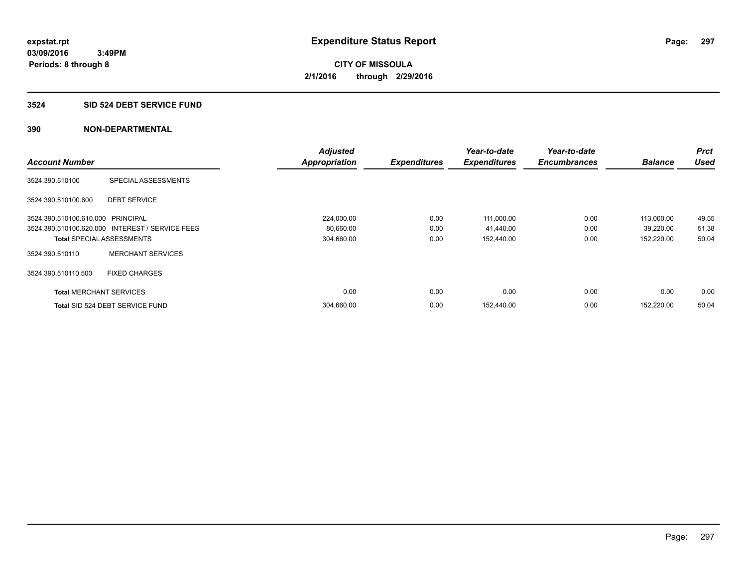#### **3524 SID 524 DEBT SERVICE FUND**

|                                   |                                                 | <b>Adjusted</b>      |                     | Year-to-date        | Year-to-date        |                | <b>Prct</b> |
|-----------------------------------|-------------------------------------------------|----------------------|---------------------|---------------------|---------------------|----------------|-------------|
| <b>Account Number</b>             |                                                 | <b>Appropriation</b> | <b>Expenditures</b> | <b>Expenditures</b> | <b>Encumbrances</b> | <b>Balance</b> | <b>Used</b> |
| 3524.390.510100                   | SPECIAL ASSESSMENTS                             |                      |                     |                     |                     |                |             |
| 3524.390.510100.600               | <b>DEBT SERVICE</b>                             |                      |                     |                     |                     |                |             |
| 3524.390.510100.610.000 PRINCIPAL |                                                 | 224,000.00           | 0.00                | 111,000.00          | 0.00                | 113,000.00     | 49.55       |
|                                   | 3524.390.510100.620.000 INTEREST / SERVICE FEES | 80,660.00            | 0.00                | 41,440.00           | 0.00                | 39,220.00      | 51.38       |
|                                   | <b>Total SPECIAL ASSESSMENTS</b>                | 304,660.00           | 0.00                | 152,440.00          | 0.00                | 152,220.00     | 50.04       |
| 3524.390.510110                   | <b>MERCHANT SERVICES</b>                        |                      |                     |                     |                     |                |             |
| 3524.390.510110.500               | <b>FIXED CHARGES</b>                            |                      |                     |                     |                     |                |             |
| <b>Total MERCHANT SERVICES</b>    |                                                 | 0.00                 | 0.00                | 0.00                | 0.00                | 0.00           | 0.00        |
|                                   | Total SID 524 DEBT SERVICE FUND                 | 304,660.00           | 0.00                | 152,440.00          | 0.00                | 152.220.00     | 50.04       |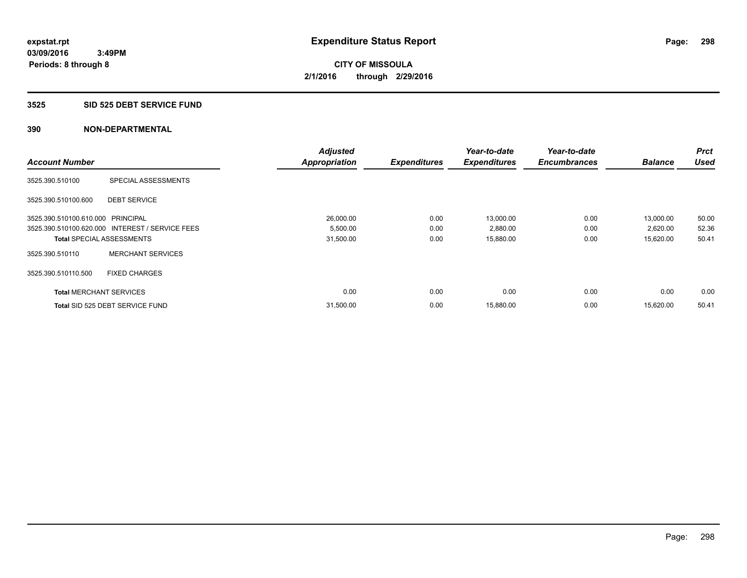#### **3525 SID 525 DEBT SERVICE FUND**

|                                   |                                                 | <b>Adjusted</b>      |                     | Year-to-date        | Year-to-date        |                | <b>Prct</b> |
|-----------------------------------|-------------------------------------------------|----------------------|---------------------|---------------------|---------------------|----------------|-------------|
| <b>Account Number</b>             |                                                 | <b>Appropriation</b> | <b>Expenditures</b> | <b>Expenditures</b> | <b>Encumbrances</b> | <b>Balance</b> | <b>Used</b> |
| 3525.390.510100                   | SPECIAL ASSESSMENTS                             |                      |                     |                     |                     |                |             |
| 3525.390.510100.600               | <b>DEBT SERVICE</b>                             |                      |                     |                     |                     |                |             |
| 3525.390.510100.610.000 PRINCIPAL |                                                 | 26,000.00            | 0.00                | 13,000.00           | 0.00                | 13,000.00      | 50.00       |
|                                   | 3525.390.510100.620.000 INTEREST / SERVICE FEES | 5,500.00             | 0.00                | 2,880.00            | 0.00                | 2,620.00       | 52.36       |
| <b>Total SPECIAL ASSESSMENTS</b>  |                                                 | 31,500.00            | 0.00                | 15,880.00           | 0.00                | 15,620.00      | 50.41       |
| 3525.390.510110                   | <b>MERCHANT SERVICES</b>                        |                      |                     |                     |                     |                |             |
| 3525.390.510110.500               | <b>FIXED CHARGES</b>                            |                      |                     |                     |                     |                |             |
| <b>Total MERCHANT SERVICES</b>    |                                                 | 0.00                 | 0.00                | 0.00                | 0.00                | 0.00           | 0.00        |
|                                   | Total SID 525 DEBT SERVICE FUND                 | 31,500.00            | 0.00                | 15,880.00           | 0.00                | 15.620.00      | 50.41       |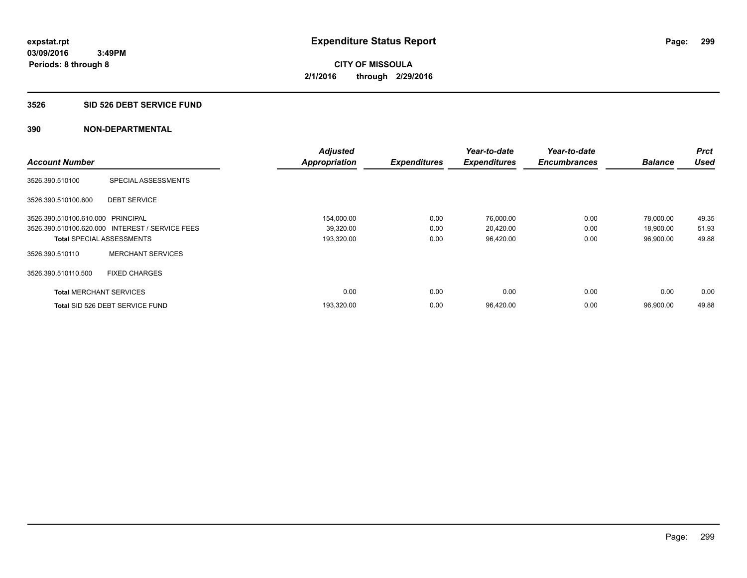#### **3526 SID 526 DEBT SERVICE FUND**

|                                   |                                                 | <b>Adjusted</b>      |                     | Year-to-date        | Year-to-date        |                | <b>Prct</b> |
|-----------------------------------|-------------------------------------------------|----------------------|---------------------|---------------------|---------------------|----------------|-------------|
| <b>Account Number</b>             |                                                 | <b>Appropriation</b> | <b>Expenditures</b> | <b>Expenditures</b> | <b>Encumbrances</b> | <b>Balance</b> | <b>Used</b> |
| 3526.390.510100                   | SPECIAL ASSESSMENTS                             |                      |                     |                     |                     |                |             |
| 3526.390.510100.600               | <b>DEBT SERVICE</b>                             |                      |                     |                     |                     |                |             |
| 3526.390.510100.610.000 PRINCIPAL |                                                 | 154,000.00           | 0.00                | 76,000.00           | 0.00                | 78,000.00      | 49.35       |
|                                   | 3526.390.510100.620.000 INTEREST / SERVICE FEES | 39,320.00            | 0.00                | 20,420.00           | 0.00                | 18,900.00      | 51.93       |
| <b>Total SPECIAL ASSESSMENTS</b>  |                                                 | 193,320.00           | 0.00                | 96,420.00           | 0.00                | 96,900.00      | 49.88       |
| 3526.390.510110                   | <b>MERCHANT SERVICES</b>                        |                      |                     |                     |                     |                |             |
| 3526.390.510110.500               | <b>FIXED CHARGES</b>                            |                      |                     |                     |                     |                |             |
| <b>Total MERCHANT SERVICES</b>    |                                                 | 0.00                 | 0.00                | 0.00                | 0.00                | 0.00           | 0.00        |
|                                   | Total SID 526 DEBT SERVICE FUND                 | 193,320.00           | 0.00                | 96,420.00           | 0.00                | 96.900.00      | 49.88       |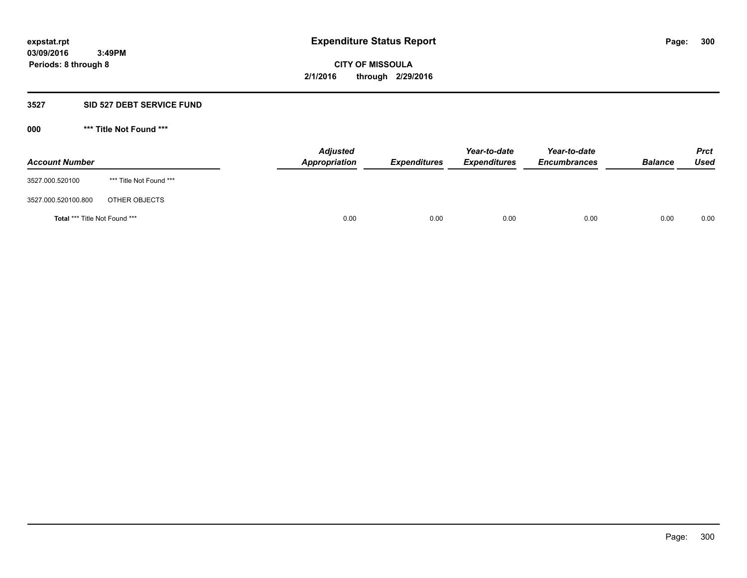## **3527 SID 527 DEBT SERVICE FUND**

**000 \*\*\* Title Not Found \*\*\***

| <b>Account Number</b>         |                         | <b>Adjusted</b><br>Appropriation | <b>Expenditures</b> | Year-to-date<br><b>Expenditures</b> | Year-to-date<br><b>Encumbrances</b> | <b>Balance</b> | <b>Prct</b><br>Used |
|-------------------------------|-------------------------|----------------------------------|---------------------|-------------------------------------|-------------------------------------|----------------|---------------------|
| 3527.000.520100               | *** Title Not Found *** |                                  |                     |                                     |                                     |                |                     |
| 3527.000.520100.800           | OTHER OBJECTS           |                                  |                     |                                     |                                     |                |                     |
| Total *** Title Not Found *** |                         | 0.00                             | 0.00                | 0.00                                | 0.00                                | 0.00           | 0.00                |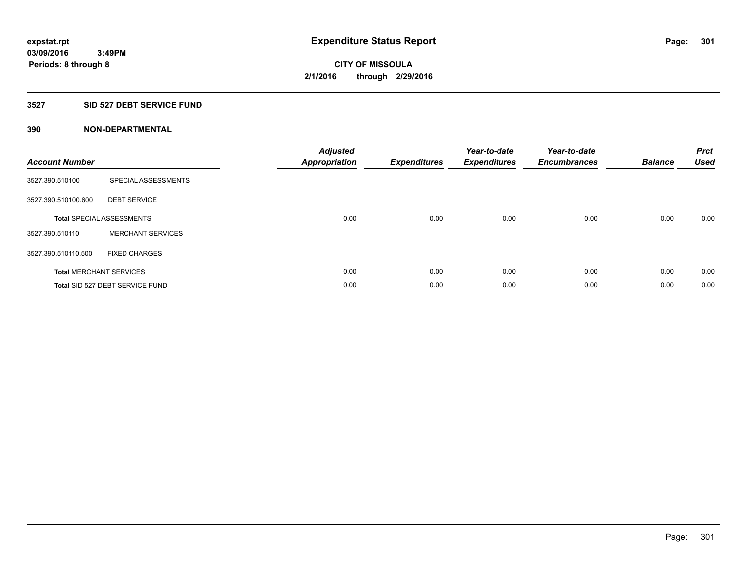## **3527 SID 527 DEBT SERVICE FUND**

| <b>Account Number</b> |                                  | <b>Adjusted</b><br>Appropriation | <b>Expenditures</b> | Year-to-date<br><b>Expenditures</b> | Year-to-date<br><b>Encumbrances</b> | <b>Balance</b> | <b>Prct</b><br><b>Used</b> |
|-----------------------|----------------------------------|----------------------------------|---------------------|-------------------------------------|-------------------------------------|----------------|----------------------------|
| 3527.390.510100       | SPECIAL ASSESSMENTS              |                                  |                     |                                     |                                     |                |                            |
| 3527.390.510100.600   | <b>DEBT SERVICE</b>              |                                  |                     |                                     |                                     |                |                            |
|                       | <b>Total SPECIAL ASSESSMENTS</b> | 0.00                             | 0.00                | 0.00                                | 0.00                                | 0.00           | 0.00                       |
| 3527.390.510110       | <b>MERCHANT SERVICES</b>         |                                  |                     |                                     |                                     |                |                            |
| 3527.390.510110.500   | <b>FIXED CHARGES</b>             |                                  |                     |                                     |                                     |                |                            |
|                       | <b>Total MERCHANT SERVICES</b>   | 0.00                             | 0.00                | 0.00                                | 0.00                                | 0.00           | 0.00                       |
|                       | Total SID 527 DEBT SERVICE FUND  | 0.00                             | 0.00                | 0.00                                | 0.00                                | 0.00           | 0.00                       |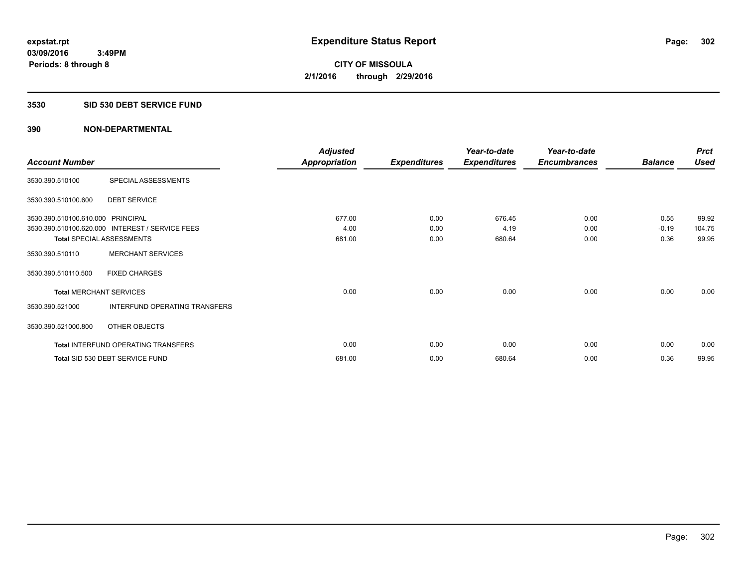#### **3530 SID 530 DEBT SERVICE FUND**

|                                   |                                                 | <b>Adjusted</b>      |                     | Year-to-date        | Year-to-date        |                | <b>Prct</b> |
|-----------------------------------|-------------------------------------------------|----------------------|---------------------|---------------------|---------------------|----------------|-------------|
| <b>Account Number</b>             |                                                 | <b>Appropriation</b> | <b>Expenditures</b> | <b>Expenditures</b> | <b>Encumbrances</b> | <b>Balance</b> | <b>Used</b> |
| 3530.390.510100                   | SPECIAL ASSESSMENTS                             |                      |                     |                     |                     |                |             |
| 3530.390.510100.600               | <b>DEBT SERVICE</b>                             |                      |                     |                     |                     |                |             |
| 3530.390.510100.610.000 PRINCIPAL |                                                 | 677.00               | 0.00                | 676.45              | 0.00                | 0.55           | 99.92       |
|                                   | 3530.390.510100.620.000 INTEREST / SERVICE FEES | 4.00                 | 0.00                | 4.19                | 0.00                | $-0.19$        | 104.75      |
| <b>Total SPECIAL ASSESSMENTS</b>  |                                                 | 681.00               | 0.00                | 680.64              | 0.00                | 0.36           | 99.95       |
| 3530.390.510110                   | <b>MERCHANT SERVICES</b>                        |                      |                     |                     |                     |                |             |
| 3530.390.510110.500               | <b>FIXED CHARGES</b>                            |                      |                     |                     |                     |                |             |
| <b>Total MERCHANT SERVICES</b>    |                                                 | 0.00                 | 0.00                | 0.00                | 0.00                | 0.00           | 0.00        |
| 3530.390.521000                   | INTERFUND OPERATING TRANSFERS                   |                      |                     |                     |                     |                |             |
| 3530.390.521000.800               | OTHER OBJECTS                                   |                      |                     |                     |                     |                |             |
|                                   | Total INTERFUND OPERATING TRANSFERS             | 0.00                 | 0.00                | 0.00                | 0.00                | 0.00           | 0.00        |
|                                   | Total SID 530 DEBT SERVICE FUND                 | 681.00               | 0.00                | 680.64              | 0.00                | 0.36           | 99.95       |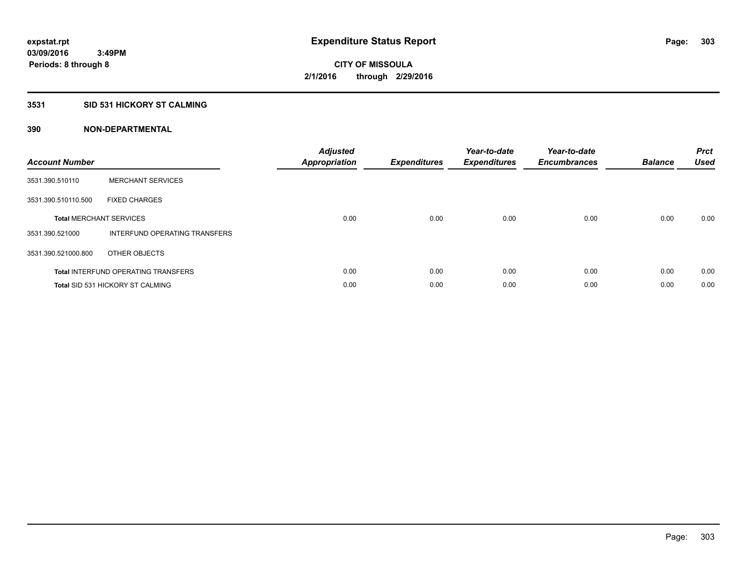# **3531 SID 531 HICKORY ST CALMING**

| <b>Account Number</b> |                                            | <b>Adjusted</b><br>Appropriation | <b>Expenditures</b> | Year-to-date<br><b>Expenditures</b> | Year-to-date<br><b>Encumbrances</b> | <b>Balance</b> | <b>Prct</b><br><b>Used</b> |
|-----------------------|--------------------------------------------|----------------------------------|---------------------|-------------------------------------|-------------------------------------|----------------|----------------------------|
| 3531.390.510110       | <b>MERCHANT SERVICES</b>                   |                                  |                     |                                     |                                     |                |                            |
| 3531.390.510110.500   | <b>FIXED CHARGES</b>                       |                                  |                     |                                     |                                     |                |                            |
|                       | <b>Total MERCHANT SERVICES</b>             | 0.00                             | 0.00                | 0.00                                | 0.00                                | 0.00           | 0.00                       |
| 3531.390.521000       | INTERFUND OPERATING TRANSFERS              |                                  |                     |                                     |                                     |                |                            |
| 3531.390.521000.800   | OTHER OBJECTS                              |                                  |                     |                                     |                                     |                |                            |
|                       | <b>Total INTERFUND OPERATING TRANSFERS</b> | 0.00                             | 0.00                | 0.00                                | 0.00                                | 0.00           | 0.00                       |
|                       | <b>Total SID 531 HICKORY ST CALMING</b>    | 0.00                             | 0.00                | 0.00                                | 0.00                                | 0.00           | 0.00                       |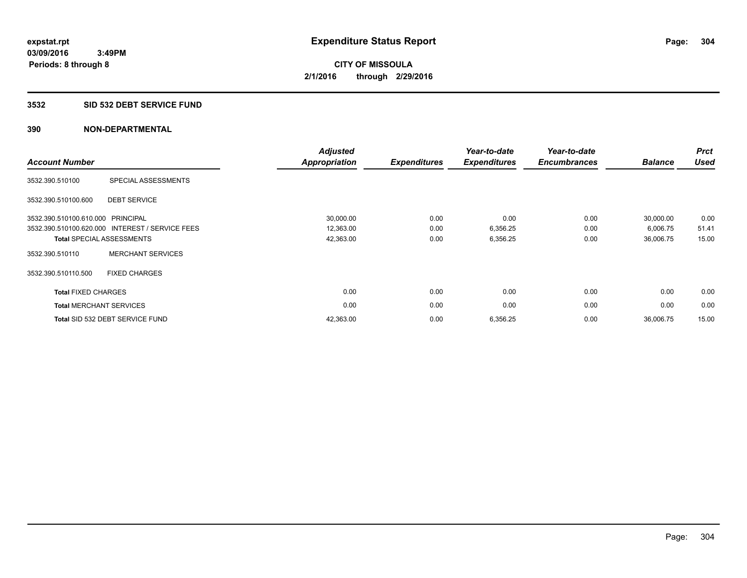#### **3532 SID 532 DEBT SERVICE FUND**

| <b>Account Number</b>             |                                                 | <b>Adjusted</b><br><b>Appropriation</b> | <b>Expenditures</b> | Year-to-date<br><b>Expenditures</b> | Year-to-date<br><b>Encumbrances</b> | <b>Balance</b> | <b>Prct</b><br><b>Used</b> |
|-----------------------------------|-------------------------------------------------|-----------------------------------------|---------------------|-------------------------------------|-------------------------------------|----------------|----------------------------|
| 3532.390.510100                   | SPECIAL ASSESSMENTS                             |                                         |                     |                                     |                                     |                |                            |
| 3532.390.510100.600               | <b>DEBT SERVICE</b>                             |                                         |                     |                                     |                                     |                |                            |
| 3532.390.510100.610.000 PRINCIPAL |                                                 | 30,000.00                               | 0.00                | 0.00                                | 0.00                                | 30,000.00      | 0.00                       |
|                                   | 3532.390.510100.620.000 INTEREST / SERVICE FEES | 12,363.00                               | 0.00                | 6,356.25                            | 0.00                                | 6,006.75       | 51.41                      |
|                                   | <b>Total SPECIAL ASSESSMENTS</b>                | 42,363.00                               | 0.00                | 6,356.25                            | 0.00                                | 36,006.75      | 15.00                      |
| 3532.390.510110                   | <b>MERCHANT SERVICES</b>                        |                                         |                     |                                     |                                     |                |                            |
| 3532.390.510110.500               | <b>FIXED CHARGES</b>                            |                                         |                     |                                     |                                     |                |                            |
| <b>Total FIXED CHARGES</b>        |                                                 | 0.00                                    | 0.00                | 0.00                                | 0.00                                | 0.00           | 0.00                       |
|                                   | <b>Total MERCHANT SERVICES</b>                  | 0.00                                    | 0.00                | 0.00                                | 0.00                                | 0.00           | 0.00                       |
|                                   | Total SID 532 DEBT SERVICE FUND                 | 42,363.00                               | 0.00                | 6,356.25                            | 0.00                                | 36,006.75      | 15.00                      |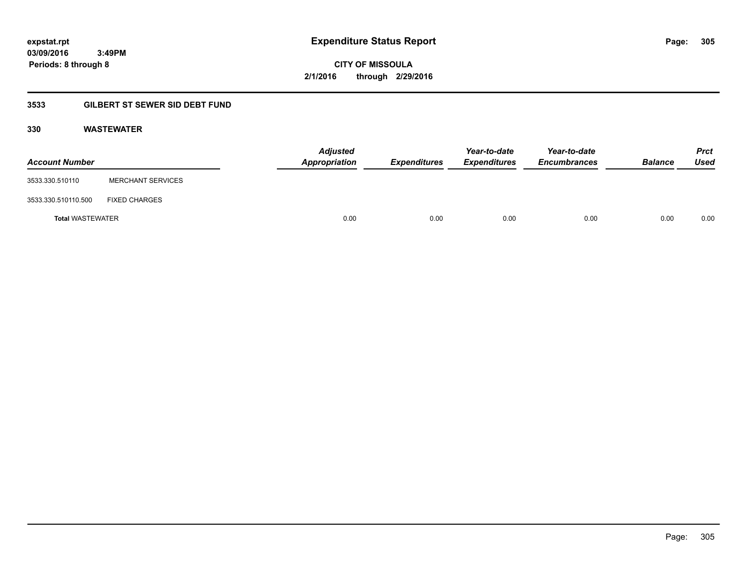**CITY OF MISSOULA 2/1/2016 through 2/29/2016**

# **3533 GILBERT ST SEWER SID DEBT FUND**

## **330 WASTEWATER**

| <b>Account Number</b>   |                          | <b>Adjusted</b><br>Appropriation | <b>Expenditures</b> | Year-to-date<br><b>Expenditures</b> | Year-to-date<br><b>Encumbrances</b> | <b>Balance</b> | <b>Prct</b><br>Used |
|-------------------------|--------------------------|----------------------------------|---------------------|-------------------------------------|-------------------------------------|----------------|---------------------|
| 3533.330.510110         | <b>MERCHANT SERVICES</b> |                                  |                     |                                     |                                     |                |                     |
| 3533.330.510110.500     | <b>FIXED CHARGES</b>     |                                  |                     |                                     |                                     |                |                     |
| <b>Total WASTEWATER</b> |                          | 0.00                             | 0.00                | 0.00                                | 0.00                                | 0.00           | 0.00                |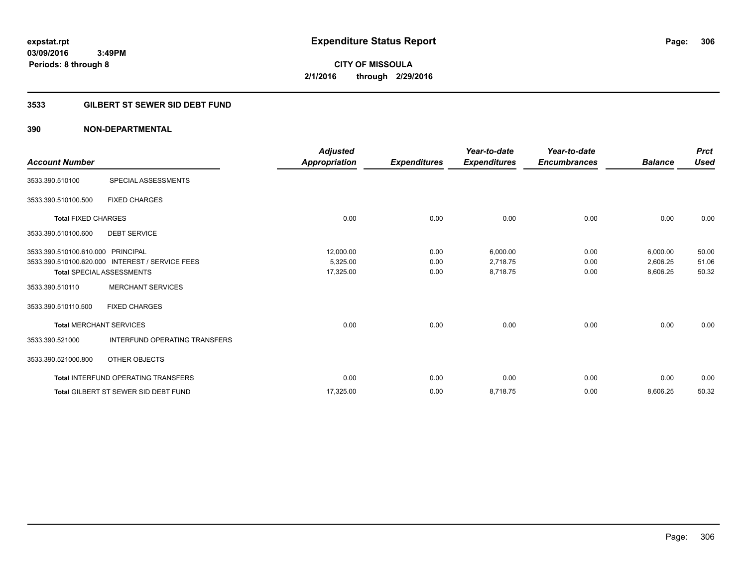# **CITY OF MISSOULA 2/1/2016 through 2/29/2016**

# **3533 GILBERT ST SEWER SID DEBT FUND**

| <b>Account Number</b>             |                                                 | <b>Adjusted</b><br>Appropriation | <b>Expenditures</b> | Year-to-date<br><b>Expenditures</b> | Year-to-date<br><b>Encumbrances</b> | <b>Balance</b> | <b>Prct</b><br><b>Used</b> |
|-----------------------------------|-------------------------------------------------|----------------------------------|---------------------|-------------------------------------|-------------------------------------|----------------|----------------------------|
|                                   |                                                 |                                  |                     |                                     |                                     |                |                            |
| 3533.390.510100                   | SPECIAL ASSESSMENTS                             |                                  |                     |                                     |                                     |                |                            |
| 3533.390.510100.500               | <b>FIXED CHARGES</b>                            |                                  |                     |                                     |                                     |                |                            |
| <b>Total FIXED CHARGES</b>        |                                                 | 0.00                             | 0.00                | 0.00                                | 0.00                                | 0.00           | 0.00                       |
| 3533.390.510100.600               | <b>DEBT SERVICE</b>                             |                                  |                     |                                     |                                     |                |                            |
| 3533.390.510100.610.000 PRINCIPAL |                                                 | 12,000.00                        | 0.00                | 6,000.00                            | 0.00                                | 6,000.00       | 50.00                      |
|                                   | 3533.390.510100.620.000 INTEREST / SERVICE FEES | 5,325.00                         | 0.00                | 2,718.75                            | 0.00                                | 2,606.25       | 51.06                      |
|                                   | <b>Total SPECIAL ASSESSMENTS</b>                | 17,325.00                        | 0.00                | 8,718.75                            | 0.00                                | 8,606.25       | 50.32                      |
| 3533.390.510110                   | <b>MERCHANT SERVICES</b>                        |                                  |                     |                                     |                                     |                |                            |
| 3533.390.510110.500               | <b>FIXED CHARGES</b>                            |                                  |                     |                                     |                                     |                |                            |
| <b>Total MERCHANT SERVICES</b>    |                                                 | 0.00                             | 0.00                | 0.00                                | 0.00                                | 0.00           | 0.00                       |
| 3533.390.521000                   | INTERFUND OPERATING TRANSFERS                   |                                  |                     |                                     |                                     |                |                            |
| 3533.390.521000.800               | OTHER OBJECTS                                   |                                  |                     |                                     |                                     |                |                            |
|                                   | <b>Total INTERFUND OPERATING TRANSFERS</b>      | 0.00                             | 0.00                | 0.00                                | 0.00                                | 0.00           | 0.00                       |
|                                   | <b>Total GILBERT ST SEWER SID DEBT FUND</b>     | 17,325.00                        | 0.00                | 8,718.75                            | 0.00                                | 8,606.25       | 50.32                      |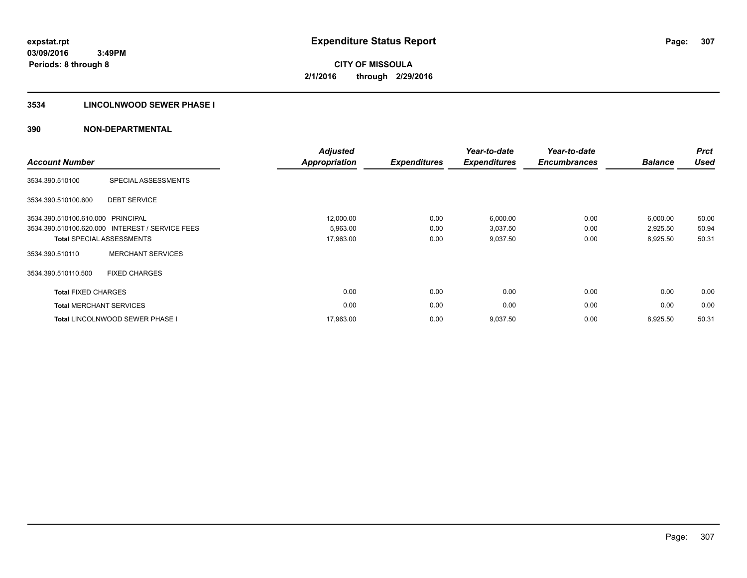# **3534 LINCOLNWOOD SEWER PHASE I**

| <b>Account Number</b>             |                                                 | <b>Adjusted</b><br><b>Appropriation</b> | <b>Expenditures</b> | Year-to-date<br><b>Expenditures</b> | Year-to-date<br><b>Encumbrances</b> | <b>Balance</b> | <b>Prct</b><br><b>Used</b> |
|-----------------------------------|-------------------------------------------------|-----------------------------------------|---------------------|-------------------------------------|-------------------------------------|----------------|----------------------------|
| 3534.390.510100                   | SPECIAL ASSESSMENTS                             |                                         |                     |                                     |                                     |                |                            |
| 3534.390.510100.600               | <b>DEBT SERVICE</b>                             |                                         |                     |                                     |                                     |                |                            |
| 3534.390.510100.610.000 PRINCIPAL |                                                 | 12,000.00                               | 0.00                | 6,000.00                            | 0.00                                | 6,000.00       | 50.00                      |
|                                   | 3534.390.510100.620.000 INTEREST / SERVICE FEES | 5,963.00                                | 0.00                | 3,037.50                            | 0.00                                | 2,925.50       | 50.94                      |
|                                   | <b>Total SPECIAL ASSESSMENTS</b>                | 17,963.00                               | 0.00                | 9,037.50                            | 0.00                                | 8,925.50       | 50.31                      |
| 3534.390.510110                   | <b>MERCHANT SERVICES</b>                        |                                         |                     |                                     |                                     |                |                            |
| 3534.390.510110.500               | <b>FIXED CHARGES</b>                            |                                         |                     |                                     |                                     |                |                            |
| <b>Total FIXED CHARGES</b>        |                                                 | 0.00                                    | 0.00                | 0.00                                | 0.00                                | 0.00           | 0.00                       |
|                                   | <b>Total MERCHANT SERVICES</b>                  | 0.00                                    | 0.00                | 0.00                                | 0.00                                | 0.00           | 0.00                       |
|                                   | <b>Total LINCOLNWOOD SEWER PHASE I</b>          | 17,963.00                               | 0.00                | 9,037.50                            | 0.00                                | 8,925.50       | 50.31                      |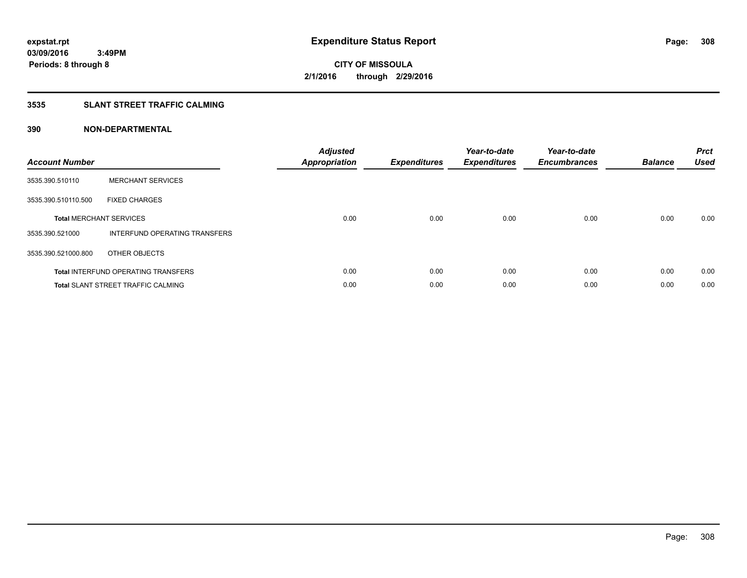# **3535 SLANT STREET TRAFFIC CALMING**

| <b>Account Number</b> |                                            | <b>Adjusted</b><br><b>Appropriation</b> | <b>Expenditures</b> | Year-to-date<br><b>Expenditures</b> | Year-to-date<br><b>Encumbrances</b> | <b>Balance</b> | <b>Prct</b><br>Used |
|-----------------------|--------------------------------------------|-----------------------------------------|---------------------|-------------------------------------|-------------------------------------|----------------|---------------------|
| 3535.390.510110       | <b>MERCHANT SERVICES</b>                   |                                         |                     |                                     |                                     |                |                     |
| 3535.390.510110.500   | <b>FIXED CHARGES</b>                       |                                         |                     |                                     |                                     |                |                     |
|                       | <b>Total MERCHANT SERVICES</b>             | 0.00                                    | 0.00                | 0.00                                | 0.00                                | 0.00           | 0.00                |
| 3535.390.521000       | INTERFUND OPERATING TRANSFERS              |                                         |                     |                                     |                                     |                |                     |
| 3535.390.521000.800   | OTHER OBJECTS                              |                                         |                     |                                     |                                     |                |                     |
|                       | <b>Total INTERFUND OPERATING TRANSFERS</b> | 0.00                                    | 0.00                | 0.00                                | 0.00                                | 0.00           | 0.00                |
|                       | <b>Total SLANT STREET TRAFFIC CALMING</b>  | 0.00                                    | 0.00                | 0.00                                | 0.00                                | 0.00           | 0.00                |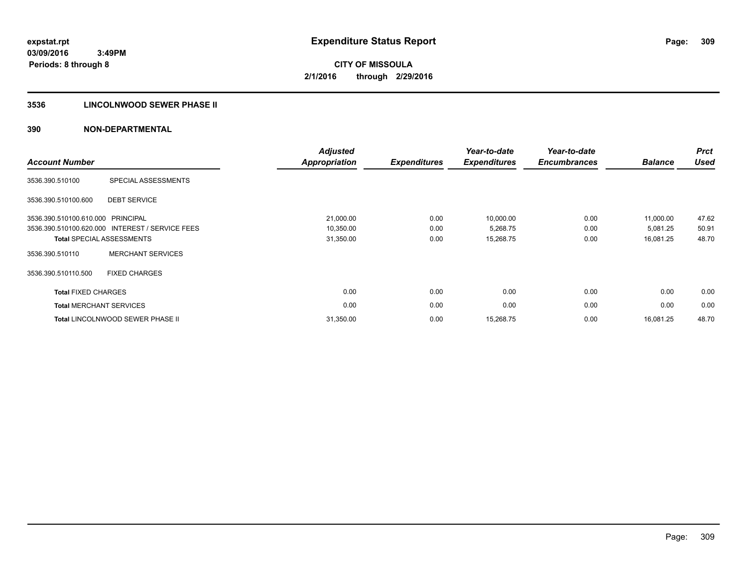# **3536 LINCOLNWOOD SEWER PHASE II**

| <b>Account Number</b>             |                                                 | <b>Adjusted</b><br><b>Appropriation</b> | <b>Expenditures</b> | Year-to-date<br><b>Expenditures</b> | Year-to-date<br><b>Encumbrances</b> | <b>Balance</b> | <b>Prct</b><br><b>Used</b> |
|-----------------------------------|-------------------------------------------------|-----------------------------------------|---------------------|-------------------------------------|-------------------------------------|----------------|----------------------------|
| 3536.390.510100                   | SPECIAL ASSESSMENTS                             |                                         |                     |                                     |                                     |                |                            |
| 3536.390.510100.600               | <b>DEBT SERVICE</b>                             |                                         |                     |                                     |                                     |                |                            |
| 3536.390.510100.610.000 PRINCIPAL |                                                 | 21,000.00                               | 0.00                | 10,000.00                           | 0.00                                | 11,000.00      | 47.62                      |
|                                   | 3536.390.510100.620.000 INTEREST / SERVICE FEES | 10,350.00                               | 0.00                | 5,268.75                            | 0.00                                | 5,081.25       | 50.91                      |
|                                   | <b>Total SPECIAL ASSESSMENTS</b>                | 31,350.00                               | 0.00                | 15,268.75                           | 0.00                                | 16,081.25      | 48.70                      |
| 3536.390.510110                   | <b>MERCHANT SERVICES</b>                        |                                         |                     |                                     |                                     |                |                            |
| 3536.390.510110.500               | <b>FIXED CHARGES</b>                            |                                         |                     |                                     |                                     |                |                            |
| <b>Total FIXED CHARGES</b>        |                                                 | 0.00                                    | 0.00                | 0.00                                | 0.00                                | 0.00           | 0.00                       |
| <b>Total MERCHANT SERVICES</b>    |                                                 | 0.00                                    | 0.00                | 0.00                                | 0.00                                | 0.00           | 0.00                       |
|                                   | <b>Total LINCOLNWOOD SEWER PHASE II</b>         | 31,350.00                               | 0.00                | 15,268.75                           | 0.00                                | 16.081.25      | 48.70                      |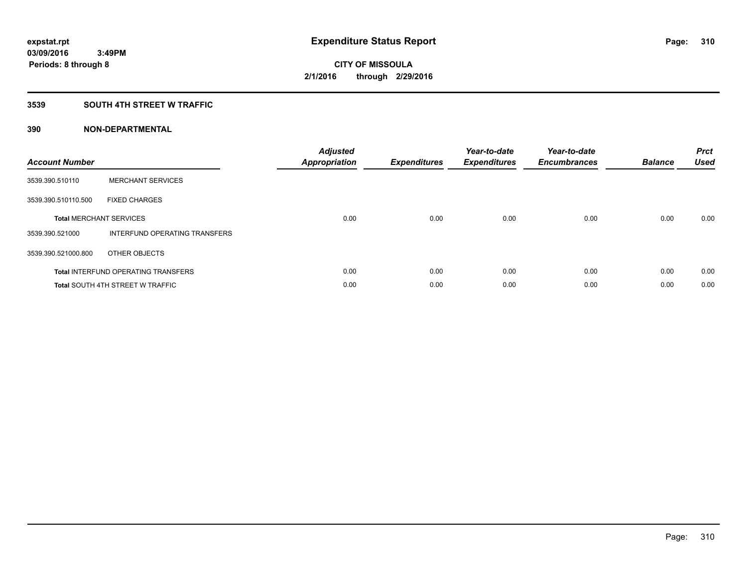# **3539 SOUTH 4TH STREET W TRAFFIC**

| <b>Account Number</b> |                                            | <b>Adjusted</b><br>Appropriation | <b>Expenditures</b> | Year-to-date<br><b>Expenditures</b> | Year-to-date<br><b>Encumbrances</b> | <b>Balance</b> | <b>Prct</b><br><b>Used</b> |
|-----------------------|--------------------------------------------|----------------------------------|---------------------|-------------------------------------|-------------------------------------|----------------|----------------------------|
| 3539.390.510110       | <b>MERCHANT SERVICES</b>                   |                                  |                     |                                     |                                     |                |                            |
| 3539.390.510110.500   | <b>FIXED CHARGES</b>                       |                                  |                     |                                     |                                     |                |                            |
|                       | <b>Total MERCHANT SERVICES</b>             | 0.00                             | 0.00                | 0.00                                | 0.00                                | 0.00           | 0.00                       |
| 3539.390.521000       | INTERFUND OPERATING TRANSFERS              |                                  |                     |                                     |                                     |                |                            |
| 3539.390.521000.800   | OTHER OBJECTS                              |                                  |                     |                                     |                                     |                |                            |
|                       | <b>Total INTERFUND OPERATING TRANSFERS</b> | 0.00                             | 0.00                | 0.00                                | 0.00                                | 0.00           | 0.00                       |
|                       | <b>Total SOUTH 4TH STREET W TRAFFIC</b>    | 0.00                             | 0.00                | 0.00                                | 0.00                                | 0.00           | 0.00                       |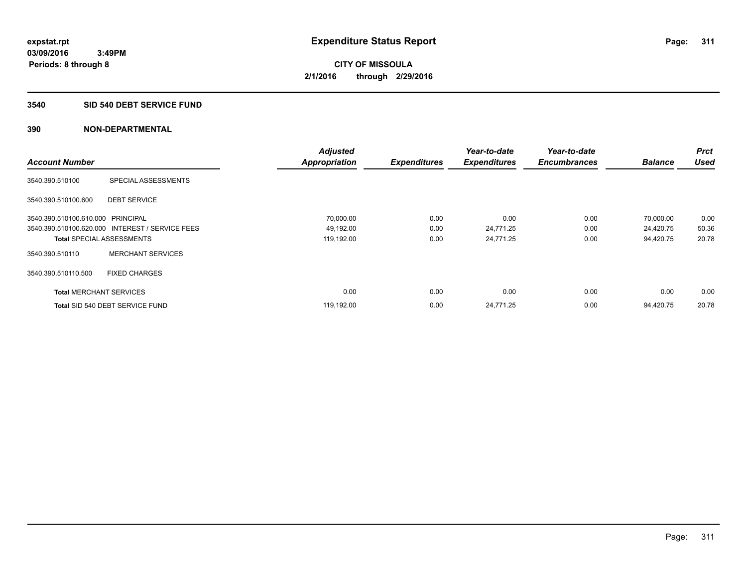#### **3540 SID 540 DEBT SERVICE FUND**

|                                   |                                                 | <b>Adjusted</b>      |                     | Year-to-date        | Year-to-date        |                | <b>Prct</b> |
|-----------------------------------|-------------------------------------------------|----------------------|---------------------|---------------------|---------------------|----------------|-------------|
| <b>Account Number</b>             |                                                 | <b>Appropriation</b> | <b>Expenditures</b> | <b>Expenditures</b> | <b>Encumbrances</b> | <b>Balance</b> | <b>Used</b> |
| 3540.390.510100                   | SPECIAL ASSESSMENTS                             |                      |                     |                     |                     |                |             |
| 3540.390.510100.600               | <b>DEBT SERVICE</b>                             |                      |                     |                     |                     |                |             |
| 3540.390.510100.610.000 PRINCIPAL |                                                 | 70,000.00            | 0.00                | 0.00                | 0.00                | 70,000.00      | 0.00        |
|                                   | 3540.390.510100.620.000 INTEREST / SERVICE FEES | 49,192.00            | 0.00                | 24,771.25           | 0.00                | 24,420.75      | 50.36       |
| <b>Total SPECIAL ASSESSMENTS</b>  |                                                 | 119,192.00           | 0.00                | 24,771.25           | 0.00                | 94,420.75      | 20.78       |
| 3540.390.510110                   | <b>MERCHANT SERVICES</b>                        |                      |                     |                     |                     |                |             |
| 3540.390.510110.500               | <b>FIXED CHARGES</b>                            |                      |                     |                     |                     |                |             |
| <b>Total MERCHANT SERVICES</b>    |                                                 | 0.00                 | 0.00                | 0.00                | 0.00                | 0.00           | 0.00        |
|                                   | Total SID 540 DEBT SERVICE FUND                 | 119,192.00           | 0.00                | 24,771.25           | 0.00                | 94.420.75      | 20.78       |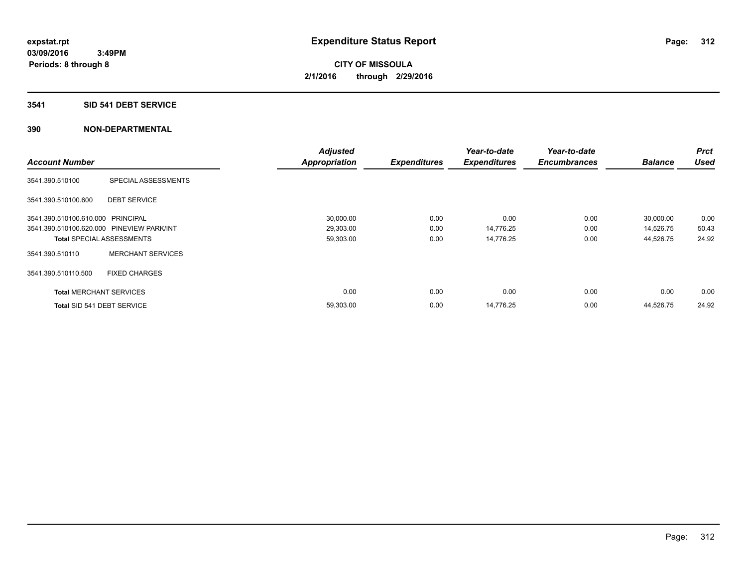#### **3541 SID 541 DEBT SERVICE**

|                                           |                                  | <b>Adjusted</b>      |                     | Year-to-date        | Year-to-date        |                | <b>Prct</b> |
|-------------------------------------------|----------------------------------|----------------------|---------------------|---------------------|---------------------|----------------|-------------|
| <b>Account Number</b>                     |                                  | <b>Appropriation</b> | <b>Expenditures</b> | <b>Expenditures</b> | <b>Encumbrances</b> | <b>Balance</b> | <b>Used</b> |
| 3541.390.510100                           | <b>SPECIAL ASSESSMENTS</b>       |                      |                     |                     |                     |                |             |
| 3541.390.510100.600                       | <b>DEBT SERVICE</b>              |                      |                     |                     |                     |                |             |
| 3541.390.510100.610.000 PRINCIPAL         |                                  | 30,000.00            | 0.00                | 0.00                | 0.00                | 30,000.00      | 0.00        |
| 3541.390.510100.620.000 PINEVIEW PARK/INT |                                  | 29,303.00            | 0.00                | 14,776.25           | 0.00                | 14,526.75      | 50.43       |
|                                           | <b>Total SPECIAL ASSESSMENTS</b> | 59,303.00            | 0.00                | 14,776.25           | 0.00                | 44,526.75      | 24.92       |
| 3541.390.510110                           | <b>MERCHANT SERVICES</b>         |                      |                     |                     |                     |                |             |
| 3541.390.510110.500                       | <b>FIXED CHARGES</b>             |                      |                     |                     |                     |                |             |
| <b>Total MERCHANT SERVICES</b>            |                                  | 0.00                 | 0.00                | 0.00                | 0.00                | 0.00           | 0.00        |
| Total SID 541 DEBT SERVICE                |                                  | 59,303.00            | 0.00                | 14,776.25           | 0.00                | 44,526.75      | 24.92       |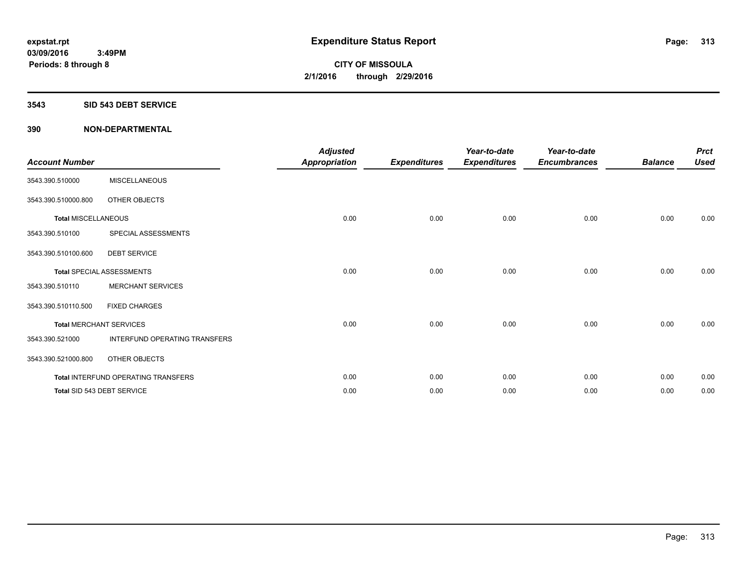#### **3543 SID 543 DEBT SERVICE**

| <b>Account Number</b>      |                                     | <b>Adjusted</b><br><b>Appropriation</b> | <b>Expenditures</b> | Year-to-date<br><b>Expenditures</b> | Year-to-date<br><b>Encumbrances</b> | <b>Balance</b> | <b>Prct</b><br><b>Used</b> |
|----------------------------|-------------------------------------|-----------------------------------------|---------------------|-------------------------------------|-------------------------------------|----------------|----------------------------|
| 3543.390.510000            | <b>MISCELLANEOUS</b>                |                                         |                     |                                     |                                     |                |                            |
| 3543.390.510000.800        | OTHER OBJECTS                       |                                         |                     |                                     |                                     |                |                            |
| <b>Total MISCELLANEOUS</b> |                                     | 0.00                                    | 0.00                | 0.00                                | 0.00                                | 0.00           | 0.00                       |
| 3543.390.510100            | SPECIAL ASSESSMENTS                 |                                         |                     |                                     |                                     |                |                            |
| 3543.390.510100.600        | <b>DEBT SERVICE</b>                 |                                         |                     |                                     |                                     |                |                            |
|                            | <b>Total SPECIAL ASSESSMENTS</b>    | 0.00                                    | 0.00                | 0.00                                | 0.00                                | 0.00           | 0.00                       |
| 3543.390.510110            | <b>MERCHANT SERVICES</b>            |                                         |                     |                                     |                                     |                |                            |
| 3543.390.510110.500        | <b>FIXED CHARGES</b>                |                                         |                     |                                     |                                     |                |                            |
|                            | <b>Total MERCHANT SERVICES</b>      | 0.00                                    | 0.00                | 0.00                                | 0.00                                | 0.00           | 0.00                       |
| 3543.390.521000            | INTERFUND OPERATING TRANSFERS       |                                         |                     |                                     |                                     |                |                            |
| 3543.390.521000.800        | OTHER OBJECTS                       |                                         |                     |                                     |                                     |                |                            |
|                            | Total INTERFUND OPERATING TRANSFERS | 0.00                                    | 0.00                | 0.00                                | 0.00                                | 0.00           | 0.00                       |
|                            | Total SID 543 DEBT SERVICE          | 0.00                                    | 0.00                | 0.00                                | 0.00                                | 0.00           | 0.00                       |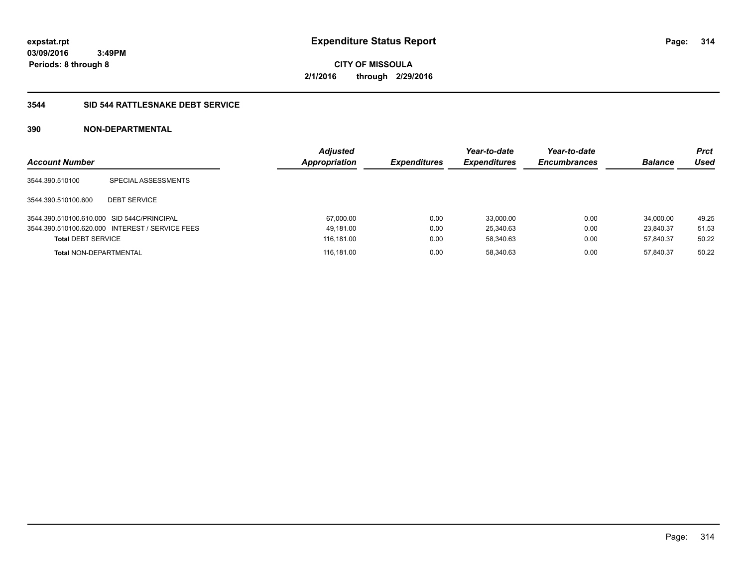**CITY OF MISSOULA 2/1/2016 through 2/29/2016**

## **3544 SID 544 RATTLESNAKE DEBT SERVICE**

| <b>Account Number</b>                      |                                                 | <b>Adjusted</b><br>Appropriation | <b>Expenditures</b> | Year-to-date<br><b>Expenditures</b> | Year-to-date<br><b>Encumbrances</b> | <b>Balance</b> | <b>Prct</b><br>Used |
|--------------------------------------------|-------------------------------------------------|----------------------------------|---------------------|-------------------------------------|-------------------------------------|----------------|---------------------|
| 3544.390.510100                            | SPECIAL ASSESSMENTS                             |                                  |                     |                                     |                                     |                |                     |
| 3544.390.510100.600                        | <b>DEBT SERVICE</b>                             |                                  |                     |                                     |                                     |                |                     |
| 3544.390.510100.610.000 SID 544C/PRINCIPAL |                                                 | 67,000.00                        | 0.00                | 33.000.00                           | 0.00                                | 34.000.00      | 49.25               |
|                                            | 3544.390.510100.620.000 INTEREST / SERVICE FEES | 49,181.00                        | 0.00                | 25.340.63                           | 0.00                                | 23.840.37      | 51.53               |
| <b>Total DEBT SERVICE</b>                  |                                                 | 116,181.00                       | 0.00                | 58,340.63                           | 0.00                                | 57,840.37      | 50.22               |
| <b>Total NON-DEPARTMENTAL</b>              |                                                 | 116.181.00                       | 0.00                | 58.340.63                           | 0.00                                | 57.840.37      | 50.22               |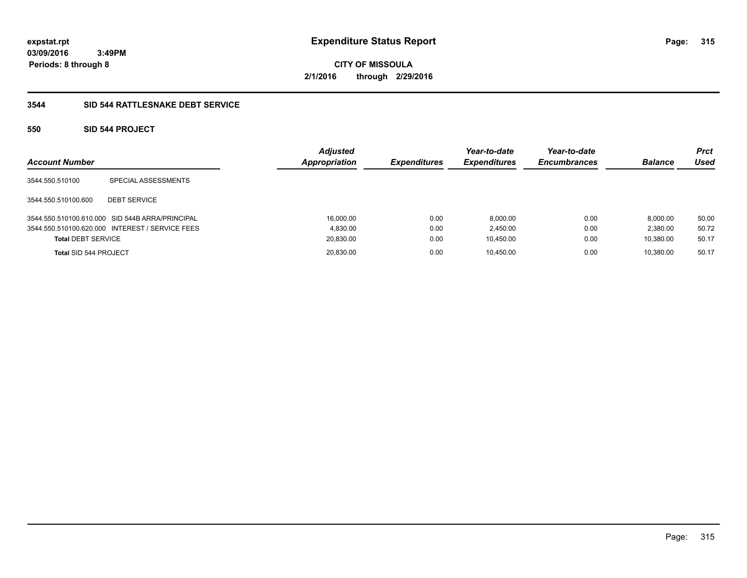**CITY OF MISSOULA 2/1/2016 through 2/29/2016**

# **3544 SID 544 RATTLESNAKE DEBT SERVICE**

# **550 SID 544 PROJECT**

| <b>Account Number</b>     |                                                 | <b>Adjusted</b><br><b>Appropriation</b> | <b>Expenditures</b> | Year-to-date<br><b>Expenditures</b> | Year-to-date<br><b>Encumbrances</b> | <b>Balance</b> | <b>Prct</b><br>Used |
|---------------------------|-------------------------------------------------|-----------------------------------------|---------------------|-------------------------------------|-------------------------------------|----------------|---------------------|
| 3544.550.510100           | SPECIAL ASSESSMENTS                             |                                         |                     |                                     |                                     |                |                     |
| 3544.550.510100.600       | <b>DEBT SERVICE</b>                             |                                         |                     |                                     |                                     |                |                     |
|                           | 3544.550.510100.610.000 SID 544B ARRA/PRINCIPAL | 16,000.00                               | 0.00                | 8,000.00                            | 0.00                                | 8.000.00       | 50.00               |
|                           | 3544.550.510100.620.000 INTEREST / SERVICE FEES | 4.830.00                                | 0.00                | 2.450.00                            | 0.00                                | 2.380.00       | 50.72               |
| <b>Total DEBT SERVICE</b> |                                                 | 20,830.00                               | 0.00                | 10,450.00                           | 0.00                                | 10.380.00      | 50.17               |
| Total SID 544 PROJECT     |                                                 | 20,830.00                               | 0.00                | 10.450.00                           | 0.00                                | 10.380.00      | 50.17               |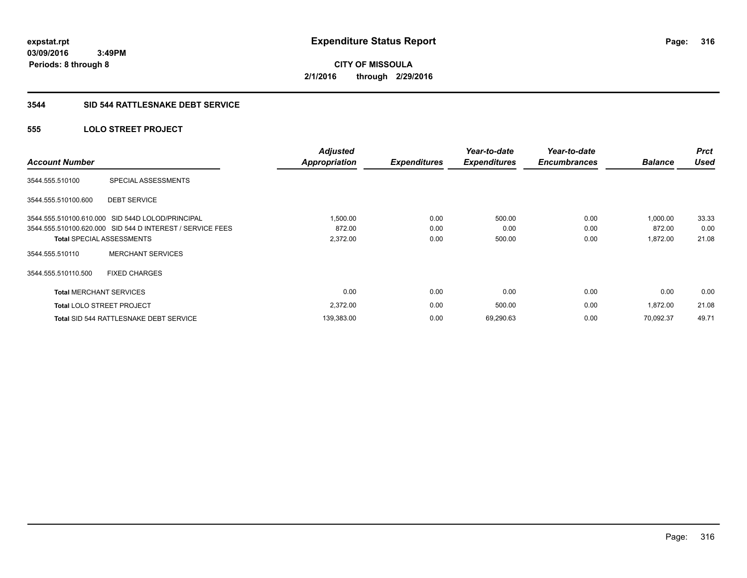**316**

**03/09/2016 3:49PM Periods: 8 through 8**

**CITY OF MISSOULA 2/1/2016 through 2/29/2016**

#### **3544 SID 544 RATTLESNAKE DEBT SERVICE**

## **555 LOLO STREET PROJECT**

| <b>Account Number</b>          |                                                           | <b>Adjusted</b><br><b>Appropriation</b> | <b>Expenditures</b> | Year-to-date<br><b>Expenditures</b> | Year-to-date<br><b>Encumbrances</b> | <b>Balance</b> | <b>Prct</b><br><b>Used</b> |
|--------------------------------|-----------------------------------------------------------|-----------------------------------------|---------------------|-------------------------------------|-------------------------------------|----------------|----------------------------|
| 3544.555.510100                | SPECIAL ASSESSMENTS                                       |                                         |                     |                                     |                                     |                |                            |
| 3544.555.510100.600            | <b>DEBT SERVICE</b>                                       |                                         |                     |                                     |                                     |                |                            |
|                                | 3544.555.510100.610.000 SID 544D LOLOD/PRINCIPAL          | 1,500.00                                | 0.00                | 500.00                              | 0.00                                | 1,000.00       | 33.33                      |
|                                | 3544.555.510100.620.000 SID 544 D INTEREST / SERVICE FEES | 872.00                                  | 0.00                | 0.00                                | 0.00                                | 872.00         | 0.00                       |
|                                | <b>Total SPECIAL ASSESSMENTS</b>                          | 2,372.00                                | 0.00                | 500.00                              | 0.00                                | 1,872.00       | 21.08                      |
| 3544.555.510110                | <b>MERCHANT SERVICES</b>                                  |                                         |                     |                                     |                                     |                |                            |
| 3544.555.510110.500            | <b>FIXED CHARGES</b>                                      |                                         |                     |                                     |                                     |                |                            |
| <b>Total MERCHANT SERVICES</b> |                                                           | 0.00                                    | 0.00                | 0.00                                | 0.00                                | 0.00           | 0.00                       |
|                                | <b>Total LOLO STREET PROJECT</b>                          | 2,372.00                                | 0.00                | 500.00                              | 0.00                                | 1,872.00       | 21.08                      |
|                                | Total SID 544 RATTLESNAKE DEBT SERVICE                    | 139,383.00                              | 0.00                | 69,290.63                           | 0.00                                | 70.092.37      | 49.71                      |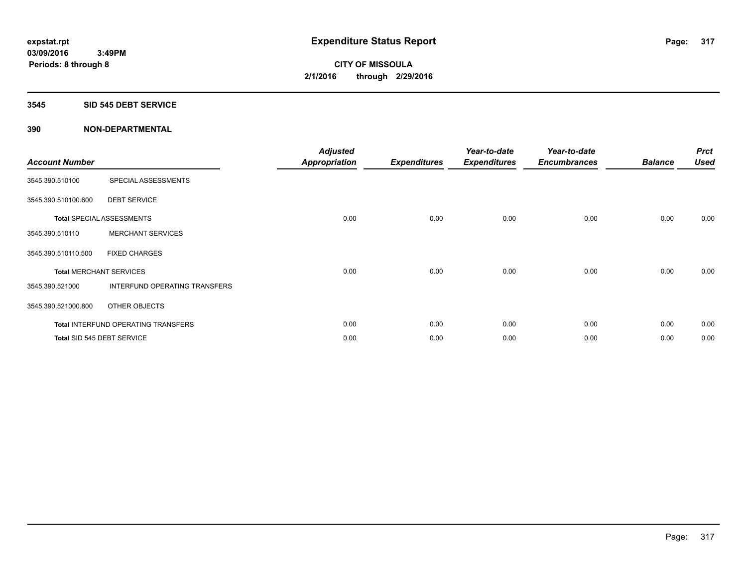#### **3545 SID 545 DEBT SERVICE**

| <b>Account Number</b> |                                     | <b>Adjusted</b><br><b>Appropriation</b> | <b>Expenditures</b> | Year-to-date<br><b>Expenditures</b> | Year-to-date<br><b>Encumbrances</b> | <b>Balance</b> | <b>Prct</b><br><b>Used</b> |
|-----------------------|-------------------------------------|-----------------------------------------|---------------------|-------------------------------------|-------------------------------------|----------------|----------------------------|
| 3545.390.510100       | SPECIAL ASSESSMENTS                 |                                         |                     |                                     |                                     |                |                            |
| 3545.390.510100.600   | <b>DEBT SERVICE</b>                 |                                         |                     |                                     |                                     |                |                            |
|                       | Total SPECIAL ASSESSMENTS           | 0.00                                    | 0.00                | 0.00                                | 0.00                                | 0.00           | 0.00                       |
| 3545.390.510110       | <b>MERCHANT SERVICES</b>            |                                         |                     |                                     |                                     |                |                            |
| 3545.390.510110.500   | <b>FIXED CHARGES</b>                |                                         |                     |                                     |                                     |                |                            |
|                       | <b>Total MERCHANT SERVICES</b>      | 0.00                                    | 0.00                | 0.00                                | 0.00                                | 0.00           | 0.00                       |
| 3545.390.521000       | INTERFUND OPERATING TRANSFERS       |                                         |                     |                                     |                                     |                |                            |
| 3545.390.521000.800   | OTHER OBJECTS                       |                                         |                     |                                     |                                     |                |                            |
|                       | Total INTERFUND OPERATING TRANSFERS | 0.00                                    | 0.00                | 0.00                                | 0.00                                | 0.00           | 0.00                       |
|                       | Total SID 545 DEBT SERVICE          | 0.00                                    | 0.00                | 0.00                                | 0.00                                | 0.00           | 0.00                       |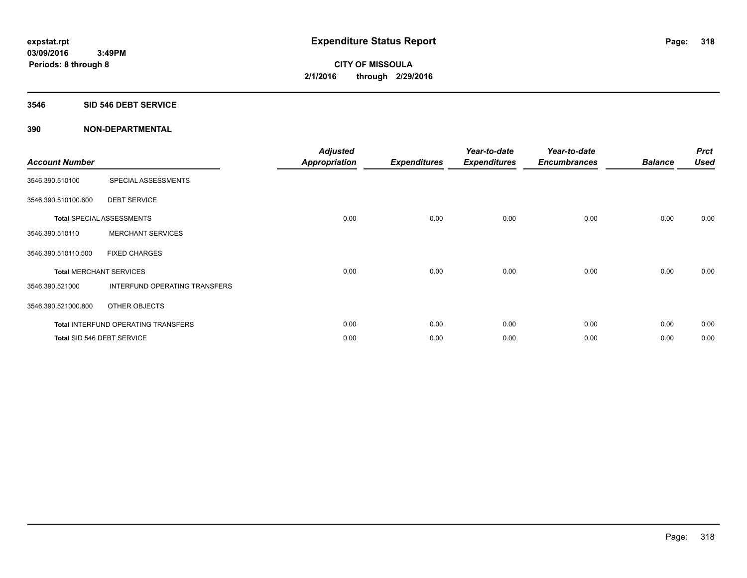#### **3546 SID 546 DEBT SERVICE**

| <b>Account Number</b> |                                     | <b>Adjusted</b><br><b>Appropriation</b> | <b>Expenditures</b> | Year-to-date<br><b>Expenditures</b> | Year-to-date<br><b>Encumbrances</b> | <b>Balance</b> | <b>Prct</b><br><b>Used</b> |
|-----------------------|-------------------------------------|-----------------------------------------|---------------------|-------------------------------------|-------------------------------------|----------------|----------------------------|
| 3546.390.510100       | SPECIAL ASSESSMENTS                 |                                         |                     |                                     |                                     |                |                            |
| 3546.390.510100.600   | <b>DEBT SERVICE</b>                 |                                         |                     |                                     |                                     |                |                            |
|                       | Total SPECIAL ASSESSMENTS           | 0.00                                    | 0.00                | 0.00                                | 0.00                                | 0.00           | 0.00                       |
| 3546.390.510110       | <b>MERCHANT SERVICES</b>            |                                         |                     |                                     |                                     |                |                            |
| 3546.390.510110.500   | <b>FIXED CHARGES</b>                |                                         |                     |                                     |                                     |                |                            |
|                       | <b>Total MERCHANT SERVICES</b>      | 0.00                                    | 0.00                | 0.00                                | 0.00                                | 0.00           | 0.00                       |
| 3546.390.521000       | INTERFUND OPERATING TRANSFERS       |                                         |                     |                                     |                                     |                |                            |
| 3546.390.521000.800   | OTHER OBJECTS                       |                                         |                     |                                     |                                     |                |                            |
|                       | Total INTERFUND OPERATING TRANSFERS | 0.00                                    | 0.00                | 0.00                                | 0.00                                | 0.00           | 0.00                       |
|                       | Total SID 546 DEBT SERVICE          | 0.00                                    | 0.00                | 0.00                                | 0.00                                | 0.00           | 0.00                       |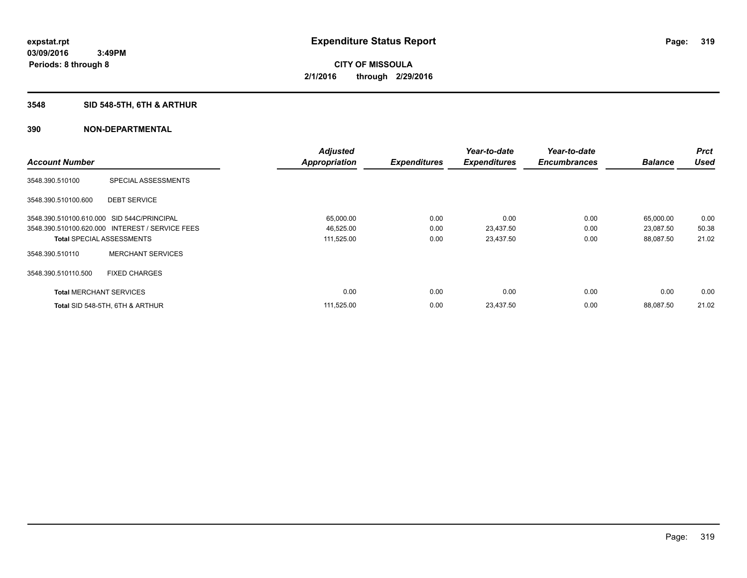# **3548 SID 548-5TH, 6TH & ARTHUR**

|                                            |                                                 | <b>Adjusted</b>      |                     | Year-to-date        | Year-to-date        |                | <b>Prct</b> |
|--------------------------------------------|-------------------------------------------------|----------------------|---------------------|---------------------|---------------------|----------------|-------------|
| <b>Account Number</b>                      |                                                 | <b>Appropriation</b> | <b>Expenditures</b> | <b>Expenditures</b> | <b>Encumbrances</b> | <b>Balance</b> | <b>Used</b> |
| 3548.390.510100                            | SPECIAL ASSESSMENTS                             |                      |                     |                     |                     |                |             |
| 3548.390.510100.600                        | <b>DEBT SERVICE</b>                             |                      |                     |                     |                     |                |             |
| 3548.390.510100.610.000 SID 544C/PRINCIPAL |                                                 | 65,000.00            | 0.00                | 0.00                | 0.00                | 65,000.00      | 0.00        |
|                                            | 3548.390.510100.620.000 INTEREST / SERVICE FEES | 46,525.00            | 0.00                | 23,437.50           | 0.00                | 23,087.50      | 50.38       |
| <b>Total SPECIAL ASSESSMENTS</b>           |                                                 | 111,525.00           | 0.00                | 23,437.50           | 0.00                | 88,087.50      | 21.02       |
| 3548.390.510110                            | <b>MERCHANT SERVICES</b>                        |                      |                     |                     |                     |                |             |
| 3548.390.510110.500                        | <b>FIXED CHARGES</b>                            |                      |                     |                     |                     |                |             |
| <b>Total MERCHANT SERVICES</b>             |                                                 | 0.00                 | 0.00                | 0.00                | 0.00                | 0.00           | 0.00        |
|                                            | Total SID 548-5TH, 6TH & ARTHUR                 | 111,525.00           | 0.00                | 23,437.50           | 0.00                | 88.087.50      | 21.02       |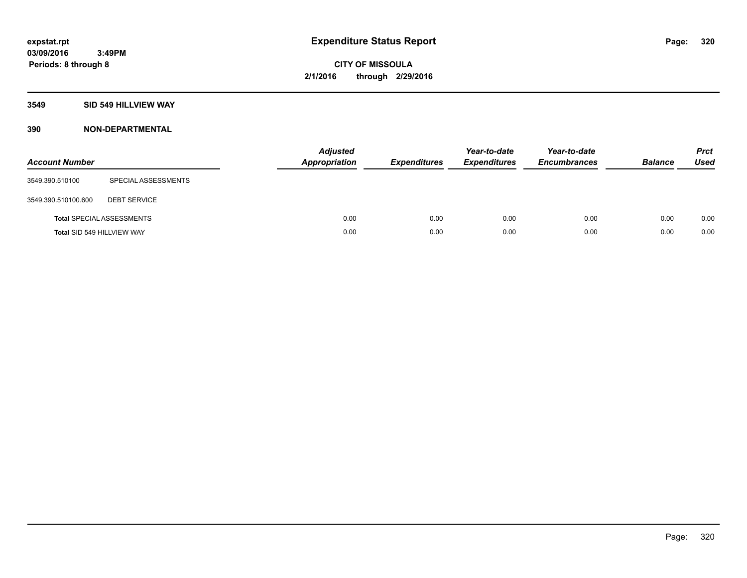#### **3549 SID 549 HILLVIEW WAY**

| <b>Account Number</b> |                                  | <b>Adjusted</b><br>Appropriation | <b>Expenditures</b> | Year-to-date<br><b>Expenditures</b> | Year-to-date<br><b>Encumbrances</b> | <b>Balance</b> | <b>Prct</b><br><b>Used</b> |
|-----------------------|----------------------------------|----------------------------------|---------------------|-------------------------------------|-------------------------------------|----------------|----------------------------|
| 3549.390.510100       | SPECIAL ASSESSMENTS              |                                  |                     |                                     |                                     |                |                            |
| 3549.390.510100.600   | <b>DEBT SERVICE</b>              |                                  |                     |                                     |                                     |                |                            |
|                       | <b>Total SPECIAL ASSESSMENTS</b> | 0.00                             | 0.00                | 0.00                                | 0.00                                | 0.00           | 0.00                       |
|                       | Total SID 549 HILLVIEW WAY       | 0.00                             | 0.00                | 0.00                                | 0.00                                | 0.00           | 0.00                       |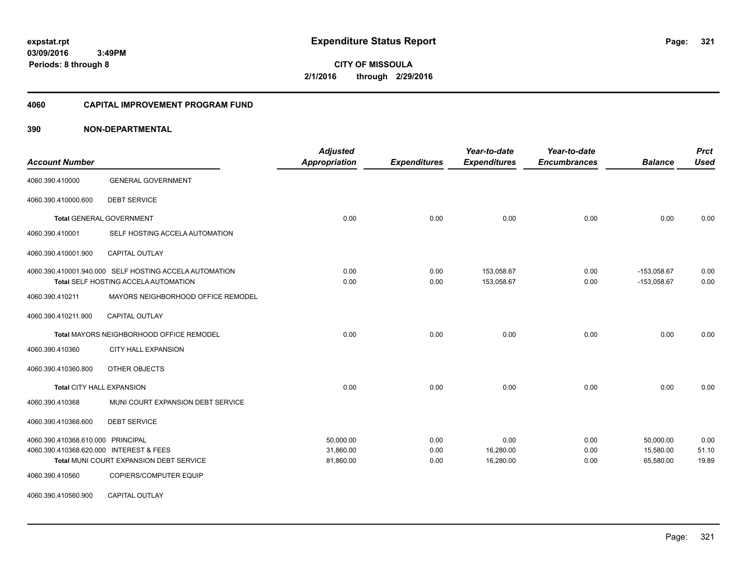**CITY OF MISSOULA 2/1/2016 through 2/29/2016**

#### **4060 CAPITAL IMPROVEMENT PROGRAM FUND**

| <b>Account Number</b>                   |                                                                                                | <b>Adjusted</b><br>Appropriation | <b>Expenditures</b> | Year-to-date<br><b>Expenditures</b> | Year-to-date<br><b>Encumbrances</b> | <b>Balance</b>                 | <b>Prct</b><br><b>Used</b> |
|-----------------------------------------|------------------------------------------------------------------------------------------------|----------------------------------|---------------------|-------------------------------------|-------------------------------------|--------------------------------|----------------------------|
| 4060.390.410000                         | <b>GENERAL GOVERNMENT</b>                                                                      |                                  |                     |                                     |                                     |                                |                            |
| 4060.390.410000.600                     | <b>DEBT SERVICE</b>                                                                            |                                  |                     |                                     |                                     |                                |                            |
|                                         | <b>Total GENERAL GOVERNMENT</b>                                                                | 0.00                             | 0.00                | 0.00                                | 0.00                                | 0.00                           | 0.00                       |
| 4060.390.410001                         | SELF HOSTING ACCELA AUTOMATION                                                                 |                                  |                     |                                     |                                     |                                |                            |
| 4060.390.410001.900                     | <b>CAPITAL OUTLAY</b>                                                                          |                                  |                     |                                     |                                     |                                |                            |
|                                         | 4060.390.410001.940.000 SELF HOSTING ACCELA AUTOMATION<br>Total SELF HOSTING ACCELA AUTOMATION | 0.00<br>0.00                     | 0.00<br>0.00        | 153,058.67<br>153,058.67            | 0.00<br>0.00                        | $-153,058.67$<br>$-153,058.67$ | 0.00<br>0.00               |
| 4060.390.410211                         | MAYORS NEIGHBORHOOD OFFICE REMODEL                                                             |                                  |                     |                                     |                                     |                                |                            |
| 4060.390.410211.900                     | CAPITAL OUTLAY                                                                                 |                                  |                     |                                     |                                     |                                |                            |
|                                         | <b>Total MAYORS NEIGHBORHOOD OFFICE REMODEL</b>                                                | 0.00                             | 0.00                | 0.00                                | 0.00                                | 0.00                           | 0.00                       |
| 4060.390.410360                         | CITY HALL EXPANSION                                                                            |                                  |                     |                                     |                                     |                                |                            |
| 4060.390.410360.800                     | OTHER OBJECTS                                                                                  |                                  |                     |                                     |                                     |                                |                            |
| <b>Total CITY HALL EXPANSION</b>        |                                                                                                | 0.00                             | 0.00                | 0.00                                | 0.00                                | 0.00                           | 0.00                       |
| 4060.390.410368                         | MUNI COURT EXPANSION DEBT SERVICE                                                              |                                  |                     |                                     |                                     |                                |                            |
| 4060.390.410368.600                     | <b>DEBT SERVICE</b>                                                                            |                                  |                     |                                     |                                     |                                |                            |
| 4060.390.410368.610.000 PRINCIPAL       |                                                                                                | 50,000.00                        | 0.00                | 0.00                                | 0.00                                | 50,000.00                      | 0.00                       |
| 4060.390.410368.620.000 INTEREST & FEES |                                                                                                | 31,860.00                        | 0.00                | 16,280.00                           | 0.00                                | 15,580.00                      | 51.10                      |
|                                         | Total MUNI COURT EXPANSION DEBT SERVICE                                                        | 81,860.00                        | 0.00                | 16,280.00                           | 0.00                                | 65,580.00                      | 19.89                      |
| 4060.390.410560                         | COPIERS/COMPUTER EQUIP                                                                         |                                  |                     |                                     |                                     |                                |                            |
| 4060.390.410560.900                     | CAPITAL OUTLAY                                                                                 |                                  |                     |                                     |                                     |                                |                            |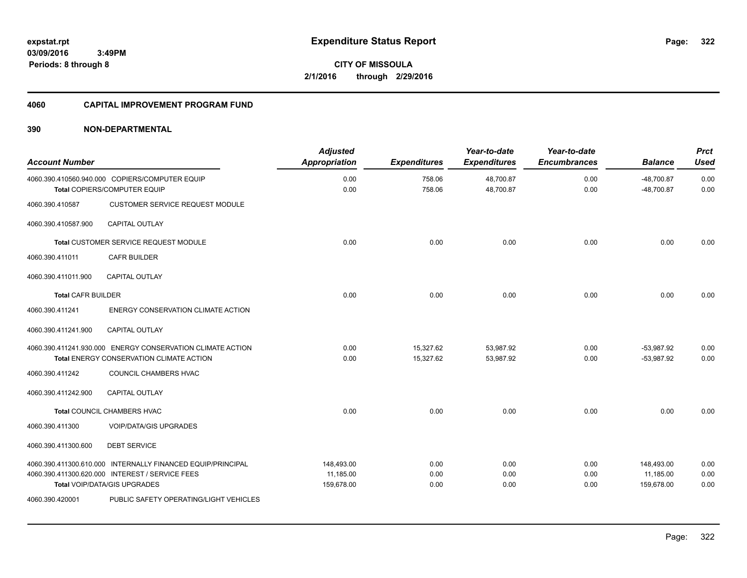**322**

**CITY OF MISSOULA 2/1/2016 through 2/29/2016**

#### **4060 CAPITAL IMPROVEMENT PROGRAM FUND**

| <b>Account Number</b>     |                                                                                                                                                | <b>Adjusted</b><br><b>Appropriation</b> | <b>Expenditures</b>    | Year-to-date<br><b>Expenditures</b> | Year-to-date<br><b>Encumbrances</b> | <b>Balance</b>                        | <b>Prct</b><br><b>Used</b> |
|---------------------------|------------------------------------------------------------------------------------------------------------------------------------------------|-----------------------------------------|------------------------|-------------------------------------|-------------------------------------|---------------------------------------|----------------------------|
|                           | 4060.390.410560.940.000 COPIERS/COMPUTER EQUIP<br>Total COPIERS/COMPUTER EQUIP                                                                 | 0.00<br>0.00                            | 758.06<br>758.06       | 48,700.87<br>48,700.87              | 0.00<br>0.00                        | $-48,700.87$<br>$-48,700.87$          | 0.00<br>0.00               |
| 4060.390.410587           | <b>CUSTOMER SERVICE REQUEST MODULE</b>                                                                                                         |                                         |                        |                                     |                                     |                                       |                            |
| 4060.390.410587.900       | <b>CAPITAL OUTLAY</b>                                                                                                                          |                                         |                        |                                     |                                     |                                       |                            |
|                           | Total CUSTOMER SERVICE REQUEST MODULE                                                                                                          | 0.00                                    | 0.00                   | 0.00                                | 0.00                                | 0.00                                  | 0.00                       |
| 4060.390.411011           | <b>CAFR BUILDER</b>                                                                                                                            |                                         |                        |                                     |                                     |                                       |                            |
| 4060.390.411011.900       | <b>CAPITAL OUTLAY</b>                                                                                                                          |                                         |                        |                                     |                                     |                                       |                            |
| <b>Total CAFR BUILDER</b> |                                                                                                                                                | 0.00                                    | 0.00                   | 0.00                                | 0.00                                | 0.00                                  | 0.00                       |
| 4060.390.411241           | ENERGY CONSERVATION CLIMATE ACTION                                                                                                             |                                         |                        |                                     |                                     |                                       |                            |
| 4060.390.411241.900       | <b>CAPITAL OUTLAY</b>                                                                                                                          |                                         |                        |                                     |                                     |                                       |                            |
|                           | 4060.390.411241.930.000 ENERGY CONSERVATION CLIMATE ACTION<br><b>Total ENERGY CONSERVATION CLIMATE ACTION</b>                                  | 0.00<br>0.00                            | 15.327.62<br>15,327.62 | 53,987.92<br>53,987.92              | 0.00<br>0.00                        | $-53.987.92$<br>$-53,987.92$          | 0.00<br>0.00               |
| 4060.390.411242           | COUNCIL CHAMBERS HVAC                                                                                                                          |                                         |                        |                                     |                                     |                                       |                            |
| 4060.390.411242.900       | <b>CAPITAL OUTLAY</b>                                                                                                                          |                                         |                        |                                     |                                     |                                       |                            |
|                           | <b>Total COUNCIL CHAMBERS HVAC</b>                                                                                                             | 0.00                                    | 0.00                   | 0.00                                | 0.00                                | 0.00                                  | 0.00                       |
| 4060.390.411300           | <b>VOIP/DATA/GIS UPGRADES</b>                                                                                                                  |                                         |                        |                                     |                                     |                                       |                            |
| 4060.390.411300.600       | <b>DEBT SERVICE</b>                                                                                                                            |                                         |                        |                                     |                                     |                                       |                            |
|                           | 4060.390.411300.610.000 INTERNALLY FINANCED EQUIP/PRINCIPAL<br>4060.390.411300.620.000 INTEREST / SERVICE FEES<br>Total VOIP/DATA/GIS UPGRADES | 148,493.00<br>11.185.00<br>159,678.00   | 0.00<br>0.00<br>0.00   | 0.00<br>0.00<br>0.00                | 0.00<br>0.00<br>0.00                | 148,493.00<br>11,185.00<br>159,678.00 | 0.00<br>0.00<br>0.00       |
| 4060.390.420001           | PUBLIC SAFETY OPERATING/LIGHT VEHICLES                                                                                                         |                                         |                        |                                     |                                     |                                       |                            |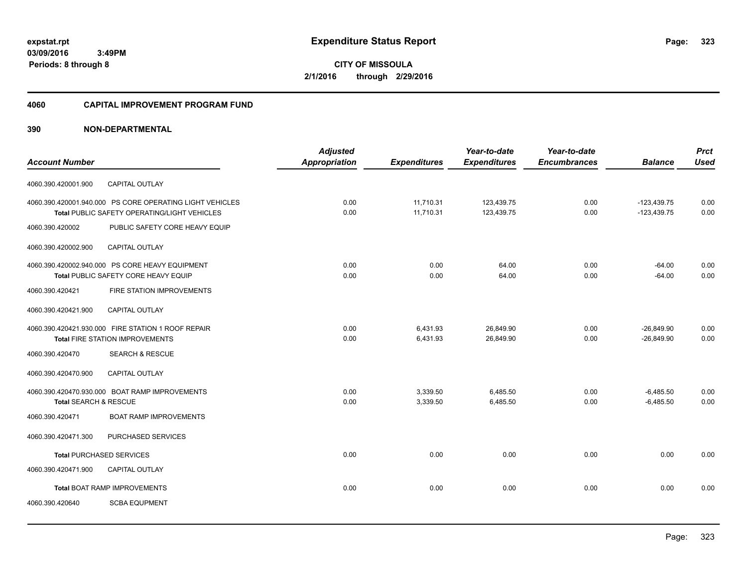**CITY OF MISSOULA 2/1/2016 through 2/29/2016**

#### **4060 CAPITAL IMPROVEMENT PROGRAM FUND**

|                                  |                                                          | <b>Adjusted</b> |                     | Year-to-date        | Year-to-date        |                | <b>Prct</b> |
|----------------------------------|----------------------------------------------------------|-----------------|---------------------|---------------------|---------------------|----------------|-------------|
| <b>Account Number</b>            |                                                          | Appropriation   | <b>Expenditures</b> | <b>Expenditures</b> | <b>Encumbrances</b> | <b>Balance</b> | <b>Used</b> |
| 4060.390.420001.900              | <b>CAPITAL OUTLAY</b>                                    |                 |                     |                     |                     |                |             |
|                                  | 4060.390.420001.940.000 PS CORE OPERATING LIGHT VEHICLES | 0.00            | 11,710.31           | 123,439.75          | 0.00                | $-123,439.75$  | 0.00        |
|                                  | <b>Total PUBLIC SAFETY OPERATING/LIGHT VEHICLES</b>      | 0.00            | 11.710.31           | 123.439.75          | 0.00                | $-123.439.75$  | 0.00        |
| 4060.390.420002                  | PUBLIC SAFETY CORE HEAVY EQUIP                           |                 |                     |                     |                     |                |             |
| 4060.390.420002.900              | <b>CAPITAL OUTLAY</b>                                    |                 |                     |                     |                     |                |             |
|                                  | 4060.390.420002.940.000 PS CORE HEAVY EQUIPMENT          | 0.00            | 0.00                | 64.00               | 0.00                | $-64.00$       | 0.00        |
|                                  | Total PUBLIC SAFETY CORE HEAVY EQUIP                     | 0.00            | 0.00                | 64.00               | 0.00                | $-64.00$       | 0.00        |
| 4060.390.420421                  | FIRE STATION IMPROVEMENTS                                |                 |                     |                     |                     |                |             |
| 4060.390.420421.900              | CAPITAL OUTLAY                                           |                 |                     |                     |                     |                |             |
|                                  | 4060.390.420421.930.000 FIRE STATION 1 ROOF REPAIR       | 0.00            | 6,431.93            | 26,849.90           | 0.00                | $-26,849.90$   | 0.00        |
|                                  | <b>Total FIRE STATION IMPROVEMENTS</b>                   | 0.00            | 6,431.93            | 26,849.90           | 0.00                | $-26,849.90$   | 0.00        |
| 4060.390.420470                  | <b>SEARCH &amp; RESCUE</b>                               |                 |                     |                     |                     |                |             |
| 4060.390.420470.900              | <b>CAPITAL OUTLAY</b>                                    |                 |                     |                     |                     |                |             |
|                                  | 4060.390.420470.930.000 BOAT RAMP IMPROVEMENTS           | 0.00            | 3,339.50            | 6,485.50            | 0.00                | $-6,485.50$    | 0.00        |
| <b>Total SEARCH &amp; RESCUE</b> |                                                          | 0.00            | 3,339.50            | 6,485.50            | 0.00                | $-6,485.50$    | 0.00        |
| 4060.390.420471                  | <b>BOAT RAMP IMPROVEMENTS</b>                            |                 |                     |                     |                     |                |             |
| 4060.390.420471.300              | PURCHASED SERVICES                                       |                 |                     |                     |                     |                |             |
| <b>Total PURCHASED SERVICES</b>  |                                                          | 0.00            | 0.00                | 0.00                | 0.00                | 0.00           | 0.00        |
| 4060.390.420471.900              | CAPITAL OUTLAY                                           |                 |                     |                     |                     |                |             |
|                                  | <b>Total BOAT RAMP IMPROVEMENTS</b>                      | 0.00            | 0.00                | 0.00                | 0.00                | 0.00           | 0.00        |
| 4060.390.420640                  | <b>SCBA EQUPMENT</b>                                     |                 |                     |                     |                     |                |             |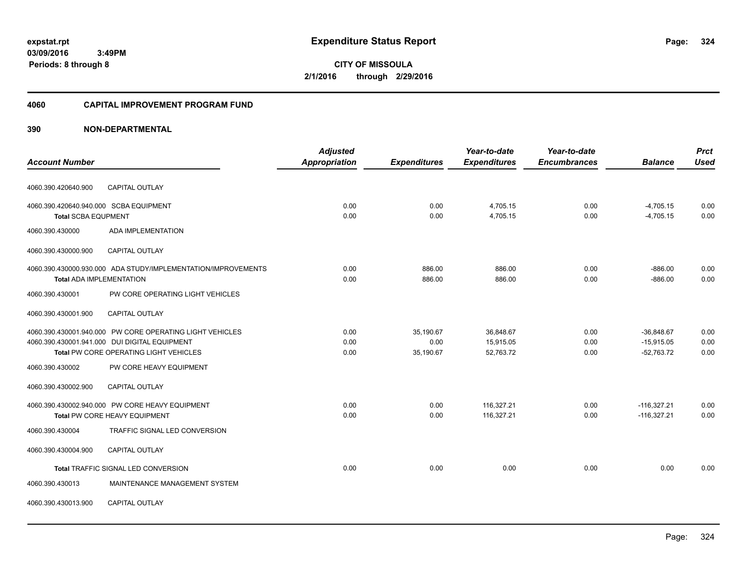**CITY OF MISSOULA 2/1/2016 through 2/29/2016**

#### **4060 CAPITAL IMPROVEMENT PROGRAM FUND**

|                                                               | <b>Adjusted</b>      |                     | Year-to-date        | Year-to-date        |                | <b>Prct</b> |
|---------------------------------------------------------------|----------------------|---------------------|---------------------|---------------------|----------------|-------------|
| <b>Account Number</b>                                         | <b>Appropriation</b> | <b>Expenditures</b> | <b>Expenditures</b> | <b>Encumbrances</b> | <b>Balance</b> | <b>Used</b> |
| <b>CAPITAL OUTLAY</b><br>4060.390.420640.900                  |                      |                     |                     |                     |                |             |
| 4060.390.420640.940.000 SCBA EQUIPMENT                        | 0.00                 | 0.00                | 4,705.15            | 0.00                | $-4,705.15$    | 0.00        |
| <b>Total SCBA EQUPMENT</b>                                    | 0.00                 | 0.00                | 4,705.15            | 0.00                | $-4,705.15$    | 0.00        |
| ADA IMPLEMENTATION<br>4060.390.430000                         |                      |                     |                     |                     |                |             |
| 4060.390.430000.900<br><b>CAPITAL OUTLAY</b>                  |                      |                     |                     |                     |                |             |
| 4060.390.430000.930.000 ADA STUDY/IMPLEMENTATION/IMPROVEMENTS | 0.00                 | 886.00              | 886.00              | 0.00                | $-886.00$      | 0.00        |
| <b>Total ADA IMPLEMENTATION</b>                               | 0.00                 | 886.00              | 886.00              | 0.00                | $-886.00$      | 0.00        |
| PW CORE OPERATING LIGHT VEHICLES<br>4060.390.430001           |                      |                     |                     |                     |                |             |
| CAPITAL OUTLAY<br>4060.390.430001.900                         |                      |                     |                     |                     |                |             |
| 4060.390.430001.940.000 PW CORE OPERATING LIGHT VEHICLES      | 0.00                 | 35,190.67           | 36,848.67           | 0.00                | $-36,848.67$   | 0.00        |
| 4060.390.430001.941.000 DUI DIGITAL EQUIPMENT                 | 0.00                 | 0.00                | 15,915.05           | 0.00                | $-15,915.05$   | 0.00        |
| Total PW CORE OPERATING LIGHT VEHICLES                        | 0.00                 | 35,190.67           | 52,763.72           | 0.00                | $-52,763.72$   | 0.00        |
| 4060.390.430002<br>PW CORE HEAVY EQUIPMENT                    |                      |                     |                     |                     |                |             |
| 4060.390.430002.900<br><b>CAPITAL OUTLAY</b>                  |                      |                     |                     |                     |                |             |
| 4060.390.430002.940.000 PW CORE HEAVY EQUIPMENT               | 0.00                 | 0.00                | 116,327.21          | 0.00                | $-116,327.21$  | 0.00        |
| <b>Total PW CORE HEAVY EQUIPMENT</b>                          | 0.00                 | 0.00                | 116,327.21          | 0.00                | $-116,327.21$  | 0.00        |
| 4060.390.430004<br>TRAFFIC SIGNAL LED CONVERSION              |                      |                     |                     |                     |                |             |
| 4060.390.430004.900<br><b>CAPITAL OUTLAY</b>                  |                      |                     |                     |                     |                |             |
| Total TRAFFIC SIGNAL LED CONVERSION                           | 0.00                 | 0.00                | 0.00                | 0.00                | 0.00           | 0.00        |
| 4060.390.430013<br>MAINTENANCE MANAGEMENT SYSTEM              |                      |                     |                     |                     |                |             |
| CAPITAL OUTLAY<br>4060.390.430013.900                         |                      |                     |                     |                     |                |             |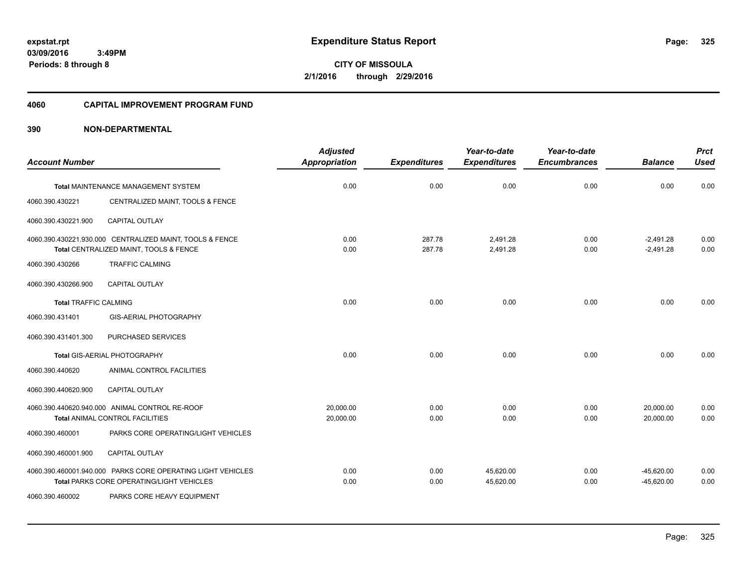**CITY OF MISSOULA 2/1/2016 through 2/29/2016**

#### **4060 CAPITAL IMPROVEMENT PROGRAM FUND**

|                              |                                                                                                          | <b>Adjusted</b> |                     | Year-to-date           | Year-to-date        |                              | <b>Prct</b>  |
|------------------------------|----------------------------------------------------------------------------------------------------------|-----------------|---------------------|------------------------|---------------------|------------------------------|--------------|
| <b>Account Number</b>        |                                                                                                          | Appropriation   | <b>Expenditures</b> | <b>Expenditures</b>    | <b>Encumbrances</b> | <b>Balance</b>               | <b>Used</b>  |
|                              | <b>Total MAINTENANCE MANAGEMENT SYSTEM</b>                                                               | 0.00            | 0.00                | 0.00                   | 0.00                | 0.00                         | 0.00         |
| 4060.390.430221              | CENTRALIZED MAINT, TOOLS & FENCE                                                                         |                 |                     |                        |                     |                              |              |
| 4060.390.430221.900          | <b>CAPITAL OUTLAY</b>                                                                                    |                 |                     |                        |                     |                              |              |
|                              | 4060.390.430221.930.000 CENTRALIZED MAINT, TOOLS & FENCE<br>Total CENTRALIZED MAINT, TOOLS & FENCE       | 0.00<br>0.00    | 287.78<br>287.78    | 2,491.28<br>2,491.28   | 0.00<br>0.00        | $-2,491.28$<br>$-2,491.28$   | 0.00<br>0.00 |
| 4060.390.430266              | <b>TRAFFIC CALMING</b>                                                                                   |                 |                     |                        |                     |                              |              |
| 4060.390.430266.900          | CAPITAL OUTLAY                                                                                           |                 |                     |                        |                     |                              |              |
| <b>Total TRAFFIC CALMING</b> |                                                                                                          | 0.00            | 0.00                | 0.00                   | 0.00                | 0.00                         | 0.00         |
| 4060.390.431401              | <b>GIS-AERIAL PHOTOGRAPHY</b>                                                                            |                 |                     |                        |                     |                              |              |
| 4060.390.431401.300          | PURCHASED SERVICES                                                                                       |                 |                     |                        |                     |                              |              |
|                              | Total GIS-AERIAL PHOTOGRAPHY                                                                             | 0.00            | 0.00                | 0.00                   | 0.00                | 0.00                         | 0.00         |
| 4060.390.440620              | ANIMAL CONTROL FACILITIES                                                                                |                 |                     |                        |                     |                              |              |
| 4060.390.440620.900          | CAPITAL OUTLAY                                                                                           |                 |                     |                        |                     |                              |              |
|                              | 4060.390.440620.940.000 ANIMAL CONTROL RE-ROOF                                                           | 20,000.00       | 0.00                | 0.00                   | 0.00                | 20,000.00                    | 0.00         |
| 4060.390.460001              | Total ANIMAL CONTROL FACILITIES<br>PARKS CORE OPERATING/LIGHT VEHICLES                                   | 20,000.00       | 0.00                | 0.00                   | 0.00                | 20,000.00                    | 0.00         |
| 4060.390.460001.900          | <b>CAPITAL OUTLAY</b>                                                                                    |                 |                     |                        |                     |                              |              |
|                              | 4060.390.460001.940.000 PARKS CORE OPERATING LIGHT VEHICLES<br>Total PARKS CORE OPERATING/LIGHT VEHICLES | 0.00<br>0.00    | 0.00<br>0.00        | 45,620.00<br>45,620.00 | 0.00<br>0.00        | $-45,620.00$<br>$-45,620.00$ | 0.00<br>0.00 |
| 4060.390.460002              | PARKS CORE HEAVY EQUIPMENT                                                                               |                 |                     |                        |                     |                              |              |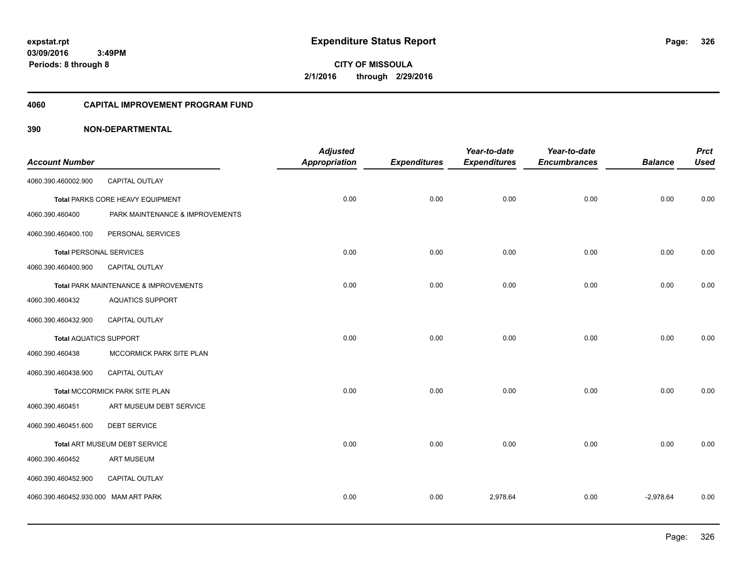**326**

**CITY OF MISSOULA 2/1/2016 through 2/29/2016**

#### **4060 CAPITAL IMPROVEMENT PROGRAM FUND**

|                                      |                                       | <b>Adjusted</b>      |                     | Year-to-date        | Year-to-date        |                | <b>Prct</b> |
|--------------------------------------|---------------------------------------|----------------------|---------------------|---------------------|---------------------|----------------|-------------|
| <b>Account Number</b>                |                                       | <b>Appropriation</b> | <b>Expenditures</b> | <b>Expenditures</b> | <b>Encumbrances</b> | <b>Balance</b> | <b>Used</b> |
| 4060.390.460002.900                  | CAPITAL OUTLAY                        |                      |                     |                     |                     |                |             |
|                                      | Total PARKS CORE HEAVY EQUIPMENT      | 0.00                 | 0.00                | 0.00                | 0.00                | 0.00           | 0.00        |
| 4060.390.460400                      | PARK MAINTENANCE & IMPROVEMENTS       |                      |                     |                     |                     |                |             |
| 4060.390.460400.100                  | PERSONAL SERVICES                     |                      |                     |                     |                     |                |             |
| <b>Total PERSONAL SERVICES</b>       |                                       | 0.00                 | 0.00                | 0.00                | 0.00                | 0.00           | 0.00        |
| 4060.390.460400.900                  | CAPITAL OUTLAY                        |                      |                     |                     |                     |                |             |
|                                      | Total PARK MAINTENANCE & IMPROVEMENTS | 0.00                 | 0.00                | 0.00                | 0.00                | 0.00           | 0.00        |
| 4060.390.460432                      | <b>AQUATICS SUPPORT</b>               |                      |                     |                     |                     |                |             |
| 4060.390.460432.900                  | <b>CAPITAL OUTLAY</b>                 |                      |                     |                     |                     |                |             |
| <b>Total AQUATICS SUPPORT</b>        |                                       | 0.00                 | 0.00                | 0.00                | 0.00                | 0.00           | 0.00        |
| 4060.390.460438                      | MCCORMICK PARK SITE PLAN              |                      |                     |                     |                     |                |             |
| 4060.390.460438.900                  | <b>CAPITAL OUTLAY</b>                 |                      |                     |                     |                     |                |             |
|                                      | Total MCCORMICK PARK SITE PLAN        | 0.00                 | 0.00                | 0.00                | 0.00                | 0.00           | 0.00        |
| 4060.390.460451                      | ART MUSEUM DEBT SERVICE               |                      |                     |                     |                     |                |             |
| 4060.390.460451.600                  | <b>DEBT SERVICE</b>                   |                      |                     |                     |                     |                |             |
|                                      | Total ART MUSEUM DEBT SERVICE         | 0.00                 | 0.00                | 0.00                | 0.00                | 0.00           | 0.00        |
| 4060.390.460452                      | <b>ART MUSEUM</b>                     |                      |                     |                     |                     |                |             |
| 4060.390.460452.900                  | CAPITAL OUTLAY                        |                      |                     |                     |                     |                |             |
| 4060.390.460452.930.000 MAM ART PARK |                                       | 0.00                 | 0.00                | 2,978.64            | 0.00                | $-2,978.64$    | 0.00        |
|                                      |                                       |                      |                     |                     |                     |                |             |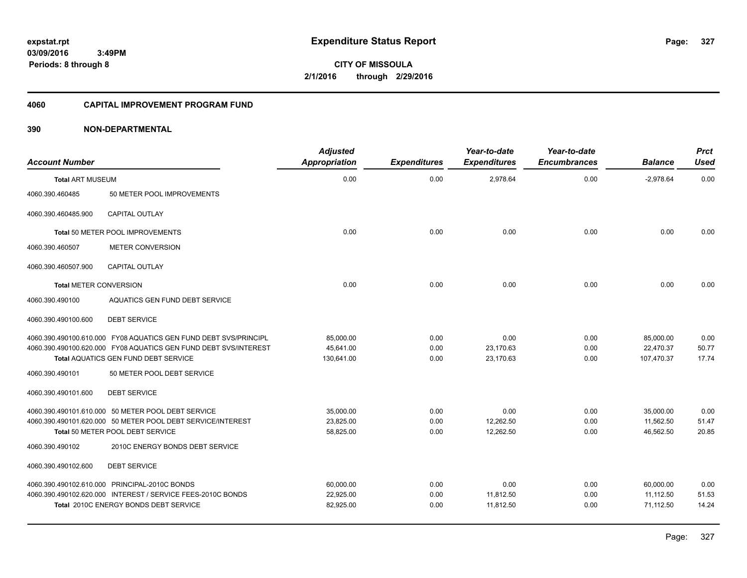**CITY OF MISSOULA 2/1/2016 through 2/29/2016**

#### **4060 CAPITAL IMPROVEMENT PROGRAM FUND**

| <b>Account Number</b>         |                                                                  | <b>Adjusted</b><br><b>Appropriation</b> | <b>Expenditures</b> | Year-to-date<br><b>Expenditures</b> | Year-to-date<br><b>Encumbrances</b> | <b>Balance</b> | <b>Prct</b><br><b>Used</b> |
|-------------------------------|------------------------------------------------------------------|-----------------------------------------|---------------------|-------------------------------------|-------------------------------------|----------------|----------------------------|
| <b>Total ART MUSEUM</b>       |                                                                  | 0.00                                    | 0.00                | 2,978.64                            | 0.00                                | $-2,978.64$    | 0.00                       |
| 4060.390.460485               | 50 METER POOL IMPROVEMENTS                                       |                                         |                     |                                     |                                     |                |                            |
| 4060.390.460485.900           | <b>CAPITAL OUTLAY</b>                                            |                                         |                     |                                     |                                     |                |                            |
|                               | Total 50 METER POOL IMPROVEMENTS                                 | 0.00                                    | 0.00                | 0.00                                | 0.00                                | 0.00           | 0.00                       |
| 4060.390.460507               | <b>METER CONVERSION</b>                                          |                                         |                     |                                     |                                     |                |                            |
| 4060.390.460507.900           | <b>CAPITAL OUTLAY</b>                                            |                                         |                     |                                     |                                     |                |                            |
| <b>Total METER CONVERSION</b> |                                                                  | 0.00                                    | 0.00                | 0.00                                | 0.00                                | 0.00           | 0.00                       |
| 4060.390.490100               | AQUATICS GEN FUND DEBT SERVICE                                   |                                         |                     |                                     |                                     |                |                            |
| 4060.390.490100.600           | <b>DEBT SERVICE</b>                                              |                                         |                     |                                     |                                     |                |                            |
|                               | 4060.390.490100.610.000 FY08 AQUATICS GEN FUND DEBT SVS/PRINCIPL | 85,000.00                               | 0.00                | 0.00                                | 0.00                                | 85,000.00      | 0.00                       |
|                               | 4060.390.490100.620.000 FY08 AQUATICS GEN FUND DEBT SVS/INTEREST | 45,641.00                               | 0.00                | 23,170.63                           | 0.00                                | 22,470.37      | 50.77                      |
|                               | <b>Total AQUATICS GEN FUND DEBT SERVICE</b>                      | 130,641.00                              | 0.00                | 23,170.63                           | 0.00                                | 107,470.37     | 17.74                      |
| 4060.390.490101               | 50 METER POOL DEBT SERVICE                                       |                                         |                     |                                     |                                     |                |                            |
| 4060.390.490101.600           | <b>DEBT SERVICE</b>                                              |                                         |                     |                                     |                                     |                |                            |
|                               | 4060.390.490101.610.000 50 METER POOL DEBT SERVICE               | 35,000.00                               | 0.00                | 0.00                                | 0.00                                | 35,000.00      | 0.00                       |
|                               | 4060.390.490101.620.000 50 METER POOL DEBT SERVICE/INTEREST      | 23,825.00                               | 0.00                | 12,262.50                           | 0.00                                | 11,562.50      | 51.47                      |
|                               | Total 50 METER POOL DEBT SERVICE                                 | 58,825.00                               | 0.00                | 12,262.50                           | 0.00                                | 46,562.50      | 20.85                      |
| 4060.390.490102               | 2010C ENERGY BONDS DEBT SERVICE                                  |                                         |                     |                                     |                                     |                |                            |
| 4060.390.490102.600           | <b>DEBT SERVICE</b>                                              |                                         |                     |                                     |                                     |                |                            |
|                               | 4060.390.490102.610.000 PRINCIPAL-2010C BONDS                    | 60,000.00                               | 0.00                | 0.00                                | 0.00                                | 60,000.00      | 0.00                       |
|                               | 4060.390.490102.620.000 INTEREST / SERVICE FEES-2010C BONDS      | 22,925.00                               | 0.00                | 11,812.50                           | 0.00                                | 11,112.50      | 51.53                      |
|                               | Total 2010C ENERGY BONDS DEBT SERVICE                            | 82,925.00                               | 0.00                | 11,812.50                           | 0.00                                | 71,112.50      | 14.24                      |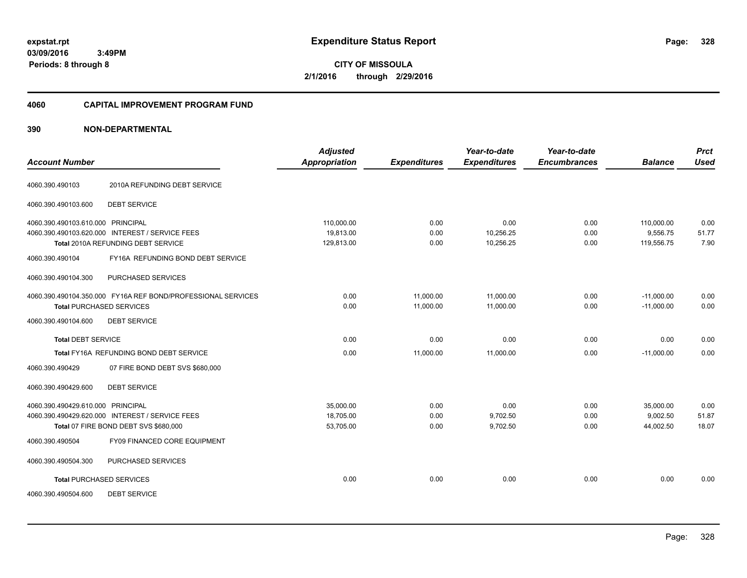**CITY OF MISSOULA 2/1/2016 through 2/29/2016**

#### **4060 CAPITAL IMPROVEMENT PROGRAM FUND**

| <b>Account Number</b>                                                                                                         |                                                              | <b>Adjusted</b><br><b>Appropriation</b> | <b>Expenditures</b>    | Year-to-date<br><b>Expenditures</b> | Year-to-date<br><b>Encumbrances</b> | <b>Balance</b>                       | <b>Prct</b><br><b>Used</b> |
|-------------------------------------------------------------------------------------------------------------------------------|--------------------------------------------------------------|-----------------------------------------|------------------------|-------------------------------------|-------------------------------------|--------------------------------------|----------------------------|
| 4060.390.490103                                                                                                               | 2010A REFUNDING DEBT SERVICE                                 |                                         |                        |                                     |                                     |                                      |                            |
| 4060.390.490103.600                                                                                                           | <b>DEBT SERVICE</b>                                          |                                         |                        |                                     |                                     |                                      |                            |
| 4060.390.490103.610.000 PRINCIPAL<br>4060.390.490103.620.000 INTEREST / SERVICE FEES<br>Total 2010A REFUNDING DEBT SERVICE    |                                                              | 110,000.00<br>19,813.00<br>129,813.00   | 0.00<br>0.00<br>0.00   | 0.00<br>10,256.25<br>10,256.25      | 0.00<br>0.00<br>0.00                | 110,000.00<br>9,556.75<br>119,556.75 | 0.00<br>51.77<br>7.90      |
| 4060.390.490104                                                                                                               | FY16A REFUNDING BOND DEBT SERVICE                            |                                         |                        |                                     |                                     |                                      |                            |
| 4060.390.490104.300                                                                                                           | PURCHASED SERVICES                                           |                                         |                        |                                     |                                     |                                      |                            |
| <b>Total PURCHASED SERVICES</b>                                                                                               | 4060.390.490104.350.000 FY16A REF BOND/PROFESSIONAL SERVICES | 0.00<br>0.00                            | 11,000.00<br>11.000.00 | 11,000.00<br>11.000.00              | 0.00<br>0.00                        | $-11,000.00$<br>$-11.000.00$         | 0.00<br>0.00               |
| 4060.390.490104.600                                                                                                           | <b>DEBT SERVICE</b>                                          |                                         |                        |                                     |                                     |                                      |                            |
| <b>Total DEBT SERVICE</b>                                                                                                     |                                                              | 0.00                                    | 0.00                   | 0.00                                | 0.00                                | 0.00                                 | 0.00                       |
|                                                                                                                               | Total FY16A REFUNDING BOND DEBT SERVICE                      | 0.00                                    | 11,000.00              | 11,000.00                           | 0.00                                | $-11,000.00$                         | 0.00                       |
| 4060.390.490429                                                                                                               | 07 FIRE BOND DEBT SVS \$680,000                              |                                         |                        |                                     |                                     |                                      |                            |
| 4060.390.490429.600                                                                                                           | <b>DEBT SERVICE</b>                                          |                                         |                        |                                     |                                     |                                      |                            |
| 4060.390.490429.610.000 PRINCIPAL<br>4060.390.490429.620.000 INTEREST / SERVICE FEES<br>Total 07 FIRE BOND DEBT SVS \$680,000 |                                                              | 35,000.00<br>18,705.00<br>53,705.00     | 0.00<br>0.00<br>0.00   | 0.00<br>9,702.50<br>9,702.50        | 0.00<br>0.00<br>0.00                | 35,000.00<br>9,002.50<br>44,002.50   | 0.00<br>51.87<br>18.07     |
| 4060.390.490504                                                                                                               | FY09 FINANCED CORE EQUIPMENT                                 |                                         |                        |                                     |                                     |                                      |                            |
| 4060.390.490504.300                                                                                                           | PURCHASED SERVICES                                           |                                         |                        |                                     |                                     |                                      |                            |
| <b>Total PURCHASED SERVICES</b>                                                                                               |                                                              | 0.00                                    | 0.00                   | 0.00                                | 0.00                                | 0.00                                 | 0.00                       |
| 4060.390.490504.600                                                                                                           | <b>DEBT SERVICE</b>                                          |                                         |                        |                                     |                                     |                                      |                            |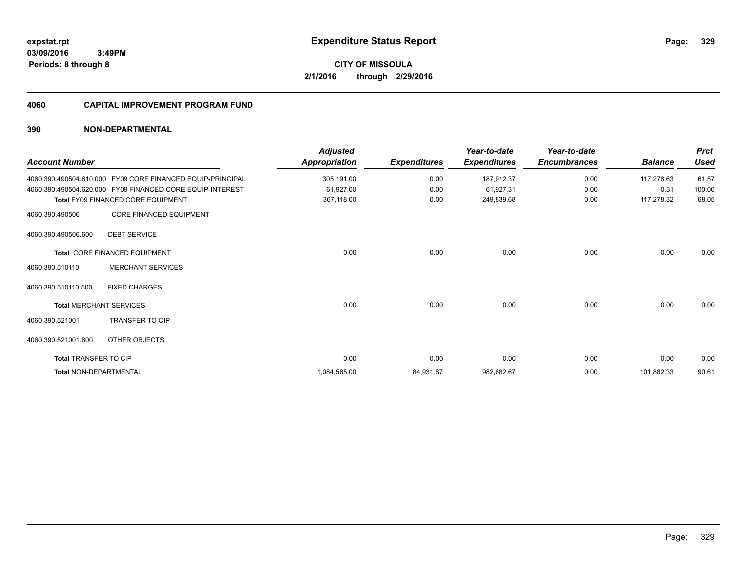# **CITY OF MISSOULA 2/1/2016 through 2/29/2016**

#### **4060 CAPITAL IMPROVEMENT PROGRAM FUND**

| <b>Account Number</b>  |                                                            | <b>Adjusted</b><br>Appropriation | <b>Expenditures</b> | Year-to-date<br><b>Expenditures</b> | Year-to-date<br><b>Encumbrances</b> | <b>Balance</b> | <b>Prct</b><br><b>Used</b> |
|------------------------|------------------------------------------------------------|----------------------------------|---------------------|-------------------------------------|-------------------------------------|----------------|----------------------------|
|                        | 4060.390.490504.610.000 FY09 CORE FINANCED EQUIP-PRINCIPAL | 305,191.00                       | 0.00                | 187,912.37                          | 0.00                                | 117,278.63     | 61.57                      |
|                        | 4060.390.490504.620.000 FY09 FINANCED CORE EQUIP-INTEREST  | 61,927.00                        | 0.00                | 61,927.31                           | 0.00                                | $-0.31$        | 100.00                     |
|                        | Total FY09 FINANCED CORE EQUIPMENT                         | 367,118.00                       | 0.00                | 249,839.68                          | 0.00                                | 117,278.32     | 68.05                      |
| 4060.390.490506        | <b>CORE FINANCED EQUIPMENT</b>                             |                                  |                     |                                     |                                     |                |                            |
| 4060.390.490506.600    | <b>DEBT SERVICE</b>                                        |                                  |                     |                                     |                                     |                |                            |
|                        | Total CORE FINANCED EQUIPMENT                              | 0.00                             | 0.00                | 0.00                                | 0.00                                | 0.00           | 0.00                       |
| 4060.390.510110        | <b>MERCHANT SERVICES</b>                                   |                                  |                     |                                     |                                     |                |                            |
| 4060.390.510110.500    | <b>FIXED CHARGES</b>                                       |                                  |                     |                                     |                                     |                |                            |
|                        | <b>Total MERCHANT SERVICES</b>                             | 0.00                             | 0.00                | 0.00                                | 0.00                                | 0.00           | 0.00                       |
| 4060.390.521001        | <b>TRANSFER TO CIP</b>                                     |                                  |                     |                                     |                                     |                |                            |
| 4060.390.521001.800    | OTHER OBJECTS                                              |                                  |                     |                                     |                                     |                |                            |
| Total TRANSFER TO CIP  |                                                            | 0.00                             | 0.00                | 0.00                                | 0.00                                | 0.00           | 0.00                       |
| Total NON-DEPARTMENTAL |                                                            | 1,084,565.00                     | 84,931.87           | 982,682.67                          | 0.00                                | 101,882.33     | 90.61                      |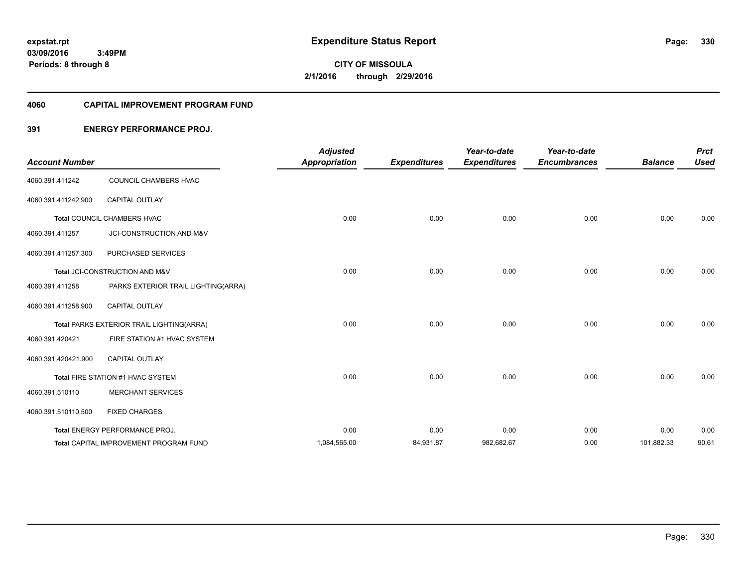**Periods: 8 through 8**

**330**

**CITY OF MISSOULA 2/1/2016 through 2/29/2016**

#### **4060 CAPITAL IMPROVEMENT PROGRAM FUND**

#### **391 ENERGY PERFORMANCE PROJ.**

| <b>Account Number</b> |                                           | <b>Adjusted</b><br><b>Appropriation</b> | <b>Expenditures</b> | Year-to-date<br><b>Expenditures</b> | Year-to-date<br><b>Encumbrances</b> | <b>Balance</b> | <b>Prct</b><br><b>Used</b> |
|-----------------------|-------------------------------------------|-----------------------------------------|---------------------|-------------------------------------|-------------------------------------|----------------|----------------------------|
| 4060.391.411242       | COUNCIL CHAMBERS HVAC                     |                                         |                     |                                     |                                     |                |                            |
| 4060.391.411242.900   | <b>CAPITAL OUTLAY</b>                     |                                         |                     |                                     |                                     |                |                            |
|                       | Total COUNCIL CHAMBERS HVAC               | 0.00                                    | 0.00                | 0.00                                | 0.00                                | 0.00           | 0.00                       |
| 4060.391.411257       | JCI-CONSTRUCTION AND M&V                  |                                         |                     |                                     |                                     |                |                            |
| 4060.391.411257.300   | PURCHASED SERVICES                        |                                         |                     |                                     |                                     |                |                            |
|                       | Total JCI-CONSTRUCTION AND M&V            | 0.00                                    | 0.00                | 0.00                                | 0.00                                | 0.00           | 0.00                       |
| 4060.391.411258       | PARKS EXTERIOR TRAIL LIGHTING(ARRA)       |                                         |                     |                                     |                                     |                |                            |
| 4060.391.411258.900   | <b>CAPITAL OUTLAY</b>                     |                                         |                     |                                     |                                     |                |                            |
|                       | Total PARKS EXTERIOR TRAIL LIGHTING(ARRA) | 0.00                                    | 0.00                | 0.00                                | 0.00                                | 0.00           | 0.00                       |
| 4060.391.420421       | FIRE STATION #1 HVAC SYSTEM               |                                         |                     |                                     |                                     |                |                            |
| 4060.391.420421.900   | <b>CAPITAL OUTLAY</b>                     |                                         |                     |                                     |                                     |                |                            |
|                       | Total FIRE STATION #1 HVAC SYSTEM         | 0.00                                    | 0.00                | 0.00                                | 0.00                                | 0.00           | 0.00                       |
| 4060.391.510110       | <b>MERCHANT SERVICES</b>                  |                                         |                     |                                     |                                     |                |                            |
| 4060.391.510110.500   | <b>FIXED CHARGES</b>                      |                                         |                     |                                     |                                     |                |                            |
|                       | Total ENERGY PERFORMANCE PROJ.            | 0.00                                    | 0.00                | 0.00                                | 0.00                                | 0.00           | 0.00                       |
|                       | Total CAPITAL IMPROVEMENT PROGRAM FUND    | 1,084,565.00                            | 84,931.87           | 982,682.67                          | 0.00                                | 101,882.33     | 90.61                      |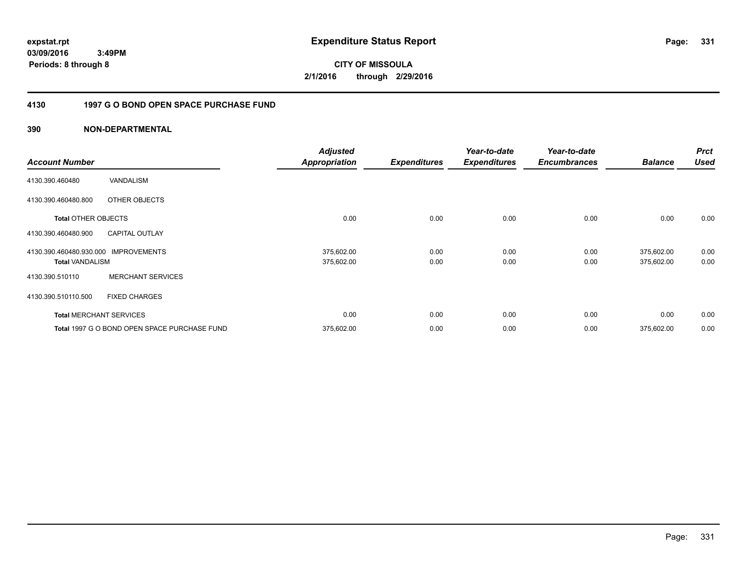**CITY OF MISSOULA 2/1/2016 through 2/29/2016**

#### **4130 1997 G O BOND OPEN SPACE PURCHASE FUND**

| <b>Account Number</b>                             |                                              | <b>Adjusted</b><br><b>Appropriation</b> | <b>Expenditures</b> | Year-to-date<br><b>Expenditures</b> | Year-to-date<br><b>Encumbrances</b> | <b>Balance</b>           | <b>Prct</b><br><b>Used</b> |
|---------------------------------------------------|----------------------------------------------|-----------------------------------------|---------------------|-------------------------------------|-------------------------------------|--------------------------|----------------------------|
| 4130.390.460480                                   | VANDALISM                                    |                                         |                     |                                     |                                     |                          |                            |
| 4130.390.460480.800                               | OTHER OBJECTS                                |                                         |                     |                                     |                                     |                          |                            |
| <b>Total OTHER OBJECTS</b>                        |                                              | 0.00                                    | 0.00                | 0.00                                | 0.00                                | 0.00                     | 0.00                       |
| 4130.390.460480.900                               | <b>CAPITAL OUTLAY</b>                        |                                         |                     |                                     |                                     |                          |                            |
| 4130.390.460480.930.000<br><b>Total VANDALISM</b> | <b>IMPROVEMENTS</b>                          | 375,602.00<br>375,602.00                | 0.00<br>0.00        | 0.00<br>0.00                        | 0.00<br>0.00                        | 375,602.00<br>375,602.00 | 0.00<br>0.00               |
| 4130.390.510110                                   | <b>MERCHANT SERVICES</b>                     |                                         |                     |                                     |                                     |                          |                            |
| 4130.390.510110.500                               | <b>FIXED CHARGES</b>                         |                                         |                     |                                     |                                     |                          |                            |
|                                                   | <b>Total MERCHANT SERVICES</b>               | 0.00                                    | 0.00                | 0.00                                | 0.00                                | 0.00                     | 0.00                       |
|                                                   | Total 1997 G O BOND OPEN SPACE PURCHASE FUND | 375,602.00                              | 0.00                | 0.00                                | 0.00                                | 375,602.00               | 0.00                       |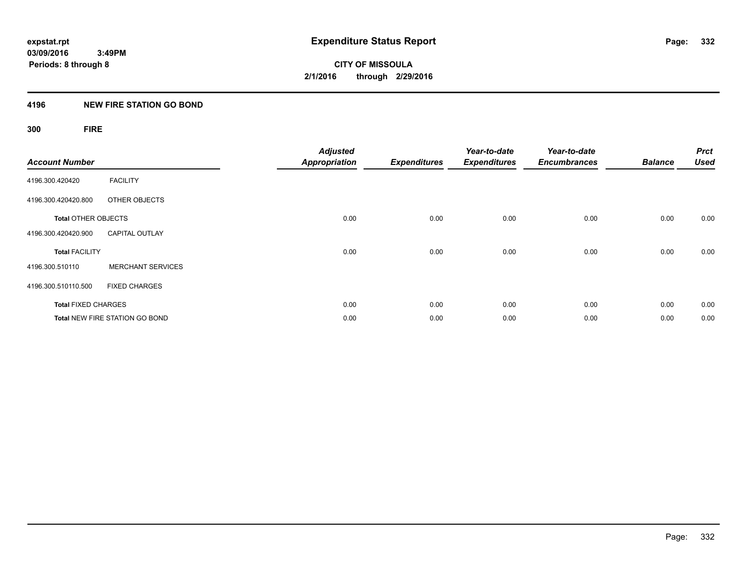#### **4196 NEW FIRE STATION GO BOND**

## **300 FIRE**

| <b>Account Number</b>      |                                       | <b>Adjusted</b><br><b>Appropriation</b> | <b>Expenditures</b> | Year-to-date<br><b>Expenditures</b> | Year-to-date<br><b>Encumbrances</b> | <b>Balance</b> | <b>Prct</b><br><b>Used</b> |
|----------------------------|---------------------------------------|-----------------------------------------|---------------------|-------------------------------------|-------------------------------------|----------------|----------------------------|
| 4196.300.420420            | <b>FACILITY</b>                       |                                         |                     |                                     |                                     |                |                            |
| 4196.300.420420.800        | OTHER OBJECTS                         |                                         |                     |                                     |                                     |                |                            |
| <b>Total OTHER OBJECTS</b> |                                       | 0.00                                    | 0.00                | 0.00                                | 0.00                                | 0.00           | 0.00                       |
| 4196.300.420420.900        | <b>CAPITAL OUTLAY</b>                 |                                         |                     |                                     |                                     |                |                            |
| <b>Total FACILITY</b>      |                                       | 0.00                                    | 0.00                | 0.00                                | 0.00                                | 0.00           | 0.00                       |
| 4196.300.510110            | <b>MERCHANT SERVICES</b>              |                                         |                     |                                     |                                     |                |                            |
| 4196.300.510110.500        | <b>FIXED CHARGES</b>                  |                                         |                     |                                     |                                     |                |                            |
| <b>Total FIXED CHARGES</b> |                                       | 0.00                                    | 0.00                | 0.00                                | 0.00                                | 0.00           | 0.00                       |
|                            | <b>Total NEW FIRE STATION GO BOND</b> | 0.00                                    | 0.00                | 0.00                                | 0.00                                | 0.00           | 0.00                       |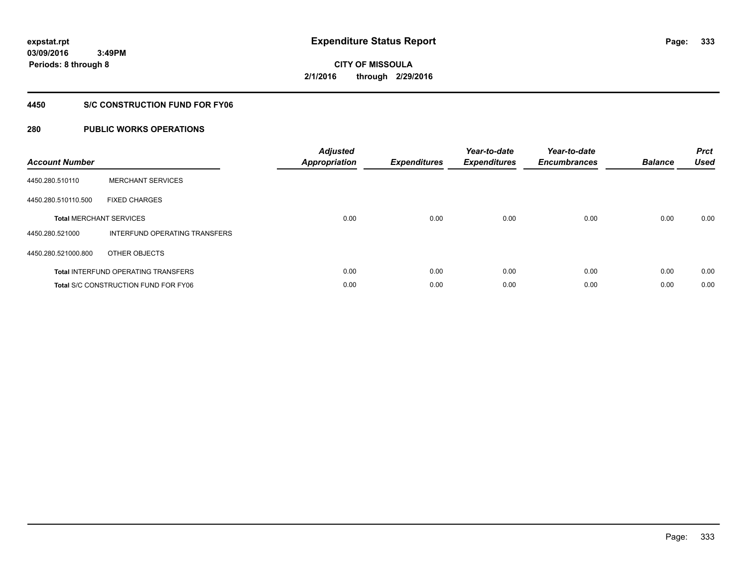**333**

**03/09/2016 3:49PM Periods: 8 through 8**

# **CITY OF MISSOULA 2/1/2016 through 2/29/2016**

#### **4450 S/C CONSTRUCTION FUND FOR FY06**

| <b>Account Number</b> |                                             | <b>Adjusted</b><br>Appropriation | <b>Expenditures</b> | Year-to-date<br><b>Expenditures</b> | Year-to-date<br><b>Encumbrances</b> | <b>Balance</b> | <b>Prct</b><br><b>Used</b> |
|-----------------------|---------------------------------------------|----------------------------------|---------------------|-------------------------------------|-------------------------------------|----------------|----------------------------|
| 4450.280.510110       | <b>MERCHANT SERVICES</b>                    |                                  |                     |                                     |                                     |                |                            |
| 4450.280.510110.500   | <b>FIXED CHARGES</b>                        |                                  |                     |                                     |                                     |                |                            |
|                       | <b>Total MERCHANT SERVICES</b>              | 0.00                             | 0.00                | 0.00                                | 0.00                                | 0.00           | 0.00                       |
| 4450.280.521000       | INTERFUND OPERATING TRANSFERS               |                                  |                     |                                     |                                     |                |                            |
| 4450.280.521000.800   | OTHER OBJECTS                               |                                  |                     |                                     |                                     |                |                            |
|                       | <b>Total INTERFUND OPERATING TRANSFERS</b>  | 0.00                             | 0.00                | 0.00                                | 0.00                                | 0.00           | 0.00                       |
|                       | <b>Total S/C CONSTRUCTION FUND FOR FY06</b> | 0.00                             | 0.00                | 0.00                                | 0.00                                | 0.00           | 0.00                       |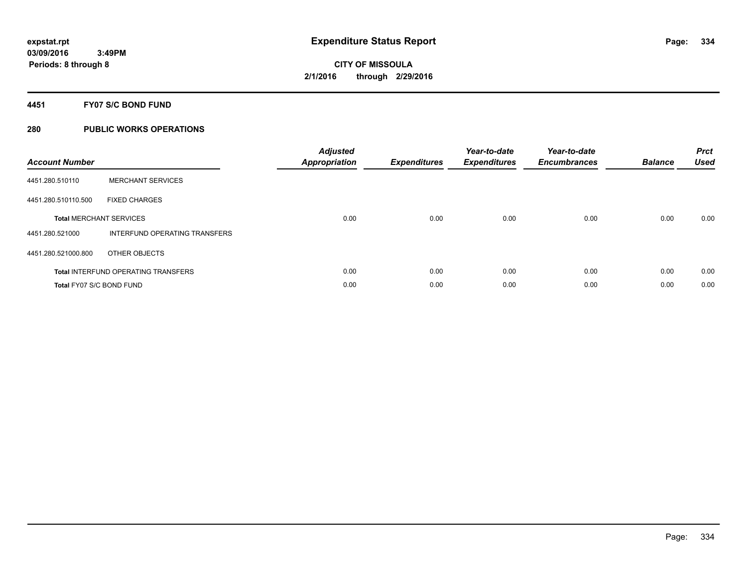#### **4451 FY07 S/C BOND FUND**

| <b>Account Number</b>    |                                            | <b>Adjusted</b><br>Appropriation | <b>Expenditures</b> | Year-to-date<br><b>Expenditures</b> | Year-to-date<br><b>Encumbrances</b> | <b>Balance</b> | <b>Prct</b><br><b>Used</b> |
|--------------------------|--------------------------------------------|----------------------------------|---------------------|-------------------------------------|-------------------------------------|----------------|----------------------------|
| 4451.280.510110          | <b>MERCHANT SERVICES</b>                   |                                  |                     |                                     |                                     |                |                            |
| 4451.280.510110.500      | <b>FIXED CHARGES</b>                       |                                  |                     |                                     |                                     |                |                            |
|                          | <b>Total MERCHANT SERVICES</b>             | 0.00                             | 0.00                | 0.00                                | 0.00                                | 0.00           | 0.00                       |
| 4451.280.521000          | INTERFUND OPERATING TRANSFERS              |                                  |                     |                                     |                                     |                |                            |
| 4451.280.521000.800      | OTHER OBJECTS                              |                                  |                     |                                     |                                     |                |                            |
|                          | <b>Total INTERFUND OPERATING TRANSFERS</b> | 0.00                             | 0.00                | 0.00                                | 0.00                                | 0.00           | 0.00                       |
| Total FY07 S/C BOND FUND |                                            | 0.00                             | 0.00                | 0.00                                | 0.00                                | 0.00           | 0.00                       |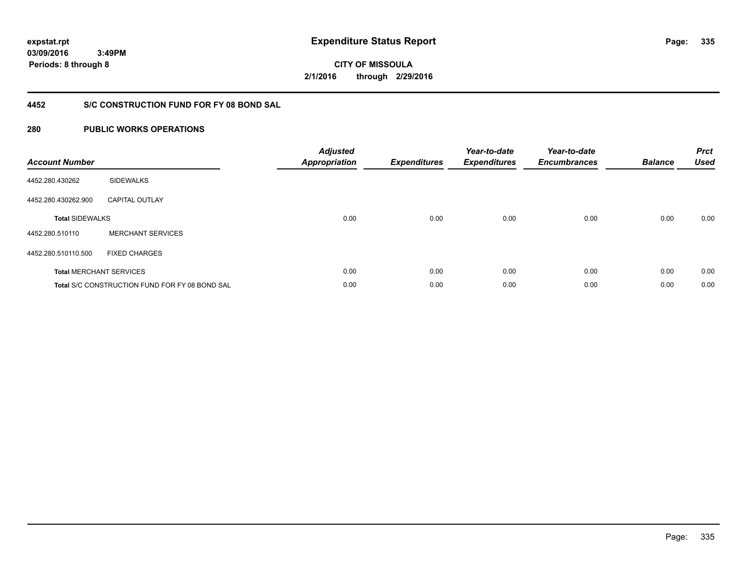**CITY OF MISSOULA 2/1/2016 through 2/29/2016**

### **4452 S/C CONSTRUCTION FUND FOR FY 08 BOND SAL**

| <b>Account Number</b>          |                                                | <b>Adjusted</b><br>Appropriation | <b>Expenditures</b> | Year-to-date<br><b>Expenditures</b> | Year-to-date<br><b>Encumbrances</b> | <b>Balance</b> | <b>Prct</b><br><b>Used</b> |
|--------------------------------|------------------------------------------------|----------------------------------|---------------------|-------------------------------------|-------------------------------------|----------------|----------------------------|
| 4452.280.430262                | <b>SIDEWALKS</b>                               |                                  |                     |                                     |                                     |                |                            |
| 4452.280.430262.900            | <b>CAPITAL OUTLAY</b>                          |                                  |                     |                                     |                                     |                |                            |
| <b>Total SIDEWALKS</b>         |                                                | 0.00                             | 0.00                | 0.00                                | 0.00                                | 0.00           | 0.00                       |
| 4452.280.510110                | <b>MERCHANT SERVICES</b>                       |                                  |                     |                                     |                                     |                |                            |
| 4452.280.510110.500            | <b>FIXED CHARGES</b>                           |                                  |                     |                                     |                                     |                |                            |
| <b>Total MERCHANT SERVICES</b> |                                                | 0.00                             | 0.00                | 0.00                                | 0.00                                | 0.00           | 0.00                       |
|                                | Total S/C CONSTRUCTION FUND FOR FY 08 BOND SAL | 0.00                             | 0.00                | 0.00                                | 0.00                                | 0.00           | 0.00                       |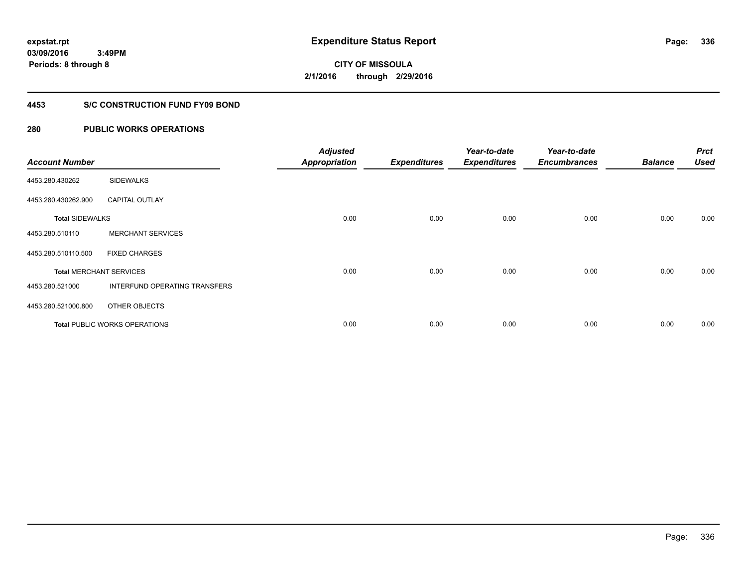**Periods: 8 through 8**

**CITY OF MISSOULA 2/1/2016 through 2/29/2016**

#### **4453 S/C CONSTRUCTION FUND FY09 BOND**

### **280 PUBLIC WORKS OPERATIONS**

 **3:49PM**

| <b>Account Number</b>  |                                      | <b>Adjusted</b><br><b>Appropriation</b> | <b>Expenditures</b> | Year-to-date<br><b>Expenditures</b> | Year-to-date<br><b>Encumbrances</b> | <b>Balance</b> | <b>Prct</b><br><b>Used</b> |
|------------------------|--------------------------------------|-----------------------------------------|---------------------|-------------------------------------|-------------------------------------|----------------|----------------------------|
| 4453.280.430262        | <b>SIDEWALKS</b>                     |                                         |                     |                                     |                                     |                |                            |
| 4453.280.430262.900    | <b>CAPITAL OUTLAY</b>                |                                         |                     |                                     |                                     |                |                            |
| <b>Total SIDEWALKS</b> |                                      | 0.00                                    | 0.00                | 0.00                                | 0.00                                | 0.00           | 0.00                       |
| 4453.280.510110        | <b>MERCHANT SERVICES</b>             |                                         |                     |                                     |                                     |                |                            |
| 4453.280.510110.500    | <b>FIXED CHARGES</b>                 |                                         |                     |                                     |                                     |                |                            |
|                        | <b>Total MERCHANT SERVICES</b>       | 0.00                                    | 0.00                | 0.00                                | 0.00                                | 0.00           | 0.00                       |
| 4453.280.521000        | <b>INTERFUND OPERATING TRANSFERS</b> |                                         |                     |                                     |                                     |                |                            |
| 4453.280.521000.800    | OTHER OBJECTS                        |                                         |                     |                                     |                                     |                |                            |
|                        | <b>Total PUBLIC WORKS OPERATIONS</b> | 0.00                                    | 0.00                | 0.00                                | 0.00                                | 0.00           | 0.00                       |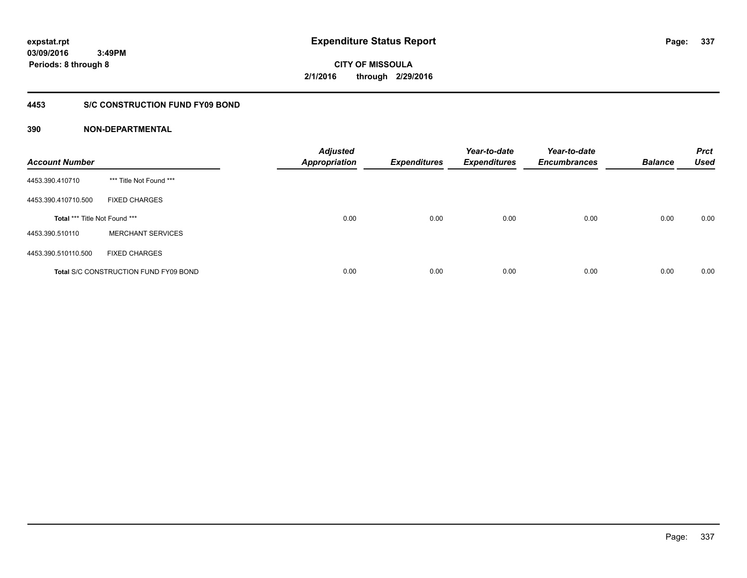# **CITY OF MISSOULA 2/1/2016 through 2/29/2016**

#### **4453 S/C CONSTRUCTION FUND FY09 BOND**

| <b>Account Number</b>         |                                              | <b>Adjusted</b><br><b>Appropriation</b> | <b>Expenditures</b> | Year-to-date<br><b>Expenditures</b> | Year-to-date<br><b>Encumbrances</b> | <b>Balance</b> | <b>Prct</b><br><b>Used</b> |
|-------------------------------|----------------------------------------------|-----------------------------------------|---------------------|-------------------------------------|-------------------------------------|----------------|----------------------------|
| 4453.390.410710               | *** Title Not Found ***                      |                                         |                     |                                     |                                     |                |                            |
| 4453.390.410710.500           | <b>FIXED CHARGES</b>                         |                                         |                     |                                     |                                     |                |                            |
| Total *** Title Not Found *** |                                              | 0.00                                    | 0.00                | 0.00                                | 0.00                                | 0.00           | 0.00                       |
| 4453.390.510110               | <b>MERCHANT SERVICES</b>                     |                                         |                     |                                     |                                     |                |                            |
| 4453.390.510110.500           | <b>FIXED CHARGES</b>                         |                                         |                     |                                     |                                     |                |                            |
|                               | <b>Total S/C CONSTRUCTION FUND FY09 BOND</b> | 0.00                                    | 0.00                | 0.00                                | 0.00                                | 0.00           | 0.00                       |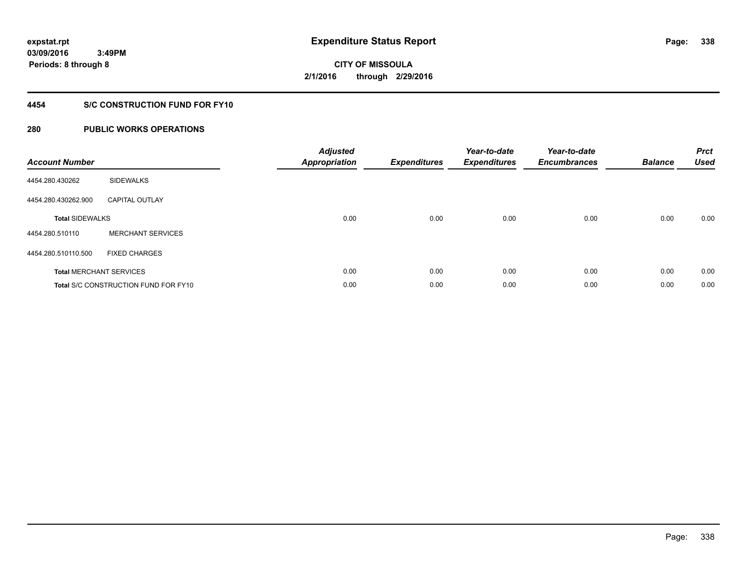**Periods: 8 through 8**

**CITY OF MISSOULA 2/1/2016 through 2/29/2016**

#### **4454 S/C CONSTRUCTION FUND FOR FY10**

#### **280 PUBLIC WORKS OPERATIONS**

 **3:49PM**

| <b>Account Number</b>          |                                             | <b>Adjusted</b><br><b>Appropriation</b> | <b>Expenditures</b> | Year-to-date<br><b>Expenditures</b> | Year-to-date<br><b>Encumbrances</b> | <b>Balance</b> | <b>Prct</b><br><b>Used</b> |
|--------------------------------|---------------------------------------------|-----------------------------------------|---------------------|-------------------------------------|-------------------------------------|----------------|----------------------------|
| 4454.280.430262                | <b>SIDEWALKS</b>                            |                                         |                     |                                     |                                     |                |                            |
| 4454.280.430262.900            | <b>CAPITAL OUTLAY</b>                       |                                         |                     |                                     |                                     |                |                            |
| <b>Total SIDEWALKS</b>         |                                             | 0.00                                    | 0.00                | 0.00                                | 0.00                                | 0.00           | 0.00                       |
| 4454.280.510110                | <b>MERCHANT SERVICES</b>                    |                                         |                     |                                     |                                     |                |                            |
| 4454.280.510110.500            | <b>FIXED CHARGES</b>                        |                                         |                     |                                     |                                     |                |                            |
| <b>Total MERCHANT SERVICES</b> |                                             | 0.00                                    | 0.00                | 0.00                                | 0.00                                | 0.00           | 0.00                       |
|                                | <b>Total S/C CONSTRUCTION FUND FOR FY10</b> | 0.00                                    | 0.00                | 0.00                                | 0.00                                | 0.00           | 0.00                       |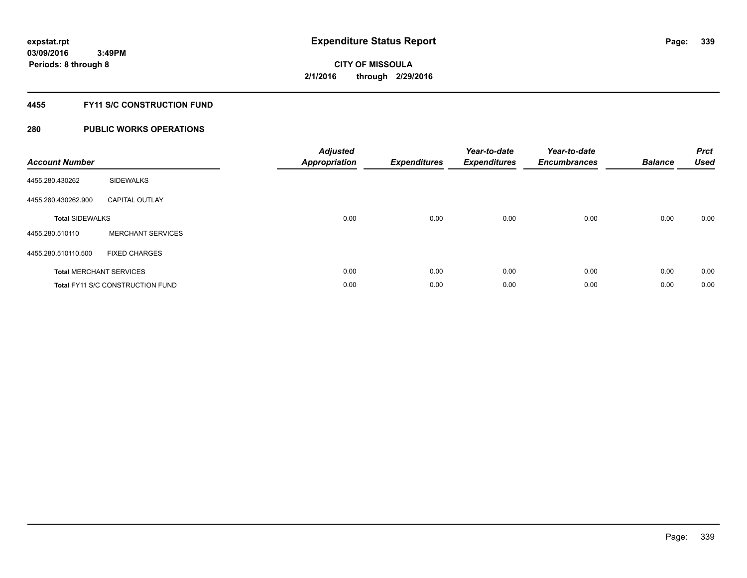#### **4455 FY11 S/C CONSTRUCTION FUND**

| <b>Account Number</b>  |                                         | <b>Adjusted</b><br>Appropriation | <b>Expenditures</b> | Year-to-date<br><b>Expenditures</b> | Year-to-date<br><b>Encumbrances</b> | <b>Balance</b> | <b>Prct</b><br><b>Used</b> |
|------------------------|-----------------------------------------|----------------------------------|---------------------|-------------------------------------|-------------------------------------|----------------|----------------------------|
| 4455.280.430262        | <b>SIDEWALKS</b>                        |                                  |                     |                                     |                                     |                |                            |
| 4455.280.430262.900    | <b>CAPITAL OUTLAY</b>                   |                                  |                     |                                     |                                     |                |                            |
| <b>Total SIDEWALKS</b> |                                         | 0.00                             | 0.00                | 0.00                                | 0.00                                | 0.00           | 0.00                       |
| 4455.280.510110        | <b>MERCHANT SERVICES</b>                |                                  |                     |                                     |                                     |                |                            |
| 4455.280.510110.500    | <b>FIXED CHARGES</b>                    |                                  |                     |                                     |                                     |                |                            |
|                        | <b>Total MERCHANT SERVICES</b>          | 0.00                             | 0.00                | 0.00                                | 0.00                                | 0.00           | 0.00                       |
|                        | <b>Total FY11 S/C CONSTRUCTION FUND</b> | 0.00                             | 0.00                | 0.00                                | 0.00                                | 0.00           | 0.00                       |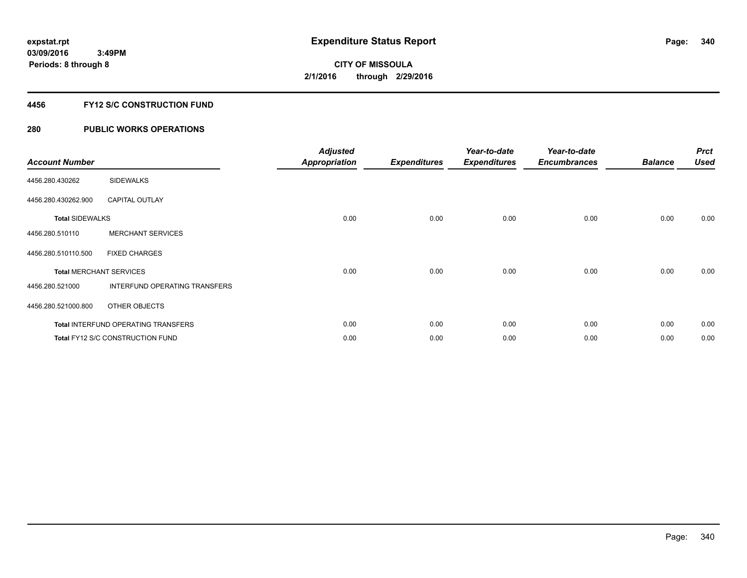### **4456 FY12 S/C CONSTRUCTION FUND**

| <b>Account Number</b>  |                                            | <b>Adjusted</b><br><b>Appropriation</b> | <b>Expenditures</b> | Year-to-date<br><b>Expenditures</b> | Year-to-date<br><b>Encumbrances</b> | <b>Balance</b> | <b>Prct</b><br><b>Used</b> |
|------------------------|--------------------------------------------|-----------------------------------------|---------------------|-------------------------------------|-------------------------------------|----------------|----------------------------|
| 4456.280.430262        | <b>SIDEWALKS</b>                           |                                         |                     |                                     |                                     |                |                            |
| 4456.280.430262.900    | <b>CAPITAL OUTLAY</b>                      |                                         |                     |                                     |                                     |                |                            |
| <b>Total SIDEWALKS</b> |                                            | 0.00                                    | 0.00                | 0.00                                | 0.00                                | 0.00           | 0.00                       |
| 4456.280.510110        | <b>MERCHANT SERVICES</b>                   |                                         |                     |                                     |                                     |                |                            |
| 4456.280.510110.500    | <b>FIXED CHARGES</b>                       |                                         |                     |                                     |                                     |                |                            |
|                        | <b>Total MERCHANT SERVICES</b>             | 0.00                                    | 0.00                | 0.00                                | 0.00                                | 0.00           | 0.00                       |
| 4456.280.521000        | INTERFUND OPERATING TRANSFERS              |                                         |                     |                                     |                                     |                |                            |
| 4456.280.521000.800    | OTHER OBJECTS                              |                                         |                     |                                     |                                     |                |                            |
|                        | <b>Total INTERFUND OPERATING TRANSFERS</b> | 0.00                                    | 0.00                | 0.00                                | 0.00                                | 0.00           | 0.00                       |
|                        | Total FY12 S/C CONSTRUCTION FUND           | 0.00                                    | 0.00                | 0.00                                | 0.00                                | 0.00           | 0.00                       |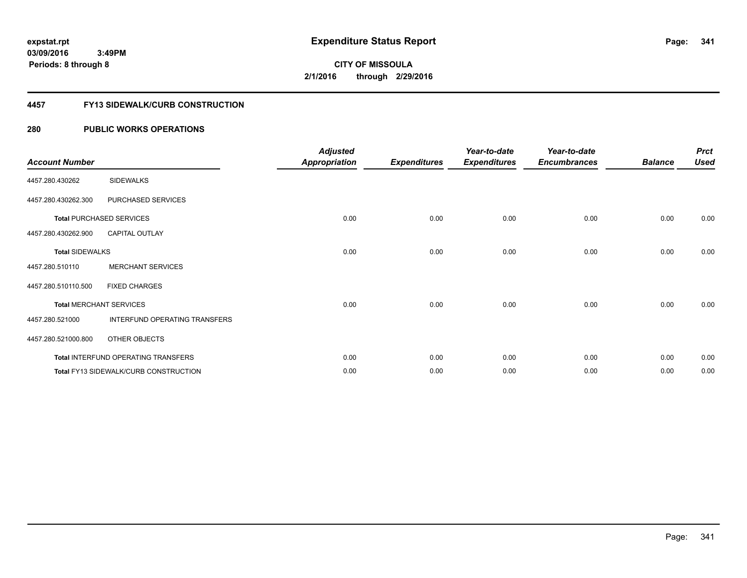#### **4457 FY13 SIDEWALK/CURB CONSTRUCTION**

| <b>Account Number</b>  |                                              | <b>Adjusted</b><br><b>Appropriation</b> | <b>Expenditures</b> | Year-to-date<br><b>Expenditures</b> | Year-to-date<br><b>Encumbrances</b> | <b>Balance</b> | <b>Prct</b><br><b>Used</b> |
|------------------------|----------------------------------------------|-----------------------------------------|---------------------|-------------------------------------|-------------------------------------|----------------|----------------------------|
| 4457.280.430262        | <b>SIDEWALKS</b>                             |                                         |                     |                                     |                                     |                |                            |
| 4457.280.430262.300    | PURCHASED SERVICES                           |                                         |                     |                                     |                                     |                |                            |
|                        | <b>Total PURCHASED SERVICES</b>              | 0.00                                    | 0.00                | 0.00                                | 0.00                                | 0.00           | 0.00                       |
| 4457.280.430262.900    | <b>CAPITAL OUTLAY</b>                        |                                         |                     |                                     |                                     |                |                            |
| <b>Total SIDEWALKS</b> |                                              | 0.00                                    | 0.00                | 0.00                                | 0.00                                | 0.00           | 0.00                       |
| 4457.280.510110        | <b>MERCHANT SERVICES</b>                     |                                         |                     |                                     |                                     |                |                            |
| 4457.280.510110.500    | <b>FIXED CHARGES</b>                         |                                         |                     |                                     |                                     |                |                            |
|                        | <b>Total MERCHANT SERVICES</b>               | 0.00                                    | 0.00                | 0.00                                | 0.00                                | 0.00           | 0.00                       |
| 4457.280.521000        | INTERFUND OPERATING TRANSFERS                |                                         |                     |                                     |                                     |                |                            |
| 4457.280.521000.800    | OTHER OBJECTS                                |                                         |                     |                                     |                                     |                |                            |
|                        | Total INTERFUND OPERATING TRANSFERS          | 0.00                                    | 0.00                | 0.00                                | 0.00                                | 0.00           | 0.00                       |
|                        | <b>Total FY13 SIDEWALK/CURB CONSTRUCTION</b> | 0.00                                    | 0.00                | 0.00                                | 0.00                                | 0.00           | 0.00                       |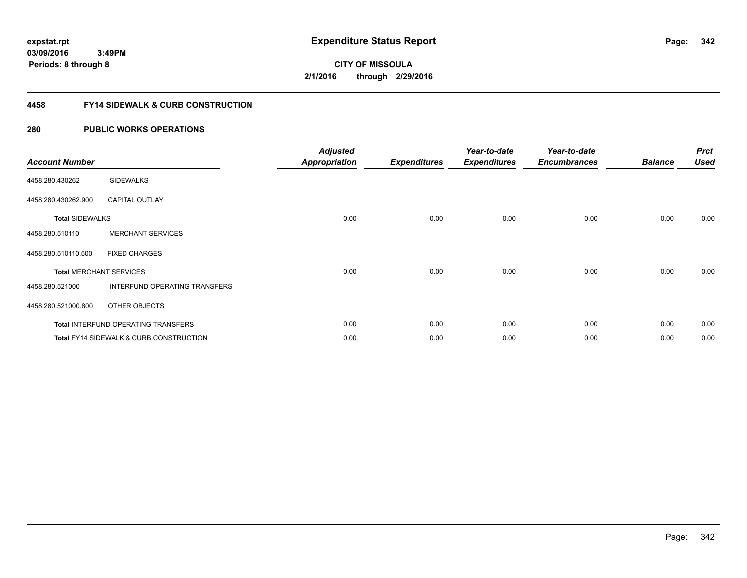**CITY OF MISSOULA 2/1/2016 through 2/29/2016**

#### **4458 FY14 SIDEWALK & CURB CONSTRUCTION**

| <b>Account Number</b>          |                                                    | <b>Adjusted</b><br><b>Appropriation</b> | <b>Expenditures</b> | Year-to-date<br><b>Expenditures</b> | Year-to-date<br><b>Encumbrances</b> | <b>Balance</b> | <b>Prct</b><br><b>Used</b> |
|--------------------------------|----------------------------------------------------|-----------------------------------------|---------------------|-------------------------------------|-------------------------------------|----------------|----------------------------|
| 4458.280.430262                | <b>SIDEWALKS</b>                                   |                                         |                     |                                     |                                     |                |                            |
| 4458.280.430262.900            | <b>CAPITAL OUTLAY</b>                              |                                         |                     |                                     |                                     |                |                            |
| <b>Total SIDEWALKS</b>         |                                                    | 0.00                                    | 0.00                | 0.00                                | 0.00                                | 0.00           | 0.00                       |
| 4458.280.510110                | <b>MERCHANT SERVICES</b>                           |                                         |                     |                                     |                                     |                |                            |
| 4458.280.510110.500            | <b>FIXED CHARGES</b>                               |                                         |                     |                                     |                                     |                |                            |
| <b>Total MERCHANT SERVICES</b> |                                                    | 0.00                                    | 0.00                | 0.00                                | 0.00                                | 0.00           | 0.00                       |
| 4458.280.521000                | INTERFUND OPERATING TRANSFERS                      |                                         |                     |                                     |                                     |                |                            |
| 4458.280.521000.800            | OTHER OBJECTS                                      |                                         |                     |                                     |                                     |                |                            |
|                                | <b>Total INTERFUND OPERATING TRANSFERS</b>         | 0.00                                    | 0.00                | 0.00                                | 0.00                                | 0.00           | 0.00                       |
|                                | <b>Total FY14 SIDEWALK &amp; CURB CONSTRUCTION</b> | 0.00                                    | 0.00                | 0.00                                | 0.00                                | 0.00           | 0.00                       |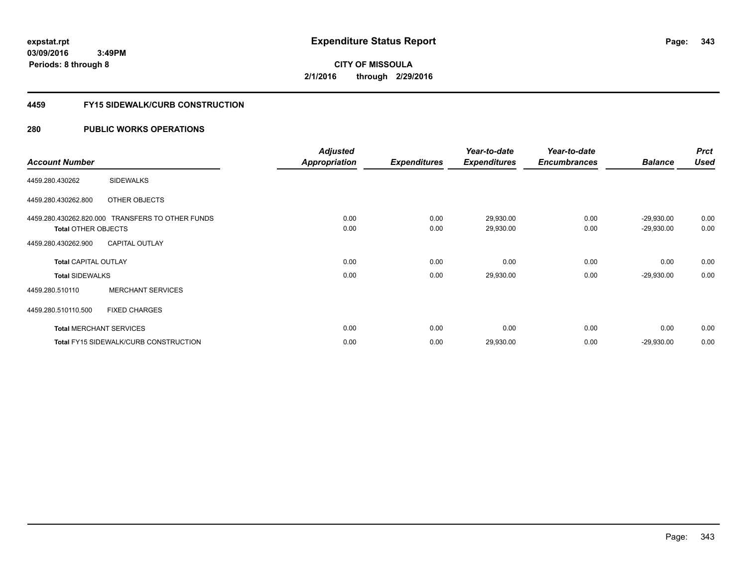**343**

**03/09/2016 3:49PM Periods: 8 through 8**

# **CITY OF MISSOULA 2/1/2016 through 2/29/2016**

#### **4459 FY15 SIDEWALK/CURB CONSTRUCTION**

|                             |                                                  | <b>Adjusted</b>      |                     | Year-to-date        | Year-to-date        |                | <b>Prct</b> |
|-----------------------------|--------------------------------------------------|----------------------|---------------------|---------------------|---------------------|----------------|-------------|
| <b>Account Number</b>       |                                                  | <b>Appropriation</b> | <b>Expenditures</b> | <b>Expenditures</b> | <b>Encumbrances</b> | <b>Balance</b> | <b>Used</b> |
| 4459.280.430262             | <b>SIDEWALKS</b>                                 |                      |                     |                     |                     |                |             |
| 4459.280.430262.800         | OTHER OBJECTS                                    |                      |                     |                     |                     |                |             |
|                             | 4459.280.430262.820.000 TRANSFERS TO OTHER FUNDS | 0.00                 | 0.00                | 29,930.00           | 0.00                | $-29,930.00$   | 0.00        |
| <b>Total OTHER OBJECTS</b>  |                                                  | 0.00                 | 0.00                | 29,930.00           | 0.00                | $-29,930.00$   | 0.00        |
| 4459.280.430262.900         | <b>CAPITAL OUTLAY</b>                            |                      |                     |                     |                     |                |             |
| <b>Total CAPITAL OUTLAY</b> |                                                  | 0.00                 | 0.00                | 0.00                | 0.00                | 0.00           | 0.00        |
| <b>Total SIDEWALKS</b>      |                                                  | 0.00                 | 0.00                | 29,930.00           | 0.00                | $-29,930.00$   | 0.00        |
| 4459.280.510110             | <b>MERCHANT SERVICES</b>                         |                      |                     |                     |                     |                |             |
| 4459.280.510110.500         | <b>FIXED CHARGES</b>                             |                      |                     |                     |                     |                |             |
|                             | <b>Total MERCHANT SERVICES</b>                   | 0.00                 | 0.00                | 0.00                | 0.00                | 0.00           | 0.00        |
|                             | <b>Total FY15 SIDEWALK/CURB CONSTRUCTION</b>     | 0.00                 | 0.00                | 29,930.00           | 0.00                | $-29,930.00$   | 0.00        |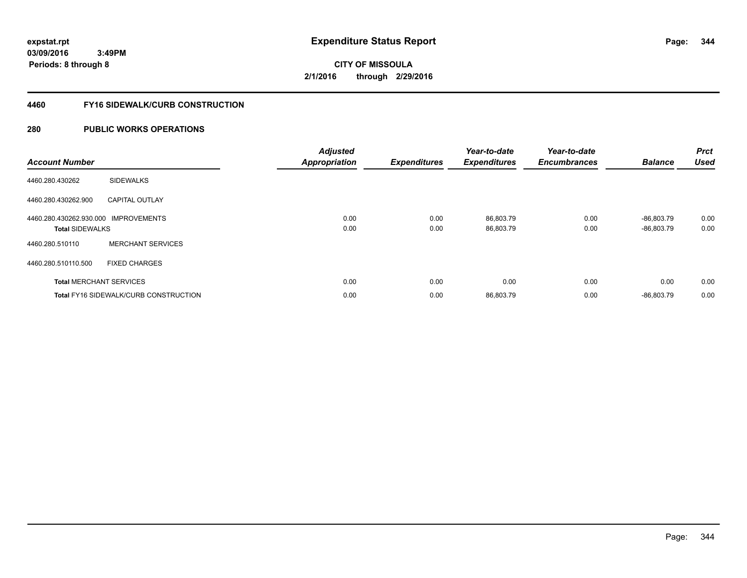**344**

**03/09/2016 3:49PM Periods: 8 through 8**

**CITY OF MISSOULA 2/1/2016 through 2/29/2016**

#### **4460 FY16 SIDEWALK/CURB CONSTRUCTION**

| <b>Account Number</b>                |                                              | <b>Adjusted</b><br><b>Appropriation</b> | <b>Expenditures</b> | Year-to-date<br><b>Expenditures</b> | Year-to-date<br><b>Encumbrances</b> | <b>Balance</b> | <b>Prct</b><br><b>Used</b> |
|--------------------------------------|----------------------------------------------|-----------------------------------------|---------------------|-------------------------------------|-------------------------------------|----------------|----------------------------|
| 4460.280.430262                      | <b>SIDEWALKS</b>                             |                                         |                     |                                     |                                     |                |                            |
| 4460.280.430262.900                  | <b>CAPITAL OUTLAY</b>                        |                                         |                     |                                     |                                     |                |                            |
| 4460.280.430262.930.000 IMPROVEMENTS |                                              | 0.00                                    | 0.00                | 86,803.79                           | 0.00                                | $-86.803.79$   | 0.00                       |
| <b>Total SIDEWALKS</b>               |                                              | 0.00                                    | 0.00                | 86,803.79                           | 0.00                                | $-86.803.79$   | 0.00                       |
| 4460.280.510110                      | <b>MERCHANT SERVICES</b>                     |                                         |                     |                                     |                                     |                |                            |
| 4460.280.510110.500                  | <b>FIXED CHARGES</b>                         |                                         |                     |                                     |                                     |                |                            |
| <b>Total MERCHANT SERVICES</b>       |                                              | 0.00                                    | 0.00                | 0.00                                | 0.00                                | 0.00           | 0.00                       |
|                                      | <b>Total FY16 SIDEWALK/CURB CONSTRUCTION</b> | 0.00                                    | 0.00                | 86,803.79                           | 0.00                                | $-86.803.79$   | 0.00                       |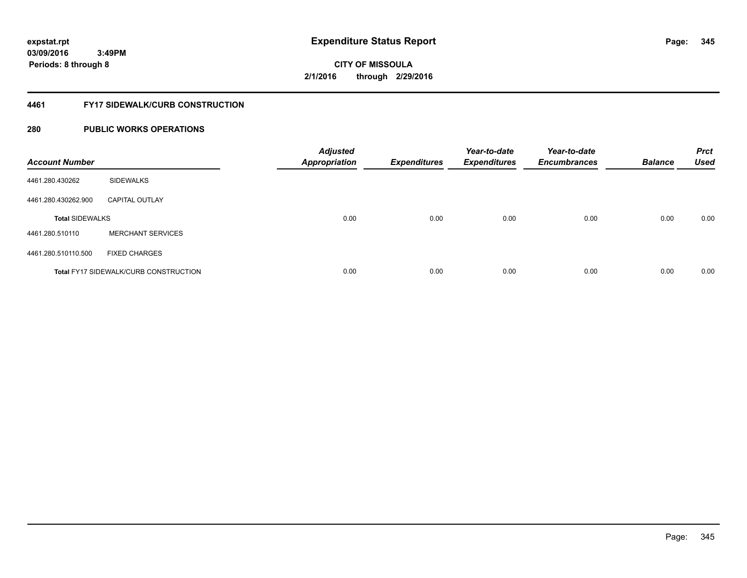# **CITY OF MISSOULA 2/1/2016 through 2/29/2016**

#### **4461 FY17 SIDEWALK/CURB CONSTRUCTION**

| <b>Account Number</b>  |                                              | <b>Adjusted</b><br><b>Appropriation</b> | <b>Expenditures</b> | Year-to-date<br><b>Expenditures</b> | Year-to-date<br><b>Encumbrances</b> | <b>Balance</b> | <b>Prct</b><br><b>Used</b> |
|------------------------|----------------------------------------------|-----------------------------------------|---------------------|-------------------------------------|-------------------------------------|----------------|----------------------------|
| 4461.280.430262        | <b>SIDEWALKS</b>                             |                                         |                     |                                     |                                     |                |                            |
| 4461.280.430262.900    | <b>CAPITAL OUTLAY</b>                        |                                         |                     |                                     |                                     |                |                            |
| <b>Total SIDEWALKS</b> |                                              | 0.00                                    | 0.00                | 0.00                                | 0.00                                | 0.00           | 0.00                       |
| 4461.280.510110        | <b>MERCHANT SERVICES</b>                     |                                         |                     |                                     |                                     |                |                            |
| 4461.280.510110.500    | <b>FIXED CHARGES</b>                         |                                         |                     |                                     |                                     |                |                            |
|                        | <b>Total FY17 SIDEWALK/CURB CONSTRUCTION</b> | 0.00                                    | 0.00                | 0.00                                | 0.00                                | 0.00           | 0.00                       |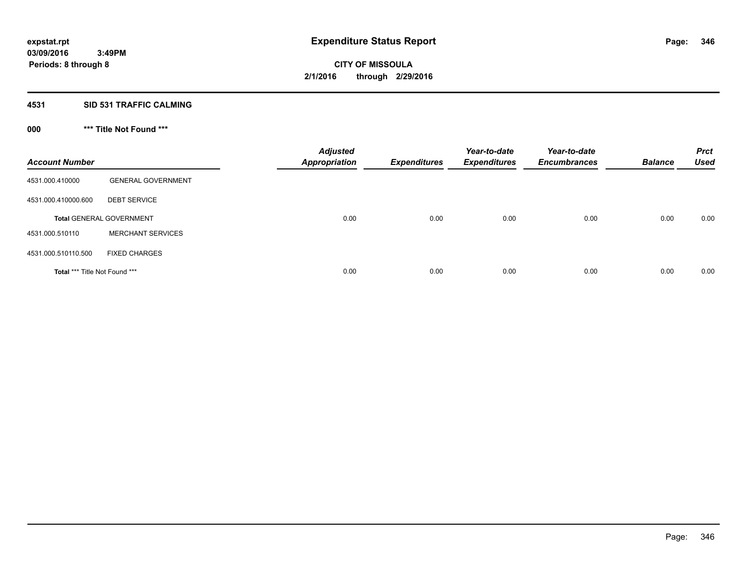#### **4531 SID 531 TRAFFIC CALMING**

## **000 \*\*\* Title Not Found \*\*\***

| <b>Account Number</b>         |                                 | <b>Adjusted</b><br><b>Appropriation</b> | <b>Expenditures</b> | Year-to-date<br><b>Expenditures</b> | Year-to-date<br><b>Encumbrances</b> | <b>Balance</b> | <b>Prct</b><br><b>Used</b> |
|-------------------------------|---------------------------------|-----------------------------------------|---------------------|-------------------------------------|-------------------------------------|----------------|----------------------------|
| 4531.000.410000               | <b>GENERAL GOVERNMENT</b>       |                                         |                     |                                     |                                     |                |                            |
| 4531.000.410000.600           | <b>DEBT SERVICE</b>             |                                         |                     |                                     |                                     |                |                            |
|                               | <b>Total GENERAL GOVERNMENT</b> | 0.00                                    | 0.00                | 0.00                                | 0.00                                | 0.00           | 0.00                       |
| 4531.000.510110               | <b>MERCHANT SERVICES</b>        |                                         |                     |                                     |                                     |                |                            |
| 4531.000.510110.500           | <b>FIXED CHARGES</b>            |                                         |                     |                                     |                                     |                |                            |
| Total *** Title Not Found *** |                                 | 0.00                                    | 0.00                | 0.00                                | 0.00                                | 0.00           | 0.00                       |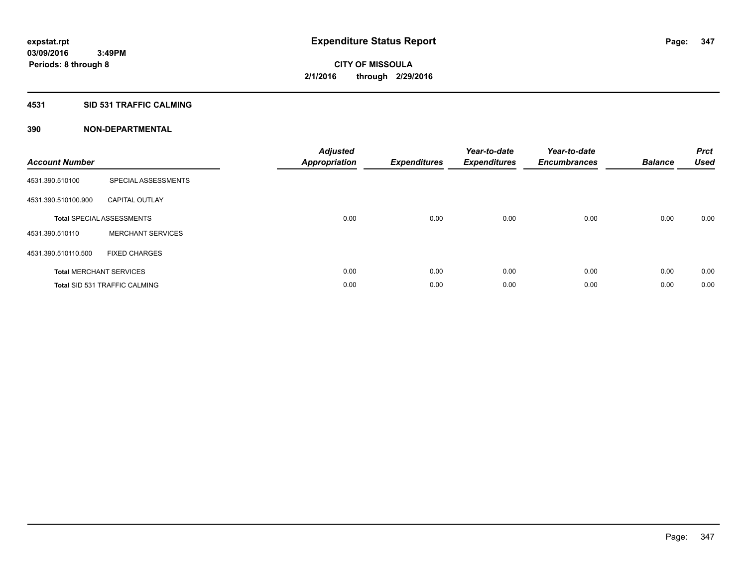#### **4531 SID 531 TRAFFIC CALMING**

| <b>Account Number</b> |                                      | <b>Adjusted</b><br>Appropriation | <b>Expenditures</b> | Year-to-date<br><b>Expenditures</b> | Year-to-date<br><b>Encumbrances</b> | <b>Balance</b> | <b>Prct</b><br><b>Used</b> |
|-----------------------|--------------------------------------|----------------------------------|---------------------|-------------------------------------|-------------------------------------|----------------|----------------------------|
| 4531.390.510100       | SPECIAL ASSESSMENTS                  |                                  |                     |                                     |                                     |                |                            |
| 4531.390.510100.900   | <b>CAPITAL OUTLAY</b>                |                                  |                     |                                     |                                     |                |                            |
|                       | <b>Total SPECIAL ASSESSMENTS</b>     | 0.00                             | 0.00                | 0.00                                | 0.00                                | 0.00           | 0.00                       |
| 4531.390.510110       | <b>MERCHANT SERVICES</b>             |                                  |                     |                                     |                                     |                |                            |
| 4531.390.510110.500   | <b>FIXED CHARGES</b>                 |                                  |                     |                                     |                                     |                |                            |
|                       | <b>Total MERCHANT SERVICES</b>       | 0.00                             | 0.00                | 0.00                                | 0.00                                | 0.00           | 0.00                       |
|                       | <b>Total SID 531 TRAFFIC CALMING</b> | 0.00                             | 0.00                | 0.00                                | 0.00                                | 0.00           | 0.00                       |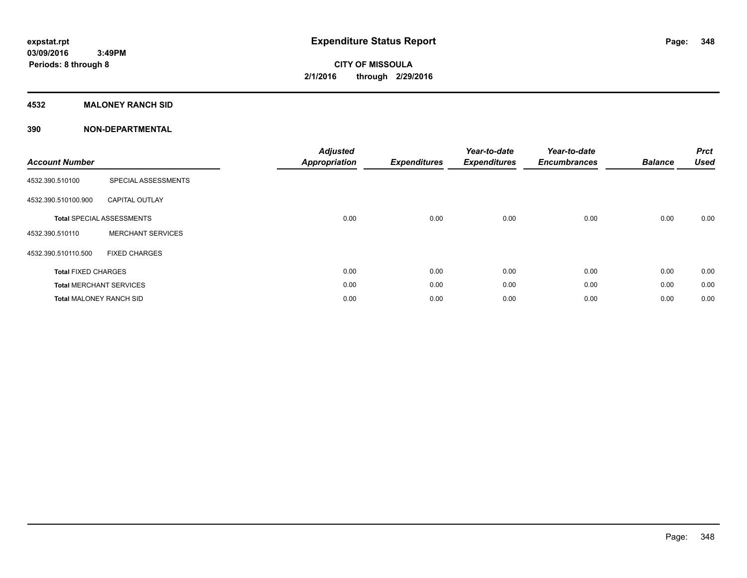### **4532 MALONEY RANCH SID**

| <b>Account Number</b>          |                                  | <b>Adjusted</b><br><b>Appropriation</b> | <b>Expenditures</b> | Year-to-date<br><b>Expenditures</b> | Year-to-date<br><b>Encumbrances</b> | <b>Balance</b> | <b>Prct</b><br><b>Used</b> |
|--------------------------------|----------------------------------|-----------------------------------------|---------------------|-------------------------------------|-------------------------------------|----------------|----------------------------|
| 4532.390.510100                | SPECIAL ASSESSMENTS              |                                         |                     |                                     |                                     |                |                            |
| 4532.390.510100.900            | <b>CAPITAL OUTLAY</b>            |                                         |                     |                                     |                                     |                |                            |
|                                | <b>Total SPECIAL ASSESSMENTS</b> | 0.00                                    | 0.00                | 0.00                                | 0.00                                | 0.00           | 0.00                       |
| 4532.390.510110                | <b>MERCHANT SERVICES</b>         |                                         |                     |                                     |                                     |                |                            |
| 4532.390.510110.500            | <b>FIXED CHARGES</b>             |                                         |                     |                                     |                                     |                |                            |
| <b>Total FIXED CHARGES</b>     |                                  | 0.00                                    | 0.00                | 0.00                                | 0.00                                | 0.00           | 0.00                       |
|                                | <b>Total MERCHANT SERVICES</b>   | 0.00                                    | 0.00                | 0.00                                | 0.00                                | 0.00           | 0.00                       |
| <b>Total MALONEY RANCH SID</b> |                                  | 0.00                                    | 0.00                | 0.00                                | 0.00                                | 0.00           | 0.00                       |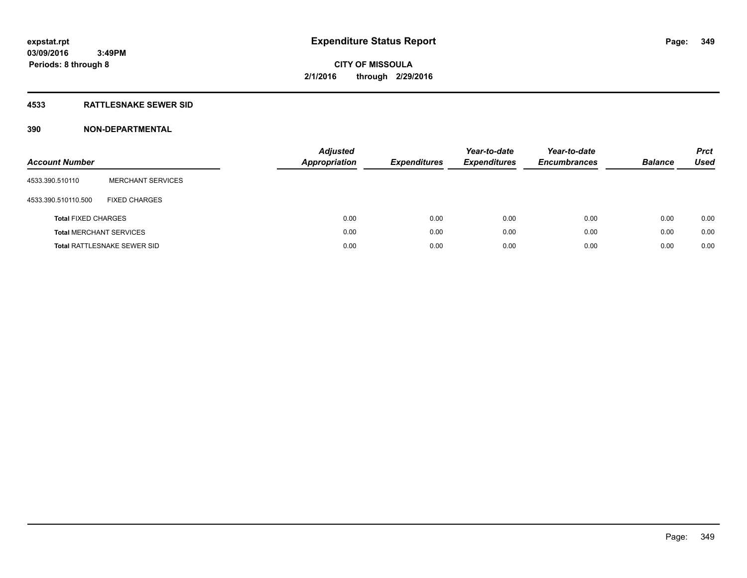#### **4533 RATTLESNAKE SEWER SID**

| <b>Account Number</b>          |                                    | <b>Adjusted</b><br>Appropriation | <b>Expenditures</b> | Year-to-date<br><b>Expenditures</b> | Year-to-date<br><b>Encumbrances</b> | <b>Balance</b> | <b>Prct</b><br>Used |
|--------------------------------|------------------------------------|----------------------------------|---------------------|-------------------------------------|-------------------------------------|----------------|---------------------|
| 4533.390.510110                | <b>MERCHANT SERVICES</b>           |                                  |                     |                                     |                                     |                |                     |
| 4533.390.510110.500            | <b>FIXED CHARGES</b>               |                                  |                     |                                     |                                     |                |                     |
| <b>Total FIXED CHARGES</b>     |                                    | 0.00                             | 0.00                | 0.00                                | 0.00                                | 0.00           | 0.00                |
| <b>Total MERCHANT SERVICES</b> |                                    | 0.00                             | 0.00                | 0.00                                | 0.00                                | 0.00           | 0.00                |
|                                | <b>Total RATTLESNAKE SEWER SID</b> | 0.00                             | 0.00                | 0.00                                | 0.00                                | 0.00           | 0.00                |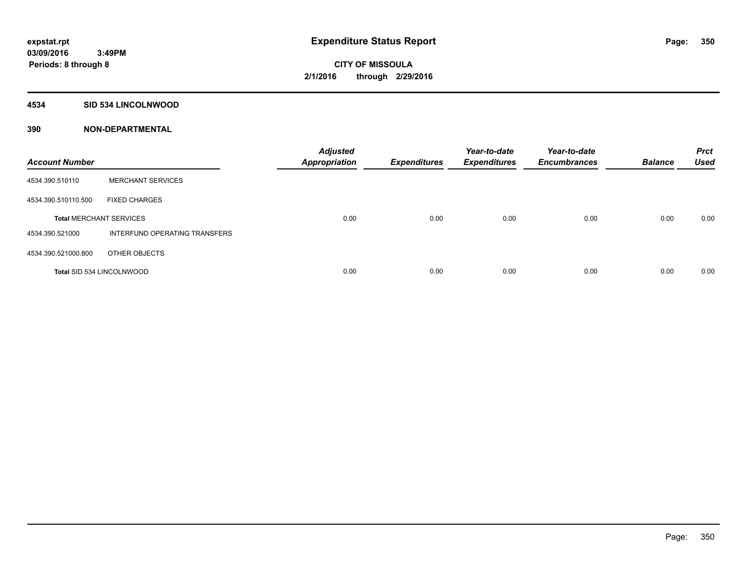#### **4534 SID 534 LINCOLNWOOD**

| <b>Account Number</b>            |                               | <b>Adjusted</b><br><b>Appropriation</b> | <b>Expenditures</b> | Year-to-date<br><b>Expenditures</b> | Year-to-date<br><b>Encumbrances</b> | <b>Balance</b> | <b>Prct</b><br><b>Used</b> |
|----------------------------------|-------------------------------|-----------------------------------------|---------------------|-------------------------------------|-------------------------------------|----------------|----------------------------|
| 4534.390.510110                  | <b>MERCHANT SERVICES</b>      |                                         |                     |                                     |                                     |                |                            |
| 4534.390.510110.500              | <b>FIXED CHARGES</b>          |                                         |                     |                                     |                                     |                |                            |
| <b>Total MERCHANT SERVICES</b>   |                               | 0.00                                    | 0.00                | 0.00                                | 0.00                                | 0.00           | 0.00                       |
| 4534.390.521000                  | INTERFUND OPERATING TRANSFERS |                                         |                     |                                     |                                     |                |                            |
| 4534.390.521000.800              | OTHER OBJECTS                 |                                         |                     |                                     |                                     |                |                            |
| <b>Total SID 534 LINCOLNWOOD</b> |                               | 0.00                                    | 0.00                | 0.00                                | 0.00                                | 0.00           | 0.00                       |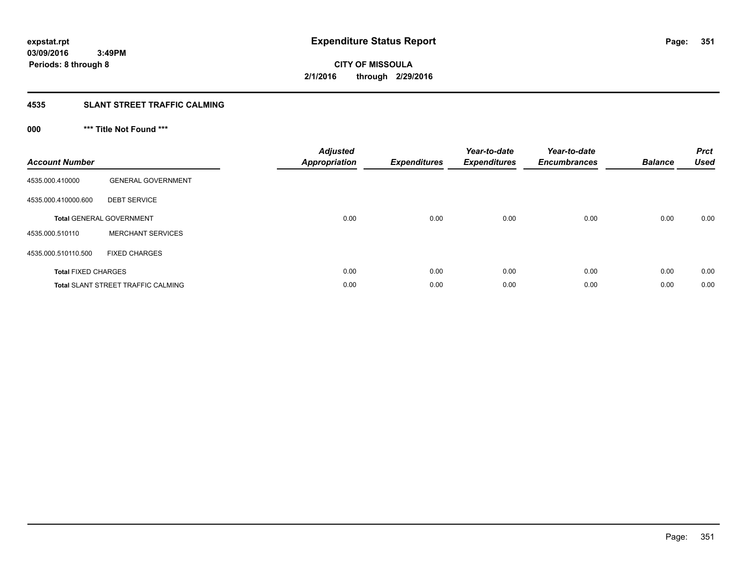#### **4535 SLANT STREET TRAFFIC CALMING**

## **000 \*\*\* Title Not Found \*\*\***

| <b>Account Number</b>      |                                           | <b>Adjusted</b><br>Appropriation | <b>Expenditures</b> | Year-to-date<br><b>Expenditures</b> | Year-to-date<br><b>Encumbrances</b> | <b>Balance</b> | <b>Prct</b><br><b>Used</b> |
|----------------------------|-------------------------------------------|----------------------------------|---------------------|-------------------------------------|-------------------------------------|----------------|----------------------------|
| 4535.000.410000            | <b>GENERAL GOVERNMENT</b>                 |                                  |                     |                                     |                                     |                |                            |
| 4535.000.410000.600        | <b>DEBT SERVICE</b>                       |                                  |                     |                                     |                                     |                |                            |
|                            | <b>Total GENERAL GOVERNMENT</b>           | 0.00                             | 0.00                | 0.00                                | 0.00                                | 0.00           | 0.00                       |
| 4535.000.510110            | <b>MERCHANT SERVICES</b>                  |                                  |                     |                                     |                                     |                |                            |
| 4535.000.510110.500        | <b>FIXED CHARGES</b>                      |                                  |                     |                                     |                                     |                |                            |
| <b>Total FIXED CHARGES</b> |                                           | 0.00                             | 0.00                | 0.00                                | 0.00                                | 0.00           | 0.00                       |
|                            | <b>Total SLANT STREET TRAFFIC CALMING</b> | 0.00                             | 0.00                | 0.00                                | 0.00                                | 0.00           | 0.00                       |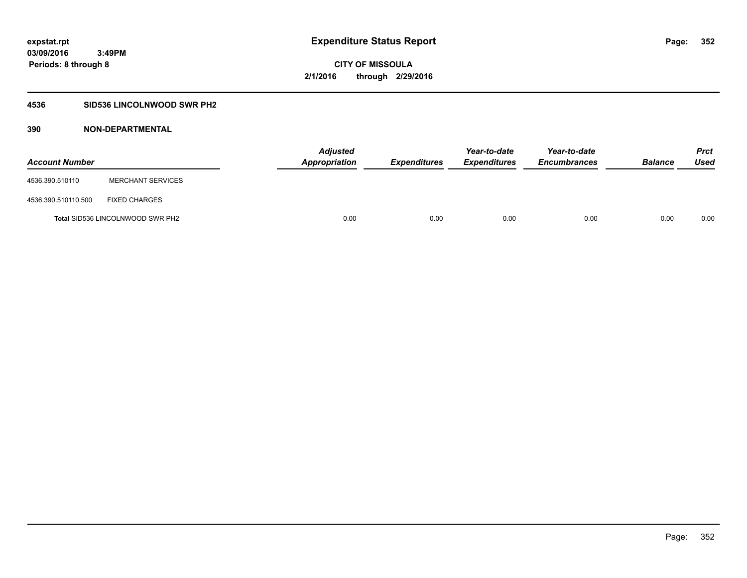### **4536 SID536 LINCOLNWOOD SWR PH2**

| <b>Account Number</b> |                                         | <b>Adjusted</b><br>Appropriation | <b>Expenditures</b> | Year-to-date<br><b>Expenditures</b> | Year-to-date<br><b>Encumbrances</b> | <b>Balance</b> | Prct<br><b>Used</b> |
|-----------------------|-----------------------------------------|----------------------------------|---------------------|-------------------------------------|-------------------------------------|----------------|---------------------|
| 4536.390.510110       | <b>MERCHANT SERVICES</b>                |                                  |                     |                                     |                                     |                |                     |
| 4536.390.510110.500   | <b>FIXED CHARGES</b>                    |                                  |                     |                                     |                                     |                |                     |
|                       | <b>Total SID536 LINCOLNWOOD SWR PH2</b> | 0.00                             | 0.00                | 0.00                                | 0.00                                | 0.00           | 0.00                |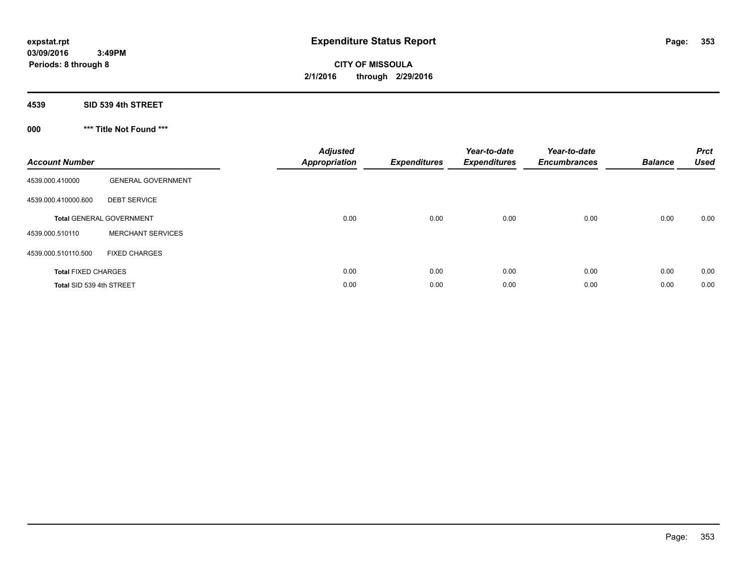# **CITY OF MISSOULA 2/1/2016 through 2/29/2016**

#### **4539 SID 539 4th STREET**

## **000 \*\*\* Title Not Found \*\*\***

| <b>Account Number</b>      |                                 | <b>Adjusted</b><br><b>Appropriation</b> | <b>Expenditures</b> | Year-to-date<br><b>Expenditures</b> | Year-to-date<br><b>Encumbrances</b> | <b>Balance</b> | <b>Prct</b><br><b>Used</b> |
|----------------------------|---------------------------------|-----------------------------------------|---------------------|-------------------------------------|-------------------------------------|----------------|----------------------------|
| 4539.000.410000            | <b>GENERAL GOVERNMENT</b>       |                                         |                     |                                     |                                     |                |                            |
| 4539.000.410000.600        | <b>DEBT SERVICE</b>             |                                         |                     |                                     |                                     |                |                            |
|                            | <b>Total GENERAL GOVERNMENT</b> | 0.00                                    | 0.00                | 0.00                                | 0.00                                | 0.00           | 0.00                       |
| 4539.000.510110            | <b>MERCHANT SERVICES</b>        |                                         |                     |                                     |                                     |                |                            |
| 4539.000.510110.500        | <b>FIXED CHARGES</b>            |                                         |                     |                                     |                                     |                |                            |
| <b>Total FIXED CHARGES</b> |                                 | 0.00                                    | 0.00                | 0.00                                | 0.00                                | 0.00           | 0.00                       |
| Total SID 539 4th STREET   |                                 | 0.00                                    | 0.00                | 0.00                                | 0.00                                | 0.00           | 0.00                       |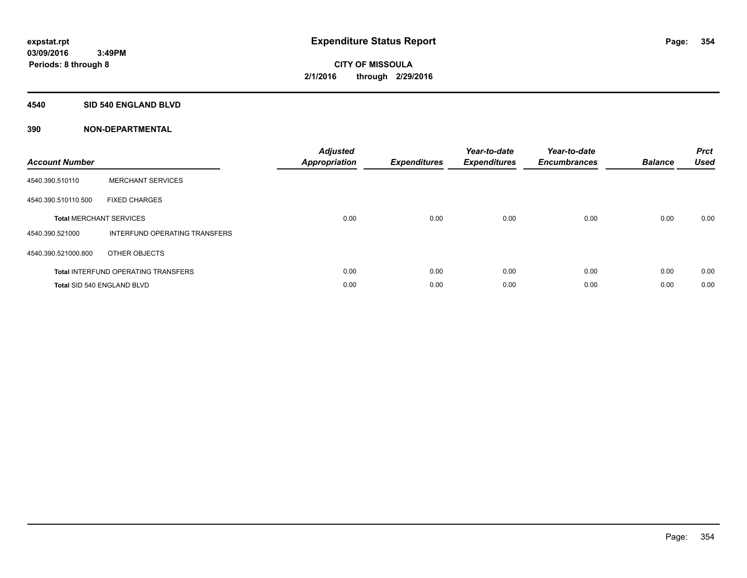#### **4540 SID 540 ENGLAND BLVD**

| <b>Account Number</b> |                                            | <b>Adjusted</b><br>Appropriation | <b>Expenditures</b> | Year-to-date<br><b>Expenditures</b> | Year-to-date<br><b>Encumbrances</b> | <b>Balance</b> | <b>Prct</b><br><b>Used</b> |
|-----------------------|--------------------------------------------|----------------------------------|---------------------|-------------------------------------|-------------------------------------|----------------|----------------------------|
| 4540.390.510110       | <b>MERCHANT SERVICES</b>                   |                                  |                     |                                     |                                     |                |                            |
| 4540.390.510110.500   | <b>FIXED CHARGES</b>                       |                                  |                     |                                     |                                     |                |                            |
|                       | <b>Total MERCHANT SERVICES</b>             | 0.00                             | 0.00                | 0.00                                | 0.00                                | 0.00           | 0.00                       |
| 4540.390.521000       | INTERFUND OPERATING TRANSFERS              |                                  |                     |                                     |                                     |                |                            |
| 4540.390.521000.800   | OTHER OBJECTS                              |                                  |                     |                                     |                                     |                |                            |
|                       | <b>Total INTERFUND OPERATING TRANSFERS</b> | 0.00                             | 0.00                | 0.00                                | 0.00                                | 0.00           | 0.00                       |
|                       | Total SID 540 ENGLAND BLVD                 | 0.00                             | 0.00                | 0.00                                | 0.00                                | 0.00           | 0.00                       |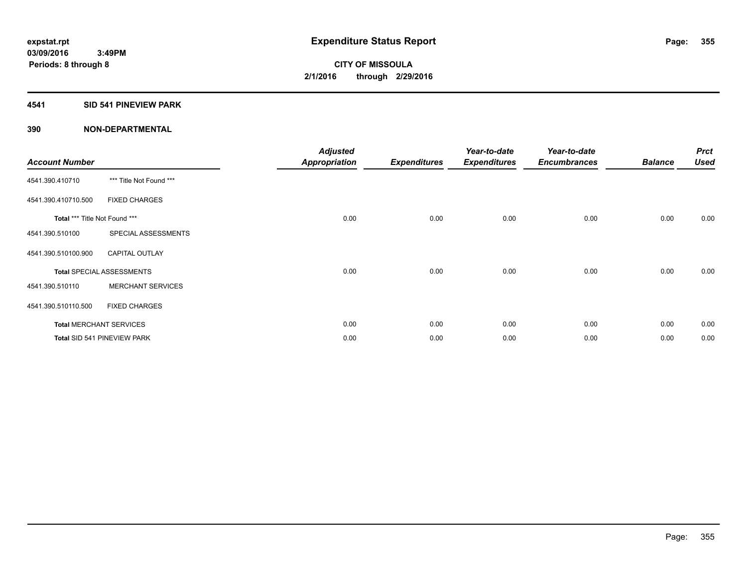### **4541 SID 541 PINEVIEW PARK**

| <b>Account Number</b>         |                                  | <b>Adjusted</b><br><b>Appropriation</b> | <b>Expenditures</b> | Year-to-date<br><b>Expenditures</b> | Year-to-date<br><b>Encumbrances</b> | <b>Balance</b> | <b>Prct</b><br><b>Used</b> |
|-------------------------------|----------------------------------|-----------------------------------------|---------------------|-------------------------------------|-------------------------------------|----------------|----------------------------|
| 4541.390.410710               | *** Title Not Found ***          |                                         |                     |                                     |                                     |                |                            |
| 4541.390.410710.500           | <b>FIXED CHARGES</b>             |                                         |                     |                                     |                                     |                |                            |
| Total *** Title Not Found *** |                                  | 0.00                                    | 0.00                | 0.00                                | 0.00                                | 0.00           | 0.00                       |
| 4541.390.510100               | SPECIAL ASSESSMENTS              |                                         |                     |                                     |                                     |                |                            |
| 4541.390.510100.900           | <b>CAPITAL OUTLAY</b>            |                                         |                     |                                     |                                     |                |                            |
|                               | <b>Total SPECIAL ASSESSMENTS</b> | 0.00                                    | 0.00                | 0.00                                | 0.00                                | 0.00           | 0.00                       |
| 4541.390.510110               | <b>MERCHANT SERVICES</b>         |                                         |                     |                                     |                                     |                |                            |
| 4541.390.510110.500           | <b>FIXED CHARGES</b>             |                                         |                     |                                     |                                     |                |                            |
|                               | <b>Total MERCHANT SERVICES</b>   | 0.00                                    | 0.00                | 0.00                                | 0.00                                | 0.00           | 0.00                       |
|                               | Total SID 541 PINEVIEW PARK      | 0.00                                    | 0.00                | 0.00                                | 0.00                                | 0.00           | 0.00                       |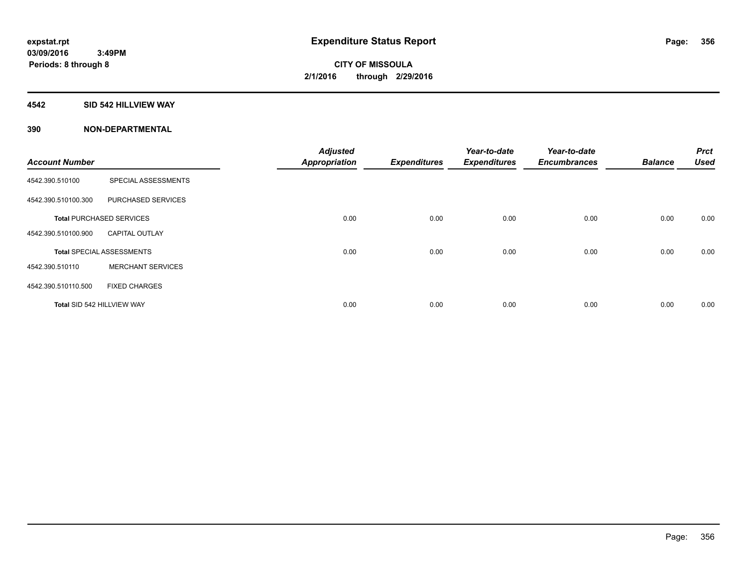#### **4542 SID 542 HILLVIEW WAY**

|                            |                                  | <b>Adjusted</b>      |                     | Year-to-date        | Year-to-date        |                | <b>Prct</b> |
|----------------------------|----------------------------------|----------------------|---------------------|---------------------|---------------------|----------------|-------------|
| <b>Account Number</b>      |                                  | <b>Appropriation</b> | <b>Expenditures</b> | <b>Expenditures</b> | <b>Encumbrances</b> | <b>Balance</b> | <b>Used</b> |
| 4542.390.510100            | SPECIAL ASSESSMENTS              |                      |                     |                     |                     |                |             |
| 4542.390.510100.300        | PURCHASED SERVICES               |                      |                     |                     |                     |                |             |
|                            | <b>Total PURCHASED SERVICES</b>  | 0.00                 | 0.00                | 0.00                | 0.00                | 0.00           | 0.00        |
| 4542.390.510100.900        | <b>CAPITAL OUTLAY</b>            |                      |                     |                     |                     |                |             |
|                            | <b>Total SPECIAL ASSESSMENTS</b> | 0.00                 | 0.00                | 0.00                | 0.00                | 0.00           | 0.00        |
| 4542.390.510110            | <b>MERCHANT SERVICES</b>         |                      |                     |                     |                     |                |             |
| 4542.390.510110.500        | <b>FIXED CHARGES</b>             |                      |                     |                     |                     |                |             |
| Total SID 542 HILLVIEW WAY |                                  | 0.00                 | 0.00                | 0.00                | 0.00                | 0.00           | 0.00        |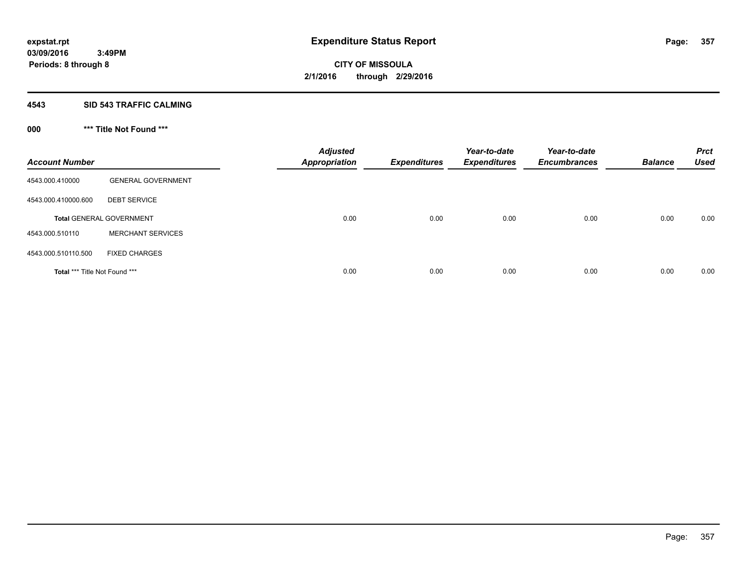#### **4543 SID 543 TRAFFIC CALMING**

## **000 \*\*\* Title Not Found \*\*\***

| <b>Account Number</b>         |                                 | <b>Adjusted</b><br><b>Appropriation</b> | <b>Expenditures</b> | Year-to-date<br><b>Expenditures</b> | Year-to-date<br><b>Encumbrances</b> | <b>Balance</b> | <b>Prct</b><br><b>Used</b> |
|-------------------------------|---------------------------------|-----------------------------------------|---------------------|-------------------------------------|-------------------------------------|----------------|----------------------------|
| 4543.000.410000               | <b>GENERAL GOVERNMENT</b>       |                                         |                     |                                     |                                     |                |                            |
| 4543.000.410000.600           | <b>DEBT SERVICE</b>             |                                         |                     |                                     |                                     |                |                            |
|                               | <b>Total GENERAL GOVERNMENT</b> | 0.00                                    | 0.00                | 0.00                                | 0.00                                | 0.00           | 0.00                       |
| 4543.000.510110               | <b>MERCHANT SERVICES</b>        |                                         |                     |                                     |                                     |                |                            |
| 4543.000.510110.500           | <b>FIXED CHARGES</b>            |                                         |                     |                                     |                                     |                |                            |
| Total *** Title Not Found *** |                                 | 0.00                                    | 0.00                | 0.00                                | 0.00                                | 0.00           | 0.00                       |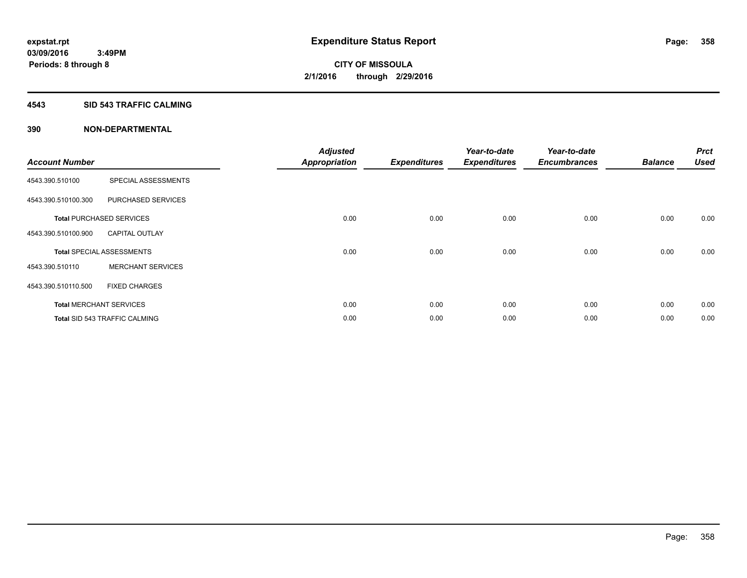#### **4543 SID 543 TRAFFIC CALMING**

|                       |                                      | <b>Adjusted</b>      |                     | Year-to-date        | Year-to-date        |                | <b>Prct</b> |
|-----------------------|--------------------------------------|----------------------|---------------------|---------------------|---------------------|----------------|-------------|
| <b>Account Number</b> |                                      | <b>Appropriation</b> | <b>Expenditures</b> | <b>Expenditures</b> | <b>Encumbrances</b> | <b>Balance</b> | <b>Used</b> |
| 4543.390.510100       | SPECIAL ASSESSMENTS                  |                      |                     |                     |                     |                |             |
| 4543.390.510100.300   | PURCHASED SERVICES                   |                      |                     |                     |                     |                |             |
|                       | <b>Total PURCHASED SERVICES</b>      | 0.00                 | 0.00                | 0.00                | 0.00                | 0.00           | 0.00        |
| 4543.390.510100.900   | <b>CAPITAL OUTLAY</b>                |                      |                     |                     |                     |                |             |
|                       | <b>Total SPECIAL ASSESSMENTS</b>     | 0.00                 | 0.00                | 0.00                | 0.00                | 0.00           | 0.00        |
| 4543.390.510110       | <b>MERCHANT SERVICES</b>             |                      |                     |                     |                     |                |             |
| 4543.390.510110.500   | <b>FIXED CHARGES</b>                 |                      |                     |                     |                     |                |             |
|                       | <b>Total MERCHANT SERVICES</b>       | 0.00                 | 0.00                | 0.00                | 0.00                | 0.00           | 0.00        |
|                       | <b>Total SID 543 TRAFFIC CALMING</b> | 0.00                 | 0.00                | 0.00                | 0.00                | 0.00           | 0.00        |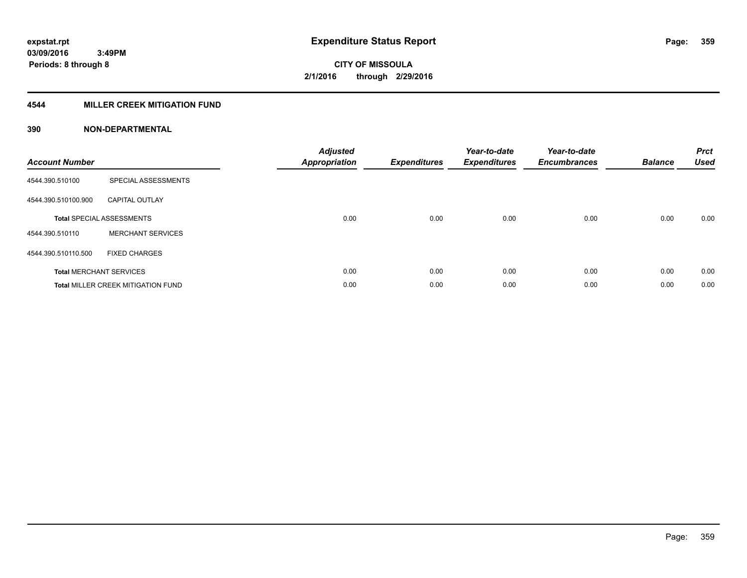### **4544 MILLER CREEK MITIGATION FUND**

| <b>Account Number</b> |                                           | <b>Adjusted</b><br><b>Appropriation</b> | <b>Expenditures</b> | Year-to-date<br><b>Expenditures</b> | Year-to-date<br><b>Encumbrances</b> | <b>Balance</b> | <b>Prct</b><br><b>Used</b> |
|-----------------------|-------------------------------------------|-----------------------------------------|---------------------|-------------------------------------|-------------------------------------|----------------|----------------------------|
| 4544.390.510100       | SPECIAL ASSESSMENTS                       |                                         |                     |                                     |                                     |                |                            |
| 4544.390.510100.900   | <b>CAPITAL OUTLAY</b>                     |                                         |                     |                                     |                                     |                |                            |
|                       | <b>Total SPECIAL ASSESSMENTS</b>          | 0.00                                    | 0.00                | 0.00                                | 0.00                                | 0.00           | 0.00                       |
| 4544.390.510110       | <b>MERCHANT SERVICES</b>                  |                                         |                     |                                     |                                     |                |                            |
| 4544.390.510110.500   | <b>FIXED CHARGES</b>                      |                                         |                     |                                     |                                     |                |                            |
|                       | <b>Total MERCHANT SERVICES</b>            | 0.00                                    | 0.00                | 0.00                                | 0.00                                | 0.00           | 0.00                       |
|                       | <b>Total MILLER CREEK MITIGATION FUND</b> | 0.00                                    | 0.00                | 0.00                                | 0.00                                | 0.00           | 0.00                       |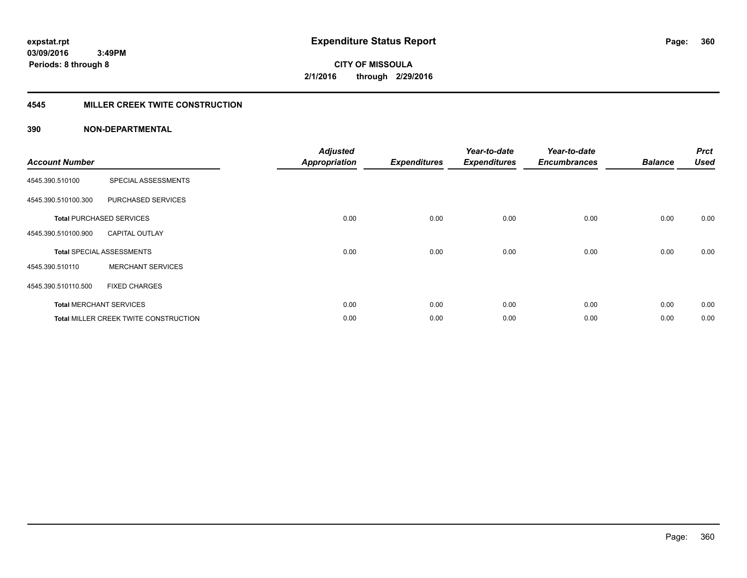#### **4545 MILLER CREEK TWITE CONSTRUCTION**

| <b>Account Number</b> |                                       | <b>Adjusted</b><br><b>Appropriation</b> | <b>Expenditures</b> | Year-to-date<br><b>Expenditures</b> | Year-to-date<br><b>Encumbrances</b> | <b>Balance</b> | <b>Prct</b><br><b>Used</b> |
|-----------------------|---------------------------------------|-----------------------------------------|---------------------|-------------------------------------|-------------------------------------|----------------|----------------------------|
| 4545.390.510100       | SPECIAL ASSESSMENTS                   |                                         |                     |                                     |                                     |                |                            |
| 4545.390.510100.300   | PURCHASED SERVICES                    |                                         |                     |                                     |                                     |                |                            |
|                       | <b>Total PURCHASED SERVICES</b>       | 0.00                                    | 0.00                | 0.00                                | 0.00                                | 0.00           | 0.00                       |
| 4545.390.510100.900   | <b>CAPITAL OUTLAY</b>                 |                                         |                     |                                     |                                     |                |                            |
|                       | <b>Total SPECIAL ASSESSMENTS</b>      | 0.00                                    | 0.00                | 0.00                                | 0.00                                | 0.00           | 0.00                       |
| 4545.390.510110       | <b>MERCHANT SERVICES</b>              |                                         |                     |                                     |                                     |                |                            |
| 4545.390.510110.500   | <b>FIXED CHARGES</b>                  |                                         |                     |                                     |                                     |                |                            |
|                       | <b>Total MERCHANT SERVICES</b>        | 0.00                                    | 0.00                | 0.00                                | 0.00                                | 0.00           | 0.00                       |
|                       | Total MILLER CREEK TWITE CONSTRUCTION | 0.00                                    | 0.00                | 0.00                                | 0.00                                | 0.00           | 0.00                       |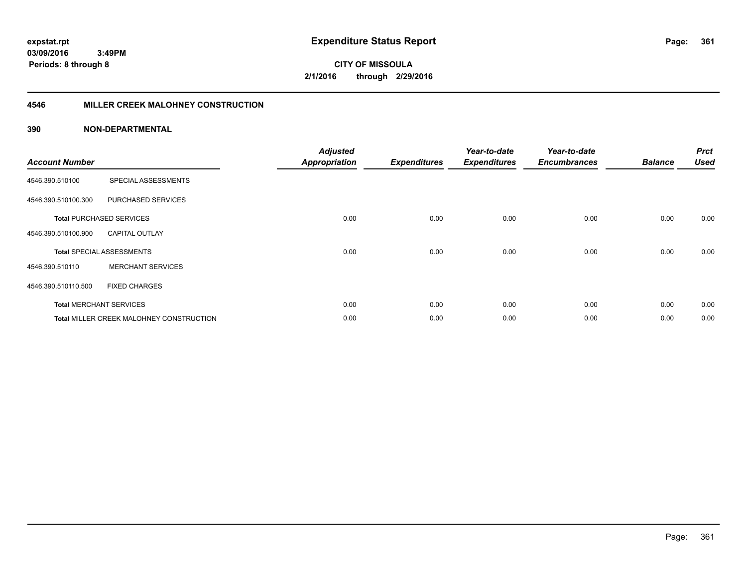**361**

**CITY OF MISSOULA 2/1/2016 through 2/29/2016**

#### **4546 MILLER CREEK MALOHNEY CONSTRUCTION**

| <b>Account Number</b> |                                                 | <b>Adjusted</b><br><b>Appropriation</b> | <b>Expenditures</b> | Year-to-date<br><b>Expenditures</b> | Year-to-date<br><b>Encumbrances</b> | <b>Balance</b> | <b>Prct</b><br><b>Used</b> |
|-----------------------|-------------------------------------------------|-----------------------------------------|---------------------|-------------------------------------|-------------------------------------|----------------|----------------------------|
| 4546.390.510100       | SPECIAL ASSESSMENTS                             |                                         |                     |                                     |                                     |                |                            |
| 4546.390.510100.300   | PURCHASED SERVICES                              |                                         |                     |                                     |                                     |                |                            |
|                       | <b>Total PURCHASED SERVICES</b>                 | 0.00                                    | 0.00                | 0.00                                | 0.00                                | 0.00           | 0.00                       |
| 4546.390.510100.900   | <b>CAPITAL OUTLAY</b>                           |                                         |                     |                                     |                                     |                |                            |
|                       | <b>Total SPECIAL ASSESSMENTS</b>                | 0.00                                    | 0.00                | 0.00                                | 0.00                                | 0.00           | 0.00                       |
| 4546.390.510110       | <b>MERCHANT SERVICES</b>                        |                                         |                     |                                     |                                     |                |                            |
| 4546.390.510110.500   | <b>FIXED CHARGES</b>                            |                                         |                     |                                     |                                     |                |                            |
|                       | <b>Total MERCHANT SERVICES</b>                  | 0.00                                    | 0.00                | 0.00                                | 0.00                                | 0.00           | 0.00                       |
|                       | <b>Total MILLER CREEK MALOHNEY CONSTRUCTION</b> | 0.00                                    | 0.00                | 0.00                                | 0.00                                | 0.00           | 0.00                       |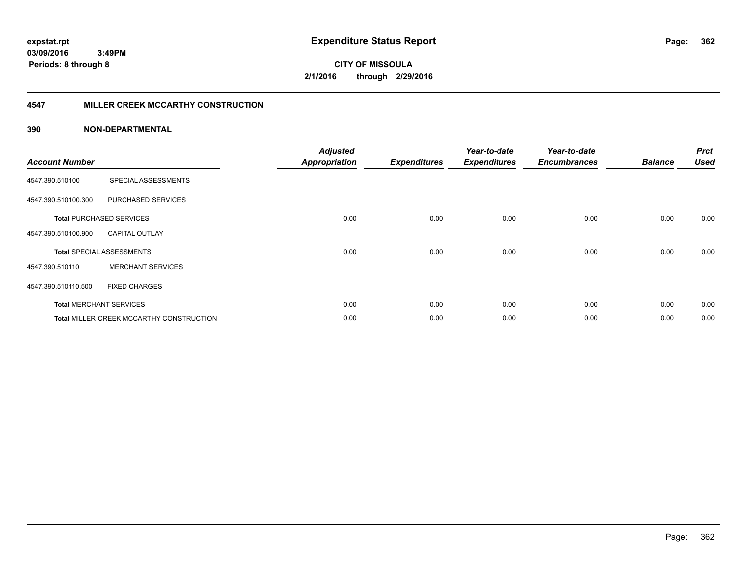**CITY OF MISSOULA 2/1/2016 through 2/29/2016**

#### **4547 MILLER CREEK MCCARTHY CONSTRUCTION**

| <b>Account Number</b> |                                                 | <b>Adjusted</b><br><b>Appropriation</b> | <b>Expenditures</b> | Year-to-date<br><b>Expenditures</b> | Year-to-date<br><b>Encumbrances</b> | <b>Balance</b> | <b>Prct</b><br><b>Used</b> |
|-----------------------|-------------------------------------------------|-----------------------------------------|---------------------|-------------------------------------|-------------------------------------|----------------|----------------------------|
| 4547.390.510100       | SPECIAL ASSESSMENTS                             |                                         |                     |                                     |                                     |                |                            |
| 4547.390.510100.300   | PURCHASED SERVICES                              |                                         |                     |                                     |                                     |                |                            |
|                       | <b>Total PURCHASED SERVICES</b>                 | 0.00                                    | 0.00                | 0.00                                | 0.00                                | 0.00           | 0.00                       |
| 4547.390.510100.900   | <b>CAPITAL OUTLAY</b>                           |                                         |                     |                                     |                                     |                |                            |
|                       | <b>Total SPECIAL ASSESSMENTS</b>                | 0.00                                    | 0.00                | 0.00                                | 0.00                                | 0.00           | 0.00                       |
| 4547.390.510110       | <b>MERCHANT SERVICES</b>                        |                                         |                     |                                     |                                     |                |                            |
| 4547.390.510110.500   | <b>FIXED CHARGES</b>                            |                                         |                     |                                     |                                     |                |                            |
|                       | <b>Total MERCHANT SERVICES</b>                  | 0.00                                    | 0.00                | 0.00                                | 0.00                                | 0.00           | 0.00                       |
|                       | <b>Total MILLER CREEK MCCARTHY CONSTRUCTION</b> | 0.00                                    | 0.00                | 0.00                                | 0.00                                | 0.00           | 0.00                       |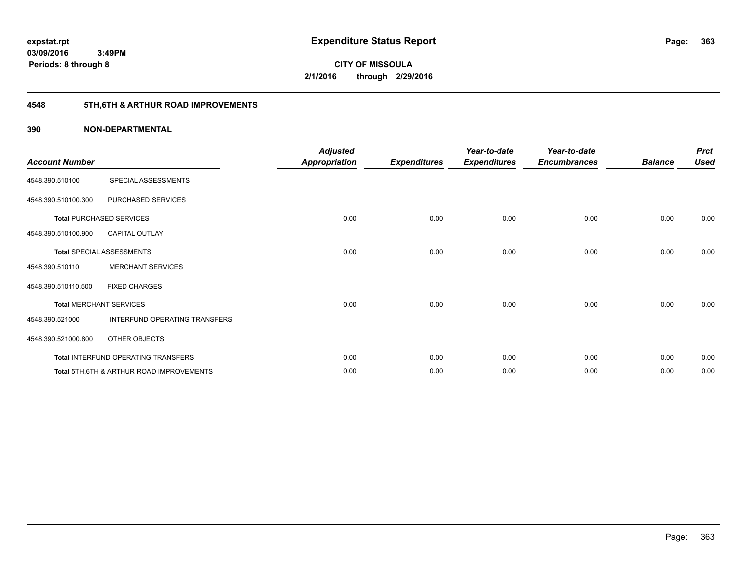**363**

**CITY OF MISSOULA 2/1/2016 through 2/29/2016**

# **4548 5TH,6TH & ARTHUR ROAD IMPROVEMENTS**

| <b>Account Number</b> |                                                     | <b>Adjusted</b><br><b>Appropriation</b> | <b>Expenditures</b> | Year-to-date<br><b>Expenditures</b> | Year-to-date<br><b>Encumbrances</b> | <b>Balance</b> | <b>Prct</b><br><b>Used</b> |
|-----------------------|-----------------------------------------------------|-----------------------------------------|---------------------|-------------------------------------|-------------------------------------|----------------|----------------------------|
| 4548.390.510100       | SPECIAL ASSESSMENTS                                 |                                         |                     |                                     |                                     |                |                            |
| 4548.390.510100.300   | PURCHASED SERVICES                                  |                                         |                     |                                     |                                     |                |                            |
|                       | <b>Total PURCHASED SERVICES</b>                     | 0.00                                    | 0.00                | 0.00                                | 0.00                                | 0.00           | 0.00                       |
| 4548.390.510100.900   | <b>CAPITAL OUTLAY</b>                               |                                         |                     |                                     |                                     |                |                            |
|                       | <b>Total SPECIAL ASSESSMENTS</b>                    | 0.00                                    | 0.00                | 0.00                                | 0.00                                | 0.00           | 0.00                       |
| 4548.390.510110       | <b>MERCHANT SERVICES</b>                            |                                         |                     |                                     |                                     |                |                            |
| 4548.390.510110.500   | <b>FIXED CHARGES</b>                                |                                         |                     |                                     |                                     |                |                            |
|                       | <b>Total MERCHANT SERVICES</b>                      | 0.00                                    | 0.00                | 0.00                                | 0.00                                | 0.00           | 0.00                       |
| 4548.390.521000       | INTERFUND OPERATING TRANSFERS                       |                                         |                     |                                     |                                     |                |                            |
| 4548.390.521000.800   | OTHER OBJECTS                                       |                                         |                     |                                     |                                     |                |                            |
|                       | Total INTERFUND OPERATING TRANSFERS                 | 0.00                                    | 0.00                | 0.00                                | 0.00                                | 0.00           | 0.00                       |
|                       | <b>Total 5TH.6TH &amp; ARTHUR ROAD IMPROVEMENTS</b> | 0.00                                    | 0.00                | 0.00                                | 0.00                                | 0.00           | 0.00                       |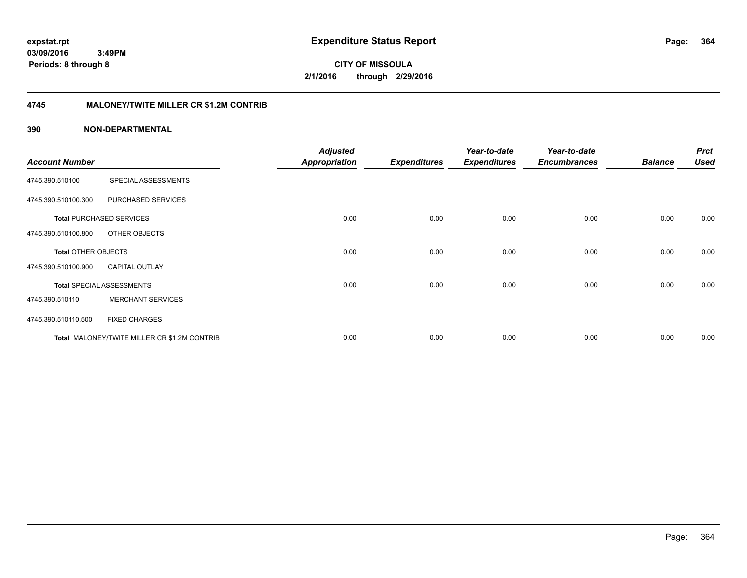## **4745 MALONEY/TWITE MILLER CR \$1.2M CONTRIB**

| <b>Account Number</b>      |                                              | <b>Adjusted</b><br><b>Appropriation</b> | <b>Expenditures</b> | Year-to-date<br><b>Expenditures</b> | Year-to-date<br><b>Encumbrances</b> | <b>Balance</b> | <b>Prct</b><br><b>Used</b> |
|----------------------------|----------------------------------------------|-----------------------------------------|---------------------|-------------------------------------|-------------------------------------|----------------|----------------------------|
| 4745.390.510100            | SPECIAL ASSESSMENTS                          |                                         |                     |                                     |                                     |                |                            |
| 4745.390.510100.300        | PURCHASED SERVICES                           |                                         |                     |                                     |                                     |                |                            |
|                            | <b>Total PURCHASED SERVICES</b>              | 0.00                                    | 0.00                | 0.00                                | 0.00                                | 0.00           | 0.00                       |
| 4745.390.510100.800        | OTHER OBJECTS                                |                                         |                     |                                     |                                     |                |                            |
| <b>Total OTHER OBJECTS</b> |                                              | 0.00                                    | 0.00                | 0.00                                | 0.00                                | 0.00           | 0.00                       |
| 4745.390.510100.900        | <b>CAPITAL OUTLAY</b>                        |                                         |                     |                                     |                                     |                |                            |
|                            | <b>Total SPECIAL ASSESSMENTS</b>             | 0.00                                    | 0.00                | 0.00                                | 0.00                                | 0.00           | 0.00                       |
| 4745.390.510110            | <b>MERCHANT SERVICES</b>                     |                                         |                     |                                     |                                     |                |                            |
| 4745.390.510110.500        | <b>FIXED CHARGES</b>                         |                                         |                     |                                     |                                     |                |                            |
|                            | Total MALONEY/TWITE MILLER CR \$1.2M CONTRIB | 0.00                                    | 0.00                | 0.00                                | 0.00                                | 0.00           | 0.00                       |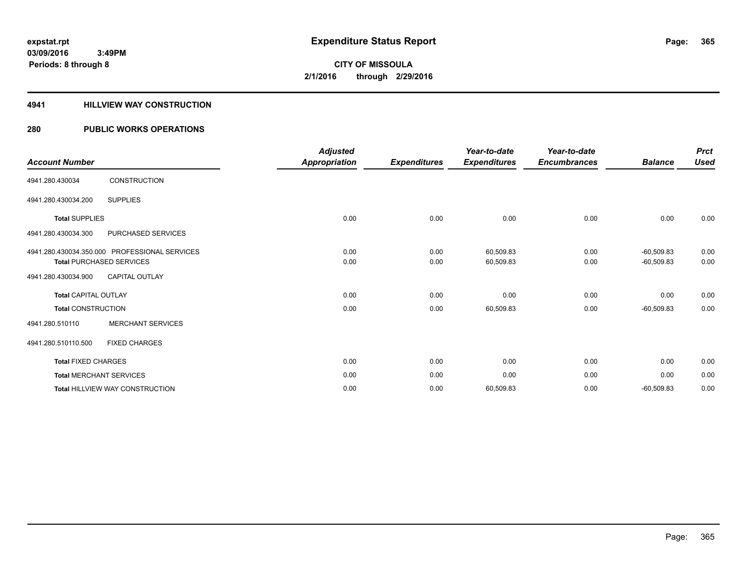#### **4941 HILLVIEW WAY CONSTRUCTION**

### **280 PUBLIC WORKS OPERATIONS**

|                                |                                               | <b>Adjusted</b> |                     | Year-to-date        | Year-to-date        |                | <b>Prct</b> |
|--------------------------------|-----------------------------------------------|-----------------|---------------------|---------------------|---------------------|----------------|-------------|
| <b>Account Number</b>          |                                               | Appropriation   | <b>Expenditures</b> | <b>Expenditures</b> | <b>Encumbrances</b> | <b>Balance</b> | <b>Used</b> |
| 4941.280.430034                | <b>CONSTRUCTION</b>                           |                 |                     |                     |                     |                |             |
| 4941.280.430034.200            | <b>SUPPLIES</b>                               |                 |                     |                     |                     |                |             |
| <b>Total SUPPLIES</b>          |                                               | 0.00            | 0.00                | 0.00                | 0.00                | 0.00           | 0.00        |
| 4941.280.430034.300            | PURCHASED SERVICES                            |                 |                     |                     |                     |                |             |
|                                | 4941.280.430034.350.000 PROFESSIONAL SERVICES | 0.00            | 0.00                | 60,509.83           | 0.00                | $-60,509.83$   | 0.00        |
|                                | <b>Total PURCHASED SERVICES</b>               | 0.00            | 0.00                | 60,509.83           | 0.00                | $-60,509.83$   | 0.00        |
| 4941.280.430034.900            | <b>CAPITAL OUTLAY</b>                         |                 |                     |                     |                     |                |             |
| <b>Total CAPITAL OUTLAY</b>    |                                               | 0.00            | 0.00                | 0.00                | 0.00                | 0.00           | 0.00        |
| <b>Total CONSTRUCTION</b>      |                                               | 0.00            | 0.00                | 60,509.83           | 0.00                | $-60,509.83$   | 0.00        |
| 4941.280.510110                | <b>MERCHANT SERVICES</b>                      |                 |                     |                     |                     |                |             |
| 4941.280.510110.500            | <b>FIXED CHARGES</b>                          |                 |                     |                     |                     |                |             |
| <b>Total FIXED CHARGES</b>     |                                               | 0.00            | 0.00                | 0.00                | 0.00                | 0.00           | 0.00        |
| <b>Total MERCHANT SERVICES</b> |                                               | 0.00            | 0.00                | 0.00                | 0.00                | 0.00           | 0.00        |
|                                | <b>Total HILLVIEW WAY CONSTRUCTION</b>        | 0.00            | 0.00                | 60,509.83           | 0.00                | $-60,509.83$   | 0.00        |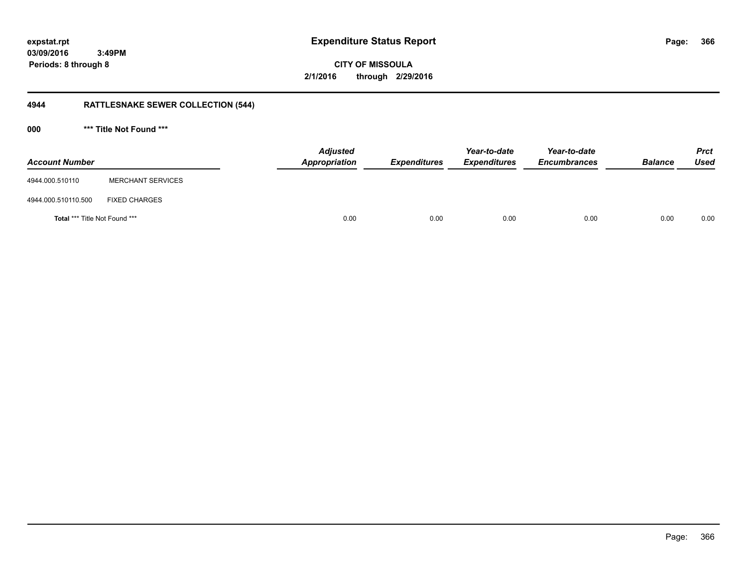**CITY OF MISSOULA 2/1/2016 through 2/29/2016**

# **4944 RATTLESNAKE SEWER COLLECTION (544)**

**000 \*\*\* Title Not Found \*\*\***

| <b>Account Number</b>                |                          | Adjusted<br>Appropriation | <b>Expenditures</b> | Year-to-date<br><b>Expenditures</b> | Year-to-date<br><b>Encumbrances</b> | <b>Balance</b> | <b>Prct</b><br><b>Used</b> |
|--------------------------------------|--------------------------|---------------------------|---------------------|-------------------------------------|-------------------------------------|----------------|----------------------------|
| 4944.000.510110                      | <b>MERCHANT SERVICES</b> |                           |                     |                                     |                                     |                |                            |
| 4944.000.510110.500                  | <b>FIXED CHARGES</b>     |                           |                     |                                     |                                     |                |                            |
| <b>Total *** Title Not Found ***</b> |                          | 0.00                      | 0.00                | 0.00                                | 0.00                                | 0.00           | 0.00                       |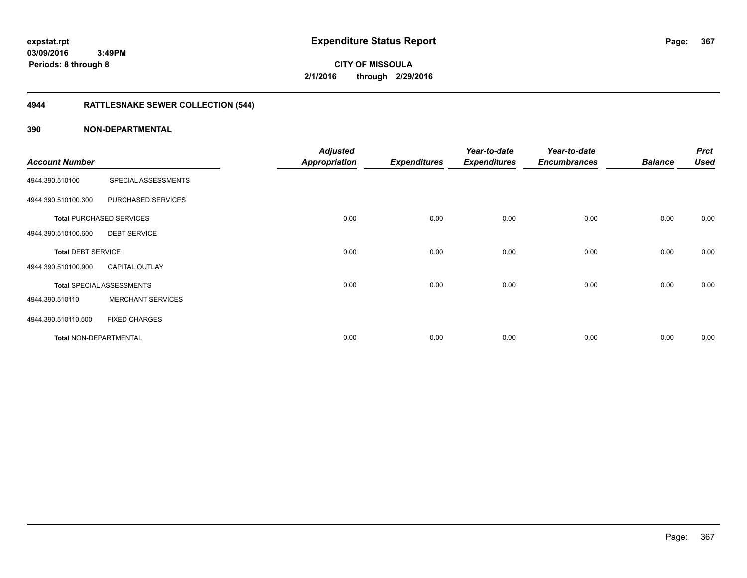**CITY OF MISSOULA 2/1/2016 through 2/29/2016**

# **4944 RATTLESNAKE SEWER COLLECTION (544)**

| <b>Account Number</b>         |                                  | <b>Adjusted</b><br><b>Appropriation</b> | <b>Expenditures</b> | Year-to-date<br><b>Expenditures</b> | Year-to-date<br><b>Encumbrances</b> | <b>Balance</b> | <b>Prct</b><br><b>Used</b> |
|-------------------------------|----------------------------------|-----------------------------------------|---------------------|-------------------------------------|-------------------------------------|----------------|----------------------------|
|                               |                                  |                                         |                     |                                     |                                     |                |                            |
| 4944.390.510100               | SPECIAL ASSESSMENTS              |                                         |                     |                                     |                                     |                |                            |
| 4944.390.510100.300           | PURCHASED SERVICES               |                                         |                     |                                     |                                     |                |                            |
|                               | <b>Total PURCHASED SERVICES</b>  | 0.00                                    | 0.00                | 0.00                                | 0.00                                | 0.00           | 0.00                       |
| 4944.390.510100.600           | <b>DEBT SERVICE</b>              |                                         |                     |                                     |                                     |                |                            |
| <b>Total DEBT SERVICE</b>     |                                  | 0.00                                    | 0.00                | 0.00                                | 0.00                                | 0.00           | 0.00                       |
| 4944.390.510100.900           | <b>CAPITAL OUTLAY</b>            |                                         |                     |                                     |                                     |                |                            |
|                               | <b>Total SPECIAL ASSESSMENTS</b> | 0.00                                    | 0.00                | 0.00                                | 0.00                                | 0.00           | 0.00                       |
| 4944.390.510110               | <b>MERCHANT SERVICES</b>         |                                         |                     |                                     |                                     |                |                            |
| 4944.390.510110.500           | <b>FIXED CHARGES</b>             |                                         |                     |                                     |                                     |                |                            |
| <b>Total NON-DEPARTMENTAL</b> |                                  | 0.00                                    | 0.00                | 0.00                                | 0.00                                | 0.00           | 0.00                       |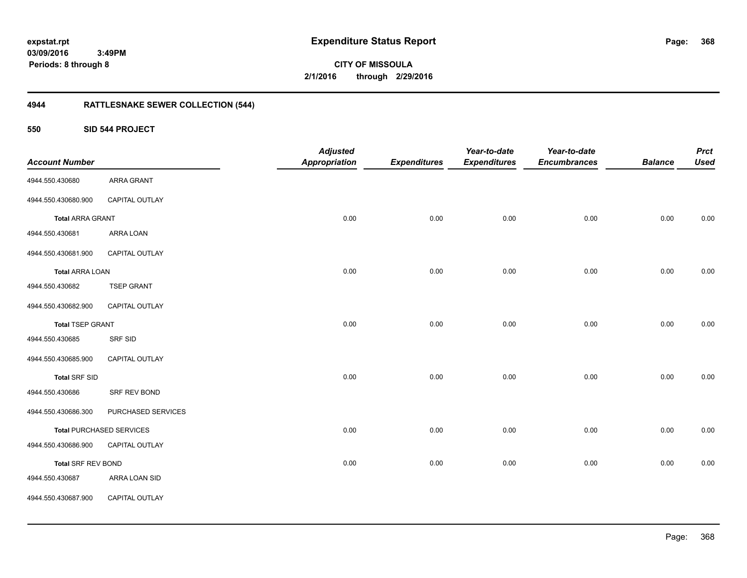**CITY OF MISSOULA 2/1/2016 through 2/29/2016**

# **4944 RATTLESNAKE SEWER COLLECTION (544)**

**550 SID 544 PROJECT**

| <b>Account Number</b>   |                                 | <b>Adjusted</b><br><b>Appropriation</b> | <b>Expenditures</b> | Year-to-date<br><b>Expenditures</b> | Year-to-date<br><b>Encumbrances</b> | <b>Balance</b> | <b>Prct</b><br><b>Used</b> |
|-------------------------|---------------------------------|-----------------------------------------|---------------------|-------------------------------------|-------------------------------------|----------------|----------------------------|
| 4944.550.430680         | <b>ARRA GRANT</b>               |                                         |                     |                                     |                                     |                |                            |
| 4944.550.430680.900     | CAPITAL OUTLAY                  |                                         |                     |                                     |                                     |                |                            |
| <b>Total ARRA GRANT</b> |                                 | 0.00                                    | 0.00                | 0.00                                | 0.00                                | 0.00           | 0.00                       |
| 4944.550.430681         | ARRA LOAN                       |                                         |                     |                                     |                                     |                |                            |
| 4944.550.430681.900     | CAPITAL OUTLAY                  |                                         |                     |                                     |                                     |                |                            |
| <b>Total ARRA LOAN</b>  |                                 | 0.00                                    | 0.00                | 0.00                                | 0.00                                | 0.00           | 0.00                       |
| 4944.550.430682         | <b>TSEP GRANT</b>               |                                         |                     |                                     |                                     |                |                            |
| 4944.550.430682.900     | CAPITAL OUTLAY                  |                                         |                     |                                     |                                     |                |                            |
| <b>Total TSEP GRANT</b> |                                 | 0.00                                    | 0.00                | 0.00                                | 0.00                                | 0.00           | 0.00                       |
| 4944.550.430685         | <b>SRF SID</b>                  |                                         |                     |                                     |                                     |                |                            |
| 4944.550.430685.900     | CAPITAL OUTLAY                  |                                         |                     |                                     |                                     |                |                            |
| <b>Total SRF SID</b>    |                                 | 0.00                                    | 0.00                | 0.00                                | 0.00                                | 0.00           | 0.00                       |
| 4944.550.430686         | SRF REV BOND                    |                                         |                     |                                     |                                     |                |                            |
| 4944.550.430686.300     | PURCHASED SERVICES              |                                         |                     |                                     |                                     |                |                            |
|                         | <b>Total PURCHASED SERVICES</b> | 0.00                                    | 0.00                | 0.00                                | 0.00                                | 0.00           | 0.00                       |
| 4944.550.430686.900     | CAPITAL OUTLAY                  |                                         |                     |                                     |                                     |                |                            |
| Total SRF REV BOND      |                                 | 0.00                                    | 0.00                | 0.00                                | 0.00                                | 0.00           | 0.00                       |
| 4944.550.430687         | ARRA LOAN SID                   |                                         |                     |                                     |                                     |                |                            |
| 4944.550.430687.900     | CAPITAL OUTLAY                  |                                         |                     |                                     |                                     |                |                            |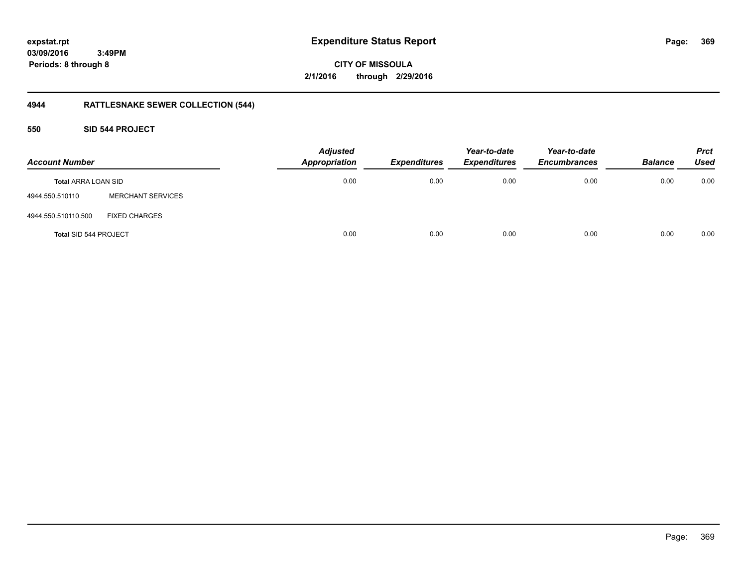**369**

**03/09/2016 3:49PM Periods: 8 through 8**

**CITY OF MISSOULA 2/1/2016 through 2/29/2016**

# **4944 RATTLESNAKE SEWER COLLECTION (544)**

**550 SID 544 PROJECT**

| <b>Account Number</b>      |                          | <b>Adjusted</b><br>Appropriation | <b>Expenditures</b> | Year-to-date<br><b>Expenditures</b> | Year-to-date<br><b>Encumbrances</b> | <b>Balance</b> | <b>Prct</b><br><b>Used</b> |
|----------------------------|--------------------------|----------------------------------|---------------------|-------------------------------------|-------------------------------------|----------------|----------------------------|
| <b>Total ARRA LOAN SID</b> |                          | 0.00                             | 0.00                | 0.00                                | 0.00                                | 0.00           | 0.00                       |
| 4944.550.510110            | <b>MERCHANT SERVICES</b> |                                  |                     |                                     |                                     |                |                            |
| 4944.550.510110.500        | <b>FIXED CHARGES</b>     |                                  |                     |                                     |                                     |                |                            |
| Total SID 544 PROJECT      |                          | 0.00                             | 0.00                | 0.00                                | 0.00                                | 0.00           | 0.00                       |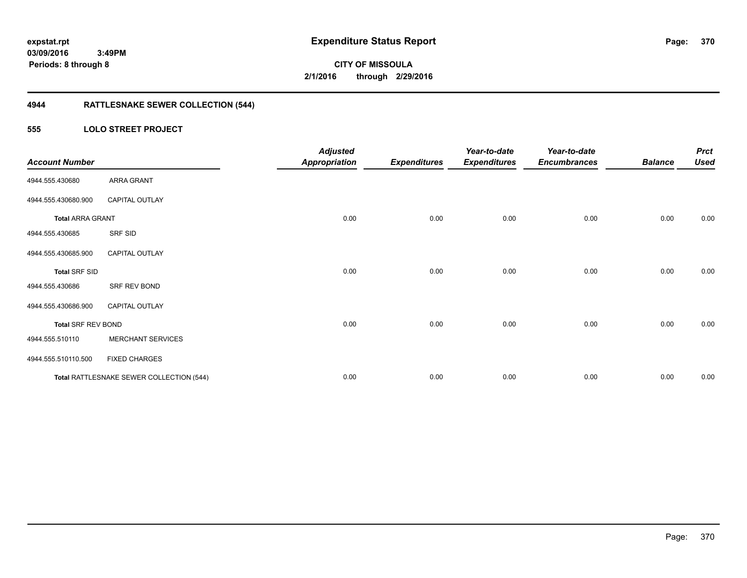**03/09/2016 3:49PM**

**Periods: 8 through 8**

**370**

**CITY OF MISSOULA 2/1/2016 through 2/29/2016**

# **4944 RATTLESNAKE SEWER COLLECTION (544)**

#### **555 LOLO STREET PROJECT**

| <b>Account Number</b>     |                                          | <b>Adjusted</b><br><b>Appropriation</b> | <b>Expenditures</b> | Year-to-date<br><b>Expenditures</b> | Year-to-date<br><b>Encumbrances</b> | <b>Balance</b> | <b>Prct</b><br><b>Used</b> |
|---------------------------|------------------------------------------|-----------------------------------------|---------------------|-------------------------------------|-------------------------------------|----------------|----------------------------|
| 4944.555.430680           | <b>ARRA GRANT</b>                        |                                         |                     |                                     |                                     |                |                            |
| 4944.555.430680.900       | CAPITAL OUTLAY                           |                                         |                     |                                     |                                     |                |                            |
| <b>Total ARRA GRANT</b>   |                                          | 0.00                                    | 0.00                | 0.00                                | 0.00                                | 0.00           | 0.00                       |
| 4944.555.430685           | SRF SID                                  |                                         |                     |                                     |                                     |                |                            |
| 4944.555.430685.900       | <b>CAPITAL OUTLAY</b>                    |                                         |                     |                                     |                                     |                |                            |
| <b>Total SRF SID</b>      |                                          | 0.00                                    | 0.00                | 0.00                                | 0.00                                | 0.00           | 0.00                       |
| 4944.555.430686           | SRF REV BOND                             |                                         |                     |                                     |                                     |                |                            |
| 4944.555.430686.900       | <b>CAPITAL OUTLAY</b>                    |                                         |                     |                                     |                                     |                |                            |
| <b>Total SRF REV BOND</b> |                                          | 0.00                                    | 0.00                | 0.00                                | 0.00                                | 0.00           | 0.00                       |
| 4944.555.510110           | <b>MERCHANT SERVICES</b>                 |                                         |                     |                                     |                                     |                |                            |
| 4944.555.510110.500       | <b>FIXED CHARGES</b>                     |                                         |                     |                                     |                                     |                |                            |
|                           | Total RATTLESNAKE SEWER COLLECTION (544) | 0.00                                    | 0.00                | 0.00                                | 0.00                                | 0.00           | 0.00                       |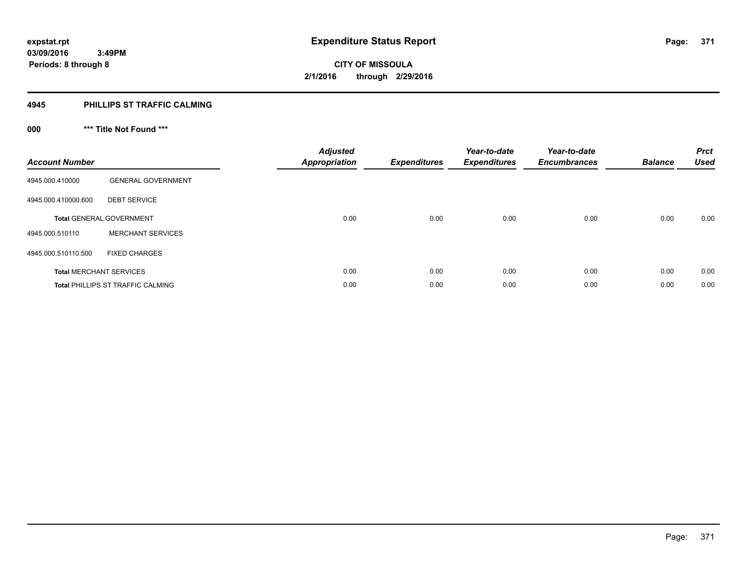#### **4945 PHILLIPS ST TRAFFIC CALMING**

# **000 \*\*\* Title Not Found \*\*\***

| <b>Account Number</b>          |                                   | <b>Adjusted</b><br><b>Appropriation</b> | <b>Expenditures</b> | Year-to-date<br><b>Expenditures</b> | Year-to-date<br><b>Encumbrances</b> | <b>Balance</b> | <b>Prct</b><br><b>Used</b> |
|--------------------------------|-----------------------------------|-----------------------------------------|---------------------|-------------------------------------|-------------------------------------|----------------|----------------------------|
| 4945.000.410000                | <b>GENERAL GOVERNMENT</b>         |                                         |                     |                                     |                                     |                |                            |
| 4945.000.410000.600            | <b>DEBT SERVICE</b>               |                                         |                     |                                     |                                     |                |                            |
|                                | <b>Total GENERAL GOVERNMENT</b>   | 0.00                                    | 0.00                | 0.00                                | 0.00                                | 0.00           | 0.00                       |
| 4945.000.510110                | <b>MERCHANT SERVICES</b>          |                                         |                     |                                     |                                     |                |                            |
| 4945.000.510110.500            | <b>FIXED CHARGES</b>              |                                         |                     |                                     |                                     |                |                            |
| <b>Total MERCHANT SERVICES</b> |                                   | 0.00                                    | 0.00                | 0.00                                | 0.00                                | 0.00           | 0.00                       |
|                                | Total PHILLIPS ST TRAFFIC CALMING | 0.00                                    | 0.00                | 0.00                                | 0.00                                | 0.00           | 0.00                       |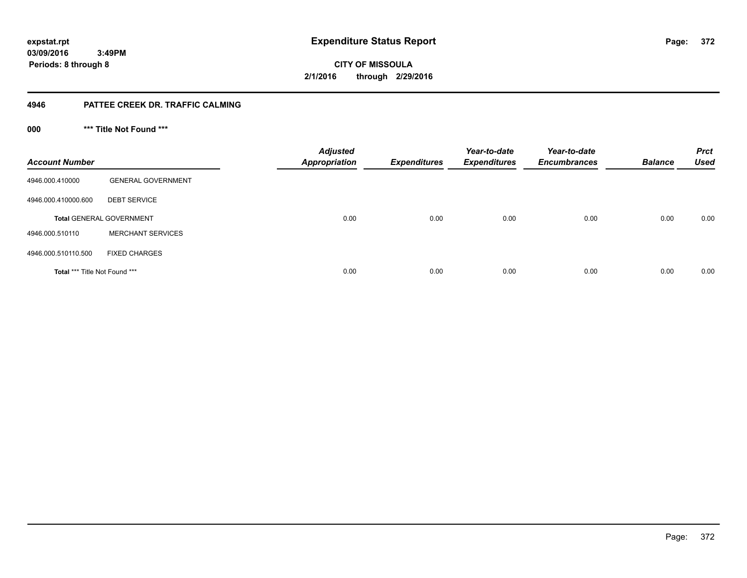**03/09/2016 3:49PM**

**Periods: 8 through 8**

**372**

**CITY OF MISSOULA 2/1/2016 through 2/29/2016**

#### **4946 PATTEE CREEK DR. TRAFFIC CALMING**

**000 \*\*\* Title Not Found \*\*\***

| <b>Account Number</b>         |                                 | <b>Adjusted</b><br><b>Appropriation</b> | <b>Expenditures</b> | Year-to-date<br><b>Expenditures</b> | Year-to-date<br><b>Encumbrances</b> | <b>Balance</b> | <b>Prct</b><br><b>Used</b> |
|-------------------------------|---------------------------------|-----------------------------------------|---------------------|-------------------------------------|-------------------------------------|----------------|----------------------------|
| 4946.000.410000               | <b>GENERAL GOVERNMENT</b>       |                                         |                     |                                     |                                     |                |                            |
| 4946.000.410000.600           | <b>DEBT SERVICE</b>             |                                         |                     |                                     |                                     |                |                            |
|                               | <b>Total GENERAL GOVERNMENT</b> | 0.00                                    | 0.00                | 0.00                                | 0.00                                | 0.00           | 0.00                       |
| 4946.000.510110               | <b>MERCHANT SERVICES</b>        |                                         |                     |                                     |                                     |                |                            |
| 4946.000.510110.500           | <b>FIXED CHARGES</b>            |                                         |                     |                                     |                                     |                |                            |
| Total *** Title Not Found *** |                                 | 0.00                                    | 0.00                | 0.00                                | 0.00                                | 0.00           | 0.00                       |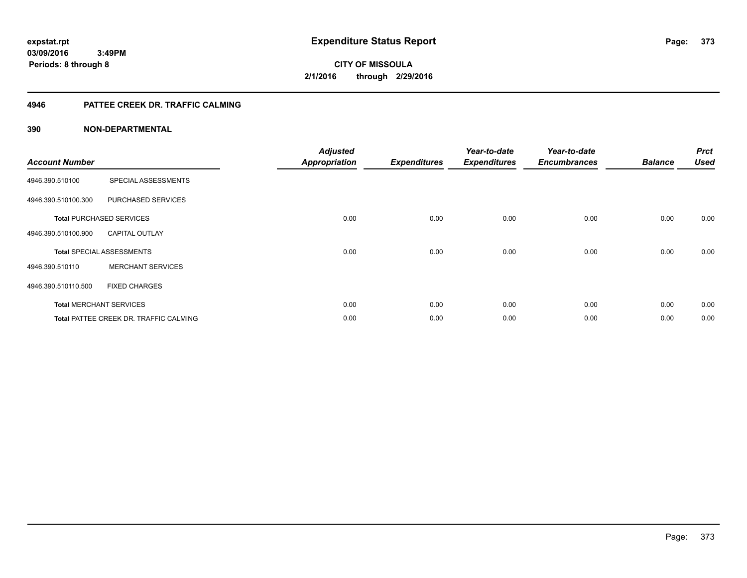**CITY OF MISSOULA 2/1/2016 through 2/29/2016**

#### **4946 PATTEE CREEK DR. TRAFFIC CALMING**

| <b>Account Number</b> |                                        | <b>Adjusted</b><br><b>Appropriation</b> | <b>Expenditures</b> | Year-to-date<br><b>Expenditures</b> | Year-to-date<br><b>Encumbrances</b> | <b>Balance</b> | <b>Prct</b><br><b>Used</b> |
|-----------------------|----------------------------------------|-----------------------------------------|---------------------|-------------------------------------|-------------------------------------|----------------|----------------------------|
| 4946.390.510100       | SPECIAL ASSESSMENTS                    |                                         |                     |                                     |                                     |                |                            |
| 4946.390.510100.300   | PURCHASED SERVICES                     |                                         |                     |                                     |                                     |                |                            |
|                       | <b>Total PURCHASED SERVICES</b>        | 0.00                                    | 0.00                | 0.00                                | 0.00                                | 0.00           | 0.00                       |
| 4946.390.510100.900   | <b>CAPITAL OUTLAY</b>                  |                                         |                     |                                     |                                     |                |                            |
|                       | <b>Total SPECIAL ASSESSMENTS</b>       | 0.00                                    | 0.00                | 0.00                                | 0.00                                | 0.00           | 0.00                       |
| 4946.390.510110       | <b>MERCHANT SERVICES</b>               |                                         |                     |                                     |                                     |                |                            |
| 4946.390.510110.500   | <b>FIXED CHARGES</b>                   |                                         |                     |                                     |                                     |                |                            |
|                       | <b>Total MERCHANT SERVICES</b>         | 0.00                                    | 0.00                | 0.00                                | 0.00                                | 0.00           | 0.00                       |
|                       | Total PATTEE CREEK DR. TRAFFIC CALMING | 0.00                                    | 0.00                | 0.00                                | 0.00                                | 0.00           | 0.00                       |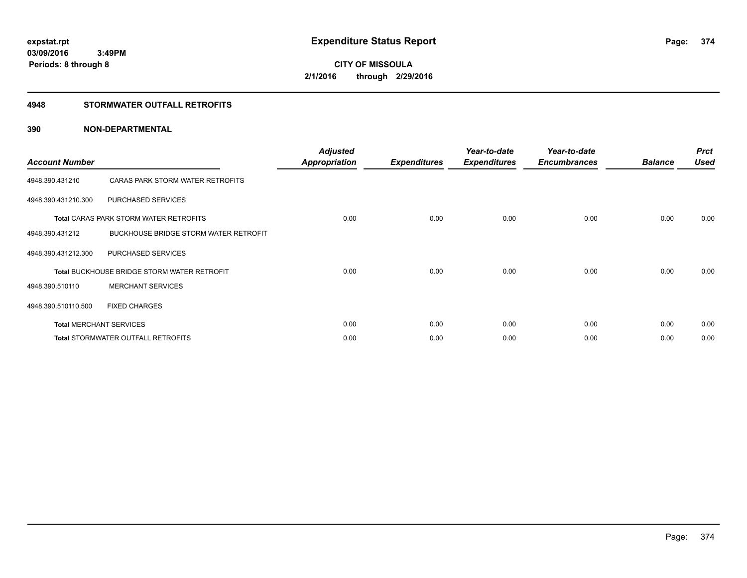#### **4948 STORMWATER OUTFALL RETROFITS**

| <b>Account Number</b> |                                                    | <b>Adjusted</b><br><b>Appropriation</b> | <b>Expenditures</b> | Year-to-date<br><b>Expenditures</b> | Year-to-date<br><b>Encumbrances</b> | <b>Balance</b> | <b>Prct</b><br><b>Used</b> |
|-----------------------|----------------------------------------------------|-----------------------------------------|---------------------|-------------------------------------|-------------------------------------|----------------|----------------------------|
| 4948.390.431210       | CARAS PARK STORM WATER RETROFITS                   |                                         |                     |                                     |                                     |                |                            |
| 4948.390.431210.300   | PURCHASED SERVICES                                 |                                         |                     |                                     |                                     |                |                            |
|                       | <b>Total CARAS PARK STORM WATER RETROFITS</b>      | 0.00                                    | 0.00                | 0.00                                | 0.00                                | 0.00           | 0.00                       |
| 4948.390.431212       | BUCKHOUSE BRIDGE STORM WATER RETROFIT              |                                         |                     |                                     |                                     |                |                            |
| 4948.390.431212.300   | PURCHASED SERVICES                                 |                                         |                     |                                     |                                     |                |                            |
|                       | <b>Total BUCKHOUSE BRIDGE STORM WATER RETROFIT</b> | 0.00                                    | 0.00                | 0.00                                | 0.00                                | 0.00           | 0.00                       |
| 4948.390.510110       | <b>MERCHANT SERVICES</b>                           |                                         |                     |                                     |                                     |                |                            |
| 4948.390.510110.500   | <b>FIXED CHARGES</b>                               |                                         |                     |                                     |                                     |                |                            |
|                       | <b>Total MERCHANT SERVICES</b>                     | 0.00                                    | 0.00                | 0.00                                | 0.00                                | 0.00           | 0.00                       |
|                       | <b>Total STORMWATER OUTFALL RETROFITS</b>          | 0.00                                    | 0.00                | 0.00                                | 0.00                                | 0.00           | 0.00                       |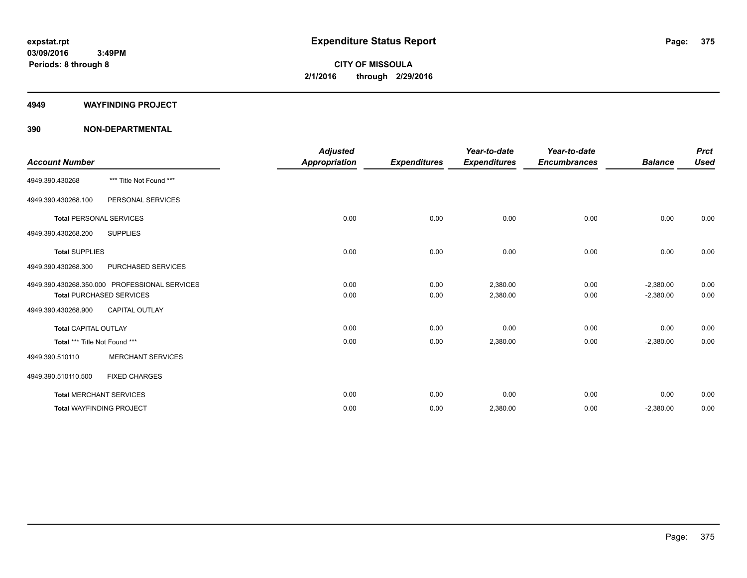#### **4949 WAYFINDING PROJECT**

|                                 |                                               | <b>Adjusted</b>      |                     | Year-to-date        | Year-to-date        |                | <b>Prct</b> |
|---------------------------------|-----------------------------------------------|----------------------|---------------------|---------------------|---------------------|----------------|-------------|
| <b>Account Number</b>           |                                               | <b>Appropriation</b> | <b>Expenditures</b> | <b>Expenditures</b> | <b>Encumbrances</b> | <b>Balance</b> | <b>Used</b> |
| 4949.390.430268                 | *** Title Not Found ***                       |                      |                     |                     |                     |                |             |
| 4949.390.430268.100             | PERSONAL SERVICES                             |                      |                     |                     |                     |                |             |
| <b>Total PERSONAL SERVICES</b>  |                                               | 0.00                 | 0.00                | 0.00                | 0.00                | 0.00           | 0.00        |
| 4949.390.430268.200             | <b>SUPPLIES</b>                               |                      |                     |                     |                     |                |             |
| <b>Total SUPPLIES</b>           |                                               | 0.00                 | 0.00                | 0.00                | 0.00                | 0.00           | 0.00        |
| 4949.390.430268.300             | PURCHASED SERVICES                            |                      |                     |                     |                     |                |             |
|                                 | 4949.390.430268.350.000 PROFESSIONAL SERVICES | 0.00                 | 0.00                | 2,380.00            | 0.00                | $-2,380.00$    | 0.00        |
|                                 | <b>Total PURCHASED SERVICES</b>               | 0.00                 | 0.00                | 2,380.00            | 0.00                | $-2,380.00$    | 0.00        |
| 4949.390.430268.900             | <b>CAPITAL OUTLAY</b>                         |                      |                     |                     |                     |                |             |
| <b>Total CAPITAL OUTLAY</b>     |                                               | 0.00                 | 0.00                | 0.00                | 0.00                | 0.00           | 0.00        |
| Total *** Title Not Found ***   |                                               | 0.00                 | 0.00                | 2,380.00            | 0.00                | $-2,380.00$    | 0.00        |
| 4949.390.510110                 | <b>MERCHANT SERVICES</b>                      |                      |                     |                     |                     |                |             |
| 4949.390.510110.500             | <b>FIXED CHARGES</b>                          |                      |                     |                     |                     |                |             |
| <b>Total MERCHANT SERVICES</b>  |                                               | 0.00                 | 0.00                | 0.00                | 0.00                | 0.00           | 0.00        |
| <b>Total WAYFINDING PROJECT</b> |                                               | 0.00                 | 0.00                | 2,380.00            | 0.00                | $-2,380.00$    | 0.00        |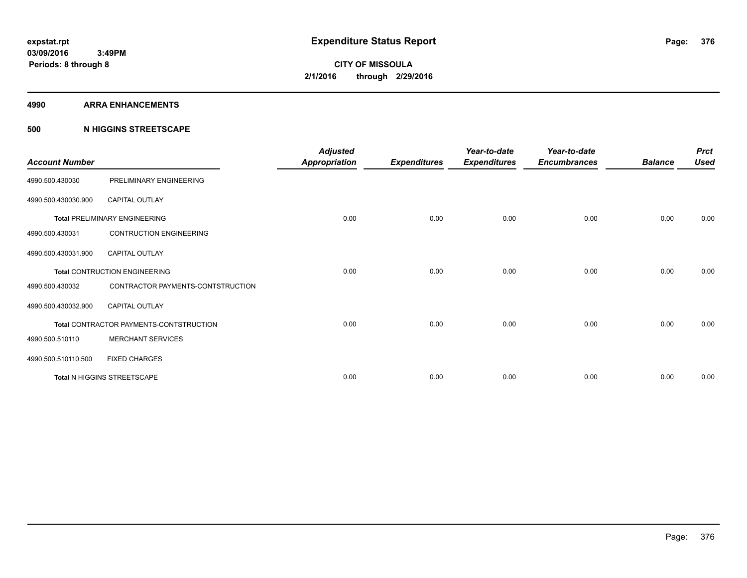#### **4990 ARRA ENHANCEMENTS**

#### **500 N HIGGINS STREETSCAPE**

| <b>Account Number</b> |                                         | <b>Adjusted</b><br><b>Appropriation</b> | <b>Expenditures</b> | Year-to-date<br><b>Expenditures</b> | Year-to-date<br><b>Encumbrances</b> | <b>Balance</b> | <b>Prct</b><br><b>Used</b> |
|-----------------------|-----------------------------------------|-----------------------------------------|---------------------|-------------------------------------|-------------------------------------|----------------|----------------------------|
| 4990.500.430030       | PRELIMINARY ENGINEERING                 |                                         |                     |                                     |                                     |                |                            |
| 4990.500.430030.900   | CAPITAL OUTLAY                          |                                         |                     |                                     |                                     |                |                            |
|                       | <b>Total PRELIMINARY ENGINEERING</b>    | 0.00                                    | 0.00                | 0.00                                | 0.00                                | 0.00           | 0.00                       |
| 4990.500.430031       | <b>CONTRUCTION ENGINEERING</b>          |                                         |                     |                                     |                                     |                |                            |
| 4990.500.430031.900   | <b>CAPITAL OUTLAY</b>                   |                                         |                     |                                     |                                     |                |                            |
|                       | <b>Total CONTRUCTION ENGINEERING</b>    | 0.00                                    | 0.00                | 0.00                                | 0.00                                | 0.00           | 0.00                       |
| 4990.500.430032       | CONTRACTOR PAYMENTS-CONTSTRUCTION       |                                         |                     |                                     |                                     |                |                            |
| 4990.500.430032.900   | <b>CAPITAL OUTLAY</b>                   |                                         |                     |                                     |                                     |                |                            |
|                       | Total CONTRACTOR PAYMENTS-CONTSTRUCTION | 0.00                                    | 0.00                | 0.00                                | 0.00                                | 0.00           | 0.00                       |
| 4990.500.510110       | <b>MERCHANT SERVICES</b>                |                                         |                     |                                     |                                     |                |                            |
| 4990.500.510110.500   | <b>FIXED CHARGES</b>                    |                                         |                     |                                     |                                     |                |                            |
|                       | Total N HIGGINS STREETSCAPE             | 0.00                                    | 0.00                | 0.00                                | 0.00                                | 0.00           | 0.00                       |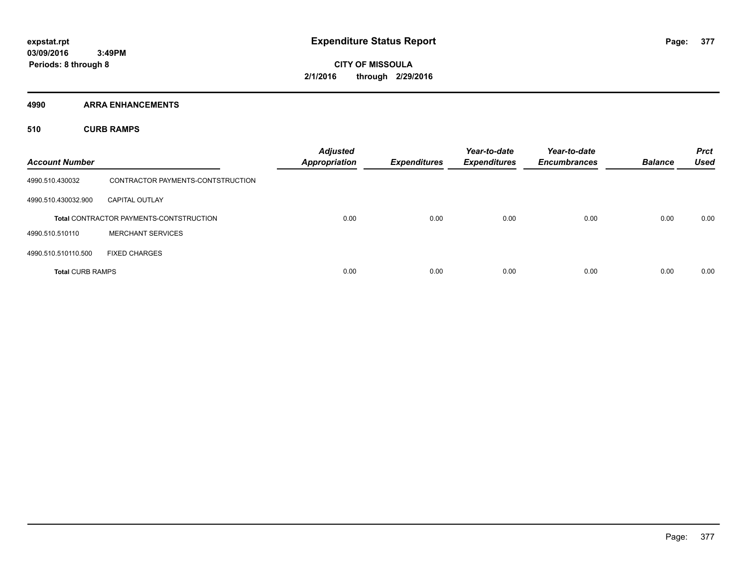**4990 ARRA ENHANCEMENTS**

**510 CURB RAMPS**

| <b>Account Number</b>   |                                                | <b>Adjusted</b><br><b>Appropriation</b> | <b>Expenditures</b> | Year-to-date<br><b>Expenditures</b> | Year-to-date<br><b>Encumbrances</b> | <b>Balance</b> | <b>Prct</b><br><b>Used</b> |
|-------------------------|------------------------------------------------|-----------------------------------------|---------------------|-------------------------------------|-------------------------------------|----------------|----------------------------|
| 4990.510.430032         | CONTRACTOR PAYMENTS-CONTSTRUCTION              |                                         |                     |                                     |                                     |                |                            |
| 4990.510.430032.900     | <b>CAPITAL OUTLAY</b>                          |                                         |                     |                                     |                                     |                |                            |
|                         | <b>Total CONTRACTOR PAYMENTS-CONTSTRUCTION</b> | 0.00                                    | 0.00                | 0.00                                | 0.00                                | 0.00           | 0.00                       |
| 4990.510.510110         | <b>MERCHANT SERVICES</b>                       |                                         |                     |                                     |                                     |                |                            |
| 4990.510.510110.500     | <b>FIXED CHARGES</b>                           |                                         |                     |                                     |                                     |                |                            |
| <b>Total CURB RAMPS</b> |                                                | 0.00                                    | 0.00                | 0.00                                | 0.00                                | 0.00           | 0.00                       |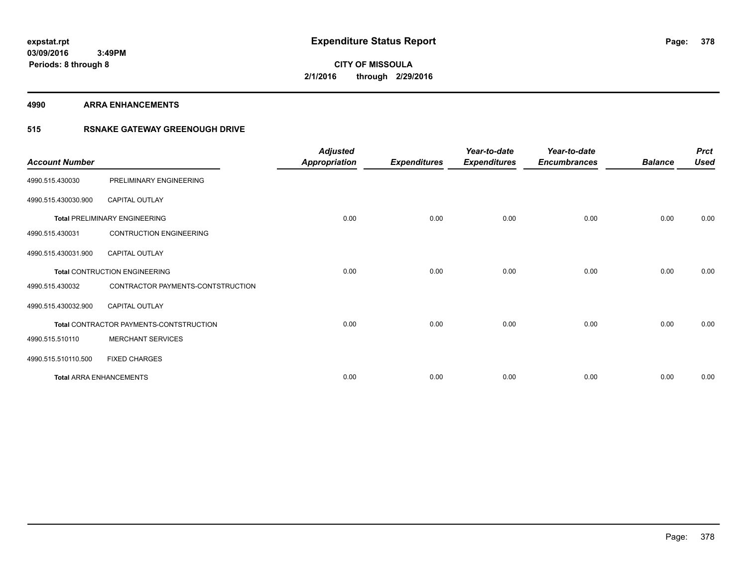**4990 ARRA ENHANCEMENTS**

### **515 RSNAKE GATEWAY GREENOUGH DRIVE**

| <b>Account Number</b> |                                         | <b>Adjusted</b><br><b>Appropriation</b> | <b>Expenditures</b> | Year-to-date<br><b>Expenditures</b> | Year-to-date<br><b>Encumbrances</b> | <b>Balance</b> | <b>Prct</b><br><b>Used</b> |
|-----------------------|-----------------------------------------|-----------------------------------------|---------------------|-------------------------------------|-------------------------------------|----------------|----------------------------|
| 4990.515.430030       | PRELIMINARY ENGINEERING                 |                                         |                     |                                     |                                     |                |                            |
| 4990.515.430030.900   | CAPITAL OUTLAY                          |                                         |                     |                                     |                                     |                |                            |
|                       | <b>Total PRELIMINARY ENGINEERING</b>    | 0.00                                    | 0.00                | 0.00                                | 0.00                                | 0.00           | 0.00                       |
| 4990.515.430031       | <b>CONTRUCTION ENGINEERING</b>          |                                         |                     |                                     |                                     |                |                            |
| 4990.515.430031.900   | <b>CAPITAL OUTLAY</b>                   |                                         |                     |                                     |                                     |                |                            |
|                       | <b>Total CONTRUCTION ENGINEERING</b>    | 0.00                                    | 0.00                | 0.00                                | 0.00                                | 0.00           | 0.00                       |
| 4990.515.430032       | CONTRACTOR PAYMENTS-CONTSTRUCTION       |                                         |                     |                                     |                                     |                |                            |
| 4990.515.430032.900   | <b>CAPITAL OUTLAY</b>                   |                                         |                     |                                     |                                     |                |                            |
|                       | Total CONTRACTOR PAYMENTS-CONTSTRUCTION | 0.00                                    | 0.00                | 0.00                                | 0.00                                | 0.00           | 0.00                       |
| 4990.515.510110       | <b>MERCHANT SERVICES</b>                |                                         |                     |                                     |                                     |                |                            |
| 4990.515.510110.500   | <b>FIXED CHARGES</b>                    |                                         |                     |                                     |                                     |                |                            |
|                       | <b>Total ARRA ENHANCEMENTS</b>          | 0.00                                    | 0.00                | 0.00                                | 0.00                                | 0.00           | 0.00                       |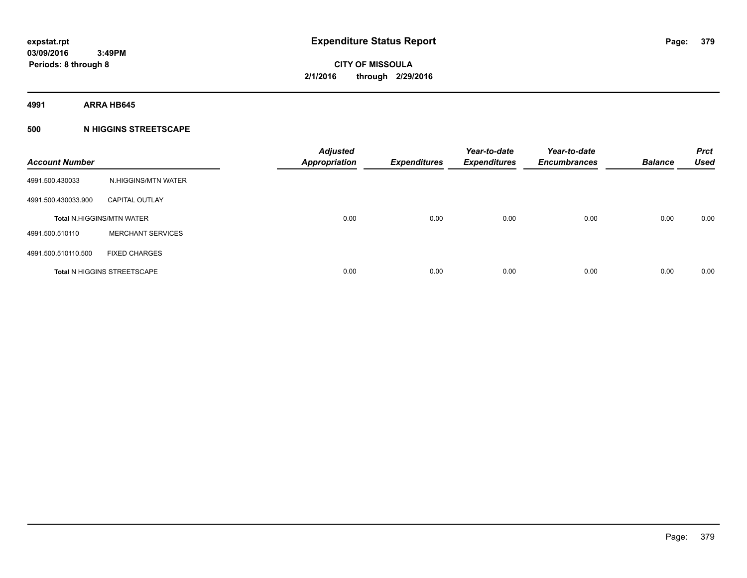**4991 ARRA HB645**

### **500 N HIGGINS STREETSCAPE**

| <b>Account Number</b> |                                    | <b>Adjusted</b><br><b>Appropriation</b> | <b>Expenditures</b> | Year-to-date<br><b>Expenditures</b> | Year-to-date<br><b>Encumbrances</b> | <b>Balance</b> | <b>Prct</b><br><b>Used</b> |
|-----------------------|------------------------------------|-----------------------------------------|---------------------|-------------------------------------|-------------------------------------|----------------|----------------------------|
| 4991.500.430033       | N.HIGGINS/MTN WATER                |                                         |                     |                                     |                                     |                |                            |
| 4991.500.430033.900   | <b>CAPITAL OUTLAY</b>              |                                         |                     |                                     |                                     |                |                            |
|                       | <b>Total N.HIGGINS/MTN WATER</b>   | 0.00                                    | 0.00                | 0.00                                | 0.00                                | 0.00           | 0.00                       |
| 4991.500.510110       | <b>MERCHANT SERVICES</b>           |                                         |                     |                                     |                                     |                |                            |
| 4991.500.510110.500   | <b>FIXED CHARGES</b>               |                                         |                     |                                     |                                     |                |                            |
|                       | <b>Total N HIGGINS STREETSCAPE</b> | 0.00                                    | 0.00                | 0.00                                | 0.00                                | 0.00           | 0.00                       |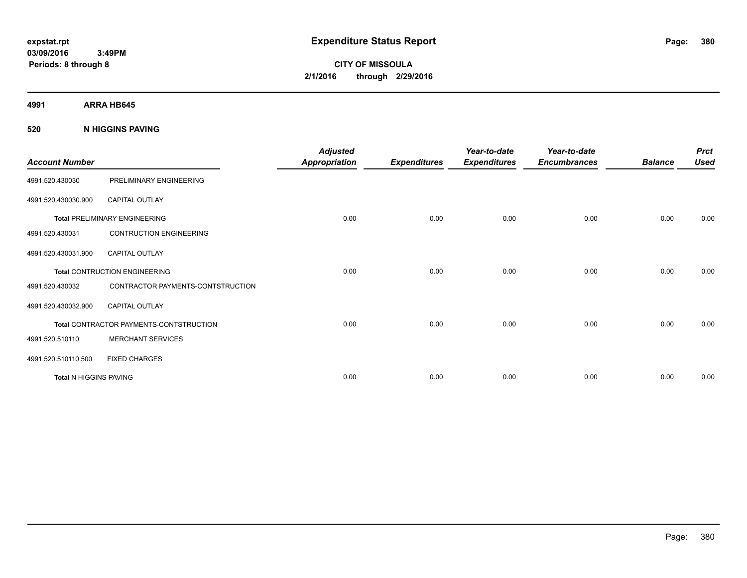**CITY OF MISSOULA 2/1/2016 through 2/29/2016**

**4991 ARRA HB645**

**520 N HIGGINS PAVING**

| <b>Account Number</b>         |                                         | <b>Adjusted</b><br><b>Appropriation</b> | <b>Expenditures</b> | Year-to-date<br><b>Expenditures</b> | Year-to-date<br><b>Encumbrances</b> | <b>Balance</b> | <b>Prct</b><br><b>Used</b> |
|-------------------------------|-----------------------------------------|-----------------------------------------|---------------------|-------------------------------------|-------------------------------------|----------------|----------------------------|
| 4991.520.430030               | PRELIMINARY ENGINEERING                 |                                         |                     |                                     |                                     |                |                            |
| 4991.520.430030.900           | <b>CAPITAL OUTLAY</b>                   |                                         |                     |                                     |                                     |                |                            |
|                               | <b>Total PRELIMINARY ENGINEERING</b>    | 0.00                                    | 0.00                | 0.00                                | 0.00                                | 0.00           | 0.00                       |
| 4991.520.430031               | <b>CONTRUCTION ENGINEERING</b>          |                                         |                     |                                     |                                     |                |                            |
| 4991.520.430031.900           | <b>CAPITAL OUTLAY</b>                   |                                         |                     |                                     |                                     |                |                            |
|                               | <b>Total CONTRUCTION ENGINEERING</b>    | 0.00                                    | 0.00                | 0.00                                | 0.00                                | 0.00           | 0.00                       |
| 4991.520.430032               | CONTRACTOR PAYMENTS-CONTSTRUCTION       |                                         |                     |                                     |                                     |                |                            |
| 4991.520.430032.900           | <b>CAPITAL OUTLAY</b>                   |                                         |                     |                                     |                                     |                |                            |
|                               | Total CONTRACTOR PAYMENTS-CONTSTRUCTION | 0.00                                    | 0.00                | 0.00                                | 0.00                                | 0.00           | 0.00                       |
| 4991.520.510110               | <b>MERCHANT SERVICES</b>                |                                         |                     |                                     |                                     |                |                            |
| 4991.520.510110.500           | <b>FIXED CHARGES</b>                    |                                         |                     |                                     |                                     |                |                            |
| <b>Total N HIGGINS PAVING</b> |                                         | 0.00                                    | 0.00                | 0.00                                | 0.00                                | 0.00           | 0.00                       |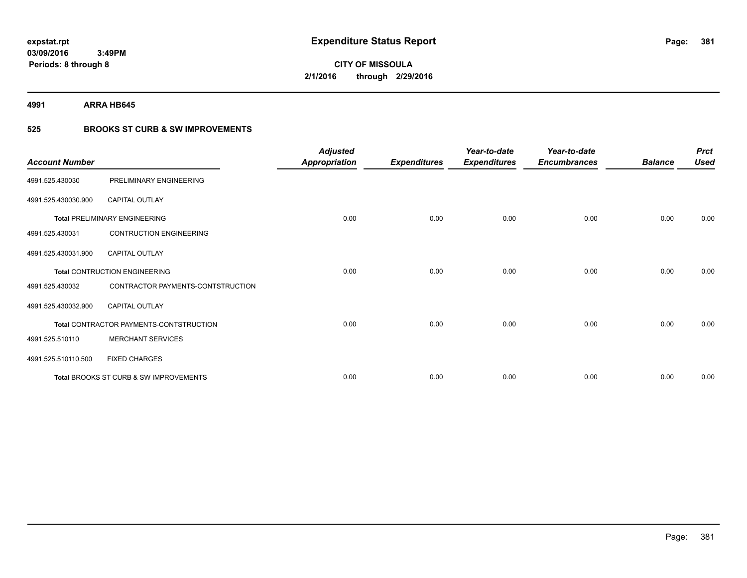**4991 ARRA HB645**

### **525 BROOKS ST CURB & SW IMPROVEMENTS**

| <b>Account Number</b> |                                         | <b>Adjusted</b><br><b>Appropriation</b> | <b>Expenditures</b> | Year-to-date<br><b>Expenditures</b> | Year-to-date<br><b>Encumbrances</b> | <b>Balance</b> | <b>Prct</b><br><b>Used</b> |
|-----------------------|-----------------------------------------|-----------------------------------------|---------------------|-------------------------------------|-------------------------------------|----------------|----------------------------|
| 4991.525.430030       | PRELIMINARY ENGINEERING                 |                                         |                     |                                     |                                     |                |                            |
| 4991.525.430030.900   | <b>CAPITAL OUTLAY</b>                   |                                         |                     |                                     |                                     |                |                            |
|                       | <b>Total PRELIMINARY ENGINEERING</b>    | 0.00                                    | 0.00                | 0.00                                | 0.00                                | 0.00           | 0.00                       |
| 4991.525.430031       | <b>CONTRUCTION ENGINEERING</b>          |                                         |                     |                                     |                                     |                |                            |
| 4991.525.430031.900   | <b>CAPITAL OUTLAY</b>                   |                                         |                     |                                     |                                     |                |                            |
|                       | <b>Total CONTRUCTION ENGINEERING</b>    | 0.00                                    | 0.00                | 0.00                                | 0.00                                | 0.00           | 0.00                       |
| 4991.525.430032       | CONTRACTOR PAYMENTS-CONTSTRUCTION       |                                         |                     |                                     |                                     |                |                            |
| 4991.525.430032.900   | <b>CAPITAL OUTLAY</b>                   |                                         |                     |                                     |                                     |                |                            |
|                       | Total CONTRACTOR PAYMENTS-CONTSTRUCTION | 0.00                                    | 0.00                | 0.00                                | 0.00                                | 0.00           | 0.00                       |
| 4991.525.510110       | <b>MERCHANT SERVICES</b>                |                                         |                     |                                     |                                     |                |                            |
| 4991.525.510110.500   | <b>FIXED CHARGES</b>                    |                                         |                     |                                     |                                     |                |                            |
|                       | Total BROOKS ST CURB & SW IMPROVEMENTS  | 0.00                                    | 0.00                | 0.00                                | 0.00                                | 0.00           | 0.00                       |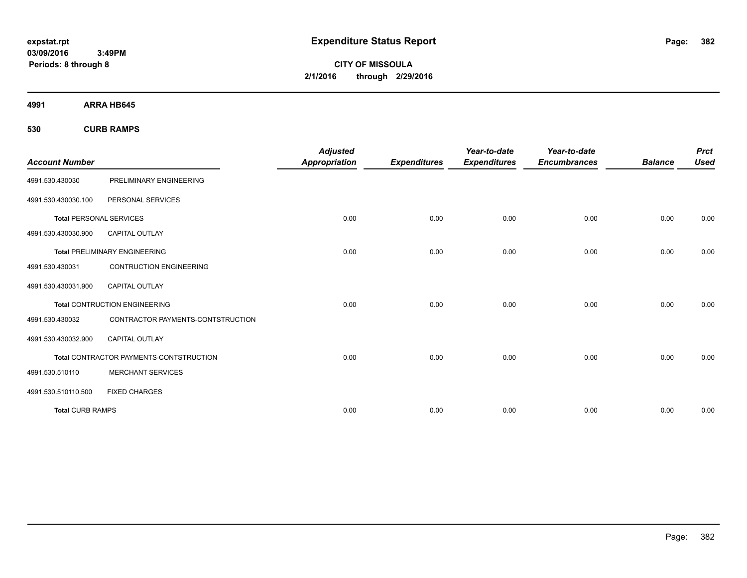**CITY OF MISSOULA 2/1/2016 through 2/29/2016**

**4991 ARRA HB645**

**530 CURB RAMPS**

| <b>Account Number</b>          |                                         | <b>Adjusted</b><br><b>Appropriation</b> | <b>Expenditures</b> | Year-to-date<br><b>Expenditures</b> | Year-to-date<br><b>Encumbrances</b> | <b>Balance</b> | <b>Prct</b><br><b>Used</b> |
|--------------------------------|-----------------------------------------|-----------------------------------------|---------------------|-------------------------------------|-------------------------------------|----------------|----------------------------|
| 4991.530.430030                | PRELIMINARY ENGINEERING                 |                                         |                     |                                     |                                     |                |                            |
| 4991.530.430030.100            | PERSONAL SERVICES                       |                                         |                     |                                     |                                     |                |                            |
| <b>Total PERSONAL SERVICES</b> |                                         | 0.00                                    | 0.00                | 0.00                                | 0.00                                | 0.00           | 0.00                       |
| 4991.530.430030.900            | <b>CAPITAL OUTLAY</b>                   |                                         |                     |                                     |                                     |                |                            |
|                                | <b>Total PRELIMINARY ENGINEERING</b>    | 0.00                                    | 0.00                | 0.00                                | 0.00                                | 0.00           | 0.00                       |
| 4991.530.430031                | <b>CONTRUCTION ENGINEERING</b>          |                                         |                     |                                     |                                     |                |                            |
| 4991.530.430031.900            | <b>CAPITAL OUTLAY</b>                   |                                         |                     |                                     |                                     |                |                            |
|                                | <b>Total CONTRUCTION ENGINEERING</b>    | 0.00                                    | 0.00                | 0.00                                | 0.00                                | 0.00           | 0.00                       |
| 4991.530.430032                | CONTRACTOR PAYMENTS-CONTSTRUCTION       |                                         |                     |                                     |                                     |                |                            |
| 4991.530.430032.900            | <b>CAPITAL OUTLAY</b>                   |                                         |                     |                                     |                                     |                |                            |
|                                | Total CONTRACTOR PAYMENTS-CONTSTRUCTION | 0.00                                    | 0.00                | 0.00                                | 0.00                                | 0.00           | 0.00                       |
| 4991.530.510110                | <b>MERCHANT SERVICES</b>                |                                         |                     |                                     |                                     |                |                            |
| 4991.530.510110.500            | <b>FIXED CHARGES</b>                    |                                         |                     |                                     |                                     |                |                            |
| <b>Total CURB RAMPS</b>        |                                         | 0.00                                    | 0.00                | 0.00                                | 0.00                                | 0.00           | 0.00                       |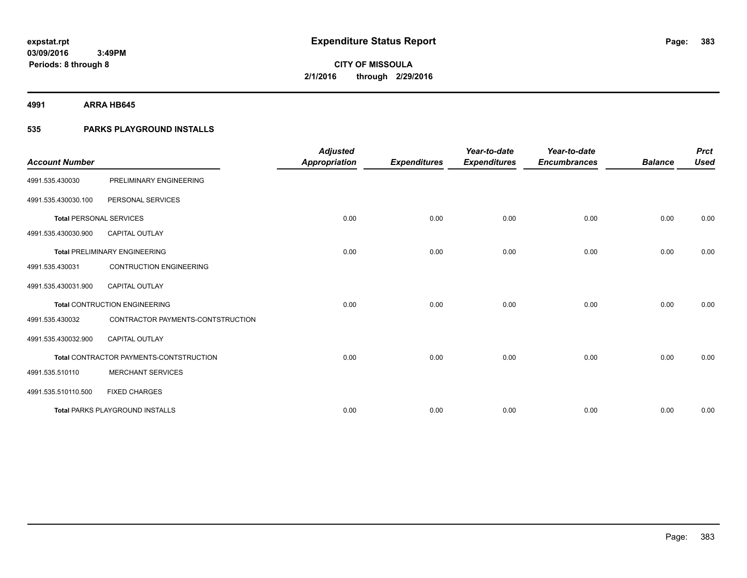**4991 ARRA HB645**

### **535 PARKS PLAYGROUND INSTALLS**

| <b>Account Number</b>          |                                         | <b>Adjusted</b><br><b>Appropriation</b> | <b>Expenditures</b> | Year-to-date<br><b>Expenditures</b> | Year-to-date<br><b>Encumbrances</b> | <b>Balance</b> | <b>Prct</b><br><b>Used</b> |
|--------------------------------|-----------------------------------------|-----------------------------------------|---------------------|-------------------------------------|-------------------------------------|----------------|----------------------------|
| 4991.535.430030                | PRELIMINARY ENGINEERING                 |                                         |                     |                                     |                                     |                |                            |
|                                |                                         |                                         |                     |                                     |                                     |                |                            |
| 4991.535.430030.100            | PERSONAL SERVICES                       |                                         |                     |                                     |                                     |                |                            |
| <b>Total PERSONAL SERVICES</b> |                                         | 0.00                                    | 0.00                | 0.00                                | 0.00                                | 0.00           | 0.00                       |
| 4991.535.430030.900            | <b>CAPITAL OUTLAY</b>                   |                                         |                     |                                     |                                     |                |                            |
|                                | <b>Total PRELIMINARY ENGINEERING</b>    | 0.00                                    | 0.00                | 0.00                                | 0.00                                | 0.00           | 0.00                       |
| 4991.535.430031                | <b>CONTRUCTION ENGINEERING</b>          |                                         |                     |                                     |                                     |                |                            |
| 4991.535.430031.900            | <b>CAPITAL OUTLAY</b>                   |                                         |                     |                                     |                                     |                |                            |
|                                | <b>Total CONTRUCTION ENGINEERING</b>    | 0.00                                    | 0.00                | 0.00                                | 0.00                                | 0.00           | 0.00                       |
| 4991.535.430032                | CONTRACTOR PAYMENTS-CONTSTRUCTION       |                                         |                     |                                     |                                     |                |                            |
| 4991.535.430032.900            | <b>CAPITAL OUTLAY</b>                   |                                         |                     |                                     |                                     |                |                            |
|                                | Total CONTRACTOR PAYMENTS-CONTSTRUCTION | 0.00                                    | 0.00                | 0.00                                | 0.00                                | 0.00           | 0.00                       |
| 4991.535.510110                | <b>MERCHANT SERVICES</b>                |                                         |                     |                                     |                                     |                |                            |
| 4991.535.510110.500            | <b>FIXED CHARGES</b>                    |                                         |                     |                                     |                                     |                |                            |
|                                | <b>Total PARKS PLAYGROUND INSTALLS</b>  | 0.00                                    | 0.00                | 0.00                                | 0.00                                | 0.00           | 0.00                       |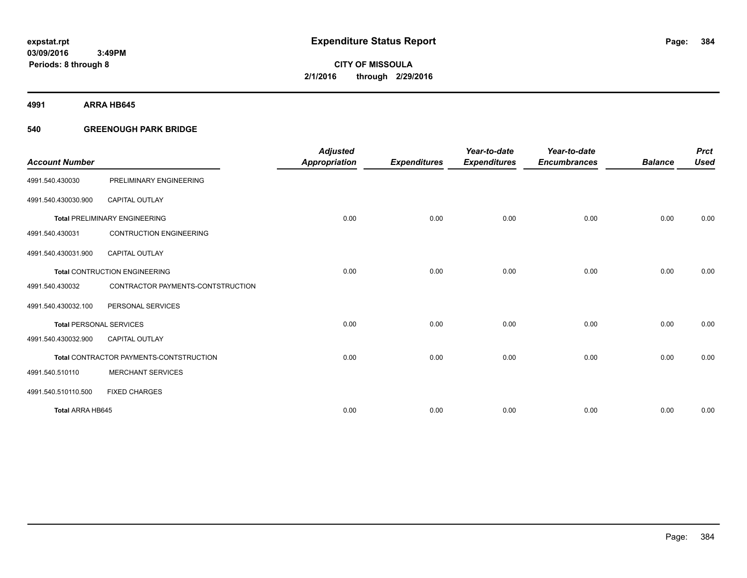**Periods: 8 through 8**

**CITY OF MISSOULA 2/1/2016 through 2/29/2016**

**4991 ARRA HB645**

#### **540 GREENOUGH PARK BRIDGE**

| <b>Account Number</b>          |                                         | <b>Adjusted</b><br><b>Appropriation</b> | <b>Expenditures</b> | Year-to-date<br><b>Expenditures</b> | Year-to-date<br><b>Encumbrances</b> | <b>Balance</b> | <b>Prct</b><br><b>Used</b> |
|--------------------------------|-----------------------------------------|-----------------------------------------|---------------------|-------------------------------------|-------------------------------------|----------------|----------------------------|
| 4991.540.430030                | PRELIMINARY ENGINEERING                 |                                         |                     |                                     |                                     |                |                            |
| 4991.540.430030.900            | <b>CAPITAL OUTLAY</b>                   |                                         |                     |                                     |                                     |                |                            |
|                                | <b>Total PRELIMINARY ENGINEERING</b>    | 0.00                                    | 0.00                | 0.00                                | 0.00                                | 0.00           | 0.00                       |
| 4991.540.430031                | <b>CONTRUCTION ENGINEERING</b>          |                                         |                     |                                     |                                     |                |                            |
| 4991.540.430031.900            | <b>CAPITAL OUTLAY</b>                   |                                         |                     |                                     |                                     |                |                            |
|                                | <b>Total CONTRUCTION ENGINEERING</b>    | 0.00                                    | 0.00                | 0.00                                | 0.00                                | 0.00           | 0.00                       |
| 4991.540.430032                | CONTRACTOR PAYMENTS-CONTSTRUCTION       |                                         |                     |                                     |                                     |                |                            |
| 4991.540.430032.100            | PERSONAL SERVICES                       |                                         |                     |                                     |                                     |                |                            |
| <b>Total PERSONAL SERVICES</b> |                                         | 0.00                                    | 0.00                | 0.00                                | 0.00                                | 0.00           | 0.00                       |
| 4991.540.430032.900            | <b>CAPITAL OUTLAY</b>                   |                                         |                     |                                     |                                     |                |                            |
|                                | Total CONTRACTOR PAYMENTS-CONTSTRUCTION | 0.00                                    | 0.00                | 0.00                                | 0.00                                | 0.00           | 0.00                       |
| 4991.540.510110                | <b>MERCHANT SERVICES</b>                |                                         |                     |                                     |                                     |                |                            |
| 4991.540.510110.500            | <b>FIXED CHARGES</b>                    |                                         |                     |                                     |                                     |                |                            |
| Total ARRA HB645               |                                         | 0.00                                    | 0.00                | 0.00                                | 0.00                                | 0.00           | 0.00                       |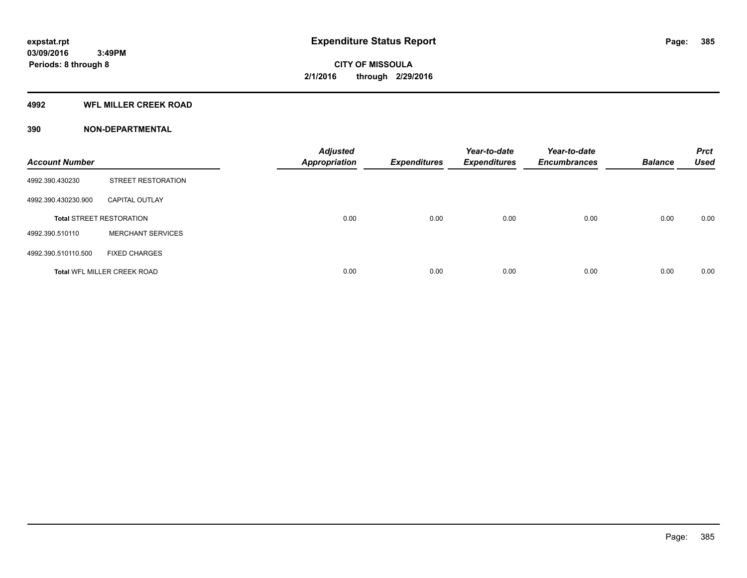#### **4992 WFL MILLER CREEK ROAD**

| <b>Account Number</b> |                                    | <b>Adjusted</b><br><b>Appropriation</b> | <b>Expenditures</b> | Year-to-date<br><b>Expenditures</b> | Year-to-date<br><b>Encumbrances</b> | <b>Balance</b> | <b>Prct</b><br><b>Used</b> |
|-----------------------|------------------------------------|-----------------------------------------|---------------------|-------------------------------------|-------------------------------------|----------------|----------------------------|
| 4992.390.430230       | <b>STREET RESTORATION</b>          |                                         |                     |                                     |                                     |                |                            |
| 4992.390.430230.900   | <b>CAPITAL OUTLAY</b>              |                                         |                     |                                     |                                     |                |                            |
|                       | <b>Total STREET RESTORATION</b>    | 0.00                                    | 0.00                | 0.00                                | 0.00                                | 0.00           | 0.00                       |
| 4992.390.510110       | <b>MERCHANT SERVICES</b>           |                                         |                     |                                     |                                     |                |                            |
| 4992.390.510110.500   | <b>FIXED CHARGES</b>               |                                         |                     |                                     |                                     |                |                            |
|                       | <b>Total WFL MILLER CREEK ROAD</b> | 0.00                                    | 0.00                | 0.00                                | 0.00                                | 0.00           | 0.00                       |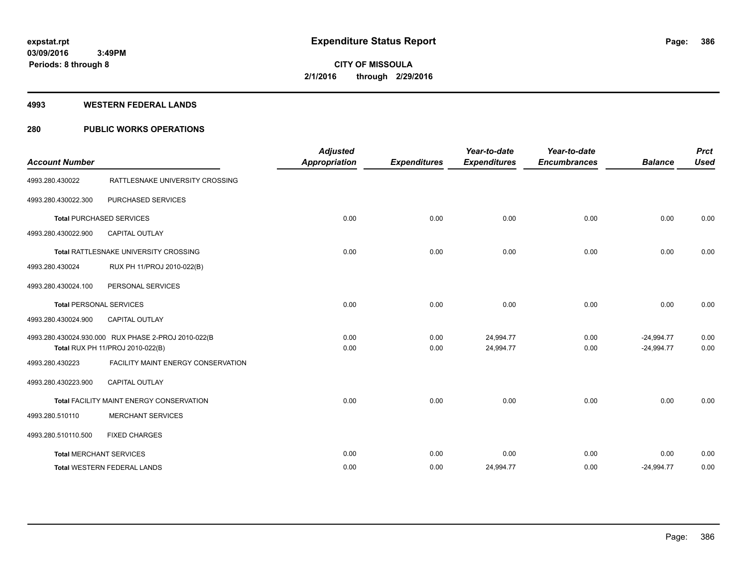#### **4993 WESTERN FEDERAL LANDS**

#### **280 PUBLIC WORKS OPERATIONS**

| <b>Account Number</b> |                                                                                         | <b>Adjusted</b><br><b>Appropriation</b> | <b>Expenditures</b> | Year-to-date<br><b>Expenditures</b> | Year-to-date<br><b>Encumbrances</b> | <b>Balance</b>               | <b>Prct</b><br><b>Used</b> |
|-----------------------|-----------------------------------------------------------------------------------------|-----------------------------------------|---------------------|-------------------------------------|-------------------------------------|------------------------------|----------------------------|
| 4993.280.430022       | RATTLESNAKE UNIVERSITY CROSSING                                                         |                                         |                     |                                     |                                     |                              |                            |
| 4993.280.430022.300   | PURCHASED SERVICES                                                                      |                                         |                     |                                     |                                     |                              |                            |
|                       | <b>Total PURCHASED SERVICES</b>                                                         | 0.00                                    | 0.00                | 0.00                                | 0.00                                | 0.00                         | 0.00                       |
| 4993.280.430022.900   | <b>CAPITAL OUTLAY</b>                                                                   |                                         |                     |                                     |                                     |                              |                            |
|                       | Total RATTLESNAKE UNIVERSITY CROSSING                                                   | 0.00                                    | 0.00                | 0.00                                | 0.00                                | 0.00                         | 0.00                       |
| 4993.280.430024       | RUX PH 11/PROJ 2010-022(B)                                                              |                                         |                     |                                     |                                     |                              |                            |
| 4993.280.430024.100   | PERSONAL SERVICES                                                                       |                                         |                     |                                     |                                     |                              |                            |
|                       | <b>Total PERSONAL SERVICES</b>                                                          | 0.00                                    | 0.00                | 0.00                                | 0.00                                | 0.00                         | 0.00                       |
| 4993.280.430024.900   | <b>CAPITAL OUTLAY</b>                                                                   |                                         |                     |                                     |                                     |                              |                            |
|                       | 4993.280.430024.930.000 RUX PHASE 2-PROJ 2010-022(B<br>Total RUX PH 11/PROJ 2010-022(B) | 0.00<br>0.00                            | 0.00<br>0.00        | 24,994.77<br>24,994.77              | 0.00<br>0.00                        | $-24,994.77$<br>$-24,994.77$ | 0.00<br>0.00               |
| 4993.280.430223       | FACILITY MAINT ENERGY CONSERVATION                                                      |                                         |                     |                                     |                                     |                              |                            |
| 4993.280.430223.900   | <b>CAPITAL OUTLAY</b>                                                                   |                                         |                     |                                     |                                     |                              |                            |
|                       | Total FACILITY MAINT ENERGY CONSERVATION                                                | 0.00                                    | 0.00                | 0.00                                | 0.00                                | 0.00                         | 0.00                       |
| 4993.280.510110       | <b>MERCHANT SERVICES</b>                                                                |                                         |                     |                                     |                                     |                              |                            |
| 4993.280.510110.500   | <b>FIXED CHARGES</b>                                                                    |                                         |                     |                                     |                                     |                              |                            |
|                       | <b>Total MERCHANT SERVICES</b>                                                          | 0.00                                    | 0.00                | 0.00                                | 0.00                                | 0.00                         | 0.00                       |
|                       | <b>Total WESTERN FEDERAL LANDS</b>                                                      | 0.00                                    | 0.00                | 24,994.77                           | 0.00                                | $-24,994.77$                 | 0.00                       |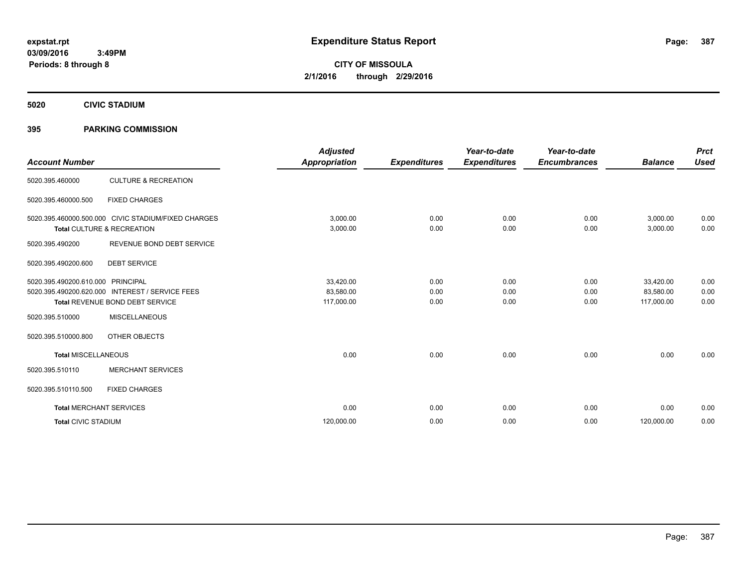**CITY OF MISSOULA 2/1/2016 through 2/29/2016**

**5020 CIVIC STADIUM**

#### **395 PARKING COMMISSION**

| <b>Account Number</b>          |                                                                                                               | <b>Adjusted</b><br><b>Appropriation</b> | <b>Expenditures</b>  | Year-to-date<br><b>Expenditures</b> | Year-to-date<br><b>Encumbrances</b> | <b>Balance</b>                       | <b>Prct</b><br><b>Used</b> |
|--------------------------------|---------------------------------------------------------------------------------------------------------------|-----------------------------------------|----------------------|-------------------------------------|-------------------------------------|--------------------------------------|----------------------------|
| 5020.395.460000                | <b>CULTURE &amp; RECREATION</b>                                                                               |                                         |                      |                                     |                                     |                                      |                            |
| 5020.395.460000.500            | <b>FIXED CHARGES</b>                                                                                          |                                         |                      |                                     |                                     |                                      |                            |
|                                | 5020.395.460000.500.000 CIVIC STADIUM/FIXED CHARGES<br>Total CULTURE & RECREATION                             | 3,000.00<br>3,000.00                    | 0.00<br>0.00         | 0.00<br>0.00                        | 0.00<br>0.00                        | 3,000.00<br>3,000.00                 | 0.00<br>0.00               |
| 5020.395.490200                | REVENUE BOND DEBT SERVICE                                                                                     |                                         |                      |                                     |                                     |                                      |                            |
| 5020.395.490200.600            | <b>DEBT SERVICE</b>                                                                                           |                                         |                      |                                     |                                     |                                      |                            |
| 5020.395.490200.610.000        | <b>PRINCIPAL</b><br>5020.395.490200.620.000 INTEREST / SERVICE FEES<br><b>Total REVENUE BOND DEBT SERVICE</b> | 33,420.00<br>83,580.00<br>117,000.00    | 0.00<br>0.00<br>0.00 | 0.00<br>0.00<br>0.00                | 0.00<br>0.00<br>0.00                | 33,420.00<br>83,580.00<br>117,000.00 | 0.00<br>0.00<br>0.00       |
| 5020.395.510000                | <b>MISCELLANEOUS</b>                                                                                          |                                         |                      |                                     |                                     |                                      |                            |
| 5020.395.510000.800            | OTHER OBJECTS                                                                                                 |                                         |                      |                                     |                                     |                                      |                            |
| <b>Total MISCELLANEOUS</b>     |                                                                                                               | 0.00                                    | 0.00                 | 0.00                                | 0.00                                | 0.00                                 | 0.00                       |
| 5020.395.510110                | <b>MERCHANT SERVICES</b>                                                                                      |                                         |                      |                                     |                                     |                                      |                            |
| 5020.395.510110.500            | <b>FIXED CHARGES</b>                                                                                          |                                         |                      |                                     |                                     |                                      |                            |
| <b>Total MERCHANT SERVICES</b> |                                                                                                               | 0.00                                    | 0.00                 | 0.00                                | 0.00                                | 0.00                                 | 0.00                       |
| <b>Total CIVIC STADIUM</b>     |                                                                                                               | 120,000.00                              | 0.00                 | 0.00                                | 0.00                                | 120,000.00                           | 0.00                       |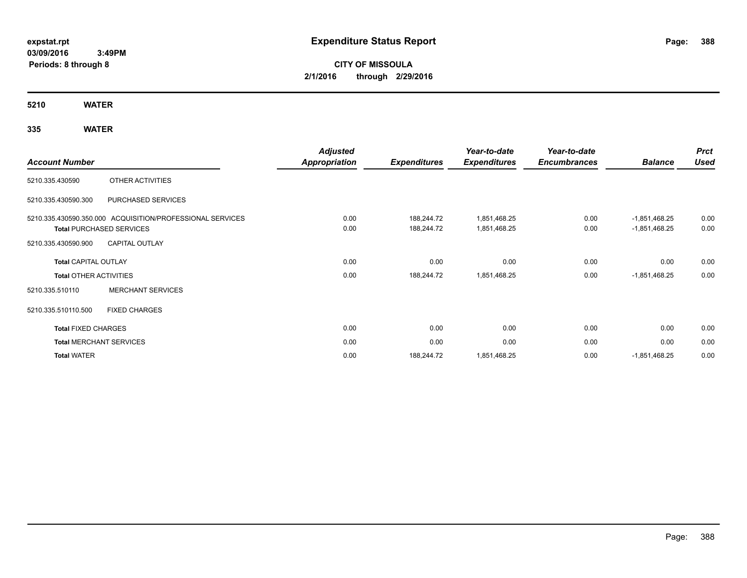# **CITY OF MISSOULA 2/1/2016 through 2/29/2016**

**5210 WATER**

|                               |                                                           | <b>Adjusted</b> |                     | Year-to-date        | Year-to-date        |                 | <b>Prct</b> |
|-------------------------------|-----------------------------------------------------------|-----------------|---------------------|---------------------|---------------------|-----------------|-------------|
| <b>Account Number</b>         |                                                           | Appropriation   | <b>Expenditures</b> | <b>Expenditures</b> | <b>Encumbrances</b> | <b>Balance</b>  | <b>Used</b> |
| 5210.335.430590               | OTHER ACTIVITIES                                          |                 |                     |                     |                     |                 |             |
| 5210.335.430590.300           | PURCHASED SERVICES                                        |                 |                     |                     |                     |                 |             |
|                               | 5210.335.430590.350.000 ACQUISITION/PROFESSIONAL SERVICES | 0.00            | 188,244.72          | 1,851,468.25        | 0.00                | $-1,851,468.25$ | 0.00        |
|                               | <b>Total PURCHASED SERVICES</b>                           | 0.00            | 188,244.72          | 1,851,468.25        | 0.00                | $-1,851,468.25$ | 0.00        |
| 5210.335.430590.900           | <b>CAPITAL OUTLAY</b>                                     |                 |                     |                     |                     |                 |             |
| <b>Total CAPITAL OUTLAY</b>   |                                                           | 0.00            | 0.00                | 0.00                | 0.00                | 0.00            | 0.00        |
| <b>Total OTHER ACTIVITIES</b> |                                                           | 0.00            | 188,244.72          | 1,851,468.25        | 0.00                | $-1,851,468.25$ | 0.00        |
| 5210.335.510110               | <b>MERCHANT SERVICES</b>                                  |                 |                     |                     |                     |                 |             |
| 5210.335.510110.500           | <b>FIXED CHARGES</b>                                      |                 |                     |                     |                     |                 |             |
| <b>Total FIXED CHARGES</b>    |                                                           | 0.00            | 0.00                | 0.00                | 0.00                | 0.00            | 0.00        |
|                               | <b>Total MERCHANT SERVICES</b>                            | 0.00            | 0.00                | 0.00                | 0.00                | 0.00            | 0.00        |
| <b>Total WATER</b>            |                                                           | 0.00            | 188,244.72          | 1,851,468.25        | 0.00                | $-1,851,468.25$ | 0.00        |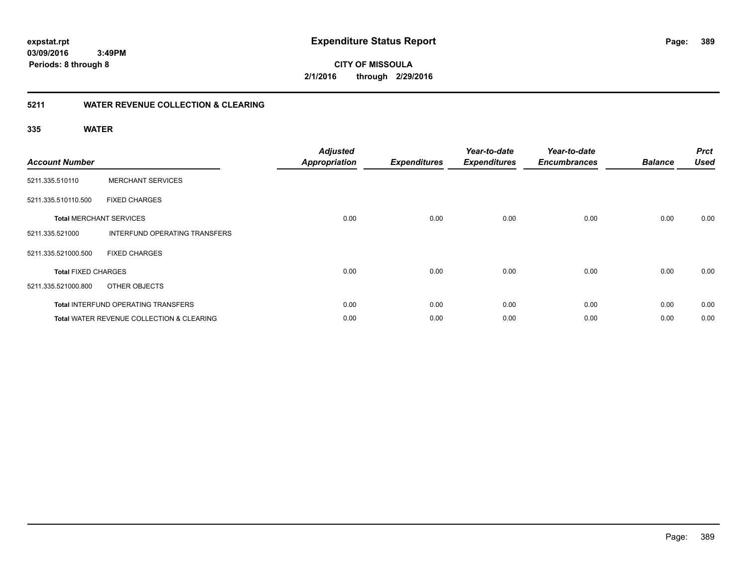**389**

**03/09/2016 3:49PM Periods: 8 through 8**

**CITY OF MISSOULA 2/1/2016 through 2/29/2016**

#### **5211 WATER REVENUE COLLECTION & CLEARING**

| <b>Account Number</b>      |                                                      | <b>Adjusted</b><br><b>Appropriation</b> | <b>Expenditures</b> | Year-to-date<br><b>Expenditures</b> | Year-to-date<br><b>Encumbrances</b> | <b>Balance</b> | <b>Prct</b><br><b>Used</b> |
|----------------------------|------------------------------------------------------|-----------------------------------------|---------------------|-------------------------------------|-------------------------------------|----------------|----------------------------|
| 5211.335.510110            | <b>MERCHANT SERVICES</b>                             |                                         |                     |                                     |                                     |                |                            |
| 5211.335.510110.500        | <b>FIXED CHARGES</b>                                 |                                         |                     |                                     |                                     |                |                            |
|                            | <b>Total MERCHANT SERVICES</b>                       | 0.00                                    | 0.00                | 0.00                                | 0.00                                | 0.00           | 0.00                       |
| 5211.335.521000            | INTERFUND OPERATING TRANSFERS                        |                                         |                     |                                     |                                     |                |                            |
| 5211.335.521000.500        | <b>FIXED CHARGES</b>                                 |                                         |                     |                                     |                                     |                |                            |
| <b>Total FIXED CHARGES</b> |                                                      | 0.00                                    | 0.00                | 0.00                                | 0.00                                | 0.00           | 0.00                       |
| 5211.335.521000.800        | OTHER OBJECTS                                        |                                         |                     |                                     |                                     |                |                            |
|                            | <b>Total INTERFUND OPERATING TRANSFERS</b>           | 0.00                                    | 0.00                | 0.00                                | 0.00                                | 0.00           | 0.00                       |
|                            | <b>Total WATER REVENUE COLLECTION &amp; CLEARING</b> | 0.00                                    | 0.00                | 0.00                                | 0.00                                | 0.00           | 0.00                       |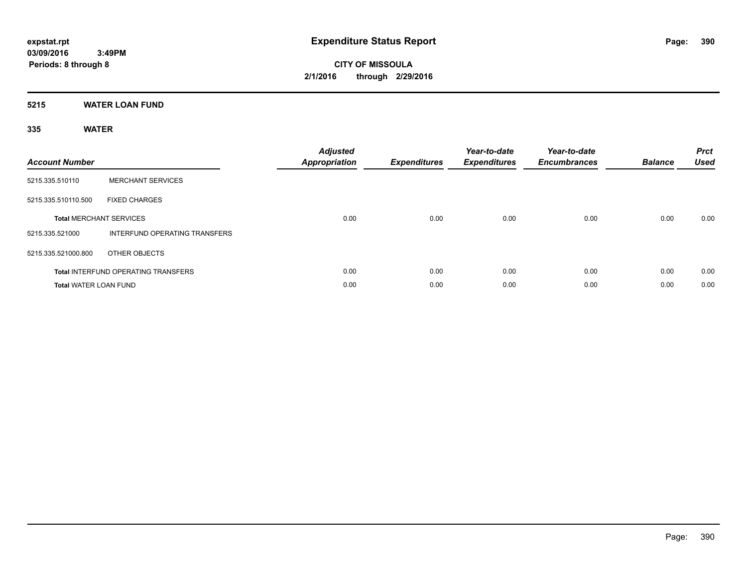**CITY OF MISSOULA 2/1/2016 through 2/29/2016**

#### **5215 WATER LOAN FUND**

| <b>Account Number</b>        |                                            | <b>Adjusted</b><br>Appropriation | <b>Expenditures</b> | Year-to-date<br><b>Expenditures</b> | Year-to-date<br><b>Encumbrances</b> | <b>Balance</b> | <b>Prct</b><br><b>Used</b> |
|------------------------------|--------------------------------------------|----------------------------------|---------------------|-------------------------------------|-------------------------------------|----------------|----------------------------|
| 5215.335.510110              | <b>MERCHANT SERVICES</b>                   |                                  |                     |                                     |                                     |                |                            |
| 5215.335.510110.500          | <b>FIXED CHARGES</b>                       |                                  |                     |                                     |                                     |                |                            |
|                              | <b>Total MERCHANT SERVICES</b>             | 0.00                             | 0.00                | 0.00                                | 0.00                                | 0.00           | 0.00                       |
| 5215.335.521000              | <b>INTERFUND OPERATING TRANSFERS</b>       |                                  |                     |                                     |                                     |                |                            |
| 5215.335.521000.800          | OTHER OBJECTS                              |                                  |                     |                                     |                                     |                |                            |
|                              | <b>Total INTERFUND OPERATING TRANSFERS</b> | 0.00                             | 0.00                | 0.00                                | 0.00                                | 0.00           | 0.00                       |
| <b>Total WATER LOAN FUND</b> |                                            | 0.00                             | 0.00                | 0.00                                | 0.00                                | 0.00           | 0.00                       |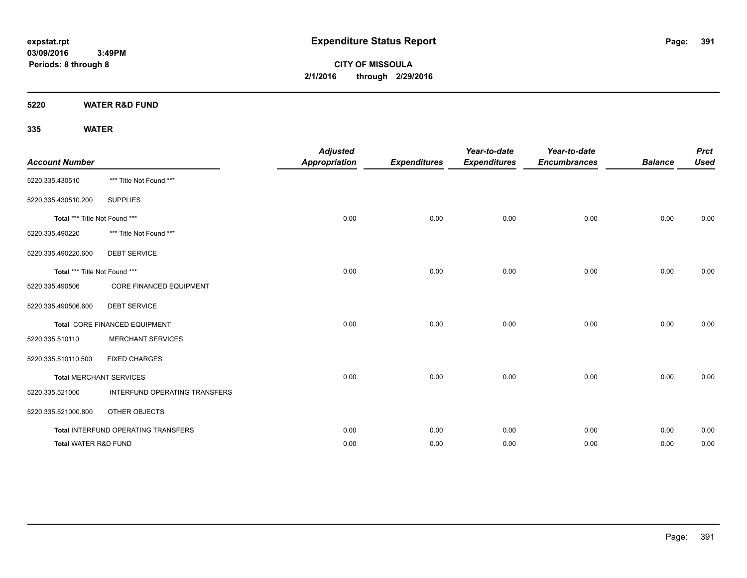**CITY OF MISSOULA 2/1/2016 through 2/29/2016**

**5220 WATER R&D FUND**

| <b>Account Number</b>         |                                     | <b>Adjusted</b><br><b>Appropriation</b> | <b>Expenditures</b> | Year-to-date<br><b>Expenditures</b> | Year-to-date<br><b>Encumbrances</b> | <b>Balance</b> | <b>Prct</b><br><b>Used</b> |
|-------------------------------|-------------------------------------|-----------------------------------------|---------------------|-------------------------------------|-------------------------------------|----------------|----------------------------|
| 5220.335.430510               | *** Title Not Found ***             |                                         |                     |                                     |                                     |                |                            |
| 5220.335.430510.200           | <b>SUPPLIES</b>                     |                                         |                     |                                     |                                     |                |                            |
| Total *** Title Not Found *** |                                     | 0.00                                    | 0.00                | 0.00                                | 0.00                                | 0.00           | 0.00                       |
| 5220.335.490220               | *** Title Not Found ***             |                                         |                     |                                     |                                     |                |                            |
| 5220.335.490220.600           | <b>DEBT SERVICE</b>                 |                                         |                     |                                     |                                     |                |                            |
| Total *** Title Not Found *** |                                     | 0.00                                    | 0.00                | 0.00                                | 0.00                                | 0.00           | 0.00                       |
| 5220.335.490506               | <b>CORE FINANCED EQUIPMENT</b>      |                                         |                     |                                     |                                     |                |                            |
| 5220.335.490506.600           | <b>DEBT SERVICE</b>                 |                                         |                     |                                     |                                     |                |                            |
|                               | Total CORE FINANCED EQUIPMENT       | 0.00                                    | 0.00                | 0.00                                | 0.00                                | 0.00           | 0.00                       |
| 5220.335.510110               | <b>MERCHANT SERVICES</b>            |                                         |                     |                                     |                                     |                |                            |
| 5220.335.510110.500           | <b>FIXED CHARGES</b>                |                                         |                     |                                     |                                     |                |                            |
|                               | <b>Total MERCHANT SERVICES</b>      | 0.00                                    | 0.00                | 0.00                                | 0.00                                | 0.00           | 0.00                       |
| 5220.335.521000               | INTERFUND OPERATING TRANSFERS       |                                         |                     |                                     |                                     |                |                            |
| 5220.335.521000.800           | OTHER OBJECTS                       |                                         |                     |                                     |                                     |                |                            |
|                               | Total INTERFUND OPERATING TRANSFERS | 0.00                                    | 0.00                | 0.00                                | 0.00                                | 0.00           | 0.00                       |
| Total WATER R&D FUND          |                                     | 0.00                                    | 0.00                | 0.00                                | 0.00                                | 0.00           | 0.00                       |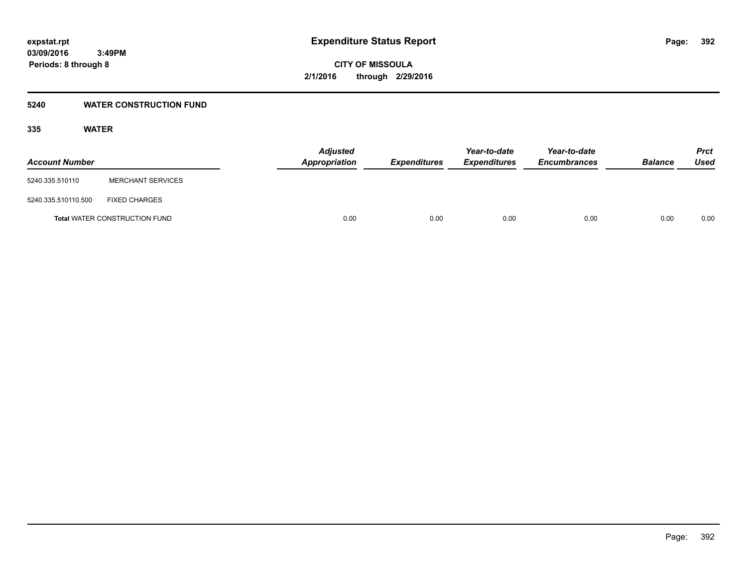#### **5240 WATER CONSTRUCTION FUND**

| <b>Account Number</b> |                                      | <b>Adjusted</b><br>Appropriation | <i><b>Expenditures</b></i> | Year-to-date<br><i><b>Expenditures</b></i> | Year-to-date<br><b>Encumbrances</b> | <b>Balance</b> | <b>Prct</b><br>Used |
|-----------------------|--------------------------------------|----------------------------------|----------------------------|--------------------------------------------|-------------------------------------|----------------|---------------------|
| 5240.335.510110       | <b>MERCHANT SERVICES</b>             |                                  |                            |                                            |                                     |                |                     |
| 5240.335.510110.500   | <b>FIXED CHARGES</b>                 |                                  |                            |                                            |                                     |                |                     |
|                       | <b>Total WATER CONSTRUCTION FUND</b> | 0.00                             | 0.00                       | 0.00                                       | 0.00                                | 0.00           | 0.00                |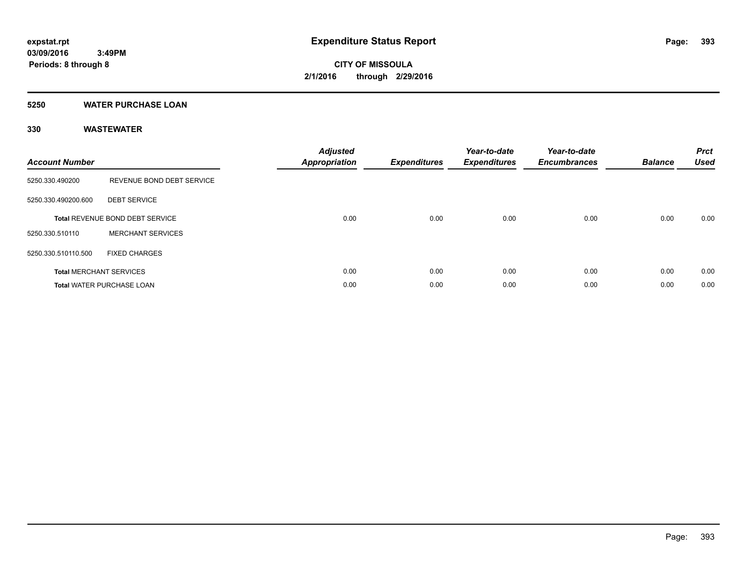#### **5250 WATER PURCHASE LOAN**

| <b>Account Number</b> |                                        | <b>Adjusted</b><br><b>Appropriation</b> | <b>Expenditures</b> | Year-to-date<br><b>Expenditures</b> | Year-to-date<br><b>Encumbrances</b> | <b>Balance</b> | <b>Prct</b><br><b>Used</b> |
|-----------------------|----------------------------------------|-----------------------------------------|---------------------|-------------------------------------|-------------------------------------|----------------|----------------------------|
| 5250.330.490200       | REVENUE BOND DEBT SERVICE              |                                         |                     |                                     |                                     |                |                            |
| 5250.330.490200.600   | <b>DEBT SERVICE</b>                    |                                         |                     |                                     |                                     |                |                            |
|                       | <b>Total REVENUE BOND DEBT SERVICE</b> | 0.00                                    | 0.00                | 0.00                                | 0.00                                | 0.00           | 0.00                       |
| 5250.330.510110       | <b>MERCHANT SERVICES</b>               |                                         |                     |                                     |                                     |                |                            |
| 5250.330.510110.500   | <b>FIXED CHARGES</b>                   |                                         |                     |                                     |                                     |                |                            |
|                       | <b>Total MERCHANT SERVICES</b>         | 0.00                                    | 0.00                | 0.00                                | 0.00                                | 0.00           | 0.00                       |
|                       | <b>Total WATER PURCHASE LOAN</b>       | 0.00                                    | 0.00                | 0.00                                | 0.00                                | 0.00           | 0.00                       |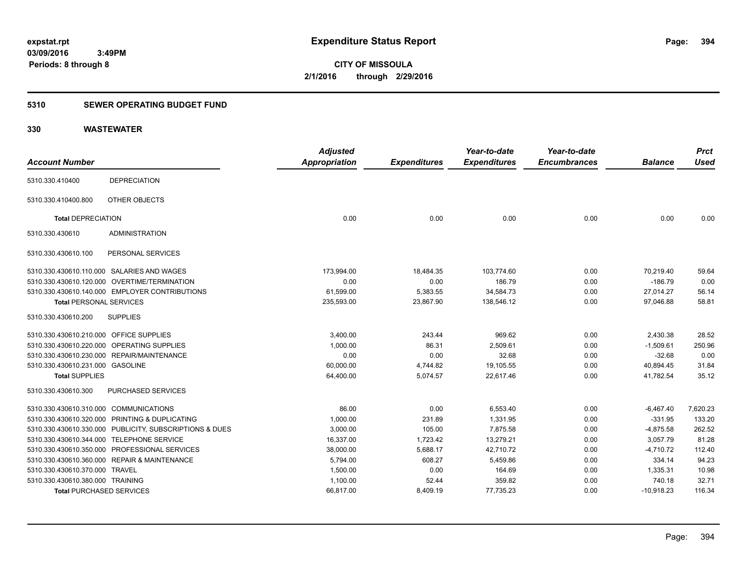### **5310 SEWER OPERATING BUDGET FUND**

| <b>Account Number</b>                  |                                                         | <b>Adjusted</b><br><b>Appropriation</b> | <b>Expenditures</b> | Year-to-date<br><b>Expenditures</b> | Year-to-date<br><b>Encumbrances</b> | <b>Balance</b> | <b>Prct</b><br><b>Used</b> |
|----------------------------------------|---------------------------------------------------------|-----------------------------------------|---------------------|-------------------------------------|-------------------------------------|----------------|----------------------------|
| 5310.330.410400                        | <b>DEPRECIATION</b>                                     |                                         |                     |                                     |                                     |                |                            |
|                                        |                                                         |                                         |                     |                                     |                                     |                |                            |
| 5310.330.410400.800                    | OTHER OBJECTS                                           |                                         |                     |                                     |                                     |                |                            |
| <b>Total DEPRECIATION</b>              |                                                         | 0.00                                    | 0.00                | 0.00                                | 0.00                                | 0.00           | 0.00                       |
| 5310.330.430610                        | <b>ADMINISTRATION</b>                                   |                                         |                     |                                     |                                     |                |                            |
| 5310.330.430610.100                    | PERSONAL SERVICES                                       |                                         |                     |                                     |                                     |                |                            |
|                                        | 5310.330.430610.110.000 SALARIES AND WAGES              | 173,994.00                              | 18,484.35           | 103,774.60                          | 0.00                                | 70,219.40      | 59.64                      |
|                                        | 5310.330.430610.120.000 OVERTIME/TERMINATION            | 0.00                                    | 0.00                | 186.79                              | 0.00                                | $-186.79$      | 0.00                       |
|                                        | 5310.330.430610.140.000 EMPLOYER CONTRIBUTIONS          | 61,599.00                               | 5,383.55            | 34,584.73                           | 0.00                                | 27,014.27      | 56.14                      |
| <b>Total PERSONAL SERVICES</b>         |                                                         | 235,593.00                              | 23,867.90           | 138,546.12                          | 0.00                                | 97,046.88      | 58.81                      |
| 5310.330.430610.200                    | <b>SUPPLIES</b>                                         |                                         |                     |                                     |                                     |                |                            |
| 5310.330.430610.210.000                | <b>OFFICE SUPPLIES</b>                                  | 3,400.00                                | 243.44              | 969.62                              | 0.00                                | 2,430.38       | 28.52                      |
|                                        | 5310.330.430610.220.000 OPERATING SUPPLIES              | 1,000.00                                | 86.31               | 2,509.61                            | 0.00                                | $-1,509.61$    | 250.96                     |
|                                        | 5310.330.430610.230.000 REPAIR/MAINTENANCE              | 0.00                                    | 0.00                | 32.68                               | 0.00                                | $-32.68$       | 0.00                       |
| 5310.330.430610.231.000 GASOLINE       |                                                         | 60,000.00                               | 4,744.82            | 19,105.55                           | 0.00                                | 40,894.45      | 31.84                      |
| <b>Total SUPPLIES</b>                  |                                                         | 64,400.00                               | 5,074.57            | 22,617.46                           | 0.00                                | 41,782.54      | 35.12                      |
| 5310.330.430610.300                    | PURCHASED SERVICES                                      |                                         |                     |                                     |                                     |                |                            |
| 5310.330.430610.310.000 COMMUNICATIONS |                                                         | 86.00                                   | 0.00                | 6,553.40                            | 0.00                                | $-6,467.40$    | 7,620.23                   |
| 5310.330.430610.320.000                | PRINTING & DUPLICATING                                  | 1,000.00                                | 231.89              | 1,331.95                            | 0.00                                | $-331.95$      | 133.20                     |
|                                        | 5310.330.430610.330.000 PUBLICITY, SUBSCRIPTIONS & DUES | 3,000.00                                | 105.00              | 7,875.58                            | 0.00                                | $-4,875.58$    | 262.52                     |
|                                        | 5310.330.430610.344.000 TELEPHONE SERVICE               | 16,337.00                               | 1,723.42            | 13,279.21                           | 0.00                                | 3,057.79       | 81.28                      |
|                                        | 5310.330.430610.350.000 PROFESSIONAL SERVICES           | 38,000.00                               | 5,688.17            | 42,710.72                           | 0.00                                | $-4,710.72$    | 112.40                     |
|                                        | 5310.330.430610.360.000 REPAIR & MAINTENANCE            | 5,794.00                                | 608.27              | 5,459.86                            | 0.00                                | 334.14         | 94.23                      |
| 5310.330.430610.370.000 TRAVEL         |                                                         | 1,500.00                                | 0.00                | 164.69                              | 0.00                                | 1,335.31       | 10.98                      |
| 5310.330.430610.380.000 TRAINING       |                                                         | 1,100.00                                | 52.44               | 359.82                              | 0.00                                | 740.18         | 32.71                      |
| <b>Total PURCHASED SERVICES</b>        |                                                         | 66,817.00                               | 8,409.19            | 77,735.23                           | 0.00                                | $-10,918.23$   | 116.34                     |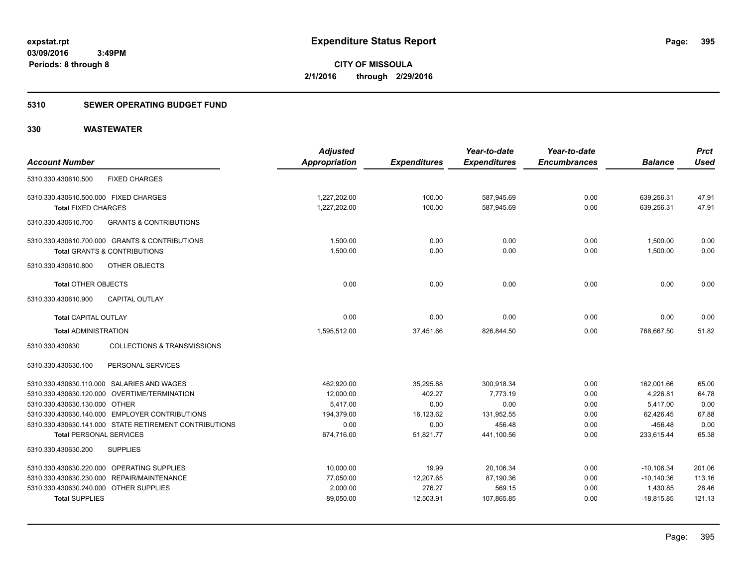### **5310 SEWER OPERATING BUDGET FUND**

|                                        |                                                        | <b>Adjusted</b> |                     | Year-to-date        | Year-to-date        |                | <b>Prct</b> |
|----------------------------------------|--------------------------------------------------------|-----------------|---------------------|---------------------|---------------------|----------------|-------------|
| <b>Account Number</b>                  |                                                        | Appropriation   | <b>Expenditures</b> | <b>Expenditures</b> | <b>Encumbrances</b> | <b>Balance</b> | <b>Used</b> |
| 5310.330.430610.500                    | <b>FIXED CHARGES</b>                                   |                 |                     |                     |                     |                |             |
| 5310.330.430610.500.000 FIXED CHARGES  |                                                        | 1,227,202.00    | 100.00              | 587,945.69          | 0.00                | 639,256.31     | 47.91       |
| <b>Total FIXED CHARGES</b>             |                                                        | 1,227,202.00    | 100.00              | 587,945.69          | 0.00                | 639,256.31     | 47.91       |
| 5310.330.430610.700                    | <b>GRANTS &amp; CONTRIBUTIONS</b>                      |                 |                     |                     |                     |                |             |
|                                        | 5310.330.430610.700.000 GRANTS & CONTRIBUTIONS         | 1,500.00        | 0.00                | 0.00                | 0.00                | 1,500.00       | 0.00        |
|                                        | <b>Total GRANTS &amp; CONTRIBUTIONS</b>                | 1,500.00        | 0.00                | 0.00                | 0.00                | 1.500.00       | 0.00        |
| 5310.330.430610.800                    | OTHER OBJECTS                                          |                 |                     |                     |                     |                |             |
| <b>Total OTHER OBJECTS</b>             |                                                        | 0.00            | 0.00                | 0.00                | 0.00                | 0.00           | 0.00        |
| 5310.330.430610.900                    | <b>CAPITAL OUTLAY</b>                                  |                 |                     |                     |                     |                |             |
| <b>Total CAPITAL OUTLAY</b>            |                                                        | 0.00            | 0.00                | 0.00                | 0.00                | 0.00           | 0.00        |
| <b>Total ADMINISTRATION</b>            |                                                        | 1,595,512.00    | 37,451.66           | 826,844.50          | 0.00                | 768,667.50     | 51.82       |
| 5310.330.430630                        | <b>COLLECTIONS &amp; TRANSMISSIONS</b>                 |                 |                     |                     |                     |                |             |
| 5310.330.430630.100                    | PERSONAL SERVICES                                      |                 |                     |                     |                     |                |             |
|                                        | 5310.330.430630.110.000 SALARIES AND WAGES             | 462,920.00      | 35,295.88           | 300,918.34          | 0.00                | 162,001.66     | 65.00       |
|                                        | 5310.330.430630.120.000 OVERTIME/TERMINATION           | 12,000.00       | 402.27              | 7,773.19            | 0.00                | 4,226.81       | 64.78       |
| 5310.330.430630.130.000 OTHER          |                                                        | 5,417.00        | 0.00                | 0.00                | 0.00                | 5,417.00       | 0.00        |
|                                        | 5310.330.430630.140.000 EMPLOYER CONTRIBUTIONS         | 194,379.00      | 16,123.62           | 131,952.55          | 0.00                | 62,426.45      | 67.88       |
|                                        | 5310.330.430630.141.000 STATE RETIREMENT CONTRIBUTIONS | 0.00            | 0.00                | 456.48              | 0.00                | $-456.48$      | 0.00        |
| <b>Total PERSONAL SERVICES</b>         |                                                        | 674,716.00      | 51,821.77           | 441,100.56          | 0.00                | 233,615.44     | 65.38       |
| 5310.330.430630.200                    | <b>SUPPLIES</b>                                        |                 |                     |                     |                     |                |             |
|                                        | 5310.330.430630.220.000 OPERATING SUPPLIES             | 10,000.00       | 19.99               | 20,106.34           | 0.00                | $-10, 106.34$  | 201.06      |
|                                        | 5310.330.430630.230.000 REPAIR/MAINTENANCE             | 77,050.00       | 12,207.65           | 87,190.36           | 0.00                | $-10,140.36$   | 113.16      |
| 5310.330.430630.240.000 OTHER SUPPLIES |                                                        | 2,000.00        | 276.27              | 569.15              | 0.00                | 1,430.85       | 28.46       |
| <b>Total SUPPLIES</b>                  |                                                        | 89,050.00       | 12,503.91           | 107,865.85          | 0.00                | $-18,815.85$   | 121.13      |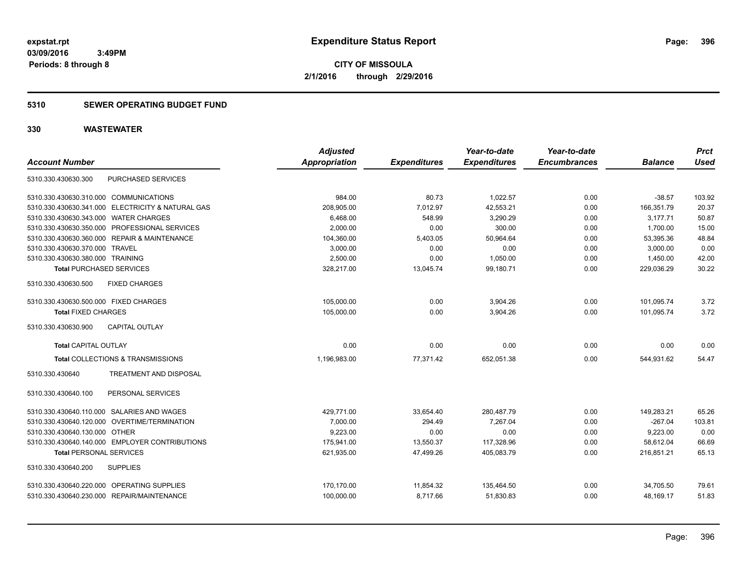**CITY OF MISSOULA 2/1/2016 through 2/29/2016**

#### **5310 SEWER OPERATING BUDGET FUND**

| <b>Account Number</b>                  |                                                   | <b>Adjusted</b><br><b>Appropriation</b> | <b>Expenditures</b> | Year-to-date<br><b>Expenditures</b> | Year-to-date<br><b>Encumbrances</b> | <b>Balance</b> | <b>Prct</b><br><b>Used</b> |
|----------------------------------------|---------------------------------------------------|-----------------------------------------|---------------------|-------------------------------------|-------------------------------------|----------------|----------------------------|
| 5310.330.430630.300                    | PURCHASED SERVICES                                |                                         |                     |                                     |                                     |                |                            |
| 5310.330.430630.310.000 COMMUNICATIONS |                                                   | 984.00                                  | 80.73               | 1,022.57                            | 0.00                                | $-38.57$       | 103.92                     |
|                                        | 5310.330.430630.341.000 ELECTRICITY & NATURAL GAS | 208,905.00                              | 7,012.97            | 42,553.21                           | 0.00                                | 166,351.79     | 20.37                      |
| 5310.330.430630.343.000 WATER CHARGES  |                                                   | 6,468.00                                | 548.99              | 3,290.29                            | 0.00                                | 3,177.71       | 50.87                      |
|                                        | 5310.330.430630.350.000 PROFESSIONAL SERVICES     | 2,000.00                                | 0.00                | 300.00                              | 0.00                                | 1,700.00       | 15.00                      |
|                                        | 5310.330.430630.360.000 REPAIR & MAINTENANCE      | 104,360.00                              | 5,403.05            | 50,964.64                           | 0.00                                | 53,395.36      | 48.84                      |
| 5310.330.430630.370.000 TRAVEL         |                                                   | 3,000.00                                | 0.00                | 0.00                                | 0.00                                | 3,000.00       | 0.00                       |
| 5310.330.430630.380.000 TRAINING       |                                                   | 2.500.00                                | 0.00                | 1,050.00                            | 0.00                                | 1,450.00       | 42.00                      |
| <b>Total PURCHASED SERVICES</b>        |                                                   | 328,217.00                              | 13,045.74           | 99,180.71                           | 0.00                                | 229,036.29     | 30.22                      |
| 5310.330.430630.500                    | <b>FIXED CHARGES</b>                              |                                         |                     |                                     |                                     |                |                            |
| 5310.330.430630.500.000 FIXED CHARGES  |                                                   | 105,000.00                              | 0.00                | 3,904.26                            | 0.00                                | 101,095.74     | 3.72                       |
| <b>Total FIXED CHARGES</b>             |                                                   | 105,000.00                              | 0.00                | 3.904.26                            | 0.00                                | 101.095.74     | 3.72                       |
| 5310.330.430630.900                    | <b>CAPITAL OUTLAY</b>                             |                                         |                     |                                     |                                     |                |                            |
| <b>Total CAPITAL OUTLAY</b>            |                                                   | 0.00                                    | 0.00                | 0.00                                | 0.00                                | 0.00           | 0.00                       |
|                                        | Total COLLECTIONS & TRANSMISSIONS                 | 1,196,983.00                            | 77,371.42           | 652,051.38                          | 0.00                                | 544,931.62     | 54.47                      |
| 5310.330.430640                        | <b>TREATMENT AND DISPOSAL</b>                     |                                         |                     |                                     |                                     |                |                            |
| 5310.330.430640.100                    | PERSONAL SERVICES                                 |                                         |                     |                                     |                                     |                |                            |
|                                        | 5310.330.430640.110.000 SALARIES AND WAGES        | 429,771.00                              | 33,654.40           | 280,487.79                          | 0.00                                | 149,283.21     | 65.26                      |
|                                        | 5310.330.430640.120.000 OVERTIME/TERMINATION      | 7.000.00                                | 294.49              | 7.267.04                            | 0.00                                | $-267.04$      | 103.81                     |
| 5310.330.430640.130.000 OTHER          |                                                   | 9,223.00                                | 0.00                | 0.00                                | 0.00                                | 9,223.00       | 0.00                       |
|                                        | 5310.330.430640.140.000 EMPLOYER CONTRIBUTIONS    | 175,941.00                              | 13,550.37           | 117,328.96                          | 0.00                                | 58,612.04      | 66.69                      |
| <b>Total PERSONAL SERVICES</b>         |                                                   | 621,935.00                              | 47,499.26           | 405,083.79                          | 0.00                                | 216,851.21     | 65.13                      |
| 5310.330.430640.200                    | <b>SUPPLIES</b>                                   |                                         |                     |                                     |                                     |                |                            |
|                                        | 5310.330.430640.220.000 OPERATING SUPPLIES        | 170,170.00                              | 11,854.32           | 135,464.50                          | 0.00                                | 34,705.50      | 79.61                      |
|                                        | 5310.330.430640.230.000 REPAIR/MAINTENANCE        | 100,000.00                              | 8,717.66            | 51,830.83                           | 0.00                                | 48,169.17      | 51.83                      |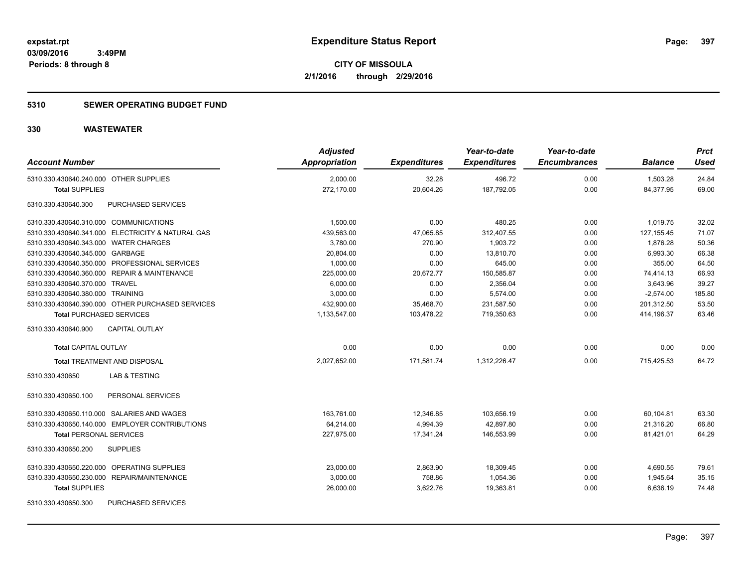### **5310 SEWER OPERATING BUDGET FUND**

| <b>Account Number</b>                             | <b>Adjusted</b><br>Appropriation | <b>Expenditures</b> | Year-to-date<br><b>Expenditures</b> | Year-to-date<br><b>Encumbrances</b> | <b>Balance</b> | <b>Prct</b><br>Used |
|---------------------------------------------------|----------------------------------|---------------------|-------------------------------------|-------------------------------------|----------------|---------------------|
| 5310.330.430640.240.000 OTHER SUPPLIES            | 2,000.00                         | 32.28               | 496.72                              | 0.00                                | 1,503.28       | 24.84               |
| <b>Total SUPPLIES</b>                             | 272,170.00                       | 20,604.26           | 187,792.05                          | 0.00                                | 84,377.95      | 69.00               |
| PURCHASED SERVICES<br>5310.330.430640.300         |                                  |                     |                                     |                                     |                |                     |
| 5310.330.430640.310.000 COMMUNICATIONS            | 1,500.00                         | 0.00                | 480.25                              | 0.00                                | 1,019.75       | 32.02               |
| 5310.330.430640.341.000 ELECTRICITY & NATURAL GAS | 439,563.00                       | 47,065.85           | 312,407.55                          | 0.00                                | 127, 155.45    | 71.07               |
| 5310.330.430640.343.000 WATER CHARGES             | 3,780.00                         | 270.90              | 1,903.72                            | 0.00                                | 1,876.28       | 50.36               |
| 5310.330.430640.345.000 GARBAGE                   | 20,804.00                        | 0.00                | 13,810.70                           | 0.00                                | 6,993.30       | 66.38               |
| 5310.330.430640.350.000 PROFESSIONAL SERVICES     | 1,000.00                         | 0.00                | 645.00                              | 0.00                                | 355.00         | 64.50               |
| 5310.330.430640.360.000 REPAIR & MAINTENANCE      | 225,000.00                       | 20,672.77           | 150,585.87                          | 0.00                                | 74,414.13      | 66.93               |
| 5310.330.430640.370.000 TRAVEL                    | 6,000.00                         | 0.00                | 2,356.04                            | 0.00                                | 3,643.96       | 39.27               |
| 5310.330.430640.380.000 TRAINING                  | 3,000.00                         | 0.00                | 5,574.00                            | 0.00                                | $-2,574.00$    | 185.80              |
| 5310.330.430640.390.000 OTHER PURCHASED SERVICES  | 432,900.00                       | 35,468.70           | 231,587.50                          | 0.00                                | 201,312.50     | 53.50               |
| <b>Total PURCHASED SERVICES</b>                   | 1,133,547.00                     | 103,478.22          | 719,350.63                          | 0.00                                | 414,196.37     | 63.46               |
| 5310.330.430640.900<br><b>CAPITAL OUTLAY</b>      |                                  |                     |                                     |                                     |                |                     |
| <b>Total CAPITAL OUTLAY</b>                       | 0.00                             | 0.00                | 0.00                                | 0.00                                | 0.00           | 0.00                |
| <b>Total TREATMENT AND DISPOSAL</b>               | 2,027,652.00                     | 171,581.74          | 1,312,226.47                        | 0.00                                | 715,425.53     | 64.72               |
| 5310.330.430650<br>LAB & TESTING                  |                                  |                     |                                     |                                     |                |                     |
| 5310.330.430650.100<br>PERSONAL SERVICES          |                                  |                     |                                     |                                     |                |                     |
| 5310.330.430650.110.000 SALARIES AND WAGES        | 163,761.00                       | 12,346.85           | 103,656.19                          | 0.00                                | 60,104.81      | 63.30               |
| 5310.330.430650.140.000 EMPLOYER CONTRIBUTIONS    | 64,214.00                        | 4,994.39            | 42,897.80                           | 0.00                                | 21,316.20      | 66.80               |
| <b>Total PERSONAL SERVICES</b>                    | 227.975.00                       | 17.341.24           | 146.553.99                          | 0.00                                | 81.421.01      | 64.29               |
| 5310.330.430650.200<br><b>SUPPLIES</b>            |                                  |                     |                                     |                                     |                |                     |
| 5310.330.430650.220.000 OPERATING SUPPLIES        | 23,000.00                        | 2,863.90            | 18,309.45                           | 0.00                                | 4,690.55       | 79.61               |
| 5310.330.430650.230.000 REPAIR/MAINTENANCE        | 3,000.00                         | 758.86              | 1,054.36                            | 0.00                                | 1,945.64       | 35.15               |
| <b>Total SUPPLIES</b>                             | 26,000.00                        | 3,622.76            | 19,363.81                           | 0.00                                | 6,636.19       | 74.48               |
| 5310.330.430650.300<br><b>PURCHASED SERVICES</b>  |                                  |                     |                                     |                                     |                |                     |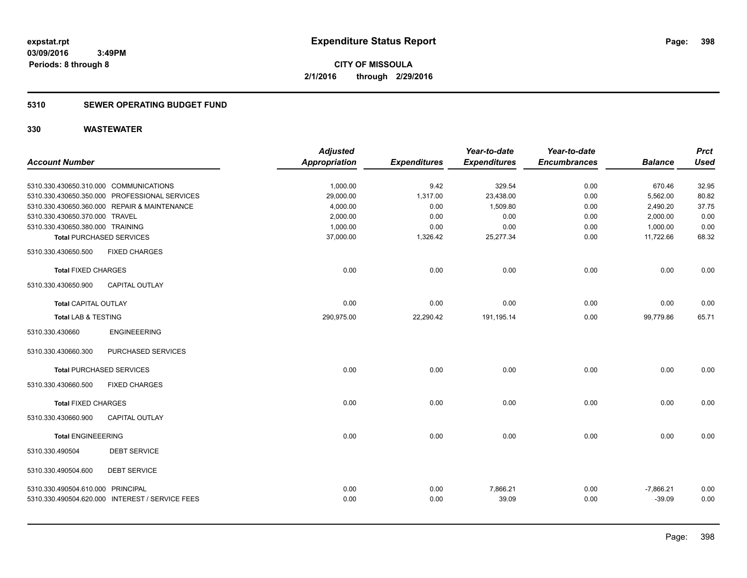### **5310 SEWER OPERATING BUDGET FUND**

|                                        |                                                 | <b>Adjusted</b>      |                     | Year-to-date        | Year-to-date        |                | <b>Prct</b> |
|----------------------------------------|-------------------------------------------------|----------------------|---------------------|---------------------|---------------------|----------------|-------------|
| <b>Account Number</b>                  |                                                 | <b>Appropriation</b> | <b>Expenditures</b> | <b>Expenditures</b> | <b>Encumbrances</b> | <b>Balance</b> | <b>Used</b> |
|                                        |                                                 |                      |                     |                     |                     |                |             |
| 5310.330.430650.310.000 COMMUNICATIONS |                                                 | 1,000.00             | 9.42                | 329.54              | 0.00                | 670.46         | 32.95       |
|                                        | 5310.330.430650.350.000 PROFESSIONAL SERVICES   | 29,000.00            | 1,317.00            | 23,438.00           | 0.00                | 5,562.00       | 80.82       |
|                                        | 5310.330.430650.360.000 REPAIR & MAINTENANCE    | 4,000.00             | 0.00                | 1,509.80            | 0.00                | 2,490.20       | 37.75       |
| 5310.330.430650.370.000 TRAVEL         |                                                 | 2,000.00             | 0.00                | 0.00                | 0.00                | 2,000.00       | 0.00        |
| 5310.330.430650.380.000 TRAINING       |                                                 | 1,000.00             | 0.00                | 0.00                | 0.00                | 1,000.00       | 0.00        |
|                                        | <b>Total PURCHASED SERVICES</b>                 | 37,000.00            | 1,326.42            | 25,277.34           | 0.00                | 11,722.66      | 68.32       |
| 5310.330.430650.500                    | <b>FIXED CHARGES</b>                            |                      |                     |                     |                     |                |             |
| <b>Total FIXED CHARGES</b>             |                                                 | 0.00                 | 0.00                | 0.00                | 0.00                | 0.00           | 0.00        |
| 5310.330.430650.900                    | <b>CAPITAL OUTLAY</b>                           |                      |                     |                     |                     |                |             |
| <b>Total CAPITAL OUTLAY</b>            |                                                 | 0.00                 | 0.00                | 0.00                | 0.00                | 0.00           | 0.00        |
| <b>Total LAB &amp; TESTING</b>         |                                                 | 290,975.00           | 22,290.42           | 191,195.14          | 0.00                | 99,779.86      | 65.71       |
| 5310.330.430660                        | <b>ENGINEEERING</b>                             |                      |                     |                     |                     |                |             |
| 5310.330.430660.300                    | PURCHASED SERVICES                              |                      |                     |                     |                     |                |             |
|                                        | <b>Total PURCHASED SERVICES</b>                 | 0.00                 | 0.00                | 0.00                | 0.00                | 0.00           | 0.00        |
| 5310.330.430660.500                    | <b>FIXED CHARGES</b>                            |                      |                     |                     |                     |                |             |
| <b>Total FIXED CHARGES</b>             |                                                 | 0.00                 | 0.00                | 0.00                | 0.00                | 0.00           | 0.00        |
| 5310.330.430660.900                    | <b>CAPITAL OUTLAY</b>                           |                      |                     |                     |                     |                |             |
| <b>Total ENGINEEERING</b>              |                                                 | 0.00                 | 0.00                | 0.00                | 0.00                | 0.00           | 0.00        |
| 5310.330.490504                        | <b>DEBT SERVICE</b>                             |                      |                     |                     |                     |                |             |
| 5310.330.490504.600                    | DEBT SERVICE                                    |                      |                     |                     |                     |                |             |
| 5310.330.490504.610.000 PRINCIPAL      |                                                 | 0.00                 | 0.00                | 7,866.21            | 0.00                | $-7,866.21$    | 0.00        |
|                                        | 5310.330.490504.620.000 INTEREST / SERVICE FEES | 0.00                 | 0.00                | 39.09               | 0.00                | $-39.09$       | 0.00        |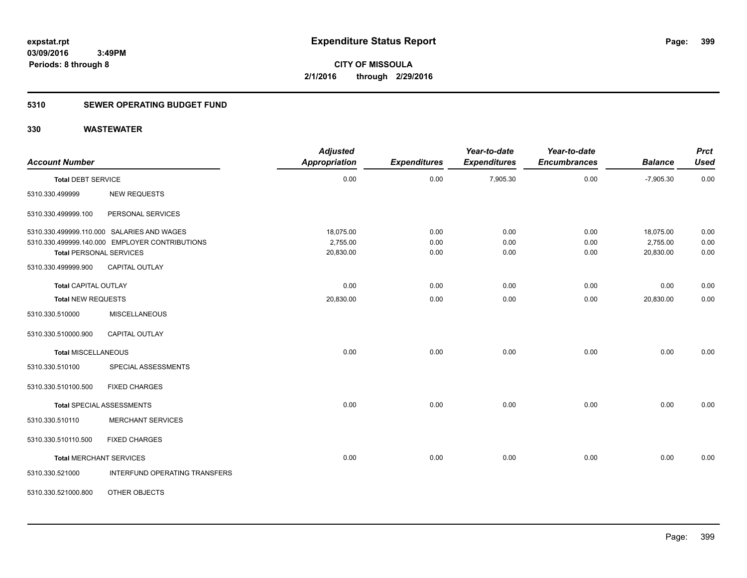### **5310 SEWER OPERATING BUDGET FUND**

| <b>Account Number</b>                                 |                                                                                                                | <b>Adjusted</b><br>Appropriation   | <b>Expenditures</b>  | Year-to-date<br><b>Expenditures</b> | Year-to-date<br><b>Encumbrances</b> | <b>Balance</b>                     | <b>Prct</b><br><b>Used</b> |
|-------------------------------------------------------|----------------------------------------------------------------------------------------------------------------|------------------------------------|----------------------|-------------------------------------|-------------------------------------|------------------------------------|----------------------------|
| Total DEBT SERVICE                                    |                                                                                                                | 0.00                               | 0.00                 | 7,905.30                            | 0.00                                | $-7,905.30$                        | 0.00                       |
| 5310.330.499999                                       | <b>NEW REQUESTS</b>                                                                                            |                                    |                      |                                     |                                     |                                    |                            |
| 5310.330.499999.100                                   | PERSONAL SERVICES                                                                                              |                                    |                      |                                     |                                     |                                    |                            |
| <b>Total PERSONAL SERVICES</b><br>5310.330.499999.900 | 5310.330.499999.110.000 SALARIES AND WAGES<br>5310.330.499999.140.000 EMPLOYER CONTRIBUTIONS<br>CAPITAL OUTLAY | 18,075.00<br>2,755.00<br>20,830.00 | 0.00<br>0.00<br>0.00 | 0.00<br>0.00<br>0.00                | 0.00<br>0.00<br>0.00                | 18,075.00<br>2,755.00<br>20,830.00 | 0.00<br>0.00<br>0.00       |
| <b>Total CAPITAL OUTLAY</b>                           |                                                                                                                | 0.00                               | 0.00                 | 0.00                                | 0.00                                | 0.00                               | 0.00                       |
| Total NEW REQUESTS                                    |                                                                                                                | 20,830.00                          | 0.00                 | 0.00                                | 0.00                                | 20,830.00                          | 0.00                       |
| 5310.330.510000                                       | <b>MISCELLANEOUS</b>                                                                                           |                                    |                      |                                     |                                     |                                    |                            |
| 5310.330.510000.900                                   | <b>CAPITAL OUTLAY</b>                                                                                          |                                    |                      |                                     |                                     |                                    |                            |
| Total MISCELLANEOUS                                   |                                                                                                                | 0.00                               | 0.00                 | 0.00                                | 0.00                                | 0.00                               | 0.00                       |
| 5310.330.510100                                       | SPECIAL ASSESSMENTS                                                                                            |                                    |                      |                                     |                                     |                                    |                            |
| 5310.330.510100.500                                   | <b>FIXED CHARGES</b>                                                                                           |                                    |                      |                                     |                                     |                                    |                            |
|                                                       | Total SPECIAL ASSESSMENTS                                                                                      | 0.00                               | 0.00                 | 0.00                                | 0.00                                | 0.00                               | 0.00                       |
| 5310.330.510110                                       | <b>MERCHANT SERVICES</b>                                                                                       |                                    |                      |                                     |                                     |                                    |                            |
| 5310.330.510110.500                                   | <b>FIXED CHARGES</b>                                                                                           |                                    |                      |                                     |                                     |                                    |                            |
| <b>Total MERCHANT SERVICES</b>                        |                                                                                                                | 0.00                               | 0.00                 | 0.00                                | 0.00                                | 0.00                               | 0.00                       |
| 5310.330.521000                                       | INTERFUND OPERATING TRANSFERS                                                                                  |                                    |                      |                                     |                                     |                                    |                            |
| 5310.330.521000.800                                   | OTHER OBJECTS                                                                                                  |                                    |                      |                                     |                                     |                                    |                            |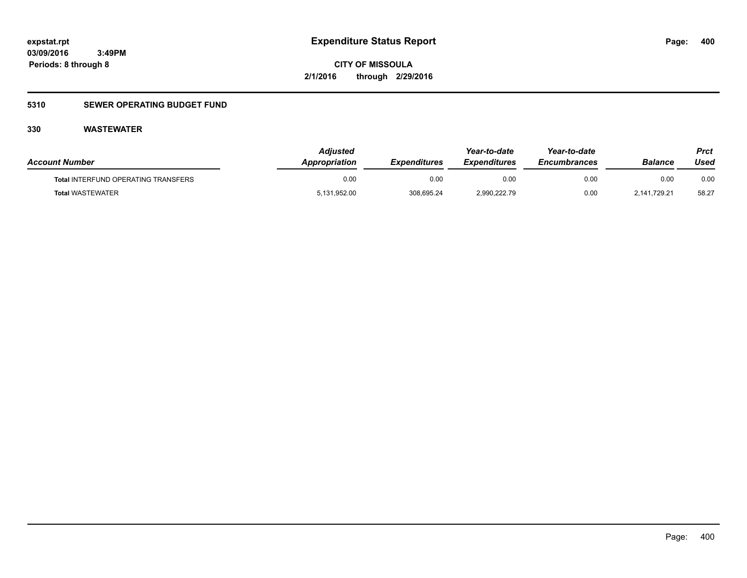**CITY OF MISSOULA 2/1/2016 through 2/29/2016**

### **5310 SEWER OPERATING BUDGET FUND**

| <b>Account Number</b>                      | Adiusted<br>Appropriation | <b>Expenditures</b> | Year-to-date<br><i><b>Expenditures</b></i> | Year-to-date<br><b>Encumbrances</b> | Balance      | Prct<br>Used |
|--------------------------------------------|---------------------------|---------------------|--------------------------------------------|-------------------------------------|--------------|--------------|
| <b>Total INTERFUND OPERATING TRANSFERS</b> | 0.00                      | 0.00                | 0.00                                       | 0.00                                | 0.00         | 0.00         |
| <b>Total WASTEWATER</b>                    | 5,131,952.00              | 308,695.24          | 2,990,222.79                               | 0.00                                | 2.141.729.21 | 58.27        |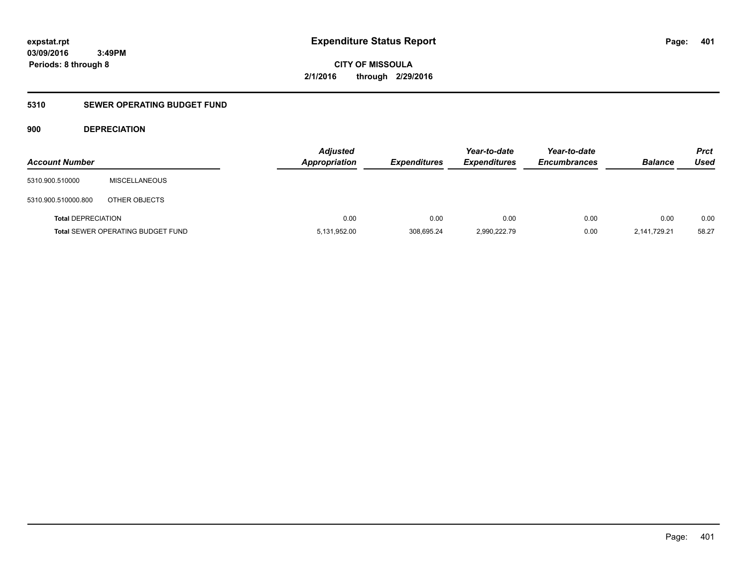**401**

**03/09/2016 3:49PM Periods: 8 through 8**

**CITY OF MISSOULA 2/1/2016 through 2/29/2016**

### **5310 SEWER OPERATING BUDGET FUND**

**900 DEPRECIATION**

| <b>Account Number</b>     |                                          | <b>Adjusted</b><br>Appropriation | <b>Expenditures</b> | Year-to-date<br><b>Expenditures</b> | Year-to-date<br><b>Encumbrances</b> | <b>Balance</b> | <b>Prct</b><br>Used |
|---------------------------|------------------------------------------|----------------------------------|---------------------|-------------------------------------|-------------------------------------|----------------|---------------------|
| 5310.900.510000           | <b>MISCELLANEOUS</b>                     |                                  |                     |                                     |                                     |                |                     |
| 5310.900.510000.800       | OTHER OBJECTS                            |                                  |                     |                                     |                                     |                |                     |
| <b>Total DEPRECIATION</b> |                                          | 0.00                             | 0.00                | 0.00                                | 0.00                                | 0.00           | 0.00                |
|                           | <b>Total SEWER OPERATING BUDGET FUND</b> | 5,131,952.00                     | 308,695.24          | 2,990,222.79                        | 0.00                                | 2,141,729.21   | 58.27               |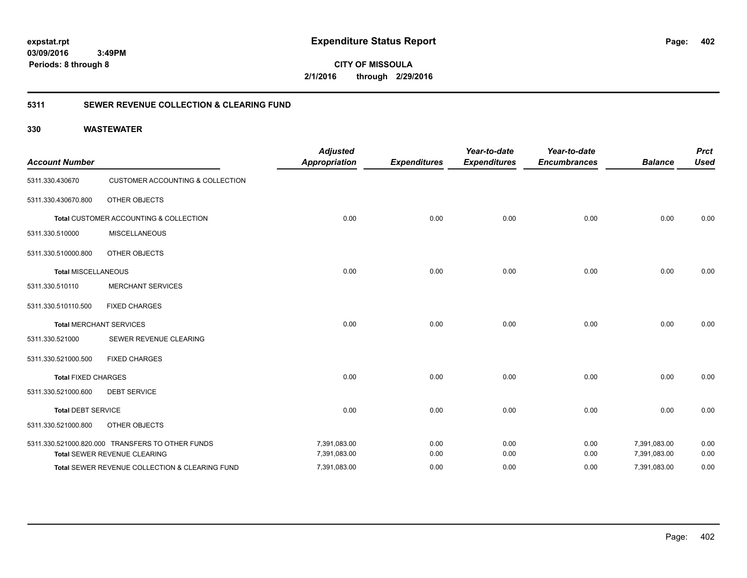**CITY OF MISSOULA 2/1/2016 through 2/29/2016**

### **5311 SEWER REVENUE COLLECTION & CLEARING FUND**

| <b>Account Number</b>      |                                                  | <b>Adjusted</b><br><b>Appropriation</b> | <b>Expenditures</b> | Year-to-date<br><b>Expenditures</b> | Year-to-date<br><b>Encumbrances</b> | <b>Balance</b> | <b>Prct</b><br><b>Used</b> |
|----------------------------|--------------------------------------------------|-----------------------------------------|---------------------|-------------------------------------|-------------------------------------|----------------|----------------------------|
| 5311.330.430670            | <b>CUSTOMER ACCOUNTING &amp; COLLECTION</b>      |                                         |                     |                                     |                                     |                |                            |
| 5311.330.430670.800        | OTHER OBJECTS                                    |                                         |                     |                                     |                                     |                |                            |
|                            | Total CUSTOMER ACCOUNTING & COLLECTION           | 0.00                                    | 0.00                | 0.00                                | 0.00                                | 0.00           | 0.00                       |
| 5311.330.510000            | <b>MISCELLANEOUS</b>                             |                                         |                     |                                     |                                     |                |                            |
| 5311.330.510000.800        | OTHER OBJECTS                                    |                                         |                     |                                     |                                     |                |                            |
| <b>Total MISCELLANEOUS</b> |                                                  | 0.00                                    | 0.00                | 0.00                                | 0.00                                | 0.00           | 0.00                       |
| 5311.330.510110            | <b>MERCHANT SERVICES</b>                         |                                         |                     |                                     |                                     |                |                            |
| 5311.330.510110.500        | <b>FIXED CHARGES</b>                             |                                         |                     |                                     |                                     |                |                            |
|                            | <b>Total MERCHANT SERVICES</b>                   | 0.00                                    | 0.00                | 0.00                                | 0.00                                | 0.00           | 0.00                       |
| 5311.330.521000            | SEWER REVENUE CLEARING                           |                                         |                     |                                     |                                     |                |                            |
| 5311.330.521000.500        | <b>FIXED CHARGES</b>                             |                                         |                     |                                     |                                     |                |                            |
| <b>Total FIXED CHARGES</b> |                                                  | 0.00                                    | 0.00                | 0.00                                | 0.00                                | 0.00           | 0.00                       |
| 5311.330.521000.600        | <b>DEBT SERVICE</b>                              |                                         |                     |                                     |                                     |                |                            |
| <b>Total DEBT SERVICE</b>  |                                                  | 0.00                                    | 0.00                | 0.00                                | 0.00                                | 0.00           | 0.00                       |
| 5311.330.521000.800        | OTHER OBJECTS                                    |                                         |                     |                                     |                                     |                |                            |
|                            | 5311.330.521000.820.000 TRANSFERS TO OTHER FUNDS | 7,391,083.00                            | 0.00                | 0.00                                | 0.00                                | 7,391,083.00   | 0.00                       |
|                            | Total SEWER REVENUE CLEARING                     | 7,391,083.00                            | 0.00                | 0.00                                | 0.00                                | 7,391,083.00   | 0.00                       |
|                            | Total SEWER REVENUE COLLECTION & CLEARING FUND   | 7,391,083.00                            | 0.00                | 0.00                                | 0.00                                | 7,391,083.00   | 0.00                       |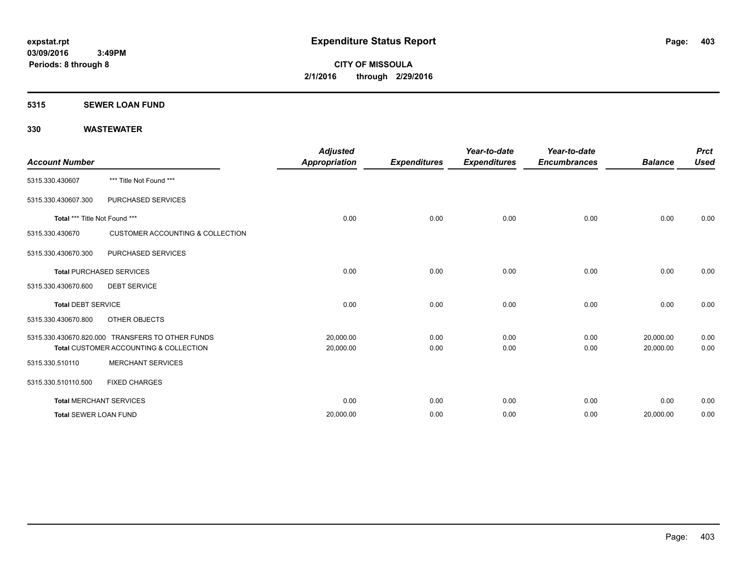### **5315 SEWER LOAN FUND**

|                               |                                                  | <b>Adjusted</b>      |                     | Year-to-date        | Year-to-date        |                | <b>Prct</b> |
|-------------------------------|--------------------------------------------------|----------------------|---------------------|---------------------|---------------------|----------------|-------------|
| <b>Account Number</b>         |                                                  | <b>Appropriation</b> | <b>Expenditures</b> | <b>Expenditures</b> | <b>Encumbrances</b> | <b>Balance</b> | <b>Used</b> |
| 5315.330.430607               | *** Title Not Found ***                          |                      |                     |                     |                     |                |             |
| 5315.330.430607.300           | PURCHASED SERVICES                               |                      |                     |                     |                     |                |             |
| Total *** Title Not Found *** |                                                  | 0.00                 | 0.00                | 0.00                | 0.00                | 0.00           | 0.00        |
| 5315.330.430670               | <b>CUSTOMER ACCOUNTING &amp; COLLECTION</b>      |                      |                     |                     |                     |                |             |
| 5315.330.430670.300           | PURCHASED SERVICES                               |                      |                     |                     |                     |                |             |
|                               | <b>Total PURCHASED SERVICES</b>                  | 0.00                 | 0.00                | 0.00                | 0.00                | 0.00           | 0.00        |
| 5315.330.430670.600           | <b>DEBT SERVICE</b>                              |                      |                     |                     |                     |                |             |
| <b>Total DEBT SERVICE</b>     |                                                  | 0.00                 | 0.00                | 0.00                | 0.00                | 0.00           | 0.00        |
| 5315.330.430670.800           | OTHER OBJECTS                                    |                      |                     |                     |                     |                |             |
|                               | 5315.330.430670.820.000 TRANSFERS TO OTHER FUNDS | 20,000.00            | 0.00                | 0.00                | 0.00                | 20,000.00      | 0.00        |
|                               | Total CUSTOMER ACCOUNTING & COLLECTION           | 20,000.00            | 0.00                | 0.00                | 0.00                | 20,000.00      | 0.00        |
| 5315.330.510110               | <b>MERCHANT SERVICES</b>                         |                      |                     |                     |                     |                |             |
| 5315.330.510110.500           | <b>FIXED CHARGES</b>                             |                      |                     |                     |                     |                |             |
|                               | <b>Total MERCHANT SERVICES</b>                   | 0.00                 | 0.00                | 0.00                | 0.00                | 0.00           | 0.00        |
| <b>Total SEWER LOAN FUND</b>  |                                                  | 20,000.00            | 0.00                | 0.00                | 0.00                | 20,000.00      | 0.00        |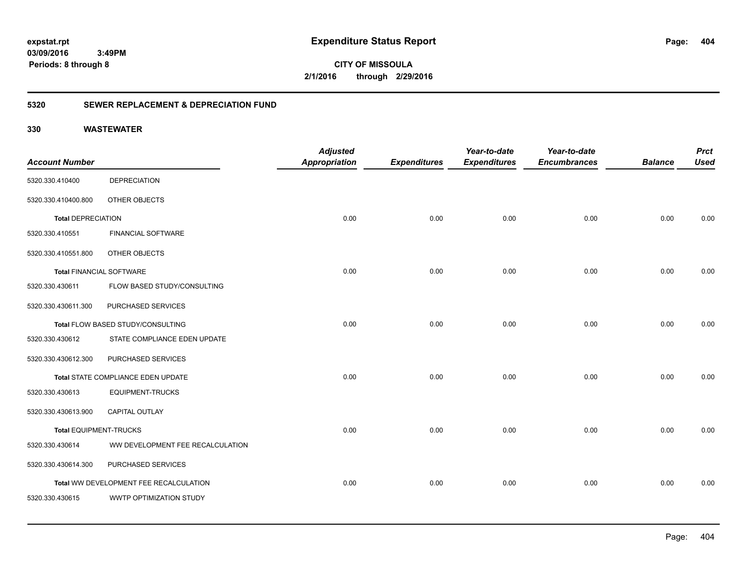**CITY OF MISSOULA 2/1/2016 through 2/29/2016**

### **5320 SEWER REPLACEMENT & DEPRECIATION FUND**

| <b>Account Number</b>           |                                        | <b>Adjusted</b><br><b>Appropriation</b> |                     | Year-to-date<br><b>Expenditures</b> | Year-to-date<br><b>Encumbrances</b> | <b>Balance</b> | <b>Prct</b><br><b>Used</b> |
|---------------------------------|----------------------------------------|-----------------------------------------|---------------------|-------------------------------------|-------------------------------------|----------------|----------------------------|
|                                 |                                        |                                         | <b>Expenditures</b> |                                     |                                     |                |                            |
| 5320.330.410400                 | <b>DEPRECIATION</b>                    |                                         |                     |                                     |                                     |                |                            |
| 5320.330.410400.800             | OTHER OBJECTS                          |                                         |                     |                                     |                                     |                |                            |
| <b>Total DEPRECIATION</b>       |                                        | 0.00                                    | 0.00                | 0.00                                | 0.00                                | 0.00           | 0.00                       |
| 5320.330.410551                 | <b>FINANCIAL SOFTWARE</b>              |                                         |                     |                                     |                                     |                |                            |
| 5320.330.410551.800             | OTHER OBJECTS                          |                                         |                     |                                     |                                     |                |                            |
| <b>Total FINANCIAL SOFTWARE</b> |                                        | 0.00                                    | 0.00                | 0.00                                | 0.00                                | 0.00           | 0.00                       |
| 5320.330.430611                 | FLOW BASED STUDY/CONSULTING            |                                         |                     |                                     |                                     |                |                            |
| 5320.330.430611.300             | PURCHASED SERVICES                     |                                         |                     |                                     |                                     |                |                            |
|                                 | Total FLOW BASED STUDY/CONSULTING      | 0.00                                    | 0.00                | 0.00                                | 0.00                                | 0.00           | 0.00                       |
| 5320.330.430612                 | STATE COMPLIANCE EDEN UPDATE           |                                         |                     |                                     |                                     |                |                            |
| 5320.330.430612.300             | PURCHASED SERVICES                     |                                         |                     |                                     |                                     |                |                            |
|                                 | Total STATE COMPLIANCE EDEN UPDATE     | 0.00                                    | 0.00                | 0.00                                | 0.00                                | 0.00           | 0.00                       |
| 5320.330.430613                 | <b>EQUIPMENT-TRUCKS</b>                |                                         |                     |                                     |                                     |                |                            |
| 5320.330.430613.900             | <b>CAPITAL OUTLAY</b>                  |                                         |                     |                                     |                                     |                |                            |
| <b>Total EQUIPMENT-TRUCKS</b>   |                                        | 0.00                                    | 0.00                | 0.00                                | 0.00                                | 0.00           | 0.00                       |
| 5320.330.430614                 | WW DEVELOPMENT FEE RECALCULATION       |                                         |                     |                                     |                                     |                |                            |
| 5320.330.430614.300             | PURCHASED SERVICES                     |                                         |                     |                                     |                                     |                |                            |
|                                 | Total WW DEVELOPMENT FEE RECALCULATION | 0.00                                    | 0.00                | 0.00                                | 0.00                                | 0.00           | 0.00                       |
| 5320.330.430615                 | WWTP OPTIMIZATION STUDY                |                                         |                     |                                     |                                     |                |                            |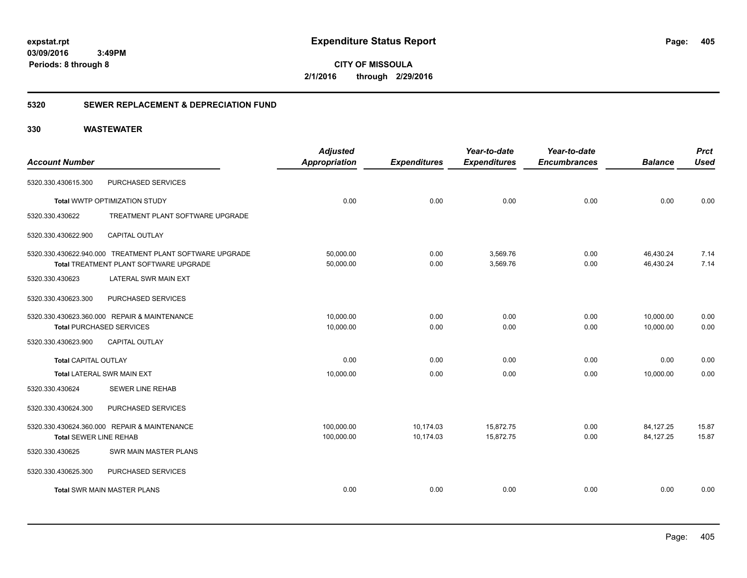**CITY OF MISSOULA 2/1/2016 through 2/29/2016**

### **5320 SEWER REPLACEMENT & DEPRECIATION FUND**

| <b>Account Number</b>         |                                                                                                           | <b>Adjusted</b><br><b>Appropriation</b> | <b>Expenditures</b>    | Year-to-date<br><b>Expenditures</b> | Year-to-date<br><b>Encumbrances</b> | <b>Balance</b>         | <b>Prct</b><br><b>Used</b> |
|-------------------------------|-----------------------------------------------------------------------------------------------------------|-----------------------------------------|------------------------|-------------------------------------|-------------------------------------|------------------------|----------------------------|
| 5320.330.430615.300           | PURCHASED SERVICES                                                                                        |                                         |                        |                                     |                                     |                        |                            |
|                               | Total WWTP OPTIMIZATION STUDY                                                                             | 0.00                                    | 0.00                   | 0.00                                | 0.00                                | 0.00                   | 0.00                       |
| 5320.330.430622               | TREATMENT PLANT SOFTWARE UPGRADE                                                                          |                                         |                        |                                     |                                     |                        |                            |
| 5320.330.430622.900           | <b>CAPITAL OUTLAY</b>                                                                                     |                                         |                        |                                     |                                     |                        |                            |
|                               | 5320.330.430622.940.000 TREATMENT PLANT SOFTWARE UPGRADE<br><b>Total TREATMENT PLANT SOFTWARE UPGRADE</b> | 50,000.00<br>50,000.00                  | 0.00<br>0.00           | 3,569.76<br>3,569.76                | 0.00<br>0.00                        | 46,430.24<br>46,430.24 | 7.14<br>7.14               |
| 5320.330.430623               | LATERAL SWR MAIN EXT                                                                                      |                                         |                        |                                     |                                     |                        |                            |
| 5320.330.430623.300           | PURCHASED SERVICES                                                                                        |                                         |                        |                                     |                                     |                        |                            |
|                               | 5320.330.430623.360.000 REPAIR & MAINTENANCE<br><b>Total PURCHASED SERVICES</b>                           | 10,000.00<br>10,000.00                  | 0.00<br>0.00           | 0.00<br>0.00                        | 0.00<br>0.00                        | 10,000.00<br>10,000.00 | 0.00<br>0.00               |
| 5320.330.430623.900           | <b>CAPITAL OUTLAY</b>                                                                                     |                                         |                        |                                     |                                     |                        |                            |
| Total CAPITAL OUTLAY          |                                                                                                           | 0.00                                    | 0.00                   | 0.00                                | 0.00                                | 0.00                   | 0.00                       |
|                               | Total LATERAL SWR MAIN EXT                                                                                | 10,000.00                               | 0.00                   | 0.00                                | 0.00                                | 10,000.00              | 0.00                       |
| 5320.330.430624               | <b>SEWER LINE REHAB</b>                                                                                   |                                         |                        |                                     |                                     |                        |                            |
| 5320.330.430624.300           | PURCHASED SERVICES                                                                                        |                                         |                        |                                     |                                     |                        |                            |
| <b>Total SEWER LINE REHAB</b> | 5320.330.430624.360.000 REPAIR & MAINTENANCE                                                              | 100,000.00<br>100,000.00                | 10,174.03<br>10,174.03 | 15,872.75<br>15,872.75              | 0.00<br>0.00                        | 84,127.25<br>84,127.25 | 15.87<br>15.87             |
| 5320.330.430625               | SWR MAIN MASTER PLANS                                                                                     |                                         |                        |                                     |                                     |                        |                            |
| 5320.330.430625.300           | PURCHASED SERVICES                                                                                        |                                         |                        |                                     |                                     |                        |                            |
|                               | <b>Total SWR MAIN MASTER PLANS</b>                                                                        | 0.00                                    | 0.00                   | 0.00                                | 0.00                                | 0.00                   | 0.00                       |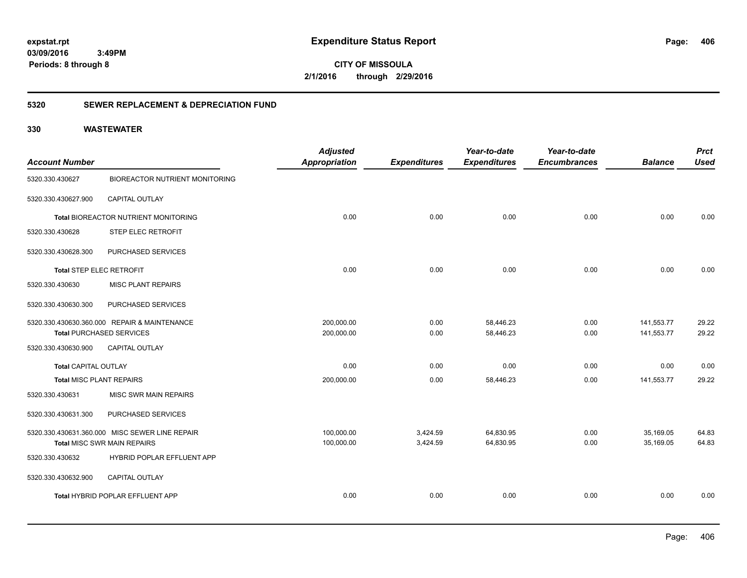**CITY OF MISSOULA 2/1/2016 through 2/29/2016**

### **5320 SEWER REPLACEMENT & DEPRECIATION FUND**

| <b>Account Number</b>       |                                                | <b>Adjusted</b><br><b>Appropriation</b> | <b>Expenditures</b> | Year-to-date<br><b>Expenditures</b> | Year-to-date<br><b>Encumbrances</b> | <b>Balance</b> | <b>Prct</b><br><b>Used</b> |
|-----------------------------|------------------------------------------------|-----------------------------------------|---------------------|-------------------------------------|-------------------------------------|----------------|----------------------------|
|                             |                                                |                                         |                     |                                     |                                     |                |                            |
| 5320.330.430627             | <b>BIOREACTOR NUTRIENT MONITORING</b>          |                                         |                     |                                     |                                     |                |                            |
| 5320.330.430627.900         | CAPITAL OUTLAY                                 |                                         |                     |                                     |                                     |                |                            |
|                             | Total BIOREACTOR NUTRIENT MONITORING           | 0.00                                    | 0.00                | 0.00                                | 0.00                                | 0.00           | 0.00                       |
| 5320.330.430628             | <b>STEP ELEC RETROFIT</b>                      |                                         |                     |                                     |                                     |                |                            |
| 5320.330.430628.300         | PURCHASED SERVICES                             |                                         |                     |                                     |                                     |                |                            |
| Total STEP ELEC RETROFIT    |                                                | 0.00                                    | 0.00                | 0.00                                | 0.00                                | 0.00           | 0.00                       |
| 5320.330.430630             | <b>MISC PLANT REPAIRS</b>                      |                                         |                     |                                     |                                     |                |                            |
| 5320.330.430630.300         | PURCHASED SERVICES                             |                                         |                     |                                     |                                     |                |                            |
|                             | 5320.330.430630.360.000 REPAIR & MAINTENANCE   | 200,000.00                              | 0.00                | 58,446.23                           | 0.00                                | 141,553.77     | 29.22                      |
|                             | <b>Total PURCHASED SERVICES</b>                | 200,000.00                              | 0.00                | 58,446.23                           | 0.00                                | 141,553.77     | 29.22                      |
| 5320.330.430630.900         | <b>CAPITAL OUTLAY</b>                          |                                         |                     |                                     |                                     |                |                            |
| <b>Total CAPITAL OUTLAY</b> |                                                | 0.00                                    | 0.00                | 0.00                                | 0.00                                | 0.00           | 0.00                       |
| Total MISC PLANT REPAIRS    |                                                | 200,000.00                              | 0.00                | 58,446.23                           | 0.00                                | 141,553.77     | 29.22                      |
| 5320.330.430631             | MISC SWR MAIN REPAIRS                          |                                         |                     |                                     |                                     |                |                            |
| 5320.330.430631.300         | PURCHASED SERVICES                             |                                         |                     |                                     |                                     |                |                            |
|                             | 5320.330.430631.360.000 MISC SEWER LINE REPAIR | 100,000.00                              | 3,424.59            | 64,830.95                           | 0.00                                | 35,169.05      | 64.83                      |
|                             | <b>Total MISC SWR MAIN REPAIRS</b>             | 100,000.00                              | 3,424.59            | 64,830.95                           | 0.00                                | 35,169.05      | 64.83                      |
| 5320.330.430632             | HYBRID POPLAR EFFLUENT APP                     |                                         |                     |                                     |                                     |                |                            |
| 5320.330.430632.900         | CAPITAL OUTLAY                                 |                                         |                     |                                     |                                     |                |                            |
|                             | Total HYBRID POPLAR EFFLUENT APP               | 0.00                                    | 0.00                | 0.00                                | 0.00                                | 0.00           | 0.00                       |
|                             |                                                |                                         |                     |                                     |                                     |                |                            |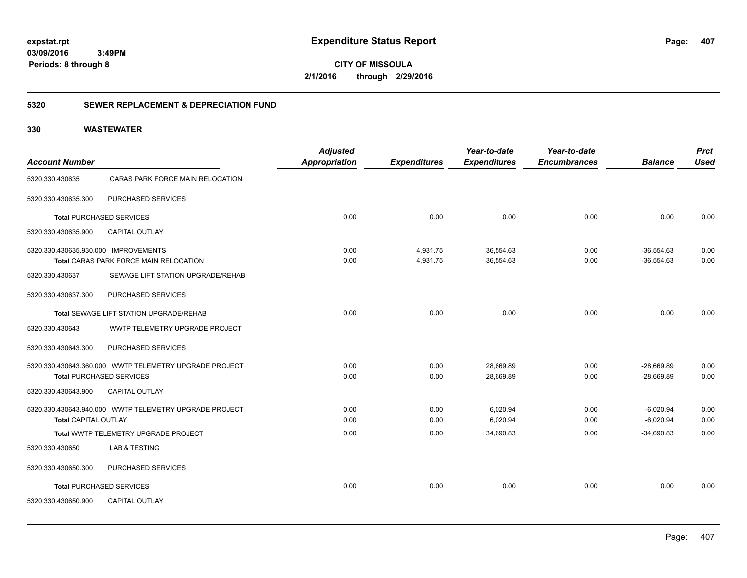**CITY OF MISSOULA 2/1/2016 through 2/29/2016**

### **5320 SEWER REPLACEMENT & DEPRECIATION FUND**

| <b>Account Number</b>                |                                                                                           | <b>Adjusted</b><br>Appropriation | <b>Expenditures</b>  | Year-to-date<br><b>Expenditures</b> | Year-to-date<br><b>Encumbrances</b> | <b>Balance</b>               | <b>Prct</b><br><b>Used</b> |
|--------------------------------------|-------------------------------------------------------------------------------------------|----------------------------------|----------------------|-------------------------------------|-------------------------------------|------------------------------|----------------------------|
| 5320.330.430635                      | CARAS PARK FORCE MAIN RELOCATION                                                          |                                  |                      |                                     |                                     |                              |                            |
| 5320.330.430635.300                  | PURCHASED SERVICES                                                                        |                                  |                      |                                     |                                     |                              |                            |
|                                      | <b>Total PURCHASED SERVICES</b>                                                           | 0.00                             | 0.00                 | 0.00                                | 0.00                                | 0.00                         | 0.00                       |
| 5320.330.430635.900                  | <b>CAPITAL OUTLAY</b>                                                                     |                                  |                      |                                     |                                     |                              |                            |
| 5320.330.430635.930.000 IMPROVEMENTS | <b>Total CARAS PARK FORCE MAIN RELOCATION</b>                                             | 0.00<br>0.00                     | 4,931.75<br>4,931.75 | 36,554.63<br>36,554.63              | 0.00<br>0.00                        | $-36,554.63$<br>$-36,554.63$ | 0.00<br>0.00               |
| 5320.330.430637                      | SEWAGE LIFT STATION UPGRADE/REHAB                                                         |                                  |                      |                                     |                                     |                              |                            |
| 5320.330.430637.300                  | PURCHASED SERVICES                                                                        |                                  |                      |                                     |                                     |                              |                            |
|                                      | <b>Total SEWAGE LIFT STATION UPGRADE/REHAB</b>                                            | 0.00                             | 0.00                 | 0.00                                | 0.00                                | 0.00                         | 0.00                       |
| 5320.330.430643                      | WWTP TELEMETRY UPGRADE PROJECT                                                            |                                  |                      |                                     |                                     |                              |                            |
| 5320.330.430643.300                  | PURCHASED SERVICES                                                                        |                                  |                      |                                     |                                     |                              |                            |
|                                      | 5320.330.430643.360.000 WWTP TELEMETRY UPGRADE PROJECT<br><b>Total PURCHASED SERVICES</b> | 0.00<br>0.00                     | 0.00<br>0.00         | 28,669.89<br>28,669.89              | 0.00<br>0.00                        | $-28,669.89$<br>$-28.669.89$ | 0.00<br>0.00               |
| 5320.330.430643.900                  | <b>CAPITAL OUTLAY</b>                                                                     |                                  |                      |                                     |                                     |                              |                            |
| <b>Total CAPITAL OUTLAY</b>          | 5320.330.430643.940.000 WWTP TELEMETRY UPGRADE PROJECT                                    | 0.00<br>0.00                     | 0.00<br>0.00         | 6,020.94<br>6,020.94                | 0.00<br>0.00                        | $-6,020.94$<br>$-6,020.94$   | 0.00<br>0.00               |
|                                      | Total WWTP TELEMETRY UPGRADE PROJECT                                                      | 0.00                             | 0.00                 | 34,690.83                           | 0.00                                | $-34.690.83$                 | 0.00                       |
| 5320.330.430650                      | <b>LAB &amp; TESTING</b>                                                                  |                                  |                      |                                     |                                     |                              |                            |
| 5320.330.430650.300                  | PURCHASED SERVICES                                                                        |                                  |                      |                                     |                                     |                              |                            |
|                                      | <b>Total PURCHASED SERVICES</b>                                                           | 0.00                             | 0.00                 | 0.00                                | 0.00                                | 0.00                         | 0.00                       |
| 5320.330.430650.900                  | <b>CAPITAL OUTLAY</b>                                                                     |                                  |                      |                                     |                                     |                              |                            |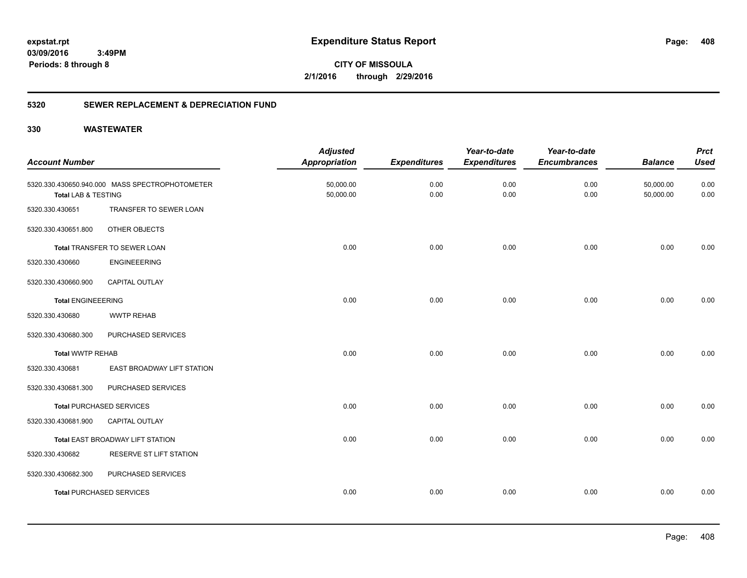**CITY OF MISSOULA 2/1/2016 through 2/29/2016**

### **5320 SEWER REPLACEMENT & DEPRECIATION FUND**

| <b>Account Number</b>          |                                                | <b>Adjusted</b><br><b>Appropriation</b> | <b>Expenditures</b> | Year-to-date<br><b>Expenditures</b> | Year-to-date<br><b>Encumbrances</b> | <b>Balance</b>         | <b>Prct</b><br><b>Used</b> |
|--------------------------------|------------------------------------------------|-----------------------------------------|---------------------|-------------------------------------|-------------------------------------|------------------------|----------------------------|
| <b>Total LAB &amp; TESTING</b> | 5320.330.430650.940.000 MASS SPECTROPHOTOMETER | 50,000.00<br>50,000.00                  | 0.00<br>0.00        | 0.00<br>0.00                        | 0.00<br>0.00                        | 50,000.00<br>50,000.00 | 0.00<br>0.00               |
| 5320.330.430651                | TRANSFER TO SEWER LOAN                         |                                         |                     |                                     |                                     |                        |                            |
| 5320.330.430651.800            | OTHER OBJECTS                                  |                                         |                     |                                     |                                     |                        |                            |
|                                | Total TRANSFER TO SEWER LOAN                   | 0.00                                    | 0.00                | 0.00                                | 0.00                                | 0.00                   | 0.00                       |
| 5320.330.430660                | <b>ENGINEEERING</b>                            |                                         |                     |                                     |                                     |                        |                            |
| 5320.330.430660.900            | <b>CAPITAL OUTLAY</b>                          |                                         |                     |                                     |                                     |                        |                            |
| <b>Total ENGINEEERING</b>      |                                                | 0.00                                    | 0.00                | 0.00                                | 0.00                                | 0.00                   | 0.00                       |
| 5320.330.430680                | <b>WWTP REHAB</b>                              |                                         |                     |                                     |                                     |                        |                            |
| 5320.330.430680.300            | PURCHASED SERVICES                             |                                         |                     |                                     |                                     |                        |                            |
| <b>Total WWTP REHAB</b>        |                                                | 0.00                                    | 0.00                | 0.00                                | 0.00                                | 0.00                   | 0.00                       |
| 5320.330.430681                | EAST BROADWAY LIFT STATION                     |                                         |                     |                                     |                                     |                        |                            |
| 5320.330.430681.300            | PURCHASED SERVICES                             |                                         |                     |                                     |                                     |                        |                            |
|                                | <b>Total PURCHASED SERVICES</b>                | 0.00                                    | 0.00                | 0.00                                | 0.00                                | 0.00                   | 0.00                       |
| 5320.330.430681.900            | <b>CAPITAL OUTLAY</b>                          |                                         |                     |                                     |                                     |                        |                            |
|                                | Total EAST BROADWAY LIFT STATION               | 0.00                                    | 0.00                | 0.00                                | 0.00                                | 0.00                   | 0.00                       |
| 5320.330.430682                | RESERVE ST LIFT STATION                        |                                         |                     |                                     |                                     |                        |                            |
| 5320.330.430682.300            | PURCHASED SERVICES                             |                                         |                     |                                     |                                     |                        |                            |
|                                | <b>Total PURCHASED SERVICES</b>                | 0.00                                    | 0.00                | 0.00                                | 0.00                                | 0.00                   | 0.00                       |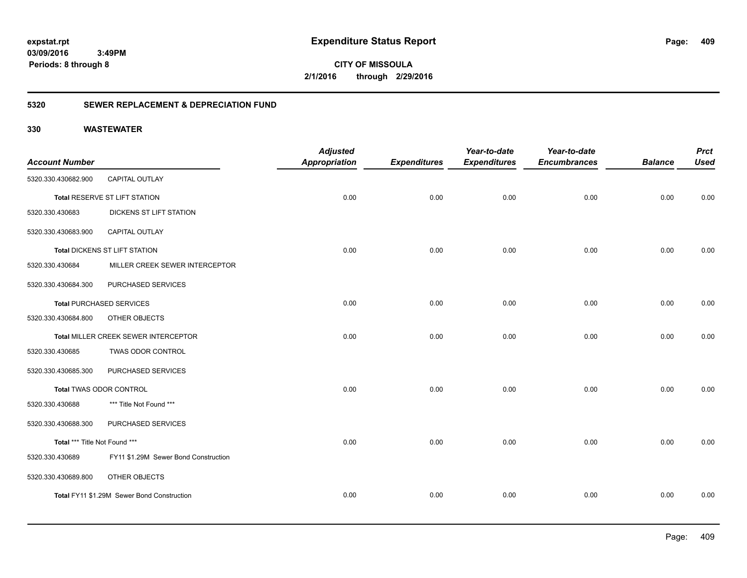**CITY OF MISSOULA 2/1/2016 through 2/29/2016**

### **5320 SEWER REPLACEMENT & DEPRECIATION FUND**

|                               |                                            | <b>Adjusted</b>      |                     | Year-to-date        | Year-to-date        |                | <b>Prct</b> |
|-------------------------------|--------------------------------------------|----------------------|---------------------|---------------------|---------------------|----------------|-------------|
| <b>Account Number</b>         |                                            | <b>Appropriation</b> | <b>Expenditures</b> | <b>Expenditures</b> | <b>Encumbrances</b> | <b>Balance</b> | <b>Used</b> |
| 5320.330.430682.900           | <b>CAPITAL OUTLAY</b>                      |                      |                     |                     |                     |                |             |
|                               | Total RESERVE ST LIFT STATION              | 0.00                 | 0.00                | 0.00                | 0.00                | 0.00           | 0.00        |
| 5320.330.430683               | DICKENS ST LIFT STATION                    |                      |                     |                     |                     |                |             |
| 5320.330.430683.900           | <b>CAPITAL OUTLAY</b>                      |                      |                     |                     |                     |                |             |
|                               | Total DICKENS ST LIFT STATION              | 0.00                 | 0.00                | 0.00                | 0.00                | 0.00           | 0.00        |
| 5320.330.430684               | MILLER CREEK SEWER INTERCEPTOR             |                      |                     |                     |                     |                |             |
| 5320.330.430684.300           | PURCHASED SERVICES                         |                      |                     |                     |                     |                |             |
|                               | <b>Total PURCHASED SERVICES</b>            | 0.00                 | 0.00                | 0.00                | 0.00                | 0.00           | 0.00        |
| 5320.330.430684.800           | OTHER OBJECTS                              |                      |                     |                     |                     |                |             |
|                               | Total MILLER CREEK SEWER INTERCEPTOR       | 0.00                 | 0.00                | 0.00                | 0.00                | 0.00           | 0.00        |
| 5320.330.430685               | <b>TWAS ODOR CONTROL</b>                   |                      |                     |                     |                     |                |             |
| 5320.330.430685.300           | PURCHASED SERVICES                         |                      |                     |                     |                     |                |             |
|                               | <b>Total TWAS ODOR CONTROL</b>             | 0.00                 | 0.00                | 0.00                | 0.00                | 0.00           | 0.00        |
| 5320.330.430688               | *** Title Not Found ***                    |                      |                     |                     |                     |                |             |
| 5320.330.430688.300           | PURCHASED SERVICES                         |                      |                     |                     |                     |                |             |
| Total *** Title Not Found *** |                                            | 0.00                 | 0.00                | 0.00                | 0.00                | 0.00           | 0.00        |
| 5320.330.430689               | FY11 \$1.29M Sewer Bond Construction       |                      |                     |                     |                     |                |             |
| 5320.330.430689.800           | OTHER OBJECTS                              |                      |                     |                     |                     |                |             |
|                               | Total FY11 \$1.29M Sewer Bond Construction | 0.00                 | 0.00                | 0.00                | 0.00                | 0.00           | 0.00        |
|                               |                                            |                      |                     |                     |                     |                |             |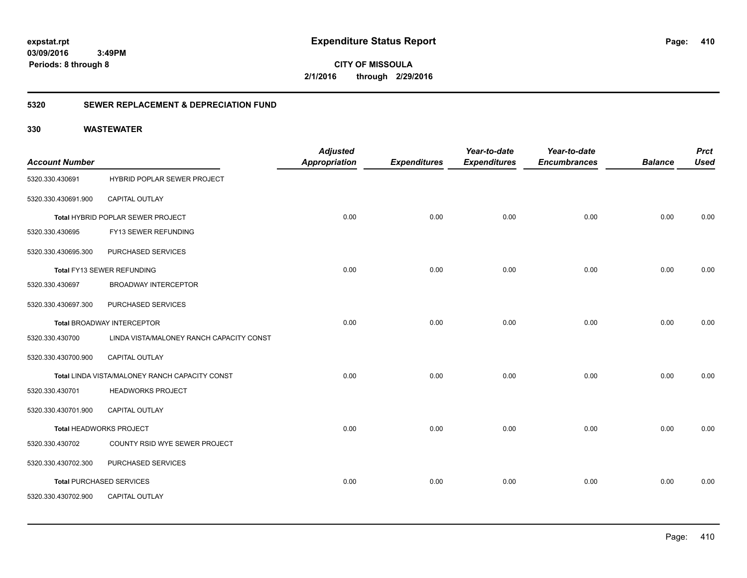**CITY OF MISSOULA 2/1/2016 through 2/29/2016**

### **5320 SEWER REPLACEMENT & DEPRECIATION FUND**

| <b>Account Number</b> |                                                | <b>Adjusted</b><br>Appropriation | <b>Expenditures</b> | Year-to-date<br><b>Expenditures</b> | Year-to-date<br><b>Encumbrances</b> | <b>Balance</b> | <b>Prct</b><br><b>Used</b> |
|-----------------------|------------------------------------------------|----------------------------------|---------------------|-------------------------------------|-------------------------------------|----------------|----------------------------|
| 5320.330.430691       | <b>HYBRID POPLAR SEWER PROJECT</b>             |                                  |                     |                                     |                                     |                |                            |
| 5320.330.430691.900   | CAPITAL OUTLAY                                 |                                  |                     |                                     |                                     |                |                            |
|                       | Total HYBRID POPLAR SEWER PROJECT              | 0.00                             | 0.00                | 0.00                                | 0.00                                | 0.00           | 0.00                       |
| 5320.330.430695       | FY13 SEWER REFUNDING                           |                                  |                     |                                     |                                     |                |                            |
| 5320.330.430695.300   | PURCHASED SERVICES                             |                                  |                     |                                     |                                     |                |                            |
|                       | Total FY13 SEWER REFUNDING                     | 0.00                             | 0.00                | 0.00                                | 0.00                                | 0.00           | 0.00                       |
| 5320.330.430697       | <b>BROADWAY INTERCEPTOR</b>                    |                                  |                     |                                     |                                     |                |                            |
| 5320.330.430697.300   | PURCHASED SERVICES                             |                                  |                     |                                     |                                     |                |                            |
|                       | Total BROADWAY INTERCEPTOR                     | 0.00                             | 0.00                | 0.00                                | 0.00                                | 0.00           | 0.00                       |
| 5320.330.430700       | LINDA VISTA/MALONEY RANCH CAPACITY CONST       |                                  |                     |                                     |                                     |                |                            |
| 5320.330.430700.900   | CAPITAL OUTLAY                                 |                                  |                     |                                     |                                     |                |                            |
|                       | Total LINDA VISTA/MALONEY RANCH CAPACITY CONST | 0.00                             | 0.00                | 0.00                                | 0.00                                | 0.00           | 0.00                       |
| 5320.330.430701       | <b>HEADWORKS PROJECT</b>                       |                                  |                     |                                     |                                     |                |                            |
| 5320.330.430701.900   | <b>CAPITAL OUTLAY</b>                          |                                  |                     |                                     |                                     |                |                            |
|                       | Total HEADWORKS PROJECT                        | 0.00                             | 0.00                | 0.00                                | 0.00                                | 0.00           | 0.00                       |
| 5320.330.430702       | COUNTY RSID WYE SEWER PROJECT                  |                                  |                     |                                     |                                     |                |                            |
| 5320.330.430702.300   | PURCHASED SERVICES                             |                                  |                     |                                     |                                     |                |                            |
|                       | <b>Total PURCHASED SERVICES</b>                | 0.00                             | 0.00                | 0.00                                | 0.00                                | 0.00           | 0.00                       |
| 5320.330.430702.900   | <b>CAPITAL OUTLAY</b>                          |                                  |                     |                                     |                                     |                |                            |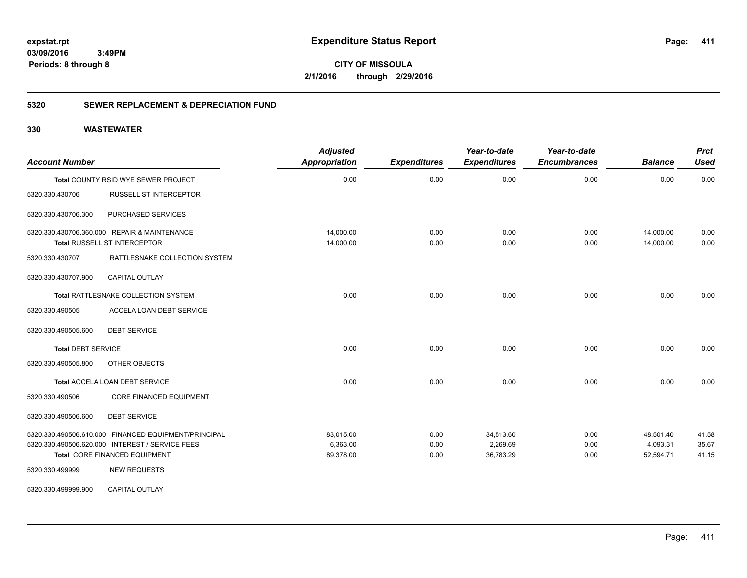**CITY OF MISSOULA 2/1/2016 through 2/29/2016**

### **5320 SEWER REPLACEMENT & DEPRECIATION FUND**

| <b>Account Number</b>     |                                                                                                                                                                 | <b>Adjusted</b><br><b>Appropriation</b> | <b>Expenditures</b>  | Year-to-date<br><b>Expenditures</b> | Year-to-date<br><b>Encumbrances</b> | <b>Balance</b>                     | <b>Prct</b><br><b>Used</b> |
|---------------------------|-----------------------------------------------------------------------------------------------------------------------------------------------------------------|-----------------------------------------|----------------------|-------------------------------------|-------------------------------------|------------------------------------|----------------------------|
|                           | Total COUNTY RSID WYE SEWER PROJECT                                                                                                                             | 0.00                                    | 0.00                 | 0.00                                | 0.00                                | 0.00                               | 0.00                       |
| 5320.330.430706           | <b>RUSSELL ST INTERCEPTOR</b>                                                                                                                                   |                                         |                      |                                     |                                     |                                    |                            |
| 5320.330.430706.300       | PURCHASED SERVICES                                                                                                                                              |                                         |                      |                                     |                                     |                                    |                            |
|                           | 5320.330.430706.360.000 REPAIR & MAINTENANCE<br>Total RUSSELL ST INTERCEPTOR                                                                                    | 14,000.00<br>14,000.00                  | 0.00<br>0.00         | 0.00<br>0.00                        | 0.00<br>0.00                        | 14,000.00<br>14,000.00             | 0.00<br>0.00               |
| 5320.330.430707           | RATTLESNAKE COLLECTION SYSTEM                                                                                                                                   |                                         |                      |                                     |                                     |                                    |                            |
| 5320.330.430707.900       | <b>CAPITAL OUTLAY</b>                                                                                                                                           |                                         |                      |                                     |                                     |                                    |                            |
|                           | Total RATTLESNAKE COLLECTION SYSTEM                                                                                                                             | 0.00                                    | 0.00                 | 0.00                                | 0.00                                | 0.00                               | 0.00                       |
| 5320.330.490505           | ACCELA LOAN DEBT SERVICE                                                                                                                                        |                                         |                      |                                     |                                     |                                    |                            |
| 5320.330.490505.600       | <b>DEBT SERVICE</b>                                                                                                                                             |                                         |                      |                                     |                                     |                                    |                            |
| <b>Total DEBT SERVICE</b> |                                                                                                                                                                 | 0.00                                    | 0.00                 | 0.00                                | 0.00                                | 0.00                               | 0.00                       |
| 5320.330.490505.800       | OTHER OBJECTS                                                                                                                                                   |                                         |                      |                                     |                                     |                                    |                            |
|                           | Total ACCELA LOAN DEBT SERVICE                                                                                                                                  | 0.00                                    | 0.00                 | 0.00                                | 0.00                                | 0.00                               | 0.00                       |
| 5320.330.490506           | <b>CORE FINANCED EQUIPMENT</b>                                                                                                                                  |                                         |                      |                                     |                                     |                                    |                            |
| 5320.330.490506.600       | <b>DEBT SERVICE</b>                                                                                                                                             |                                         |                      |                                     |                                     |                                    |                            |
| 5320.330.499999           | 5320.330.490506.610.000 FINANCED EQUIPMENT/PRINCIPAL<br>5320.330.490506.620.000 INTEREST / SERVICE FEES<br>Total CORE FINANCED EQUIPMENT<br><b>NEW REQUESTS</b> | 83,015.00<br>6,363.00<br>89,378.00      | 0.00<br>0.00<br>0.00 | 34,513.60<br>2,269.69<br>36,783.29  | 0.00<br>0.00<br>0.00                | 48,501.40<br>4,093.31<br>52,594.71 | 41.58<br>35.67<br>41.15    |
| 5320.330.499999.900       | <b>CAPITAL OUTLAY</b>                                                                                                                                           |                                         |                      |                                     |                                     |                                    |                            |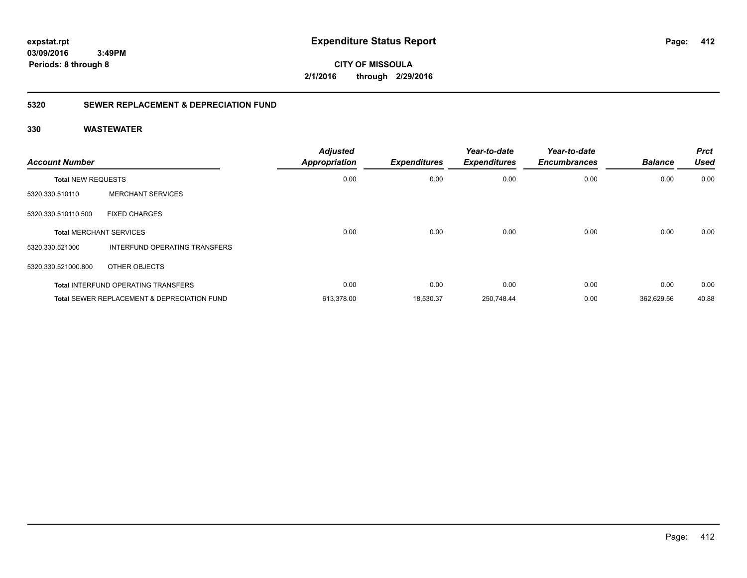**CITY OF MISSOULA 2/1/2016 through 2/29/2016**

### **5320 SEWER REPLACEMENT & DEPRECIATION FUND**

| <b>Account Number</b> |                                                        | <b>Adjusted</b><br><b>Appropriation</b> | <b>Expenditures</b> | Year-to-date<br><b>Expenditures</b> | Year-to-date<br><b>Encumbrances</b> | <b>Balance</b> | <b>Prct</b><br><b>Used</b> |
|-----------------------|--------------------------------------------------------|-----------------------------------------|---------------------|-------------------------------------|-------------------------------------|----------------|----------------------------|
|                       | <b>Total NEW REQUESTS</b>                              |                                         | 0.00                | 0.00                                | 0.00                                | 0.00           | 0.00                       |
| 5320.330.510110       | <b>MERCHANT SERVICES</b>                               |                                         |                     |                                     |                                     |                |                            |
| 5320.330.510110.500   | <b>FIXED CHARGES</b>                                   |                                         |                     |                                     |                                     |                |                            |
|                       | <b>Total MERCHANT SERVICES</b>                         | 0.00                                    | 0.00                | 0.00                                | 0.00                                | 0.00           | 0.00                       |
| 5320.330.521000       | INTERFUND OPERATING TRANSFERS                          |                                         |                     |                                     |                                     |                |                            |
| 5320.330.521000.800   | OTHER OBJECTS                                          |                                         |                     |                                     |                                     |                |                            |
|                       | <b>Total INTERFUND OPERATING TRANSFERS</b>             | 0.00                                    | 0.00                | 0.00                                | 0.00                                | 0.00           | 0.00                       |
|                       | <b>Total SEWER REPLACEMENT &amp; DEPRECIATION FUND</b> | 613,378.00                              | 18,530.37           | 250,748.44                          | 0.00                                | 362,629.56     | 40.88                      |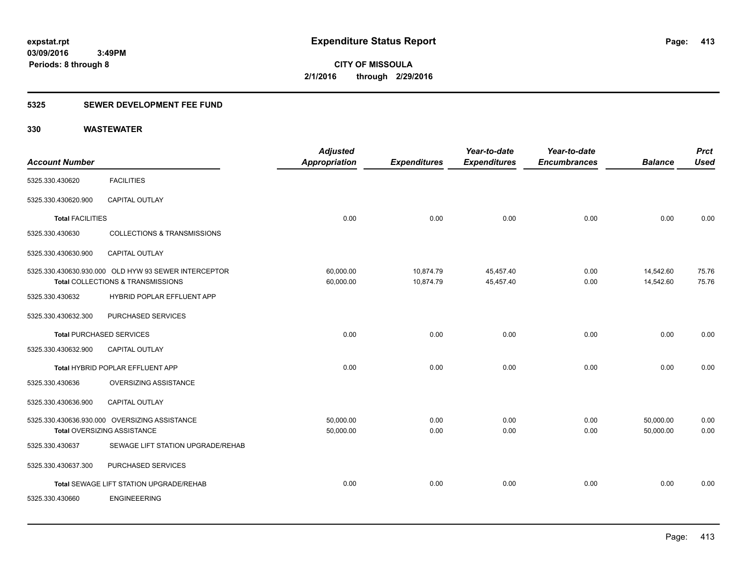### **5325 SEWER DEVELOPMENT FEE FUND**

| <b>Account Number</b>           |                                                      | <b>Adjusted</b><br>Appropriation | <b>Expenditures</b> | Year-to-date<br><b>Expenditures</b> | Year-to-date<br><b>Encumbrances</b> | <b>Balance</b> | <b>Prct</b><br><b>Used</b> |
|---------------------------------|------------------------------------------------------|----------------------------------|---------------------|-------------------------------------|-------------------------------------|----------------|----------------------------|
| 5325.330.430620                 | <b>FACILITIES</b>                                    |                                  |                     |                                     |                                     |                |                            |
| 5325.330.430620.900             | CAPITAL OUTLAY                                       |                                  |                     |                                     |                                     |                |                            |
| <b>Total FACILITIES</b>         |                                                      | 0.00                             | 0.00                | 0.00                                | 0.00                                | 0.00           | 0.00                       |
| 5325.330.430630                 | <b>COLLECTIONS &amp; TRANSMISSIONS</b>               |                                  |                     |                                     |                                     |                |                            |
| 5325.330.430630.900             | <b>CAPITAL OUTLAY</b>                                |                                  |                     |                                     |                                     |                |                            |
|                                 | 5325.330.430630.930.000 OLD HYW 93 SEWER INTERCEPTOR | 60,000.00                        | 10,874.79           | 45,457.40                           | 0.00                                | 14,542.60      | 75.76                      |
|                                 | Total COLLECTIONS & TRANSMISSIONS                    | 60,000.00                        | 10,874.79           | 45,457.40                           | 0.00                                | 14,542.60      | 75.76                      |
| 5325.330.430632                 | HYBRID POPLAR EFFLUENT APP                           |                                  |                     |                                     |                                     |                |                            |
| 5325.330.430632.300             | PURCHASED SERVICES                                   |                                  |                     |                                     |                                     |                |                            |
| <b>Total PURCHASED SERVICES</b> |                                                      | 0.00                             | 0.00                | 0.00                                | 0.00                                | 0.00           | 0.00                       |
| 5325.330.430632.900             | <b>CAPITAL OUTLAY</b>                                |                                  |                     |                                     |                                     |                |                            |
|                                 | Total HYBRID POPLAR EFFLUENT APP                     | 0.00                             | 0.00                | 0.00                                | 0.00                                | 0.00           | 0.00                       |
| 5325.330.430636                 | OVERSIZING ASSISTANCE                                |                                  |                     |                                     |                                     |                |                            |
| 5325.330.430636.900             | CAPITAL OUTLAY                                       |                                  |                     |                                     |                                     |                |                            |
|                                 | 5325.330.430636.930.000 OVERSIZING ASSISTANCE        | 50,000.00                        | 0.00                | 0.00                                | 0.00                                | 50,000.00      | 0.00                       |
|                                 | <b>Total OVERSIZING ASSISTANCE</b>                   | 50,000.00                        | 0.00                | 0.00                                | 0.00                                | 50,000.00      | 0.00                       |
| 5325.330.430637                 | SEWAGE LIFT STATION UPGRADE/REHAB                    |                                  |                     |                                     |                                     |                |                            |
| 5325.330.430637.300             | PURCHASED SERVICES                                   |                                  |                     |                                     |                                     |                |                            |
|                                 | Total SEWAGE LIFT STATION UPGRADE/REHAB              | 0.00                             | 0.00                | 0.00                                | 0.00                                | 0.00           | 0.00                       |
| 5325.330.430660                 | <b>ENGINEEERING</b>                                  |                                  |                     |                                     |                                     |                |                            |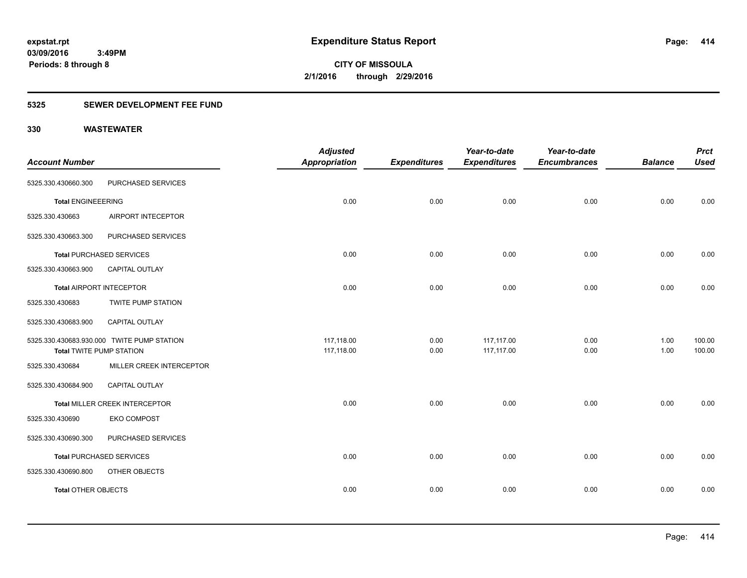### **5325 SEWER DEVELOPMENT FEE FUND**

|                                 |                                            | <b>Adjusted</b>      |                     | Year-to-date        | Year-to-date        |                | <b>Prct</b> |
|---------------------------------|--------------------------------------------|----------------------|---------------------|---------------------|---------------------|----------------|-------------|
| <b>Account Number</b>           |                                            | <b>Appropriation</b> | <b>Expenditures</b> | <b>Expenditures</b> | <b>Encumbrances</b> | <b>Balance</b> | <b>Used</b> |
| 5325.330.430660.300             | PURCHASED SERVICES                         |                      |                     |                     |                     |                |             |
| <b>Total ENGINEEERING</b>       |                                            | 0.00                 | 0.00                | 0.00                | 0.00                | 0.00           | 0.00        |
| 5325.330.430663                 | AIRPORT INTECEPTOR                         |                      |                     |                     |                     |                |             |
| 5325.330.430663.300             | PURCHASED SERVICES                         |                      |                     |                     |                     |                |             |
|                                 | <b>Total PURCHASED SERVICES</b>            | 0.00                 | 0.00                | 0.00                | 0.00                | 0.00           | 0.00        |
| 5325.330.430663.900             | <b>CAPITAL OUTLAY</b>                      |                      |                     |                     |                     |                |             |
| Total AIRPORT INTECEPTOR        |                                            | 0.00                 | 0.00                | 0.00                | 0.00                | 0.00           | 0.00        |
| 5325.330.430683                 | TWITE PUMP STATION                         |                      |                     |                     |                     |                |             |
| 5325.330.430683.900             | <b>CAPITAL OUTLAY</b>                      |                      |                     |                     |                     |                |             |
|                                 | 5325.330.430683.930.000 TWITE PUMP STATION | 117,118.00           | 0.00                | 117,117.00          | 0.00                | 1.00           | 100.00      |
| <b>Total TWITE PUMP STATION</b> |                                            | 117,118.00           | 0.00                | 117,117.00          | 0.00                | 1.00           | 100.00      |
| 5325.330.430684                 | MILLER CREEK INTERCEPTOR                   |                      |                     |                     |                     |                |             |
| 5325.330.430684.900             | <b>CAPITAL OUTLAY</b>                      |                      |                     |                     |                     |                |             |
|                                 | Total MILLER CREEK INTERCEPTOR             | 0.00                 | 0.00                | 0.00                | 0.00                | 0.00           | 0.00        |
| 5325.330.430690                 | <b>EKO COMPOST</b>                         |                      |                     |                     |                     |                |             |
| 5325.330.430690.300             | PURCHASED SERVICES                         |                      |                     |                     |                     |                |             |
|                                 | <b>Total PURCHASED SERVICES</b>            | 0.00                 | 0.00                | 0.00                | 0.00                | 0.00           | 0.00        |
| 5325.330.430690.800             | OTHER OBJECTS                              |                      |                     |                     |                     |                |             |
| <b>Total OTHER OBJECTS</b>      |                                            | 0.00                 | 0.00                | 0.00                | 0.00                | 0.00           | 0.00        |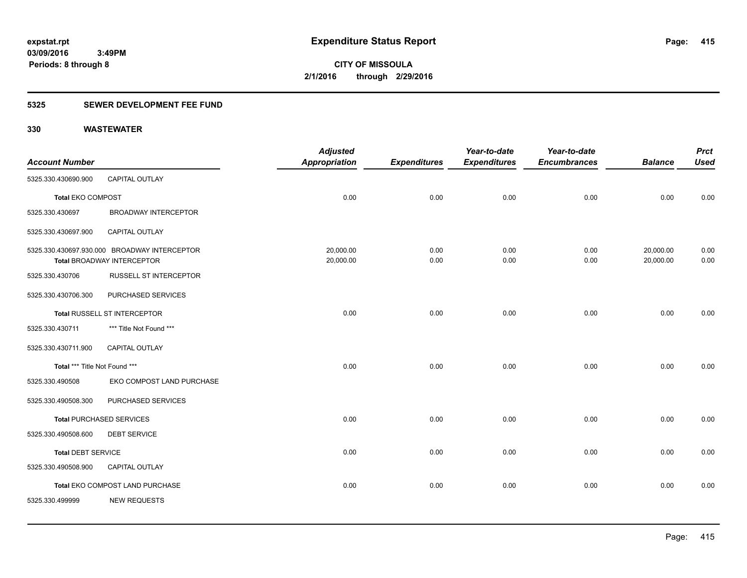### **5325 SEWER DEVELOPMENT FEE FUND**

|                               |                                              | <b>Adjusted</b>      |                     | Year-to-date        | Year-to-date        |                | <b>Prct</b> |
|-------------------------------|----------------------------------------------|----------------------|---------------------|---------------------|---------------------|----------------|-------------|
| <b>Account Number</b>         |                                              | <b>Appropriation</b> | <b>Expenditures</b> | <b>Expenditures</b> | <b>Encumbrances</b> | <b>Balance</b> | <b>Used</b> |
| 5325.330.430690.900           | CAPITAL OUTLAY                               |                      |                     |                     |                     |                |             |
| <b>Total EKO COMPOST</b>      |                                              | 0.00                 | 0.00                | 0.00                | 0.00                | 0.00           | 0.00        |
| 5325.330.430697               | <b>BROADWAY INTERCEPTOR</b>                  |                      |                     |                     |                     |                |             |
| 5325.330.430697.900           | <b>CAPITAL OUTLAY</b>                        |                      |                     |                     |                     |                |             |
|                               | 5325.330.430697.930.000 BROADWAY INTERCEPTOR | 20,000.00            | 0.00                | 0.00                | 0.00                | 20,000.00      | 0.00        |
|                               | <b>Total BROADWAY INTERCEPTOR</b>            | 20,000.00            | 0.00                | 0.00                | 0.00                | 20,000.00      | 0.00        |
| 5325.330.430706               | <b>RUSSELL ST INTERCEPTOR</b>                |                      |                     |                     |                     |                |             |
| 5325.330.430706.300           | PURCHASED SERVICES                           |                      |                     |                     |                     |                |             |
|                               | <b>Total RUSSELL ST INTERCEPTOR</b>          | 0.00                 | 0.00                | 0.00                | 0.00                | 0.00           | 0.00        |
| 5325.330.430711               | *** Title Not Found ***                      |                      |                     |                     |                     |                |             |
| 5325.330.430711.900           | <b>CAPITAL OUTLAY</b>                        |                      |                     |                     |                     |                |             |
| Total *** Title Not Found *** |                                              | 0.00                 | 0.00                | 0.00                | 0.00                | 0.00           | 0.00        |
| 5325.330.490508               | EKO COMPOST LAND PURCHASE                    |                      |                     |                     |                     |                |             |
| 5325.330.490508.300           | PURCHASED SERVICES                           |                      |                     |                     |                     |                |             |
|                               | <b>Total PURCHASED SERVICES</b>              | 0.00                 | 0.00                | 0.00                | 0.00                | 0.00           | 0.00        |
| 5325.330.490508.600           | <b>DEBT SERVICE</b>                          |                      |                     |                     |                     |                |             |
| <b>Total DEBT SERVICE</b>     |                                              | 0.00                 | 0.00                | 0.00                | 0.00                | 0.00           | 0.00        |
| 5325.330.490508.900           | CAPITAL OUTLAY                               |                      |                     |                     |                     |                |             |
|                               | Total EKO COMPOST LAND PURCHASE              | 0.00                 | 0.00                | 0.00                | 0.00                | 0.00           | 0.00        |
| 5325.330.499999               | <b>NEW REQUESTS</b>                          |                      |                     |                     |                     |                |             |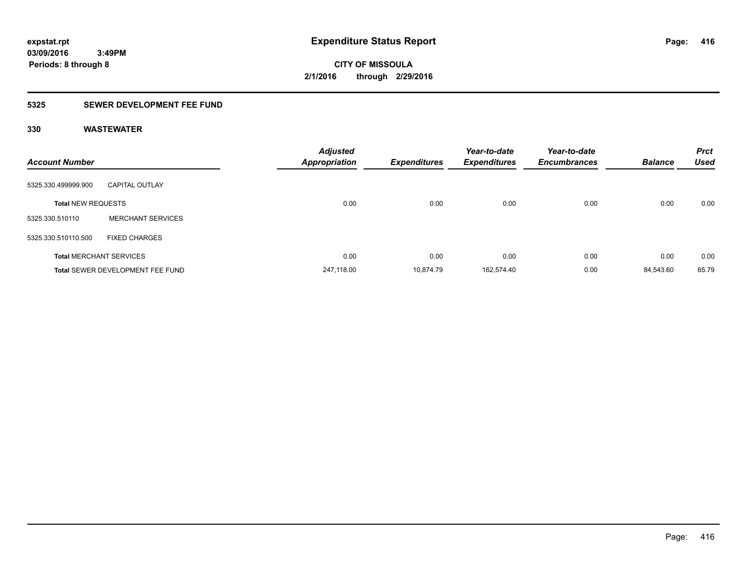### **5325 SEWER DEVELOPMENT FEE FUND**

| <b>Account Number</b>     |                                         | <b>Adjusted</b><br><b>Appropriation</b> | <b>Expenditures</b> | Year-to-date<br><b>Expenditures</b> | Year-to-date<br><b>Encumbrances</b> | <b>Balance</b> | <b>Prct</b><br><b>Used</b> |
|---------------------------|-----------------------------------------|-----------------------------------------|---------------------|-------------------------------------|-------------------------------------|----------------|----------------------------|
| 5325.330.499999.900       | <b>CAPITAL OUTLAY</b>                   |                                         |                     |                                     |                                     |                |                            |
| <b>Total NEW REQUESTS</b> |                                         | 0.00                                    | 0.00                | 0.00                                | 0.00                                | 0.00           | 0.00                       |
| 5325.330.510110           | <b>MERCHANT SERVICES</b>                |                                         |                     |                                     |                                     |                |                            |
| 5325.330.510110.500       | <b>FIXED CHARGES</b>                    |                                         |                     |                                     |                                     |                |                            |
|                           | <b>Total MERCHANT SERVICES</b>          | 0.00                                    | 0.00                | 0.00                                | 0.00                                | 0.00           | 0.00                       |
|                           | <b>Total SEWER DEVELOPMENT FEE FUND</b> | 247.118.00                              | 10.874.79           | 162.574.40                          | 0.00                                | 84.543.60      | 65.79                      |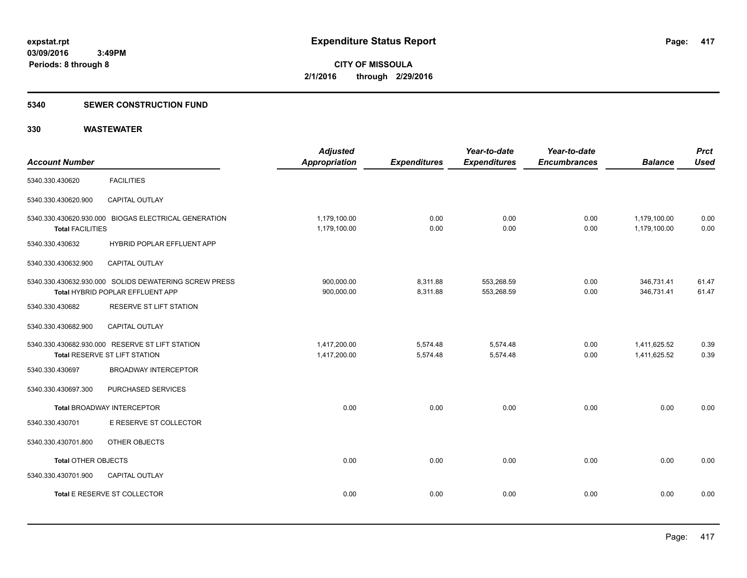#### **5340 SEWER CONSTRUCTION FUND**

| <b>Account Number</b>      |                                                                                                  | <b>Adjusted</b><br>Appropriation | <b>Expenditures</b>  | Year-to-date<br><b>Expenditures</b> | Year-to-date<br><b>Encumbrances</b> | <b>Balance</b>               | <b>Prct</b><br><b>Used</b> |
|----------------------------|--------------------------------------------------------------------------------------------------|----------------------------------|----------------------|-------------------------------------|-------------------------------------|------------------------------|----------------------------|
| 5340.330.430620            | <b>FACILITIES</b>                                                                                |                                  |                      |                                     |                                     |                              |                            |
| 5340.330.430620.900        | <b>CAPITAL OUTLAY</b>                                                                            |                                  |                      |                                     |                                     |                              |                            |
| <b>Total FACILITIES</b>    | 5340.330.430620.930.000 BIOGAS ELECTRICAL GENERATION                                             | 1,179,100.00<br>1,179,100.00     | 0.00<br>0.00         | 0.00<br>0.00                        | 0.00<br>0.00                        | 1,179,100.00<br>1,179,100.00 | 0.00<br>0.00               |
| 5340.330.430632            | <b>HYBRID POPLAR EFFLUENT APP</b>                                                                |                                  |                      |                                     |                                     |                              |                            |
| 5340.330.430632.900        | <b>CAPITAL OUTLAY</b>                                                                            |                                  |                      |                                     |                                     |                              |                            |
|                            | 5340.330.430632.930.000 SOLIDS DEWATERING SCREW PRESS<br><b>Total HYBRID POPLAR EFFLUENT APP</b> | 900,000.00<br>900,000.00         | 8,311.88<br>8,311.88 | 553,268.59<br>553,268.59            | 0.00<br>0.00                        | 346,731.41<br>346,731.41     | 61.47<br>61.47             |
| 5340.330.430682            | RESERVE ST LIFT STATION                                                                          |                                  |                      |                                     |                                     |                              |                            |
| 5340.330.430682.900        | <b>CAPITAL OUTLAY</b>                                                                            |                                  |                      |                                     |                                     |                              |                            |
|                            | 5340.330.430682.930.000 RESERVE ST LIFT STATION<br>Total RESERVE ST LIFT STATION                 | 1,417,200.00<br>1,417,200.00     | 5,574.48<br>5,574.48 | 5,574.48<br>5,574.48                | 0.00<br>0.00                        | 1,411,625.52<br>1,411,625.52 | 0.39<br>0.39               |
| 5340.330.430697            | <b>BROADWAY INTERCEPTOR</b>                                                                      |                                  |                      |                                     |                                     |                              |                            |
| 5340.330.430697.300        | PURCHASED SERVICES                                                                               |                                  |                      |                                     |                                     |                              |                            |
|                            | <b>Total BROADWAY INTERCEPTOR</b>                                                                | 0.00                             | 0.00                 | 0.00                                | 0.00                                | 0.00                         | 0.00                       |
| 5340.330.430701            | E RESERVE ST COLLECTOR                                                                           |                                  |                      |                                     |                                     |                              |                            |
| 5340.330.430701.800        | OTHER OBJECTS                                                                                    |                                  |                      |                                     |                                     |                              |                            |
| <b>Total OTHER OBJECTS</b> |                                                                                                  | 0.00                             | 0.00                 | 0.00                                | 0.00                                | 0.00                         | 0.00                       |
| 5340.330.430701.900        | <b>CAPITAL OUTLAY</b>                                                                            |                                  |                      |                                     |                                     |                              |                            |
|                            | Total E RESERVE ST COLLECTOR                                                                     | 0.00                             | 0.00                 | 0.00                                | 0.00                                | 0.00                         | 0.00                       |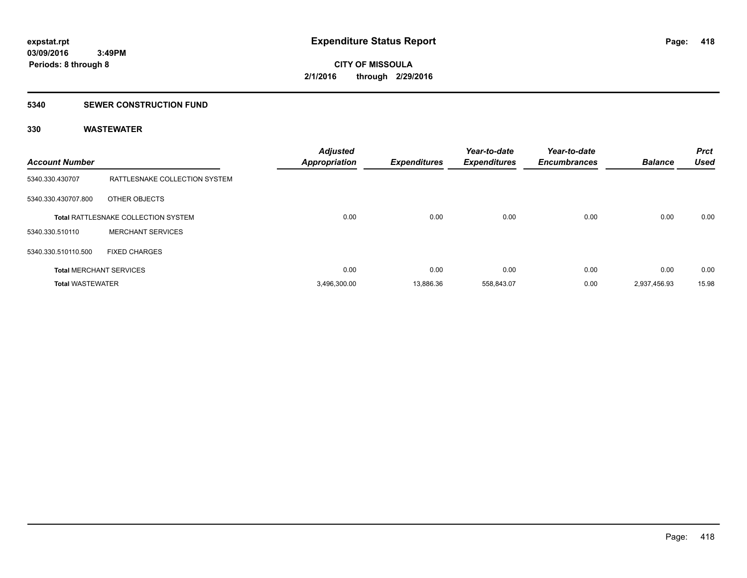#### **5340 SEWER CONSTRUCTION FUND**

| <b>Account Number</b>   |                                     | <b>Adjusted</b><br><b>Appropriation</b> | <b>Expenditures</b> | Year-to-date<br><b>Expenditures</b> | Year-to-date<br><b>Encumbrances</b> | <b>Balance</b> | <b>Prct</b><br><b>Used</b> |
|-------------------------|-------------------------------------|-----------------------------------------|---------------------|-------------------------------------|-------------------------------------|----------------|----------------------------|
| 5340.330.430707         | RATTLESNAKE COLLECTION SYSTEM       |                                         |                     |                                     |                                     |                |                            |
| 5340.330.430707.800     | OTHER OBJECTS                       |                                         |                     |                                     |                                     |                |                            |
|                         | Total RATTLESNAKE COLLECTION SYSTEM | 0.00                                    | 0.00                | 0.00                                | 0.00                                | 0.00           | 0.00                       |
| 5340.330.510110         | <b>MERCHANT SERVICES</b>            |                                         |                     |                                     |                                     |                |                            |
| 5340.330.510110.500     | <b>FIXED CHARGES</b>                |                                         |                     |                                     |                                     |                |                            |
|                         | <b>Total MERCHANT SERVICES</b>      | 0.00                                    | 0.00                | 0.00                                | 0.00                                | 0.00           | 0.00                       |
| <b>Total WASTEWATER</b> |                                     | 3,496,300.00                            | 13,886.36           | 558,843.07                          | 0.00                                | 2,937,456.93   | 15.98                      |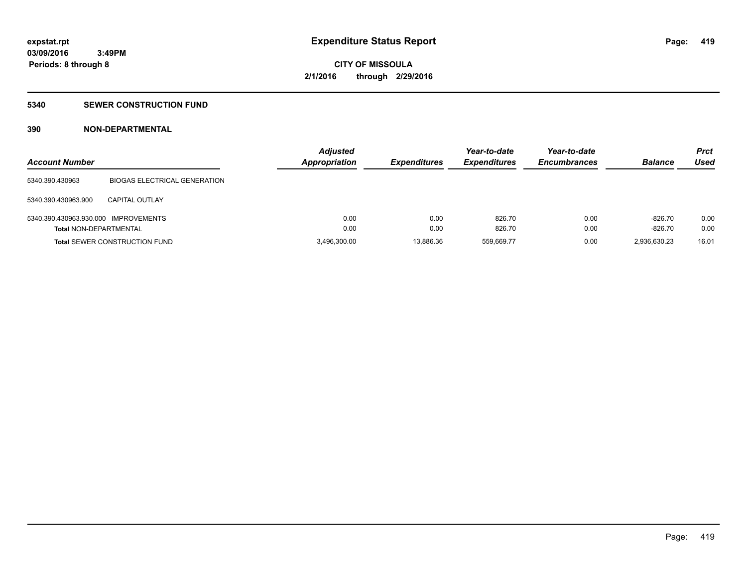### **5340 SEWER CONSTRUCTION FUND**

### **390 NON-DEPARTMENTAL**

| <b>Account Number</b>                |                                      | <b>Adjusted</b><br><b>Appropriation</b> | <b>Expenditures</b> | Year-to-date<br><b>Expenditures</b> | Year-to-date<br><b>Encumbrances</b> | <b>Balance</b> | Prct<br>Used |
|--------------------------------------|--------------------------------------|-----------------------------------------|---------------------|-------------------------------------|-------------------------------------|----------------|--------------|
| 5340.390.430963                      | <b>BIOGAS ELECTRICAL GENERATION</b>  |                                         |                     |                                     |                                     |                |              |
| 5340.390.430963.900                  | <b>CAPITAL OUTLAY</b>                |                                         |                     |                                     |                                     |                |              |
| 5340.390.430963.930.000 IMPROVEMENTS |                                      | 0.00                                    | 0.00                | 826.70                              | 0.00                                | $-826.70$      | 0.00         |
| <b>Total NON-DEPARTMENTAL</b>        |                                      | 0.00                                    | 0.00                | 826.70                              | 0.00                                | $-826.70$      | 0.00         |
|                                      | <b>Total SEWER CONSTRUCTION FUND</b> | 3,496,300.00                            | 13.886.36           | 559.669.77                          | 0.00                                | 2,936,630.23   | 16.01        |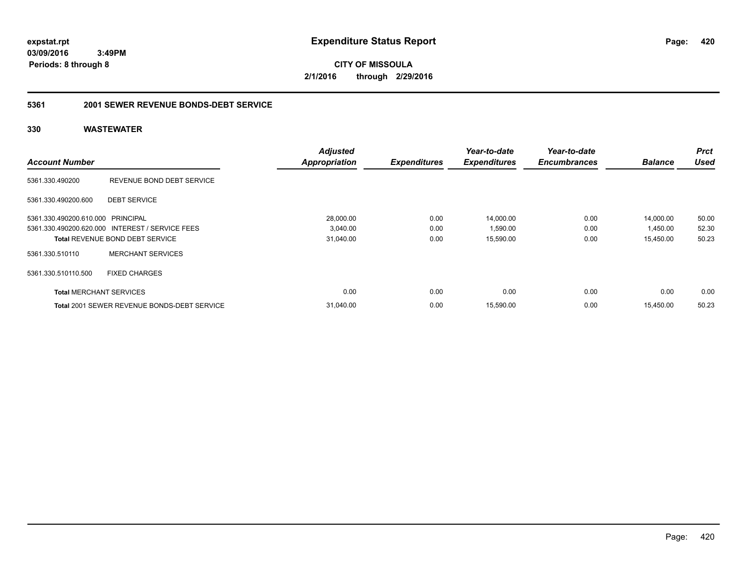**CITY OF MISSOULA 2/1/2016 through 2/29/2016**

### **5361 2001 SEWER REVENUE BONDS-DEBT SERVICE**

|                                   |                                                    | <b>Adjusted</b>      |                     | Year-to-date        | Year-to-date        |                | <b>Prct</b> |
|-----------------------------------|----------------------------------------------------|----------------------|---------------------|---------------------|---------------------|----------------|-------------|
| <b>Account Number</b>             |                                                    | <b>Appropriation</b> | <b>Expenditures</b> | <b>Expenditures</b> | <b>Encumbrances</b> | <b>Balance</b> | <b>Used</b> |
| 5361.330.490200                   | REVENUE BOND DEBT SERVICE                          |                      |                     |                     |                     |                |             |
| 5361.330.490200.600               | <b>DEBT SERVICE</b>                                |                      |                     |                     |                     |                |             |
| 5361.330.490200.610.000 PRINCIPAL |                                                    | 28.000.00            | 0.00                | 14,000.00           | 0.00                | 14,000.00      | 50.00       |
|                                   | 5361.330.490200.620.000 INTEREST / SERVICE FEES    | 3,040.00             | 0.00                | 1,590.00            | 0.00                | 1,450.00       | 52.30       |
|                                   | <b>Total REVENUE BOND DEBT SERVICE</b>             | 31,040.00            | 0.00                | 15,590.00           | 0.00                | 15,450.00      | 50.23       |
| 5361.330.510110                   | <b>MERCHANT SERVICES</b>                           |                      |                     |                     |                     |                |             |
| 5361.330.510110.500               | <b>FIXED CHARGES</b>                               |                      |                     |                     |                     |                |             |
| <b>Total MERCHANT SERVICES</b>    |                                                    | 0.00                 | 0.00                | 0.00                | 0.00                | 0.00           | 0.00        |
|                                   | <b>Total 2001 SEWER REVENUE BONDS-DEBT SERVICE</b> | 31,040.00            | 0.00                | 15,590.00           | 0.00                | 15.450.00      | 50.23       |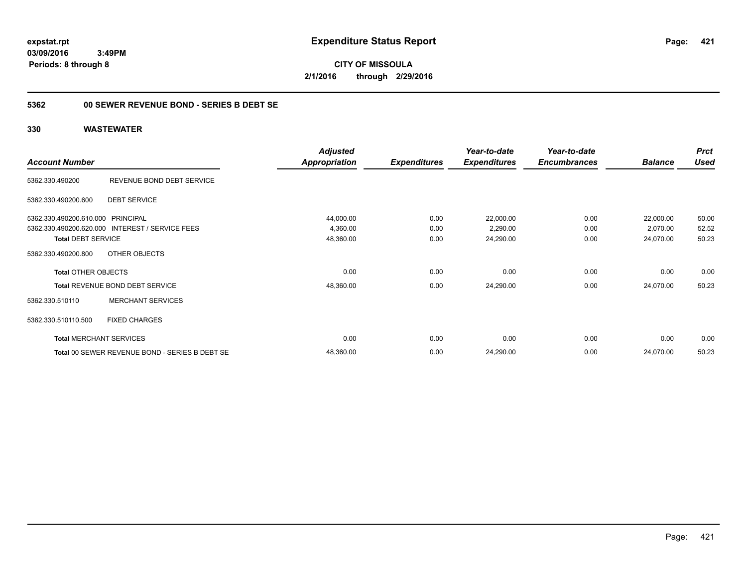**CITY OF MISSOULA 2/1/2016 through 2/29/2016**

### **5362 00 SEWER REVENUE BOND - SERIES B DEBT SE**

|                                   |                                                 | <b>Adjusted</b> |                     | Year-to-date        | Year-to-date        |                | <b>Prct</b> |
|-----------------------------------|-------------------------------------------------|-----------------|---------------------|---------------------|---------------------|----------------|-------------|
| <b>Account Number</b>             |                                                 | Appropriation   | <b>Expenditures</b> | <b>Expenditures</b> | <b>Encumbrances</b> | <b>Balance</b> | <b>Used</b> |
| 5362.330.490200                   | REVENUE BOND DEBT SERVICE                       |                 |                     |                     |                     |                |             |
| 5362.330.490200.600               | <b>DEBT SERVICE</b>                             |                 |                     |                     |                     |                |             |
| 5362.330.490200.610.000 PRINCIPAL |                                                 | 44,000.00       | 0.00                | 22,000.00           | 0.00                | 22,000.00      | 50.00       |
|                                   | 5362.330.490200.620.000 INTEREST / SERVICE FEES | 4,360.00        | 0.00                | 2,290.00            | 0.00                | 2,070.00       | 52.52       |
| <b>Total DEBT SERVICE</b>         |                                                 | 48,360.00       | 0.00                | 24,290.00           | 0.00                | 24,070.00      | 50.23       |
| 5362.330.490200.800               | OTHER OBJECTS                                   |                 |                     |                     |                     |                |             |
| <b>Total OTHER OBJECTS</b>        |                                                 | 0.00            | 0.00                | 0.00                | 0.00                | 0.00           | 0.00        |
|                                   | <b>Total REVENUE BOND DEBT SERVICE</b>          | 48,360.00       | 0.00                | 24,290.00           | 0.00                | 24,070.00      | 50.23       |
| 5362.330.510110                   | <b>MERCHANT SERVICES</b>                        |                 |                     |                     |                     |                |             |
| 5362.330.510110.500               | <b>FIXED CHARGES</b>                            |                 |                     |                     |                     |                |             |
|                                   | <b>Total MERCHANT SERVICES</b>                  | 0.00            | 0.00                | 0.00                | 0.00                | 0.00           | 0.00        |
|                                   | Total 00 SEWER REVENUE BOND - SERIES B DEBT SE  | 48,360.00       | 0.00                | 24,290.00           | 0.00                | 24,070.00      | 50.23       |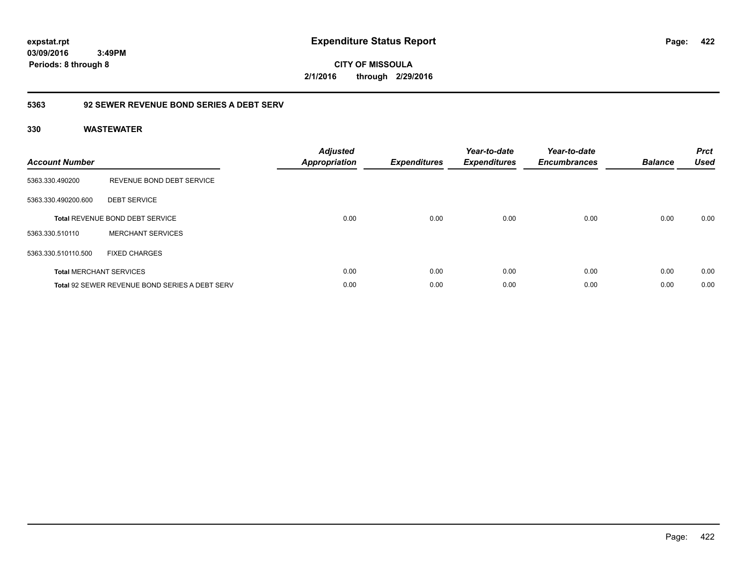**CITY OF MISSOULA 2/1/2016 through 2/29/2016**

### **5363 92 SEWER REVENUE BOND SERIES A DEBT SERV**

| <b>Account Number</b> |                                                       | <b>Adjusted</b><br><b>Appropriation</b> | <b>Expenditures</b> | Year-to-date<br><b>Expenditures</b> | Year-to-date<br><b>Encumbrances</b> | <b>Balance</b> | <b>Prct</b><br><b>Used</b> |
|-----------------------|-------------------------------------------------------|-----------------------------------------|---------------------|-------------------------------------|-------------------------------------|----------------|----------------------------|
| 5363.330.490200       | REVENUE BOND DEBT SERVICE                             |                                         |                     |                                     |                                     |                |                            |
| 5363.330.490200.600   | <b>DEBT SERVICE</b>                                   |                                         |                     |                                     |                                     |                |                            |
|                       | <b>Total REVENUE BOND DEBT SERVICE</b>                | 0.00                                    | 0.00                | 0.00                                | 0.00                                | 0.00           | 0.00                       |
| 5363.330.510110       | <b>MERCHANT SERVICES</b>                              |                                         |                     |                                     |                                     |                |                            |
| 5363.330.510110.500   | <b>FIXED CHARGES</b>                                  |                                         |                     |                                     |                                     |                |                            |
|                       | <b>Total MERCHANT SERVICES</b>                        | 0.00                                    | 0.00                | 0.00                                | 0.00                                | 0.00           | 0.00                       |
|                       | <b>Total 92 SEWER REVENUE BOND SERIES A DEBT SERV</b> | 0.00                                    | 0.00                | 0.00                                | 0.00                                | 0.00           | 0.00                       |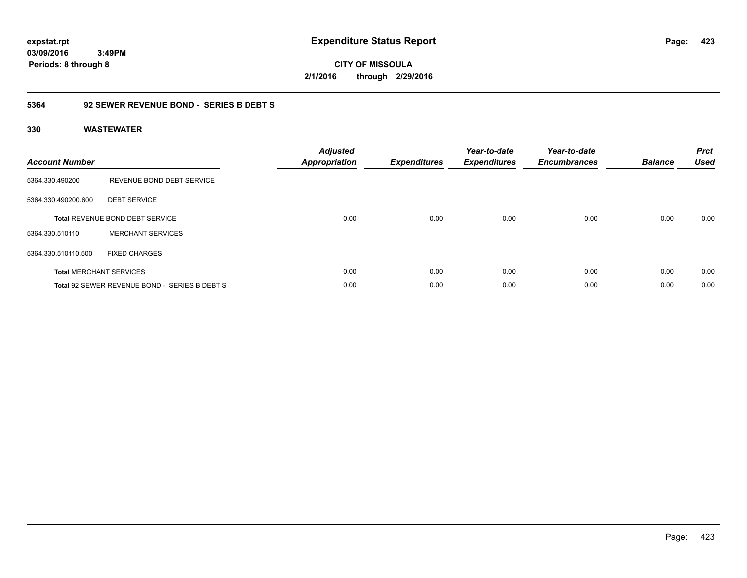**CITY OF MISSOULA 2/1/2016 through 2/29/2016**

### **5364 92 SEWER REVENUE BOND - SERIES B DEBT S**

| <b>Account Number</b> |                                               | <b>Adjusted</b><br>Appropriation | <b>Expenditures</b> | Year-to-date<br><b>Expenditures</b> | Year-to-date<br><b>Encumbrances</b> | <b>Balance</b> | <b>Prct</b><br><b>Used</b> |
|-----------------------|-----------------------------------------------|----------------------------------|---------------------|-------------------------------------|-------------------------------------|----------------|----------------------------|
| 5364.330.490200       | REVENUE BOND DEBT SERVICE                     |                                  |                     |                                     |                                     |                |                            |
| 5364.330.490200.600   | <b>DEBT SERVICE</b>                           |                                  |                     |                                     |                                     |                |                            |
|                       | <b>Total REVENUE BOND DEBT SERVICE</b>        | 0.00                             | 0.00                | 0.00                                | 0.00                                | 0.00           | 0.00                       |
| 5364.330.510110       | <b>MERCHANT SERVICES</b>                      |                                  |                     |                                     |                                     |                |                            |
| 5364.330.510110.500   | <b>FIXED CHARGES</b>                          |                                  |                     |                                     |                                     |                |                            |
|                       | <b>Total MERCHANT SERVICES</b>                | 0.00                             | 0.00                | 0.00                                | 0.00                                | 0.00           | 0.00                       |
|                       | Total 92 SEWER REVENUE BOND - SERIES B DEBT S | 0.00                             | 0.00                | 0.00                                | 0.00                                | 0.00           | 0.00                       |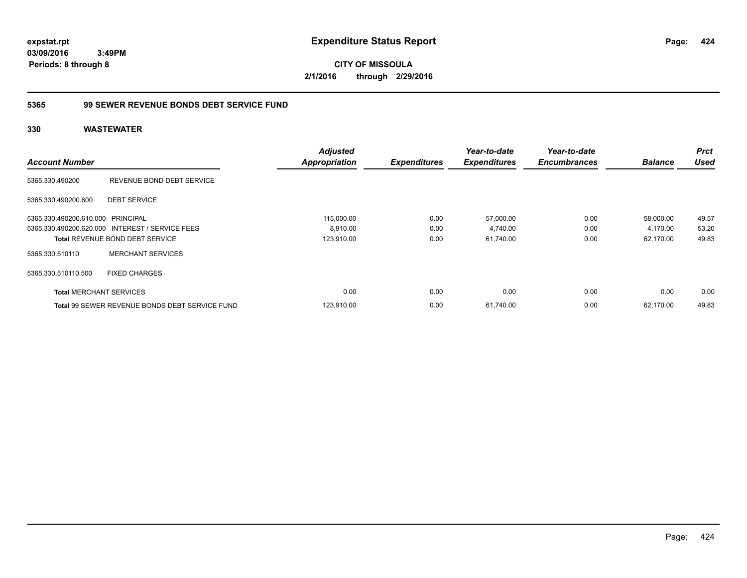**CITY OF MISSOULA 2/1/2016 through 2/29/2016**

### **5365 99 SEWER REVENUE BONDS DEBT SERVICE FUND**

| <b>Account Number</b>             |                                                       | <b>Adjusted</b><br><b>Appropriation</b> | <b>Expenditures</b> | Year-to-date<br><b>Expenditures</b> | Year-to-date<br><b>Encumbrances</b> | <b>Balance</b> | <b>Prct</b><br><b>Used</b> |
|-----------------------------------|-------------------------------------------------------|-----------------------------------------|---------------------|-------------------------------------|-------------------------------------|----------------|----------------------------|
| 5365.330.490200                   | REVENUE BOND DEBT SERVICE                             |                                         |                     |                                     |                                     |                |                            |
| 5365.330.490200.600               | <b>DEBT SERVICE</b>                                   |                                         |                     |                                     |                                     |                |                            |
| 5365.330.490200.610.000 PRINCIPAL |                                                       | 115,000.00                              | 0.00                | 57,000.00                           | 0.00                                | 58,000.00      | 49.57                      |
|                                   | 5365.330.490200.620.000 INTEREST / SERVICE FEES       | 8,910.00                                | 0.00                | 4,740.00                            | 0.00                                | 4,170.00       | 53.20                      |
|                                   | <b>Total REVENUE BOND DEBT SERVICE</b>                | 123,910.00                              | 0.00                | 61,740.00                           | 0.00                                | 62.170.00      | 49.83                      |
| 5365.330.510110                   | <b>MERCHANT SERVICES</b>                              |                                         |                     |                                     |                                     |                |                            |
| 5365.330.510110.500               | <b>FIXED CHARGES</b>                                  |                                         |                     |                                     |                                     |                |                            |
| <b>Total MERCHANT SERVICES</b>    |                                                       | 0.00                                    | 0.00                | 0.00                                | 0.00                                | 0.00           | 0.00                       |
|                                   | <b>Total 99 SEWER REVENUE BONDS DEBT SERVICE FUND</b> | 123.910.00                              | 0.00                | 61.740.00                           | 0.00                                | 62.170.00      | 49.83                      |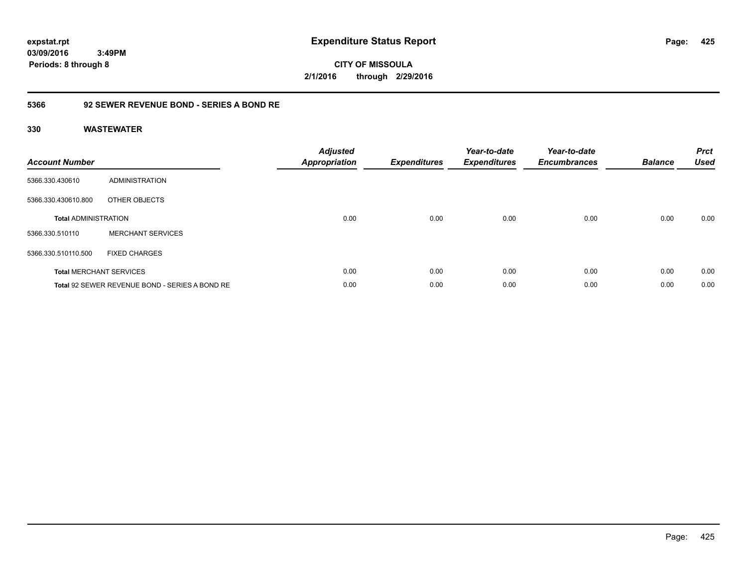**CITY OF MISSOULA 2/1/2016 through 2/29/2016**

### **5366 92 SEWER REVENUE BOND - SERIES A BOND RE**

| <b>Account Number</b>       |                                                | <b>Adjusted</b><br><b>Appropriation</b> | <b>Expenditures</b> | Year-to-date<br><b>Expenditures</b> | Year-to-date<br><b>Encumbrances</b> | <b>Balance</b> | <b>Prct</b><br><b>Used</b> |
|-----------------------------|------------------------------------------------|-----------------------------------------|---------------------|-------------------------------------|-------------------------------------|----------------|----------------------------|
| 5366.330.430610             | ADMINISTRATION                                 |                                         |                     |                                     |                                     |                |                            |
| 5366.330.430610.800         | OTHER OBJECTS                                  |                                         |                     |                                     |                                     |                |                            |
| <b>Total ADMINISTRATION</b> |                                                | 0.00                                    | 0.00                | 0.00                                | 0.00                                | 0.00           | 0.00                       |
| 5366.330.510110             | <b>MERCHANT SERVICES</b>                       |                                         |                     |                                     |                                     |                |                            |
| 5366.330.510110.500         | <b>FIXED CHARGES</b>                           |                                         |                     |                                     |                                     |                |                            |
|                             | <b>Total MERCHANT SERVICES</b>                 | 0.00                                    | 0.00                | 0.00                                | 0.00                                | 0.00           | 0.00                       |
|                             | Total 92 SEWER REVENUE BOND - SERIES A BOND RE | 0.00                                    | 0.00                | 0.00                                | 0.00                                | 0.00           | 0.00                       |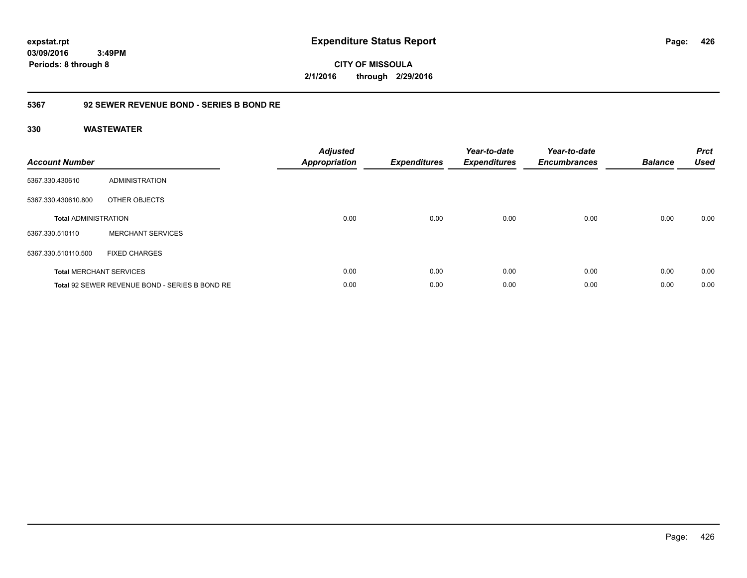**CITY OF MISSOULA 2/1/2016 through 2/29/2016**

### **5367 92 SEWER REVENUE BOND - SERIES B BOND RE**

| <b>Account Number</b>       |                                                | <b>Adjusted</b><br><b>Appropriation</b> | <b>Expenditures</b> | Year-to-date<br><b>Expenditures</b> | Year-to-date<br><b>Encumbrances</b> | <b>Balance</b> | <b>Prct</b><br><b>Used</b> |
|-----------------------------|------------------------------------------------|-----------------------------------------|---------------------|-------------------------------------|-------------------------------------|----------------|----------------------------|
| 5367.330.430610             | ADMINISTRATION                                 |                                         |                     |                                     |                                     |                |                            |
| 5367.330.430610.800         | OTHER OBJECTS                                  |                                         |                     |                                     |                                     |                |                            |
| <b>Total ADMINISTRATION</b> |                                                | 0.00                                    | 0.00                | 0.00                                | 0.00                                | 0.00           | 0.00                       |
| 5367.330.510110             | <b>MERCHANT SERVICES</b>                       |                                         |                     |                                     |                                     |                |                            |
| 5367.330.510110.500         | <b>FIXED CHARGES</b>                           |                                         |                     |                                     |                                     |                |                            |
|                             | <b>Total MERCHANT SERVICES</b>                 | 0.00                                    | 0.00                | 0.00                                | 0.00                                | 0.00           | 0.00                       |
|                             | Total 92 SEWER REVENUE BOND - SERIES B BOND RE | 0.00                                    | 0.00                | 0.00                                | 0.00                                | 0.00           | 0.00                       |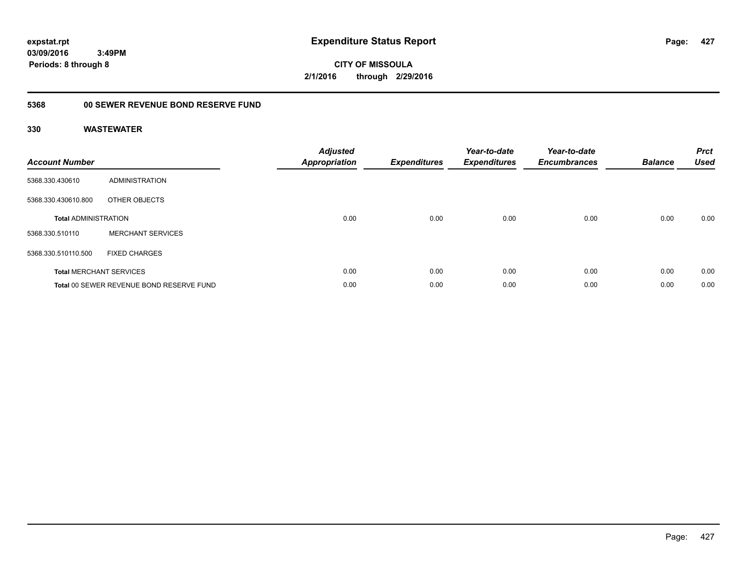**CITY OF MISSOULA 2/1/2016 through 2/29/2016**

## **5368 00 SEWER REVENUE BOND RESERVE FUND**

| <b>Account Number</b>       |                                          | <b>Adjusted</b><br>Appropriation | <b>Expenditures</b> | Year-to-date<br><b>Expenditures</b> | Year-to-date<br><b>Encumbrances</b> | <b>Balance</b> | <b>Prct</b><br><b>Used</b> |
|-----------------------------|------------------------------------------|----------------------------------|---------------------|-------------------------------------|-------------------------------------|----------------|----------------------------|
| 5368.330.430610             | ADMINISTRATION                           |                                  |                     |                                     |                                     |                |                            |
| 5368.330.430610.800         | OTHER OBJECTS                            |                                  |                     |                                     |                                     |                |                            |
| <b>Total ADMINISTRATION</b> |                                          | 0.00                             | 0.00                | 0.00                                | 0.00                                | 0.00           | 0.00                       |
| 5368.330.510110             | <b>MERCHANT SERVICES</b>                 |                                  |                     |                                     |                                     |                |                            |
| 5368.330.510110.500         | <b>FIXED CHARGES</b>                     |                                  |                     |                                     |                                     |                |                            |
|                             | <b>Total MERCHANT SERVICES</b>           | 0.00                             | 0.00                | 0.00                                | 0.00                                | 0.00           | 0.00                       |
|                             | Total 00 SEWER REVENUE BOND RESERVE FUND | 0.00                             | 0.00                | 0.00                                | 0.00                                | 0.00           | 0.00                       |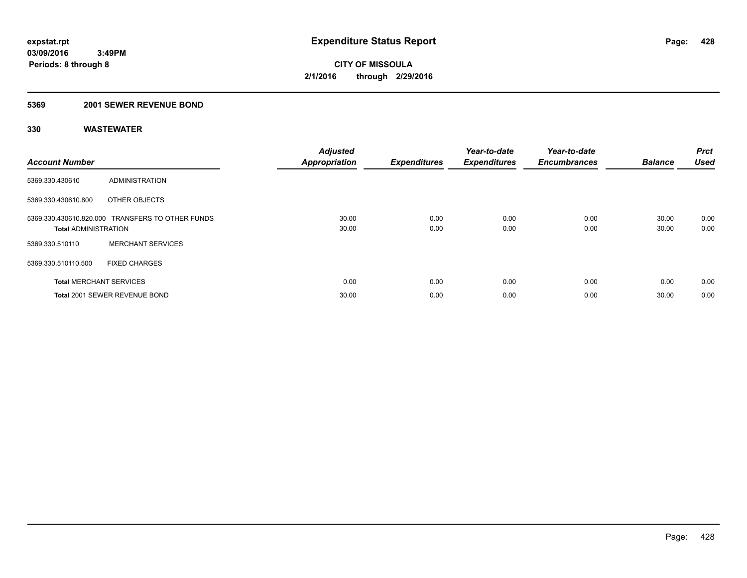#### **5369 2001 SEWER REVENUE BOND**

| <b>Account Number</b>          |                                                  | <b>Adjusted</b><br><b>Appropriation</b> | <b>Expenditures</b> | Year-to-date<br><b>Expenditures</b> | Year-to-date<br><b>Encumbrances</b> | <b>Balance</b> | <b>Prct</b><br><b>Used</b> |
|--------------------------------|--------------------------------------------------|-----------------------------------------|---------------------|-------------------------------------|-------------------------------------|----------------|----------------------------|
| 5369.330.430610                | ADMINISTRATION                                   |                                         |                     |                                     |                                     |                |                            |
| 5369.330.430610.800            | OTHER OBJECTS                                    |                                         |                     |                                     |                                     |                |                            |
| <b>Total ADMINISTRATION</b>    | 5369.330.430610.820.000 TRANSFERS TO OTHER FUNDS | 30.00<br>30.00                          | 0.00<br>0.00        | 0.00<br>0.00                        | 0.00<br>0.00                        | 30.00<br>30.00 | 0.00<br>0.00               |
| 5369.330.510110                | <b>MERCHANT SERVICES</b>                         |                                         |                     |                                     |                                     |                |                            |
| 5369.330.510110.500            | <b>FIXED CHARGES</b>                             |                                         |                     |                                     |                                     |                |                            |
| <b>Total MERCHANT SERVICES</b> |                                                  | 0.00                                    | 0.00                | 0.00                                | 0.00                                | 0.00           | 0.00                       |
|                                | Total 2001 SEWER REVENUE BOND                    | 30.00                                   | 0.00                | 0.00                                | 0.00                                | 30.00          | 0.00                       |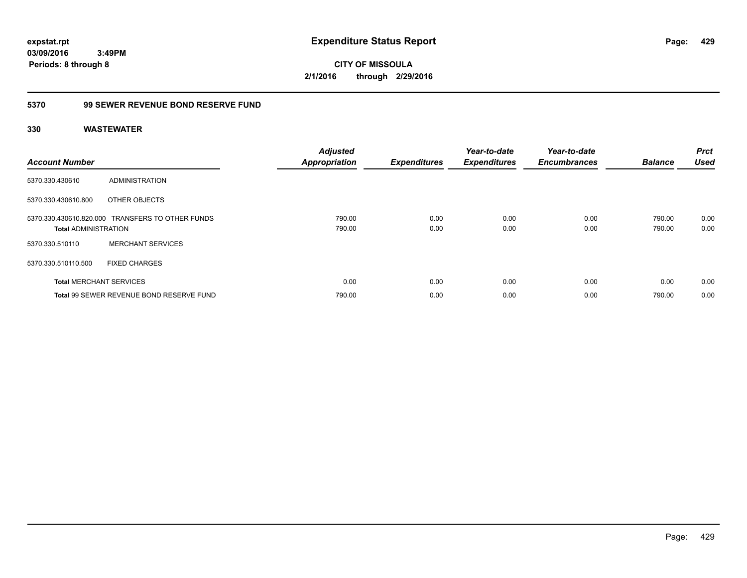**CITY OF MISSOULA 2/1/2016 through 2/29/2016**

### **5370 99 SEWER REVENUE BOND RESERVE FUND**

| <b>Account Number</b>          |                                                  | <b>Adjusted</b><br><b>Appropriation</b> | <b>Expenditures</b> | Year-to-date<br><b>Expenditures</b> | Year-to-date<br><b>Encumbrances</b> | <b>Balance</b>   | <b>Prct</b><br><b>Used</b> |
|--------------------------------|--------------------------------------------------|-----------------------------------------|---------------------|-------------------------------------|-------------------------------------|------------------|----------------------------|
| 5370.330.430610                | ADMINISTRATION                                   |                                         |                     |                                     |                                     |                  |                            |
| 5370.330.430610.800            | OTHER OBJECTS                                    |                                         |                     |                                     |                                     |                  |                            |
| <b>Total ADMINISTRATION</b>    | 5370.330.430610.820.000 TRANSFERS TO OTHER FUNDS | 790.00<br>790.00                        | 0.00<br>0.00        | 0.00<br>0.00                        | 0.00<br>0.00                        | 790.00<br>790.00 | 0.00<br>0.00               |
| 5370.330.510110                | <b>MERCHANT SERVICES</b>                         |                                         |                     |                                     |                                     |                  |                            |
| 5370.330.510110.500            | <b>FIXED CHARGES</b>                             |                                         |                     |                                     |                                     |                  |                            |
| <b>Total MERCHANT SERVICES</b> |                                                  | 0.00                                    | 0.00                | 0.00                                | 0.00                                | 0.00             | 0.00                       |
|                                | Total 99 SEWER REVENUE BOND RESERVE FUND         | 790.00                                  | 0.00                | 0.00                                | 0.00                                | 790.00           | 0.00                       |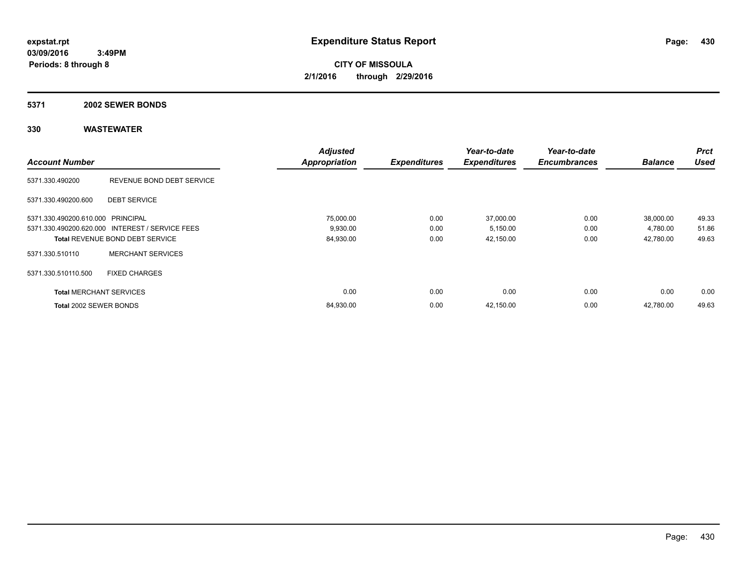**CITY OF MISSOULA 2/1/2016 through 2/29/2016**

#### **5371 2002 SEWER BONDS**

|                                   |                                                 | <b>Adjusted</b>      |                     | Year-to-date        | Year-to-date        |                | <b>Prct</b> |
|-----------------------------------|-------------------------------------------------|----------------------|---------------------|---------------------|---------------------|----------------|-------------|
| <b>Account Number</b>             |                                                 | <b>Appropriation</b> | <b>Expenditures</b> | <b>Expenditures</b> | <b>Encumbrances</b> | <b>Balance</b> | <b>Used</b> |
| 5371.330.490200                   | REVENUE BOND DEBT SERVICE                       |                      |                     |                     |                     |                |             |
| 5371.330.490200.600               | <b>DEBT SERVICE</b>                             |                      |                     |                     |                     |                |             |
| 5371.330.490200.610.000 PRINCIPAL |                                                 | 75,000.00            | 0.00                | 37,000.00           | 0.00                | 38,000.00      | 49.33       |
|                                   | 5371.330.490200.620.000 INTEREST / SERVICE FEES | 9,930.00             | 0.00                | 5,150.00            | 0.00                | 4,780.00       | 51.86       |
|                                   | Total REVENUE BOND DEBT SERVICE                 | 84,930.00            | 0.00                | 42,150.00           | 0.00                | 42,780.00      | 49.63       |
| 5371.330.510110                   | <b>MERCHANT SERVICES</b>                        |                      |                     |                     |                     |                |             |
| 5371.330.510110.500               | <b>FIXED CHARGES</b>                            |                      |                     |                     |                     |                |             |
| <b>Total MERCHANT SERVICES</b>    |                                                 | 0.00                 | 0.00                | 0.00                | 0.00                | 0.00           | 0.00        |
| Total 2002 SEWER BONDS            |                                                 | 84,930.00            | 0.00                | 42,150.00           | 0.00                | 42.780.00      | 49.63       |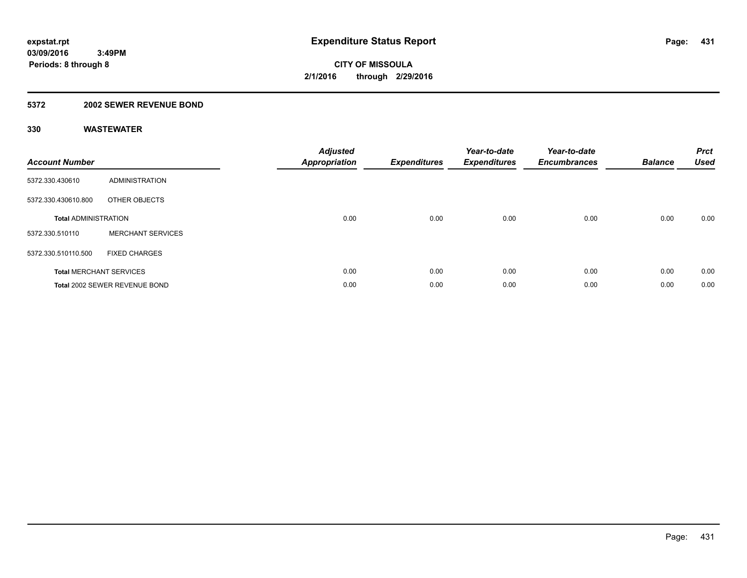### **5372 2002 SEWER REVENUE BOND**

| <b>Account Number</b>       |                                | <b>Adjusted</b><br>Appropriation | <b>Expenditures</b> | Year-to-date<br><b>Expenditures</b> | Year-to-date<br><b>Encumbrances</b> | <b>Balance</b> | <b>Prct</b><br>Used |
|-----------------------------|--------------------------------|----------------------------------|---------------------|-------------------------------------|-------------------------------------|----------------|---------------------|
| 5372.330.430610             | ADMINISTRATION                 |                                  |                     |                                     |                                     |                |                     |
| 5372.330.430610.800         | OTHER OBJECTS                  |                                  |                     |                                     |                                     |                |                     |
| <b>Total ADMINISTRATION</b> |                                | 0.00                             | 0.00                | 0.00                                | 0.00                                | 0.00           | 0.00                |
| 5372.330.510110             | <b>MERCHANT SERVICES</b>       |                                  |                     |                                     |                                     |                |                     |
| 5372.330.510110.500         | <b>FIXED CHARGES</b>           |                                  |                     |                                     |                                     |                |                     |
|                             | <b>Total MERCHANT SERVICES</b> | 0.00                             | 0.00                | 0.00                                | 0.00                                | 0.00           | 0.00                |
|                             | Total 2002 SEWER REVENUE BOND  | 0.00                             | 0.00                | 0.00                                | 0.00                                | 0.00           | 0.00                |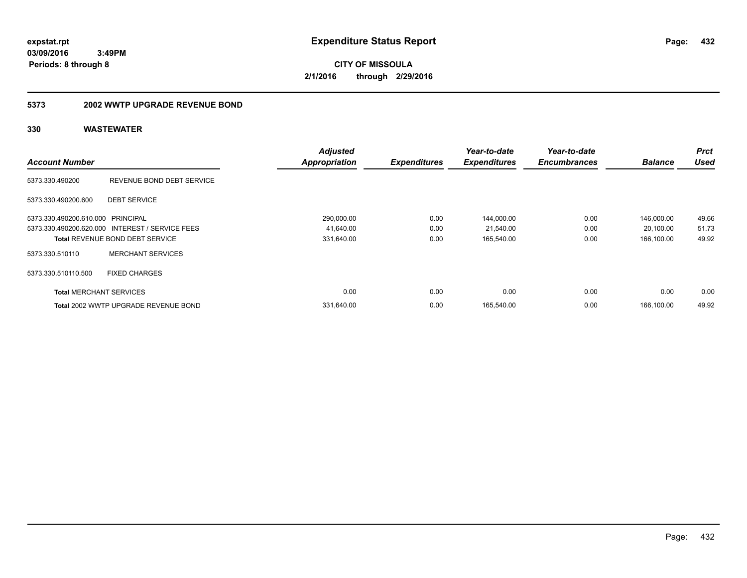**CITY OF MISSOULA 2/1/2016 through 2/29/2016**

### **5373 2002 WWTP UPGRADE REVENUE BOND**

|                                   |                                                 | <b>Adjusted</b>      |                     | Year-to-date        | Year-to-date        |                | <b>Prct</b> |
|-----------------------------------|-------------------------------------------------|----------------------|---------------------|---------------------|---------------------|----------------|-------------|
| <b>Account Number</b>             |                                                 | <b>Appropriation</b> | <b>Expenditures</b> | <b>Expenditures</b> | <b>Encumbrances</b> | <b>Balance</b> | Used        |
| 5373.330.490200                   | REVENUE BOND DEBT SERVICE                       |                      |                     |                     |                     |                |             |
| 5373.330.490200.600               | <b>DEBT SERVICE</b>                             |                      |                     |                     |                     |                |             |
| 5373.330.490200.610.000 PRINCIPAL |                                                 | 290,000.00           | 0.00                | 144,000.00          | 0.00                | 146.000.00     | 49.66       |
|                                   | 5373.330.490200.620.000 INTEREST / SERVICE FEES | 41,640.00            | 0.00                | 21,540.00           | 0.00                | 20,100.00      | 51.73       |
|                                   | <b>Total REVENUE BOND DEBT SERVICE</b>          | 331,640.00           | 0.00                | 165,540.00          | 0.00                | 166,100.00     | 49.92       |
| 5373.330.510110                   | <b>MERCHANT SERVICES</b>                        |                      |                     |                     |                     |                |             |
| 5373.330.510110.500               | <b>FIXED CHARGES</b>                            |                      |                     |                     |                     |                |             |
| <b>Total MERCHANT SERVICES</b>    |                                                 | 0.00                 | 0.00                | 0.00                | 0.00                | 0.00           | 0.00        |
|                                   | Total 2002 WWTP UPGRADE REVENUE BOND            | 331,640.00           | 0.00                | 165,540.00          | 0.00                | 166.100.00     | 49.92       |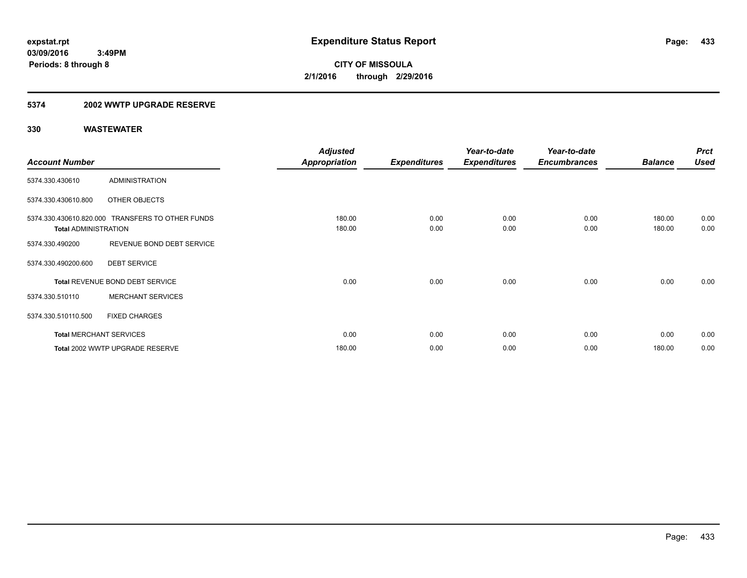#### **5374 2002 WWTP UPGRADE RESERVE**

|                             |                                                  | <b>Adjusted</b>      |                     | Year-to-date        | Year-to-date        |                | <b>Prct</b> |
|-----------------------------|--------------------------------------------------|----------------------|---------------------|---------------------|---------------------|----------------|-------------|
| <b>Account Number</b>       |                                                  | <b>Appropriation</b> | <b>Expenditures</b> | <b>Expenditures</b> | <b>Encumbrances</b> | <b>Balance</b> | <b>Used</b> |
| 5374.330.430610             | <b>ADMINISTRATION</b>                            |                      |                     |                     |                     |                |             |
| 5374.330.430610.800         | OTHER OBJECTS                                    |                      |                     |                     |                     |                |             |
|                             | 5374.330.430610.820.000 TRANSFERS TO OTHER FUNDS | 180.00               | 0.00                | 0.00                | 0.00                | 180.00         | 0.00        |
| <b>Total ADMINISTRATION</b> |                                                  | 180.00               | 0.00                | 0.00                | 0.00                | 180.00         | 0.00        |
| 5374.330.490200             | REVENUE BOND DEBT SERVICE                        |                      |                     |                     |                     |                |             |
| 5374.330.490200.600         | <b>DEBT SERVICE</b>                              |                      |                     |                     |                     |                |             |
|                             | Total REVENUE BOND DEBT SERVICE                  | 0.00                 | 0.00                | 0.00                | 0.00                | 0.00           | 0.00        |
| 5374.330.510110             | <b>MERCHANT SERVICES</b>                         |                      |                     |                     |                     |                |             |
| 5374.330.510110.500         | <b>FIXED CHARGES</b>                             |                      |                     |                     |                     |                |             |
|                             | <b>Total MERCHANT SERVICES</b>                   | 0.00                 | 0.00                | 0.00                | 0.00                | 0.00           | 0.00        |
|                             | Total 2002 WWTP UPGRADE RESERVE                  | 180.00               | 0.00                | 0.00                | 0.00                | 180.00         | 0.00        |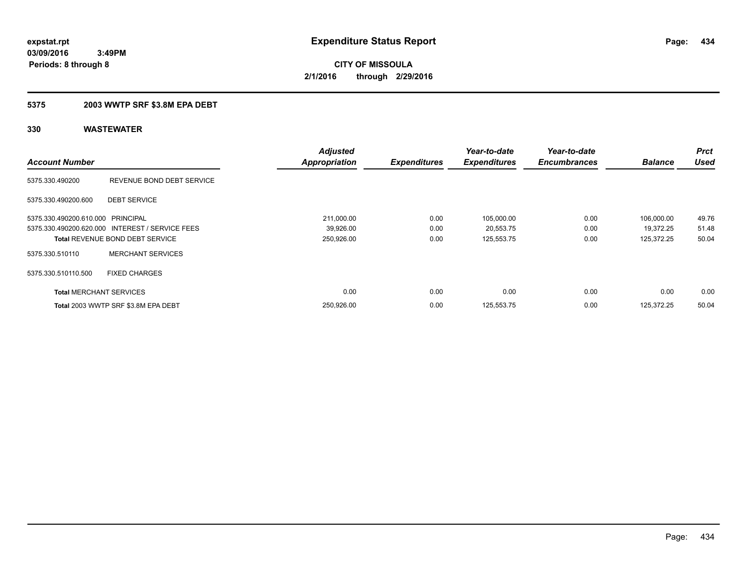### **5375 2003 WWTP SRF \$3.8M EPA DEBT**

|                                   |                                                 | <b>Adjusted</b>      |                     | Year-to-date        | Year-to-date        |                | <b>Prct</b> |
|-----------------------------------|-------------------------------------------------|----------------------|---------------------|---------------------|---------------------|----------------|-------------|
| <b>Account Number</b>             |                                                 | <b>Appropriation</b> | <b>Expenditures</b> | <b>Expenditures</b> | <b>Encumbrances</b> | <b>Balance</b> | <b>Used</b> |
| 5375.330.490200                   | REVENUE BOND DEBT SERVICE                       |                      |                     |                     |                     |                |             |
| 5375.330.490200.600               | <b>DEBT SERVICE</b>                             |                      |                     |                     |                     |                |             |
| 5375.330.490200.610.000 PRINCIPAL |                                                 | 211,000.00           | 0.00                | 105,000.00          | 0.00                | 106.000.00     | 49.76       |
|                                   | 5375.330.490200.620.000 INTEREST / SERVICE FEES | 39,926.00            | 0.00                | 20,553.75           | 0.00                | 19.372.25      | 51.48       |
|                                   | <b>Total REVENUE BOND DEBT SERVICE</b>          | 250,926.00           | 0.00                | 125,553.75          | 0.00                | 125,372.25     | 50.04       |
| 5375.330.510110                   | <b>MERCHANT SERVICES</b>                        |                      |                     |                     |                     |                |             |
| 5375.330.510110.500               | <b>FIXED CHARGES</b>                            |                      |                     |                     |                     |                |             |
| <b>Total MERCHANT SERVICES</b>    |                                                 | 0.00                 | 0.00                | 0.00                | 0.00                | 0.00           | 0.00        |
|                                   | Total 2003 WWTP SRF \$3.8M EPA DEBT             | 250,926.00           | 0.00                | 125,553.75          | 0.00                | 125.372.25     | 50.04       |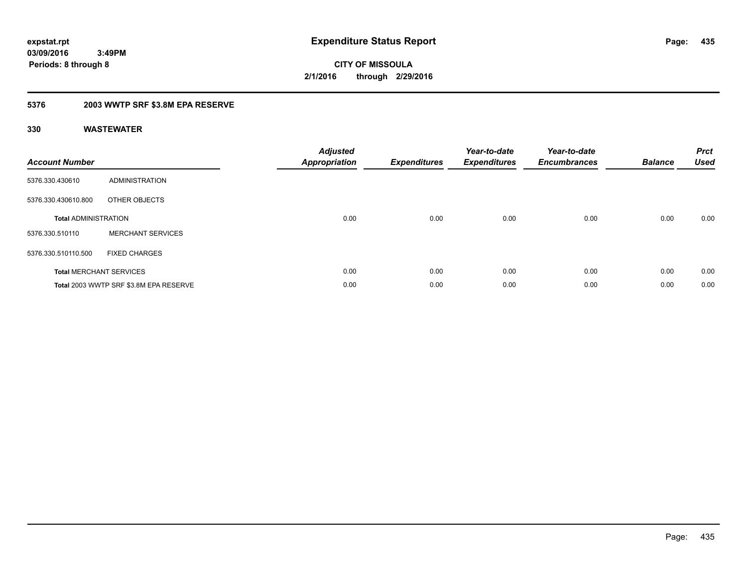**CITY OF MISSOULA 2/1/2016 through 2/29/2016**

### **5376 2003 WWTP SRF \$3.8M EPA RESERVE**

| <b>Account Number</b>       |                                        | <b>Adjusted</b><br>Appropriation | <b>Expenditures</b> | Year-to-date<br><b>Expenditures</b> | Year-to-date<br><b>Encumbrances</b> | <b>Balance</b> | <b>Prct</b><br><b>Used</b> |
|-----------------------------|----------------------------------------|----------------------------------|---------------------|-------------------------------------|-------------------------------------|----------------|----------------------------|
| 5376.330.430610             | ADMINISTRATION                         |                                  |                     |                                     |                                     |                |                            |
| 5376.330.430610.800         | OTHER OBJECTS                          |                                  |                     |                                     |                                     |                |                            |
| <b>Total ADMINISTRATION</b> |                                        | 0.00                             | 0.00                | 0.00                                | 0.00                                | 0.00           | 0.00                       |
| 5376.330.510110             | <b>MERCHANT SERVICES</b>               |                                  |                     |                                     |                                     |                |                            |
| 5376.330.510110.500         | <b>FIXED CHARGES</b>                   |                                  |                     |                                     |                                     |                |                            |
|                             | <b>Total MERCHANT SERVICES</b>         | 0.00                             | 0.00                | 0.00                                | 0.00                                | 0.00           | 0.00                       |
|                             | Total 2003 WWTP SRF \$3.8M EPA RESERVE | 0.00                             | 0.00                | 0.00                                | 0.00                                | 0.00           | 0.00                       |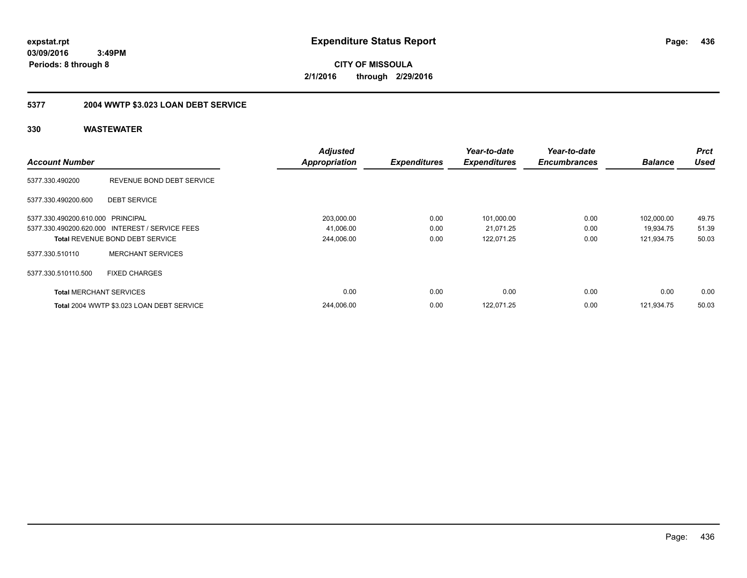**CITY OF MISSOULA 2/1/2016 through 2/29/2016**

## **5377 2004 WWTP \$3.023 LOAN DEBT SERVICE**

| <b>Account Number</b>             |                                                 | <b>Adjusted</b><br><b>Appropriation</b> | <b>Expenditures</b> | Year-to-date<br><b>Expenditures</b> | Year-to-date<br><b>Encumbrances</b> | <b>Balance</b> | <b>Prct</b><br>Used |
|-----------------------------------|-------------------------------------------------|-----------------------------------------|---------------------|-------------------------------------|-------------------------------------|----------------|---------------------|
| 5377.330.490200                   | REVENUE BOND DEBT SERVICE                       |                                         |                     |                                     |                                     |                |                     |
| 5377.330.490200.600               | <b>DEBT SERVICE</b>                             |                                         |                     |                                     |                                     |                |                     |
| 5377.330.490200.610.000 PRINCIPAL |                                                 | 203,000.00                              | 0.00                | 101,000.00                          | 0.00                                | 102,000.00     | 49.75               |
|                                   | 5377.330.490200.620.000 INTEREST / SERVICE FEES | 41,006.00                               | 0.00                | 21,071.25                           | 0.00                                | 19.934.75      | 51.39               |
|                                   | <b>Total REVENUE BOND DEBT SERVICE</b>          | 244,006.00                              | 0.00                | 122,071.25                          | 0.00                                | 121,934.75     | 50.03               |
| 5377.330.510110                   | <b>MERCHANT SERVICES</b>                        |                                         |                     |                                     |                                     |                |                     |
| 5377.330.510110.500               | <b>FIXED CHARGES</b>                            |                                         |                     |                                     |                                     |                |                     |
| <b>Total MERCHANT SERVICES</b>    |                                                 | 0.00                                    | 0.00                | 0.00                                | 0.00                                | 0.00           | 0.00                |
|                                   | Total 2004 WWTP \$3.023 LOAN DEBT SERVICE       | 244.006.00                              | 0.00                | 122.071.25                          | 0.00                                | 121.934.75     | 50.03               |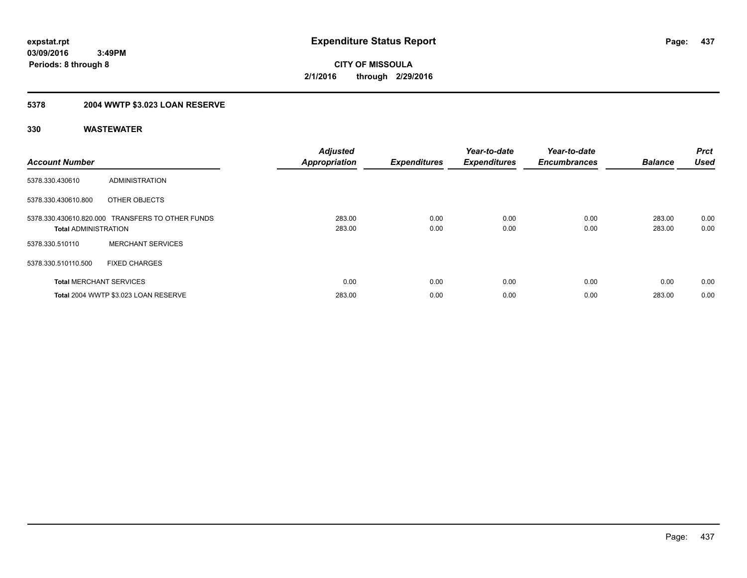## **5378 2004 WWTP \$3.023 LOAN RESERVE**

| <b>Account Number</b>          |                                                  | <b>Adjusted</b><br><b>Appropriation</b> | <b>Expenditures</b> | Year-to-date<br><b>Expenditures</b> | Year-to-date<br><b>Encumbrances</b> | <b>Balance</b>   | <b>Prct</b><br><b>Used</b> |
|--------------------------------|--------------------------------------------------|-----------------------------------------|---------------------|-------------------------------------|-------------------------------------|------------------|----------------------------|
| 5378.330.430610                | ADMINISTRATION                                   |                                         |                     |                                     |                                     |                  |                            |
| 5378.330.430610.800            | OTHER OBJECTS                                    |                                         |                     |                                     |                                     |                  |                            |
| <b>Total ADMINISTRATION</b>    | 5378.330.430610.820.000 TRANSFERS TO OTHER FUNDS | 283.00<br>283.00                        | 0.00<br>0.00        | 0.00<br>0.00                        | 0.00<br>0.00                        | 283.00<br>283.00 | 0.00<br>0.00               |
| 5378.330.510110                | <b>MERCHANT SERVICES</b>                         |                                         |                     |                                     |                                     |                  |                            |
| 5378.330.510110.500            | <b>FIXED CHARGES</b>                             |                                         |                     |                                     |                                     |                  |                            |
| <b>Total MERCHANT SERVICES</b> |                                                  | 0.00                                    | 0.00                | 0.00                                | 0.00                                | 0.00             | 0.00                       |
|                                | Total 2004 WWTP \$3.023 LOAN RESERVE             | 283.00                                  | 0.00                | 0.00                                | 0.00                                | 283.00           | 0.00                       |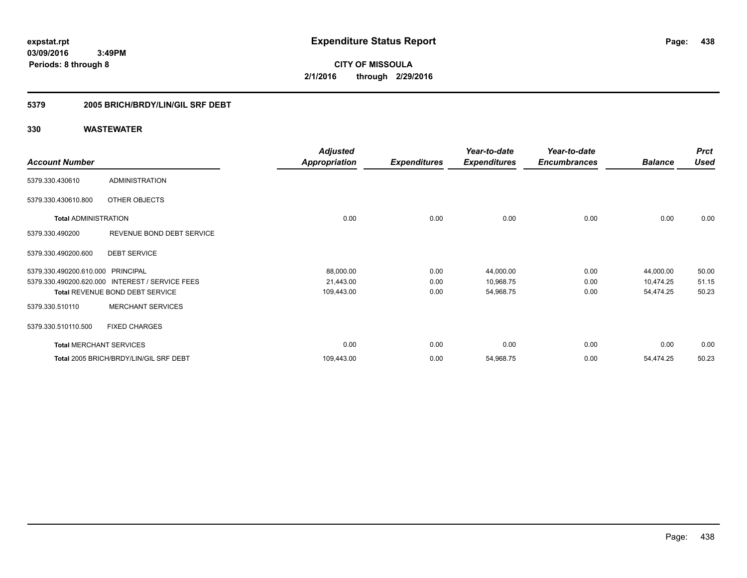**CITY OF MISSOULA 2/1/2016 through 2/29/2016**

### **5379 2005 BRICH/BRDY/LIN/GIL SRF DEBT**

|                                   |                                        | <b>Adjusted</b>      |                     | Year-to-date        | Year-to-date        |                | <b>Prct</b> |
|-----------------------------------|----------------------------------------|----------------------|---------------------|---------------------|---------------------|----------------|-------------|
| <b>Account Number</b>             |                                        | <b>Appropriation</b> | <b>Expenditures</b> | <b>Expenditures</b> | <b>Encumbrances</b> | <b>Balance</b> | <b>Used</b> |
| 5379.330.430610                   | <b>ADMINISTRATION</b>                  |                      |                     |                     |                     |                |             |
| 5379.330.430610.800               | OTHER OBJECTS                          |                      |                     |                     |                     |                |             |
| <b>Total ADMINISTRATION</b>       |                                        | 0.00                 | 0.00                | 0.00                | 0.00                | 0.00           | 0.00        |
| 5379.330.490200                   | REVENUE BOND DEBT SERVICE              |                      |                     |                     |                     |                |             |
| 5379.330.490200.600               | <b>DEBT SERVICE</b>                    |                      |                     |                     |                     |                |             |
| 5379.330.490200.610.000 PRINCIPAL |                                        | 88,000.00            | 0.00                | 44,000.00           | 0.00                | 44,000.00      | 50.00       |
| 5379.330.490200.620.000           | <b>INTEREST / SERVICE FEES</b>         | 21,443.00            | 0.00                | 10,968.75           | 0.00                | 10,474.25      | 51.15       |
|                                   | Total REVENUE BOND DEBT SERVICE        | 109,443.00           | 0.00                | 54,968.75           | 0.00                | 54,474.25      | 50.23       |
| 5379.330.510110                   | <b>MERCHANT SERVICES</b>               |                      |                     |                     |                     |                |             |
| 5379.330.510110.500               | <b>FIXED CHARGES</b>                   |                      |                     |                     |                     |                |             |
| <b>Total MERCHANT SERVICES</b>    |                                        | 0.00                 | 0.00                | 0.00                | 0.00                | 0.00           | 0.00        |
|                                   | Total 2005 BRICH/BRDY/LIN/GIL SRF DEBT | 109,443.00           | 0.00                | 54,968.75           | 0.00                | 54,474.25      | 50.23       |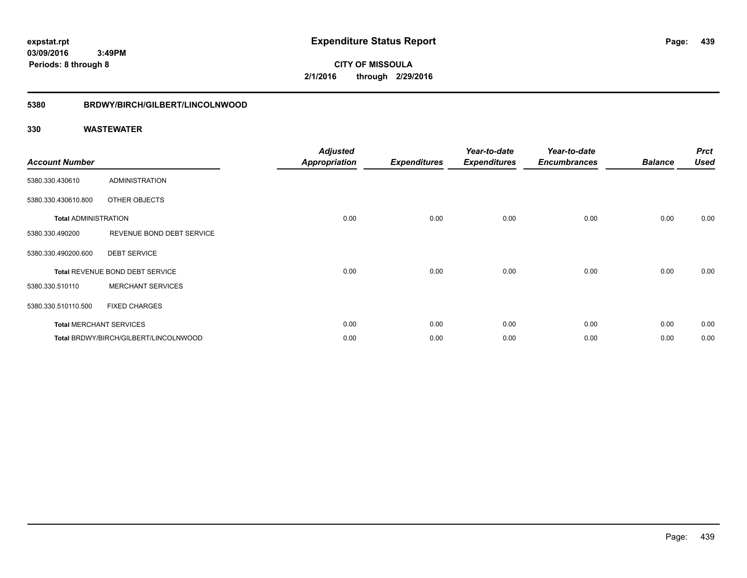**CITY OF MISSOULA 2/1/2016 through 2/29/2016**

# **5380 BRDWY/BIRCH/GILBERT/LINCOLNWOOD**

| <b>Account Number</b>       |                                       | <b>Adjusted</b><br><b>Appropriation</b> | <b>Expenditures</b> | Year-to-date<br><b>Expenditures</b> | Year-to-date<br><b>Encumbrances</b> | <b>Balance</b> | <b>Prct</b><br><b>Used</b> |
|-----------------------------|---------------------------------------|-----------------------------------------|---------------------|-------------------------------------|-------------------------------------|----------------|----------------------------|
| 5380.330.430610             | ADMINISTRATION                        |                                         |                     |                                     |                                     |                |                            |
| 5380.330.430610.800         | OTHER OBJECTS                         |                                         |                     |                                     |                                     |                |                            |
| <b>Total ADMINISTRATION</b> |                                       | 0.00                                    | 0.00                | 0.00                                | 0.00                                | 0.00           | 0.00                       |
| 5380.330.490200             | REVENUE BOND DEBT SERVICE             |                                         |                     |                                     |                                     |                |                            |
| 5380.330.490200.600         | <b>DEBT SERVICE</b>                   |                                         |                     |                                     |                                     |                |                            |
|                             | Total REVENUE BOND DEBT SERVICE       | 0.00                                    | 0.00                | 0.00                                | 0.00                                | 0.00           | 0.00                       |
| 5380.330.510110             | <b>MERCHANT SERVICES</b>              |                                         |                     |                                     |                                     |                |                            |
| 5380.330.510110.500         | <b>FIXED CHARGES</b>                  |                                         |                     |                                     |                                     |                |                            |
|                             | <b>Total MERCHANT SERVICES</b>        | 0.00                                    | 0.00                | 0.00                                | 0.00                                | 0.00           | 0.00                       |
|                             | Total BRDWY/BIRCH/GILBERT/LINCOLNWOOD | 0.00                                    | 0.00                | 0.00                                | 0.00                                | 0.00           | 0.00                       |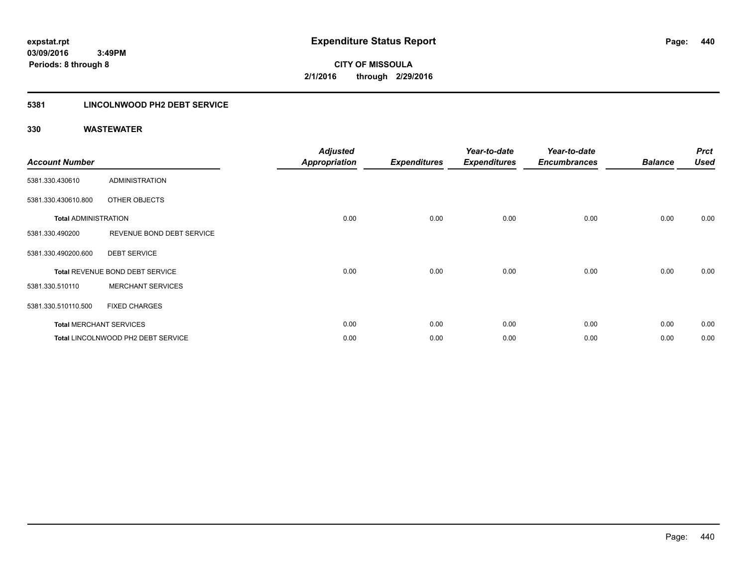### **5381 LINCOLNWOOD PH2 DEBT SERVICE**

| <b>Account Number</b>       |                                    | <b>Adjusted</b><br><b>Appropriation</b> | <b>Expenditures</b> | Year-to-date<br><b>Expenditures</b> | Year-to-date<br><b>Encumbrances</b> | <b>Balance</b> | <b>Prct</b><br><b>Used</b> |
|-----------------------------|------------------------------------|-----------------------------------------|---------------------|-------------------------------------|-------------------------------------|----------------|----------------------------|
| 5381.330.430610             | ADMINISTRATION                     |                                         |                     |                                     |                                     |                |                            |
| 5381.330.430610.800         | OTHER OBJECTS                      |                                         |                     |                                     |                                     |                |                            |
| <b>Total ADMINISTRATION</b> |                                    | 0.00                                    | 0.00                | 0.00                                | 0.00                                | 0.00           | 0.00                       |
| 5381.330.490200             | REVENUE BOND DEBT SERVICE          |                                         |                     |                                     |                                     |                |                            |
| 5381.330.490200.600         | <b>DEBT SERVICE</b>                |                                         |                     |                                     |                                     |                |                            |
|                             | Total REVENUE BOND DEBT SERVICE    | 0.00                                    | 0.00                | 0.00                                | 0.00                                | 0.00           | 0.00                       |
| 5381.330.510110             | <b>MERCHANT SERVICES</b>           |                                         |                     |                                     |                                     |                |                            |
| 5381.330.510110.500         | <b>FIXED CHARGES</b>               |                                         |                     |                                     |                                     |                |                            |
|                             | <b>Total MERCHANT SERVICES</b>     | 0.00                                    | 0.00                | 0.00                                | 0.00                                | 0.00           | 0.00                       |
|                             | Total LINCOLNWOOD PH2 DEBT SERVICE | 0.00                                    | 0.00                | 0.00                                | 0.00                                | 0.00           | 0.00                       |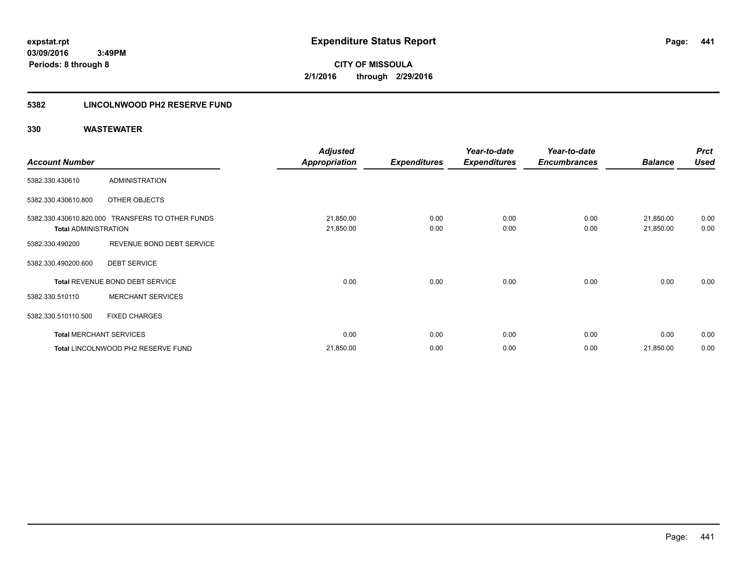**Periods: 8 through 8**

**CITY OF MISSOULA 2/1/2016 through 2/29/2016**

### **5382 LINCOLNWOOD PH2 RESERVE FUND**

 **3:49PM**

|                             |                                                  | <b>Adjusted</b>        |                     | Year-to-date        | Year-to-date        |                        | <b>Prct</b>  |
|-----------------------------|--------------------------------------------------|------------------------|---------------------|---------------------|---------------------|------------------------|--------------|
| <b>Account Number</b>       |                                                  | Appropriation          | <b>Expenditures</b> | <b>Expenditures</b> | <b>Encumbrances</b> | <b>Balance</b>         | <b>Used</b>  |
| 5382.330.430610             | <b>ADMINISTRATION</b>                            |                        |                     |                     |                     |                        |              |
| 5382.330.430610.800         | OTHER OBJECTS                                    |                        |                     |                     |                     |                        |              |
| <b>Total ADMINISTRATION</b> | 5382.330.430610.820.000 TRANSFERS TO OTHER FUNDS | 21,850.00<br>21,850.00 | 0.00<br>0.00        | 0.00<br>0.00        | 0.00<br>0.00        | 21,850.00<br>21,850.00 | 0.00<br>0.00 |
| 5382.330.490200             | REVENUE BOND DEBT SERVICE                        |                        |                     |                     |                     |                        |              |
| 5382.330.490200.600         | <b>DEBT SERVICE</b>                              |                        |                     |                     |                     |                        |              |
|                             | Total REVENUE BOND DEBT SERVICE                  | 0.00                   | 0.00                | 0.00                | 0.00                | 0.00                   | 0.00         |
| 5382.330.510110             | <b>MERCHANT SERVICES</b>                         |                        |                     |                     |                     |                        |              |
| 5382.330.510110.500         | <b>FIXED CHARGES</b>                             |                        |                     |                     |                     |                        |              |
|                             | <b>Total MERCHANT SERVICES</b>                   | 0.00                   | 0.00                | 0.00                | 0.00                | 0.00                   | 0.00         |
|                             | Total LINCOLNWOOD PH2 RESERVE FUND               | 21,850.00              | 0.00                | 0.00                | 0.00                | 21,850.00              | 0.00         |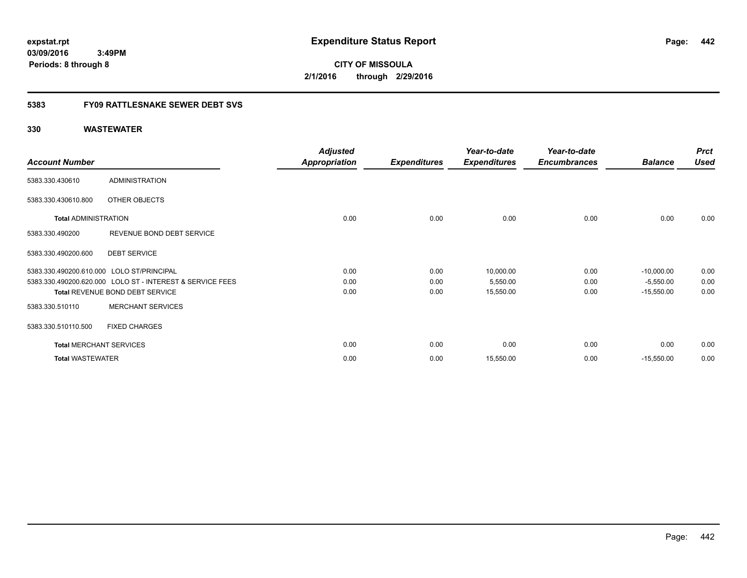**CITY OF MISSOULA 2/1/2016 through 2/29/2016**

### **5383 FY09 RATTLESNAKE SEWER DEBT SVS**

|                                |                                                           | <b>Adjusted</b>      |                     | Year-to-date        | Year-to-date        |                | <b>Prct</b> |
|--------------------------------|-----------------------------------------------------------|----------------------|---------------------|---------------------|---------------------|----------------|-------------|
| <b>Account Number</b>          |                                                           | <b>Appropriation</b> | <b>Expenditures</b> | <b>Expenditures</b> | <b>Encumbrances</b> | <b>Balance</b> | <b>Used</b> |
| 5383.330.430610                | <b>ADMINISTRATION</b>                                     |                      |                     |                     |                     |                |             |
| 5383.330.430610.800            | OTHER OBJECTS                                             |                      |                     |                     |                     |                |             |
| <b>Total ADMINISTRATION</b>    |                                                           | 0.00                 | 0.00                | 0.00                | 0.00                | 0.00           | 0.00        |
| 5383.330.490200                | REVENUE BOND DEBT SERVICE                                 |                      |                     |                     |                     |                |             |
| 5383.330.490200.600            | <b>DEBT SERVICE</b>                                       |                      |                     |                     |                     |                |             |
|                                | 5383.330.490200.610.000 LOLO ST/PRINCIPAL                 | 0.00                 | 0.00                | 10,000.00           | 0.00                | $-10,000.00$   | 0.00        |
|                                | 5383.330.490200.620.000 LOLO ST - INTEREST & SERVICE FEES | 0.00                 | 0.00                | 5,550.00            | 0.00                | $-5,550.00$    | 0.00        |
|                                | Total REVENUE BOND DEBT SERVICE                           | 0.00                 | 0.00                | 15,550.00           | 0.00                | $-15,550.00$   | 0.00        |
| 5383.330.510110                | <b>MERCHANT SERVICES</b>                                  |                      |                     |                     |                     |                |             |
| 5383.330.510110.500            | <b>FIXED CHARGES</b>                                      |                      |                     |                     |                     |                |             |
| <b>Total MERCHANT SERVICES</b> |                                                           | 0.00                 | 0.00                | 0.00                | 0.00                | 0.00           | 0.00        |
| <b>Total WASTEWATER</b>        |                                                           | 0.00                 | 0.00                | 15,550.00           | 0.00                | $-15,550.00$   | 0.00        |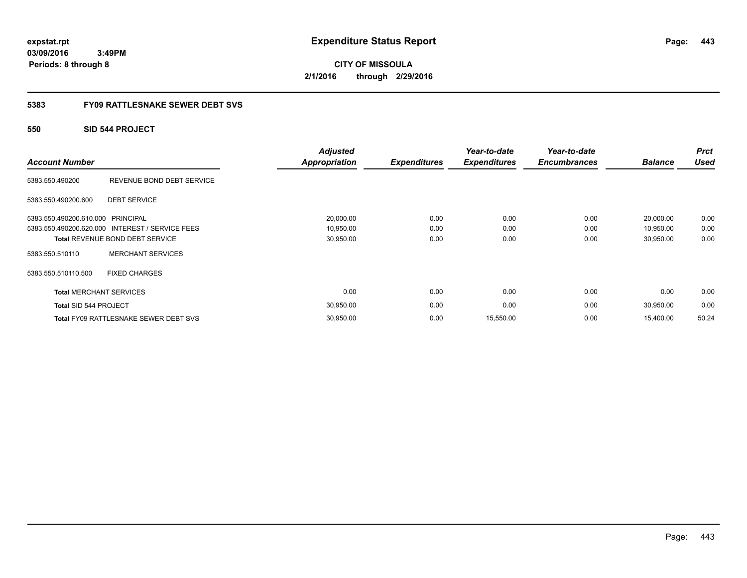**CITY OF MISSOULA 2/1/2016 through 2/29/2016**

### **5383 FY09 RATTLESNAKE SEWER DEBT SVS**

### **550 SID 544 PROJECT**

| <b>Account Number</b>          |                                                 | <b>Adjusted</b><br>Appropriation | <b>Expenditures</b> | Year-to-date<br><b>Expenditures</b> | Year-to-date<br><b>Encumbrances</b> | <b>Balance</b> | <b>Prct</b><br><b>Used</b> |
|--------------------------------|-------------------------------------------------|----------------------------------|---------------------|-------------------------------------|-------------------------------------|----------------|----------------------------|
| 5383.550.490200                | REVENUE BOND DEBT SERVICE                       |                                  |                     |                                     |                                     |                |                            |
| 5383.550.490200.600            | <b>DEBT SERVICE</b>                             |                                  |                     |                                     |                                     |                |                            |
| 5383.550.490200.610.000        | <b>PRINCIPAL</b>                                | 20,000.00                        | 0.00                | 0.00                                | 0.00                                | 20,000.00      | 0.00                       |
|                                | 5383.550.490200.620.000 INTEREST / SERVICE FEES | 10,950.00                        | 0.00                | 0.00                                | 0.00                                | 10,950.00      | 0.00                       |
|                                | <b>Total REVENUE BOND DEBT SERVICE</b>          | 30,950.00                        | 0.00                | 0.00                                | 0.00                                | 30,950.00      | 0.00                       |
| 5383.550.510110                | <b>MERCHANT SERVICES</b>                        |                                  |                     |                                     |                                     |                |                            |
| 5383.550.510110.500            | <b>FIXED CHARGES</b>                            |                                  |                     |                                     |                                     |                |                            |
| <b>Total MERCHANT SERVICES</b> |                                                 | 0.00                             | 0.00                | 0.00                                | 0.00                                | 0.00           | 0.00                       |
| Total SID 544 PROJECT          |                                                 | 30,950.00                        | 0.00                | 0.00                                | 0.00                                | 30,950.00      | 0.00                       |
|                                | Total FY09 RATTLESNAKE SEWER DEBT SVS           | 30,950.00                        | 0.00                | 15,550.00                           | 0.00                                | 15,400.00      | 50.24                      |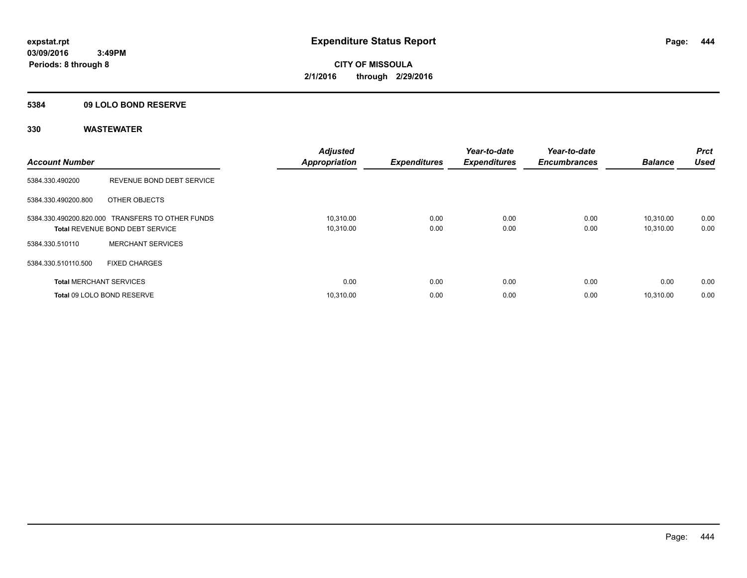### **5384 09 LOLO BOND RESERVE**

| <b>Account Number</b>          |                                                                                            | <b>Adjusted</b><br><b>Appropriation</b> | <b>Expenditures</b> | Year-to-date<br><b>Expenditures</b> | Year-to-date<br><b>Encumbrances</b> | <b>Balance</b>         | <b>Prct</b><br><b>Used</b> |
|--------------------------------|--------------------------------------------------------------------------------------------|-----------------------------------------|---------------------|-------------------------------------|-------------------------------------|------------------------|----------------------------|
| 5384.330.490200                | REVENUE BOND DEBT SERVICE                                                                  |                                         |                     |                                     |                                     |                        |                            |
| 5384.330.490200.800            | OTHER OBJECTS                                                                              |                                         |                     |                                     |                                     |                        |                            |
|                                | 5384.330.490200.820.000 TRANSFERS TO OTHER FUNDS<br><b>Total REVENUE BOND DEBT SERVICE</b> | 10,310.00<br>10,310.00                  | 0.00<br>0.00        | 0.00<br>0.00                        | 0.00<br>0.00                        | 10.310.00<br>10,310.00 | 0.00<br>0.00               |
| 5384.330.510110                | <b>MERCHANT SERVICES</b>                                                                   |                                         |                     |                                     |                                     |                        |                            |
| 5384.330.510110.500            | <b>FIXED CHARGES</b>                                                                       |                                         |                     |                                     |                                     |                        |                            |
| <b>Total MERCHANT SERVICES</b> |                                                                                            | 0.00                                    | 0.00                | 0.00                                | 0.00                                | 0.00                   | 0.00                       |
|                                | Total 09 LOLO BOND RESERVE                                                                 | 10.310.00                               | 0.00                | 0.00                                | 0.00                                | 10.310.00              | 0.00                       |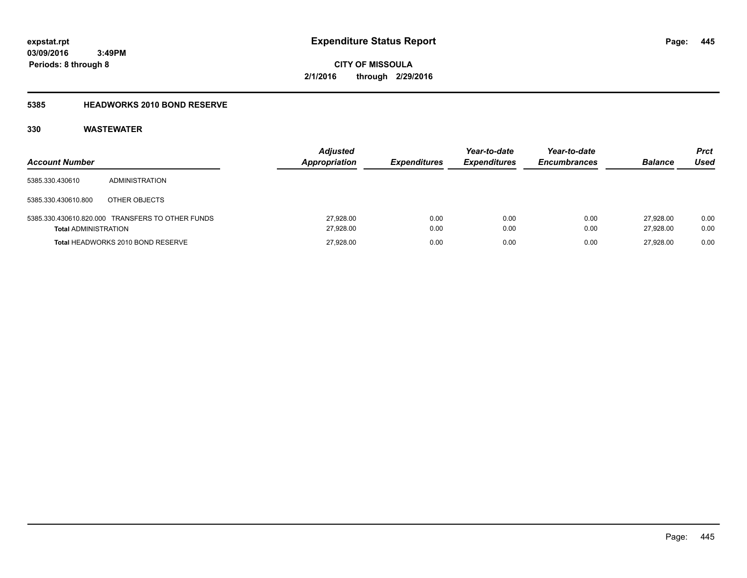**Periods: 8 through 8**

**CITY OF MISSOULA 2/1/2016 through 2/29/2016**

### **5385 HEADWORKS 2010 BOND RESERVE**

| <b>Account Number</b>       |                                                  | <b>Adjusted</b><br><b>Appropriation</b> | <b>Expenditures</b> | Year-to-date<br><b>Expenditures</b> | Year-to-date<br><b>Encumbrances</b> | <b>Balance</b>         | <b>Prct</b><br>Used |
|-----------------------------|--------------------------------------------------|-----------------------------------------|---------------------|-------------------------------------|-------------------------------------|------------------------|---------------------|
| 5385.330.430610             | <b>ADMINISTRATION</b>                            |                                         |                     |                                     |                                     |                        |                     |
| 5385.330.430610.800         | OTHER OBJECTS                                    |                                         |                     |                                     |                                     |                        |                     |
| <b>Total ADMINISTRATION</b> | 5385.330.430610.820.000 TRANSFERS TO OTHER FUNDS | 27,928.00<br>27,928.00                  | 0.00<br>0.00        | 0.00<br>0.00                        | 0.00<br>0.00                        | 27.928.00<br>27.928.00 | 0.00<br>0.00        |
|                             | Total HEADWORKS 2010 BOND RESERVE                | 27,928.00                               | 0.00                | 0.00                                | 0.00                                | 27.928.00              | 0.00                |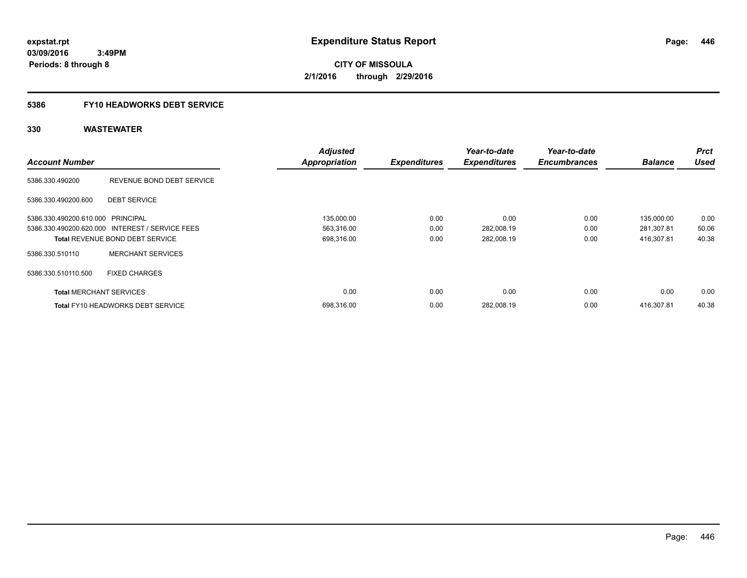**CITY OF MISSOULA 2/1/2016 through 2/29/2016**

### **5386 FY10 HEADWORKS DEBT SERVICE**

|                                   |                                                 | <b>Adjusted</b>      |                     | Year-to-date        | Year-to-date        |                | <b>Prct</b> |
|-----------------------------------|-------------------------------------------------|----------------------|---------------------|---------------------|---------------------|----------------|-------------|
| <b>Account Number</b>             |                                                 | <b>Appropriation</b> | <b>Expenditures</b> | <b>Expenditures</b> | <b>Encumbrances</b> | <b>Balance</b> | <b>Used</b> |
| 5386.330.490200                   | REVENUE BOND DEBT SERVICE                       |                      |                     |                     |                     |                |             |
| 5386.330.490200.600               | <b>DEBT SERVICE</b>                             |                      |                     |                     |                     |                |             |
| 5386.330.490200.610.000 PRINCIPAL |                                                 | 135,000.00           | 0.00                | 0.00                | 0.00                | 135,000.00     | 0.00        |
|                                   | 5386.330.490200.620.000 INTEREST / SERVICE FEES | 563,316.00           | 0.00                | 282,008.19          | 0.00                | 281,307.81     | 50.06       |
|                                   | <b>Total REVENUE BOND DEBT SERVICE</b>          | 698,316.00           | 0.00                | 282,008.19          | 0.00                | 416.307.81     | 40.38       |
| 5386.330.510110                   | <b>MERCHANT SERVICES</b>                        |                      |                     |                     |                     |                |             |
| 5386.330.510110.500               | <b>FIXED CHARGES</b>                            |                      |                     |                     |                     |                |             |
| <b>Total MERCHANT SERVICES</b>    |                                                 | 0.00                 | 0.00                | 0.00                | 0.00                | 0.00           | 0.00        |
|                                   | <b>Total FY10 HEADWORKS DEBT SERVICE</b>        | 698.316.00           | 0.00                | 282.008.19          | 0.00                | 416.307.81     | 40.38       |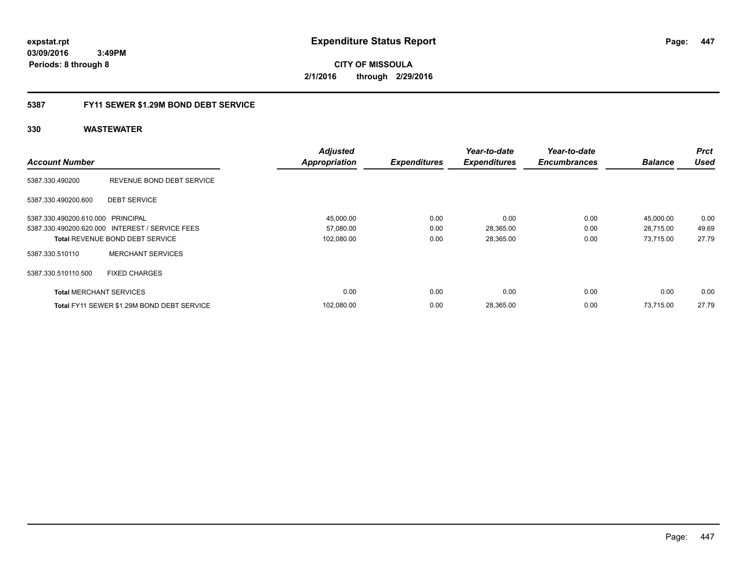**CITY OF MISSOULA 2/1/2016 through 2/29/2016**

### **5387 FY11 SEWER \$1.29M BOND DEBT SERVICE**

|                                   |                                                 | <b>Adjusted</b>      |                     | Year-to-date        | Year-to-date        |                | <b>Prct</b> |
|-----------------------------------|-------------------------------------------------|----------------------|---------------------|---------------------|---------------------|----------------|-------------|
| <b>Account Number</b>             |                                                 | <b>Appropriation</b> | <b>Expenditures</b> | <b>Expenditures</b> | <b>Encumbrances</b> | <b>Balance</b> | <b>Used</b> |
| 5387.330.490200                   | REVENUE BOND DEBT SERVICE                       |                      |                     |                     |                     |                |             |
| 5387.330.490200.600               | <b>DEBT SERVICE</b>                             |                      |                     |                     |                     |                |             |
| 5387.330.490200.610.000 PRINCIPAL |                                                 | 45,000.00            | 0.00                | 0.00                | 0.00                | 45,000.00      | 0.00        |
|                                   | 5387.330.490200.620.000 INTEREST / SERVICE FEES | 57,080.00            | 0.00                | 28,365.00           | 0.00                | 28,715.00      | 49.69       |
|                                   | <b>Total REVENUE BOND DEBT SERVICE</b>          | 102,080.00           | 0.00                | 28,365.00           | 0.00                | 73,715.00      | 27.79       |
| 5387.330.510110                   | <b>MERCHANT SERVICES</b>                        |                      |                     |                     |                     |                |             |
| 5387.330.510110.500               | <b>FIXED CHARGES</b>                            |                      |                     |                     |                     |                |             |
| <b>Total MERCHANT SERVICES</b>    |                                                 | 0.00                 | 0.00                | 0.00                | 0.00                | 0.00           | 0.00        |
|                                   | Total FY11 SEWER \$1.29M BOND DEBT SERVICE      | 102.080.00           | 0.00                | 28,365.00           | 0.00                | 73.715.00      | 27.79       |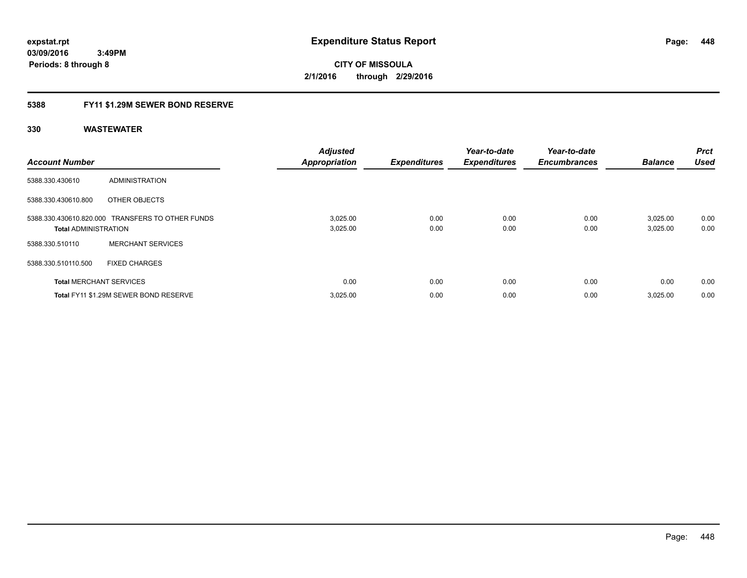### **5388 FY11 \$1.29M SEWER BOND RESERVE**

| <b>Account Number</b>          |                                                  | <b>Adjusted</b><br><b>Appropriation</b> | <b>Expenditures</b> | Year-to-date<br><b>Expenditures</b> | Year-to-date<br><b>Encumbrances</b> | <b>Balance</b>       | Prct<br><b>Used</b> |
|--------------------------------|--------------------------------------------------|-----------------------------------------|---------------------|-------------------------------------|-------------------------------------|----------------------|---------------------|
| 5388.330.430610                | <b>ADMINISTRATION</b>                            |                                         |                     |                                     |                                     |                      |                     |
| 5388.330.430610.800            | OTHER OBJECTS                                    |                                         |                     |                                     |                                     |                      |                     |
| <b>Total ADMINISTRATION</b>    | 5388.330.430610.820.000 TRANSFERS TO OTHER FUNDS | 3,025.00<br>3,025.00                    | 0.00<br>0.00        | 0.00<br>0.00                        | 0.00<br>0.00                        | 3,025.00<br>3,025.00 | 0.00<br>0.00        |
| 5388.330.510110                | <b>MERCHANT SERVICES</b>                         |                                         |                     |                                     |                                     |                      |                     |
| 5388.330.510110.500            | <b>FIXED CHARGES</b>                             |                                         |                     |                                     |                                     |                      |                     |
| <b>Total MERCHANT SERVICES</b> |                                                  | 0.00                                    | 0.00                | 0.00                                | 0.00                                | 0.00                 | 0.00                |
|                                | Total FY11 \$1.29M SEWER BOND RESERVE            | 3,025.00                                | 0.00                | 0.00                                | 0.00                                | 3,025.00             | 0.00                |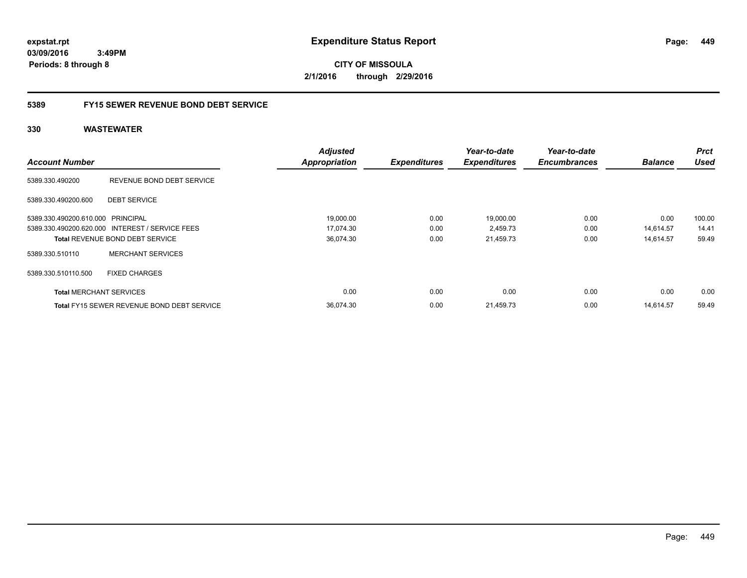**CITY OF MISSOULA 2/1/2016 through 2/29/2016**

### **5389 FY15 SEWER REVENUE BOND DEBT SERVICE**

|                                   |                                                   | <b>Adjusted</b>      |                     | Year-to-date        | Year-to-date        |                | <b>Prct</b> |
|-----------------------------------|---------------------------------------------------|----------------------|---------------------|---------------------|---------------------|----------------|-------------|
| <b>Account Number</b>             |                                                   | <b>Appropriation</b> | <b>Expenditures</b> | <b>Expenditures</b> | <b>Encumbrances</b> | <b>Balance</b> | <b>Used</b> |
| 5389.330.490200                   | REVENUE BOND DEBT SERVICE                         |                      |                     |                     |                     |                |             |
| 5389.330.490200.600               | <b>DEBT SERVICE</b>                               |                      |                     |                     |                     |                |             |
| 5389.330.490200.610.000 PRINCIPAL |                                                   | 19,000.00            | 0.00                | 19,000.00           | 0.00                | 0.00           | 100.00      |
|                                   | 5389.330.490200.620.000 INTEREST / SERVICE FEES   | 17,074.30            | 0.00                | 2,459.73            | 0.00                | 14,614.57      | 14.41       |
|                                   | <b>Total REVENUE BOND DEBT SERVICE</b>            | 36,074.30            | 0.00                | 21,459.73           | 0.00                | 14.614.57      | 59.49       |
| 5389.330.510110                   | <b>MERCHANT SERVICES</b>                          |                      |                     |                     |                     |                |             |
| 5389.330.510110.500               | <b>FIXED CHARGES</b>                              |                      |                     |                     |                     |                |             |
| <b>Total MERCHANT SERVICES</b>    |                                                   | 0.00                 | 0.00                | 0.00                | 0.00                | 0.00           | 0.00        |
|                                   | <b>Total FY15 SEWER REVENUE BOND DEBT SERVICE</b> | 36.074.30            | 0.00                | 21.459.73           | 0.00                | 14.614.57      | 59.49       |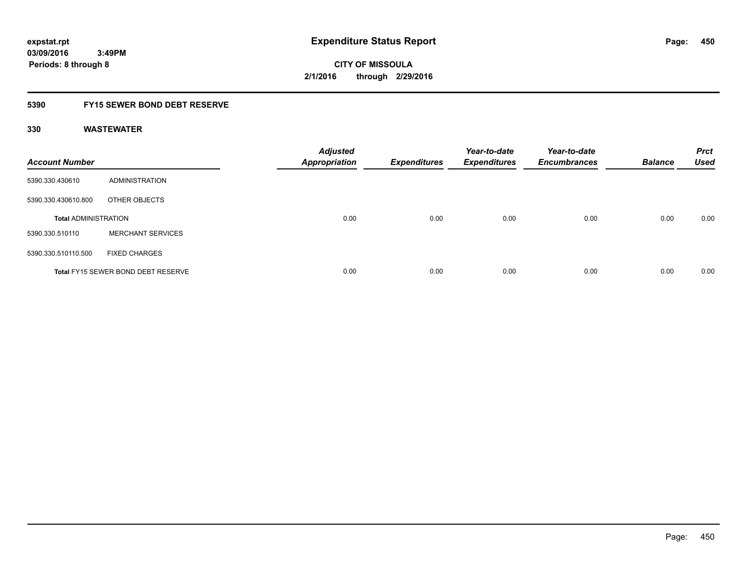**CITY OF MISSOULA 2/1/2016 through 2/29/2016**

### **5390 FY15 SEWER BOND DEBT RESERVE**

| <b>Account Number</b>       |                                           | <b>Adjusted</b><br><b>Appropriation</b> | <b>Expenditures</b> | Year-to-date<br><b>Expenditures</b> | Year-to-date<br><b>Encumbrances</b> | <b>Balance</b> | <b>Prct</b><br><b>Used</b> |
|-----------------------------|-------------------------------------------|-----------------------------------------|---------------------|-------------------------------------|-------------------------------------|----------------|----------------------------|
| 5390.330.430610             | ADMINISTRATION                            |                                         |                     |                                     |                                     |                |                            |
| 5390.330.430610.800         | OTHER OBJECTS                             |                                         |                     |                                     |                                     |                |                            |
| <b>Total ADMINISTRATION</b> |                                           | 0.00                                    | 0.00                | 0.00                                | 0.00                                | 0.00           | 0.00                       |
| 5390.330.510110             | <b>MERCHANT SERVICES</b>                  |                                         |                     |                                     |                                     |                |                            |
| 5390.330.510110.500         | <b>FIXED CHARGES</b>                      |                                         |                     |                                     |                                     |                |                            |
|                             | <b>Total FY15 SEWER BOND DEBT RESERVE</b> | 0.00                                    | 0.00                | 0.00                                | 0.00                                | 0.00           | 0.00                       |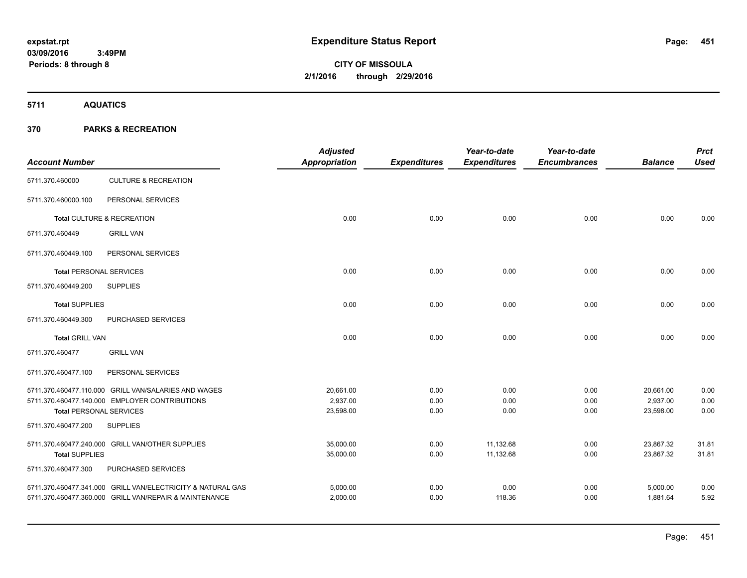**5711 AQUATICS**

|                                                             | <b>Adjusted</b><br><b>Appropriation</b>                                          | <b>Expenditures</b>   | Year-to-date<br><b>Expenditures</b> | Year-to-date<br><b>Encumbrances</b> | <b>Balance</b> | <b>Prct</b><br><b>Used</b> |
|-------------------------------------------------------------|----------------------------------------------------------------------------------|-----------------------|-------------------------------------|-------------------------------------|----------------|----------------------------|
| <b>CULTURE &amp; RECREATION</b>                             |                                                                                  |                       |                                     |                                     |                |                            |
| PERSONAL SERVICES                                           |                                                                                  |                       |                                     |                                     |                |                            |
| Total CULTURE & RECREATION                                  | 0.00                                                                             | 0.00                  | 0.00                                | 0.00                                | 0.00           | 0.00                       |
| <b>GRILL VAN</b>                                            |                                                                                  |                       |                                     |                                     |                |                            |
| PERSONAL SERVICES                                           |                                                                                  |                       |                                     |                                     |                |                            |
| <b>Total PERSONAL SERVICES</b>                              | 0.00                                                                             | 0.00                  | 0.00                                | 0.00                                | 0.00           | 0.00                       |
| <b>SUPPLIES</b>                                             |                                                                                  |                       |                                     |                                     |                |                            |
|                                                             | 0.00                                                                             | 0.00                  | 0.00                                | 0.00                                | 0.00           | 0.00                       |
| PURCHASED SERVICES                                          |                                                                                  |                       |                                     |                                     |                |                            |
| <b>Total GRILL VAN</b>                                      | 0.00                                                                             | 0.00                  | 0.00                                | 0.00                                | 0.00           | 0.00                       |
| <b>GRILL VAN</b>                                            |                                                                                  |                       |                                     |                                     |                |                            |
| PERSONAL SERVICES                                           |                                                                                  |                       |                                     |                                     |                |                            |
| 5711.370.460477.110.000 GRILL VAN/SALARIES AND WAGES        | 20,661.00                                                                        | 0.00                  | 0.00                                | 0.00                                | 20,661.00      | 0.00                       |
|                                                             |                                                                                  |                       |                                     |                                     |                | 0.00                       |
|                                                             |                                                                                  |                       |                                     |                                     |                | 0.00                       |
| <b>SUPPLIES</b>                                             |                                                                                  |                       |                                     |                                     |                |                            |
| 5711.370.460477.240.000 GRILL VAN/OTHER SUPPLIES            | 35,000.00                                                                        | 0.00                  | 11,132.68                           | 0.00                                | 23,867.32      | 31.81                      |
|                                                             | 35,000.00                                                                        | 0.00                  | 11,132.68                           | 0.00                                | 23,867.32      | 31.81                      |
| PURCHASED SERVICES                                          |                                                                                  |                       |                                     |                                     |                |                            |
| 5711.370.460477.341.000 GRILL VAN/ELECTRICITY & NATURAL GAS | 5,000.00                                                                         | 0.00                  | 0.00                                | 0.00                                | 5,000.00       | 0.00                       |
| 5711.370.460477.360.000 GRILL VAN/REPAIR & MAINTENANCE      | 2,000.00                                                                         | 0.00                  | 118.36                              | 0.00                                | 1,881.64       | 5.92                       |
|                                                             | 5711.370.460477.140.000 EMPLOYER CONTRIBUTIONS<br><b>Total PERSONAL SERVICES</b> | 2,937.00<br>23,598.00 | 0.00<br>0.00                        | 0.00<br>0.00                        | 0.00<br>0.00   | 2,937.00<br>23,598.00      |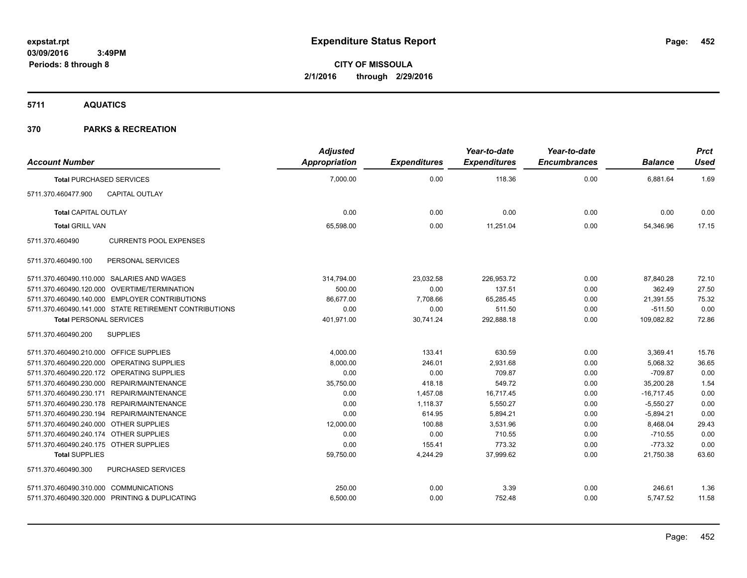**5711 AQUATICS**

| <b>Account Number</b>                                  | <b>Adjusted</b><br>Appropriation | <b>Expenditures</b> | Year-to-date<br><b>Expenditures</b> | Year-to-date<br><b>Encumbrances</b> | <b>Balance</b> | <b>Prct</b><br><b>Used</b> |
|--------------------------------------------------------|----------------------------------|---------------------|-------------------------------------|-------------------------------------|----------------|----------------------------|
|                                                        | 7,000.00                         | 0.00                | 118.36                              | 0.00                                |                | 1.69                       |
| <b>Total PURCHASED SERVICES</b>                        |                                  |                     |                                     |                                     | 6,881.64       |                            |
| 5711.370.460477.900<br><b>CAPITAL OUTLAY</b>           |                                  |                     |                                     |                                     |                |                            |
| <b>Total CAPITAL OUTLAY</b>                            | 0.00                             | 0.00                | 0.00                                | 0.00                                | 0.00           | 0.00                       |
| <b>Total GRILL VAN</b>                                 | 65,598.00                        | 0.00                | 11,251.04                           | 0.00                                | 54,346.96      | 17.15                      |
| 5711.370.460490<br><b>CURRENTS POOL EXPENSES</b>       |                                  |                     |                                     |                                     |                |                            |
| PERSONAL SERVICES<br>5711.370.460490.100               |                                  |                     |                                     |                                     |                |                            |
| 5711.370.460490.110.000 SALARIES AND WAGES             | 314,794.00                       | 23,032.58           | 226,953.72                          | 0.00                                | 87,840.28      | 72.10                      |
| 5711.370.460490.120.000 OVERTIME/TERMINATION           | 500.00                           | 0.00                | 137.51                              | 0.00                                | 362.49         | 27.50                      |
| 5711.370.460490.140.000 EMPLOYER CONTRIBUTIONS         | 86.677.00                        | 7,708.66            | 65.285.45                           | 0.00                                | 21,391.55      | 75.32                      |
| 5711.370.460490.141.000 STATE RETIREMENT CONTRIBUTIONS | 0.00                             | 0.00                | 511.50                              | 0.00                                | $-511.50$      | 0.00                       |
| <b>Total PERSONAL SERVICES</b>                         | 401,971.00                       | 30,741.24           | 292,888.18                          | 0.00                                | 109,082.82     | 72.86                      |
| <b>SUPPLIES</b><br>5711.370.460490.200                 |                                  |                     |                                     |                                     |                |                            |
| 5711.370.460490.210.000 OFFICE SUPPLIES                | 4,000.00                         | 133.41              | 630.59                              | 0.00                                | 3,369.41       | 15.76                      |
| 5711.370.460490.220.000 OPERATING SUPPLIES             | 8,000.00                         | 246.01              | 2,931.68                            | 0.00                                | 5,068.32       | 36.65                      |
| 5711.370.460490.220.172 OPERATING SUPPLIES             | 0.00                             | 0.00                | 709.87                              | 0.00                                | $-709.87$      | 0.00                       |
| 5711.370.460490.230.000 REPAIR/MAINTENANCE             | 35,750.00                        | 418.18              | 549.72                              | 0.00                                | 35,200.28      | 1.54                       |
| 5711.370.460490.230.171 REPAIR/MAINTENANCE             | 0.00                             | 1,457.08            | 16,717.45                           | 0.00                                | $-16,717.45$   | 0.00                       |
| 5711.370.460490.230.178 REPAIR/MAINTENANCE             | 0.00                             | 1,118.37            | 5,550.27                            | 0.00                                | $-5,550.27$    | 0.00                       |
| 5711.370.460490.230.194 REPAIR/MAINTENANCE             | 0.00                             | 614.95              | 5,894.21                            | 0.00                                | $-5,894.21$    | 0.00                       |
| 5711.370.460490.240.000 OTHER SUPPLIES                 | 12,000.00                        | 100.88              | 3,531.96                            | 0.00                                | 8,468.04       | 29.43                      |
| 5711.370.460490.240.174 OTHER SUPPLIES                 | 0.00                             | 0.00                | 710.55                              | 0.00                                | $-710.55$      | 0.00                       |
| 5711.370.460490.240.175 OTHER SUPPLIES                 | 0.00                             | 155.41              | 773.32                              | 0.00                                | $-773.32$      | 0.00                       |
| <b>Total SUPPLIES</b>                                  | 59,750.00                        | 4,244.29            | 37,999.62                           | 0.00                                | 21,750.38      | 63.60                      |
| 5711.370.460490.300<br>PURCHASED SERVICES              |                                  |                     |                                     |                                     |                |                            |
| 5711.370.460490.310.000 COMMUNICATIONS                 | 250.00                           | 0.00                | 3.39                                | 0.00                                | 246.61         | 1.36                       |
| 5711.370.460490.320.000 PRINTING & DUPLICATING         | 6,500.00                         | 0.00                | 752.48                              | 0.00                                | 5,747.52       | 11.58                      |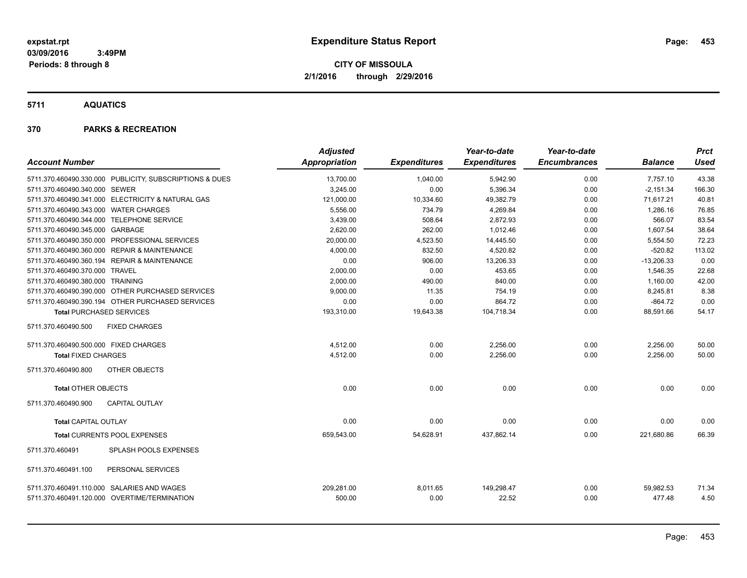**5711 AQUATICS**

| <b>Account Number</b>                 |                                                                                            | <b>Adjusted</b><br><b>Appropriation</b> | <b>Expenditures</b> | Year-to-date<br><b>Expenditures</b> | Year-to-date<br><b>Encumbrances</b> | <b>Balance</b>      | <b>Prct</b><br><b>Used</b> |
|---------------------------------------|--------------------------------------------------------------------------------------------|-----------------------------------------|---------------------|-------------------------------------|-------------------------------------|---------------------|----------------------------|
|                                       | 5711.370.460490.330.000 PUBLICITY, SUBSCRIPTIONS & DUES                                    | 13,700.00                               | 1,040.00            | 5,942.90                            | 0.00                                | 7,757.10            | 43.38                      |
| 5711.370.460490.340.000 SEWER         |                                                                                            | 3.245.00                                | 0.00                | 5,396.34                            | 0.00                                | $-2,151.34$         | 166.30                     |
|                                       | 5711.370.460490.341.000 ELECTRICITY & NATURAL GAS                                          | 121,000.00                              | 10,334.60           | 49,382.79                           | 0.00                                | 71,617.21           | 40.81                      |
| 5711.370.460490.343.000 WATER CHARGES |                                                                                            | 5,556.00                                | 734.79              | 4,269.84                            | 0.00                                | 1,286.16            | 76.85                      |
|                                       | 5711.370.460490.344.000 TELEPHONE SERVICE                                                  | 3,439.00                                | 508.64              | 2,872.93                            | 0.00                                | 566.07              | 83.54                      |
| 5711.370.460490.345.000 GARBAGE       |                                                                                            | 2,620.00                                | 262.00              | 1,012.46                            | 0.00                                | 1,607.54            | 38.64                      |
|                                       | 5711.370.460490.350.000 PROFESSIONAL SERVICES                                              | 20.000.00                               | 4,523.50            | 14,445.50                           | 0.00                                | 5,554.50            | 72.23                      |
|                                       | 5711.370.460490.360.000 REPAIR & MAINTENANCE                                               | 4,000.00                                | 832.50              | 4,520.82                            | 0.00                                | $-520.82$           | 113.02                     |
|                                       | 5711.370.460490.360.194 REPAIR & MAINTENANCE                                               | 0.00                                    | 906.00              | 13,206.33                           | 0.00                                | $-13,206.33$        | 0.00                       |
| 5711.370.460490.370.000 TRAVEL        |                                                                                            | 2,000.00                                | 0.00                | 453.65                              | 0.00                                | 1,546.35            | 22.68                      |
| 5711.370.460490.380.000 TRAINING      |                                                                                            | 2,000.00                                | 490.00              | 840.00                              | 0.00                                | 1,160.00            | 42.00                      |
|                                       | 5711.370.460490.390.000 OTHER PURCHASED SERVICES                                           | 9,000.00                                | 11.35               | 754.19                              | 0.00                                | 8,245.81            | 8.38                       |
|                                       | 5711.370.460490.390.194 OTHER PURCHASED SERVICES                                           | 0.00                                    | 0.00                | 864.72                              | 0.00                                | $-864.72$           | 0.00                       |
| <b>Total PURCHASED SERVICES</b>       |                                                                                            | 193,310.00                              | 19,643.38           | 104,718.34                          | 0.00                                | 88,591.66           | 54.17                      |
| 5711.370.460490.500                   | <b>FIXED CHARGES</b>                                                                       |                                         |                     |                                     |                                     |                     |                            |
| 5711.370.460490.500.000 FIXED CHARGES |                                                                                            | 4,512.00                                | 0.00                | 2,256.00                            | 0.00                                | 2,256.00            | 50.00                      |
| <b>Total FIXED CHARGES</b>            |                                                                                            | 4,512.00                                | 0.00                | 2,256.00                            | 0.00                                | 2,256.00            | 50.00                      |
| 5711.370.460490.800                   | OTHER OBJECTS                                                                              |                                         |                     |                                     |                                     |                     |                            |
| <b>Total OTHER OBJECTS</b>            |                                                                                            | 0.00                                    | 0.00                | 0.00                                | 0.00                                | 0.00                | 0.00                       |
| 5711.370.460490.900                   | <b>CAPITAL OUTLAY</b>                                                                      |                                         |                     |                                     |                                     |                     |                            |
| <b>Total CAPITAL OUTLAY</b>           |                                                                                            | 0.00                                    | 0.00                | 0.00                                | 0.00                                | 0.00                | 0.00                       |
|                                       | Total CURRENTS POOL EXPENSES                                                               | 659,543.00                              | 54,628.91           | 437,862.14                          | 0.00                                | 221,680.86          | 66.39                      |
| 5711.370.460491                       | <b>SPLASH POOLS EXPENSES</b>                                                               |                                         |                     |                                     |                                     |                     |                            |
| 5711.370.460491.100                   | PERSONAL SERVICES                                                                          |                                         |                     |                                     |                                     |                     |                            |
|                                       | 5711.370.460491.110.000 SALARIES AND WAGES<br>5711.370.460491.120.000 OVERTIME/TERMINATION | 209,281.00<br>500.00                    | 8,011.65<br>0.00    | 149,298.47<br>22.52                 | 0.00<br>0.00                        | 59,982.53<br>477.48 | 71.34<br>4.50              |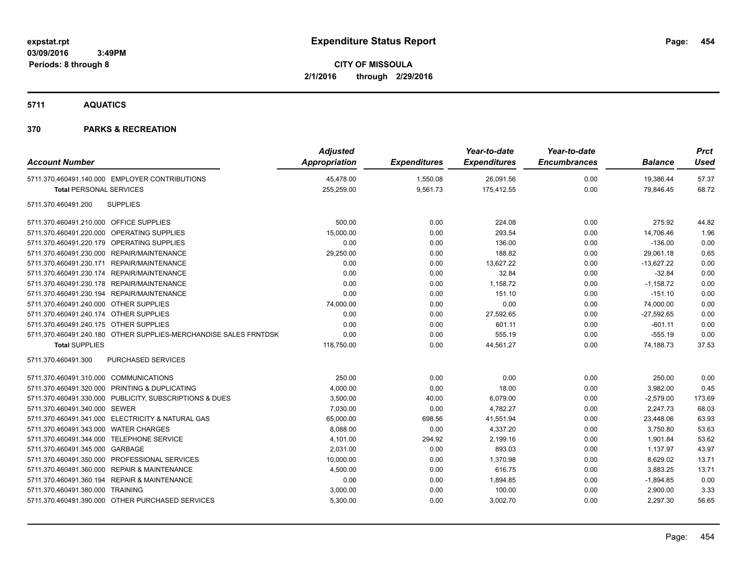**5711 AQUATICS**

| <b>Account Number</b>                                            | <b>Adjusted</b><br>Appropriation | <b>Expenditures</b> | Year-to-date<br><b>Expenditures</b> | Year-to-date<br><b>Encumbrances</b> | <b>Balance</b> | <b>Prct</b><br><b>Used</b> |
|------------------------------------------------------------------|----------------------------------|---------------------|-------------------------------------|-------------------------------------|----------------|----------------------------|
| 5711.370.460491.140.000 EMPLOYER CONTRIBUTIONS                   | 45,478.00                        | 1,550.08            | 26,091.56                           | 0.00                                | 19,386.44      | 57.37                      |
| <b>Total PERSONAL SERVICES</b>                                   | 255,259.00                       | 9,561.73            | 175,412.55                          | 0.00                                | 79,846.45      | 68.72                      |
| 5711.370.460491.200<br><b>SUPPLIES</b>                           |                                  |                     |                                     |                                     |                |                            |
| 5711.370.460491.210.000 OFFICE SUPPLIES                          | 500.00                           | 0.00                | 224.08                              | 0.00                                | 275.92         | 44.82                      |
| 5711.370.460491.220.000 OPERATING SUPPLIES                       | 15,000.00                        | 0.00                | 293.54                              | 0.00                                | 14,706.46      | 1.96                       |
| 5711.370.460491.220.179 OPERATING SUPPLIES                       | 0.00                             | 0.00                | 136.00                              | 0.00                                | $-136.00$      | 0.00                       |
| 5711.370.460491.230.000 REPAIR/MAINTENANCE                       | 29,250.00                        | 0.00                | 188.82                              | 0.00                                | 29,061.18      | 0.65                       |
| 5711.370.460491.230.171 REPAIR/MAINTENANCE                       | 0.00                             | 0.00                | 13,627.22                           | 0.00                                | $-13,627.22$   | 0.00                       |
| 5711.370.460491.230.174 REPAIR/MAINTENANCE                       | 0.00                             | 0.00                | 32.84                               | 0.00                                | $-32.84$       | 0.00                       |
| 5711.370.460491.230.178 REPAIR/MAINTENANCE                       | 0.00                             | 0.00                | 1,158.72                            | 0.00                                | $-1,158.72$    | 0.00                       |
| 5711.370.460491.230.194 REPAIR/MAINTENANCE                       | 0.00                             | 0.00                | 151.10                              | 0.00                                | $-151.10$      | 0.00                       |
| 5711.370.460491.240.000 OTHER SUPPLIES                           | 74,000.00                        | 0.00                | 0.00                                | 0.00                                | 74,000.00      | 0.00                       |
| 5711.370.460491.240.174 OTHER SUPPLIES                           | 0.00                             | 0.00                | 27,592.65                           | 0.00                                | $-27,592.65$   | 0.00                       |
| 5711.370.460491.240.175 OTHER SUPPLIES                           | 0.00                             | 0.00                | 601.11                              | 0.00                                | $-601.11$      | 0.00                       |
| 5711.370.460491.240.180 OTHER SUPPLIES-MERCHANDISE SALES FRNTDSK | 0.00                             | 0.00                | 555.19                              | 0.00                                | $-555.19$      | 0.00                       |
| <b>Total SUPPLIES</b>                                            | 118,750.00                       | 0.00                | 44,561.27                           | 0.00                                | 74,188.73      | 37.53                      |
| PURCHASED SERVICES<br>5711.370.460491.300                        |                                  |                     |                                     |                                     |                |                            |
| 5711.370.460491.310.000 COMMUNICATIONS                           | 250.00                           | 0.00                | 0.00                                | 0.00                                | 250.00         | 0.00                       |
| 5711.370.460491.320.000 PRINTING & DUPLICATING                   | 4,000.00                         | 0.00                | 18.00                               | 0.00                                | 3,982.00       | 0.45                       |
| 5711.370.460491.330.000 PUBLICITY, SUBSCRIPTIONS & DUES          | 3,500.00                         | 40.00               | 6,079.00                            | 0.00                                | $-2,579.00$    | 173.69                     |
| 5711.370.460491.340.000 SEWER                                    | 7,030.00                         | 0.00                | 4,782.27                            | 0.00                                | 2,247.73       | 68.03                      |
| 5711.370.460491.341.000 ELECTRICITY & NATURAL GAS                | 65,000.00                        | 698.56              | 41,551.94                           | 0.00                                | 23,448.06      | 63.93                      |
| 5711.370.460491.343.000 WATER CHARGES                            | 8,088.00                         | 0.00                | 4,337.20                            | 0.00                                | 3,750.80       | 53.63                      |
| 5711.370.460491.344.000 TELEPHONE SERVICE                        | 4,101.00                         | 294.92              | 2,199.16                            | 0.00                                | 1,901.84       | 53.62                      |
| 5711.370.460491.345.000 GARBAGE                                  | 2,031.00                         | 0.00                | 893.03                              | 0.00                                | 1,137.97       | 43.97                      |
| 5711.370.460491.350.000 PROFESSIONAL SERVICES                    | 10,000.00                        | 0.00                | 1,370.98                            | 0.00                                | 8,629.02       | 13.71                      |
| 5711.370.460491.360.000 REPAIR & MAINTENANCE                     | 4,500.00                         | 0.00                | 616.75                              | 0.00                                | 3,883.25       | 13.71                      |
| 5711.370.460491.360.194 REPAIR & MAINTENANCE                     | 0.00                             | 0.00                | 1,894.85                            | 0.00                                | $-1,894.85$    | 0.00                       |
| 5711.370.460491.380.000 TRAINING                                 | 3,000.00                         | 0.00                | 100.00                              | 0.00                                | 2,900.00       | 3.33                       |
| 5711.370.460491.390.000 OTHER PURCHASED SERVICES                 | 5,300.00                         | 0.00                | 3.002.70                            | 0.00                                | 2.297.30       | 56.65                      |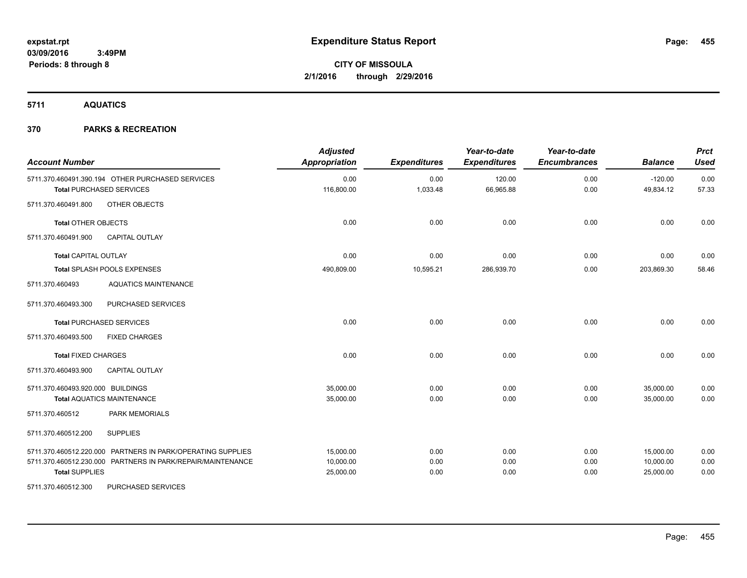**5711 AQUATICS**

| <b>Account Number</b>             |                                                                                     | <b>Adjusted</b><br><b>Appropriation</b> | <b>Expenditures</b> | Year-to-date<br><b>Expenditures</b> | Year-to-date<br><b>Encumbrances</b> | <b>Balance</b>         | <b>Prct</b><br><b>Used</b> |
|-----------------------------------|-------------------------------------------------------------------------------------|-----------------------------------------|---------------------|-------------------------------------|-------------------------------------|------------------------|----------------------------|
|                                   | 5711.370.460491.390.194 OTHER PURCHASED SERVICES<br><b>Total PURCHASED SERVICES</b> | 0.00<br>116,800.00                      | 0.00<br>1,033.48    | 120.00<br>66,965.88                 | 0.00<br>0.00                        | $-120.00$<br>49,834.12 | 0.00<br>57.33              |
| 5711.370.460491.800               | OTHER OBJECTS                                                                       |                                         |                     |                                     |                                     |                        |                            |
| <b>Total OTHER OBJECTS</b>        |                                                                                     | 0.00                                    | 0.00                | 0.00                                | 0.00                                | 0.00                   | 0.00                       |
| 5711.370.460491.900               | <b>CAPITAL OUTLAY</b>                                                               |                                         |                     |                                     |                                     |                        |                            |
| <b>Total CAPITAL OUTLAY</b>       |                                                                                     | 0.00                                    | 0.00                | 0.00                                | 0.00                                | 0.00                   | 0.00                       |
|                                   | Total SPLASH POOLS EXPENSES                                                         | 490,809.00                              | 10,595.21           | 286,939.70                          | 0.00                                | 203,869.30             | 58.46                      |
| 5711.370.460493                   | <b>AQUATICS MAINTENANCE</b>                                                         |                                         |                     |                                     |                                     |                        |                            |
| 5711.370.460493.300               | <b>PURCHASED SERVICES</b>                                                           |                                         |                     |                                     |                                     |                        |                            |
|                                   | <b>Total PURCHASED SERVICES</b>                                                     | 0.00                                    | 0.00                | 0.00                                | 0.00                                | 0.00                   | 0.00                       |
| 5711.370.460493.500               | <b>FIXED CHARGES</b>                                                                |                                         |                     |                                     |                                     |                        |                            |
| <b>Total FIXED CHARGES</b>        |                                                                                     | 0.00                                    | 0.00                | 0.00                                | 0.00                                | 0.00                   | 0.00                       |
| 5711.370.460493.900               | <b>CAPITAL OUTLAY</b>                                                               |                                         |                     |                                     |                                     |                        |                            |
| 5711.370.460493.920.000 BUILDINGS |                                                                                     | 35,000.00                               | 0.00                | 0.00                                | 0.00                                | 35,000.00              | 0.00                       |
|                                   | <b>Total AQUATICS MAINTENANCE</b>                                                   | 35,000.00                               | 0.00                | 0.00                                | 0.00                                | 35,000.00              | 0.00                       |
| 5711.370.460512                   | <b>PARK MEMORIALS</b>                                                               |                                         |                     |                                     |                                     |                        |                            |
| 5711.370.460512.200               | <b>SUPPLIES</b>                                                                     |                                         |                     |                                     |                                     |                        |                            |
|                                   | 5711.370.460512.220.000 PARTNERS IN PARK/OPERATING SUPPLIES                         | 15.000.00                               | 0.00                | 0.00                                | 0.00                                | 15,000.00              | 0.00                       |
|                                   | 5711.370.460512.230.000 PARTNERS IN PARK/REPAIR/MAINTENANCE                         | 10,000.00                               | 0.00                | 0.00                                | 0.00                                | 10,000.00              | 0.00                       |
| <b>Total SUPPLIES</b>             |                                                                                     | 25,000.00                               | 0.00                | 0.00                                | 0.00                                | 25,000.00              | 0.00                       |
| 5711.370.460512.300               | PURCHASED SERVICES                                                                  |                                         |                     |                                     |                                     |                        |                            |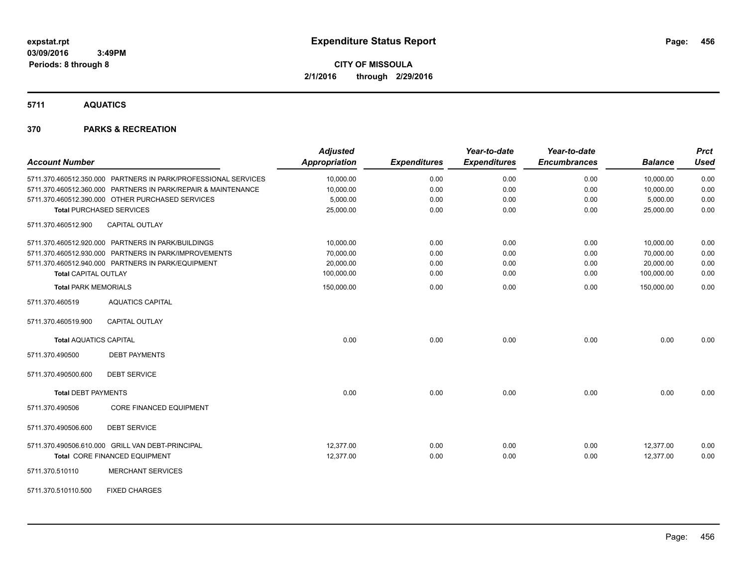**5711 AQUATICS**

| <b>Account Number</b>                                          | <b>Adjusted</b><br><b>Appropriation</b> | <b>Expenditures</b> | Year-to-date<br><b>Expenditures</b> | Year-to-date<br><b>Encumbrances</b> | <b>Balance</b> | <b>Prct</b><br><b>Used</b> |
|----------------------------------------------------------------|-----------------------------------------|---------------------|-------------------------------------|-------------------------------------|----------------|----------------------------|
| 5711.370.460512.350.000 PARTNERS IN PARK/PROFESSIONAL SERVICES | 10,000.00                               | 0.00                | 0.00                                | 0.00                                | 10,000.00      | 0.00                       |
| 5711.370.460512.360.000 PARTNERS IN PARK/REPAIR & MAINTENANCE  | 10,000.00                               | 0.00                | 0.00                                | 0.00                                | 10,000.00      | 0.00                       |
| 5711.370.460512.390.000 OTHER PURCHASED SERVICES               | 5,000.00                                | 0.00                | 0.00                                | 0.00                                | 5,000.00       | 0.00                       |
| <b>Total PURCHASED SERVICES</b>                                | 25,000.00                               | 0.00                | 0.00                                | 0.00                                | 25,000.00      | 0.00                       |
| 5711.370.460512.900<br><b>CAPITAL OUTLAY</b>                   |                                         |                     |                                     |                                     |                |                            |
| 5711.370.460512.920.000 PARTNERS IN PARK/BUILDINGS             | 10,000.00                               | 0.00                | 0.00                                | 0.00                                | 10,000.00      | 0.00                       |
| 5711.370.460512.930.000 PARTNERS IN PARK/IMPROVEMENTS          | 70,000.00                               | 0.00                | 0.00                                | 0.00                                | 70,000.00      | 0.00                       |
| 5711.370.460512.940.000 PARTNERS IN PARK/EQUIPMENT             | 20,000.00                               | 0.00                | 0.00                                | 0.00                                | 20,000.00      | 0.00                       |
| <b>Total CAPITAL OUTLAY</b>                                    | 100,000.00                              | 0.00                | 0.00                                | 0.00                                | 100,000.00     | 0.00                       |
| <b>Total PARK MEMORIALS</b>                                    | 150,000.00                              | 0.00                | 0.00                                | 0.00                                | 150,000.00     | 0.00                       |
| 5711.370.460519<br><b>AQUATICS CAPITAL</b>                     |                                         |                     |                                     |                                     |                |                            |
| <b>CAPITAL OUTLAY</b><br>5711.370.460519.900                   |                                         |                     |                                     |                                     |                |                            |
| <b>Total AQUATICS CAPITAL</b>                                  | 0.00                                    | 0.00                | 0.00                                | 0.00                                | 0.00           | 0.00                       |
| <b>DEBT PAYMENTS</b><br>5711.370.490500                        |                                         |                     |                                     |                                     |                |                            |
| 5711.370.490500.600<br><b>DEBT SERVICE</b>                     |                                         |                     |                                     |                                     |                |                            |
| <b>Total DEBT PAYMENTS</b>                                     | 0.00                                    | 0.00                | 0.00                                | 0.00                                | 0.00           | 0.00                       |
| 5711.370.490506<br><b>CORE FINANCED EQUIPMENT</b>              |                                         |                     |                                     |                                     |                |                            |
| 5711.370.490506.600<br><b>DEBT SERVICE</b>                     |                                         |                     |                                     |                                     |                |                            |
| 5711.370.490506.610.000 GRILL VAN DEBT-PRINCIPAL               | 12,377.00                               | 0.00                | 0.00                                | 0.00                                | 12,377.00      | 0.00                       |
| Total CORE FINANCED EQUIPMENT                                  | 12,377.00                               | 0.00                | 0.00                                | 0.00                                | 12,377.00      | 0.00                       |
| <b>MERCHANT SERVICES</b><br>5711.370.510110                    |                                         |                     |                                     |                                     |                |                            |
| <b>FIXED CHARGES</b><br>5711.370.510110.500                    |                                         |                     |                                     |                                     |                |                            |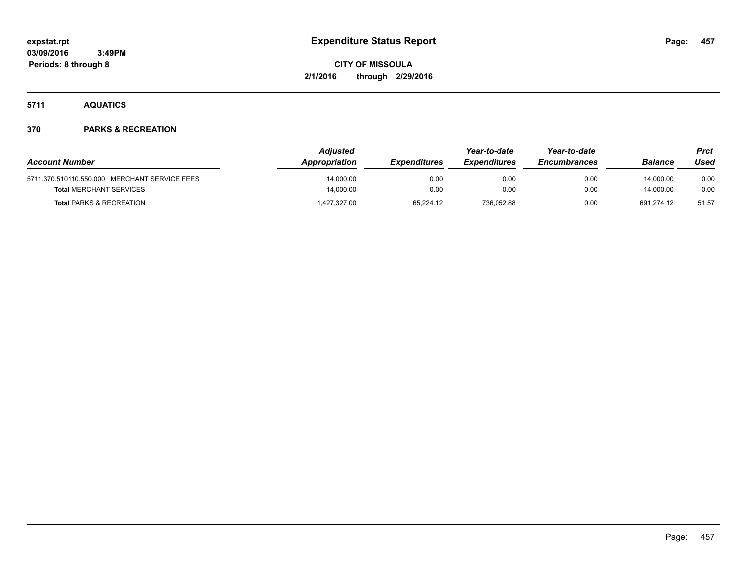**5711 AQUATICS**

| <b>Account Number</b>                         | <b>Adiusted</b><br>Appropriation | <b>Expenditures</b> | Year-to-date<br><b>Expenditures</b> | Year-to-date<br><b>Encumbrances</b> | Balance    | <b>Prct</b><br>Used |
|-----------------------------------------------|----------------------------------|---------------------|-------------------------------------|-------------------------------------|------------|---------------------|
|                                               |                                  |                     |                                     |                                     |            |                     |
| 5711.370.510110.550.000 MERCHANT SERVICE FEES | 14,000.00                        | 0.00                | 0.00                                | 0.00                                | 14,000.00  | 0.00                |
| <b>Total MERCHANT SERVICES</b>                | 14.000.00                        | 0.00                | 0.00                                | 0.00                                | 14.000.00  | 0.00                |
| <b>Total PARKS &amp; RECREATION</b>           | 427,327.00                       | 65.224.12           | 736.052.88                          | 0.00                                | 691.274.12 | 51.57               |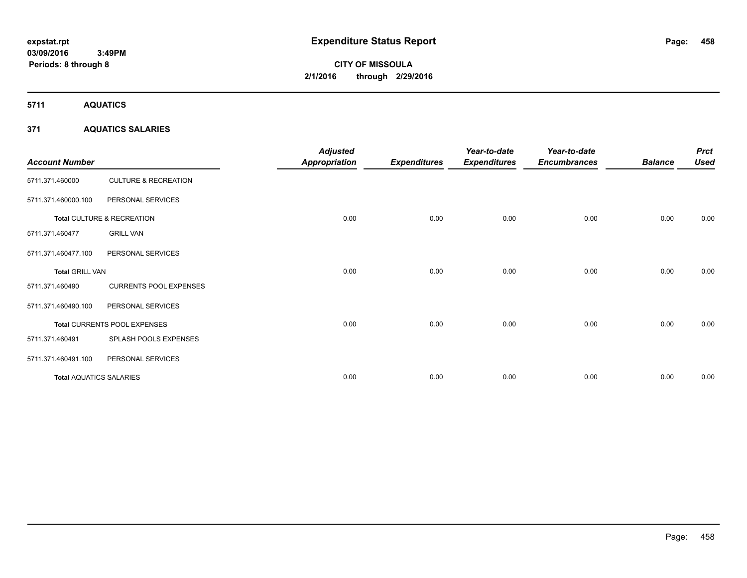# **CITY OF MISSOULA 2/1/2016 through 2/29/2016**

**5711 AQUATICS**

### **371 AQUATICS SALARIES**

| <b>Account Number</b>          |                                 | <b>Adjusted</b><br>Appropriation | <b>Expenditures</b> | Year-to-date<br><b>Expenditures</b> | Year-to-date<br><b>Encumbrances</b> | <b>Balance</b> | <b>Prct</b><br><b>Used</b> |
|--------------------------------|---------------------------------|----------------------------------|---------------------|-------------------------------------|-------------------------------------|----------------|----------------------------|
| 5711.371.460000                | <b>CULTURE &amp; RECREATION</b> |                                  |                     |                                     |                                     |                |                            |
| 5711.371.460000.100            | PERSONAL SERVICES               |                                  |                     |                                     |                                     |                |                            |
|                                | Total CULTURE & RECREATION      | 0.00                             | 0.00                | 0.00                                | 0.00                                | 0.00           | 0.00                       |
| 5711.371.460477                | <b>GRILL VAN</b>                |                                  |                     |                                     |                                     |                |                            |
| 5711.371.460477.100            | PERSONAL SERVICES               |                                  |                     |                                     |                                     |                |                            |
| <b>Total GRILL VAN</b>         |                                 | 0.00                             | 0.00                | 0.00                                | 0.00                                | 0.00           | 0.00                       |
| 5711.371.460490                | <b>CURRENTS POOL EXPENSES</b>   |                                  |                     |                                     |                                     |                |                            |
| 5711.371.460490.100            | PERSONAL SERVICES               |                                  |                     |                                     |                                     |                |                            |
|                                | Total CURRENTS POOL EXPENSES    | 0.00                             | 0.00                | 0.00                                | 0.00                                | 0.00           | 0.00                       |
| 5711.371.460491                | SPLASH POOLS EXPENSES           |                                  |                     |                                     |                                     |                |                            |
| 5711.371.460491.100            | PERSONAL SERVICES               |                                  |                     |                                     |                                     |                |                            |
| <b>Total AQUATICS SALARIES</b> |                                 | 0.00                             | 0.00                | 0.00                                | 0.00                                | 0.00           | 0.00                       |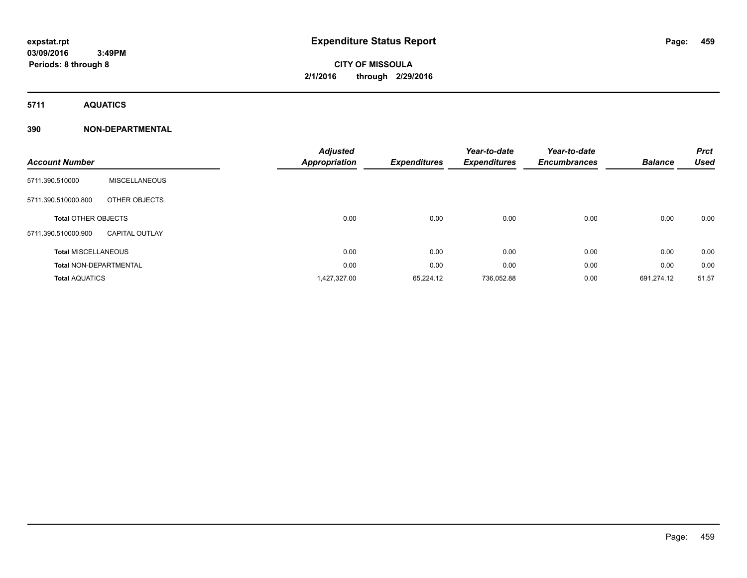# **CITY OF MISSOULA 2/1/2016 through 2/29/2016**

**5711 AQUATICS**

### **390 NON-DEPARTMENTAL**

|                               |                       | <b>Adjusted</b>      |                     | Year-to-date        | Year-to-date        |                | <b>Prct</b> |
|-------------------------------|-----------------------|----------------------|---------------------|---------------------|---------------------|----------------|-------------|
| <b>Account Number</b>         |                       | <b>Appropriation</b> | <b>Expenditures</b> | <b>Expenditures</b> | <b>Encumbrances</b> | <b>Balance</b> | <b>Used</b> |
| 5711.390.510000               | MISCELLANEOUS         |                      |                     |                     |                     |                |             |
| 5711.390.510000.800           | OTHER OBJECTS         |                      |                     |                     |                     |                |             |
| <b>Total OTHER OBJECTS</b>    |                       | 0.00                 | 0.00                | 0.00                | 0.00                | 0.00           | 0.00        |
| 5711.390.510000.900           | <b>CAPITAL OUTLAY</b> |                      |                     |                     |                     |                |             |
| <b>Total MISCELLANEOUS</b>    |                       | 0.00                 | 0.00                | 0.00                | 0.00                | 0.00           | 0.00        |
| <b>Total NON-DEPARTMENTAL</b> |                       | 0.00                 | 0.00                | 0.00                | 0.00                | 0.00           | 0.00        |
| <b>Total AQUATICS</b>         |                       | 1,427,327.00         | 65,224.12           | 736,052.88          | 0.00                | 691.274.12     | 51.57       |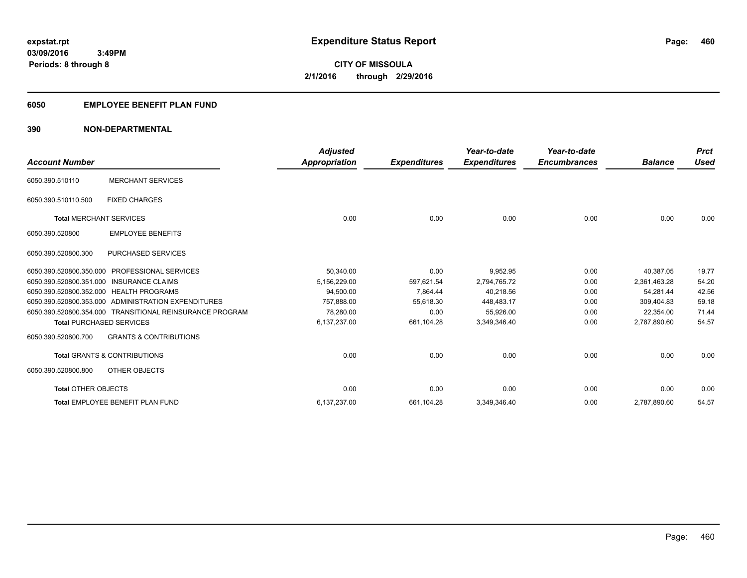### **6050 EMPLOYEE BENEFIT PLAN FUND**

### **390 NON-DEPARTMENTAL**

| <b>Account Number</b>          |                                                          | <b>Adjusted</b><br>Appropriation | <b>Expenditures</b> | Year-to-date<br><b>Expenditures</b> | Year-to-date<br><b>Encumbrances</b> | <b>Balance</b> | <b>Prct</b><br><b>Used</b> |
|--------------------------------|----------------------------------------------------------|----------------------------------|---------------------|-------------------------------------|-------------------------------------|----------------|----------------------------|
| 6050.390.510110                | <b>MERCHANT SERVICES</b>                                 |                                  |                     |                                     |                                     |                |                            |
| 6050.390.510110.500            | <b>FIXED CHARGES</b>                                     |                                  |                     |                                     |                                     |                |                            |
| <b>Total MERCHANT SERVICES</b> |                                                          | 0.00                             | 0.00                | 0.00                                | 0.00                                | 0.00           | 0.00                       |
| 6050.390.520800                | <b>EMPLOYEE BENEFITS</b>                                 |                                  |                     |                                     |                                     |                |                            |
| 6050.390.520800.300            | <b>PURCHASED SERVICES</b>                                |                                  |                     |                                     |                                     |                |                            |
| 6050.390.520800.350.000        | <b>PROFESSIONAL SERVICES</b>                             | 50,340.00                        | 0.00                | 9,952.95                            | 0.00                                | 40,387.05      | 19.77                      |
|                                | 6050.390.520800.351.000 INSURANCE CLAIMS                 | 5,156,229.00                     | 597,621.54          | 2,794,765.72                        | 0.00                                | 2,361,463.28   | 54.20                      |
|                                | 6050.390.520800.352.000 HEALTH PROGRAMS                  | 94,500.00                        | 7,864.44            | 40,218.56                           | 0.00                                | 54,281.44      | 42.56                      |
|                                | 6050.390.520800.353.000 ADMINISTRATION EXPENDITURES      | 757.888.00                       | 55,618.30           | 448,483.17                          | 0.00                                | 309.404.83     | 59.18                      |
|                                | 6050.390.520800.354.000 TRANSITIONAL REINSURANCE PROGRAM | 78,280.00                        | 0.00                | 55,926.00                           | 0.00                                | 22,354.00      | 71.44                      |
|                                | <b>Total PURCHASED SERVICES</b>                          | 6,137,237.00                     | 661,104.28          | 3,349,346.40                        | 0.00                                | 2,787,890.60   | 54.57                      |
| 6050.390.520800.700            | <b>GRANTS &amp; CONTRIBUTIONS</b>                        |                                  |                     |                                     |                                     |                |                            |
|                                | <b>Total GRANTS &amp; CONTRIBUTIONS</b>                  | 0.00                             | 0.00                | 0.00                                | 0.00                                | 0.00           | 0.00                       |
| 6050.390.520800.800            | OTHER OBJECTS                                            |                                  |                     |                                     |                                     |                |                            |
| <b>Total OTHER OBJECTS</b>     |                                                          | 0.00                             | 0.00                | 0.00                                | 0.00                                | 0.00           | 0.00                       |
|                                | Total EMPLOYEE BENEFIT PLAN FUND                         | 6,137,237.00                     | 661,104.28          | 3,349,346.40                        | 0.00                                | 2,787,890.60   | 54.57                      |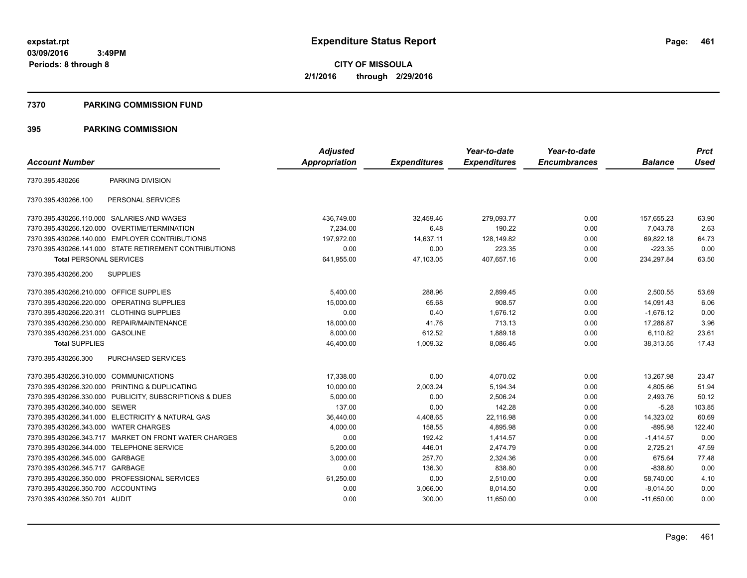**CITY OF MISSOULA 2/1/2016 through 2/29/2016**

#### **7370 PARKING COMMISSION FUND**

|                                                         | <b>Adjusted</b> |                     | Year-to-date        | Year-to-date        |                | <b>Prct</b> |
|---------------------------------------------------------|-----------------|---------------------|---------------------|---------------------|----------------|-------------|
|                                                         | Appropriation   | <b>Expenditures</b> | <b>Expenditures</b> | <b>Encumbrances</b> | <b>Balance</b> | <b>Used</b> |
| PARKING DIVISION                                        |                 |                     |                     |                     |                |             |
| PERSONAL SERVICES                                       |                 |                     |                     |                     |                |             |
| 7370.395.430266.110.000 SALARIES AND WAGES              | 436,749.00      | 32,459.46           | 279.093.77          | 0.00                | 157,655.23     | 63.90       |
| OVERTIME/TERMINATION<br>7370.395.430266.120.000         | 7,234.00        | 6.48                | 190.22              | 0.00                | 7,043.78       | 2.63        |
| 7370.395.430266.140.000 EMPLOYER CONTRIBUTIONS          | 197.972.00      | 14,637.11           | 128,149.82          | 0.00                | 69,822.18      | 64.73       |
| 7370.395.430266.141.000 STATE RETIREMENT CONTRIBUTIONS  | 0.00            | 0.00                | 223.35              | 0.00                | $-223.35$      | 0.00        |
| <b>Total PERSONAL SERVICES</b>                          | 641,955.00      | 47,103.05           | 407,657.16          | 0.00                | 234,297.84     | 63.50       |
| <b>SUPPLIES</b>                                         |                 |                     |                     |                     |                |             |
| 7370.395.430266.210.000 OFFICE SUPPLIES                 | 5,400.00        | 288.96              | 2,899.45            | 0.00                | 2,500.55       | 53.69       |
| 7370.395.430266.220.000 OPERATING SUPPLIES              | 15,000.00       | 65.68               | 908.57              | 0.00                | 14,091.43      | 6.06        |
| 7370.395.430266.220.311 CLOTHING SUPPLIES               | 0.00            | 0.40                | 1,676.12            | 0.00                | $-1,676.12$    | 0.00        |
| REPAIR/MAINTENANCE<br>7370.395.430266.230.000           | 18,000.00       | 41.76               | 713.13              | 0.00                | 17,286.87      | 3.96        |
| 7370.395.430266.231.000 GASOLINE                        | 8,000.00        | 612.52              | 1,889.18            | 0.00                | 6,110.82       | 23.61       |
|                                                         | 46,400.00       | 1,009.32            | 8,086.45            | 0.00                | 38,313.55      | 17.43       |
| PURCHASED SERVICES                                      |                 |                     |                     |                     |                |             |
| 7370.395.430266.310.000 COMMUNICATIONS                  | 17,338.00       | 0.00                | 4,070.02            | 0.00                | 13,267.98      | 23.47       |
| 7370.395.430266.320.000 PRINTING & DUPLICATING          | 10,000.00       | 2,003.24            | 5,194.34            | 0.00                | 4.805.66       | 51.94       |
| 7370.395.430266.330.000 PUBLICITY, SUBSCRIPTIONS & DUES | 5,000.00        | 0.00                | 2,506.24            | 0.00                | 2,493.76       | 50.12       |
| 7370.395.430266.340.000 SEWER                           | 137.00          | 0.00                | 142.28              | 0.00                | $-5.28$        | 103.85      |
| 7370.395.430266.341.000 ELECTRICITY & NATURAL GAS       | 36,440.00       | 4,408.65            | 22,116.98           | 0.00                | 14,323.02      | 60.69       |
| 7370.395.430266.343.000<br><b>WATER CHARGES</b>         | 4,000.00        | 158.55              | 4,895.98            | 0.00                | $-895.98$      | 122.40      |
| 7370.395.430266.343.717 MARKET ON FRONT WATER CHARGES   | 0.00            | 192.42              | 1,414.57            | 0.00                | $-1,414.57$    | 0.00        |
| <b>TELEPHONE SERVICE</b><br>7370.395.430266.344.000     | 5.200.00        | 446.01              | 2,474.79            | 0.00                | 2,725.21       | 47.59       |
| 7370.395.430266.345.000<br>GARBAGE                      | 3,000.00        | 257.70              | 2,324.36            | 0.00                | 675.64         | 77.48       |
| GARBAGE<br>7370.395.430266.345.717                      | 0.00            | 136.30              | 838.80              | 0.00                | $-838.80$      | 0.00        |
| 7370.395.430266.350.000 PROFESSIONAL SERVICES           | 61,250.00       | 0.00                | 2,510.00            | 0.00                | 58,740.00      | 4.10        |
| 7370.395.430266.350.700 ACCOUNTING                      | 0.00            | 3,066.00            | 8,014.50            | 0.00                | $-8,014.50$    | 0.00        |
| 7370.395.430266.350.701 AUDIT                           | 0.00            | 300.00              | 11,650.00           | 0.00                | $-11,650.00$   | 0.00        |
|                                                         |                 |                     |                     |                     |                |             |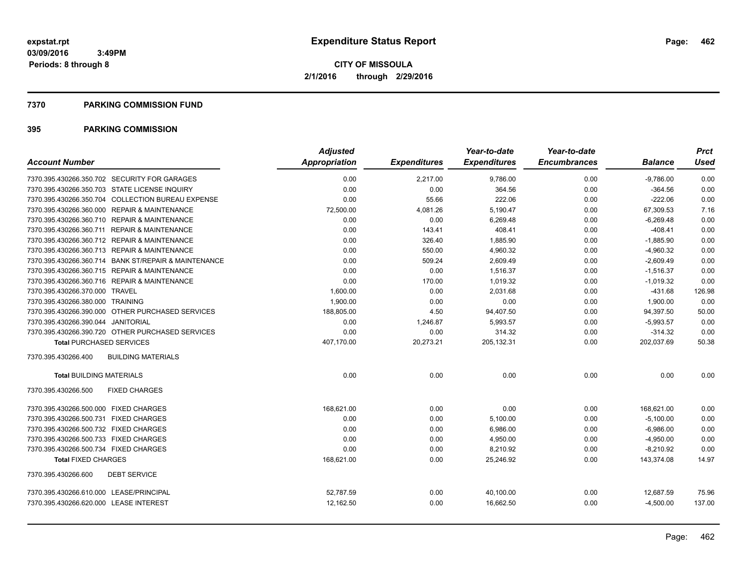#### **7370 PARKING COMMISSION FUND**

|                                                      | <b>Adjusted</b>      |                     | Year-to-date        | Year-to-date        |                | <b>Prct</b> |
|------------------------------------------------------|----------------------|---------------------|---------------------|---------------------|----------------|-------------|
| <b>Account Number</b>                                | <b>Appropriation</b> | <b>Expenditures</b> | <b>Expenditures</b> | <b>Encumbrances</b> | <b>Balance</b> | Used        |
| 7370.395.430266.350.702 SECURITY FOR GARAGES         | 0.00                 | 2,217.00            | 9,786.00            | 0.00                | $-9,786.00$    | 0.00        |
| 7370.395.430266.350.703 STATE LICENSE INQUIRY        | 0.00                 | 0.00                | 364.56              | 0.00                | $-364.56$      | 0.00        |
| 7370.395.430266.350.704 COLLECTION BUREAU EXPENSE    | 0.00                 | 55.66               | 222.06              | 0.00                | $-222.06$      | 0.00        |
| 7370.395.430266.360.000 REPAIR & MAINTENANCE         | 72,500.00            | 4,081.26            | 5,190.47            | 0.00                | 67,309.53      | 7.16        |
| 7370.395.430266.360.710 REPAIR & MAINTENANCE         | 0.00                 | 0.00                | 6,269.48            | 0.00                | $-6,269.48$    | 0.00        |
| 7370.395.430266.360.711 REPAIR & MAINTENANCE         | 0.00                 | 143.41              | 408.41              | 0.00                | $-408.41$      | 0.00        |
| 7370.395.430266.360.712 REPAIR & MAINTENANCE         | 0.00                 | 326.40              | 1,885.90            | 0.00                | $-1,885.90$    | 0.00        |
| 7370.395.430266.360.713 REPAIR & MAINTENANCE         | 0.00                 | 550.00              | 4,960.32            | 0.00                | $-4,960.32$    | 0.00        |
| 7370.395.430266.360.714 BANK ST/REPAIR & MAINTENANCE | 0.00                 | 509.24              | 2,609.49            | 0.00                | $-2,609.49$    | 0.00        |
| 7370.395.430266.360.715 REPAIR & MAINTENANCE         | 0.00                 | 0.00                | 1.516.37            | 0.00                | $-1,516.37$    | 0.00        |
| 7370.395.430266.360.716 REPAIR & MAINTENANCE         | 0.00                 | 170.00              | 1.019.32            | 0.00                | $-1,019.32$    | 0.00        |
| 7370.395.430266.370.000 TRAVEL                       | 1,600.00             | 0.00                | 2,031.68            | 0.00                | $-431.68$      | 126.98      |
| 7370.395.430266.380.000 TRAINING                     | 1.900.00             | 0.00                | 0.00                | 0.00                | 1,900.00       | 0.00        |
| 7370.395.430266.390.000 OTHER PURCHASED SERVICES     | 188,805.00           | 4.50                | 94,407.50           | 0.00                | 94,397.50      | 50.00       |
| 7370.395.430266.390.044 JANITORIAL                   | 0.00                 | 1,246.87            | 5,993.57            | 0.00                | $-5,993.57$    | 0.00        |
| 7370.395.430266.390.720 OTHER PURCHASED SERVICES     | 0.00                 | 0.00                | 314.32              | 0.00                | $-314.32$      | 0.00        |
| <b>Total PURCHASED SERVICES</b>                      | 407,170.00           | 20,273.21           | 205,132.31          | 0.00                | 202,037.69     | 50.38       |
| 7370.395.430266.400<br><b>BUILDING MATERIALS</b>     |                      |                     |                     |                     |                |             |
| <b>Total BUILDING MATERIALS</b>                      | 0.00                 | 0.00                | 0.00                | 0.00                | 0.00           | 0.00        |
| 7370.395.430266.500<br><b>FIXED CHARGES</b>          |                      |                     |                     |                     |                |             |
| 7370.395.430266.500.000 FIXED CHARGES                | 168.621.00           | 0.00                | 0.00                | 0.00                | 168,621.00     | 0.00        |
| 7370.395.430266.500.731 FIXED CHARGES                | 0.00                 | 0.00                | 5,100.00            | 0.00                | $-5,100.00$    | 0.00        |
| 7370.395.430266.500.732 FIXED CHARGES                | 0.00                 | 0.00                | 6,986.00            | 0.00                | $-6,986.00$    | 0.00        |
| 7370.395.430266.500.733 FIXED CHARGES                | 0.00                 | 0.00                | 4,950.00            | 0.00                | $-4,950.00$    | 0.00        |
| 7370.395.430266.500.734 FIXED CHARGES                | 0.00                 | 0.00                | 8,210.92            | 0.00                | $-8,210.92$    | 0.00        |
| <b>Total FIXED CHARGES</b>                           | 168,621.00           | 0.00                | 25,246.92           | 0.00                | 143,374.08     | 14.97       |
| <b>DEBT SERVICE</b><br>7370.395.430266.600           |                      |                     |                     |                     |                |             |
| 7370.395.430266.610.000 LEASE/PRINCIPAL              | 52,787.59            | 0.00                | 40,100.00           | 0.00                | 12,687.59      | 75.96       |
| 7370.395.430266.620.000 LEASE INTEREST               | 12,162.50            | 0.00                | 16,662.50           | 0.00                | $-4,500.00$    | 137.00      |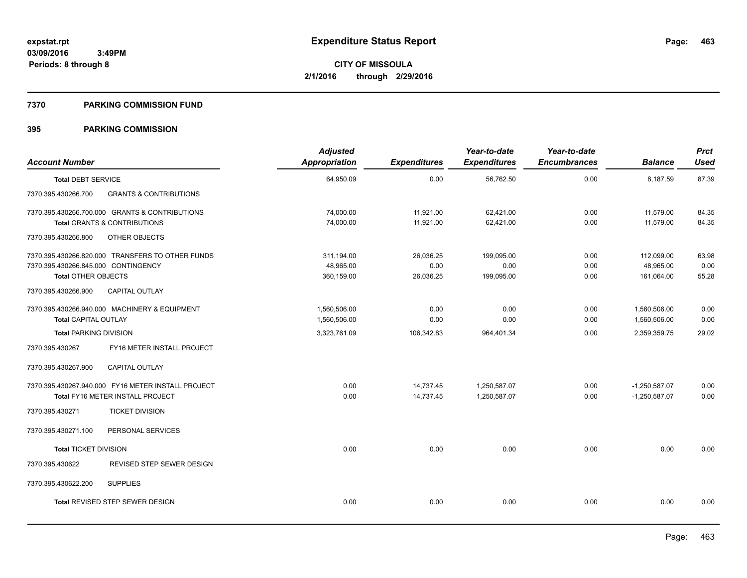#### **7370 PARKING COMMISSION FUND**

| <b>Account Number</b>                                                                    |                                                                                           | <b>Adjusted</b><br><b>Appropriation</b> | <b>Expenditures</b>            | Year-to-date<br><b>Expenditures</b> | Year-to-date<br><b>Encumbrances</b> | <b>Balance</b>                        | <b>Prct</b><br><b>Used</b> |
|------------------------------------------------------------------------------------------|-------------------------------------------------------------------------------------------|-----------------------------------------|--------------------------------|-------------------------------------|-------------------------------------|---------------------------------------|----------------------------|
| <b>Total DEBT SERVICE</b>                                                                |                                                                                           | 64,950.09                               | 0.00                           | 56,762.50                           | 0.00                                | 8,187.59                              | 87.39                      |
| 7370.395.430266.700                                                                      | <b>GRANTS &amp; CONTRIBUTIONS</b>                                                         |                                         |                                |                                     |                                     |                                       |                            |
|                                                                                          | 7370.395.430266.700.000 GRANTS & CONTRIBUTIONS<br><b>Total GRANTS &amp; CONTRIBUTIONS</b> | 74,000.00<br>74,000.00                  | 11,921.00<br>11,921.00         | 62,421.00<br>62,421.00              | 0.00<br>0.00                        | 11,579.00<br>11,579.00                | 84.35<br>84.35             |
| 7370.395.430266.800                                                                      | OTHER OBJECTS                                                                             |                                         |                                |                                     |                                     |                                       |                            |
| 7370.395.430266.845.000 CONTINGENCY<br><b>Total OTHER OBJECTS</b><br>7370.395.430266.900 | 7370.395.430266.820.000 TRANSFERS TO OTHER FUNDS<br><b>CAPITAL OUTLAY</b>                 | 311,194.00<br>48,965.00<br>360,159.00   | 26,036.25<br>0.00<br>26,036.25 | 199,095.00<br>0.00<br>199,095.00    | 0.00<br>0.00<br>0.00                | 112,099.00<br>48,965.00<br>161,064.00 | 63.98<br>0.00<br>55.28     |
| <b>Total CAPITAL OUTLAY</b>                                                              | 7370.395.430266.940.000 MACHINERY & EQUIPMENT                                             | 1,560,506.00<br>1,560,506.00            | 0.00<br>0.00                   | 0.00<br>0.00                        | 0.00<br>0.00                        | 1,560,506.00<br>1,560,506.00          | 0.00<br>0.00               |
| <b>Total PARKING DIVISION</b>                                                            |                                                                                           | 3,323,761.09                            | 106,342.83                     | 964,401.34                          | 0.00                                | 2,359,359.75                          | 29.02                      |
| 7370.395.430267                                                                          | FY16 METER INSTALL PROJECT                                                                |                                         |                                |                                     |                                     |                                       |                            |
| 7370.395.430267.900                                                                      | CAPITAL OUTLAY                                                                            |                                         |                                |                                     |                                     |                                       |                            |
|                                                                                          | 7370.395.430267.940.000 FY16 METER INSTALL PROJECT<br>Total FY16 METER INSTALL PROJECT    | 0.00<br>0.00                            | 14,737.45<br>14,737.45         | 1,250,587.07<br>1,250,587.07        | 0.00<br>0.00                        | $-1,250,587.07$<br>$-1,250,587.07$    | 0.00<br>0.00               |
| 7370.395.430271                                                                          | <b>TICKET DIVISION</b>                                                                    |                                         |                                |                                     |                                     |                                       |                            |
| 7370.395.430271.100                                                                      | PERSONAL SERVICES                                                                         |                                         |                                |                                     |                                     |                                       |                            |
| <b>Total TICKET DIVISION</b>                                                             |                                                                                           | 0.00                                    | 0.00                           | 0.00                                | 0.00                                | 0.00                                  | 0.00                       |
| 7370.395.430622                                                                          | REVISED STEP SEWER DESIGN                                                                 |                                         |                                |                                     |                                     |                                       |                            |
| 7370.395.430622.200                                                                      | <b>SUPPLIES</b>                                                                           |                                         |                                |                                     |                                     |                                       |                            |
|                                                                                          | <b>Total REVISED STEP SEWER DESIGN</b>                                                    | 0.00                                    | 0.00                           | 0.00                                | 0.00                                | 0.00                                  | 0.00                       |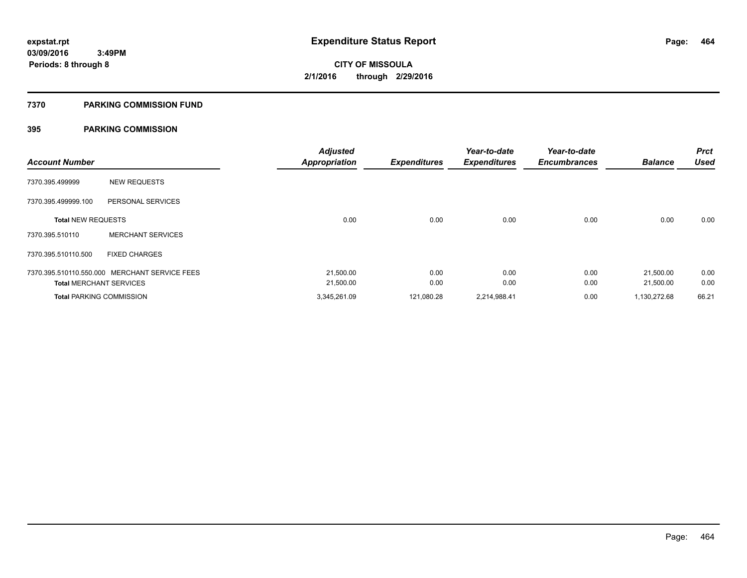#### **7370 PARKING COMMISSION FUND**

| <b>Account Number</b>           |                                               | <b>Adjusted</b><br><b>Appropriation</b> | <b>Expenditures</b> | Year-to-date<br><b>Expenditures</b> | Year-to-date<br><b>Encumbrances</b> | <b>Balance</b> | <b>Prct</b><br><b>Used</b> |
|---------------------------------|-----------------------------------------------|-----------------------------------------|---------------------|-------------------------------------|-------------------------------------|----------------|----------------------------|
| 7370.395.499999                 | <b>NEW REQUESTS</b>                           |                                         |                     |                                     |                                     |                |                            |
| 7370.395.499999.100             | PERSONAL SERVICES                             |                                         |                     |                                     |                                     |                |                            |
| <b>Total NEW REQUESTS</b>       |                                               | 0.00                                    | 0.00                | 0.00                                | 0.00                                | 0.00           | 0.00                       |
| 7370.395.510110                 | <b>MERCHANT SERVICES</b>                      |                                         |                     |                                     |                                     |                |                            |
| 7370.395.510110.500             | <b>FIXED CHARGES</b>                          |                                         |                     |                                     |                                     |                |                            |
|                                 | 7370.395.510110.550.000 MERCHANT SERVICE FEES | 21,500.00                               | 0.00                | 0.00                                | 0.00                                | 21,500.00      | 0.00                       |
| <b>Total MERCHANT SERVICES</b>  |                                               | 21,500.00                               | 0.00                | 0.00                                | 0.00                                | 21,500.00      | 0.00                       |
| <b>Total PARKING COMMISSION</b> |                                               | 3,345,261.09                            | 121,080.28          | 2,214,988.41                        | 0.00                                | 1,130,272.68   | 66.21                      |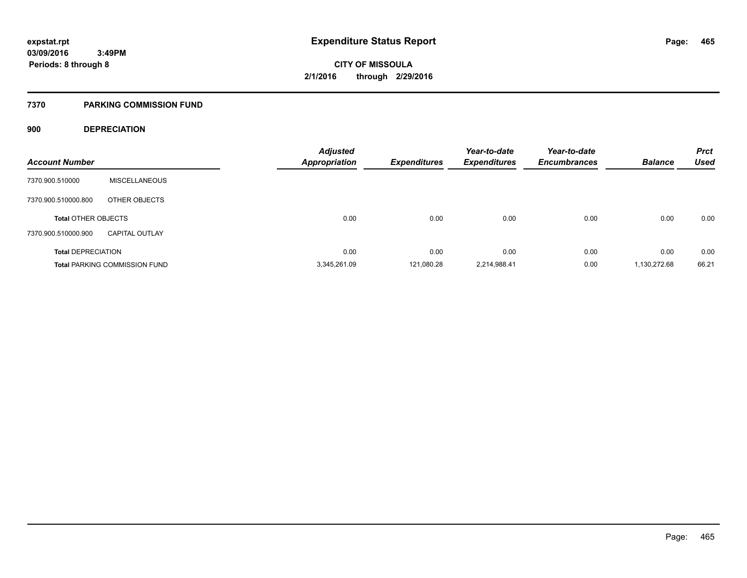#### **7370 PARKING COMMISSION FUND**

### **900 DEPRECIATION**

| <b>Account Number</b>      |                                      | <b>Adjusted</b><br><b>Appropriation</b> | <b>Expenditures</b> | Year-to-date<br><b>Expenditures</b> | Year-to-date<br><b>Encumbrances</b> | <b>Balance</b> | <b>Prct</b><br><b>Used</b> |
|----------------------------|--------------------------------------|-----------------------------------------|---------------------|-------------------------------------|-------------------------------------|----------------|----------------------------|
|                            |                                      |                                         |                     |                                     |                                     |                |                            |
| 7370.900.510000            | <b>MISCELLANEOUS</b>                 |                                         |                     |                                     |                                     |                |                            |
| 7370.900.510000.800        | OTHER OBJECTS                        |                                         |                     |                                     |                                     |                |                            |
| <b>Total OTHER OBJECTS</b> |                                      | 0.00                                    | 0.00                | 0.00                                | 0.00                                | 0.00           | 0.00                       |
| 7370.900.510000.900        | <b>CAPITAL OUTLAY</b>                |                                         |                     |                                     |                                     |                |                            |
| <b>Total DEPRECIATION</b>  |                                      | 0.00                                    | 0.00                | 0.00                                | 0.00                                | 0.00           | 0.00                       |
|                            | <b>Total PARKING COMMISSION FUND</b> | 3.345.261.09                            | 121.080.28          | 2,214,988.41                        | 0.00                                | 1,130,272.68   | 66.21                      |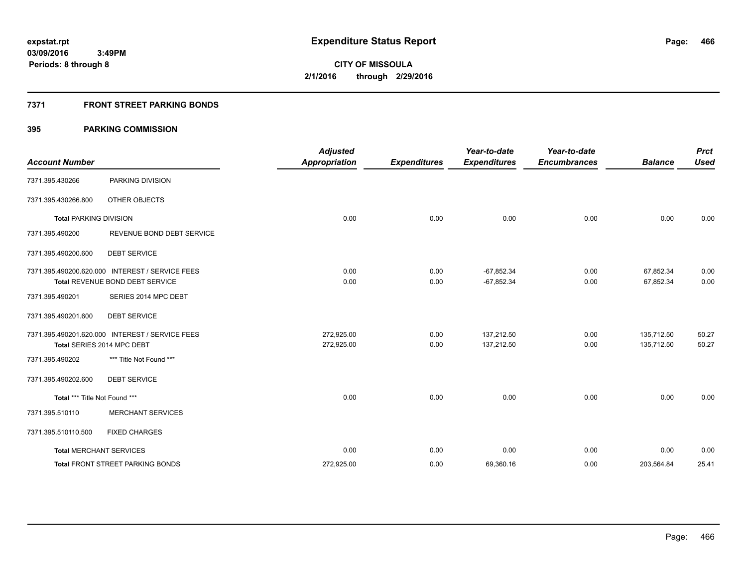### **7371 FRONT STREET PARKING BONDS**

| <b>Account Number</b>         |                                                 | <b>Adjusted</b><br><b>Appropriation</b> | <b>Expenditures</b> | Year-to-date<br><b>Expenditures</b> | Year-to-date<br><b>Encumbrances</b> | <b>Balance</b> | <b>Prct</b><br><b>Used</b> |
|-------------------------------|-------------------------------------------------|-----------------------------------------|---------------------|-------------------------------------|-------------------------------------|----------------|----------------------------|
| 7371.395.430266               | PARKING DIVISION                                |                                         |                     |                                     |                                     |                |                            |
| 7371.395.430266.800           | OTHER OBJECTS                                   |                                         |                     |                                     |                                     |                |                            |
| <b>Total PARKING DIVISION</b> |                                                 | 0.00                                    | 0.00                | 0.00                                | 0.00                                | 0.00           | 0.00                       |
| 7371.395.490200               | REVENUE BOND DEBT SERVICE                       |                                         |                     |                                     |                                     |                |                            |
| 7371.395.490200.600           | <b>DEBT SERVICE</b>                             |                                         |                     |                                     |                                     |                |                            |
|                               | 7371.395.490200.620.000 INTEREST / SERVICE FEES | 0.00                                    | 0.00                | $-67,852.34$                        | 0.00                                | 67,852.34      | 0.00                       |
|                               | <b>Total REVENUE BOND DEBT SERVICE</b>          | 0.00                                    | 0.00                | $-67,852.34$                        | 0.00                                | 67,852.34      | 0.00                       |
| 7371.395.490201               | SERIES 2014 MPC DEBT                            |                                         |                     |                                     |                                     |                |                            |
| 7371.395.490201.600           | <b>DEBT SERVICE</b>                             |                                         |                     |                                     |                                     |                |                            |
|                               | 7371.395.490201.620.000 INTEREST / SERVICE FEES | 272.925.00                              | 0.00                | 137.212.50                          | 0.00                                | 135,712.50     | 50.27                      |
|                               | Total SERIES 2014 MPC DEBT                      | 272,925.00                              | 0.00                | 137,212.50                          | 0.00                                | 135,712.50     | 50.27                      |
| 7371.395.490202               | *** Title Not Found ***                         |                                         |                     |                                     |                                     |                |                            |
| 7371.395.490202.600           | <b>DEBT SERVICE</b>                             |                                         |                     |                                     |                                     |                |                            |
| Total *** Title Not Found *** |                                                 | 0.00                                    | 0.00                | 0.00                                | 0.00                                | 0.00           | 0.00                       |
| 7371.395.510110               | <b>MERCHANT SERVICES</b>                        |                                         |                     |                                     |                                     |                |                            |
| 7371.395.510110.500           | <b>FIXED CHARGES</b>                            |                                         |                     |                                     |                                     |                |                            |
|                               | <b>Total MERCHANT SERVICES</b>                  | 0.00                                    | 0.00                | 0.00                                | 0.00                                | 0.00           | 0.00                       |
|                               | <b>Total FRONT STREET PARKING BONDS</b>         | 272,925.00                              | 0.00                | 69,360.16                           | 0.00                                | 203,564.84     | 25.41                      |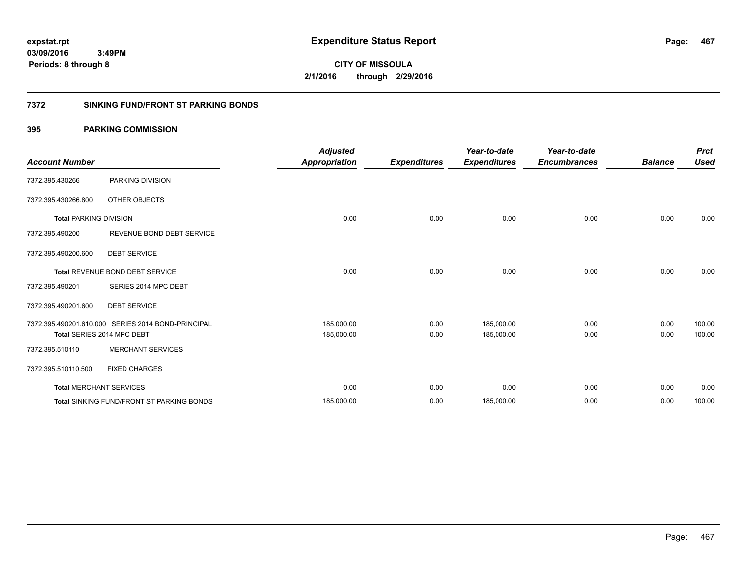# **CITY OF MISSOULA 2/1/2016 through 2/29/2016**

### **7372 SINKING FUND/FRONT ST PARKING BONDS**

| <b>Account Number</b>         |                                                    | <b>Adjusted</b><br><b>Appropriation</b> | <b>Expenditures</b> | Year-to-date<br><b>Expenditures</b> | Year-to-date<br><b>Encumbrances</b> | <b>Balance</b> | <b>Prct</b><br><b>Used</b> |
|-------------------------------|----------------------------------------------------|-----------------------------------------|---------------------|-------------------------------------|-------------------------------------|----------------|----------------------------|
| 7372.395.430266               | PARKING DIVISION                                   |                                         |                     |                                     |                                     |                |                            |
| 7372.395.430266.800           | <b>OTHER OBJECTS</b>                               |                                         |                     |                                     |                                     |                |                            |
| <b>Total PARKING DIVISION</b> |                                                    | 0.00                                    | 0.00                | 0.00                                | 0.00                                | 0.00           | 0.00                       |
| 7372.395.490200               | REVENUE BOND DEBT SERVICE                          |                                         |                     |                                     |                                     |                |                            |
| 7372.395.490200.600           | <b>DEBT SERVICE</b>                                |                                         |                     |                                     |                                     |                |                            |
|                               | Total REVENUE BOND DEBT SERVICE                    | 0.00                                    | 0.00                | 0.00                                | 0.00                                | 0.00           | 0.00                       |
| 7372.395.490201               | SERIES 2014 MPC DEBT                               |                                         |                     |                                     |                                     |                |                            |
| 7372.395.490201.600           | <b>DEBT SERVICE</b>                                |                                         |                     |                                     |                                     |                |                            |
|                               | 7372.395.490201.610.000 SERIES 2014 BOND-PRINCIPAL | 185,000.00                              | 0.00                | 185,000.00                          | 0.00                                | 0.00           | 100.00                     |
|                               | Total SERIES 2014 MPC DEBT                         | 185,000.00                              | 0.00                | 185,000.00                          | 0.00                                | 0.00           | 100.00                     |
| 7372.395.510110               | <b>MERCHANT SERVICES</b>                           |                                         |                     |                                     |                                     |                |                            |
| 7372.395.510110.500           | <b>FIXED CHARGES</b>                               |                                         |                     |                                     |                                     |                |                            |
|                               | <b>Total MERCHANT SERVICES</b>                     | 0.00                                    | 0.00                | 0.00                                | 0.00                                | 0.00           | 0.00                       |
|                               | <b>Total SINKING FUND/FRONT ST PARKING BONDS</b>   | 185,000.00                              | 0.00                | 185,000.00                          | 0.00                                | 0.00           | 100.00                     |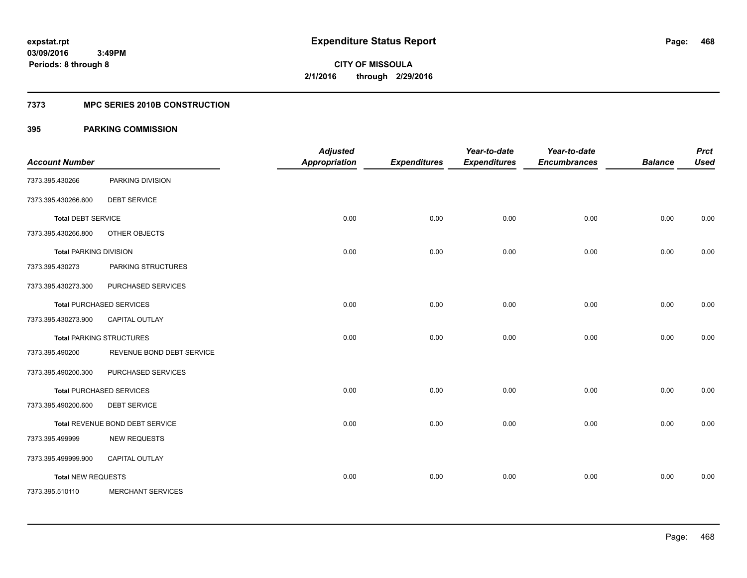### **7373 MPC SERIES 2010B CONSTRUCTION**

| <b>Account Number</b>         |                                 | <b>Adjusted</b><br><b>Appropriation</b> | <b>Expenditures</b> | Year-to-date<br><b>Expenditures</b> | Year-to-date<br><b>Encumbrances</b> | <b>Balance</b> | <b>Prct</b><br><b>Used</b> |
|-------------------------------|---------------------------------|-----------------------------------------|---------------------|-------------------------------------|-------------------------------------|----------------|----------------------------|
|                               |                                 |                                         |                     |                                     |                                     |                |                            |
| 7373.395.430266               | PARKING DIVISION                |                                         |                     |                                     |                                     |                |                            |
| 7373.395.430266.600           | <b>DEBT SERVICE</b>             |                                         |                     |                                     |                                     |                |                            |
| <b>Total DEBT SERVICE</b>     |                                 | 0.00                                    | 0.00                | 0.00                                | 0.00                                | 0.00           | 0.00                       |
| 7373.395.430266.800           | OTHER OBJECTS                   |                                         |                     |                                     |                                     |                |                            |
| <b>Total PARKING DIVISION</b> |                                 | 0.00                                    | 0.00                | 0.00                                | 0.00                                | 0.00           | 0.00                       |
| 7373.395.430273               | PARKING STRUCTURES              |                                         |                     |                                     |                                     |                |                            |
| 7373.395.430273.300           | PURCHASED SERVICES              |                                         |                     |                                     |                                     |                |                            |
|                               | <b>Total PURCHASED SERVICES</b> | 0.00                                    | 0.00                | 0.00                                | 0.00                                | 0.00           | 0.00                       |
| 7373.395.430273.900           | CAPITAL OUTLAY                  |                                         |                     |                                     |                                     |                |                            |
|                               | <b>Total PARKING STRUCTURES</b> | 0.00                                    | 0.00                | 0.00                                | 0.00                                | 0.00           | 0.00                       |
| 7373.395.490200               | REVENUE BOND DEBT SERVICE       |                                         |                     |                                     |                                     |                |                            |
| 7373.395.490200.300           | PURCHASED SERVICES              |                                         |                     |                                     |                                     |                |                            |
|                               | <b>Total PURCHASED SERVICES</b> | 0.00                                    | 0.00                | 0.00                                | 0.00                                | 0.00           | 0.00                       |
| 7373.395.490200.600           | <b>DEBT SERVICE</b>             |                                         |                     |                                     |                                     |                |                            |
|                               | Total REVENUE BOND DEBT SERVICE | 0.00                                    | 0.00                | 0.00                                | 0.00                                | 0.00           | 0.00                       |
| 7373.395.499999               | <b>NEW REQUESTS</b>             |                                         |                     |                                     |                                     |                |                            |
| 7373.395.499999.900           | CAPITAL OUTLAY                  |                                         |                     |                                     |                                     |                |                            |
| <b>Total NEW REQUESTS</b>     |                                 | 0.00                                    | 0.00                | 0.00                                | 0.00                                | 0.00           | 0.00                       |
| 7373.395.510110               | <b>MERCHANT SERVICES</b>        |                                         |                     |                                     |                                     |                |                            |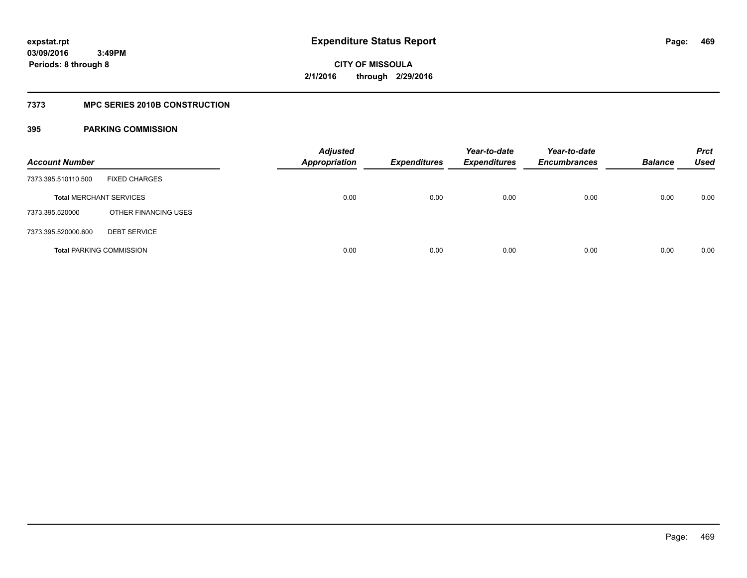### **7373 MPC SERIES 2010B CONSTRUCTION**

| <b>Account Number</b>           |                      | <b>Adjusted</b><br><b>Appropriation</b> | <b>Expenditures</b> | Year-to-date<br><b>Expenditures</b> | Year-to-date<br><b>Encumbrances</b> | <b>Balance</b> | <b>Prct</b><br>Used |
|---------------------------------|----------------------|-----------------------------------------|---------------------|-------------------------------------|-------------------------------------|----------------|---------------------|
| 7373.395.510110.500             | <b>FIXED CHARGES</b> |                                         |                     |                                     |                                     |                |                     |
| <b>Total MERCHANT SERVICES</b>  |                      | 0.00                                    | 0.00                | 0.00                                | 0.00                                | 0.00           | 0.00                |
| 7373.395.520000                 | OTHER FINANCING USES |                                         |                     |                                     |                                     |                |                     |
| 7373.395.520000.600             | <b>DEBT SERVICE</b>  |                                         |                     |                                     |                                     |                |                     |
| <b>Total PARKING COMMISSION</b> |                      | 0.00                                    | 0.00                | 0.00                                | 0.00                                | 0.00           | 0.00                |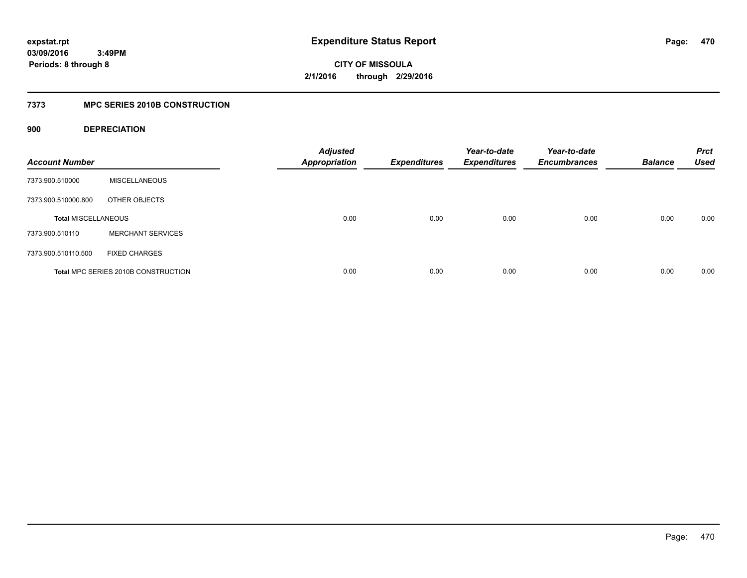**CITY OF MISSOULA 2/1/2016 through 2/29/2016**

### **7373 MPC SERIES 2010B CONSTRUCTION**

### **900 DEPRECIATION**

| <b>Account Number</b>      |                                     | <b>Adjusted</b><br><b>Appropriation</b> | <b>Expenditures</b> | Year-to-date<br><b>Expenditures</b> | Year-to-date<br><b>Encumbrances</b> | <b>Balance</b> | <b>Prct</b><br><b>Used</b> |
|----------------------------|-------------------------------------|-----------------------------------------|---------------------|-------------------------------------|-------------------------------------|----------------|----------------------------|
| 7373.900.510000            | <b>MISCELLANEOUS</b>                |                                         |                     |                                     |                                     |                |                            |
| 7373.900.510000.800        | OTHER OBJECTS                       |                                         |                     |                                     |                                     |                |                            |
| <b>Total MISCELLANEOUS</b> |                                     | 0.00                                    | 0.00                | 0.00                                | 0.00                                | 0.00           | 0.00                       |
| 7373.900.510110            | <b>MERCHANT SERVICES</b>            |                                         |                     |                                     |                                     |                |                            |
| 7373.900.510110.500        | <b>FIXED CHARGES</b>                |                                         |                     |                                     |                                     |                |                            |
|                            | Total MPC SERIES 2010B CONSTRUCTION | 0.00                                    | 0.00                | 0.00                                | 0.00                                | 0.00           | 0.00                       |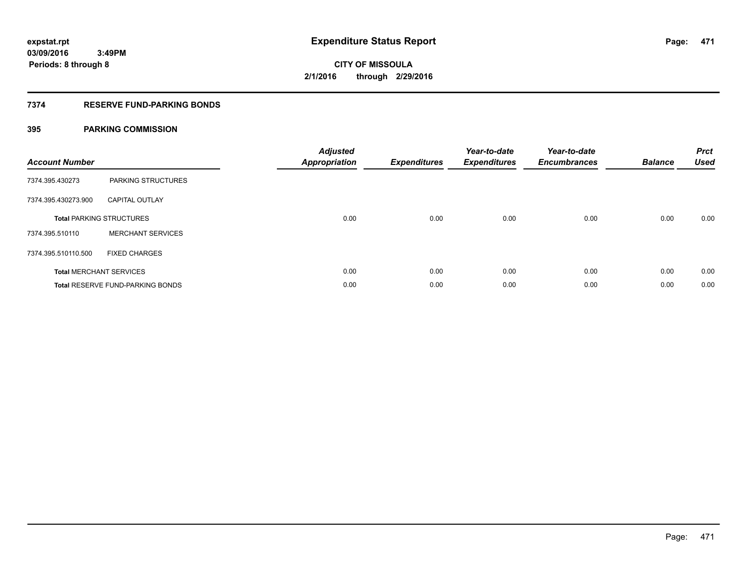### **7374 RESERVE FUND-PARKING BONDS**

| <b>Account Number</b> |                                         | <b>Adjusted</b><br><b>Appropriation</b> | <b>Expenditures</b> | Year-to-date<br><b>Expenditures</b> | Year-to-date<br><b>Encumbrances</b> | <b>Balance</b> | <b>Prct</b><br><b>Used</b> |
|-----------------------|-----------------------------------------|-----------------------------------------|---------------------|-------------------------------------|-------------------------------------|----------------|----------------------------|
| 7374.395.430273       | PARKING STRUCTURES                      |                                         |                     |                                     |                                     |                |                            |
| 7374.395.430273.900   | <b>CAPITAL OUTLAY</b>                   |                                         |                     |                                     |                                     |                |                            |
|                       | <b>Total PARKING STRUCTURES</b>         | 0.00                                    | 0.00                | 0.00                                | 0.00                                | 0.00           | 0.00                       |
| 7374.395.510110       | <b>MERCHANT SERVICES</b>                |                                         |                     |                                     |                                     |                |                            |
| 7374.395.510110.500   | <b>FIXED CHARGES</b>                    |                                         |                     |                                     |                                     |                |                            |
|                       | <b>Total MERCHANT SERVICES</b>          | 0.00                                    | 0.00                | 0.00                                | 0.00                                | 0.00           | 0.00                       |
|                       | <b>Total RESERVE FUND-PARKING BONDS</b> | 0.00                                    | 0.00                | 0.00                                | 0.00                                | 0.00           | 0.00                       |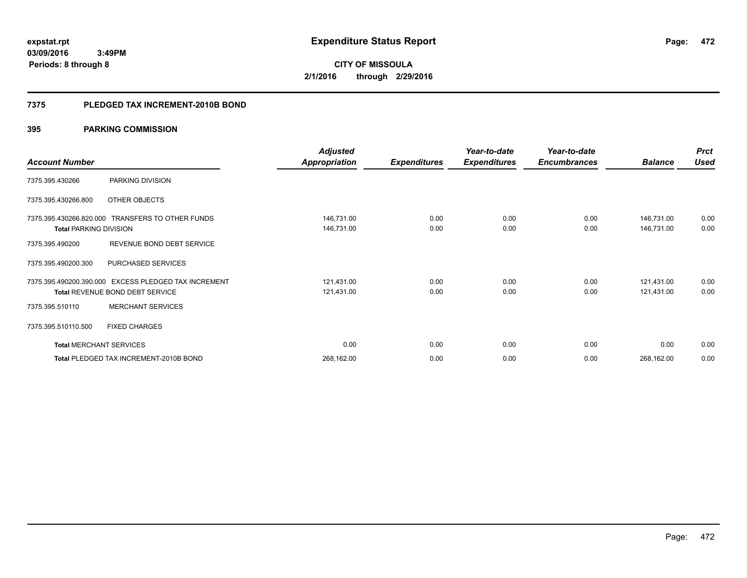**472**

**03/09/2016 3:49PM Periods: 8 through 8**

# **CITY OF MISSOULA 2/1/2016 through 2/29/2016**

### **7375 PLEDGED TAX INCREMENT-2010B BOND**

|                                |                                                  | <b>Adjusted</b>      |                     | Year-to-date        | Year-to-date        |                | <b>Prct</b> |
|--------------------------------|--------------------------------------------------|----------------------|---------------------|---------------------|---------------------|----------------|-------------|
| <b>Account Number</b>          |                                                  | <b>Appropriation</b> | <b>Expenditures</b> | <b>Expenditures</b> | <b>Encumbrances</b> | <b>Balance</b> | <b>Used</b> |
| 7375.395.430266                | PARKING DIVISION                                 |                      |                     |                     |                     |                |             |
| 7375.395.430266.800            | OTHER OBJECTS                                    |                      |                     |                     |                     |                |             |
|                                | 7375.395.430266.820.000 TRANSFERS TO OTHER FUNDS | 146,731.00           | 0.00                | 0.00                | 0.00                | 146,731.00     | 0.00        |
| <b>Total PARKING DIVISION</b>  |                                                  | 146,731.00           | 0.00                | 0.00                | 0.00                | 146,731.00     | 0.00        |
| 7375.395.490200                | REVENUE BOND DEBT SERVICE                        |                      |                     |                     |                     |                |             |
| 7375.395.490200.300            | PURCHASED SERVICES                               |                      |                     |                     |                     |                |             |
| 7375.395.490200.390.000        | EXCESS PLEDGED TAX INCREMENT                     | 121,431.00           | 0.00                | 0.00                | 0.00                | 121,431.00     | 0.00        |
|                                | <b>Total REVENUE BOND DEBT SERVICE</b>           | 121,431.00           | 0.00                | 0.00                | 0.00                | 121,431.00     | 0.00        |
| 7375.395.510110                | <b>MERCHANT SERVICES</b>                         |                      |                     |                     |                     |                |             |
| 7375.395.510110.500            | <b>FIXED CHARGES</b>                             |                      |                     |                     |                     |                |             |
| <b>Total MERCHANT SERVICES</b> |                                                  | 0.00                 | 0.00                | 0.00                | 0.00                | 0.00           | 0.00        |
|                                | Total PLEDGED TAX INCREMENT-2010B BOND           | 268,162.00           | 0.00                | 0.00                | 0.00                | 268,162.00     | 0.00        |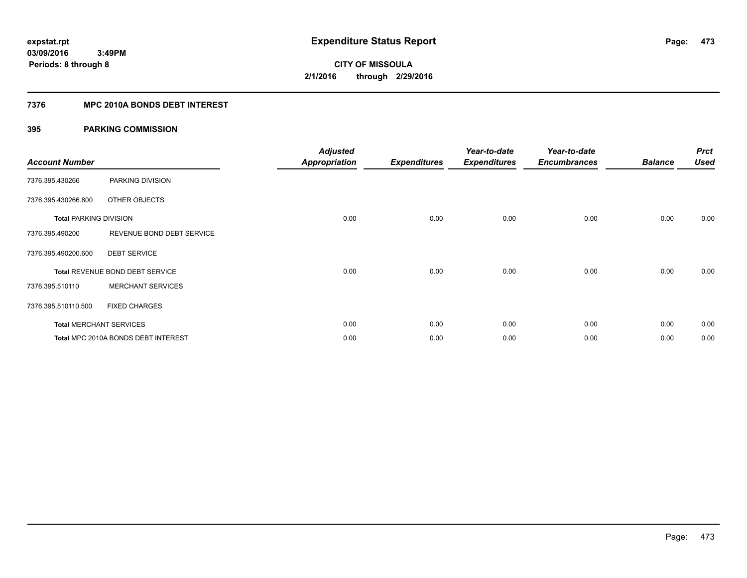### **7376 MPC 2010A BONDS DEBT INTEREST**

| <b>Account Number</b>         |                                     | <b>Adjusted</b><br><b>Appropriation</b> | <b>Expenditures</b> | Year-to-date<br><b>Expenditures</b> | Year-to-date<br><b>Encumbrances</b> | <b>Balance</b> | <b>Prct</b><br><b>Used</b> |
|-------------------------------|-------------------------------------|-----------------------------------------|---------------------|-------------------------------------|-------------------------------------|----------------|----------------------------|
| 7376.395.430266               | PARKING DIVISION                    |                                         |                     |                                     |                                     |                |                            |
| 7376.395.430266.800           | OTHER OBJECTS                       |                                         |                     |                                     |                                     |                |                            |
| <b>Total PARKING DIVISION</b> |                                     | 0.00                                    | 0.00                | 0.00                                | 0.00                                | 0.00           | 0.00                       |
| 7376.395.490200               | REVENUE BOND DEBT SERVICE           |                                         |                     |                                     |                                     |                |                            |
| 7376.395.490200.600           | <b>DEBT SERVICE</b>                 |                                         |                     |                                     |                                     |                |                            |
|                               | Total REVENUE BOND DEBT SERVICE     | 0.00                                    | 0.00                | 0.00                                | 0.00                                | 0.00           | 0.00                       |
| 7376.395.510110               | <b>MERCHANT SERVICES</b>            |                                         |                     |                                     |                                     |                |                            |
| 7376.395.510110.500           | <b>FIXED CHARGES</b>                |                                         |                     |                                     |                                     |                |                            |
|                               | <b>Total MERCHANT SERVICES</b>      | 0.00                                    | 0.00                | 0.00                                | 0.00                                | 0.00           | 0.00                       |
|                               | Total MPC 2010A BONDS DEBT INTEREST | 0.00                                    | 0.00                | 0.00                                | 0.00                                | 0.00           | 0.00                       |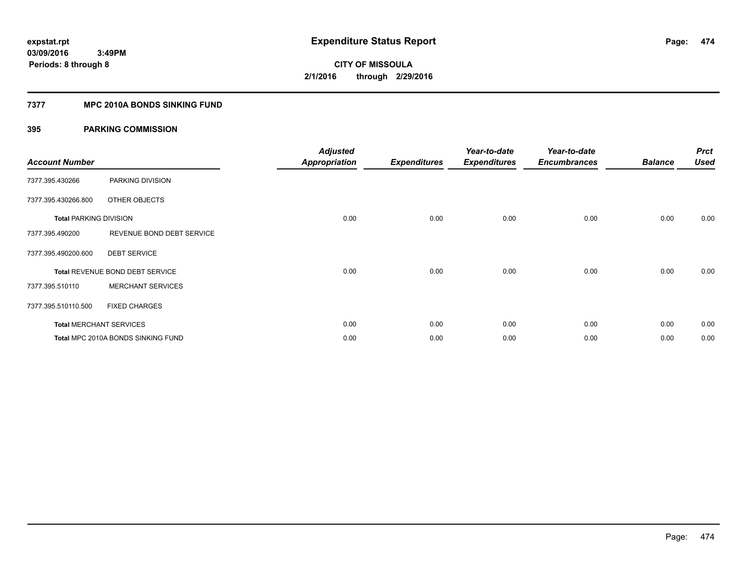### **7377 MPC 2010A BONDS SINKING FUND**

| <b>Account Number</b>         |                                    | <b>Adjusted</b><br><b>Appropriation</b> | <b>Expenditures</b> | Year-to-date<br><b>Expenditures</b> | Year-to-date<br><b>Encumbrances</b> | <b>Balance</b> | <b>Prct</b><br><b>Used</b> |
|-------------------------------|------------------------------------|-----------------------------------------|---------------------|-------------------------------------|-------------------------------------|----------------|----------------------------|
| 7377.395.430266               | PARKING DIVISION                   |                                         |                     |                                     |                                     |                |                            |
| 7377.395.430266.800           | OTHER OBJECTS                      |                                         |                     |                                     |                                     |                |                            |
| <b>Total PARKING DIVISION</b> |                                    | 0.00                                    | 0.00                | 0.00                                | 0.00                                | 0.00           | 0.00                       |
| 7377.395.490200               | REVENUE BOND DEBT SERVICE          |                                         |                     |                                     |                                     |                |                            |
| 7377.395.490200.600           | <b>DEBT SERVICE</b>                |                                         |                     |                                     |                                     |                |                            |
|                               | Total REVENUE BOND DEBT SERVICE    | 0.00                                    | 0.00                | 0.00                                | 0.00                                | 0.00           | 0.00                       |
| 7377.395.510110               | <b>MERCHANT SERVICES</b>           |                                         |                     |                                     |                                     |                |                            |
| 7377.395.510110.500           | <b>FIXED CHARGES</b>               |                                         |                     |                                     |                                     |                |                            |
|                               | <b>Total MERCHANT SERVICES</b>     | 0.00                                    | 0.00                | 0.00                                | 0.00                                | 0.00           | 0.00                       |
|                               | Total MPC 2010A BONDS SINKING FUND | 0.00                                    | 0.00                | 0.00                                | 0.00                                | 0.00           | 0.00                       |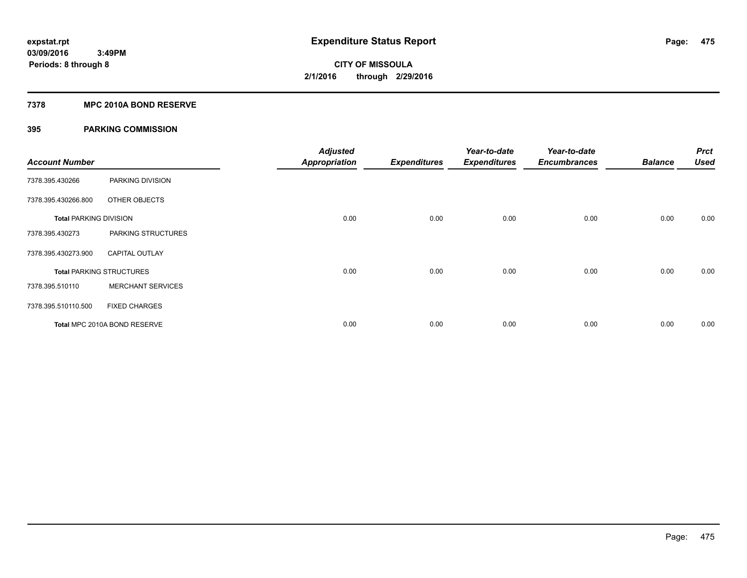### **7378 MPC 2010A BOND RESERVE**

| <b>Account Number</b>         |                                 | <b>Adjusted</b><br><b>Appropriation</b> | <b>Expenditures</b> | Year-to-date<br><b>Expenditures</b> | Year-to-date<br><b>Encumbrances</b> | <b>Balance</b> | <b>Prct</b><br><b>Used</b> |
|-------------------------------|---------------------------------|-----------------------------------------|---------------------|-------------------------------------|-------------------------------------|----------------|----------------------------|
| 7378.395.430266               | PARKING DIVISION                |                                         |                     |                                     |                                     |                |                            |
| 7378.395.430266.800           | OTHER OBJECTS                   |                                         |                     |                                     |                                     |                |                            |
| <b>Total PARKING DIVISION</b> |                                 | 0.00                                    | 0.00                | 0.00                                | 0.00                                | 0.00           | 0.00                       |
| 7378.395.430273               | PARKING STRUCTURES              |                                         |                     |                                     |                                     |                |                            |
| 7378.395.430273.900           | <b>CAPITAL OUTLAY</b>           |                                         |                     |                                     |                                     |                |                            |
|                               | <b>Total PARKING STRUCTURES</b> | 0.00                                    | 0.00                | 0.00                                | 0.00                                | 0.00           | 0.00                       |
| 7378.395.510110               | <b>MERCHANT SERVICES</b>        |                                         |                     |                                     |                                     |                |                            |
| 7378.395.510110.500           | <b>FIXED CHARGES</b>            |                                         |                     |                                     |                                     |                |                            |
|                               | Total MPC 2010A BOND RESERVE    | 0.00                                    | 0.00                | 0.00                                | 0.00                                | 0.00           | 0.00                       |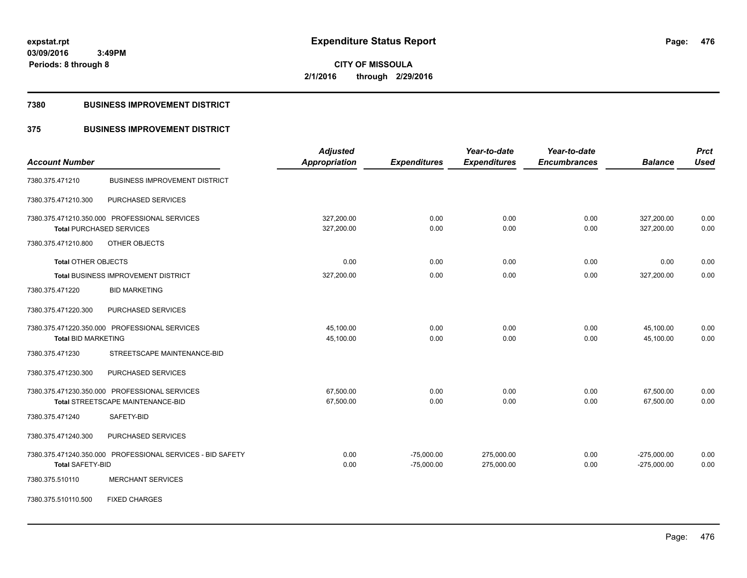**CITY OF MISSOULA 2/1/2016 through 2/29/2016**

### **7380 BUSINESS IMPROVEMENT DISTRICT**

### **375 BUSINESS IMPROVEMENT DISTRICT**

| <b>Account Number</b>                                                              | <b>Adjusted</b><br><b>Appropriation</b> | <b>Expenditures</b>          | Year-to-date<br><b>Expenditures</b> | Year-to-date<br><b>Encumbrances</b> | <b>Balance</b>                 | <b>Prct</b><br><b>Used</b> |
|------------------------------------------------------------------------------------|-----------------------------------------|------------------------------|-------------------------------------|-------------------------------------|--------------------------------|----------------------------|
| <b>BUSINESS IMPROVEMENT DISTRICT</b><br>7380.375.471210                            |                                         |                              |                                     |                                     |                                |                            |
| PURCHASED SERVICES<br>7380.375.471210.300                                          |                                         |                              |                                     |                                     |                                |                            |
| 7380.375.471210.350.000 PROFESSIONAL SERVICES<br><b>Total PURCHASED SERVICES</b>   | 327,200.00<br>327,200.00                | 0.00<br>0.00                 | 0.00<br>0.00                        | 0.00<br>0.00                        | 327,200.00<br>327,200.00       | 0.00<br>0.00               |
| OTHER OBJECTS<br>7380.375.471210.800                                               |                                         |                              |                                     |                                     |                                |                            |
| <b>Total OTHER OBJECTS</b>                                                         | 0.00                                    | 0.00                         | 0.00                                | 0.00                                | 0.00                           | 0.00                       |
| <b>Total BUSINESS IMPROVEMENT DISTRICT</b>                                         | 327,200.00                              | 0.00                         | 0.00                                | 0.00                                | 327,200.00                     | 0.00                       |
| <b>BID MARKETING</b><br>7380.375.471220                                            |                                         |                              |                                     |                                     |                                |                            |
| 7380.375.471220.300<br>PURCHASED SERVICES                                          |                                         |                              |                                     |                                     |                                |                            |
| 7380.375.471220.350.000 PROFESSIONAL SERVICES<br><b>Total BID MARKETING</b>        | 45,100.00<br>45,100.00                  | 0.00<br>0.00                 | 0.00<br>0.00                        | 0.00<br>0.00                        | 45,100.00<br>45,100.00         | 0.00<br>0.00               |
| 7380.375.471230<br>STREETSCAPE MAINTENANCE-BID                                     |                                         |                              |                                     |                                     |                                |                            |
| 7380.375.471230.300<br>PURCHASED SERVICES                                          |                                         |                              |                                     |                                     |                                |                            |
| 7380.375.471230.350.000 PROFESSIONAL SERVICES<br>Total STREETSCAPE MAINTENANCE-BID | 67,500.00<br>67,500.00                  | 0.00<br>0.00                 | 0.00<br>0.00                        | 0.00<br>0.00                        | 67,500.00<br>67,500.00         | 0.00<br>0.00               |
| SAFETY-BID<br>7380.375.471240                                                      |                                         |                              |                                     |                                     |                                |                            |
| 7380.375.471240.300<br>PURCHASED SERVICES                                          |                                         |                              |                                     |                                     |                                |                            |
| 7380.375.471240.350.000 PROFESSIONAL SERVICES - BID SAFETY<br>Total SAFETY-BID     | 0.00<br>0.00                            | $-75,000.00$<br>$-75,000.00$ | 275,000.00<br>275,000.00            | 0.00<br>0.00                        | $-275,000.00$<br>$-275,000.00$ | 0.00<br>0.00               |
| <b>MERCHANT SERVICES</b><br>7380.375.510110                                        |                                         |                              |                                     |                                     |                                |                            |
| <b>FIXED CHARGES</b><br>7380.375.510110.500                                        |                                         |                              |                                     |                                     |                                |                            |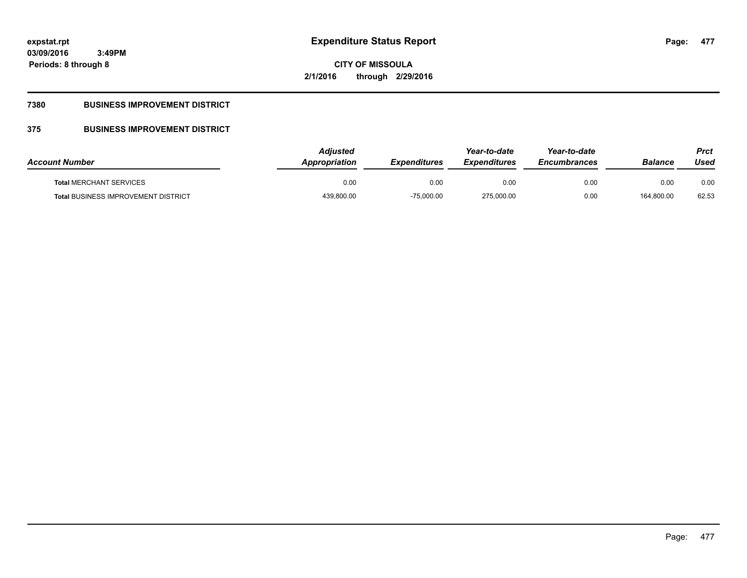**477**

**03/09/2016 3:49PM Periods: 8 through 8**

**CITY OF MISSOULA 2/1/2016 through 2/29/2016**

## **7380 BUSINESS IMPROVEMENT DISTRICT**

## **375 BUSINESS IMPROVEMENT DISTRICT**

| <b>Account Number</b>                      | Adiusted<br>Appropriation | <b>Expenditures</b> | Year-to-date<br><b>Expenditures</b> | Year-to-date<br><b>Encumbrances</b> | <b>Balance</b> | Prct<br>Used |
|--------------------------------------------|---------------------------|---------------------|-------------------------------------|-------------------------------------|----------------|--------------|
| <b>Total MERCHANT SERVICES</b>             | 0.00                      | 0.00                | 0.00                                | 0.00                                | 0.00           | 0.00         |
| <b>Total BUSINESS IMPROVEMENT DISTRICT</b> | 439,800.00                | $-75,000.00$        | 275,000.00                          | 0.00                                | 164,800.00     | 62.53        |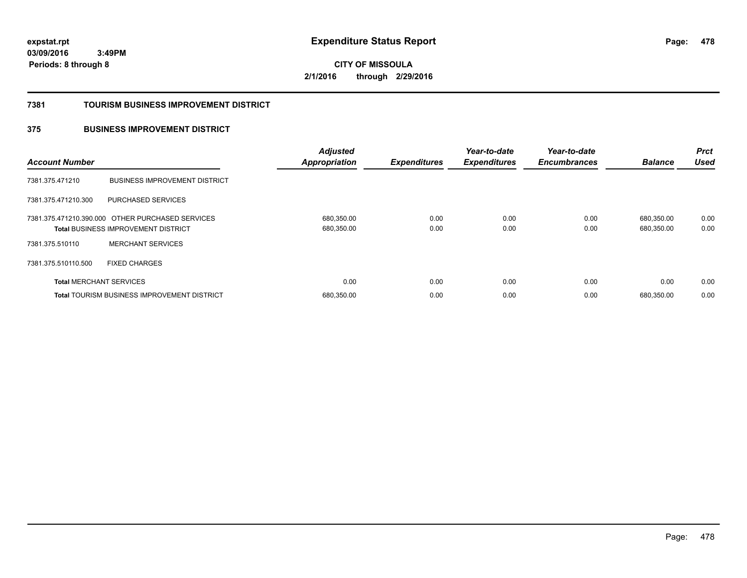**CITY OF MISSOULA 2/1/2016 through 2/29/2016**

### **7381 TOURISM BUSINESS IMPROVEMENT DISTRICT**

### **375 BUSINESS IMPROVEMENT DISTRICT**

| <b>Account Number</b>          |                                                                                                | <b>Adjusted</b><br><b>Appropriation</b> | <b>Expenditures</b> | Year-to-date<br><b>Expenditures</b> | Year-to-date<br><b>Encumbrances</b> | <b>Balance</b>           | <b>Prct</b><br><b>Used</b> |
|--------------------------------|------------------------------------------------------------------------------------------------|-----------------------------------------|---------------------|-------------------------------------|-------------------------------------|--------------------------|----------------------------|
| 7381.375.471210                | <b>BUSINESS IMPROVEMENT DISTRICT</b>                                                           |                                         |                     |                                     |                                     |                          |                            |
| 7381.375.471210.300            | PURCHASED SERVICES                                                                             |                                         |                     |                                     |                                     |                          |                            |
|                                | 7381.375.471210.390.000 OTHER PURCHASED SERVICES<br><b>Total BUSINESS IMPROVEMENT DISTRICT</b> | 680,350.00<br>680,350.00                | 0.00<br>0.00        | 0.00<br>0.00                        | 0.00<br>0.00                        | 680,350.00<br>680,350.00 | 0.00<br>0.00               |
| 7381.375.510110                | <b>MERCHANT SERVICES</b>                                                                       |                                         |                     |                                     |                                     |                          |                            |
| 7381.375.510110.500            | <b>FIXED CHARGES</b>                                                                           |                                         |                     |                                     |                                     |                          |                            |
| <b>Total MERCHANT SERVICES</b> |                                                                                                | 0.00                                    | 0.00                | 0.00                                | 0.00                                | 0.00                     | 0.00                       |
|                                | Total TOURISM BUSINESS IMPROVEMENT DISTRICT                                                    | 680,350.00                              | 0.00                | 0.00                                | 0.00                                | 680.350.00               | 0.00                       |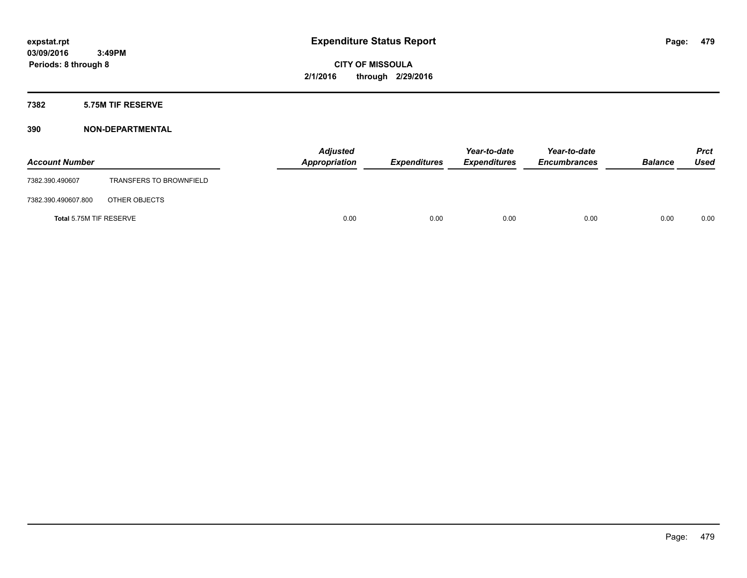### **7382 5.75M TIF RESERVE**

| <b>Account Number</b>   |                                | <b>Adjusted</b><br>Appropriation | <b>Expenditures</b> | Year-to-date<br><b>Expenditures</b> | Year-to-date<br><b>Encumbrances</b> | <b>Balance</b> | Prct<br><b>Used</b> |
|-------------------------|--------------------------------|----------------------------------|---------------------|-------------------------------------|-------------------------------------|----------------|---------------------|
| 7382.390.490607         | <b>TRANSFERS TO BROWNFIELD</b> |                                  |                     |                                     |                                     |                |                     |
| 7382.390.490607.800     | OTHER OBJECTS                  |                                  |                     |                                     |                                     |                |                     |
| Total 5.75M TIF RESERVE |                                | 0.00                             | 0.00                | 0.00                                | 0.00                                | 0.00           | 0.00                |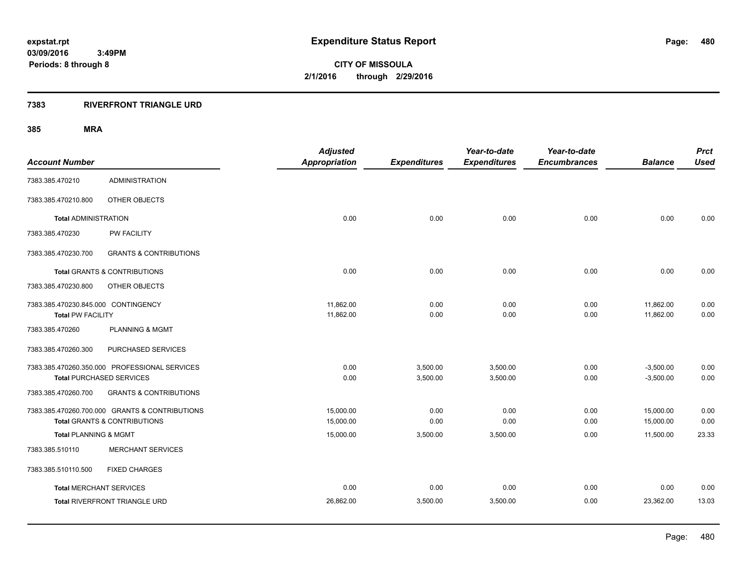### **7383 RIVERFRONT TRIANGLE URD**

|                                     |                                                | <b>Adjusted</b>      |                     | Year-to-date        | Year-to-date        |                | <b>Prct</b> |
|-------------------------------------|------------------------------------------------|----------------------|---------------------|---------------------|---------------------|----------------|-------------|
| <b>Account Number</b>               |                                                | <b>Appropriation</b> | <b>Expenditures</b> | <b>Expenditures</b> | <b>Encumbrances</b> | <b>Balance</b> | <b>Used</b> |
| 7383.385.470210                     | <b>ADMINISTRATION</b>                          |                      |                     |                     |                     |                |             |
| 7383.385.470210.800                 | OTHER OBJECTS                                  |                      |                     |                     |                     |                |             |
| <b>Total ADMINISTRATION</b>         |                                                | 0.00                 | 0.00                | 0.00                | 0.00                | 0.00           | 0.00        |
| 7383.385.470230                     | PW FACILITY                                    |                      |                     |                     |                     |                |             |
| 7383.385.470230.700                 | <b>GRANTS &amp; CONTRIBUTIONS</b>              |                      |                     |                     |                     |                |             |
|                                     | <b>Total GRANTS &amp; CONTRIBUTIONS</b>        | 0.00                 | 0.00                | 0.00                | 0.00                | 0.00           | 0.00        |
| 7383.385.470230.800                 | OTHER OBJECTS                                  |                      |                     |                     |                     |                |             |
| 7383.385.470230.845.000 CONTINGENCY |                                                | 11,862.00            | 0.00                | 0.00                | 0.00                | 11,862.00      | 0.00        |
| <b>Total PW FACILITY</b>            |                                                | 11,862.00            | 0.00                | 0.00                | 0.00                | 11,862.00      | 0.00        |
| 7383.385.470260                     | <b>PLANNING &amp; MGMT</b>                     |                      |                     |                     |                     |                |             |
| 7383.385.470260.300                 | PURCHASED SERVICES                             |                      |                     |                     |                     |                |             |
|                                     | 7383.385.470260.350.000 PROFESSIONAL SERVICES  | 0.00                 | 3,500.00            | 3,500.00            | 0.00                | $-3,500.00$    | 0.00        |
| <b>Total PURCHASED SERVICES</b>     |                                                | 0.00                 | 3,500.00            | 3,500.00            | 0.00                | $-3,500.00$    | 0.00        |
| 7383.385.470260.700                 | <b>GRANTS &amp; CONTRIBUTIONS</b>              |                      |                     |                     |                     |                |             |
|                                     | 7383.385.470260.700.000 GRANTS & CONTRIBUTIONS | 15,000.00            | 0.00                | 0.00                | 0.00                | 15,000.00      | 0.00        |
|                                     | <b>Total GRANTS &amp; CONTRIBUTIONS</b>        | 15,000.00            | 0.00                | 0.00                | 0.00                | 15,000.00      | 0.00        |
| <b>Total PLANNING &amp; MGMT</b>    |                                                | 15,000.00            | 3,500.00            | 3,500.00            | 0.00                | 11,500.00      | 23.33       |
| 7383.385.510110                     | <b>MERCHANT SERVICES</b>                       |                      |                     |                     |                     |                |             |
| 7383.385.510110.500                 | <b>FIXED CHARGES</b>                           |                      |                     |                     |                     |                |             |
| <b>Total MERCHANT SERVICES</b>      |                                                | 0.00                 | 0.00                | 0.00                | 0.00                | 0.00           | 0.00        |
|                                     | <b>Total RIVERFRONT TRIANGLE URD</b>           | 26,862.00            | 3,500.00            | 3,500.00            | 0.00                | 23,362.00      | 13.03       |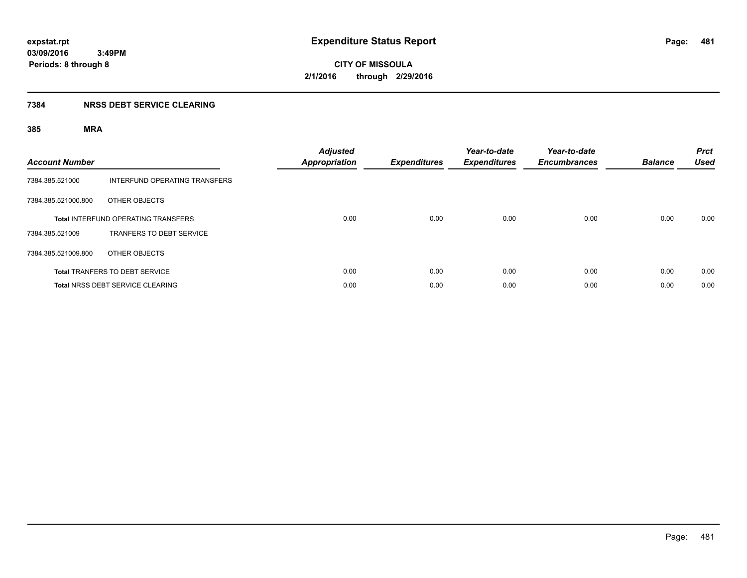### **7384 NRSS DEBT SERVICE CLEARING**

| <b>Account Number</b> |                                            | <b>Adjusted</b><br><b>Appropriation</b> | <b>Expenditures</b> | Year-to-date<br><b>Expenditures</b> | Year-to-date<br><b>Encumbrances</b> | <b>Balance</b> | <b>Prct</b><br><b>Used</b> |
|-----------------------|--------------------------------------------|-----------------------------------------|---------------------|-------------------------------------|-------------------------------------|----------------|----------------------------|
| 7384.385.521000       | INTERFUND OPERATING TRANSFERS              |                                         |                     |                                     |                                     |                |                            |
| 7384.385.521000.800   | OTHER OBJECTS                              |                                         |                     |                                     |                                     |                |                            |
|                       | <b>Total INTERFUND OPERATING TRANSFERS</b> | 0.00                                    | 0.00                | 0.00                                | 0.00                                | 0.00           | 0.00                       |
| 7384.385.521009       | TRANFERS TO DEBT SERVICE                   |                                         |                     |                                     |                                     |                |                            |
| 7384.385.521009.800   | OTHER OBJECTS                              |                                         |                     |                                     |                                     |                |                            |
|                       | <b>Total TRANFERS TO DEBT SERVICE</b>      | 0.00                                    | 0.00                | 0.00                                | 0.00                                | 0.00           | 0.00                       |
|                       | <b>Total NRSS DEBT SERVICE CLEARING</b>    | 0.00                                    | 0.00                | 0.00                                | 0.00                                | 0.00           | 0.00                       |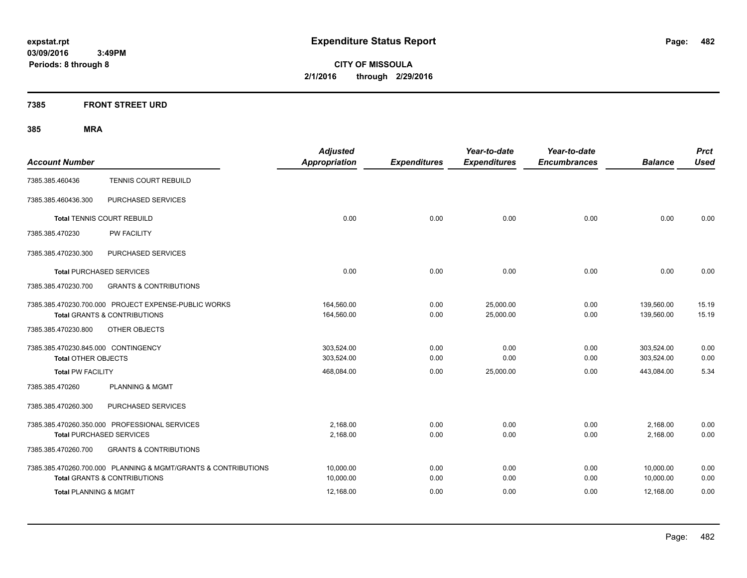**CITY OF MISSOULA 2/1/2016 through 2/29/2016**

### **7385 FRONT STREET URD**

| <b>Account Number</b>                                                                                     | <b>Adjusted</b><br><b>Appropriation</b> | <b>Expenditures</b> | Year-to-date<br><b>Expenditures</b> | Year-to-date<br><b>Encumbrances</b> | <b>Balance</b>           | <b>Prct</b><br><b>Used</b> |
|-----------------------------------------------------------------------------------------------------------|-----------------------------------------|---------------------|-------------------------------------|-------------------------------------|--------------------------|----------------------------|
| TENNIS COURT REBUILD<br>7385.385.460436                                                                   |                                         |                     |                                     |                                     |                          |                            |
| PURCHASED SERVICES<br>7385.385.460436.300                                                                 |                                         |                     |                                     |                                     |                          |                            |
| <b>Total TENNIS COURT REBUILD</b>                                                                         | 0.00                                    | 0.00                | 0.00                                | 0.00                                | 0.00                     | 0.00                       |
| 7385.385.470230<br><b>PW FACILITY</b>                                                                     |                                         |                     |                                     |                                     |                          |                            |
| PURCHASED SERVICES<br>7385.385.470230.300                                                                 |                                         |                     |                                     |                                     |                          |                            |
| <b>Total PURCHASED SERVICES</b>                                                                           | 0.00                                    | 0.00                | 0.00                                | 0.00                                | 0.00                     | 0.00                       |
| 7385.385.470230.700<br><b>GRANTS &amp; CONTRIBUTIONS</b>                                                  |                                         |                     |                                     |                                     |                          |                            |
| 7385.385.470230.700.000 PROJECT EXPENSE-PUBLIC WORKS<br><b>Total GRANTS &amp; CONTRIBUTIONS</b>           | 164,560.00<br>164,560.00                | 0.00<br>0.00        | 25,000.00<br>25,000.00              | 0.00<br>0.00                        | 139,560.00<br>139,560.00 | 15.19<br>15.19             |
| 7385.385.470230.800<br>OTHER OBJECTS                                                                      |                                         |                     |                                     |                                     |                          |                            |
| 7385.385.470230.845.000 CONTINGENCY<br><b>Total OTHER OBJECTS</b>                                         | 303,524.00<br>303,524.00                | 0.00<br>0.00        | 0.00<br>0.00                        | 0.00<br>0.00                        | 303,524.00<br>303,524.00 | 0.00<br>0.00               |
| <b>Total PW FACILITY</b>                                                                                  | 468,084.00                              | 0.00                | 25,000.00                           | 0.00                                | 443,084.00               | 5.34                       |
| 7385.385.470260<br><b>PLANNING &amp; MGMT</b>                                                             |                                         |                     |                                     |                                     |                          |                            |
| 7385.385.470260.300<br>PURCHASED SERVICES                                                                 |                                         |                     |                                     |                                     |                          |                            |
| 7385.385.470260.350.000 PROFESSIONAL SERVICES<br><b>Total PURCHASED SERVICES</b>                          | 2.168.00<br>2,168.00                    | 0.00<br>0.00        | 0.00<br>0.00                        | 0.00<br>0.00                        | 2,168.00<br>2,168.00     | 0.00<br>0.00               |
| <b>GRANTS &amp; CONTRIBUTIONS</b><br>7385.385.470260.700                                                  |                                         |                     |                                     |                                     |                          |                            |
| 7385.385.470260.700.000 PLANNING & MGMT/GRANTS & CONTRIBUTIONS<br><b>Total GRANTS &amp; CONTRIBUTIONS</b> | 10,000.00<br>10,000.00                  | 0.00<br>0.00        | 0.00<br>0.00                        | 0.00<br>0.00                        | 10,000.00<br>10,000.00   | 0.00<br>0.00               |
| <b>Total PLANNING &amp; MGMT</b>                                                                          | 12,168.00                               | 0.00                | 0.00                                | 0.00                                | 12,168.00                | 0.00                       |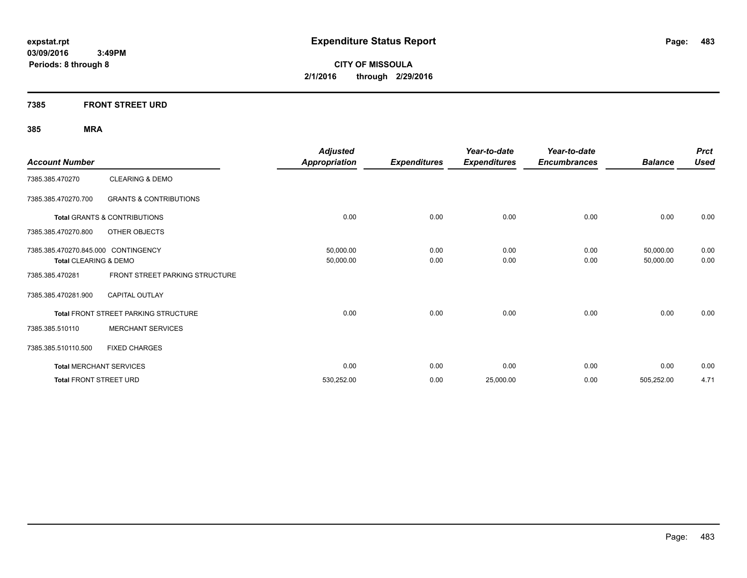**CITY OF MISSOULA 2/1/2016 through 2/29/2016**

### **7385 FRONT STREET URD**

| <b>Account Number</b>               |                                         | <b>Adjusted</b><br><b>Appropriation</b> | <b>Expenditures</b> | Year-to-date<br><b>Expenditures</b> | Year-to-date<br><b>Encumbrances</b> | <b>Balance</b> | <b>Prct</b><br><b>Used</b> |
|-------------------------------------|-----------------------------------------|-----------------------------------------|---------------------|-------------------------------------|-------------------------------------|----------------|----------------------------|
| 7385.385.470270                     | <b>CLEARING &amp; DEMO</b>              |                                         |                     |                                     |                                     |                |                            |
| 7385.385.470270.700                 | <b>GRANTS &amp; CONTRIBUTIONS</b>       |                                         |                     |                                     |                                     |                |                            |
|                                     | <b>Total GRANTS &amp; CONTRIBUTIONS</b> | 0.00                                    | 0.00                | 0.00                                | 0.00                                | 0.00           | 0.00                       |
| 7385.385.470270.800                 | OTHER OBJECTS                           |                                         |                     |                                     |                                     |                |                            |
| 7385.385.470270.845.000 CONTINGENCY |                                         | 50,000.00                               | 0.00                | 0.00                                | 0.00                                | 50,000.00      | 0.00                       |
| Total CLEARING & DEMO               |                                         | 50,000.00                               | 0.00                | 0.00                                | 0.00                                | 50,000.00      | 0.00                       |
| 7385.385.470281                     | FRONT STREET PARKING STRUCTURE          |                                         |                     |                                     |                                     |                |                            |
| 7385.385.470281.900                 | <b>CAPITAL OUTLAY</b>                   |                                         |                     |                                     |                                     |                |                            |
|                                     | Total FRONT STREET PARKING STRUCTURE    | 0.00                                    | 0.00                | 0.00                                | 0.00                                | 0.00           | 0.00                       |
| 7385.385.510110                     | <b>MERCHANT SERVICES</b>                |                                         |                     |                                     |                                     |                |                            |
| 7385.385.510110.500                 | <b>FIXED CHARGES</b>                    |                                         |                     |                                     |                                     |                |                            |
|                                     | <b>Total MERCHANT SERVICES</b>          | 0.00                                    | 0.00                | 0.00                                | 0.00                                | 0.00           | 0.00                       |
| <b>Total FRONT STREET URD</b>       |                                         | 530,252.00                              | 0.00                | 25,000.00                           | 0.00                                | 505,252.00     | 4.71                       |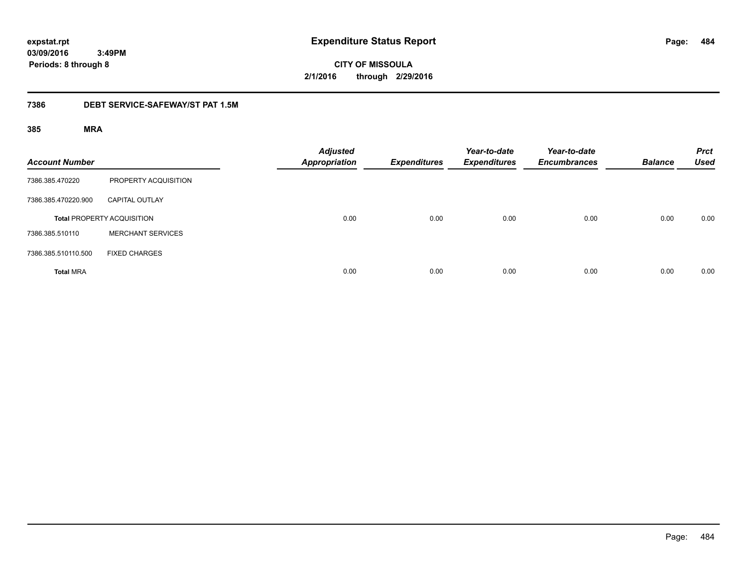**CITY OF MISSOULA 2/1/2016 through 2/29/2016**

### **7386 DEBT SERVICE-SAFEWAY/ST PAT 1.5M**

| <b>Account Number</b> |                                   | <b>Adjusted</b><br><b>Appropriation</b> | <b>Expenditures</b> | Year-to-date<br><b>Expenditures</b> | Year-to-date<br><b>Encumbrances</b> | <b>Balance</b> | <b>Prct</b><br><b>Used</b> |
|-----------------------|-----------------------------------|-----------------------------------------|---------------------|-------------------------------------|-------------------------------------|----------------|----------------------------|
| 7386.385.470220       | PROPERTY ACQUISITION              |                                         |                     |                                     |                                     |                |                            |
| 7386.385.470220.900   | <b>CAPITAL OUTLAY</b>             |                                         |                     |                                     |                                     |                |                            |
|                       | <b>Total PROPERTY ACQUISITION</b> | 0.00                                    | 0.00                | 0.00                                | 0.00                                | 0.00           | 0.00                       |
| 7386.385.510110       | <b>MERCHANT SERVICES</b>          |                                         |                     |                                     |                                     |                |                            |
| 7386.385.510110.500   | <b>FIXED CHARGES</b>              |                                         |                     |                                     |                                     |                |                            |
| <b>Total MRA</b>      |                                   | 0.00                                    | 0.00                | 0.00                                | 0.00                                | 0.00           | 0.00                       |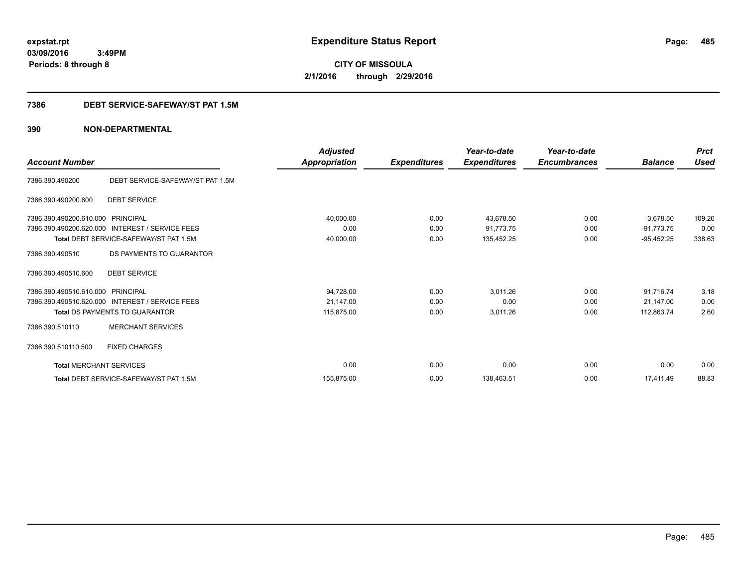**CITY OF MISSOULA 2/1/2016 through 2/29/2016**

### **7386 DEBT SERVICE-SAFEWAY/ST PAT 1.5M**

|                                |                                                 | <b>Adjusted</b>      |                     | Year-to-date        | Year-to-date        |                | <b>Prct</b> |
|--------------------------------|-------------------------------------------------|----------------------|---------------------|---------------------|---------------------|----------------|-------------|
| <b>Account Number</b>          |                                                 | <b>Appropriation</b> | <b>Expenditures</b> | <b>Expenditures</b> | <b>Encumbrances</b> | <b>Balance</b> | <b>Used</b> |
| 7386.390.490200                | DEBT SERVICE-SAFEWAY/ST PAT 1.5M                |                      |                     |                     |                     |                |             |
| 7386.390.490200.600            | <b>DEBT SERVICE</b>                             |                      |                     |                     |                     |                |             |
| 7386.390.490200.610.000        | PRINCIPAL                                       | 40,000.00            | 0.00                | 43,678.50           | 0.00                | $-3,678.50$    | 109.20      |
| 7386.390.490200.620.000        | <b>INTEREST / SERVICE FEES</b>                  | 0.00                 | 0.00                | 91,773.75           | 0.00                | $-91,773.75$   | 0.00        |
|                                | <b>Total DEBT SERVICE-SAFEWAY/ST PAT 1.5M</b>   | 40,000.00            | 0.00                | 135,452.25          | 0.00                | $-95,452.25$   | 338.63      |
| 7386.390.490510                | DS PAYMENTS TO GUARANTOR                        |                      |                     |                     |                     |                |             |
| 7386.390.490510.600            | <b>DEBT SERVICE</b>                             |                      |                     |                     |                     |                |             |
| 7386.390.490510.610.000        | PRINCIPAL                                       | 94,728.00            | 0.00                | 3,011.26            | 0.00                | 91,716.74      | 3.18        |
|                                | 7386.390.490510.620.000 INTEREST / SERVICE FEES | 21,147.00            | 0.00                | 0.00                | 0.00                | 21,147.00      | 0.00        |
|                                | <b>Total DS PAYMENTS TO GUARANTOR</b>           | 115,875.00           | 0.00                | 3,011.26            | 0.00                | 112,863.74     | 2.60        |
| 7386.390.510110                | <b>MERCHANT SERVICES</b>                        |                      |                     |                     |                     |                |             |
| 7386.390.510110.500            | <b>FIXED CHARGES</b>                            |                      |                     |                     |                     |                |             |
| <b>Total MERCHANT SERVICES</b> |                                                 | 0.00                 | 0.00                | 0.00                | 0.00                | 0.00           | 0.00        |
|                                | Total DEBT SERVICE-SAFEWAY/ST PAT 1.5M          | 155,875.00           | 0.00                | 138,463.51          | 0.00                | 17.411.49      | 88.83       |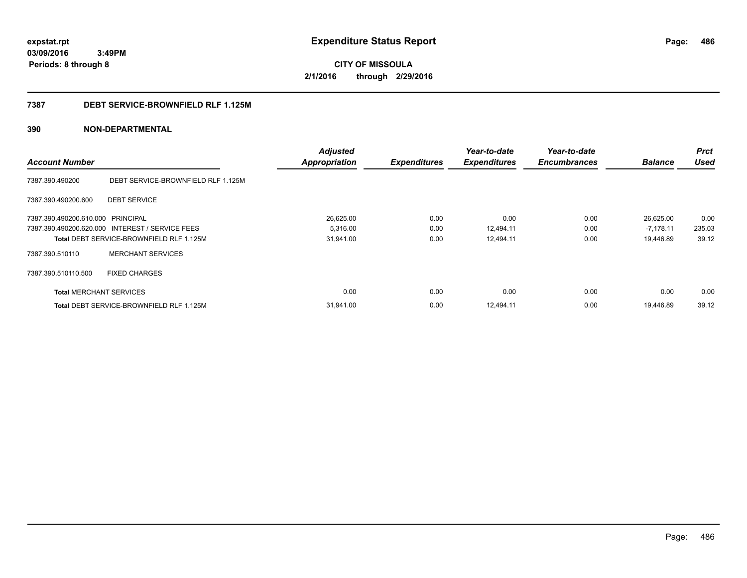**CITY OF MISSOULA 2/1/2016 through 2/29/2016**

### **7387 DEBT SERVICE-BROWNFIELD RLF 1.125M**

|                                   |                                                 | <b>Adjusted</b>      |                     | Year-to-date        | Year-to-date        |                | <b>Prct</b> |
|-----------------------------------|-------------------------------------------------|----------------------|---------------------|---------------------|---------------------|----------------|-------------|
| <b>Account Number</b>             |                                                 | <b>Appropriation</b> | <b>Expenditures</b> | <b>Expenditures</b> | <b>Encumbrances</b> | <b>Balance</b> | <b>Used</b> |
| 7387.390.490200                   | DEBT SERVICE-BROWNFIELD RLF 1.125M              |                      |                     |                     |                     |                |             |
| 7387.390.490200.600               | <b>DEBT SERVICE</b>                             |                      |                     |                     |                     |                |             |
| 7387.390.490200.610.000 PRINCIPAL |                                                 | 26,625.00            | 0.00                | 0.00                | 0.00                | 26,625.00      | 0.00        |
|                                   | 7387.390.490200.620.000 INTEREST / SERVICE FEES | 5,316.00             | 0.00                | 12,494.11           | 0.00                | $-7,178.11$    | 235.03      |
|                                   | <b>Total DEBT SERVICE-BROWNFIELD RLF 1.125M</b> | 31,941.00            | 0.00                | 12,494.11           | 0.00                | 19,446.89      | 39.12       |
| 7387.390.510110                   | <b>MERCHANT SERVICES</b>                        |                      |                     |                     |                     |                |             |
| 7387.390.510110.500               | <b>FIXED CHARGES</b>                            |                      |                     |                     |                     |                |             |
| <b>Total MERCHANT SERVICES</b>    |                                                 | 0.00                 | 0.00                | 0.00                | 0.00                | 0.00           | 0.00        |
|                                   | <b>Total DEBT SERVICE-BROWNFIELD RLF 1.125M</b> | 31,941.00            | 0.00                | 12,494.11           | 0.00                | 19,446.89      | 39.12       |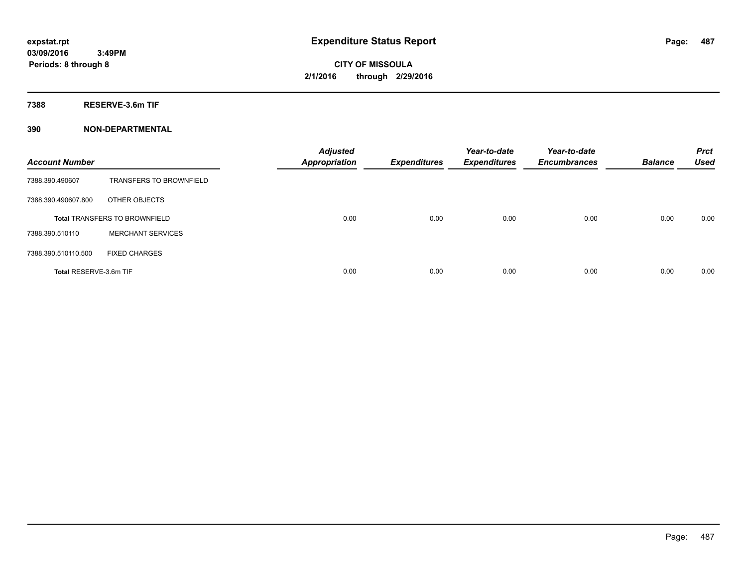**7388 RESERVE-3.6m TIF**

| <b>Account Number</b>  |                                      | <b>Adjusted</b><br><b>Appropriation</b> | <b>Expenditures</b> | Year-to-date<br><b>Expenditures</b> | Year-to-date<br><b>Encumbrances</b> | <b>Balance</b> | <b>Prct</b><br><b>Used</b> |
|------------------------|--------------------------------------|-----------------------------------------|---------------------|-------------------------------------|-------------------------------------|----------------|----------------------------|
| 7388.390.490607        | <b>TRANSFERS TO BROWNFIELD</b>       |                                         |                     |                                     |                                     |                |                            |
| 7388.390.490607.800    | OTHER OBJECTS                        |                                         |                     |                                     |                                     |                |                            |
|                        | <b>Total TRANSFERS TO BROWNFIELD</b> | 0.00                                    | 0.00                | 0.00                                | 0.00                                | 0.00           | 0.00                       |
| 7388.390.510110        | <b>MERCHANT SERVICES</b>             |                                         |                     |                                     |                                     |                |                            |
| 7388.390.510110.500    | <b>FIXED CHARGES</b>                 |                                         |                     |                                     |                                     |                |                            |
| Total RESERVE-3.6m TIF |                                      | 0.00                                    | 0.00                | 0.00                                | 0.00                                | 0.00           | 0.00                       |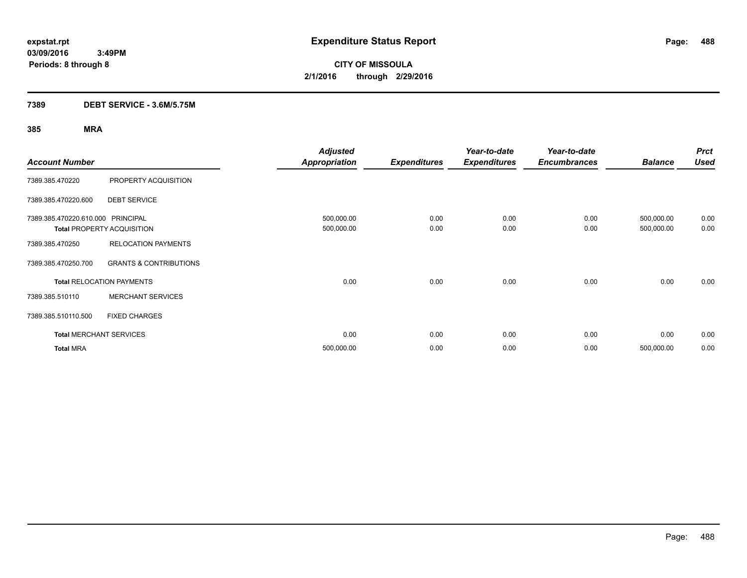**CITY OF MISSOULA 2/1/2016 through 2/29/2016**

### **7389 DEBT SERVICE - 3.6M/5.75M**

|                                   |                                   | <b>Adjusted</b>      |                     | Year-to-date        | Year-to-date        |                | <b>Prct</b> |
|-----------------------------------|-----------------------------------|----------------------|---------------------|---------------------|---------------------|----------------|-------------|
| <b>Account Number</b>             |                                   | <b>Appropriation</b> | <b>Expenditures</b> | <b>Expenditures</b> | <b>Encumbrances</b> | <b>Balance</b> | <b>Used</b> |
| 7389.385.470220                   | PROPERTY ACQUISITION              |                      |                     |                     |                     |                |             |
| 7389.385.470220.600               | <b>DEBT SERVICE</b>               |                      |                     |                     |                     |                |             |
| 7389.385.470220.610.000 PRINCIPAL |                                   | 500,000.00           | 0.00                | 0.00                | 0.00                | 500,000.00     | 0.00        |
|                                   | <b>Total PROPERTY ACQUISITION</b> | 500,000.00           | 0.00                | 0.00                | 0.00                | 500,000.00     | 0.00        |
| 7389.385.470250                   | <b>RELOCATION PAYMENTS</b>        |                      |                     |                     |                     |                |             |
| 7389.385.470250.700               | <b>GRANTS &amp; CONTRIBUTIONS</b> |                      |                     |                     |                     |                |             |
|                                   | <b>Total RELOCATION PAYMENTS</b>  | 0.00                 | 0.00                | 0.00                | 0.00                | 0.00           | 0.00        |
| 7389.385.510110                   | <b>MERCHANT SERVICES</b>          |                      |                     |                     |                     |                |             |
| 7389.385.510110.500               | <b>FIXED CHARGES</b>              |                      |                     |                     |                     |                |             |
| <b>Total MERCHANT SERVICES</b>    |                                   | 0.00                 | 0.00                | 0.00                | 0.00                | 0.00           | 0.00        |
| <b>Total MRA</b>                  |                                   | 500,000.00           | 0.00                | 0.00                | 0.00                | 500,000.00     | 0.00        |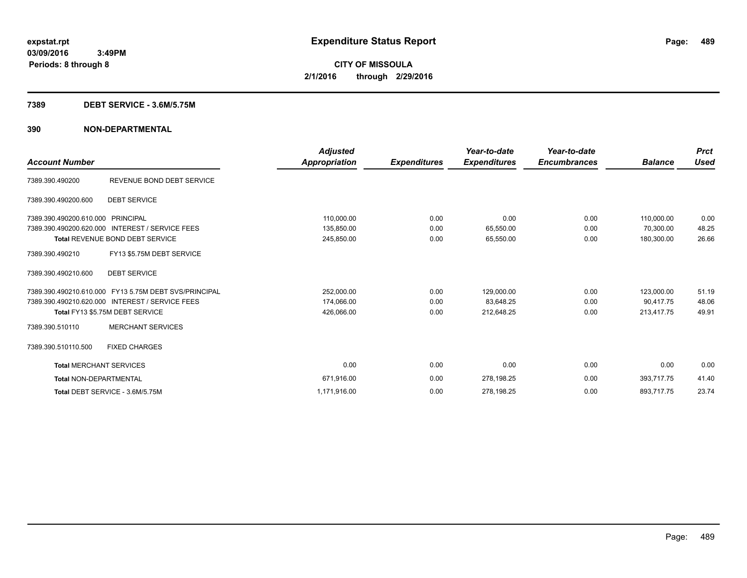### **7389 DEBT SERVICE - 3.6M/5.75M**

|                                   |                                                       | <b>Adjusted</b> |                     | Year-to-date        | Year-to-date        |                | <b>Prct</b> |
|-----------------------------------|-------------------------------------------------------|-----------------|---------------------|---------------------|---------------------|----------------|-------------|
| <b>Account Number</b>             |                                                       | Appropriation   | <b>Expenditures</b> | <b>Expenditures</b> | <b>Encumbrances</b> | <b>Balance</b> | <b>Used</b> |
| 7389.390.490200                   | REVENUE BOND DEBT SERVICE                             |                 |                     |                     |                     |                |             |
| 7389.390.490200.600               | <b>DEBT SERVICE</b>                                   |                 |                     |                     |                     |                |             |
| 7389.390.490200.610.000 PRINCIPAL |                                                       | 110,000.00      | 0.00                | 0.00                | 0.00                | 110,000.00     | 0.00        |
| 7389.390.490200.620.000           | <b>INTEREST / SERVICE FEES</b>                        | 135,850.00      | 0.00                | 65,550.00           | 0.00                | 70.300.00      | 48.25       |
|                                   | <b>Total REVENUE BOND DEBT SERVICE</b>                | 245,850.00      | 0.00                | 65,550.00           | 0.00                | 180.300.00     | 26.66       |
| 7389.390.490210                   | FY13 \$5.75M DEBT SERVICE                             |                 |                     |                     |                     |                |             |
| 7389.390.490210.600               | <b>DEBT SERVICE</b>                                   |                 |                     |                     |                     |                |             |
|                                   | 7389.390.490210.610.000 FY13 5.75M DEBT SVS/PRINCIPAL | 252,000.00      | 0.00                | 129,000.00          | 0.00                | 123,000.00     | 51.19       |
|                                   | 7389.390.490210.620.000 INTEREST / SERVICE FEES       | 174,066.00      | 0.00                | 83,648.25           | 0.00                | 90.417.75      | 48.06       |
|                                   | Total FY13 \$5.75M DEBT SERVICE                       | 426,066.00      | 0.00                | 212,648.25          | 0.00                | 213,417.75     | 49.91       |
| 7389.390.510110                   | <b>MERCHANT SERVICES</b>                              |                 |                     |                     |                     |                |             |
| 7389.390.510110.500               | <b>FIXED CHARGES</b>                                  |                 |                     |                     |                     |                |             |
| <b>Total MERCHANT SERVICES</b>    |                                                       | 0.00            | 0.00                | 0.00                | 0.00                | 0.00           | 0.00        |
| <b>Total NON-DEPARTMENTAL</b>     |                                                       | 671,916.00      | 0.00                | 278,198.25          | 0.00                | 393,717.75     | 41.40       |
|                                   | Total DEBT SERVICE - 3.6M/5.75M                       | 1,171,916.00    | 0.00                | 278,198.25          | 0.00                | 893,717.75     | 23.74       |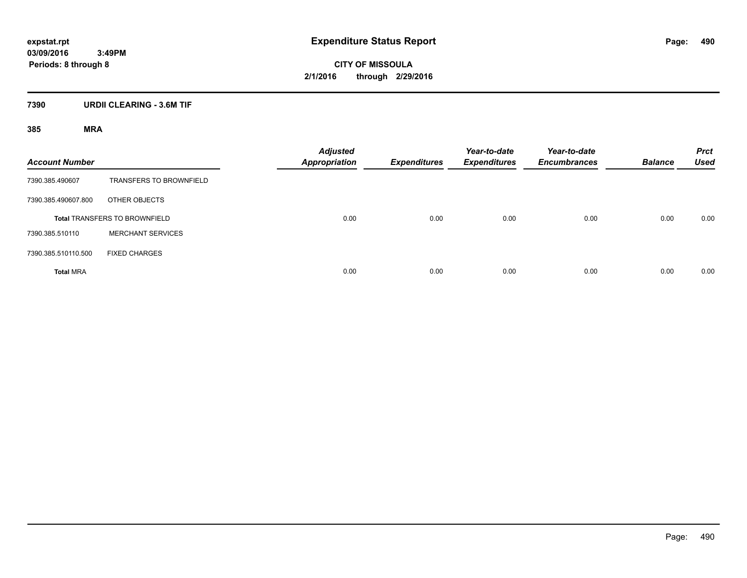**CITY OF MISSOULA 2/1/2016 through 2/29/2016**

### **7390 URDII CLEARING - 3.6M TIF**

| <b>Account Number</b> |                                      | <b>Adjusted</b><br><b>Appropriation</b> | <b>Expenditures</b> | Year-to-date<br><b>Expenditures</b> | Year-to-date<br><b>Encumbrances</b> | <b>Balance</b> | <b>Prct</b><br><b>Used</b> |
|-----------------------|--------------------------------------|-----------------------------------------|---------------------|-------------------------------------|-------------------------------------|----------------|----------------------------|
| 7390.385.490607       | <b>TRANSFERS TO BROWNFIELD</b>       |                                         |                     |                                     |                                     |                |                            |
| 7390.385.490607.800   | OTHER OBJECTS                        |                                         |                     |                                     |                                     |                |                            |
|                       | <b>Total TRANSFERS TO BROWNFIELD</b> | 0.00                                    | 0.00                | 0.00                                | 0.00                                | 0.00           | 0.00                       |
| 7390.385.510110       | <b>MERCHANT SERVICES</b>             |                                         |                     |                                     |                                     |                |                            |
| 7390.385.510110.500   | <b>FIXED CHARGES</b>                 |                                         |                     |                                     |                                     |                |                            |
| <b>Total MRA</b>      |                                      | 0.00                                    | 0.00                | 0.00                                | 0.00                                | 0.00           | 0.00                       |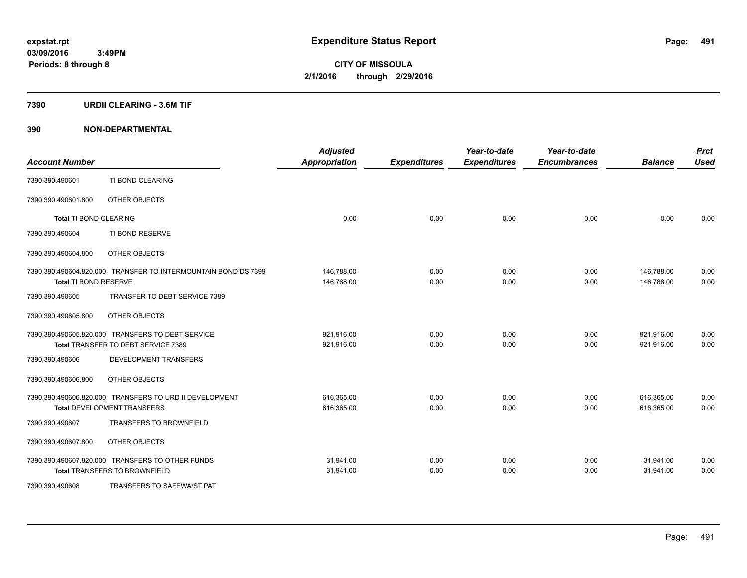### **7390 URDII CLEARING - 3.6M TIF**

| <b>Account Number</b>  |                                                                                               | <b>Adjusted</b><br><b>Appropriation</b> | <b>Expenditures</b> | Year-to-date<br><b>Expenditures</b> | Year-to-date<br><b>Encumbrances</b> | <b>Balance</b>           | <b>Prct</b><br><b>Used</b> |
|------------------------|-----------------------------------------------------------------------------------------------|-----------------------------------------|---------------------|-------------------------------------|-------------------------------------|--------------------------|----------------------------|
| 7390.390.490601        | TI BOND CLEARING                                                                              |                                         |                     |                                     |                                     |                          |                            |
| 7390.390.490601.800    | OTHER OBJECTS                                                                                 |                                         |                     |                                     |                                     |                          |                            |
| Total TI BOND CLEARING |                                                                                               | 0.00                                    | 0.00                | 0.00                                | 0.00                                | 0.00                     | 0.00                       |
| 7390.390.490604        | TI BOND RESERVE                                                                               |                                         |                     |                                     |                                     |                          |                            |
| 7390.390.490604.800    | OTHER OBJECTS                                                                                 |                                         |                     |                                     |                                     |                          |                            |
|                        | 7390.390.490604.820.000 TRANSFER TO INTERMOUNTAIN BOND DS 7399                                | 146,788.00                              | 0.00                | 0.00                                | 0.00                                | 146,788.00               | 0.00                       |
| Total TI BOND RESERVE  |                                                                                               | 146,788.00                              | 0.00                | 0.00                                | 0.00                                | 146.788.00               | 0.00                       |
| 7390.390.490605        | TRANSFER TO DEBT SERVICE 7389                                                                 |                                         |                     |                                     |                                     |                          |                            |
| 7390.390.490605.800    | OTHER OBJECTS                                                                                 |                                         |                     |                                     |                                     |                          |                            |
|                        | 7390.390.490605.820.000 TRANSFERS TO DEBT SERVICE<br>Total TRANSFER TO DEBT SERVICE 7389      | 921,916.00<br>921,916.00                | 0.00<br>0.00        | 0.00<br>0.00                        | 0.00<br>0.00                        | 921,916.00<br>921,916.00 | 0.00<br>0.00               |
| 7390.390.490606        | <b>DEVELOPMENT TRANSFERS</b>                                                                  |                                         |                     |                                     |                                     |                          |                            |
|                        |                                                                                               |                                         |                     |                                     |                                     |                          |                            |
| 7390.390.490606.800    | OTHER OBJECTS                                                                                 |                                         |                     |                                     |                                     |                          |                            |
|                        | 7390.390.490606.820.000 TRANSFERS TO URD II DEVELOPMENT<br><b>Total DEVELOPMENT TRANSFERS</b> | 616,365.00<br>616,365.00                | 0.00<br>0.00        | 0.00<br>0.00                        | 0.00<br>0.00                        | 616,365.00<br>616,365.00 | 0.00<br>0.00               |
| 7390.390.490607        | <b>TRANSFERS TO BROWNFIELD</b>                                                                |                                         |                     |                                     |                                     |                          |                            |
| 7390.390.490607.800    | OTHER OBJECTS                                                                                 |                                         |                     |                                     |                                     |                          |                            |
|                        | 7390.390.490607.820.000 TRANSFERS TO OTHER FUNDS<br><b>Total TRANSFERS TO BROWNFIELD</b>      | 31,941.00<br>31,941.00                  | 0.00<br>0.00        | 0.00<br>0.00                        | 0.00<br>0.00                        | 31,941.00<br>31,941.00   | 0.00<br>0.00               |
| 7390.390.490608        | TRANSFERS TO SAFEWA/ST PAT                                                                    |                                         |                     |                                     |                                     |                          |                            |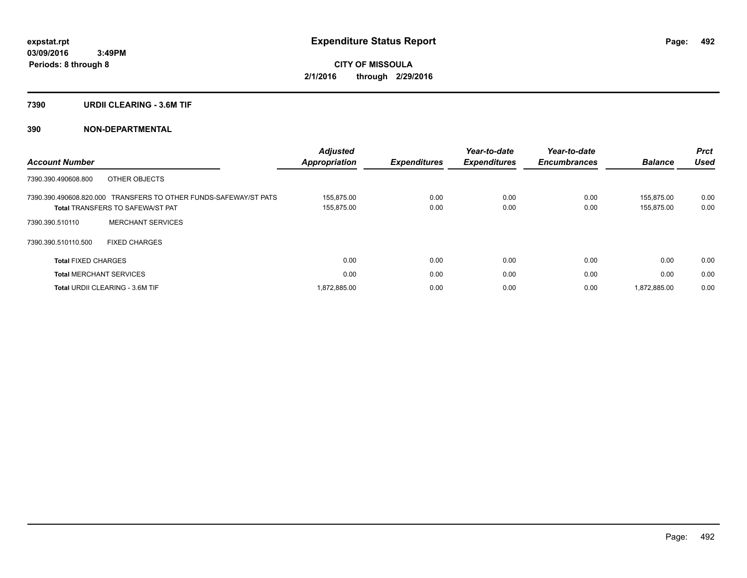### **7390 URDII CLEARING - 3.6M TIF**

|                                                                  | <b>Adjusted</b>      |                     | Year-to-date        | Year-to-date        |                | <b>Prct</b> |
|------------------------------------------------------------------|----------------------|---------------------|---------------------|---------------------|----------------|-------------|
| <b>Account Number</b>                                            | <b>Appropriation</b> | <b>Expenditures</b> | <b>Expenditures</b> | <b>Encumbrances</b> | <b>Balance</b> | <b>Used</b> |
| OTHER OBJECTS<br>7390.390.490608.800                             |                      |                     |                     |                     |                |             |
| 7390.390.490608.820.000 TRANSFERS TO OTHER FUNDS-SAFEWAY/ST PATS | 155.875.00           | 0.00                | 0.00                | 0.00                | 155.875.00     | 0.00        |
| <b>Total TRANSFERS TO SAFEWA/ST PAT</b>                          | 155,875.00           | 0.00                | 0.00                | 0.00                | 155.875.00     | 0.00        |
| <b>MERCHANT SERVICES</b><br>7390.390.510110                      |                      |                     |                     |                     |                |             |
| 7390.390.510110.500<br><b>FIXED CHARGES</b>                      |                      |                     |                     |                     |                |             |
| <b>Total FIXED CHARGES</b>                                       | 0.00                 | 0.00                | 0.00                | 0.00                | 0.00           | 0.00        |
| <b>Total MERCHANT SERVICES</b>                                   | 0.00                 | 0.00                | 0.00                | 0.00                | 0.00           | 0.00        |
| <b>Total URDII CLEARING - 3.6M TIF</b>                           | 1,872,885.00         | 0.00                | 0.00                | 0.00                | 1,872,885.00   | 0.00        |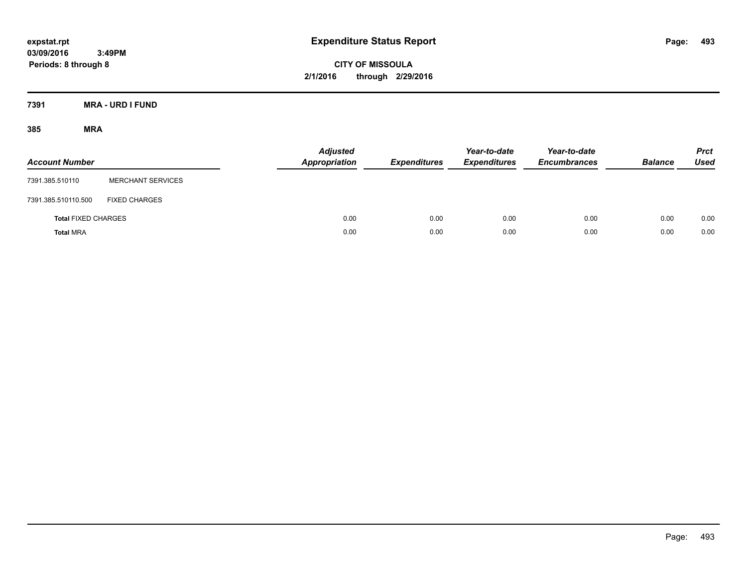**CITY OF MISSOULA 2/1/2016 through 2/29/2016**

**7391 MRA - URD I FUND**

| <b>Account Number</b>      |                          | <b>Adjusted</b><br><b>Appropriation</b> | <b>Expenditures</b> | Year-to-date<br><b>Expenditures</b> | Year-to-date<br><b>Encumbrances</b> | <b>Balance</b> | <b>Prct</b><br>Used |
|----------------------------|--------------------------|-----------------------------------------|---------------------|-------------------------------------|-------------------------------------|----------------|---------------------|
| 7391.385.510110            | <b>MERCHANT SERVICES</b> |                                         |                     |                                     |                                     |                |                     |
| 7391.385.510110.500        | <b>FIXED CHARGES</b>     |                                         |                     |                                     |                                     |                |                     |
| <b>Total FIXED CHARGES</b> |                          | 0.00                                    | 0.00                | 0.00                                | 0.00                                | 0.00           | 0.00                |
| <b>Total MRA</b>           |                          | 0.00                                    | 0.00                | 0.00                                | 0.00                                | 0.00           | 0.00                |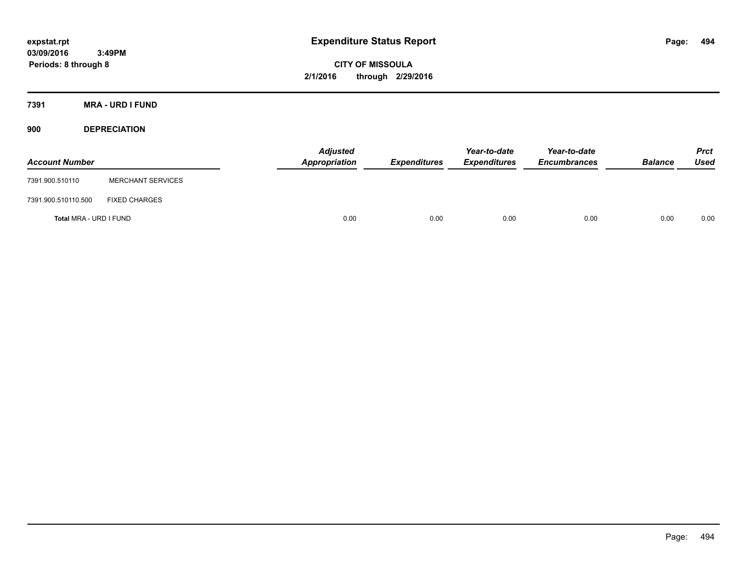**CITY OF MISSOULA 2/1/2016 through 2/29/2016**

**7391 MRA - URD I FUND**

**900 DEPRECIATION**

| <b>Account Number</b>  |                          | <b>Adjusted</b><br><b>Appropriation</b> | <b>Expenditures</b> | Year-to-date<br><b>Expenditures</b> | Year-to-date<br><b>Encumbrances</b> | <b>Balance</b> | <b>Prct</b><br>Used |
|------------------------|--------------------------|-----------------------------------------|---------------------|-------------------------------------|-------------------------------------|----------------|---------------------|
| 7391.900.510110        | <b>MERCHANT SERVICES</b> |                                         |                     |                                     |                                     |                |                     |
| 7391.900.510110.500    | <b>FIXED CHARGES</b>     |                                         |                     |                                     |                                     |                |                     |
| Total MRA - URD I FUND |                          | 0.00                                    | 0.00                | 0.00                                | 0.00                                | 0.00           | 0.00                |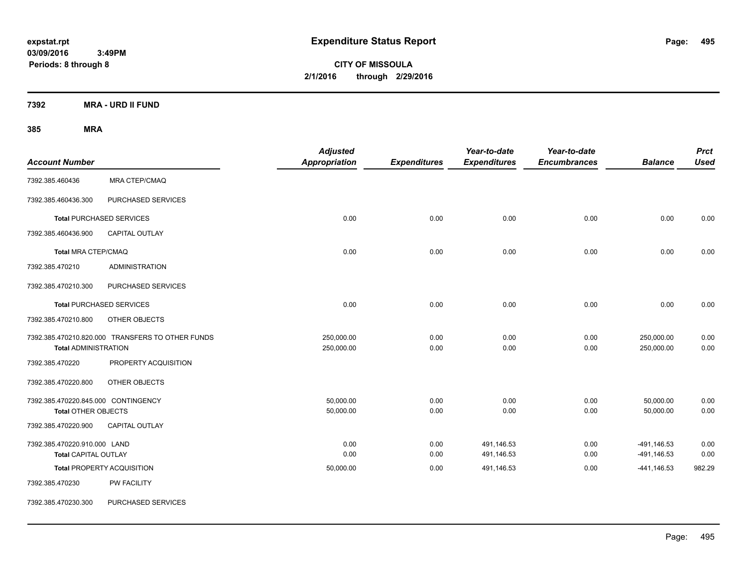**CITY OF MISSOULA 2/1/2016 through 2/29/2016**

**7392 MRA - URD II FUND**

| <b>Account Number</b>                                       |                                                  | <b>Adjusted</b><br>Appropriation | <b>Expenditures</b> | Year-to-date<br><b>Expenditures</b> | Year-to-date<br><b>Encumbrances</b> | <b>Balance</b>             | <b>Prct</b><br><b>Used</b> |
|-------------------------------------------------------------|--------------------------------------------------|----------------------------------|---------------------|-------------------------------------|-------------------------------------|----------------------------|----------------------------|
| 7392.385.460436                                             | <b>MRA CTEP/CMAQ</b>                             |                                  |                     |                                     |                                     |                            |                            |
| 7392.385.460436.300                                         | PURCHASED SERVICES                               |                                  |                     |                                     |                                     |                            |                            |
|                                                             | <b>Total PURCHASED SERVICES</b>                  | 0.00                             | 0.00                | 0.00                                | 0.00                                | 0.00                       | 0.00                       |
| 7392.385.460436.900                                         | <b>CAPITAL OUTLAY</b>                            |                                  |                     |                                     |                                     |                            |                            |
| <b>Total MRA CTEP/CMAQ</b>                                  |                                                  | 0.00                             | 0.00                | 0.00                                | 0.00                                | 0.00                       | 0.00                       |
| 7392.385.470210                                             | <b>ADMINISTRATION</b>                            |                                  |                     |                                     |                                     |                            |                            |
| 7392.385.470210.300                                         | PURCHASED SERVICES                               |                                  |                     |                                     |                                     |                            |                            |
|                                                             | <b>Total PURCHASED SERVICES</b>                  | 0.00                             | 0.00                | 0.00                                | 0.00                                | 0.00                       | 0.00                       |
| 7392.385.470210.800                                         | OTHER OBJECTS                                    |                                  |                     |                                     |                                     |                            |                            |
| <b>Total ADMINISTRATION</b>                                 | 7392.385.470210.820.000 TRANSFERS TO OTHER FUNDS | 250,000.00<br>250,000.00         | 0.00<br>0.00        | 0.00<br>0.00                        | 0.00<br>0.00                        | 250,000.00<br>250,000.00   | 0.00<br>0.00               |
| 7392.385.470220                                             | PROPERTY ACQUISITION                             |                                  |                     |                                     |                                     |                            |                            |
| 7392.385.470220.800                                         | OTHER OBJECTS                                    |                                  |                     |                                     |                                     |                            |                            |
| 7392.385.470220.845.000 CONTINGENCY<br>Total OTHER OBJECTS  |                                                  | 50,000.00<br>50,000.00           | 0.00<br>0.00        | 0.00<br>0.00                        | 0.00<br>0.00                        | 50,000.00<br>50,000.00     | 0.00<br>0.00               |
| 7392.385.470220.900                                         | <b>CAPITAL OUTLAY</b>                            |                                  |                     |                                     |                                     |                            |                            |
| 7392.385.470220.910.000 LAND<br><b>Total CAPITAL OUTLAY</b> |                                                  | 0.00<br>0.00                     | 0.00<br>0.00        | 491,146.53<br>491,146.53            | 0.00<br>0.00                        | -491,146.53<br>-491,146.53 | 0.00<br>0.00               |
|                                                             | <b>Total PROPERTY ACQUISITION</b>                | 50,000.00                        | 0.00                | 491,146.53                          | 0.00                                | $-441,146.53$              | 982.29                     |
| 7392.385.470230                                             | PW FACILITY                                      |                                  |                     |                                     |                                     |                            |                            |
| 7392.385.470230.300                                         | PURCHASED SERVICES                               |                                  |                     |                                     |                                     |                            |                            |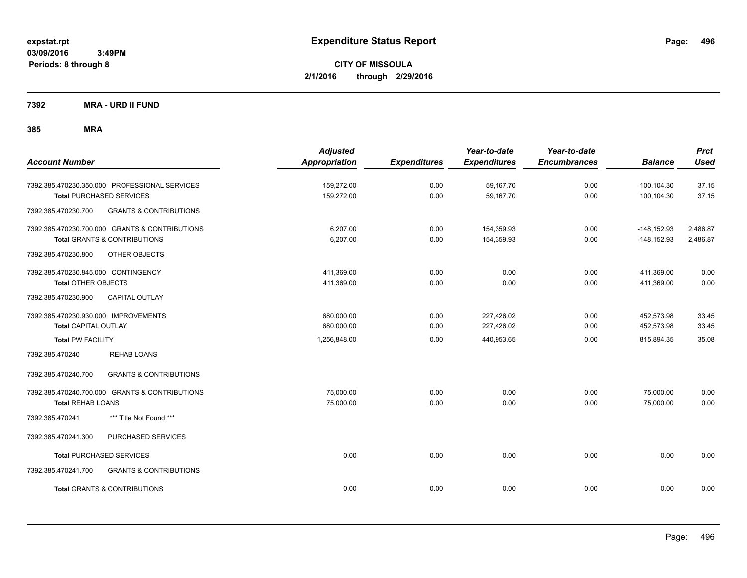**CITY OF MISSOULA 2/1/2016 through 2/29/2016**

**7392 MRA - URD II FUND**

| <b>Account Number</b>                                                                                      | <b>Adjusted</b><br><b>Appropriation</b> | <b>Expenditures</b> | Year-to-date<br><b>Expenditures</b> | Year-to-date<br><b>Encumbrances</b> | <b>Balance</b>                 | <b>Prct</b><br><b>Used</b> |
|------------------------------------------------------------------------------------------------------------|-----------------------------------------|---------------------|-------------------------------------|-------------------------------------|--------------------------------|----------------------------|
| 7392.385.470230.350.000 PROFESSIONAL SERVICES<br><b>Total PURCHASED SERVICES</b>                           | 159,272.00<br>159,272.00                | 0.00<br>0.00        | 59,167.70<br>59,167.70              | 0.00<br>0.00                        | 100,104.30<br>100,104.30       | 37.15<br>37.15             |
| <b>GRANTS &amp; CONTRIBUTIONS</b><br>7392.385.470230.700                                                   |                                         |                     |                                     |                                     |                                |                            |
| 7392.385.470230.700.000 GRANTS & CONTRIBUTIONS<br><b>Total GRANTS &amp; CONTRIBUTIONS</b>                  | 6,207.00<br>6,207.00                    | 0.00<br>0.00        | 154,359.93<br>154,359.93            | 0.00<br>0.00                        | $-148,152.93$<br>$-148,152.93$ | 2,486.87<br>2,486.87       |
| 7392.385.470230.800<br>OTHER OBJECTS                                                                       |                                         |                     |                                     |                                     |                                |                            |
| 7392.385.470230.845.000 CONTINGENCY<br><b>Total OTHER OBJECTS</b><br>CAPITAL OUTLAY<br>7392.385.470230.900 | 411,369.00<br>411,369.00                | 0.00<br>0.00        | 0.00<br>0.00                        | 0.00<br>0.00                        | 411,369.00<br>411,369.00       | 0.00<br>0.00               |
| 7392.385.470230.930.000 IMPROVEMENTS<br><b>Total CAPITAL OUTLAY</b>                                        | 680,000.00<br>680,000.00                | 0.00<br>0.00        | 227,426.02<br>227,426.02            | 0.00<br>0.00                        | 452,573.98<br>452,573.98       | 33.45<br>33.45             |
| <b>Total PW FACILITY</b>                                                                                   | 1,256,848.00                            | 0.00                | 440,953.65                          | 0.00                                | 815,894.35                     | 35.08                      |
| 7392.385.470240<br><b>REHAB LOANS</b>                                                                      |                                         |                     |                                     |                                     |                                |                            |
| 7392.385.470240.700<br><b>GRANTS &amp; CONTRIBUTIONS</b>                                                   |                                         |                     |                                     |                                     |                                |                            |
| 7392.385.470240.700.000 GRANTS & CONTRIBUTIONS<br><b>Total REHAB LOANS</b>                                 | 75,000.00<br>75,000.00                  | 0.00<br>0.00        | 0.00<br>0.00                        | 0.00<br>0.00                        | 75,000.00<br>75,000.00         | 0.00<br>0.00               |
| *** Title Not Found ***<br>7392.385.470241                                                                 |                                         |                     |                                     |                                     |                                |                            |
| 7392.385.470241.300<br>PURCHASED SERVICES                                                                  |                                         |                     |                                     |                                     |                                |                            |
| <b>Total PURCHASED SERVICES</b>                                                                            | 0.00                                    | 0.00                | 0.00                                | 0.00                                | 0.00                           | 0.00                       |
| 7392.385.470241.700<br><b>GRANTS &amp; CONTRIBUTIONS</b>                                                   |                                         |                     |                                     |                                     |                                |                            |
| <b>Total GRANTS &amp; CONTRIBUTIONS</b>                                                                    | 0.00                                    | 0.00                | 0.00                                | 0.00                                | 0.00                           | 0.00                       |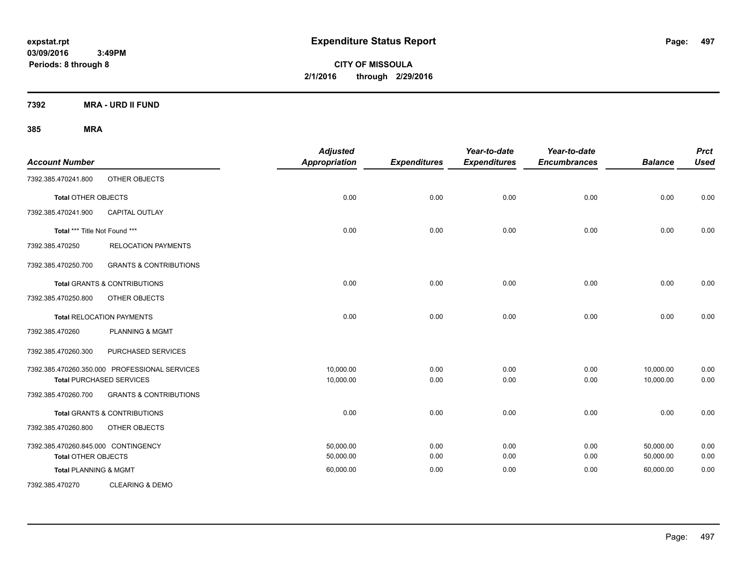**CITY OF MISSOULA 2/1/2016 through 2/29/2016**

**7392 MRA - URD II FUND**

| <b>Account Number</b>               |                                               | <b>Adjusted</b><br><b>Appropriation</b> | <b>Expenditures</b> | Year-to-date<br><b>Expenditures</b> | Year-to-date<br><b>Encumbrances</b> | <b>Balance</b> | <b>Prct</b><br><b>Used</b> |
|-------------------------------------|-----------------------------------------------|-----------------------------------------|---------------------|-------------------------------------|-------------------------------------|----------------|----------------------------|
| 7392.385.470241.800                 | OTHER OBJECTS                                 |                                         |                     |                                     |                                     |                |                            |
| <b>Total OTHER OBJECTS</b>          |                                               | 0.00                                    | 0.00                | 0.00                                | 0.00                                | 0.00           | 0.00                       |
| 7392.385.470241.900                 | <b>CAPITAL OUTLAY</b>                         |                                         |                     |                                     |                                     |                |                            |
| Total *** Title Not Found ***       |                                               | 0.00                                    | 0.00                | 0.00                                | 0.00                                | 0.00           | 0.00                       |
| 7392.385.470250                     | <b>RELOCATION PAYMENTS</b>                    |                                         |                     |                                     |                                     |                |                            |
| 7392.385.470250.700                 | <b>GRANTS &amp; CONTRIBUTIONS</b>             |                                         |                     |                                     |                                     |                |                            |
|                                     | <b>Total GRANTS &amp; CONTRIBUTIONS</b>       | 0.00                                    | 0.00                | 0.00                                | 0.00                                | 0.00           | 0.00                       |
| 7392.385.470250.800                 | OTHER OBJECTS                                 |                                         |                     |                                     |                                     |                |                            |
|                                     | <b>Total RELOCATION PAYMENTS</b>              | 0.00                                    | 0.00                | 0.00                                | 0.00                                | 0.00           | 0.00                       |
| 7392.385.470260                     | <b>PLANNING &amp; MGMT</b>                    |                                         |                     |                                     |                                     |                |                            |
| 7392.385.470260.300                 | PURCHASED SERVICES                            |                                         |                     |                                     |                                     |                |                            |
|                                     | 7392.385.470260.350.000 PROFESSIONAL SERVICES | 10,000.00                               | 0.00                | 0.00                                | 0.00                                | 10,000.00      | 0.00                       |
|                                     | <b>Total PURCHASED SERVICES</b>               | 10,000.00                               | 0.00                | 0.00                                | 0.00                                | 10,000.00      | 0.00                       |
| 7392.385.470260.700                 | <b>GRANTS &amp; CONTRIBUTIONS</b>             |                                         |                     |                                     |                                     |                |                            |
|                                     | <b>Total GRANTS &amp; CONTRIBUTIONS</b>       | 0.00                                    | 0.00                | 0.00                                | 0.00                                | 0.00           | 0.00                       |
| 7392.385.470260.800                 | OTHER OBJECTS                                 |                                         |                     |                                     |                                     |                |                            |
| 7392.385.470260.845.000 CONTINGENCY |                                               | 50,000.00                               | 0.00                | 0.00                                | 0.00                                | 50,000.00      | 0.00                       |
| <b>Total OTHER OBJECTS</b>          |                                               | 50,000.00                               | 0.00                | 0.00                                | 0.00                                | 50,000.00      | 0.00                       |
| <b>Total PLANNING &amp; MGMT</b>    |                                               | 60,000.00                               | 0.00                | 0.00                                | 0.00                                | 60,000.00      | 0.00                       |
| 7392.385.470270                     | <b>CLEARING &amp; DEMO</b>                    |                                         |                     |                                     |                                     |                |                            |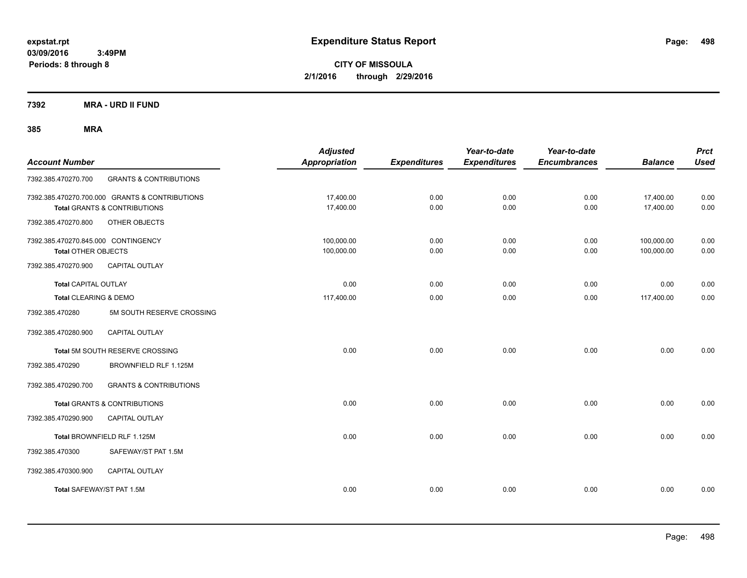**CITY OF MISSOULA 2/1/2016 through 2/29/2016**

**7392 MRA - URD II FUND**

| <b>Account Number</b>                                             |                                                                                | <b>Adjusted</b><br><b>Appropriation</b> | <b>Expenditures</b> | Year-to-date<br><b>Expenditures</b> | Year-to-date<br><b>Encumbrances</b> | <b>Balance</b>           | <b>Prct</b><br><b>Used</b> |
|-------------------------------------------------------------------|--------------------------------------------------------------------------------|-----------------------------------------|---------------------|-------------------------------------|-------------------------------------|--------------------------|----------------------------|
| 7392.385.470270.700                                               | <b>GRANTS &amp; CONTRIBUTIONS</b>                                              |                                         |                     |                                     |                                     |                          |                            |
|                                                                   | 7392.385.470270.700.000 GRANTS & CONTRIBUTIONS<br>Total GRANTS & CONTRIBUTIONS | 17,400.00<br>17,400.00                  | 0.00<br>0.00        | 0.00<br>0.00                        | 0.00<br>0.00                        | 17,400.00<br>17,400.00   | 0.00<br>0.00               |
| 7392.385.470270.800                                               | OTHER OBJECTS                                                                  |                                         |                     |                                     |                                     |                          |                            |
| 7392.385.470270.845.000 CONTINGENCY<br><b>Total OTHER OBJECTS</b> |                                                                                | 100,000.00<br>100,000.00                | 0.00<br>0.00        | 0.00<br>0.00                        | 0.00<br>0.00                        | 100,000.00<br>100,000.00 | 0.00<br>0.00               |
| 7392.385.470270.900                                               | <b>CAPITAL OUTLAY</b>                                                          |                                         |                     |                                     |                                     |                          |                            |
| Total CAPITAL OUTLAY                                              |                                                                                | 0.00                                    | 0.00                | 0.00                                | 0.00                                | 0.00                     | 0.00                       |
| Total CLEARING & DEMO                                             |                                                                                | 117,400.00                              | 0.00                | 0.00                                | 0.00                                | 117,400.00               | 0.00                       |
| 7392.385.470280                                                   | 5M SOUTH RESERVE CROSSING                                                      |                                         |                     |                                     |                                     |                          |                            |
| 7392.385.470280.900                                               | <b>CAPITAL OUTLAY</b>                                                          |                                         |                     |                                     |                                     |                          |                            |
|                                                                   | Total 5M SOUTH RESERVE CROSSING                                                | 0.00                                    | 0.00                | 0.00                                | 0.00                                | 0.00                     | 0.00                       |
| 7392.385.470290                                                   | BROWNFIELD RLF 1.125M                                                          |                                         |                     |                                     |                                     |                          |                            |
| 7392.385.470290.700                                               | <b>GRANTS &amp; CONTRIBUTIONS</b>                                              |                                         |                     |                                     |                                     |                          |                            |
|                                                                   | Total GRANTS & CONTRIBUTIONS                                                   | 0.00                                    | 0.00                | 0.00                                | 0.00                                | 0.00                     | 0.00                       |
| 7392.385.470290.900                                               | <b>CAPITAL OUTLAY</b>                                                          |                                         |                     |                                     |                                     |                          |                            |
|                                                                   | Total BROWNFIELD RLF 1.125M                                                    | 0.00                                    | 0.00                | 0.00                                | 0.00                                | 0.00                     | 0.00                       |
| 7392.385.470300                                                   | SAFEWAY/ST PAT 1.5M                                                            |                                         |                     |                                     |                                     |                          |                            |
| 7392.385.470300.900                                               | <b>CAPITAL OUTLAY</b>                                                          |                                         |                     |                                     |                                     |                          |                            |
| Total SAFEWAY/ST PAT 1.5M                                         |                                                                                | 0.00                                    | 0.00                | 0.00                                | 0.00                                | 0.00                     | 0.00                       |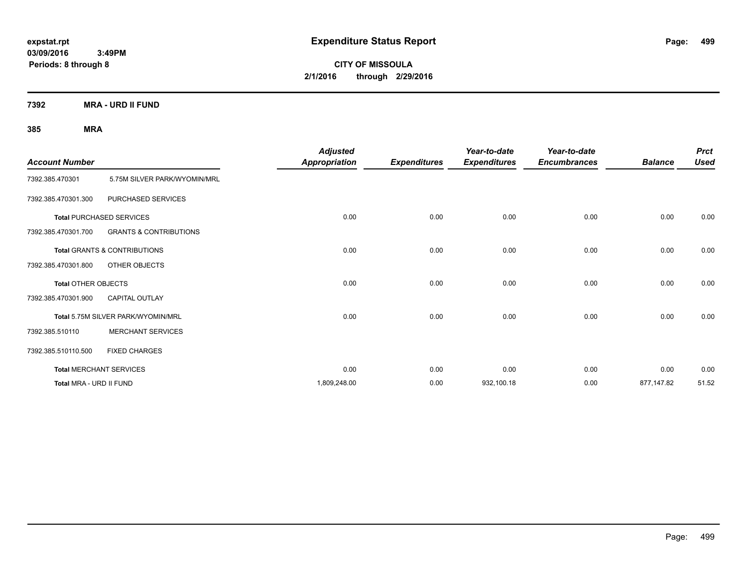**CITY OF MISSOULA 2/1/2016 through 2/29/2016**

**7392 MRA - URD II FUND**

| <b>Account Number</b>      |                                    | <b>Adjusted</b><br><b>Appropriation</b> | <b>Expenditures</b> | Year-to-date<br><b>Expenditures</b> | Year-to-date<br><b>Encumbrances</b> | <b>Balance</b> | <b>Prct</b><br><b>Used</b> |
|----------------------------|------------------------------------|-----------------------------------------|---------------------|-------------------------------------|-------------------------------------|----------------|----------------------------|
| 7392.385.470301            | 5.75M SILVER PARK/WYOMIN/MRL       |                                         |                     |                                     |                                     |                |                            |
| 7392.385.470301.300        | PURCHASED SERVICES                 |                                         |                     |                                     |                                     |                |                            |
|                            | <b>Total PURCHASED SERVICES</b>    | 0.00                                    | 0.00                | 0.00                                | 0.00                                | 0.00           | 0.00                       |
| 7392.385.470301.700        | <b>GRANTS &amp; CONTRIBUTIONS</b>  |                                         |                     |                                     |                                     |                |                            |
|                            | Total GRANTS & CONTRIBUTIONS       | 0.00                                    | 0.00                | 0.00                                | 0.00                                | 0.00           | 0.00                       |
| 7392.385.470301.800        | OTHER OBJECTS                      |                                         |                     |                                     |                                     |                |                            |
| <b>Total OTHER OBJECTS</b> |                                    | 0.00                                    | 0.00                | 0.00                                | 0.00                                | 0.00           | 0.00                       |
| 7392.385.470301.900        | <b>CAPITAL OUTLAY</b>              |                                         |                     |                                     |                                     |                |                            |
|                            | Total 5.75M SILVER PARK/WYOMIN/MRL | 0.00                                    | 0.00                | 0.00                                | 0.00                                | 0.00           | 0.00                       |
| 7392.385.510110            | <b>MERCHANT SERVICES</b>           |                                         |                     |                                     |                                     |                |                            |
| 7392.385.510110.500        | <b>FIXED CHARGES</b>               |                                         |                     |                                     |                                     |                |                            |
|                            | <b>Total MERCHANT SERVICES</b>     | 0.00                                    | 0.00                | 0.00                                | 0.00                                | 0.00           | 0.00                       |
| Total MRA - URD II FUND    |                                    | 1,809,248.00                            | 0.00                | 932,100.18                          | 0.00                                | 877,147.82     | 51.52                      |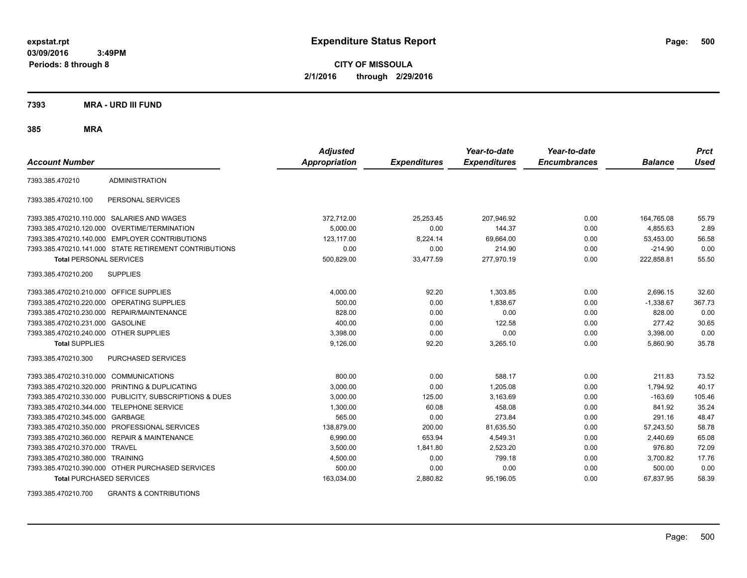**CITY OF MISSOULA 2/1/2016 through 2/29/2016**

**7393 MRA - URD III FUND**

**385 MRA**

| <b>Account Number</b>                   |                                                         | <b>Adjusted</b><br><b>Appropriation</b> | <b>Expenditures</b> | Year-to-date<br><b>Expenditures</b> | Year-to-date<br><b>Encumbrances</b> | <b>Balance</b> | <b>Prct</b><br><b>Used</b> |
|-----------------------------------------|---------------------------------------------------------|-----------------------------------------|---------------------|-------------------------------------|-------------------------------------|----------------|----------------------------|
|                                         |                                                         |                                         |                     |                                     |                                     |                |                            |
| 7393.385.470210                         | <b>ADMINISTRATION</b>                                   |                                         |                     |                                     |                                     |                |                            |
| 7393.385.470210.100                     | PERSONAL SERVICES                                       |                                         |                     |                                     |                                     |                |                            |
|                                         | 7393.385.470210.110.000 SALARIES AND WAGES              | 372,712.00                              | 25,253.45           | 207,946.92                          | 0.00                                | 164,765.08     | 55.79                      |
|                                         | 7393.385.470210.120.000 OVERTIME/TERMINATION            | 5,000.00                                | 0.00                | 144.37                              | 0.00                                | 4,855.63       | 2.89                       |
|                                         | 7393.385.470210.140.000 EMPLOYER CONTRIBUTIONS          | 123.117.00                              | 8,224.14            | 69,664.00                           | 0.00                                | 53.453.00      | 56.58                      |
|                                         | 7393.385.470210.141.000 STATE RETIREMENT CONTRIBUTIONS  | 0.00                                    | 0.00                | 214.90                              | 0.00                                | $-214.90$      | 0.00                       |
| <b>Total PERSONAL SERVICES</b>          |                                                         | 500,829.00                              | 33,477.59           | 277,970.19                          | 0.00                                | 222,858.81     | 55.50                      |
| 7393.385.470210.200                     | <b>SUPPLIES</b>                                         |                                         |                     |                                     |                                     |                |                            |
| 7393.385.470210.210.000 OFFICE SUPPLIES |                                                         | 4,000.00                                | 92.20               | 1,303.85                            | 0.00                                | 2,696.15       | 32.60                      |
|                                         | 7393.385.470210.220.000 OPERATING SUPPLIES              | 500.00                                  | 0.00                | 1.838.67                            | 0.00                                | $-1,338.67$    | 367.73                     |
|                                         | 7393.385.470210.230.000 REPAIR/MAINTENANCE              | 828.00                                  | 0.00                | 0.00                                | 0.00                                | 828.00         | 0.00                       |
| 7393.385.470210.231.000 GASOLINE        |                                                         | 400.00                                  | 0.00                | 122.58                              | 0.00                                | 277.42         | 30.65                      |
| 7393.385.470210.240.000 OTHER SUPPLIES  |                                                         | 3,398.00                                | 0.00                | 0.00                                | 0.00                                | 3,398.00       | 0.00                       |
| <b>Total SUPPLIES</b>                   |                                                         | 9,126.00                                | 92.20               | 3,265.10                            | 0.00                                | 5,860.90       | 35.78                      |
| 7393.385.470210.300                     | <b>PURCHASED SERVICES</b>                               |                                         |                     |                                     |                                     |                |                            |
| 7393.385.470210.310.000 COMMUNICATIONS  |                                                         | 800.00                                  | 0.00                | 588.17                              | 0.00                                | 211.83         | 73.52                      |
|                                         | 7393.385.470210.320.000 PRINTING & DUPLICATING          | 3.000.00                                | 0.00                | 1.205.08                            | 0.00                                | 1,794.92       | 40.17                      |
|                                         | 7393.385.470210.330.000 PUBLICITY, SUBSCRIPTIONS & DUES | 3.000.00                                | 125.00              | 3.163.69                            | 0.00                                | $-163.69$      | 105.46                     |
| 7393.385.470210.344.000                 | <b>TELEPHONE SERVICE</b>                                | 1,300.00                                | 60.08               | 458.08                              | 0.00                                | 841.92         | 35.24                      |
| 7393.385.470210.345.000 GARBAGE         |                                                         | 565.00                                  | 0.00                | 273.84                              | 0.00                                | 291.16         | 48.47                      |
|                                         | 7393.385.470210.350.000 PROFESSIONAL SERVICES           | 138.879.00                              | 200.00              | 81,635.50                           | 0.00                                | 57.243.50      | 58.78                      |
| 7393.385.470210.360.000                 | <b>REPAIR &amp; MAINTENANCE</b>                         | 6.990.00                                | 653.94              | 4,549.31                            | 0.00                                | 2.440.69       | 65.08                      |
| 7393.385.470210.370.000 TRAVEL          |                                                         | 3,500.00                                | 1,841.80            | 2,523.20                            | 0.00                                | 976.80         | 72.09                      |
| 7393.385.470210.380.000 TRAINING        |                                                         | 4,500.00                                | 0.00                | 799.18                              | 0.00                                | 3,700.82       | 17.76                      |
|                                         | 7393.385.470210.390.000 OTHER PURCHASED SERVICES        | 500.00                                  | 0.00                | 0.00                                | 0.00                                | 500.00         | 0.00                       |
| <b>Total PURCHASED SERVICES</b>         |                                                         | 163,034.00                              | 2,880.82            | 95,196.05                           | 0.00                                | 67,837.95      | 58.39                      |

7393.385.470210.700 GRANTS & CONTRIBUTIONS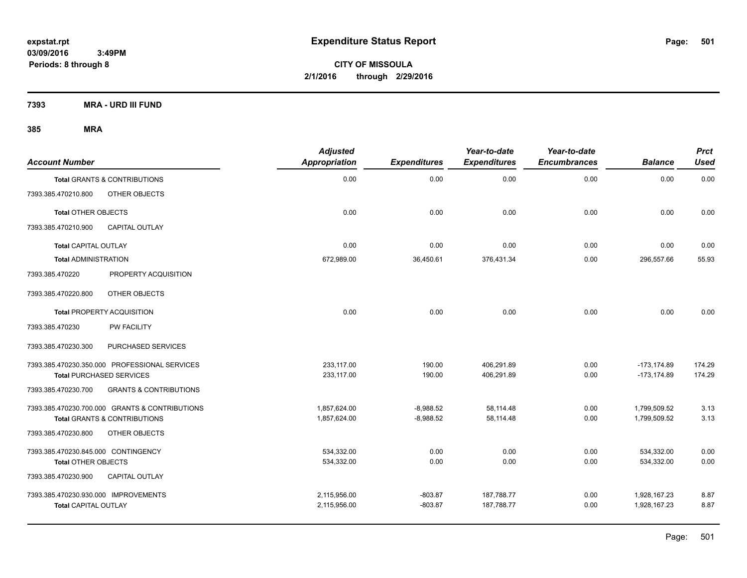**CITY OF MISSOULA 2/1/2016 through 2/29/2016**

**7393 MRA - URD III FUND**

| <b>Account Number</b>                |                                                | <b>Adjusted</b><br>Appropriation | <b>Expenditures</b> | Year-to-date<br><b>Expenditures</b> | Year-to-date<br><b>Encumbrances</b> | <b>Balance</b> | <b>Prct</b><br><b>Used</b> |
|--------------------------------------|------------------------------------------------|----------------------------------|---------------------|-------------------------------------|-------------------------------------|----------------|----------------------------|
|                                      | <b>Total GRANTS &amp; CONTRIBUTIONS</b>        | 0.00                             | 0.00                | 0.00                                | 0.00                                | 0.00           | 0.00                       |
| 7393.385.470210.800                  | OTHER OBJECTS                                  |                                  |                     |                                     |                                     |                |                            |
| <b>Total OTHER OBJECTS</b>           |                                                | 0.00                             | 0.00                | 0.00                                | 0.00                                | 0.00           | 0.00                       |
| 7393.385.470210.900                  | <b>CAPITAL OUTLAY</b>                          |                                  |                     |                                     |                                     |                |                            |
| <b>Total CAPITAL OUTLAY</b>          |                                                | 0.00                             | 0.00                | 0.00                                | 0.00                                | 0.00           | 0.00                       |
| <b>Total ADMINISTRATION</b>          |                                                | 672,989.00                       | 36,450.61           | 376,431.34                          | 0.00                                | 296,557.66     | 55.93                      |
| 7393.385.470220                      | PROPERTY ACQUISITION                           |                                  |                     |                                     |                                     |                |                            |
| 7393.385.470220.800                  | OTHER OBJECTS                                  |                                  |                     |                                     |                                     |                |                            |
|                                      | <b>Total PROPERTY ACQUISITION</b>              | 0.00                             | 0.00                | 0.00                                | 0.00                                | 0.00           | 0.00                       |
| 7393.385.470230                      | <b>PW FACILITY</b>                             |                                  |                     |                                     |                                     |                |                            |
| 7393.385.470230.300                  | PURCHASED SERVICES                             |                                  |                     |                                     |                                     |                |                            |
|                                      | 7393.385.470230.350.000 PROFESSIONAL SERVICES  | 233.117.00                       | 190.00              | 406,291.89                          | 0.00                                | $-173, 174.89$ | 174.29                     |
|                                      | <b>Total PURCHASED SERVICES</b>                | 233,117.00                       | 190.00              | 406,291.89                          | 0.00                                | $-173.174.89$  | 174.29                     |
| 7393.385.470230.700                  | <b>GRANTS &amp; CONTRIBUTIONS</b>              |                                  |                     |                                     |                                     |                |                            |
|                                      | 7393.385.470230.700.000 GRANTS & CONTRIBUTIONS | 1,857,624.00                     | $-8,988.52$         | 58,114.48                           | 0.00                                | 1,799,509.52   | 3.13                       |
|                                      | <b>Total GRANTS &amp; CONTRIBUTIONS</b>        | 1,857,624.00                     | $-8,988.52$         | 58,114.48                           | 0.00                                | 1,799,509.52   | 3.13                       |
| 7393.385.470230.800                  | OTHER OBJECTS                                  |                                  |                     |                                     |                                     |                |                            |
| 7393.385.470230.845.000 CONTINGENCY  |                                                | 534,332.00                       | 0.00                | 0.00                                | 0.00                                | 534,332.00     | 0.00                       |
| <b>Total OTHER OBJECTS</b>           |                                                | 534,332.00                       | 0.00                | 0.00                                | 0.00                                | 534,332.00     | 0.00                       |
| 7393.385.470230.900                  | <b>CAPITAL OUTLAY</b>                          |                                  |                     |                                     |                                     |                |                            |
| 7393.385.470230.930.000 IMPROVEMENTS |                                                | 2,115,956.00                     | $-803.87$           | 187,788.77                          | 0.00                                | 1,928,167.23   | 8.87                       |
| <b>Total CAPITAL OUTLAY</b>          |                                                | 2,115,956.00                     | $-803.87$           | 187,788.77                          | 0.00                                | 1,928,167.23   | 8.87                       |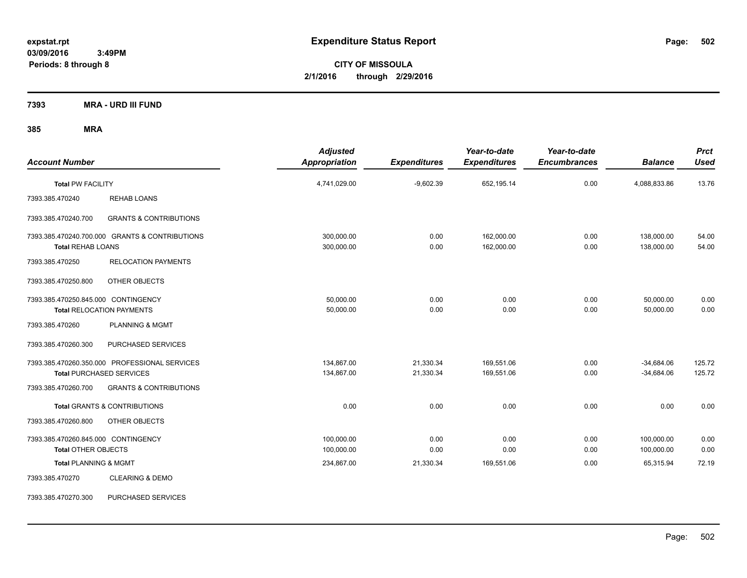**CITY OF MISSOULA 2/1/2016 through 2/29/2016**

**7393 MRA - URD III FUND**

| <b>Account Number</b>                                             |                                                                                  | <b>Adjusted</b><br>Appropriation | <b>Expenditures</b>    | Year-to-date<br><b>Expenditures</b> | Year-to-date<br><b>Encumbrances</b> | <b>Balance</b>               | <b>Prct</b><br><b>Used</b> |
|-------------------------------------------------------------------|----------------------------------------------------------------------------------|----------------------------------|------------------------|-------------------------------------|-------------------------------------|------------------------------|----------------------------|
| <b>Total PW FACILITY</b>                                          |                                                                                  | 4,741,029.00                     | $-9,602.39$            | 652,195.14                          | 0.00                                | 4,088,833.86                 | 13.76                      |
| 7393.385.470240                                                   | <b>REHAB LOANS</b>                                                               |                                  |                        |                                     |                                     |                              |                            |
| 7393.385.470240.700                                               | <b>GRANTS &amp; CONTRIBUTIONS</b>                                                |                                  |                        |                                     |                                     |                              |                            |
| <b>Total REHAB LOANS</b>                                          | 7393.385.470240.700.000 GRANTS & CONTRIBUTIONS                                   | 300,000.00<br>300,000.00         | 0.00<br>0.00           | 162.000.00<br>162,000.00            | 0.00<br>0.00                        | 138,000.00<br>138,000.00     | 54.00<br>54.00             |
| 7393.385.470250                                                   | <b>RELOCATION PAYMENTS</b>                                                       |                                  |                        |                                     |                                     |                              |                            |
| 7393.385.470250.800                                               | OTHER OBJECTS                                                                    |                                  |                        |                                     |                                     |                              |                            |
| 7393.385.470250.845.000 CONTINGENCY                               | <b>Total RELOCATION PAYMENTS</b>                                                 | 50,000.00<br>50,000.00           | 0.00<br>0.00           | 0.00<br>0.00                        | 0.00<br>0.00                        | 50,000.00<br>50,000.00       | 0.00<br>0.00               |
| 7393.385.470260                                                   | <b>PLANNING &amp; MGMT</b>                                                       |                                  |                        |                                     |                                     |                              |                            |
| 7393.385.470260.300                                               | PURCHASED SERVICES                                                               |                                  |                        |                                     |                                     |                              |                            |
|                                                                   | 7393.385.470260.350.000 PROFESSIONAL SERVICES<br><b>Total PURCHASED SERVICES</b> | 134,867.00<br>134,867.00         | 21,330.34<br>21,330.34 | 169,551.06<br>169,551.06            | 0.00<br>0.00                        | $-34,684.06$<br>$-34,684.06$ | 125.72<br>125.72           |
| 7393.385.470260.700                                               | <b>GRANTS &amp; CONTRIBUTIONS</b>                                                |                                  |                        |                                     |                                     |                              |                            |
|                                                                   | Total GRANTS & CONTRIBUTIONS                                                     | 0.00                             | 0.00                   | 0.00                                | 0.00                                | 0.00                         | 0.00                       |
| 7393.385.470260.800                                               | OTHER OBJECTS                                                                    |                                  |                        |                                     |                                     |                              |                            |
| 7393.385.470260.845.000 CONTINGENCY<br><b>Total OTHER OBJECTS</b> |                                                                                  | 100,000.00<br>100,000.00         | 0.00<br>0.00           | 0.00<br>0.00                        | 0.00<br>0.00                        | 100,000.00<br>100,000.00     | 0.00<br>0.00               |
| <b>Total PLANNING &amp; MGMT</b>                                  |                                                                                  | 234,867.00                       | 21,330.34              | 169,551.06                          | 0.00                                | 65,315.94                    | 72.19                      |
| 7393.385.470270                                                   | <b>CLEARING &amp; DEMO</b>                                                       |                                  |                        |                                     |                                     |                              |                            |
| 7393.385.470270.300                                               | PURCHASED SERVICES                                                               |                                  |                        |                                     |                                     |                              |                            |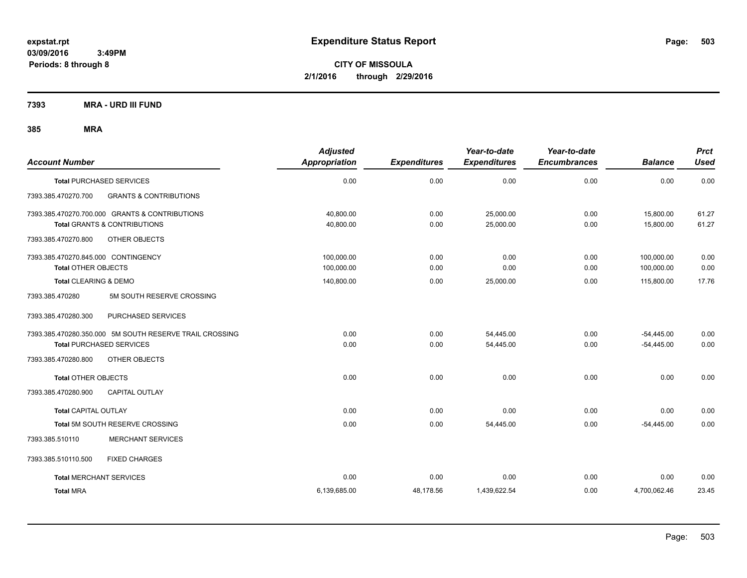**CITY OF MISSOULA 2/1/2016 through 2/29/2016**

**7393 MRA - URD III FUND**

| <b>Account Number</b>                                    | <b>Adjusted</b><br><b>Appropriation</b> | <b>Expenditures</b> | Year-to-date<br><b>Expenditures</b> | Year-to-date<br><b>Encumbrances</b> | <b>Balance</b> | <b>Prct</b><br><b>Used</b> |
|----------------------------------------------------------|-----------------------------------------|---------------------|-------------------------------------|-------------------------------------|----------------|----------------------------|
| <b>Total PURCHASED SERVICES</b>                          | 0.00                                    | 0.00                | 0.00                                | 0.00                                | 0.00           | 0.00                       |
| 7393.385.470270.700<br><b>GRANTS &amp; CONTRIBUTIONS</b> |                                         |                     |                                     |                                     |                |                            |
| 7393.385.470270.700.000 GRANTS & CONTRIBUTIONS           | 40.800.00                               | 0.00                | 25,000.00                           | 0.00                                | 15,800.00      | 61.27                      |
| <b>Total GRANTS &amp; CONTRIBUTIONS</b>                  | 40,800.00                               | 0.00                | 25,000.00                           | 0.00                                | 15,800.00      | 61.27                      |
| OTHER OBJECTS<br>7393.385.470270.800                     |                                         |                     |                                     |                                     |                |                            |
| 7393.385.470270.845.000 CONTINGENCY                      | 100,000.00                              | 0.00                | 0.00                                | 0.00                                | 100,000.00     | 0.00                       |
| Total OTHER OBJECTS                                      | 100,000.00                              | 0.00                | 0.00                                | 0.00                                | 100,000.00     | 0.00                       |
| <b>Total CLEARING &amp; DEMO</b>                         | 140,800.00                              | 0.00                | 25,000.00                           | 0.00                                | 115,800.00     | 17.76                      |
| 5M SOUTH RESERVE CROSSING<br>7393.385.470280             |                                         |                     |                                     |                                     |                |                            |
| 7393.385.470280.300<br>PURCHASED SERVICES                |                                         |                     |                                     |                                     |                |                            |
| 7393.385.470280.350.000 5M SOUTH RESERVE TRAIL CROSSING  | 0.00                                    | 0.00                | 54,445.00                           | 0.00                                | $-54,445.00$   | 0.00                       |
| <b>Total PURCHASED SERVICES</b>                          | 0.00                                    | 0.00                | 54,445.00                           | 0.00                                | $-54,445.00$   | 0.00                       |
| 7393.385.470280.800<br><b>OTHER OBJECTS</b>              |                                         |                     |                                     |                                     |                |                            |
| <b>Total OTHER OBJECTS</b>                               | 0.00                                    | 0.00                | 0.00                                | 0.00                                | 0.00           | 0.00                       |
| 7393.385.470280.900<br><b>CAPITAL OUTLAY</b>             |                                         |                     |                                     |                                     |                |                            |
| <b>Total CAPITAL OUTLAY</b>                              | 0.00                                    | 0.00                | 0.00                                | 0.00                                | 0.00           | 0.00                       |
| Total 5M SOUTH RESERVE CROSSING                          | 0.00                                    | 0.00                | 54,445.00                           | 0.00                                | $-54,445.00$   | 0.00                       |
| <b>MERCHANT SERVICES</b><br>7393.385.510110              |                                         |                     |                                     |                                     |                |                            |
| 7393.385.510110.500<br><b>FIXED CHARGES</b>              |                                         |                     |                                     |                                     |                |                            |
| <b>Total MERCHANT SERVICES</b>                           | 0.00                                    | 0.00                | 0.00                                | 0.00                                | 0.00           | 0.00                       |
| <b>Total MRA</b>                                         | 6,139,685.00                            | 48,178.56           | 1,439,622.54                        | 0.00                                | 4,700,062.46   | 23.45                      |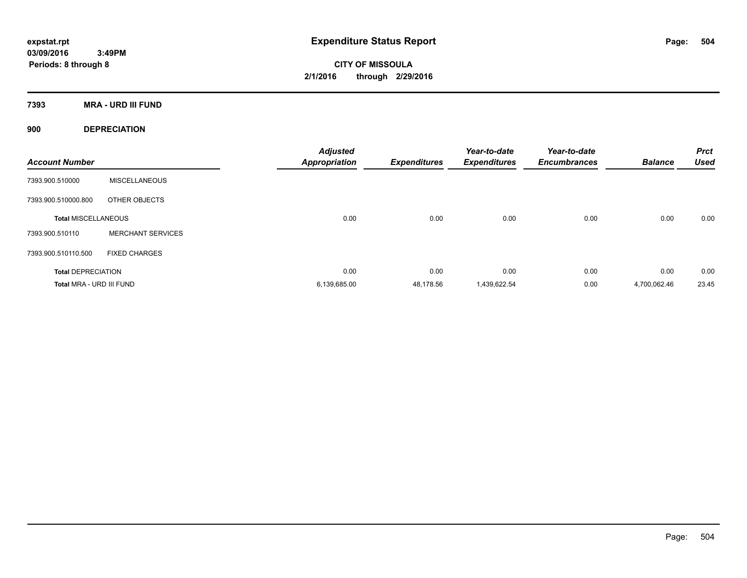**CITY OF MISSOULA 2/1/2016 through 2/29/2016**

**7393 MRA - URD III FUND**

**900 DEPRECIATION**

| <b>Account Number</b>      |                          | <b>Adjusted</b><br><b>Appropriation</b> | <b>Expenditures</b> | Year-to-date<br><b>Expenditures</b> | Year-to-date<br><b>Encumbrances</b> | <b>Balance</b> | <b>Prct</b><br><b>Used</b> |
|----------------------------|--------------------------|-----------------------------------------|---------------------|-------------------------------------|-------------------------------------|----------------|----------------------------|
| 7393.900.510000            | <b>MISCELLANEOUS</b>     |                                         |                     |                                     |                                     |                |                            |
| 7393.900.510000.800        | OTHER OBJECTS            |                                         |                     |                                     |                                     |                |                            |
| <b>Total MISCELLANEOUS</b> |                          | 0.00                                    | 0.00                | 0.00                                | 0.00                                | 0.00           | 0.00                       |
| 7393.900.510110            | <b>MERCHANT SERVICES</b> |                                         |                     |                                     |                                     |                |                            |
| 7393.900.510110.500        | <b>FIXED CHARGES</b>     |                                         |                     |                                     |                                     |                |                            |
| <b>Total DEPRECIATION</b>  |                          | 0.00                                    | 0.00                | 0.00                                | 0.00                                | 0.00           | 0.00                       |
| Total MRA - URD III FUND   |                          | 6,139,685.00                            | 48.178.56           | 1.439.622.54                        | 0.00                                | 4.700.062.46   | 23.45                      |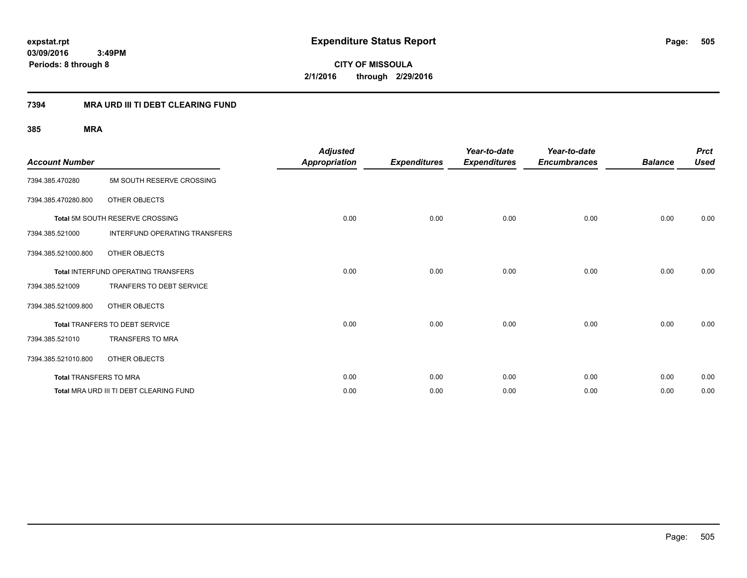**CITY OF MISSOULA 2/1/2016 through 2/29/2016**

## **7394 MRA URD III TI DEBT CLEARING FUND**

| <b>Account Number</b>  |                                            | <b>Adjusted</b><br><b>Appropriation</b> | <b>Expenditures</b> | Year-to-date<br><b>Expenditures</b> | Year-to-date<br><b>Encumbrances</b> | <b>Balance</b> | <b>Prct</b><br><b>Used</b> |
|------------------------|--------------------------------------------|-----------------------------------------|---------------------|-------------------------------------|-------------------------------------|----------------|----------------------------|
| 7394.385.470280        | 5M SOUTH RESERVE CROSSING                  |                                         |                     |                                     |                                     |                |                            |
| 7394.385.470280.800    | OTHER OBJECTS                              |                                         |                     |                                     |                                     |                |                            |
|                        | Total 5M SOUTH RESERVE CROSSING            | 0.00                                    | 0.00                | 0.00                                | 0.00                                | 0.00           | 0.00                       |
| 7394.385.521000        | <b>INTERFUND OPERATING TRANSFERS</b>       |                                         |                     |                                     |                                     |                |                            |
| 7394.385.521000.800    | OTHER OBJECTS                              |                                         |                     |                                     |                                     |                |                            |
|                        | <b>Total INTERFUND OPERATING TRANSFERS</b> | 0.00                                    | 0.00                | 0.00                                | 0.00                                | 0.00           | 0.00                       |
| 7394.385.521009        | TRANFERS TO DEBT SERVICE                   |                                         |                     |                                     |                                     |                |                            |
| 7394.385.521009.800    | <b>OTHER OBJECTS</b>                       |                                         |                     |                                     |                                     |                |                            |
|                        | Total TRANFERS TO DEBT SERVICE             | 0.00                                    | 0.00                | 0.00                                | 0.00                                | 0.00           | 0.00                       |
| 7394.385.521010        | <b>TRANSFERS TO MRA</b>                    |                                         |                     |                                     |                                     |                |                            |
| 7394.385.521010.800    | <b>OTHER OBJECTS</b>                       |                                         |                     |                                     |                                     |                |                            |
| Total TRANSFERS TO MRA |                                            | 0.00                                    | 0.00                | 0.00                                | 0.00                                | 0.00           | 0.00                       |
|                        | Total MRA URD III TI DEBT CLEARING FUND    | 0.00                                    | 0.00                | 0.00                                | 0.00                                | 0.00           | 0.00                       |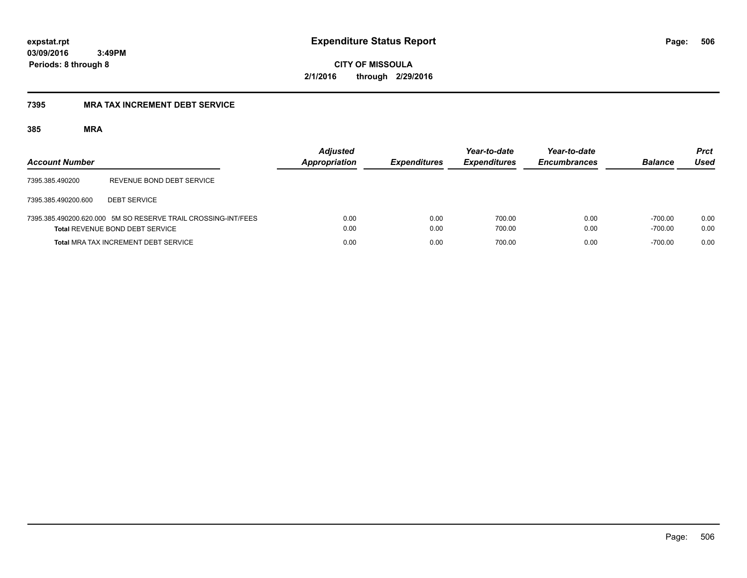**506**

**03/09/2016 3:49PM Periods: 8 through 8**

**CITY OF MISSOULA 2/1/2016 through 2/29/2016**

## **7395 MRA TAX INCREMENT DEBT SERVICE**

| <b>Account Number</b> |                                                                                                  | <b>Adjusted</b><br><b>Appropriation</b> | <b>Expenditures</b> | Year-to-date<br><b>Expenditures</b> | Year-to-date<br><b>Encumbrances</b> | <b>Balance</b>         | <b>Prct</b><br>Used |
|-----------------------|--------------------------------------------------------------------------------------------------|-----------------------------------------|---------------------|-------------------------------------|-------------------------------------|------------------------|---------------------|
| 7395.385.490200       | REVENUE BOND DEBT SERVICE                                                                        |                                         |                     |                                     |                                     |                        |                     |
| 7395.385.490200.600   | <b>DEBT SERVICE</b>                                                                              |                                         |                     |                                     |                                     |                        |                     |
|                       | 7395.385.490200.620.000 5M SO RESERVE TRAIL CROSSING-INT/FEES<br>Total REVENUE BOND DEBT SERVICE | 0.00<br>0.00                            | 0.00<br>0.00        | 700.00<br>700.00                    | 0.00<br>0.00                        | $-700.00$<br>$-700.00$ | 0.00<br>0.00        |
|                       | <b>Total MRA TAX INCREMENT DEBT SERVICE</b>                                                      | 0.00                                    | 0.00                | 700.00                              | 0.00                                | $-700.00$              | 0.00                |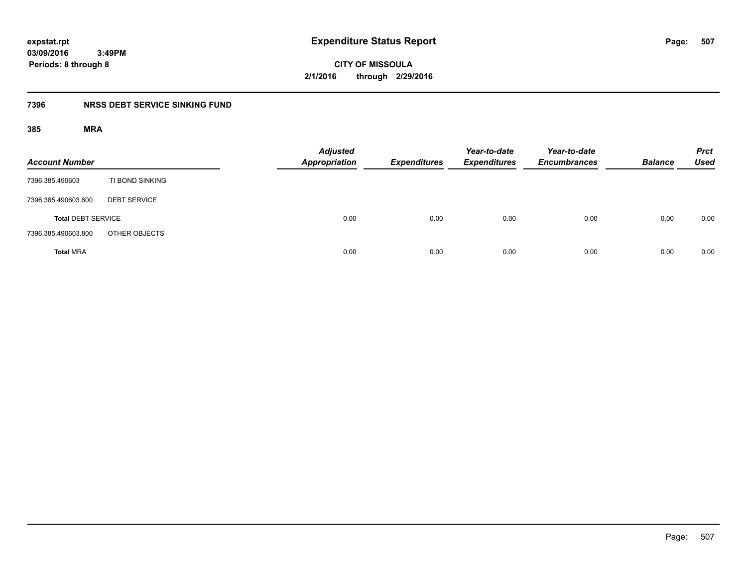**507**

**03/09/2016 3:49PM Periods: 8 through 8**

**CITY OF MISSOULA 2/1/2016 through 2/29/2016**

## **7396 NRSS DEBT SERVICE SINKING FUND**

| <b>Account Number</b>     |                     | <b>Adjusted</b><br><b>Appropriation</b> | <b>Expenditures</b> | Year-to-date<br><b>Expenditures</b> | Year-to-date<br><b>Encumbrances</b> | <b>Balance</b> | <b>Prct</b><br><b>Used</b> |
|---------------------------|---------------------|-----------------------------------------|---------------------|-------------------------------------|-------------------------------------|----------------|----------------------------|
| 7396.385.490603           | TI BOND SINKING     |                                         |                     |                                     |                                     |                |                            |
| 7396.385.490603.600       | <b>DEBT SERVICE</b> |                                         |                     |                                     |                                     |                |                            |
| <b>Total DEBT SERVICE</b> |                     | 0.00                                    | 0.00                | 0.00                                | 0.00                                | 0.00           | 0.00                       |
| 7396.385.490603.800       | OTHER OBJECTS       |                                         |                     |                                     |                                     |                |                            |
| <b>Total MRA</b>          |                     | 0.00                                    | 0.00                | 0.00                                | 0.00                                | 0.00           | 0.00                       |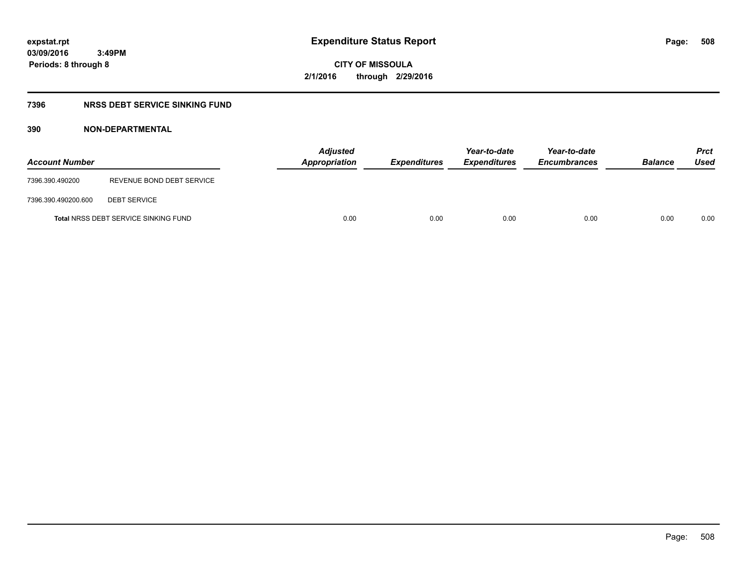**CITY OF MISSOULA 2/1/2016 through 2/29/2016**

## **7396 NRSS DEBT SERVICE SINKING FUND**

## **390 NON-DEPARTMENTAL**

| <b>Account Number</b> |                                             | Appropriation | <b>Adjusted</b> | <b>Expenditures</b> | Year-to-date<br><b>Expenditures</b> | Year-to-date<br><b>Encumbrances</b> | <b>Balance</b> | <b>Prct</b><br>Used |
|-----------------------|---------------------------------------------|---------------|-----------------|---------------------|-------------------------------------|-------------------------------------|----------------|---------------------|
| 7396.390.490200       | REVENUE BOND DEBT SERVICE                   |               |                 |                     |                                     |                                     |                |                     |
| 7396.390.490200.600   | <b>DEBT SERVICE</b>                         |               |                 |                     |                                     |                                     |                |                     |
|                       | <b>Total NRSS DEBT SERVICE SINKING FUND</b> |               | 0.00            | 0.00                | 0.00                                | 0.00                                | 0.00           | 0.00                |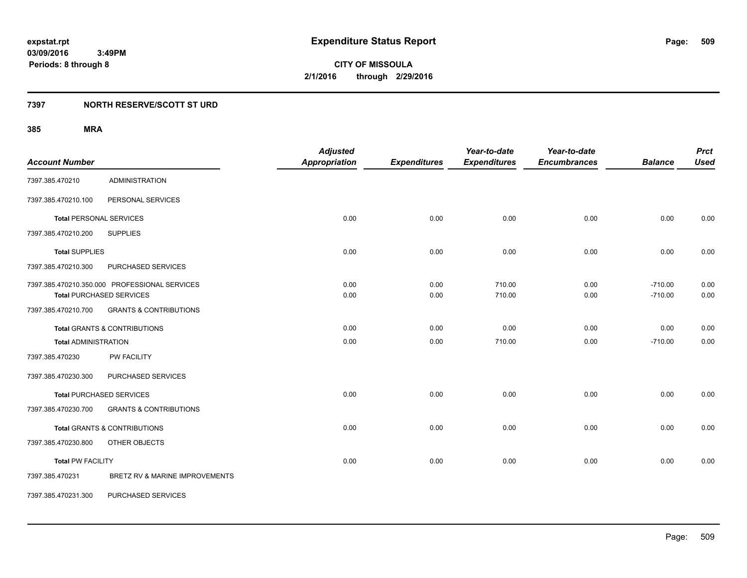## **7397 NORTH RESERVE/SCOTT ST URD**

| <b>Account Number</b>       |                                               | <b>Adjusted</b><br><b>Appropriation</b> | <b>Expenditures</b> | Year-to-date<br><b>Expenditures</b> | Year-to-date<br><b>Encumbrances</b> | <b>Balance</b> | <b>Prct</b><br><b>Used</b> |
|-----------------------------|-----------------------------------------------|-----------------------------------------|---------------------|-------------------------------------|-------------------------------------|----------------|----------------------------|
| 7397.385.470210             | <b>ADMINISTRATION</b>                         |                                         |                     |                                     |                                     |                |                            |
|                             |                                               |                                         |                     |                                     |                                     |                |                            |
| 7397.385.470210.100         | PERSONAL SERVICES                             |                                         |                     |                                     |                                     |                |                            |
|                             | <b>Total PERSONAL SERVICES</b>                | 0.00                                    | 0.00                | 0.00                                | 0.00                                | 0.00           | 0.00                       |
| 7397.385.470210.200         | <b>SUPPLIES</b>                               |                                         |                     |                                     |                                     |                |                            |
| <b>Total SUPPLIES</b>       |                                               | 0.00                                    | 0.00                | 0.00                                | 0.00                                | 0.00           | 0.00                       |
| 7397.385.470210.300         | PURCHASED SERVICES                            |                                         |                     |                                     |                                     |                |                            |
|                             | 7397.385.470210.350.000 PROFESSIONAL SERVICES | 0.00                                    | 0.00                | 710.00                              | 0.00                                | $-710.00$      | 0.00                       |
|                             | <b>Total PURCHASED SERVICES</b>               | 0.00                                    | 0.00                | 710.00                              | 0.00                                | $-710.00$      | 0.00                       |
| 7397.385.470210.700         | <b>GRANTS &amp; CONTRIBUTIONS</b>             |                                         |                     |                                     |                                     |                |                            |
|                             | <b>Total GRANTS &amp; CONTRIBUTIONS</b>       | 0.00                                    | 0.00                | 0.00                                | 0.00                                | 0.00           | 0.00                       |
| <b>Total ADMINISTRATION</b> |                                               | 0.00                                    | 0.00                | 710.00                              | 0.00                                | $-710.00$      | 0.00                       |
| 7397.385.470230             | PW FACILITY                                   |                                         |                     |                                     |                                     |                |                            |
| 7397.385.470230.300         | PURCHASED SERVICES                            |                                         |                     |                                     |                                     |                |                            |
|                             | <b>Total PURCHASED SERVICES</b>               | 0.00                                    | 0.00                | 0.00                                | 0.00                                | 0.00           | 0.00                       |
| 7397.385.470230.700         | <b>GRANTS &amp; CONTRIBUTIONS</b>             |                                         |                     |                                     |                                     |                |                            |
|                             | <b>Total GRANTS &amp; CONTRIBUTIONS</b>       | 0.00                                    | 0.00                | 0.00                                | 0.00                                | 0.00           | 0.00                       |
| 7397.385.470230.800         | OTHER OBJECTS                                 |                                         |                     |                                     |                                     |                |                            |
| <b>Total PW FACILITY</b>    |                                               | 0.00                                    | 0.00                | 0.00                                | 0.00                                | 0.00           | 0.00                       |
| 7397.385.470231             | BRETZ RV & MARINE IMPROVEMENTS                |                                         |                     |                                     |                                     |                |                            |
| 7397.385.470231.300         | PURCHASED SERVICES                            |                                         |                     |                                     |                                     |                |                            |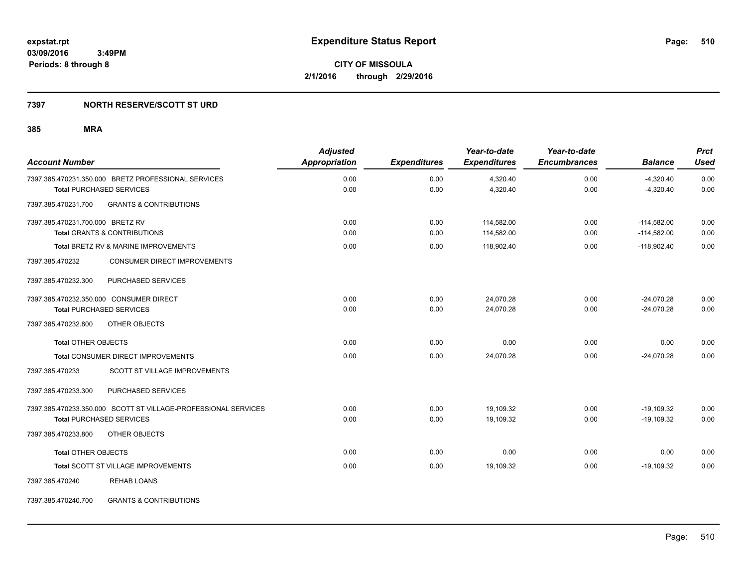## **7397 NORTH RESERVE/SCOTT ST URD**

## **385 MRA**

| <b>Account Number</b>            |                                                                | <b>Adjusted</b><br><b>Appropriation</b> | <b>Expenditures</b> | Year-to-date<br><b>Expenditures</b> | Year-to-date<br><b>Encumbrances</b> | <b>Balance</b> | <b>Prct</b><br><b>Used</b> |
|----------------------------------|----------------------------------------------------------------|-----------------------------------------|---------------------|-------------------------------------|-------------------------------------|----------------|----------------------------|
|                                  | 7397.385.470231.350.000 BRETZ PROFESSIONAL SERVICES            | 0.00                                    | 0.00                | 4,320.40                            | 0.00                                | $-4,320.40$    | 0.00                       |
|                                  | <b>Total PURCHASED SERVICES</b>                                | 0.00                                    | 0.00                | 4,320.40                            | 0.00                                | $-4,320.40$    | 0.00                       |
| 7397.385.470231.700              | <b>GRANTS &amp; CONTRIBUTIONS</b>                              |                                         |                     |                                     |                                     |                |                            |
| 7397.385.470231.700.000 BRETZ RV |                                                                | 0.00                                    | 0.00                | 114,582.00                          | 0.00                                | $-114,582.00$  | 0.00                       |
|                                  | <b>Total GRANTS &amp; CONTRIBUTIONS</b>                        | 0.00                                    | 0.00                | 114,582.00                          | 0.00                                | $-114,582.00$  | 0.00                       |
|                                  | Total BRETZ RV & MARINE IMPROVEMENTS                           | 0.00                                    | 0.00                | 118,902.40                          | 0.00                                | $-118,902.40$  | 0.00                       |
| 7397.385.470232                  | CONSUMER DIRECT IMPROVEMENTS                                   |                                         |                     |                                     |                                     |                |                            |
| 7397.385.470232.300              | PURCHASED SERVICES                                             |                                         |                     |                                     |                                     |                |                            |
|                                  | 7397.385.470232.350.000 CONSUMER DIRECT                        | 0.00                                    | 0.00                | 24,070.28                           | 0.00                                | $-24,070.28$   | 0.00                       |
|                                  | <b>Total PURCHASED SERVICES</b>                                | 0.00                                    | 0.00                | 24,070.28                           | 0.00                                | $-24,070.28$   | 0.00                       |
| 7397.385.470232.800              | OTHER OBJECTS                                                  |                                         |                     |                                     |                                     |                |                            |
| <b>Total OTHER OBJECTS</b>       |                                                                | 0.00                                    | 0.00                | 0.00                                | 0.00                                | 0.00           | 0.00                       |
|                                  | Total CONSUMER DIRECT IMPROVEMENTS                             | 0.00                                    | 0.00                | 24,070.28                           | 0.00                                | $-24,070.28$   | 0.00                       |
| 7397.385.470233                  | SCOTT ST VILLAGE IMPROVEMENTS                                  |                                         |                     |                                     |                                     |                |                            |
| 7397.385.470233.300              | PURCHASED SERVICES                                             |                                         |                     |                                     |                                     |                |                            |
|                                  | 7397.385.470233.350.000 SCOTT ST VILLAGE-PROFESSIONAL SERVICES | 0.00                                    | 0.00                | 19,109.32                           | 0.00                                | $-19,109.32$   | 0.00                       |
|                                  | <b>Total PURCHASED SERVICES</b>                                | 0.00                                    | 0.00                | 19,109.32                           | 0.00                                | $-19,109.32$   | 0.00                       |
| 7397.385.470233.800              | OTHER OBJECTS                                                  |                                         |                     |                                     |                                     |                |                            |
| <b>Total OTHER OBJECTS</b>       |                                                                | 0.00                                    | 0.00                | 0.00                                | 0.00                                | 0.00           | 0.00                       |
|                                  | Total SCOTT ST VILLAGE IMPROVEMENTS                            | 0.00                                    | 0.00                | 19,109.32                           | 0.00                                | $-19,109.32$   | 0.00                       |
| 7397.385.470240                  | <b>REHAB LOANS</b>                                             |                                         |                     |                                     |                                     |                |                            |
|                                  |                                                                |                                         |                     |                                     |                                     |                |                            |

7397.385.470240.700 GRANTS & CONTRIBUTIONS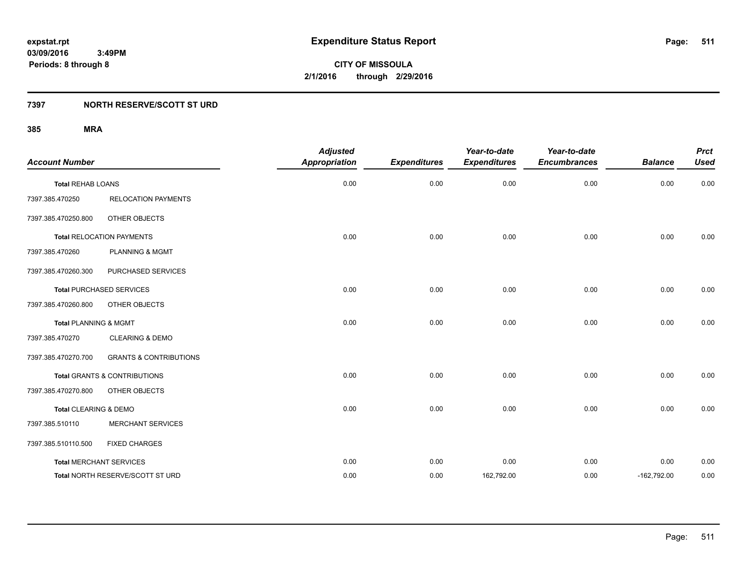**CITY OF MISSOULA 2/1/2016 through 2/29/2016**

## **7397 NORTH RESERVE/SCOTT ST URD**

| <b>Account Number</b>            |                                         | <b>Adjusted</b><br><b>Appropriation</b> | <b>Expenditures</b> | Year-to-date<br><b>Expenditures</b> | Year-to-date<br><b>Encumbrances</b> | <b>Balance</b> | <b>Prct</b><br><b>Used</b> |
|----------------------------------|-----------------------------------------|-----------------------------------------|---------------------|-------------------------------------|-------------------------------------|----------------|----------------------------|
| <b>Total REHAB LOANS</b>         |                                         | 0.00                                    | 0.00                | 0.00                                | 0.00                                | 0.00           | 0.00                       |
| 7397.385.470250                  | <b>RELOCATION PAYMENTS</b>              |                                         |                     |                                     |                                     |                |                            |
| 7397.385.470250.800              | OTHER OBJECTS                           |                                         |                     |                                     |                                     |                |                            |
|                                  | <b>Total RELOCATION PAYMENTS</b>        | 0.00                                    | 0.00                | 0.00                                | 0.00                                | 0.00           | 0.00                       |
| 7397.385.470260                  | PLANNING & MGMT                         |                                         |                     |                                     |                                     |                |                            |
| 7397.385.470260.300              | PURCHASED SERVICES                      |                                         |                     |                                     |                                     |                |                            |
|                                  | <b>Total PURCHASED SERVICES</b>         | 0.00                                    | 0.00                | 0.00                                | 0.00                                | 0.00           | 0.00                       |
| 7397.385.470260.800              | OTHER OBJECTS                           |                                         |                     |                                     |                                     |                |                            |
| <b>Total PLANNING &amp; MGMT</b> |                                         | 0.00                                    | 0.00                | 0.00                                | 0.00                                | 0.00           | 0.00                       |
| 7397.385.470270                  | <b>CLEARING &amp; DEMO</b>              |                                         |                     |                                     |                                     |                |                            |
| 7397.385.470270.700              | <b>GRANTS &amp; CONTRIBUTIONS</b>       |                                         |                     |                                     |                                     |                |                            |
|                                  | <b>Total GRANTS &amp; CONTRIBUTIONS</b> | 0.00                                    | 0.00                | 0.00                                | 0.00                                | 0.00           | 0.00                       |
| 7397.385.470270.800              | OTHER OBJECTS                           |                                         |                     |                                     |                                     |                |                            |
| Total CLEARING & DEMO            |                                         | 0.00                                    | 0.00                | 0.00                                | 0.00                                | 0.00           | 0.00                       |
| 7397.385.510110                  | <b>MERCHANT SERVICES</b>                |                                         |                     |                                     |                                     |                |                            |
| 7397.385.510110.500              | <b>FIXED CHARGES</b>                    |                                         |                     |                                     |                                     |                |                            |
|                                  | <b>Total MERCHANT SERVICES</b>          | 0.00                                    | 0.00                | 0.00                                | 0.00                                | 0.00           | 0.00                       |
|                                  | Total NORTH RESERVE/SCOTT ST URD        | 0.00                                    | 0.00                | 162,792.00                          | 0.00                                | $-162,792.00$  | 0.00                       |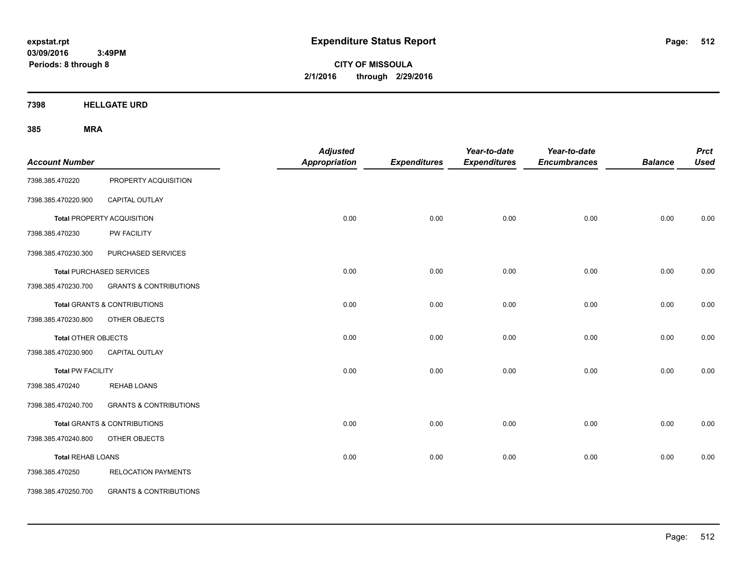**CITY OF MISSOULA 2/1/2016 through 2/29/2016**

**7398 HELLGATE URD**

| <b>Account Number</b>      |                                         | <b>Adjusted</b><br>Appropriation | <b>Expenditures</b> | Year-to-date<br><b>Expenditures</b> | Year-to-date<br><b>Encumbrances</b> | <b>Balance</b> | <b>Prct</b><br><b>Used</b> |
|----------------------------|-----------------------------------------|----------------------------------|---------------------|-------------------------------------|-------------------------------------|----------------|----------------------------|
| 7398.385.470220            | PROPERTY ACQUISITION                    |                                  |                     |                                     |                                     |                |                            |
| 7398.385.470220.900        | CAPITAL OUTLAY                          |                                  |                     |                                     |                                     |                |                            |
|                            | Total PROPERTY ACQUISITION              | 0.00                             | 0.00                | 0.00                                | 0.00                                | 0.00           | 0.00                       |
| 7398.385.470230            | PW FACILITY                             |                                  |                     |                                     |                                     |                |                            |
| 7398.385.470230.300        | PURCHASED SERVICES                      |                                  |                     |                                     |                                     |                |                            |
|                            | <b>Total PURCHASED SERVICES</b>         | 0.00                             | 0.00                | 0.00                                | 0.00                                | 0.00           | 0.00                       |
| 7398.385.470230.700        | <b>GRANTS &amp; CONTRIBUTIONS</b>       |                                  |                     |                                     |                                     |                |                            |
|                            | Total GRANTS & CONTRIBUTIONS            | 0.00                             | 0.00                | 0.00                                | 0.00                                | 0.00           | 0.00                       |
| 7398.385.470230.800        | OTHER OBJECTS                           |                                  |                     |                                     |                                     |                |                            |
| <b>Total OTHER OBJECTS</b> |                                         | 0.00                             | 0.00                | 0.00                                | 0.00                                | 0.00           | 0.00                       |
| 7398.385.470230.900        | <b>CAPITAL OUTLAY</b>                   |                                  |                     |                                     |                                     |                |                            |
| <b>Total PW FACILITY</b>   |                                         | 0.00                             | 0.00                | 0.00                                | 0.00                                | 0.00           | 0.00                       |
| 7398.385.470240            | <b>REHAB LOANS</b>                      |                                  |                     |                                     |                                     |                |                            |
| 7398.385.470240.700        | <b>GRANTS &amp; CONTRIBUTIONS</b>       |                                  |                     |                                     |                                     |                |                            |
|                            | <b>Total GRANTS &amp; CONTRIBUTIONS</b> | 0.00                             | 0.00                | 0.00                                | 0.00                                | 0.00           | 0.00                       |
| 7398.385.470240.800        | OTHER OBJECTS                           |                                  |                     |                                     |                                     |                |                            |
| <b>Total REHAB LOANS</b>   |                                         | 0.00                             | 0.00                | 0.00                                | 0.00                                | 0.00           | 0.00                       |
| 7398.385.470250            | <b>RELOCATION PAYMENTS</b>              |                                  |                     |                                     |                                     |                |                            |
| 7398.385.470250.700        | <b>GRANTS &amp; CONTRIBUTIONS</b>       |                                  |                     |                                     |                                     |                |                            |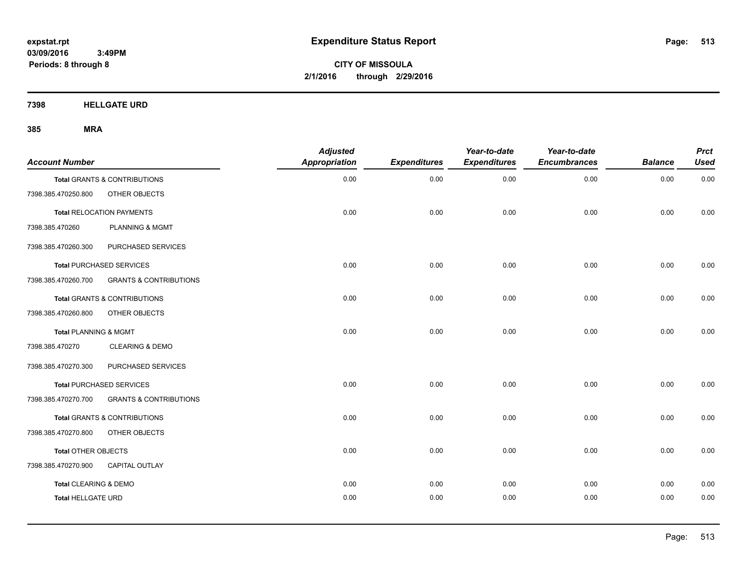**CITY OF MISSOULA 2/1/2016 through 2/29/2016**

**7398 HELLGATE URD**

| <b>Account Number</b>     |                                         | <b>Adjusted</b><br><b>Appropriation</b> | <b>Expenditures</b> | Year-to-date<br><b>Expenditures</b> | Year-to-date<br><b>Encumbrances</b> | <b>Balance</b> | <b>Prct</b><br><b>Used</b> |
|---------------------------|-----------------------------------------|-----------------------------------------|---------------------|-------------------------------------|-------------------------------------|----------------|----------------------------|
|                           | Total GRANTS & CONTRIBUTIONS            | 0.00                                    | 0.00                | 0.00                                | 0.00                                | 0.00           | 0.00                       |
| 7398.385.470250.800       | OTHER OBJECTS                           |                                         |                     |                                     |                                     |                |                            |
|                           | <b>Total RELOCATION PAYMENTS</b>        | 0.00                                    | 0.00                | 0.00                                | 0.00                                | 0.00           | 0.00                       |
| 7398.385.470260           | <b>PLANNING &amp; MGMT</b>              |                                         |                     |                                     |                                     |                |                            |
| 7398.385.470260.300       | PURCHASED SERVICES                      |                                         |                     |                                     |                                     |                |                            |
|                           | <b>Total PURCHASED SERVICES</b>         | 0.00                                    | 0.00                | 0.00                                | 0.00                                | 0.00           | 0.00                       |
| 7398.385.470260.700       | <b>GRANTS &amp; CONTRIBUTIONS</b>       |                                         |                     |                                     |                                     |                |                            |
|                           | Total GRANTS & CONTRIBUTIONS            | 0.00                                    | 0.00                | 0.00                                | 0.00                                | 0.00           | 0.00                       |
| 7398.385.470260.800       | OTHER OBJECTS                           |                                         |                     |                                     |                                     |                |                            |
| Total PLANNING & MGMT     |                                         | 0.00                                    | 0.00                | 0.00                                | 0.00                                | 0.00           | 0.00                       |
| 7398.385.470270           | <b>CLEARING &amp; DEMO</b>              |                                         |                     |                                     |                                     |                |                            |
| 7398.385.470270.300       | PURCHASED SERVICES                      |                                         |                     |                                     |                                     |                |                            |
|                           | <b>Total PURCHASED SERVICES</b>         | 0.00                                    | 0.00                | 0.00                                | 0.00                                | 0.00           | 0.00                       |
| 7398.385.470270.700       | <b>GRANTS &amp; CONTRIBUTIONS</b>       |                                         |                     |                                     |                                     |                |                            |
|                           | <b>Total GRANTS &amp; CONTRIBUTIONS</b> | 0.00                                    | 0.00                | 0.00                                | 0.00                                | 0.00           | 0.00                       |
| 7398.385.470270.800       | OTHER OBJECTS                           |                                         |                     |                                     |                                     |                |                            |
| Total OTHER OBJECTS       |                                         | 0.00                                    | 0.00                | 0.00                                | 0.00                                | 0.00           | 0.00                       |
| 7398.385.470270.900       | <b>CAPITAL OUTLAY</b>                   |                                         |                     |                                     |                                     |                |                            |
| Total CLEARING & DEMO     |                                         | 0.00                                    | 0.00                | 0.00                                | 0.00                                | 0.00           | 0.00                       |
| <b>Total HELLGATE URD</b> |                                         | 0.00                                    | 0.00                | 0.00                                | 0.00                                | 0.00           | 0.00                       |
|                           |                                         |                                         |                     |                                     |                                     |                |                            |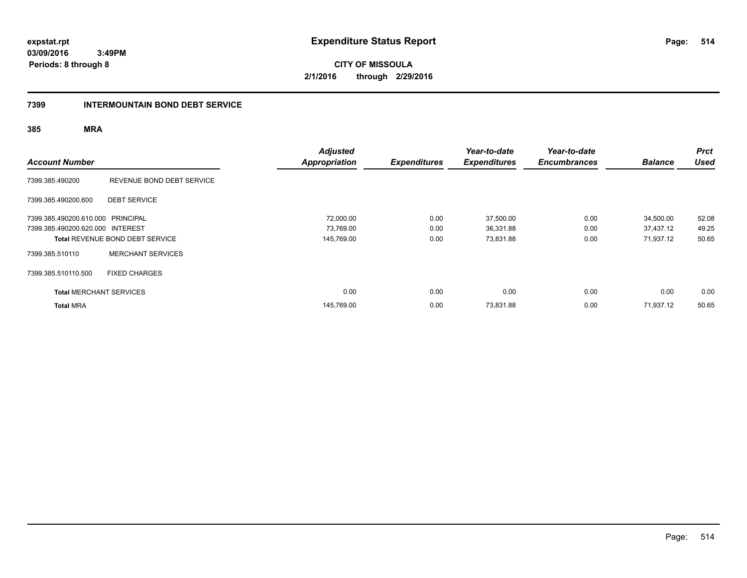**CITY OF MISSOULA 2/1/2016 through 2/29/2016**

## **7399 INTERMOUNTAIN BOND DEBT SERVICE**

| <b>Account Number</b>             |                                 | <b>Adjusted</b><br><b>Appropriation</b> | <b>Expenditures</b> | Year-to-date<br><b>Expenditures</b> | Year-to-date<br><b>Encumbrances</b> | <b>Balance</b> | <b>Prct</b><br><b>Used</b> |
|-----------------------------------|---------------------------------|-----------------------------------------|---------------------|-------------------------------------|-------------------------------------|----------------|----------------------------|
| 7399.385.490200                   | REVENUE BOND DEBT SERVICE       |                                         |                     |                                     |                                     |                |                            |
| 7399.385.490200.600               | <b>DEBT SERVICE</b>             |                                         |                     |                                     |                                     |                |                            |
| 7399.385.490200.610.000 PRINCIPAL |                                 | 72,000.00                               | 0.00                | 37,500.00                           | 0.00                                | 34,500.00      | 52.08                      |
| 7399.385.490200.620.000 INTEREST  |                                 | 73,769.00                               | 0.00                | 36,331.88                           | 0.00                                | 37.437.12      | 49.25                      |
|                                   | Total REVENUE BOND DEBT SERVICE | 145,769.00                              | 0.00                | 73,831.88                           | 0.00                                | 71,937.12      | 50.65                      |
| 7399.385.510110                   | <b>MERCHANT SERVICES</b>        |                                         |                     |                                     |                                     |                |                            |
| 7399.385.510110.500               | <b>FIXED CHARGES</b>            |                                         |                     |                                     |                                     |                |                            |
| <b>Total MERCHANT SERVICES</b>    |                                 | 0.00                                    | 0.00                | 0.00                                | 0.00                                | 0.00           | 0.00                       |
| <b>Total MRA</b>                  |                                 | 145,769.00                              | 0.00                | 73,831.88                           | 0.00                                | 71,937.12      | 50.65                      |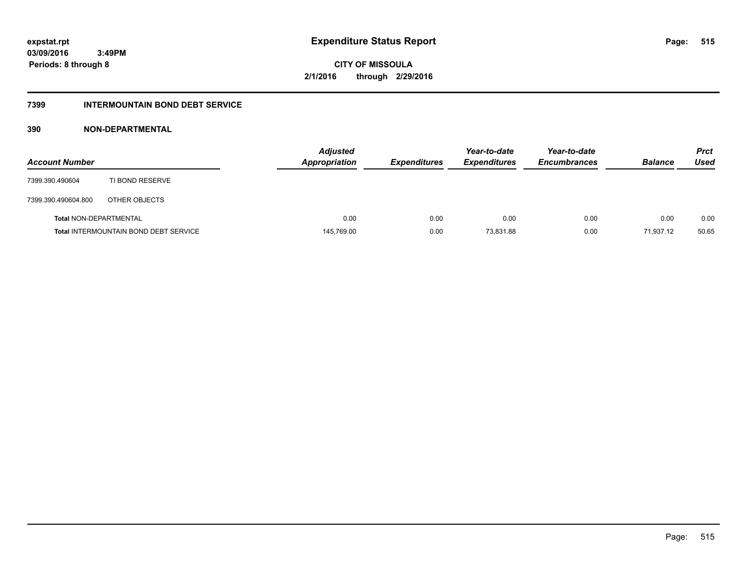**CITY OF MISSOULA 2/1/2016 through 2/29/2016**

## **7399 INTERMOUNTAIN BOND DEBT SERVICE**

## **390 NON-DEPARTMENTAL**

| <b>Account Number</b>         |                                              | <b>Adjusted</b><br><b>Appropriation</b> | <b>Expenditures</b> | Year-to-date<br><b>Expenditures</b> | Year-to-date<br><b>Encumbrances</b> | <b>Balance</b> | <b>Prct</b><br>Used |
|-------------------------------|----------------------------------------------|-----------------------------------------|---------------------|-------------------------------------|-------------------------------------|----------------|---------------------|
| 7399.390.490604               | TI BOND RESERVE                              |                                         |                     |                                     |                                     |                |                     |
| 7399.390.490604.800           | OTHER OBJECTS                                |                                         |                     |                                     |                                     |                |                     |
| <b>Total NON-DEPARTMENTAL</b> |                                              | 0.00                                    | 0.00                | 0.00                                | 0.00                                | 0.00           | 0.00                |
|                               | <b>Total INTERMOUNTAIN BOND DEBT SERVICE</b> | 145,769.00                              | 0.00                | 73,831.88                           | 0.00                                | 71,937.12      | 50.65               |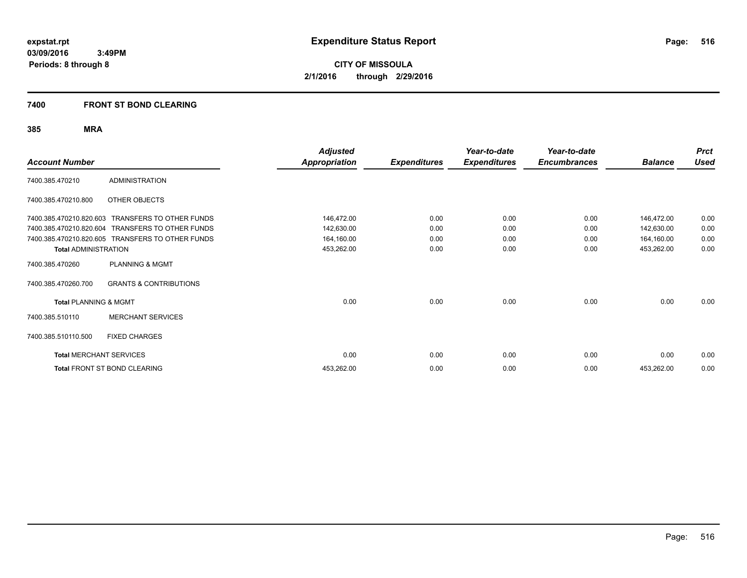**CITY OF MISSOULA 2/1/2016 through 2/29/2016**

## **7400 FRONT ST BOND CLEARING**

| <b>Account Number</b>            |                                                  | <b>Adjusted</b><br><b>Appropriation</b> | <b>Expenditures</b> | Year-to-date<br><b>Expenditures</b> | Year-to-date<br><b>Encumbrances</b> | <b>Balance</b> | <b>Prct</b><br><b>Used</b> |
|----------------------------------|--------------------------------------------------|-----------------------------------------|---------------------|-------------------------------------|-------------------------------------|----------------|----------------------------|
| 7400.385.470210                  | <b>ADMINISTRATION</b>                            |                                         |                     |                                     |                                     |                |                            |
| 7400.385.470210.800              | OTHER OBJECTS                                    |                                         |                     |                                     |                                     |                |                            |
| 7400.385.470210.820.603          | <b>TRANSFERS TO OTHER FUNDS</b>                  | 146,472.00                              | 0.00                | 0.00                                | 0.00                                | 146,472.00     | 0.00                       |
| 7400.385.470210.820.604          | TRANSFERS TO OTHER FUNDS                         | 142,630.00                              | 0.00                | 0.00                                | 0.00                                | 142,630.00     | 0.00                       |
|                                  | 7400.385.470210.820.605 TRANSFERS TO OTHER FUNDS | 164,160.00                              | 0.00                | 0.00                                | 0.00                                | 164,160.00     | 0.00                       |
| <b>Total ADMINISTRATION</b>      |                                                  | 453,262.00                              | 0.00                | 0.00                                | 0.00                                | 453,262.00     | 0.00                       |
| 7400.385.470260                  | <b>PLANNING &amp; MGMT</b>                       |                                         |                     |                                     |                                     |                |                            |
| 7400.385.470260.700              | <b>GRANTS &amp; CONTRIBUTIONS</b>                |                                         |                     |                                     |                                     |                |                            |
| <b>Total PLANNING &amp; MGMT</b> |                                                  | 0.00                                    | 0.00                | 0.00                                | 0.00                                | 0.00           | 0.00                       |
| 7400.385.510110                  | <b>MERCHANT SERVICES</b>                         |                                         |                     |                                     |                                     |                |                            |
| 7400.385.510110.500              | <b>FIXED CHARGES</b>                             |                                         |                     |                                     |                                     |                |                            |
| <b>Total MERCHANT SERVICES</b>   |                                                  | 0.00                                    | 0.00                | 0.00                                | 0.00                                | 0.00           | 0.00                       |
|                                  | Total FRONT ST BOND CLEARING                     | 453,262.00                              | 0.00                | 0.00                                | 0.00                                | 453,262.00     | 0.00                       |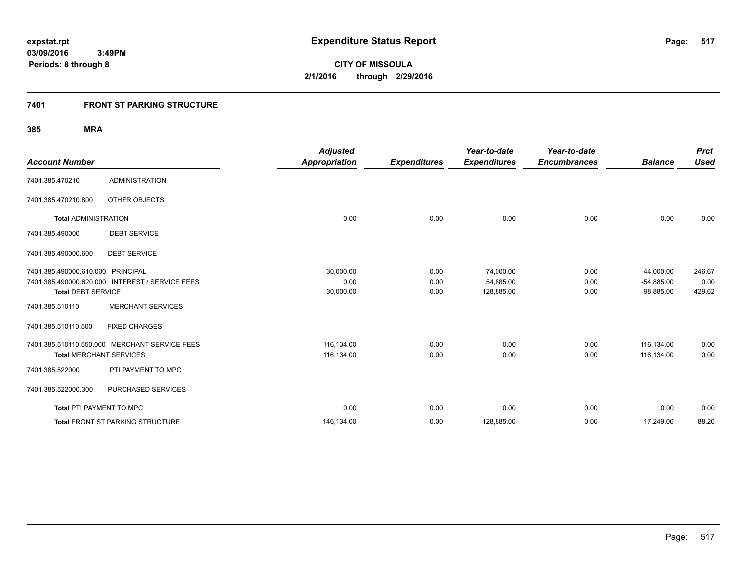## **7401 FRONT ST PARKING STRUCTURE**

|                                   |                                                 | <b>Adjusted</b> |                     | Year-to-date        | Year-to-date        |                | <b>Prct</b> |
|-----------------------------------|-------------------------------------------------|-----------------|---------------------|---------------------|---------------------|----------------|-------------|
| <b>Account Number</b>             |                                                 | Appropriation   | <b>Expenditures</b> | <b>Expenditures</b> | <b>Encumbrances</b> | <b>Balance</b> | <b>Used</b> |
| 7401.385.470210                   | <b>ADMINISTRATION</b>                           |                 |                     |                     |                     |                |             |
| 7401.385.470210.800               | OTHER OBJECTS                                   |                 |                     |                     |                     |                |             |
| <b>Total ADMINISTRATION</b>       |                                                 | 0.00            | 0.00                | 0.00                | 0.00                | 0.00           | 0.00        |
| 7401.385.490000                   | <b>DEBT SERVICE</b>                             |                 |                     |                     |                     |                |             |
| 7401.385.490000.600               | <b>DEBT SERVICE</b>                             |                 |                     |                     |                     |                |             |
| 7401.385.490000.610.000 PRINCIPAL |                                                 | 30,000.00       | 0.00                | 74,000.00           | 0.00                | $-44,000.00$   | 246.67      |
|                                   | 7401.385.490000.620.000 INTEREST / SERVICE FEES | 0.00            | 0.00                | 54,885.00           | 0.00                | $-54,885.00$   | 0.00        |
| <b>Total DEBT SERVICE</b>         |                                                 | 30,000.00       | 0.00                | 128,885.00          | 0.00                | $-98,885.00$   | 429.62      |
| 7401.385.510110                   | <b>MERCHANT SERVICES</b>                        |                 |                     |                     |                     |                |             |
| 7401.385.510110.500               | <b>FIXED CHARGES</b>                            |                 |                     |                     |                     |                |             |
|                                   | 7401.385.510110.550.000 MERCHANT SERVICE FEES   | 116,134.00      | 0.00                | 0.00                | 0.00                | 116,134.00     | 0.00        |
| <b>Total MERCHANT SERVICES</b>    |                                                 | 116,134.00      | 0.00                | 0.00                | 0.00                | 116,134.00     | 0.00        |
| 7401.385.522000                   | PTI PAYMENT TO MPC                              |                 |                     |                     |                     |                |             |
| 7401.385.522000.300               | PURCHASED SERVICES                              |                 |                     |                     |                     |                |             |
| Total PTI PAYMENT TO MPC          |                                                 | 0.00            | 0.00                | 0.00                | 0.00                | 0.00           | 0.00        |
|                                   | <b>Total FRONT ST PARKING STRUCTURE</b>         | 146,134.00      | 0.00                | 128,885.00          | 0.00                | 17,249.00      | 88.20       |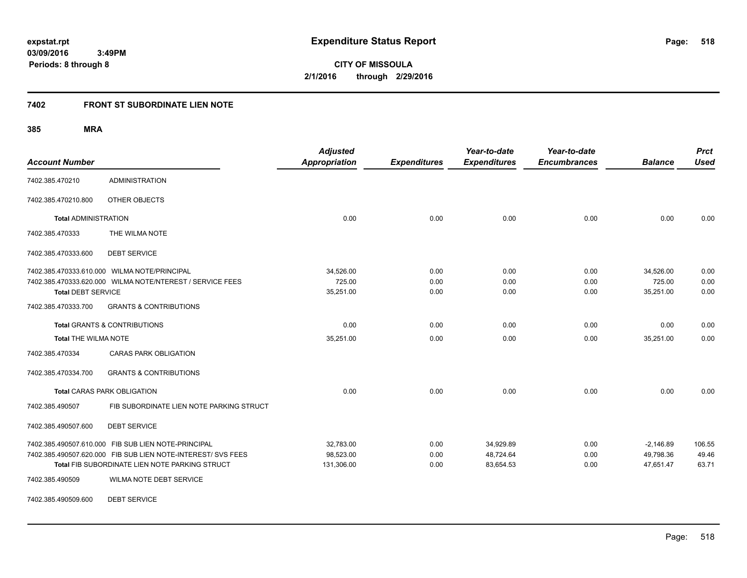**CITY OF MISSOULA 2/1/2016 through 2/29/2016**

## **7402 FRONT ST SUBORDINATE LIEN NOTE**

## **385 MRA**

| <b>Account Number</b>       |                                                                                                                                                                       | <b>Adjusted</b><br><b>Appropriation</b> | <b>Expenditures</b>  | Year-to-date<br><b>Expenditures</b> | Year-to-date<br><b>Encumbrances</b> | <b>Balance</b>                        | <b>Prct</b><br><b>Used</b> |
|-----------------------------|-----------------------------------------------------------------------------------------------------------------------------------------------------------------------|-----------------------------------------|----------------------|-------------------------------------|-------------------------------------|---------------------------------------|----------------------------|
| 7402.385.470210             | <b>ADMINISTRATION</b>                                                                                                                                                 |                                         |                      |                                     |                                     |                                       |                            |
| 7402.385.470210.800         | OTHER OBJECTS                                                                                                                                                         |                                         |                      |                                     |                                     |                                       |                            |
| <b>Total ADMINISTRATION</b> |                                                                                                                                                                       | 0.00                                    | 0.00                 | 0.00                                | 0.00                                | 0.00                                  | 0.00                       |
| 7402.385.470333             | THE WILMA NOTE                                                                                                                                                        |                                         |                      |                                     |                                     |                                       |                            |
| 7402.385.470333.600         | <b>DEBT SERVICE</b>                                                                                                                                                   |                                         |                      |                                     |                                     |                                       |                            |
| <b>Total DEBT SERVICE</b>   | 7402.385.470333.610.000 WILMA NOTE/PRINCIPAL<br>7402.385.470333.620.000 WILMA NOTE/NTEREST / SERVICE FEES                                                             | 34,526.00<br>725.00<br>35,251.00        | 0.00<br>0.00<br>0.00 | 0.00<br>0.00<br>0.00                | 0.00<br>0.00<br>0.00                | 34,526.00<br>725.00<br>35,251.00      | 0.00<br>0.00<br>0.00       |
| 7402.385.470333.700         | <b>GRANTS &amp; CONTRIBUTIONS</b>                                                                                                                                     |                                         |                      |                                     |                                     |                                       |                            |
|                             | <b>Total GRANTS &amp; CONTRIBUTIONS</b>                                                                                                                               | 0.00                                    | 0.00                 | 0.00                                | 0.00                                | 0.00                                  | 0.00                       |
|                             | 35,251.00<br><b>Total THE WILMA NOTE</b>                                                                                                                              |                                         | 0.00                 | 0.00                                | 0.00                                | 35,251.00                             | 0.00                       |
| 7402.385.470334             | <b>CARAS PARK OBLIGATION</b>                                                                                                                                          |                                         |                      |                                     |                                     |                                       |                            |
| 7402.385.470334.700         | <b>GRANTS &amp; CONTRIBUTIONS</b>                                                                                                                                     |                                         |                      |                                     |                                     |                                       |                            |
|                             | <b>Total CARAS PARK OBLIGATION</b>                                                                                                                                    | 0.00                                    | 0.00                 | 0.00                                | 0.00                                | 0.00                                  | 0.00                       |
| 7402.385.490507             | FIB SUBORDINATE LIEN NOTE PARKING STRUCT                                                                                                                              |                                         |                      |                                     |                                     |                                       |                            |
| 7402.385.490507.600         | <b>DEBT SERVICE</b>                                                                                                                                                   |                                         |                      |                                     |                                     |                                       |                            |
|                             | 7402.385.490507.610.000 FIB SUB LIEN NOTE-PRINCIPAL<br>7402.385.490507.620.000 FIB SUB LIEN NOTE-INTEREST/ SVS FEES<br>Total FIB SUBORDINATE LIEN NOTE PARKING STRUCT | 32,783.00<br>98,523.00<br>131,306.00    | 0.00<br>0.00<br>0.00 | 34,929.89<br>48,724.64<br>83,654.53 | 0.00<br>0.00<br>0.00                | $-2,146.89$<br>49,798.36<br>47,651.47 | 106.55<br>49.46<br>63.71   |
| 7402.385.490509             | <b>WILMA NOTE DEBT SERVICE</b>                                                                                                                                        |                                         |                      |                                     |                                     |                                       |                            |

7402.385.490509.600 DEBT SERVICE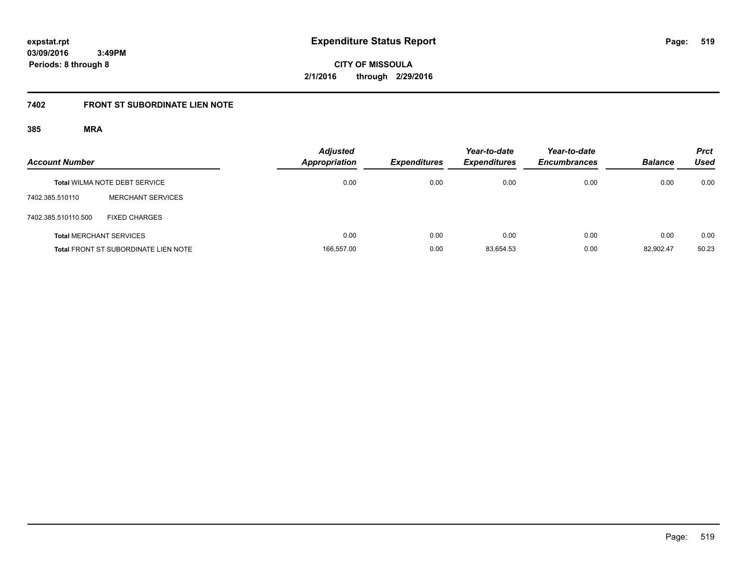**CITY OF MISSOULA 2/1/2016 through 2/29/2016**

# **7402 FRONT ST SUBORDINATE LIEN NOTE**

| <b>Account Number</b> |                                             | <b>Adjusted</b><br><b>Appropriation</b> | <b>Expenditures</b> | Year-to-date<br><b>Expenditures</b> | Year-to-date<br><b>Encumbrances</b> | <b>Balance</b> | <b>Prct</b><br>Used |
|-----------------------|---------------------------------------------|-----------------------------------------|---------------------|-------------------------------------|-------------------------------------|----------------|---------------------|
|                       | <b>Total WILMA NOTE DEBT SERVICE</b>        | 0.00                                    | 0.00                | 0.00                                | 0.00                                | 0.00           | 0.00                |
| 7402.385.510110       | <b>MERCHANT SERVICES</b>                    |                                         |                     |                                     |                                     |                |                     |
| 7402.385.510110.500   | <b>FIXED CHARGES</b>                        |                                         |                     |                                     |                                     |                |                     |
|                       | <b>Total MERCHANT SERVICES</b>              | 0.00                                    | 0.00                | 0.00                                | 0.00                                | 0.00           | 0.00                |
|                       | <b>Total FRONT ST SUBORDINATE LIEN NOTE</b> | 166,557.00                              | 0.00                | 83.654.53                           | 0.00                                | 82.902.47      | 50.23               |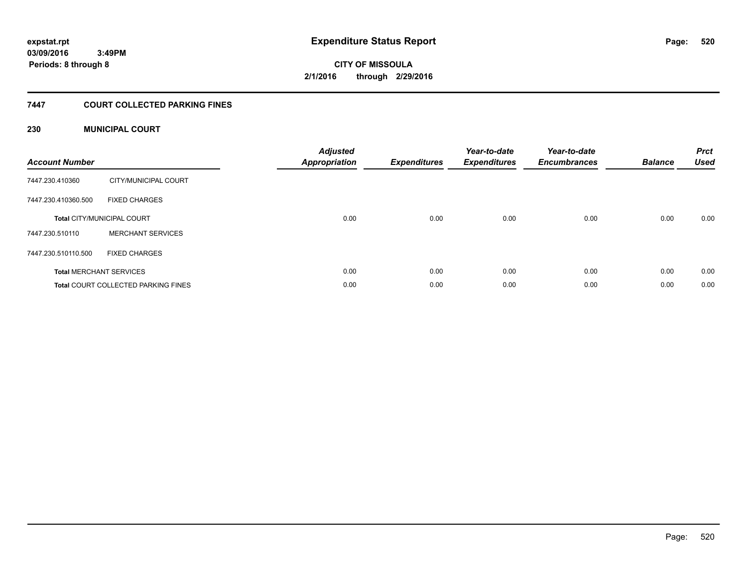**520**

**03/09/2016 3:49PM Periods: 8 through 8**

**CITY OF MISSOULA 2/1/2016 through 2/29/2016**

## **7447 COURT COLLECTED PARKING FINES**

## **230 MUNICIPAL COURT**

| <b>Account Number</b> |                                            | <b>Adjusted</b><br>Appropriation | <b>Expenditures</b> | Year-to-date<br><b>Expenditures</b> | Year-to-date<br><b>Encumbrances</b> | <b>Balance</b> | <b>Prct</b><br><b>Used</b> |
|-----------------------|--------------------------------------------|----------------------------------|---------------------|-------------------------------------|-------------------------------------|----------------|----------------------------|
| 7447.230.410360       | CITY/MUNICIPAL COURT                       |                                  |                     |                                     |                                     |                |                            |
| 7447.230.410360.500   | <b>FIXED CHARGES</b>                       |                                  |                     |                                     |                                     |                |                            |
|                       | <b>Total CITY/MUNICIPAL COURT</b>          | 0.00                             | 0.00                | 0.00                                | 0.00                                | 0.00           | 0.00                       |
| 7447.230.510110       | <b>MERCHANT SERVICES</b>                   |                                  |                     |                                     |                                     |                |                            |
| 7447.230.510110.500   | <b>FIXED CHARGES</b>                       |                                  |                     |                                     |                                     |                |                            |
|                       | <b>Total MERCHANT SERVICES</b>             | 0.00                             | 0.00                | 0.00                                | 0.00                                | 0.00           | 0.00                       |
|                       | <b>Total COURT COLLECTED PARKING FINES</b> | 0.00                             | 0.00                | 0.00                                | 0.00                                | 0.00           | 0.00                       |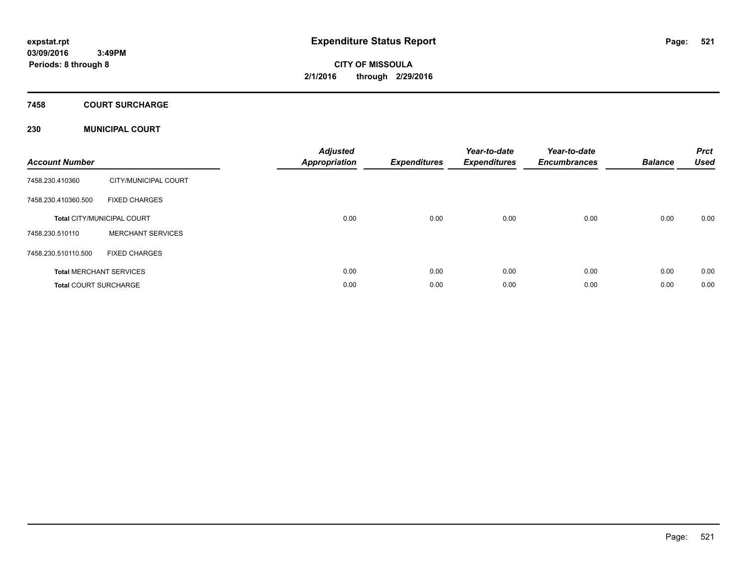**CITY OF MISSOULA 2/1/2016 through 2/29/2016**

## **7458 COURT SURCHARGE**

## **230 MUNICIPAL COURT**

| <b>Account Number</b>        |                                   | <b>Adjusted</b><br><b>Appropriation</b> | <b>Expenditures</b> | Year-to-date<br><b>Expenditures</b> | Year-to-date<br><b>Encumbrances</b> | <b>Balance</b> | <b>Prct</b><br><b>Used</b> |
|------------------------------|-----------------------------------|-----------------------------------------|---------------------|-------------------------------------|-------------------------------------|----------------|----------------------------|
| 7458.230.410360              | CITY/MUNICIPAL COURT              |                                         |                     |                                     |                                     |                |                            |
| 7458.230.410360.500          | <b>FIXED CHARGES</b>              |                                         |                     |                                     |                                     |                |                            |
|                              | <b>Total CITY/MUNICIPAL COURT</b> | 0.00                                    | 0.00                | 0.00                                | 0.00                                | 0.00           | 0.00                       |
| 7458.230.510110              | <b>MERCHANT SERVICES</b>          |                                         |                     |                                     |                                     |                |                            |
| 7458.230.510110.500          | <b>FIXED CHARGES</b>              |                                         |                     |                                     |                                     |                |                            |
|                              | <b>Total MERCHANT SERVICES</b>    | 0.00                                    | 0.00                | 0.00                                | 0.00                                | 0.00           | 0.00                       |
| <b>Total COURT SURCHARGE</b> |                                   | 0.00                                    | 0.00                | 0.00                                | 0.00                                | 0.00           | 0.00                       |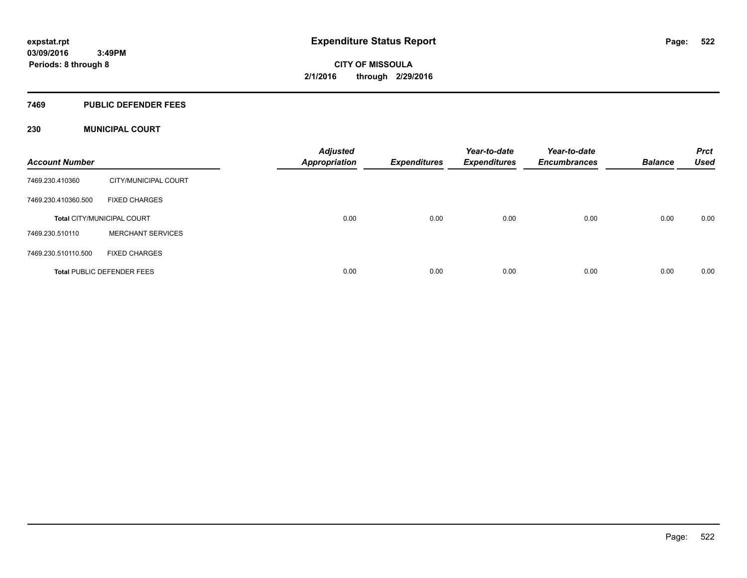### **7469 PUBLIC DEFENDER FEES**

## **230 MUNICIPAL COURT**

| <b>Account Number</b> |                                   | <b>Adjusted</b><br><b>Appropriation</b> | <b>Expenditures</b> | Year-to-date<br><b>Expenditures</b> | Year-to-date<br><b>Encumbrances</b> | <b>Balance</b> | <b>Prct</b><br><b>Used</b> |
|-----------------------|-----------------------------------|-----------------------------------------|---------------------|-------------------------------------|-------------------------------------|----------------|----------------------------|
| 7469.230.410360       | CITY/MUNICIPAL COURT              |                                         |                     |                                     |                                     |                |                            |
| 7469.230.410360.500   | <b>FIXED CHARGES</b>              |                                         |                     |                                     |                                     |                |                            |
|                       | <b>Total CITY/MUNICIPAL COURT</b> | 0.00                                    | 0.00                | 0.00                                | 0.00                                | 0.00           | 0.00                       |
| 7469.230.510110       | <b>MERCHANT SERVICES</b>          |                                         |                     |                                     |                                     |                |                            |
| 7469.230.510110.500   | <b>FIXED CHARGES</b>              |                                         |                     |                                     |                                     |                |                            |
|                       | <b>Total PUBLIC DEFENDER FEES</b> | 0.00                                    | 0.00                | 0.00                                | 0.00                                | 0.00           | 0.00                       |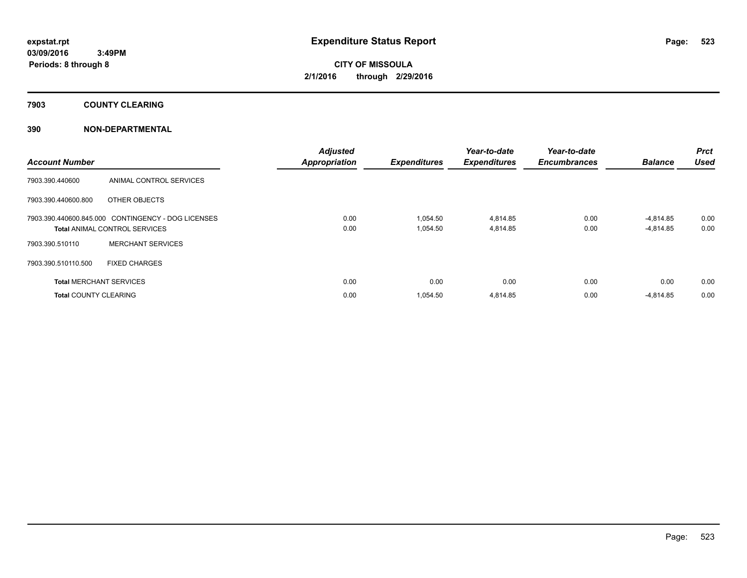## **7903 COUNTY CLEARING**

## **390 NON-DEPARTMENTAL**

| <b>Account Number</b>          |                                                    | <b>Adjusted</b><br><b>Appropriation</b> | <b>Expenditures</b> | Year-to-date<br><b>Expenditures</b> | Year-to-date<br><b>Encumbrances</b> | <b>Balance</b> | <b>Prct</b><br><b>Used</b> |
|--------------------------------|----------------------------------------------------|-----------------------------------------|---------------------|-------------------------------------|-------------------------------------|----------------|----------------------------|
| 7903.390.440600                | ANIMAL CONTROL SERVICES                            |                                         |                     |                                     |                                     |                |                            |
| 7903.390.440600.800            | OTHER OBJECTS                                      |                                         |                     |                                     |                                     |                |                            |
|                                | 7903.390.440600.845.000 CONTINGENCY - DOG LICENSES | 0.00                                    | 1,054.50            | 4,814.85                            | 0.00                                | -4,814.85      | 0.00                       |
|                                | <b>Total ANIMAL CONTROL SERVICES</b>               | 0.00                                    | 1,054.50            | 4,814.85                            | 0.00                                | $-4,814.85$    | 0.00                       |
| 7903.390.510110                | <b>MERCHANT SERVICES</b>                           |                                         |                     |                                     |                                     |                |                            |
| 7903.390.510110.500            | <b>FIXED CHARGES</b>                               |                                         |                     |                                     |                                     |                |                            |
| <b>Total MERCHANT SERVICES</b> |                                                    | 0.00                                    | 0.00                | 0.00                                | 0.00                                | 0.00           | 0.00                       |
| <b>Total COUNTY CLEARING</b>   |                                                    | 0.00                                    | 1,054.50            | 4,814.85                            | 0.00                                | $-4,814.85$    | 0.00                       |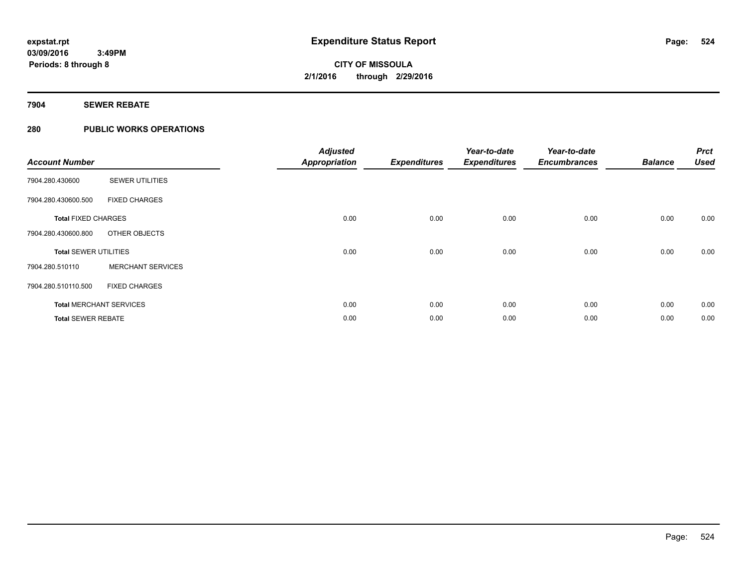## **7904 SEWER REBATE**

## **280 PUBLIC WORKS OPERATIONS**

| <b>Account Number</b>        |                                | <b>Adjusted</b><br><b>Appropriation</b> | <b>Expenditures</b> | Year-to-date<br><b>Expenditures</b> | Year-to-date<br><b>Encumbrances</b> | <b>Balance</b> | <b>Prct</b><br><b>Used</b> |
|------------------------------|--------------------------------|-----------------------------------------|---------------------|-------------------------------------|-------------------------------------|----------------|----------------------------|
| 7904.280.430600              | <b>SEWER UTILITIES</b>         |                                         |                     |                                     |                                     |                |                            |
| 7904.280.430600.500          | <b>FIXED CHARGES</b>           |                                         |                     |                                     |                                     |                |                            |
| <b>Total FIXED CHARGES</b>   |                                | 0.00                                    | 0.00                | 0.00                                | 0.00                                | 0.00           | 0.00                       |
| 7904.280.430600.800          | OTHER OBJECTS                  |                                         |                     |                                     |                                     |                |                            |
| <b>Total SEWER UTILITIES</b> |                                | 0.00                                    | 0.00                | 0.00                                | 0.00                                | 0.00           | 0.00                       |
| 7904.280.510110              | <b>MERCHANT SERVICES</b>       |                                         |                     |                                     |                                     |                |                            |
| 7904.280.510110.500          | <b>FIXED CHARGES</b>           |                                         |                     |                                     |                                     |                |                            |
|                              | <b>Total MERCHANT SERVICES</b> | 0.00                                    | 0.00                | 0.00                                | 0.00                                | 0.00           | 0.00                       |
| <b>Total SEWER REBATE</b>    |                                | 0.00                                    | 0.00                | 0.00                                | 0.00                                | 0.00           | 0.00                       |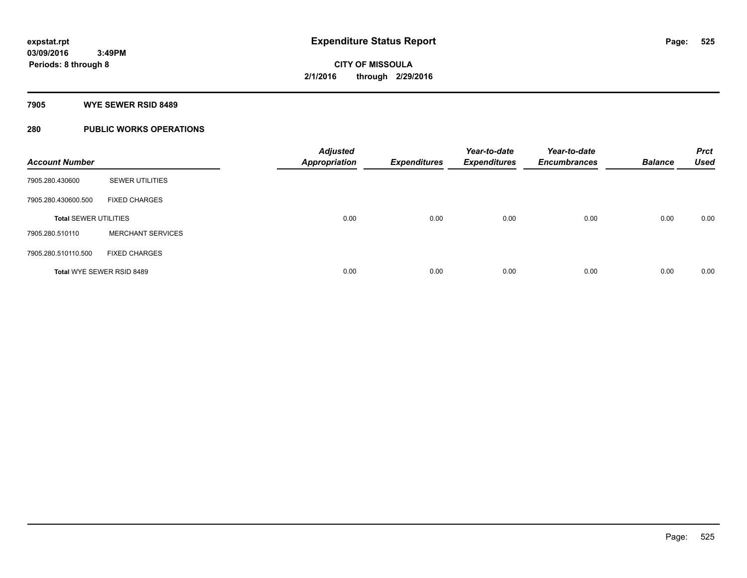### **7905 WYE SEWER RSID 8489**

## **280 PUBLIC WORKS OPERATIONS**

| <b>Account Number</b>        |                           | <b>Adjusted</b><br><b>Appropriation</b> | <b>Expenditures</b> | Year-to-date<br><b>Expenditures</b> | Year-to-date<br><b>Encumbrances</b> | <b>Balance</b> | <b>Prct</b><br><b>Used</b> |
|------------------------------|---------------------------|-----------------------------------------|---------------------|-------------------------------------|-------------------------------------|----------------|----------------------------|
| 7905.280.430600              | <b>SEWER UTILITIES</b>    |                                         |                     |                                     |                                     |                |                            |
| 7905.280.430600.500          | <b>FIXED CHARGES</b>      |                                         |                     |                                     |                                     |                |                            |
| <b>Total SEWER UTILITIES</b> |                           | 0.00                                    | 0.00                | 0.00                                | 0.00                                | 0.00           | 0.00                       |
| 7905.280.510110              | <b>MERCHANT SERVICES</b>  |                                         |                     |                                     |                                     |                |                            |
| 7905.280.510110.500          | <b>FIXED CHARGES</b>      |                                         |                     |                                     |                                     |                |                            |
|                              | Total WYE SEWER RSID 8489 | 0.00                                    | 0.00                | 0.00                                | 0.00                                | 0.00           | 0.00                       |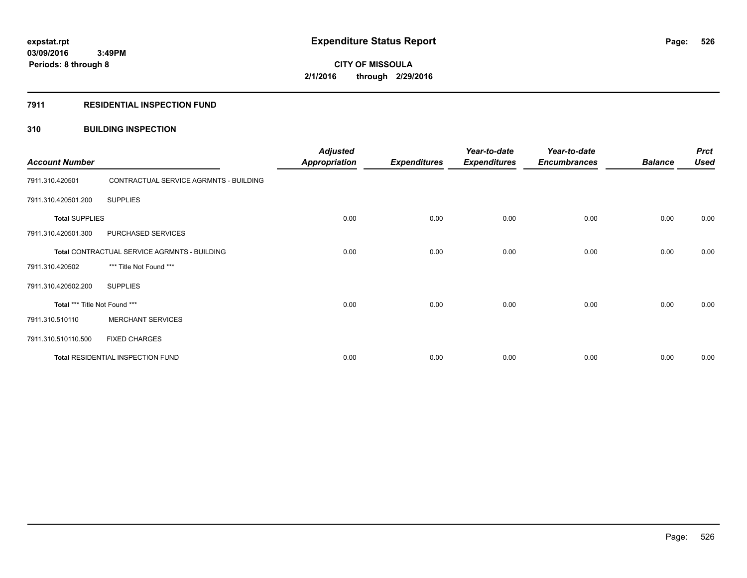### **7911 RESIDENTIAL INSPECTION FUND**

## **310 BUILDING INSPECTION**

| <b>Account Number</b>         |                                              | <b>Adjusted</b><br><b>Appropriation</b> | <b>Expenditures</b> | Year-to-date<br><b>Expenditures</b> | Year-to-date<br><b>Encumbrances</b> | <b>Balance</b> | <b>Prct</b><br><b>Used</b> |
|-------------------------------|----------------------------------------------|-----------------------------------------|---------------------|-------------------------------------|-------------------------------------|----------------|----------------------------|
| 7911.310.420501               | CONTRACTUAL SERVICE AGRMNTS - BUILDING       |                                         |                     |                                     |                                     |                |                            |
| 7911.310.420501.200           | <b>SUPPLIES</b>                              |                                         |                     |                                     |                                     |                |                            |
| <b>Total SUPPLIES</b>         |                                              | 0.00                                    | 0.00                | 0.00                                | 0.00                                | 0.00           | 0.00                       |
| 7911.310.420501.300           | PURCHASED SERVICES                           |                                         |                     |                                     |                                     |                |                            |
|                               | Total CONTRACTUAL SERVICE AGRMNTS - BUILDING | 0.00                                    | 0.00                | 0.00                                | 0.00                                | 0.00           | 0.00                       |
| 7911.310.420502               | *** Title Not Found ***                      |                                         |                     |                                     |                                     |                |                            |
| 7911.310.420502.200           | <b>SUPPLIES</b>                              |                                         |                     |                                     |                                     |                |                            |
| Total *** Title Not Found *** |                                              | 0.00                                    | 0.00                | 0.00                                | 0.00                                | 0.00           | 0.00                       |
| 7911.310.510110               | <b>MERCHANT SERVICES</b>                     |                                         |                     |                                     |                                     |                |                            |
| 7911.310.510110.500           | <b>FIXED CHARGES</b>                         |                                         |                     |                                     |                                     |                |                            |
|                               | Total RESIDENTIAL INSPECTION FUND            | 0.00                                    | 0.00                | 0.00                                | 0.00                                | 0.00           | 0.00                       |